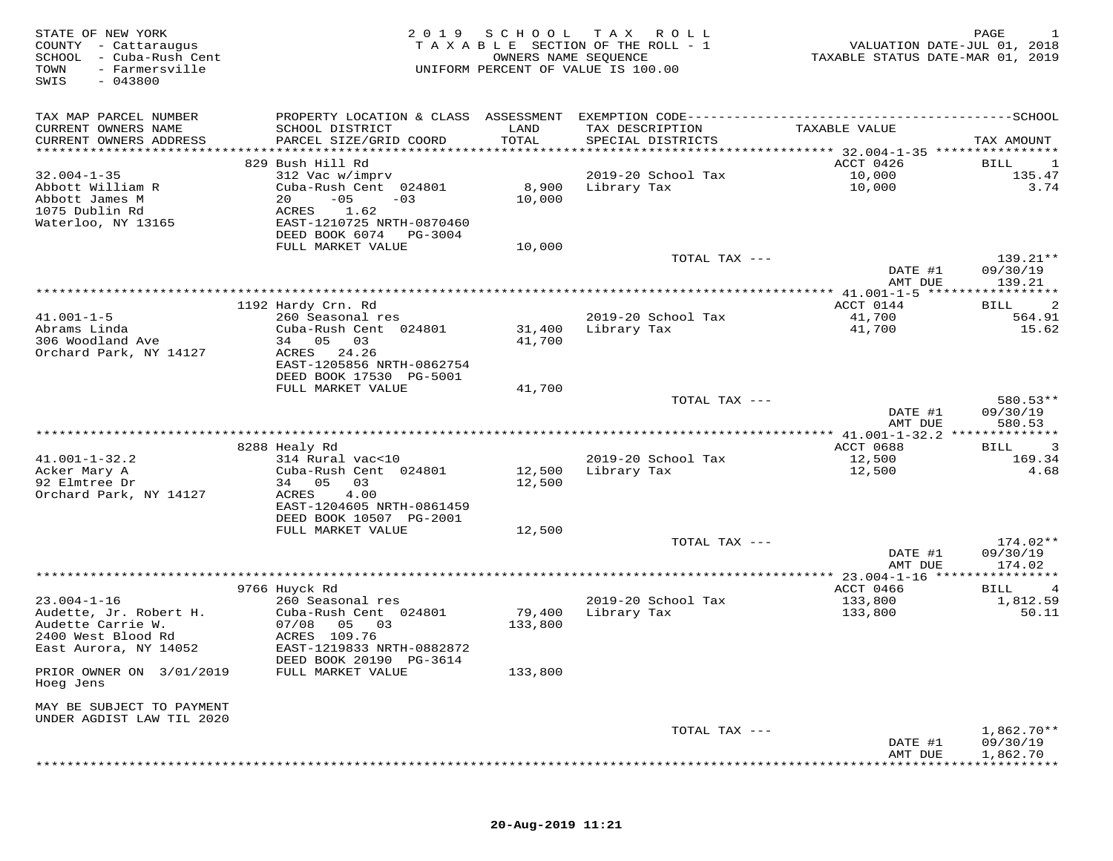| STATE OF NEW YORK<br>COUNTY - Cattaraugus<br>SCHOOL - Cuba-Rush Cent<br>TOWN<br>- Farmersville<br>$-043800$<br>SWIS | 2 0 1 9                                                                                                        | SCHOOL<br>OWNERS NAME SEQUENCE | T A X<br>R O L L<br>TAXABLE SECTION OF THE ROLL - 1<br>UNIFORM PERCENT OF VALUE IS 100.00 | VALUATION DATE-JUL 01, 2018<br>TAXABLE STATUS DATE-MAR 01, 2019 | PAGE                                 |
|---------------------------------------------------------------------------------------------------------------------|----------------------------------------------------------------------------------------------------------------|--------------------------------|-------------------------------------------------------------------------------------------|-----------------------------------------------------------------|--------------------------------------|
| TAX MAP PARCEL NUMBER<br>CURRENT OWNERS NAME<br>CURRENT OWNERS ADDRESS                                              | SCHOOL DISTRICT<br>PARCEL SIZE/GRID COORD                                                                      | LAND<br>TOTAL                  | TAX DESCRIPTION<br>SPECIAL DISTRICTS                                                      | TAXABLE VALUE                                                   | TAX AMOUNT                           |
| **********************                                                                                              |                                                                                                                |                                |                                                                                           |                                                                 |                                      |
| $32.004 - 1 - 35$                                                                                                   | 829 Bush Hill Rd                                                                                               |                                | 2019-20 School Tax                                                                        | ACCT 0426<br>10,000                                             | BILL<br>1<br>135.47                  |
| Abbott William R<br>Abbott James M<br>1075 Dublin Rd<br>Waterloo, NY 13165                                          | 312 Vac w/imprv<br>Cuba-Rush Cent 024801<br>$-05$<br>20<br>$-03$<br>ACRES<br>1.62<br>EAST-1210725 NRTH-0870460 | 8,900<br>10,000                | Library Tax                                                                               | 10,000                                                          | 3.74                                 |
|                                                                                                                     | DEED BOOK 6074 PG-3004                                                                                         |                                |                                                                                           |                                                                 |                                      |
|                                                                                                                     | FULL MARKET VALUE                                                                                              | 10,000                         | TOTAL TAX ---                                                                             | DATE #1                                                         | 139.21**<br>09/30/19                 |
|                                                                                                                     |                                                                                                                |                                |                                                                                           | AMT DUE                                                         | 139.21                               |
|                                                                                                                     |                                                                                                                |                                |                                                                                           | ** 41.001-1-5 ******                                            | ***********                          |
| $41.001 - 1 - 5$                                                                                                    | 1192 Hardy Crn. Rd<br>260 Seasonal res                                                                         |                                | 2019-20 School Tax                                                                        | ACCT 0144<br>41,700                                             | 2<br>BILL<br>564.91                  |
| Abrams Linda<br>306 Woodland Ave<br>Orchard Park, NY 14127                                                          | Cuba-Rush Cent 024801<br>34 05<br>03<br>ACRES 24.26<br>EAST-1205856 NRTH-0862754                               | 31,400<br>41,700               | Library Tax                                                                               | 41,700                                                          | 15.62                                |
|                                                                                                                     | DEED BOOK 17530 PG-5001                                                                                        |                                |                                                                                           |                                                                 |                                      |
|                                                                                                                     | FULL MARKET VALUE                                                                                              | 41,700                         | TOTAL TAX ---                                                                             |                                                                 | 580.53**                             |
|                                                                                                                     | ***********************                                                                                        |                                | *******************************                                                           | DATE #1<br>AMT DUE<br>********** 41.001-1-32.2 **************   | 09/30/19<br>580.53                   |
|                                                                                                                     | 8288 Healy Rd                                                                                                  |                                |                                                                                           | ACCT 0688                                                       | 3<br>BILL                            |
| $41.001 - 1 - 32.2$<br>Acker Mary A<br>92 Elmtree Dr<br>Orchard Park, NY 14127                                      | 314 Rural vac<10<br>Cuba-Rush Cent 024801<br>34 05<br>03<br>ACRES<br>4.00<br>EAST-1204605 NRTH-0861459         | 12,500<br>12,500               | 2019-20 School Tax<br>Library Tax                                                         | 12,500<br>12,500                                                | 169.34<br>4.68                       |
|                                                                                                                     | DEED BOOK 10507 PG-2001                                                                                        |                                |                                                                                           |                                                                 |                                      |
|                                                                                                                     | FULL MARKET VALUE                                                                                              | 12,500                         |                                                                                           |                                                                 |                                      |
|                                                                                                                     |                                                                                                                |                                | TOTAL TAX ---                                                                             | DATE #1<br>AMT DUE                                              | 174.02**<br>09/30/19<br>174.02       |
|                                                                                                                     |                                                                                                                |                                |                                                                                           | ************** 23.004-1-16 *****************                    |                                      |
|                                                                                                                     | 9766 Huyck Rd                                                                                                  |                                |                                                                                           | ACCT 0466                                                       | 4<br>BILL                            |
| $23.004 - 1 - 16$<br>Audette, Jr. Robert H.<br>Audette Carrie W.<br>2400 West Blood Rd<br>East Aurora, NY 14052     | 260 Seasonal res<br>Cuba-Rush Cent 024801<br>07/08<br>05<br>03<br>ACRES 109.76<br>EAST-1219833 NRTH-0882872    | 79,400<br>133,800              | 2019-20 School Tax<br>Library Tax                                                         | 133,800<br>133,800                                              | 1,812.59<br>50.11                    |
| PRIOR OWNER ON 3/01/2019<br>Hoeg Jens                                                                               | DEED BOOK 20190 PG-3614<br>FULL MARKET VALUE                                                                   | 133,800                        |                                                                                           |                                                                 |                                      |
| MAY BE SUBJECT TO PAYMENT                                                                                           |                                                                                                                |                                |                                                                                           |                                                                 |                                      |
| UNDER AGDIST LAW TIL 2020                                                                                           |                                                                                                                |                                |                                                                                           |                                                                 |                                      |
|                                                                                                                     |                                                                                                                |                                | TOTAL TAX ---                                                                             | DATE #1<br>AMT DUE                                              | $1,862.70**$<br>09/30/19<br>1,862.70 |
|                                                                                                                     |                                                                                                                |                                |                                                                                           |                                                                 |                                      |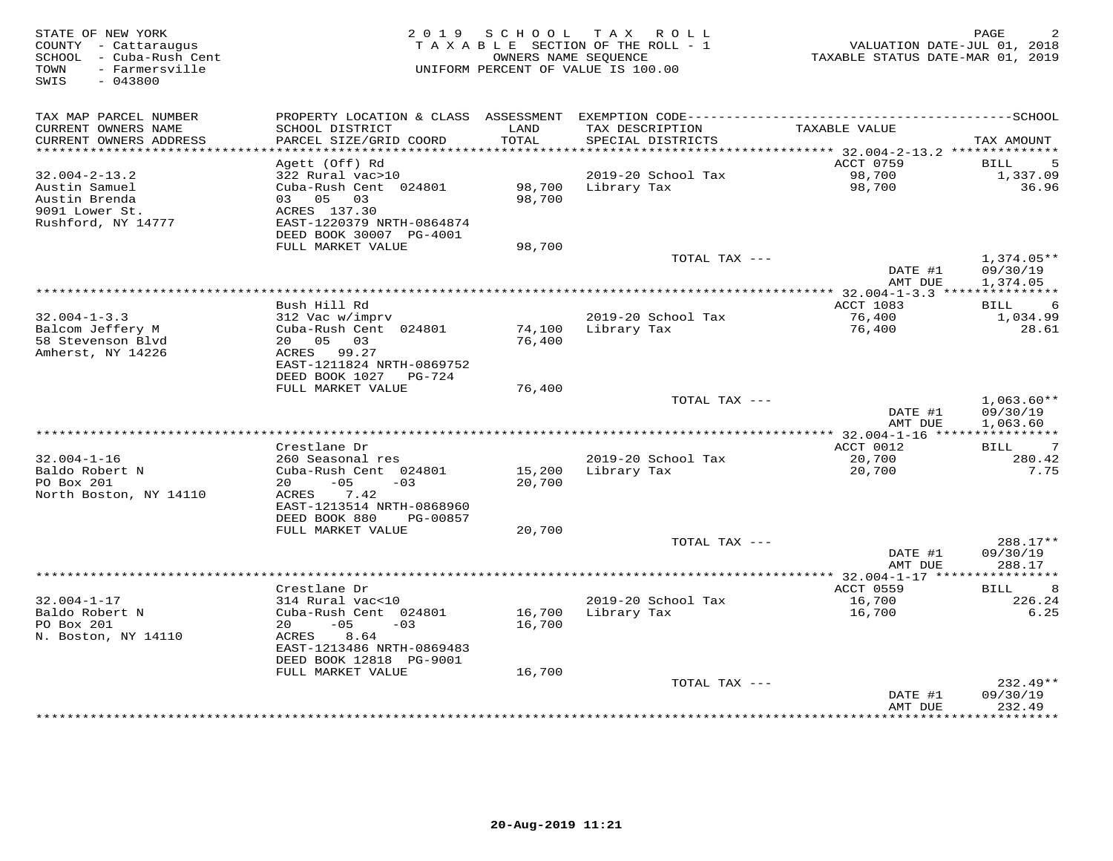| STATE OF NEW YORK<br>COUNTY - Cattaraugus<br>SCHOOL - Cuba-Rush Cent<br>- Farmersville<br>TOWN<br>$-043800$<br>SWIS | 2019 SCHOOL<br>T A X<br>R O L L<br>TAXABLE SECTION OF THE ROLL - 1<br>OWNERS NAME SEQUENCE<br>UNIFORM PERCENT OF VALUE IS 100.00 |               |                                                                                 | PAGE<br>VALUATION DATE-JUL 01, 2018<br>TAXABLE STATUS DATE-MAR 01, 2019 |                            |
|---------------------------------------------------------------------------------------------------------------------|----------------------------------------------------------------------------------------------------------------------------------|---------------|---------------------------------------------------------------------------------|-------------------------------------------------------------------------|----------------------------|
|                                                                                                                     |                                                                                                                                  |               |                                                                                 |                                                                         |                            |
| TAX MAP PARCEL NUMBER                                                                                               |                                                                                                                                  |               | PROPERTY LOCATION & CLASS ASSESSMENT EXEMPTION CODE---------------------------- |                                                                         | --------------SCHOOL       |
| CURRENT OWNERS NAME<br>CURRENT OWNERS ADDRESS                                                                       | SCHOOL DISTRICT<br>PARCEL SIZE/GRID COORD                                                                                        | LAND<br>TOTAL | TAX DESCRIPTION<br>SPECIAL DISTRICTS                                            | TAXABLE VALUE                                                           | TAX AMOUNT                 |
| **********************                                                                                              | ************************                                                                                                         | **********    |                                                                                 |                                                                         |                            |
|                                                                                                                     | Agett (Off) Rd                                                                                                                   |               |                                                                                 | ACCT 0759                                                               | 5<br>BILL                  |
| $32.004 - 2 - 13.2$<br>Austin Samuel                                                                                | 322 Rural vac>10<br>Cuba-Rush Cent 024801                                                                                        | 98,700        | 2019-20 School Tax<br>Library Tax                                               | 98,700<br>98,700                                                        | 1,337.09<br>36.96          |
| Austin Brenda                                                                                                       | 03 05 03                                                                                                                         | 98,700        |                                                                                 |                                                                         |                            |
| 9091 Lower St.                                                                                                      | ACRES 137.30                                                                                                                     |               |                                                                                 |                                                                         |                            |
| Rushford, NY 14777                                                                                                  | EAST-1220379 NRTH-0864874                                                                                                        |               |                                                                                 |                                                                         |                            |
|                                                                                                                     | DEED BOOK 30007 PG-4001                                                                                                          |               |                                                                                 |                                                                         |                            |
|                                                                                                                     | FULL MARKET VALUE                                                                                                                | 98,700        |                                                                                 |                                                                         |                            |
|                                                                                                                     |                                                                                                                                  |               | TOTAL TAX ---                                                                   |                                                                         | $1,374.05**$               |
|                                                                                                                     |                                                                                                                                  |               |                                                                                 | DATE #1<br>AMT DUE                                                      | 09/30/19<br>1,374.05       |
|                                                                                                                     |                                                                                                                                  |               | ************                                                                    | ** $32.004 - 1 - 3.3$ ***                                               | * * * * * * * * * * *      |
|                                                                                                                     | Bush Hill Rd                                                                                                                     |               |                                                                                 | ACCT 1083                                                               | 6<br><b>BILL</b>           |
| $32.004 - 1 - 3.3$                                                                                                  | 312 Vac w/imprv                                                                                                                  |               | 2019-20 School Tax                                                              | 76,400                                                                  | 1,034.99                   |
| Balcom Jeffery M                                                                                                    | Cuba-Rush Cent 024801                                                                                                            | 74,100        | Library Tax                                                                     | 76,400                                                                  | 28.61                      |
| 58 Stevenson Blvd                                                                                                   | 20  05  03                                                                                                                       | 76,400        |                                                                                 |                                                                         |                            |
| Amherst, NY 14226                                                                                                   | ACRES 99.27                                                                                                                      |               |                                                                                 |                                                                         |                            |
|                                                                                                                     | EAST-1211824 NRTH-0869752<br>DEED BOOK 1027 PG-724                                                                               |               |                                                                                 |                                                                         |                            |
|                                                                                                                     | FULL MARKET VALUE                                                                                                                | 76,400        |                                                                                 |                                                                         |                            |
|                                                                                                                     |                                                                                                                                  |               | TOTAL TAX ---                                                                   |                                                                         | $1,063.60**$               |
|                                                                                                                     |                                                                                                                                  |               |                                                                                 | DATE #1                                                                 | 09/30/19                   |
|                                                                                                                     |                                                                                                                                  |               |                                                                                 | AMT DUE                                                                 | 1,063.60                   |
|                                                                                                                     |                                                                                                                                  |               |                                                                                 |                                                                         |                            |
| $32.004 - 1 - 16$                                                                                                   | Crestlane Dr<br>260 Seasonal res                                                                                                 |               | 2019-20 School Tax                                                              | ACCT 0012<br>20,700                                                     | 7<br><b>BILL</b><br>280.42 |
| Baldo Robert N                                                                                                      | Cuba-Rush Cent 024801                                                                                                            | 15,200        | Library Tax                                                                     | 20,700                                                                  | 7.75                       |
| PO Box 201                                                                                                          | $-05$<br>20<br>$-03$                                                                                                             | 20,700        |                                                                                 |                                                                         |                            |
| North Boston, NY 14110                                                                                              | 7.42<br>ACRES                                                                                                                    |               |                                                                                 |                                                                         |                            |
|                                                                                                                     | EAST-1213514 NRTH-0868960                                                                                                        |               |                                                                                 |                                                                         |                            |
|                                                                                                                     | DEED BOOK 880<br>PG-00857                                                                                                        |               |                                                                                 |                                                                         |                            |
|                                                                                                                     | FULL MARKET VALUE                                                                                                                | 20,700        |                                                                                 |                                                                         |                            |
|                                                                                                                     |                                                                                                                                  |               | TOTAL TAX ---                                                                   | DATE #1                                                                 | 288.17**<br>09/30/19       |
|                                                                                                                     |                                                                                                                                  |               |                                                                                 | AMT DUE                                                                 | 288.17                     |
|                                                                                                                     | *********************                                                                                                            |               |                                                                                 | ************ 32.004-1-17 ****                                           | * * * * * * * * * * *      |
|                                                                                                                     | Crestlane Dr                                                                                                                     |               |                                                                                 | ACCT 0559                                                               | 8<br><b>BILL</b>           |
| $32.004 - 1 - 17$                                                                                                   | 314 Rural vac<10                                                                                                                 |               | 2019-20 School Tax                                                              | 16,700                                                                  | 226.24                     |
| Baldo Robert N                                                                                                      | Cuba-Rush Cent 024801                                                                                                            | 16,700        | Library Tax                                                                     | 16,700                                                                  | 6.25                       |
| PO Box 201<br>N. Boston, NY 14110                                                                                   | $-05$<br>20<br>$-0.3$                                                                                                            | 16,700        |                                                                                 |                                                                         |                            |
|                                                                                                                     | ACRES<br>8.64<br>EAST-1213486 NRTH-0869483                                                                                       |               |                                                                                 |                                                                         |                            |
|                                                                                                                     | DEED BOOK 12818 PG-9001                                                                                                          |               |                                                                                 |                                                                         |                            |
|                                                                                                                     | FULL MARKET VALUE                                                                                                                | 16,700        |                                                                                 |                                                                         |                            |
|                                                                                                                     |                                                                                                                                  |               | TOTAL TAX ---                                                                   |                                                                         | $232.49**$                 |
|                                                                                                                     |                                                                                                                                  |               |                                                                                 | DATE #1                                                                 | 09/30/19                   |
|                                                                                                                     |                                                                                                                                  |               |                                                                                 | AMT DUE<br>* * * * * * * * *                                            | 232.49<br>*********        |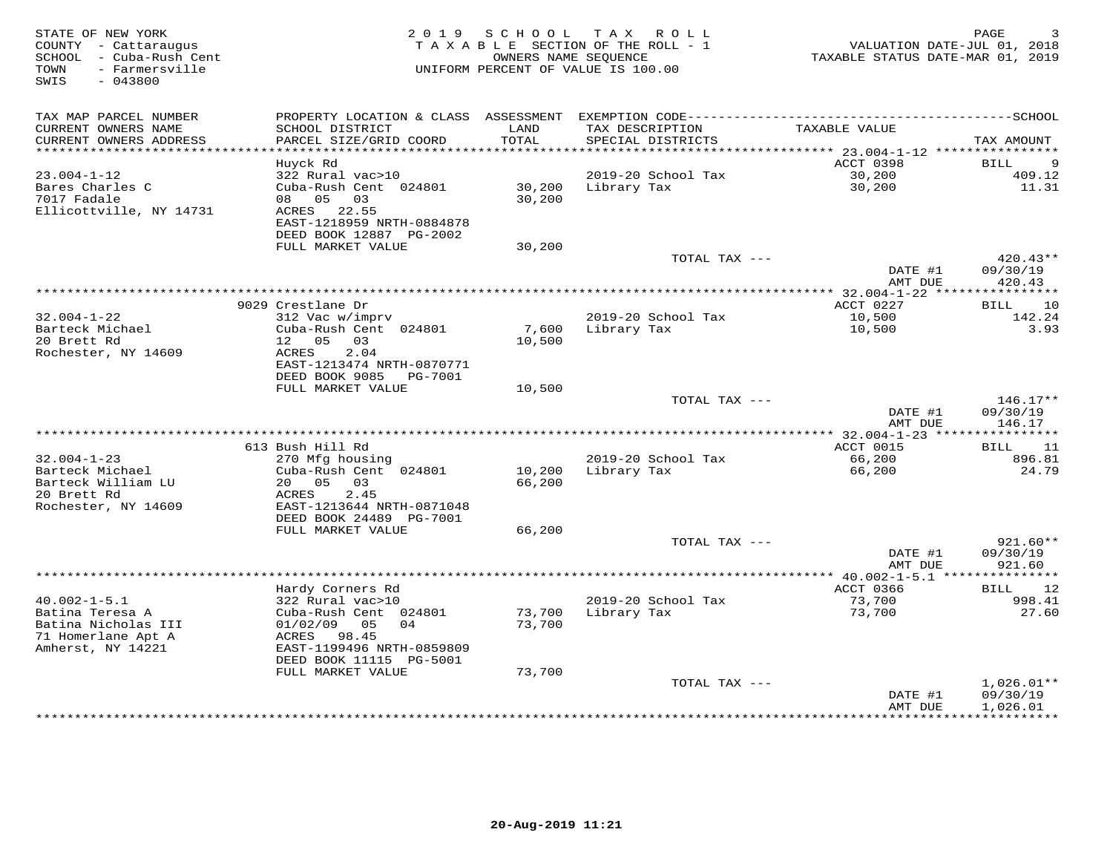| STATE OF NEW YORK<br>COUNTY - Cattaraugus<br>SCHOOL - Cuba-Rush Cent<br>- Farmersville<br>TOWN<br>SWIS<br>$-043800$ |                                                        | 2019 SCHOOL   | T A X<br>R O L L<br>TAXABLE SECTION OF THE ROLL - 1<br>OWNERS NAME SEQUENCE<br>UNIFORM PERCENT OF VALUE IS 100.00 | VALUATION DATE-JUL 01, 2018<br>TAXABLE STATUS DATE-MAR 01, 2019 | PAGE                   |
|---------------------------------------------------------------------------------------------------------------------|--------------------------------------------------------|---------------|-------------------------------------------------------------------------------------------------------------------|-----------------------------------------------------------------|------------------------|
| TAX MAP PARCEL NUMBER                                                                                               | PROPERTY LOCATION & CLASS ASSESSMENT                   |               |                                                                                                                   |                                                                 |                        |
| CURRENT OWNERS NAME<br>CURRENT OWNERS ADDRESS<br>*************************                                          | SCHOOL DISTRICT<br>PARCEL SIZE/GRID COORD              | LAND<br>TOTAL | TAX DESCRIPTION<br>SPECIAL DISTRICTS                                                                              | TAXABLE VALUE                                                   | TAX AMOUNT             |
|                                                                                                                     | Huvck Rd                                               |               |                                                                                                                   | <b>ACCT 0398</b>                                                | 9<br>BILL              |
| $23.004 - 1 - 12$                                                                                                   | 322 Rural vac>10                                       |               | 2019-20 School Tax                                                                                                | 30,200                                                          | 409.12                 |
| Bares Charles C                                                                                                     | Cuba-Rush Cent 024801                                  | 30,200        | Library Tax                                                                                                       | 30,200                                                          | 11.31                  |
| 7017 Fadale                                                                                                         | 08 05<br>03                                            | 30,200        |                                                                                                                   |                                                                 |                        |
| Ellicottville, NY 14731                                                                                             | ACRES 22.55                                            |               |                                                                                                                   |                                                                 |                        |
|                                                                                                                     | EAST-1218959 NRTH-0884878                              |               |                                                                                                                   |                                                                 |                        |
|                                                                                                                     | DEED BOOK 12887 PG-2002                                |               |                                                                                                                   |                                                                 |                        |
|                                                                                                                     | FULL MARKET VALUE                                      | 30,200        |                                                                                                                   |                                                                 |                        |
|                                                                                                                     |                                                        |               | TOTAL TAX ---                                                                                                     | DATE #1                                                         | $420.43**$<br>09/30/19 |
|                                                                                                                     |                                                        |               |                                                                                                                   | AMT DUE                                                         | 420.43                 |
|                                                                                                                     |                                                        |               |                                                                                                                   |                                                                 |                        |
|                                                                                                                     | 9029 Crestlane Dr                                      |               |                                                                                                                   | ACCT 0227                                                       | 10<br>BILL             |
| $32.004 - 1 - 22$                                                                                                   | 312 Vac w/imprv                                        |               | 2019-20 School Tax                                                                                                | 10,500                                                          | 142.24                 |
| Barteck Michael                                                                                                     | Cuba-Rush Cent 024801                                  | 7,600         | Library Tax                                                                                                       | 10,500                                                          | 3.93                   |
| 20 Brett Rd                                                                                                         | 12 05<br>03                                            | 10,500        |                                                                                                                   |                                                                 |                        |
| Rochester, NY 14609                                                                                                 | ACRES<br>2.04                                          |               |                                                                                                                   |                                                                 |                        |
|                                                                                                                     | EAST-1213474 NRTH-0870771<br>DEED BOOK 9085<br>PG-7001 |               |                                                                                                                   |                                                                 |                        |
|                                                                                                                     | FULL MARKET VALUE                                      | 10,500        |                                                                                                                   |                                                                 |                        |
|                                                                                                                     |                                                        |               | TOTAL TAX ---                                                                                                     |                                                                 | $146.17**$             |
|                                                                                                                     |                                                        |               |                                                                                                                   | DATE #1                                                         | 09/30/19               |
|                                                                                                                     |                                                        |               |                                                                                                                   | AMT DUE                                                         | 146.17                 |
|                                                                                                                     |                                                        |               |                                                                                                                   |                                                                 |                        |
|                                                                                                                     | 613 Bush Hill Rd                                       |               |                                                                                                                   | ACCT 0015                                                       | BILL<br>11             |
| $32.004 - 1 - 23$<br>Barteck Michael                                                                                | 270 Mfg housing<br>Cuba-Rush Cent 024801               | 10,200        | 2019-20 School Tax<br>Library Tax                                                                                 | 66,200<br>66,200                                                | 896.81<br>24.79        |
| Barteck William LU                                                                                                  | 20 05<br>03                                            | 66,200        |                                                                                                                   |                                                                 |                        |
| 20 Brett Rd                                                                                                         | ACRES<br>2.45                                          |               |                                                                                                                   |                                                                 |                        |
| Rochester, NY 14609                                                                                                 | EAST-1213644 NRTH-0871048                              |               |                                                                                                                   |                                                                 |                        |
|                                                                                                                     | DEED BOOK 24489 PG-7001                                |               |                                                                                                                   |                                                                 |                        |
|                                                                                                                     | FULL MARKET VALUE                                      | 66,200        |                                                                                                                   |                                                                 |                        |
|                                                                                                                     |                                                        |               | TOTAL TAX ---                                                                                                     |                                                                 | $921.60**$             |
|                                                                                                                     |                                                        |               |                                                                                                                   | DATE #1                                                         | 09/30/19<br>921.60     |
|                                                                                                                     |                                                        |               | ************************                                                                                          | AMT DUE<br>********** 40.002-1-5.1 ****************             |                        |
|                                                                                                                     | Hardy Corners Rd                                       |               |                                                                                                                   | ACCT 0366                                                       | BILL<br>12             |
| $40.002 - 1 - 5.1$                                                                                                  | 322 Rural vac>10                                       |               | 2019-20 School Tax                                                                                                | 73,700                                                          | 998.41                 |
| Batina Teresa A                                                                                                     | Cuba-Rush Cent 024801                                  | 73,700        | Library Tax                                                                                                       | 73,700                                                          | 27.60                  |
| Batina Nicholas III                                                                                                 | 01/02/09 05<br>04                                      | 73,700        |                                                                                                                   |                                                                 |                        |
| 71 Homerlane Apt A                                                                                                  | ACRES 98.45                                            |               |                                                                                                                   |                                                                 |                        |
| Amherst, NY 14221                                                                                                   | EAST-1199496 NRTH-0859809                              |               |                                                                                                                   |                                                                 |                        |
|                                                                                                                     | DEED BOOK 11115 PG-5001<br>FULL MARKET VALUE           | 73,700        |                                                                                                                   |                                                                 |                        |
|                                                                                                                     |                                                        |               | TOTAL TAX ---                                                                                                     |                                                                 | $1,026.01**$           |
|                                                                                                                     |                                                        |               |                                                                                                                   | DATE #1                                                         | 09/30/19               |
|                                                                                                                     |                                                        |               |                                                                                                                   | AMT DUE                                                         | 1,026.01               |
|                                                                                                                     |                                                        |               |                                                                                                                   | * * * * * * * * * * * *                                         | ***********            |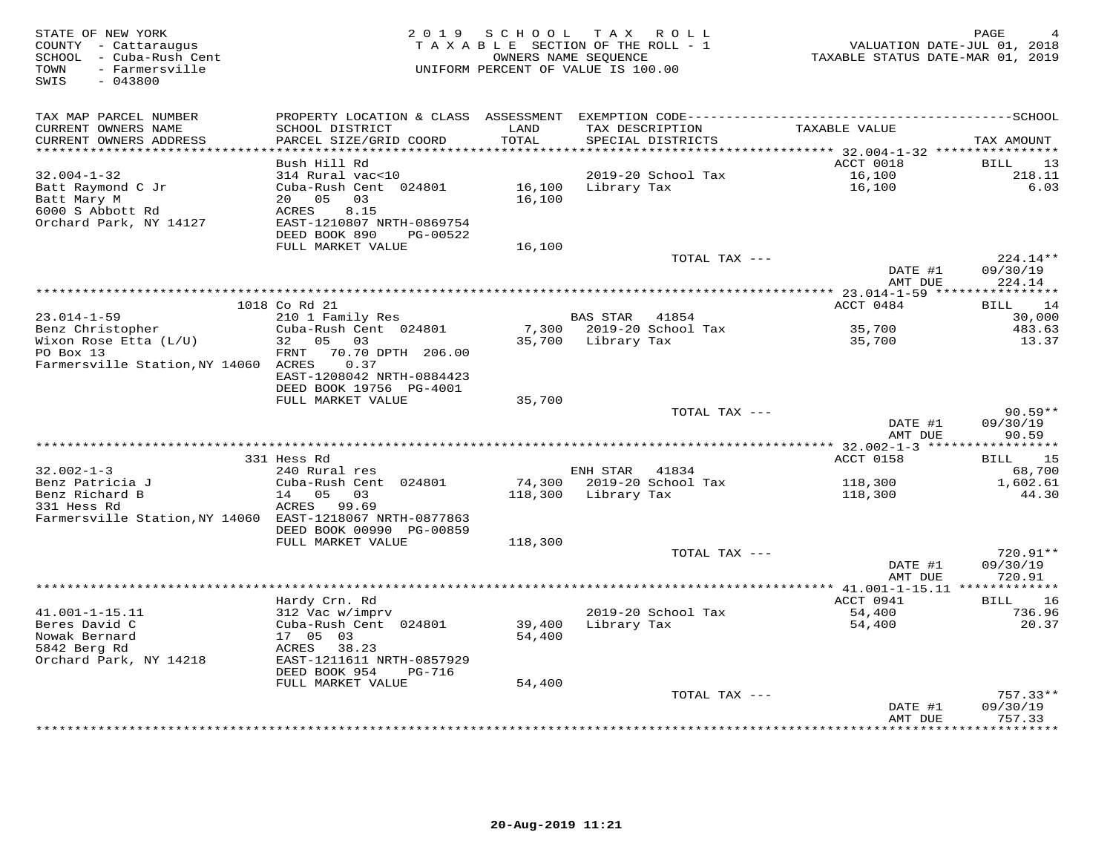| STATE OF NEW YORK<br>COUNTY - Cattaraugus<br>SCHOOL - Cuba-Rush Cent<br>TOWN<br>- Farmersville<br>$-043800$<br>SWIS |                                                                                                                                                     | 2019 SCHOOL TAX ROLL<br>TAXABLE SECTION OF THE ROLL - 1<br>OWNERS NAME SEQUENCE<br>UNIFORM PERCENT OF VALUE IS 100.00 |                     |                                      | VALUATION DATE-JUL 01, 2018<br>TAXABLE STATUS DATE-MAR 01, 2019 | PAGE                            |
|---------------------------------------------------------------------------------------------------------------------|-----------------------------------------------------------------------------------------------------------------------------------------------------|-----------------------------------------------------------------------------------------------------------------------|---------------------|--------------------------------------|-----------------------------------------------------------------|---------------------------------|
| TAX MAP PARCEL NUMBER<br>CURRENT OWNERS NAME<br>CURRENT OWNERS ADDRESS                                              | PROPERTY LOCATION & CLASS ASSESSMENT EXEMPTION CODE-----------------------------------SCHOOL<br>SCHOOL DISTRICT<br>PARCEL SIZE/GRID COORD           | LAND<br>TOTAL                                                                                                         |                     | TAX DESCRIPTION<br>SPECIAL DISTRICTS | TAXABLE VALUE                                                   | TAX AMOUNT                      |
| **********************                                                                                              |                                                                                                                                                     |                                                                                                                       |                     |                                      |                                                                 |                                 |
| $32.004 - 1 - 32$<br>Batt Raymond C Jr<br>Batt Mary M<br>6000 S Abbott Rd<br>Orchard Park, NY 14127                 | Bush Hill Rd<br>314 Rural vac<10<br>Cuba-Rush Cent 024801<br>20 05<br>03<br>ACRES<br>8.15<br>EAST-1210807 NRTH-0869754<br>DEED BOOK 890<br>PG-00522 | 16,100                                                                                                                | 16,100 Library Tax  | 2019-20 School Tax                   | ACCT 0018<br>16,100<br>16,100                                   | BILL<br>13<br>218.11<br>6.03    |
|                                                                                                                     | FULL MARKET VALUE                                                                                                                                   | 16,100                                                                                                                |                     |                                      |                                                                 |                                 |
|                                                                                                                     |                                                                                                                                                     |                                                                                                                       |                     | TOTAL TAX ---                        | DATE #1<br>AMT DUE                                              | 224.14**<br>09/30/19<br>224.14  |
|                                                                                                                     |                                                                                                                                                     |                                                                                                                       |                     |                                      |                                                                 |                                 |
|                                                                                                                     | 1018 Co Rd 21                                                                                                                                       |                                                                                                                       |                     |                                      | ACCT 0484                                                       | 14<br><b>BILL</b>               |
| $23.014 - 1 - 59$<br>Benz Christopher                                                                               | 210 1 Family Res<br>Cuba-Rush Cent 024801                                                                                                           |                                                                                                                       | BAS STAR 41854      | 7,300 2019-20 School Tax             |                                                                 | 30,000<br>483.63                |
| Wixon Rose Etta (L/U)                                                                                               | 32 05 03                                                                                                                                            |                                                                                                                       | 35,700 Library Tax  |                                      | $35,700$<br>$35,700$<br>35,700                                  | 13.37                           |
| PO Box 13                                                                                                           | 70.70 DPTH 206.00<br>FRNT                                                                                                                           |                                                                                                                       |                     |                                      |                                                                 |                                 |
| Farmersville Station, NY 14060 ACRES                                                                                | 0.37<br>EAST-1208042 NRTH-0884423<br>DEED BOOK 19756 PG-4001                                                                                        |                                                                                                                       |                     |                                      |                                                                 |                                 |
|                                                                                                                     | FULL MARKET VALUE                                                                                                                                   | 35,700                                                                                                                |                     |                                      |                                                                 |                                 |
|                                                                                                                     |                                                                                                                                                     |                                                                                                                       |                     | TOTAL TAX ---                        |                                                                 | $90.59**$                       |
|                                                                                                                     |                                                                                                                                                     |                                                                                                                       |                     |                                      | DATE #1<br>AMT DUE                                              | 09/30/19<br>90.59               |
|                                                                                                                     |                                                                                                                                                     |                                                                                                                       |                     |                                      |                                                                 |                                 |
| $32.002 - 1 - 3$                                                                                                    | 331 Hess Rd<br>240 Rural res                                                                                                                        |                                                                                                                       | ENH STAR            | 41834                                | ACCT 0158                                                       | BILL 15<br>68,700               |
| Benz Patricia J                                                                                                     | Cuba-Rush Cent 024801                                                                                                                               |                                                                                                                       |                     | 74,300 2019-20 School Tax            | 118,300                                                         | 1,602.61                        |
| Benz Richard B<br>331 Hess Rd<br>Farmersville Station, NY 14060 EAST-1218067 NRTH-0877863                           | 14 05<br>03<br>ACRES 99.69<br>DEED BOOK 00990 PG-00859                                                                                              |                                                                                                                       | 118,300 Library Tax |                                      | 118,300                                                         | 44.30                           |
|                                                                                                                     | FULL MARKET VALUE                                                                                                                                   | 118,300                                                                                                               |                     |                                      |                                                                 |                                 |
|                                                                                                                     |                                                                                                                                                     |                                                                                                                       |                     | TOTAL TAX ---                        | DATE #1<br>AMT DUE                                              | 720.91**<br>09/30/19<br>720.91  |
|                                                                                                                     |                                                                                                                                                     |                                                                                                                       |                     |                                      |                                                                 |                                 |
|                                                                                                                     | Hardy Crn. Rd                                                                                                                                       |                                                                                                                       |                     |                                      | ACCT 0941                                                       | 16<br>BILL                      |
| $41.001 - 1 - 15.11$                                                                                                | 312 Vac w/imprv                                                                                                                                     |                                                                                                                       |                     | 2019-20 School Tax                   | 54,400                                                          | 736.96                          |
| Beres David C<br>Nowak Bernard                                                                                      | Cuba-Rush Cent 024801<br>17 05 03                                                                                                                   | 39,400<br>54,400                                                                                                      |                     | Library Tax                          | 54,400                                                          | 20.37                           |
| 5842 Berg Rd                                                                                                        | ACRES 38.23                                                                                                                                         |                                                                                                                       |                     |                                      |                                                                 |                                 |
| Orchard Park, NY 14218                                                                                              | EAST-1211611 NRTH-0857929<br>DEED BOOK 954<br>PG-716                                                                                                |                                                                                                                       |                     |                                      |                                                                 |                                 |
|                                                                                                                     | FULL MARKET VALUE                                                                                                                                   | 54,400                                                                                                                |                     |                                      |                                                                 |                                 |
|                                                                                                                     |                                                                                                                                                     |                                                                                                                       |                     | TOTAL TAX ---                        |                                                                 | $757.33**$                      |
|                                                                                                                     |                                                                                                                                                     |                                                                                                                       |                     |                                      | DATE #1<br>AMT DUE                                              | 09/30/19<br>757.33<br>********* |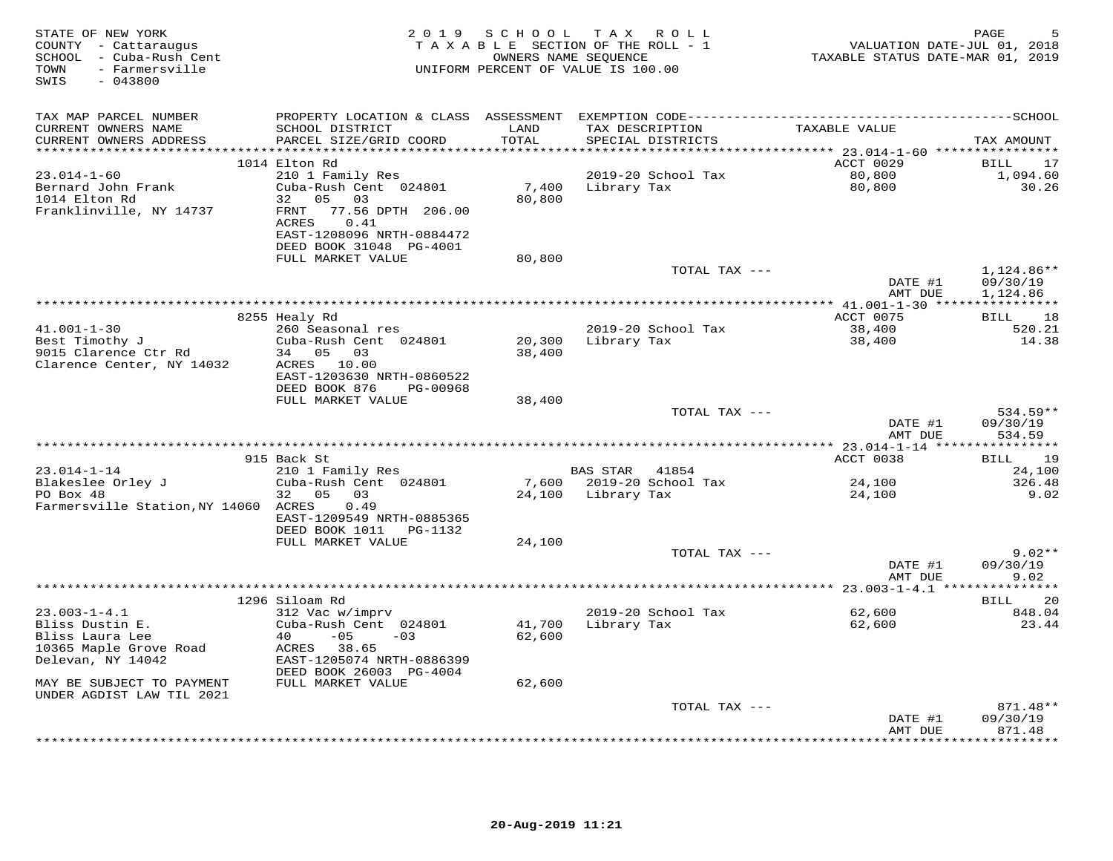| STATE OF NEW YORK<br>COUNTY - Cattaraugus<br>SCHOOL - Cuba-Rush Cent<br>- Farmersville<br>TOWN<br>SWIS<br>$-043800$ |                                                                             |               | 2019 SCHOOL TAX ROLL<br>TAXABLE SECTION OF THE ROLL - 1<br>OWNERS NAME SEQUENCE<br>UNIFORM PERCENT OF VALUE IS 100.00 | VALUATION DATE-JUL 01, 2018<br>TAXABLE STATUS DATE-MAR 01, 2019 | PAGE<br>5            |
|---------------------------------------------------------------------------------------------------------------------|-----------------------------------------------------------------------------|---------------|-----------------------------------------------------------------------------------------------------------------------|-----------------------------------------------------------------|----------------------|
| TAX MAP PARCEL NUMBER                                                                                               |                                                                             |               |                                                                                                                       |                                                                 |                      |
| CURRENT OWNERS NAME<br>CURRENT OWNERS ADDRESS<br>**********************                                             | SCHOOL DISTRICT<br>PARCEL SIZE/GRID COORD<br>****************************** | LAND<br>TOTAL | TAX DESCRIPTION<br>SPECIAL DISTRICTS<br>**********************************                                            | TAXABLE VALUE                                                   | TAX AMOUNT           |
|                                                                                                                     | 1014 Elton Rd                                                               |               |                                                                                                                       | *********** 23.014-1-60 *****************<br>ACCT 0029          | BILL<br>17           |
| 23.014-1-60                                                                                                         | 210 1 Family Res                                                            |               | 2019-20 School Tax                                                                                                    |                                                                 | 1,094.60             |
| Bernard John Frank                                                                                                  | Cuba-Rush Cent 024801                                                       |               | 7,400 Library Tax                                                                                                     | 80,800<br>80,800                                                | 30.26                |
| 1014 Elton Rd                                                                                                       | 32 05 03                                                                    | 80,800        |                                                                                                                       |                                                                 |                      |
| Franklinville, NY 14737                                                                                             | 77.56 DPTH 206.00<br>FRNT<br>0.41<br>ACRES                                  |               |                                                                                                                       |                                                                 |                      |
|                                                                                                                     | EAST-1208096 NRTH-0884472                                                   |               |                                                                                                                       |                                                                 |                      |
|                                                                                                                     | DEED BOOK 31048 PG-4001                                                     |               |                                                                                                                       |                                                                 |                      |
|                                                                                                                     | FULL MARKET VALUE                                                           | 80,800        |                                                                                                                       |                                                                 |                      |
|                                                                                                                     |                                                                             |               | TOTAL TAX ---                                                                                                         |                                                                 | 1,124.86**           |
|                                                                                                                     |                                                                             |               |                                                                                                                       | DATE #1<br>AMT DUE                                              | 09/30/19<br>1,124.86 |
|                                                                                                                     |                                                                             |               |                                                                                                                       | *********** 41.001-1-30 *****************                       |                      |
|                                                                                                                     | 8255 Healy Rd                                                               |               |                                                                                                                       | ACCT 0075                                                       | <b>BILL</b><br>18    |
| $41.001 - 1 - 30$                                                                                                   | 260 Seasonal res                                                            |               | 2019-20 School Tax                                                                                                    | 38,400                                                          | 520.21               |
| Best Timothy J                                                                                                      | Cuba-Rush Cent 024801                                                       |               | 20,300 Library Tax                                                                                                    | 38,400                                                          | 14.38                |
| 9015 Clarence Ctr Rd<br>Clarence Center, NY 14032                                                                   | 34 05 03<br>ACRES 10.00                                                     | 38,400        |                                                                                                                       |                                                                 |                      |
|                                                                                                                     | EAST-1203630 NRTH-0860522                                                   |               |                                                                                                                       |                                                                 |                      |
|                                                                                                                     | DEED BOOK 876<br>PG-00968                                                   |               |                                                                                                                       |                                                                 |                      |
|                                                                                                                     | FULL MARKET VALUE                                                           | 38,400        |                                                                                                                       |                                                                 |                      |
|                                                                                                                     |                                                                             |               | TOTAL TAX ---                                                                                                         |                                                                 | 534.59**             |
|                                                                                                                     |                                                                             |               |                                                                                                                       | DATE #1<br>AMT DUE                                              | 09/30/19<br>534.59   |
|                                                                                                                     |                                                                             |               |                                                                                                                       |                                                                 |                      |
|                                                                                                                     | 915 Back St                                                                 |               |                                                                                                                       | ACCT 0038                                                       | BILL 19              |
| $23.014 - 1 - 14$                                                                                                   | 210 1 Family Res                                                            |               | BAS STAR 41854                                                                                                        |                                                                 | 24,100               |
| Blakeslee Orley J<br>PO Box 48                                                                                      | Cuba-Rush Cent 024801<br>32 05 03                                           |               | 7,600 2019-20 School Tax                                                                                              | 24,100                                                          | 326.48<br>9.02       |
| Farmersville Station, NY 14060 ACRES                                                                                | 0.49                                                                        |               | 24,100 Library Tax                                                                                                    | 24,100                                                          |                      |
|                                                                                                                     | EAST-1209549 NRTH-0885365                                                   |               |                                                                                                                       |                                                                 |                      |
|                                                                                                                     | DEED BOOK 1011    PG-1132                                                   |               |                                                                                                                       |                                                                 |                      |
|                                                                                                                     | FULL MARKET VALUE                                                           | 24,100        |                                                                                                                       |                                                                 |                      |
|                                                                                                                     |                                                                             |               | TOTAL TAX ---                                                                                                         | DATE #1                                                         | $9.02**$<br>09/30/19 |
|                                                                                                                     |                                                                             |               |                                                                                                                       | AMT DUE                                                         | 9.02                 |
|                                                                                                                     |                                                                             |               |                                                                                                                       |                                                                 |                      |
|                                                                                                                     | 1296 Siloam Rd                                                              |               |                                                                                                                       |                                                                 | <b>BILL</b><br>20    |
| $23.003 - 1 - 4.1$                                                                                                  | 312 Vac w/imprv                                                             |               | 2019-20 School Tax                                                                                                    | 62,600                                                          | 848.04               |
| Bliss Dustin E.<br>Bliss Laura Lee                                                                                  | Cuba-Rush Cent 024801<br>$40 -05 -03$                                       | 62,600        | 41,700 Library Tax                                                                                                    | 62,600                                                          | 23.44                |
| 10365 Maple Grove Road                                                                                              | ACRES 38.65                                                                 |               |                                                                                                                       |                                                                 |                      |
| Delevan, NY 14042                                                                                                   | EAST-1205074 NRTH-0886399                                                   |               |                                                                                                                       |                                                                 |                      |
|                                                                                                                     | DEED BOOK 26003 PG-4004                                                     |               |                                                                                                                       |                                                                 |                      |
| MAY BE SUBJECT TO PAYMENT                                                                                           | FULL MARKET VALUE                                                           | 62,600        |                                                                                                                       |                                                                 |                      |
| UNDER AGDIST LAW TIL 2021                                                                                           |                                                                             |               | TOTAL TAX ---                                                                                                         |                                                                 | 871.48**             |
|                                                                                                                     |                                                                             |               |                                                                                                                       | DATE #1                                                         | 09/30/19             |
|                                                                                                                     |                                                                             |               |                                                                                                                       | AMT DUE                                                         | 871.48               |
|                                                                                                                     |                                                                             |               |                                                                                                                       |                                                                 | ********             |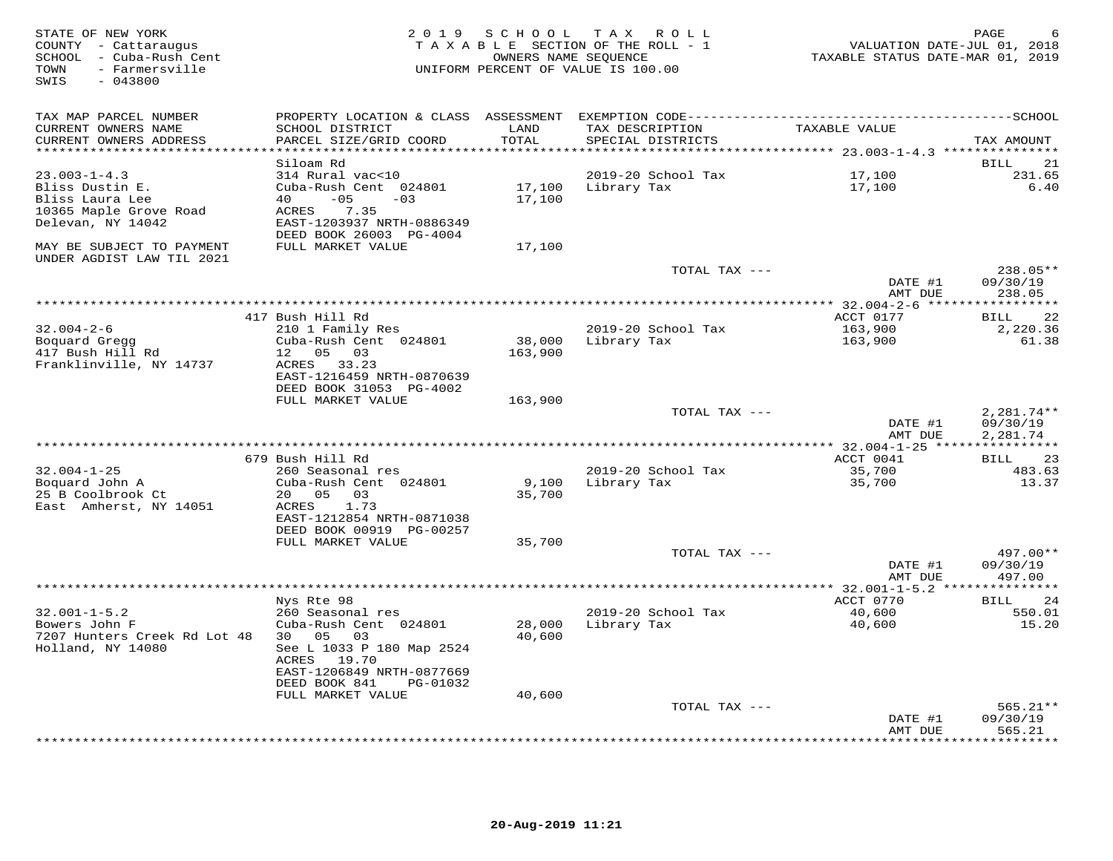| STATE OF NEW YORK<br>COUNTY - Cattaraugus<br>SCHOOL - Cuba-Rush Cent<br>- Farmersville<br>TOWN<br>$-043800$<br>SWIS | 2 0 1 9                                              | OWNERS NAME SEQUENCE | SCHOOL TAX ROLL<br>TAXABLE SECTION OF THE ROLL - 1<br>UNIFORM PERCENT OF VALUE IS 100.00 | VALUATION DATE-JUL 01, 2018<br>TAXABLE STATUS DATE-MAR 01, 2019 | PAGE                 |
|---------------------------------------------------------------------------------------------------------------------|------------------------------------------------------|----------------------|------------------------------------------------------------------------------------------|-----------------------------------------------------------------|----------------------|
| TAX MAP PARCEL NUMBER                                                                                               |                                                      |                      |                                                                                          |                                                                 |                      |
| CURRENT OWNERS NAME                                                                                                 | SCHOOL DISTRICT                                      | LAND                 | TAX DESCRIPTION                                                                          | TAXABLE VALUE                                                   |                      |
| CURRENT OWNERS ADDRESS<br>************************                                                                  | PARCEL SIZE/GRID COORD                               | TOTAL                | SPECIAL DISTRICTS                                                                        |                                                                 | TAX AMOUNT           |
|                                                                                                                     | Siloam Rd                                            |                      |                                                                                          |                                                                 | 21<br>BILL           |
| $23.003 - 1 - 4.3$                                                                                                  | 314 Rural vac<10                                     |                      | 2019-20 School Tax                                                                       | 17,100                                                          | 231.65               |
| Bliss Dustin E.                                                                                                     | Cuba-Rush Cent 024801                                |                      | 17,100 Library Tax                                                                       | 17,100                                                          | 6.40                 |
| Bliss Laura Lee                                                                                                     | $-05$<br>$-03$<br>40 — 10                            | 17,100               |                                                                                          |                                                                 |                      |
| 10365 Maple Grove Road                                                                                              | 7.35<br>ACRES                                        |                      |                                                                                          |                                                                 |                      |
| Delevan, NY 14042                                                                                                   | EAST-1203937 NRTH-0886349<br>DEED BOOK 26003 PG-4004 |                      |                                                                                          |                                                                 |                      |
| MAY BE SUBJECT TO PAYMENT<br>UNDER AGDIST LAW TIL 2021                                                              | FULL MARKET VALUE                                    | 17,100               |                                                                                          |                                                                 |                      |
|                                                                                                                     |                                                      |                      | TOTAL TAX ---                                                                            |                                                                 | $238.05**$           |
|                                                                                                                     |                                                      |                      |                                                                                          | DATE #1                                                         | 09/30/19             |
|                                                                                                                     |                                                      |                      |                                                                                          | AMT DUE                                                         | 238.05               |
|                                                                                                                     | 417 Bush Hill Rd                                     |                      |                                                                                          | ACCT 0177                                                       | 22<br>BILL           |
| $32.004 - 2 - 6$                                                                                                    | 210 1 Family Res                                     |                      | 2019-20 School Tax                                                                       | 163,900                                                         | 2,220.36             |
| Boquard Gregg                                                                                                       | Cuba-Rush Cent 024801                                | 38,000               | Library Tax                                                                              | 163,900                                                         | 61.38                |
| 417 Bush Hill Rd                                                                                                    | 12  05  03                                           | 163,900              |                                                                                          |                                                                 |                      |
| Franklinville, NY 14737                                                                                             | ACRES 33.23                                          |                      |                                                                                          |                                                                 |                      |
|                                                                                                                     | EAST-1216459 NRTH-0870639                            |                      |                                                                                          |                                                                 |                      |
|                                                                                                                     | DEED BOOK 31053 PG-4002<br>FULL MARKET VALUE         | 163,900              |                                                                                          |                                                                 |                      |
|                                                                                                                     |                                                      |                      | TOTAL TAX ---                                                                            |                                                                 | $2,281.74**$         |
|                                                                                                                     |                                                      |                      |                                                                                          | DATE #1                                                         | 09/30/19             |
|                                                                                                                     |                                                      |                      |                                                                                          | AMT DUE                                                         | 2,281.74             |
|                                                                                                                     | 679 Bush Hill Rd                                     |                      |                                                                                          | ACCT 0041                                                       | 23<br>BILL           |
| $32.004 - 1 - 25$                                                                                                   | 260 Seasonal res                                     |                      | 2019-20 School Tax                                                                       | 35,700                                                          | 483.63               |
| Boquard John A                                                                                                      | Cuba-Rush Cent 024801                                | 9,100                | Library Tax                                                                              | 35,700                                                          | 13.37                |
| 25 B Coolbrook Ct                                                                                                   | 20  05  03                                           | 35,700               |                                                                                          |                                                                 |                      |
| East Amherst, NY 14051                                                                                              | 1.73<br>ACRES                                        |                      |                                                                                          |                                                                 |                      |
|                                                                                                                     | EAST-1212854 NRTH-0871038                            |                      |                                                                                          |                                                                 |                      |
|                                                                                                                     | DEED BOOK 00919 PG-00257<br>FULL MARKET VALUE        | 35,700               |                                                                                          |                                                                 |                      |
|                                                                                                                     |                                                      |                      | TOTAL TAX ---                                                                            |                                                                 | 497.00**             |
|                                                                                                                     |                                                      |                      |                                                                                          | DATE #1                                                         | 09/30/19             |
|                                                                                                                     |                                                      |                      |                                                                                          | AMT DUE                                                         | 497.00               |
|                                                                                                                     |                                                      |                      |                                                                                          | *********** 32.001-1-5.2 ***                                    | ***********          |
| $32.001 - 1 - 5.2$                                                                                                  | Nys Rte 98<br>260 Seasonal res                       |                      | 2019-20 School Tax                                                                       | ACCT 0770<br>40,600                                             | BILL<br>24<br>550.01 |
| Bowers John F                                                                                                       | Cuba-Rush Cent 024801                                | 28,000               | Library Tax                                                                              | 40,600                                                          | 15.20                |
| 7207 Hunters Creek Rd Lot 48                                                                                        | 30 05<br>03                                          | 40,600               |                                                                                          |                                                                 |                      |
| Holland, NY 14080                                                                                                   | See L 1033 P 180 Map 2524                            |                      |                                                                                          |                                                                 |                      |
|                                                                                                                     | ACRES 19.70                                          |                      |                                                                                          |                                                                 |                      |
|                                                                                                                     | EAST-1206849 NRTH-0877669                            |                      |                                                                                          |                                                                 |                      |
|                                                                                                                     | DEED BOOK 841<br>PG-01032<br>FULL MARKET VALUE       | 40,600               |                                                                                          |                                                                 |                      |
|                                                                                                                     |                                                      |                      | TOTAL TAX ---                                                                            |                                                                 | $565.21**$           |
|                                                                                                                     |                                                      |                      |                                                                                          | DATE #1                                                         | 09/30/19             |
|                                                                                                                     |                                                      |                      |                                                                                          | AMT DUE                                                         | 565.21               |
|                                                                                                                     |                                                      |                      |                                                                                          |                                                                 | * * * * * * * *      |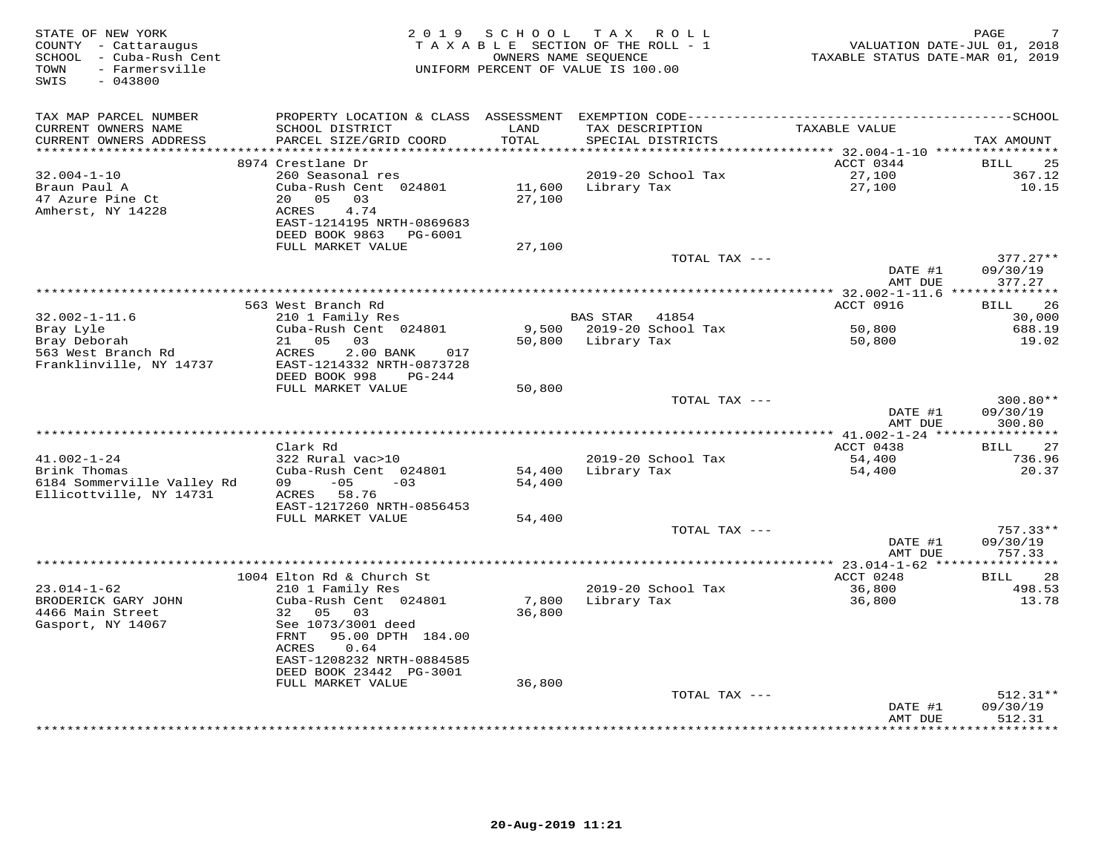| STATE OF NEW YORK<br>COUNTY - Cattaraugus<br>SCHOOL - Cuba-Rush Cent<br>- Farmersville<br>TOWN<br>$-043800$<br>SWIS | 2 0 1 9                                                | SCHOOL | TAX ROLL<br>TAXABLE SECTION OF THE ROLL - 1<br>OWNERS NAME SEQUENCE<br>UNIFORM PERCENT OF VALUE IS 100.00 | VALUATION DATE-JUL 01, 2018<br>TAXABLE STATUS DATE-MAR 01, 2019 | PAGE                  |
|---------------------------------------------------------------------------------------------------------------------|--------------------------------------------------------|--------|-----------------------------------------------------------------------------------------------------------|-----------------------------------------------------------------|-----------------------|
| TAX MAP PARCEL NUMBER                                                                                               |                                                        |        |                                                                                                           |                                                                 |                       |
| CURRENT OWNERS NAME                                                                                                 | SCHOOL DISTRICT                                        | LAND   | TAX DESCRIPTION                                                                                           | TAXABLE VALUE                                                   |                       |
| CURRENT OWNERS ADDRESS<br>**********************                                                                    | PARCEL SIZE/GRID COORD                                 | TOTAL  | SPECIAL DISTRICTS                                                                                         |                                                                 | TAX AMOUNT            |
|                                                                                                                     | 8974 Crestlane Dr                                      |        |                                                                                                           | ACCT 0344                                                       | BILL<br>25            |
| $32.004 - 1 - 10$                                                                                                   | 260 Seasonal res                                       |        | 2019-20 School Tax                                                                                        | 27,100                                                          | 367.12                |
| Braun Paul A                                                                                                        | Cuba-Rush Cent 024801                                  | 11,600 | Library Tax                                                                                               | 27,100                                                          | 10.15                 |
| 47 Azure Pine Ct                                                                                                    | 20 05<br>03                                            | 27,100 |                                                                                                           |                                                                 |                       |
| Amherst, NY 14228                                                                                                   | ACRES<br>4.74                                          |        |                                                                                                           |                                                                 |                       |
|                                                                                                                     | EAST-1214195 NRTH-0869683<br>DEED BOOK 9863<br>PG-6001 |        |                                                                                                           |                                                                 |                       |
|                                                                                                                     | FULL MARKET VALUE                                      | 27,100 |                                                                                                           |                                                                 |                       |
|                                                                                                                     |                                                        |        | TOTAL TAX ---                                                                                             |                                                                 | $377.27**$            |
|                                                                                                                     |                                                        |        |                                                                                                           | DATE #1                                                         | 09/30/19              |
|                                                                                                                     |                                                        |        |                                                                                                           | AMT DUE<br>$**$ 32.002-1-11.6                                   | 377.27<br>*********** |
|                                                                                                                     | 563 West Branch Rd                                     |        |                                                                                                           | ACCT 0916                                                       | <b>BILL</b><br>26     |
| $32.002 - 1 - 11.6$                                                                                                 | 210 1 Family Res                                       |        | BAS STAR 41854                                                                                            |                                                                 | 30,000                |
| Bray Lyle                                                                                                           | Cuba-Rush Cent 024801                                  |        | 9,500 2019-20 School Tax                                                                                  | 50,800                                                          | 688.19                |
| Bray Deborah<br>563 West Branch Rd                                                                                  | 21 05<br>03<br>2.00 BANK<br>017<br>ACRES               |        | 50,800 Library Tax                                                                                        | 50,800                                                          | 19.02                 |
| Franklinville, NY 14737                                                                                             | EAST-1214332 NRTH-0873728                              |        |                                                                                                           |                                                                 |                       |
|                                                                                                                     | DEED BOOK 998<br>PG-244                                |        |                                                                                                           |                                                                 |                       |
|                                                                                                                     | FULL MARKET VALUE                                      | 50,800 |                                                                                                           |                                                                 |                       |
|                                                                                                                     |                                                        |        | TOTAL TAX ---                                                                                             |                                                                 | 300.80**              |
|                                                                                                                     |                                                        |        |                                                                                                           | DATE #1<br>AMT DUE                                              | 09/30/19<br>300.80    |
|                                                                                                                     |                                                        |        |                                                                                                           |                                                                 |                       |
|                                                                                                                     | Clark Rd                                               |        |                                                                                                           | ACCT 0438                                                       | 27<br>BILL            |
| $41.002 - 1 - 24$                                                                                                   | 322 Rural vac>10                                       |        | 2019-20 School Tax                                                                                        | 54,400                                                          | 736.96                |
| Brink Thomas<br>6184 Sommerville Valley Rd                                                                          | Cuba-Rush Cent 024801<br>$-0.5$<br>09<br>$-0.3$        | 54,400 | Library Tax                                                                                               | 54,400                                                          | 20.37                 |
| Ellicottville, NY 14731                                                                                             | ACRES 58.76                                            | 54,400 |                                                                                                           |                                                                 |                       |
|                                                                                                                     | EAST-1217260 NRTH-0856453                              |        |                                                                                                           |                                                                 |                       |
|                                                                                                                     | FULL MARKET VALUE                                      | 54,400 |                                                                                                           |                                                                 |                       |
|                                                                                                                     |                                                        |        | TOTAL TAX ---                                                                                             |                                                                 | $757.33**$            |
|                                                                                                                     |                                                        |        |                                                                                                           | DATE #1<br>AMT DUE                                              | 09/30/19<br>757.33    |
|                                                                                                                     |                                                        |        |                                                                                                           | *************** 23.014-1-62 *****************                   |                       |
|                                                                                                                     | 1004 Elton Rd & Church St                              |        |                                                                                                           | ACCT 0248                                                       | <b>BILL</b><br>28     |
| $23.014 - 1 - 62$                                                                                                   | 210 1 Family Res                                       |        | 2019-20 School Tax                                                                                        | 36,800                                                          | 498.53                |
| BRODERICK GARY JOHN                                                                                                 | Cuba-Rush Cent 024801<br>05<br>03<br>32                | 7,800  | Library Tax                                                                                               | 36,800                                                          | 13.78                 |
| 4466 Main Street<br>Gasport, NY 14067                                                                               | See 1073/3001 deed                                     | 36,800 |                                                                                                           |                                                                 |                       |
|                                                                                                                     | FRNT<br>95.00 DPTH 184.00                              |        |                                                                                                           |                                                                 |                       |
|                                                                                                                     | ACRES<br>0.64                                          |        |                                                                                                           |                                                                 |                       |
|                                                                                                                     | EAST-1208232 NRTH-0884585                              |        |                                                                                                           |                                                                 |                       |
|                                                                                                                     | DEED BOOK 23442 PG-3001<br>FULL MARKET VALUE           | 36,800 |                                                                                                           |                                                                 |                       |
|                                                                                                                     |                                                        |        | TOTAL TAX ---                                                                                             |                                                                 | $512.31**$            |
|                                                                                                                     |                                                        |        |                                                                                                           | DATE #1                                                         | 09/30/19              |
|                                                                                                                     |                                                        |        | ********************************                                                                          | AMT DUE                                                         | 512.31                |
|                                                                                                                     |                                                        |        |                                                                                                           |                                                                 | * * * * * * * * *     |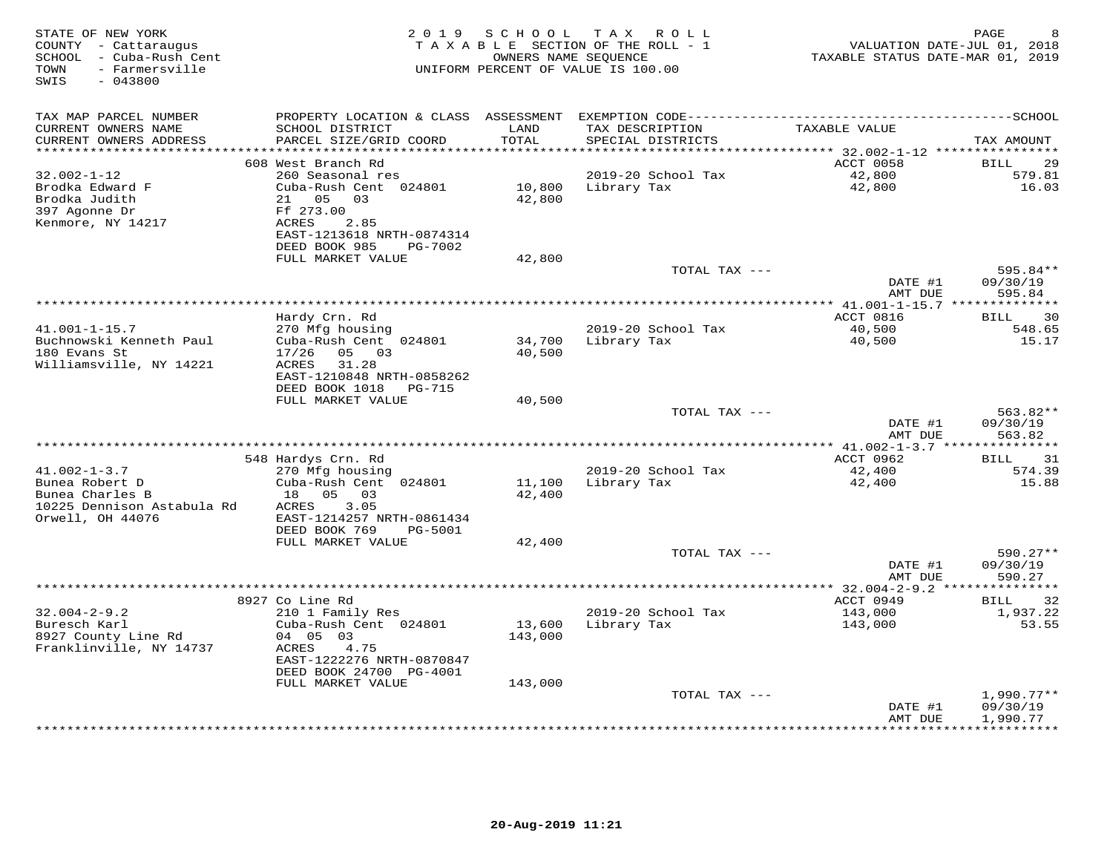| STATE OF NEW YORK<br>COUNTY - Cattaraugus<br>SCHOOL - Cuba-Rush Cent<br>- Farmersville<br>TOWN<br>SWIS<br>$-043800$ | 2 0 1 9                                                                                                                                                                  | SCHOOL                       | T A X<br>R O L L<br>TAXABLE SECTION OF THE ROLL - 1<br>OWNERS NAME SEQUENCE<br>UNIFORM PERCENT OF VALUE IS 100.00 | VALUATION DATE-JUL 01, 2018<br>TAXABLE STATUS DATE-MAR 01, 2019 | PAGE<br>8                            |
|---------------------------------------------------------------------------------------------------------------------|--------------------------------------------------------------------------------------------------------------------------------------------------------------------------|------------------------------|-------------------------------------------------------------------------------------------------------------------|-----------------------------------------------------------------|--------------------------------------|
| TAX MAP PARCEL NUMBER<br>CURRENT OWNERS NAME<br>CURRENT OWNERS ADDRESS                                              | SCHOOL DISTRICT<br>PARCEL SIZE/GRID COORD                                                                                                                                | LAND<br>TOTAL                | TAX DESCRIPTION<br>SPECIAL DISTRICTS                                                                              | TAXABLE VALUE                                                   | TAX AMOUNT                           |
| *******************                                                                                                 |                                                                                                                                                                          | *******                      |                                                                                                                   | ************ 32.002-1-12 **********                             |                                      |
| $32.002 - 1 - 12$<br>Brodka Edward F<br>Brodka Judith<br>397 Agonne Dr<br>Kenmore, NY 14217                         | 608 West Branch Rd<br>260 Seasonal res<br>Cuba-Rush Cent 024801<br>05<br>21<br>03<br>Ff 273.00<br>ACRES<br>2.85<br>EAST-1213618 NRTH-0874314<br>DEED BOOK 985<br>PG-7002 | 10,800<br>42,800             | 2019-20 School Tax<br>Library Tax                                                                                 | ACCT 0058<br>42,800<br>42,800                                   | 29<br><b>BILL</b><br>579.81<br>16.03 |
|                                                                                                                     | FULL MARKET VALUE                                                                                                                                                        | 42,800                       |                                                                                                                   |                                                                 |                                      |
|                                                                                                                     |                                                                                                                                                                          |                              | TOTAL TAX ---                                                                                                     | DATE #1<br>AMT DUE                                              | 595.84**<br>09/30/19<br>595.84       |
|                                                                                                                     |                                                                                                                                                                          |                              |                                                                                                                   |                                                                 |                                      |
| $41.001 - 1 - 15.7$<br>Buchnowski Kenneth Paul                                                                      | Hardy Crn. Rd<br>270 Mfg housing<br>Cuba-Rush Cent 024801                                                                                                                | 34,700                       | 2019-20 School Tax<br>Library Tax                                                                                 | ACCT 0816<br>40,500<br>40,500                                   | 30<br><b>BILL</b><br>548.65<br>15.17 |
| 180 Evans St<br>Williamsville, NY 14221                                                                             | 17/26<br>05 03<br>ACRES<br>31.28<br>EAST-1210848 NRTH-0858262<br>DEED BOOK 1018<br><b>PG-715</b>                                                                         | 40,500                       |                                                                                                                   |                                                                 |                                      |
|                                                                                                                     | FULL MARKET VALUE                                                                                                                                                        | 40,500                       |                                                                                                                   |                                                                 |                                      |
|                                                                                                                     |                                                                                                                                                                          |                              | TOTAL TAX ---                                                                                                     | DATE #1<br>AMT DUE                                              | 563.82**<br>09/30/19<br>563.82       |
|                                                                                                                     | ********************                                                                                                                                                     |                              | **************************************                                                                            | ******* $41.002 - 1 - 3.7$                                      | * * * * * * * * * * * *              |
| $41.002 - 1 - 3.7$                                                                                                  | 548 Hardys Crn. Rd<br>270 Mfg housing                                                                                                                                    |                              | 2019-20 School Tax                                                                                                | ACCT 0962<br>42,400                                             | 31<br>BILL<br>574.39                 |
| Bunea Robert D<br>Bunea Charles B<br>10225 Dennison Astabula Rd<br>Orwell, OH 44076                                 | Cuba-Rush Cent 024801<br>18  05  03<br>3.05<br>ACRES<br>EAST-1214257 NRTH-0861434<br>DEED BOOK 769<br>PG-5001                                                            | 11,100<br>42,400             | Library Tax                                                                                                       | 42,400                                                          | 15.88                                |
|                                                                                                                     | FULL MARKET VALUE                                                                                                                                                        | 42,400                       |                                                                                                                   |                                                                 |                                      |
|                                                                                                                     |                                                                                                                                                                          |                              | TOTAL TAX ---                                                                                                     | DATE #1<br>AMT DUE                                              | 590.27**<br>09/30/19<br>590.27       |
|                                                                                                                     |                                                                                                                                                                          |                              |                                                                                                                   | *** 32.004-2-9.2 **                                             |                                      |
| $32.004 - 2 - 9.2$<br>Buresch Karl<br>8927 County Line Rd<br>Franklinville, NY 14737                                | 8927 Co Line Rd<br>210 1 Family Res<br>Cuba-Rush Cent 024801<br>04 05 03<br>ACRES<br>4.75<br>EAST-1222276 NRTH-0870847<br>DEED BOOK 24700 PG-4001<br>FULL MARKET VALUE   | 13,600<br>143,000<br>143,000 | 2019-20 School Tax<br>Library Tax                                                                                 | ACCT 0949<br>143,000<br>143,000                                 | 32<br>BILL<br>1,937.22<br>53.55      |
|                                                                                                                     |                                                                                                                                                                          |                              | TOTAL TAX ---                                                                                                     |                                                                 | $1,990.77**$                         |
|                                                                                                                     |                                                                                                                                                                          |                              |                                                                                                                   | DATE #1<br>AMT DUE                                              | 09/30/19<br>1,990.77<br>**********   |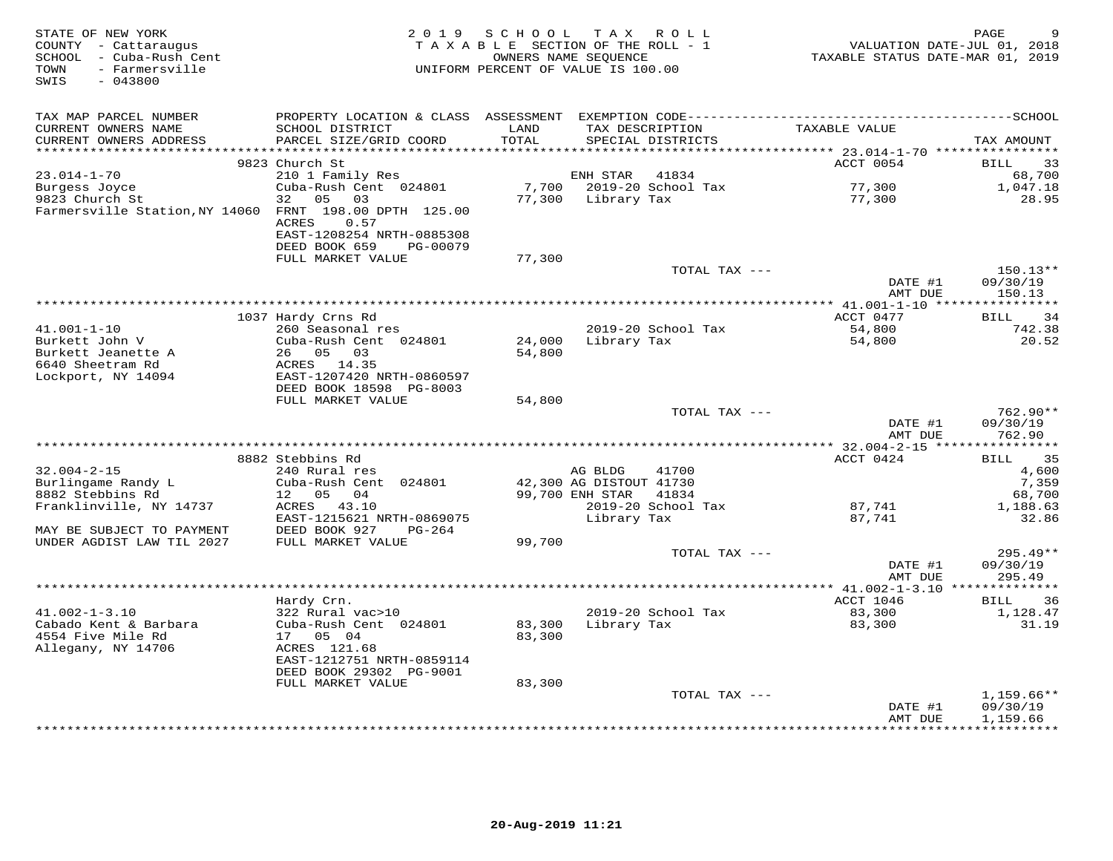| STATE OF NEW YORK<br>COUNTY - Cattaraugus<br>SCHOOL - Cuba-Rush Cent<br>- Farmersville<br>TOWN<br>SWIS<br>$-043800$ |                                                      | 2019 SCHOOL<br>TAXABLE SECTION OF THE ROLL - 1<br>OWNERS NAME SEOUENCE<br>UNIFORM PERCENT OF VALUE IS 100.00 |                                            | TAX ROLL                             | TAXABLE STATUS DATE-MAR 01, 2019                    | PAGE<br>VALUATION DATE-JUL 01, 2018 |
|---------------------------------------------------------------------------------------------------------------------|------------------------------------------------------|--------------------------------------------------------------------------------------------------------------|--------------------------------------------|--------------------------------------|-----------------------------------------------------|-------------------------------------|
| TAX MAP PARCEL NUMBER                                                                                               |                                                      |                                                                                                              |                                            |                                      |                                                     |                                     |
| CURRENT OWNERS NAME<br>CURRENT OWNERS ADDRESS<br>********************                                               | SCHOOL DISTRICT<br>PARCEL SIZE/GRID COORD            | LAND<br>TOTAL<br>***********                                                                                 |                                            | TAX DESCRIPTION<br>SPECIAL DISTRICTS | TAXABLE VALUE                                       | TAX AMOUNT                          |
|                                                                                                                     | 9823 Church St                                       |                                                                                                              |                                            |                                      | ******** 23.014-1-70 *****************<br>ACCT 0054 | BILL<br>33                          |
| $23.014 - 1 - 70$                                                                                                   | 210 1 Family Res                                     |                                                                                                              | ENH STAR                                   | 41834                                |                                                     | 68,700                              |
| Burgess Joyce                                                                                                       | Cuba-Rush Cent 024801                                |                                                                                                              |                                            | 7,700 2019-20 School Tax             | 77,300                                              | 1,047.18                            |
| 9823 Church St                                                                                                      | 32<br>05 03                                          |                                                                                                              | 77,300 Library Tax                         |                                      | 77,300                                              | 28.95                               |
| Farmersville Station, NY 14060 FRNT 198.00 DPTH 125.00                                                              | ACRES<br>0.57<br>EAST-1208254 NRTH-0885308           |                                                                                                              |                                            |                                      |                                                     |                                     |
|                                                                                                                     | DEED BOOK 659<br>PG-00079<br>FULL MARKET VALUE       | 77,300                                                                                                       |                                            |                                      |                                                     |                                     |
|                                                                                                                     |                                                      |                                                                                                              |                                            | TOTAL TAX ---                        |                                                     | 150.13**                            |
|                                                                                                                     |                                                      |                                                                                                              |                                            |                                      | DATE #1<br>AMT DUE                                  | 09/30/19<br>150.13                  |
|                                                                                                                     |                                                      |                                                                                                              |                                            |                                      |                                                     |                                     |
| $41.001 - 1 - 10$                                                                                                   | 1037 Hardy Crns Rd<br>260 Seasonal res               |                                                                                                              |                                            | 2019-20 School Tax                   | ACCT 0477<br>54,800                                 | 34<br>BILL<br>742.38                |
| Burkett John V                                                                                                      | Cuba-Rush Cent 024801                                | 24,000                                                                                                       | Library Tax                                |                                      | 54,800                                              | 20.52                               |
| Burkett Jeanette A                                                                                                  | 26 05 03                                             | 54,800                                                                                                       |                                            |                                      |                                                     |                                     |
| 6640 Sheetram Rd                                                                                                    | ACRES 14.35                                          |                                                                                                              |                                            |                                      |                                                     |                                     |
| Lockport, NY 14094                                                                                                  | EAST-1207420 NRTH-0860597                            |                                                                                                              |                                            |                                      |                                                     |                                     |
|                                                                                                                     | DEED BOOK 18598 PG-8003                              |                                                                                                              |                                            |                                      |                                                     |                                     |
|                                                                                                                     | FULL MARKET VALUE                                    | 54,800                                                                                                       |                                            |                                      |                                                     |                                     |
|                                                                                                                     |                                                      |                                                                                                              |                                            | TOTAL TAX ---                        | DATE #1<br>AMT DUE                                  | 762.90**<br>09/30/19<br>762.90      |
|                                                                                                                     |                                                      |                                                                                                              |                                            |                                      |                                                     |                                     |
|                                                                                                                     | 8882 Stebbins Rd                                     |                                                                                                              |                                            |                                      | ACCT 0424                                           | BILL 35                             |
| $32.004 - 2 - 15$                                                                                                   | 240 Rural res                                        |                                                                                                              | AG BLDG                                    | 41700                                |                                                     | 4,600                               |
| Burlingame Randy L<br>8882 Stebbins Rd                                                                              | Cuba-Rush Cent 024801<br>12 05<br>04                 |                                                                                                              | 42,300 AG DISTOUT 41730<br>99,700 ENH STAR | 41834                                |                                                     | 7,359<br>68,700                     |
| Franklinville, NY 14737                                                                                             | ACRES 43.10                                          |                                                                                                              |                                            | 2019-20 School Tax                   | 87,741                                              | 1,188.63                            |
|                                                                                                                     | EAST-1215621 NRTH-0869075                            |                                                                                                              | Library Tax                                |                                      | 87,741                                              | 32.86                               |
| MAY BE SUBJECT TO PAYMENT                                                                                           | DEED BOOK 927<br>$PG-264$                            |                                                                                                              |                                            |                                      |                                                     |                                     |
| UNDER AGDIST LAW TIL 2027                                                                                           | FULL MARKET VALUE                                    | 99,700                                                                                                       |                                            |                                      |                                                     |                                     |
|                                                                                                                     |                                                      |                                                                                                              |                                            | TOTAL TAX ---                        | DATE #1<br>AMT DUE                                  | 295.49**<br>09/30/19<br>295.49      |
|                                                                                                                     |                                                      |                                                                                                              |                                            |                                      |                                                     |                                     |
|                                                                                                                     | Hardy Crn.                                           |                                                                                                              |                                            |                                      | ACCT 1046                                           | 36<br>BILL                          |
| $41.002 - 1 - 3.10$                                                                                                 | 322 Rural vac>10                                     |                                                                                                              |                                            | 2019-20 School Tax                   | 83,300                                              | 1,128.47                            |
| Cabado Kent & Barbara                                                                                               | Cuba-Rush Cent 024801                                | 83,300                                                                                                       | Library Tax                                |                                      | 83,300                                              | 31.19                               |
| 4554 Five Mile Rd                                                                                                   | 17 05 04<br>ACRES 121.68                             | 83,300                                                                                                       |                                            |                                      |                                                     |                                     |
| Allegany, NY 14706                                                                                                  | EAST-1212751 NRTH-0859114<br>DEED BOOK 29302 PG-9001 |                                                                                                              |                                            |                                      |                                                     |                                     |
|                                                                                                                     | FULL MARKET VALUE                                    | 83,300                                                                                                       |                                            |                                      |                                                     |                                     |
|                                                                                                                     |                                                      |                                                                                                              |                                            | TOTAL TAX ---                        |                                                     | $1,159.66**$                        |
|                                                                                                                     |                                                      |                                                                                                              |                                            |                                      | DATE #1<br>AMT DUE                                  | 09/30/19<br>1,159.66<br>*********** |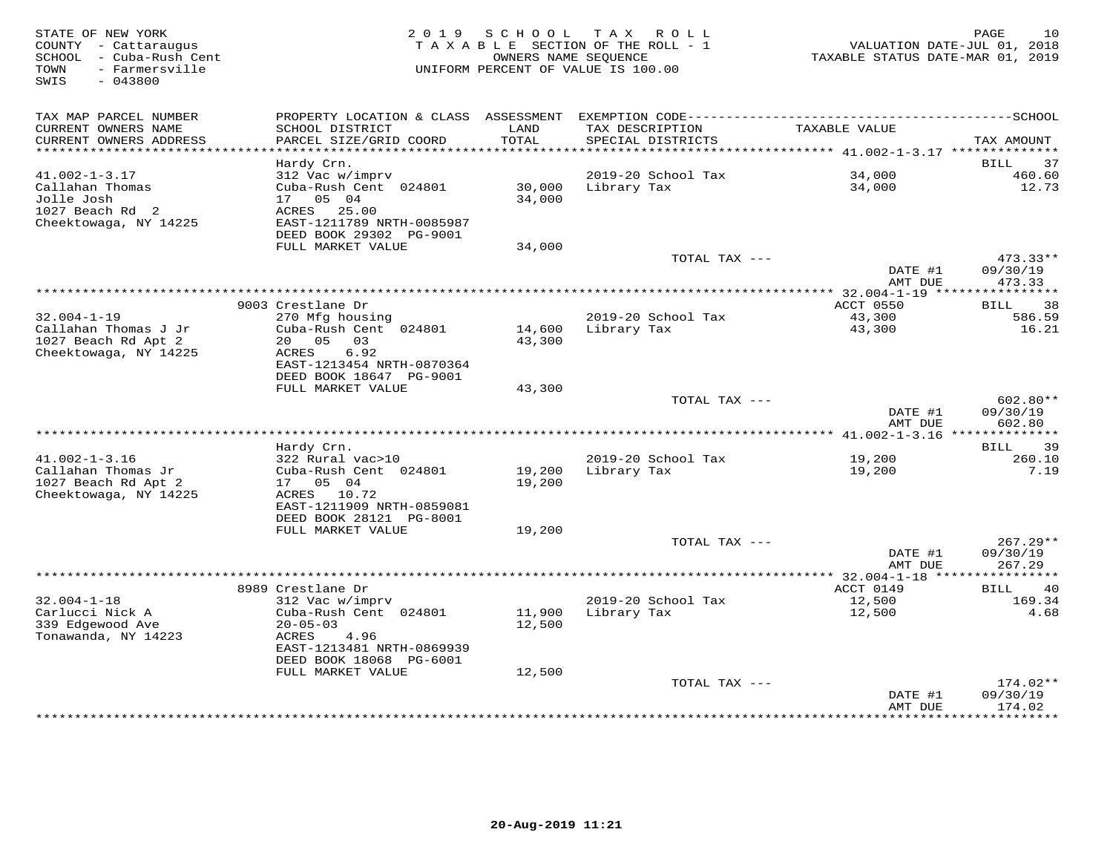| STATE OF NEW YORK<br>COUNTY - Cattaraugus<br>- Cuba-Rush Cent<br>SCHOOL<br>TOWN<br>- Farmersville<br>SWIS<br>$-043800$ | 2 0 1 9                                                                                                                               | S C H O O L                | T A X<br>R O L L<br>TAXABLE SECTION OF THE ROLL - 1<br>OWNERS NAME SEQUENCE<br>UNIFORM PERCENT OF VALUE IS 100.00 | VALUATION DATE-JUL 01, 2018<br>TAXABLE STATUS DATE-MAR 01, 2019 | PAGE<br>10                       |
|------------------------------------------------------------------------------------------------------------------------|---------------------------------------------------------------------------------------------------------------------------------------|----------------------------|-------------------------------------------------------------------------------------------------------------------|-----------------------------------------------------------------|----------------------------------|
| TAX MAP PARCEL NUMBER                                                                                                  |                                                                                                                                       |                            |                                                                                                                   |                                                                 |                                  |
| CURRENT OWNERS NAME<br>CURRENT OWNERS ADDRESS<br>************************                                              | SCHOOL DISTRICT<br>PARCEL SIZE/GRID COORD                                                                                             | LAND<br>TOTAL              | TAX DESCRIPTION<br>SPECIAL DISTRICTS                                                                              | TAXABLE VALUE                                                   | TAX AMOUNT                       |
|                                                                                                                        | Hardy Crn.                                                                                                                            |                            |                                                                                                                   |                                                                 | 37<br>BILL                       |
| $41.002 - 1 - 3.17$                                                                                                    | 312 Vac w/imprv                                                                                                                       |                            | 2019-20 School Tax                                                                                                | 34,000                                                          | 460.60                           |
| Callahan Thomas<br>Jolle Josh<br>1027 Beach Rd 2<br>Cheektowaga, NY 14225                                              | Cuba-Rush Cent 024801<br>17  05  04<br>ACRES 25.00<br>EAST-1211789 NRTH-0085987<br>DEED BOOK 29302 PG-9001                            | 30,000<br>34,000           | Library Tax                                                                                                       | 34,000                                                          | 12.73                            |
|                                                                                                                        | FULL MARKET VALUE                                                                                                                     | 34,000                     |                                                                                                                   |                                                                 |                                  |
|                                                                                                                        |                                                                                                                                       |                            | TOTAL TAX ---                                                                                                     | DATE #1                                                         | $473.33**$<br>09/30/19           |
|                                                                                                                        |                                                                                                                                       |                            |                                                                                                                   | AMT DUE                                                         | 473.33                           |
|                                                                                                                        | 9003 Crestlane Dr                                                                                                                     |                            |                                                                                                                   | ACCT 0550                                                       | 38<br>BILL                       |
| $32.004 - 1 - 19$                                                                                                      | 270 Mfg housing                                                                                                                       |                            | 2019-20 School Tax                                                                                                | 43,300                                                          | 586.59                           |
| Callahan Thomas J Jr<br>1027 Beach Rd Apt 2<br>Cheektowaga, NY 14225                                                   | Cuba-Rush Cent 024801<br>20  05  03<br>ACRES<br>6.92<br>EAST-1213454 NRTH-0870364<br>DEED BOOK 18647 PG-9001                          | 14,600<br>43,300           | Library Tax                                                                                                       | 43,300                                                          | 16.21                            |
|                                                                                                                        | FULL MARKET VALUE                                                                                                                     | 43,300                     |                                                                                                                   |                                                                 |                                  |
|                                                                                                                        |                                                                                                                                       |                            | TOTAL TAX ---                                                                                                     | DATE #1<br>AMT DUE                                              | $602.80**$<br>09/30/19<br>602.80 |
|                                                                                                                        |                                                                                                                                       |                            |                                                                                                                   |                                                                 |                                  |
|                                                                                                                        | Hardy Crn.                                                                                                                            |                            |                                                                                                                   |                                                                 | <b>BILL</b><br>39                |
| $41.002 - 1 - 3.16$<br>Callahan Thomas Jr<br>1027 Beach Rd Apt 2<br>Cheektowaga, NY 14225                              | 322 Rural vac>10<br>Cuba-Rush Cent 024801<br>17 05 04<br>ACRES 10.72<br>EAST-1211909 NRTH-0859081                                     | 19,200<br>19,200           | 2019-20 School Tax<br>Library Tax                                                                                 | 19,200<br>19,200                                                | 260.10<br>7.19                   |
|                                                                                                                        | DEED BOOK 28121 PG-8001                                                                                                               |                            |                                                                                                                   |                                                                 |                                  |
|                                                                                                                        | FULL MARKET VALUE                                                                                                                     | 19,200                     |                                                                                                                   |                                                                 |                                  |
|                                                                                                                        |                                                                                                                                       |                            | TOTAL TAX ---                                                                                                     | DATE #1<br>AMT DUE                                              | $267.29**$<br>09/30/19<br>267.29 |
|                                                                                                                        |                                                                                                                                       |                            |                                                                                                                   |                                                                 |                                  |
|                                                                                                                        | 8989 Crestlane Dr                                                                                                                     |                            |                                                                                                                   | ACCT 0149                                                       | 40<br>BILL                       |
| $32.004 - 1 - 18$                                                                                                      | 312 Vac w/imprv                                                                                                                       |                            | 2019-20 School Tax                                                                                                | 12,500                                                          | 169.34                           |
| Carlucci Nick A<br>339 Edgewood Ave<br>Tonawanda, NY 14223                                                             | Cuba-Rush Cent 024801<br>$20 - 05 - 03$<br>ACRES<br>4.96<br>EAST-1213481 NRTH-0869939<br>DEED BOOK 18068 PG-6001<br>FULL MARKET VALUE | 11,900<br>12,500<br>12,500 | Library Tax                                                                                                       | 12,500                                                          | 4.68                             |
|                                                                                                                        |                                                                                                                                       |                            | TOTAL TAX ---                                                                                                     |                                                                 | 174.02**                         |
|                                                                                                                        |                                                                                                                                       |                            | ********************************                                                                                  | DATE #1<br>AMT DUE<br>*************                             | 09/30/19<br>174.02<br>********** |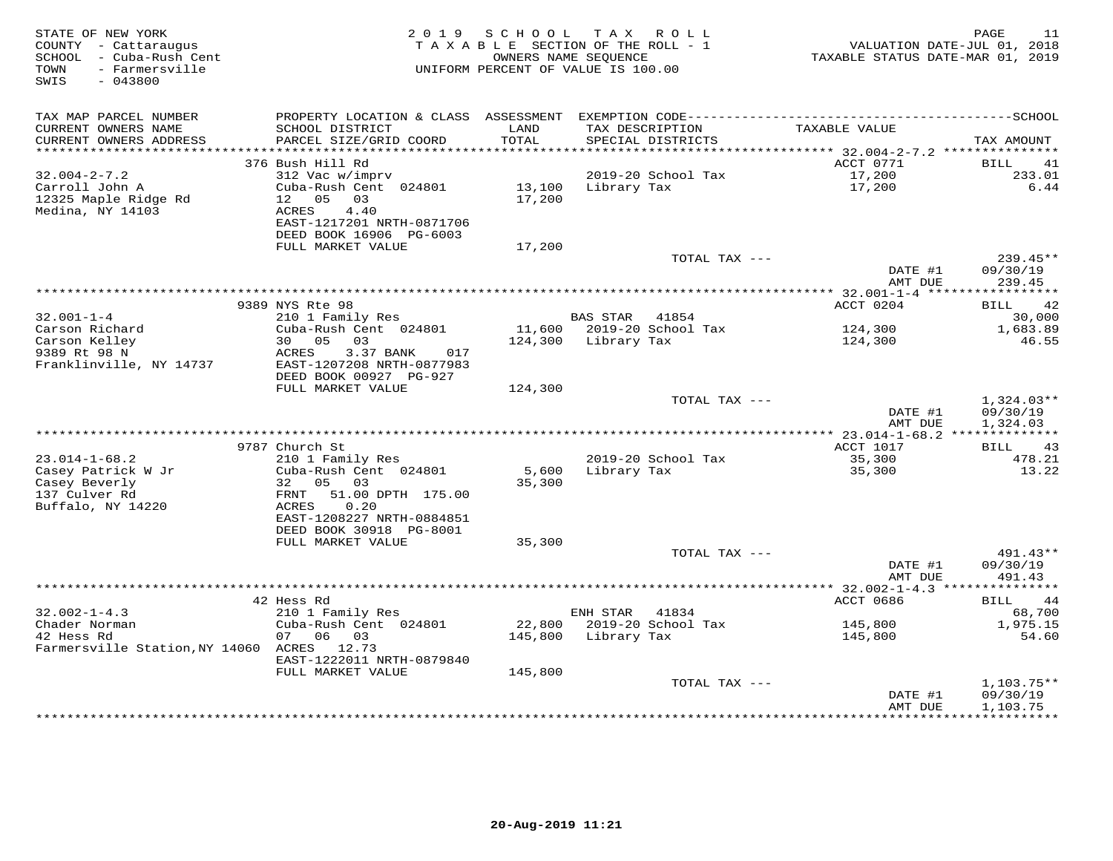| STATE OF NEW YORK<br>COUNTY - Cattaraugus<br>SCHOOL - Cuba-Rush Cent<br>TOWN<br>- Farmersville<br>SWIS<br>$-043800$ |                                                        | 2019 SCHOOL      | TAX ROLL<br>TAXABLE SECTION OF THE ROLL - 1<br>OWNERS NAME SEOUENCE<br>UNIFORM PERCENT OF VALUE IS 100.00 |               | TAXABLE STATUS DATE-MAR 01, 2019 | PAGE<br>11<br>VALUATION DATE-JUL 01, 2018 |
|---------------------------------------------------------------------------------------------------------------------|--------------------------------------------------------|------------------|-----------------------------------------------------------------------------------------------------------|---------------|----------------------------------|-------------------------------------------|
| TAX MAP PARCEL NUMBER                                                                                               | PROPERTY LOCATION & CLASS ASSESSMENT                   |                  |                                                                                                           |               |                                  |                                           |
| CURRENT OWNERS NAME<br>CURRENT OWNERS ADDRESS                                                                       | SCHOOL DISTRICT<br>PARCEL SIZE/GRID COORD              | LAND<br>TOTAL    | TAX DESCRIPTION<br>SPECIAL DISTRICTS                                                                      |               | TAXABLE VALUE                    | TAX AMOUNT                                |
| ***********************                                                                                             | 376 Bush Hill Rd                                       |                  |                                                                                                           |               | ACCT 0771                        | BILL<br>41                                |
| $32.004 - 2 - 7.2$                                                                                                  | 312 Vac w/imprv                                        |                  | 2019-20 School Tax                                                                                        |               | 17,200                           | 233.01                                    |
| Carroll John A<br>12325 Maple Ridge Rd                                                                              | Cuba-Rush Cent 024801<br>12  05  03                    | 13,100<br>17,200 | Library Tax                                                                                               |               | 17,200                           | 6.44                                      |
| Medina, NY 14103                                                                                                    | ACRES<br>4.40                                          |                  |                                                                                                           |               |                                  |                                           |
|                                                                                                                     | EAST-1217201 NRTH-0871706<br>DEED BOOK 16906 PG-6003   |                  |                                                                                                           |               |                                  |                                           |
|                                                                                                                     | FULL MARKET VALUE                                      | 17,200           |                                                                                                           |               |                                  |                                           |
|                                                                                                                     |                                                        |                  |                                                                                                           | TOTAL TAX --- | DATE #1                          | $239.45**$<br>09/30/19                    |
|                                                                                                                     |                                                        |                  |                                                                                                           |               | AMT DUE                          | 239.45                                    |
|                                                                                                                     | 9389 NYS Rte 98                                        |                  |                                                                                                           |               | ACCT 0204                        | 42<br>BILL                                |
| $32.001 - 1 - 4$                                                                                                    | 210 1 Family Res                                       |                  | <b>BAS STAR</b>                                                                                           | 41854         |                                  | 30,000                                    |
| Carson Richard                                                                                                      | Cuba-Rush Cent 024801                                  |                  | 11,600 2019-20 School Tax                                                                                 |               | 124,300                          | 1,683.89                                  |
| Carson Kelley                                                                                                       | 30 05 03                                               |                  | 124,300 Library Tax                                                                                       |               | 124,300                          | 46.55                                     |
| 9389 Rt 98 N<br>Franklinville, NY 14737                                                                             | ACRES<br>3.37 BANK<br>017<br>EAST-1207208 NRTH-0877983 |                  |                                                                                                           |               |                                  |                                           |
|                                                                                                                     | DEED BOOK 00927 PG-927                                 |                  |                                                                                                           |               |                                  |                                           |
|                                                                                                                     | FULL MARKET VALUE                                      | 124,300          |                                                                                                           |               |                                  |                                           |
|                                                                                                                     |                                                        |                  |                                                                                                           | TOTAL TAX --- | DATE #1                          | $1,324.03**$<br>09/30/19                  |
|                                                                                                                     |                                                        |                  |                                                                                                           |               | AMT DUE                          | 1,324.03                                  |
|                                                                                                                     |                                                        |                  |                                                                                                           |               |                                  |                                           |
|                                                                                                                     | 9787 Church St                                         |                  |                                                                                                           |               | ACCT 1017                        | 43<br>BILL                                |
| $23.014 - 1 - 68.2$                                                                                                 | 210 1 Family Res                                       |                  | 2019-20 School Tax                                                                                        |               | 35,300                           | 478.21                                    |
| Casey Patrick W Jr                                                                                                  | Cuba-Rush Cent 024801                                  | 5,600            | Library Tax                                                                                               |               | 35,300                           | 13.22                                     |
| Casey Beverly                                                                                                       | 32 05 03                                               | 35,300           |                                                                                                           |               |                                  |                                           |
| 137 Culver Rd                                                                                                       | 51.00 DPTH 175.00<br>FRNT                              |                  |                                                                                                           |               |                                  |                                           |
| Buffalo, NY 14220                                                                                                   | 0.20<br>ACRES                                          |                  |                                                                                                           |               |                                  |                                           |
|                                                                                                                     | EAST-1208227 NRTH-0884851<br>DEED BOOK 30918 PG-8001   |                  |                                                                                                           |               |                                  |                                           |
|                                                                                                                     | FULL MARKET VALUE                                      | 35,300           |                                                                                                           |               |                                  |                                           |
|                                                                                                                     |                                                        |                  |                                                                                                           | TOTAL TAX --- |                                  | 491.43**                                  |
|                                                                                                                     |                                                        |                  |                                                                                                           |               | DATE #1                          | 09/30/19                                  |
|                                                                                                                     |                                                        |                  |                                                                                                           |               | AMT DUE                          | 491.43                                    |
|                                                                                                                     |                                                        |                  |                                                                                                           |               |                                  |                                           |
|                                                                                                                     | 42 Hess Rd                                             |                  |                                                                                                           |               | ACCT 0686                        | 44<br>BILL                                |
| $32.002 - 1 - 4.3$                                                                                                  | 210 1 Family Res                                       |                  | ENH STAR                                                                                                  | 41834         |                                  | 68,700                                    |
| Chader Norman                                                                                                       | Cuba-Rush Cent 024801                                  |                  | 22,800 2019-20 School Tax                                                                                 |               | 145,800                          | 1,975.15                                  |
| 42 Hess Rd<br>Farmersville Station, NY 14060 ACRES 12.73                                                            | 07 06 03                                               | 145,800          | Library Tax                                                                                               |               | 145,800                          | 54.60                                     |
|                                                                                                                     | EAST-1222011 NRTH-0879840                              |                  |                                                                                                           |               |                                  |                                           |
|                                                                                                                     | FULL MARKET VALUE                                      | 145,800          |                                                                                                           |               |                                  |                                           |
|                                                                                                                     |                                                        |                  |                                                                                                           | TOTAL TAX --- |                                  | $1,103.75**$                              |
|                                                                                                                     |                                                        |                  |                                                                                                           |               | DATE #1                          | 09/30/19                                  |
|                                                                                                                     |                                                        |                  |                                                                                                           |               | AMT DUE                          | 1,103.75                                  |
|                                                                                                                     |                                                        |                  |                                                                                                           |               |                                  |                                           |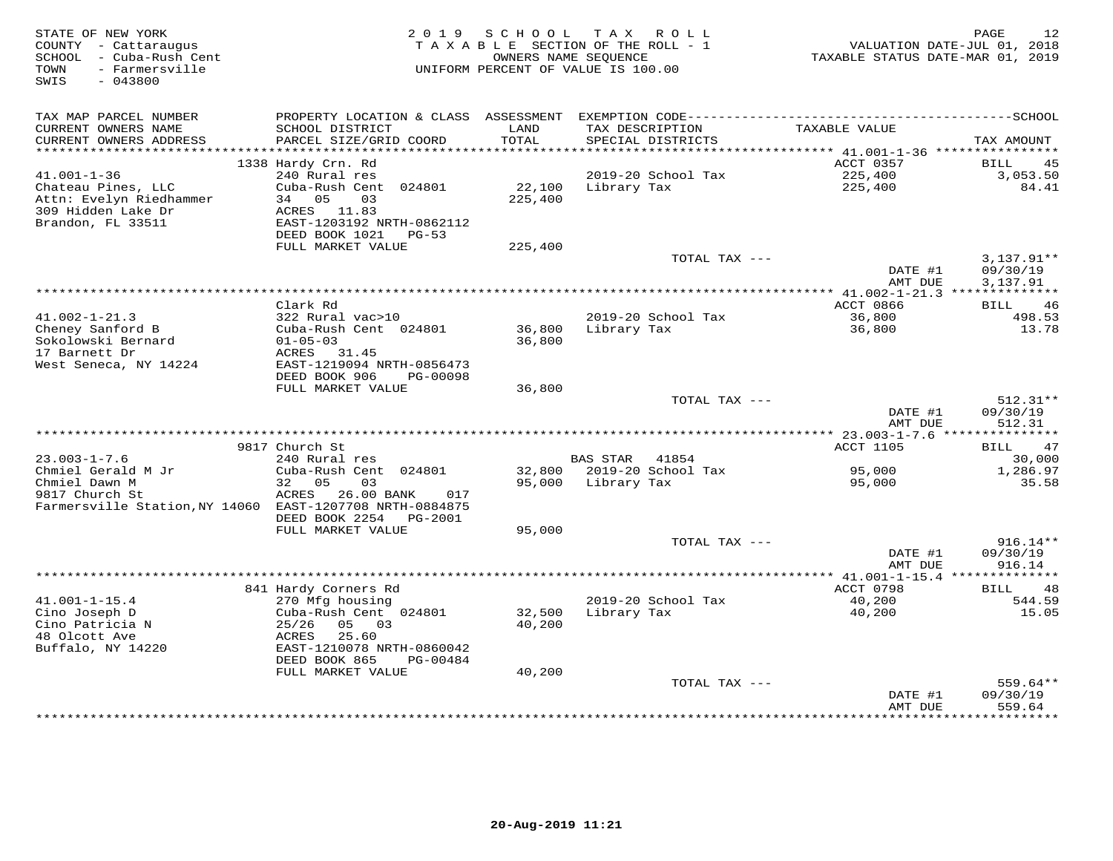| STATE OF NEW YORK<br>COUNTY - Cattaraugus<br>SCHOOL<br>- Cuba-Rush Cent<br>- Farmersville<br>TOWN<br>SWIS<br>$-043800$ | 2 0 1 9                                        | SCHOOL<br>OWNERS NAME SEQUENCE | T A X<br>R O L L<br>TAXABLE SECTION OF THE ROLL - 1<br>UNIFORM PERCENT OF VALUE IS 100.00 | VALUATION DATE-JUL 01, 2018<br>TAXABLE STATUS DATE-MAR 01, 2019 | 12<br>PAGE                |
|------------------------------------------------------------------------------------------------------------------------|------------------------------------------------|--------------------------------|-------------------------------------------------------------------------------------------|-----------------------------------------------------------------|---------------------------|
|                                                                                                                        |                                                |                                |                                                                                           |                                                                 |                           |
| TAX MAP PARCEL NUMBER                                                                                                  | PROPERTY LOCATION & CLASS ASSESSMENT           |                                |                                                                                           |                                                                 |                           |
| CURRENT OWNERS NAME                                                                                                    | SCHOOL DISTRICT                                | LAND                           | TAX DESCRIPTION                                                                           | <b>TAXABLE VALUE</b>                                            |                           |
| CURRENT OWNERS ADDRESS                                                                                                 | PARCEL SIZE/GRID COORD                         | TOTAL                          | SPECIAL DISTRICTS                                                                         |                                                                 | TAX AMOUNT                |
| **********************                                                                                                 | 1338 Hardy Crn. Rd                             |                                |                                                                                           | ACCT 0357                                                       | <b>BILL</b><br>45         |
| $41.001 - 1 - 36$                                                                                                      | 240 Rural res                                  |                                | 2019-20 School Tax                                                                        | 225,400                                                         | 3,053.50                  |
| Chateau Pines, LLC                                                                                                     | Cuba-Rush Cent 024801                          | 22,100                         | Library Tax                                                                               | 225,400                                                         | 84.41                     |
| Attn: Evelyn Riedhammer                                                                                                | 34<br>05<br>03                                 | 225,400                        |                                                                                           |                                                                 |                           |
| 309 Hidden Lake Dr                                                                                                     | ACRES 11.83                                    |                                |                                                                                           |                                                                 |                           |
| Brandon, FL 33511                                                                                                      | EAST-1203192 NRTH-0862112                      |                                |                                                                                           |                                                                 |                           |
|                                                                                                                        | DEED BOOK 1021<br>$PG-53$                      |                                |                                                                                           |                                                                 |                           |
|                                                                                                                        | FULL MARKET VALUE                              | 225,400                        | TOTAL TAX ---                                                                             |                                                                 | $3,137.91**$              |
|                                                                                                                        |                                                |                                |                                                                                           | DATE #1                                                         | 09/30/19                  |
|                                                                                                                        |                                                |                                |                                                                                           | AMT DUE                                                         | 3,137.91                  |
|                                                                                                                        |                                                |                                | *************                                                                             | * $41.002 - 1 - 21.3$ ***                                       |                           |
|                                                                                                                        | Clark Rd                                       |                                |                                                                                           | ACCT 0866                                                       | 46<br>BILL                |
| $41.002 - 1 - 21.3$                                                                                                    | 322 Rural vac>10                               |                                | 2019-20 School Tax                                                                        | 36,800                                                          | 498.53                    |
| Cheney Sanford B                                                                                                       | Cuba-Rush Cent 024801                          | 36,800                         | Library Tax                                                                               | 36,800                                                          | 13.78                     |
| Sokolowski Bernard<br>17 Barnett Dr                                                                                    | $01 - 05 - 03$<br>ACRES<br>31.45               | 36,800                         |                                                                                           |                                                                 |                           |
| West Seneca, NY 14224                                                                                                  | EAST-1219094 NRTH-0856473                      |                                |                                                                                           |                                                                 |                           |
|                                                                                                                        | DEED BOOK 906<br>PG-00098                      |                                |                                                                                           |                                                                 |                           |
|                                                                                                                        | FULL MARKET VALUE                              | 36,800                         |                                                                                           |                                                                 |                           |
|                                                                                                                        |                                                |                                | TOTAL TAX ---                                                                             |                                                                 | $512.31**$                |
|                                                                                                                        |                                                |                                |                                                                                           | DATE #1                                                         | 09/30/19                  |
|                                                                                                                        |                                                |                                |                                                                                           | AMT DUE                                                         | 512.31                    |
|                                                                                                                        | 9817 Church St                                 |                                |                                                                                           | ACCT 1105                                                       | <b>BILL</b><br>47         |
| $23.003 - 1 - 7.6$                                                                                                     | 240 Rural res                                  |                                | <b>BAS STAR</b><br>41854                                                                  |                                                                 | 30,000                    |
| Chmiel Gerald M Jr                                                                                                     | Cuba-Rush Cent 024801                          | 32,800                         | 2019-20 School Tax                                                                        | 95,000                                                          | 1,286.97                  |
| Chmiel Dawn M                                                                                                          | 32<br>05<br>03                                 | 95,000                         | Library Tax                                                                               | 95,000                                                          | 35.58                     |
| 9817 Church St                                                                                                         | ACRES<br>26.00 BANK<br>017                     |                                |                                                                                           |                                                                 |                           |
| Farmersville Station, NY 14060                                                                                         | EAST-1207708 NRTH-0884875                      |                                |                                                                                           |                                                                 |                           |
|                                                                                                                        | DEED BOOK 2254<br>PG-2001<br>FULL MARKET VALUE | 95,000                         |                                                                                           |                                                                 |                           |
|                                                                                                                        |                                                |                                | TOTAL TAX ---                                                                             |                                                                 | $916.14**$                |
|                                                                                                                        |                                                |                                |                                                                                           | DATE #1                                                         | 09/30/19                  |
|                                                                                                                        |                                                |                                |                                                                                           | AMT DUE                                                         | 916.14                    |
|                                                                                                                        | *****************                              |                                |                                                                                           | ********* 41.001-1-15.4 ***                                     |                           |
|                                                                                                                        | 841 Hardy Corners Rd                           |                                |                                                                                           | ACCT 0798                                                       | 48<br>BILL                |
| $41.001 - 1 - 15.4$                                                                                                    | 270 Mfg housing                                |                                | 2019-20 School Tax                                                                        | 40,200                                                          | 544.59                    |
| Cino Joseph D<br>Cino Patricia N                                                                                       | Cuba-Rush Cent 024801<br>25/26<br>05<br>03     | 32,500<br>40,200               | Library Tax                                                                               | 40,200                                                          | 15.05                     |
| 48 Olcott Ave                                                                                                          | ACRES<br>25.60                                 |                                |                                                                                           |                                                                 |                           |
| Buffalo, NY 14220                                                                                                      | EAST-1210078 NRTH-0860042                      |                                |                                                                                           |                                                                 |                           |
|                                                                                                                        | DEED BOOK 865<br>PG-00484                      |                                |                                                                                           |                                                                 |                           |
|                                                                                                                        | FULL MARKET VALUE                              | 40,200                         |                                                                                           |                                                                 |                           |
|                                                                                                                        |                                                |                                | TOTAL TAX ---                                                                             |                                                                 | $559.64**$                |
|                                                                                                                        |                                                |                                |                                                                                           | DATE #1                                                         | 09/30/19                  |
|                                                                                                                        |                                                |                                |                                                                                           | AMT DUE                                                         | 559.64<br>* * * * * * * * |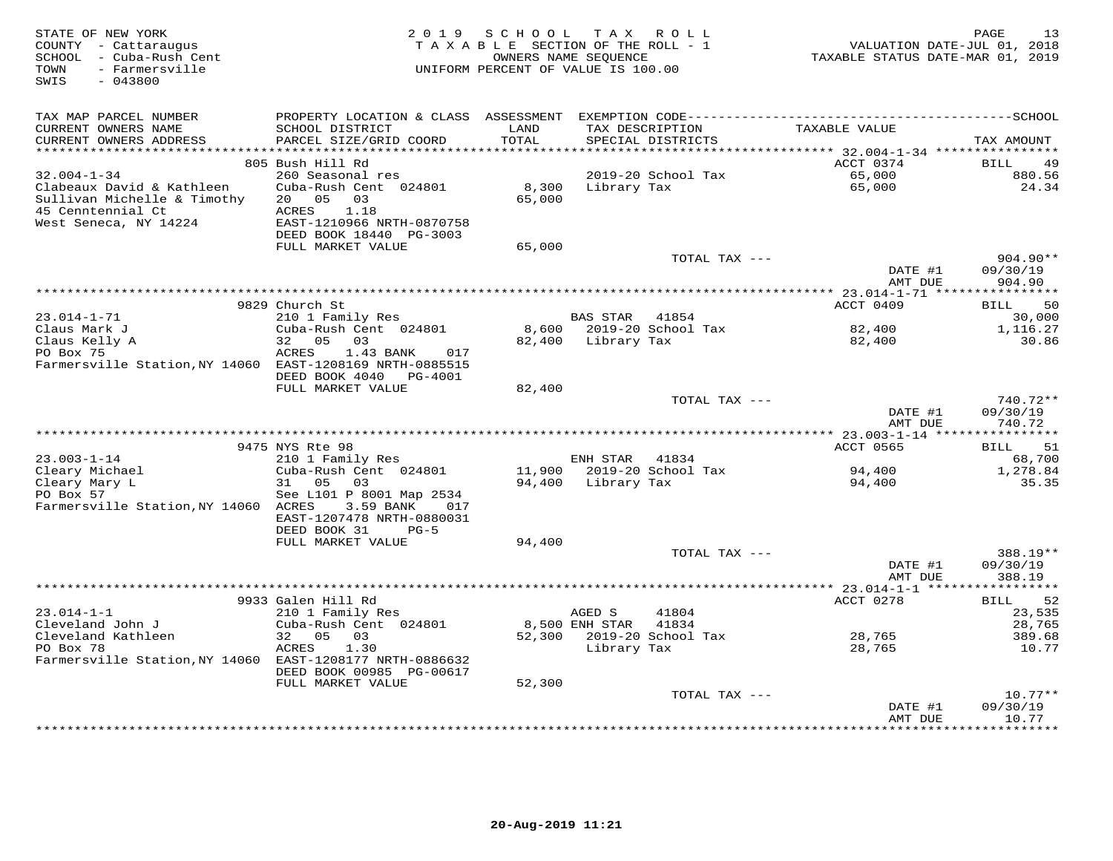| TAX MAP PARCEL NUMBER<br>CURRENT OWNERS NAME<br>SCHOOL DISTRICT<br>LAND<br>TAXABLE VALUE<br>TAX DESCRIPTION<br>TOTAL<br>CURRENT OWNERS ADDRESS<br>PARCEL SIZE/GRID COORD<br>SPECIAL DISTRICTS<br>TAX AMOUNT<br>***********************<br>805 Bush Hill Rd<br>ACCT 0374<br>BILL<br>49<br>$32.004 - 1 - 34$<br>260 Seasonal res<br>2019-20 School Tax<br>65,000<br>880.56<br>Clabeaux David & Kathleen<br>65,000<br>24.34<br>Cuba-Rush Cent 024801<br>8,300<br>Library Tax<br>65,000<br>Sullivan Michelle & Timothy<br>20 05<br>03<br>45 Cenntennial Ct<br>ACRES<br>1.18<br>West Seneca, NY 14224<br>EAST-1210966 NRTH-0870758<br>DEED BOOK 18440 PG-3003<br>FULL MARKET VALUE<br>65,000<br>TOTAL TAX ---<br>904.90**<br>DATE #1<br>09/30/19<br>AMT DUE<br>904.90<br>9829 Church St<br>ACCT 0409<br><b>BILL</b><br>50<br>$23.014 - 1 - 71$<br>210 1 Family Res<br>BAS STAR 41854<br>30,000<br>Claus Mark J<br>Cuba-Rush Cent 024801<br>8,600 2019-20 School Tax<br>82,400<br>1,116.27<br>Claus Kelly A<br>32 05<br>03<br>82,400 Library Tax<br>82,400<br>30.86<br>PO Box 75<br>ACRES<br>1.43 BANK<br>017<br>Farmersville Station, NY 14060 EAST-1208169 NRTH-0885515<br>DEED BOOK 4040<br>PG-4001<br>FULL MARKET VALUE<br>82,400<br>740.72**<br>TOTAL TAX ---<br>DATE #1<br>09/30/19<br>740.72<br>AMT DUE<br>9475 NYS Rte 98<br>51<br>ACCT 0565<br>BILL<br>$23.003 - 1 - 14$<br>210 1 Family Res<br>ENH STAR<br>41834<br>68,700<br>Cleary Michael<br>Cuba-Rush Cent 024801<br>11,900 2019-20 School Tax<br>94,400<br>1,278.84<br>Cleary Mary L<br>0.5<br>35.35<br>31<br>0.3<br>94,400 Library Tax<br>94,400<br>PO Box 57<br>See L101 P 8001 Map 2534<br>Farmersville Station, NY 14060 ACRES<br>3.59 BANK<br>017<br>EAST-1207478 NRTH-0880031<br>DEED BOOK 31<br>$PG-5$<br>FULL MARKET VALUE<br>94,400<br>TOTAL TAX ---<br>388.19**<br>09/30/19<br>DATE #1<br>AMT DUE<br>388.19<br>9933 Galen Hill Rd<br>ACCT 0278<br>52<br>BILL<br>$23.014 - 1 - 1$<br>210 1 Family Res<br>AGED S<br>41804<br>23,535<br>Cleveland John J<br>8,500 ENH STAR<br>Cuba-Rush Cent 024801<br>41834<br>28,765<br>Cleveland Kathleen<br>32 05 03<br>52,300 2019-20 School Tax<br>28,765<br>389.68<br>PO Box 78<br>Library Tax<br>ACRES<br>1.30<br>28,765<br>10.77<br>Farmersville Station, NY 14060 EAST-1208177 NRTH-0886632<br>DEED BOOK 00985 PG-00617<br>52,300<br>FULL MARKET VALUE<br>$10.77**$<br>TOTAL TAX ---<br>09/30/19<br>DATE #1<br>AMT DUE<br>10.77<br>**************<br>******** | STATE OF NEW YORK<br>COUNTY - Cattaraugus<br>SCHOOL - Cuba-Rush Cent<br>- Farmersville<br>TOWN<br>$-043800$<br>SWIS | 2 0 1 9 | SCHOOL<br>TAXABLE SECTION OF THE ROLL - 1<br>OWNERS NAME SEQUENCE<br>UNIFORM PERCENT OF VALUE IS 100.00 | TAX ROLL | VALUATION DATE-JUL 01, 2018<br>TAXABLE STATUS DATE-MAR 01, 2019 | 13<br>PAGE |
|-------------------------------------------------------------------------------------------------------------------------------------------------------------------------------------------------------------------------------------------------------------------------------------------------------------------------------------------------------------------------------------------------------------------------------------------------------------------------------------------------------------------------------------------------------------------------------------------------------------------------------------------------------------------------------------------------------------------------------------------------------------------------------------------------------------------------------------------------------------------------------------------------------------------------------------------------------------------------------------------------------------------------------------------------------------------------------------------------------------------------------------------------------------------------------------------------------------------------------------------------------------------------------------------------------------------------------------------------------------------------------------------------------------------------------------------------------------------------------------------------------------------------------------------------------------------------------------------------------------------------------------------------------------------------------------------------------------------------------------------------------------------------------------------------------------------------------------------------------------------------------------------------------------------------------------------------------------------------------------------------------------------------------------------------------------------------------------------------------------------------------------------------------------------------------------------------------------------------------------------------------------------------------------------------------------------------------------------------------------------------------------------------------------------------------------------------------------------------|---------------------------------------------------------------------------------------------------------------------|---------|---------------------------------------------------------------------------------------------------------|----------|-----------------------------------------------------------------|------------|
|                                                                                                                                                                                                                                                                                                                                                                                                                                                                                                                                                                                                                                                                                                                                                                                                                                                                                                                                                                                                                                                                                                                                                                                                                                                                                                                                                                                                                                                                                                                                                                                                                                                                                                                                                                                                                                                                                                                                                                                                                                                                                                                                                                                                                                                                                                                                                                                                                                                                         |                                                                                                                     |         |                                                                                                         |          |                                                                 |            |
|                                                                                                                                                                                                                                                                                                                                                                                                                                                                                                                                                                                                                                                                                                                                                                                                                                                                                                                                                                                                                                                                                                                                                                                                                                                                                                                                                                                                                                                                                                                                                                                                                                                                                                                                                                                                                                                                                                                                                                                                                                                                                                                                                                                                                                                                                                                                                                                                                                                                         |                                                                                                                     |         |                                                                                                         |          |                                                                 |            |
|                                                                                                                                                                                                                                                                                                                                                                                                                                                                                                                                                                                                                                                                                                                                                                                                                                                                                                                                                                                                                                                                                                                                                                                                                                                                                                                                                                                                                                                                                                                                                                                                                                                                                                                                                                                                                                                                                                                                                                                                                                                                                                                                                                                                                                                                                                                                                                                                                                                                         |                                                                                                                     |         |                                                                                                         |          |                                                                 |            |
|                                                                                                                                                                                                                                                                                                                                                                                                                                                                                                                                                                                                                                                                                                                                                                                                                                                                                                                                                                                                                                                                                                                                                                                                                                                                                                                                                                                                                                                                                                                                                                                                                                                                                                                                                                                                                                                                                                                                                                                                                                                                                                                                                                                                                                                                                                                                                                                                                                                                         |                                                                                                                     |         |                                                                                                         |          |                                                                 |            |
|                                                                                                                                                                                                                                                                                                                                                                                                                                                                                                                                                                                                                                                                                                                                                                                                                                                                                                                                                                                                                                                                                                                                                                                                                                                                                                                                                                                                                                                                                                                                                                                                                                                                                                                                                                                                                                                                                                                                                                                                                                                                                                                                                                                                                                                                                                                                                                                                                                                                         |                                                                                                                     |         |                                                                                                         |          |                                                                 |            |
|                                                                                                                                                                                                                                                                                                                                                                                                                                                                                                                                                                                                                                                                                                                                                                                                                                                                                                                                                                                                                                                                                                                                                                                                                                                                                                                                                                                                                                                                                                                                                                                                                                                                                                                                                                                                                                                                                                                                                                                                                                                                                                                                                                                                                                                                                                                                                                                                                                                                         |                                                                                                                     |         |                                                                                                         |          |                                                                 |            |
|                                                                                                                                                                                                                                                                                                                                                                                                                                                                                                                                                                                                                                                                                                                                                                                                                                                                                                                                                                                                                                                                                                                                                                                                                                                                                                                                                                                                                                                                                                                                                                                                                                                                                                                                                                                                                                                                                                                                                                                                                                                                                                                                                                                                                                                                                                                                                                                                                                                                         |                                                                                                                     |         |                                                                                                         |          |                                                                 |            |
|                                                                                                                                                                                                                                                                                                                                                                                                                                                                                                                                                                                                                                                                                                                                                                                                                                                                                                                                                                                                                                                                                                                                                                                                                                                                                                                                                                                                                                                                                                                                                                                                                                                                                                                                                                                                                                                                                                                                                                                                                                                                                                                                                                                                                                                                                                                                                                                                                                                                         |                                                                                                                     |         |                                                                                                         |          |                                                                 |            |
|                                                                                                                                                                                                                                                                                                                                                                                                                                                                                                                                                                                                                                                                                                                                                                                                                                                                                                                                                                                                                                                                                                                                                                                                                                                                                                                                                                                                                                                                                                                                                                                                                                                                                                                                                                                                                                                                                                                                                                                                                                                                                                                                                                                                                                                                                                                                                                                                                                                                         |                                                                                                                     |         |                                                                                                         |          |                                                                 |            |
|                                                                                                                                                                                                                                                                                                                                                                                                                                                                                                                                                                                                                                                                                                                                                                                                                                                                                                                                                                                                                                                                                                                                                                                                                                                                                                                                                                                                                                                                                                                                                                                                                                                                                                                                                                                                                                                                                                                                                                                                                                                                                                                                                                                                                                                                                                                                                                                                                                                                         |                                                                                                                     |         |                                                                                                         |          |                                                                 |            |
|                                                                                                                                                                                                                                                                                                                                                                                                                                                                                                                                                                                                                                                                                                                                                                                                                                                                                                                                                                                                                                                                                                                                                                                                                                                                                                                                                                                                                                                                                                                                                                                                                                                                                                                                                                                                                                                                                                                                                                                                                                                                                                                                                                                                                                                                                                                                                                                                                                                                         |                                                                                                                     |         |                                                                                                         |          |                                                                 |            |
|                                                                                                                                                                                                                                                                                                                                                                                                                                                                                                                                                                                                                                                                                                                                                                                                                                                                                                                                                                                                                                                                                                                                                                                                                                                                                                                                                                                                                                                                                                                                                                                                                                                                                                                                                                                                                                                                                                                                                                                                                                                                                                                                                                                                                                                                                                                                                                                                                                                                         |                                                                                                                     |         |                                                                                                         |          |                                                                 |            |
|                                                                                                                                                                                                                                                                                                                                                                                                                                                                                                                                                                                                                                                                                                                                                                                                                                                                                                                                                                                                                                                                                                                                                                                                                                                                                                                                                                                                                                                                                                                                                                                                                                                                                                                                                                                                                                                                                                                                                                                                                                                                                                                                                                                                                                                                                                                                                                                                                                                                         |                                                                                                                     |         |                                                                                                         |          |                                                                 |            |
|                                                                                                                                                                                                                                                                                                                                                                                                                                                                                                                                                                                                                                                                                                                                                                                                                                                                                                                                                                                                                                                                                                                                                                                                                                                                                                                                                                                                                                                                                                                                                                                                                                                                                                                                                                                                                                                                                                                                                                                                                                                                                                                                                                                                                                                                                                                                                                                                                                                                         |                                                                                                                     |         |                                                                                                         |          |                                                                 |            |
|                                                                                                                                                                                                                                                                                                                                                                                                                                                                                                                                                                                                                                                                                                                                                                                                                                                                                                                                                                                                                                                                                                                                                                                                                                                                                                                                                                                                                                                                                                                                                                                                                                                                                                                                                                                                                                                                                                                                                                                                                                                                                                                                                                                                                                                                                                                                                                                                                                                                         |                                                                                                                     |         |                                                                                                         |          |                                                                 |            |
|                                                                                                                                                                                                                                                                                                                                                                                                                                                                                                                                                                                                                                                                                                                                                                                                                                                                                                                                                                                                                                                                                                                                                                                                                                                                                                                                                                                                                                                                                                                                                                                                                                                                                                                                                                                                                                                                                                                                                                                                                                                                                                                                                                                                                                                                                                                                                                                                                                                                         |                                                                                                                     |         |                                                                                                         |          |                                                                 |            |
|                                                                                                                                                                                                                                                                                                                                                                                                                                                                                                                                                                                                                                                                                                                                                                                                                                                                                                                                                                                                                                                                                                                                                                                                                                                                                                                                                                                                                                                                                                                                                                                                                                                                                                                                                                                                                                                                                                                                                                                                                                                                                                                                                                                                                                                                                                                                                                                                                                                                         |                                                                                                                     |         |                                                                                                         |          |                                                                 |            |
|                                                                                                                                                                                                                                                                                                                                                                                                                                                                                                                                                                                                                                                                                                                                                                                                                                                                                                                                                                                                                                                                                                                                                                                                                                                                                                                                                                                                                                                                                                                                                                                                                                                                                                                                                                                                                                                                                                                                                                                                                                                                                                                                                                                                                                                                                                                                                                                                                                                                         |                                                                                                                     |         |                                                                                                         |          |                                                                 |            |
|                                                                                                                                                                                                                                                                                                                                                                                                                                                                                                                                                                                                                                                                                                                                                                                                                                                                                                                                                                                                                                                                                                                                                                                                                                                                                                                                                                                                                                                                                                                                                                                                                                                                                                                                                                                                                                                                                                                                                                                                                                                                                                                                                                                                                                                                                                                                                                                                                                                                         |                                                                                                                     |         |                                                                                                         |          |                                                                 |            |
|                                                                                                                                                                                                                                                                                                                                                                                                                                                                                                                                                                                                                                                                                                                                                                                                                                                                                                                                                                                                                                                                                                                                                                                                                                                                                                                                                                                                                                                                                                                                                                                                                                                                                                                                                                                                                                                                                                                                                                                                                                                                                                                                                                                                                                                                                                                                                                                                                                                                         |                                                                                                                     |         |                                                                                                         |          |                                                                 |            |
|                                                                                                                                                                                                                                                                                                                                                                                                                                                                                                                                                                                                                                                                                                                                                                                                                                                                                                                                                                                                                                                                                                                                                                                                                                                                                                                                                                                                                                                                                                                                                                                                                                                                                                                                                                                                                                                                                                                                                                                                                                                                                                                                                                                                                                                                                                                                                                                                                                                                         |                                                                                                                     |         |                                                                                                         |          |                                                                 |            |
|                                                                                                                                                                                                                                                                                                                                                                                                                                                                                                                                                                                                                                                                                                                                                                                                                                                                                                                                                                                                                                                                                                                                                                                                                                                                                                                                                                                                                                                                                                                                                                                                                                                                                                                                                                                                                                                                                                                                                                                                                                                                                                                                                                                                                                                                                                                                                                                                                                                                         |                                                                                                                     |         |                                                                                                         |          |                                                                 |            |
|                                                                                                                                                                                                                                                                                                                                                                                                                                                                                                                                                                                                                                                                                                                                                                                                                                                                                                                                                                                                                                                                                                                                                                                                                                                                                                                                                                                                                                                                                                                                                                                                                                                                                                                                                                                                                                                                                                                                                                                                                                                                                                                                                                                                                                                                                                                                                                                                                                                                         |                                                                                                                     |         |                                                                                                         |          |                                                                 |            |
|                                                                                                                                                                                                                                                                                                                                                                                                                                                                                                                                                                                                                                                                                                                                                                                                                                                                                                                                                                                                                                                                                                                                                                                                                                                                                                                                                                                                                                                                                                                                                                                                                                                                                                                                                                                                                                                                                                                                                                                                                                                                                                                                                                                                                                                                                                                                                                                                                                                                         |                                                                                                                     |         |                                                                                                         |          |                                                                 |            |
|                                                                                                                                                                                                                                                                                                                                                                                                                                                                                                                                                                                                                                                                                                                                                                                                                                                                                                                                                                                                                                                                                                                                                                                                                                                                                                                                                                                                                                                                                                                                                                                                                                                                                                                                                                                                                                                                                                                                                                                                                                                                                                                                                                                                                                                                                                                                                                                                                                                                         |                                                                                                                     |         |                                                                                                         |          |                                                                 |            |
|                                                                                                                                                                                                                                                                                                                                                                                                                                                                                                                                                                                                                                                                                                                                                                                                                                                                                                                                                                                                                                                                                                                                                                                                                                                                                                                                                                                                                                                                                                                                                                                                                                                                                                                                                                                                                                                                                                                                                                                                                                                                                                                                                                                                                                                                                                                                                                                                                                                                         |                                                                                                                     |         |                                                                                                         |          |                                                                 |            |
|                                                                                                                                                                                                                                                                                                                                                                                                                                                                                                                                                                                                                                                                                                                                                                                                                                                                                                                                                                                                                                                                                                                                                                                                                                                                                                                                                                                                                                                                                                                                                                                                                                                                                                                                                                                                                                                                                                                                                                                                                                                                                                                                                                                                                                                                                                                                                                                                                                                                         |                                                                                                                     |         |                                                                                                         |          |                                                                 |            |
|                                                                                                                                                                                                                                                                                                                                                                                                                                                                                                                                                                                                                                                                                                                                                                                                                                                                                                                                                                                                                                                                                                                                                                                                                                                                                                                                                                                                                                                                                                                                                                                                                                                                                                                                                                                                                                                                                                                                                                                                                                                                                                                                                                                                                                                                                                                                                                                                                                                                         |                                                                                                                     |         |                                                                                                         |          |                                                                 |            |
|                                                                                                                                                                                                                                                                                                                                                                                                                                                                                                                                                                                                                                                                                                                                                                                                                                                                                                                                                                                                                                                                                                                                                                                                                                                                                                                                                                                                                                                                                                                                                                                                                                                                                                                                                                                                                                                                                                                                                                                                                                                                                                                                                                                                                                                                                                                                                                                                                                                                         |                                                                                                                     |         |                                                                                                         |          |                                                                 |            |
|                                                                                                                                                                                                                                                                                                                                                                                                                                                                                                                                                                                                                                                                                                                                                                                                                                                                                                                                                                                                                                                                                                                                                                                                                                                                                                                                                                                                                                                                                                                                                                                                                                                                                                                                                                                                                                                                                                                                                                                                                                                                                                                                                                                                                                                                                                                                                                                                                                                                         |                                                                                                                     |         |                                                                                                         |          |                                                                 |            |
|                                                                                                                                                                                                                                                                                                                                                                                                                                                                                                                                                                                                                                                                                                                                                                                                                                                                                                                                                                                                                                                                                                                                                                                                                                                                                                                                                                                                                                                                                                                                                                                                                                                                                                                                                                                                                                                                                                                                                                                                                                                                                                                                                                                                                                                                                                                                                                                                                                                                         |                                                                                                                     |         |                                                                                                         |          |                                                                 |            |
|                                                                                                                                                                                                                                                                                                                                                                                                                                                                                                                                                                                                                                                                                                                                                                                                                                                                                                                                                                                                                                                                                                                                                                                                                                                                                                                                                                                                                                                                                                                                                                                                                                                                                                                                                                                                                                                                                                                                                                                                                                                                                                                                                                                                                                                                                                                                                                                                                                                                         |                                                                                                                     |         |                                                                                                         |          |                                                                 |            |
|                                                                                                                                                                                                                                                                                                                                                                                                                                                                                                                                                                                                                                                                                                                                                                                                                                                                                                                                                                                                                                                                                                                                                                                                                                                                                                                                                                                                                                                                                                                                                                                                                                                                                                                                                                                                                                                                                                                                                                                                                                                                                                                                                                                                                                                                                                                                                                                                                                                                         |                                                                                                                     |         |                                                                                                         |          |                                                                 |            |
|                                                                                                                                                                                                                                                                                                                                                                                                                                                                                                                                                                                                                                                                                                                                                                                                                                                                                                                                                                                                                                                                                                                                                                                                                                                                                                                                                                                                                                                                                                                                                                                                                                                                                                                                                                                                                                                                                                                                                                                                                                                                                                                                                                                                                                                                                                                                                                                                                                                                         |                                                                                                                     |         |                                                                                                         |          |                                                                 |            |
|                                                                                                                                                                                                                                                                                                                                                                                                                                                                                                                                                                                                                                                                                                                                                                                                                                                                                                                                                                                                                                                                                                                                                                                                                                                                                                                                                                                                                                                                                                                                                                                                                                                                                                                                                                                                                                                                                                                                                                                                                                                                                                                                                                                                                                                                                                                                                                                                                                                                         |                                                                                                                     |         |                                                                                                         |          |                                                                 |            |
|                                                                                                                                                                                                                                                                                                                                                                                                                                                                                                                                                                                                                                                                                                                                                                                                                                                                                                                                                                                                                                                                                                                                                                                                                                                                                                                                                                                                                                                                                                                                                                                                                                                                                                                                                                                                                                                                                                                                                                                                                                                                                                                                                                                                                                                                                                                                                                                                                                                                         |                                                                                                                     |         |                                                                                                         |          |                                                                 |            |
|                                                                                                                                                                                                                                                                                                                                                                                                                                                                                                                                                                                                                                                                                                                                                                                                                                                                                                                                                                                                                                                                                                                                                                                                                                                                                                                                                                                                                                                                                                                                                                                                                                                                                                                                                                                                                                                                                                                                                                                                                                                                                                                                                                                                                                                                                                                                                                                                                                                                         |                                                                                                                     |         |                                                                                                         |          |                                                                 |            |
|                                                                                                                                                                                                                                                                                                                                                                                                                                                                                                                                                                                                                                                                                                                                                                                                                                                                                                                                                                                                                                                                                                                                                                                                                                                                                                                                                                                                                                                                                                                                                                                                                                                                                                                                                                                                                                                                                                                                                                                                                                                                                                                                                                                                                                                                                                                                                                                                                                                                         |                                                                                                                     |         |                                                                                                         |          |                                                                 |            |
|                                                                                                                                                                                                                                                                                                                                                                                                                                                                                                                                                                                                                                                                                                                                                                                                                                                                                                                                                                                                                                                                                                                                                                                                                                                                                                                                                                                                                                                                                                                                                                                                                                                                                                                                                                                                                                                                                                                                                                                                                                                                                                                                                                                                                                                                                                                                                                                                                                                                         |                                                                                                                     |         |                                                                                                         |          |                                                                 |            |
|                                                                                                                                                                                                                                                                                                                                                                                                                                                                                                                                                                                                                                                                                                                                                                                                                                                                                                                                                                                                                                                                                                                                                                                                                                                                                                                                                                                                                                                                                                                                                                                                                                                                                                                                                                                                                                                                                                                                                                                                                                                                                                                                                                                                                                                                                                                                                                                                                                                                         |                                                                                                                     |         |                                                                                                         |          |                                                                 |            |
|                                                                                                                                                                                                                                                                                                                                                                                                                                                                                                                                                                                                                                                                                                                                                                                                                                                                                                                                                                                                                                                                                                                                                                                                                                                                                                                                                                                                                                                                                                                                                                                                                                                                                                                                                                                                                                                                                                                                                                                                                                                                                                                                                                                                                                                                                                                                                                                                                                                                         |                                                                                                                     |         |                                                                                                         |          |                                                                 |            |
|                                                                                                                                                                                                                                                                                                                                                                                                                                                                                                                                                                                                                                                                                                                                                                                                                                                                                                                                                                                                                                                                                                                                                                                                                                                                                                                                                                                                                                                                                                                                                                                                                                                                                                                                                                                                                                                                                                                                                                                                                                                                                                                                                                                                                                                                                                                                                                                                                                                                         |                                                                                                                     |         |                                                                                                         |          |                                                                 |            |
|                                                                                                                                                                                                                                                                                                                                                                                                                                                                                                                                                                                                                                                                                                                                                                                                                                                                                                                                                                                                                                                                                                                                                                                                                                                                                                                                                                                                                                                                                                                                                                                                                                                                                                                                                                                                                                                                                                                                                                                                                                                                                                                                                                                                                                                                                                                                                                                                                                                                         |                                                                                                                     |         |                                                                                                         |          |                                                                 |            |
|                                                                                                                                                                                                                                                                                                                                                                                                                                                                                                                                                                                                                                                                                                                                                                                                                                                                                                                                                                                                                                                                                                                                                                                                                                                                                                                                                                                                                                                                                                                                                                                                                                                                                                                                                                                                                                                                                                                                                                                                                                                                                                                                                                                                                                                                                                                                                                                                                                                                         |                                                                                                                     |         |                                                                                                         |          |                                                                 |            |
|                                                                                                                                                                                                                                                                                                                                                                                                                                                                                                                                                                                                                                                                                                                                                                                                                                                                                                                                                                                                                                                                                                                                                                                                                                                                                                                                                                                                                                                                                                                                                                                                                                                                                                                                                                                                                                                                                                                                                                                                                                                                                                                                                                                                                                                                                                                                                                                                                                                                         |                                                                                                                     |         |                                                                                                         |          |                                                                 |            |
|                                                                                                                                                                                                                                                                                                                                                                                                                                                                                                                                                                                                                                                                                                                                                                                                                                                                                                                                                                                                                                                                                                                                                                                                                                                                                                                                                                                                                                                                                                                                                                                                                                                                                                                                                                                                                                                                                                                                                                                                                                                                                                                                                                                                                                                                                                                                                                                                                                                                         |                                                                                                                     |         |                                                                                                         |          |                                                                 |            |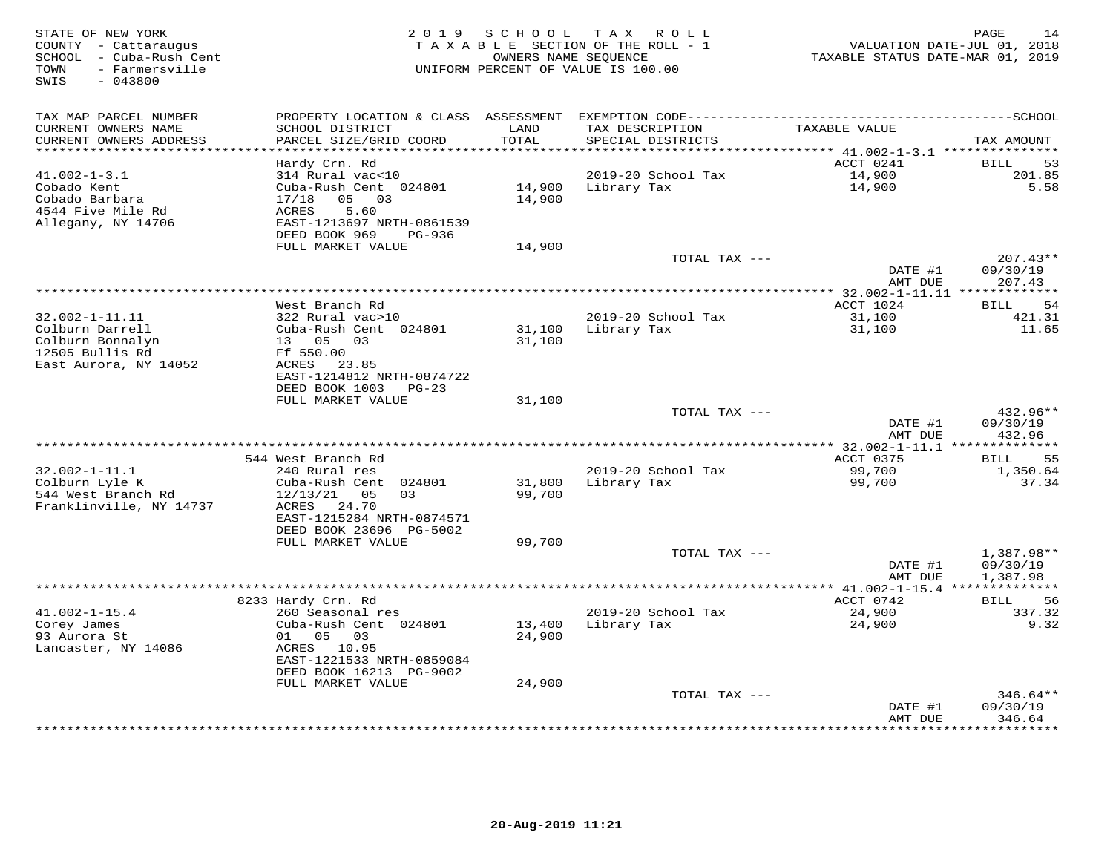| STATE OF NEW YORK<br>COUNTY - Cattaraugus<br>- Cuba-Rush Cent<br>SCHOOL<br>- Farmersville<br>TOWN<br>SWIS<br>$-043800$ | 2 0 1 9                                                               | SCHOOL | T A X<br>ROLL ROLL<br>TAXABLE SECTION OF THE ROLL - 1<br>OWNERS NAME SEQUENCE<br>UNIFORM PERCENT OF VALUE IS 100.00 | VALUATION DATE-JUL 01, 2018<br>TAXABLE STATUS DATE-MAR 01, 2019 | PAGE<br>14                |
|------------------------------------------------------------------------------------------------------------------------|-----------------------------------------------------------------------|--------|---------------------------------------------------------------------------------------------------------------------|-----------------------------------------------------------------|---------------------------|
| TAX MAP PARCEL NUMBER                                                                                                  | PROPERTY LOCATION & CLASS ASSESSMENT                                  | LAND   |                                                                                                                     |                                                                 |                           |
| CURRENT OWNERS NAME<br>CURRENT OWNERS ADDRESS<br>**********************                                                | SCHOOL DISTRICT<br>PARCEL SIZE/GRID COORD<br>************************ | TOTAL  | TAX DESCRIPTION<br>SPECIAL DISTRICTS                                                                                | TAXABLE VALUE                                                   | TAX AMOUNT                |
|                                                                                                                        | Hardy Crn. Rd                                                         |        |                                                                                                                     | ACCT 0241                                                       | <b>BILL</b><br>53         |
| $41.002 - 1 - 3.1$                                                                                                     | 314 Rural vac<10                                                      |        | 2019-20 School Tax                                                                                                  | 14,900                                                          | 201.85                    |
| Cobado Kent                                                                                                            | Cuba-Rush Cent 024801                                                 | 14,900 | Library Tax                                                                                                         | 14,900                                                          | 5.58                      |
| Cobado Barbara                                                                                                         | 03<br>17/18<br>05                                                     | 14,900 |                                                                                                                     |                                                                 |                           |
| 4544 Five Mile Rd                                                                                                      | ACRES<br>5.60                                                         |        |                                                                                                                     |                                                                 |                           |
| Allegany, NY 14706                                                                                                     | EAST-1213697 NRTH-0861539                                             |        |                                                                                                                     |                                                                 |                           |
|                                                                                                                        | DEED BOOK 969<br>PG-936                                               |        |                                                                                                                     |                                                                 |                           |
|                                                                                                                        | FULL MARKET VALUE                                                     | 14,900 | TOTAL TAX ---                                                                                                       |                                                                 | $207.43**$                |
|                                                                                                                        |                                                                       |        |                                                                                                                     | DATE #1                                                         | 09/30/19                  |
|                                                                                                                        |                                                                       |        |                                                                                                                     | AMT DUE                                                         | 207.43                    |
|                                                                                                                        |                                                                       |        | ***************                                                                                                     | ** 32.002-1-11.11 **************                                |                           |
|                                                                                                                        | West Branch Rd                                                        |        |                                                                                                                     | ACCT 1024                                                       | 54<br>BILL                |
| 32.002-1-11.11                                                                                                         | 322 Rural vac>10                                                      |        | 2019-20 School Tax                                                                                                  | 31,100                                                          | 421.31                    |
| Colburn Darrell                                                                                                        | Cuba-Rush Cent 024801                                                 | 31,100 | Library Tax                                                                                                         | 31,100                                                          | 11.65                     |
| Colburn Bonnalyn                                                                                                       | 13  05  03                                                            | 31,100 |                                                                                                                     |                                                                 |                           |
| 12505 Bullis Rd<br>East Aurora, NY 14052                                                                               | Ff 550.00                                                             |        |                                                                                                                     |                                                                 |                           |
|                                                                                                                        | ACRES 23.85<br>EAST-1214812 NRTH-0874722                              |        |                                                                                                                     |                                                                 |                           |
|                                                                                                                        | DEED BOOK 1003<br>$PG-23$                                             |        |                                                                                                                     |                                                                 |                           |
|                                                                                                                        | FULL MARKET VALUE                                                     | 31,100 |                                                                                                                     |                                                                 |                           |
|                                                                                                                        |                                                                       |        | TOTAL TAX ---                                                                                                       |                                                                 | 432.96**                  |
|                                                                                                                        |                                                                       |        |                                                                                                                     | DATE #1                                                         | 09/30/19                  |
|                                                                                                                        |                                                                       |        | *************                                                                                                       | AMT DUE                                                         | 432.96                    |
|                                                                                                                        | 544 West Branch Rd                                                    |        |                                                                                                                     | ** 32.002-1-11.1 ***************<br>ACCT 0375                   | <b>BILL</b><br>55         |
| $32.002 - 1 - 11.1$                                                                                                    | 240 Rural res                                                         |        | 2019-20 School Tax                                                                                                  | 99,700                                                          | 1,350.64                  |
| Colburn Lyle K                                                                                                         | Cuba-Rush Cent 024801                                                 | 31,800 | Library Tax                                                                                                         | 99,700                                                          | 37.34                     |
| 544 West Branch Rd                                                                                                     | 12/13/21<br>05<br>03                                                  | 99,700 |                                                                                                                     |                                                                 |                           |
| Franklinville, NY 14737                                                                                                | ACRES<br>24.70                                                        |        |                                                                                                                     |                                                                 |                           |
|                                                                                                                        | EAST-1215284 NRTH-0874571                                             |        |                                                                                                                     |                                                                 |                           |
|                                                                                                                        | DEED BOOK 23696 PG-5002                                               |        |                                                                                                                     |                                                                 |                           |
|                                                                                                                        | FULL MARKET VALUE                                                     | 99,700 | TOTAL TAX ---                                                                                                       |                                                                 | 1,387.98**                |
|                                                                                                                        |                                                                       |        |                                                                                                                     | DATE #1                                                         | 09/30/19                  |
|                                                                                                                        |                                                                       |        |                                                                                                                     | AMT DUE                                                         | 1,387.98                  |
|                                                                                                                        | ************************                                              |        | **********************                                                                                              | $^{\star\star}$ 41.002-1-15.4                                   |                           |
|                                                                                                                        | 8233 Hardy Crn. Rd                                                    |        |                                                                                                                     | ACCT 0742                                                       | 56<br>BILL                |
| $41.002 - 1 - 15.4$                                                                                                    | 260 Seasonal res                                                      |        | 2019-20 School Tax                                                                                                  | 24,900                                                          | 337.32                    |
| Corey James                                                                                                            | Cuba-Rush Cent 024801                                                 | 13,400 | Library Tax                                                                                                         | 24,900                                                          | 9.32                      |
| 93 Aurora St                                                                                                           | 05<br>03<br>01                                                        | 24,900 |                                                                                                                     |                                                                 |                           |
| Lancaster, NY 14086                                                                                                    | ACRES 10.95<br>EAST-1221533 NRTH-0859084                              |        |                                                                                                                     |                                                                 |                           |
|                                                                                                                        | DEED BOOK 16213 PG-9002                                               |        |                                                                                                                     |                                                                 |                           |
|                                                                                                                        | FULL MARKET VALUE                                                     | 24,900 |                                                                                                                     |                                                                 |                           |
|                                                                                                                        |                                                                       |        | TOTAL TAX ---                                                                                                       |                                                                 | 346.64**                  |
|                                                                                                                        |                                                                       |        |                                                                                                                     | DATE #1                                                         | 09/30/19                  |
|                                                                                                                        |                                                                       |        |                                                                                                                     | AMT DUE                                                         | 346.64<br>* * * * * * * * |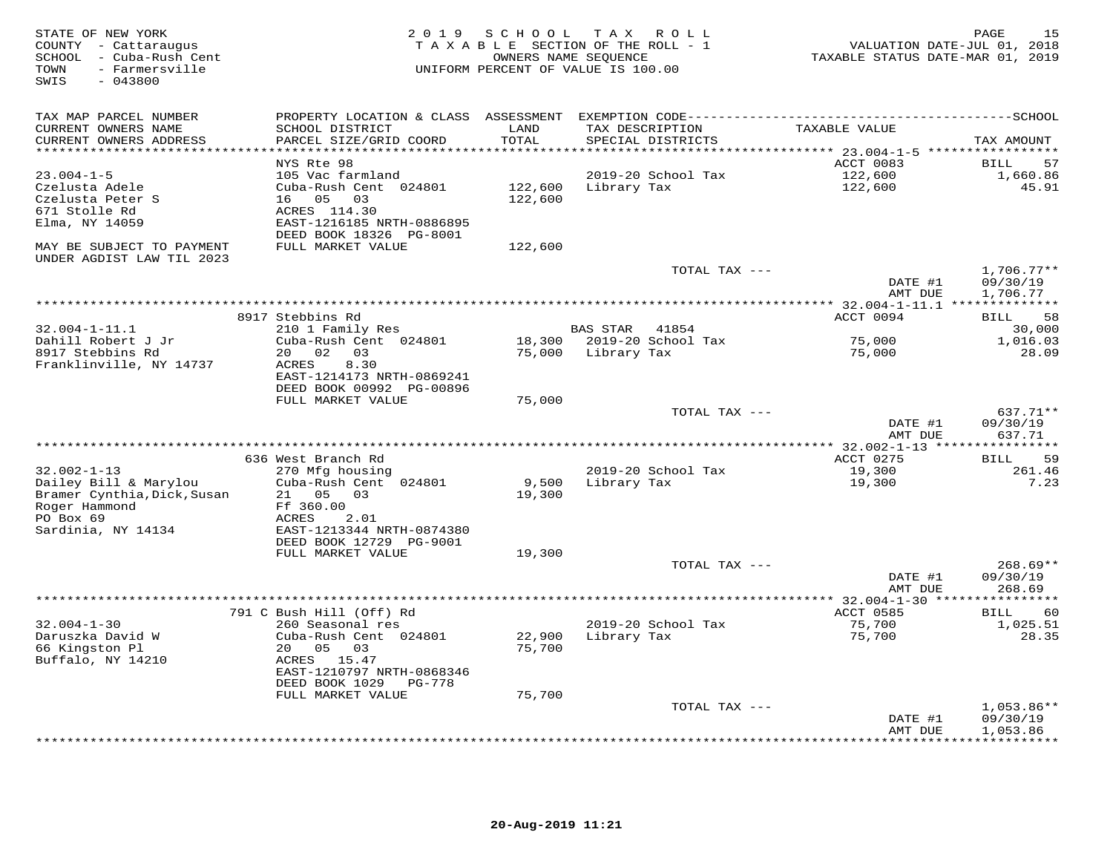| STATE OF NEW YORK<br>COUNTY - Cattaraugus<br>SCHOOL - Cuba-Rush Cent<br>- Farmersville<br>TOWN<br>SWIS<br>$-043800$           | 2 0 1 9                                                                                                                                                         | SCHOOL             | T A X<br>R O L L<br>TAXABLE SECTION OF THE ROLL - 1<br>OWNERS NAME SEQUENCE<br>UNIFORM PERCENT OF VALUE IS 100.00 | VALUATION DATE-JUL 01, 2018<br>TAXABLE STATUS DATE-MAR 01, 2019 | 15<br>PAGE                      |
|-------------------------------------------------------------------------------------------------------------------------------|-----------------------------------------------------------------------------------------------------------------------------------------------------------------|--------------------|-------------------------------------------------------------------------------------------------------------------|-----------------------------------------------------------------|---------------------------------|
| TAX MAP PARCEL NUMBER<br>CURRENT OWNERS NAME<br>CURRENT OWNERS ADDRESS                                                        | PROPERTY LOCATION & CLASS ASSESSMENT EXEMPTION CODE-----------------------------------SCHOOL<br>SCHOOL DISTRICT<br>PARCEL SIZE/GRID COORD                       | LAND<br>TOTAL      | TAX DESCRIPTION<br>SPECIAL DISTRICTS                                                                              | TAXABLE VALUE                                                   | TAX AMOUNT                      |
| **********************                                                                                                        | ************************                                                                                                                                        | ***********        |                                                                                                                   |                                                                 |                                 |
| $23.004 - 1 - 5$<br>Czelusta Adele<br>Czelusta Peter S<br>671 Stolle Rd<br>Elma, NY 14059                                     | NYS Rte 98<br>105 Vac farmland<br>Cuba-Rush Cent 024801<br>16 05<br>03<br>ACRES 114.30<br>EAST-1216185 NRTH-0886895<br>DEED BOOK 18326 PG-8001                  | 122,600<br>122,600 | 2019-20 School Tax<br>Library Tax                                                                                 | ACCT 0083<br>122,600<br>122,600                                 | 57<br>BILL<br>1,660.86<br>45.91 |
| MAY BE SUBJECT TO PAYMENT                                                                                                     | FULL MARKET VALUE                                                                                                                                               | 122,600            |                                                                                                                   |                                                                 |                                 |
| UNDER AGDIST LAW TIL 2023                                                                                                     |                                                                                                                                                                 |                    | TOTAL TAX ---                                                                                                     | DATE #1                                                         | $1,706.77**$<br>09/30/19        |
|                                                                                                                               |                                                                                                                                                                 |                    |                                                                                                                   | AMT DUE<br>************ 32.004-1-11.1 **************            | 1,706.77                        |
|                                                                                                                               | 8917 Stebbins Rd                                                                                                                                                |                    |                                                                                                                   | ACCT 0094                                                       | <b>BILL</b><br>58               |
| $32.004 - 1 - 11.1$<br>Dahill Robert J Jr<br>8917 Stebbins Rd<br>Franklinville, NY 14737                                      | 210 1 Family Res<br>Cuba-Rush Cent 024801<br>20 02<br>03<br>8.30<br><b>ACRES</b><br>EAST-1214173 NRTH-0869241                                                   | 75,000             | <b>BAS STAR</b><br>41854<br>18,300 2019-20 School Tax<br>Library Tax                                              | 75,000<br>75,000                                                | 30,000<br>1,016.03<br>28.09     |
|                                                                                                                               | DEED BOOK 00992 PG-00896<br>FULL MARKET VALUE                                                                                                                   | 75,000             |                                                                                                                   |                                                                 |                                 |
|                                                                                                                               |                                                                                                                                                                 |                    | TOTAL TAX ---                                                                                                     | DATE #1<br>AMT DUE                                              | 637.71**<br>09/30/19<br>637.71  |
|                                                                                                                               |                                                                                                                                                                 |                    |                                                                                                                   | ** 32.002-1-13 *****************                                |                                 |
| $32.002 - 1 - 13$<br>Dailey Bill & Marylou<br>Bramer Cynthia, Dick, Susan<br>Roger Hammond<br>PO Box 69<br>Sardinia, NY 14134 | 636 West Branch Rd<br>270 Mfg housing<br>Cuba-Rush Cent 024801<br>21 05<br>0.3<br>Ff 360.00<br>ACRES<br>2.01<br>EAST-1213344 NRTH-0874380                       | 9,500<br>19,300    | 2019-20 School Tax<br>Library Tax                                                                                 | ACCT 0275<br>19,300<br>19,300                                   | 59<br>BILL<br>261.46<br>7.23    |
|                                                                                                                               | DEED BOOK 12729 PG-9001<br>FULL MARKET VALUE                                                                                                                    | 19,300             | TOTAL TAX ---                                                                                                     | DATE #1                                                         | $268.69**$<br>09/30/19          |
|                                                                                                                               |                                                                                                                                                                 |                    |                                                                                                                   | AMT DUE                                                         | 268.69                          |
|                                                                                                                               |                                                                                                                                                                 |                    |                                                                                                                   |                                                                 |                                 |
| $32.004 - 1 - 30$<br>Daruszka David W<br>66 Kingston Pl<br>Buffalo, NY 14210                                                  | 791 C Bush Hill (Off) Rd<br>260 Seasonal res<br>Cuba-Rush Cent 024801<br>20<br>05<br>03<br>ACRES 15.47<br>EAST-1210797 NRTH-0868346<br>DEED BOOK 1029<br>PG-778 | 22,900<br>75,700   | 2019-20 School Tax<br>Library Tax                                                                                 | ACCT 0585<br>75,700<br>75,700                                   | 60<br>BILL<br>1,025.51<br>28.35 |
|                                                                                                                               | FULL MARKET VALUE                                                                                                                                               | 75,700             | TOTAL TAX ---                                                                                                     |                                                                 | $1,053.86**$                    |
|                                                                                                                               |                                                                                                                                                                 |                    |                                                                                                                   | DATE #1<br>AMT DUE                                              | 09/30/19<br>1,053.86            |
|                                                                                                                               |                                                                                                                                                                 |                    |                                                                                                                   |                                                                 | .                               |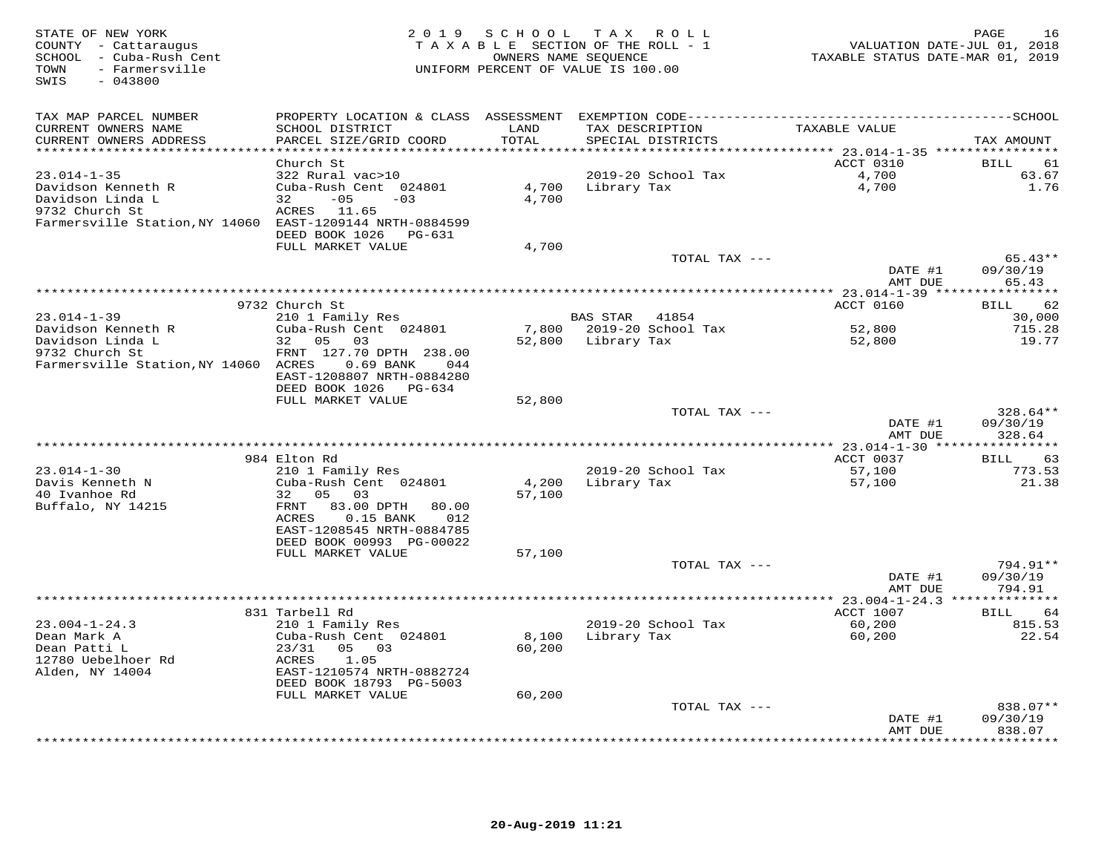| STATE OF NEW YORK<br>COUNTY - Cattaraugus<br>SCHOOL - Cuba-Rush Cent<br>- Farmersville<br>TOWN<br>$-043800$<br>SWIS | 2 0 1 9                                                    | SCHOOL<br>TAXABLE SECTION OF THE ROLL - 1<br>UNIFORM PERCENT OF VALUE IS 100.00 | TAX ROLL<br>OWNERS NAME SEQUENCE |                           | TAXABLE STATUS DATE-MAR 01, 2019             | 16<br>PAGE<br>VALUATION DATE-JUL 01, 2018 |
|---------------------------------------------------------------------------------------------------------------------|------------------------------------------------------------|---------------------------------------------------------------------------------|----------------------------------|---------------------------|----------------------------------------------|-------------------------------------------|
| TAX MAP PARCEL NUMBER                                                                                               | PROPERTY LOCATION & CLASS ASSESSMENT                       |                                                                                 |                                  |                           |                                              |                                           |
| CURRENT OWNERS NAME                                                                                                 | SCHOOL DISTRICT                                            | LAND                                                                            | TAX DESCRIPTION                  |                           | TAXABLE VALUE                                |                                           |
| CURRENT OWNERS ADDRESS                                                                                              | PARCEL SIZE/GRID COORD                                     | TOTAL                                                                           | SPECIAL DISTRICTS                |                           |                                              | TAX AMOUNT                                |
| ***********************                                                                                             | **************************<br>Church St                    | ************                                                                    |                                  |                           | ACCT 0310                                    | 61                                        |
| $23.014 - 1 - 35$                                                                                                   | 322 Rural vac>10                                           |                                                                                 |                                  | 2019-20 School Tax        | 4,700                                        | BILL<br>63.67                             |
| Davidson Kenneth R                                                                                                  | Cuba-Rush Cent 024801                                      | 4,700                                                                           | Library Tax                      |                           | 4,700                                        | 1.76                                      |
| Davidson Linda L                                                                                                    | $-05$<br>32<br>$-03$                                       | 4,700                                                                           |                                  |                           |                                              |                                           |
| 9732 Church St                                                                                                      | ACRES 11.65                                                |                                                                                 |                                  |                           |                                              |                                           |
| Farmersville Station, NY 14060 EAST-1209144 NRTH-0884599                                                            |                                                            |                                                                                 |                                  |                           |                                              |                                           |
|                                                                                                                     | DEED BOOK 1026<br>PG-631                                   |                                                                                 |                                  |                           |                                              |                                           |
|                                                                                                                     | FULL MARKET VALUE                                          | 4,700                                                                           |                                  |                           |                                              |                                           |
|                                                                                                                     |                                                            |                                                                                 |                                  | TOTAL TAX ---             | DATE #1                                      | $65.43**$<br>09/30/19                     |
|                                                                                                                     |                                                            |                                                                                 |                                  |                           | AMT DUE                                      | 65.43                                     |
|                                                                                                                     |                                                            |                                                                                 |                                  |                           |                                              |                                           |
|                                                                                                                     | 9732 Church St                                             |                                                                                 |                                  |                           | ACCT 0160                                    | 62<br><b>BILL</b>                         |
| $23.014 - 1 - 39$                                                                                                   | 210 1 Family Res                                           |                                                                                 | <b>BAS STAR</b>                  | 41854                     |                                              | 30,000                                    |
| Davidson Kenneth R                                                                                                  | Cuba-Rush Cent 024801                                      | 7,800                                                                           |                                  | 2019-20 School Tax        | 52,800                                       | 715.28                                    |
| Davidson Linda L<br>9732 Church St                                                                                  | 32 05<br>03<br>FRNT 127.70 DPTH 238.00                     | 52,800                                                                          | Library Tax                      |                           | 52,800                                       | 19.77                                     |
| Farmersville Station, NY 14060 ACRES                                                                                | 0.69 BANK<br>044                                           |                                                                                 |                                  |                           |                                              |                                           |
|                                                                                                                     | EAST-1208807 NRTH-0884280                                  |                                                                                 |                                  |                           |                                              |                                           |
|                                                                                                                     | DEED BOOK 1026<br>PG-634                                   |                                                                                 |                                  |                           |                                              |                                           |
|                                                                                                                     | FULL MARKET VALUE                                          | 52,800                                                                          |                                  |                           |                                              |                                           |
|                                                                                                                     |                                                            |                                                                                 |                                  | TOTAL TAX ---             |                                              | 328.64**                                  |
|                                                                                                                     |                                                            |                                                                                 |                                  |                           | DATE #1<br>AMT DUE                           | 09/30/19<br>328.64                        |
|                                                                                                                     |                                                            |                                                                                 |                                  |                           |                                              |                                           |
|                                                                                                                     | 984 Elton Rd                                               |                                                                                 |                                  |                           | ACCT 0037                                    | 63<br><b>BILL</b>                         |
| $23.014 - 1 - 30$                                                                                                   | 210 1 Family Res                                           |                                                                                 |                                  | 2019-20 School Tax        | 57,100                                       | 773.53                                    |
| Davis Kenneth N                                                                                                     | Cuba-Rush Cent 024801                                      | 4,200                                                                           | Library Tax                      |                           | 57,100                                       | 21.38                                     |
| 40 Ivanhoe Rd                                                                                                       | 32 05<br>03                                                | 57,100                                                                          |                                  |                           |                                              |                                           |
| Buffalo, NY 14215                                                                                                   | FRNT<br>83.00 DPTH<br>80.00<br>ACRES<br>$0.15$ BANK<br>012 |                                                                                 |                                  |                           |                                              |                                           |
|                                                                                                                     | EAST-1208545 NRTH-0884785                                  |                                                                                 |                                  |                           |                                              |                                           |
|                                                                                                                     | DEED BOOK 00993 PG-00022                                   |                                                                                 |                                  |                           |                                              |                                           |
|                                                                                                                     | FULL MARKET VALUE                                          | 57,100                                                                          |                                  |                           |                                              |                                           |
|                                                                                                                     |                                                            |                                                                                 |                                  | TOTAL TAX ---             |                                              | 794.91**                                  |
|                                                                                                                     |                                                            |                                                                                 |                                  |                           | DATE #1                                      | 09/30/19                                  |
|                                                                                                                     |                                                            |                                                                                 |                                  |                           | AMT DUE                                      | 794.91                                    |
|                                                                                                                     | 831 Tarbell Rd                                             |                                                                                 |                                  |                           | ** 23.004-1-24.3 **************<br>ACCT 1007 | BILL<br>64                                |
| $23.004 - 1 - 24.3$                                                                                                 | 210 1 Family Res                                           |                                                                                 |                                  | 2019-20 School Tax        | 60,200                                       | 815.53                                    |
| Dean Mark A                                                                                                         | Cuba-Rush Cent 024801                                      | 8,100                                                                           | Library Tax                      |                           | 60,200                                       | 22.54                                     |
| Dean Patti L                                                                                                        | 23/31<br>05<br>03                                          | 60,200                                                                          |                                  |                           |                                              |                                           |
| 12780 Uebelhoer Rd                                                                                                  | ACRES<br>1.05                                              |                                                                                 |                                  |                           |                                              |                                           |
| Alden, NY 14004                                                                                                     | EAST-1210574 NRTH-0882724                                  |                                                                                 |                                  |                           |                                              |                                           |
|                                                                                                                     | DEED BOOK 18793 PG-5003<br>FULL MARKET VALUE               | 60,200                                                                          |                                  |                           |                                              |                                           |
|                                                                                                                     |                                                            |                                                                                 |                                  | TOTAL TAX ---             |                                              | 838.07**                                  |
|                                                                                                                     |                                                            |                                                                                 |                                  |                           | DATE #1                                      | 09/30/19                                  |
|                                                                                                                     |                                                            |                                                                                 |                                  |                           | AMT DUE                                      | 838.07                                    |
|                                                                                                                     |                                                            |                                                                                 |                                  | ************************* |                                              | * * * * * * * *                           |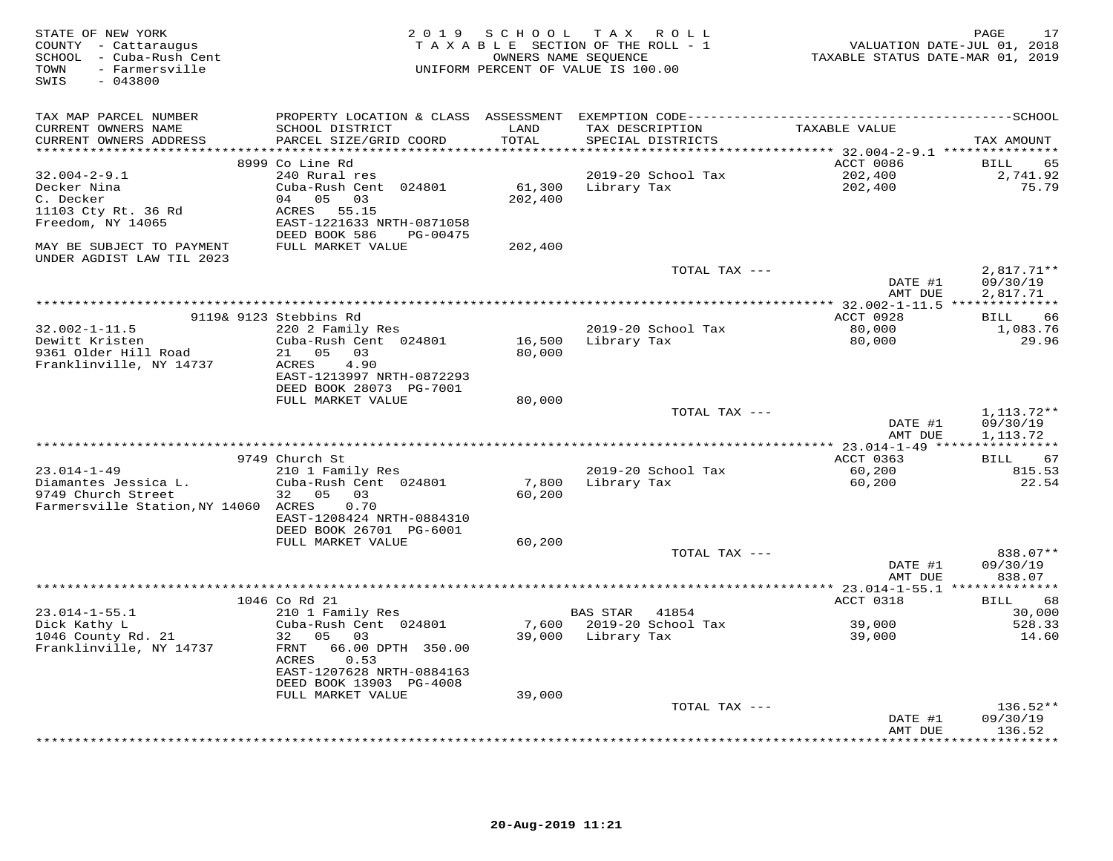| STATE OF NEW YORK<br>COUNTY - Cattaraugus<br>SCHOOL - Cuba-Rush Cent<br>- Farmersville<br>TOWN<br>$-043800$<br>SWIS |                                                      |               | 2019 SCHOOL TAX ROLL<br>TAXABLE SECTION OF THE ROLL - 1<br>OWNERS NAME SEQUENCE<br>UNIFORM PERCENT OF VALUE IS 100.00 | VALUATION DATE-JUL 01, 2018<br>TAXABLE STATUS DATE-MAR 01, 2019 | 17<br>PAGE           |
|---------------------------------------------------------------------------------------------------------------------|------------------------------------------------------|---------------|-----------------------------------------------------------------------------------------------------------------------|-----------------------------------------------------------------|----------------------|
| TAX MAP PARCEL NUMBER                                                                                               |                                                      |               |                                                                                                                       |                                                                 |                      |
| CURRENT OWNERS NAME<br>CURRENT OWNERS ADDRESS                                                                       | SCHOOL DISTRICT<br>PARCEL SIZE/GRID COORD            | LAND<br>TOTAL | TAX DESCRIPTION<br>SPECIAL DISTRICTS                                                                                  | TAXABLE VALUE                                                   | TAX AMOUNT           |
|                                                                                                                     |                                                      |               |                                                                                                                       |                                                                 |                      |
|                                                                                                                     | 8999 Co Line Rd                                      |               |                                                                                                                       | ACCT 0086                                                       | BILL<br>65           |
| $32.004 - 2 - 9.1$                                                                                                  | 240 Rural res                                        |               | 2019-20 School Tax                                                                                                    | 202,400                                                         | 2,741.92             |
| Decker Nina                                                                                                         | Cuba-Rush Cent 024801                                | 61,300        | Library Tax                                                                                                           | 202,400                                                         | 75.79                |
| C. Decker<br>11103 Cty Rt. 36 Rd                                                                                    | 04 05 03<br>ACRES<br>55.15                           | 202,400       |                                                                                                                       |                                                                 |                      |
| Freedom, NY 14065                                                                                                   | EAST-1221633 NRTH-0871058                            |               |                                                                                                                       |                                                                 |                      |
|                                                                                                                     | DEED BOOK 586<br>PG-00475                            |               |                                                                                                                       |                                                                 |                      |
| MAY BE SUBJECT TO PAYMENT<br>UNDER AGDIST LAW TIL 2023                                                              | FULL MARKET VALUE                                    | 202,400       |                                                                                                                       |                                                                 |                      |
|                                                                                                                     |                                                      |               | TOTAL TAX ---                                                                                                         |                                                                 | $2,817.71**$         |
|                                                                                                                     |                                                      |               |                                                                                                                       | DATE #1                                                         | 09/30/19             |
|                                                                                                                     |                                                      |               |                                                                                                                       | AMT DUE                                                         | 2,817.71             |
|                                                                                                                     |                                                      |               |                                                                                                                       |                                                                 |                      |
|                                                                                                                     | 9119& 9123 Stebbins Rd                               |               |                                                                                                                       | ACCT 0928                                                       | BILL<br>66           |
| $32.002 - 1 - 11.5$<br>Dewitt Kristen                                                                               | 220 2 Family Res<br>Cuba-Rush Cent 024801            | 16,500        | 2019-20 School Tax<br>Library Tax                                                                                     | 80,000<br>80,000                                                | 1,083.76<br>29.96    |
| 9361 Older Hill Road                                                                                                | 21<br>05<br>03                                       | 80,000        |                                                                                                                       |                                                                 |                      |
| Franklinville, NY 14737                                                                                             | 4.90<br>ACRES                                        |               |                                                                                                                       |                                                                 |                      |
|                                                                                                                     | EAST-1213997 NRTH-0872293                            |               |                                                                                                                       |                                                                 |                      |
|                                                                                                                     | DEED BOOK 28073 PG-7001                              |               |                                                                                                                       |                                                                 |                      |
|                                                                                                                     | FULL MARKET VALUE                                    | 80,000        |                                                                                                                       |                                                                 |                      |
|                                                                                                                     |                                                      |               | TOTAL TAX ---                                                                                                         |                                                                 | $1,113.72**$         |
|                                                                                                                     |                                                      |               |                                                                                                                       | DATE #1                                                         | 09/30/19             |
|                                                                                                                     |                                                      |               |                                                                                                                       | AMT DUE                                                         | 1,113.72             |
|                                                                                                                     | 9749 Church St                                       |               |                                                                                                                       | ACCT 0363                                                       | 67<br>BILL           |
| $23.014 - 1 - 49$                                                                                                   | 210 1 Family Res                                     |               | 2019-20 School Tax                                                                                                    | 60,200                                                          | 815.53               |
| Diamantes Jessica L.                                                                                                | Cuba-Rush Cent 024801                                | 7,800         | Library Tax                                                                                                           | 60,200                                                          | 22.54                |
| 9749 Church Street                                                                                                  | 32 05<br>0.3                                         | 60,200        |                                                                                                                       |                                                                 |                      |
| Farmersville Station, NY 14060 ACRES                                                                                | 0.70                                                 |               |                                                                                                                       |                                                                 |                      |
|                                                                                                                     | EAST-1208424 NRTH-0884310                            |               |                                                                                                                       |                                                                 |                      |
|                                                                                                                     | DEED BOOK 26701 PG-6001                              |               |                                                                                                                       |                                                                 |                      |
|                                                                                                                     | FULL MARKET VALUE                                    | 60,200        |                                                                                                                       |                                                                 |                      |
|                                                                                                                     |                                                      |               | TOTAL TAX ---                                                                                                         | DATE #1                                                         | 838.07**<br>09/30/19 |
|                                                                                                                     |                                                      |               |                                                                                                                       | AMT DUE                                                         | 838.07               |
|                                                                                                                     |                                                      |               |                                                                                                                       | *********** 23.014-1-55.1 **************                        |                      |
|                                                                                                                     | 1046 Co Rd 21                                        |               |                                                                                                                       | ACCT 0318                                                       | 68<br>BILL           |
| $23.014 - 1 - 55.1$                                                                                                 | 210 1 Family Res                                     |               | <b>BAS STAR</b><br>41854                                                                                              |                                                                 | 30,000               |
| Dick Kathy L                                                                                                        | Cuba-Rush Cent 024801                                | 7,600         | 2019-20 School Tax                                                                                                    | 39,000                                                          | 528.33               |
| 1046 County Rd. 21                                                                                                  | 32<br>05<br>03                                       |               | 39,000 Library Tax                                                                                                    | 39,000                                                          | 14.60                |
| Franklinville, NY 14737                                                                                             | 66.00 DPTH 350.00<br>FRNT                            |               |                                                                                                                       |                                                                 |                      |
|                                                                                                                     | 0.53<br>ACRES                                        |               |                                                                                                                       |                                                                 |                      |
|                                                                                                                     | EAST-1207628 NRTH-0884163<br>DEED BOOK 13903 PG-4008 |               |                                                                                                                       |                                                                 |                      |
|                                                                                                                     | FULL MARKET VALUE                                    | 39,000        |                                                                                                                       |                                                                 |                      |
|                                                                                                                     |                                                      |               | TOTAL TAX ---                                                                                                         |                                                                 | $136.52**$           |
|                                                                                                                     |                                                      |               |                                                                                                                       | DATE #1                                                         | 09/30/19             |
|                                                                                                                     |                                                      |               |                                                                                                                       | AMT DUE                                                         | 136.52               |
|                                                                                                                     |                                                      |               |                                                                                                                       |                                                                 | ********             |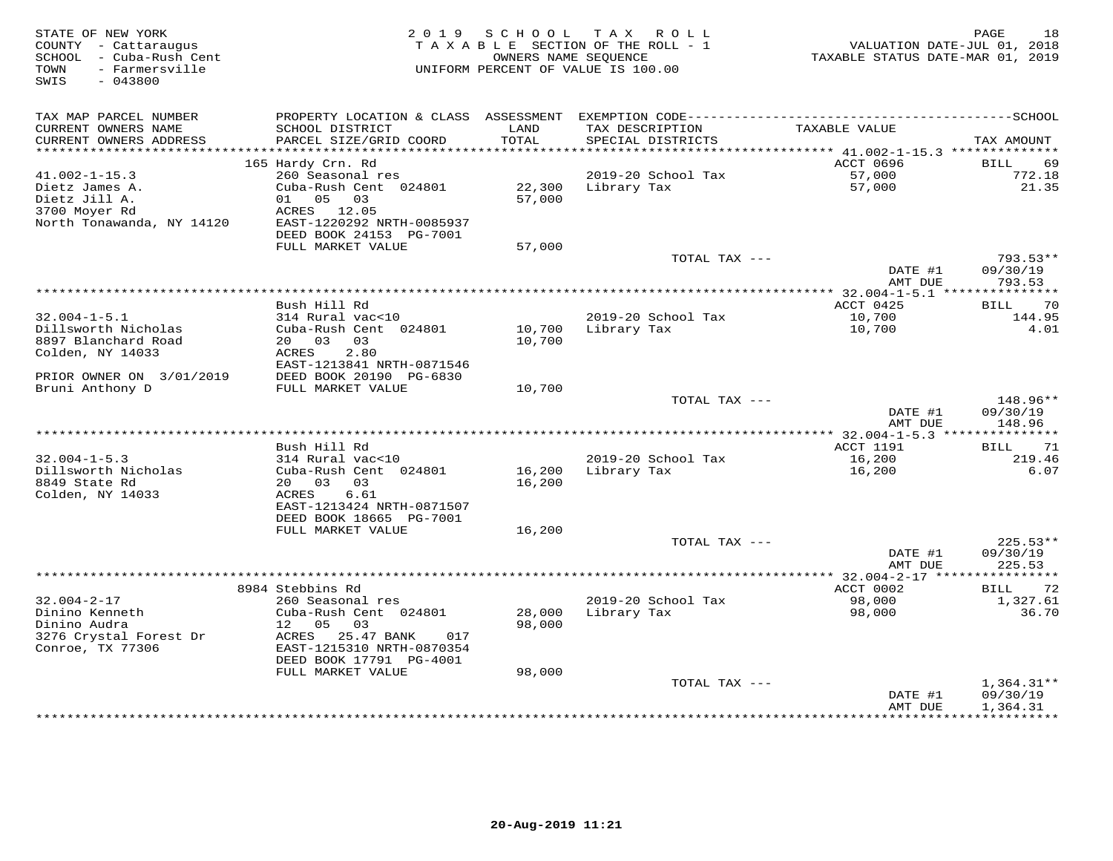| STATE OF NEW YORK<br>COUNTY - Cattaraugus<br>SCHOOL - Cuba-Rush Cent<br>- Farmersville<br>TOWN<br>SWIS<br>$-043800$ | 2 0 1 9                                      | SCHOOL           | TAX ROLL<br>TAXABLE SECTION OF THE ROLL - 1<br>OWNERS NAME SEQUENCE<br>UNIFORM PERCENT OF VALUE IS 100.00 | VALUATION DATE-JUL 01, 2018<br>TAXABLE STATUS DATE-MAR 01, 2019 | PAGE<br>18           |
|---------------------------------------------------------------------------------------------------------------------|----------------------------------------------|------------------|-----------------------------------------------------------------------------------------------------------|-----------------------------------------------------------------|----------------------|
| TAX MAP PARCEL NUMBER                                                                                               |                                              |                  |                                                                                                           |                                                                 |                      |
| CURRENT OWNERS NAME<br>CURRENT OWNERS ADDRESS                                                                       | SCHOOL DISTRICT<br>PARCEL SIZE/GRID COORD    | LAND<br>TOTAL    | TAX DESCRIPTION<br>SPECIAL DISTRICTS                                                                      | TAXABLE VALUE                                                   | TAX AMOUNT           |
| **********************                                                                                              |                                              |                  |                                                                                                           |                                                                 |                      |
|                                                                                                                     | 165 Hardy Crn. Rd                            |                  |                                                                                                           | ACCT 0696                                                       | BILL<br>69           |
| $41.002 - 1 - 15.3$                                                                                                 | 260 Seasonal res                             |                  | 2019-20 School Tax                                                                                        | 57,000                                                          | 772.18               |
| Dietz James A.<br>Dietz Jill A.                                                                                     | Cuba-Rush Cent 024801<br>01 05 03            | 22,300<br>57,000 | Library Tax                                                                                               | 57,000                                                          | 21.35                |
| 3700 Moyer Rd                                                                                                       | ACRES 12.05                                  |                  |                                                                                                           |                                                                 |                      |
| North Tonawanda, NY 14120                                                                                           | EAST-1220292 NRTH-0085937                    |                  |                                                                                                           |                                                                 |                      |
|                                                                                                                     | DEED BOOK 24153 PG-7001                      |                  |                                                                                                           |                                                                 |                      |
|                                                                                                                     | FULL MARKET VALUE                            | 57,000           |                                                                                                           |                                                                 |                      |
|                                                                                                                     |                                              |                  | TOTAL TAX ---                                                                                             |                                                                 | $793.53**$           |
|                                                                                                                     |                                              |                  |                                                                                                           | DATE #1<br>AMT DUE                                              | 09/30/19<br>793.53   |
|                                                                                                                     |                                              |                  |                                                                                                           |                                                                 |                      |
|                                                                                                                     | Bush Hill Rd                                 |                  |                                                                                                           | ACCT 0425                                                       | 70<br>BILL           |
| $32.004 - 1 - 5.1$                                                                                                  | 314 Rural vac<10                             |                  | 2019-20 School Tax                                                                                        | 10,700                                                          | 144.95               |
| Dillsworth Nicholas                                                                                                 | Cuba-Rush Cent 024801                        | 10,700           | Library Tax                                                                                               | 10,700                                                          | 4.01                 |
| 8897 Blanchard Road                                                                                                 | 20 03<br>03                                  | 10,700           |                                                                                                           |                                                                 |                      |
| Colden, NY 14033                                                                                                    | ACRES<br>2.80<br>EAST-1213841 NRTH-0871546   |                  |                                                                                                           |                                                                 |                      |
| PRIOR OWNER ON 3/01/2019                                                                                            | DEED BOOK 20190 PG-6830                      |                  |                                                                                                           |                                                                 |                      |
| Bruni Anthony D                                                                                                     | FULL MARKET VALUE                            | 10,700           |                                                                                                           |                                                                 |                      |
|                                                                                                                     |                                              |                  | TOTAL TAX ---                                                                                             |                                                                 | 148.96**             |
|                                                                                                                     |                                              |                  |                                                                                                           | DATE #1                                                         | 09/30/19             |
|                                                                                                                     |                                              |                  |                                                                                                           | AMT DUE                                                         | 148.96               |
|                                                                                                                     | Bush Hill Rd                                 |                  |                                                                                                           | <b>ACCT 1191</b>                                                | 71<br>BILL           |
| $32.004 - 1 - 5.3$                                                                                                  | 314 Rural vac<10                             |                  | 2019-20 School Tax                                                                                        | 16,200                                                          | 219.46               |
| Dillsworth Nicholas                                                                                                 | Cuba-Rush Cent 024801                        | 16,200           | Library Tax                                                                                               | 16,200                                                          | 6.07                 |
| 8849 State Rd                                                                                                       | 20  03  03                                   | 16,200           |                                                                                                           |                                                                 |                      |
| Colden, NY 14033                                                                                                    | ACRES<br>6.61                                |                  |                                                                                                           |                                                                 |                      |
|                                                                                                                     | EAST-1213424 NRTH-0871507                    |                  |                                                                                                           |                                                                 |                      |
|                                                                                                                     | DEED BOOK 18665 PG-7001<br>FULL MARKET VALUE | 16,200           |                                                                                                           |                                                                 |                      |
|                                                                                                                     |                                              |                  | TOTAL TAX ---                                                                                             |                                                                 | $225.53**$           |
|                                                                                                                     |                                              |                  |                                                                                                           | DATE #1                                                         | 09/30/19             |
|                                                                                                                     |                                              |                  |                                                                                                           | AMT DUE                                                         | 225.53               |
|                                                                                                                     |                                              |                  |                                                                                                           |                                                                 |                      |
|                                                                                                                     | 8984 Stebbins Rd                             |                  |                                                                                                           | ACCT 0002                                                       | 72<br><b>BILL</b>    |
| $32.004 - 2 - 17$                                                                                                   | 260 Seasonal res                             |                  | 2019-20 School Tax                                                                                        | 98,000                                                          | 1,327.61             |
| Dinino Kenneth<br>Dinino Audra                                                                                      | Cuba-Rush Cent 024801<br>12<br>05<br>03      | 28,000<br>98,000 | Library Tax                                                                                               | 98,000                                                          | 36.70                |
| 3276 Crystal Forest Dr                                                                                              | ACRES 25.47 BANK<br>017                      |                  |                                                                                                           |                                                                 |                      |
| Conroe, TX 77306                                                                                                    | EAST-1215310 NRTH-0870354                    |                  |                                                                                                           |                                                                 |                      |
|                                                                                                                     | DEED BOOK 17791 PG-4001                      |                  |                                                                                                           |                                                                 |                      |
|                                                                                                                     | FULL MARKET VALUE                            | 98,000           |                                                                                                           |                                                                 |                      |
|                                                                                                                     |                                              |                  | TOTAL TAX ---                                                                                             |                                                                 | $1,364.31**$         |
|                                                                                                                     |                                              |                  |                                                                                                           | DATE #1<br>AMT DUE                                              | 09/30/19<br>1,364.31 |
|                                                                                                                     |                                              |                  |                                                                                                           | * * * * * * * * * * * * * * * *                                 | ************         |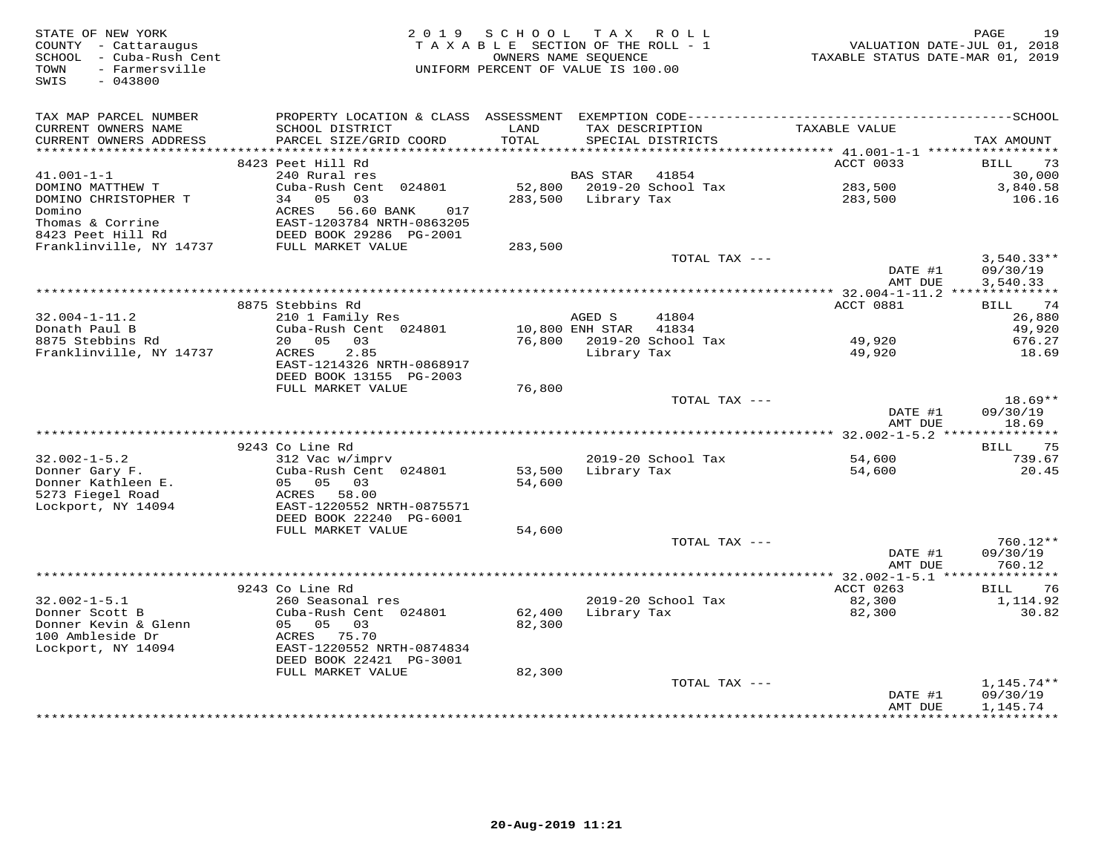| STATE OF NEW YORK<br>COUNTY - Cattaraugus<br>SCHOOL - Cuba-Rush Cent<br>- Farmersville<br>TOWN<br>$-043800$<br>SWIS |                                                                                              | 2019 SCHOOL<br>TAXABLE SECTION OF THE ROLL - 1<br>OWNERS NAME SEOUENCE<br>UNIFORM PERCENT OF VALUE IS 100.00 |                 | TAX ROLL                             | VALUATION DATE-JUL 01, 2018<br>TAXABLE STATUS DATE-MAR 01, 2019 | PAGE<br>19               |
|---------------------------------------------------------------------------------------------------------------------|----------------------------------------------------------------------------------------------|--------------------------------------------------------------------------------------------------------------|-----------------|--------------------------------------|-----------------------------------------------------------------|--------------------------|
| TAX MAP PARCEL NUMBER                                                                                               | PROPERTY LOCATION & CLASS ASSESSMENT EXEMPTION CODE-----------------------------------SCHOOL |                                                                                                              |                 |                                      |                                                                 |                          |
| CURRENT OWNERS NAME<br>CURRENT OWNERS ADDRESS<br>***********************                                            | SCHOOL DISTRICT<br>PARCEL SIZE/GRID COORD                                                    | LAND<br>TOTAL                                                                                                |                 | TAX DESCRIPTION<br>SPECIAL DISTRICTS | TAXABLE VALUE                                                   | TAX AMOUNT               |
|                                                                                                                     | 8423 Peet Hill Rd                                                                            |                                                                                                              |                 |                                      | ACCT 0033                                                       | 73<br>BILL               |
| $41.001 - 1 - 1$                                                                                                    | 240 Rural res                                                                                |                                                                                                              | <b>BAS STAR</b> | 41854                                |                                                                 | 30,000                   |
| DOMINO MATTHEW T                                                                                                    | Cuba-Rush Cent 024801                                                                        | 52,800                                                                                                       |                 | 2019-20 School Tax                   | 283,500                                                         | 3,840.58                 |
| DOMINO CHRISTOPHER T                                                                                                | 34 05 03                                                                                     | 283,500                                                                                                      | Library Tax     |                                      | 283,500                                                         | 106.16                   |
| Domino                                                                                                              | ACRES<br>56.60 BANK<br>017                                                                   |                                                                                                              |                 |                                      |                                                                 |                          |
| Thomas & Corrine                                                                                                    | EAST-1203784 NRTH-0863205                                                                    |                                                                                                              |                 |                                      |                                                                 |                          |
| 8423 Peet Hill Rd<br>Franklinville, NY 14737                                                                        | DEED BOOK 29286 PG-2001<br>FULL MARKET VALUE                                                 | 283,500                                                                                                      |                 |                                      |                                                                 |                          |
|                                                                                                                     |                                                                                              |                                                                                                              |                 | TOTAL TAX ---                        |                                                                 | $3,540.33**$             |
|                                                                                                                     |                                                                                              |                                                                                                              |                 |                                      | DATE #1                                                         | 09/30/19                 |
|                                                                                                                     |                                                                                              |                                                                                                              |                 |                                      | AMT DUE                                                         | 3,540.33                 |
|                                                                                                                     |                                                                                              |                                                                                                              |                 |                                      | **************** 32.004-1-11.2 **************                   |                          |
| $32.004 - 1 - 11.2$                                                                                                 | 8875 Stebbins Rd<br>210 1 Family Res                                                         |                                                                                                              | AGED S          | 41804                                | ACCT 0881                                                       | 74<br>BILL<br>26,880     |
| Donath Paul B                                                                                                       | Cuba-Rush Cent 024801                                                                        |                                                                                                              | 10,800 ENH STAR | 41834                                |                                                                 | 49,920                   |
| 8875 Stebbins Rd                                                                                                    | 20 05 03                                                                                     |                                                                                                              |                 | 76,800 2019-20 School Tax            | 49,920                                                          | 676.27                   |
| Franklinville, NY 14737                                                                                             | 2.85<br>ACRES                                                                                |                                                                                                              | Library Tax     |                                      | 49,920                                                          | 18.69                    |
|                                                                                                                     | EAST-1214326 NRTH-0868917                                                                    |                                                                                                              |                 |                                      |                                                                 |                          |
|                                                                                                                     | DEED BOOK 13155 PG-2003<br>FULL MARKET VALUE                                                 | 76,800                                                                                                       |                 |                                      |                                                                 |                          |
|                                                                                                                     |                                                                                              |                                                                                                              |                 | TOTAL TAX ---                        |                                                                 | $18.69**$                |
|                                                                                                                     |                                                                                              |                                                                                                              |                 |                                      | DATE #1                                                         | 09/30/19                 |
|                                                                                                                     |                                                                                              |                                                                                                              |                 |                                      | AMT DUE                                                         | 18.69                    |
|                                                                                                                     |                                                                                              |                                                                                                              |                 |                                      |                                                                 |                          |
|                                                                                                                     | 9243 Co Line Rd<br>312 Vac w/imprv                                                           |                                                                                                              |                 | 2019-20 School Tax                   |                                                                 | 75<br>BILL               |
| $32.002 - 1 - 5.2$<br>Donner Gary F.                                                                                | Cuba-Rush Cent 024801                                                                        | 53,500                                                                                                       |                 | Library Tax                          | 54,600<br>54,600                                                | 739.67<br>20.45          |
| Donner Kathleen E.                                                                                                  | 05 05 03                                                                                     | 54,600                                                                                                       |                 |                                      |                                                                 |                          |
| 5273 Fiegel Road                                                                                                    | ACRES 58.00                                                                                  |                                                                                                              |                 |                                      |                                                                 |                          |
| Lockport, NY 14094                                                                                                  | EAST-1220552 NRTH-0875571                                                                    |                                                                                                              |                 |                                      |                                                                 |                          |
|                                                                                                                     | DEED BOOK 22240 PG-6001                                                                      |                                                                                                              |                 |                                      |                                                                 |                          |
|                                                                                                                     | FULL MARKET VALUE                                                                            | 54,600                                                                                                       |                 | TOTAL TAX ---                        |                                                                 | 760.12**                 |
|                                                                                                                     |                                                                                              |                                                                                                              |                 |                                      | DATE #1                                                         | 09/30/19                 |
|                                                                                                                     |                                                                                              |                                                                                                              |                 |                                      | AMT DUE                                                         | 760.12                   |
|                                                                                                                     |                                                                                              |                                                                                                              |                 |                                      |                                                                 |                          |
|                                                                                                                     | 9243 Co Line Rd                                                                              |                                                                                                              |                 |                                      | ACCT 0263                                                       | BILL<br>76               |
| $32.002 - 1 - 5.1$                                                                                                  | 260 Seasonal res                                                                             |                                                                                                              |                 | 2019-20 School Tax                   | 82,300                                                          | 1,114.92                 |
| Donner Scott B<br>Donner Kevin & Glenn                                                                              | Cuba-Rush Cent 024801<br>05 05 03                                                            | 62,400<br>82,300                                                                                             | Library Tax     |                                      | 82,300                                                          | 30.82                    |
| 100 Ambleside Dr                                                                                                    | ACRES 75.70                                                                                  |                                                                                                              |                 |                                      |                                                                 |                          |
| Lockport, NY 14094                                                                                                  | EAST-1220552 NRTH-0874834                                                                    |                                                                                                              |                 |                                      |                                                                 |                          |
|                                                                                                                     | DEED BOOK 22421 PG-3001                                                                      |                                                                                                              |                 |                                      |                                                                 |                          |
|                                                                                                                     | FULL MARKET VALUE                                                                            | 82,300                                                                                                       |                 |                                      |                                                                 |                          |
|                                                                                                                     |                                                                                              |                                                                                                              |                 | TOTAL TAX ---                        | DATE #1                                                         | $1,145.74**$<br>09/30/19 |
|                                                                                                                     |                                                                                              |                                                                                                              |                 |                                      | AMT DUE                                                         | 1,145.74                 |
|                                                                                                                     |                                                                                              |                                                                                                              |                 |                                      |                                                                 | * * * * * * * * * *      |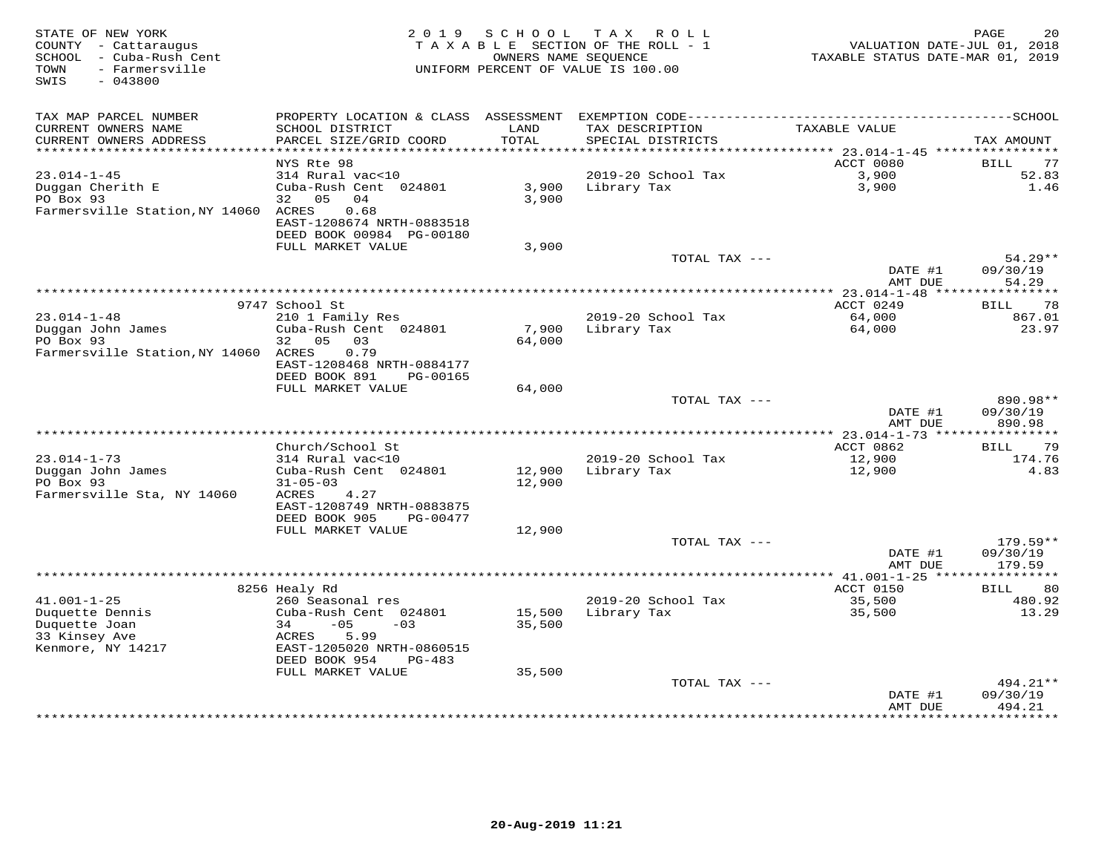| STATE OF NEW YORK<br>COUNTY - Cattaraugus<br>SCHOOL - Cuba-Rush Cent<br>- Farmersville<br>TOWN<br>SWIS<br>$-043800$ | 2 0 1 9                                                | SCHOOL | TAX ROLL<br>TAXABLE SECTION OF THE ROLL - 1<br>OWNERS NAME SEQUENCE<br>UNIFORM PERCENT OF VALUE IS 100.00 | VALUATION DATE-JUL 01, 2018<br>TAXABLE STATUS DATE-MAR 01, 2019 | PAGE<br>20          |
|---------------------------------------------------------------------------------------------------------------------|--------------------------------------------------------|--------|-----------------------------------------------------------------------------------------------------------|-----------------------------------------------------------------|---------------------|
| TAX MAP PARCEL NUMBER<br>CURRENT OWNERS NAME                                                                        | SCHOOL DISTRICT                                        | LAND   | TAX DESCRIPTION                                                                                           | TAXABLE VALUE                                                   |                     |
| CURRENT OWNERS ADDRESS                                                                                              | PARCEL SIZE/GRID COORD                                 | TOTAL  | SPECIAL DISTRICTS                                                                                         |                                                                 | TAX AMOUNT          |
| **********************                                                                                              | *************************                              |        |                                                                                                           |                                                                 |                     |
| $23.014 - 1 - 45$                                                                                                   | NYS Rte 98<br>314 Rural vac<10                         |        | 2019-20 School Tax                                                                                        | ACCT 0080<br>3,900                                              | BILL<br>77<br>52.83 |
| Duggan Cherith E                                                                                                    | Cuba-Rush Cent 024801                                  | 3,900  | Library Tax                                                                                               | 3,900                                                           | 1.46                |
| PO Box 93                                                                                                           | 32 05<br>04                                            | 3,900  |                                                                                                           |                                                                 |                     |
| Farmersville Station, NY 14060 ACRES                                                                                | 0.68                                                   |        |                                                                                                           |                                                                 |                     |
|                                                                                                                     | EAST-1208674 NRTH-0883518                              |        |                                                                                                           |                                                                 |                     |
|                                                                                                                     | DEED BOOK 00984 PG-00180<br>FULL MARKET VALUE          | 3,900  |                                                                                                           |                                                                 |                     |
|                                                                                                                     |                                                        |        | TOTAL TAX ---                                                                                             |                                                                 | $54.29**$           |
|                                                                                                                     |                                                        |        |                                                                                                           | DATE #1                                                         | 09/30/19            |
|                                                                                                                     |                                                        |        |                                                                                                           | AMT DUE                                                         | 54.29               |
|                                                                                                                     | 9747 School St                                         |        |                                                                                                           | ACCT 0249                                                       | 78                  |
| $23.014 - 1 - 48$                                                                                                   | 210 1 Family Res                                       |        | 2019-20 School Tax                                                                                        | 64,000                                                          | BILL<br>867.01      |
| Duggan John James                                                                                                   | Cuba-Rush Cent 024801                                  | 7,900  | Library Tax                                                                                               | 64,000                                                          | 23.97               |
| PO Box 93                                                                                                           | 32 05<br>03                                            | 64,000 |                                                                                                           |                                                                 |                     |
| Farmersville Station, NY 14060 ACRES                                                                                | 0.79                                                   |        |                                                                                                           |                                                                 |                     |
|                                                                                                                     | EAST-1208468 NRTH-0884177<br>DEED BOOK 891<br>PG-00165 |        |                                                                                                           |                                                                 |                     |
|                                                                                                                     | FULL MARKET VALUE                                      | 64,000 |                                                                                                           |                                                                 |                     |
|                                                                                                                     |                                                        |        | TOTAL TAX ---                                                                                             |                                                                 | 890.98**            |
|                                                                                                                     |                                                        |        |                                                                                                           | DATE #1                                                         | 09/30/19            |
|                                                                                                                     |                                                        |        |                                                                                                           | AMT DUE                                                         | 890.98              |
|                                                                                                                     | Church/School St                                       |        |                                                                                                           | ACCT 0862                                                       | 79<br>BILL          |
| 23.014-1-73                                                                                                         | 314 Rural vac<10                                       |        | 2019-20 School Tax                                                                                        | 12,900                                                          | 174.76              |
| Duggan John James                                                                                                   | Cuba-Rush Cent 024801                                  | 12,900 | Library Tax                                                                                               | 12,900                                                          | 4.83                |
| PO Box 93                                                                                                           | $31 - 05 - 03$                                         | 12,900 |                                                                                                           |                                                                 |                     |
| Farmersville Sta, NY 14060                                                                                          | ACRES<br>4.27<br>EAST-1208749 NRTH-0883875             |        |                                                                                                           |                                                                 |                     |
|                                                                                                                     | DEED BOOK 905<br>PG-00477                              |        |                                                                                                           |                                                                 |                     |
|                                                                                                                     | FULL MARKET VALUE                                      | 12,900 |                                                                                                           |                                                                 |                     |
|                                                                                                                     |                                                        |        | TOTAL TAX ---                                                                                             |                                                                 | $179.59**$          |
|                                                                                                                     |                                                        |        |                                                                                                           | DATE #1                                                         | 09/30/19            |
|                                                                                                                     |                                                        |        |                                                                                                           | AMT DUE                                                         | 179.59              |
|                                                                                                                     | 8256 Healy Rd                                          |        |                                                                                                           | ACCT 0150                                                       | BILL<br>80          |
| $41.001 - 1 - 25$                                                                                                   | 260 Seasonal res                                       |        | 2019-20 School Tax                                                                                        | 35,500                                                          | 480.92              |
| Duquette Dennis                                                                                                     | Cuba-Rush Cent 024801                                  | 15,500 | Library Tax                                                                                               | 35,500                                                          | 13.29               |
| Duquette Joan                                                                                                       | 34<br>$-05$<br>$-03$                                   | 35,500 |                                                                                                           |                                                                 |                     |
| 33 Kinsey Ave<br>Kenmore, NY 14217                                                                                  | ACRES<br>5.99<br>EAST-1205020 NRTH-0860515             |        |                                                                                                           |                                                                 |                     |
|                                                                                                                     | DEED BOOK 954<br>$PG-483$                              |        |                                                                                                           |                                                                 |                     |
|                                                                                                                     | FULL MARKET VALUE                                      | 35,500 |                                                                                                           |                                                                 |                     |
|                                                                                                                     |                                                        |        | TOTAL TAX ---                                                                                             |                                                                 | $494.21**$          |
|                                                                                                                     |                                                        |        |                                                                                                           | DATE #1<br>AMT DUE                                              | 09/30/19<br>494.21  |
|                                                                                                                     |                                                        |        |                                                                                                           | · * * * * * * * * * * * * *                                     | * * * * * * * * *   |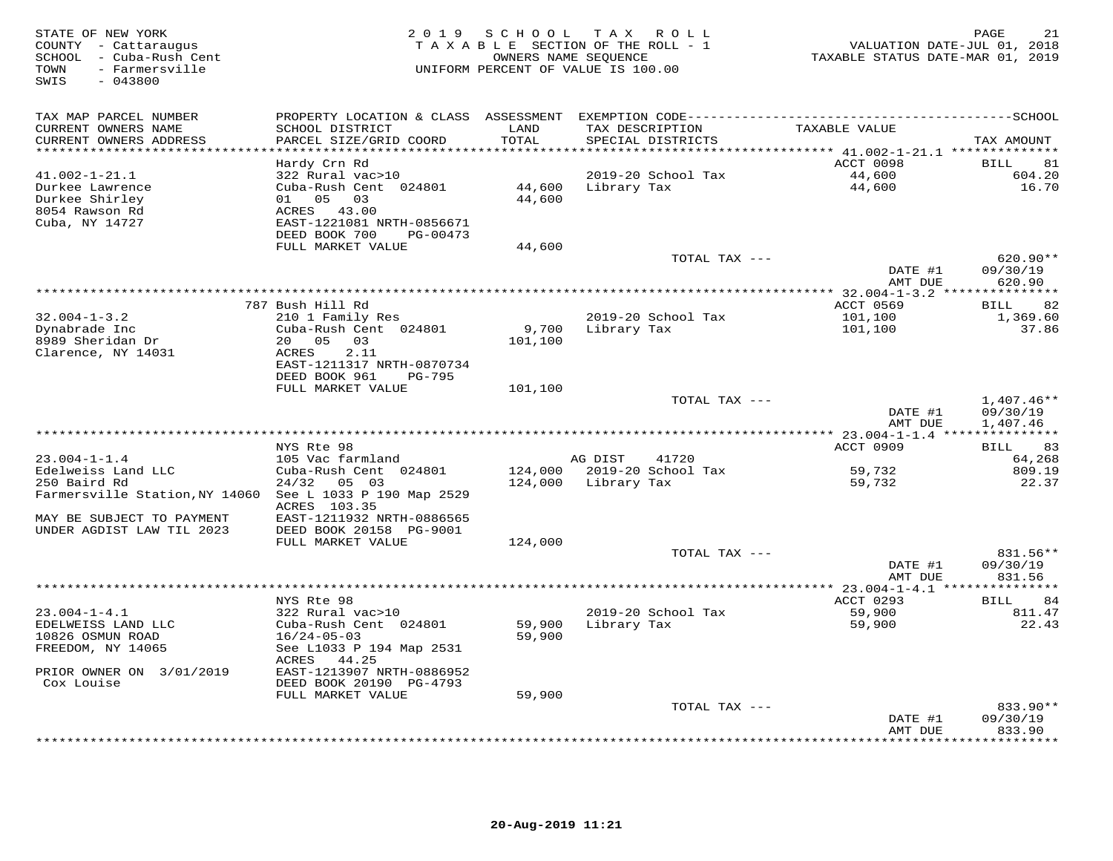| STATE OF NEW YORK<br>COUNTY - Cattaraugus<br>SCHOOL - Cuba-Rush Cent<br>- Farmersville<br>TOWN<br>SWIS<br>$-043800$ | 2 0 1 9                                    |                             | SCHOOL TAX ROLL<br>TAXABLE SECTION OF THE ROLL - 1<br>OWNERS NAME SEQUENCE<br>UNIFORM PERCENT OF VALUE IS 100.00 | VALUATION DATE-JUL 01, 2018<br>TAXABLE STATUS DATE-MAR 01, 2019 | PAGE<br>21               |
|---------------------------------------------------------------------------------------------------------------------|--------------------------------------------|-----------------------------|------------------------------------------------------------------------------------------------------------------|-----------------------------------------------------------------|--------------------------|
| TAX MAP PARCEL NUMBER                                                                                               |                                            |                             |                                                                                                                  |                                                                 |                          |
| CURRENT OWNERS NAME<br>CURRENT OWNERS ADDRESS                                                                       | SCHOOL DISTRICT<br>PARCEL SIZE/GRID COORD  | LAND<br>TOTAL               | TAX DESCRIPTION<br>SPECIAL DISTRICTS                                                                             | TAXABLE VALUE                                                   | TAX AMOUNT               |
| ********************                                                                                                |                                            | * * * * * * * * * * * * * * | ***************                                                                                                  | *********** 41.002-1-21.1 **************                        |                          |
| $41.002 - 1 - 21.1$                                                                                                 | Hardy Crn Rd<br>322 Rural vac>10           |                             | 2019-20 School Tax                                                                                               | ACCT 0098<br>44,600                                             | BILL<br>81<br>604.20     |
| Durkee Lawrence                                                                                                     | Cuba-Rush Cent 024801                      | 44,600                      | Library Tax                                                                                                      | 44,600                                                          | 16.70                    |
| Durkee Shirley                                                                                                      | 01 05 03                                   | 44,600                      |                                                                                                                  |                                                                 |                          |
| 8054 Rawson Rd                                                                                                      | ACRES 43.00                                |                             |                                                                                                                  |                                                                 |                          |
| Cuba, NY 14727                                                                                                      | EAST-1221081 NRTH-0856671                  |                             |                                                                                                                  |                                                                 |                          |
|                                                                                                                     | DEED BOOK 700<br>PG-00473                  |                             |                                                                                                                  |                                                                 |                          |
|                                                                                                                     | FULL MARKET VALUE                          | 44,600                      | TOTAL TAX ---                                                                                                    |                                                                 | 620.90**                 |
|                                                                                                                     |                                            |                             |                                                                                                                  | DATE #1                                                         | 09/30/19                 |
|                                                                                                                     |                                            |                             |                                                                                                                  | AMT DUE                                                         | 620.90                   |
|                                                                                                                     |                                            |                             |                                                                                                                  |                                                                 |                          |
|                                                                                                                     | 787 Bush Hill Rd                           |                             |                                                                                                                  | ACCT 0569                                                       | <b>BILL</b><br>82        |
| $32.004 - 1 - 3.2$                                                                                                  | 210 1 Family Res                           |                             | 2019-20 School Tax                                                                                               | 101,100                                                         | 1,369.60                 |
| Dynabrade Inc<br>8989 Sheridan Dr                                                                                   | Cuba-Rush Cent 024801<br>20  05  03        | 9,700<br>101,100            | Library Tax                                                                                                      | 101,100                                                         | 37.86                    |
| Clarence, NY 14031                                                                                                  | ACRES<br>2.11                              |                             |                                                                                                                  |                                                                 |                          |
|                                                                                                                     | EAST-1211317 NRTH-0870734                  |                             |                                                                                                                  |                                                                 |                          |
|                                                                                                                     | DEED BOOK 961<br>PG-795                    |                             |                                                                                                                  |                                                                 |                          |
|                                                                                                                     | FULL MARKET VALUE                          | 101,100                     |                                                                                                                  |                                                                 |                          |
|                                                                                                                     |                                            |                             | TOTAL TAX ---                                                                                                    | DATE #1                                                         | $1,407.46**$<br>09/30/19 |
|                                                                                                                     |                                            |                             |                                                                                                                  | AMT DUE                                                         | 1,407.46                 |
|                                                                                                                     |                                            |                             |                                                                                                                  |                                                                 |                          |
|                                                                                                                     | NYS Rte 98                                 |                             |                                                                                                                  | ACCT 0909                                                       | 83<br>BILL               |
| $23.004 - 1 - 1.4$                                                                                                  | 105 Vac farmland                           |                             | AG DIST<br>41720                                                                                                 |                                                                 | 64,268                   |
| Edelweiss Land LLC<br>250 Baird Rd                                                                                  | Cuba-Rush Cent 024801                      |                             | 124,000 2019-20 School Tax<br>124,000 Library Tax                                                                | 59,732<br>59,732                                                | 809.19                   |
| Farmersville Station, NY 14060 See L 1033 P 190 Map 2529                                                            | $24/32$ 05 03                              |                             |                                                                                                                  |                                                                 | 22.37                    |
|                                                                                                                     | ACRES 103.35                               |                             |                                                                                                                  |                                                                 |                          |
| MAY BE SUBJECT TO PAYMENT                                                                                           | EAST-1211932 NRTH-0886565                  |                             |                                                                                                                  |                                                                 |                          |
| UNDER AGDIST LAW TIL 2023                                                                                           | DEED BOOK 20158 PG-9001                    |                             |                                                                                                                  |                                                                 |                          |
|                                                                                                                     | FULL MARKET VALUE                          | 124,000                     |                                                                                                                  |                                                                 |                          |
|                                                                                                                     |                                            |                             | TOTAL TAX ---                                                                                                    | DATE #1                                                         | 831.56**<br>09/30/19     |
|                                                                                                                     |                                            |                             |                                                                                                                  | AMT DUE                                                         | 831.56                   |
|                                                                                                                     |                                            |                             |                                                                                                                  | ***************** 23.004-1-4.1 ****************                 |                          |
|                                                                                                                     | NYS Rte 98                                 |                             |                                                                                                                  | ACCT 0293                                                       | BILL<br>84               |
| $23.004 - 1 - 4.1$                                                                                                  | 322 Rural vac>10                           |                             | 2019-20 School Tax                                                                                               | 59,900                                                          | 811.47                   |
| EDELWEISS LAND LLC<br>10826 OSMUN ROAD                                                                              | Cuba-Rush Cent 024801<br>$16/24 - 05 - 03$ | 59,900<br>59,900            | Library Tax                                                                                                      | 59,900                                                          | 22.43                    |
| FREEDOM, NY 14065                                                                                                   | See L1033 P 194 Map 2531                   |                             |                                                                                                                  |                                                                 |                          |
|                                                                                                                     | ACRES<br>44.25                             |                             |                                                                                                                  |                                                                 |                          |
| PRIOR OWNER ON 3/01/2019                                                                                            | EAST-1213907 NRTH-0886952                  |                             |                                                                                                                  |                                                                 |                          |
| Cox Louise                                                                                                          | DEED BOOK 20190 PG-4793                    |                             |                                                                                                                  |                                                                 |                          |
|                                                                                                                     | FULL MARKET VALUE                          | 59,900                      |                                                                                                                  |                                                                 |                          |
|                                                                                                                     |                                            |                             | TOTAL TAX ---                                                                                                    | DATE #1                                                         | 833.90**<br>09/30/19     |
|                                                                                                                     |                                            |                             |                                                                                                                  | AMT DUE                                                         | 833.90                   |
|                                                                                                                     |                                            |                             | *************************************                                                                            |                                                                 | ********                 |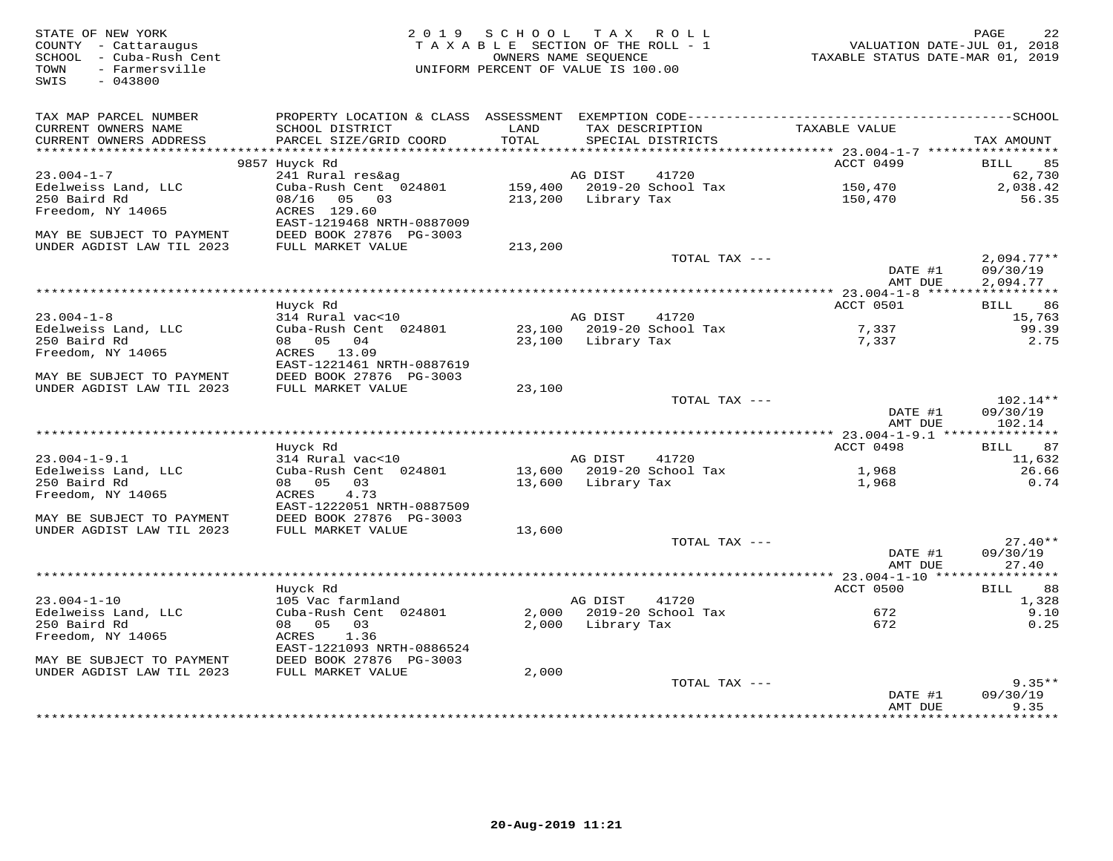| STATE OF NEW YORK<br>COUNTY - Cattaraugus<br>SCHOOL - Cuba-Rush Cent<br>- Farmersville<br>TOWN<br>SWIS<br>$-043800$ |                                              | 2019 SCHOOL<br>TAXABLE SECTION OF THE ROLL - 1<br>UNIFORM PERCENT OF VALUE IS 100.00 | OWNERS NAME SEOUENCE | TAX ROLL                             | VALUATION DATE-JUL 01, 2018<br>TAXABLE STATUS DATE-MAR 01, 2019 | PAGE<br>22           |
|---------------------------------------------------------------------------------------------------------------------|----------------------------------------------|--------------------------------------------------------------------------------------|----------------------|--------------------------------------|-----------------------------------------------------------------|----------------------|
| TAX MAP PARCEL NUMBER                                                                                               |                                              |                                                                                      |                      |                                      |                                                                 |                      |
| CURRENT OWNERS NAME<br>CURRENT OWNERS ADDRESS                                                                       | SCHOOL DISTRICT<br>PARCEL SIZE/GRID COORD    | LAND<br>TOTAL                                                                        |                      | TAX DESCRIPTION<br>SPECIAL DISTRICTS | TAXABLE VALUE                                                   | TAX AMOUNT           |
|                                                                                                                     | 9857 Huyck Rd                                |                                                                                      |                      |                                      | ACCT 0499                                                       | 85<br>BILL           |
| $23.004 - 1 - 7$                                                                                                    | 241 Rural res&ag                             |                                                                                      | AG DIST              | 41720                                |                                                                 | 62,730               |
| Edelweiss Land, LLC                                                                                                 | Cuba-Rush Cent 024801                        |                                                                                      |                      | 159,400 2019-20 School Tax           | 150,470                                                         | 2,038.42             |
| 250 Baird Rd                                                                                                        | 08/16<br>05 03                               |                                                                                      | 213,200 Library Tax  |                                      | 150,470                                                         | 56.35                |
| Freedom, NY 14065                                                                                                   | ACRES 129.60<br>EAST-1219468 NRTH-0887009    |                                                                                      |                      |                                      |                                                                 |                      |
| MAY BE SUBJECT TO PAYMENT<br>UNDER AGDIST LAW TIL 2023                                                              | DEED BOOK 27876 PG-3003<br>FULL MARKET VALUE | 213,200                                                                              |                      |                                      |                                                                 |                      |
|                                                                                                                     |                                              |                                                                                      |                      | TOTAL TAX ---                        |                                                                 | $2,094.77**$         |
|                                                                                                                     |                                              |                                                                                      |                      |                                      | DATE #1<br>AMT DUE                                              | 09/30/19<br>2,094.77 |
|                                                                                                                     |                                              |                                                                                      |                      |                                      |                                                                 |                      |
|                                                                                                                     | Huyck Rd                                     |                                                                                      |                      |                                      | ACCT 0501                                                       | 86<br>BILL           |
| $23.004 - 1 - 8$                                                                                                    | 314 Rural vac<10                             |                                                                                      | AG DIST              | 41720                                |                                                                 | 15,763               |
| Edelweiss Land, LLC<br>250 Baird Rd                                                                                 | Cuba-Rush Cent 024801<br>08 05 04            |                                                                                      | 23,100 Library Tax   | 23,100 2019-20 School Tax            | 7,337<br>7,337                                                  | 99.39<br>2.75        |
| Freedom, NY 14065                                                                                                   | ACRES 13.09                                  |                                                                                      |                      |                                      |                                                                 |                      |
|                                                                                                                     | EAST-1221461 NRTH-0887619                    |                                                                                      |                      |                                      |                                                                 |                      |
| MAY BE SUBJECT TO PAYMENT                                                                                           | DEED BOOK 27876 PG-3003                      |                                                                                      |                      |                                      |                                                                 |                      |
| UNDER AGDIST LAW TIL 2023                                                                                           | FULL MARKET VALUE                            | 23,100                                                                               |                      |                                      |                                                                 |                      |
|                                                                                                                     |                                              |                                                                                      |                      | TOTAL TAX ---                        |                                                                 | $102.14**$           |
|                                                                                                                     |                                              |                                                                                      |                      |                                      | DATE #1<br>AMT DUE                                              | 09/30/19<br>102.14   |
|                                                                                                                     |                                              |                                                                                      |                      |                                      |                                                                 |                      |
|                                                                                                                     | Huyck Rd                                     |                                                                                      |                      |                                      | ACCT 0498                                                       | 87<br>BILL           |
| $23.004 - 1 - 9.1$                                                                                                  | 314 Rural vac<10                             |                                                                                      | AG DIST              | 41720                                |                                                                 | 11,632               |
| Edelweiss Land, LLC                                                                                                 | Cuba-Rush Cent 024801                        |                                                                                      |                      | 13,600 2019-20 School Tax            | 1,968                                                           | 26.66                |
| 250 Baird Rd                                                                                                        | 08 05<br>03                                  |                                                                                      | 13,600 Library Tax   |                                      | 1,968                                                           | 0.74                 |
| Freedom, NY 14065                                                                                                   | 4.73<br>ACRES<br>EAST-1222051 NRTH-0887509   |                                                                                      |                      |                                      |                                                                 |                      |
| MAY BE SUBJECT TO PAYMENT                                                                                           | DEED BOOK 27876 PG-3003                      |                                                                                      |                      |                                      |                                                                 |                      |
| UNDER AGDIST LAW TIL 2023                                                                                           | FULL MARKET VALUE                            | 13,600                                                                               |                      |                                      |                                                                 |                      |
|                                                                                                                     |                                              |                                                                                      |                      | TOTAL TAX ---                        |                                                                 | $27.40**$            |
|                                                                                                                     |                                              |                                                                                      |                      |                                      | DATE #1                                                         | 09/30/19             |
|                                                                                                                     |                                              |                                                                                      |                      |                                      | AMT DUE                                                         | 27.40                |
|                                                                                                                     | Huyck Rd                                     |                                                                                      |                      |                                      | ACCT 0500                                                       | 88<br>BILL           |
| $23.004 - 1 - 10$                                                                                                   | 105 Vac farmland                             |                                                                                      | AG DIST              | 41720                                |                                                                 | 1,328                |
| Edelweiss Land, LLC                                                                                                 | Cuba-Rush Cent 024801                        |                                                                                      |                      | 2,000 2019-20 School Tax             | 672                                                             | 9.10                 |
| 250 Baird Rd                                                                                                        | 08 05<br>03                                  | 2,000                                                                                | Library Tax          |                                      | 672                                                             | 0.25                 |
| Freedom, NY 14065                                                                                                   | 1.36<br>ACRES                                |                                                                                      |                      |                                      |                                                                 |                      |
|                                                                                                                     | EAST-1221093 NRTH-0886524                    |                                                                                      |                      |                                      |                                                                 |                      |
| MAY BE SUBJECT TO PAYMENT<br>UNDER AGDIST LAW TIL 2023                                                              | DEED BOOK 27876 PG-3003<br>FULL MARKET VALUE | 2,000                                                                                |                      |                                      |                                                                 |                      |
|                                                                                                                     |                                              |                                                                                      |                      | TOTAL TAX ---                        |                                                                 | $9.35**$             |
|                                                                                                                     |                                              |                                                                                      |                      |                                      | DATE #1                                                         | 09/30/19             |
|                                                                                                                     |                                              |                                                                                      |                      |                                      | AMT DUE                                                         | 9.35<br>.            |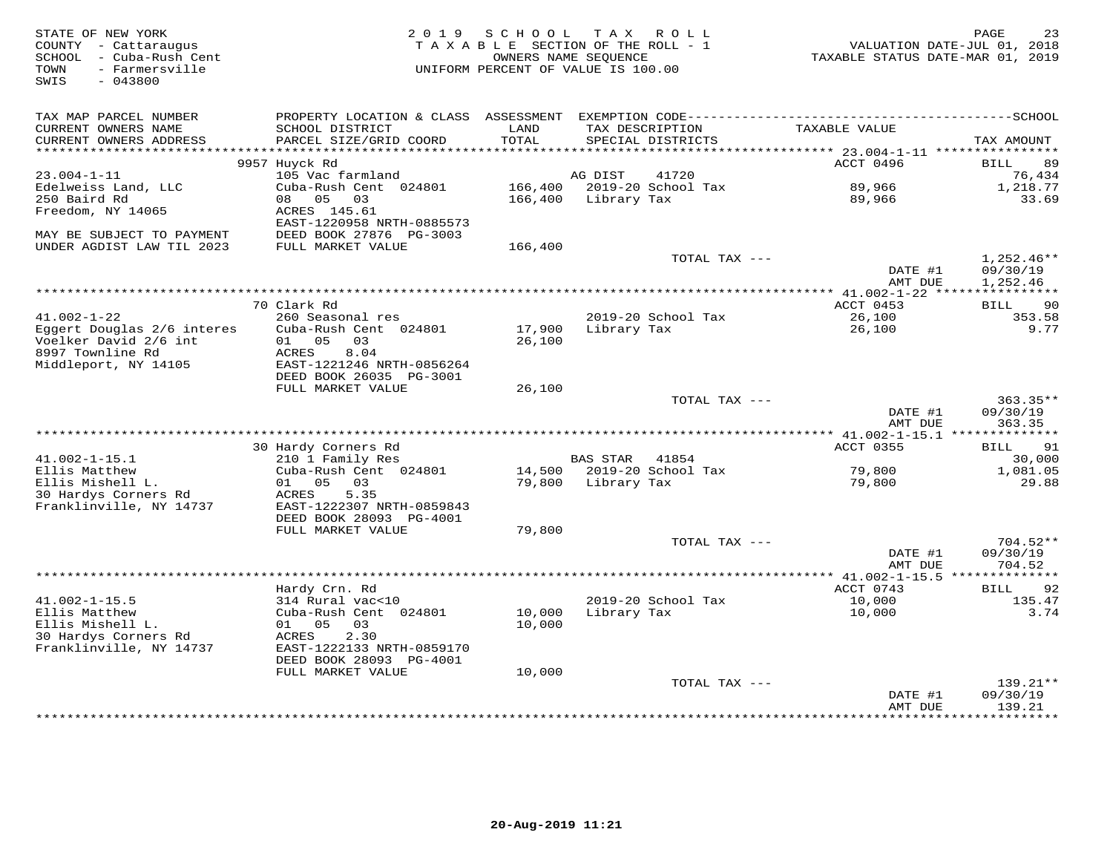| STATE OF NEW YORK<br>COUNTY - Cattaraugus<br>SCHOOL - Cuba-Rush Cent<br>- Farmersville<br>TOWN<br>SWIS<br>$-043800$ | 2 0 1 9                                              | SCHOOL        | TAX ROLL<br>TAXABLE SECTION OF THE ROLL - 1<br>OWNERS NAME SEQUENCE<br>UNIFORM PERCENT OF VALUE IS 100.00 | VALUATION DATE-JUL 01, 2018<br>TAXABLE STATUS DATE-MAR 01, 2019 | PAGE<br>23             |
|---------------------------------------------------------------------------------------------------------------------|------------------------------------------------------|---------------|-----------------------------------------------------------------------------------------------------------|-----------------------------------------------------------------|------------------------|
| TAX MAP PARCEL NUMBER                                                                                               |                                                      |               |                                                                                                           |                                                                 |                        |
| CURRENT OWNERS NAME<br>CURRENT OWNERS ADDRESS                                                                       | SCHOOL DISTRICT<br>PARCEL SIZE/GRID COORD            | LAND<br>TOTAL | TAX DESCRIPTION<br>SPECIAL DISTRICTS                                                                      | TAXABLE VALUE                                                   | TAX AMOUNT             |
| ********************                                                                                                |                                                      |               |                                                                                                           |                                                                 |                        |
|                                                                                                                     | 9957 Huyck Rd                                        |               |                                                                                                           | ACCT 0496                                                       | <b>BILL</b><br>89      |
| 23.004-1-11                                                                                                         | 105 Vac farmland                                     |               | 41720<br>AG DIST                                                                                          |                                                                 | 76,434                 |
| Edelweiss Land, LLC                                                                                                 | Cuba-Rush Cent 024801                                | 166,400       | 2019-20 School Tax                                                                                        | 89,966                                                          | 1,218.77               |
| 250 Baird Rd                                                                                                        | 08 05<br>03                                          | 166,400       | Library Tax                                                                                               | 89,966                                                          | 33.69                  |
| Freedom, NY 14065                                                                                                   | ACRES 145.61                                         |               |                                                                                                           |                                                                 |                        |
| MAY BE SUBJECT TO PAYMENT                                                                                           | EAST-1220958 NRTH-0885573<br>DEED BOOK 27876 PG-3003 |               |                                                                                                           |                                                                 |                        |
| UNDER AGDIST LAW TIL 2023                                                                                           | FULL MARKET VALUE                                    | 166,400       |                                                                                                           |                                                                 |                        |
|                                                                                                                     |                                                      |               | TOTAL TAX ---                                                                                             |                                                                 | $1,252.46**$           |
|                                                                                                                     |                                                      |               |                                                                                                           | DATE #1                                                         | 09/30/19               |
|                                                                                                                     |                                                      |               |                                                                                                           | AMT DUE                                                         | 1,252.46               |
|                                                                                                                     |                                                      |               |                                                                                                           |                                                                 |                        |
| $41.002 - 1 - 22$                                                                                                   | 70 Clark Rd<br>260 Seasonal res                      |               | 2019-20 School Tax                                                                                        | ACCT 0453<br>26,100                                             | 90<br>BILL<br>353.58   |
| Eqqert Douglas 2/6 interes                                                                                          | Cuba-Rush Cent 024801                                | 17,900        | Library Tax                                                                                               | 26,100                                                          | 9.77                   |
| Voelker David 2/6 int                                                                                               | 01 05<br>03                                          | 26,100        |                                                                                                           |                                                                 |                        |
| 8997 Townline Rd                                                                                                    | 8.04<br>ACRES                                        |               |                                                                                                           |                                                                 |                        |
| Middleport, NY 14105                                                                                                | EAST-1221246 NRTH-0856264                            |               |                                                                                                           |                                                                 |                        |
|                                                                                                                     | DEED BOOK 26035 PG-3001                              |               |                                                                                                           |                                                                 |                        |
|                                                                                                                     | FULL MARKET VALUE                                    | 26,100        |                                                                                                           |                                                                 |                        |
|                                                                                                                     |                                                      |               | TOTAL TAX ---                                                                                             | DATE #1                                                         | $363.35**$<br>09/30/19 |
|                                                                                                                     |                                                      |               |                                                                                                           | AMT DUE                                                         | 363.35                 |
|                                                                                                                     |                                                      |               |                                                                                                           |                                                                 |                        |
|                                                                                                                     | 30 Hardy Corners Rd                                  |               |                                                                                                           | ACCT 0355                                                       | 91<br>BILL             |
| $41.002 - 1 - 15.1$                                                                                                 | 210 1 Family Res                                     |               | <b>BAS STAR</b><br>41854                                                                                  |                                                                 | 30,000                 |
| Ellis Matthew                                                                                                       | Cuba-Rush Cent 024801                                |               | 14,500 2019-20 School Tax                                                                                 | 79,800                                                          | 1,081.05               |
| Ellis Mishell L.                                                                                                    | 01 05 03                                             |               | 79,800 Library Tax                                                                                        | 79,800                                                          | 29.88                  |
| 30 Hardys Corners Rd<br>Franklinville, NY 14737                                                                     | 5.35<br>ACRES<br>EAST-1222307 NRTH-0859843           |               |                                                                                                           |                                                                 |                        |
|                                                                                                                     | DEED BOOK 28093 PG-4001                              |               |                                                                                                           |                                                                 |                        |
|                                                                                                                     | FULL MARKET VALUE                                    | 79,800        |                                                                                                           |                                                                 |                        |
|                                                                                                                     |                                                      |               | TOTAL TAX ---                                                                                             |                                                                 | $704.52**$             |
|                                                                                                                     |                                                      |               |                                                                                                           | DATE #1                                                         | 09/30/19               |
|                                                                                                                     |                                                      |               |                                                                                                           | AMT DUE                                                         | 704.52                 |
|                                                                                                                     | Hardy Crn. Rd                                        |               |                                                                                                           | ACCT 0743                                                       | 92<br>BILL             |
| $41.002 - 1 - 15.5$                                                                                                 | 314 Rural vac<10                                     |               | 2019-20 School Tax                                                                                        | 10,000                                                          | 135.47                 |
| Ellis Matthew                                                                                                       | Cuba-Rush Cent 024801                                | 10,000        | Library Tax                                                                                               | 10,000                                                          | 3.74                   |
| Ellis Mishell L.                                                                                                    | 01 05 03                                             | 10,000        |                                                                                                           |                                                                 |                        |
| 30 Hardys Corners Rd                                                                                                | ACRES<br>2.30                                        |               |                                                                                                           |                                                                 |                        |
| Franklinville, NY 14737                                                                                             | EAST-1222133 NRTH-0859170                            |               |                                                                                                           |                                                                 |                        |
|                                                                                                                     | DEED BOOK 28093 PG-4001                              |               |                                                                                                           |                                                                 |                        |
|                                                                                                                     | FULL MARKET VALUE                                    | 10,000        | TOTAL TAX ---                                                                                             |                                                                 | 139.21**               |
|                                                                                                                     |                                                      |               |                                                                                                           | DATE #1                                                         | 09/30/19               |
|                                                                                                                     |                                                      |               |                                                                                                           | AMT DUE                                                         | 139.21                 |
|                                                                                                                     |                                                      |               |                                                                                                           | *************                                                   | **********             |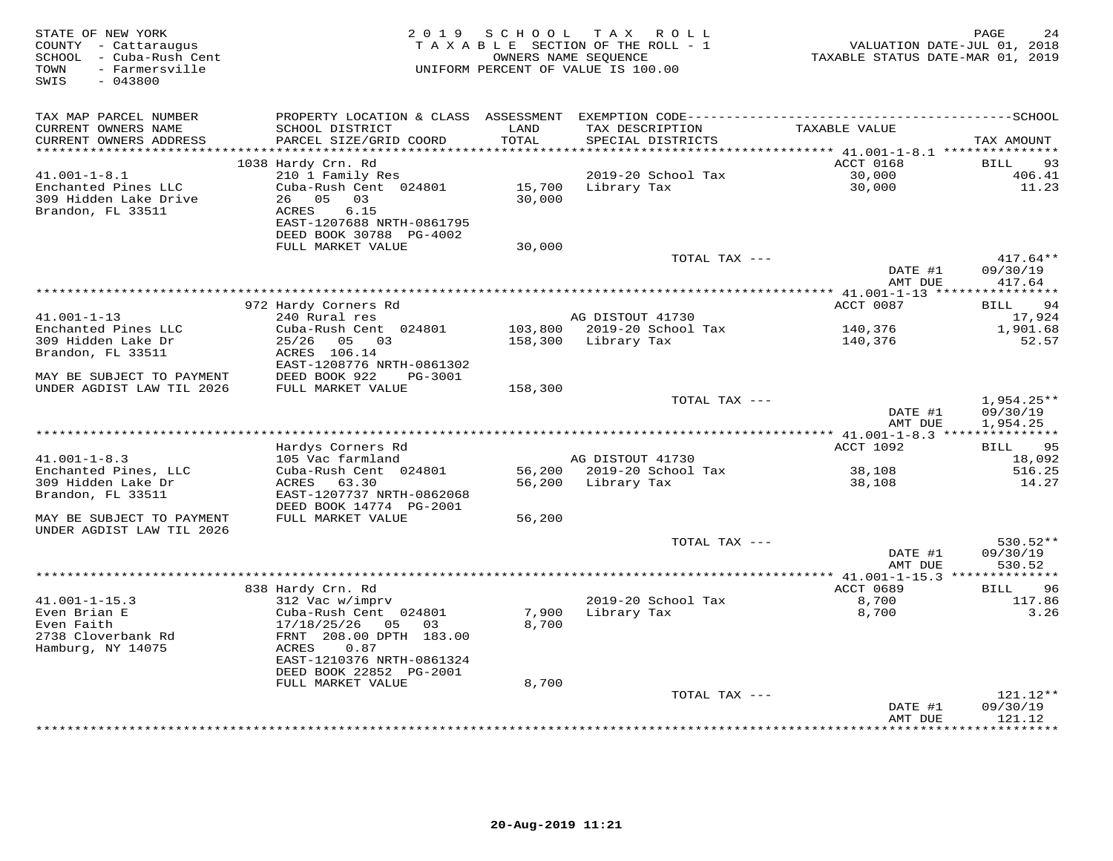| STATE OF NEW YORK<br>COUNTY - Cattaraugus<br>SCHOOL - Cuba-Rush Cent<br>- Farmersville<br>TOWN<br>SWIS<br>$-043800$ | 2 0 1 9                                           |                | SCHOOL TAX ROLL<br>TAXABLE SECTION OF THE ROLL - 1<br>OWNERS NAME SEQUENCE<br>UNIFORM PERCENT OF VALUE IS 100.00 | VALUATION DATE-JUL 01, 2018<br>TAXABLE STATUS DATE-MAR 01, 2019 | 24<br>PAGE           |
|---------------------------------------------------------------------------------------------------------------------|---------------------------------------------------|----------------|------------------------------------------------------------------------------------------------------------------|-----------------------------------------------------------------|----------------------|
| TAX MAP PARCEL NUMBER                                                                                               |                                                   |                |                                                                                                                  |                                                                 |                      |
| CURRENT OWNERS NAME                                                                                                 | SCHOOL DISTRICT                                   | LAND           | TAX DESCRIPTION                                                                                                  | TAXABLE VALUE                                                   |                      |
| CURRENT OWNERS ADDRESS                                                                                              | PARCEL SIZE/GRID COORD                            | TOTAL          | SPECIAL DISTRICTS                                                                                                |                                                                 | TAX AMOUNT           |
| **********************                                                                                              | 1038 Hardy Crn. Rd                                | ***********    | ***************                                                                                                  | ********** 41.001-1-8.1 ****************<br>ACCT 0168           | <b>BILL</b><br>93    |
| $41.001 - 1 - 8.1$                                                                                                  | 210 1 Family Res                                  |                | 2019-20 School Tax                                                                                               | 30,000                                                          | 406.41               |
| Enchanted Pines LLC                                                                                                 | Cuba-Rush Cent 024801                             | 15,700         | Library Tax                                                                                                      | 30,000                                                          | 11.23                |
| 309 Hidden Lake Drive                                                                                               | 26 05<br>03                                       | 30,000         |                                                                                                                  |                                                                 |                      |
| Brandon, FL 33511                                                                                                   | ACRES<br>6.15                                     |                |                                                                                                                  |                                                                 |                      |
|                                                                                                                     | EAST-1207688 NRTH-0861795                         |                |                                                                                                                  |                                                                 |                      |
|                                                                                                                     | DEED BOOK 30788 PG-4002<br>FULL MARKET VALUE      |                |                                                                                                                  |                                                                 |                      |
|                                                                                                                     |                                                   | 30,000         | TOTAL TAX ---                                                                                                    |                                                                 | $417.64**$           |
|                                                                                                                     |                                                   |                |                                                                                                                  | DATE #1                                                         | 09/30/19             |
|                                                                                                                     |                                                   |                |                                                                                                                  | AMT DUE                                                         | 417.64               |
|                                                                                                                     |                                                   |                |                                                                                                                  |                                                                 |                      |
| $41.001 - 1 - 13$                                                                                                   | 972 Hardy Corners Rd<br>240 Rural res             |                | AG DISTOUT 41730                                                                                                 | ACCT 0087                                                       | 94<br><b>BILL</b>    |
| Enchanted Pines LLC                                                                                                 | Cuba-Rush Cent 024801                             |                | 103,800 2019-20 School Tax                                                                                       | 140,376                                                         | 17,924<br>1,901.68   |
| 309 Hidden Lake Dr                                                                                                  | 25/26 05 03                                       |                | 158,300 Library Tax                                                                                              | 140,376                                                         | 52.57                |
| Brandon, FL 33511                                                                                                   | ACRES 106.14                                      |                |                                                                                                                  |                                                                 |                      |
|                                                                                                                     | EAST-1208776 NRTH-0861302                         |                |                                                                                                                  |                                                                 |                      |
| MAY BE SUBJECT TO PAYMENT                                                                                           | DEED BOOK 922<br>PG-3001                          |                |                                                                                                                  |                                                                 |                      |
| UNDER AGDIST LAW TIL 2026                                                                                           | FULL MARKET VALUE                                 | 158,300        | TOTAL TAX ---                                                                                                    |                                                                 | $1,954.25**$         |
|                                                                                                                     |                                                   |                |                                                                                                                  | DATE #1                                                         | 09/30/19             |
|                                                                                                                     |                                                   |                |                                                                                                                  | AMT DUE                                                         | 1,954.25             |
|                                                                                                                     |                                                   |                |                                                                                                                  |                                                                 |                      |
|                                                                                                                     | Hardys Corners Rd                                 |                |                                                                                                                  | ACCT 1092                                                       | 95<br><b>BILL</b>    |
| $41.001 - 1 - 8.3$<br>Enchanted Pines, LLC                                                                          | 105 Vac farmland<br>Cuba-Rush Cent 024801         |                | AG DISTOUT 41730<br>56,200 2019-20 School Tax                                                                    | 38,108                                                          | 18,092<br>516.25     |
| 309 Hidden Lake Dr                                                                                                  | 63.30<br>ACRES                                    | 56,200         | Library Tax                                                                                                      | 38,108                                                          | 14.27                |
| Brandon, FL 33511                                                                                                   | EAST-1207737 NRTH-0862068                         |                |                                                                                                                  |                                                                 |                      |
|                                                                                                                     | DEED BOOK 14774 PG-2001                           |                |                                                                                                                  |                                                                 |                      |
| MAY BE SUBJECT TO PAYMENT                                                                                           | FULL MARKET VALUE                                 | 56,200         |                                                                                                                  |                                                                 |                      |
| UNDER AGDIST LAW TIL 2026                                                                                           |                                                   |                |                                                                                                                  |                                                                 |                      |
|                                                                                                                     |                                                   |                | TOTAL TAX ---                                                                                                    | DATE #1                                                         | 530.52**<br>09/30/19 |
|                                                                                                                     |                                                   |                |                                                                                                                  | AMT DUE                                                         | 530.52               |
|                                                                                                                     |                                                   |                |                                                                                                                  |                                                                 |                      |
|                                                                                                                     | 838 Hardy Crn. Rd                                 |                |                                                                                                                  | ACCT 0689                                                       | <b>BILL</b><br>96    |
| $41.001 - 1 - 15.3$                                                                                                 | 312 Vac w/imprv                                   |                | 2019-20 School Tax                                                                                               | 8,700                                                           | 117.86               |
| Even Brian E<br>Even Faith                                                                                          | Cuba-Rush Cent 024801<br>17/18/25/26<br>05<br>0.3 | 7,900<br>8,700 | Library Tax                                                                                                      | 8,700                                                           | 3.26                 |
| 2738 Cloverbank Rd                                                                                                  | FRNT 208.00 DPTH 183.00                           |                |                                                                                                                  |                                                                 |                      |
| Hamburg, NY 14075                                                                                                   | ACRES<br>0.87                                     |                |                                                                                                                  |                                                                 |                      |
|                                                                                                                     | EAST-1210376 NRTH-0861324                         |                |                                                                                                                  |                                                                 |                      |
|                                                                                                                     | DEED BOOK 22852 PG-2001                           |                |                                                                                                                  |                                                                 |                      |
|                                                                                                                     | FULL MARKET VALUE                                 | 8,700          | TOTAL TAX ---                                                                                                    |                                                                 | 121.12**             |
|                                                                                                                     |                                                   |                |                                                                                                                  | DATE #1                                                         | 09/30/19             |
|                                                                                                                     |                                                   |                |                                                                                                                  | AMT DUE                                                         | 121.12               |
|                                                                                                                     |                                                   |                |                                                                                                                  | **************                                                  | *********            |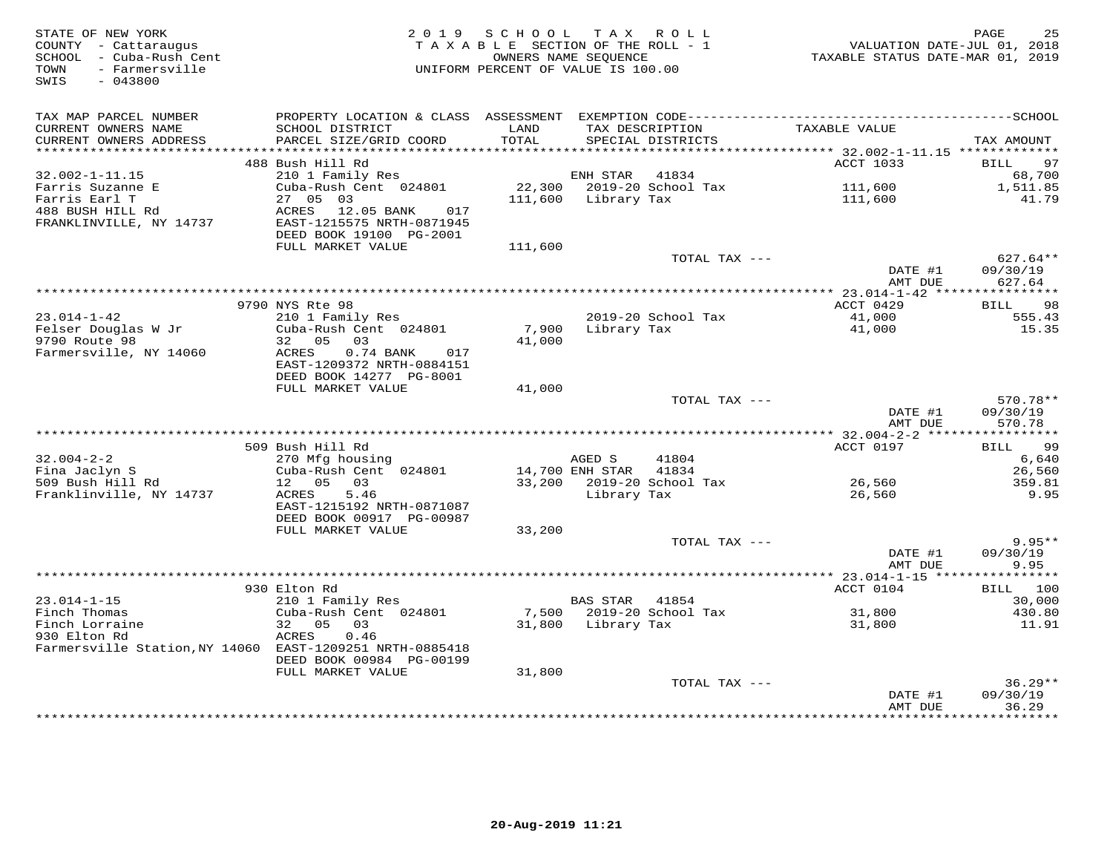| STATE OF NEW YORK<br>COUNTY - Cattaraugus<br>SCHOOL - Cuba-Rush Cent<br>- Farmersville<br>TOWN<br>SWIS<br>$-043800$ | 2 0 1 9                                              | SCHOOL<br>TAXABLE SECTION OF THE ROLL - 1<br>OWNERS NAME SEQUENCE<br>UNIFORM PERCENT OF VALUE IS 100.00 |                 | TAX ROLL                             | VALUATION DATE-JUL 01, 2018<br>TAXABLE STATUS DATE-MAR 01, 2019 | 25<br>PAGE            |
|---------------------------------------------------------------------------------------------------------------------|------------------------------------------------------|---------------------------------------------------------------------------------------------------------|-----------------|--------------------------------------|-----------------------------------------------------------------|-----------------------|
| TAX MAP PARCEL NUMBER                                                                                               |                                                      |                                                                                                         |                 |                                      |                                                                 |                       |
| CURRENT OWNERS NAME<br>CURRENT OWNERS ADDRESS<br>**********************                                             | SCHOOL DISTRICT<br>PARCEL SIZE/GRID COORD            | LAND<br>TOTAL                                                                                           |                 | TAX DESCRIPTION<br>SPECIAL DISTRICTS | TAXABLE VALUE                                                   | TAX AMOUNT            |
|                                                                                                                     | 488 Bush Hill Rd                                     |                                                                                                         |                 |                                      | ACCT 1033                                                       | BILL<br>97            |
| 32.002-1-11.15                                                                                                      | 210 1 Family Res                                     |                                                                                                         | ENH STAR        | 41834                                |                                                                 | 68,700                |
| Farris Suzanne E                                                                                                    | Cuba-Rush Cent 024801                                | 22,300                                                                                                  |                 | 2019-20 School Tax                   | 111,600                                                         | 1,511.85              |
| Farris Earl T                                                                                                       | 27 05 03                                             | 111,600                                                                                                 | Library Tax     |                                      | 111,600                                                         | 41.79                 |
| 488 BUSH HILL Rd                                                                                                    | ACRES<br>12.05 BANK<br>017                           |                                                                                                         |                 |                                      |                                                                 |                       |
| FRANKLINVILLE, NY 14737                                                                                             | EAST-1215575 NRTH-0871945<br>DEED BOOK 19100 PG-2001 |                                                                                                         |                 |                                      |                                                                 |                       |
|                                                                                                                     | FULL MARKET VALUE                                    | 111,600                                                                                                 |                 |                                      |                                                                 |                       |
|                                                                                                                     |                                                      |                                                                                                         |                 | TOTAL TAX ---                        |                                                                 | $627.64**$            |
|                                                                                                                     |                                                      |                                                                                                         |                 |                                      | DATE #1                                                         | 09/30/19              |
|                                                                                                                     |                                                      |                                                                                                         |                 |                                      | AMT DUE                                                         | 627.64                |
|                                                                                                                     | 9790 NYS Rte 98                                      |                                                                                                         |                 |                                      | ********** 23.014-1-42 *****************<br>ACCT 0429           | 98<br>BILL            |
| $23.014 - 1 - 42$                                                                                                   | 210 1 Family Res                                     |                                                                                                         |                 | 2019-20 School Tax                   | 41,000                                                          | 555.43                |
| Felser Douglas W Jr                                                                                                 | Cuba-Rush Cent 024801                                | 7,900                                                                                                   | Library Tax     |                                      | 41,000                                                          | 15.35                 |
| 9790 Route 98                                                                                                       | 32 05<br>03                                          | 41,000                                                                                                  |                 |                                      |                                                                 |                       |
| Farmersville, NY 14060                                                                                              | ACRES<br>$0.74$ BANK<br>017                          |                                                                                                         |                 |                                      |                                                                 |                       |
|                                                                                                                     | EAST-1209372 NRTH-0884151                            |                                                                                                         |                 |                                      |                                                                 |                       |
|                                                                                                                     | DEED BOOK 14277 PG-8001<br>FULL MARKET VALUE         | 41,000                                                                                                  |                 |                                      |                                                                 |                       |
|                                                                                                                     |                                                      |                                                                                                         |                 | TOTAL TAX ---                        |                                                                 | 570.78**              |
|                                                                                                                     |                                                      |                                                                                                         |                 |                                      | DATE #1                                                         | 09/30/19              |
|                                                                                                                     |                                                      |                                                                                                         |                 |                                      | AMT DUE                                                         | 570.78                |
|                                                                                                                     |                                                      |                                                                                                         |                 |                                      |                                                                 |                       |
| $32.004 - 2 - 2$                                                                                                    | 509 Bush Hill Rd<br>270 Mfg housing                  |                                                                                                         | AGED S          | 41804                                | ACCT 0197                                                       | 99<br>BILL<br>6,640   |
| Fina Jaclyn S                                                                                                       | Cuba-Rush Cent 024801                                |                                                                                                         | 14,700 ENH STAR | 41834                                |                                                                 | 26,560                |
| 509 Bush Hill Rd                                                                                                    | 12 05<br>03                                          |                                                                                                         |                 | 33,200 2019-20 School Tax            | 26,560                                                          | 359.81                |
| Franklinville, NY 14737                                                                                             | 5.46<br>ACRES                                        |                                                                                                         | Library Tax     |                                      | 26,560                                                          | 9.95                  |
|                                                                                                                     | EAST-1215192 NRTH-0871087                            |                                                                                                         |                 |                                      |                                                                 |                       |
|                                                                                                                     | DEED BOOK 00917 PG-00987                             |                                                                                                         |                 |                                      |                                                                 |                       |
|                                                                                                                     | FULL MARKET VALUE                                    | 33,200                                                                                                  |                 | TOTAL TAX ---                        |                                                                 | $9.95**$              |
|                                                                                                                     |                                                      |                                                                                                         |                 |                                      | DATE #1                                                         | 09/30/19              |
|                                                                                                                     |                                                      |                                                                                                         |                 |                                      | AMT DUE                                                         | 9.95                  |
|                                                                                                                     |                                                      |                                                                                                         |                 |                                      |                                                                 |                       |
|                                                                                                                     | 930 Elton Rd                                         |                                                                                                         |                 |                                      | ACCT 0104                                                       | 100<br>BILL           |
| $23.014 - 1 - 15$                                                                                                   | 210 1 Family Res                                     |                                                                                                         | <b>BAS STAR</b> | 41854                                |                                                                 | 30,000                |
| Finch Thomas<br>Finch Lorraine                                                                                      | Cuba-Rush Cent 024801<br>32 05<br>03                 | 7,500<br>31,800                                                                                         | Library Tax     | 2019-20 School Tax                   | 31,800<br>31,800                                                | 430.80<br>11.91       |
| 930 Elton Rd                                                                                                        | ACRES<br>0.46                                        |                                                                                                         |                 |                                      |                                                                 |                       |
| Farmersville Station, NY 14060 EAST-1209251 NRTH-0885418                                                            |                                                      |                                                                                                         |                 |                                      |                                                                 |                       |
|                                                                                                                     | DEED BOOK 00984 PG-00199                             |                                                                                                         |                 |                                      |                                                                 |                       |
|                                                                                                                     | FULL MARKET VALUE                                    | 31,800                                                                                                  |                 |                                      |                                                                 |                       |
|                                                                                                                     |                                                      |                                                                                                         |                 | TOTAL TAX ---                        |                                                                 | $36.29**$<br>09/30/19 |
|                                                                                                                     |                                                      |                                                                                                         |                 |                                      | DATE #1<br>AMT DUE                                              | 36.29                 |
|                                                                                                                     |                                                      |                                                                                                         |                 | ***************************          | .                                                               | <b>+++++++</b>        |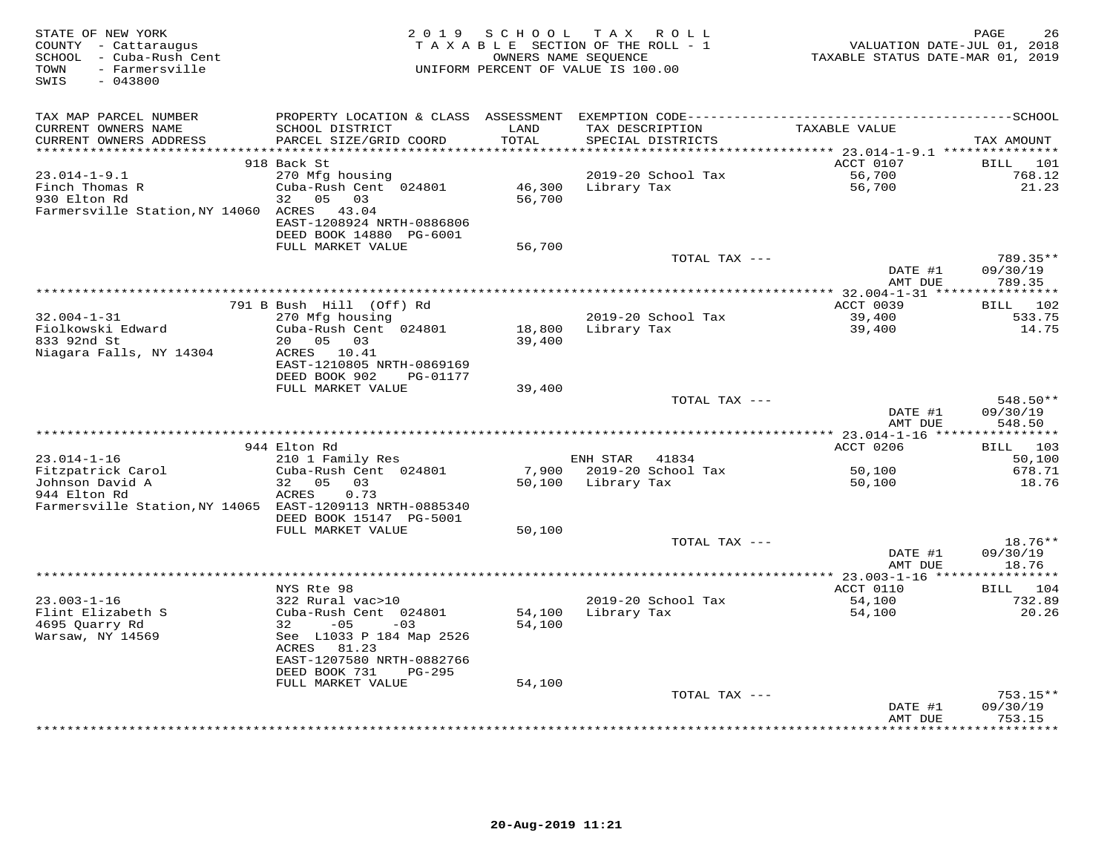| STATE OF NEW YORK<br>COUNTY - Cattaraugus<br>SCHOOL - Cuba-Rush Cent<br>- Farmersville<br>TOWN<br>SWIS<br>$-043800$ |                                                                                                                             | OWNERS NAME SEQUENCE | 2019 SCHOOL TAX ROLL<br>TAXABLE SECTION OF THE ROLL - 1<br>UNIFORM PERCENT OF VALUE IS 100.00 |               | TAXABLE STATUS DATE-MAR 01, 2019     | PAGE<br>VALUATION DATE-JUL 01, 2018 | 26                           |
|---------------------------------------------------------------------------------------------------------------------|-----------------------------------------------------------------------------------------------------------------------------|----------------------|-----------------------------------------------------------------------------------------------|---------------|--------------------------------------|-------------------------------------|------------------------------|
| TAX MAP PARCEL NUMBER<br>CURRENT OWNERS NAME<br>CURRENT OWNERS ADDRESS                                              | SCHOOL DISTRICT<br>PARCEL SIZE/GRID COORD                                                                                   | LAND<br>TOTAL        | TAX DESCRIPTION<br>SPECIAL DISTRICTS                                                          |               | TAXABLE VALUE                        | TAX AMOUNT                          |                              |
| ********************                                                                                                |                                                                                                                             | * * * * * * * * * *  |                                                                                               |               |                                      |                                     |                              |
|                                                                                                                     | 918 Back St                                                                                                                 |                      |                                                                                               |               | ACCT 0107                            | BILL                                | 101                          |
| $23.014 - 1 - 9.1$<br>Finch Thomas R<br>930 Elton Rd<br>Farmersville Station, NY 14060 ACRES                        | 270 Mfg housing<br>Cuba-Rush Cent 024801<br>05<br>03<br>32<br>43.04<br>EAST-1208924 NRTH-0886806<br>DEED BOOK 14880 PG-6001 | 46,300<br>56,700     | 2019-20 School Tax<br>Library Tax                                                             |               | 56,700<br>56,700                     |                                     | 768.12<br>21.23              |
|                                                                                                                     | FULL MARKET VALUE                                                                                                           | 56,700               |                                                                                               |               |                                      |                                     |                              |
|                                                                                                                     |                                                                                                                             |                      |                                                                                               | TOTAL TAX --- | DATE #1                              | 09/30/19                            | 789.35**                     |
|                                                                                                                     |                                                                                                                             |                      |                                                                                               |               | AMT DUE                              |                                     | 789.35                       |
|                                                                                                                     | 791 B Bush Hill (Off) Rd                                                                                                    |                      |                                                                                               |               | ACCT 0039                            |                                     | BILL 102                     |
| $32.004 - 1 - 31$                                                                                                   | 270 Mfg housing                                                                                                             |                      | 2019-20 School Tax                                                                            |               | 39,400                               |                                     | 533.75                       |
| Fiolkowski Edward<br>833 92nd St                                                                                    | Cuba-Rush Cent 024801<br>20  05  03                                                                                         | 18,800<br>39,400     | Library Tax                                                                                   |               | 39,400                               |                                     | 14.75                        |
| Niagara Falls, NY 14304                                                                                             | ACRES 10.41<br>EAST-1210805 NRTH-0869169<br>DEED BOOK 902<br>PG-01177                                                       |                      |                                                                                               |               |                                      |                                     |                              |
|                                                                                                                     | FULL MARKET VALUE                                                                                                           | 39,400               |                                                                                               | TOTAL TAX --- |                                      |                                     | 548.50**                     |
|                                                                                                                     |                                                                                                                             |                      |                                                                                               |               | DATE #1<br>AMT DUE                   | 09/30/19                            | 548.50                       |
|                                                                                                                     |                                                                                                                             |                      |                                                                                               |               |                                      |                                     |                              |
|                                                                                                                     | 944 Elton Rd                                                                                                                |                      |                                                                                               |               | ACCT 0206                            |                                     | BILL 103                     |
| $23.014 - 1 - 16$                                                                                                   | 210 1 Family Res                                                                                                            |                      | ENH STAR                                                                                      | 41834         |                                      |                                     | 50,100                       |
| Fitzpatrick Carol<br>Johnson David A                                                                                | Cuba-Rush Cent 024801<br>05 03<br>32                                                                                        | 7,900<br>50,100      | 2019-20 School Tax<br>Library Tax                                                             |               | 50,100<br>50,100                     |                                     | 678.71<br>18.76              |
| 944 Elton Rd<br>Farmersville Station, NY 14065 EAST-1209113 NRTH-0885340                                            | ACRES<br>0.73<br>DEED BOOK 15147 PG-5001                                                                                    |                      |                                                                                               |               |                                      |                                     |                              |
|                                                                                                                     | FULL MARKET VALUE                                                                                                           | 50,100               |                                                                                               |               |                                      |                                     |                              |
|                                                                                                                     |                                                                                                                             |                      |                                                                                               | TOTAL TAX --- | DATE #1<br>AMT DUE                   |                                     | 18.76**<br>09/30/19<br>18.76 |
|                                                                                                                     |                                                                                                                             |                      |                                                                                               |               | ****** 23.003-1-16 ***************** |                                     |                              |
|                                                                                                                     | NYS Rte 98                                                                                                                  |                      |                                                                                               |               | ACCT 0110                            |                                     | BILL 104                     |
| $23.003 - 1 - 16$<br>Flint Elizabeth S<br>4695 Ouarry Rd                                                            | 322 Rural vac>10<br>Cuba-Rush Cent 024801<br>32<br>$-05$<br>$-03$                                                           | 54,100<br>54,100     | 2019-20 School Tax<br>Library Tax                                                             |               | 54,100<br>54,100                     |                                     | 732.89<br>20.26              |
| Warsaw, NY 14569                                                                                                    | See L1033 P 184 Map 2526<br>ACRES 81.23<br>EAST-1207580 NRTH-0882766                                                        |                      |                                                                                               |               |                                      |                                     |                              |
|                                                                                                                     | DEED BOOK 731<br>PG-295                                                                                                     |                      |                                                                                               |               |                                      |                                     |                              |
|                                                                                                                     | FULL MARKET VALUE                                                                                                           | 54,100               |                                                                                               | TOTAL TAX --- |                                      |                                     | $753.15**$                   |
|                                                                                                                     |                                                                                                                             |                      |                                                                                               |               | DATE #1                              | 09/30/19                            |                              |
|                                                                                                                     |                                                                                                                             |                      | **************************                                                                    |               | AMT DUE                              |                                     | 753.15<br>* * * * * * * *    |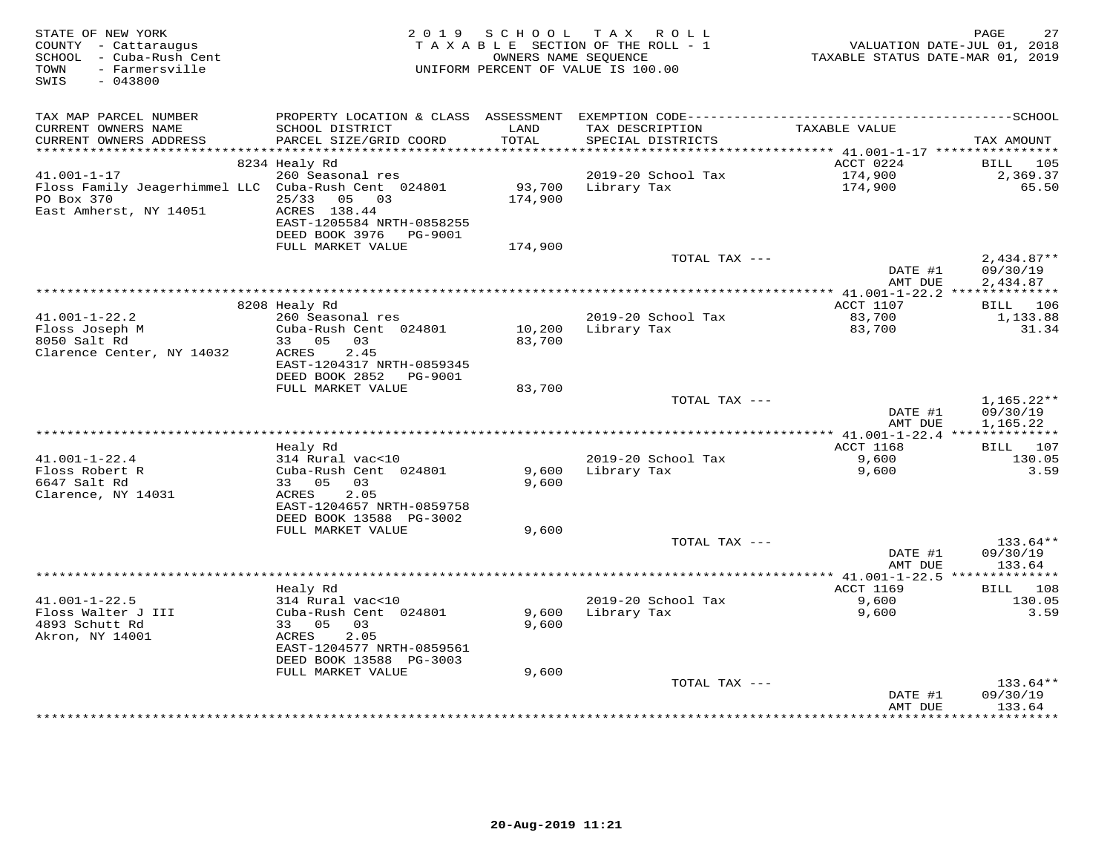| STATE OF NEW YORK<br>COUNTY - Cattaraugus<br>SCHOOL - Cuba-Rush Cent<br>- Farmersville<br>TOWN<br>SWIS<br>$-043800$ | 2 0 1 9                                                                                                         | S C H O O L       | TAX ROLL<br>TAXABLE SECTION OF THE ROLL - 1<br>OWNERS NAME SEQUENCE<br>UNIFORM PERCENT OF VALUE IS 100.00 | VALUATION DATE-JUL 01, 2018<br>TAXABLE STATUS DATE-MAR 01, 2019 | 27<br>PAGE                       |
|---------------------------------------------------------------------------------------------------------------------|-----------------------------------------------------------------------------------------------------------------|-------------------|-----------------------------------------------------------------------------------------------------------|-----------------------------------------------------------------|----------------------------------|
| TAX MAP PARCEL NUMBER<br>CURRENT OWNERS NAME                                                                        | PROPERTY LOCATION & CLASS ASSESSMENT EXEMPTION CODE-----------------------------------SCHOOL<br>SCHOOL DISTRICT | LAND              | TAX DESCRIPTION                                                                                           | TAXABLE VALUE                                                   |                                  |
| CURRENT OWNERS ADDRESS<br>***********************                                                                   | PARCEL SIZE/GRID COORD                                                                                          | TOTAL             | SPECIAL DISTRICTS                                                                                         |                                                                 | TAX AMOUNT                       |
|                                                                                                                     | 8234 Healy Rd                                                                                                   |                   |                                                                                                           | ACCT 0224                                                       | <b>BILL</b><br>105               |
| $41.001 - 1 - 17$                                                                                                   | 260 Seasonal res                                                                                                |                   | 2019-20 School Tax                                                                                        | 174,900                                                         | 2,369.37                         |
| Floss Family Jeagerhimmel LLC Cuba-Rush Cent 024801<br>PO Box 370<br>East Amherst, NY 14051                         | 25/33<br>05 03<br>ACRES 138.44                                                                                  | 93,700<br>174,900 | Library Tax                                                                                               | 174,900                                                         | 65.50                            |
|                                                                                                                     | EAST-1205584 NRTH-0858255<br>DEED BOOK 3976    PG-9001                                                          |                   |                                                                                                           |                                                                 |                                  |
|                                                                                                                     | FULL MARKET VALUE                                                                                               | 174,900           | TOTAL TAX ---                                                                                             |                                                                 | $2,434.87**$                     |
|                                                                                                                     |                                                                                                                 |                   |                                                                                                           | DATE #1<br>AMT DUE                                              | 09/30/19<br>2,434.87             |
|                                                                                                                     |                                                                                                                 |                   |                                                                                                           |                                                                 |                                  |
|                                                                                                                     | 8208 Healy Rd                                                                                                   |                   |                                                                                                           | ACCT 1107                                                       | BILL 106                         |
| $41.001 - 1 - 22.2$<br>Floss Joseph M<br>8050 Salt Rd<br>Clarence Center, NY 14032                                  | 260 Seasonal res<br>Cuba-Rush Cent 024801<br>33 05 03<br>2.45<br>ACRES                                          | 10,200<br>83,700  | 2019-20 School Tax<br>Library Tax                                                                         | 83,700<br>83,700                                                | 1,133.88<br>31.34                |
|                                                                                                                     | EAST-1204317 NRTH-0859345<br>DEED BOOK 2852 PG-9001                                                             |                   |                                                                                                           |                                                                 |                                  |
|                                                                                                                     | FULL MARKET VALUE                                                                                               | 83,700            | TOTAL TAX ---                                                                                             |                                                                 | $1,165.22**$                     |
|                                                                                                                     |                                                                                                                 |                   |                                                                                                           | DATE #1<br>AMT DUE                                              | 09/30/19<br>1,165.22             |
|                                                                                                                     |                                                                                                                 |                   |                                                                                                           | <b>ACCT 1168</b>                                                | <b>BILL</b> 107                  |
| $41.001 - 1 - 22.4$                                                                                                 | Healy Rd<br>314 Rural vac<10                                                                                    |                   | 2019-20 School Tax                                                                                        | 9,600                                                           | 130.05                           |
| Floss Robert R                                                                                                      | Cuba-Rush Cent 024801                                                                                           | 9,600             | Library Tax                                                                                               | 9,600                                                           | 3.59                             |
| 6647 Salt Rd<br>Clarence, NY 14031                                                                                  | 33 05 03<br>ACRES<br>2.05<br>EAST-1204657 NRTH-0859758                                                          | 9,600             |                                                                                                           |                                                                 |                                  |
|                                                                                                                     | DEED BOOK 13588 PG-3002                                                                                         |                   |                                                                                                           |                                                                 |                                  |
|                                                                                                                     | FULL MARKET VALUE                                                                                               | 9,600             |                                                                                                           |                                                                 |                                  |
|                                                                                                                     |                                                                                                                 |                   | TOTAL TAX ---                                                                                             | DATE #1<br>AMT DUE                                              | $133.64**$<br>09/30/19<br>133.64 |
|                                                                                                                     |                                                                                                                 |                   |                                                                                                           |                                                                 |                                  |
|                                                                                                                     | Healy Rd                                                                                                        |                   |                                                                                                           | ACCT 1169                                                       | 108<br>BILL                      |
| $41.001 - 1 - 22.5$                                                                                                 | 314 Rural vac<10                                                                                                |                   | 2019-20 School Tax                                                                                        | 9,600                                                           | 130.05                           |
| Floss Walter J III<br>4893 Schutt Rd<br>Akron, NY 14001                                                             | Cuba-Rush Cent 024801<br>33 05<br>03<br>ACRES<br>2.05<br>EAST-1204577 NRTH-0859561                              | 9,600<br>9,600    | Library Tax                                                                                               | 9,600                                                           | 3.59                             |
|                                                                                                                     | DEED BOOK 13588 PG-3003                                                                                         |                   |                                                                                                           |                                                                 |                                  |
|                                                                                                                     | FULL MARKET VALUE                                                                                               | 9,600             |                                                                                                           |                                                                 |                                  |
|                                                                                                                     |                                                                                                                 |                   | TOTAL TAX ---                                                                                             | DATE #1<br>AMT DUE                                              | 133.64**<br>09/30/19<br>133.64   |
|                                                                                                                     |                                                                                                                 |                   |                                                                                                           | ***************                                                 | **********                       |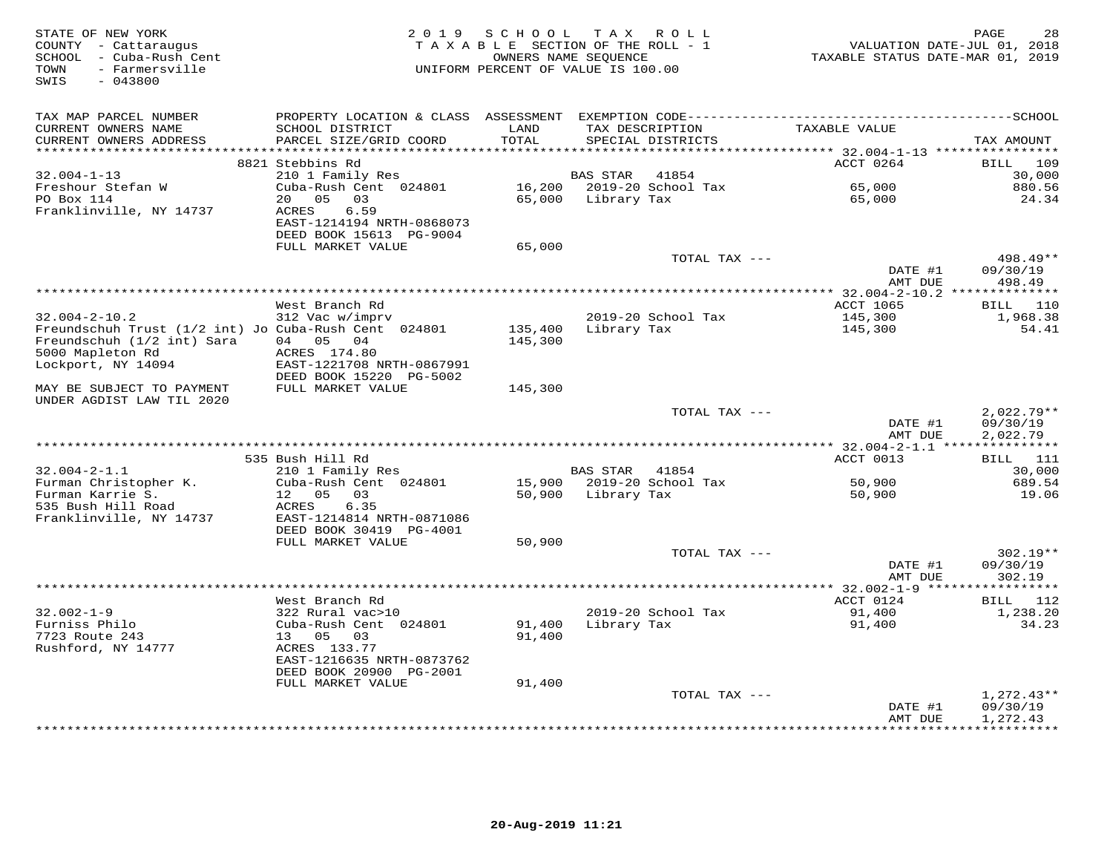| TAX MAP PARCEL NUMBER<br>SCHOOL DISTRICT<br>LAND<br>TAXABLE VALUE<br>CURRENT OWNERS NAME<br>TAX DESCRIPTION<br>PARCEL SIZE/GRID COORD<br>TOTAL<br>CURRENT OWNERS ADDRESS<br>SPECIAL DISTRICTS<br>TAX AMOUNT<br>*******************<br>**********<br>********* 32.004-1-13 ****************<br>8821 Stebbins Rd<br>ACCT 0264<br>BILL 109<br>$32.004 - 1 - 13$<br>30,000<br>210 1 Family Res<br>BAS STAR<br>41854<br>65,000<br>Freshour Stefan W<br>Cuba-Rush Cent 024801<br>16,200 2019-20 School Tax<br>880.56<br>PO Box 114<br>20 05<br>03<br>65,000 Library Tax<br>65,000<br>24.34<br>Franklinville, NY 14737<br>ACRES<br>6.59<br>EAST-1214194 NRTH-0868073<br>DEED BOOK 15613 PG-9004<br>FULL MARKET VALUE<br>65,000<br>498.49**<br>TOTAL TAX ---<br>DATE #1<br>09/30/19<br>AMT DUE<br>498.49<br>ACCT 1065<br>BILL 110<br>West Branch Rd<br>$32.004 - 2 - 10.2$<br>145,300<br>312 Vac w/imprv<br>2019-20 School Tax<br>1,968.38<br>Freundschuh Trust (1/2 int) Jo Cuba-Rush Cent 024801<br>Library Tax<br>54.41<br>135,400<br>145,300<br>04 05 04<br>Freundschuh (1/2 int) Sara<br>145,300<br>5000 Mapleton Rd<br>ACRES 174.80<br>Lockport, NY 14094<br>EAST-1221708 NRTH-0867991<br>DEED BOOK 15220 PG-5002<br>FULL MARKET VALUE<br>145,300<br>MAY BE SUBJECT TO PAYMENT<br>UNDER AGDIST LAW TIL 2020<br>TOTAL TAX ---<br>$2,022.79**$<br>09/30/19<br>DATE #1<br>AMT DUE<br>2,022.79<br>BILL 111<br>535 Bush Hill Rd<br>ACCT 0013<br>$32.004 - 2 - 1.1$<br>210 1 Family Res<br>BAS STAR<br>41854<br>30,000<br>Furman Christopher K.<br>Cuba-Rush Cent 024801<br>15,900 2019-20 School Tax<br>50,900<br>689.54<br>Furman Karrie S.<br>12  05  03<br>50,900 Library Tax<br>50,900<br>19.06<br>535 Bush Hill Road<br>ACRES<br>6.35<br>Franklinville, NY 14737<br>EAST-1214814 NRTH-0871086<br>DEED BOOK 30419 PG-4001<br>FULL MARKET VALUE<br>50,900<br>TOTAL TAX ---<br>$302.19**$<br>09/30/19<br>DATE #1<br>AMT DUE<br>302.19<br>***********<br>West Branch Rd<br>ACCT 0124<br>BILL 112<br>$32.002 - 1 - 9$<br>2019-20 School Tax<br>1,238.20<br>322 Rural vac>10<br>91,400<br>Furniss Philo<br>Cuba-Rush Cent 024801<br>91,400<br>Library Tax<br>91,400<br>34.23<br>91,400<br>7723 Route 243<br>13 05<br>03<br>Rushford, NY 14777<br>ACRES 133.77<br>EAST-1216635 NRTH-0873762<br>DEED BOOK 20900 PG-2001<br>91,400<br>FULL MARKET VALUE<br>$1,272.43**$<br>TOTAL TAX ---<br>09/30/19<br>DATE #1<br>AMT DUE<br>1,272.43<br>*********** | STATE OF NEW YORK<br>COUNTY - Cattaraugus<br>SCHOOL - Cuba-Rush Cent<br>- Farmersville<br>TOWN<br>SWIS<br>$-043800$ | 2 0 1 9 | SCHOOL TAX ROLL<br>TAXABLE SECTION OF THE ROLL - 1<br>UNIFORM PERCENT OF VALUE IS 100.00 | OWNERS NAME SEQUENCE | VALUATION DATE-JUL 01, 2018<br>TAXABLE STATUS DATE-MAR 01, 2019 | 28<br>PAGE |
|--------------------------------------------------------------------------------------------------------------------------------------------------------------------------------------------------------------------------------------------------------------------------------------------------------------------------------------------------------------------------------------------------------------------------------------------------------------------------------------------------------------------------------------------------------------------------------------------------------------------------------------------------------------------------------------------------------------------------------------------------------------------------------------------------------------------------------------------------------------------------------------------------------------------------------------------------------------------------------------------------------------------------------------------------------------------------------------------------------------------------------------------------------------------------------------------------------------------------------------------------------------------------------------------------------------------------------------------------------------------------------------------------------------------------------------------------------------------------------------------------------------------------------------------------------------------------------------------------------------------------------------------------------------------------------------------------------------------------------------------------------------------------------------------------------------------------------------------------------------------------------------------------------------------------------------------------------------------------------------------------------------------------------------------------------------------------------------------------------------------------------------------------------------------------------------------------------------------------------------------------------------------------------------------------------------------------------------------------------------------------------------------------------------------------------------------|---------------------------------------------------------------------------------------------------------------------|---------|------------------------------------------------------------------------------------------|----------------------|-----------------------------------------------------------------|------------|
|                                                                                                                                                                                                                                                                                                                                                                                                                                                                                                                                                                                                                                                                                                                                                                                                                                                                                                                                                                                                                                                                                                                                                                                                                                                                                                                                                                                                                                                                                                                                                                                                                                                                                                                                                                                                                                                                                                                                                                                                                                                                                                                                                                                                                                                                                                                                                                                                                                            |                                                                                                                     |         |                                                                                          |                      |                                                                 |            |
|                                                                                                                                                                                                                                                                                                                                                                                                                                                                                                                                                                                                                                                                                                                                                                                                                                                                                                                                                                                                                                                                                                                                                                                                                                                                                                                                                                                                                                                                                                                                                                                                                                                                                                                                                                                                                                                                                                                                                                                                                                                                                                                                                                                                                                                                                                                                                                                                                                            |                                                                                                                     |         |                                                                                          |                      |                                                                 |            |
|                                                                                                                                                                                                                                                                                                                                                                                                                                                                                                                                                                                                                                                                                                                                                                                                                                                                                                                                                                                                                                                                                                                                                                                                                                                                                                                                                                                                                                                                                                                                                                                                                                                                                                                                                                                                                                                                                                                                                                                                                                                                                                                                                                                                                                                                                                                                                                                                                                            |                                                                                                                     |         |                                                                                          |                      |                                                                 |            |
|                                                                                                                                                                                                                                                                                                                                                                                                                                                                                                                                                                                                                                                                                                                                                                                                                                                                                                                                                                                                                                                                                                                                                                                                                                                                                                                                                                                                                                                                                                                                                                                                                                                                                                                                                                                                                                                                                                                                                                                                                                                                                                                                                                                                                                                                                                                                                                                                                                            |                                                                                                                     |         |                                                                                          |                      |                                                                 |            |
|                                                                                                                                                                                                                                                                                                                                                                                                                                                                                                                                                                                                                                                                                                                                                                                                                                                                                                                                                                                                                                                                                                                                                                                                                                                                                                                                                                                                                                                                                                                                                                                                                                                                                                                                                                                                                                                                                                                                                                                                                                                                                                                                                                                                                                                                                                                                                                                                                                            |                                                                                                                     |         |                                                                                          |                      |                                                                 |            |
|                                                                                                                                                                                                                                                                                                                                                                                                                                                                                                                                                                                                                                                                                                                                                                                                                                                                                                                                                                                                                                                                                                                                                                                                                                                                                                                                                                                                                                                                                                                                                                                                                                                                                                                                                                                                                                                                                                                                                                                                                                                                                                                                                                                                                                                                                                                                                                                                                                            |                                                                                                                     |         |                                                                                          |                      |                                                                 |            |
|                                                                                                                                                                                                                                                                                                                                                                                                                                                                                                                                                                                                                                                                                                                                                                                                                                                                                                                                                                                                                                                                                                                                                                                                                                                                                                                                                                                                                                                                                                                                                                                                                                                                                                                                                                                                                                                                                                                                                                                                                                                                                                                                                                                                                                                                                                                                                                                                                                            |                                                                                                                     |         |                                                                                          |                      |                                                                 |            |
|                                                                                                                                                                                                                                                                                                                                                                                                                                                                                                                                                                                                                                                                                                                                                                                                                                                                                                                                                                                                                                                                                                                                                                                                                                                                                                                                                                                                                                                                                                                                                                                                                                                                                                                                                                                                                                                                                                                                                                                                                                                                                                                                                                                                                                                                                                                                                                                                                                            |                                                                                                                     |         |                                                                                          |                      |                                                                 |            |
|                                                                                                                                                                                                                                                                                                                                                                                                                                                                                                                                                                                                                                                                                                                                                                                                                                                                                                                                                                                                                                                                                                                                                                                                                                                                                                                                                                                                                                                                                                                                                                                                                                                                                                                                                                                                                                                                                                                                                                                                                                                                                                                                                                                                                                                                                                                                                                                                                                            |                                                                                                                     |         |                                                                                          |                      |                                                                 |            |
|                                                                                                                                                                                                                                                                                                                                                                                                                                                                                                                                                                                                                                                                                                                                                                                                                                                                                                                                                                                                                                                                                                                                                                                                                                                                                                                                                                                                                                                                                                                                                                                                                                                                                                                                                                                                                                                                                                                                                                                                                                                                                                                                                                                                                                                                                                                                                                                                                                            |                                                                                                                     |         |                                                                                          |                      |                                                                 |            |
|                                                                                                                                                                                                                                                                                                                                                                                                                                                                                                                                                                                                                                                                                                                                                                                                                                                                                                                                                                                                                                                                                                                                                                                                                                                                                                                                                                                                                                                                                                                                                                                                                                                                                                                                                                                                                                                                                                                                                                                                                                                                                                                                                                                                                                                                                                                                                                                                                                            |                                                                                                                     |         |                                                                                          |                      |                                                                 |            |
|                                                                                                                                                                                                                                                                                                                                                                                                                                                                                                                                                                                                                                                                                                                                                                                                                                                                                                                                                                                                                                                                                                                                                                                                                                                                                                                                                                                                                                                                                                                                                                                                                                                                                                                                                                                                                                                                                                                                                                                                                                                                                                                                                                                                                                                                                                                                                                                                                                            |                                                                                                                     |         |                                                                                          |                      |                                                                 |            |
|                                                                                                                                                                                                                                                                                                                                                                                                                                                                                                                                                                                                                                                                                                                                                                                                                                                                                                                                                                                                                                                                                                                                                                                                                                                                                                                                                                                                                                                                                                                                                                                                                                                                                                                                                                                                                                                                                                                                                                                                                                                                                                                                                                                                                                                                                                                                                                                                                                            |                                                                                                                     |         |                                                                                          |                      |                                                                 |            |
|                                                                                                                                                                                                                                                                                                                                                                                                                                                                                                                                                                                                                                                                                                                                                                                                                                                                                                                                                                                                                                                                                                                                                                                                                                                                                                                                                                                                                                                                                                                                                                                                                                                                                                                                                                                                                                                                                                                                                                                                                                                                                                                                                                                                                                                                                                                                                                                                                                            |                                                                                                                     |         |                                                                                          |                      |                                                                 |            |
|                                                                                                                                                                                                                                                                                                                                                                                                                                                                                                                                                                                                                                                                                                                                                                                                                                                                                                                                                                                                                                                                                                                                                                                                                                                                                                                                                                                                                                                                                                                                                                                                                                                                                                                                                                                                                                                                                                                                                                                                                                                                                                                                                                                                                                                                                                                                                                                                                                            |                                                                                                                     |         |                                                                                          |                      |                                                                 |            |
|                                                                                                                                                                                                                                                                                                                                                                                                                                                                                                                                                                                                                                                                                                                                                                                                                                                                                                                                                                                                                                                                                                                                                                                                                                                                                                                                                                                                                                                                                                                                                                                                                                                                                                                                                                                                                                                                                                                                                                                                                                                                                                                                                                                                                                                                                                                                                                                                                                            |                                                                                                                     |         |                                                                                          |                      |                                                                 |            |
|                                                                                                                                                                                                                                                                                                                                                                                                                                                                                                                                                                                                                                                                                                                                                                                                                                                                                                                                                                                                                                                                                                                                                                                                                                                                                                                                                                                                                                                                                                                                                                                                                                                                                                                                                                                                                                                                                                                                                                                                                                                                                                                                                                                                                                                                                                                                                                                                                                            |                                                                                                                     |         |                                                                                          |                      |                                                                 |            |
|                                                                                                                                                                                                                                                                                                                                                                                                                                                                                                                                                                                                                                                                                                                                                                                                                                                                                                                                                                                                                                                                                                                                                                                                                                                                                                                                                                                                                                                                                                                                                                                                                                                                                                                                                                                                                                                                                                                                                                                                                                                                                                                                                                                                                                                                                                                                                                                                                                            |                                                                                                                     |         |                                                                                          |                      |                                                                 |            |
|                                                                                                                                                                                                                                                                                                                                                                                                                                                                                                                                                                                                                                                                                                                                                                                                                                                                                                                                                                                                                                                                                                                                                                                                                                                                                                                                                                                                                                                                                                                                                                                                                                                                                                                                                                                                                                                                                                                                                                                                                                                                                                                                                                                                                                                                                                                                                                                                                                            |                                                                                                                     |         |                                                                                          |                      |                                                                 |            |
|                                                                                                                                                                                                                                                                                                                                                                                                                                                                                                                                                                                                                                                                                                                                                                                                                                                                                                                                                                                                                                                                                                                                                                                                                                                                                                                                                                                                                                                                                                                                                                                                                                                                                                                                                                                                                                                                                                                                                                                                                                                                                                                                                                                                                                                                                                                                                                                                                                            |                                                                                                                     |         |                                                                                          |                      |                                                                 |            |
|                                                                                                                                                                                                                                                                                                                                                                                                                                                                                                                                                                                                                                                                                                                                                                                                                                                                                                                                                                                                                                                                                                                                                                                                                                                                                                                                                                                                                                                                                                                                                                                                                                                                                                                                                                                                                                                                                                                                                                                                                                                                                                                                                                                                                                                                                                                                                                                                                                            |                                                                                                                     |         |                                                                                          |                      |                                                                 |            |
|                                                                                                                                                                                                                                                                                                                                                                                                                                                                                                                                                                                                                                                                                                                                                                                                                                                                                                                                                                                                                                                                                                                                                                                                                                                                                                                                                                                                                                                                                                                                                                                                                                                                                                                                                                                                                                                                                                                                                                                                                                                                                                                                                                                                                                                                                                                                                                                                                                            |                                                                                                                     |         |                                                                                          |                      |                                                                 |            |
|                                                                                                                                                                                                                                                                                                                                                                                                                                                                                                                                                                                                                                                                                                                                                                                                                                                                                                                                                                                                                                                                                                                                                                                                                                                                                                                                                                                                                                                                                                                                                                                                                                                                                                                                                                                                                                                                                                                                                                                                                                                                                                                                                                                                                                                                                                                                                                                                                                            |                                                                                                                     |         |                                                                                          |                      |                                                                 |            |
|                                                                                                                                                                                                                                                                                                                                                                                                                                                                                                                                                                                                                                                                                                                                                                                                                                                                                                                                                                                                                                                                                                                                                                                                                                                                                                                                                                                                                                                                                                                                                                                                                                                                                                                                                                                                                                                                                                                                                                                                                                                                                                                                                                                                                                                                                                                                                                                                                                            |                                                                                                                     |         |                                                                                          |                      |                                                                 |            |
|                                                                                                                                                                                                                                                                                                                                                                                                                                                                                                                                                                                                                                                                                                                                                                                                                                                                                                                                                                                                                                                                                                                                                                                                                                                                                                                                                                                                                                                                                                                                                                                                                                                                                                                                                                                                                                                                                                                                                                                                                                                                                                                                                                                                                                                                                                                                                                                                                                            |                                                                                                                     |         |                                                                                          |                      |                                                                 |            |
|                                                                                                                                                                                                                                                                                                                                                                                                                                                                                                                                                                                                                                                                                                                                                                                                                                                                                                                                                                                                                                                                                                                                                                                                                                                                                                                                                                                                                                                                                                                                                                                                                                                                                                                                                                                                                                                                                                                                                                                                                                                                                                                                                                                                                                                                                                                                                                                                                                            |                                                                                                                     |         |                                                                                          |                      |                                                                 |            |
|                                                                                                                                                                                                                                                                                                                                                                                                                                                                                                                                                                                                                                                                                                                                                                                                                                                                                                                                                                                                                                                                                                                                                                                                                                                                                                                                                                                                                                                                                                                                                                                                                                                                                                                                                                                                                                                                                                                                                                                                                                                                                                                                                                                                                                                                                                                                                                                                                                            |                                                                                                                     |         |                                                                                          |                      |                                                                 |            |
|                                                                                                                                                                                                                                                                                                                                                                                                                                                                                                                                                                                                                                                                                                                                                                                                                                                                                                                                                                                                                                                                                                                                                                                                                                                                                                                                                                                                                                                                                                                                                                                                                                                                                                                                                                                                                                                                                                                                                                                                                                                                                                                                                                                                                                                                                                                                                                                                                                            |                                                                                                                     |         |                                                                                          |                      |                                                                 |            |
|                                                                                                                                                                                                                                                                                                                                                                                                                                                                                                                                                                                                                                                                                                                                                                                                                                                                                                                                                                                                                                                                                                                                                                                                                                                                                                                                                                                                                                                                                                                                                                                                                                                                                                                                                                                                                                                                                                                                                                                                                                                                                                                                                                                                                                                                                                                                                                                                                                            |                                                                                                                     |         |                                                                                          |                      |                                                                 |            |
|                                                                                                                                                                                                                                                                                                                                                                                                                                                                                                                                                                                                                                                                                                                                                                                                                                                                                                                                                                                                                                                                                                                                                                                                                                                                                                                                                                                                                                                                                                                                                                                                                                                                                                                                                                                                                                                                                                                                                                                                                                                                                                                                                                                                                                                                                                                                                                                                                                            |                                                                                                                     |         |                                                                                          |                      |                                                                 |            |
|                                                                                                                                                                                                                                                                                                                                                                                                                                                                                                                                                                                                                                                                                                                                                                                                                                                                                                                                                                                                                                                                                                                                                                                                                                                                                                                                                                                                                                                                                                                                                                                                                                                                                                                                                                                                                                                                                                                                                                                                                                                                                                                                                                                                                                                                                                                                                                                                                                            |                                                                                                                     |         |                                                                                          |                      |                                                                 |            |
|                                                                                                                                                                                                                                                                                                                                                                                                                                                                                                                                                                                                                                                                                                                                                                                                                                                                                                                                                                                                                                                                                                                                                                                                                                                                                                                                                                                                                                                                                                                                                                                                                                                                                                                                                                                                                                                                                                                                                                                                                                                                                                                                                                                                                                                                                                                                                                                                                                            |                                                                                                                     |         |                                                                                          |                      |                                                                 |            |
|                                                                                                                                                                                                                                                                                                                                                                                                                                                                                                                                                                                                                                                                                                                                                                                                                                                                                                                                                                                                                                                                                                                                                                                                                                                                                                                                                                                                                                                                                                                                                                                                                                                                                                                                                                                                                                                                                                                                                                                                                                                                                                                                                                                                                                                                                                                                                                                                                                            |                                                                                                                     |         |                                                                                          |                      |                                                                 |            |
|                                                                                                                                                                                                                                                                                                                                                                                                                                                                                                                                                                                                                                                                                                                                                                                                                                                                                                                                                                                                                                                                                                                                                                                                                                                                                                                                                                                                                                                                                                                                                                                                                                                                                                                                                                                                                                                                                                                                                                                                                                                                                                                                                                                                                                                                                                                                                                                                                                            |                                                                                                                     |         |                                                                                          |                      |                                                                 |            |
|                                                                                                                                                                                                                                                                                                                                                                                                                                                                                                                                                                                                                                                                                                                                                                                                                                                                                                                                                                                                                                                                                                                                                                                                                                                                                                                                                                                                                                                                                                                                                                                                                                                                                                                                                                                                                                                                                                                                                                                                                                                                                                                                                                                                                                                                                                                                                                                                                                            |                                                                                                                     |         |                                                                                          |                      |                                                                 |            |
|                                                                                                                                                                                                                                                                                                                                                                                                                                                                                                                                                                                                                                                                                                                                                                                                                                                                                                                                                                                                                                                                                                                                                                                                                                                                                                                                                                                                                                                                                                                                                                                                                                                                                                                                                                                                                                                                                                                                                                                                                                                                                                                                                                                                                                                                                                                                                                                                                                            |                                                                                                                     |         |                                                                                          |                      |                                                                 |            |
|                                                                                                                                                                                                                                                                                                                                                                                                                                                                                                                                                                                                                                                                                                                                                                                                                                                                                                                                                                                                                                                                                                                                                                                                                                                                                                                                                                                                                                                                                                                                                                                                                                                                                                                                                                                                                                                                                                                                                                                                                                                                                                                                                                                                                                                                                                                                                                                                                                            |                                                                                                                     |         |                                                                                          |                      |                                                                 |            |
|                                                                                                                                                                                                                                                                                                                                                                                                                                                                                                                                                                                                                                                                                                                                                                                                                                                                                                                                                                                                                                                                                                                                                                                                                                                                                                                                                                                                                                                                                                                                                                                                                                                                                                                                                                                                                                                                                                                                                                                                                                                                                                                                                                                                                                                                                                                                                                                                                                            |                                                                                                                     |         |                                                                                          |                      |                                                                 |            |
|                                                                                                                                                                                                                                                                                                                                                                                                                                                                                                                                                                                                                                                                                                                                                                                                                                                                                                                                                                                                                                                                                                                                                                                                                                                                                                                                                                                                                                                                                                                                                                                                                                                                                                                                                                                                                                                                                                                                                                                                                                                                                                                                                                                                                                                                                                                                                                                                                                            |                                                                                                                     |         |                                                                                          |                      |                                                                 |            |
|                                                                                                                                                                                                                                                                                                                                                                                                                                                                                                                                                                                                                                                                                                                                                                                                                                                                                                                                                                                                                                                                                                                                                                                                                                                                                                                                                                                                                                                                                                                                                                                                                                                                                                                                                                                                                                                                                                                                                                                                                                                                                                                                                                                                                                                                                                                                                                                                                                            |                                                                                                                     |         |                                                                                          |                      |                                                                 |            |
|                                                                                                                                                                                                                                                                                                                                                                                                                                                                                                                                                                                                                                                                                                                                                                                                                                                                                                                                                                                                                                                                                                                                                                                                                                                                                                                                                                                                                                                                                                                                                                                                                                                                                                                                                                                                                                                                                                                                                                                                                                                                                                                                                                                                                                                                                                                                                                                                                                            |                                                                                                                     |         |                                                                                          |                      |                                                                 |            |
|                                                                                                                                                                                                                                                                                                                                                                                                                                                                                                                                                                                                                                                                                                                                                                                                                                                                                                                                                                                                                                                                                                                                                                                                                                                                                                                                                                                                                                                                                                                                                                                                                                                                                                                                                                                                                                                                                                                                                                                                                                                                                                                                                                                                                                                                                                                                                                                                                                            |                                                                                                                     |         |                                                                                          |                      |                                                                 |            |
|                                                                                                                                                                                                                                                                                                                                                                                                                                                                                                                                                                                                                                                                                                                                                                                                                                                                                                                                                                                                                                                                                                                                                                                                                                                                                                                                                                                                                                                                                                                                                                                                                                                                                                                                                                                                                                                                                                                                                                                                                                                                                                                                                                                                                                                                                                                                                                                                                                            |                                                                                                                     |         |                                                                                          |                      |                                                                 |            |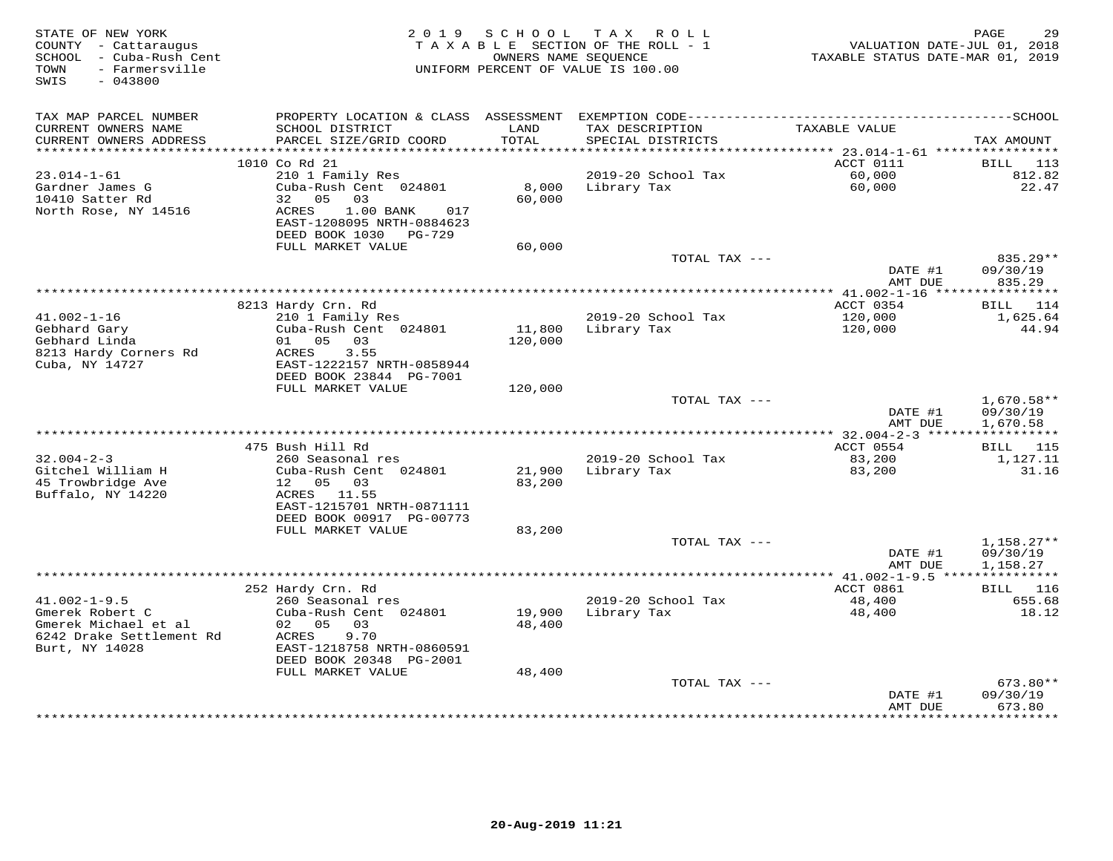| STATE OF NEW YORK<br>COUNTY - Cattaraugus<br>SCHOOL - Cuba-Rush Cent<br>- Farmersville<br>TOWN<br>SWIS<br>$-043800$ | 2 0 1 9                                                              | S C H O O L     | T A X<br>R O L L<br>TAXABLE SECTION OF THE ROLL - 1<br>OWNERS NAME SEOUENCE<br>UNIFORM PERCENT OF VALUE IS 100.00 | VALUATION DATE-JUL 01, 2018<br>TAXABLE STATUS DATE-MAR 01, 2019 | PAGE<br>29               |
|---------------------------------------------------------------------------------------------------------------------|----------------------------------------------------------------------|-----------------|-------------------------------------------------------------------------------------------------------------------|-----------------------------------------------------------------|--------------------------|
| TAX MAP PARCEL NUMBER                                                                                               |                                                                      |                 |                                                                                                                   |                                                                 |                          |
| CURRENT OWNERS NAME<br>CURRENT OWNERS ADDRESS<br>***********************                                            | SCHOOL DISTRICT<br>PARCEL SIZE/GRID COORD                            | LAND<br>TOTAL   | TAX DESCRIPTION<br>SPECIAL DISTRICTS                                                                              | TAXABLE VALUE                                                   | TAX AMOUNT               |
|                                                                                                                     | 1010 Co Rd 21                                                        |                 |                                                                                                                   | ACCT 0111                                                       | BILL<br>113              |
| $23.014 - 1 - 61$                                                                                                   | 210 1 Family Res                                                     |                 | 2019-20 School Tax                                                                                                | 60,000                                                          | 812.82                   |
| Gardner James G<br>10410 Satter Rd<br>North Rose, NY 14516                                                          | Cuba-Rush Cent 024801<br>05<br>32<br>03<br>1.00 BANK<br>ACRES<br>017 | 8,000<br>60,000 | Library Tax                                                                                                       | 60,000                                                          | 22.47                    |
|                                                                                                                     | EAST-1208095 NRTH-0884623<br>DEED BOOK 1030 PG-729                   |                 |                                                                                                                   |                                                                 |                          |
|                                                                                                                     | FULL MARKET VALUE                                                    | 60,000          | TOTAL TAX ---                                                                                                     |                                                                 | 835.29**                 |
|                                                                                                                     |                                                                      |                 |                                                                                                                   | DATE #1<br>AMT DUE                                              | 09/30/19<br>835.29       |
|                                                                                                                     |                                                                      |                 |                                                                                                                   | ********* 41.002-1-16 ****                                      | **********               |
|                                                                                                                     | 8213 Hardy Crn. Rd                                                   |                 |                                                                                                                   | ACCT 0354                                                       | 114<br>BILL              |
| $41.002 - 1 - 16$                                                                                                   | 210 1 Family Res                                                     |                 | 2019-20 School Tax                                                                                                | 120,000                                                         | 1,625.64                 |
| Gebhard Gary<br>Gebhard Linda                                                                                       | Cuba-Rush Cent 024801<br>01 05 03                                    | 11,800          | Library Tax                                                                                                       | 120,000                                                         | 44.94                    |
| 8213 Hardy Corners Rd                                                                                               | ACRES<br>3.55                                                        | 120,000         |                                                                                                                   |                                                                 |                          |
| Cuba, NY 14727                                                                                                      | EAST-1222157 NRTH-0858944                                            |                 |                                                                                                                   |                                                                 |                          |
|                                                                                                                     | DEED BOOK 23844 PG-7001                                              |                 |                                                                                                                   |                                                                 |                          |
|                                                                                                                     | FULL MARKET VALUE                                                    | 120,000         |                                                                                                                   |                                                                 |                          |
|                                                                                                                     |                                                                      |                 | TOTAL TAX ---                                                                                                     | DATE #1                                                         | $1,670.58**$<br>09/30/19 |
|                                                                                                                     |                                                                      |                 |                                                                                                                   | AMT DUE                                                         | 1,670.58                 |
|                                                                                                                     |                                                                      |                 |                                                                                                                   |                                                                 | ***********              |
|                                                                                                                     | 475 Bush Hill Rd                                                     |                 |                                                                                                                   | ACCT 0554                                                       | BILL 115                 |
| $32.004 - 2 - 3$                                                                                                    | 260 Seasonal res                                                     |                 | 2019-20 School Tax                                                                                                | 83,200                                                          | 1,127.11                 |
| Gitchel William H<br>45 Trowbridge Ave                                                                              | Cuba-Rush Cent 024801<br>12 05 03                                    | 21,900          | Library Tax                                                                                                       | 83,200                                                          | 31.16                    |
| Buffalo, NY 14220                                                                                                   | ACRES 11.55                                                          | 83,200          |                                                                                                                   |                                                                 |                          |
|                                                                                                                     | EAST-1215701 NRTH-0871111                                            |                 |                                                                                                                   |                                                                 |                          |
|                                                                                                                     | DEED BOOK 00917 PG-00773                                             |                 |                                                                                                                   |                                                                 |                          |
|                                                                                                                     | FULL MARKET VALUE                                                    | 83,200          |                                                                                                                   |                                                                 |                          |
|                                                                                                                     |                                                                      |                 | TOTAL TAX ---                                                                                                     |                                                                 | $1,158.27**$             |
|                                                                                                                     |                                                                      |                 |                                                                                                                   | DATE #1<br>AMT DUE                                              | 09/30/19<br>1,158.27     |
|                                                                                                                     |                                                                      |                 |                                                                                                                   | ****************** 41.002-1-9.5 ****************                |                          |
|                                                                                                                     | 252 Hardy Crn. Rd                                                    |                 |                                                                                                                   | ACCT 0861                                                       | BILL<br>116              |
| $41.002 - 1 - 9.5$                                                                                                  | 260 Seasonal res                                                     |                 | 2019-20 School Tax                                                                                                | 48,400                                                          | 655.68                   |
| Gmerek Robert C                                                                                                     | Cuba-Rush Cent 024801                                                | 19,900          | Library Tax                                                                                                       | 48,400                                                          | 18.12                    |
| Gmerek Michael et al<br>6242 Drake Settlement Rd                                                                    | 02 05<br>03<br>ACRES<br>9.70                                         | 48,400          |                                                                                                                   |                                                                 |                          |
| Burt, NY 14028                                                                                                      | EAST-1218758 NRTH-0860591<br>DEED BOOK 20348 PG-2001                 |                 |                                                                                                                   |                                                                 |                          |
|                                                                                                                     | FULL MARKET VALUE                                                    | 48,400          |                                                                                                                   |                                                                 |                          |
|                                                                                                                     |                                                                      |                 | TOTAL TAX ---                                                                                                     |                                                                 | 673.80**                 |
|                                                                                                                     |                                                                      |                 |                                                                                                                   | DATE #1                                                         | 09/30/19                 |
|                                                                                                                     |                                                                      |                 |                                                                                                                   | AMT DUE                                                         | 673.80<br>*********      |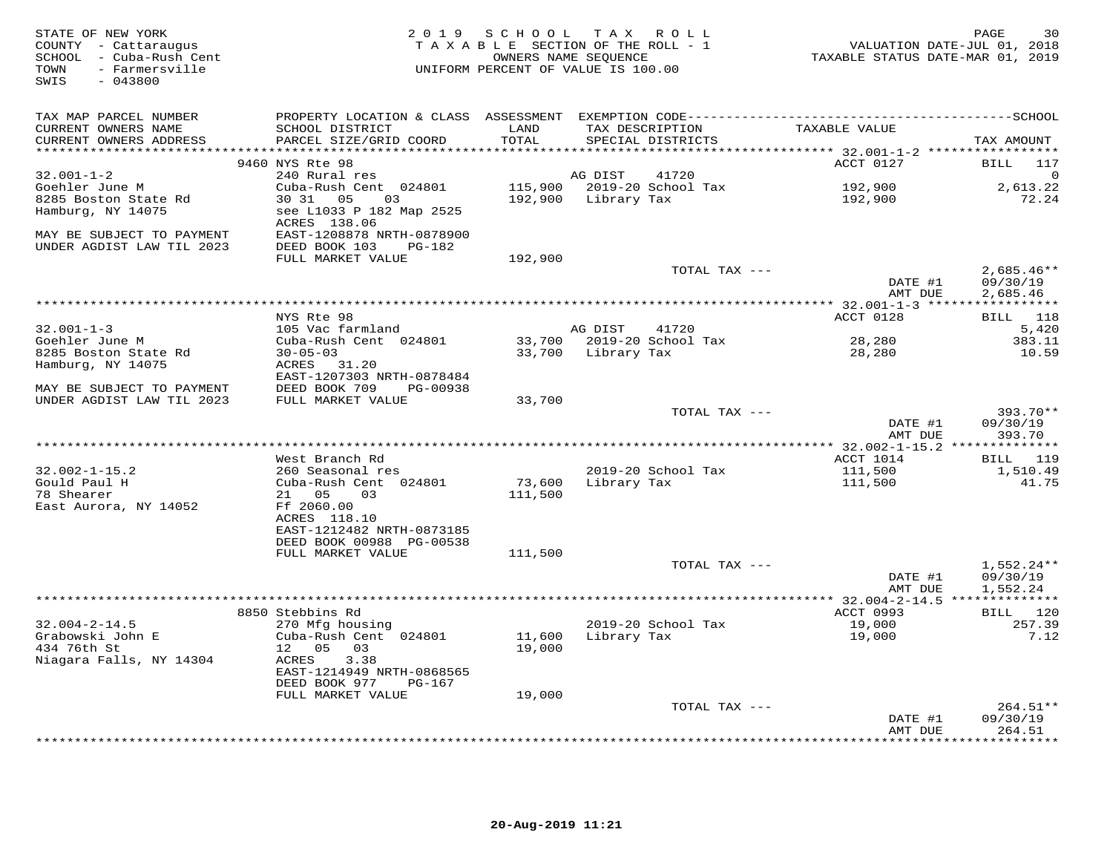| STATE OF NEW YORK<br>COUNTY - Cattaraugus<br>SCHOOL - Cuba-Rush Cent<br>- Farmersville<br>TOWN<br>SWIS<br>$-043800$ |                                                                                              | 2019 SCHOOL   | TAX ROLL<br>TAXABLE SECTION OF THE ROLL - 1<br>VALUATION DATE-JUL 01, 2018<br>OWNERS NAME SEQUENCE<br>TAXABLE STATUS DATE-MAR 01, 2019<br>UNIFORM PERCENT OF VALUE IS 100.00 |                                               |                             |  |  |
|---------------------------------------------------------------------------------------------------------------------|----------------------------------------------------------------------------------------------|---------------|------------------------------------------------------------------------------------------------------------------------------------------------------------------------------|-----------------------------------------------|-----------------------------|--|--|
| TAX MAP PARCEL NUMBER                                                                                               | PROPERTY LOCATION & CLASS ASSESSMENT EXEMPTION CODE-----------------------------------SCHOOL |               |                                                                                                                                                                              |                                               |                             |  |  |
| CURRENT OWNERS NAME<br>CURRENT OWNERS ADDRESS                                                                       | SCHOOL DISTRICT<br>PARCEL SIZE/GRID COORD                                                    | LAND<br>TOTAL | TAX DESCRIPTION<br>SPECIAL DISTRICTS                                                                                                                                         | TAXABLE VALUE                                 | TAX AMOUNT                  |  |  |
|                                                                                                                     | 9460 NYS Rte 98                                                                              |               |                                                                                                                                                                              | ACCT 0127                                     | 117                         |  |  |
| $32.001 - 1 - 2$                                                                                                    | 240 Rural res                                                                                |               | AG DIST<br>41720                                                                                                                                                             |                                               | BILL<br>∩                   |  |  |
| Goehler June M                                                                                                      | Cuba-Rush Cent 024801                                                                        |               | 115,900 2019-20 School Tax                                                                                                                                                   | 192,900                                       | 2,613.22                    |  |  |
| 8285 Boston State Rd                                                                                                | 30 31 05<br>03                                                                               |               | 192,900 Library Tax                                                                                                                                                          | 192,900                                       | 72.24                       |  |  |
| Hamburg, NY 14075                                                                                                   | see L1033 P 182 Map 2525                                                                     |               |                                                                                                                                                                              |                                               |                             |  |  |
|                                                                                                                     | ACRES 138.06                                                                                 |               |                                                                                                                                                                              |                                               |                             |  |  |
| MAY BE SUBJECT TO PAYMENT                                                                                           | EAST-1208878 NRTH-0878900                                                                    |               |                                                                                                                                                                              |                                               |                             |  |  |
| UNDER AGDIST LAW TIL 2023                                                                                           | DEED BOOK 103<br>PG-182                                                                      |               |                                                                                                                                                                              |                                               |                             |  |  |
|                                                                                                                     | FULL MARKET VALUE                                                                            | 192,900       | TOTAL TAX ---                                                                                                                                                                |                                               | $2,685.46**$                |  |  |
|                                                                                                                     |                                                                                              |               |                                                                                                                                                                              | DATE #1                                       | 09/30/19                    |  |  |
|                                                                                                                     |                                                                                              |               |                                                                                                                                                                              | AMT DUE                                       | 2,685.46                    |  |  |
|                                                                                                                     |                                                                                              |               |                                                                                                                                                                              |                                               |                             |  |  |
|                                                                                                                     | NYS Rte 98                                                                                   |               |                                                                                                                                                                              | ACCT 0128                                     | BILL 118                    |  |  |
| $32.001 - 1 - 3$                                                                                                    | 105 Vac farmland                                                                             |               | AG DIST<br>41720                                                                                                                                                             |                                               | 5,420                       |  |  |
| Goehler June M<br>8285 Boston State Rd                                                                              | Cuba-Rush Cent 024801<br>$30 - 05 - 03$                                                      |               | 33,700 2019-20 School Tax<br>33,700 Library Tax                                                                                                                              | 28,280<br>28,280                              | 383.11<br>10.59             |  |  |
| Hamburg, NY 14075                                                                                                   | ACRES 31.20                                                                                  |               |                                                                                                                                                                              |                                               |                             |  |  |
|                                                                                                                     | EAST-1207303 NRTH-0878484                                                                    |               |                                                                                                                                                                              |                                               |                             |  |  |
| MAY BE SUBJECT TO PAYMENT                                                                                           | DEED BOOK 709<br>PG-00938                                                                    |               |                                                                                                                                                                              |                                               |                             |  |  |
| UNDER AGDIST LAW TIL 2023                                                                                           | FULL MARKET VALUE                                                                            | 33,700        |                                                                                                                                                                              |                                               |                             |  |  |
|                                                                                                                     |                                                                                              |               | TOTAL TAX ---                                                                                                                                                                |                                               | 393.70**                    |  |  |
|                                                                                                                     |                                                                                              |               |                                                                                                                                                                              | DATE #1<br>AMT DUE                            | 09/30/19<br>393.70          |  |  |
|                                                                                                                     |                                                                                              |               |                                                                                                                                                                              |                                               |                             |  |  |
|                                                                                                                     | West Branch Rd                                                                               |               |                                                                                                                                                                              | ACCT 1014                                     | BILL 119                    |  |  |
| $32.002 - 1 - 15.2$                                                                                                 | 260 Seasonal res                                                                             |               | 2019-20 School Tax                                                                                                                                                           | 111,500                                       | 1,510.49                    |  |  |
| Gould Paul H                                                                                                        | Cuba-Rush Cent 024801                                                                        | 73,600        | Library Tax                                                                                                                                                                  | 111,500                                       | 41.75                       |  |  |
| 78 Shearer                                                                                                          | 21 05<br>03                                                                                  | 111,500       |                                                                                                                                                                              |                                               |                             |  |  |
| East Aurora, NY 14052                                                                                               | Ff 2060.00<br>ACRES 118.10                                                                   |               |                                                                                                                                                                              |                                               |                             |  |  |
|                                                                                                                     | EAST-1212482 NRTH-0873185                                                                    |               |                                                                                                                                                                              |                                               |                             |  |  |
|                                                                                                                     | DEED BOOK 00988 PG-00538                                                                     |               |                                                                                                                                                                              |                                               |                             |  |  |
|                                                                                                                     | FULL MARKET VALUE                                                                            | 111,500       |                                                                                                                                                                              |                                               |                             |  |  |
|                                                                                                                     |                                                                                              |               | TOTAL TAX ---                                                                                                                                                                |                                               | $1,552.24**$                |  |  |
|                                                                                                                     |                                                                                              |               |                                                                                                                                                                              | DATE #1                                       | 09/30/19                    |  |  |
|                                                                                                                     |                                                                                              |               |                                                                                                                                                                              | AMT DUE<br>**** 32.004-2-14.5 *************** | 1,552.24                    |  |  |
|                                                                                                                     | 8850 Stebbins Rd                                                                             |               |                                                                                                                                                                              | ACCT 0993                                     | BILL 120                    |  |  |
| $32.004 - 2 - 14.5$                                                                                                 | 270 Mfg housing                                                                              |               | 2019-20 School Tax                                                                                                                                                           | 19,000                                        | 257.39                      |  |  |
| Grabowski John E                                                                                                    | Cuba-Rush Cent 024801                                                                        | 11,600        | Library Tax                                                                                                                                                                  | 19,000                                        | 7.12                        |  |  |
| 434 76th St                                                                                                         | 12  05  03                                                                                   | 19,000        |                                                                                                                                                                              |                                               |                             |  |  |
| Niagara Falls, NY 14304                                                                                             | ACRES<br>3.38                                                                                |               |                                                                                                                                                                              |                                               |                             |  |  |
|                                                                                                                     | EAST-1214949 NRTH-0868565<br>DEED BOOK 977<br>PG-167                                         |               |                                                                                                                                                                              |                                               |                             |  |  |
|                                                                                                                     | FULL MARKET VALUE                                                                            | 19,000        |                                                                                                                                                                              |                                               |                             |  |  |
|                                                                                                                     |                                                                                              |               | TOTAL TAX ---                                                                                                                                                                |                                               | $264.51**$                  |  |  |
|                                                                                                                     |                                                                                              |               |                                                                                                                                                                              | DATE #1                                       | 09/30/19                    |  |  |
|                                                                                                                     |                                                                                              |               |                                                                                                                                                                              | AMT DUE                                       | 264.51<br>* * * * * * * * * |  |  |
|                                                                                                                     |                                                                                              |               |                                                                                                                                                                              |                                               |                             |  |  |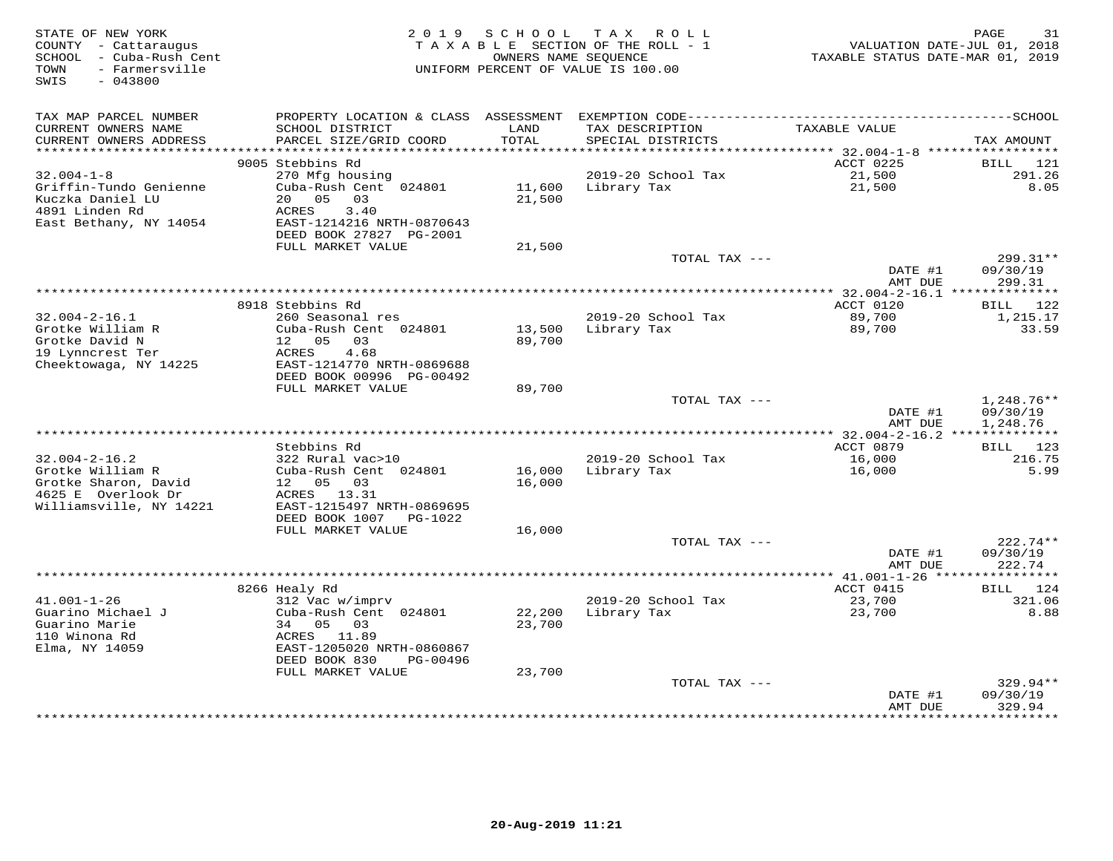| STATE OF NEW YORK<br>COUNTY - Cattaraugus<br>SCHOOL - Cuba-Rush Cent<br>- Farmersville<br>TOWN<br>SWIS<br>$-043800$ | 2 0 1 9                                   | SCHOOL<br>OWNERS NAME SEQUENCE | TAX ROLL<br>TAXABLE SECTION OF THE ROLL - 1<br>UNIFORM PERCENT OF VALUE IS 100.00 | VALUATION DATE-JUL 01, 2018<br>TAXABLE STATUS DATE-MAR 01, 2019 | 31<br>PAGE               |
|---------------------------------------------------------------------------------------------------------------------|-------------------------------------------|--------------------------------|-----------------------------------------------------------------------------------|-----------------------------------------------------------------|--------------------------|
| TAX MAP PARCEL NUMBER                                                                                               |                                           |                                |                                                                                   |                                                                 |                          |
| CURRENT OWNERS NAME<br>CURRENT OWNERS ADDRESS                                                                       | SCHOOL DISTRICT<br>PARCEL SIZE/GRID COORD | LAND<br>TOTAL                  | TAX DESCRIPTION<br>SPECIAL DISTRICTS                                              | TAXABLE VALUE                                                   | TAX AMOUNT               |
| **********************                                                                                              |                                           |                                |                                                                                   |                                                                 |                          |
|                                                                                                                     | 9005 Stebbins Rd                          |                                |                                                                                   | ACCT 0225                                                       | BILL<br>121              |
| $32.004 - 1 - 8$                                                                                                    | 270 Mfg housing                           |                                | 2019-20 School Tax                                                                | 21,500                                                          | 291.26                   |
| Griffin-Tundo Genienne                                                                                              | Cuba-Rush Cent 024801                     | 11,600                         | Library Tax                                                                       | 21,500                                                          | 8.05                     |
| Kuczka Daniel LU<br>4891 Linden Rd                                                                                  | 20 05<br>03<br>ACRES<br>3.40              | 21,500                         |                                                                                   |                                                                 |                          |
| East Bethany, NY 14054                                                                                              | EAST-1214216 NRTH-0870643                 |                                |                                                                                   |                                                                 |                          |
|                                                                                                                     | DEED BOOK 27827 PG-2001                   |                                |                                                                                   |                                                                 |                          |
|                                                                                                                     | FULL MARKET VALUE                         | 21,500                         |                                                                                   |                                                                 |                          |
|                                                                                                                     |                                           |                                | TOTAL TAX ---                                                                     |                                                                 | 299.31**                 |
|                                                                                                                     |                                           |                                |                                                                                   | DATE #1                                                         | 09/30/19                 |
|                                                                                                                     |                                           |                                |                                                                                   | AMT DUE                                                         | 299.31                   |
|                                                                                                                     | 8918 Stebbins Rd                          |                                |                                                                                   | ACCT 0120                                                       |                          |
| $32.004 - 2 - 16.1$                                                                                                 | 260 Seasonal res                          |                                | 2019-20 School Tax                                                                | 89,700                                                          | BILL 122<br>1,215.17     |
| Grotke William R                                                                                                    | Cuba-Rush Cent 024801                     | 13,500                         | Library Tax                                                                       | 89,700                                                          | 33.59                    |
| Grotke David N                                                                                                      | 12 05<br>03                               | 89,700                         |                                                                                   |                                                                 |                          |
| 19 Lynncrest Ter                                                                                                    | 4.68<br>ACRES                             |                                |                                                                                   |                                                                 |                          |
| Cheektowaga, NY 14225                                                                                               | EAST-1214770 NRTH-0869688                 |                                |                                                                                   |                                                                 |                          |
|                                                                                                                     | DEED BOOK 00996 PG-00492                  |                                |                                                                                   |                                                                 |                          |
|                                                                                                                     | FULL MARKET VALUE                         | 89,700                         |                                                                                   |                                                                 |                          |
|                                                                                                                     |                                           |                                | TOTAL TAX ---                                                                     | DATE #1                                                         | $1,248.76**$<br>09/30/19 |
|                                                                                                                     |                                           |                                |                                                                                   | AMT DUE                                                         | 1,248.76                 |
|                                                                                                                     |                                           |                                |                                                                                   |                                                                 |                          |
|                                                                                                                     | Stebbins Rd                               |                                |                                                                                   | ACCT 0879                                                       | BILL 123                 |
| $32.004 - 2 - 16.2$                                                                                                 | 322 Rural vac>10                          |                                | 2019-20 School Tax                                                                | 16,000                                                          | 216.75                   |
| Grotke William R                                                                                                    | Cuba-Rush Cent 024801                     | 16,000                         | Library Tax                                                                       | 16,000                                                          | 5.99                     |
| Grotke Sharon, David                                                                                                | 12 05<br>03                               | 16,000                         |                                                                                   |                                                                 |                          |
| 4625 E Overlook Dr<br>Williamsville, NY 14221                                                                       | ACRES 13.31<br>EAST-1215497 NRTH-0869695  |                                |                                                                                   |                                                                 |                          |
|                                                                                                                     | DEED BOOK 1007<br>PG-1022                 |                                |                                                                                   |                                                                 |                          |
|                                                                                                                     | FULL MARKET VALUE                         | 16,000                         |                                                                                   |                                                                 |                          |
|                                                                                                                     |                                           |                                | TOTAL TAX ---                                                                     |                                                                 | $222.74**$               |
|                                                                                                                     |                                           |                                |                                                                                   | DATE #1                                                         | 09/30/19                 |
|                                                                                                                     |                                           |                                |                                                                                   | AMT DUE                                                         | 222.74                   |
|                                                                                                                     |                                           |                                |                                                                                   |                                                                 |                          |
| $41.001 - 1 - 26$                                                                                                   | 8266 Healy Rd<br>312 Vac w/imprv          |                                | 2019-20 School Tax                                                                | ACCT 0415<br>23,700                                             | 124<br>BILL<br>321.06    |
| Guarino Michael J                                                                                                   | Cuba-Rush Cent 024801                     | 22,200                         | Library Tax                                                                       | 23,700                                                          | 8.88                     |
| Guarino Marie                                                                                                       | 34 05 03                                  | 23,700                         |                                                                                   |                                                                 |                          |
| 110 Winona Rd                                                                                                       | ACRES<br>11.89                            |                                |                                                                                   |                                                                 |                          |
| Elma, NY 14059                                                                                                      | EAST-1205020 NRTH-0860867                 |                                |                                                                                   |                                                                 |                          |
|                                                                                                                     | DEED BOOK 830<br>PG-00496                 |                                |                                                                                   |                                                                 |                          |
|                                                                                                                     | FULL MARKET VALUE                         | 23,700                         |                                                                                   |                                                                 |                          |
|                                                                                                                     |                                           |                                | TOTAL TAX ---                                                                     |                                                                 | $329.94**$               |
|                                                                                                                     |                                           |                                |                                                                                   | DATE #1<br>AMT DUE                                              | 09/30/19<br>329.94       |
|                                                                                                                     |                                           |                                |                                                                                   | **************                                                  | **********               |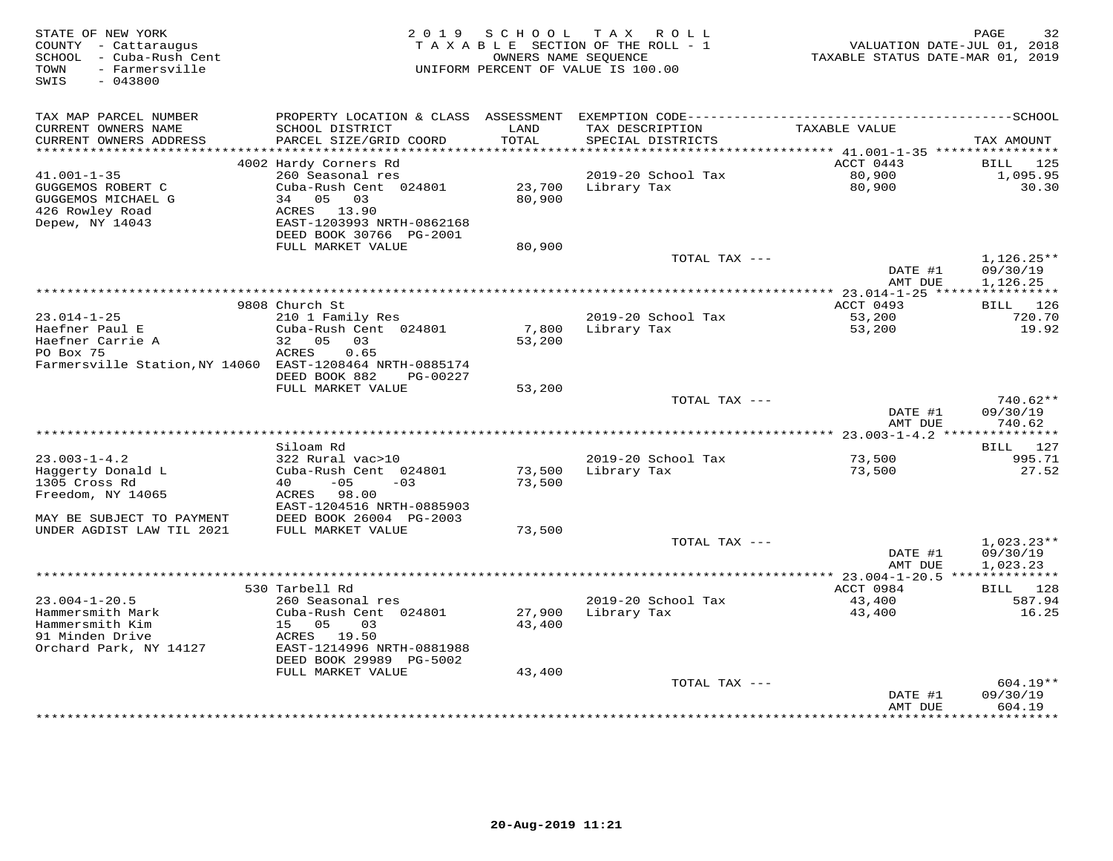| TAX MAP PARCEL NUMBER<br>CURRENT OWNERS NAME<br>SCHOOL DISTRICT<br>LAND<br>TAX DESCRIPTION<br>TAXABLE VALUE<br>CURRENT OWNERS ADDRESS<br>PARCEL SIZE/GRID COORD<br>TOTAL<br>SPECIAL DISTRICTS<br>TAX AMOUNT<br>**********************<br>************************<br>ACCT 0443<br>4002 Hardy Corners Rd<br>125<br>BILL<br>80,900<br>$41.001 - 1 - 35$<br>260 Seasonal res<br>2019-20 School Tax<br>1,095.95<br>Cuba-Rush Cent 024801<br>23,700<br>80,900<br>30.30<br>GUGGEMOS ROBERT C<br>Library Tax<br>80,900<br>GUGGEMOS MICHAEL G<br>34<br>05<br>03<br>426 Rowley Road<br>ACRES 13.90<br>Depew, NY 14043<br>EAST-1203993 NRTH-0862168<br>DEED BOOK 30766 PG-2001<br>FULL MARKET VALUE<br>80,900<br>TOTAL TAX ---<br>$1,126.25**$<br>DATE #1<br>09/30/19<br>AMT DUE<br>1,126.25<br>***********************************<br>** 23.014-1-25 *****<br>***********<br>9808 Church St<br>ACCT 0493<br>BILL 126<br>$23.014 - 1 - 25$<br>2019-20 School Tax<br>53,200<br>210 1 Family Res<br>720.70<br>Haefner Paul E<br>Cuba-Rush Cent 024801<br>19.92<br>7,800<br>Library Tax<br>53,200<br>Haefner Carrie A<br>32 05<br>03<br>53,200<br>PO Box 75<br>0.65<br>ACRES<br>Farmersville Station, NY 14060 EAST-1208464 NRTH-0885174<br>DEED BOOK 882<br>PG-00227<br>FULL MARKET VALUE<br>53,200<br>TOTAL TAX ---<br>$740.62**$<br>DATE #1<br>09/30/19<br>740.62<br>AMT DUE<br>BILL 127<br>Siloam Rd<br>$23.003 - 1 - 4.2$<br>322 Rural vac>10<br>2019-20 School Tax<br>73,500<br>995.71<br>Haggerty Donald L<br>Cuba-Rush Cent 024801<br>73,500<br>Library Tax<br>73,500<br>27.52<br>1305 Cross Rd<br>$-05$<br>40<br>$-03$<br>73,500<br>Freedom, NY 14065<br>ACRES 98.00<br>EAST-1204516 NRTH-0885903<br>MAY BE SUBJECT TO PAYMENT<br>DEED BOOK 26004 PG-2003<br>UNDER AGDIST LAW TIL 2021<br>FULL MARKET VALUE<br>73,500<br>TOTAL TAX ---<br>$1,023.23**$<br>DATE #1<br>09/30/19<br>1,023.23<br>AMT DUE<br>*********** 23.004-1-20.5 **************<br>530 Tarbell Rd<br>ACCT 0984<br>128<br>BILL<br>$23.004 - 1 - 20.5$<br>2019-20 School Tax<br>43,400<br>587.94<br>260 Seasonal res<br>27,900<br>16.25<br>Hammersmith Mark<br>Cuba-Rush Cent 024801<br>Library Tax<br>43,400<br>Hammersmith Kim<br>15<br>05<br>03<br>43,400<br>91 Minden Drive<br>ACRES 19.50<br>Orchard Park, NY 14127<br>EAST-1214996 NRTH-0881988<br>DEED BOOK 29989 PG-5002<br>FULL MARKET VALUE<br>43,400<br>$604.19**$<br>TOTAL TAX ---<br>09/30/19<br>DATE #1<br>604.19<br>AMT DUE<br>* * * * * * * * | STATE OF NEW YORK<br>COUNTY - Cattaraugus<br>SCHOOL - Cuba-Rush Cent<br>- Farmersville<br>TOWN<br>SWIS<br>$-043800$ | 2 0 1 9 | SCHOOL | T A X<br>R O L L<br>TAXABLE SECTION OF THE ROLL - 1<br>OWNERS NAME SEQUENCE<br>UNIFORM PERCENT OF VALUE IS 100.00 | VALUATION DATE-JUL 01, 2018<br>TAXABLE STATUS DATE-MAR 01, 2019 | PAGE<br>32 |
|--------------------------------------------------------------------------------------------------------------------------------------------------------------------------------------------------------------------------------------------------------------------------------------------------------------------------------------------------------------------------------------------------------------------------------------------------------------------------------------------------------------------------------------------------------------------------------------------------------------------------------------------------------------------------------------------------------------------------------------------------------------------------------------------------------------------------------------------------------------------------------------------------------------------------------------------------------------------------------------------------------------------------------------------------------------------------------------------------------------------------------------------------------------------------------------------------------------------------------------------------------------------------------------------------------------------------------------------------------------------------------------------------------------------------------------------------------------------------------------------------------------------------------------------------------------------------------------------------------------------------------------------------------------------------------------------------------------------------------------------------------------------------------------------------------------------------------------------------------------------------------------------------------------------------------------------------------------------------------------------------------------------------------------------------------------------------------------------------------------------------------------------------------------------------------------------------------------------------------------------------------------------------------------------------------------------------------------------------------------------------------------------------------------------------------------------------------------------------|---------------------------------------------------------------------------------------------------------------------|---------|--------|-------------------------------------------------------------------------------------------------------------------|-----------------------------------------------------------------|------------|
|                                                                                                                                                                                                                                                                                                                                                                                                                                                                                                                                                                                                                                                                                                                                                                                                                                                                                                                                                                                                                                                                                                                                                                                                                                                                                                                                                                                                                                                                                                                                                                                                                                                                                                                                                                                                                                                                                                                                                                                                                                                                                                                                                                                                                                                                                                                                                                                                                                                                          |                                                                                                                     |         |        |                                                                                                                   |                                                                 |            |
|                                                                                                                                                                                                                                                                                                                                                                                                                                                                                                                                                                                                                                                                                                                                                                                                                                                                                                                                                                                                                                                                                                                                                                                                                                                                                                                                                                                                                                                                                                                                                                                                                                                                                                                                                                                                                                                                                                                                                                                                                                                                                                                                                                                                                                                                                                                                                                                                                                                                          |                                                                                                                     |         |        |                                                                                                                   |                                                                 |            |
|                                                                                                                                                                                                                                                                                                                                                                                                                                                                                                                                                                                                                                                                                                                                                                                                                                                                                                                                                                                                                                                                                                                                                                                                                                                                                                                                                                                                                                                                                                                                                                                                                                                                                                                                                                                                                                                                                                                                                                                                                                                                                                                                                                                                                                                                                                                                                                                                                                                                          |                                                                                                                     |         |        |                                                                                                                   |                                                                 |            |
|                                                                                                                                                                                                                                                                                                                                                                                                                                                                                                                                                                                                                                                                                                                                                                                                                                                                                                                                                                                                                                                                                                                                                                                                                                                                                                                                                                                                                                                                                                                                                                                                                                                                                                                                                                                                                                                                                                                                                                                                                                                                                                                                                                                                                                                                                                                                                                                                                                                                          |                                                                                                                     |         |        |                                                                                                                   |                                                                 |            |
|                                                                                                                                                                                                                                                                                                                                                                                                                                                                                                                                                                                                                                                                                                                                                                                                                                                                                                                                                                                                                                                                                                                                                                                                                                                                                                                                                                                                                                                                                                                                                                                                                                                                                                                                                                                                                                                                                                                                                                                                                                                                                                                                                                                                                                                                                                                                                                                                                                                                          |                                                                                                                     |         |        |                                                                                                                   |                                                                 |            |
|                                                                                                                                                                                                                                                                                                                                                                                                                                                                                                                                                                                                                                                                                                                                                                                                                                                                                                                                                                                                                                                                                                                                                                                                                                                                                                                                                                                                                                                                                                                                                                                                                                                                                                                                                                                                                                                                                                                                                                                                                                                                                                                                                                                                                                                                                                                                                                                                                                                                          |                                                                                                                     |         |        |                                                                                                                   |                                                                 |            |
|                                                                                                                                                                                                                                                                                                                                                                                                                                                                                                                                                                                                                                                                                                                                                                                                                                                                                                                                                                                                                                                                                                                                                                                                                                                                                                                                                                                                                                                                                                                                                                                                                                                                                                                                                                                                                                                                                                                                                                                                                                                                                                                                                                                                                                                                                                                                                                                                                                                                          |                                                                                                                     |         |        |                                                                                                                   |                                                                 |            |
|                                                                                                                                                                                                                                                                                                                                                                                                                                                                                                                                                                                                                                                                                                                                                                                                                                                                                                                                                                                                                                                                                                                                                                                                                                                                                                                                                                                                                                                                                                                                                                                                                                                                                                                                                                                                                                                                                                                                                                                                                                                                                                                                                                                                                                                                                                                                                                                                                                                                          |                                                                                                                     |         |        |                                                                                                                   |                                                                 |            |
|                                                                                                                                                                                                                                                                                                                                                                                                                                                                                                                                                                                                                                                                                                                                                                                                                                                                                                                                                                                                                                                                                                                                                                                                                                                                                                                                                                                                                                                                                                                                                                                                                                                                                                                                                                                                                                                                                                                                                                                                                                                                                                                                                                                                                                                                                                                                                                                                                                                                          |                                                                                                                     |         |        |                                                                                                                   |                                                                 |            |
|                                                                                                                                                                                                                                                                                                                                                                                                                                                                                                                                                                                                                                                                                                                                                                                                                                                                                                                                                                                                                                                                                                                                                                                                                                                                                                                                                                                                                                                                                                                                                                                                                                                                                                                                                                                                                                                                                                                                                                                                                                                                                                                                                                                                                                                                                                                                                                                                                                                                          |                                                                                                                     |         |        |                                                                                                                   |                                                                 |            |
|                                                                                                                                                                                                                                                                                                                                                                                                                                                                                                                                                                                                                                                                                                                                                                                                                                                                                                                                                                                                                                                                                                                                                                                                                                                                                                                                                                                                                                                                                                                                                                                                                                                                                                                                                                                                                                                                                                                                                                                                                                                                                                                                                                                                                                                                                                                                                                                                                                                                          |                                                                                                                     |         |        |                                                                                                                   |                                                                 |            |
|                                                                                                                                                                                                                                                                                                                                                                                                                                                                                                                                                                                                                                                                                                                                                                                                                                                                                                                                                                                                                                                                                                                                                                                                                                                                                                                                                                                                                                                                                                                                                                                                                                                                                                                                                                                                                                                                                                                                                                                                                                                                                                                                                                                                                                                                                                                                                                                                                                                                          |                                                                                                                     |         |        |                                                                                                                   |                                                                 |            |
|                                                                                                                                                                                                                                                                                                                                                                                                                                                                                                                                                                                                                                                                                                                                                                                                                                                                                                                                                                                                                                                                                                                                                                                                                                                                                                                                                                                                                                                                                                                                                                                                                                                                                                                                                                                                                                                                                                                                                                                                                                                                                                                                                                                                                                                                                                                                                                                                                                                                          |                                                                                                                     |         |        |                                                                                                                   |                                                                 |            |
|                                                                                                                                                                                                                                                                                                                                                                                                                                                                                                                                                                                                                                                                                                                                                                                                                                                                                                                                                                                                                                                                                                                                                                                                                                                                                                                                                                                                                                                                                                                                                                                                                                                                                                                                                                                                                                                                                                                                                                                                                                                                                                                                                                                                                                                                                                                                                                                                                                                                          |                                                                                                                     |         |        |                                                                                                                   |                                                                 |            |
|                                                                                                                                                                                                                                                                                                                                                                                                                                                                                                                                                                                                                                                                                                                                                                                                                                                                                                                                                                                                                                                                                                                                                                                                                                                                                                                                                                                                                                                                                                                                                                                                                                                                                                                                                                                                                                                                                                                                                                                                                                                                                                                                                                                                                                                                                                                                                                                                                                                                          |                                                                                                                     |         |        |                                                                                                                   |                                                                 |            |
|                                                                                                                                                                                                                                                                                                                                                                                                                                                                                                                                                                                                                                                                                                                                                                                                                                                                                                                                                                                                                                                                                                                                                                                                                                                                                                                                                                                                                                                                                                                                                                                                                                                                                                                                                                                                                                                                                                                                                                                                                                                                                                                                                                                                                                                                                                                                                                                                                                                                          |                                                                                                                     |         |        |                                                                                                                   |                                                                 |            |
|                                                                                                                                                                                                                                                                                                                                                                                                                                                                                                                                                                                                                                                                                                                                                                                                                                                                                                                                                                                                                                                                                                                                                                                                                                                                                                                                                                                                                                                                                                                                                                                                                                                                                                                                                                                                                                                                                                                                                                                                                                                                                                                                                                                                                                                                                                                                                                                                                                                                          |                                                                                                                     |         |        |                                                                                                                   |                                                                 |            |
|                                                                                                                                                                                                                                                                                                                                                                                                                                                                                                                                                                                                                                                                                                                                                                                                                                                                                                                                                                                                                                                                                                                                                                                                                                                                                                                                                                                                                                                                                                                                                                                                                                                                                                                                                                                                                                                                                                                                                                                                                                                                                                                                                                                                                                                                                                                                                                                                                                                                          |                                                                                                                     |         |        |                                                                                                                   |                                                                 |            |
|                                                                                                                                                                                                                                                                                                                                                                                                                                                                                                                                                                                                                                                                                                                                                                                                                                                                                                                                                                                                                                                                                                                                                                                                                                                                                                                                                                                                                                                                                                                                                                                                                                                                                                                                                                                                                                                                                                                                                                                                                                                                                                                                                                                                                                                                                                                                                                                                                                                                          |                                                                                                                     |         |        |                                                                                                                   |                                                                 |            |
|                                                                                                                                                                                                                                                                                                                                                                                                                                                                                                                                                                                                                                                                                                                                                                                                                                                                                                                                                                                                                                                                                                                                                                                                                                                                                                                                                                                                                                                                                                                                                                                                                                                                                                                                                                                                                                                                                                                                                                                                                                                                                                                                                                                                                                                                                                                                                                                                                                                                          |                                                                                                                     |         |        |                                                                                                                   |                                                                 |            |
|                                                                                                                                                                                                                                                                                                                                                                                                                                                                                                                                                                                                                                                                                                                                                                                                                                                                                                                                                                                                                                                                                                                                                                                                                                                                                                                                                                                                                                                                                                                                                                                                                                                                                                                                                                                                                                                                                                                                                                                                                                                                                                                                                                                                                                                                                                                                                                                                                                                                          |                                                                                                                     |         |        |                                                                                                                   |                                                                 |            |
|                                                                                                                                                                                                                                                                                                                                                                                                                                                                                                                                                                                                                                                                                                                                                                                                                                                                                                                                                                                                                                                                                                                                                                                                                                                                                                                                                                                                                                                                                                                                                                                                                                                                                                                                                                                                                                                                                                                                                                                                                                                                                                                                                                                                                                                                                                                                                                                                                                                                          |                                                                                                                     |         |        |                                                                                                                   |                                                                 |            |
|                                                                                                                                                                                                                                                                                                                                                                                                                                                                                                                                                                                                                                                                                                                                                                                                                                                                                                                                                                                                                                                                                                                                                                                                                                                                                                                                                                                                                                                                                                                                                                                                                                                                                                                                                                                                                                                                                                                                                                                                                                                                                                                                                                                                                                                                                                                                                                                                                                                                          |                                                                                                                     |         |        |                                                                                                                   |                                                                 |            |
|                                                                                                                                                                                                                                                                                                                                                                                                                                                                                                                                                                                                                                                                                                                                                                                                                                                                                                                                                                                                                                                                                                                                                                                                                                                                                                                                                                                                                                                                                                                                                                                                                                                                                                                                                                                                                                                                                                                                                                                                                                                                                                                                                                                                                                                                                                                                                                                                                                                                          |                                                                                                                     |         |        |                                                                                                                   |                                                                 |            |
|                                                                                                                                                                                                                                                                                                                                                                                                                                                                                                                                                                                                                                                                                                                                                                                                                                                                                                                                                                                                                                                                                                                                                                                                                                                                                                                                                                                                                                                                                                                                                                                                                                                                                                                                                                                                                                                                                                                                                                                                                                                                                                                                                                                                                                                                                                                                                                                                                                                                          |                                                                                                                     |         |        |                                                                                                                   |                                                                 |            |
|                                                                                                                                                                                                                                                                                                                                                                                                                                                                                                                                                                                                                                                                                                                                                                                                                                                                                                                                                                                                                                                                                                                                                                                                                                                                                                                                                                                                                                                                                                                                                                                                                                                                                                                                                                                                                                                                                                                                                                                                                                                                                                                                                                                                                                                                                                                                                                                                                                                                          |                                                                                                                     |         |        |                                                                                                                   |                                                                 |            |
|                                                                                                                                                                                                                                                                                                                                                                                                                                                                                                                                                                                                                                                                                                                                                                                                                                                                                                                                                                                                                                                                                                                                                                                                                                                                                                                                                                                                                                                                                                                                                                                                                                                                                                                                                                                                                                                                                                                                                                                                                                                                                                                                                                                                                                                                                                                                                                                                                                                                          |                                                                                                                     |         |        |                                                                                                                   |                                                                 |            |
|                                                                                                                                                                                                                                                                                                                                                                                                                                                                                                                                                                                                                                                                                                                                                                                                                                                                                                                                                                                                                                                                                                                                                                                                                                                                                                                                                                                                                                                                                                                                                                                                                                                                                                                                                                                                                                                                                                                                                                                                                                                                                                                                                                                                                                                                                                                                                                                                                                                                          |                                                                                                                     |         |        |                                                                                                                   |                                                                 |            |
|                                                                                                                                                                                                                                                                                                                                                                                                                                                                                                                                                                                                                                                                                                                                                                                                                                                                                                                                                                                                                                                                                                                                                                                                                                                                                                                                                                                                                                                                                                                                                                                                                                                                                                                                                                                                                                                                                                                                                                                                                                                                                                                                                                                                                                                                                                                                                                                                                                                                          |                                                                                                                     |         |        |                                                                                                                   |                                                                 |            |
|                                                                                                                                                                                                                                                                                                                                                                                                                                                                                                                                                                                                                                                                                                                                                                                                                                                                                                                                                                                                                                                                                                                                                                                                                                                                                                                                                                                                                                                                                                                                                                                                                                                                                                                                                                                                                                                                                                                                                                                                                                                                                                                                                                                                                                                                                                                                                                                                                                                                          |                                                                                                                     |         |        |                                                                                                                   |                                                                 |            |
|                                                                                                                                                                                                                                                                                                                                                                                                                                                                                                                                                                                                                                                                                                                                                                                                                                                                                                                                                                                                                                                                                                                                                                                                                                                                                                                                                                                                                                                                                                                                                                                                                                                                                                                                                                                                                                                                                                                                                                                                                                                                                                                                                                                                                                                                                                                                                                                                                                                                          |                                                                                                                     |         |        |                                                                                                                   |                                                                 |            |
|                                                                                                                                                                                                                                                                                                                                                                                                                                                                                                                                                                                                                                                                                                                                                                                                                                                                                                                                                                                                                                                                                                                                                                                                                                                                                                                                                                                                                                                                                                                                                                                                                                                                                                                                                                                                                                                                                                                                                                                                                                                                                                                                                                                                                                                                                                                                                                                                                                                                          |                                                                                                                     |         |        |                                                                                                                   |                                                                 |            |
|                                                                                                                                                                                                                                                                                                                                                                                                                                                                                                                                                                                                                                                                                                                                                                                                                                                                                                                                                                                                                                                                                                                                                                                                                                                                                                                                                                                                                                                                                                                                                                                                                                                                                                                                                                                                                                                                                                                                                                                                                                                                                                                                                                                                                                                                                                                                                                                                                                                                          |                                                                                                                     |         |        |                                                                                                                   |                                                                 |            |
|                                                                                                                                                                                                                                                                                                                                                                                                                                                                                                                                                                                                                                                                                                                                                                                                                                                                                                                                                                                                                                                                                                                                                                                                                                                                                                                                                                                                                                                                                                                                                                                                                                                                                                                                                                                                                                                                                                                                                                                                                                                                                                                                                                                                                                                                                                                                                                                                                                                                          |                                                                                                                     |         |        |                                                                                                                   |                                                                 |            |
|                                                                                                                                                                                                                                                                                                                                                                                                                                                                                                                                                                                                                                                                                                                                                                                                                                                                                                                                                                                                                                                                                                                                                                                                                                                                                                                                                                                                                                                                                                                                                                                                                                                                                                                                                                                                                                                                                                                                                                                                                                                                                                                                                                                                                                                                                                                                                                                                                                                                          |                                                                                                                     |         |        |                                                                                                                   |                                                                 |            |
|                                                                                                                                                                                                                                                                                                                                                                                                                                                                                                                                                                                                                                                                                                                                                                                                                                                                                                                                                                                                                                                                                                                                                                                                                                                                                                                                                                                                                                                                                                                                                                                                                                                                                                                                                                                                                                                                                                                                                                                                                                                                                                                                                                                                                                                                                                                                                                                                                                                                          |                                                                                                                     |         |        |                                                                                                                   |                                                                 |            |
|                                                                                                                                                                                                                                                                                                                                                                                                                                                                                                                                                                                                                                                                                                                                                                                                                                                                                                                                                                                                                                                                                                                                                                                                                                                                                                                                                                                                                                                                                                                                                                                                                                                                                                                                                                                                                                                                                                                                                                                                                                                                                                                                                                                                                                                                                                                                                                                                                                                                          |                                                                                                                     |         |        |                                                                                                                   |                                                                 |            |
|                                                                                                                                                                                                                                                                                                                                                                                                                                                                                                                                                                                                                                                                                                                                                                                                                                                                                                                                                                                                                                                                                                                                                                                                                                                                                                                                                                                                                                                                                                                                                                                                                                                                                                                                                                                                                                                                                                                                                                                                                                                                                                                                                                                                                                                                                                                                                                                                                                                                          |                                                                                                                     |         |        |                                                                                                                   |                                                                 |            |
|                                                                                                                                                                                                                                                                                                                                                                                                                                                                                                                                                                                                                                                                                                                                                                                                                                                                                                                                                                                                                                                                                                                                                                                                                                                                                                                                                                                                                                                                                                                                                                                                                                                                                                                                                                                                                                                                                                                                                                                                                                                                                                                                                                                                                                                                                                                                                                                                                                                                          |                                                                                                                     |         |        |                                                                                                                   |                                                                 |            |
|                                                                                                                                                                                                                                                                                                                                                                                                                                                                                                                                                                                                                                                                                                                                                                                                                                                                                                                                                                                                                                                                                                                                                                                                                                                                                                                                                                                                                                                                                                                                                                                                                                                                                                                                                                                                                                                                                                                                                                                                                                                                                                                                                                                                                                                                                                                                                                                                                                                                          |                                                                                                                     |         |        |                                                                                                                   |                                                                 |            |
|                                                                                                                                                                                                                                                                                                                                                                                                                                                                                                                                                                                                                                                                                                                                                                                                                                                                                                                                                                                                                                                                                                                                                                                                                                                                                                                                                                                                                                                                                                                                                                                                                                                                                                                                                                                                                                                                                                                                                                                                                                                                                                                                                                                                                                                                                                                                                                                                                                                                          |                                                                                                                     |         |        |                                                                                                                   |                                                                 |            |
|                                                                                                                                                                                                                                                                                                                                                                                                                                                                                                                                                                                                                                                                                                                                                                                                                                                                                                                                                                                                                                                                                                                                                                                                                                                                                                                                                                                                                                                                                                                                                                                                                                                                                                                                                                                                                                                                                                                                                                                                                                                                                                                                                                                                                                                                                                                                                                                                                                                                          |                                                                                                                     |         |        |                                                                                                                   |                                                                 |            |
|                                                                                                                                                                                                                                                                                                                                                                                                                                                                                                                                                                                                                                                                                                                                                                                                                                                                                                                                                                                                                                                                                                                                                                                                                                                                                                                                                                                                                                                                                                                                                                                                                                                                                                                                                                                                                                                                                                                                                                                                                                                                                                                                                                                                                                                                                                                                                                                                                                                                          |                                                                                                                     |         |        |                                                                                                                   |                                                                 |            |
|                                                                                                                                                                                                                                                                                                                                                                                                                                                                                                                                                                                                                                                                                                                                                                                                                                                                                                                                                                                                                                                                                                                                                                                                                                                                                                                                                                                                                                                                                                                                                                                                                                                                                                                                                                                                                                                                                                                                                                                                                                                                                                                                                                                                                                                                                                                                                                                                                                                                          |                                                                                                                     |         |        |                                                                                                                   |                                                                 |            |
|                                                                                                                                                                                                                                                                                                                                                                                                                                                                                                                                                                                                                                                                                                                                                                                                                                                                                                                                                                                                                                                                                                                                                                                                                                                                                                                                                                                                                                                                                                                                                                                                                                                                                                                                                                                                                                                                                                                                                                                                                                                                                                                                                                                                                                                                                                                                                                                                                                                                          |                                                                                                                     |         |        |                                                                                                                   |                                                                 |            |
|                                                                                                                                                                                                                                                                                                                                                                                                                                                                                                                                                                                                                                                                                                                                                                                                                                                                                                                                                                                                                                                                                                                                                                                                                                                                                                                                                                                                                                                                                                                                                                                                                                                                                                                                                                                                                                                                                                                                                                                                                                                                                                                                                                                                                                                                                                                                                                                                                                                                          |                                                                                                                     |         |        |                                                                                                                   |                                                                 |            |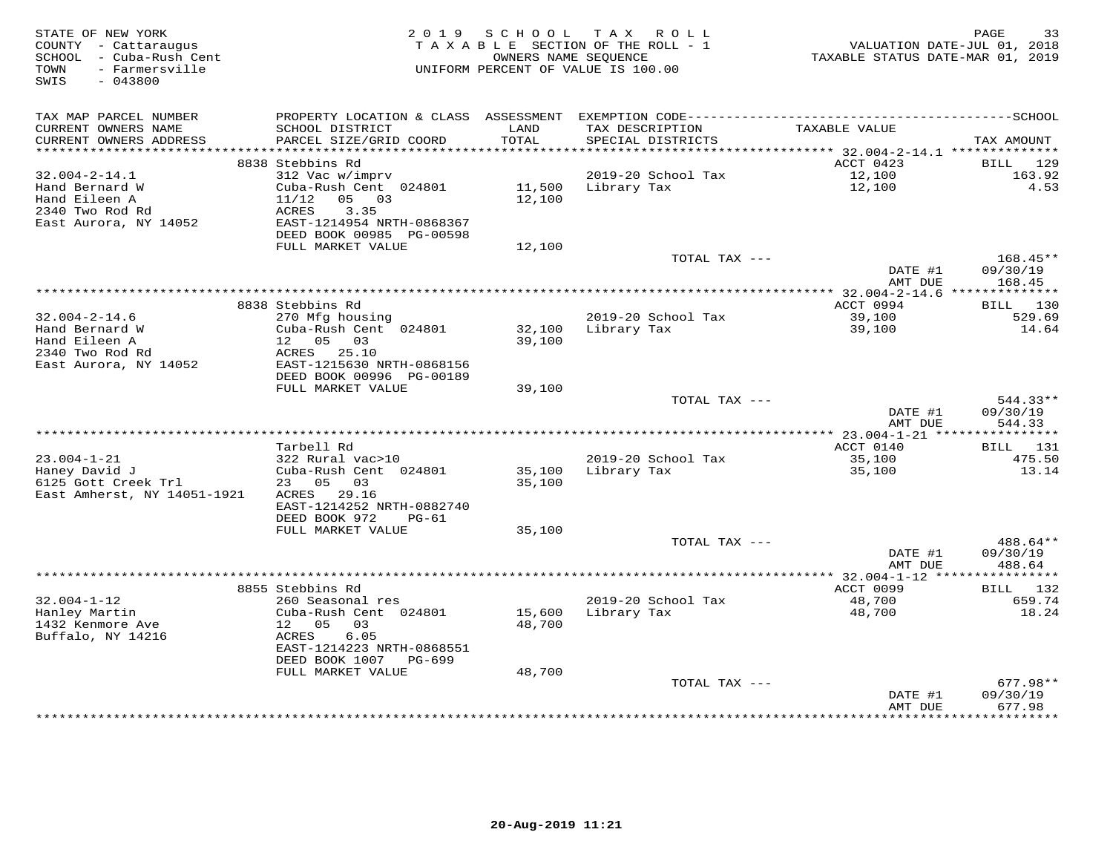| STATE OF NEW YORK<br>COUNTY - Cattaraugus<br>SCHOOL - Cuba-Rush Cent<br>- Farmersville<br>TOWN<br>SWIS<br>$-043800$ | 2 0 1 9                                       | S C H O O L<br>OWNERS NAME SEOUENCE | TAX ROLL<br>TAXABLE SECTION OF THE ROLL - 1<br>UNIFORM PERCENT OF VALUE IS 100.00 | VALUATION DATE-JUL 01, 2018<br>TAXABLE STATUS DATE-MAR 01, 2019 | 33<br>PAGE            |
|---------------------------------------------------------------------------------------------------------------------|-----------------------------------------------|-------------------------------------|-----------------------------------------------------------------------------------|-----------------------------------------------------------------|-----------------------|
| TAX MAP PARCEL NUMBER<br>CURRENT OWNERS NAME                                                                        | SCHOOL DISTRICT                               | LAND                                | TAX DESCRIPTION                                                                   | TAXABLE VALUE                                                   |                       |
| CURRENT OWNERS ADDRESS                                                                                              | PARCEL SIZE/GRID COORD                        | TOTAL                               | SPECIAL DISTRICTS                                                                 |                                                                 | TAX AMOUNT            |
| ***********************                                                                                             | 8838 Stebbins Rd                              |                                     |                                                                                   |                                                                 | <b>BILL</b>           |
| $32.004 - 2 - 14.1$                                                                                                 | 312 Vac w/imprv                               |                                     | 2019-20 School Tax                                                                | ACCT 0423<br>12,100                                             | 129<br>163.92         |
| Hand Bernard W                                                                                                      | Cuba-Rush Cent 024801                         | 11,500                              | Library Tax                                                                       | 12,100                                                          | 4.53                  |
| Hand Eileen A                                                                                                       | 11/12<br>05 03                                | 12,100                              |                                                                                   |                                                                 |                       |
| 2340 Two Rod Rd                                                                                                     | ACRES<br>3.35                                 |                                     |                                                                                   |                                                                 |                       |
| East Aurora, NY 14052                                                                                               | EAST-1214954 NRTH-0868367                     |                                     |                                                                                   |                                                                 |                       |
|                                                                                                                     | DEED BOOK 00985 PG-00598<br>FULL MARKET VALUE | 12,100                              |                                                                                   |                                                                 |                       |
|                                                                                                                     |                                               |                                     | TOTAL TAX ---                                                                     |                                                                 | 168.45**              |
|                                                                                                                     |                                               |                                     |                                                                                   | DATE #1                                                         | 09/30/19              |
|                                                                                                                     |                                               |                                     |                                                                                   | AMT DUE                                                         | 168.45                |
|                                                                                                                     |                                               |                                     |                                                                                   | ************* 32.004-2-14.6 ***************                     |                       |
| $32.004 - 2 - 14.6$                                                                                                 | 8838 Stebbins Rd<br>270 Mfg housing           |                                     | 2019-20 School Tax                                                                | ACCT 0994<br>39,100                                             | BILL 130<br>529.69    |
| Hand Bernard W                                                                                                      | Cuba-Rush Cent 024801                         | 32,100                              | Library Tax                                                                       | 39,100                                                          | 14.64                 |
| Hand Eileen A                                                                                                       | 12  05  03                                    | 39,100                              |                                                                                   |                                                                 |                       |
| 2340 Two Rod Rd                                                                                                     | ACRES 25.10                                   |                                     |                                                                                   |                                                                 |                       |
| East Aurora, NY 14052                                                                                               | EAST-1215630 NRTH-0868156                     |                                     |                                                                                   |                                                                 |                       |
|                                                                                                                     | DEED BOOK 00996 PG-00189<br>FULL MARKET VALUE | 39,100                              |                                                                                   |                                                                 |                       |
|                                                                                                                     |                                               |                                     | TOTAL TAX ---                                                                     |                                                                 | $544.33**$            |
|                                                                                                                     |                                               |                                     |                                                                                   | DATE #1                                                         | 09/30/19              |
|                                                                                                                     |                                               |                                     |                                                                                   | AMT DUE                                                         | 544.33                |
|                                                                                                                     |                                               |                                     |                                                                                   |                                                                 |                       |
| $23.004 - 1 - 21$                                                                                                   | Tarbell Rd<br>322 Rural vac>10                |                                     | 2019-20 School Tax                                                                | ACCT 0140<br>35,100                                             | BILL 131<br>475.50    |
| Haney David J                                                                                                       | Cuba-Rush Cent 024801                         | 35,100                              | Library Tax                                                                       | 35,100                                                          | 13.14                 |
| 6125 Gott Creek Trl                                                                                                 | 23 05 03                                      | 35,100                              |                                                                                   |                                                                 |                       |
| East Amherst, NY 14051-1921                                                                                         | ACRES 29.16                                   |                                     |                                                                                   |                                                                 |                       |
|                                                                                                                     | EAST-1214252 NRTH-0882740                     |                                     |                                                                                   |                                                                 |                       |
|                                                                                                                     | DEED BOOK 972<br>$PG-61$<br>FULL MARKET VALUE | 35,100                              |                                                                                   |                                                                 |                       |
|                                                                                                                     |                                               |                                     | TOTAL TAX ---                                                                     |                                                                 | 488.64**              |
|                                                                                                                     |                                               |                                     |                                                                                   | DATE #1                                                         | 09/30/19              |
|                                                                                                                     |                                               |                                     |                                                                                   | AMT DUE                                                         | 488.64                |
|                                                                                                                     |                                               |                                     |                                                                                   |                                                                 |                       |
| $32.004 - 1 - 12$                                                                                                   | 8855 Stebbins Rd<br>260 Seasonal res          |                                     | 2019-20 School Tax                                                                | ACCT 0099<br>48,700                                             | 132<br>BILL<br>659.74 |
| Hanley Martin                                                                                                       | Cuba-Rush Cent 024801                         | 15,600                              | Library Tax                                                                       | 48,700                                                          | 18.24                 |
| 1432 Kenmore Ave                                                                                                    | 12  05  03                                    | 48,700                              |                                                                                   |                                                                 |                       |
| Buffalo, NY 14216                                                                                                   | ACRES<br>6.05                                 |                                     |                                                                                   |                                                                 |                       |
|                                                                                                                     | EAST-1214223 NRTH-0868551                     |                                     |                                                                                   |                                                                 |                       |
|                                                                                                                     | DEED BOOK 1007 PG-699<br>FULL MARKET VALUE    | 48,700                              |                                                                                   |                                                                 |                       |
|                                                                                                                     |                                               |                                     | TOTAL TAX ---                                                                     |                                                                 | $677.98**$            |
|                                                                                                                     |                                               |                                     |                                                                                   | DATE #1                                                         | 09/30/19              |
|                                                                                                                     |                                               |                                     |                                                                                   | AMT DUE                                                         | 677.98                |
|                                                                                                                     |                                               |                                     |                                                                                   | ***********                                                     | **********            |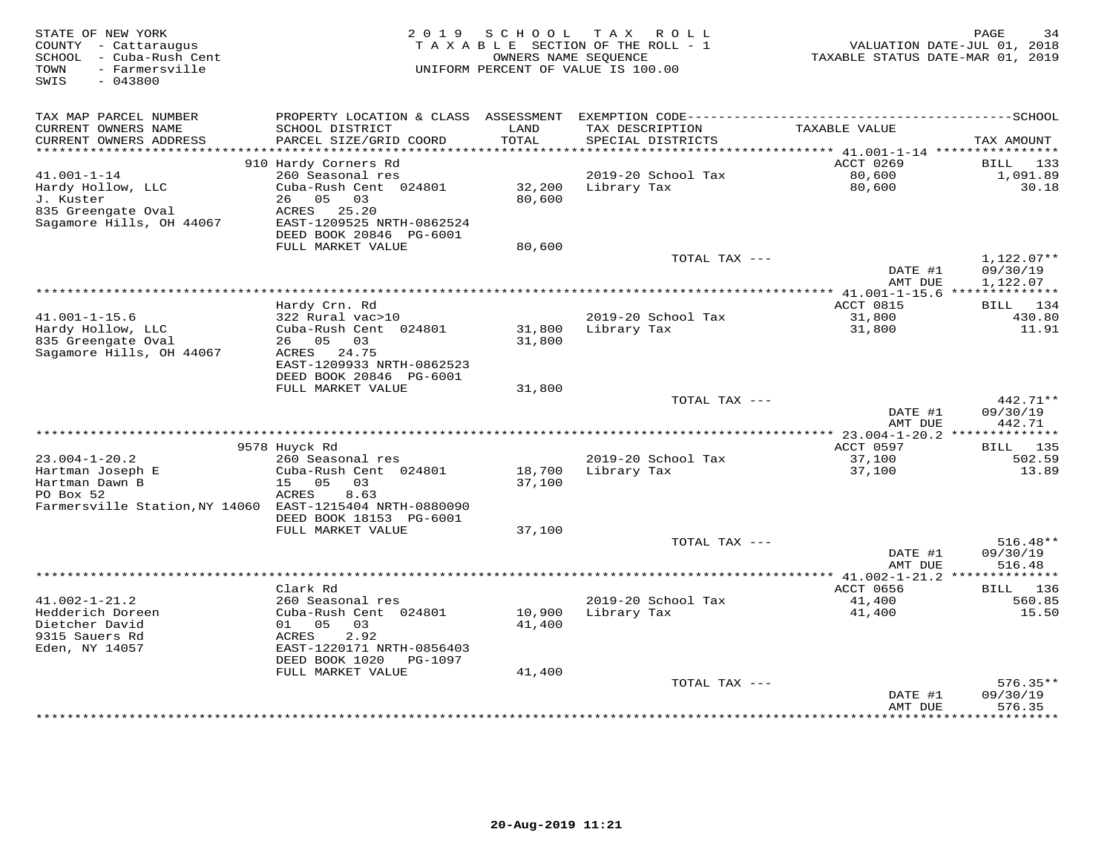| STATE OF NEW YORK<br>COUNTY - Cattaraugus<br>SCHOOL<br>- Cuba-Rush Cent | 2 0 1 9                                     | SCHOOL<br>OWNERS NAME SEQUENCE | T A X<br>R O L L<br>TAXABLE SECTION OF THE ROLL - 1 | TAXABLE STATUS DATE-MAR 01, 2019  | 34<br>PAGE<br>VALUATION DATE-JUL 01, 2018 |
|-------------------------------------------------------------------------|---------------------------------------------|--------------------------------|-----------------------------------------------------|-----------------------------------|-------------------------------------------|
| - Farmersville<br>TOWN<br>SWIS<br>$-043800$                             |                                             |                                | UNIFORM PERCENT OF VALUE IS 100.00                  |                                   |                                           |
| TAX MAP PARCEL NUMBER                                                   | PROPERTY LOCATION & CLASS ASSESSMENT        |                                |                                                     |                                   |                                           |
| CURRENT OWNERS NAME                                                     | SCHOOL DISTRICT                             | LAND                           | TAX DESCRIPTION                                     | TAXABLE VALUE                     |                                           |
| CURRENT OWNERS ADDRESS<br>**********************                        | PARCEL SIZE/GRID COORD                      | TOTAL                          | SPECIAL DISTRICTS                                   |                                   | TAX AMOUNT                                |
|                                                                         | 910 Hardy Corners Rd                        |                                |                                                     | ACCT 0269                         | BILL<br>133                               |
| $41.001 - 1 - 14$                                                       | 260 Seasonal res                            |                                | 2019-20 School Tax                                  | 80,600                            | 1,091.89                                  |
| Hardy Hollow, LLC                                                       | Cuba-Rush Cent 024801                       | 32,200                         | Library Tax                                         | 80,600                            | 30.18                                     |
| J. Kuster                                                               | 05<br>26<br>03                              | 80,600                         |                                                     |                                   |                                           |
| 835 Greengate Oval<br>Sagamore Hills, OH 44067                          | 25.20<br>ACRES<br>EAST-1209525 NRTH-0862524 |                                |                                                     |                                   |                                           |
|                                                                         | DEED BOOK 20846 PG-6001                     |                                |                                                     |                                   |                                           |
|                                                                         | FULL MARKET VALUE                           | 80,600                         |                                                     |                                   |                                           |
|                                                                         |                                             |                                | TOTAL TAX ---                                       |                                   | 1,122.07**                                |
|                                                                         |                                             |                                |                                                     | DATE #1                           | 09/30/19                                  |
|                                                                         |                                             |                                | ************                                        | AMT DUE<br>$* 41.001 - 1 - 15.6$  | 1,122.07                                  |
|                                                                         | Hardy Crn. Rd                               |                                |                                                     | ACCT 0815                         | 134<br>BILL                               |
| $41.001 - 1 - 15.6$                                                     | 322 Rural vac>10                            |                                | 2019-20 School Tax                                  | 31,800                            | 430.80                                    |
| Hardy Hollow, LLC                                                       | Cuba-Rush Cent 024801                       | 31,800                         | Library Tax                                         | 31,800                            | 11.91                                     |
| 835 Greengate Oval                                                      | 26 05 03                                    | 31,800                         |                                                     |                                   |                                           |
| Sagamore Hills, OH 44067                                                | ACRES 24.75<br>EAST-1209933 NRTH-0862523    |                                |                                                     |                                   |                                           |
|                                                                         | DEED BOOK 20846 PG-6001                     |                                |                                                     |                                   |                                           |
|                                                                         | FULL MARKET VALUE                           | 31,800                         |                                                     |                                   |                                           |
|                                                                         |                                             |                                | TOTAL TAX ---                                       |                                   | $442.71**$                                |
|                                                                         |                                             |                                |                                                     | DATE #1<br>AMT DUE                | 09/30/19<br>442.71                        |
|                                                                         |                                             |                                |                                                     |                                   | **************                            |
|                                                                         | 9578 Huyck Rd                               |                                |                                                     | ACCT 0597                         | BILL 135                                  |
| $23.004 - 1 - 20.2$                                                     | 260 Seasonal res                            |                                | 2019-20 School Tax                                  | 37,100                            | 502.59                                    |
| Hartman Joseph E<br>Hartman Dawn B                                      | Cuba-Rush Cent 024801<br>05                 | 18,700                         | Library Tax                                         | 37,100                            | 13.89                                     |
| PO Box 52                                                               | 15<br>03<br>ACRES<br>8.63                   | 37,100                         |                                                     |                                   |                                           |
| Farmersville Station, NY 14060                                          | EAST-1215404 NRTH-0880090                   |                                |                                                     |                                   |                                           |
|                                                                         | DEED BOOK 18153 PG-6001                     |                                |                                                     |                                   |                                           |
|                                                                         | FULL MARKET VALUE                           | 37,100                         |                                                     |                                   |                                           |
|                                                                         |                                             |                                | TOTAL TAX ---                                       | DATE #1                           | $516.48**$<br>09/30/19                    |
|                                                                         |                                             |                                |                                                     | AMT DUE                           | 516.48                                    |
|                                                                         | ***************                             |                                |                                                     | ********* $41.002 - 1 - 21.2$ *** |                                           |
|                                                                         | Clark Rd                                    |                                |                                                     | ACCT 0656                         | 136<br>BILL                               |
| $41.002 - 1 - 21.2$                                                     | 260 Seasonal res                            |                                | 2019-20 School Tax                                  | 41,400                            | 560.85                                    |
| Hedderich Doreen<br>Dietcher David                                      | Cuba-Rush Cent 024801<br>05<br>01<br>03     | 10,900<br>41,400               | Library Tax                                         | 41,400                            | 15.50                                     |
| 9315 Sauers Rd                                                          | 2.92<br>ACRES                               |                                |                                                     |                                   |                                           |
| Eden, NY 14057                                                          | EAST-1220171 NRTH-0856403                   |                                |                                                     |                                   |                                           |
|                                                                         | DEED BOOK 1020<br>PG-1097                   |                                |                                                     |                                   |                                           |
|                                                                         | FULL MARKET VALUE                           | 41,400                         |                                                     |                                   |                                           |
|                                                                         |                                             |                                | TOTAL TAX ---                                       | DATE #1                           | $576.35**$<br>09/30/19                    |
|                                                                         |                                             |                                |                                                     | AMT DUE                           | 576.35                                    |
|                                                                         |                                             |                                |                                                     |                                   | * * * * * * * *                           |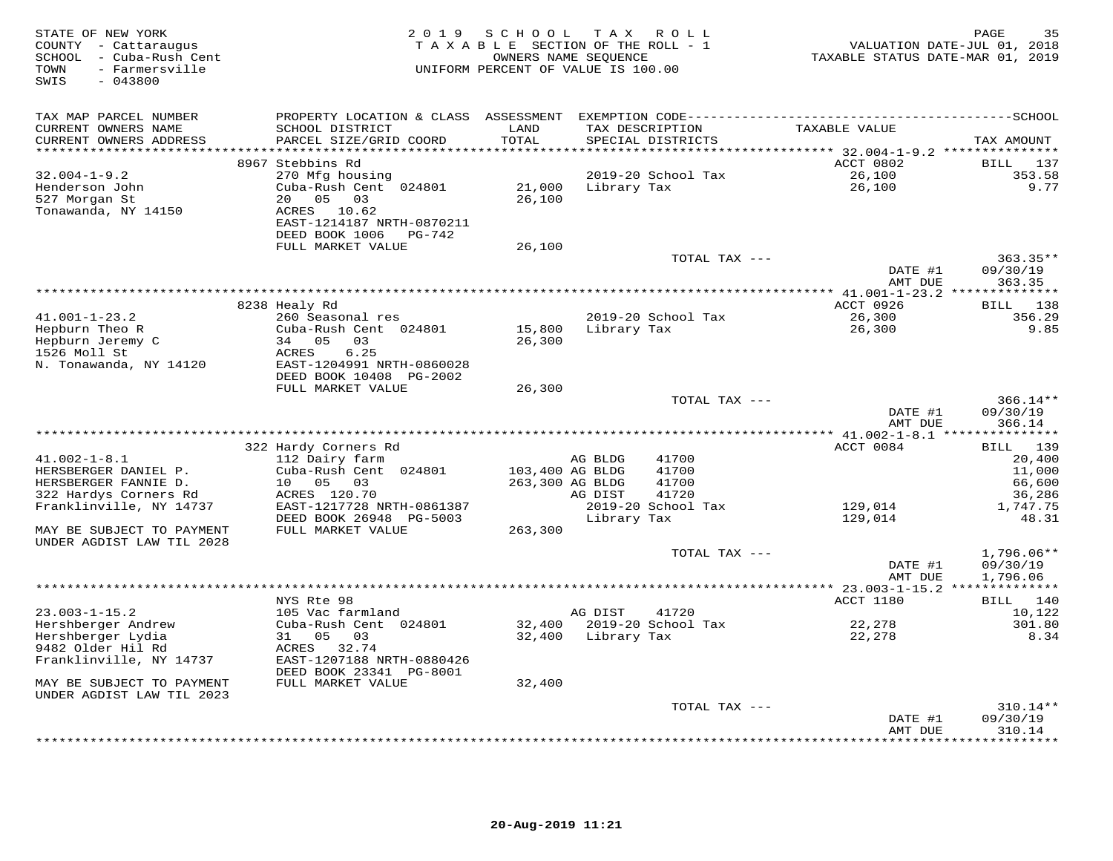| STATE OF NEW YORK<br>COUNTY - Cattaraugus<br>SCHOOL - Cuba-Rush Cent<br>- Farmersville<br>TOWN<br>$-043800$<br>SWIS |                                              | 2019 SCHOOL<br>TAXABLE SECTION OF THE ROLL - 1<br>UNIFORM PERCENT OF VALUE IS 100.00 | T A X<br>OWNERS NAME SEQUENCE | R O L L            | TAXABLE STATUS DATE-MAR 01, 2019               | 35<br>PAGE<br>VALUATION DATE-JUL 01, 2018 |
|---------------------------------------------------------------------------------------------------------------------|----------------------------------------------|--------------------------------------------------------------------------------------|-------------------------------|--------------------|------------------------------------------------|-------------------------------------------|
| TAX MAP PARCEL NUMBER                                                                                               |                                              |                                                                                      |                               |                    |                                                |                                           |
| CURRENT OWNERS NAME                                                                                                 | SCHOOL DISTRICT                              | LAND                                                                                 |                               | TAX DESCRIPTION    | TAXABLE VALUE                                  |                                           |
| CURRENT OWNERS ADDRESS<br>**********************                                                                    | PARCEL SIZE/GRID COORD                       | TOTAL                                                                                |                               | SPECIAL DISTRICTS  |                                                | TAX AMOUNT                                |
|                                                                                                                     | 8967 Stebbins Rd                             |                                                                                      |                               |                    | <b>ACCT 0802</b>                               | BILL 137                                  |
| $32.004 - 1 - 9.2$                                                                                                  | 270 Mfg housing                              |                                                                                      |                               | 2019-20 School Tax | 26,100                                         | 353.58                                    |
| Henderson John                                                                                                      | Cuba-Rush Cent 024801                        | 21,000                                                                               | Library Tax                   |                    | 26,100                                         | 9.77                                      |
| 527 Morgan St                                                                                                       | 05<br>03<br>20                               | 26,100                                                                               |                               |                    |                                                |                                           |
| Tonawanda, NY 14150                                                                                                 | ACRES 10.62<br>EAST-1214187 NRTH-0870211     |                                                                                      |                               |                    |                                                |                                           |
|                                                                                                                     | DEED BOOK 1006 PG-742                        |                                                                                      |                               |                    |                                                |                                           |
|                                                                                                                     | FULL MARKET VALUE                            | 26,100                                                                               |                               |                    |                                                |                                           |
|                                                                                                                     |                                              |                                                                                      |                               | TOTAL TAX ---      |                                                | $363.35**$                                |
|                                                                                                                     |                                              |                                                                                      |                               |                    | DATE #1                                        | 09/30/19                                  |
|                                                                                                                     |                                              |                                                                                      |                               |                    | AMT DUE                                        | 363.35                                    |
|                                                                                                                     | 8238 Healy Rd                                |                                                                                      |                               |                    | ACCT 0926                                      | 138<br>BILL                               |
| $41.001 - 1 - 23.2$                                                                                                 | 260 Seasonal res                             |                                                                                      |                               | 2019-20 School Tax | 26,300                                         | 356.29                                    |
| Hepburn Theo R                                                                                                      | Cuba-Rush Cent 024801                        | 15,800                                                                               | Library Tax                   |                    | 26,300                                         | 9.85                                      |
| Hepburn Jeremy C<br>1526 Moll St                                                                                    | 34 05<br>03<br>6.25                          | 26,300                                                                               |                               |                    |                                                |                                           |
| N. Tonawanda, NY 14120                                                                                              | ACRES<br>EAST-1204991 NRTH-0860028           |                                                                                      |                               |                    |                                                |                                           |
|                                                                                                                     | DEED BOOK 10408 PG-2002                      |                                                                                      |                               |                    |                                                |                                           |
|                                                                                                                     | FULL MARKET VALUE                            | 26,300                                                                               |                               |                    |                                                |                                           |
|                                                                                                                     |                                              |                                                                                      |                               | TOTAL TAX ---      |                                                | $366.14**$                                |
|                                                                                                                     |                                              |                                                                                      |                               |                    | DATE #1<br>AMT DUE                             | 09/30/19<br>366.14                        |
|                                                                                                                     |                                              |                                                                                      |                               |                    | **************** 41.002-1-8.1 **************** |                                           |
|                                                                                                                     | 322 Hardy Corners Rd                         |                                                                                      |                               |                    | ACCT 0084                                      | 139<br>BILL                               |
| $41.002 - 1 - 8.1$                                                                                                  | 112 Dairy farm                               |                                                                                      | AG BLDG                       | 41700              |                                                | 20,400                                    |
| HERSBERGER DANIEL P.                                                                                                | Cuba-Rush Cent 024801                        | 103,400 AG BLDG                                                                      |                               | 41700<br>41700     |                                                | 11,000                                    |
| HERSBERGER FANNIE D.<br>322 Hardys Corners Rd                                                                       | 10<br>05<br>03<br>ACRES 120.70               | 263,300 AG BLDG                                                                      | AG DIST                       | 41720              |                                                | 66,600<br>36,286                          |
| Franklinville, NY 14737                                                                                             | EAST-1217728 NRTH-0861387                    |                                                                                      |                               | 2019-20 School Tax | 129,014                                        | 1,747.75                                  |
|                                                                                                                     | DEED BOOK 26948 PG-5003                      |                                                                                      | Library Tax                   |                    | 129,014                                        | 48.31                                     |
| MAY BE SUBJECT TO PAYMENT                                                                                           | FULL MARKET VALUE                            | 263,300                                                                              |                               |                    |                                                |                                           |
| UNDER AGDIST LAW TIL 2028                                                                                           |                                              |                                                                                      |                               | TOTAL TAX ---      |                                                | $1,796.06**$                              |
|                                                                                                                     |                                              |                                                                                      |                               |                    | DATE #1                                        | 09/30/19                                  |
|                                                                                                                     |                                              |                                                                                      |                               |                    | AMT DUE                                        | 1,796.06                                  |
|                                                                                                                     |                                              |                                                                                      |                               |                    | **** 23.003-1-15.2 ***************             |                                           |
| $23.003 - 1 - 15.2$                                                                                                 | NYS Rte 98<br>105 Vac farmland               |                                                                                      | AG DIST                       | 41720              | ACCT 1180                                      | BILL 140<br>10,122                        |
| Hershberger Andrew                                                                                                  | Cuba-Rush Cent 024801                        | 32,400                                                                               |                               | 2019-20 School Tax | 22,278                                         | 301.80                                    |
| Hershberger Lydia                                                                                                   | 31 05<br>03                                  |                                                                                      | 32,400 Library Tax            |                    | 22,278                                         | 8.34                                      |
| 9482 Older Hil Rd                                                                                                   | ACRES 32.74                                  |                                                                                      |                               |                    |                                                |                                           |
| Franklinville, NY 14737                                                                                             | EAST-1207188 NRTH-0880426                    |                                                                                      |                               |                    |                                                |                                           |
| MAY BE SUBJECT TO PAYMENT                                                                                           | DEED BOOK 23341 PG-8001<br>FULL MARKET VALUE | 32,400                                                                               |                               |                    |                                                |                                           |
| UNDER AGDIST LAW TIL 2023                                                                                           |                                              |                                                                                      |                               |                    |                                                |                                           |
|                                                                                                                     |                                              |                                                                                      |                               | TOTAL TAX ---      |                                                | 310.14**                                  |
|                                                                                                                     |                                              |                                                                                      |                               |                    | DATE #1                                        | 09/30/19                                  |
|                                                                                                                     |                                              |                                                                                      |                               |                    | AMT DUE                                        | 310.14<br>* * * * * * * *                 |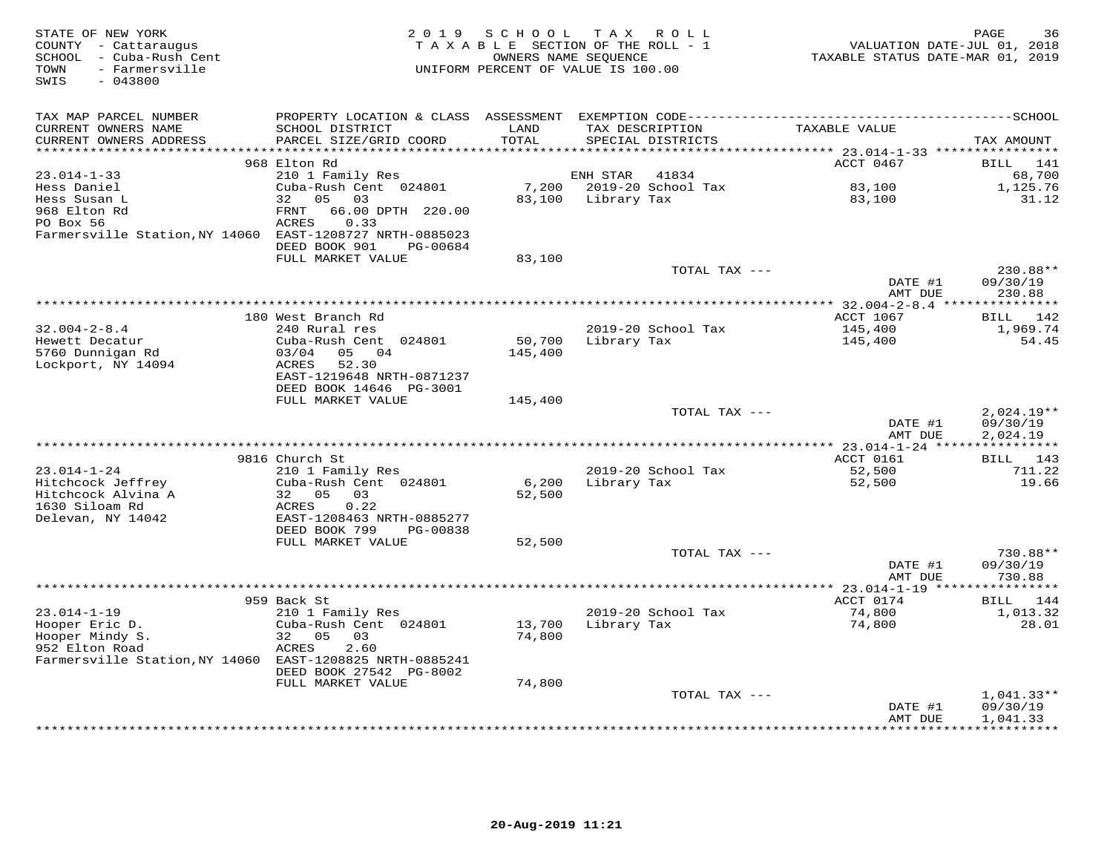| STATE OF NEW YORK<br>COUNTY - Cattaraugus<br>SCHOOL - Cuba-Rush Cent<br>- Farmersville<br>TOWN<br>SWIS<br>$-043800$ | 2 0 1 9                                | SCHOOL<br>TAXABLE SECTION OF THE ROLL - 1<br>OWNERS NAME SEQUENCE<br>UNIFORM PERCENT OF VALUE IS 100.00 | T A X           | R O L L            | VALUATION DATE-JUL 01, 2018<br>TAXABLE STATUS DATE-MAR 01, 2019 | 36<br>PAGE               |
|---------------------------------------------------------------------------------------------------------------------|----------------------------------------|---------------------------------------------------------------------------------------------------------|-----------------|--------------------|-----------------------------------------------------------------|--------------------------|
| TAX MAP PARCEL NUMBER                                                                                               |                                        |                                                                                                         |                 |                    |                                                                 |                          |
| CURRENT OWNERS NAME                                                                                                 | SCHOOL DISTRICT                        | LAND                                                                                                    | TAX DESCRIPTION |                    | TAXABLE VALUE                                                   |                          |
| CURRENT OWNERS ADDRESS                                                                                              | PARCEL SIZE/GRID COORD                 | TOTAL                                                                                                   |                 | SPECIAL DISTRICTS  |                                                                 | TAX AMOUNT               |
| ******************                                                                                                  | 968 Elton Rd                           | ******                                                                                                  |                 |                    | ******* 23.014-1-33 *****************                           | BILL<br>141              |
| $23.014 - 1 - 33$                                                                                                   | 210 1 Family Res                       |                                                                                                         | ENH STAR        | 41834              | ACCT 0467                                                       | 68,700                   |
| Hess Daniel                                                                                                         | Cuba-Rush Cent 024801                  | 7,200                                                                                                   |                 | 2019-20 School Tax | 83,100                                                          | 1,125.76                 |
| Hess Susan L                                                                                                        | 05<br>32<br>03                         | 83,100                                                                                                  | Library Tax     |                    | 83,100                                                          | 31.12                    |
| 968 Elton Rd                                                                                                        | <b>FRNT</b><br>66.00 DPTH 220.00       |                                                                                                         |                 |                    |                                                                 |                          |
| PO Box 56                                                                                                           | ACRES<br>0.33                          |                                                                                                         |                 |                    |                                                                 |                          |
| Farmersville Station, NY 14060                                                                                      | EAST-1208727 NRTH-0885023              |                                                                                                         |                 |                    |                                                                 |                          |
|                                                                                                                     | DEED BOOK 901<br>PG-00684              | 83,100                                                                                                  |                 |                    |                                                                 |                          |
|                                                                                                                     | FULL MARKET VALUE                      |                                                                                                         |                 | TOTAL TAX ---      |                                                                 | 230.88**                 |
|                                                                                                                     |                                        |                                                                                                         |                 |                    | DATE #1                                                         | 09/30/19                 |
|                                                                                                                     |                                        |                                                                                                         |                 |                    | AMT DUE                                                         | 230.88                   |
|                                                                                                                     |                                        |                                                                                                         |                 |                    |                                                                 |                          |
|                                                                                                                     | 180 West Branch Rd                     |                                                                                                         |                 |                    | ACCT 1067                                                       | BILL 142                 |
| $32.004 - 2 - 8.4$<br>Hewett Decatur                                                                                | 240 Rural res<br>Cuba-Rush Cent 024801 | 50,700                                                                                                  | Library Tax     | 2019-20 School Tax | 145,400<br>145,400                                              | 1,969.74<br>54.45        |
| 5760 Dunnigan Rd                                                                                                    | 03/04<br>05<br>04                      | 145,400                                                                                                 |                 |                    |                                                                 |                          |
| Lockport, NY 14094                                                                                                  | <b>ACRES</b><br>52.30                  |                                                                                                         |                 |                    |                                                                 |                          |
|                                                                                                                     | EAST-1219648 NRTH-0871237              |                                                                                                         |                 |                    |                                                                 |                          |
|                                                                                                                     | DEED BOOK 14646 PG-3001                |                                                                                                         |                 |                    |                                                                 |                          |
|                                                                                                                     | FULL MARKET VALUE                      | 145,400                                                                                                 |                 |                    |                                                                 |                          |
|                                                                                                                     |                                        |                                                                                                         |                 | TOTAL TAX ---      | DATE #1                                                         | $2,024.19**$<br>09/30/19 |
|                                                                                                                     |                                        |                                                                                                         |                 |                    | AMT DUE                                                         | 2,024.19                 |
|                                                                                                                     |                                        |                                                                                                         |                 |                    |                                                                 |                          |
|                                                                                                                     | 9816 Church St                         |                                                                                                         |                 |                    | ACCT 0161                                                       | BILL 143                 |
| $23.014 - 1 - 24$                                                                                                   | 210 1 Family Res                       |                                                                                                         |                 | 2019-20 School Tax | 52,500                                                          | 711.22                   |
| Hitchcock Jeffrey                                                                                                   | Cuba-Rush Cent 024801                  | 6,200                                                                                                   | Library Tax     |                    | 52,500                                                          | 19.66                    |
| Hitchcock Alvina A<br>1630 Siloam Rd                                                                                | 32<br>05<br>03<br>0.22<br>ACRES        | 52,500                                                                                                  |                 |                    |                                                                 |                          |
| Delevan, NY 14042                                                                                                   | EAST-1208463 NRTH-0885277              |                                                                                                         |                 |                    |                                                                 |                          |
|                                                                                                                     | DEED BOOK 799<br>PG-00838              |                                                                                                         |                 |                    |                                                                 |                          |
|                                                                                                                     | FULL MARKET VALUE                      | 52,500                                                                                                  |                 |                    |                                                                 |                          |
|                                                                                                                     |                                        |                                                                                                         |                 | TOTAL TAX ---      |                                                                 | 730.88**                 |
|                                                                                                                     |                                        |                                                                                                         |                 |                    | DATE #1                                                         | 09/30/19                 |
|                                                                                                                     |                                        |                                                                                                         |                 |                    | AMT DUE                                                         | 730.88<br>***********    |
|                                                                                                                     | 959 Back St                            |                                                                                                         |                 |                    | ACCT 0174                                                       | BILL 144                 |
| $23.014 - 1 - 19$                                                                                                   | 210 1 Family Res                       |                                                                                                         |                 | 2019-20 School Tax | 74,800                                                          | 1,013.32                 |
| Hooper Eric D.                                                                                                      | Cuba-Rush Cent 024801                  | 13,700                                                                                                  | Library Tax     |                    | 74,800                                                          | 28.01                    |
| Hooper Mindy S.                                                                                                     | 32<br>05<br>03                         | 74,800                                                                                                  |                 |                    |                                                                 |                          |
| 952 Elton Road                                                                                                      | 2.60<br>ACRES                          |                                                                                                         |                 |                    |                                                                 |                          |
| Farmersville Station, NY 14060 EAST-1208825 NRTH-0885241                                                            | DEED BOOK 27542 PG-8002                |                                                                                                         |                 |                    |                                                                 |                          |
|                                                                                                                     | FULL MARKET VALUE                      | 74,800                                                                                                  |                 |                    |                                                                 |                          |
|                                                                                                                     |                                        |                                                                                                         |                 | TOTAL TAX ---      |                                                                 | $1,041.33**$             |
|                                                                                                                     |                                        |                                                                                                         |                 |                    | DATE #1                                                         | 09/30/19                 |
|                                                                                                                     |                                        |                                                                                                         |                 |                    | AMT DUE                                                         | 1,041.33                 |
|                                                                                                                     |                                        |                                                                                                         |                 |                    | **************                                                  | ***********              |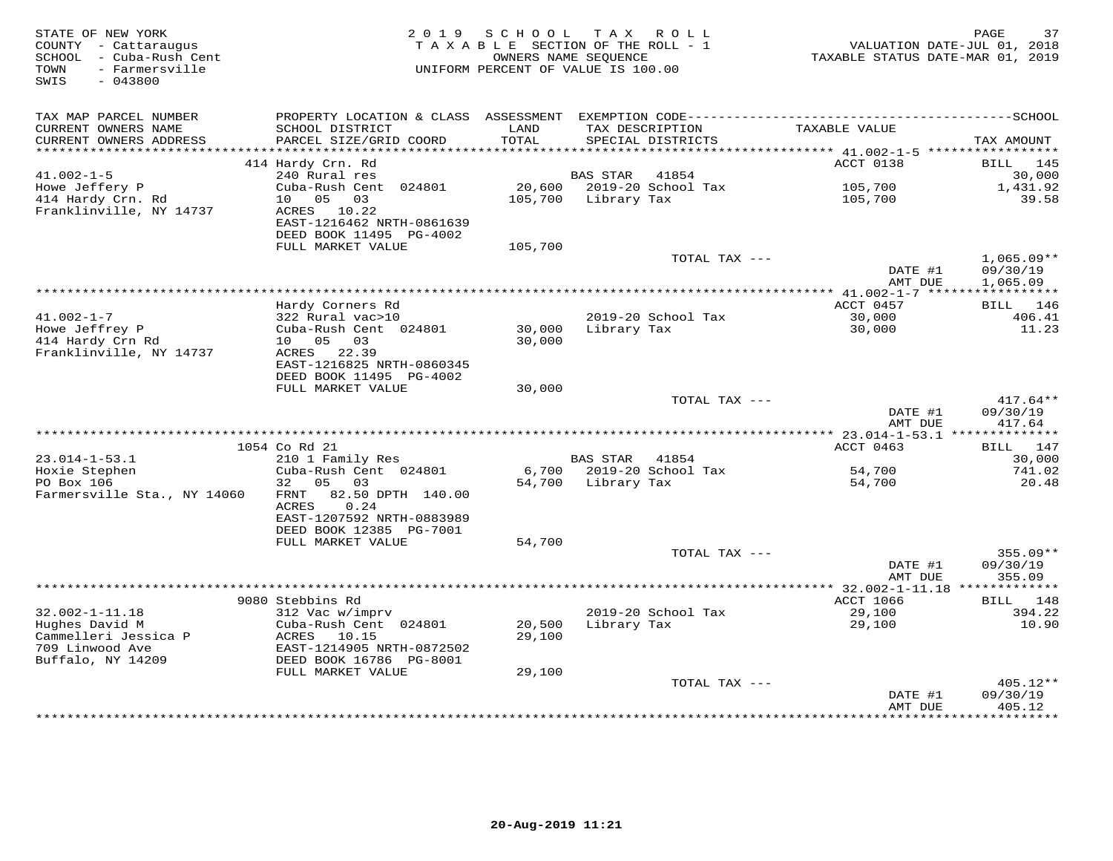| STATE OF NEW YORK<br>COUNTY - Cattaraugus<br>SCHOOL - Cuba-Rush Cent<br>- Farmersville<br>TOWN<br>SWIS<br>$-043800$ | 2 0 1 9                                                                                            | SCHOOL           | T A X<br>R O L L<br>TAXABLE SECTION OF THE ROLL - 1<br>OWNERS NAME SEOUENCE<br>UNIFORM PERCENT OF VALUE IS 100.00 | TAXABLE STATUS DATE-MAR 01, 2019           | 37<br>PAGE<br>VALUATION DATE-JUL 01, 2018               |
|---------------------------------------------------------------------------------------------------------------------|----------------------------------------------------------------------------------------------------|------------------|-------------------------------------------------------------------------------------------------------------------|--------------------------------------------|---------------------------------------------------------|
| TAX MAP PARCEL NUMBER<br>CURRENT OWNERS NAME<br>CURRENT OWNERS ADDRESS<br>***********************                   | PROPERTY LOCATION & CLASS ASSESSMENT<br>SCHOOL DISTRICT<br>PARCEL SIZE/GRID COORD                  | LAND<br>TOTAL    | TAX DESCRIPTION<br>SPECIAL DISTRICTS                                                                              | TAXABLE VALUE                              | TAX AMOUNT                                              |
|                                                                                                                     | 414 Hardy Crn. Rd                                                                                  |                  |                                                                                                                   | ACCT 0138                                  | BILL<br>145                                             |
| $41.002 - 1 - 5$                                                                                                    | 240 Rural res                                                                                      |                  | <b>BAS STAR</b><br>41854                                                                                          |                                            | 30,000                                                  |
| Howe Jeffery P                                                                                                      | Cuba-Rush Cent 024801                                                                              | 20,600           | 2019-20 School Tax                                                                                                | 105,700                                    | 1,431.92                                                |
| 414 Hardy Crn. Rd                                                                                                   | 05<br>03<br>10                                                                                     | 105,700          | Library Tax                                                                                                       | 105,700                                    | 39.58                                                   |
| Franklinville, NY 14737                                                                                             | ACRES 10.22<br>EAST-1216462 NRTH-0861639<br>DEED BOOK 11495 PG-4002                                |                  |                                                                                                                   |                                            |                                                         |
|                                                                                                                     | FULL MARKET VALUE                                                                                  | 105,700          |                                                                                                                   |                                            |                                                         |
|                                                                                                                     |                                                                                                    |                  | TOTAL TAX ---                                                                                                     | DATE #1<br>AMT DUE                         | $1,065.09**$<br>09/30/19<br>1,065.09                    |
|                                                                                                                     |                                                                                                    |                  |                                                                                                                   |                                            | * * * * * * * * * * *                                   |
|                                                                                                                     | Hardy Corners Rd                                                                                   |                  |                                                                                                                   | ACCT 0457                                  | 146<br>BILL                                             |
| $41.002 - 1 - 7$<br>Howe Jeffrey P                                                                                  | 322 Rural vac>10<br>Cuba-Rush Cent 024801                                                          | 30,000           | 2019-20 School Tax<br>Library Tax                                                                                 | 30,000<br>30,000                           | 406.41<br>11.23                                         |
| 414 Hardy Crn Rd<br>Franklinville, NY 14737                                                                         | 10  05  03<br>ACRES 22.39<br>EAST-1216825 NRTH-0860345                                             | 30,000           |                                                                                                                   |                                            |                                                         |
|                                                                                                                     | DEED BOOK 11495 PG-4002<br>FULL MARKET VALUE                                                       | 30,000           |                                                                                                                   |                                            |                                                         |
|                                                                                                                     |                                                                                                    |                  | TOTAL TAX ---                                                                                                     | DATE #1                                    | $417.64**$<br>09/30/19                                  |
|                                                                                                                     |                                                                                                    |                  |                                                                                                                   | AMT DUE                                    | 417.64                                                  |
|                                                                                                                     |                                                                                                    |                  |                                                                                                                   | ************ 23.014-1-53.1 *************** |                                                         |
| $23.014 - 1 - 53.1$                                                                                                 | 1054 Co Rd 21<br>210 1 Family Res                                                                  |                  | <b>BAS STAR</b><br>41854                                                                                          | ACCT 0463                                  | 147<br>BILL<br>30,000                                   |
| Hoxie Stephen                                                                                                       | Cuba-Rush Cent 024801                                                                              | 6,700            | 2019-20 School Tax                                                                                                | 54,700                                     | 741.02                                                  |
| PO Box 106                                                                                                          | 32<br>05<br>03                                                                                     | 54,700           | Library Tax                                                                                                       | 54,700                                     | 20.48                                                   |
| Farmersville Sta., NY 14060                                                                                         | 82.50 DPTH 140.00<br>FRNT<br>ACRES<br>0.24<br>EAST-1207592 NRTH-0883989<br>DEED BOOK 12385 PG-7001 |                  |                                                                                                                   |                                            |                                                         |
|                                                                                                                     | FULL MARKET VALUE                                                                                  | 54,700           |                                                                                                                   |                                            |                                                         |
|                                                                                                                     |                                                                                                    |                  | TOTAL TAX ---                                                                                                     | DATE #1<br>AMT DUE                         | $355.09**$<br>09/30/19<br>355.09                        |
|                                                                                                                     |                                                                                                    |                  |                                                                                                                   |                                            |                                                         |
|                                                                                                                     | 9080 Stebbins Rd                                                                                   |                  |                                                                                                                   | <b>ACCT 1066</b>                           | 148<br>BILL                                             |
| $32.002 - 1 - 11.18$                                                                                                | 312 Vac w/imprv                                                                                    |                  | 2019-20 School Tax                                                                                                | 29,100                                     | 394.22                                                  |
| Hughes David M<br>Cammelleri Jessica P<br>709 Linwood Ave<br>Buffalo, NY 14209                                      | Cuba-Rush Cent 024801<br>ACRES<br>10.15<br>EAST-1214905 NRTH-0872502<br>DEED BOOK 16786 PG-8001    | 20,500<br>29,100 | Library Tax                                                                                                       | 29,100                                     | 10.90                                                   |
|                                                                                                                     | FULL MARKET VALUE                                                                                  | 29,100           |                                                                                                                   |                                            |                                                         |
|                                                                                                                     |                                                                                                    |                  | TOTAL TAX ---                                                                                                     | DATE #1<br>AMT DUE<br>*****************    | $405.12**$<br>09/30/19<br>405.12<br>* * * * * * * * * * |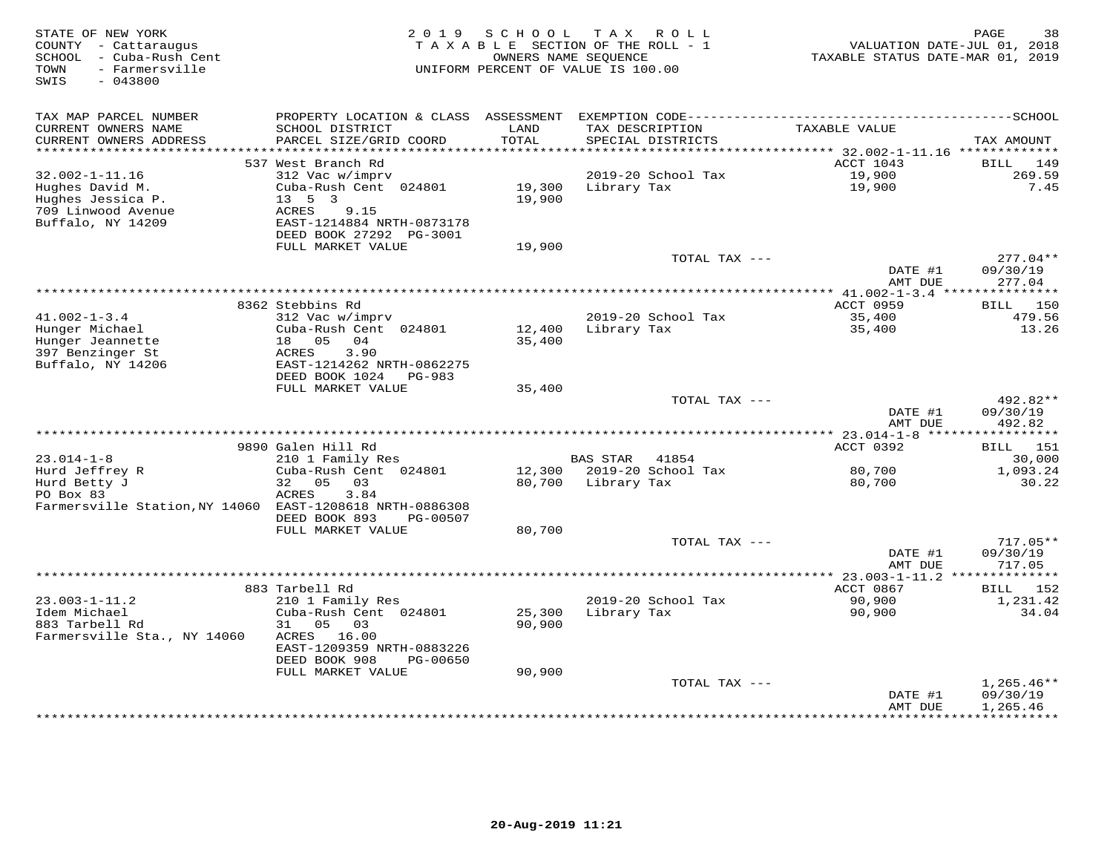| STATE OF NEW YORK<br>COUNTY - Cattaraugus<br>SCHOOL - Cuba-Rush Cent<br>- Farmersville<br>TOWN<br>$-043800$<br>SWIS | 2 0 1 9                                   | SCHOOL<br>OWNERS NAME SEQUENCE | T A X<br>R O L L<br>TAXABLE SECTION OF THE ROLL - 1<br>UNIFORM PERCENT OF VALUE IS 100.00 | VALUATION DATE-JUL 01, 2018<br>TAXABLE STATUS DATE-MAR 01, 2019 | 38<br>PAGE              |
|---------------------------------------------------------------------------------------------------------------------|-------------------------------------------|--------------------------------|-------------------------------------------------------------------------------------------|-----------------------------------------------------------------|-------------------------|
| TAX MAP PARCEL NUMBER                                                                                               | PROPERTY LOCATION & CLASS ASSESSMENT      |                                |                                                                                           |                                                                 |                         |
| CURRENT OWNERS NAME<br>CURRENT OWNERS ADDRESS                                                                       | SCHOOL DISTRICT<br>PARCEL SIZE/GRID COORD | LAND<br>TOTAL                  | TAX DESCRIPTION<br>SPECIAL DISTRICTS                                                      | TAXABLE VALUE                                                   | TAX AMOUNT              |
| **********************                                                                                              |                                           |                                |                                                                                           |                                                                 |                         |
| $32.002 - 1 - 11.16$                                                                                                | 537 West Branch Rd                        |                                | 2019-20 School Tax                                                                        | ACCT 1043                                                       | BILL.<br>149<br>269.59  |
| Hughes David M.                                                                                                     | 312 Vac w/imprv<br>Cuba-Rush Cent 024801  | 19,300                         | Library Tax                                                                               | 19,900<br>19,900                                                | 7.45                    |
| Hughes Jessica P.                                                                                                   | $13 \quad 5 \quad 3$                      | 19,900                         |                                                                                           |                                                                 |                         |
| 709 Linwood Avenue                                                                                                  | ACRES<br>9.15                             |                                |                                                                                           |                                                                 |                         |
| Buffalo, NY 14209                                                                                                   | EAST-1214884 NRTH-0873178                 |                                |                                                                                           |                                                                 |                         |
|                                                                                                                     | DEED BOOK 27292 PG-3001                   |                                |                                                                                           |                                                                 |                         |
|                                                                                                                     | FULL MARKET VALUE                         | 19,900                         |                                                                                           |                                                                 |                         |
|                                                                                                                     |                                           |                                | TOTAL TAX ---                                                                             |                                                                 | $277.04**$              |
|                                                                                                                     |                                           |                                |                                                                                           | DATE #1                                                         | 09/30/19                |
|                                                                                                                     |                                           |                                |                                                                                           | AMT DUE                                                         | 277.04                  |
|                                                                                                                     | 8362 Stebbins Rd                          |                                |                                                                                           | ACCT 0959                                                       | BILL<br>150             |
| $41.002 - 1 - 3.4$                                                                                                  | 312 Vac w/imprv                           |                                | 2019-20 School Tax                                                                        | 35,400                                                          | 479.56                  |
| Hunger Michael                                                                                                      | Cuba-Rush Cent 024801                     | 12,400                         | Library Tax                                                                               | 35,400                                                          | 13.26                   |
| Hunger Jeannette                                                                                                    | 04<br>18 05                               | 35,400                         |                                                                                           |                                                                 |                         |
| 397 Benzinger St                                                                                                    | ACRES<br>3.90                             |                                |                                                                                           |                                                                 |                         |
| Buffalo, NY 14206                                                                                                   | EAST-1214262 NRTH-0862275                 |                                |                                                                                           |                                                                 |                         |
|                                                                                                                     | DEED BOOK 1024<br>PG-983                  |                                |                                                                                           |                                                                 |                         |
|                                                                                                                     | FULL MARKET VALUE                         | 35,400                         | TOTAL TAX ---                                                                             |                                                                 | 492.82**                |
|                                                                                                                     |                                           |                                |                                                                                           | DATE #1                                                         | 09/30/19                |
|                                                                                                                     |                                           |                                |                                                                                           | AMT DUE                                                         | 492.82                  |
|                                                                                                                     |                                           |                                |                                                                                           |                                                                 | ***********             |
|                                                                                                                     | 9890 Galen Hill Rd                        |                                |                                                                                           | ACCT 0392                                                       | <b>BILL</b> 151         |
| $23.014 - 1 - 8$                                                                                                    | 210 1 Family Res                          |                                | <b>BAS STAR</b><br>41854                                                                  |                                                                 | 30,000                  |
| Hurd Jeffrey R                                                                                                      | Cuba-Rush Cent 024801                     |                                | 12,300 2019-20 School Tax                                                                 | 80,700                                                          | 1,093.24                |
| Hurd Betty J                                                                                                        | 32<br>05<br>03                            | 80,700                         | Library Tax                                                                               | 80,700                                                          | 30.22                   |
| PO Box 83<br>Farmersville Station, NY 14060 EAST-1208618 NRTH-0886308                                               | 3.84<br>ACRES                             |                                |                                                                                           |                                                                 |                         |
|                                                                                                                     | DEED BOOK 893<br>PG-00507                 |                                |                                                                                           |                                                                 |                         |
|                                                                                                                     | FULL MARKET VALUE                         | 80,700                         |                                                                                           |                                                                 |                         |
|                                                                                                                     |                                           |                                | TOTAL TAX ---                                                                             |                                                                 | $717.05**$              |
|                                                                                                                     |                                           |                                |                                                                                           | DATE #1                                                         | 09/30/19                |
|                                                                                                                     |                                           |                                |                                                                                           | AMT DUE                                                         | 717.05                  |
|                                                                                                                     |                                           |                                |                                                                                           | *************** 23.003-1-11.2 **************                    |                         |
|                                                                                                                     | 883 Tarbell Rd                            |                                |                                                                                           | ACCT 0867                                                       | 152<br>BILL             |
| $23.003 - 1 - 11.2$<br>Idem Michael                                                                                 | 210 1 Family Res<br>Cuba-Rush Cent 024801 | 25,300                         | 2019-20 School Tax<br>Library Tax                                                         | 90,900<br>90,900                                                | 1,231.42<br>34.04       |
| 883 Tarbell Rd                                                                                                      | 31<br>0.5<br>03                           | 90,900                         |                                                                                           |                                                                 |                         |
| Farmersville Sta., NY 14060                                                                                         | ACRES 16.00                               |                                |                                                                                           |                                                                 |                         |
|                                                                                                                     | EAST-1209359 NRTH-0883226                 |                                |                                                                                           |                                                                 |                         |
|                                                                                                                     | DEED BOOK 908<br>PG-00650                 |                                |                                                                                           |                                                                 |                         |
|                                                                                                                     | FULL MARKET VALUE                         | 90,900                         |                                                                                           |                                                                 |                         |
|                                                                                                                     |                                           |                                | TOTAL TAX ---                                                                             |                                                                 | $1,265.46**$            |
|                                                                                                                     |                                           |                                |                                                                                           | DATE #1                                                         | 09/30/19                |
|                                                                                                                     |                                           |                                |                                                                                           | AMT DUE<br>************                                         | 1,265.46<br>*********** |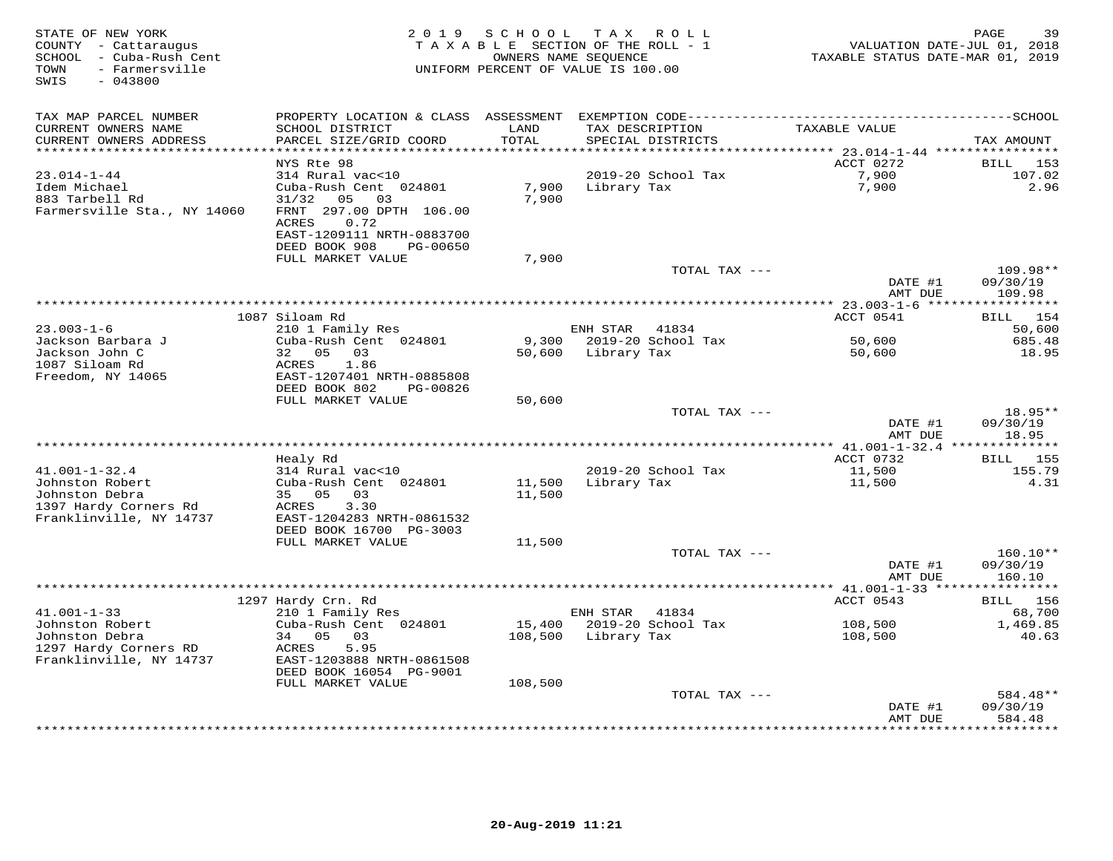| STATE OF NEW YORK<br>COUNTY - Cattaraugus<br>SCHOOL - Cuba-Rush Cent<br>- Farmersville<br>TOWN<br>$-043800$<br>SWIS | 2 0 1 9                                                       | SCHOOL<br>TAXABLE SECTION OF THE ROLL - 1<br>OWNERS NAME SEQUENCE<br>UNIFORM PERCENT OF VALUE IS 100.00 |             | TAX ROLL                             | VALUATION DATE-JUL 01, 2018<br>TAXABLE STATUS DATE-MAR 01, 2019 | 39<br>PAGE                     |
|---------------------------------------------------------------------------------------------------------------------|---------------------------------------------------------------|---------------------------------------------------------------------------------------------------------|-------------|--------------------------------------|-----------------------------------------------------------------|--------------------------------|
| TAX MAP PARCEL NUMBER                                                                                               | PROPERTY LOCATION & CLASS ASSESSMENT                          |                                                                                                         |             |                                      |                                                                 |                                |
| CURRENT OWNERS NAME<br>CURRENT OWNERS ADDRESS                                                                       | SCHOOL DISTRICT<br>PARCEL SIZE/GRID COORD                     | LAND<br>TOTAL                                                                                           |             | TAX DESCRIPTION<br>SPECIAL DISTRICTS | TAXABLE VALUE                                                   | TAX AMOUNT                     |
| ***********************                                                                                             | ****************                                              |                                                                                                         |             |                                      |                                                                 |                                |
| $23.014 - 1 - 44$                                                                                                   | NYS Rte 98<br>314 Rural vac<10                                |                                                                                                         |             | 2019-20 School Tax                   | ACCT 0272<br>7,900                                              | 153<br>BILL<br>107.02          |
| Idem Michael                                                                                                        | Cuba-Rush Cent 024801                                         | 7,900                                                                                                   | Library Tax |                                      | 7,900                                                           | 2.96                           |
| 883 Tarbell Rd<br>Farmersville Sta., NY 14060                                                                       | 31/32<br>05<br>03<br>FRNT 297.00 DPTH 106.00<br>0.72<br>ACRES | 7,900                                                                                                   |             |                                      |                                                                 |                                |
|                                                                                                                     | EAST-1209111 NRTH-0883700<br>DEED BOOK 908<br>PG-00650        |                                                                                                         |             |                                      |                                                                 |                                |
|                                                                                                                     | FULL MARKET VALUE                                             | 7,900                                                                                                   |             |                                      |                                                                 |                                |
|                                                                                                                     |                                                               |                                                                                                         |             | TOTAL TAX ---                        | DATE #1<br>AMT DUE                                              | 109.98**<br>09/30/19<br>109.98 |
|                                                                                                                     |                                                               |                                                                                                         |             |                                      |                                                                 |                                |
|                                                                                                                     | 1087 Siloam Rd                                                |                                                                                                         |             |                                      | ACCT 0541                                                       | 154<br>BILL                    |
| $23.003 - 1 - 6$                                                                                                    | 210 1 Family Res                                              |                                                                                                         | ENH STAR    | 41834                                |                                                                 | 50,600                         |
| Jackson Barbara J                                                                                                   | Cuba-Rush Cent 024801                                         | 9,300                                                                                                   |             | 2019-20 School Tax                   | 50,600                                                          | 685.48                         |
| Jackson John C<br>1087 Siloam Rd                                                                                    | 32<br>05<br>03<br>1.86<br>ACRES                               | 50,600                                                                                                  | Library Tax |                                      | 50,600                                                          | 18.95                          |
| Freedom, NY 14065                                                                                                   | EAST-1207401 NRTH-0885808                                     |                                                                                                         |             |                                      |                                                                 |                                |
|                                                                                                                     | DEED BOOK 802<br>PG-00826                                     |                                                                                                         |             |                                      |                                                                 |                                |
|                                                                                                                     | FULL MARKET VALUE                                             | 50,600                                                                                                  |             |                                      |                                                                 |                                |
|                                                                                                                     |                                                               |                                                                                                         |             | TOTAL TAX ---                        |                                                                 | 18.95**                        |
|                                                                                                                     |                                                               |                                                                                                         |             |                                      | DATE #1                                                         | 09/30/19                       |
|                                                                                                                     |                                                               | ***********************************                                                                     |             |                                      | AMT DUE                                                         | 18.95                          |
|                                                                                                                     |                                                               |                                                                                                         |             |                                      | ************ 41.001-1-32.4 ***************<br>ACCT 0732         |                                |
| $41.001 - 1 - 32.4$                                                                                                 | Healy Rd<br>314 Rural vac<10                                  |                                                                                                         |             | 2019-20 School Tax                   | 11,500                                                          | BILL 155<br>155.79             |
| Johnston Robert                                                                                                     | Cuba-Rush Cent 024801                                         | 11,500                                                                                                  | Library Tax |                                      | 11,500                                                          | 4.31                           |
| Johnston Debra                                                                                                      | 35 05<br>03                                                   | 11,500                                                                                                  |             |                                      |                                                                 |                                |
| 1397 Hardy Corners Rd                                                                                               | 3.30<br>ACRES                                                 |                                                                                                         |             |                                      |                                                                 |                                |
| Franklinville, NY 14737                                                                                             | EAST-1204283 NRTH-0861532                                     |                                                                                                         |             |                                      |                                                                 |                                |
|                                                                                                                     | DEED BOOK 16700 PG-3003                                       |                                                                                                         |             |                                      |                                                                 |                                |
|                                                                                                                     | FULL MARKET VALUE                                             | 11,500                                                                                                  |             |                                      |                                                                 |                                |
|                                                                                                                     |                                                               |                                                                                                         |             | TOTAL TAX ---                        | DATE #1                                                         | $160.10**$<br>09/30/19         |
|                                                                                                                     |                                                               |                                                                                                         |             |                                      | AMT DUE                                                         | 160.10                         |
|                                                                                                                     |                                                               |                                                                                                         |             |                                      |                                                                 | *********                      |
|                                                                                                                     | 1297 Hardy Crn. Rd                                            |                                                                                                         |             |                                      | ACCT 0543                                                       | BILL 156                       |
| $41.001 - 1 - 33$                                                                                                   | 210 1 Family Res                                              |                                                                                                         | ENH STAR    | 41834                                |                                                                 | 68,700                         |
| Johnston Robert                                                                                                     | Cuba-Rush Cent 024801                                         | 15,400                                                                                                  |             | 2019-20 School Tax                   | 108,500                                                         | 1,469.85                       |
| Johnston Debra                                                                                                      | 34 05<br>03                                                   | 108,500                                                                                                 | Library Tax |                                      | 108,500                                                         | 40.63                          |
| 1297 Hardy Corners RD<br>Franklinville, NY 14737                                                                    | 5.95<br>ACRES<br>EAST-1203888 NRTH-0861508                    |                                                                                                         |             |                                      |                                                                 |                                |
|                                                                                                                     | DEED BOOK 16054 PG-9001                                       |                                                                                                         |             |                                      |                                                                 |                                |
|                                                                                                                     | FULL MARKET VALUE                                             | 108,500                                                                                                 |             | TOTAL TAX ---                        |                                                                 | 584.48**                       |
|                                                                                                                     |                                                               |                                                                                                         |             |                                      | DATE #1                                                         | 09/30/19                       |
|                                                                                                                     |                                                               |                                                                                                         |             |                                      | AMT DUE                                                         | 584.48                         |
|                                                                                                                     |                                                               |                                                                                                         |             |                                      | **************                                                  | * * * * * * * * *              |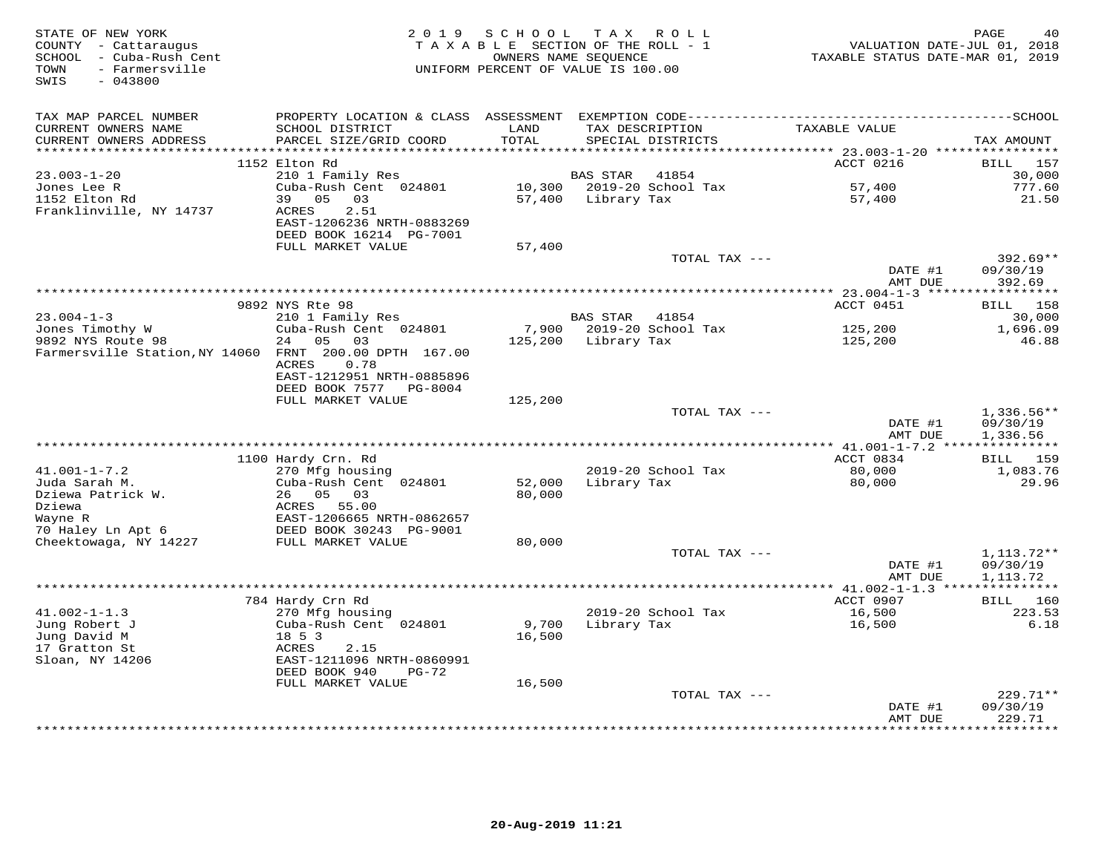| STATE OF NEW YORK<br>COUNTY - Cattaraugus<br>SCHOOL - Cuba-Rush Cent<br>- Farmersville<br>TOWN<br>SWIS<br>$-043800$ | 2 0 1 9                                                                                                                                   | SCHOOL<br>TAXABLE SECTION OF THE ROLL - 1<br>OWNERS NAME SEQUENCE<br>UNIFORM PERCENT OF VALUE IS 100.00 | T A X          | R O L L                              | TAXABLE STATUS DATE-MAR 01, 2019                          | PAGE<br>40<br>VALUATION DATE-JUL 01, 2018 |
|---------------------------------------------------------------------------------------------------------------------|-------------------------------------------------------------------------------------------------------------------------------------------|---------------------------------------------------------------------------------------------------------|----------------|--------------------------------------|-----------------------------------------------------------|-------------------------------------------|
| TAX MAP PARCEL NUMBER<br>CURRENT OWNERS NAME<br>CURRENT OWNERS ADDRESS                                              | PROPERTY LOCATION & CLASS ASSESSMENT EXEMPTION CODE-----------------------------------SCHOOL<br>SCHOOL DISTRICT<br>PARCEL SIZE/GRID COORD | LAND<br>TOTAL                                                                                           |                | TAX DESCRIPTION<br>SPECIAL DISTRICTS | TAXABLE VALUE                                             | TAX AMOUNT                                |
| **********************                                                                                              |                                                                                                                                           | * * * * * * * *                                                                                         |                |                                      | **************************** 23.003-1-20 **************** |                                           |
|                                                                                                                     | 1152 Elton Rd                                                                                                                             |                                                                                                         |                |                                      | ACCT 0216                                                 | BILL<br>157                               |
| $23.003 - 1 - 20$<br>Jones Lee R                                                                                    | 210 1 Family Res<br>Cuba-Rush Cent 024801                                                                                                 | 10,300                                                                                                  | BAS STAR       | 41854<br>2019-20 School Tax          | 57,400                                                    | 30,000<br>777.60                          |
| 1152 Elton Rd                                                                                                       | 05<br>03<br>39                                                                                                                            | 57,400                                                                                                  | Library Tax    |                                      | 57,400                                                    | 21.50                                     |
| Franklinville, NY 14737                                                                                             | 2.51<br><b>ACRES</b><br>EAST-1206236 NRTH-0883269<br>DEED BOOK 16214 PG-7001                                                              |                                                                                                         |                |                                      |                                                           |                                           |
|                                                                                                                     | FULL MARKET VALUE                                                                                                                         | 57,400                                                                                                  |                | TOTAL TAX ---                        |                                                           | $392.69**$                                |
|                                                                                                                     |                                                                                                                                           |                                                                                                         |                |                                      | DATE #1<br>AMT DUE                                        | 09/30/19<br>392.69                        |
|                                                                                                                     |                                                                                                                                           |                                                                                                         |                |                                      | ************ 23.004-1-3 ******************                |                                           |
|                                                                                                                     | 9892 NYS Rte 98                                                                                                                           |                                                                                                         |                |                                      | ACCT 0451                                                 | <b>BILL</b> 158                           |
| $23.004 - 1 - 3$                                                                                                    | 210 1 Family Res                                                                                                                          |                                                                                                         | BAS STAR 41854 |                                      |                                                           | 30,000                                    |
| Jones Timothy W                                                                                                     | Cuba-Rush Cent 024801                                                                                                                     | 7,900                                                                                                   |                | 2019-20 School Tax                   | 125,200                                                   | 1,696.09                                  |
| 9892 NYS Route 98<br>Farmersville Station, NY 14060 FRNT 200.00 DPTH 167.00                                         | 05<br>03<br>24<br>ACRES<br>0.78<br>EAST-1212951 NRTH-0885896<br>DEED BOOK 7577 PG-8004                                                    | 125,200                                                                                                 | Library Tax    |                                      | 125,200                                                   | 46.88                                     |
|                                                                                                                     | FULL MARKET VALUE                                                                                                                         | 125,200                                                                                                 |                |                                      |                                                           |                                           |
|                                                                                                                     |                                                                                                                                           |                                                                                                         |                | TOTAL TAX ---                        | DATE #1<br>AMT DUE                                        | 1,336.56**<br>09/30/19<br>1,336.56        |
|                                                                                                                     |                                                                                                                                           |                                                                                                         |                |                                      | ******* 41.001-1-7.2 ****                                 | ***********                               |
|                                                                                                                     | 1100 Hardy Crn. Rd                                                                                                                        |                                                                                                         |                |                                      | ACCT 0834                                                 | BILL 159                                  |
| $41.001 - 1 - 7.2$                                                                                                  | 270 Mfg housing                                                                                                                           |                                                                                                         |                | 2019-20 School Tax                   | 80,000                                                    | 1,083.76                                  |
| Juda Sarah M.<br>Dziewa Patrick W.<br>Dziewa<br>Wayne R<br>70 Haley Ln Apt 6                                        | Cuba-Rush Cent 024801<br>26 05<br>03<br>ACRES 55.00<br>EAST-1206665 NRTH-0862657<br>DEED BOOK 30243 PG-9001                               | 52,000<br>80,000                                                                                        | Library Tax    |                                      | 80,000                                                    | 29.96                                     |
| Cheektowaga, NY 14227                                                                                               | FULL MARKET VALUE                                                                                                                         | 80,000                                                                                                  |                |                                      |                                                           |                                           |
|                                                                                                                     |                                                                                                                                           |                                                                                                         |                | TOTAL TAX ---                        | DATE #1<br>AMT DUE                                        | $1,113.72**$<br>09/30/19<br>1,113.72      |
|                                                                                                                     |                                                                                                                                           |                                                                                                         |                |                                      | ****** $41.002 - 1 - 1.3$ **                              | ***********                               |
| $41.002 - 1 - 1.3$                                                                                                  | 784 Hardy Crn Rd                                                                                                                          |                                                                                                         |                | 2019-20 School Tax                   | ACCT 0907                                                 | BILL 160<br>223.53                        |
| Jung Robert J                                                                                                       | 270 Mfg housing<br>Cuba-Rush Cent 024801                                                                                                  | 9,700                                                                                                   | Library Tax    |                                      | 16,500<br>16,500                                          | 6.18                                      |
| Jung David M                                                                                                        | 18 5 3                                                                                                                                    | 16,500                                                                                                  |                |                                      |                                                           |                                           |
| 17 Gratton St<br>Sloan, NY 14206                                                                                    | ACRES<br>2.15<br>EAST-1211096 NRTH-0860991                                                                                                |                                                                                                         |                |                                      |                                                           |                                           |
|                                                                                                                     | DEED BOOK 940<br>$PG-72$                                                                                                                  |                                                                                                         |                |                                      |                                                           |                                           |
|                                                                                                                     | FULL MARKET VALUE                                                                                                                         | 16,500                                                                                                  |                |                                      |                                                           |                                           |
|                                                                                                                     |                                                                                                                                           |                                                                                                         |                | TOTAL TAX ---                        | DATE #1                                                   | $229.71**$<br>09/30/19                    |
|                                                                                                                     |                                                                                                                                           |                                                                                                         |                |                                      | AMT DUE                                                   | 229.71<br>* * * * * * * *                 |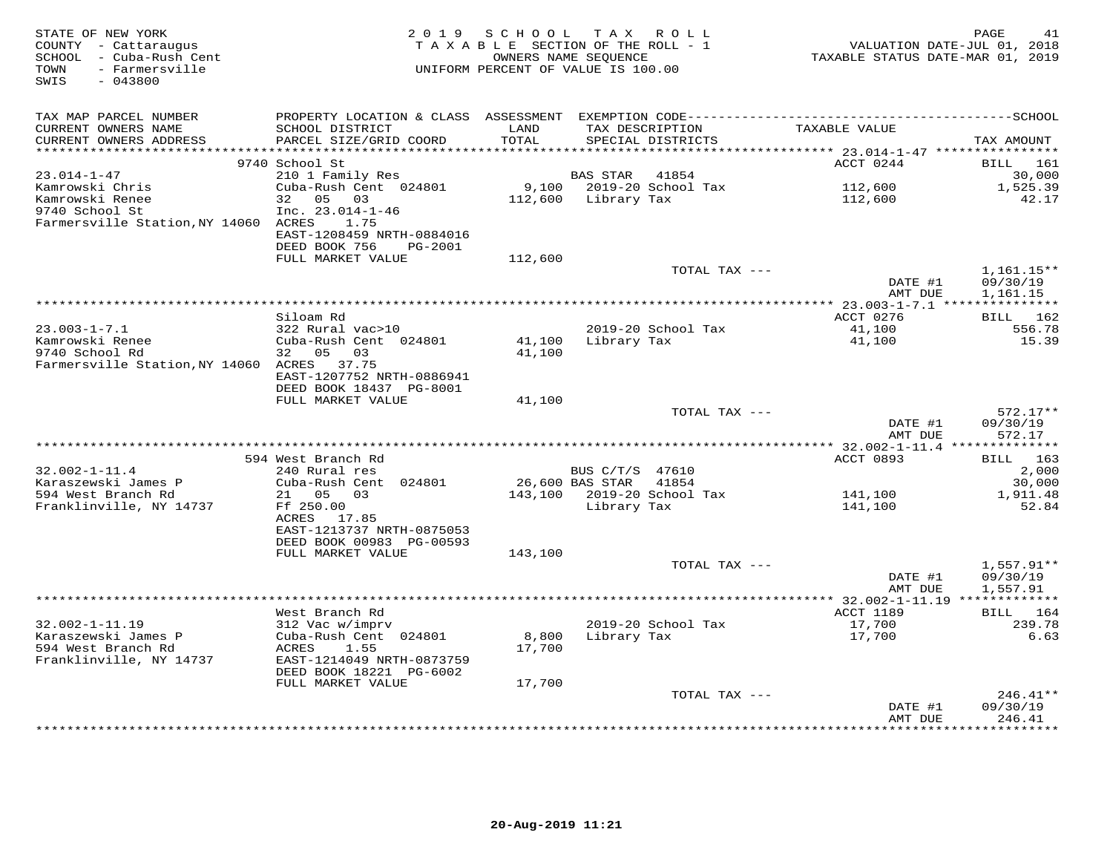| STATE OF NEW YORK<br>COUNTY - Cattaraugus<br>SCHOOL - Cuba-Rush Cent<br>- Farmersville<br>TOWN<br>SWIS<br>$-043800$ | 2 0 1 9                                              | SCHOOL TAX ROLL<br>TAXABLE SECTION OF THE ROLL - 1<br>UNIFORM PERCENT OF VALUE IS 100.00 | OWNERS NAME SEQUENCE |                            | VALUATION DATE-JUL 01, 2018<br>TAXABLE STATUS DATE-MAR 01, 2019 | PAGE<br>41               |
|---------------------------------------------------------------------------------------------------------------------|------------------------------------------------------|------------------------------------------------------------------------------------------|----------------------|----------------------------|-----------------------------------------------------------------|--------------------------|
| TAX MAP PARCEL NUMBER                                                                                               |                                                      |                                                                                          |                      |                            |                                                                 |                          |
| CURRENT OWNERS NAME                                                                                                 | SCHOOL DISTRICT                                      | LAND                                                                                     | TAX DESCRIPTION      |                            | TAXABLE VALUE                                                   |                          |
| CURRENT OWNERS ADDRESS                                                                                              | PARCEL SIZE/GRID COORD                               | TOTAL                                                                                    |                      | SPECIAL DISTRICTS          |                                                                 | TAX AMOUNT               |
|                                                                                                                     |                                                      |                                                                                          |                      |                            | ACCT 0244                                                       |                          |
| $23.014 - 1 - 47$                                                                                                   | 9740 School St<br>210 1 Family Res                   |                                                                                          | BAS STAR 41854       |                            |                                                                 | BILL 161<br>30,000       |
| Kamrowski Chris                                                                                                     | Cuba-Rush Cent 024801                                |                                                                                          |                      | 9,100 2019-20 School Tax   | 112,600                                                         | 1,525.39                 |
| Kamrowski Renee                                                                                                     | 32 05 03                                             |                                                                                          | 112,600 Library Tax  |                            | 112,600                                                         | 42.17                    |
| 9740 School St                                                                                                      | $Inc. 23.014-1-46$                                   |                                                                                          |                      |                            |                                                                 |                          |
| Farmersville Station, NY 14060 ACRES                                                                                | 1.75                                                 |                                                                                          |                      |                            |                                                                 |                          |
|                                                                                                                     | EAST-1208459 NRTH-0884016                            |                                                                                          |                      |                            |                                                                 |                          |
|                                                                                                                     | DEED BOOK 756<br>PG-2001                             |                                                                                          |                      |                            |                                                                 |                          |
|                                                                                                                     | FULL MARKET VALUE                                    | 112,600                                                                                  |                      |                            |                                                                 |                          |
|                                                                                                                     |                                                      |                                                                                          |                      | TOTAL TAX ---              | DATE #1                                                         | $1,161.15**$<br>09/30/19 |
|                                                                                                                     |                                                      |                                                                                          |                      |                            | AMT DUE                                                         | 1,161.15                 |
|                                                                                                                     |                                                      |                                                                                          |                      |                            |                                                                 |                          |
|                                                                                                                     | Siloam Rd                                            |                                                                                          |                      |                            | ACCT 0276                                                       | BILL 162                 |
| $23.003 - 1 - 7.1$                                                                                                  | 322 Rural vac>10                                     |                                                                                          |                      | 2019-20 School Tax         | 41,100                                                          | 556.78                   |
| Kamrowski Renee                                                                                                     | Cuba-Rush Cent 024801                                | 41,100                                                                                   | Library Tax          |                            | 41,100                                                          | 15.39                    |
| 9740 School Rd                                                                                                      | 32 05 03                                             | 41,100                                                                                   |                      |                            |                                                                 |                          |
| Farmersville Station, NY 14060 ACRES                                                                                | 37.75                                                |                                                                                          |                      |                            |                                                                 |                          |
|                                                                                                                     | EAST-1207752 NRTH-0886941<br>DEED BOOK 18437 PG-8001 |                                                                                          |                      |                            |                                                                 |                          |
|                                                                                                                     | FULL MARKET VALUE                                    | 41,100                                                                                   |                      |                            |                                                                 |                          |
|                                                                                                                     |                                                      |                                                                                          |                      | TOTAL TAX ---              |                                                                 | $572.17**$               |
|                                                                                                                     |                                                      |                                                                                          |                      |                            | DATE #1                                                         | 09/30/19                 |
|                                                                                                                     |                                                      |                                                                                          |                      |                            | AMT DUE                                                         | 572.17                   |
|                                                                                                                     |                                                      |                                                                                          |                      |                            |                                                                 |                          |
|                                                                                                                     | 594 West Branch Rd                                   |                                                                                          |                      |                            | ACCT 0893                                                       | BILL 163                 |
| $32.002 - 1 - 11.4$                                                                                                 | 240 Rural res                                        |                                                                                          | BUS C/T/S 47610      | 41854                      |                                                                 | 2,000                    |
| Karaszewski James P<br>594 West Branch Rd                                                                           | Cuba-Rush Cent 024801<br>21  05  03                  |                                                                                          | 26,600 BAS STAR      | 143,100 2019-20 School Tax | 141,100                                                         | 30,000<br>1,911.48       |
| Franklinville, NY 14737                                                                                             | Ff 250.00                                            |                                                                                          | Library Tax          |                            | 141,100                                                         | 52.84                    |
|                                                                                                                     | ACRES 17.85                                          |                                                                                          |                      |                            |                                                                 |                          |
|                                                                                                                     | EAST-1213737 NRTH-0875053                            |                                                                                          |                      |                            |                                                                 |                          |
|                                                                                                                     | DEED BOOK 00983 PG-00593                             |                                                                                          |                      |                            |                                                                 |                          |
|                                                                                                                     | FULL MARKET VALUE                                    | 143,100                                                                                  |                      |                            |                                                                 |                          |
|                                                                                                                     |                                                      |                                                                                          |                      | TOTAL TAX ---              |                                                                 | $1,557.91**$             |
|                                                                                                                     |                                                      |                                                                                          |                      |                            | DATE #1<br>AMT DUE                                              | 09/30/19<br>1,557.91     |
|                                                                                                                     |                                                      |                                                                                          |                      |                            |                                                                 |                          |
|                                                                                                                     | West Branch Rd                                       |                                                                                          |                      |                            | ACCT 1189                                                       | BILL 164                 |
| $32.002 - 1 - 11.19$                                                                                                | 312 Vac w/imprv                                      |                                                                                          |                      | 2019-20 School Tax         | 17,700                                                          | 239.78                   |
| Karaszewski James P                                                                                                 | Cuba-Rush Cent 024801                                | 8,800                                                                                    | Library Tax          |                            | 17,700                                                          | 6.63                     |
| 594 West Branch Rd                                                                                                  | ACRES<br>1.55                                        | 17,700                                                                                   |                      |                            |                                                                 |                          |
| Franklinville, NY 14737                                                                                             | EAST-1214049 NRTH-0873759                            |                                                                                          |                      |                            |                                                                 |                          |
|                                                                                                                     | DEED BOOK 18221 PG-6002                              |                                                                                          |                      |                            |                                                                 |                          |
|                                                                                                                     | FULL MARKET VALUE                                    | 17,700                                                                                   |                      | TOTAL TAX ---              |                                                                 | $246.41**$               |
|                                                                                                                     |                                                      |                                                                                          |                      |                            | DATE #1                                                         | 09/30/19                 |
|                                                                                                                     |                                                      |                                                                                          |                      |                            | AMT DUE                                                         | 246.41                   |
|                                                                                                                     |                                                      |                                                                                          |                      |                            |                                                                 |                          |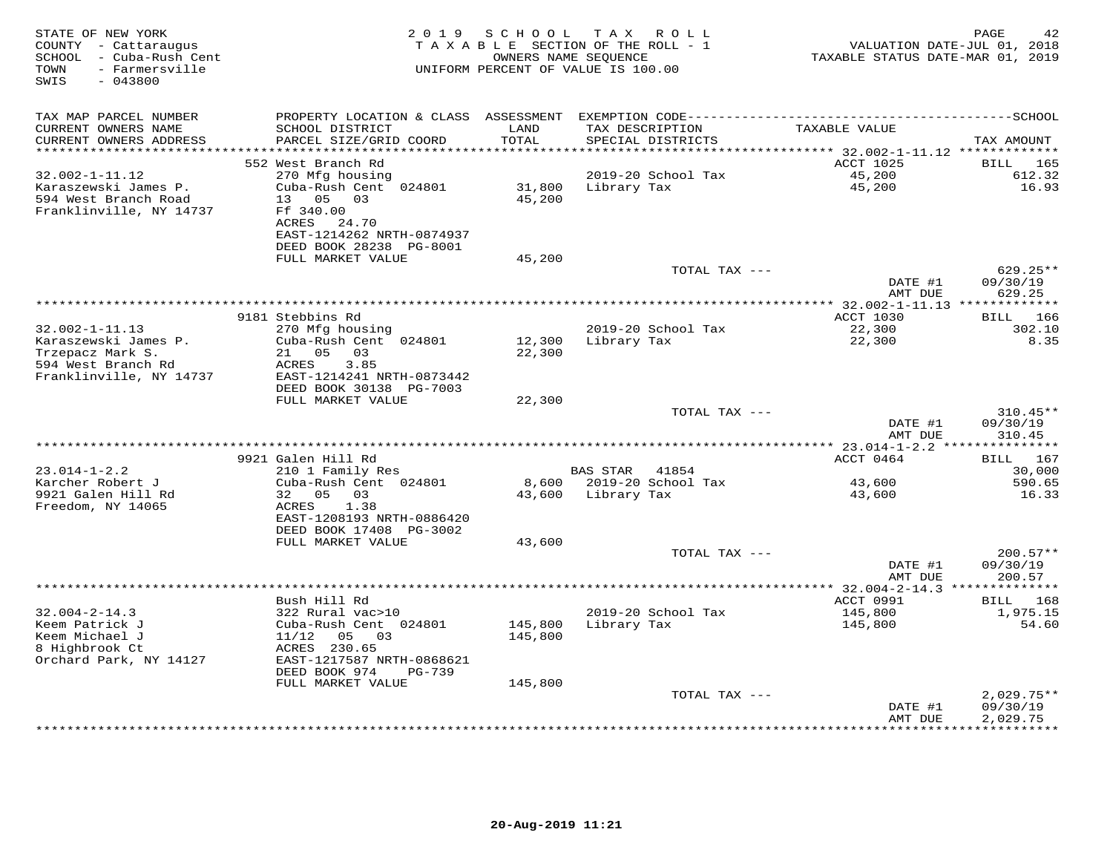| STATE OF NEW YORK<br>COUNTY - Cattaraugus<br>SCHOOL - Cuba-Rush Cent<br>- Farmersville<br>TOWN<br>SWIS<br>$-043800$ | 2 0 1 9                                    | SCHOOL        | T A X<br>R O L L<br>TAXABLE SECTION OF THE ROLL - 1<br>OWNERS NAME SEQUENCE<br>UNIFORM PERCENT OF VALUE IS 100.00 | VALUATION DATE-JUL 01, 2018<br>TAXABLE STATUS DATE-MAR 01, 2019 | PAGE<br>42         |
|---------------------------------------------------------------------------------------------------------------------|--------------------------------------------|---------------|-------------------------------------------------------------------------------------------------------------------|-----------------------------------------------------------------|--------------------|
| TAX MAP PARCEL NUMBER                                                                                               | PROPERTY LOCATION & CLASS ASSESSMENT       |               |                                                                                                                   |                                                                 |                    |
| CURRENT OWNERS NAME<br>CURRENT OWNERS ADDRESS                                                                       | SCHOOL DISTRICT<br>PARCEL SIZE/GRID COORD  | LAND<br>TOTAL | TAX DESCRIPTION<br>SPECIAL DISTRICTS                                                                              | TAXABLE VALUE                                                   | TAX AMOUNT         |
| *******************                                                                                                 |                                            | * * * * * *   |                                                                                                                   | ******** 32.002-1-11.12 *************                           |                    |
|                                                                                                                     | 552 West Branch Rd                         |               |                                                                                                                   | ACCT 1025                                                       | BILL<br>165        |
| $32.002 - 1 - 11.12$<br>Karaszewski James P.                                                                        | 270 Mfg housing<br>Cuba-Rush Cent 024801   | 31,800        | 2019-20 School Tax<br>Library Tax                                                                                 | 45,200<br>45,200                                                | 612.32<br>16.93    |
| 594 West Branch Road                                                                                                | 13 05<br>03                                | 45,200        |                                                                                                                   |                                                                 |                    |
| Franklinville, NY 14737                                                                                             | Ff 340.00                                  |               |                                                                                                                   |                                                                 |                    |
|                                                                                                                     | ACRES<br>24.70                             |               |                                                                                                                   |                                                                 |                    |
|                                                                                                                     | EAST-1214262 NRTH-0874937                  |               |                                                                                                                   |                                                                 |                    |
|                                                                                                                     | DEED BOOK 28238 PG-8001                    |               |                                                                                                                   |                                                                 |                    |
|                                                                                                                     | FULL MARKET VALUE                          | 45,200        |                                                                                                                   |                                                                 |                    |
|                                                                                                                     |                                            |               | TOTAL TAX ---                                                                                                     |                                                                 | 629.25**           |
|                                                                                                                     |                                            |               |                                                                                                                   | DATE #1<br>AMT DUE                                              | 09/30/19<br>629.25 |
|                                                                                                                     |                                            |               |                                                                                                                   |                                                                 |                    |
|                                                                                                                     | 9181 Stebbins Rd                           |               |                                                                                                                   | ACCT 1030                                                       | 166<br>BILL        |
| $32.002 - 1 - 11.13$                                                                                                | 270 Mfg housing                            |               | 2019-20 School Tax                                                                                                | 22,300                                                          | 302.10             |
| Karaszewski James P.                                                                                                | Cuba-Rush Cent 024801                      | 12,300        | Library Tax                                                                                                       | 22,300                                                          | 8.35               |
| Trzepacz Mark S.                                                                                                    | 21<br>05<br>03                             | 22,300        |                                                                                                                   |                                                                 |                    |
| 594 West Branch Rd                                                                                                  | ACRES<br>3.85                              |               |                                                                                                                   |                                                                 |                    |
| Franklinville, NY 14737                                                                                             | EAST-1214241 NRTH-0873442                  |               |                                                                                                                   |                                                                 |                    |
|                                                                                                                     | DEED BOOK 30138 PG-7003                    |               |                                                                                                                   |                                                                 |                    |
|                                                                                                                     | FULL MARKET VALUE                          | 22,300        | TOTAL TAX ---                                                                                                     |                                                                 | 310.45**           |
|                                                                                                                     |                                            |               |                                                                                                                   | DATE #1                                                         | 09/30/19           |
|                                                                                                                     |                                            |               |                                                                                                                   | AMT DUE                                                         | 310.45             |
|                                                                                                                     |                                            |               |                                                                                                                   |                                                                 |                    |
|                                                                                                                     | 9921 Galen Hill Rd                         |               |                                                                                                                   | ACCT 0464                                                       | BILL 167           |
| $23.014 - 1 - 2.2$                                                                                                  | 210 1 Family Res                           |               | <b>BAS STAR</b><br>41854                                                                                          |                                                                 | 30,000             |
| Karcher Robert J                                                                                                    | Cuba-Rush Cent 024801                      | 8,600         | 2019-20 School Tax                                                                                                | 43,600                                                          | 590.65             |
| 9921 Galen Hill Rd                                                                                                  | 05<br>32<br>03                             | 43,600        | Library Tax                                                                                                       | 43,600                                                          | 16.33              |
| Freedom, NY 14065                                                                                                   | 1.38<br>ACRES<br>EAST-1208193 NRTH-0886420 |               |                                                                                                                   |                                                                 |                    |
|                                                                                                                     | DEED BOOK 17408 PG-3002                    |               |                                                                                                                   |                                                                 |                    |
|                                                                                                                     | FULL MARKET VALUE                          | 43,600        |                                                                                                                   |                                                                 |                    |
|                                                                                                                     |                                            |               | TOTAL TAX ---                                                                                                     |                                                                 | $200.57**$         |
|                                                                                                                     |                                            |               |                                                                                                                   | DATE #1                                                         | 09/30/19           |
|                                                                                                                     |                                            |               |                                                                                                                   | AMT DUE                                                         | 200.57             |
|                                                                                                                     |                                            |               |                                                                                                                   |                                                                 |                    |
|                                                                                                                     | Bush Hill Rd                               |               |                                                                                                                   | ACCT 0991                                                       | BILL 168           |
| $32.004 - 2 - 14.3$                                                                                                 | 322 Rural vac>10                           |               | 2019-20 School Tax                                                                                                | 145,800                                                         | 1,975.15           |
| Keem Patrick J                                                                                                      | Cuba-Rush Cent 024801                      | 145,800       | Library Tax                                                                                                       | 145,800                                                         | 54.60              |
| Keem Michael J                                                                                                      | 11/12<br>05<br>03<br>ACRES 230.65          | 145,800       |                                                                                                                   |                                                                 |                    |
| 8 Highbrook Ct<br>Orchard Park, NY 14127                                                                            | EAST-1217587 NRTH-0868621                  |               |                                                                                                                   |                                                                 |                    |
|                                                                                                                     | DEED BOOK 974<br>$PG-739$                  |               |                                                                                                                   |                                                                 |                    |
|                                                                                                                     | FULL MARKET VALUE                          | 145,800       |                                                                                                                   |                                                                 |                    |
|                                                                                                                     |                                            |               | TOTAL TAX ---                                                                                                     |                                                                 | $2,029.75**$       |
|                                                                                                                     |                                            |               |                                                                                                                   | DATE #1                                                         | 09/30/19           |
|                                                                                                                     |                                            |               |                                                                                                                   | AMT DUE                                                         | 2,029.75           |
|                                                                                                                     |                                            |               |                                                                                                                   |                                                                 |                    |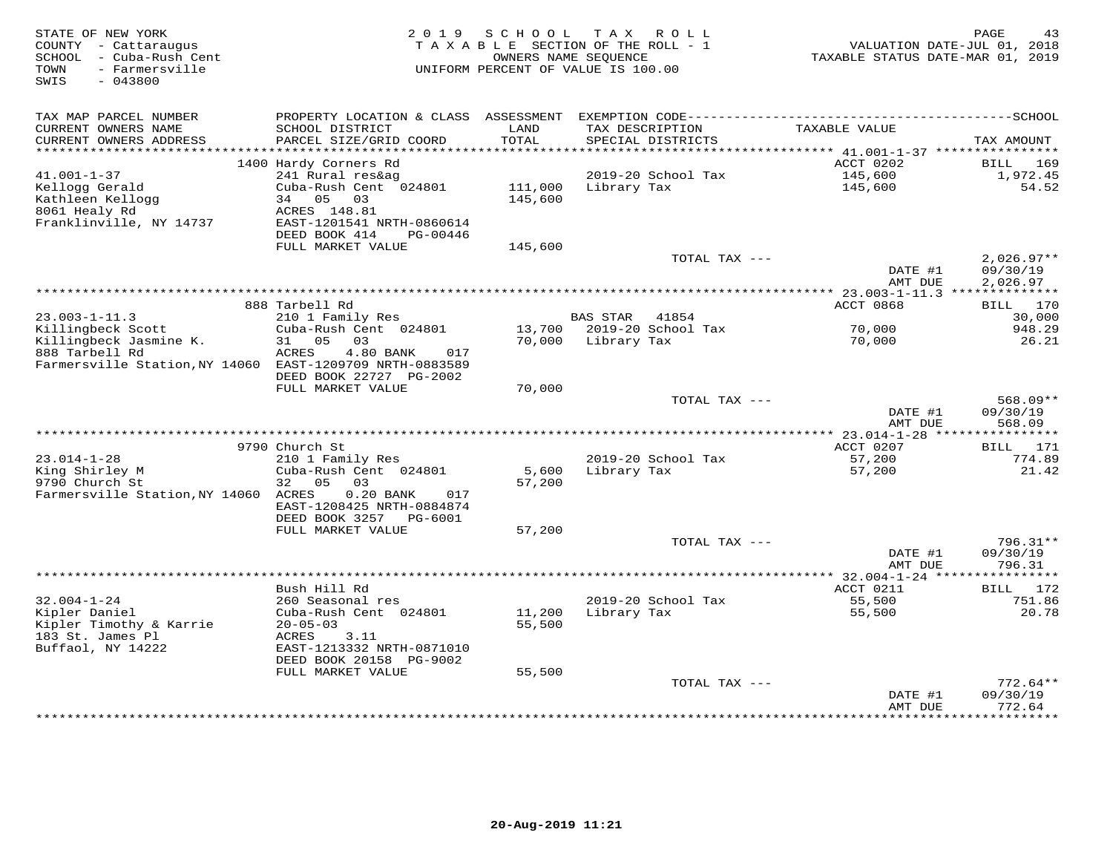| STATE OF NEW YORK<br>COUNTY - Cattaraugus<br>SCHOOL<br>- Cuba-Rush Cent<br>- Farmersville<br>TOWN<br>SWIS<br>$-043800$ | 2 0 1 9                                                | SCHOOL<br>TAXABLE SECTION OF THE ROLL - 1<br>OWNERS NAME SEQUENCE<br>UNIFORM PERCENT OF VALUE IS 100.00 | T A X                   | R O L L            | VALUATION DATE-JUL 01, 2018<br>TAXABLE STATUS DATE-MAR 01, 2019 | PAGE<br>43               |
|------------------------------------------------------------------------------------------------------------------------|--------------------------------------------------------|---------------------------------------------------------------------------------------------------------|-------------------------|--------------------|-----------------------------------------------------------------|--------------------------|
| TAX MAP PARCEL NUMBER                                                                                                  | PROPERTY LOCATION & CLASS ASSESSMENT                   |                                                                                                         |                         |                    |                                                                 |                          |
| CURRENT OWNERS NAME<br>CURRENT OWNERS ADDRESS                                                                          | SCHOOL DISTRICT<br>PARCEL SIZE/GRID COORD              | LAND<br>TOTAL                                                                                           | TAX DESCRIPTION         | SPECIAL DISTRICTS  | TAXABLE VALUE                                                   | TAX AMOUNT               |
| **********************                                                                                                 | 1400 Hardy Corners Rd                                  |                                                                                                         |                         |                    | ACCT 0202                                                       | 169<br>BILL              |
| $41.001 - 1 - 37$                                                                                                      | 241 Rural res&ag                                       |                                                                                                         |                         | 2019-20 School Tax | 145,600                                                         | 1,972.45                 |
| Kellogg Gerald                                                                                                         | Cuba-Rush Cent 024801                                  | 111,000                                                                                                 | Library Tax             |                    | 145,600                                                         | 54.52                    |
| Kathleen Kellogg                                                                                                       | 34<br>05<br>03                                         | 145,600                                                                                                 |                         |                    |                                                                 |                          |
| 8061 Healy Rd                                                                                                          | ACRES 148.81                                           |                                                                                                         |                         |                    |                                                                 |                          |
| Franklinville, NY 14737                                                                                                | EAST-1201541 NRTH-0860614<br>DEED BOOK 414<br>PG-00446 |                                                                                                         |                         |                    |                                                                 |                          |
|                                                                                                                        | FULL MARKET VALUE                                      | 145,600                                                                                                 |                         |                    |                                                                 |                          |
|                                                                                                                        |                                                        |                                                                                                         |                         | TOTAL TAX ---      | DATE #1                                                         | $2,026.97**$<br>09/30/19 |
|                                                                                                                        |                                                        |                                                                                                         | *********************** |                    | AMT DUE                                                         | 2,026.97<br>***********  |
|                                                                                                                        | 888 Tarbell Rd                                         |                                                                                                         |                         |                    | $* 23.003 - 1 - 11.3$ ***<br>ACCT 0868                          | 170<br>BILL              |
| $23.003 - 1 - 11.3$                                                                                                    | 210 1 Family Res                                       |                                                                                                         | <b>BAS STAR</b>         | 41854              |                                                                 | 30,000                   |
| Killingbeck Scott                                                                                                      | Cuba-Rush Cent 024801                                  | 13,700                                                                                                  |                         | 2019-20 School Tax | 70,000                                                          | 948.29                   |
| Killingbeck Jasmine K.                                                                                                 | 05<br>03<br>31                                         | 70,000                                                                                                  | Library Tax             |                    | 70,000                                                          | 26.21                    |
| 888 Tarbell Rd<br>Farmersville Station, NY 14060 EAST-1209709 NRTH-0883589                                             | 4.80 BANK<br>ACRES<br>017                              |                                                                                                         |                         |                    |                                                                 |                          |
|                                                                                                                        | DEED BOOK 22727 PG-2002                                |                                                                                                         |                         |                    |                                                                 |                          |
|                                                                                                                        | FULL MARKET VALUE                                      | 70,000                                                                                                  |                         | TOTAL TAX ---      |                                                                 | $568.09**$               |
|                                                                                                                        |                                                        |                                                                                                         |                         |                    | DATE #1                                                         | 09/30/19                 |
|                                                                                                                        |                                                        |                                                                                                         |                         |                    | AMT DUE                                                         | 568.09                   |
|                                                                                                                        |                                                        |                                                                                                         |                         |                    | *** 23.014-1-28 *****************                               |                          |
|                                                                                                                        | 9790 Church St                                         |                                                                                                         |                         |                    | ACCT 0207                                                       | BILL<br>171              |
| $23.014 - 1 - 28$<br>King Shirley M                                                                                    | 210 1 Family Res<br>Cuba-Rush Cent 024801              | 5,600                                                                                                   | Library Tax             | 2019-20 School Tax | 57,200<br>57,200                                                | 774.89<br>21.42          |
| 9790 Church St                                                                                                         | 05<br>32<br>03                                         | 57,200                                                                                                  |                         |                    |                                                                 |                          |
| Farmersville Station, NY 14060                                                                                         | ACRES<br>$0.20$ BANK<br>017                            |                                                                                                         |                         |                    |                                                                 |                          |
|                                                                                                                        | EAST-1208425 NRTH-0884874                              |                                                                                                         |                         |                    |                                                                 |                          |
|                                                                                                                        | DEED BOOK 3257<br>PG-6001                              |                                                                                                         |                         |                    |                                                                 |                          |
|                                                                                                                        | FULL MARKET VALUE                                      | 57,200                                                                                                  |                         |                    |                                                                 |                          |
|                                                                                                                        |                                                        |                                                                                                         |                         | TOTAL TAX ---      | DATE #1                                                         | $796.31**$               |
|                                                                                                                        |                                                        |                                                                                                         |                         |                    | AMT DUE                                                         | 09/30/19<br>796.31       |
|                                                                                                                        | ******************                                     |                                                                                                         |                         |                    | ********** 32.004-1-24 ****                                     | * * * * * * * *          |
|                                                                                                                        | Bush Hill Rd                                           |                                                                                                         |                         |                    | ACCT 0211                                                       | 172<br>BILL              |
| $32.004 - 1 - 24$                                                                                                      | 260 Seasonal res                                       |                                                                                                         |                         | 2019-20 School Tax | 55,500                                                          | 751.86                   |
| Kipler Daniel                                                                                                          | Cuba-Rush Cent 024801                                  | 11,200                                                                                                  | Library Tax             |                    | 55,500                                                          | 20.78                    |
| Kipler Timothy & Karrie<br>183 St. James Pl                                                                            | $20 - 05 - 03$                                         | 55,500                                                                                                  |                         |                    |                                                                 |                          |
| Buffaol, NY 14222                                                                                                      | ACRES<br>3.11<br>EAST-1213332 NRTH-0871010             |                                                                                                         |                         |                    |                                                                 |                          |
|                                                                                                                        | DEED BOOK 20158 PG-9002                                |                                                                                                         |                         |                    |                                                                 |                          |
|                                                                                                                        | FULL MARKET VALUE                                      | 55,500                                                                                                  |                         |                    |                                                                 |                          |
|                                                                                                                        |                                                        |                                                                                                         |                         | TOTAL TAX ---      |                                                                 | $772.64**$               |
|                                                                                                                        |                                                        |                                                                                                         |                         |                    | DATE #1<br>AMT DUE                                              | 09/30/19<br>772.64       |
|                                                                                                                        |                                                        |                                                                                                         |                         |                    |                                                                 | * * * * * * * * *        |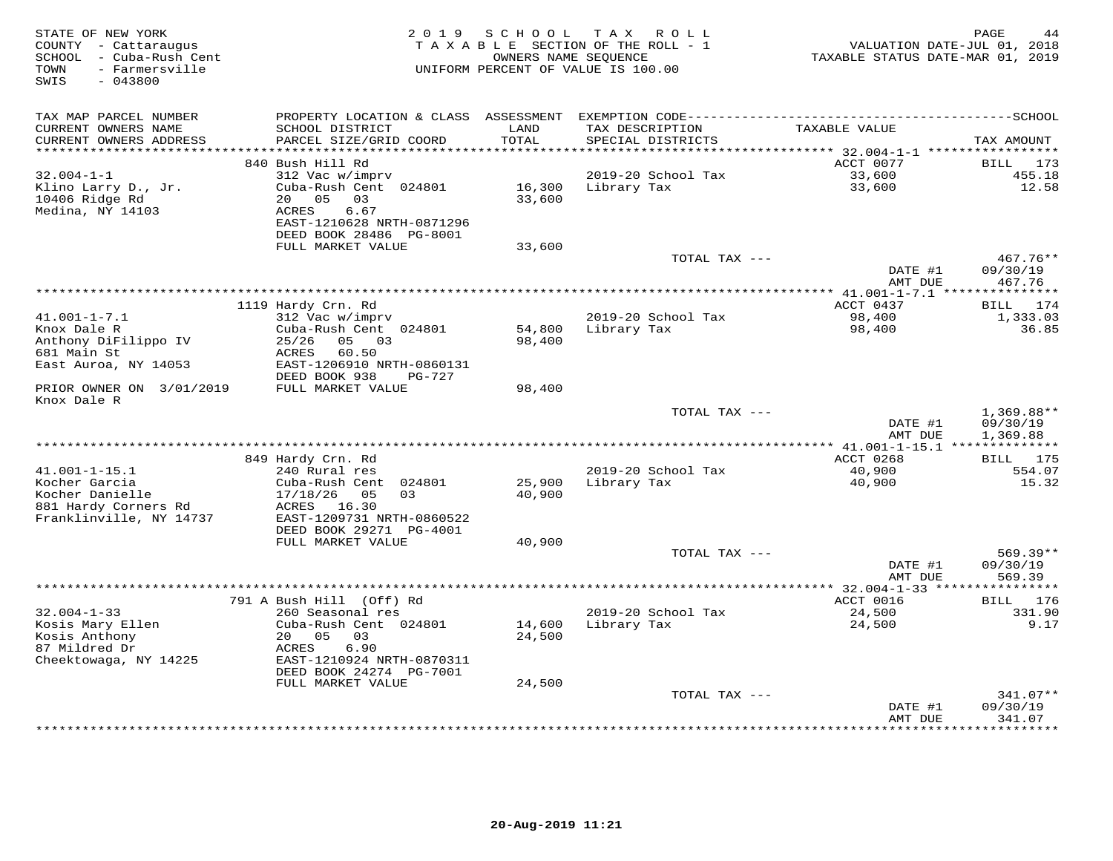| STATE OF NEW YORK<br>COUNTY - Cattaraugus<br>- Cuba-Rush Cent<br>SCHOOL<br>- Farmersville<br>TOWN<br>$-043800$<br>SWIS | 2 0 1 9                                              | SCHOOL        | T A X<br>ROLL<br>TAXABLE SECTION OF THE ROLL - 1<br>OWNERS NAME SEQUENCE<br>UNIFORM PERCENT OF VALUE IS 100.00 | VALUATION DATE-JUL 01, 2018<br>TAXABLE STATUS DATE-MAR 01, 2019 | PAGE<br>44            |
|------------------------------------------------------------------------------------------------------------------------|------------------------------------------------------|---------------|----------------------------------------------------------------------------------------------------------------|-----------------------------------------------------------------|-----------------------|
| TAX MAP PARCEL NUMBER                                                                                                  | PROPERTY LOCATION & CLASS                            | ASSESSMENT    |                                                                                                                |                                                                 |                       |
| CURRENT OWNERS NAME<br>CURRENT OWNERS ADDRESS                                                                          | SCHOOL DISTRICT<br>PARCEL SIZE/GRID COORD            | LAND<br>TOTAL | TAX DESCRIPTION<br>SPECIAL DISTRICTS                                                                           | TAXABLE VALUE                                                   | TAX AMOUNT            |
| *******************                                                                                                    |                                                      |               |                                                                                                                |                                                                 |                       |
| $32.004 - 1 - 1$                                                                                                       | 840 Bush Hill Rd<br>312 Vac w/imprv                  |               | 2019-20 School Tax                                                                                             | ACCT 0077<br>33,600                                             | BILL<br>173<br>455.18 |
| Klino Larry D., Jr.                                                                                                    | Cuba-Rush Cent 024801                                | 16,300        | Library Tax                                                                                                    | 33,600                                                          | 12.58                 |
| 10406 Ridge Rd                                                                                                         | 0.5<br>03<br>20                                      | 33,600        |                                                                                                                |                                                                 |                       |
| Medina, NY 14103                                                                                                       | 6.67<br><b>ACRES</b>                                 |               |                                                                                                                |                                                                 |                       |
|                                                                                                                        | EAST-1210628 NRTH-0871296                            |               |                                                                                                                |                                                                 |                       |
|                                                                                                                        | DEED BOOK 28486 PG-8001                              |               |                                                                                                                |                                                                 |                       |
|                                                                                                                        | FULL MARKET VALUE                                    | 33,600        | TOTAL TAX ---                                                                                                  |                                                                 | 467.76**              |
|                                                                                                                        |                                                      |               |                                                                                                                | DATE #1                                                         | 09/30/19              |
|                                                                                                                        |                                                      |               |                                                                                                                | AMT DUE                                                         | 467.76                |
|                                                                                                                        |                                                      |               |                                                                                                                | ******** 41.001-1-7.1 ****************                          |                       |
|                                                                                                                        | 1119 Hardy Crn. Rd                                   |               |                                                                                                                | ACCT 0437                                                       | 174<br>BILL           |
| $41.001 - 1 - 7.1$                                                                                                     | 312 Vac w/imprv                                      |               | 2019-20 School Tax                                                                                             | 98,400                                                          | 1,333.03              |
| Knox Dale R<br>Anthony DiFilippo IV                                                                                    | Cuba-Rush Cent 024801<br>05 03<br>25/26              | 54,800        | Library Tax                                                                                                    | 98,400                                                          | 36.85                 |
| 681 Main St                                                                                                            | 60.50<br>ACRES                                       | 98,400        |                                                                                                                |                                                                 |                       |
| East Auroa, NY 14053                                                                                                   | EAST-1206910 NRTH-0860131                            |               |                                                                                                                |                                                                 |                       |
|                                                                                                                        | DEED BOOK 938<br><b>PG-727</b>                       |               |                                                                                                                |                                                                 |                       |
| PRIOR OWNER ON 3/01/2019<br>Knox Dale R                                                                                | FULL MARKET VALUE                                    | 98,400        |                                                                                                                |                                                                 |                       |
|                                                                                                                        |                                                      |               | TOTAL TAX ---                                                                                                  |                                                                 | $1,369.88**$          |
|                                                                                                                        |                                                      |               |                                                                                                                | DATE #1<br>AMT DUE                                              | 09/30/19<br>1,369.88  |
|                                                                                                                        | 849 Hardy Crn. Rd                                    |               |                                                                                                                | ******* 41.001-1-15.1 ***************<br>ACCT 0268              | BILL 175              |
| $41.001 - 1 - 15.1$                                                                                                    | 240 Rural res                                        |               | 2019-20 School Tax                                                                                             | 40,900                                                          | 554.07                |
| Kocher Garcia                                                                                                          | Cuba-Rush Cent 024801                                | 25,900        | Library Tax                                                                                                    | 40,900                                                          | 15.32                 |
| Kocher Danielle                                                                                                        | 17/18/26 05<br>03                                    | 40,900        |                                                                                                                |                                                                 |                       |
| 881 Hardy Corners Rd                                                                                                   | ACRES<br>16.30                                       |               |                                                                                                                |                                                                 |                       |
| Franklinville, NY 14737                                                                                                | EAST-1209731 NRTH-0860522<br>DEED BOOK 29271 PG-4001 |               |                                                                                                                |                                                                 |                       |
|                                                                                                                        | FULL MARKET VALUE                                    | 40,900        |                                                                                                                |                                                                 |                       |
|                                                                                                                        |                                                      |               | TOTAL TAX ---                                                                                                  |                                                                 | 569.39**              |
|                                                                                                                        |                                                      |               |                                                                                                                | DATE #1                                                         | 09/30/19              |
|                                                                                                                        |                                                      |               |                                                                                                                | AMT DUE                                                         | 569.39                |
|                                                                                                                        |                                                      |               |                                                                                                                | *** 32.004-1-33 **                                              |                       |
| $32.004 - 1 - 33$                                                                                                      | 791 A Bush Hill (Off) Rd<br>260 Seasonal res         |               | 2019-20 School Tax                                                                                             | ACCT 0016<br>24,500                                             | BILL 176<br>331.90    |
| Kosis Mary Ellen                                                                                                       | Cuba-Rush Cent 024801                                | 14,600        | Library Tax                                                                                                    | 24,500                                                          | 9.17                  |
| Kosis Anthony                                                                                                          | 20 05<br>03                                          | 24,500        |                                                                                                                |                                                                 |                       |
| 87 Mildred Dr                                                                                                          | ACRES<br>6.90                                        |               |                                                                                                                |                                                                 |                       |
| Cheektowaga, NY 14225                                                                                                  | EAST-1210924 NRTH-0870311                            |               |                                                                                                                |                                                                 |                       |
|                                                                                                                        | DEED BOOK 24274 PG-7001                              |               |                                                                                                                |                                                                 |                       |
|                                                                                                                        | FULL MARKET VALUE                                    | 24,500        |                                                                                                                |                                                                 |                       |
|                                                                                                                        |                                                      |               | TOTAL TAX ---                                                                                                  | DATE #1                                                         | 341.07**<br>09/30/19  |
|                                                                                                                        |                                                      |               |                                                                                                                | AMT DUE                                                         | 341.07                |
|                                                                                                                        |                                                      |               |                                                                                                                | *********                                                       | * * * * * * * *       |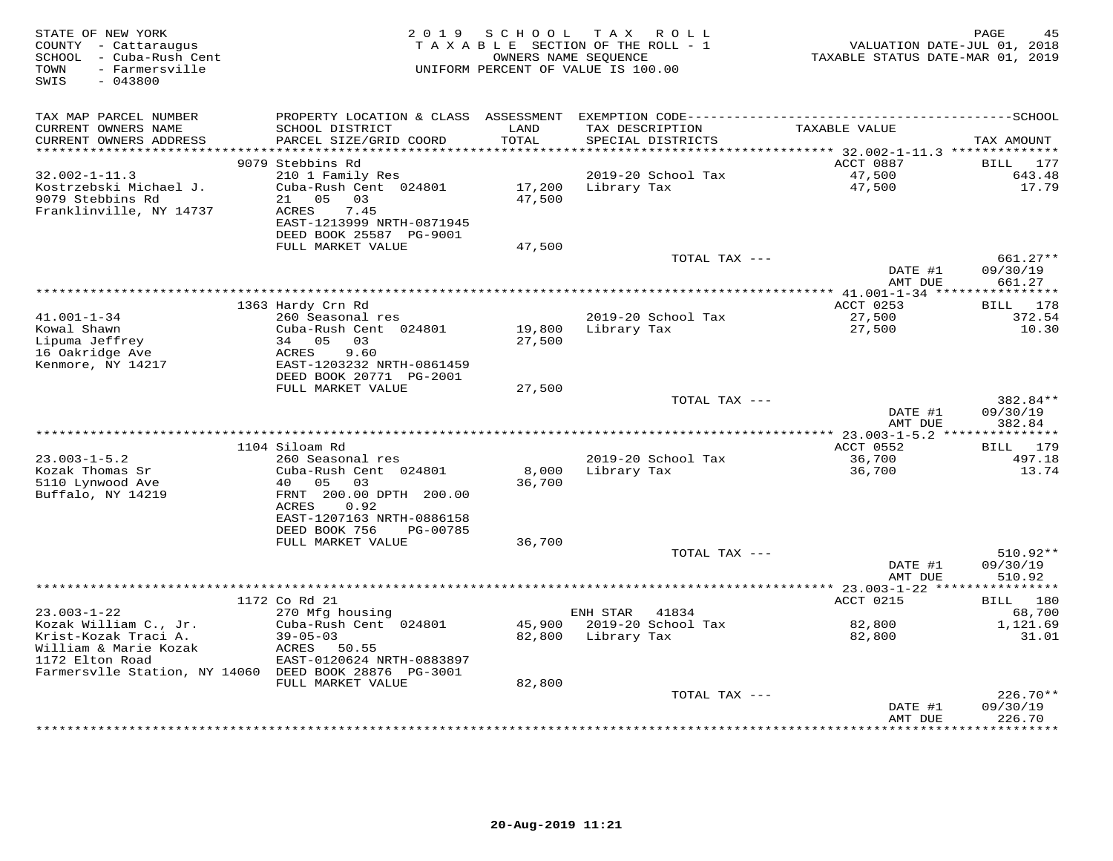| STATE OF NEW YORK<br>COUNTY - Cattaraugus<br>- Cuba-Rush Cent<br>SCHOOL<br>- Farmersville<br>TOWN<br>$-043800$<br>SWIS | 2 0 1 9                                           | S C H O O L             | T A X<br>ROLL<br>TAXABLE SECTION OF THE ROLL - 1<br>OWNERS NAME SEQUENCE<br>UNIFORM PERCENT OF VALUE IS 100.00 | VALUATION DATE-JUL 01, 2018<br>TAXABLE STATUS DATE-MAR 01, 2019 | PAGE<br>45             |
|------------------------------------------------------------------------------------------------------------------------|---------------------------------------------------|-------------------------|----------------------------------------------------------------------------------------------------------------|-----------------------------------------------------------------|------------------------|
| TAX MAP PARCEL NUMBER                                                                                                  | PROPERTY LOCATION & CLASS                         | ASSESSMENT              |                                                                                                                |                                                                 |                        |
| CURRENT OWNERS NAME<br>CURRENT OWNERS ADDRESS                                                                          | SCHOOL DISTRICT<br>PARCEL SIZE/GRID COORD         | LAND<br>TOTAL           | TAX DESCRIPTION<br>SPECIAL DISTRICTS                                                                           | TAXABLE VALUE                                                   | TAX AMOUNT             |
| **********************                                                                                                 |                                                   | * * * * * * * * * * * * |                                                                                                                |                                                                 |                        |
| $32.002 - 1 - 11.3$                                                                                                    | 9079 Stebbins Rd<br>210 1 Family Res              |                         | 2019-20 School Tax                                                                                             | ACCT 0887<br>47,500                                             | 177<br>BILL<br>643.48  |
| Kostrzebski Michael J.                                                                                                 | Cuba-Rush Cent 024801                             | 17,200                  | Library Tax                                                                                                    | 47,500                                                          | 17.79                  |
| 9079 Stebbins Rd                                                                                                       | 21<br>05<br>03                                    | 47,500                  |                                                                                                                |                                                                 |                        |
| Franklinville, NY 14737                                                                                                | 7.45<br>ACRES                                     |                         |                                                                                                                |                                                                 |                        |
|                                                                                                                        | EAST-1213999 NRTH-0871945                         |                         |                                                                                                                |                                                                 |                        |
|                                                                                                                        | DEED BOOK 25587 PG-9001                           |                         |                                                                                                                |                                                                 |                        |
|                                                                                                                        | FULL MARKET VALUE                                 | 47,500                  |                                                                                                                |                                                                 |                        |
|                                                                                                                        |                                                   |                         | TOTAL TAX ---                                                                                                  |                                                                 | $661.27**$<br>09/30/19 |
|                                                                                                                        |                                                   |                         |                                                                                                                | DATE #1<br>AMT DUE                                              | 661.27                 |
|                                                                                                                        |                                                   |                         |                                                                                                                | ******** 41.001-1-34 ****************                           |                        |
|                                                                                                                        | 1363 Hardy Crn Rd                                 |                         |                                                                                                                | ACCT 0253                                                       | BILL 178               |
| $41.001 - 1 - 34$                                                                                                      | 260 Seasonal res                                  |                         | 2019-20 School Tax                                                                                             | 27,500                                                          | 372.54                 |
| Kowal Shawn                                                                                                            | Cuba-Rush Cent 024801                             | 19,800                  | Library Tax                                                                                                    | 27,500                                                          | 10.30                  |
| Lipuma Jeffrey                                                                                                         | 34 05<br>03                                       | 27,500                  |                                                                                                                |                                                                 |                        |
| 16 Oakridge Ave                                                                                                        | 9.60<br>ACRES                                     |                         |                                                                                                                |                                                                 |                        |
| Kenmore, NY 14217                                                                                                      | EAST-1203232 NRTH-0861459                         |                         |                                                                                                                |                                                                 |                        |
|                                                                                                                        | DEED BOOK 20771 PG-2001                           |                         |                                                                                                                |                                                                 |                        |
|                                                                                                                        | FULL MARKET VALUE                                 | 27,500                  | TOTAL TAX ---                                                                                                  |                                                                 | 382.84**               |
|                                                                                                                        |                                                   |                         |                                                                                                                | DATE #1                                                         | 09/30/19               |
|                                                                                                                        |                                                   |                         |                                                                                                                | AMT DUE                                                         | 382.84                 |
|                                                                                                                        |                                                   |                         |                                                                                                                | **************** 23.003-1-5.2 ***************                   |                        |
|                                                                                                                        | 1104 Siloam Rd                                    |                         |                                                                                                                | ACCT 0552                                                       | 179<br>BILL            |
| $23.003 - 1 - 5.2$                                                                                                     | 260 Seasonal res                                  |                         | 2019-20 School Tax                                                                                             | 36,700                                                          | 497.18                 |
| Kozak Thomas Sr                                                                                                        | Cuba-Rush Cent 024801                             | 8,000                   | Library Tax                                                                                                    | 36,700                                                          | 13.74                  |
| 5110 Lynwood Ave                                                                                                       | 40<br>05<br>03                                    | 36,700                  |                                                                                                                |                                                                 |                        |
| Buffalo, NY 14219                                                                                                      | FRNT 200.00 DPTH 200.00                           |                         |                                                                                                                |                                                                 |                        |
|                                                                                                                        | <b>ACRES</b><br>0.92<br>EAST-1207163 NRTH-0886158 |                         |                                                                                                                |                                                                 |                        |
|                                                                                                                        | DEED BOOK 756<br>PG-00785                         |                         |                                                                                                                |                                                                 |                        |
|                                                                                                                        | FULL MARKET VALUE                                 | 36,700                  |                                                                                                                |                                                                 |                        |
|                                                                                                                        |                                                   |                         | TOTAL TAX ---                                                                                                  |                                                                 | 510.92**               |
|                                                                                                                        |                                                   |                         |                                                                                                                | DATE #1                                                         | 09/30/19               |
|                                                                                                                        |                                                   |                         |                                                                                                                | AMT DUE                                                         | 510.92                 |
|                                                                                                                        |                                                   |                         | ***************************                                                                                    | ********** 23.003-1-22 ***                                      |                        |
|                                                                                                                        | 1172 Co Rd 21                                     |                         |                                                                                                                | ACCT 0215                                                       | 180<br>BILL            |
| $23.003 - 1 - 22$                                                                                                      | 270 Mfg housing                                   |                         | 41834<br>ENH STAR                                                                                              |                                                                 | 68,700                 |
| Kozak William C., Jr.                                                                                                  | Cuba-Rush Cent 024801                             | 45,900                  | 2019-20 School Tax                                                                                             | 82,800                                                          | 1,121.69               |
| Krist-Kozak Traci A.<br>William & Marie Kozak                                                                          | $39 - 05 - 03$<br>50.55<br>ACRES                  | 82,800                  | Library Tax                                                                                                    | 82,800                                                          | 31.01                  |
| 1172 Elton Road                                                                                                        | EAST-0120624 NRTH-0883897                         |                         |                                                                                                                |                                                                 |                        |
| Farmersvlle Station, NY 14060 DEED BOOK 28876 PG-3001                                                                  |                                                   |                         |                                                                                                                |                                                                 |                        |
|                                                                                                                        | FULL MARKET VALUE                                 | 82,800                  |                                                                                                                |                                                                 |                        |
|                                                                                                                        |                                                   |                         | TOTAL TAX ---                                                                                                  |                                                                 | 226.70**               |
|                                                                                                                        |                                                   |                         |                                                                                                                | DATE #1                                                         | 09/30/19               |
|                                                                                                                        |                                                   |                         |                                                                                                                | AMT DUE                                                         | 226.70                 |
|                                                                                                                        |                                                   |                         |                                                                                                                | * * * * * * * * * * * * *                                       | *********              |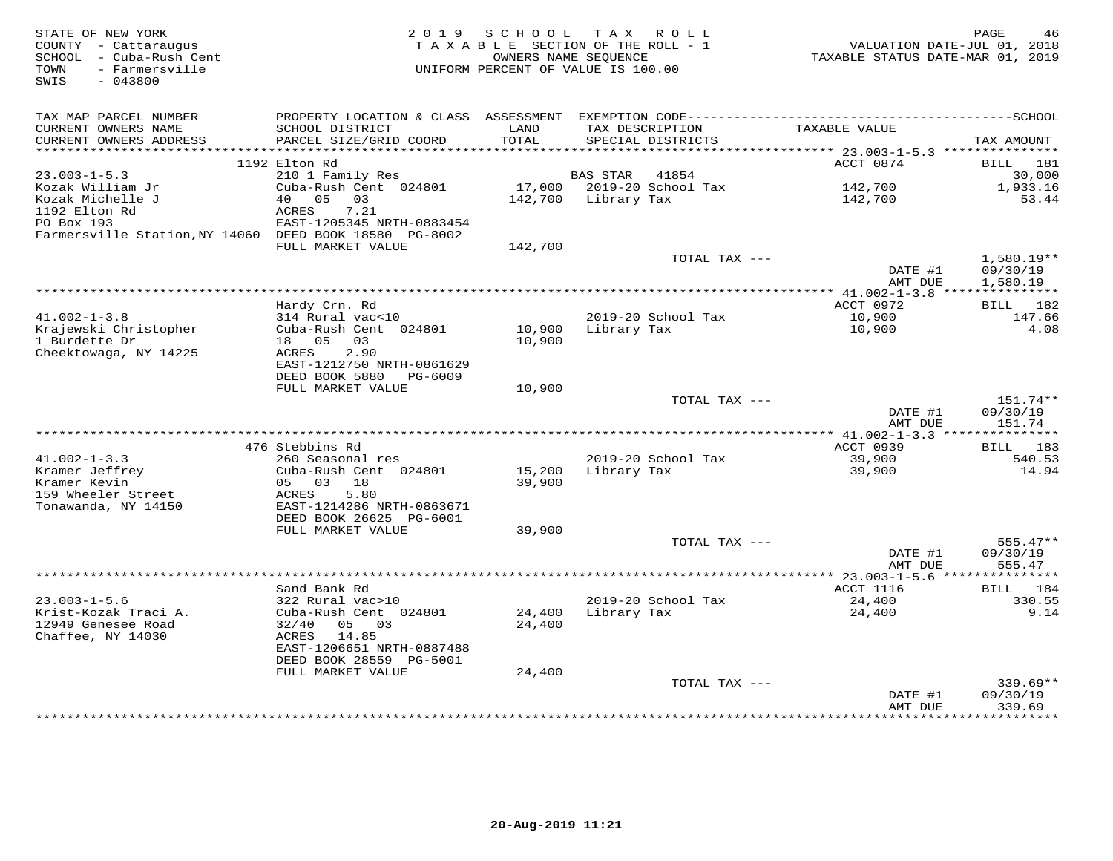| STATE OF NEW YORK<br>COUNTY - Cattaraugus<br>- Cuba-Rush Cent<br>SCHOOL<br>- Farmersville<br>TOWN<br>SWIS<br>$-043800$ | 2 0 1 9                                             | SCHOOL<br>OWNERS NAME SEOUENCE | T A X<br>R O L L<br>TAXABLE SECTION OF THE ROLL - 1<br>UNIFORM PERCENT OF VALUE IS 100.00 | VALUATION DATE-JUL 01, 2018<br>TAXABLE STATUS DATE-MAR 01, 2019 | PAGE<br>46            |
|------------------------------------------------------------------------------------------------------------------------|-----------------------------------------------------|--------------------------------|-------------------------------------------------------------------------------------------|-----------------------------------------------------------------|-----------------------|
|                                                                                                                        |                                                     |                                |                                                                                           |                                                                 |                       |
| TAX MAP PARCEL NUMBER                                                                                                  |                                                     |                                |                                                                                           |                                                                 |                       |
| CURRENT OWNERS NAME                                                                                                    | SCHOOL DISTRICT                                     | LAND                           | TAX DESCRIPTION                                                                           | TAXABLE VALUE                                                   |                       |
| CURRENT OWNERS ADDRESS<br>**********************                                                                       | PARCEL SIZE/GRID COORD<br>************************* | TOTAL                          | SPECIAL DISTRICTS                                                                         |                                                                 | TAX AMOUNT            |
|                                                                                                                        | 1192 Elton Rd                                       |                                |                                                                                           | ACCT 0874                                                       | <b>BILL</b><br>181    |
| $23.003 - 1 - 5.3$                                                                                                     | 210 1 Family Res                                    |                                | <b>BAS STAR</b><br>41854                                                                  |                                                                 | 30,000                |
| Kozak William Jr                                                                                                       | Cuba-Rush Cent 024801                               | 17,000                         | 2019-20 School Tax                                                                        | 142,700                                                         | 1,933.16              |
| Kozak Michelle J                                                                                                       | 0.5<br>03<br>40                                     | 142,700                        | Library Tax                                                                               | 142,700                                                         | 53.44                 |
| 1192 Elton Rd                                                                                                          | ACRES<br>7.21                                       |                                |                                                                                           |                                                                 |                       |
| PO Box 193                                                                                                             | EAST-1205345 NRTH-0883454                           |                                |                                                                                           |                                                                 |                       |
| Farmersville Station, NY 14060 DEED BOOK 18580 PG-8002                                                                 | FULL MARKET VALUE                                   | 142,700                        |                                                                                           |                                                                 |                       |
|                                                                                                                        |                                                     |                                | TOTAL TAX ---                                                                             |                                                                 | $1,580.19**$          |
|                                                                                                                        |                                                     |                                |                                                                                           | DATE #1                                                         | 09/30/19              |
|                                                                                                                        |                                                     |                                |                                                                                           | AMT DUE                                                         | 1,580.19              |
|                                                                                                                        |                                                     |                                |                                                                                           | $*$ 41.002-1-3.8                                                | * * * * * * * * * * * |
| $41.002 - 1 - 3.8$                                                                                                     | Hardy Crn. Rd<br>314 Rural vac<10                   |                                | 2019-20 School Tax                                                                        | ACCT 0972<br>10,900                                             | BILL<br>182<br>147.66 |
| Krajewski Christopher                                                                                                  | Cuba-Rush Cent 024801                               | 10,900                         | Library Tax                                                                               | 10,900                                                          | 4.08                  |
| 1 Burdette Dr                                                                                                          | 18 05<br>03                                         | 10,900                         |                                                                                           |                                                                 |                       |
| Cheektowaga, NY 14225                                                                                                  | 2.90<br>ACRES                                       |                                |                                                                                           |                                                                 |                       |
|                                                                                                                        | EAST-1212750 NRTH-0861629                           |                                |                                                                                           |                                                                 |                       |
|                                                                                                                        | DEED BOOK 5880<br>PG-6009<br>FULL MARKET VALUE      | 10,900                         |                                                                                           |                                                                 |                       |
|                                                                                                                        |                                                     |                                | TOTAL TAX ---                                                                             |                                                                 | 151.74**              |
|                                                                                                                        |                                                     |                                |                                                                                           | DATE #1                                                         | 09/30/19              |
|                                                                                                                        |                                                     |                                |                                                                                           | AMT DUE                                                         | 151.74                |
|                                                                                                                        |                                                     |                                |                                                                                           | *** 41.002-1-3.3 ***************                                |                       |
| $41.002 - 1 - 3.3$                                                                                                     | 476 Stebbins Rd<br>260 Seasonal res                 |                                | 2019-20 School Tax                                                                        | ACCT 0939<br>39,900                                             | 183<br>BILL<br>540.53 |
| Kramer Jeffrey                                                                                                         | Cuba-Rush Cent 024801                               | 15,200                         | Library Tax                                                                               | 39,900                                                          | 14.94                 |
| Kramer Kevin                                                                                                           | 05 03 18                                            | 39,900                         |                                                                                           |                                                                 |                       |
| 159 Wheeler Street                                                                                                     | ACRES<br>5.80                                       |                                |                                                                                           |                                                                 |                       |
| Tonawanda, NY 14150                                                                                                    | EAST-1214286 NRTH-0863671                           |                                |                                                                                           |                                                                 |                       |
|                                                                                                                        | DEED BOOK 26625 PG-6001<br>FULL MARKET VALUE        | 39,900                         |                                                                                           |                                                                 |                       |
|                                                                                                                        |                                                     |                                | TOTAL TAX ---                                                                             |                                                                 | $555.47**$            |
|                                                                                                                        |                                                     |                                |                                                                                           | DATE #1                                                         | 09/30/19              |
|                                                                                                                        |                                                     |                                |                                                                                           | AMT DUE                                                         | 555.47                |
|                                                                                                                        |                                                     |                                | ************************                                                                  | ********** 23.003-1-5.6 ****                                    | ***********           |
| $23.003 - 1 - 5.6$                                                                                                     | Sand Bank Rd<br>322 Rural vac>10                    |                                | 2019-20 School Tax                                                                        | <b>ACCT 1116</b><br>24,400                                      | 184<br>BILL<br>330.55 |
| Krist-Kozak Traci A.                                                                                                   | Cuba-Rush Cent 024801                               | 24,400                         | Library Tax                                                                               | 24,400                                                          | 9.14                  |
| 12949 Genesee Road                                                                                                     | 03<br>32/40<br>05                                   | 24,400                         |                                                                                           |                                                                 |                       |
| Chaffee, NY 14030                                                                                                      | 14.85<br>ACRES                                      |                                |                                                                                           |                                                                 |                       |
|                                                                                                                        | EAST-1206651 NRTH-0887488                           |                                |                                                                                           |                                                                 |                       |
|                                                                                                                        | DEED BOOK 28559 PG-5001<br>FULL MARKET VALUE        | 24,400                         |                                                                                           |                                                                 |                       |
|                                                                                                                        |                                                     |                                | TOTAL TAX ---                                                                             |                                                                 | $339.69**$            |
|                                                                                                                        |                                                     |                                |                                                                                           | DATE #1                                                         | 09/30/19              |
|                                                                                                                        |                                                     |                                |                                                                                           | AMT DUE                                                         | 339.69                |
|                                                                                                                        |                                                     |                                |                                                                                           | * * * * * * * *                                                 | ********              |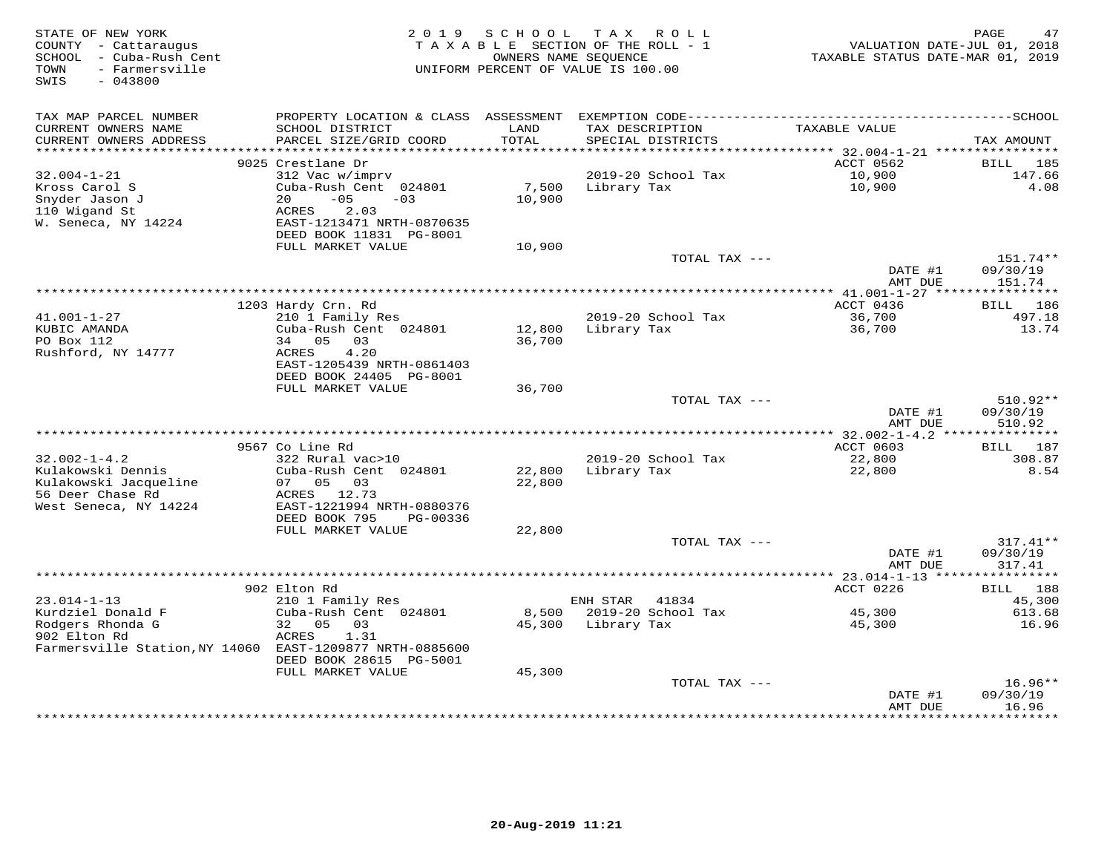| STATE OF NEW YORK<br>COUNTY - Cattaraugus<br>SCHOOL - Cuba-Rush Cent<br>- Farmersville<br>TOWN<br>SWIS<br>$-043800$ | 2019                                                                                                                   | SCHOOL           | T A X<br>R O L L<br>TAXABLE SECTION OF THE ROLL - 1<br>OWNERS NAME SEQUENCE<br>UNIFORM PERCENT OF VALUE IS 100.00 | VALUATION DATE-JUL 01, 2018<br>TAXABLE STATUS DATE-MAR 01, 2019 | PAGE<br>47                       |
|---------------------------------------------------------------------------------------------------------------------|------------------------------------------------------------------------------------------------------------------------|------------------|-------------------------------------------------------------------------------------------------------------------|-----------------------------------------------------------------|----------------------------------|
| TAX MAP PARCEL NUMBER<br>CURRENT OWNERS NAME                                                                        | PROPERTY LOCATION & CLASS ASSESSMENT<br>SCHOOL DISTRICT                                                                | LAND             | TAX DESCRIPTION                                                                                                   | TAXABLE VALUE                                                   |                                  |
| CURRENT OWNERS ADDRESS                                                                                              | PARCEL SIZE/GRID COORD                                                                                                 | TOTAL            | SPECIAL DISTRICTS                                                                                                 |                                                                 | TAX AMOUNT                       |
| **********************                                                                                              | 9025 Crestlane Dr                                                                                                      | ************     |                                                                                                                   | ACCT 0562                                                       | BILL<br>185                      |
| $32.004 - 1 - 21$                                                                                                   | 312 Vac w/imprv                                                                                                        |                  | 2019-20 School Tax                                                                                                | 10,900                                                          | 147.66                           |
| Kross Carol S<br>Snyder Jason J<br>110 Wigand St<br>W. Seneca, NY 14224                                             | Cuba-Rush Cent 024801<br>$-05$<br>20<br>$-03$<br>ACRES<br>2.03<br>EAST-1213471 NRTH-0870635<br>DEED BOOK 11831 PG-8001 | 7,500<br>10,900  | Library Tax                                                                                                       | 10,900                                                          | 4.08                             |
|                                                                                                                     | FULL MARKET VALUE                                                                                                      | 10,900           |                                                                                                                   |                                                                 |                                  |
|                                                                                                                     |                                                                                                                        |                  | TOTAL TAX ---                                                                                                     | DATE #1                                                         | 151.74**<br>09/30/19             |
|                                                                                                                     | ******************                                                                                                     |                  | ***********************************                                                                               | AMT DUE                                                         | 151.74<br>**********             |
|                                                                                                                     | 1203 Hardy Crn. Rd                                                                                                     |                  |                                                                                                                   | *** 41.001-1-27 ****<br>ACCT 0436                               | 186<br>BILL                      |
| $41.001 - 1 - 27$<br>KUBIC AMANDA<br>PO Box 112                                                                     | 210 1 Family Res<br>Cuba-Rush Cent 024801<br>34 05<br>03                                                               | 12,800<br>36,700 | 2019-20 School Tax<br>Library Tax                                                                                 | 36,700<br>36,700                                                | 497.18<br>13.74                  |
| Rushford, NY 14777                                                                                                  | 4.20<br>ACRES<br>EAST-1205439 NRTH-0861403<br>DEED BOOK 24405 PG-8001                                                  |                  |                                                                                                                   |                                                                 |                                  |
|                                                                                                                     | FULL MARKET VALUE                                                                                                      | 36,700           |                                                                                                                   |                                                                 |                                  |
|                                                                                                                     |                                                                                                                        |                  | TOTAL TAX ---                                                                                                     | DATE #1<br>AMT DUE                                              | 510.92**<br>09/30/19<br>510.92   |
|                                                                                                                     |                                                                                                                        |                  |                                                                                                                   |                                                                 |                                  |
| $32.002 - 1 - 4.2$                                                                                                  | 9567 Co Line Rd<br>322 Rural vac>10                                                                                    |                  | 2019-20 School Tax                                                                                                | ACCT 0603<br>22,800                                             | 187<br>BILL<br>308.87            |
| Kulakowski Dennis                                                                                                   | Cuba-Rush Cent 024801                                                                                                  | 22,800           | Library Tax                                                                                                       | 22,800                                                          | 8.54                             |
| Kulakowski Jacqueline<br>56 Deer Chase Rd                                                                           | 07 05<br>03<br>ACRES<br>12.73                                                                                          | 22,800           |                                                                                                                   |                                                                 |                                  |
| West Seneca, NY 14224                                                                                               | EAST-1221994 NRTH-0880376<br>DEED BOOK 795<br>PG-00336                                                                 |                  |                                                                                                                   |                                                                 |                                  |
|                                                                                                                     | FULL MARKET VALUE                                                                                                      | 22,800           |                                                                                                                   |                                                                 |                                  |
|                                                                                                                     |                                                                                                                        |                  | TOTAL TAX ---                                                                                                     | DATE #1<br>AMT DUE                                              | $317.41**$<br>09/30/19<br>317.41 |
|                                                                                                                     |                                                                                                                        |                  |                                                                                                                   | *********** 23.014-1-13 *****                                   | * * * * * * * * * * *            |
|                                                                                                                     | 902 Elton Rd                                                                                                           |                  |                                                                                                                   | ACCT 0226                                                       | 188<br><b>BILL</b>               |
| $23.014 - 1 - 13$                                                                                                   | 210 1 Family Res                                                                                                       |                  | ENH STAR<br>41834                                                                                                 |                                                                 | 45,300                           |
| Kurdziel Donald F<br>Rodgers Rhonda G                                                                               | Cuba-Rush Cent 024801<br>32<br>05<br>03                                                                                | 8,500<br>45,300  | 2019-20 School Tax<br>Library Tax                                                                                 | 45,300<br>45,300                                                | 613.68<br>16.96                  |
| 902 Elton Rd<br>Farmersville Station, NY 14060 EAST-1209877 NRTH-0885600                                            | 1.31<br>ACRES                                                                                                          |                  |                                                                                                                   |                                                                 |                                  |
|                                                                                                                     | DEED BOOK 28615 PG-5001                                                                                                |                  |                                                                                                                   |                                                                 |                                  |
|                                                                                                                     | FULL MARKET VALUE                                                                                                      | 45,300           | TOTAL TAX ---                                                                                                     |                                                                 | $16.96**$                        |
|                                                                                                                     |                                                                                                                        |                  |                                                                                                                   | DATE #1<br>AMT DUE                                              | 09/30/19<br>16.96                |
|                                                                                                                     |                                                                                                                        |                  |                                                                                                                   | ***********                                                     | * * * * * * * * *                |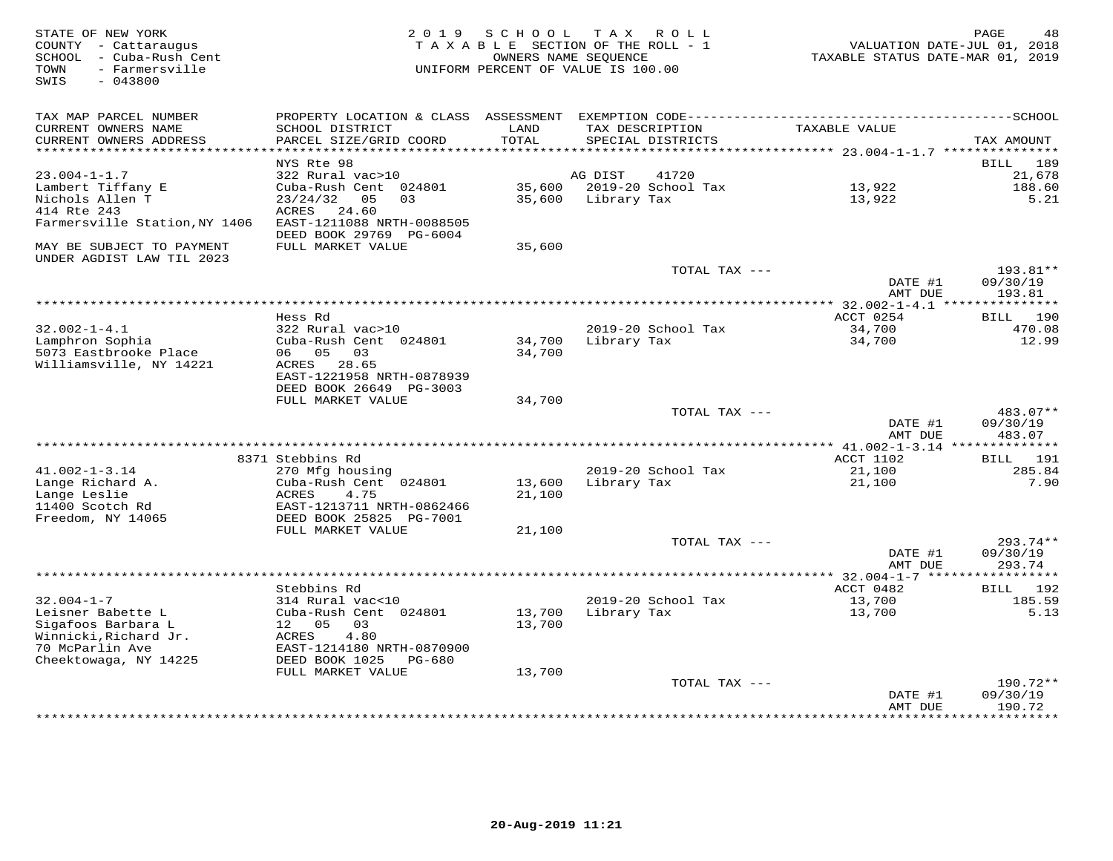| STATE OF NEW YORK<br>COUNTY - Cattaraugus<br>SCHOOL - Cuba-Rush Cent<br>- Farmersville<br>TOWN<br>$-043800$<br>SWIS | 2 0 1 9                                              | SCHOOL        | TAX ROLL<br>TAXABLE SECTION OF THE ROLL - 1<br>OWNERS NAME SEQUENCE<br>UNIFORM PERCENT OF VALUE IS 100.00 | VALUATION DATE-JUL 01, 2018<br>TAXABLE STATUS DATE-MAR 01, 2019 | PAGE<br>48           |
|---------------------------------------------------------------------------------------------------------------------|------------------------------------------------------|---------------|-----------------------------------------------------------------------------------------------------------|-----------------------------------------------------------------|----------------------|
| TAX MAP PARCEL NUMBER                                                                                               | PROPERTY LOCATION & CLASS ASSESSMENT                 |               |                                                                                                           |                                                                 |                      |
| CURRENT OWNERS NAME<br>CURRENT OWNERS ADDRESS<br>***********************                                            | SCHOOL DISTRICT<br>PARCEL SIZE/GRID COORD            | LAND<br>TOTAL | TAX DESCRIPTION<br>SPECIAL DISTRICTS                                                                      | TAXABLE VALUE                                                   | TAX AMOUNT           |
|                                                                                                                     | ************************<br>NYS Rte 98               |               |                                                                                                           |                                                                 | 189<br>BILL          |
| $23.004 - 1 - 1.7$                                                                                                  | 322 Rural vac>10                                     |               | AG DIST<br>41720                                                                                          |                                                                 | 21,678               |
| Lambert Tiffany E                                                                                                   | Cuba-Rush Cent 024801                                | 35,600        | 2019-20 School Tax                                                                                        | 13,922                                                          | 188.60               |
| Nichols Allen T                                                                                                     | 23/24/32<br>03<br>05                                 | 35,600        | Library Tax                                                                                               | 13,922                                                          | 5.21                 |
| 414 Rte 243                                                                                                         | ACRES<br>24.60                                       |               |                                                                                                           |                                                                 |                      |
| Farmersville Station, NY 1406                                                                                       | EAST-1211088 NRTH-0088505<br>DEED BOOK 29769 PG-6004 |               |                                                                                                           |                                                                 |                      |
| MAY BE SUBJECT TO PAYMENT<br>UNDER AGDIST LAW TIL 2023                                                              | FULL MARKET VALUE                                    | 35,600        |                                                                                                           |                                                                 |                      |
|                                                                                                                     |                                                      |               | TOTAL TAX ---                                                                                             | DATE #1                                                         | 193.81**<br>09/30/19 |
|                                                                                                                     |                                                      |               |                                                                                                           | AMT DUE                                                         | 193.81               |
|                                                                                                                     |                                                      |               |                                                                                                           |                                                                 |                      |
|                                                                                                                     | Hess Rd                                              |               |                                                                                                           | ACCT 0254                                                       | BILL 190             |
| $32.002 - 1 - 4.1$<br>Lamphron Sophia                                                                               | 322 Rural vac>10<br>Cuba-Rush Cent 024801            | 34,700        | 2019-20 School Tax<br>Library Tax                                                                         | 34,700<br>34,700                                                | 470.08<br>12.99      |
| 5073 Eastbrooke Place                                                                                               | 06 05<br>03                                          | 34,700        |                                                                                                           |                                                                 |                      |
| Williamsville, NY 14221                                                                                             | ACRES 28.65                                          |               |                                                                                                           |                                                                 |                      |
|                                                                                                                     | EAST-1221958 NRTH-0878939                            |               |                                                                                                           |                                                                 |                      |
|                                                                                                                     | DEED BOOK 26649 PG-3003                              |               |                                                                                                           |                                                                 |                      |
|                                                                                                                     | FULL MARKET VALUE                                    | 34,700        |                                                                                                           |                                                                 |                      |
|                                                                                                                     |                                                      |               | TOTAL TAX ---                                                                                             |                                                                 | 483.07**             |
|                                                                                                                     |                                                      |               |                                                                                                           | DATE #1                                                         | 09/30/19             |
|                                                                                                                     |                                                      |               |                                                                                                           | AMT DUE                                                         | 483.07               |
|                                                                                                                     | 8371 Stebbins Rd                                     |               |                                                                                                           | ACCT 1102                                                       | <b>BILL</b><br>191   |
| $41.002 - 1 - 3.14$                                                                                                 | 270 Mfg housing                                      |               | 2019-20 School Tax                                                                                        | 21,100                                                          | 285.84               |
| Lange Richard A.                                                                                                    | Cuba-Rush Cent 024801                                | 13,600        | Library Tax                                                                                               | 21,100                                                          | 7.90                 |
| Lange Leslie                                                                                                        | ACRES<br>4.75                                        | 21,100        |                                                                                                           |                                                                 |                      |
| 11400 Scotch Rd                                                                                                     | EAST-1213711 NRTH-0862466                            |               |                                                                                                           |                                                                 |                      |
| Freedom, NY 14065                                                                                                   | DEED BOOK 25825 PG-7001                              |               |                                                                                                           |                                                                 |                      |
|                                                                                                                     | FULL MARKET VALUE                                    | 21,100        |                                                                                                           |                                                                 |                      |
|                                                                                                                     |                                                      |               | TOTAL TAX ---                                                                                             | DATE #1                                                         | 293.74**<br>09/30/19 |
|                                                                                                                     |                                                      |               |                                                                                                           | AMT DUE                                                         | 293.74               |
|                                                                                                                     |                                                      |               |                                                                                                           | *************** 32.004-1-7 *****                                | ********             |
|                                                                                                                     | Stebbins Rd                                          |               |                                                                                                           | ACCT 0482                                                       | 192<br>BILL          |
| $32.004 - 1 - 7$                                                                                                    | 314 Rural vac<10                                     |               | 2019-20 School Tax                                                                                        | 13,700                                                          | 185.59               |
| Leisner Babette L                                                                                                   | Cuba-Rush Cent 024801                                | 13,700        | Library Tax                                                                                               | 13,700                                                          | 5.13                 |
| Sigafoos Barbara L                                                                                                  | 12 05<br>03                                          | 13,700        |                                                                                                           |                                                                 |                      |
| Winnicki, Richard Jr.<br>70 McParlin Ave                                                                            | 4.80<br>ACRES<br>EAST-1214180 NRTH-0870900           |               |                                                                                                           |                                                                 |                      |
| Cheektowaga, NY 14225                                                                                               | DEED BOOK 1025<br>PG-680                             |               |                                                                                                           |                                                                 |                      |
|                                                                                                                     | FULL MARKET VALUE                                    | 13,700        |                                                                                                           |                                                                 |                      |
|                                                                                                                     |                                                      |               | TOTAL TAX ---                                                                                             |                                                                 | 190.72**             |
|                                                                                                                     |                                                      |               |                                                                                                           | DATE #1                                                         | 09/30/19             |
|                                                                                                                     |                                                      |               |                                                                                                           | AMT DUE                                                         | 190.72               |
|                                                                                                                     |                                                      |               | ***********************                                                                                   |                                                                 | * * * * * * * *      |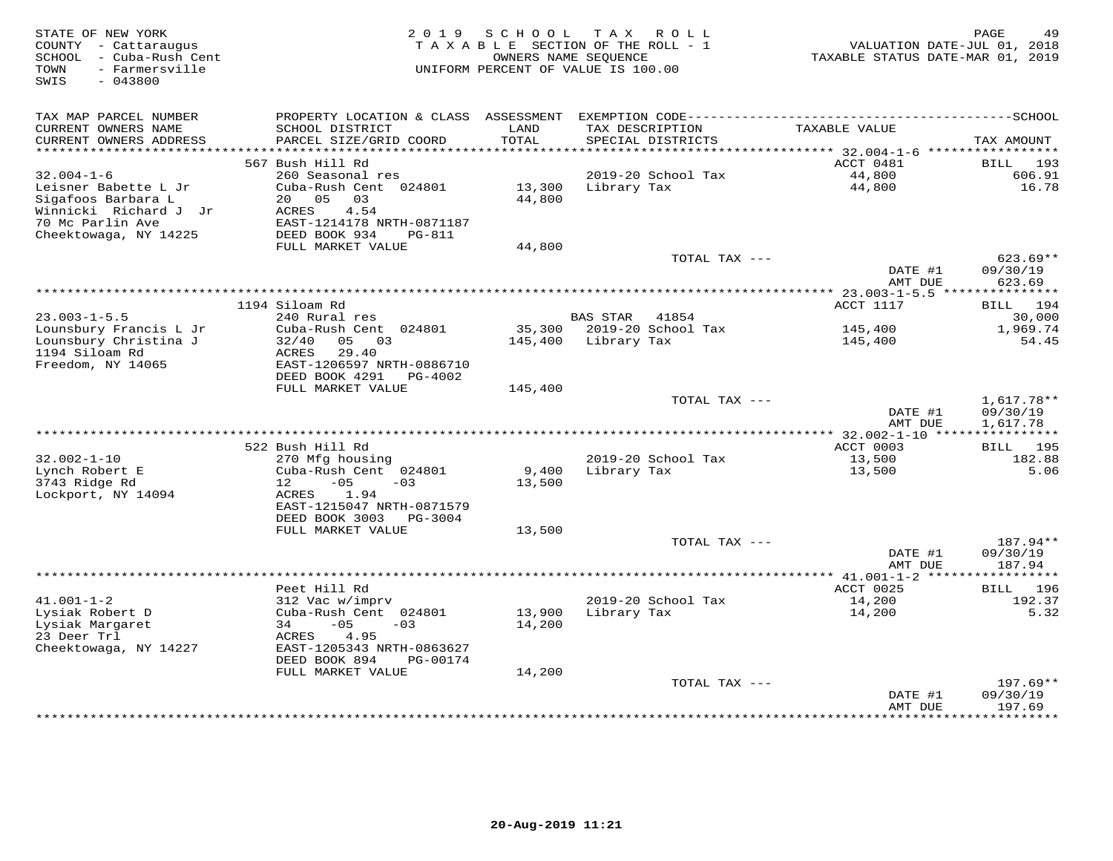| STATE OF NEW YORK<br>COUNTY - Cattaraugus<br>SCHOOL - Cuba-Rush Cent<br>- Farmersville<br>TOWN<br>$-043800$<br>SWIS | 2 0 1 9                                                                                         | SCHOOL           | TAX ROLL<br>TAXABLE SECTION OF THE ROLL - 1<br>OWNERS NAME SEQUENCE<br>UNIFORM PERCENT OF VALUE IS 100.00 | VALUATION DATE-JUL 01, 2018<br>TAXABLE STATUS DATE-MAR 01, 2019 | PAGE<br>49                         |
|---------------------------------------------------------------------------------------------------------------------|-------------------------------------------------------------------------------------------------|------------------|-----------------------------------------------------------------------------------------------------------|-----------------------------------------------------------------|------------------------------------|
| TAX MAP PARCEL NUMBER                                                                                               | PROPERTY LOCATION & CLASS ASSESSMENT                                                            |                  |                                                                                                           |                                                                 |                                    |
| CURRENT OWNERS NAME<br>CURRENT OWNERS ADDRESS<br>***********************                                            | SCHOOL DISTRICT<br>PARCEL SIZE/GRID COORD<br>*************************                          | LAND<br>TOTAL    | TAX DESCRIPTION<br>SPECIAL DISTRICTS                                                                      | TAXABLE VALUE                                                   | TAX AMOUNT                         |
|                                                                                                                     | 567 Bush Hill Rd                                                                                |                  |                                                                                                           | ACCT 0481                                                       | <b>BILL</b><br>193                 |
| $32.004 - 1 - 6$                                                                                                    | 260 Seasonal res                                                                                |                  | 2019-20 School Tax                                                                                        | 44,800                                                          | 606.91                             |
| Leisner Babette L Jr<br>Sigafoos Barbara L<br>Winnicki Richard J Jr<br>70 Mc Parlin Ave                             | Cuba-Rush Cent 024801<br>20 05<br>03<br>ACRES<br>4.54<br>EAST-1214178 NRTH-0871187              | 13,300<br>44,800 | Library Tax                                                                                               | 44,800                                                          | 16.78                              |
| Cheektowaga, NY 14225                                                                                               | DEED BOOK 934<br>PG-811                                                                         |                  |                                                                                                           |                                                                 |                                    |
|                                                                                                                     | FULL MARKET VALUE                                                                               | 44,800           |                                                                                                           |                                                                 |                                    |
|                                                                                                                     |                                                                                                 |                  | TOTAL TAX ---                                                                                             |                                                                 | $623.69**$                         |
|                                                                                                                     |                                                                                                 |                  | *********************************                                                                         | DATE #1<br>AMT DUE                                              | 09/30/19<br>623.69<br>***********  |
|                                                                                                                     | 1194 Siloam Rd                                                                                  |                  |                                                                                                           | ********** 23.003-1-5.5 ****<br>ACCT 1117                       | BILL 194                           |
| $23.003 - 1 - 5.5$                                                                                                  | 240 Rural res                                                                                   |                  | <b>BAS STAR</b><br>41854                                                                                  |                                                                 | 30,000                             |
| Lounsbury Francis L Jr                                                                                              | Cuba-Rush Cent 024801                                                                           | 35,300           | 2019-20 School Tax                                                                                        | 145,400                                                         | 1,969.74                           |
| Lounsbury Christina J<br>1194 Siloam Rd<br>Freedom, NY 14065                                                        | 05<br>0.3<br>32/40<br>ACRES<br>29.40<br>EAST-1206597 NRTH-0886710<br>DEED BOOK 4291<br>PG-4002  | 145,400          | Library Tax                                                                                               | 145,400                                                         | 54.45                              |
|                                                                                                                     | FULL MARKET VALUE                                                                               | 145,400          |                                                                                                           |                                                                 |                                    |
|                                                                                                                     |                                                                                                 |                  | TOTAL TAX ---                                                                                             | DATE #1<br>AMT DUE                                              | 1,617.78**<br>09/30/19<br>1,617.78 |
|                                                                                                                     |                                                                                                 |                  |                                                                                                           |                                                                 |                                    |
|                                                                                                                     | 522 Bush Hill Rd                                                                                |                  |                                                                                                           | ACCT 0003                                                       | <b>BILL</b> 195                    |
| $32.002 - 1 - 10$<br>Lynch Robert E                                                                                 | 270 Mfg housing<br>Cuba-Rush Cent 024801                                                        | 9,400            | 2019-20 School Tax<br>Library Tax                                                                         | 13,500<br>13,500                                                | 182.88<br>5.06                     |
| 3743 Ridge Rd<br>Lockport, NY 14094                                                                                 | 12<br>$-05$<br>$-03$<br>1.94<br>ACRES<br>EAST-1215047 NRTH-0871579<br>DEED BOOK 3003<br>PG-3004 | 13,500           |                                                                                                           |                                                                 |                                    |
|                                                                                                                     | FULL MARKET VALUE                                                                               | 13,500           |                                                                                                           |                                                                 |                                    |
|                                                                                                                     |                                                                                                 |                  | TOTAL TAX ---                                                                                             |                                                                 | 187.94**                           |
|                                                                                                                     |                                                                                                 |                  |                                                                                                           | DATE #1<br>AMT DUE                                              | 09/30/19<br>187.94                 |
|                                                                                                                     |                                                                                                 |                  |                                                                                                           | **************** 41.001-1-2 ******                              | ***********                        |
|                                                                                                                     | Peet Hill Rd                                                                                    |                  |                                                                                                           | ACCT 0025                                                       | 196<br>BILL                        |
| $41.001 - 1 - 2$                                                                                                    | 312 Vac w/imprv                                                                                 |                  | 2019-20 School Tax                                                                                        | 14,200                                                          | 192.37                             |
| Lysiak Robert D<br>Lysiak Margaret                                                                                  | Cuba-Rush Cent 024801<br>$-05$<br>34<br>$-03$                                                   | 13,900<br>14,200 | Library Tax                                                                                               | 14,200                                                          | 5.32                               |
| 23 Deer Trl                                                                                                         | 4.95<br>ACRES                                                                                   |                  |                                                                                                           |                                                                 |                                    |
| Cheektowaga, NY 14227                                                                                               | EAST-1205343 NRTH-0863627<br>DEED BOOK 894<br>PG-00174                                          |                  |                                                                                                           |                                                                 |                                    |
|                                                                                                                     | FULL MARKET VALUE                                                                               | 14,200           |                                                                                                           |                                                                 |                                    |
|                                                                                                                     |                                                                                                 |                  | TOTAL TAX ---                                                                                             | DATE #1                                                         | $197.69**$<br>09/30/19             |
|                                                                                                                     |                                                                                                 |                  |                                                                                                           | AMT DUE                                                         | 197.69<br><b>++++++++</b>          |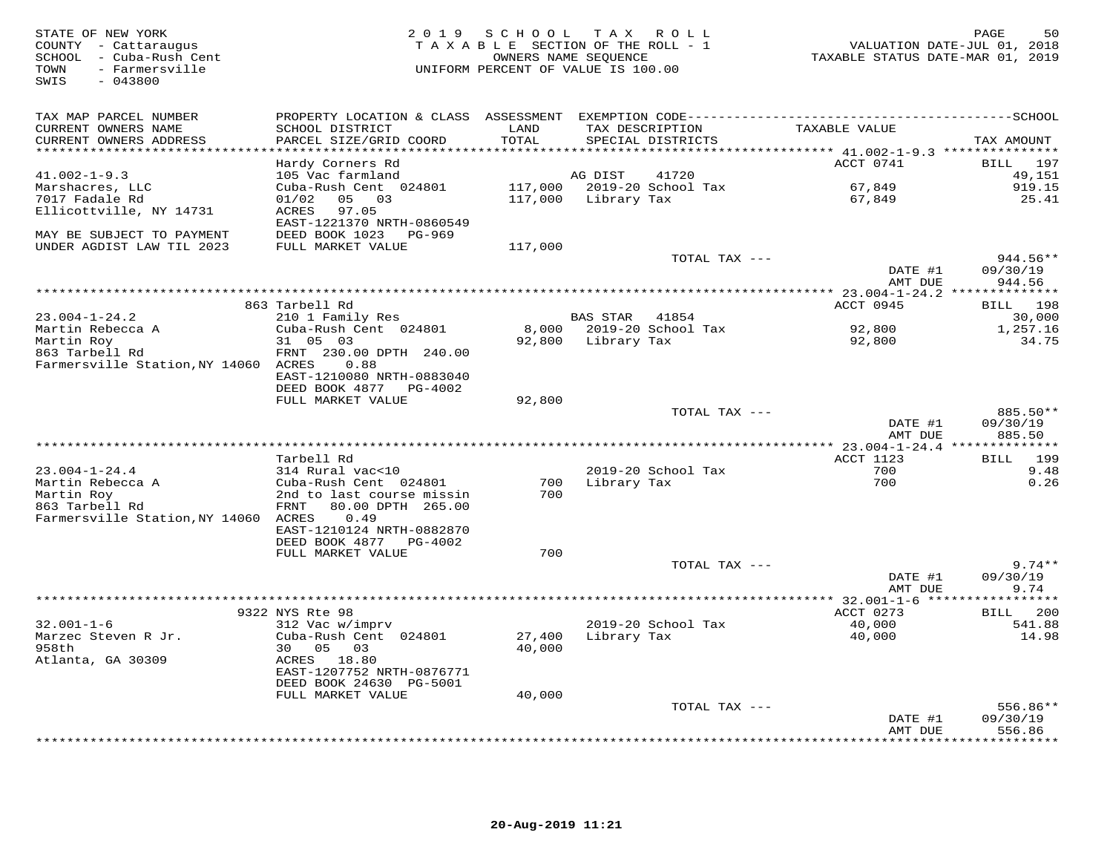STATE OF NEW YORK 2 0 1 9 S C H O O L T A X R O L L PAGE 50 COUNTY - Cattaraugus T A X A B L E SECTION OF THE ROLL - 1 VALUATION DATE-JUL 01, 2018 SCHOOL - Cuba-Rush Cent OWNERS NAME SEQUENCE TAXABLE STATUS DATE-MAR 01, 2019 TOWN - Farmersville UNIFORM PERCENT OF VALUE IS 100.00SWIS - 043800TAX MAP PARCEL NUMBER PROPERTY LOCATION & CLASS ASSESSMENT EXEMPTION CODE------------------------------------------SCHOOL CURRENT OWNERS NAME SCHOOL DISTRICT LAND TAX DESCRIPTION TAXABLE VALUE CURRENT OWNERS ADDRESS PARCEL SIZE/GRID COORD TOTAL SPECIAL DISTRICTS TAX AMOUNT \*\*\*\*\*\*\*\*\*\*\*\*\*\*\*\*\*\*\*\*\*\*\*\*\*\*\*\*\*\*\*\*\*\*\*\*\*\*\*\*\*\*\*\*\*\*\*\*\*\*\*\*\*\*\*\*\*\*\*\*\*\*\*\*\*\*\*\*\*\*\*\*\*\*\*\*\*\*\*\*\*\*\*\*\*\*\*\*\*\*\*\*\*\*\*\*\*\*\*\*\*\*\* 41.002-1-9.3 \*\*\*\*\*\*\*\*\*\*\*\*\*\*\*ACCT 0741 BILL 197 Hardy Corners Rd ACCT 0741 BILL 19749,151 41.002-1-9.3 105 Vac farmland AG DIST 41720 49,151919.15 Marshacres, LLC Cuba-Rush Cent 024801 117,000 2019-20 School Tax 67,849 919.1525.41 7017 Fadale Rd 01/02 05 03 117,000 Library Tax 67,849 25.41Ellicottville, NY 14731 ACRES 97.05 EAST-1221370 NRTH-0860549 MAY BE SUBJECT TO PAYMENT DEED BOOK 1023 PG-969 UNDER AGDIST LAW TIL 2023 FULL MARKET VALUE 117,000 TOTAL TAX --- 944.56\*\*DATE #1 09/30/19<br>3 MT DIE 109/30/19 AMT DUE 944.56 \*\*\*\*\*\*\*\*\*\*\*\*\*\*\*\*\*\*\*\*\*\*\*\*\*\*\*\*\*\*\*\*\*\*\*\*\*\*\*\*\*\*\*\*\*\*\*\*\*\*\*\*\*\*\*\*\*\*\*\*\*\*\*\*\*\*\*\*\*\*\*\*\*\*\*\*\*\*\*\*\*\*\*\*\*\*\*\*\*\*\*\*\*\*\*\*\*\*\*\*\*\*\* 23.004-1-24.2 \*\*\*\*\*\*\*\*\*\*\*\*\*\*ACCT 0945 BILL 198 863 Tarbell Rd ACCT 0945 BILL 19830,000 23.004-1-24.2 210 1 Family Res BAS STAR 41854 30,000 1,257.16 Martin Rebecca A Cuba-Rush Cent 024801 8,000 2019-20 School Tax 92,800 1,257.1634.75 Martin Roy 31 05 03 92,800 Library Tax 92,800 34.75863 Tarbell Rd FRNT 230.00 DPTH 240.00Farmersville Station,NY 14060 ACRES 0.88 EAST-1210080 NRTH-0883040 DEED BOOK 4877 PG-4002 FULL MARKET VALUE 92,800 TOTAL TAX --- 885.50\*\* DATE #1 09/30/19885.50 AMT DUE 885.50 \*\*\*\*\*\*\*\*\*\*\*\*\*\*\*\*\*\*\*\*\*\*\*\*\*\*\*\*\*\*\*\*\*\*\*\*\*\*\*\*\*\*\*\*\*\*\*\*\*\*\*\*\*\*\*\*\*\*\*\*\*\*\*\*\*\*\*\*\*\*\*\*\*\*\*\*\*\*\*\*\*\*\*\*\*\*\*\*\*\*\*\*\*\*\*\*\*\*\*\*\*\*\* 23.004-1-24.4 \*\*\*\*\*\*\*\*\*\*\*\*\*\*ACCT 1123 BILL 199 Tarbell Rd ACCT 1123 BILL 1999.48 23.004-1-24.4 314 Rural vac<10 2019-20 School Tax 700 9.48 $0.26$ Martin Rebecca A Cuba-Rush Cent 024801 700 Library Tax 700 0.26Martin Roy 2nd to last course missin 700 863 Tarbell Rd FRNT 80.00 DPTH 265.00 Farmersville Station,NY 14060 ACRES 0.49 EAST-1210124 NRTH-0882870 DEED BOOK 4877 PG-4002 FULL MARKET VALUE 700 $\text{TOTAL TAX}$   $---$  9.74\*\* DATE #1 09/30/19AMT DUE 9.74 MT DUE 9.74<br>32.001-1-6 9322 NYS Rte 98<br>32.001-1-6 9322 NYS Rte 98<br>32.001-1-6 312 Vac w/imprv 2019-20 School Tax ACCT 0273<br>40,000 541.88<br>958th 30 05 03 ACRES 18.80 40,000 40,000 541.98<br>30 05 03 40,000 40,000 40,000 541.98<br>A DEED BOOK 24630 PG-5001 FULL MARKET VALUE 40,000 TOTAL TAX --- 556.86\*\* DATE #1 09/30/19556.86 AMT DUE 556.86 \*\*\*\*\*\*\*\*\*\*\*\*\*\*\*\*\*\*\*\*\*\*\*\*\*\*\*\*\*\*\*\*\*\*\*\*\*\*\*\*\*\*\*\*\*\*\*\*\*\*\*\*\*\*\*\*\*\*\*\*\*\*\*\*\*\*\*\*\*\*\*\*\*\*\*\*\*\*\*\*\*\*\*\*\*\*\*\*\*\*\*\*\*\*\*\*\*\*\*\*\*\*\*\*\*\*\*\*\*\*\*\*\*\*\*\*\*\*\*\*\*\*\*\*\*\*\*\*\*\*\*\*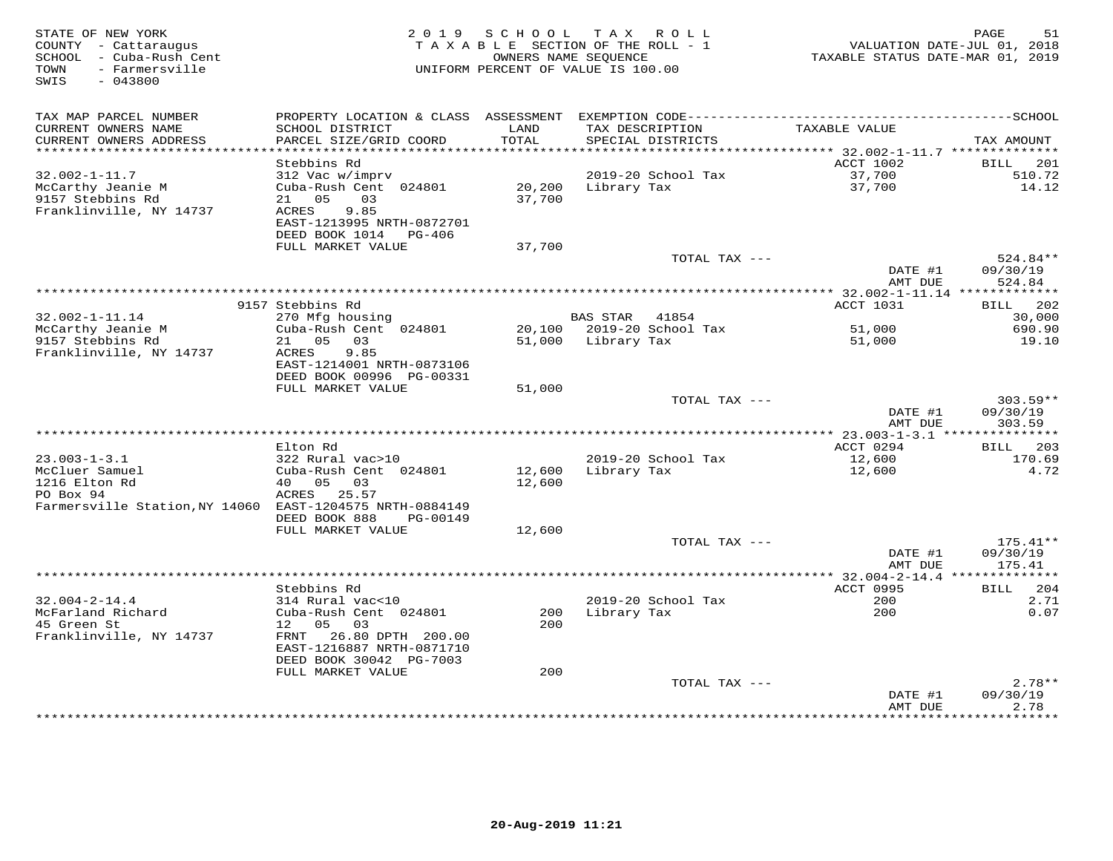| STATE OF NEW YORK<br>COUNTY - Cattaraugus<br>SCHOOL - Cuba-Rush Cent<br>- Farmersville<br>TOWN<br>SWIS<br>$-043800$ | 2 0 1 9                                                     | SCHOOL           | T A X<br>R O L L<br>TAXABLE SECTION OF THE ROLL - 1<br>OWNERS NAME SEOUENCE<br>UNIFORM PERCENT OF VALUE IS 100.00 | VALUATION DATE-JUL 01, 2018<br>TAXABLE STATUS DATE-MAR 01, 2019 | PAGE<br>51                   |
|---------------------------------------------------------------------------------------------------------------------|-------------------------------------------------------------|------------------|-------------------------------------------------------------------------------------------------------------------|-----------------------------------------------------------------|------------------------------|
| TAX MAP PARCEL NUMBER                                                                                               | PROPERTY LOCATION & CLASS ASSESSMENT                        |                  |                                                                                                                   |                                                                 |                              |
| CURRENT OWNERS NAME<br>CURRENT OWNERS ADDRESS                                                                       | SCHOOL DISTRICT<br>PARCEL SIZE/GRID COORD                   | LAND<br>TOTAL    | TAX DESCRIPTION<br>SPECIAL DISTRICTS                                                                              | TAXABLE VALUE                                                   | TAX AMOUNT                   |
| **********************                                                                                              |                                                             |                  |                                                                                                                   |                                                                 |                              |
| $32.002 - 1 - 11.7$                                                                                                 | Stebbins Rd                                                 |                  | 2019-20 School Tax                                                                                                | ACCT 1002<br>37,700                                             | <b>BILL</b><br>201<br>510.72 |
| McCarthy Jeanie M<br>9157 Stebbins Rd                                                                               | 312 Vac w/imprv<br>Cuba-Rush Cent 024801<br>0.5<br>03<br>21 | 20,200<br>37,700 | Library Tax                                                                                                       | 37,700                                                          | 14.12                        |
| Franklinville, NY 14737                                                                                             | 9.85<br>ACRES<br>EAST-1213995 NRTH-0872701                  |                  |                                                                                                                   |                                                                 |                              |
|                                                                                                                     | DEED BOOK 1014<br>PG-406<br>FULL MARKET VALUE               | 37,700           |                                                                                                                   |                                                                 |                              |
|                                                                                                                     |                                                             |                  | TOTAL TAX ---                                                                                                     |                                                                 | 524.84**                     |
|                                                                                                                     |                                                             |                  |                                                                                                                   | DATE #1<br>AMT DUE                                              | 09/30/19<br>524.84           |
|                                                                                                                     |                                                             |                  | ********************************                                                                                  | * 32.002-1-11.14 **************                                 |                              |
|                                                                                                                     | 9157 Stebbins Rd                                            |                  |                                                                                                                   | ACCT 1031                                                       | 202<br>BILL                  |
| $32.002 - 1 - 11.14$<br>McCarthy Jeanie M                                                                           | 270 Mfg housing<br>Cuba-Rush Cent 024801                    | 20,100           | <b>BAS STAR</b><br>41854<br>2019-20 School Tax                                                                    | 51,000                                                          | 30,000<br>690.90             |
| 9157 Stebbins Rd                                                                                                    | 21 05<br>03                                                 | 51,000           | Library Tax                                                                                                       | 51,000                                                          | 19.10                        |
| Franklinville, NY 14737                                                                                             | 9.85<br>ACRES                                               |                  |                                                                                                                   |                                                                 |                              |
|                                                                                                                     | EAST-1214001 NRTH-0873106                                   |                  |                                                                                                                   |                                                                 |                              |
|                                                                                                                     | DEED BOOK 00996 PG-00331                                    |                  |                                                                                                                   |                                                                 |                              |
|                                                                                                                     | FULL MARKET VALUE                                           | 51,000           |                                                                                                                   |                                                                 |                              |
|                                                                                                                     |                                                             |                  | TOTAL TAX ---                                                                                                     |                                                                 | $303.59**$                   |
|                                                                                                                     |                                                             |                  |                                                                                                                   | DATE #1                                                         | 09/30/19                     |
|                                                                                                                     |                                                             |                  |                                                                                                                   | AMT DUE<br>** 23.003-1-3.1 ****                                 | 303.59<br>***********        |
|                                                                                                                     | Elton Rd                                                    |                  |                                                                                                                   | ACCT 0294                                                       | 203<br>BILL                  |
| $23.003 - 1 - 3.1$                                                                                                  | 322 Rural vac>10                                            |                  | 2019-20 School Tax                                                                                                | 12,600                                                          | 170.69                       |
| McCluer Samuel                                                                                                      | Cuba-Rush Cent 024801                                       | 12,600           | Library Tax                                                                                                       | 12,600                                                          | 4.72                         |
| 1216 Elton Rd                                                                                                       | 05<br>40<br>03                                              | 12,600           |                                                                                                                   |                                                                 |                              |
| PO Box 94                                                                                                           | ACRES 25.57                                                 |                  |                                                                                                                   |                                                                 |                              |
| Farmersville Station, NY 14060 EAST-1204575 NRTH-0884149                                                            | DEED BOOK 888<br>PG-00149                                   |                  |                                                                                                                   |                                                                 |                              |
|                                                                                                                     | FULL MARKET VALUE                                           | 12,600           |                                                                                                                   |                                                                 |                              |
|                                                                                                                     |                                                             |                  | TOTAL TAX ---                                                                                                     | DATE #1                                                         | $175.41**$<br>09/30/19       |
|                                                                                                                     |                                                             |                  |                                                                                                                   | AMT DUE                                                         | 175.41                       |
|                                                                                                                     |                                                             |                  |                                                                                                                   | ************ 32.004-2-14.4                                      | **********                   |
|                                                                                                                     | Stebbins Rd                                                 |                  |                                                                                                                   | ACCT 0995                                                       | 204<br><b>BILL</b>           |
| $32.004 - 2 - 14.4$                                                                                                 | 314 Rural vac<10                                            |                  | 2019-20 School Tax                                                                                                | 200                                                             | 2.71                         |
| McFarland Richard                                                                                                   | Cuba-Rush Cent 024801                                       | 200              | Library Tax                                                                                                       | 200                                                             | 0.07                         |
| 45 Green St                                                                                                         | 05<br>03<br>12                                              | 200              |                                                                                                                   |                                                                 |                              |
| Franklinville, NY 14737                                                                                             | 26.80 DPTH 200.00<br>FRNT<br>EAST-1216887 NRTH-0871710      |                  |                                                                                                                   |                                                                 |                              |
|                                                                                                                     | DEED BOOK 30042 PG-7003                                     |                  |                                                                                                                   |                                                                 |                              |
|                                                                                                                     | FULL MARKET VALUE                                           | 200              |                                                                                                                   |                                                                 |                              |
|                                                                                                                     |                                                             |                  | TOTAL TAX ---                                                                                                     | DATE #1                                                         | $2.78**$<br>09/30/19         |
|                                                                                                                     |                                                             |                  |                                                                                                                   | AMT DUE                                                         | 2.78                         |
|                                                                                                                     |                                                             |                  |                                                                                                                   | ***********                                                     | *********                    |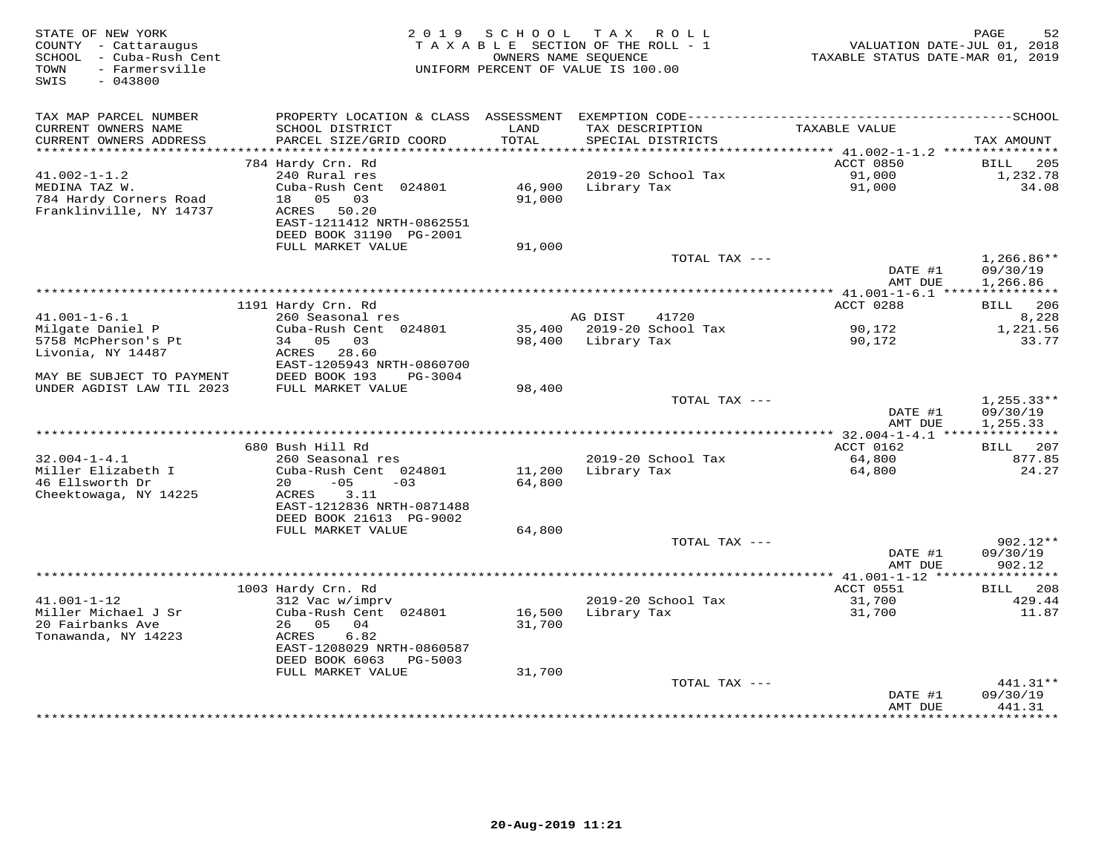| STATE OF NEW YORK<br>COUNTY - Cattaraugus<br>SCHOOL - Cuba-Rush Cent<br>- Farmersville<br>TOWN<br>$-043800$<br>SWIS | 2 0 1 9                                                                                    | SCHOOL           | TAX ROLL<br>TAXABLE SECTION OF THE ROLL - 1<br>OWNERS NAME SEOUENCE<br>UNIFORM PERCENT OF VALUE IS 100.00 | VALUATION DATE-JUL 01, 2018<br>TAXABLE STATUS DATE-MAR 01, 2019 | 52<br>PAGE                           |
|---------------------------------------------------------------------------------------------------------------------|--------------------------------------------------------------------------------------------|------------------|-----------------------------------------------------------------------------------------------------------|-----------------------------------------------------------------|--------------------------------------|
| TAX MAP PARCEL NUMBER                                                                                               | PROPERTY LOCATION & CLASS ASSESSMENT                                                       |                  |                                                                                                           |                                                                 |                                      |
| CURRENT OWNERS NAME<br>CURRENT OWNERS ADDRESS<br>**********************                                             | SCHOOL DISTRICT<br>PARCEL SIZE/GRID COORD                                                  | LAND<br>TOTAL    | TAX DESCRIPTION<br>SPECIAL DISTRICTS                                                                      | TAXABLE VALUE                                                   | TAX AMOUNT                           |
|                                                                                                                     | 784 Hardy Crn. Rd                                                                          |                  |                                                                                                           | ACCT 0850                                                       | 205<br>BILL                          |
| $41.002 - 1 - 1.2$                                                                                                  | 240 Rural res                                                                              |                  | 2019-20 School Tax                                                                                        | 91,000                                                          | 1,232.78                             |
| MEDINA TAZ W.<br>784 Hardy Corners Road<br>Franklinville, NY 14737                                                  | Cuba-Rush Cent 024801<br>05<br>03<br>18<br>ACRES<br>50.20                                  | 46,900<br>91,000 | Library Tax                                                                                               | 91,000                                                          | 34.08                                |
|                                                                                                                     | EAST-1211412 NRTH-0862551<br>DEED BOOK 31190 PG-2001                                       |                  |                                                                                                           |                                                                 |                                      |
|                                                                                                                     | FULL MARKET VALUE                                                                          | 91,000           |                                                                                                           |                                                                 |                                      |
|                                                                                                                     |                                                                                            |                  | TOTAL TAX ---                                                                                             | DATE #1<br>AMT DUE                                              | $1,266.86**$<br>09/30/19<br>1,266.86 |
|                                                                                                                     |                                                                                            |                  | ********************                                                                                      | $*$ 41.001-1-6.1 ****                                           | ***********                          |
|                                                                                                                     | 1191 Hardy Crn. Rd                                                                         |                  |                                                                                                           | ACCT 0288                                                       | 206<br>BILL                          |
| $41.001 - 1 - 6.1$                                                                                                  | 260 Seasonal res                                                                           |                  | AG DIST<br>41720                                                                                          |                                                                 | 8,228                                |
| Milgate Daniel P                                                                                                    | Cuba-Rush Cent 024801                                                                      | 35,400           | 2019-20 School Tax                                                                                        | 90,172                                                          | 1,221.56                             |
| 5758 McPherson's Pt                                                                                                 | 34 05<br>03                                                                                | 98,400           | Library Tax                                                                                               | 90,172                                                          | 33.77                                |
| Livonia, NY 14487<br>MAY BE SUBJECT TO PAYMENT                                                                      | ACRES 28.60<br>EAST-1205943 NRTH-0860700<br>DEED BOOK 193<br>PG-3004                       |                  |                                                                                                           |                                                                 |                                      |
| UNDER AGDIST LAW TIL 2023                                                                                           | FULL MARKET VALUE                                                                          | 98,400           |                                                                                                           |                                                                 |                                      |
|                                                                                                                     |                                                                                            |                  | TOTAL TAX ---                                                                                             | DATE #1<br>AMT DUE                                              | $1,255.33**$<br>09/30/19<br>1,255.33 |
|                                                                                                                     |                                                                                            |                  |                                                                                                           |                                                                 | ***********                          |
|                                                                                                                     | 680 Bush Hill Rd                                                                           |                  |                                                                                                           | ACCT 0162                                                       | 207<br>BILL                          |
| $32.004 - 1 - 4.1$                                                                                                  | 260 Seasonal res                                                                           |                  | 2019-20 School Tax                                                                                        | 64,800                                                          | 877.85                               |
| Miller Elizabeth I                                                                                                  | Cuba-Rush Cent 024801                                                                      | 11,200           | Library Tax                                                                                               | 64,800                                                          | 24.27                                |
| 46 Ellsworth Dr<br>Cheektowaga, NY 14225                                                                            | $-05$<br>20<br>$-03$<br>3.11<br>ACRES<br>EAST-1212836 NRTH-0871488                         | 64,800           |                                                                                                           |                                                                 |                                      |
|                                                                                                                     | DEED BOOK 21613 PG-9002                                                                    |                  |                                                                                                           |                                                                 |                                      |
|                                                                                                                     | FULL MARKET VALUE                                                                          | 64,800           |                                                                                                           |                                                                 |                                      |
|                                                                                                                     |                                                                                            |                  | TOTAL TAX ---                                                                                             |                                                                 | $902.12**$                           |
|                                                                                                                     |                                                                                            |                  |                                                                                                           | DATE #1<br>AMT DUE                                              | 09/30/19<br>902.12<br>***********    |
|                                                                                                                     | 1003 Hardy Crn. Rd                                                                         |                  |                                                                                                           | *********** 41.001-1-12 *****<br>ACCT 0551                      | 208<br>BILL                          |
| $41.001 - 1 - 12$                                                                                                   | 312 Vac w/imprv                                                                            |                  | 2019-20 School Tax                                                                                        | 31,700                                                          | 429.44                               |
| Miller Michael J Sr                                                                                                 | Cuba-Rush Cent 024801                                                                      | 16,500           | Library Tax                                                                                               | 31,700                                                          | 11.87                                |
| 20 Fairbanks Ave<br>Tonawanda, NY 14223                                                                             | 26<br>0.5<br>04<br>ACRES<br>6.82<br>EAST-1208029 NRTH-0860587<br>DEED BOOK 6063<br>PG-5003 | 31,700           |                                                                                                           |                                                                 |                                      |
|                                                                                                                     | FULL MARKET VALUE                                                                          | 31,700           |                                                                                                           |                                                                 |                                      |
|                                                                                                                     |                                                                                            |                  | TOTAL TAX ---                                                                                             | DATE #1                                                         | 441.31**<br>09/30/19                 |
|                                                                                                                     |                                                                                            |                  |                                                                                                           | AMT DUE<br>*********                                            | 441.31<br>* * * * * * * * * *        |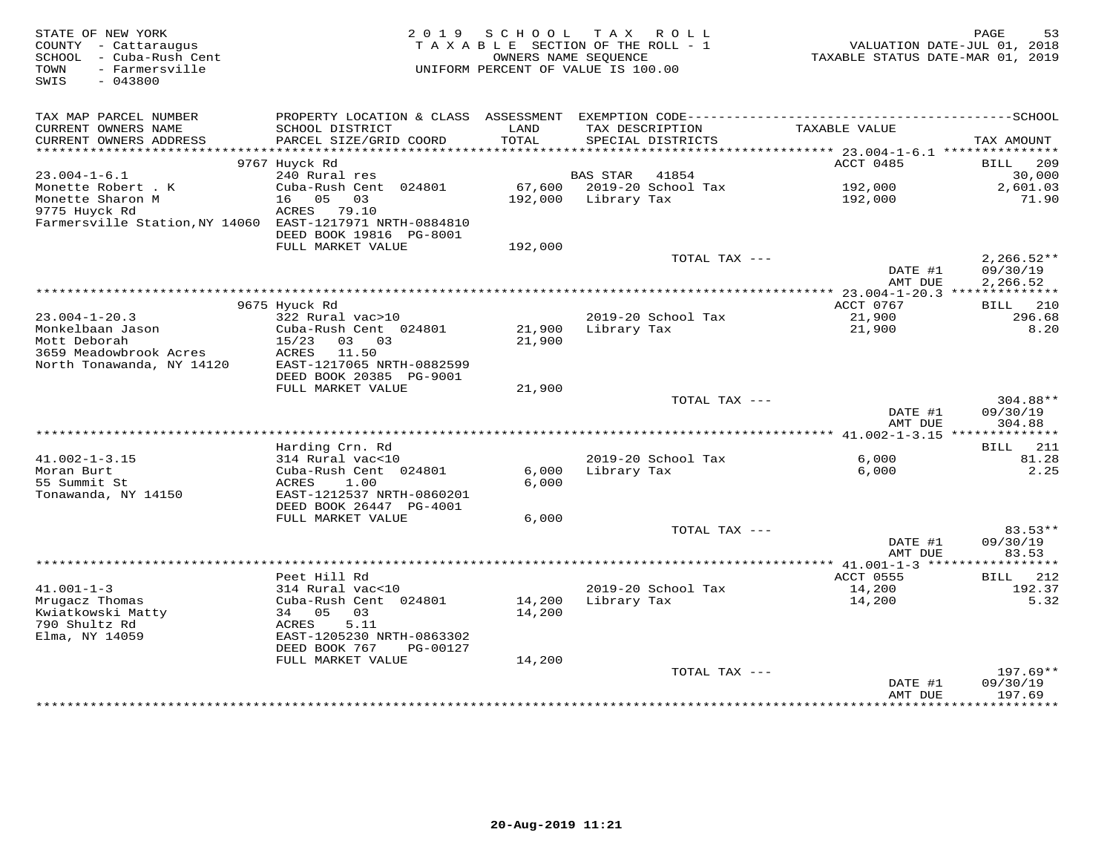| STATE OF NEW YORK<br>COUNTY - Cattaraugus<br>SCHOOL - Cuba-Rush Cent<br>- Farmersville<br>TOWN<br>SWIS<br>$-043800$ | 2019                                                                    | S C H O O L<br>TAXABLE SECTION OF THE ROLL - 1<br>UNIFORM PERCENT OF VALUE IS 100.00 | T A X<br>OWNERS NAME SEOUENCE | R O L L                              | VALUATION DATE-JUL 01, 2018<br>TAXABLE STATUS DATE-MAR 01, 2019                                               | PAGE<br>53                           |
|---------------------------------------------------------------------------------------------------------------------|-------------------------------------------------------------------------|--------------------------------------------------------------------------------------|-------------------------------|--------------------------------------|---------------------------------------------------------------------------------------------------------------|--------------------------------------|
| TAX MAP PARCEL NUMBER<br>CURRENT OWNERS NAME<br>CURRENT OWNERS ADDRESS                                              | SCHOOL DISTRICT<br>PARCEL SIZE/GRID COORD                               | LAND<br>TOTAL                                                                        |                               | TAX DESCRIPTION<br>SPECIAL DISTRICTS | PROPERTY LOCATION & CLASS ASSESSMENT EXEMPTION CODE-----------------------------------SCHOOL<br>TAXABLE VALUE | TAX AMOUNT                           |
|                                                                                                                     |                                                                         |                                                                                      |                               |                                      |                                                                                                               |                                      |
|                                                                                                                     | 9767 Huyck Rd                                                           |                                                                                      |                               |                                      | ACCT 0485                                                                                                     | BILL<br>209                          |
| $23.004 - 1 - 6.1$                                                                                                  | 240 Rural res                                                           |                                                                                      | <b>BAS STAR</b>               | 41854                                |                                                                                                               | 30,000                               |
| Monette Robert . K<br>Monette Sharon M                                                                              | Cuba-Rush Cent 024801<br>16 05 03                                       | 192,000                                                                              | Library Tax                   | 67,600 2019-20 School Tax            | 192,000<br>192,000                                                                                            | 2,601.03<br>71.90                    |
| 9775 Huyck Rd                                                                                                       | ACRES 79.10                                                             |                                                                                      |                               |                                      |                                                                                                               |                                      |
| Farmersville Station, NY 14060 EAST-1217971 NRTH-0884810                                                            | DEED BOOK 19816 PG-8001                                                 |                                                                                      |                               |                                      |                                                                                                               |                                      |
|                                                                                                                     | FULL MARKET VALUE                                                       | 192,000                                                                              |                               |                                      |                                                                                                               |                                      |
|                                                                                                                     |                                                                         |                                                                                      |                               | TOTAL TAX ---                        | DATE #1<br>AMT DUE                                                                                            | $2,266.52**$<br>09/30/19<br>2,266.52 |
|                                                                                                                     |                                                                         | *******************************                                                      |                               |                                      | ********* 23.004-1-20.3 **************                                                                        |                                      |
|                                                                                                                     | 9675 Hyuck Rd                                                           |                                                                                      |                               |                                      | ACCT 0767                                                                                                     | 210<br><b>BILL</b>                   |
| $23.004 - 1 - 20.3$                                                                                                 | 322 Rural vac>10                                                        |                                                                                      |                               | 2019-20 School Tax                   | 21,900                                                                                                        | 296.68                               |
| Monkelbaan Jason<br>Mott Deborah                                                                                    | Cuba-Rush Cent 024801<br>15/23<br>03 03                                 | 21,900<br>21,900                                                                     | Library Tax                   |                                      | 21,900                                                                                                        | 8.20                                 |
| 3659 Meadowbrook Acres<br>North Tonawanda, NY 14120                                                                 | ACRES<br>11.50<br>EAST-1217065 NRTH-0882599<br>DEED BOOK 20385 PG-9001  |                                                                                      |                               |                                      |                                                                                                               |                                      |
|                                                                                                                     | FULL MARKET VALUE                                                       | 21,900                                                                               |                               |                                      |                                                                                                               |                                      |
|                                                                                                                     |                                                                         |                                                                                      |                               | TOTAL TAX ---                        | DATE #1                                                                                                       | 304.88**<br>09/30/19                 |
|                                                                                                                     |                                                                         |                                                                                      |                               |                                      | AMT DUE                                                                                                       | 304.88                               |
|                                                                                                                     | Harding Crn. Rd                                                         |                                                                                      |                               |                                      |                                                                                                               | BILL 211                             |
| $41.002 - 1 - 3.15$                                                                                                 | 314 Rural vac<10                                                        |                                                                                      |                               | 2019-20 School Tax                   | 6,000                                                                                                         | 81.28                                |
| Moran Burt                                                                                                          | Cuba-Rush Cent 024801                                                   | 6,000                                                                                | Library Tax                   |                                      | 6,000                                                                                                         | 2.25                                 |
| 55 Summit St<br>Tonawanda, NY 14150                                                                                 | ACRES<br>1.00<br>EAST-1212537 NRTH-0860201                              | 6,000                                                                                |                               |                                      |                                                                                                               |                                      |
|                                                                                                                     | DEED BOOK 26447 PG-4001                                                 |                                                                                      |                               |                                      |                                                                                                               |                                      |
|                                                                                                                     | FULL MARKET VALUE                                                       | 6,000                                                                                |                               | TOTAL TAX ---                        |                                                                                                               | $83.53**$                            |
|                                                                                                                     |                                                                         |                                                                                      |                               |                                      | DATE #1<br>AMT DUE                                                                                            | 09/30/19<br>83.53                    |
|                                                                                                                     |                                                                         |                                                                                      |                               |                                      |                                                                                                               |                                      |
|                                                                                                                     | Peet Hill Rd                                                            |                                                                                      |                               |                                      | ACCT 0555                                                                                                     | 212<br>BILL                          |
| $41.001 - 1 - 3$                                                                                                    | 314 Rural vac<10                                                        |                                                                                      |                               | 2019-20 School Tax                   | 14,200                                                                                                        | 192.37                               |
| Mrugacz Thomas<br>Kwiatkowski Matty                                                                                 | Cuba-Rush Cent 024801<br>34 05<br>03                                    | 14,200<br>14,200                                                                     | Library Tax                   |                                      | 14,200                                                                                                        | 5.32                                 |
| 790 Shultz Rd<br>Elma, NY 14059                                                                                     | 5.11<br>ACRES<br>EAST-1205230 NRTH-0863302<br>DEED BOOK 767<br>PG-00127 |                                                                                      |                               |                                      |                                                                                                               |                                      |
|                                                                                                                     | FULL MARKET VALUE                                                       | 14,200                                                                               |                               |                                      |                                                                                                               |                                      |
|                                                                                                                     |                                                                         |                                                                                      |                               | TOTAL TAX ---                        | DATE #1                                                                                                       | 197.69**<br>09/30/19                 |
|                                                                                                                     |                                                                         |                                                                                      |                               |                                      | AMT DUE                                                                                                       | 197.69<br>**********                 |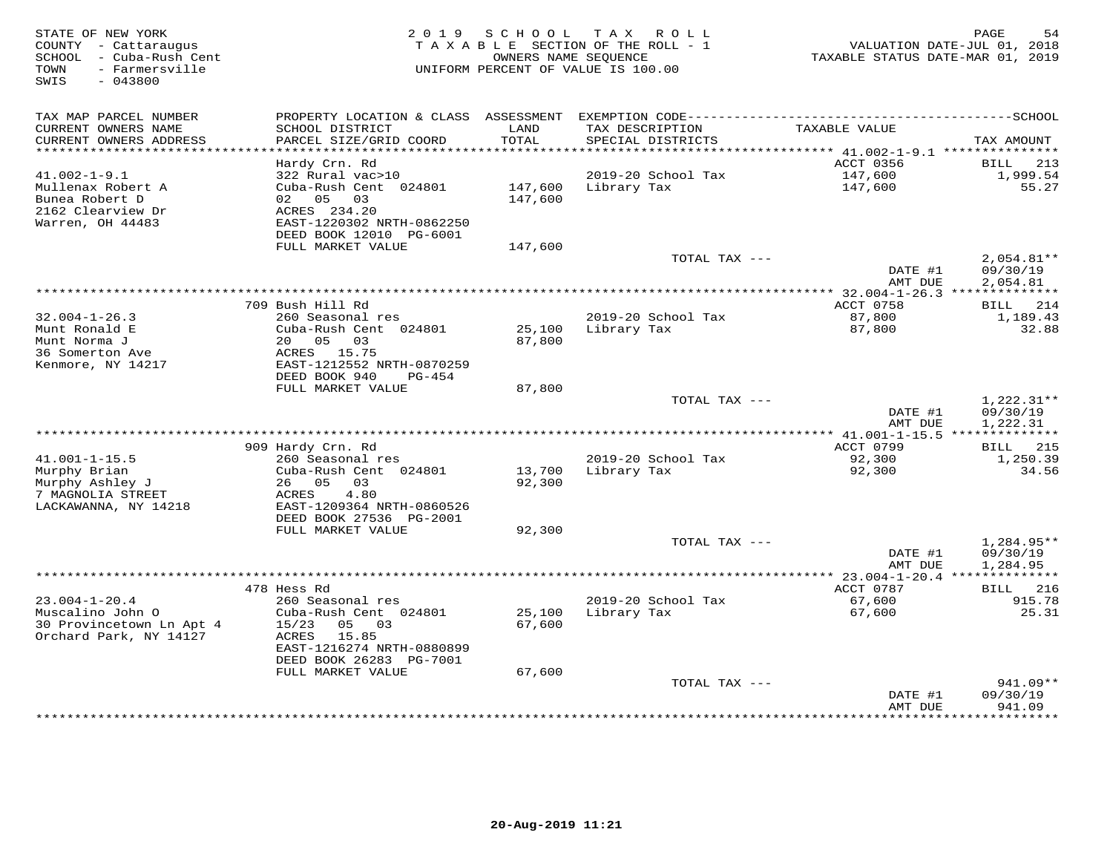| TAX MAP PARCEL NUMBER<br>PROPERTY LOCATION & CLASS<br>CURRENT OWNERS NAME<br>SCHOOL DISTRICT<br>LAND<br>TAX DESCRIPTION<br>TAXABLE VALUE<br>CURRENT OWNERS ADDRESS<br>PARCEL SIZE/GRID COORD<br>TOTAL<br>SPECIAL DISTRICTS<br>TAX AMOUNT<br>**********************<br>Hardy Crn. Rd<br>ACCT 0356<br><b>BILL</b><br>213<br>1,999.54<br>$41.002 - 1 - 9.1$<br>322 Rural vac>10<br>2019-20 School Tax<br>147,600<br>Cuba-Rush Cent 024801<br>147,600<br>147,600<br>55.27<br>Mullenax Robert A<br>Library Tax<br>Bunea Robert D<br>05<br>147,600<br>02<br>03<br>2162 Clearview Dr<br>ACRES 234.20<br>Warren, OH 44483<br>EAST-1220302 NRTH-0862250<br>DEED BOOK 12010 PG-6001<br>FULL MARKET VALUE<br>147,600<br>TOTAL TAX ---<br>$2,054.81**$<br>DATE #1<br>09/30/19<br>2,054.81<br>AMT DUE<br>$*$ 32.004-1-26.3 ***<br>***********<br>709 Bush Hill Rd<br>ACCT 0758<br>214<br>BILL<br>87,800<br>$32.004 - 1 - 26.3$<br>260 Seasonal res<br>2019-20 School Tax<br>1,189.43<br>Munt Ronald E<br>Cuba-Rush Cent 024801<br>25,100<br>Library Tax<br>87,800<br>32.88<br>Munt Norma J<br>20  05  03<br>87,800<br>36 Somerton Ave<br>ACRES 15.75<br>Kenmore, NY 14217<br>EAST-1212552 NRTH-0870259<br>DEED BOOK 940<br>PG-454<br>FULL MARKET VALUE<br>87,800<br>TOTAL TAX ---<br>$1,222.31**$<br>09/30/19<br>DATE #1<br>1,222.31<br>AMT DUE<br>ACCT 0799<br>909 Hardy Crn. Rd<br>215<br>BILL<br>$41.001 - 1 - 15.5$<br>260 Seasonal res<br>2019-20 School Tax<br>92,300<br>1,250.39<br>Murphy Brian<br>Cuba-Rush Cent 024801<br>13,700<br>Library Tax<br>34.56<br>92,300<br>Murphy Ashley J<br>26 05 03<br>92,300<br>7 MAGNOLIA STREET<br>ACRES<br>4.80<br>LACKAWANNA, NY 14218<br>EAST-1209364 NRTH-0860526<br>DEED BOOK 27536 PG-2001<br>92,300<br>FULL MARKET VALUE<br>$1,284.95**$<br>TOTAL TAX ---<br>DATE #1<br>09/30/19<br>AMT DUE<br>1,284.95<br>********<br>478 Hess Rd<br>ACCT 0787<br>216<br>BILL |
|-----------------------------------------------------------------------------------------------------------------------------------------------------------------------------------------------------------------------------------------------------------------------------------------------------------------------------------------------------------------------------------------------------------------------------------------------------------------------------------------------------------------------------------------------------------------------------------------------------------------------------------------------------------------------------------------------------------------------------------------------------------------------------------------------------------------------------------------------------------------------------------------------------------------------------------------------------------------------------------------------------------------------------------------------------------------------------------------------------------------------------------------------------------------------------------------------------------------------------------------------------------------------------------------------------------------------------------------------------------------------------------------------------------------------------------------------------------------------------------------------------------------------------------------------------------------------------------------------------------------------------------------------------------------------------------------------------------------------------------------------------------------------------------------------------------------------------------------------------------------------------------------------------|
|                                                                                                                                                                                                                                                                                                                                                                                                                                                                                                                                                                                                                                                                                                                                                                                                                                                                                                                                                                                                                                                                                                                                                                                                                                                                                                                                                                                                                                                                                                                                                                                                                                                                                                                                                                                                                                                                                                     |
|                                                                                                                                                                                                                                                                                                                                                                                                                                                                                                                                                                                                                                                                                                                                                                                                                                                                                                                                                                                                                                                                                                                                                                                                                                                                                                                                                                                                                                                                                                                                                                                                                                                                                                                                                                                                                                                                                                     |
|                                                                                                                                                                                                                                                                                                                                                                                                                                                                                                                                                                                                                                                                                                                                                                                                                                                                                                                                                                                                                                                                                                                                                                                                                                                                                                                                                                                                                                                                                                                                                                                                                                                                                                                                                                                                                                                                                                     |
|                                                                                                                                                                                                                                                                                                                                                                                                                                                                                                                                                                                                                                                                                                                                                                                                                                                                                                                                                                                                                                                                                                                                                                                                                                                                                                                                                                                                                                                                                                                                                                                                                                                                                                                                                                                                                                                                                                     |
|                                                                                                                                                                                                                                                                                                                                                                                                                                                                                                                                                                                                                                                                                                                                                                                                                                                                                                                                                                                                                                                                                                                                                                                                                                                                                                                                                                                                                                                                                                                                                                                                                                                                                                                                                                                                                                                                                                     |
|                                                                                                                                                                                                                                                                                                                                                                                                                                                                                                                                                                                                                                                                                                                                                                                                                                                                                                                                                                                                                                                                                                                                                                                                                                                                                                                                                                                                                                                                                                                                                                                                                                                                                                                                                                                                                                                                                                     |
|                                                                                                                                                                                                                                                                                                                                                                                                                                                                                                                                                                                                                                                                                                                                                                                                                                                                                                                                                                                                                                                                                                                                                                                                                                                                                                                                                                                                                                                                                                                                                                                                                                                                                                                                                                                                                                                                                                     |
|                                                                                                                                                                                                                                                                                                                                                                                                                                                                                                                                                                                                                                                                                                                                                                                                                                                                                                                                                                                                                                                                                                                                                                                                                                                                                                                                                                                                                                                                                                                                                                                                                                                                                                                                                                                                                                                                                                     |
|                                                                                                                                                                                                                                                                                                                                                                                                                                                                                                                                                                                                                                                                                                                                                                                                                                                                                                                                                                                                                                                                                                                                                                                                                                                                                                                                                                                                                                                                                                                                                                                                                                                                                                                                                                                                                                                                                                     |
|                                                                                                                                                                                                                                                                                                                                                                                                                                                                                                                                                                                                                                                                                                                                                                                                                                                                                                                                                                                                                                                                                                                                                                                                                                                                                                                                                                                                                                                                                                                                                                                                                                                                                                                                                                                                                                                                                                     |
|                                                                                                                                                                                                                                                                                                                                                                                                                                                                                                                                                                                                                                                                                                                                                                                                                                                                                                                                                                                                                                                                                                                                                                                                                                                                                                                                                                                                                                                                                                                                                                                                                                                                                                                                                                                                                                                                                                     |
|                                                                                                                                                                                                                                                                                                                                                                                                                                                                                                                                                                                                                                                                                                                                                                                                                                                                                                                                                                                                                                                                                                                                                                                                                                                                                                                                                                                                                                                                                                                                                                                                                                                                                                                                                                                                                                                                                                     |
|                                                                                                                                                                                                                                                                                                                                                                                                                                                                                                                                                                                                                                                                                                                                                                                                                                                                                                                                                                                                                                                                                                                                                                                                                                                                                                                                                                                                                                                                                                                                                                                                                                                                                                                                                                                                                                                                                                     |
|                                                                                                                                                                                                                                                                                                                                                                                                                                                                                                                                                                                                                                                                                                                                                                                                                                                                                                                                                                                                                                                                                                                                                                                                                                                                                                                                                                                                                                                                                                                                                                                                                                                                                                                                                                                                                                                                                                     |
|                                                                                                                                                                                                                                                                                                                                                                                                                                                                                                                                                                                                                                                                                                                                                                                                                                                                                                                                                                                                                                                                                                                                                                                                                                                                                                                                                                                                                                                                                                                                                                                                                                                                                                                                                                                                                                                                                                     |
|                                                                                                                                                                                                                                                                                                                                                                                                                                                                                                                                                                                                                                                                                                                                                                                                                                                                                                                                                                                                                                                                                                                                                                                                                                                                                                                                                                                                                                                                                                                                                                                                                                                                                                                                                                                                                                                                                                     |
|                                                                                                                                                                                                                                                                                                                                                                                                                                                                                                                                                                                                                                                                                                                                                                                                                                                                                                                                                                                                                                                                                                                                                                                                                                                                                                                                                                                                                                                                                                                                                                                                                                                                                                                                                                                                                                                                                                     |
|                                                                                                                                                                                                                                                                                                                                                                                                                                                                                                                                                                                                                                                                                                                                                                                                                                                                                                                                                                                                                                                                                                                                                                                                                                                                                                                                                                                                                                                                                                                                                                                                                                                                                                                                                                                                                                                                                                     |
|                                                                                                                                                                                                                                                                                                                                                                                                                                                                                                                                                                                                                                                                                                                                                                                                                                                                                                                                                                                                                                                                                                                                                                                                                                                                                                                                                                                                                                                                                                                                                                                                                                                                                                                                                                                                                                                                                                     |
|                                                                                                                                                                                                                                                                                                                                                                                                                                                                                                                                                                                                                                                                                                                                                                                                                                                                                                                                                                                                                                                                                                                                                                                                                                                                                                                                                                                                                                                                                                                                                                                                                                                                                                                                                                                                                                                                                                     |
|                                                                                                                                                                                                                                                                                                                                                                                                                                                                                                                                                                                                                                                                                                                                                                                                                                                                                                                                                                                                                                                                                                                                                                                                                                                                                                                                                                                                                                                                                                                                                                                                                                                                                                                                                                                                                                                                                                     |
|                                                                                                                                                                                                                                                                                                                                                                                                                                                                                                                                                                                                                                                                                                                                                                                                                                                                                                                                                                                                                                                                                                                                                                                                                                                                                                                                                                                                                                                                                                                                                                                                                                                                                                                                                                                                                                                                                                     |
|                                                                                                                                                                                                                                                                                                                                                                                                                                                                                                                                                                                                                                                                                                                                                                                                                                                                                                                                                                                                                                                                                                                                                                                                                                                                                                                                                                                                                                                                                                                                                                                                                                                                                                                                                                                                                                                                                                     |
|                                                                                                                                                                                                                                                                                                                                                                                                                                                                                                                                                                                                                                                                                                                                                                                                                                                                                                                                                                                                                                                                                                                                                                                                                                                                                                                                                                                                                                                                                                                                                                                                                                                                                                                                                                                                                                                                                                     |
|                                                                                                                                                                                                                                                                                                                                                                                                                                                                                                                                                                                                                                                                                                                                                                                                                                                                                                                                                                                                                                                                                                                                                                                                                                                                                                                                                                                                                                                                                                                                                                                                                                                                                                                                                                                                                                                                                                     |
|                                                                                                                                                                                                                                                                                                                                                                                                                                                                                                                                                                                                                                                                                                                                                                                                                                                                                                                                                                                                                                                                                                                                                                                                                                                                                                                                                                                                                                                                                                                                                                                                                                                                                                                                                                                                                                                                                                     |
|                                                                                                                                                                                                                                                                                                                                                                                                                                                                                                                                                                                                                                                                                                                                                                                                                                                                                                                                                                                                                                                                                                                                                                                                                                                                                                                                                                                                                                                                                                                                                                                                                                                                                                                                                                                                                                                                                                     |
|                                                                                                                                                                                                                                                                                                                                                                                                                                                                                                                                                                                                                                                                                                                                                                                                                                                                                                                                                                                                                                                                                                                                                                                                                                                                                                                                                                                                                                                                                                                                                                                                                                                                                                                                                                                                                                                                                                     |
|                                                                                                                                                                                                                                                                                                                                                                                                                                                                                                                                                                                                                                                                                                                                                                                                                                                                                                                                                                                                                                                                                                                                                                                                                                                                                                                                                                                                                                                                                                                                                                                                                                                                                                                                                                                                                                                                                                     |
|                                                                                                                                                                                                                                                                                                                                                                                                                                                                                                                                                                                                                                                                                                                                                                                                                                                                                                                                                                                                                                                                                                                                                                                                                                                                                                                                                                                                                                                                                                                                                                                                                                                                                                                                                                                                                                                                                                     |
|                                                                                                                                                                                                                                                                                                                                                                                                                                                                                                                                                                                                                                                                                                                                                                                                                                                                                                                                                                                                                                                                                                                                                                                                                                                                                                                                                                                                                                                                                                                                                                                                                                                                                                                                                                                                                                                                                                     |
|                                                                                                                                                                                                                                                                                                                                                                                                                                                                                                                                                                                                                                                                                                                                                                                                                                                                                                                                                                                                                                                                                                                                                                                                                                                                                                                                                                                                                                                                                                                                                                                                                                                                                                                                                                                                                                                                                                     |
|                                                                                                                                                                                                                                                                                                                                                                                                                                                                                                                                                                                                                                                                                                                                                                                                                                                                                                                                                                                                                                                                                                                                                                                                                                                                                                                                                                                                                                                                                                                                                                                                                                                                                                                                                                                                                                                                                                     |
|                                                                                                                                                                                                                                                                                                                                                                                                                                                                                                                                                                                                                                                                                                                                                                                                                                                                                                                                                                                                                                                                                                                                                                                                                                                                                                                                                                                                                                                                                                                                                                                                                                                                                                                                                                                                                                                                                                     |
|                                                                                                                                                                                                                                                                                                                                                                                                                                                                                                                                                                                                                                                                                                                                                                                                                                                                                                                                                                                                                                                                                                                                                                                                                                                                                                                                                                                                                                                                                                                                                                                                                                                                                                                                                                                                                                                                                                     |
|                                                                                                                                                                                                                                                                                                                                                                                                                                                                                                                                                                                                                                                                                                                                                                                                                                                                                                                                                                                                                                                                                                                                                                                                                                                                                                                                                                                                                                                                                                                                                                                                                                                                                                                                                                                                                                                                                                     |
| $23.004 - 1 - 20.4$<br>260 Seasonal res<br>2019-20 School Tax<br>67,600<br>915.78                                                                                                                                                                                                                                                                                                                                                                                                                                                                                                                                                                                                                                                                                                                                                                                                                                                                                                                                                                                                                                                                                                                                                                                                                                                                                                                                                                                                                                                                                                                                                                                                                                                                                                                                                                                                                   |
| Muscalino John O<br>25,100<br>Cuba-Rush Cent 024801<br>Library Tax<br>67,600<br>25.31                                                                                                                                                                                                                                                                                                                                                                                                                                                                                                                                                                                                                                                                                                                                                                                                                                                                                                                                                                                                                                                                                                                                                                                                                                                                                                                                                                                                                                                                                                                                                                                                                                                                                                                                                                                                               |
| 30 Provincetown Ln Apt 4<br>15/23<br>05 03<br>67,600<br>Orchard Park, NY 14127<br>15.85<br>ACRES                                                                                                                                                                                                                                                                                                                                                                                                                                                                                                                                                                                                                                                                                                                                                                                                                                                                                                                                                                                                                                                                                                                                                                                                                                                                                                                                                                                                                                                                                                                                                                                                                                                                                                                                                                                                    |
| EAST-1216274 NRTH-0880899                                                                                                                                                                                                                                                                                                                                                                                                                                                                                                                                                                                                                                                                                                                                                                                                                                                                                                                                                                                                                                                                                                                                                                                                                                                                                                                                                                                                                                                                                                                                                                                                                                                                                                                                                                                                                                                                           |
| DEED BOOK 26283 PG-7001                                                                                                                                                                                                                                                                                                                                                                                                                                                                                                                                                                                                                                                                                                                                                                                                                                                                                                                                                                                                                                                                                                                                                                                                                                                                                                                                                                                                                                                                                                                                                                                                                                                                                                                                                                                                                                                                             |
| FULL MARKET VALUE<br>67,600                                                                                                                                                                                                                                                                                                                                                                                                                                                                                                                                                                                                                                                                                                                                                                                                                                                                                                                                                                                                                                                                                                                                                                                                                                                                                                                                                                                                                                                                                                                                                                                                                                                                                                                                                                                                                                                                         |
| TOTAL TAX ---<br>941.09**                                                                                                                                                                                                                                                                                                                                                                                                                                                                                                                                                                                                                                                                                                                                                                                                                                                                                                                                                                                                                                                                                                                                                                                                                                                                                                                                                                                                                                                                                                                                                                                                                                                                                                                                                                                                                                                                           |
| DATE #1<br>09/30/19                                                                                                                                                                                                                                                                                                                                                                                                                                                                                                                                                                                                                                                                                                                                                                                                                                                                                                                                                                                                                                                                                                                                                                                                                                                                                                                                                                                                                                                                                                                                                                                                                                                                                                                                                                                                                                                                                 |
| 941.09<br>AMT DUE<br>********                                                                                                                                                                                                                                                                                                                                                                                                                                                                                                                                                                                                                                                                                                                                                                                                                                                                                                                                                                                                                                                                                                                                                                                                                                                                                                                                                                                                                                                                                                                                                                                                                                                                                                                                                                                                                                                                       |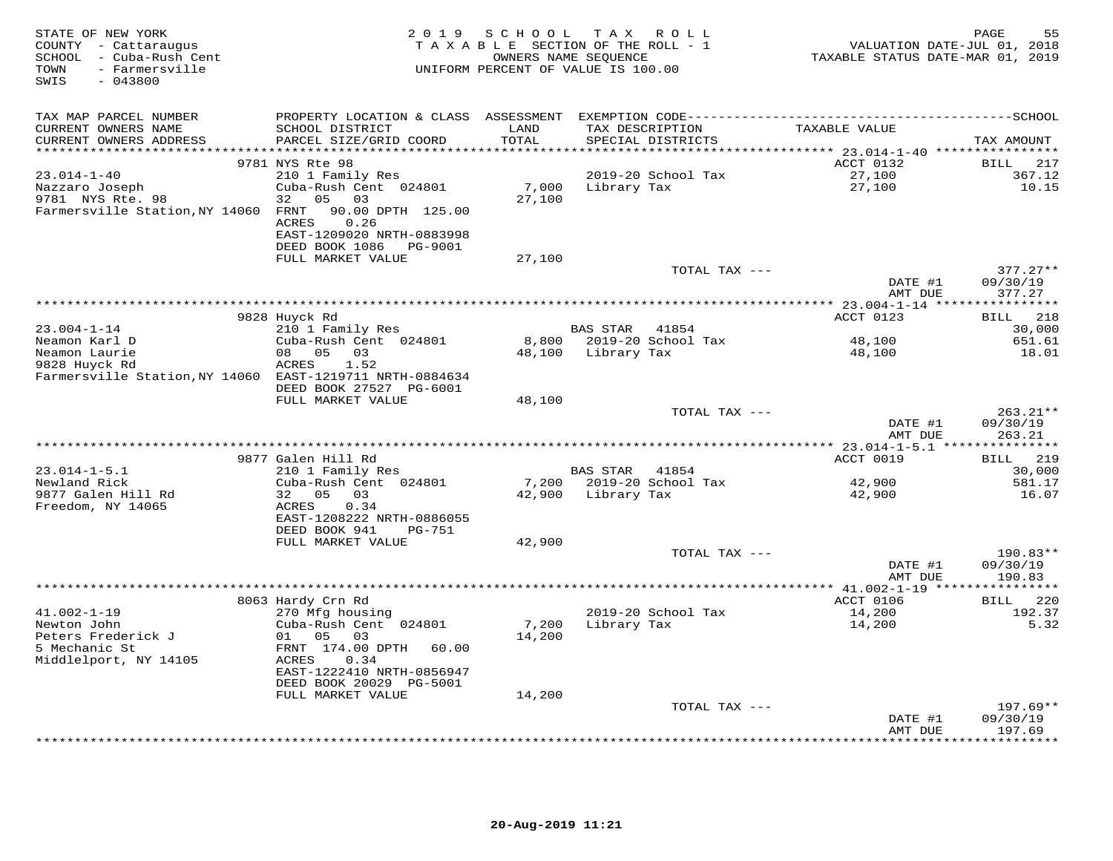| STATE OF NEW YORK<br>COUNTY - Cattaraugus<br>SCHOOL - Cuba-Rush Cent<br>- Farmersville<br>TOWN<br>$-043800$<br>SWIS |                                                                                                             | 2019 SCHOOL | T A X<br>R O L L<br>TAXABLE SECTION OF THE ROLL - 1<br>OWNERS NAME SEQUENCE<br>UNIFORM PERCENT OF VALUE IS 100.00 |                  | 55<br>PAGE<br>VALUATION DATE-JUL 01, 2018<br>TAXABLE STATUS DATE-MAR 01, 2019 |
|---------------------------------------------------------------------------------------------------------------------|-------------------------------------------------------------------------------------------------------------|-------------|-------------------------------------------------------------------------------------------------------------------|------------------|-------------------------------------------------------------------------------|
| TAX MAP PARCEL NUMBER                                                                                               |                                                                                                             |             |                                                                                                                   |                  |                                                                               |
| CURRENT OWNERS NAME                                                                                                 | SCHOOL DISTRICT                                                                                             | LAND        | TAX DESCRIPTION                                                                                                   | TAXABLE VALUE    |                                                                               |
| CURRENT OWNERS ADDRESS                                                                                              | PARCEL SIZE/GRID COORD                                                                                      | TOTAL       | SPECIAL DISTRICTS                                                                                                 |                  | TAX AMOUNT                                                                    |
|                                                                                                                     | 9781 NYS Rte 98                                                                                             |             |                                                                                                                   | ACCT 0132        | BILL 217                                                                      |
| $23.014 - 1 - 40$                                                                                                   | 210 1 Family Res                                                                                            |             | 2019-20 School Tax                                                                                                | 27,100           | 367.12                                                                        |
| Nazzaro Joseph                                                                                                      | Cuba-Rush Cent 024801                                                                                       | 7,000       | Library Tax                                                                                                       | 27,100           | 10.15                                                                         |
| 9781 NYS Rte. 98<br>Farmersville Station, NY 14060 FRNT                                                             | 05 03<br>32<br>90.00 DPTH 125.00<br>0.26<br>ACRES<br>EAST-1209020 NRTH-0883998<br>DEED BOOK 1086    PG-9001 | 27,100      |                                                                                                                   |                  |                                                                               |
|                                                                                                                     | FULL MARKET VALUE                                                                                           | 27,100      |                                                                                                                   |                  |                                                                               |
|                                                                                                                     |                                                                                                             |             |                                                                                                                   | TOTAL TAX ---    | $377.27**$                                                                    |
|                                                                                                                     |                                                                                                             |             |                                                                                                                   |                  | DATE #1<br>09/30/19<br>AMT DUE<br>377.27                                      |
|                                                                                                                     |                                                                                                             |             |                                                                                                                   |                  |                                                                               |
| $23.004 - 1 - 14$                                                                                                   | 9828 Huyck Rd<br>210 1 Family Res                                                                           |             | BAS STAR<br>41854                                                                                                 | ACCT 0123        | 218<br><b>BILL</b><br>30,000                                                  |
| Neamon Karl D                                                                                                       | Cuba-Rush Cent 024801                                                                                       |             | 8,800 2019-20 School Tax                                                                                          | 48,100           | 651.61                                                                        |
| Neamon Laurie                                                                                                       | 08<br>05 03                                                                                                 | 48,100      | Library Tax                                                                                                       | 48,100           | 18.01                                                                         |
| 9828 Huyck Rd                                                                                                       | ACRES<br>1.52                                                                                               |             |                                                                                                                   |                  |                                                                               |
| Farmersville Station, NY 14060 EAST-1219711 NRTH-0884634                                                            |                                                                                                             |             |                                                                                                                   |                  |                                                                               |
|                                                                                                                     | DEED BOOK 27527 PG-6001<br>FULL MARKET VALUE                                                                |             |                                                                                                                   |                  |                                                                               |
|                                                                                                                     |                                                                                                             | 48,100      |                                                                                                                   | TOTAL TAX ---    | $263.21**$                                                                    |
|                                                                                                                     |                                                                                                             |             |                                                                                                                   |                  | 09/30/19<br>DATE #1<br>AMT DUE<br>263.21                                      |
|                                                                                                                     |                                                                                                             |             |                                                                                                                   |                  |                                                                               |
| $23.014 - 1 - 5.1$                                                                                                  | 9877 Galen Hill Rd                                                                                          |             | BAS STAR<br>41854                                                                                                 | ACCT 0019        | 219<br>BILL<br>30,000                                                         |
| Newland Rick                                                                                                        | 210 1 Family Res<br>Cuba-Rush Cent 024801                                                                   | 7,200       | 2019-20 School Tax                                                                                                | 42,900           | 581.17                                                                        |
| 9877 Galen Hill Rd                                                                                                  | 32 05 03                                                                                                    | 42,900      | Library Tax                                                                                                       | 42,900           | 16.07                                                                         |
| Freedom, NY 14065                                                                                                   | ACRES<br>0.34                                                                                               |             |                                                                                                                   |                  |                                                                               |
|                                                                                                                     | EAST-1208222 NRTH-0886055                                                                                   |             |                                                                                                                   |                  |                                                                               |
|                                                                                                                     | DEED BOOK 941<br>PG-751                                                                                     |             |                                                                                                                   |                  |                                                                               |
|                                                                                                                     | FULL MARKET VALUE                                                                                           | 42,900      |                                                                                                                   | TOTAL TAX ---    | 190.83**                                                                      |
|                                                                                                                     |                                                                                                             |             |                                                                                                                   |                  | 09/30/19<br>DATE #1                                                           |
|                                                                                                                     |                                                                                                             |             |                                                                                                                   |                  | 190.83<br>AMT DUE                                                             |
|                                                                                                                     |                                                                                                             |             |                                                                                                                   |                  | *********** 41.002-1-19 *****************                                     |
|                                                                                                                     | 8063 Hardy Crn Rd                                                                                           |             |                                                                                                                   | ACCT 0106        | BILL 220                                                                      |
| $41.002 - 1 - 19$<br>Newton John                                                                                    | 270 Mfg housing<br>Cuba-Rush Cent 024801                                                                    | 7,200       | 2019-20 School Tax<br>Library Tax                                                                                 | 14,200<br>14,200 | 192.37<br>5.32                                                                |
| Peters Frederick J                                                                                                  | 01<br>05<br>03                                                                                              | 14,200      |                                                                                                                   |                  |                                                                               |
| 5 Mechanic St                                                                                                       | FRNT 174.00 DPTH 60.00                                                                                      |             |                                                                                                                   |                  |                                                                               |
| Middlelport, NY 14105                                                                                               | ACRES<br>0.34                                                                                               |             |                                                                                                                   |                  |                                                                               |
|                                                                                                                     | EAST-1222410 NRTH-0856947                                                                                   |             |                                                                                                                   |                  |                                                                               |
|                                                                                                                     | DEED BOOK 20029 PG-5001<br>FULL MARKET VALUE                                                                | 14,200      |                                                                                                                   |                  |                                                                               |
|                                                                                                                     |                                                                                                             |             |                                                                                                                   | TOTAL TAX ---    | $197.69**$                                                                    |
|                                                                                                                     |                                                                                                             |             |                                                                                                                   |                  | 09/30/19<br>DATE #1                                                           |
|                                                                                                                     |                                                                                                             |             |                                                                                                                   |                  | AMT DUE<br>197.69                                                             |
|                                                                                                                     |                                                                                                             |             |                                                                                                                   |                  | * * * * * * * *                                                               |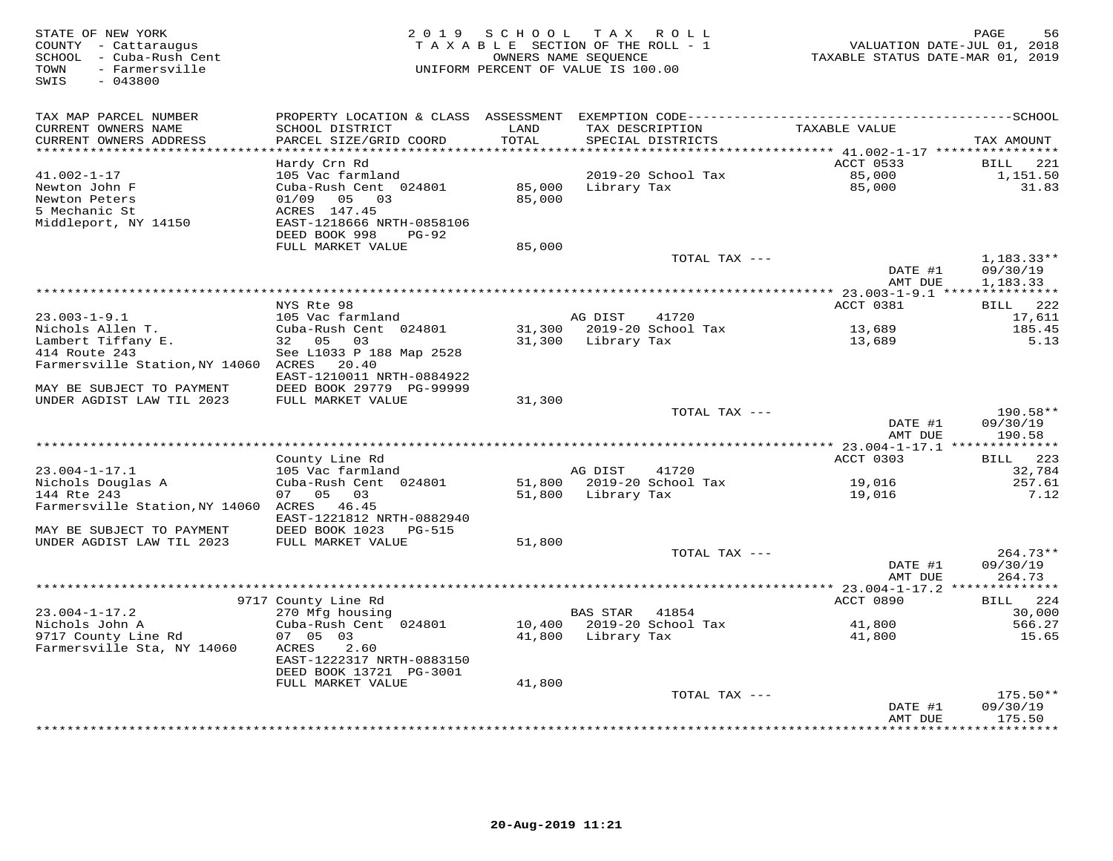| STATE OF NEW YORK<br>COUNTY - Cattaraugus<br>SCHOOL - Cuba-Rush Cent<br>- Farmersville<br>TOWN<br>$-043800$<br>SWIS | 2 0 1 9                                   | SCHOOL<br>TAXABLE SECTION OF THE ROLL - 1<br>OWNERS NAME SEQUENCE<br>UNIFORM PERCENT OF VALUE IS 100.00 | T A X                      | R O L L                              | VALUATION DATE-JUL 01, 2018<br>TAXABLE STATUS DATE-MAR 01, 2019 | PAGE<br>56                   |
|---------------------------------------------------------------------------------------------------------------------|-------------------------------------------|---------------------------------------------------------------------------------------------------------|----------------------------|--------------------------------------|-----------------------------------------------------------------|------------------------------|
| TAX MAP PARCEL NUMBER                                                                                               | PROPERTY LOCATION & CLASS ASSESSMENT      |                                                                                                         |                            |                                      |                                                                 |                              |
| CURRENT OWNERS NAME<br>CURRENT OWNERS ADDRESS                                                                       | SCHOOL DISTRICT<br>PARCEL SIZE/GRID COORD | LAND<br>TOTAL                                                                                           |                            | TAX DESCRIPTION<br>SPECIAL DISTRICTS | TAXABLE VALUE                                                   | TAX AMOUNT                   |
| **********************                                                                                              |                                           |                                                                                                         |                            |                                      | ACCT 0533                                                       | 221                          |
| $41.002 - 1 - 17$                                                                                                   | Hardy Crn Rd<br>105 Vac farmland          |                                                                                                         |                            | 2019-20 School Tax                   | 85,000                                                          | BILL<br>1,151.50             |
| Newton John F                                                                                                       | Cuba-Rush Cent 024801                     | 85,000                                                                                                  | Library Tax                |                                      | 85,000                                                          | 31.83                        |
| Newton Peters                                                                                                       | 03<br>01/09<br>05                         | 85,000                                                                                                  |                            |                                      |                                                                 |                              |
| 5 Mechanic St                                                                                                       | ACRES 147.45                              |                                                                                                         |                            |                                      |                                                                 |                              |
| Middleport, NY 14150                                                                                                | EAST-1218666 NRTH-0858106                 |                                                                                                         |                            |                                      |                                                                 |                              |
|                                                                                                                     | DEED BOOK 998<br>$PG-92$                  |                                                                                                         |                            |                                      |                                                                 |                              |
|                                                                                                                     | FULL MARKET VALUE                         | 85,000                                                                                                  |                            |                                      |                                                                 |                              |
|                                                                                                                     |                                           |                                                                                                         |                            | TOTAL TAX ---                        |                                                                 | $1,183.33**$                 |
|                                                                                                                     |                                           |                                                                                                         |                            |                                      | DATE #1                                                         | 09/30/19                     |
|                                                                                                                     |                                           |                                                                                                         |                            |                                      | AMT DUE                                                         | 1,183.33                     |
|                                                                                                                     |                                           |                                                                                                         |                            |                                      |                                                                 |                              |
| $23.003 - 1 - 9.1$                                                                                                  | NYS Rte 98<br>105 Vac farmland            |                                                                                                         | AG DIST                    | 41720                                | ACCT 0381                                                       | 222<br><b>BILL</b><br>17,611 |
| Nichols Allen T.                                                                                                    | Cuba-Rush Cent 024801                     | 31,300                                                                                                  |                            | 2019-20 School Tax                   | 13,689                                                          | 185.45                       |
| Lambert Tiffany E.                                                                                                  | 32 05<br>03                               | 31,300                                                                                                  | Library Tax                |                                      | 13,689                                                          | 5.13                         |
| 414 Route 243                                                                                                       | See L1033 P 188 Map 2528                  |                                                                                                         |                            |                                      |                                                                 |                              |
| Farmersville Station, NY 14060                                                                                      | 20.40<br>ACRES                            |                                                                                                         |                            |                                      |                                                                 |                              |
|                                                                                                                     | EAST-1210011 NRTH-0884922                 |                                                                                                         |                            |                                      |                                                                 |                              |
| MAY BE SUBJECT TO PAYMENT                                                                                           | DEED BOOK 29779 PG-99999                  |                                                                                                         |                            |                                      |                                                                 |                              |
| UNDER AGDIST LAW TIL 2023                                                                                           | FULL MARKET VALUE                         | 31,300                                                                                                  |                            |                                      |                                                                 |                              |
|                                                                                                                     |                                           |                                                                                                         |                            | TOTAL TAX ---                        |                                                                 | 190.58**                     |
|                                                                                                                     |                                           |                                                                                                         |                            |                                      | DATE #1                                                         | 09/30/19                     |
|                                                                                                                     |                                           |                                                                                                         | *************************  |                                      | AMT DUE                                                         | 190.58                       |
|                                                                                                                     | County Line Rd                            |                                                                                                         |                            |                                      | ******** 23.004-1-17.1 **************<br>ACCT 0303              | 223                          |
| $23.004 - 1 - 17.1$                                                                                                 | 105 Vac farmland                          |                                                                                                         | AG DIST                    | 41720                                |                                                                 | BILL<br>32,784               |
| Nichols Douglas A                                                                                                   | Cuba-Rush Cent 024801                     | 51,800                                                                                                  |                            | 2019-20 School Tax                   | 19,016                                                          | 257.61                       |
| 144 Rte 243                                                                                                         | 07 05<br>03                               | 51,800                                                                                                  | Library Tax                |                                      | 19,016                                                          | 7.12                         |
| Farmersville Station, NY 14060                                                                                      | ACRES 46.45                               |                                                                                                         |                            |                                      |                                                                 |                              |
|                                                                                                                     | EAST-1221812 NRTH-0882940                 |                                                                                                         |                            |                                      |                                                                 |                              |
| MAY BE SUBJECT TO PAYMENT                                                                                           | DEED BOOK 1023<br>PG-515                  |                                                                                                         |                            |                                      |                                                                 |                              |
| UNDER AGDIST LAW TIL 2023                                                                                           | FULL MARKET VALUE                         | 51,800                                                                                                  |                            |                                      |                                                                 |                              |
|                                                                                                                     |                                           |                                                                                                         |                            | TOTAL TAX ---                        |                                                                 | $264.73**$                   |
|                                                                                                                     |                                           |                                                                                                         |                            |                                      | DATE #1                                                         | 09/30/19                     |
|                                                                                                                     |                                           |                                                                                                         | ************************** |                                      | AMT DUE<br>**** 23.004-1-17.2 **                                | 264.73                       |
|                                                                                                                     | 9717 County Line Rd                       |                                                                                                         |                            |                                      | ACCT 0890                                                       | 224<br>BILL                  |
| $23.004 - 1 - 17.2$                                                                                                 | 270 Mfg housing                           |                                                                                                         | <b>BAS STAR</b>            | 41854                                |                                                                 | 30,000                       |
| Nichols John A                                                                                                      | Cuba-Rush Cent 024801                     | 10,400                                                                                                  |                            | 2019-20 School Tax                   | 41,800                                                          | 566.27                       |
| 9717 County Line Rd                                                                                                 | 07 05 03                                  | 41,800                                                                                                  | Library Tax                |                                      | 41,800                                                          | 15.65                        |
| Farmersville Sta, NY 14060                                                                                          | ACRES<br>2.60                             |                                                                                                         |                            |                                      |                                                                 |                              |
|                                                                                                                     | EAST-1222317 NRTH-0883150                 |                                                                                                         |                            |                                      |                                                                 |                              |
|                                                                                                                     | DEED BOOK 13721 PG-3001                   |                                                                                                         |                            |                                      |                                                                 |                              |
|                                                                                                                     | FULL MARKET VALUE                         | 41,800                                                                                                  |                            |                                      |                                                                 |                              |
|                                                                                                                     |                                           |                                                                                                         |                            | TOTAL TAX ---                        |                                                                 | $175.50**$                   |
|                                                                                                                     |                                           |                                                                                                         |                            |                                      | DATE #1                                                         | 09/30/19                     |
|                                                                                                                     |                                           |                                                                                                         |                            | *******************************      | AMT DUE<br>***********                                          | 175.50<br>* * * * * * * * ·  |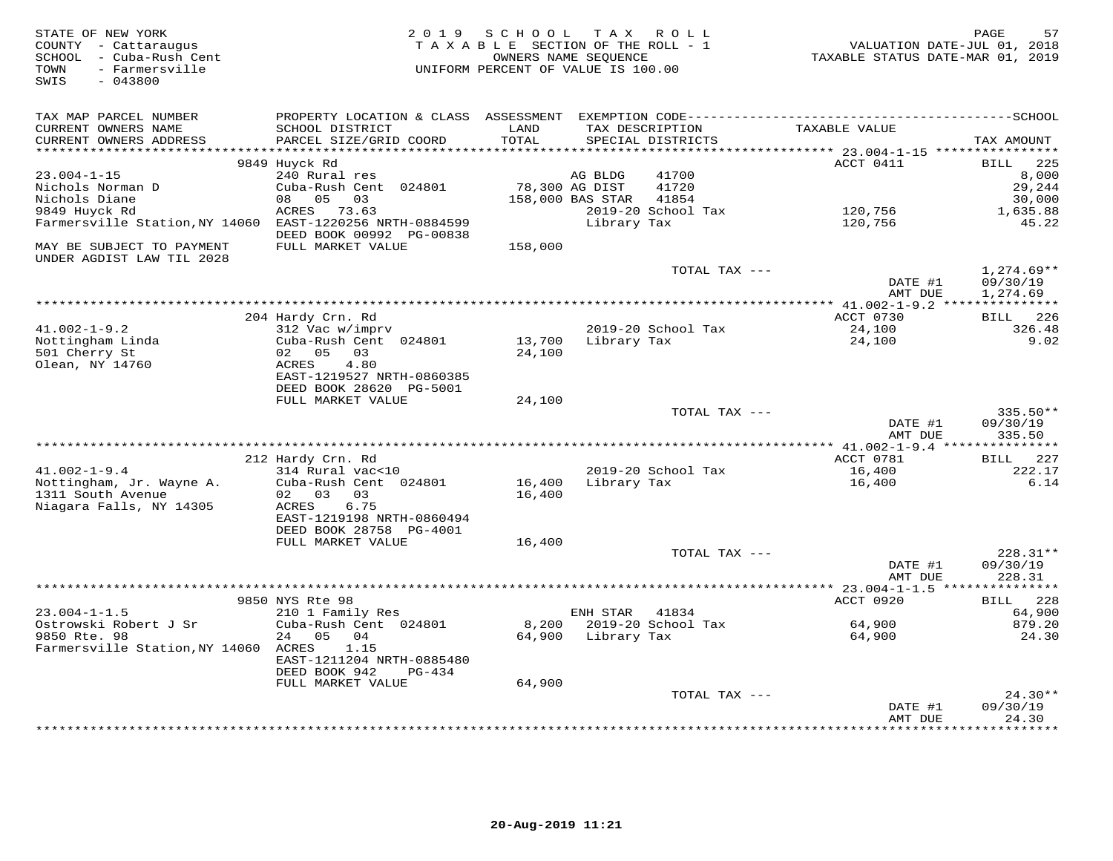| PROPERTY LOCATION & CLASS ASSESSMENT EXEMPTION CODE-----------------------------------SCHOOL<br>TAX MAP PARCEL NUMBER<br>TAXABLE VALUE<br>CURRENT OWNERS NAME<br>SCHOOL DISTRICT<br>LAND<br>TAX DESCRIPTION<br>CURRENT OWNERS ADDRESS<br>PARCEL SIZE/GRID COORD<br>TOTAL<br>SPECIAL DISTRICTS<br>TAX AMOUNT<br>********************<br>*******<br>********* 23.004-1-15 ***********<br>9849 Huyck Rd<br><b>BILL</b><br>225<br>ACCT 0411<br>$23.004 - 1 - 15$<br>240 Rural res<br>41700<br>8,000<br>AG BLDG<br>Cuba-Rush Cent 024801<br>78,300 AG DIST<br>41720<br>29,244<br>Nichols Norman D<br>Nichols Diane<br>05<br>03<br>158,000 BAS STAR<br>41854<br>30,000<br>08<br><b>ACRES</b><br>73.63<br>2019-20 School Tax<br>9849 Huyck Rd<br>120,756<br>1,635.88<br>Farmersville Station, NY 14060<br>EAST-1220256 NRTH-0884599<br>120,756<br>45.22<br>Library Tax<br>DEED BOOK 00992 PG-00838<br>MAY BE SUBJECT TO PAYMENT<br>FULL MARKET VALUE<br>158,000<br>UNDER AGDIST LAW TIL 2028<br>$1,274.69**$<br>TOTAL TAX ---<br>DATE #1<br>09/30/19<br>AMT DUE<br>1,274.69<br>204 Hardy Crn. Rd<br>ACCT 0730<br>226<br><b>BILL</b><br>2019-20 School Tax<br>$41.002 - 1 - 9.2$<br>312 Vac w/imprv<br>326.48<br>24,100<br>9.02<br>Nottingham Linda<br>Cuba-Rush Cent 024801<br>13,700<br>Library Tax<br>24,100<br>501 Cherry St<br>02 05<br>03<br>24,100<br>Olean, NY 14760<br>ACRES<br>4.80<br>EAST-1219527 NRTH-0860385<br>DEED BOOK 28620 PG-5001<br>FULL MARKET VALUE<br>24,100<br>TOTAL TAX ---<br>335.50**<br>DATE #1<br>09/30/19<br>AMT DUE<br>335.50<br>ACCT 0781<br>BILL 227<br>212 Hardy Crn. Rd<br>$41.002 - 1 - 9.4$<br>2019-20 School Tax<br>16,400<br>222.17<br>314 Rural vac<10<br>6.14<br>Nottingham, Jr. Wayne A.<br>Cuba-Rush Cent 024801<br>16,400<br>Library Tax<br>16,400<br>1311 South Avenue<br>02 03<br>03<br>16,400<br>Niagara Falls, NY 14305<br>6.75<br>ACRES<br>EAST-1219198 NRTH-0860494<br>DEED BOOK 28758 PG-4001<br>FULL MARKET VALUE<br>16,400<br>228.31**<br>TOTAL TAX ---<br>DATE #1<br>09/30/19<br>AMT DUE<br>228.31<br>9850 NYS Rte 98<br>ACCT 0920<br>228<br>BILL<br>$23.004 - 1 - 1.5$<br>210 1 Family Res<br>ENH STAR<br>41834<br>64,900<br>Ostrowski Robert J Sr<br>2019-20 School Tax<br>879.20<br>Cuba-Rush Cent 024801<br>8,200<br>64,900<br>9850 Rte. 98<br>24<br>05<br>04<br>64,900<br>Library Tax<br>64,900<br>24.30<br>Farmersville Station, NY 14060 ACRES<br>1.15<br>EAST-1211204 NRTH-0885480<br>DEED BOOK 942<br>$PG-434$<br>FULL MARKET VALUE<br>64,900<br>TOTAL TAX ---<br>$24.30**$<br>DATE #1<br>09/30/19<br>24.30<br>AMT DUE | STATE OF NEW YORK<br>COUNTY - Cattaraugus<br>SCHOOL - Cuba-Rush Cent<br>- Farmersville<br>TOWN<br>$-043800$<br>SWIS | 2 0 1 9 | SCHOOL<br>TAXABLE SECTION OF THE ROLL - 1<br>OWNERS NAME SEQUENCE<br>UNIFORM PERCENT OF VALUE IS 100.00 | TAX ROLL | VALUATION DATE-JUL 01, 2018<br>TAXABLE STATUS DATE-MAR 01, 2019 | 57<br>PAGE |
|--------------------------------------------------------------------------------------------------------------------------------------------------------------------------------------------------------------------------------------------------------------------------------------------------------------------------------------------------------------------------------------------------------------------------------------------------------------------------------------------------------------------------------------------------------------------------------------------------------------------------------------------------------------------------------------------------------------------------------------------------------------------------------------------------------------------------------------------------------------------------------------------------------------------------------------------------------------------------------------------------------------------------------------------------------------------------------------------------------------------------------------------------------------------------------------------------------------------------------------------------------------------------------------------------------------------------------------------------------------------------------------------------------------------------------------------------------------------------------------------------------------------------------------------------------------------------------------------------------------------------------------------------------------------------------------------------------------------------------------------------------------------------------------------------------------------------------------------------------------------------------------------------------------------------------------------------------------------------------------------------------------------------------------------------------------------------------------------------------------------------------------------------------------------------------------------------------------------------------------------------------------------------------------------------------------------------------------------------------------------------------------------------------------------------------------------------------------------------------------------------------------------------------------------------------------------------------|---------------------------------------------------------------------------------------------------------------------|---------|---------------------------------------------------------------------------------------------------------|----------|-----------------------------------------------------------------|------------|
|                                                                                                                                                                                                                                                                                                                                                                                                                                                                                                                                                                                                                                                                                                                                                                                                                                                                                                                                                                                                                                                                                                                                                                                                                                                                                                                                                                                                                                                                                                                                                                                                                                                                                                                                                                                                                                                                                                                                                                                                                                                                                                                                                                                                                                                                                                                                                                                                                                                                                                                                                                                |                                                                                                                     |         |                                                                                                         |          |                                                                 |            |
|                                                                                                                                                                                                                                                                                                                                                                                                                                                                                                                                                                                                                                                                                                                                                                                                                                                                                                                                                                                                                                                                                                                                                                                                                                                                                                                                                                                                                                                                                                                                                                                                                                                                                                                                                                                                                                                                                                                                                                                                                                                                                                                                                                                                                                                                                                                                                                                                                                                                                                                                                                                |                                                                                                                     |         |                                                                                                         |          |                                                                 |            |
|                                                                                                                                                                                                                                                                                                                                                                                                                                                                                                                                                                                                                                                                                                                                                                                                                                                                                                                                                                                                                                                                                                                                                                                                                                                                                                                                                                                                                                                                                                                                                                                                                                                                                                                                                                                                                                                                                                                                                                                                                                                                                                                                                                                                                                                                                                                                                                                                                                                                                                                                                                                |                                                                                                                     |         |                                                                                                         |          |                                                                 |            |
|                                                                                                                                                                                                                                                                                                                                                                                                                                                                                                                                                                                                                                                                                                                                                                                                                                                                                                                                                                                                                                                                                                                                                                                                                                                                                                                                                                                                                                                                                                                                                                                                                                                                                                                                                                                                                                                                                                                                                                                                                                                                                                                                                                                                                                                                                                                                                                                                                                                                                                                                                                                |                                                                                                                     |         |                                                                                                         |          |                                                                 |            |
|                                                                                                                                                                                                                                                                                                                                                                                                                                                                                                                                                                                                                                                                                                                                                                                                                                                                                                                                                                                                                                                                                                                                                                                                                                                                                                                                                                                                                                                                                                                                                                                                                                                                                                                                                                                                                                                                                                                                                                                                                                                                                                                                                                                                                                                                                                                                                                                                                                                                                                                                                                                |                                                                                                                     |         |                                                                                                         |          |                                                                 |            |
|                                                                                                                                                                                                                                                                                                                                                                                                                                                                                                                                                                                                                                                                                                                                                                                                                                                                                                                                                                                                                                                                                                                                                                                                                                                                                                                                                                                                                                                                                                                                                                                                                                                                                                                                                                                                                                                                                                                                                                                                                                                                                                                                                                                                                                                                                                                                                                                                                                                                                                                                                                                |                                                                                                                     |         |                                                                                                         |          |                                                                 |            |
|                                                                                                                                                                                                                                                                                                                                                                                                                                                                                                                                                                                                                                                                                                                                                                                                                                                                                                                                                                                                                                                                                                                                                                                                                                                                                                                                                                                                                                                                                                                                                                                                                                                                                                                                                                                                                                                                                                                                                                                                                                                                                                                                                                                                                                                                                                                                                                                                                                                                                                                                                                                |                                                                                                                     |         |                                                                                                         |          |                                                                 |            |
|                                                                                                                                                                                                                                                                                                                                                                                                                                                                                                                                                                                                                                                                                                                                                                                                                                                                                                                                                                                                                                                                                                                                                                                                                                                                                                                                                                                                                                                                                                                                                                                                                                                                                                                                                                                                                                                                                                                                                                                                                                                                                                                                                                                                                                                                                                                                                                                                                                                                                                                                                                                |                                                                                                                     |         |                                                                                                         |          |                                                                 |            |
|                                                                                                                                                                                                                                                                                                                                                                                                                                                                                                                                                                                                                                                                                                                                                                                                                                                                                                                                                                                                                                                                                                                                                                                                                                                                                                                                                                                                                                                                                                                                                                                                                                                                                                                                                                                                                                                                                                                                                                                                                                                                                                                                                                                                                                                                                                                                                                                                                                                                                                                                                                                |                                                                                                                     |         |                                                                                                         |          |                                                                 |            |
|                                                                                                                                                                                                                                                                                                                                                                                                                                                                                                                                                                                                                                                                                                                                                                                                                                                                                                                                                                                                                                                                                                                                                                                                                                                                                                                                                                                                                                                                                                                                                                                                                                                                                                                                                                                                                                                                                                                                                                                                                                                                                                                                                                                                                                                                                                                                                                                                                                                                                                                                                                                |                                                                                                                     |         |                                                                                                         |          |                                                                 |            |
|                                                                                                                                                                                                                                                                                                                                                                                                                                                                                                                                                                                                                                                                                                                                                                                                                                                                                                                                                                                                                                                                                                                                                                                                                                                                                                                                                                                                                                                                                                                                                                                                                                                                                                                                                                                                                                                                                                                                                                                                                                                                                                                                                                                                                                                                                                                                                                                                                                                                                                                                                                                |                                                                                                                     |         |                                                                                                         |          |                                                                 |            |
|                                                                                                                                                                                                                                                                                                                                                                                                                                                                                                                                                                                                                                                                                                                                                                                                                                                                                                                                                                                                                                                                                                                                                                                                                                                                                                                                                                                                                                                                                                                                                                                                                                                                                                                                                                                                                                                                                                                                                                                                                                                                                                                                                                                                                                                                                                                                                                                                                                                                                                                                                                                |                                                                                                                     |         |                                                                                                         |          |                                                                 |            |
|                                                                                                                                                                                                                                                                                                                                                                                                                                                                                                                                                                                                                                                                                                                                                                                                                                                                                                                                                                                                                                                                                                                                                                                                                                                                                                                                                                                                                                                                                                                                                                                                                                                                                                                                                                                                                                                                                                                                                                                                                                                                                                                                                                                                                                                                                                                                                                                                                                                                                                                                                                                |                                                                                                                     |         |                                                                                                         |          |                                                                 |            |
|                                                                                                                                                                                                                                                                                                                                                                                                                                                                                                                                                                                                                                                                                                                                                                                                                                                                                                                                                                                                                                                                                                                                                                                                                                                                                                                                                                                                                                                                                                                                                                                                                                                                                                                                                                                                                                                                                                                                                                                                                                                                                                                                                                                                                                                                                                                                                                                                                                                                                                                                                                                |                                                                                                                     |         |                                                                                                         |          |                                                                 |            |
|                                                                                                                                                                                                                                                                                                                                                                                                                                                                                                                                                                                                                                                                                                                                                                                                                                                                                                                                                                                                                                                                                                                                                                                                                                                                                                                                                                                                                                                                                                                                                                                                                                                                                                                                                                                                                                                                                                                                                                                                                                                                                                                                                                                                                                                                                                                                                                                                                                                                                                                                                                                |                                                                                                                     |         |                                                                                                         |          |                                                                 |            |
|                                                                                                                                                                                                                                                                                                                                                                                                                                                                                                                                                                                                                                                                                                                                                                                                                                                                                                                                                                                                                                                                                                                                                                                                                                                                                                                                                                                                                                                                                                                                                                                                                                                                                                                                                                                                                                                                                                                                                                                                                                                                                                                                                                                                                                                                                                                                                                                                                                                                                                                                                                                |                                                                                                                     |         |                                                                                                         |          |                                                                 |            |
|                                                                                                                                                                                                                                                                                                                                                                                                                                                                                                                                                                                                                                                                                                                                                                                                                                                                                                                                                                                                                                                                                                                                                                                                                                                                                                                                                                                                                                                                                                                                                                                                                                                                                                                                                                                                                                                                                                                                                                                                                                                                                                                                                                                                                                                                                                                                                                                                                                                                                                                                                                                |                                                                                                                     |         |                                                                                                         |          |                                                                 |            |
|                                                                                                                                                                                                                                                                                                                                                                                                                                                                                                                                                                                                                                                                                                                                                                                                                                                                                                                                                                                                                                                                                                                                                                                                                                                                                                                                                                                                                                                                                                                                                                                                                                                                                                                                                                                                                                                                                                                                                                                                                                                                                                                                                                                                                                                                                                                                                                                                                                                                                                                                                                                |                                                                                                                     |         |                                                                                                         |          |                                                                 |            |
|                                                                                                                                                                                                                                                                                                                                                                                                                                                                                                                                                                                                                                                                                                                                                                                                                                                                                                                                                                                                                                                                                                                                                                                                                                                                                                                                                                                                                                                                                                                                                                                                                                                                                                                                                                                                                                                                                                                                                                                                                                                                                                                                                                                                                                                                                                                                                                                                                                                                                                                                                                                |                                                                                                                     |         |                                                                                                         |          |                                                                 |            |
|                                                                                                                                                                                                                                                                                                                                                                                                                                                                                                                                                                                                                                                                                                                                                                                                                                                                                                                                                                                                                                                                                                                                                                                                                                                                                                                                                                                                                                                                                                                                                                                                                                                                                                                                                                                                                                                                                                                                                                                                                                                                                                                                                                                                                                                                                                                                                                                                                                                                                                                                                                                |                                                                                                                     |         |                                                                                                         |          |                                                                 |            |
|                                                                                                                                                                                                                                                                                                                                                                                                                                                                                                                                                                                                                                                                                                                                                                                                                                                                                                                                                                                                                                                                                                                                                                                                                                                                                                                                                                                                                                                                                                                                                                                                                                                                                                                                                                                                                                                                                                                                                                                                                                                                                                                                                                                                                                                                                                                                                                                                                                                                                                                                                                                |                                                                                                                     |         |                                                                                                         |          |                                                                 |            |
|                                                                                                                                                                                                                                                                                                                                                                                                                                                                                                                                                                                                                                                                                                                                                                                                                                                                                                                                                                                                                                                                                                                                                                                                                                                                                                                                                                                                                                                                                                                                                                                                                                                                                                                                                                                                                                                                                                                                                                                                                                                                                                                                                                                                                                                                                                                                                                                                                                                                                                                                                                                |                                                                                                                     |         |                                                                                                         |          |                                                                 |            |
|                                                                                                                                                                                                                                                                                                                                                                                                                                                                                                                                                                                                                                                                                                                                                                                                                                                                                                                                                                                                                                                                                                                                                                                                                                                                                                                                                                                                                                                                                                                                                                                                                                                                                                                                                                                                                                                                                                                                                                                                                                                                                                                                                                                                                                                                                                                                                                                                                                                                                                                                                                                |                                                                                                                     |         |                                                                                                         |          |                                                                 |            |
|                                                                                                                                                                                                                                                                                                                                                                                                                                                                                                                                                                                                                                                                                                                                                                                                                                                                                                                                                                                                                                                                                                                                                                                                                                                                                                                                                                                                                                                                                                                                                                                                                                                                                                                                                                                                                                                                                                                                                                                                                                                                                                                                                                                                                                                                                                                                                                                                                                                                                                                                                                                |                                                                                                                     |         |                                                                                                         |          |                                                                 |            |
|                                                                                                                                                                                                                                                                                                                                                                                                                                                                                                                                                                                                                                                                                                                                                                                                                                                                                                                                                                                                                                                                                                                                                                                                                                                                                                                                                                                                                                                                                                                                                                                                                                                                                                                                                                                                                                                                                                                                                                                                                                                                                                                                                                                                                                                                                                                                                                                                                                                                                                                                                                                |                                                                                                                     |         |                                                                                                         |          |                                                                 |            |
|                                                                                                                                                                                                                                                                                                                                                                                                                                                                                                                                                                                                                                                                                                                                                                                                                                                                                                                                                                                                                                                                                                                                                                                                                                                                                                                                                                                                                                                                                                                                                                                                                                                                                                                                                                                                                                                                                                                                                                                                                                                                                                                                                                                                                                                                                                                                                                                                                                                                                                                                                                                |                                                                                                                     |         |                                                                                                         |          |                                                                 |            |
|                                                                                                                                                                                                                                                                                                                                                                                                                                                                                                                                                                                                                                                                                                                                                                                                                                                                                                                                                                                                                                                                                                                                                                                                                                                                                                                                                                                                                                                                                                                                                                                                                                                                                                                                                                                                                                                                                                                                                                                                                                                                                                                                                                                                                                                                                                                                                                                                                                                                                                                                                                                |                                                                                                                     |         |                                                                                                         |          |                                                                 |            |
|                                                                                                                                                                                                                                                                                                                                                                                                                                                                                                                                                                                                                                                                                                                                                                                                                                                                                                                                                                                                                                                                                                                                                                                                                                                                                                                                                                                                                                                                                                                                                                                                                                                                                                                                                                                                                                                                                                                                                                                                                                                                                                                                                                                                                                                                                                                                                                                                                                                                                                                                                                                |                                                                                                                     |         |                                                                                                         |          |                                                                 |            |
|                                                                                                                                                                                                                                                                                                                                                                                                                                                                                                                                                                                                                                                                                                                                                                                                                                                                                                                                                                                                                                                                                                                                                                                                                                                                                                                                                                                                                                                                                                                                                                                                                                                                                                                                                                                                                                                                                                                                                                                                                                                                                                                                                                                                                                                                                                                                                                                                                                                                                                                                                                                |                                                                                                                     |         |                                                                                                         |          |                                                                 |            |
|                                                                                                                                                                                                                                                                                                                                                                                                                                                                                                                                                                                                                                                                                                                                                                                                                                                                                                                                                                                                                                                                                                                                                                                                                                                                                                                                                                                                                                                                                                                                                                                                                                                                                                                                                                                                                                                                                                                                                                                                                                                                                                                                                                                                                                                                                                                                                                                                                                                                                                                                                                                |                                                                                                                     |         |                                                                                                         |          |                                                                 |            |
|                                                                                                                                                                                                                                                                                                                                                                                                                                                                                                                                                                                                                                                                                                                                                                                                                                                                                                                                                                                                                                                                                                                                                                                                                                                                                                                                                                                                                                                                                                                                                                                                                                                                                                                                                                                                                                                                                                                                                                                                                                                                                                                                                                                                                                                                                                                                                                                                                                                                                                                                                                                |                                                                                                                     |         |                                                                                                         |          |                                                                 |            |
|                                                                                                                                                                                                                                                                                                                                                                                                                                                                                                                                                                                                                                                                                                                                                                                                                                                                                                                                                                                                                                                                                                                                                                                                                                                                                                                                                                                                                                                                                                                                                                                                                                                                                                                                                                                                                                                                                                                                                                                                                                                                                                                                                                                                                                                                                                                                                                                                                                                                                                                                                                                |                                                                                                                     |         |                                                                                                         |          |                                                                 |            |
|                                                                                                                                                                                                                                                                                                                                                                                                                                                                                                                                                                                                                                                                                                                                                                                                                                                                                                                                                                                                                                                                                                                                                                                                                                                                                                                                                                                                                                                                                                                                                                                                                                                                                                                                                                                                                                                                                                                                                                                                                                                                                                                                                                                                                                                                                                                                                                                                                                                                                                                                                                                |                                                                                                                     |         |                                                                                                         |          |                                                                 |            |
|                                                                                                                                                                                                                                                                                                                                                                                                                                                                                                                                                                                                                                                                                                                                                                                                                                                                                                                                                                                                                                                                                                                                                                                                                                                                                                                                                                                                                                                                                                                                                                                                                                                                                                                                                                                                                                                                                                                                                                                                                                                                                                                                                                                                                                                                                                                                                                                                                                                                                                                                                                                |                                                                                                                     |         |                                                                                                         |          |                                                                 |            |
|                                                                                                                                                                                                                                                                                                                                                                                                                                                                                                                                                                                                                                                                                                                                                                                                                                                                                                                                                                                                                                                                                                                                                                                                                                                                                                                                                                                                                                                                                                                                                                                                                                                                                                                                                                                                                                                                                                                                                                                                                                                                                                                                                                                                                                                                                                                                                                                                                                                                                                                                                                                |                                                                                                                     |         |                                                                                                         |          |                                                                 |            |
|                                                                                                                                                                                                                                                                                                                                                                                                                                                                                                                                                                                                                                                                                                                                                                                                                                                                                                                                                                                                                                                                                                                                                                                                                                                                                                                                                                                                                                                                                                                                                                                                                                                                                                                                                                                                                                                                                                                                                                                                                                                                                                                                                                                                                                                                                                                                                                                                                                                                                                                                                                                |                                                                                                                     |         |                                                                                                         |          |                                                                 |            |
|                                                                                                                                                                                                                                                                                                                                                                                                                                                                                                                                                                                                                                                                                                                                                                                                                                                                                                                                                                                                                                                                                                                                                                                                                                                                                                                                                                                                                                                                                                                                                                                                                                                                                                                                                                                                                                                                                                                                                                                                                                                                                                                                                                                                                                                                                                                                                                                                                                                                                                                                                                                |                                                                                                                     |         |                                                                                                         |          |                                                                 |            |
|                                                                                                                                                                                                                                                                                                                                                                                                                                                                                                                                                                                                                                                                                                                                                                                                                                                                                                                                                                                                                                                                                                                                                                                                                                                                                                                                                                                                                                                                                                                                                                                                                                                                                                                                                                                                                                                                                                                                                                                                                                                                                                                                                                                                                                                                                                                                                                                                                                                                                                                                                                                |                                                                                                                     |         |                                                                                                         |          |                                                                 |            |
|                                                                                                                                                                                                                                                                                                                                                                                                                                                                                                                                                                                                                                                                                                                                                                                                                                                                                                                                                                                                                                                                                                                                                                                                                                                                                                                                                                                                                                                                                                                                                                                                                                                                                                                                                                                                                                                                                                                                                                                                                                                                                                                                                                                                                                                                                                                                                                                                                                                                                                                                                                                |                                                                                                                     |         |                                                                                                         |          |                                                                 |            |
|                                                                                                                                                                                                                                                                                                                                                                                                                                                                                                                                                                                                                                                                                                                                                                                                                                                                                                                                                                                                                                                                                                                                                                                                                                                                                                                                                                                                                                                                                                                                                                                                                                                                                                                                                                                                                                                                                                                                                                                                                                                                                                                                                                                                                                                                                                                                                                                                                                                                                                                                                                                |                                                                                                                     |         |                                                                                                         |          |                                                                 |            |
|                                                                                                                                                                                                                                                                                                                                                                                                                                                                                                                                                                                                                                                                                                                                                                                                                                                                                                                                                                                                                                                                                                                                                                                                                                                                                                                                                                                                                                                                                                                                                                                                                                                                                                                                                                                                                                                                                                                                                                                                                                                                                                                                                                                                                                                                                                                                                                                                                                                                                                                                                                                |                                                                                                                     |         |                                                                                                         |          |                                                                 |            |
|                                                                                                                                                                                                                                                                                                                                                                                                                                                                                                                                                                                                                                                                                                                                                                                                                                                                                                                                                                                                                                                                                                                                                                                                                                                                                                                                                                                                                                                                                                                                                                                                                                                                                                                                                                                                                                                                                                                                                                                                                                                                                                                                                                                                                                                                                                                                                                                                                                                                                                                                                                                |                                                                                                                     |         |                                                                                                         |          |                                                                 |            |
|                                                                                                                                                                                                                                                                                                                                                                                                                                                                                                                                                                                                                                                                                                                                                                                                                                                                                                                                                                                                                                                                                                                                                                                                                                                                                                                                                                                                                                                                                                                                                                                                                                                                                                                                                                                                                                                                                                                                                                                                                                                                                                                                                                                                                                                                                                                                                                                                                                                                                                                                                                                |                                                                                                                     |         |                                                                                                         |          |                                                                 | ********** |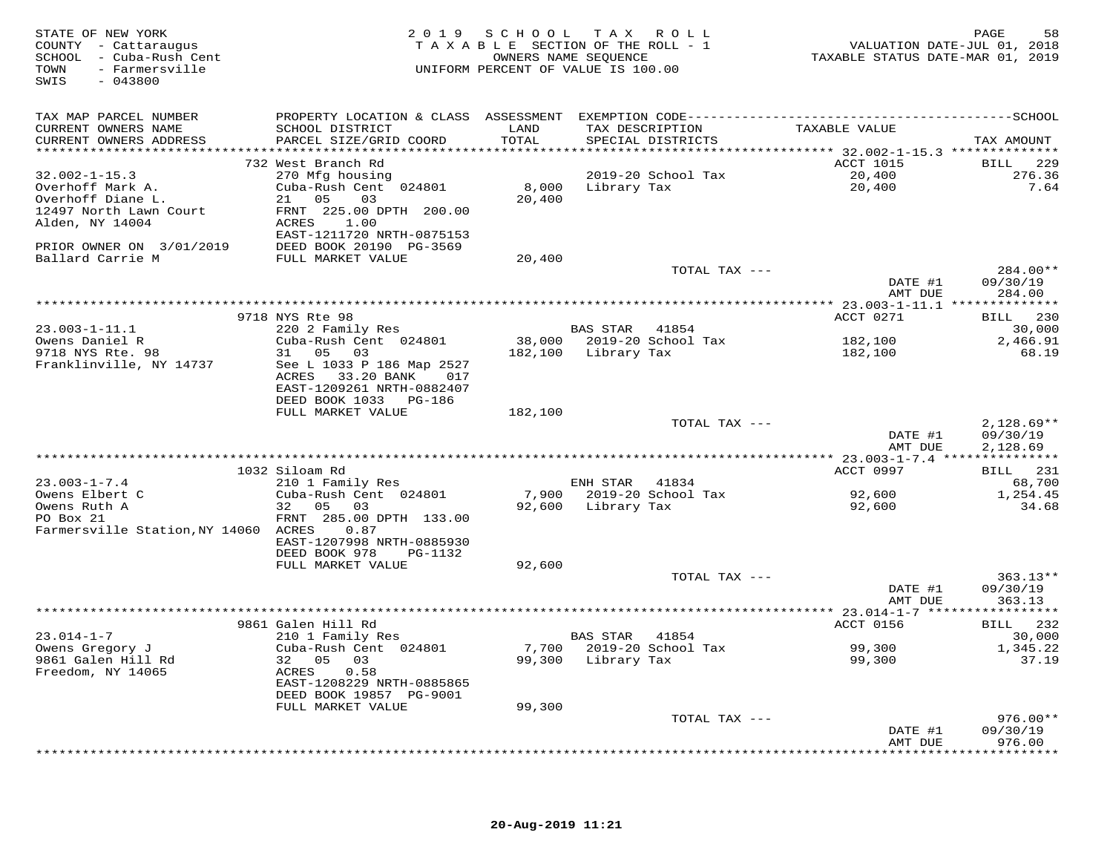| STATE OF NEW YORK<br>COUNTY - Cattaraugus<br>SCHOOL - Cuba-Rush Cent<br>- Farmersville<br>TOWN<br>$-043800$<br>SWIS | 2 0 1 9                                           |               | SCHOOL TAX ROLL<br>TAXABLE SECTION OF THE ROLL - 1<br>OWNERS NAME SEQUENCE<br>UNIFORM PERCENT OF VALUE IS 100.00 | VALUATION DATE-JUL 01, 2018<br>TAXABLE STATUS DATE-MAR 01, 2019 | PAGE<br>58           |
|---------------------------------------------------------------------------------------------------------------------|---------------------------------------------------|---------------|------------------------------------------------------------------------------------------------------------------|-----------------------------------------------------------------|----------------------|
| TAX MAP PARCEL NUMBER                                                                                               |                                                   |               |                                                                                                                  |                                                                 |                      |
| CURRENT OWNERS NAME<br>CURRENT OWNERS ADDRESS                                                                       | SCHOOL DISTRICT<br>PARCEL SIZE/GRID COORD         | LAND<br>TOTAL | TAX DESCRIPTION<br>SPECIAL DISTRICTS                                                                             | TAXABLE VALUE                                                   | TAX AMOUNT           |
|                                                                                                                     |                                                   |               |                                                                                                                  |                                                                 |                      |
|                                                                                                                     | 732 West Branch Rd                                |               |                                                                                                                  | ACCT 1015                                                       | BILL 229             |
| $32.002 - 1 - 15.3$                                                                                                 | 270 Mfg housing                                   |               | 2019-20 School Tax                                                                                               | 20,400                                                          | 276.36               |
| Overhoff Mark A.                                                                                                    | Cuba-Rush Cent 024801                             |               | 8,000 Library Tax                                                                                                | 20,400                                                          | 7.64                 |
| Overhoff Diane L.                                                                                                   | 21 05<br>03                                       | 20,400        |                                                                                                                  |                                                                 |                      |
| 12497 North Lawn Court<br>Alden, NY 14004                                                                           | FRNT 225.00 DPTH 200.00<br>ACRES 1.00             |               |                                                                                                                  |                                                                 |                      |
|                                                                                                                     | EAST-1211720 NRTH-0875153                         |               |                                                                                                                  |                                                                 |                      |
| PRIOR OWNER ON 3/01/2019                                                                                            | DEED BOOK 20190 PG-3569                           |               |                                                                                                                  |                                                                 |                      |
| Ballard Carrie M                                                                                                    | FULL MARKET VALUE                                 | 20,400        |                                                                                                                  |                                                                 |                      |
|                                                                                                                     |                                                   |               | TOTAL TAX ---                                                                                                    |                                                                 | 284.00**             |
|                                                                                                                     |                                                   |               |                                                                                                                  | DATE #1                                                         | 09/30/19             |
|                                                                                                                     |                                                   |               |                                                                                                                  | AMT DUE                                                         | 284.00               |
|                                                                                                                     | 9718 NYS Rte 98                                   |               |                                                                                                                  | ACCT 0271                                                       | BILL 230             |
| $23.003 - 1 - 11.1$                                                                                                 | 220 2 Family Res                                  |               | BAS STAR 41854                                                                                                   |                                                                 | 30,000               |
| Owens Daniel R                                                                                                      | Cuba-Rush Cent 024801                             |               |                                                                                                                  | 182,100                                                         | 2,466.91             |
| 9718 NYS Rte. 98                                                                                                    | 31 05 03                                          |               | 182,100 Library Tax                                                                                              | 182,100                                                         | 68.19                |
| Franklinville, NY 14737                                                                                             | See L 1033 P 186 Map 2527<br>ACRES 33.20 BANK 017 |               |                                                                                                                  |                                                                 |                      |
|                                                                                                                     | EAST-1209261 NRTH-0882407                         |               |                                                                                                                  |                                                                 |                      |
|                                                                                                                     | DEED BOOK 1033 PG-186                             |               |                                                                                                                  |                                                                 |                      |
|                                                                                                                     | FULL MARKET VALUE                                 | 182,100       |                                                                                                                  |                                                                 |                      |
|                                                                                                                     |                                                   |               | TOTAL TAX ---                                                                                                    |                                                                 | $2,128.69**$         |
|                                                                                                                     |                                                   |               |                                                                                                                  | DATE #1<br>AMT DUE                                              | 09/30/19<br>2,128.69 |
|                                                                                                                     |                                                   |               |                                                                                                                  |                                                                 |                      |
|                                                                                                                     | 1032 Siloam Rd                                    |               |                                                                                                                  | ACCT 0997                                                       | BILL 231             |
| $23.003 - 1 - 7.4$                                                                                                  | 210 1 Family Res                                  |               | ENH STAR 41834                                                                                                   |                                                                 | 68,700               |
| Owens Elbert C                                                                                                      | Cuba-Rush Cent 024801                             |               | 7,900 2019-20 School Tax                                                                                         | 92,600                                                          | 1,254.45             |
| Owens Ruth A<br>PO Box 21                                                                                           | 32 05 03<br>FRNT 285.00 DPTH 133.00               |               | 92,600 Library Tax                                                                                               | 92,600                                                          | 34.68                |
| Farmersville Station, NY 14060 ACRES                                                                                | 0.87                                              |               |                                                                                                                  |                                                                 |                      |
|                                                                                                                     | EAST-1207998 NRTH-0885930                         |               |                                                                                                                  |                                                                 |                      |
|                                                                                                                     | DEED BOOK 978<br>PG-1132                          |               |                                                                                                                  |                                                                 |                      |
|                                                                                                                     | FULL MARKET VALUE                                 | 92,600        |                                                                                                                  |                                                                 |                      |
|                                                                                                                     |                                                   |               | TOTAL TAX ---                                                                                                    |                                                                 | $363.13**$           |
|                                                                                                                     |                                                   |               |                                                                                                                  | DATE #1<br>AMT DUE                                              | 09/30/19<br>363.13   |
|                                                                                                                     |                                                   |               |                                                                                                                  |                                                                 |                      |
|                                                                                                                     | 9861 Galen Hill Rd                                |               |                                                                                                                  | ACCT 0156                                                       | BILL 232             |
| $23.014 - 1 - 7$                                                                                                    | 210 1 Family Res                                  |               | BAS STAR 41854                                                                                                   |                                                                 | 30,000               |
| Owens Gregory J                                                                                                     | Cuba-Rush Cent 024801                             |               | 7,700 2019-20 School Tax                                                                                         | 99,300                                                          | 1,345.22             |
| 9861 Galen Hill Rd<br>Freedom, NY 14065                                                                             | 32 05 03<br>ACRES 0.58                            |               | 99,300 Library Tax                                                                                               | 99,300                                                          | 37.19                |
|                                                                                                                     | EAST-1208229 NRTH-0885865                         |               |                                                                                                                  |                                                                 |                      |
|                                                                                                                     | DEED BOOK 19857 PG-9001                           |               |                                                                                                                  |                                                                 |                      |
|                                                                                                                     | FULL MARKET VALUE                                 | 99,300        |                                                                                                                  |                                                                 |                      |
|                                                                                                                     |                                                   |               | TOTAL TAX ---                                                                                                    |                                                                 | $976.00**$           |
|                                                                                                                     |                                                   |               |                                                                                                                  | DATE #1                                                         | 09/30/19             |
|                                                                                                                     |                                                   |               |                                                                                                                  | AMT DUE                                                         | 976.00<br>********** |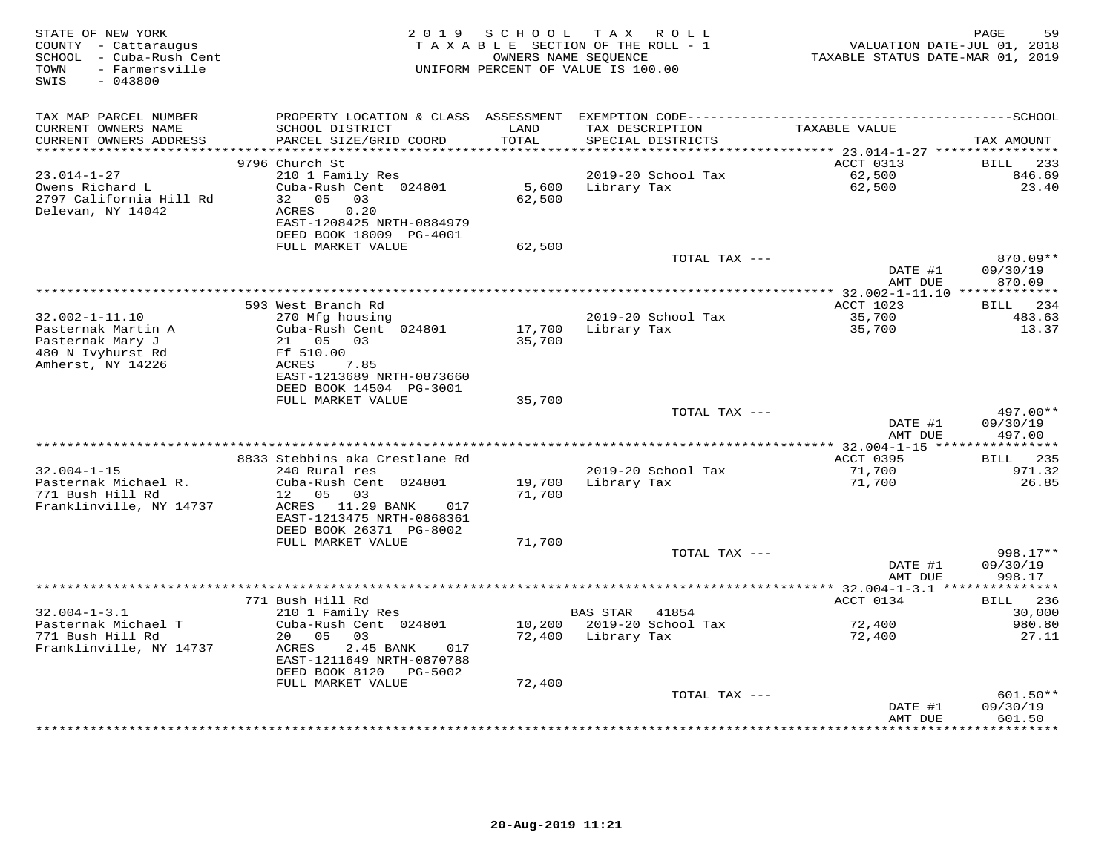| STATE OF NEW YORK<br>COUNTY - Cattaraugus<br>- Cuba-Rush Cent<br>SCHOOL<br>- Farmersville<br>TOWN<br>SWIS<br>$-043800$ |                                                                                                                                             | 2019 SCHOOL<br>OWNERS NAME SEQUENCE | TAX ROLL<br>TAXABLE SECTION OF THE ROLL - 1<br>UNIFORM PERCENT OF VALUE IS 100.00 | VALUATION DATE-JUL 01, 2018<br>TAXABLE STATUS DATE-MAR 01, 2019 | PAGE<br>59                       |
|------------------------------------------------------------------------------------------------------------------------|---------------------------------------------------------------------------------------------------------------------------------------------|-------------------------------------|-----------------------------------------------------------------------------------|-----------------------------------------------------------------|----------------------------------|
| TAX MAP PARCEL NUMBER<br>CURRENT OWNERS NAME<br>CURRENT OWNERS ADDRESS<br>***********************                      | SCHOOL DISTRICT<br>PARCEL SIZE/GRID COORD                                                                                                   | LAND<br>TOTAL                       | TAX DESCRIPTION<br>SPECIAL DISTRICTS                                              | TAXABLE VALUE                                                   | TAX AMOUNT                       |
|                                                                                                                        | 9796 Church St                                                                                                                              |                                     |                                                                                   | ACCT 0313                                                       | <b>BILL</b><br>233               |
| $23.014 - 1 - 27$<br>Owens Richard L<br>2797 California Hill Rd<br>Delevan, NY 14042                                   | 210 1 Family Res<br>Cuba-Rush Cent 024801<br>32 05<br>03<br>ACRES<br>0.20<br>EAST-1208425 NRTH-0884979<br>DEED BOOK 18009 PG-4001           | 5,600<br>62,500                     | 2019-20 School Tax<br>Library Tax                                                 | 62,500<br>62,500                                                | 846.69<br>23.40                  |
|                                                                                                                        | FULL MARKET VALUE                                                                                                                           | 62,500                              |                                                                                   |                                                                 |                                  |
|                                                                                                                        |                                                                                                                                             |                                     | TOTAL TAX ---                                                                     | DATE #1<br>AMT DUE                                              | 870.09**<br>09/30/19<br>870.09   |
|                                                                                                                        | 593 West Branch Rd                                                                                                                          |                                     |                                                                                   | ACCT 1023                                                       | BILL 234                         |
| $32.002 - 1 - 11.10$<br>Pasternak Martin A<br>Pasternak Mary J<br>480 N Ivyhurst Rd<br>Amherst, NY 14226               | 270 Mfg housing<br>Cuba-Rush Cent 024801<br>21  05  03<br>Ff 510.00<br>ACRES<br>7.85<br>EAST-1213689 NRTH-0873660                           | 17,700<br>35,700                    | 2019-20 School Tax<br>Library Tax                                                 | 35,700<br>35,700                                                | 483.63<br>13.37                  |
|                                                                                                                        | DEED BOOK 14504 PG-3001<br>FULL MARKET VALUE                                                                                                | 35,700                              |                                                                                   |                                                                 |                                  |
|                                                                                                                        |                                                                                                                                             |                                     | TOTAL TAX ---                                                                     |                                                                 | $497.00**$                       |
|                                                                                                                        |                                                                                                                                             |                                     |                                                                                   | DATE #1<br>AMT DUE                                              | 09/30/19<br>497.00               |
|                                                                                                                        | 8833 Stebbins aka Crestlane Rd                                                                                                              |                                     |                                                                                   | ACCT 0395                                                       | <b>BILL</b> 235                  |
| $32.004 - 1 - 15$<br>Pasternak Michael R.<br>771 Bush Hill Rd<br>Franklinville, NY 14737                               | 240 Rural res<br>Cuba-Rush Cent 024801<br>03<br>12<br>05<br>ACRES 11.29 BANK<br>017<br>EAST-1213475 NRTH-0868361<br>DEED BOOK 26371 PG-8002 | 19,700<br>71,700                    | 2019-20 School Tax<br>Library Tax                                                 | 71,700<br>71,700                                                | 971.32<br>26.85                  |
|                                                                                                                        | FULL MARKET VALUE                                                                                                                           | 71,700                              |                                                                                   |                                                                 |                                  |
|                                                                                                                        |                                                                                                                                             |                                     | TOTAL TAX ---                                                                     | DATE #1<br>AMT DUE                                              | 998.17**<br>09/30/19<br>998.17   |
|                                                                                                                        |                                                                                                                                             |                                     |                                                                                   |                                                                 |                                  |
| $32.004 - 1 - 3.1$                                                                                                     | 771 Bush Hill Rd<br>210 1 Family Res                                                                                                        |                                     | <b>BAS STAR</b><br>41854                                                          | ACCT 0134                                                       | 236<br>BILL<br>30,000            |
| Pasternak Michael T<br>771 Bush Hill Rd                                                                                | Cuba-Rush Cent 024801<br>20<br>05<br>03                                                                                                     | 10,200<br>72,400                    | 2019-20 School Tax<br>Library Tax                                                 | 72,400<br>72,400                                                | 980.80<br>27.11                  |
| Franklinville, NY 14737                                                                                                | 2.45 BANK<br>ACRES<br>017<br>EAST-1211649 NRTH-0870788<br>DEED BOOK 8120 PG-5002                                                            |                                     |                                                                                   |                                                                 |                                  |
|                                                                                                                        | FULL MARKET VALUE                                                                                                                           | 72,400                              |                                                                                   |                                                                 |                                  |
|                                                                                                                        |                                                                                                                                             |                                     | TOTAL TAX ---                                                                     | DATE #1<br>AMT DUE                                              | $601.50**$<br>09/30/19<br>601.50 |
|                                                                                                                        |                                                                                                                                             |                                     |                                                                                   |                                                                 |                                  |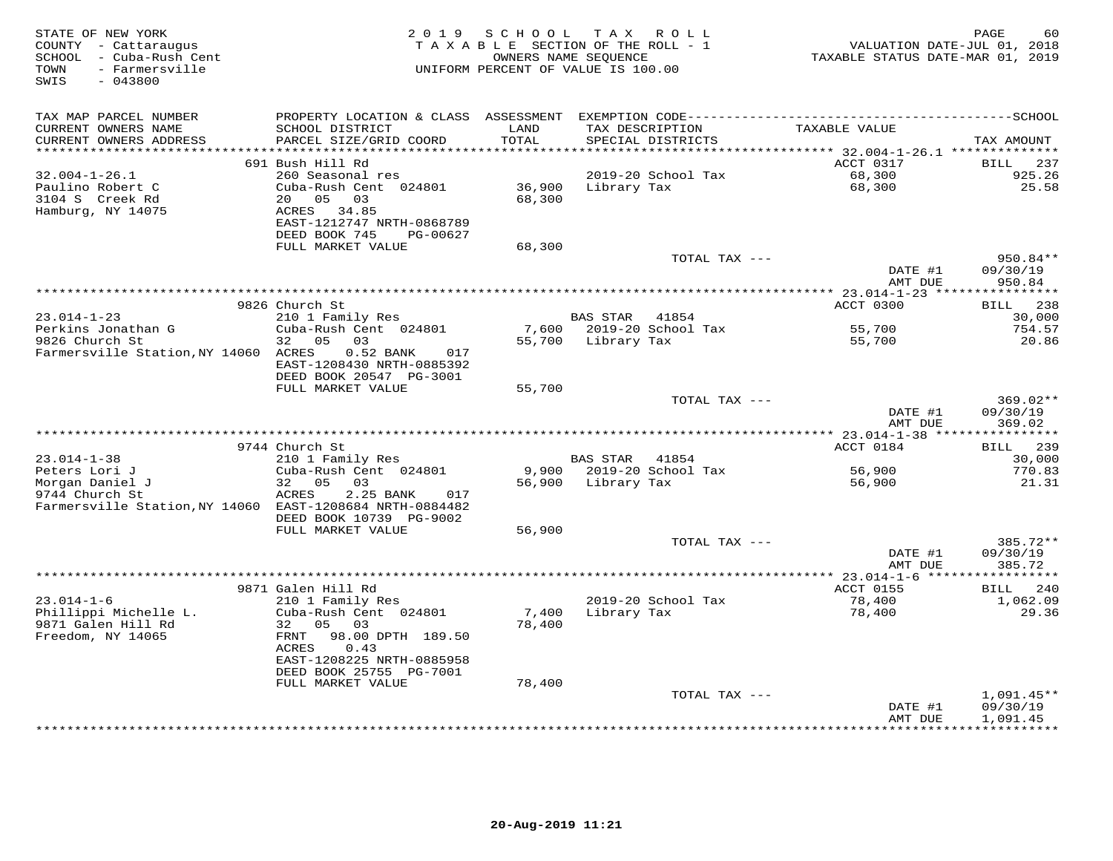| STATE OF NEW YORK<br>COUNTY - Cattaraugus<br>SCHOOL - Cuba-Rush Cent<br>TOWN<br>- Farmersville<br>SWIS<br>$-043800$ |                                                                                                                                                              | 2019 SCHOOL                   | TAX ROLL<br>TAXABLE SECTION OF THE ROLL - 1<br>OWNERS NAME SEOUENCE<br>UNIFORM PERCENT OF VALUE IS 100.00 | VALUATION DATE-JUL 01, 2018<br>TAXABLE STATUS DATE-MAR 01, 2019 | PAGE<br>60                          |
|---------------------------------------------------------------------------------------------------------------------|--------------------------------------------------------------------------------------------------------------------------------------------------------------|-------------------------------|-----------------------------------------------------------------------------------------------------------|-----------------------------------------------------------------|-------------------------------------|
| TAX MAP PARCEL NUMBER<br>CURRENT OWNERS NAME<br>CURRENT OWNERS ADDRESS<br>********************                      | SCHOOL DISTRICT<br>PARCEL SIZE/GRID COORD                                                                                                                    | LAND<br>TOTAL<br>************ | TAX DESCRIPTION<br>SPECIAL DISTRICTS                                                                      | TAXABLE VALUE                                                   | TAX AMOUNT                          |
|                                                                                                                     | 691 Bush Hill Rd                                                                                                                                             |                               |                                                                                                           | ACCT 0317                                                       | BILL 237                            |
| $32.004 - 1 - 26.1$<br>Paulino Robert C<br>3104 S Creek Rd<br>Hamburg, NY 14075                                     | 260 Seasonal res<br>Cuba-Rush Cent 024801<br>20  05  03<br>ACRES 34.85<br>EAST-1212747 NRTH-0868789<br>DEED BOOK 745<br>PG-00627<br>FULL MARKET VALUE        | 68,300<br>68,300              | 2019-20 School Tax<br>36,900 Library Tax                                                                  | 68,300<br>68,300                                                | 925.26<br>25.58                     |
|                                                                                                                     |                                                                                                                                                              |                               | TOTAL TAX ---                                                                                             |                                                                 | 950.84**                            |
|                                                                                                                     |                                                                                                                                                              |                               |                                                                                                           | DATE #1<br>AMT DUE                                              | 09/30/19<br>950.84                  |
|                                                                                                                     |                                                                                                                                                              |                               |                                                                                                           |                                                                 |                                     |
| $23.014 - 1 - 23$                                                                                                   | 9826 Church St<br>210 1 Family Res                                                                                                                           |                               | BAS STAR 41854                                                                                            | ACCT 0300                                                       | BILL 238<br>30,000                  |
| Perkins Jonathan G                                                                                                  | Cuba-Rush Cent 024801                                                                                                                                        |                               | 7,600 2019-20 School Tax                                                                                  | 55,700                                                          | 754.57                              |
| 9826 Church St<br>Farmersville Station, NY 14060 ACRES                                                              | 32 05 03<br>$0.52$ BANK<br>017<br>EAST-1208430 NRTH-0885392<br>DEED BOOK 20547 PG-3001<br>FULL MARKET VALUE                                                  | 55,700                        | 55,700 Library Tax                                                                                        | 55,700                                                          | 20.86                               |
|                                                                                                                     |                                                                                                                                                              |                               | TOTAL TAX ---                                                                                             |                                                                 | 369.02**                            |
|                                                                                                                     |                                                                                                                                                              |                               |                                                                                                           | DATE #1<br>AMT DUE                                              | 09/30/19<br>369.02                  |
|                                                                                                                     | 9744 Church St                                                                                                                                               |                               |                                                                                                           | ACCT 0184                                                       | BILL 239                            |
| $23.014 - 1 - 38$                                                                                                   | 210 1 Family Res                                                                                                                                             |                               | BAS STAR 41854                                                                                            |                                                                 | 30,000                              |
| Peters Lori J                                                                                                       | Cuba-Rush Cent 024801                                                                                                                                        |                               | 9,900 2019-20 School Tax                                                                                  | 56,900                                                          | 770.83                              |
| Morgan Daniel J<br>9744 Church St<br>Farmersville Station, NY 14060 EAST-1208684 NRTH-0884482                       | 32<br>$0.5$ 0.3<br>ACRES<br>2.25 BANK<br>017<br>DEED BOOK 10739 PG-9002                                                                                      |                               | 56,900 Library Tax                                                                                        | 56,900                                                          | 21.31                               |
|                                                                                                                     | FULL MARKET VALUE                                                                                                                                            | 56,900                        |                                                                                                           |                                                                 |                                     |
|                                                                                                                     |                                                                                                                                                              |                               | TOTAL TAX ---                                                                                             | DATE #1<br>AMT DUE                                              | 385.72**<br>09/30/19<br>385.72      |
|                                                                                                                     |                                                                                                                                                              |                               |                                                                                                           |                                                                 |                                     |
| $23.014 - 1 - 6$                                                                                                    | 9871 Galen Hill Rd<br>210 1 Family Res                                                                                                                       |                               | 2019-20 School Tax                                                                                        | ACCT 0155<br>78,400                                             | BILL 240<br>1,062.09                |
| Phillippi Michelle L.<br>9871 Galen Hill Rd<br>Freedom, NY 14065                                                    | Cuba-Rush Cent 024801<br>32 05 03<br>FRNT<br>98.00 DPTH 189.50<br>ACRES<br>0.43<br>EAST-1208225 NRTH-0885958<br>DEED BOOK 25755 PG-7001<br>FULL MARKET VALUE | 7,400<br>78,400<br>78,400     | Library Tax                                                                                               | 78,400                                                          | 29.36                               |
|                                                                                                                     |                                                                                                                                                              |                               | TOTAL TAX ---                                                                                             |                                                                 | $1,091.45**$                        |
|                                                                                                                     |                                                                                                                                                              |                               |                                                                                                           | DATE #1<br>AMT DUE<br>* * * * * * * * * * * * * * *             | 09/30/19<br>1,091.45<br>*********** |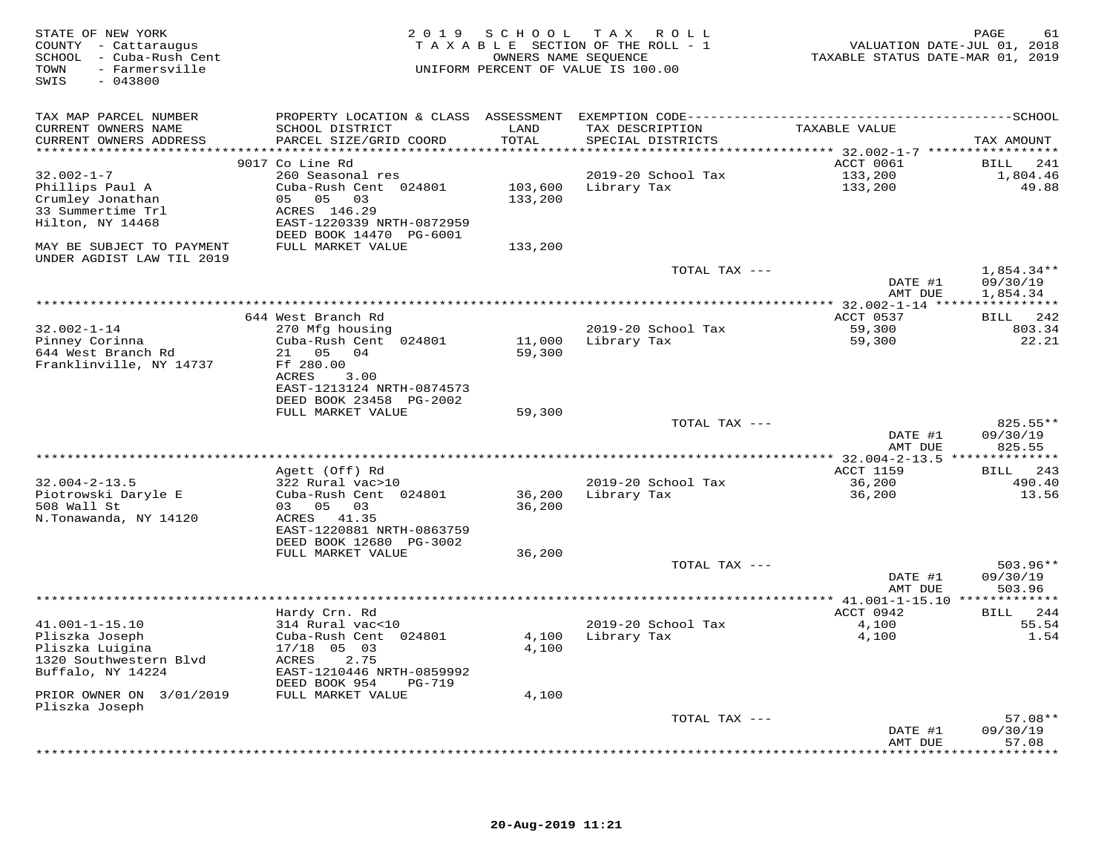| STATE OF NEW YORK<br>COUNTY - Cattaraugus<br>SCHOOL - Cuba-Rush Cent<br>- Farmersville<br>TOWN<br>SWIS<br>$-043800$ |                                                      | OWNERS NAME SEQUENCE | 2019 SCHOOL TAX ROLL<br>TAXABLE SECTION OF THE ROLL - 1<br>UNIFORM PERCENT OF VALUE IS 100.00 | VALUATION DATE-JUL 01, 2018<br>TAXABLE STATUS DATE-MAR 01, 2019 | PAGE<br>61                   |
|---------------------------------------------------------------------------------------------------------------------|------------------------------------------------------|----------------------|-----------------------------------------------------------------------------------------------|-----------------------------------------------------------------|------------------------------|
| TAX MAP PARCEL NUMBER                                                                                               |                                                      |                      |                                                                                               |                                                                 |                              |
| CURRENT OWNERS NAME<br>CURRENT OWNERS ADDRESS                                                                       | SCHOOL DISTRICT<br>PARCEL SIZE/GRID COORD            | LAND<br>TOTAL        | TAX DESCRIPTION<br>SPECIAL DISTRICTS                                                          | TAXABLE VALUE                                                   | TAX AMOUNT                   |
| ***********************                                                                                             |                                                      |                      |                                                                                               |                                                                 |                              |
| $32.002 - 1 - 7$                                                                                                    | 9017 Co Line Rd<br>260 Seasonal res                  |                      | 2019-20 School Tax                                                                            | ACCT 0061<br>133,200                                            | 241<br>BILL<br>1,804.46      |
| Phillips Paul A                                                                                                     | Cuba-Rush Cent 024801                                | 103,600              | Library Tax                                                                                   | 133,200                                                         | 49.88                        |
| Crumley Jonathan                                                                                                    | 05 05 03                                             | 133,200              |                                                                                               |                                                                 |                              |
| 33 Summertime Trl                                                                                                   | ACRES 146.29                                         |                      |                                                                                               |                                                                 |                              |
| Hilton, NY 14468                                                                                                    | EAST-1220339 NRTH-0872959<br>DEED BOOK 14470 PG-6001 |                      |                                                                                               |                                                                 |                              |
| MAY BE SUBJECT TO PAYMENT<br>UNDER AGDIST LAW TIL 2019                                                              | FULL MARKET VALUE                                    | 133,200              |                                                                                               |                                                                 |                              |
|                                                                                                                     |                                                      |                      | TOTAL TAX ---                                                                                 |                                                                 | $1,854.34**$                 |
|                                                                                                                     |                                                      |                      |                                                                                               | DATE #1                                                         | 09/30/19                     |
|                                                                                                                     |                                                      |                      |                                                                                               | AMT DUE                                                         | 1,854.34                     |
|                                                                                                                     | 644 West Branch Rd                                   |                      |                                                                                               | ACCT 0537                                                       | BILL 242                     |
| $32.002 - 1 - 14$                                                                                                   | 270 Mfg housing                                      |                      | 2019-20 School Tax                                                                            | 59,300                                                          | 803.34                       |
| Pinney Corinna                                                                                                      | Cuba-Rush Cent 024801                                | 11,000               | Library Tax                                                                                   | 59,300                                                          | 22.21                        |
| 644 West Branch Rd                                                                                                  | 21  05  04                                           | 59,300               |                                                                                               |                                                                 |                              |
| Franklinville, NY 14737                                                                                             | Ff 280.00                                            |                      |                                                                                               |                                                                 |                              |
|                                                                                                                     | ACRES<br>3.00                                        |                      |                                                                                               |                                                                 |                              |
|                                                                                                                     | EAST-1213124 NRTH-0874573                            |                      |                                                                                               |                                                                 |                              |
|                                                                                                                     | DEED BOOK 23458 PG-2002                              |                      |                                                                                               |                                                                 |                              |
|                                                                                                                     | FULL MARKET VALUE                                    | 59,300               | TOTAL TAX ---                                                                                 |                                                                 | 825.55**                     |
|                                                                                                                     |                                                      |                      |                                                                                               | DATE #1                                                         | 09/30/19                     |
|                                                                                                                     |                                                      |                      |                                                                                               | AMT DUE                                                         | 825.55                       |
|                                                                                                                     |                                                      |                      |                                                                                               |                                                                 |                              |
|                                                                                                                     | Agett (Off) Rd                                       |                      |                                                                                               | ACCT 1159                                                       | BILL 243                     |
| $32.004 - 2 - 13.5$                                                                                                 | 322 Rural vac>10                                     |                      | 2019-20 School Tax                                                                            | 36,200                                                          | 490.40                       |
| Piotrowski Daryle E                                                                                                 | Cuba-Rush Cent 024801                                | 36,200               | Library Tax                                                                                   | 36,200                                                          | 13.56                        |
| 508 Wall St                                                                                                         | 03 05 03                                             | 36,200               |                                                                                               |                                                                 |                              |
| N.Tonawanda, NY 14120                                                                                               | ACRES 41.35<br>EAST-1220881 NRTH-0863759             |                      |                                                                                               |                                                                 |                              |
|                                                                                                                     | DEED BOOK 12680 PG-3002                              |                      |                                                                                               |                                                                 |                              |
|                                                                                                                     | FULL MARKET VALUE                                    | 36,200               |                                                                                               |                                                                 |                              |
|                                                                                                                     |                                                      |                      | TOTAL TAX ---                                                                                 |                                                                 | $503.96**$                   |
|                                                                                                                     |                                                      |                      |                                                                                               | DATE #1                                                         | 09/30/19                     |
|                                                                                                                     |                                                      |                      |                                                                                               | AMT DUE                                                         | 503.96                       |
|                                                                                                                     |                                                      |                      |                                                                                               |                                                                 |                              |
|                                                                                                                     | Hardy Crn. Rd                                        |                      |                                                                                               | ACCT 0942                                                       | <b>BILL</b><br>244           |
| $41.001 - 1 - 15.10$<br>Pliszka Joseph                                                                              | 314 Rural vac<10<br>Cuba-Rush Cent 024801            | 4,100                | 2019-20 School Tax<br>Library Tax                                                             | 4,100<br>4,100                                                  | 55.54<br>1.54                |
| Pliszka Luigina                                                                                                     | 17/18 05 03                                          | 4,100                |                                                                                               |                                                                 |                              |
| 1320 Southwestern Blvd                                                                                              | 2.75<br>ACRES                                        |                      |                                                                                               |                                                                 |                              |
| Buffalo, NY 14224                                                                                                   | EAST-1210446 NRTH-0859992                            |                      |                                                                                               |                                                                 |                              |
|                                                                                                                     | DEED BOOK 954<br>PG-719                              |                      |                                                                                               |                                                                 |                              |
| PRIOR OWNER ON 3/01/2019                                                                                            | FULL MARKET VALUE                                    | 4,100                |                                                                                               |                                                                 |                              |
| Pliszka Joseph                                                                                                      |                                                      |                      |                                                                                               |                                                                 |                              |
|                                                                                                                     |                                                      |                      | TOTAL TAX ---                                                                                 |                                                                 | 57.08**                      |
|                                                                                                                     |                                                      |                      |                                                                                               | DATE #1                                                         | 09/30/19                     |
|                                                                                                                     |                                                      |                      |                                                                                               | AMT DUE                                                         | 57.08<br>* * * * * * * * * * |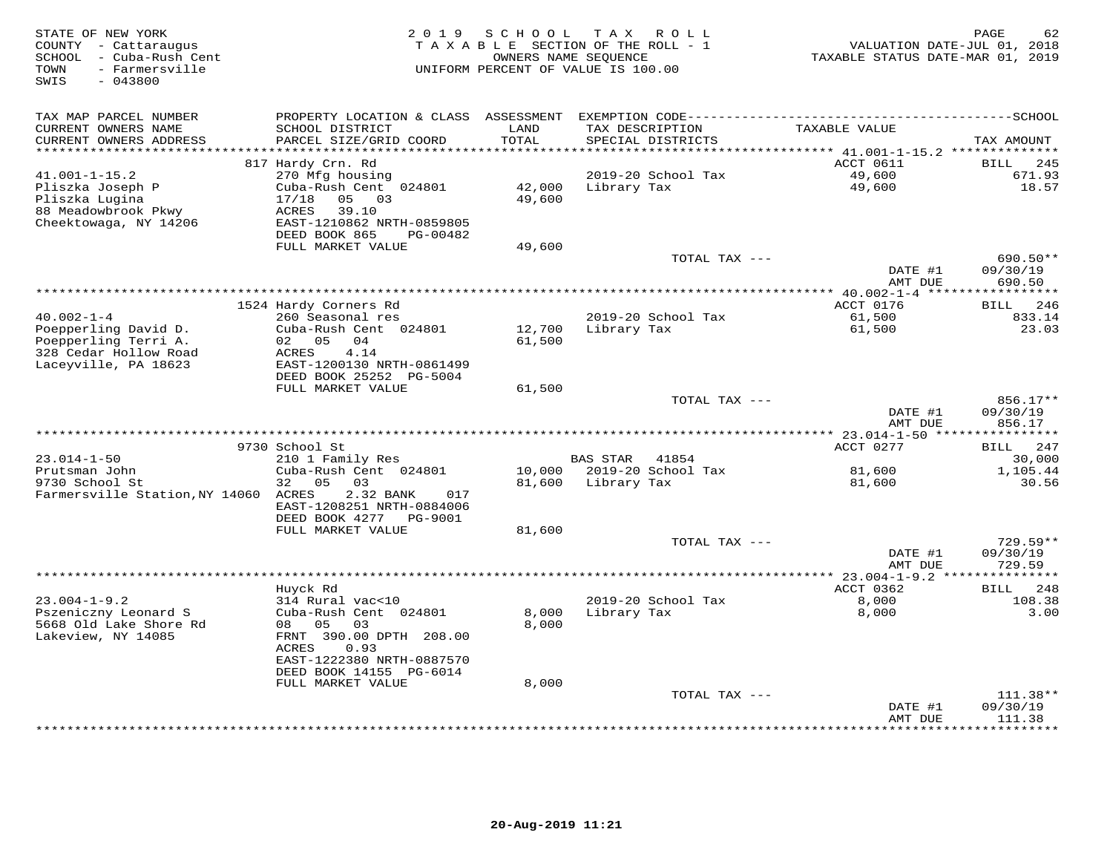| STATE OF NEW YORK<br>COUNTY - Cattaraugus<br>- Cuba-Rush Cent<br>SCHOOL<br>- Farmersville<br>TOWN<br>$-043800$<br>SWIS | 2 0 1 9                                        | S C H O O L      | T A X<br>ROLL<br>TAXABLE SECTION OF THE ROLL - 1<br>OWNERS NAME SEQUENCE<br>UNIFORM PERCENT OF VALUE IS 100.00 | VALUATION DATE-JUL 01, 2018<br>TAXABLE STATUS DATE-MAR 01, 2019 | PAGE<br>62                  |
|------------------------------------------------------------------------------------------------------------------------|------------------------------------------------|------------------|----------------------------------------------------------------------------------------------------------------|-----------------------------------------------------------------|-----------------------------|
| TAX MAP PARCEL NUMBER                                                                                                  | PROPERTY LOCATION & CLASS ASSESSMENT           |                  |                                                                                                                |                                                                 |                             |
| CURRENT OWNERS NAME<br>CURRENT OWNERS ADDRESS<br>*********************                                                 | SCHOOL DISTRICT<br>PARCEL SIZE/GRID COORD      | LAND<br>TOTAL    | TAX DESCRIPTION<br>SPECIAL DISTRICTS                                                                           | TAXABLE VALUE                                                   | TAX AMOUNT                  |
|                                                                                                                        | 817 Hardy Crn. Rd                              |                  |                                                                                                                | ACCT 0611                                                       | <b>BILL</b><br>245          |
| $41.001 - 1 - 15.2$                                                                                                    | 270 Mfg housing                                |                  | 2019-20 School Tax                                                                                             | 49,600                                                          | 671.93                      |
| Pliszka Joseph P                                                                                                       | Cuba-Rush Cent 024801                          | 42,000           | Library Tax                                                                                                    | 49,600                                                          | 18.57                       |
| Pliszka Lugina                                                                                                         | 17/18<br>05<br>03                              | 49,600           |                                                                                                                |                                                                 |                             |
| 88 Meadowbrook Pkwy                                                                                                    | ACRES<br>39.10                                 |                  |                                                                                                                |                                                                 |                             |
| Cheektowaga, NY 14206                                                                                                  | EAST-1210862 NRTH-0859805                      |                  |                                                                                                                |                                                                 |                             |
|                                                                                                                        | DEED BOOK 865<br>PG-00482<br>FULL MARKET VALUE |                  |                                                                                                                |                                                                 |                             |
|                                                                                                                        |                                                | 49,600           | TOTAL TAX ---                                                                                                  |                                                                 | 690.50**                    |
|                                                                                                                        |                                                |                  |                                                                                                                | DATE #1                                                         | 09/30/19                    |
|                                                                                                                        |                                                |                  |                                                                                                                | AMT DUE                                                         | 690.50                      |
|                                                                                                                        |                                                |                  |                                                                                                                |                                                                 |                             |
|                                                                                                                        | 1524 Hardy Corners Rd                          |                  |                                                                                                                | ACCT 0176                                                       | BILL<br>246                 |
| $40.002 - 1 - 4$<br>Poepperling David D.                                                                               | 260 Seasonal res<br>Cuba-Rush Cent 024801      | 12,700           | 2019-20 School Tax<br>Library Tax                                                                              | 61,500<br>61,500                                                | 833.14<br>23.03             |
| Poepperling Terri A.                                                                                                   | 04<br>02 05                                    | 61,500           |                                                                                                                |                                                                 |                             |
| 328 Cedar Hollow Road                                                                                                  | 4.14<br>ACRES                                  |                  |                                                                                                                |                                                                 |                             |
| Laceyville, PA 18623                                                                                                   | EAST-1200130 NRTH-0861499                      |                  |                                                                                                                |                                                                 |                             |
|                                                                                                                        | DEED BOOK 25252 PG-5004                        |                  |                                                                                                                |                                                                 |                             |
|                                                                                                                        | FULL MARKET VALUE                              | 61,500           |                                                                                                                |                                                                 |                             |
|                                                                                                                        |                                                |                  | TOTAL TAX ---                                                                                                  | DATE #1                                                         | 856.17**<br>09/30/19        |
|                                                                                                                        |                                                |                  |                                                                                                                | AMT DUE                                                         | 856.17                      |
|                                                                                                                        |                                                |                  |                                                                                                                |                                                                 |                             |
|                                                                                                                        | 9730 School St                                 |                  |                                                                                                                | ACCT 0277                                                       | 247<br>BILL                 |
| $23.014 - 1 - 50$                                                                                                      | 210 1 Family Res                               |                  | <b>BAS STAR</b><br>41854                                                                                       |                                                                 | 30,000                      |
| Prutsman John<br>9730 School St                                                                                        | Cuba-Rush Cent 024801<br>32<br>0.5<br>03       | 10,000<br>81,600 | 2019-20 School Tax<br>Library Tax                                                                              | 81,600<br>81,600                                                | 1,105.44<br>30.56           |
| Farmersville Station, NY 14060 ACRES                                                                                   | 2.32 BANK<br>017                               |                  |                                                                                                                |                                                                 |                             |
|                                                                                                                        | EAST-1208251 NRTH-0884006                      |                  |                                                                                                                |                                                                 |                             |
|                                                                                                                        | DEED BOOK 4277 PG-9001                         |                  |                                                                                                                |                                                                 |                             |
|                                                                                                                        | FULL MARKET VALUE                              | 81,600           |                                                                                                                |                                                                 |                             |
|                                                                                                                        |                                                |                  | TOTAL TAX ---                                                                                                  |                                                                 | 729.59**                    |
|                                                                                                                        |                                                |                  |                                                                                                                | DATE #1                                                         | 09/30/19<br>729.59          |
|                                                                                                                        |                                                |                  | **************************************                                                                         | AMT DUE<br>***** 23.004-1-9.2 ***************                   |                             |
|                                                                                                                        | Huyck Rd                                       |                  |                                                                                                                | ACCT 0362                                                       | 248<br>BILL                 |
| $23.004 - 1 - 9.2$                                                                                                     | 314 Rural vac<10                               |                  | 2019-20 School Tax                                                                                             | 8,000                                                           | 108.38                      |
| Pszeniczny Leonard S                                                                                                   | Cuba-Rush Cent 024801                          | 8,000            | Library Tax                                                                                                    | 8,000                                                           | 3.00                        |
| 5668 Old Lake Shore Rd                                                                                                 | 08<br>05<br>03                                 | 8,000            |                                                                                                                |                                                                 |                             |
| Lakeview, NY 14085                                                                                                     | FRNT 390.00 DPTH 208.00<br>ACRES<br>0.93       |                  |                                                                                                                |                                                                 |                             |
|                                                                                                                        | EAST-1222380 NRTH-0887570                      |                  |                                                                                                                |                                                                 |                             |
|                                                                                                                        | DEED BOOK 14155 PG-6014                        |                  |                                                                                                                |                                                                 |                             |
|                                                                                                                        | FULL MARKET VALUE                              | 8,000            |                                                                                                                |                                                                 |                             |
|                                                                                                                        |                                                |                  | TOTAL TAX ---                                                                                                  |                                                                 | 111.38**                    |
|                                                                                                                        |                                                |                  |                                                                                                                | DATE #1                                                         | 09/30/19                    |
|                                                                                                                        |                                                |                  |                                                                                                                | AMT DUE                                                         | 111.38<br>* * * * * * * * * |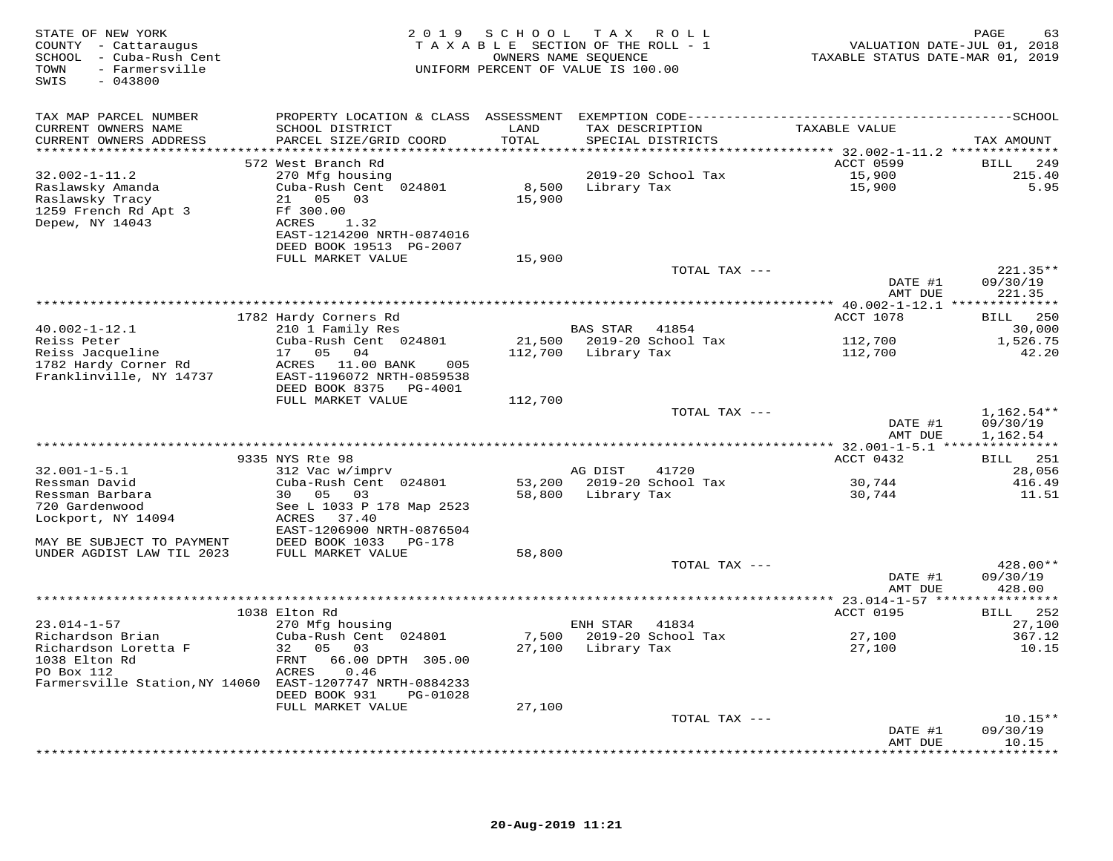| STATE OF NEW YORK<br>COUNTY - Cattaraugus<br>SCHOOL - Cuba-Rush Cent<br>TOWN<br>- Farmersville<br>$-043800$<br>SWIS |                                                                                              |         | 2019 SCHOOL TAX ROLL<br>TAXABLE SECTION OF THE ROLL - 1<br>OWNERS NAME SEQUENCE<br>UNIFORM PERCENT OF VALUE IS 100.00 | VALUATION DATE-JUL 01, 2018<br>TAXABLE STATUS DATE-MAR 01, 2019 | 63<br>PAGE           |
|---------------------------------------------------------------------------------------------------------------------|----------------------------------------------------------------------------------------------|---------|-----------------------------------------------------------------------------------------------------------------------|-----------------------------------------------------------------|----------------------|
| TAX MAP PARCEL NUMBER                                                                                               | PROPERTY LOCATION & CLASS ASSESSMENT EXEMPTION CODE-----------------------------------SCHOOL |         |                                                                                                                       |                                                                 |                      |
| CURRENT OWNERS NAME                                                                                                 | SCHOOL DISTRICT                                                                              | LAND    | TAX DESCRIPTION                                                                                                       | TAXABLE VALUE                                                   |                      |
| CURRENT OWNERS ADDRESS                                                                                              | PARCEL SIZE/GRID COORD                                                                       | TOTAL   | SPECIAL DISTRICTS                                                                                                     |                                                                 | TAX AMOUNT           |
|                                                                                                                     | 572 West Branch Rd                                                                           |         |                                                                                                                       | ACCT 0599                                                       | 249<br>BILL          |
| $32.002 - 1 - 11.2$                                                                                                 | 270 Mfg housing                                                                              |         | 2019-20 School Tax                                                                                                    | 15,900                                                          | 215.40               |
| Raslawsky Amanda                                                                                                    | Cuba-Rush Cent 024801                                                                        |         | 8,500 Library Tax                                                                                                     | 15,900                                                          | 5.95                 |
| Raslawsky Tracy                                                                                                     | 21 05<br>03                                                                                  | 15,900  |                                                                                                                       |                                                                 |                      |
| 1259 French Rd Apt 3<br>Depew, NY 14043                                                                             | Ff 300.00<br>ACRES<br>1.32                                                                   |         |                                                                                                                       |                                                                 |                      |
|                                                                                                                     | EAST-1214200 NRTH-0874016                                                                    |         |                                                                                                                       |                                                                 |                      |
|                                                                                                                     | DEED BOOK 19513 PG-2007                                                                      |         |                                                                                                                       |                                                                 |                      |
|                                                                                                                     | FULL MARKET VALUE                                                                            | 15,900  |                                                                                                                       |                                                                 |                      |
|                                                                                                                     |                                                                                              |         | TOTAL TAX ---                                                                                                         |                                                                 | 221.35**             |
|                                                                                                                     |                                                                                              |         |                                                                                                                       | DATE #1<br>AMT DUE                                              | 09/30/19             |
|                                                                                                                     |                                                                                              |         |                                                                                                                       |                                                                 | 221.35               |
|                                                                                                                     | 1782 Hardy Corners Rd                                                                        |         |                                                                                                                       | ACCT 1078                                                       | BILL 250             |
| $40.002 - 1 - 12.1$                                                                                                 | 210 1 Family Res                                                                             |         | BAS STAR<br>41854                                                                                                     |                                                                 | 30,000               |
| Reiss Peter                                                                                                         | Cuba-Rush Cent 024801                                                                        |         | 21,500 2019-20 School Tax                                                                                             | 112,700                                                         | 1,526.75             |
| Reiss Jacqueline<br>1782 Hardy Corner Rd                                                                            | 17 05 04<br>005                                                                              |         | 112,700 Library Tax                                                                                                   | 112,700                                                         | 42.20                |
| Franklinville, NY 14737                                                                                             | ACRES 11.00 BANK<br>EAST-1196072 NRTH-0859538                                                |         |                                                                                                                       |                                                                 |                      |
|                                                                                                                     | DEED BOOK 8375<br>PG-4001                                                                    |         |                                                                                                                       |                                                                 |                      |
|                                                                                                                     | FULL MARKET VALUE                                                                            | 112,700 |                                                                                                                       |                                                                 |                      |
|                                                                                                                     |                                                                                              |         | TOTAL TAX ---                                                                                                         |                                                                 | $1,162.54**$         |
|                                                                                                                     |                                                                                              |         |                                                                                                                       | DATE #1<br>AMT DUE                                              | 09/30/19<br>1,162.54 |
|                                                                                                                     |                                                                                              |         |                                                                                                                       |                                                                 |                      |
|                                                                                                                     | 9335 NYS Rte 98                                                                              |         |                                                                                                                       | ACCT 0432                                                       | BILL 251             |
| $32.001 - 1 - 5.1$                                                                                                  | 312 Vac w/imprv                                                                              |         | AG DIST<br>41720                                                                                                      |                                                                 | 28,056               |
| Ressman David                                                                                                       | Cuba-Rush Cent 024801                                                                        |         | 53,200 2019-20 School Tax                                                                                             | 30,744                                                          | 416.49               |
| Ressman Barbara<br>720 Gardenwood                                                                                   | 30  05  03<br>See L 1033 P 178 Map 2523                                                      |         | 58,800 Library Tax                                                                                                    | 30,744                                                          | 11.51                |
| Lockport, NY 14094                                                                                                  | ACRES 37.40                                                                                  |         |                                                                                                                       |                                                                 |                      |
|                                                                                                                     | EAST-1206900 NRTH-0876504                                                                    |         |                                                                                                                       |                                                                 |                      |
| MAY BE SUBJECT TO PAYMENT                                                                                           | DEED BOOK 1033 PG-178                                                                        |         |                                                                                                                       |                                                                 |                      |
| UNDER AGDIST LAW TIL 2023                                                                                           | FULL MARKET VALUE                                                                            | 58,800  |                                                                                                                       |                                                                 |                      |
|                                                                                                                     |                                                                                              |         | TOTAL TAX ---                                                                                                         | DATE #1                                                         | 428.00**<br>09/30/19 |
|                                                                                                                     |                                                                                              |         |                                                                                                                       | AMT DUE                                                         | 428.00               |
|                                                                                                                     |                                                                                              |         |                                                                                                                       |                                                                 |                      |
|                                                                                                                     | 1038 Elton Rd                                                                                |         |                                                                                                                       | ACCT 0195                                                       | BILL 252             |
| $23.014 - 1 - 57$                                                                                                   | 270 Mfg housing                                                                              |         | ENH STAR<br>41834                                                                                                     |                                                                 | 27,100               |
| Richardson Brian<br>Richardson Loretta F                                                                            | Cuba-Rush Cent 024801<br>32 05 03                                                            | 7,500   | 2019-20 School Tax<br>27,100 Library Tax                                                                              | 27,100<br>27,100                                                | 367.12<br>10.15      |
| 1038 Elton Rd                                                                                                       | FRNT 66.00 DPTH 305.00                                                                       |         |                                                                                                                       |                                                                 |                      |
| PO Box 112                                                                                                          | ACRES<br>0.46                                                                                |         |                                                                                                                       |                                                                 |                      |
| Farmersville Station, NY 14060 EAST-1207747 NRTH-0884233                                                            |                                                                                              |         |                                                                                                                       |                                                                 |                      |
|                                                                                                                     | DEED BOOK 931<br>PG-01028                                                                    |         |                                                                                                                       |                                                                 |                      |
|                                                                                                                     | FULL MARKET VALUE                                                                            | 27,100  | TOTAL TAX ---                                                                                                         |                                                                 | $10.15**$            |
|                                                                                                                     |                                                                                              |         |                                                                                                                       | DATE #1                                                         | 09/30/19             |
|                                                                                                                     |                                                                                              |         |                                                                                                                       | AMT DUE                                                         | 10.15                |
|                                                                                                                     |                                                                                              |         |                                                                                                                       |                                                                 |                      |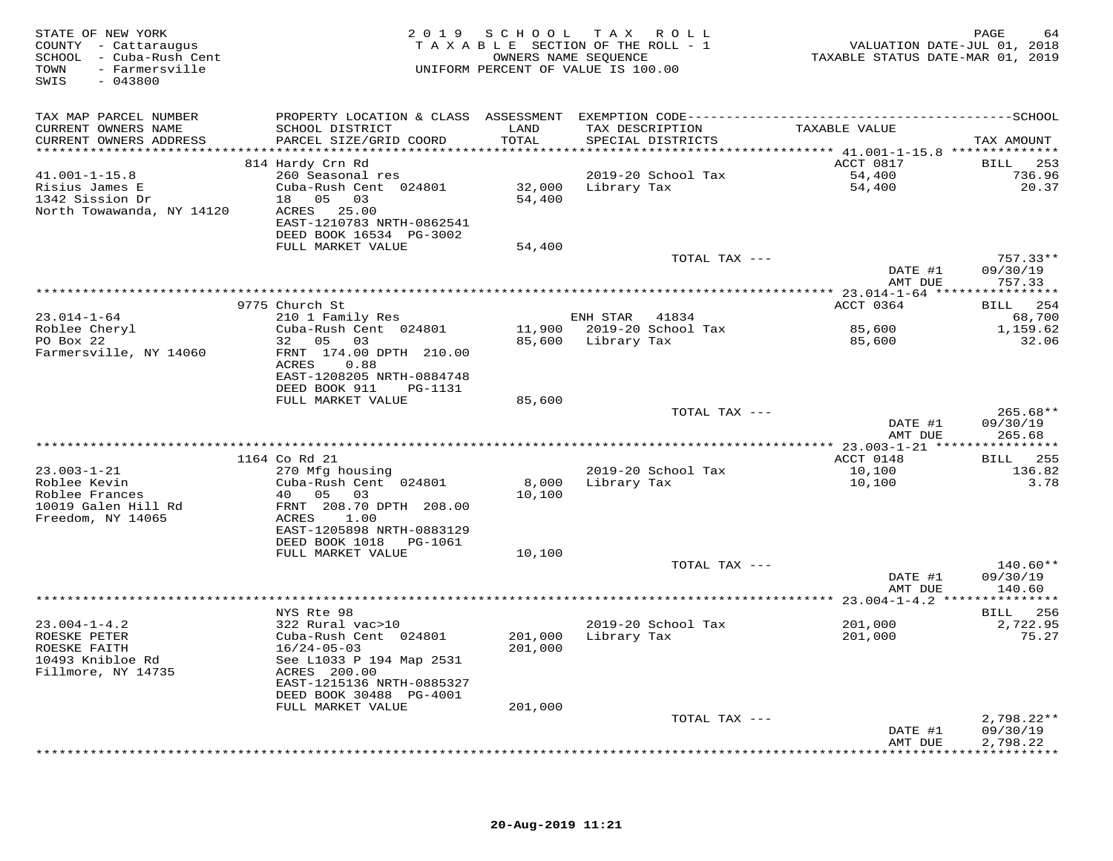| TAX MAP PARCEL NUMBER<br>SCHOOL DISTRICT<br>TAXABLE VALUE<br>CURRENT OWNERS NAME<br>LAND<br>TAX DESCRIPTION<br>TOTAL<br>CURRENT OWNERS ADDRESS<br>PARCEL SIZE/GRID COORD<br>SPECIAL DISTRICTS<br>TAX AMOUNT<br>ACCT 0817<br>814 Hardy Crn Rd<br>BILL 253<br>$41.001 - 1 - 15.8$<br>260 Seasonal res<br>2019-20 School Tax<br>54,400<br>736.96<br>Risius James E<br>Cuba-Rush Cent 024801<br>32,000 Library Tax<br>54,400<br>20.37<br>1342 Sission Dr<br>18  05  03<br>54,400<br>North Towawanda, NY 14120<br>ACRES 25.00<br>EAST-1210783 NRTH-0862541<br>DEED BOOK 16534 PG-3002<br>FULL MARKET VALUE<br>54,400<br>$757.33**$<br>TOTAL TAX ---<br>DATE #1<br>09/30/19<br>AMT DUE<br>757.33<br>BILL 254<br>ACCT 0364<br>9775 Church St<br>$23.014 - 1 - 64$<br>ENH STAR 41834<br>210 1 Family Res<br>68,700<br>Roblee Cheryl<br>Cuba-Rush Cent 024801<br>11,900 2019-20 School Tax<br>85,600<br>1,159.62<br>PO Box 22<br>32 05 03<br>85,600 Library Tax<br>85,600<br>32.06<br>Farmersville, NY 14060<br>FRNT 174.00 DPTH 210.00<br>ACRES<br>0.88<br>EAST-1208205 NRTH-0884748<br>DEED BOOK 911<br>PG-1131<br>FULL MARKET VALUE<br>85,600<br>$265.68**$<br>TOTAL TAX ---<br>DATE #1<br>09/30/19<br>AMT DUE<br>265.68<br>**************** 23.003-1-21 *****************<br>1164 Co Rd 21<br>ACCT 0148<br>BILL 255<br>$23.003 - 1 - 21$<br>270 Mfg housing<br>2019-20 School Tax<br>10,100<br>136.82<br>Roblee Kevin<br>Cuba-Rush Cent 024801<br>8,000<br>10,100<br>3.78<br>Library Tax<br>Roblee Frances<br>40 05 03<br>10,100<br>10019 Galen Hill Rd<br>FRNT 208.70 DPTH 208.00<br>Freedom, NY 14065<br>1.00<br>ACRES<br>EAST-1205898 NRTH-0883129<br>DEED BOOK 1018    PG-1061<br>FULL MARKET VALUE<br>10,100<br>$140.60**$<br>TOTAL TAX ---<br>DATE #1<br>09/30/19<br>AMT DUE<br>140.60<br>NYS Rte 98<br>BILL 256<br>$23.004 - 1 - 4.2$<br>322 Rural vac>10<br>2019-20 School Tax<br>201,000<br>2,722.95<br>75.27<br>ROESKE PETER<br>Cuba-Rush Cent 024801<br>201,000 Library Tax<br>201,000<br>ROESKE FAITH<br>201,000<br>$16/24 - 05 - 03$<br>10493 Knibloe Rd<br>See L1033 P 194 Map 2531<br>Fillmore, NY 14735<br>ACRES 200.00<br>EAST-1215136 NRTH-0885327<br>DEED BOOK 30488 PG-4001<br>201,000<br>FULL MARKET VALUE<br>TOTAL TAX ---<br>$2,798.22**$<br>DATE #1<br>09/30/19<br>2,798.22<br>AMT DUE<br>************* | STATE OF NEW YORK<br>COUNTY - Cattaraugus<br>SCHOOL - Cuba-Rush Cent<br>- Farmersville<br>TOWN<br>SWIS<br>$-043800$ |  | 2019 SCHOOL TAX ROLL<br>TAXABLE SECTION OF THE ROLL - 1<br>OWNERS NAME SEQUENCE<br>UNIFORM PERCENT OF VALUE IS 100.00 | VALUATION DATE-JUL 01, 2018<br>TAXABLE STATUS DATE-MAR 01, 2019 | PAGE<br>64 |
|----------------------------------------------------------------------------------------------------------------------------------------------------------------------------------------------------------------------------------------------------------------------------------------------------------------------------------------------------------------------------------------------------------------------------------------------------------------------------------------------------------------------------------------------------------------------------------------------------------------------------------------------------------------------------------------------------------------------------------------------------------------------------------------------------------------------------------------------------------------------------------------------------------------------------------------------------------------------------------------------------------------------------------------------------------------------------------------------------------------------------------------------------------------------------------------------------------------------------------------------------------------------------------------------------------------------------------------------------------------------------------------------------------------------------------------------------------------------------------------------------------------------------------------------------------------------------------------------------------------------------------------------------------------------------------------------------------------------------------------------------------------------------------------------------------------------------------------------------------------------------------------------------------------------------------------------------------------------------------------------------------------------------------------------------------------------------------------------------------------------------------------------------------------------------------------------------------------------------------------------------------------------------------------------------------------------------|---------------------------------------------------------------------------------------------------------------------|--|-----------------------------------------------------------------------------------------------------------------------|-----------------------------------------------------------------|------------|
|                                                                                                                                                                                                                                                                                                                                                                                                                                                                                                                                                                                                                                                                                                                                                                                                                                                                                                                                                                                                                                                                                                                                                                                                                                                                                                                                                                                                                                                                                                                                                                                                                                                                                                                                                                                                                                                                                                                                                                                                                                                                                                                                                                                                                                                                                                                            |                                                                                                                     |  |                                                                                                                       |                                                                 |            |
|                                                                                                                                                                                                                                                                                                                                                                                                                                                                                                                                                                                                                                                                                                                                                                                                                                                                                                                                                                                                                                                                                                                                                                                                                                                                                                                                                                                                                                                                                                                                                                                                                                                                                                                                                                                                                                                                                                                                                                                                                                                                                                                                                                                                                                                                                                                            |                                                                                                                     |  |                                                                                                                       |                                                                 |            |
|                                                                                                                                                                                                                                                                                                                                                                                                                                                                                                                                                                                                                                                                                                                                                                                                                                                                                                                                                                                                                                                                                                                                                                                                                                                                                                                                                                                                                                                                                                                                                                                                                                                                                                                                                                                                                                                                                                                                                                                                                                                                                                                                                                                                                                                                                                                            |                                                                                                                     |  |                                                                                                                       |                                                                 |            |
|                                                                                                                                                                                                                                                                                                                                                                                                                                                                                                                                                                                                                                                                                                                                                                                                                                                                                                                                                                                                                                                                                                                                                                                                                                                                                                                                                                                                                                                                                                                                                                                                                                                                                                                                                                                                                                                                                                                                                                                                                                                                                                                                                                                                                                                                                                                            |                                                                                                                     |  |                                                                                                                       |                                                                 |            |
|                                                                                                                                                                                                                                                                                                                                                                                                                                                                                                                                                                                                                                                                                                                                                                                                                                                                                                                                                                                                                                                                                                                                                                                                                                                                                                                                                                                                                                                                                                                                                                                                                                                                                                                                                                                                                                                                                                                                                                                                                                                                                                                                                                                                                                                                                                                            |                                                                                                                     |  |                                                                                                                       |                                                                 |            |
|                                                                                                                                                                                                                                                                                                                                                                                                                                                                                                                                                                                                                                                                                                                                                                                                                                                                                                                                                                                                                                                                                                                                                                                                                                                                                                                                                                                                                                                                                                                                                                                                                                                                                                                                                                                                                                                                                                                                                                                                                                                                                                                                                                                                                                                                                                                            |                                                                                                                     |  |                                                                                                                       |                                                                 |            |
|                                                                                                                                                                                                                                                                                                                                                                                                                                                                                                                                                                                                                                                                                                                                                                                                                                                                                                                                                                                                                                                                                                                                                                                                                                                                                                                                                                                                                                                                                                                                                                                                                                                                                                                                                                                                                                                                                                                                                                                                                                                                                                                                                                                                                                                                                                                            |                                                                                                                     |  |                                                                                                                       |                                                                 |            |
|                                                                                                                                                                                                                                                                                                                                                                                                                                                                                                                                                                                                                                                                                                                                                                                                                                                                                                                                                                                                                                                                                                                                                                                                                                                                                                                                                                                                                                                                                                                                                                                                                                                                                                                                                                                                                                                                                                                                                                                                                                                                                                                                                                                                                                                                                                                            |                                                                                                                     |  |                                                                                                                       |                                                                 |            |
|                                                                                                                                                                                                                                                                                                                                                                                                                                                                                                                                                                                                                                                                                                                                                                                                                                                                                                                                                                                                                                                                                                                                                                                                                                                                                                                                                                                                                                                                                                                                                                                                                                                                                                                                                                                                                                                                                                                                                                                                                                                                                                                                                                                                                                                                                                                            |                                                                                                                     |  |                                                                                                                       |                                                                 |            |
|                                                                                                                                                                                                                                                                                                                                                                                                                                                                                                                                                                                                                                                                                                                                                                                                                                                                                                                                                                                                                                                                                                                                                                                                                                                                                                                                                                                                                                                                                                                                                                                                                                                                                                                                                                                                                                                                                                                                                                                                                                                                                                                                                                                                                                                                                                                            |                                                                                                                     |  |                                                                                                                       |                                                                 |            |
|                                                                                                                                                                                                                                                                                                                                                                                                                                                                                                                                                                                                                                                                                                                                                                                                                                                                                                                                                                                                                                                                                                                                                                                                                                                                                                                                                                                                                                                                                                                                                                                                                                                                                                                                                                                                                                                                                                                                                                                                                                                                                                                                                                                                                                                                                                                            |                                                                                                                     |  |                                                                                                                       |                                                                 |            |
|                                                                                                                                                                                                                                                                                                                                                                                                                                                                                                                                                                                                                                                                                                                                                                                                                                                                                                                                                                                                                                                                                                                                                                                                                                                                                                                                                                                                                                                                                                                                                                                                                                                                                                                                                                                                                                                                                                                                                                                                                                                                                                                                                                                                                                                                                                                            |                                                                                                                     |  |                                                                                                                       |                                                                 |            |
|                                                                                                                                                                                                                                                                                                                                                                                                                                                                                                                                                                                                                                                                                                                                                                                                                                                                                                                                                                                                                                                                                                                                                                                                                                                                                                                                                                                                                                                                                                                                                                                                                                                                                                                                                                                                                                                                                                                                                                                                                                                                                                                                                                                                                                                                                                                            |                                                                                                                     |  |                                                                                                                       |                                                                 |            |
|                                                                                                                                                                                                                                                                                                                                                                                                                                                                                                                                                                                                                                                                                                                                                                                                                                                                                                                                                                                                                                                                                                                                                                                                                                                                                                                                                                                                                                                                                                                                                                                                                                                                                                                                                                                                                                                                                                                                                                                                                                                                                                                                                                                                                                                                                                                            |                                                                                                                     |  |                                                                                                                       |                                                                 |            |
|                                                                                                                                                                                                                                                                                                                                                                                                                                                                                                                                                                                                                                                                                                                                                                                                                                                                                                                                                                                                                                                                                                                                                                                                                                                                                                                                                                                                                                                                                                                                                                                                                                                                                                                                                                                                                                                                                                                                                                                                                                                                                                                                                                                                                                                                                                                            |                                                                                                                     |  |                                                                                                                       |                                                                 |            |
|                                                                                                                                                                                                                                                                                                                                                                                                                                                                                                                                                                                                                                                                                                                                                                                                                                                                                                                                                                                                                                                                                                                                                                                                                                                                                                                                                                                                                                                                                                                                                                                                                                                                                                                                                                                                                                                                                                                                                                                                                                                                                                                                                                                                                                                                                                                            |                                                                                                                     |  |                                                                                                                       |                                                                 |            |
|                                                                                                                                                                                                                                                                                                                                                                                                                                                                                                                                                                                                                                                                                                                                                                                                                                                                                                                                                                                                                                                                                                                                                                                                                                                                                                                                                                                                                                                                                                                                                                                                                                                                                                                                                                                                                                                                                                                                                                                                                                                                                                                                                                                                                                                                                                                            |                                                                                                                     |  |                                                                                                                       |                                                                 |            |
|                                                                                                                                                                                                                                                                                                                                                                                                                                                                                                                                                                                                                                                                                                                                                                                                                                                                                                                                                                                                                                                                                                                                                                                                                                                                                                                                                                                                                                                                                                                                                                                                                                                                                                                                                                                                                                                                                                                                                                                                                                                                                                                                                                                                                                                                                                                            |                                                                                                                     |  |                                                                                                                       |                                                                 |            |
|                                                                                                                                                                                                                                                                                                                                                                                                                                                                                                                                                                                                                                                                                                                                                                                                                                                                                                                                                                                                                                                                                                                                                                                                                                                                                                                                                                                                                                                                                                                                                                                                                                                                                                                                                                                                                                                                                                                                                                                                                                                                                                                                                                                                                                                                                                                            |                                                                                                                     |  |                                                                                                                       |                                                                 |            |
|                                                                                                                                                                                                                                                                                                                                                                                                                                                                                                                                                                                                                                                                                                                                                                                                                                                                                                                                                                                                                                                                                                                                                                                                                                                                                                                                                                                                                                                                                                                                                                                                                                                                                                                                                                                                                                                                                                                                                                                                                                                                                                                                                                                                                                                                                                                            |                                                                                                                     |  |                                                                                                                       |                                                                 |            |
|                                                                                                                                                                                                                                                                                                                                                                                                                                                                                                                                                                                                                                                                                                                                                                                                                                                                                                                                                                                                                                                                                                                                                                                                                                                                                                                                                                                                                                                                                                                                                                                                                                                                                                                                                                                                                                                                                                                                                                                                                                                                                                                                                                                                                                                                                                                            |                                                                                                                     |  |                                                                                                                       |                                                                 |            |
|                                                                                                                                                                                                                                                                                                                                                                                                                                                                                                                                                                                                                                                                                                                                                                                                                                                                                                                                                                                                                                                                                                                                                                                                                                                                                                                                                                                                                                                                                                                                                                                                                                                                                                                                                                                                                                                                                                                                                                                                                                                                                                                                                                                                                                                                                                                            |                                                                                                                     |  |                                                                                                                       |                                                                 |            |
|                                                                                                                                                                                                                                                                                                                                                                                                                                                                                                                                                                                                                                                                                                                                                                                                                                                                                                                                                                                                                                                                                                                                                                                                                                                                                                                                                                                                                                                                                                                                                                                                                                                                                                                                                                                                                                                                                                                                                                                                                                                                                                                                                                                                                                                                                                                            |                                                                                                                     |  |                                                                                                                       |                                                                 |            |
|                                                                                                                                                                                                                                                                                                                                                                                                                                                                                                                                                                                                                                                                                                                                                                                                                                                                                                                                                                                                                                                                                                                                                                                                                                                                                                                                                                                                                                                                                                                                                                                                                                                                                                                                                                                                                                                                                                                                                                                                                                                                                                                                                                                                                                                                                                                            |                                                                                                                     |  |                                                                                                                       |                                                                 |            |
|                                                                                                                                                                                                                                                                                                                                                                                                                                                                                                                                                                                                                                                                                                                                                                                                                                                                                                                                                                                                                                                                                                                                                                                                                                                                                                                                                                                                                                                                                                                                                                                                                                                                                                                                                                                                                                                                                                                                                                                                                                                                                                                                                                                                                                                                                                                            |                                                                                                                     |  |                                                                                                                       |                                                                 |            |
|                                                                                                                                                                                                                                                                                                                                                                                                                                                                                                                                                                                                                                                                                                                                                                                                                                                                                                                                                                                                                                                                                                                                                                                                                                                                                                                                                                                                                                                                                                                                                                                                                                                                                                                                                                                                                                                                                                                                                                                                                                                                                                                                                                                                                                                                                                                            |                                                                                                                     |  |                                                                                                                       |                                                                 |            |
|                                                                                                                                                                                                                                                                                                                                                                                                                                                                                                                                                                                                                                                                                                                                                                                                                                                                                                                                                                                                                                                                                                                                                                                                                                                                                                                                                                                                                                                                                                                                                                                                                                                                                                                                                                                                                                                                                                                                                                                                                                                                                                                                                                                                                                                                                                                            |                                                                                                                     |  |                                                                                                                       |                                                                 |            |
|                                                                                                                                                                                                                                                                                                                                                                                                                                                                                                                                                                                                                                                                                                                                                                                                                                                                                                                                                                                                                                                                                                                                                                                                                                                                                                                                                                                                                                                                                                                                                                                                                                                                                                                                                                                                                                                                                                                                                                                                                                                                                                                                                                                                                                                                                                                            |                                                                                                                     |  |                                                                                                                       |                                                                 |            |
|                                                                                                                                                                                                                                                                                                                                                                                                                                                                                                                                                                                                                                                                                                                                                                                                                                                                                                                                                                                                                                                                                                                                                                                                                                                                                                                                                                                                                                                                                                                                                                                                                                                                                                                                                                                                                                                                                                                                                                                                                                                                                                                                                                                                                                                                                                                            |                                                                                                                     |  |                                                                                                                       |                                                                 |            |
|                                                                                                                                                                                                                                                                                                                                                                                                                                                                                                                                                                                                                                                                                                                                                                                                                                                                                                                                                                                                                                                                                                                                                                                                                                                                                                                                                                                                                                                                                                                                                                                                                                                                                                                                                                                                                                                                                                                                                                                                                                                                                                                                                                                                                                                                                                                            |                                                                                                                     |  |                                                                                                                       |                                                                 |            |
|                                                                                                                                                                                                                                                                                                                                                                                                                                                                                                                                                                                                                                                                                                                                                                                                                                                                                                                                                                                                                                                                                                                                                                                                                                                                                                                                                                                                                                                                                                                                                                                                                                                                                                                                                                                                                                                                                                                                                                                                                                                                                                                                                                                                                                                                                                                            |                                                                                                                     |  |                                                                                                                       |                                                                 |            |
|                                                                                                                                                                                                                                                                                                                                                                                                                                                                                                                                                                                                                                                                                                                                                                                                                                                                                                                                                                                                                                                                                                                                                                                                                                                                                                                                                                                                                                                                                                                                                                                                                                                                                                                                                                                                                                                                                                                                                                                                                                                                                                                                                                                                                                                                                                                            |                                                                                                                     |  |                                                                                                                       |                                                                 |            |
|                                                                                                                                                                                                                                                                                                                                                                                                                                                                                                                                                                                                                                                                                                                                                                                                                                                                                                                                                                                                                                                                                                                                                                                                                                                                                                                                                                                                                                                                                                                                                                                                                                                                                                                                                                                                                                                                                                                                                                                                                                                                                                                                                                                                                                                                                                                            |                                                                                                                     |  |                                                                                                                       |                                                                 |            |
|                                                                                                                                                                                                                                                                                                                                                                                                                                                                                                                                                                                                                                                                                                                                                                                                                                                                                                                                                                                                                                                                                                                                                                                                                                                                                                                                                                                                                                                                                                                                                                                                                                                                                                                                                                                                                                                                                                                                                                                                                                                                                                                                                                                                                                                                                                                            |                                                                                                                     |  |                                                                                                                       |                                                                 |            |
|                                                                                                                                                                                                                                                                                                                                                                                                                                                                                                                                                                                                                                                                                                                                                                                                                                                                                                                                                                                                                                                                                                                                                                                                                                                                                                                                                                                                                                                                                                                                                                                                                                                                                                                                                                                                                                                                                                                                                                                                                                                                                                                                                                                                                                                                                                                            |                                                                                                                     |  |                                                                                                                       |                                                                 |            |
|                                                                                                                                                                                                                                                                                                                                                                                                                                                                                                                                                                                                                                                                                                                                                                                                                                                                                                                                                                                                                                                                                                                                                                                                                                                                                                                                                                                                                                                                                                                                                                                                                                                                                                                                                                                                                                                                                                                                                                                                                                                                                                                                                                                                                                                                                                                            |                                                                                                                     |  |                                                                                                                       |                                                                 |            |
|                                                                                                                                                                                                                                                                                                                                                                                                                                                                                                                                                                                                                                                                                                                                                                                                                                                                                                                                                                                                                                                                                                                                                                                                                                                                                                                                                                                                                                                                                                                                                                                                                                                                                                                                                                                                                                                                                                                                                                                                                                                                                                                                                                                                                                                                                                                            |                                                                                                                     |  |                                                                                                                       |                                                                 |            |
|                                                                                                                                                                                                                                                                                                                                                                                                                                                                                                                                                                                                                                                                                                                                                                                                                                                                                                                                                                                                                                                                                                                                                                                                                                                                                                                                                                                                                                                                                                                                                                                                                                                                                                                                                                                                                                                                                                                                                                                                                                                                                                                                                                                                                                                                                                                            |                                                                                                                     |  |                                                                                                                       |                                                                 |            |
|                                                                                                                                                                                                                                                                                                                                                                                                                                                                                                                                                                                                                                                                                                                                                                                                                                                                                                                                                                                                                                                                                                                                                                                                                                                                                                                                                                                                                                                                                                                                                                                                                                                                                                                                                                                                                                                                                                                                                                                                                                                                                                                                                                                                                                                                                                                            |                                                                                                                     |  |                                                                                                                       |                                                                 |            |
|                                                                                                                                                                                                                                                                                                                                                                                                                                                                                                                                                                                                                                                                                                                                                                                                                                                                                                                                                                                                                                                                                                                                                                                                                                                                                                                                                                                                                                                                                                                                                                                                                                                                                                                                                                                                                                                                                                                                                                                                                                                                                                                                                                                                                                                                                                                            |                                                                                                                     |  |                                                                                                                       |                                                                 |            |
|                                                                                                                                                                                                                                                                                                                                                                                                                                                                                                                                                                                                                                                                                                                                                                                                                                                                                                                                                                                                                                                                                                                                                                                                                                                                                                                                                                                                                                                                                                                                                                                                                                                                                                                                                                                                                                                                                                                                                                                                                                                                                                                                                                                                                                                                                                                            |                                                                                                                     |  |                                                                                                                       |                                                                 |            |
|                                                                                                                                                                                                                                                                                                                                                                                                                                                                                                                                                                                                                                                                                                                                                                                                                                                                                                                                                                                                                                                                                                                                                                                                                                                                                                                                                                                                                                                                                                                                                                                                                                                                                                                                                                                                                                                                                                                                                                                                                                                                                                                                                                                                                                                                                                                            |                                                                                                                     |  |                                                                                                                       |                                                                 |            |
|                                                                                                                                                                                                                                                                                                                                                                                                                                                                                                                                                                                                                                                                                                                                                                                                                                                                                                                                                                                                                                                                                                                                                                                                                                                                                                                                                                                                                                                                                                                                                                                                                                                                                                                                                                                                                                                                                                                                                                                                                                                                                                                                                                                                                                                                                                                            |                                                                                                                     |  |                                                                                                                       |                                                                 |            |
|                                                                                                                                                                                                                                                                                                                                                                                                                                                                                                                                                                                                                                                                                                                                                                                                                                                                                                                                                                                                                                                                                                                                                                                                                                                                                                                                                                                                                                                                                                                                                                                                                                                                                                                                                                                                                                                                                                                                                                                                                                                                                                                                                                                                                                                                                                                            |                                                                                                                     |  |                                                                                                                       |                                                                 |            |
|                                                                                                                                                                                                                                                                                                                                                                                                                                                                                                                                                                                                                                                                                                                                                                                                                                                                                                                                                                                                                                                                                                                                                                                                                                                                                                                                                                                                                                                                                                                                                                                                                                                                                                                                                                                                                                                                                                                                                                                                                                                                                                                                                                                                                                                                                                                            |                                                                                                                     |  |                                                                                                                       |                                                                 |            |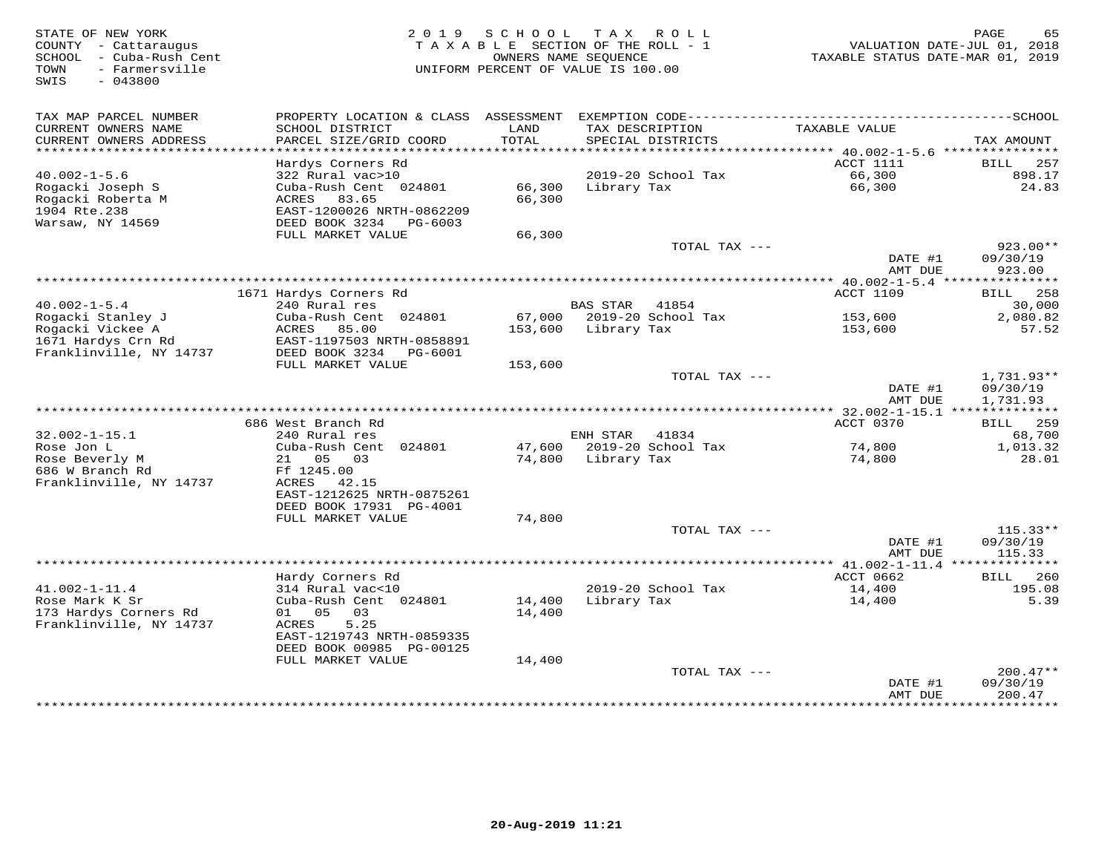STATE OF NEW YORK G5 (65 )<br>COUNTY - Cattaraugus (2019 SCHOOL TAX ROLL-1 ) WALUATION DATE-JUL 01, 2018<br>SCHOOL - Cuba-Rush Cent (2019 ) TAXABLE SECTION OF THE ROLL-1 (2019 ) VALUATION DATE-JUL 01, 2018<br>TOWN - Farmersville (2 SWIS - 043800TAX MAP PARCEL NUMBER PROPERTY LOCATION & CLASS ASSESSMENT EXEMPTION CODE------------------------------------------SCHOOL CURRENT OWNERS NAME SCHOOL DISTRICT LAND TAX DESCRIPTION TAXABLE VALUE CURRENT OWNERS ADDRESS PARCEL SIZE/GRID COORD TOTAL SPECIAL DISTRICTS TAX AMOUNT \*\*\*\*\*\*\*\*\*\*\*\*\*\*\*\*\*\*\*\*\*\*\*\*\*\*\*\*\*\*\*\*\*\*\*\*\*\*\*\*\*\*\*\*\*\*\*\*\*\*\*\*\*\*\*\*\*\*\*\*\*\*\*\*\*\*\*\*\*\*\*\*\*\*\*\*\*\*\*\*\*\*\*\*\*\*\*\*\*\*\*\*\*\*\*\*\*\*\*\*\*\*\* 40.002-1-5.6 \*\*\*\*\*\*\*\*\*\*\*\*\*\*\* Hardys Corners Rd ACCT 1111 BILL 257 40.002-1-5.6 322 Rural vac>10 2019-20 School Tax 66,300 898.17 Rogacki Joseph S Cuba-Rush Cent 024801 66,300 Library Tax 66,300 24.83 Rogacki Roberta M ACRES 83.65 66,300 1904 Rte.238 EAST-1200026 NRTH-0862209 Warsaw, NY 14569 DEED BOOK 3234 PG-6003 FULL MARKET VALUE 66,300 TOTAL TAX --- 923.00\*\* DATE #1 09/30/19 AMT DUE 923.00 \*\*\*\*\*\*\*\*\*\*\*\*\*\*\*\*\*\*\*\*\*\*\*\*\*\*\*\*\*\*\*\*\*\*\*\*\*\*\*\*\*\*\*\*\*\*\*\*\*\*\*\*\*\*\*\*\*\*\*\*\*\*\*\*\*\*\*\*\*\*\*\*\*\*\*\*\*\*\*\*\*\*\*\*\*\*\*\*\*\*\*\*\*\*\*\*\*\*\*\*\*\*\* 40.002-1-5.4 \*\*\*\*\*\*\*\*\*\*\*\*\*\*\*ACCT 1109 BILL 258 1671 Hardys Corners Rd ACCT 1109 BILL 25830,000 40.002-1-5.4 240 Rural res BAS STAR 41854 30,000Rogacki Stanley J Cuba-Rush Cent 024801 67,000 2019-20 School Tax 153,600 2,080.82Rogacki Vickee A ACRES 85.00 153,600 Library Tax 153,600 57.521671 Hardys Crn Rd EAST-1197503 NRTH-0858891 Franklinville, NY 14737 DEED BOOK 3234 PG-6001 FULL MARKET VALUE 153,600 TOTAL TAX --- 1,731.93\*\* DATE #1 09/30/19 AMT DUE 1,731.93 \*\*\*\*\*\*\*\*\*\*\*\*\*\*\*\*\*\*\*\*\*\*\*\*\*\*\*\*\*\*\*\*\*\*\*\*\*\*\*\*\*\*\*\*\*\*\*\*\*\*\*\*\*\*\*\*\*\*\*\*\*\*\*\*\*\*\*\*\*\*\*\*\*\*\*\*\*\*\*\*\*\*\*\*\*\*\*\*\*\*\*\*\*\*\*\*\*\*\*\*\*\*\* 32.002-1-15.1 \*\*\*\*\*\*\*\*\*\*\*\*\*\*ACCT 0370 BILL 259 686 West Branch Rd ACCT 0370 BILL 25968,700 32.002-1-15.1 240 Rural res 41834 68,700 1,013.32 Rose Jon L Cuba-Rush Cent 024801 47,600 2019-20 School Tax 74,800 1,013.3228.01 Rose Beverly M 21 05 03 74,800 Library Tax 74,800 28.01686 W Branch Rd Ff 1245.00 Franklinville, NY 14737 ACRES 42.15 EAST-1212625 NRTH-0875261 DEED BOOK 17931 PG-4001 FULL MARKET VALUE 74,800TOTAL TAX  $---$  115.33\*\* DATE #1 09/30/19AMT DUE 115.33 AMT DUE 115.33 \*\*\*\*\*\*\*\*\*\*\*\*\*\*\*\*\*\*\*\*\*\*\*\*\*\*\*\*\*\*\*\*\*\*\*\*\*\*\*\*\*\*\*\*\*\*\*\*\*\*\*\*\*\*\*\*\*\*\*\*\*\*\*\*\*\*\*\*\*\*\*\*\*\*\*\*\*\*\*\*\*\*\*\*\*\*\*\*\*\*\*\*\*\*\*\*\*\*\*\*\*\*\* 41.002-1-11.4 \*\*\*\*\*\*\*\*\*\*\*\*\*\* Hardy Corners Rd ACCT 0662 BILL 260 41.002-1-11.4 314 Rural vac<10 2019-20 School Tax 14,400 195.08 Rose Mark K Sr Cuba-Rush Cent 024801 14,400 Library Tax 14,400 5.39 173 Hardys Corners Rd 01 05 03 14,400 Franklinville, NY 14737 ACRES 5.25 EAST-1219743 NRTH-0859335 DEED BOOK 00985 PG-00125 FULL MARKET VALUE 14,400 TOTAL TAX --- 200.47\*\* DATE #1 09/30/19 AMT DUE 200.47\*\*\*\*\*\*\*\*\*\*\*\*\*\*\*\*\*\*\*\*\*\*\*\*\*\*\*\*\*\*\*\*\*\*\*\*\*\*\*\*\*\*\*\*\*\*\*\*\*\*\*\*\*\*\*\*\*\*\*\*\*\*\*\*\*\*\*\*\*\*\*\*\*\*\*\*\*\*\*\*\*\*\*\*\*\*\*\*\*\*\*\*\*\*\*\*\*\*\*\*\*\*\*\*\*\*\*\*\*\*\*\*\*\*\*\*\*\*\*\*\*\*\*\*\*\*\*\*\*\*\*\*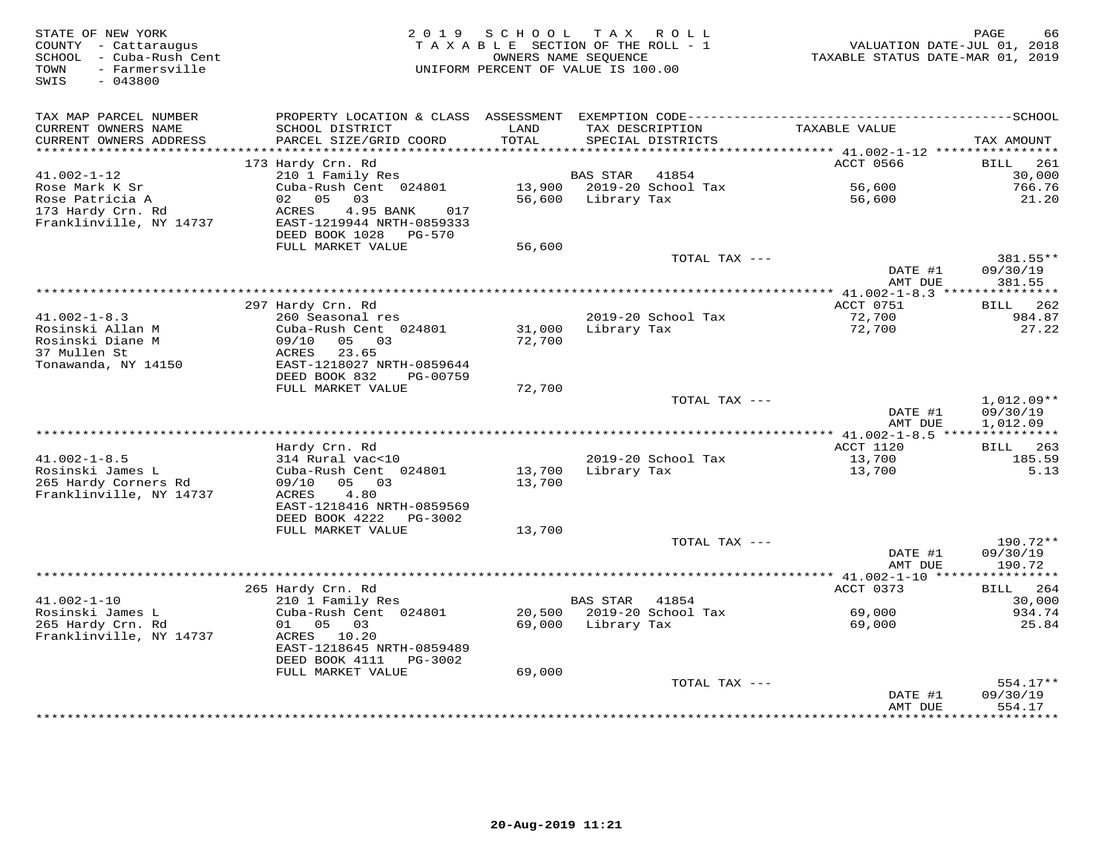| STATE OF NEW YORK<br>COUNTY - Cattaraugus<br>SCHOOL<br>- Cuba-Rush Cent<br>- Farmersville<br>TOWN<br>SWIS<br>$-043800$ | 2 0 1 9                                                | SCHOOL        | T A X<br>R O L L<br>TAXABLE SECTION OF THE ROLL - 1<br>OWNERS NAME SEQUENCE<br>UNIFORM PERCENT OF VALUE IS 100.00 | VALUATION DATE-JUL 01, 2018<br>TAXABLE STATUS DATE-MAR 01, 2019 | PAGE<br>66              |
|------------------------------------------------------------------------------------------------------------------------|--------------------------------------------------------|---------------|-------------------------------------------------------------------------------------------------------------------|-----------------------------------------------------------------|-------------------------|
| TAX MAP PARCEL NUMBER                                                                                                  | PROPERTY LOCATION & CLASS ASSESSMENT                   |               |                                                                                                                   |                                                                 |                         |
| CURRENT OWNERS NAME<br>CURRENT OWNERS ADDRESS<br>***********************                                               | SCHOOL DISTRICT<br>PARCEL SIZE/GRID COORD              | LAND<br>TOTAL | TAX DESCRIPTION<br>SPECIAL DISTRICTS                                                                              | TAXABLE VALUE                                                   | TAX AMOUNT              |
|                                                                                                                        | 173 Hardy Crn. Rd                                      |               |                                                                                                                   | ACCT 0566                                                       | 261<br><b>BILL</b>      |
| $41.002 - 1 - 12$                                                                                                      | 210 1 Family Res                                       |               | 41854<br><b>BAS STAR</b>                                                                                          |                                                                 | 30,000                  |
| Rose Mark K Sr                                                                                                         | Cuba-Rush Cent 024801                                  | 13,900        | 2019-20 School Tax                                                                                                | 56,600                                                          | 766.76                  |
| Rose Patricia A                                                                                                        | 0.5<br>03<br>02                                        | 56,600        | Library Tax                                                                                                       | 56,600                                                          | 21.20                   |
| 173 Hardy Crn. Rd                                                                                                      | ACRES<br>4.95 BANK<br>017                              |               |                                                                                                                   |                                                                 |                         |
| Franklinville, NY 14737                                                                                                | EAST-1219944 NRTH-0859333<br>DEED BOOK 1028<br>PG-570  |               |                                                                                                                   |                                                                 |                         |
|                                                                                                                        | FULL MARKET VALUE                                      | 56,600        |                                                                                                                   |                                                                 |                         |
|                                                                                                                        |                                                        |               | TOTAL TAX ---                                                                                                     |                                                                 | 381.55**                |
|                                                                                                                        |                                                        |               |                                                                                                                   | DATE #1                                                         | 09/30/19                |
|                                                                                                                        |                                                        |               |                                                                                                                   | AMT DUE                                                         | 381.55                  |
|                                                                                                                        |                                                        |               |                                                                                                                   | $*************41.002-1-8.3$                                     | ***************         |
| $41.002 - 1 - 8.3$                                                                                                     | 297 Hardy Crn. Rd<br>260 Seasonal res                  |               | 2019-20 School Tax                                                                                                | ACCT 0751<br>72,700                                             | 262<br>BILL<br>984.87   |
| Rosinski Allan M                                                                                                       | Cuba-Rush Cent 024801                                  | 31,000        | Library Tax                                                                                                       | 72,700                                                          | 27.22                   |
| Rosinski Diane M                                                                                                       | 09/10<br>05<br>03                                      | 72,700        |                                                                                                                   |                                                                 |                         |
| 37 Mullen St                                                                                                           | ACRES<br>23.65                                         |               |                                                                                                                   |                                                                 |                         |
| Tonawanda, NY 14150                                                                                                    | EAST-1218027 NRTH-0859644                              |               |                                                                                                                   |                                                                 |                         |
|                                                                                                                        | DEED BOOK 832<br>PG-00759                              |               |                                                                                                                   |                                                                 |                         |
|                                                                                                                        | FULL MARKET VALUE                                      | 72,700        |                                                                                                                   |                                                                 |                         |
|                                                                                                                        |                                                        |               | TOTAL TAX ---                                                                                                     |                                                                 | $1,012.09**$            |
|                                                                                                                        |                                                        |               |                                                                                                                   | DATE #1                                                         | 09/30/19                |
|                                                                                                                        |                                                        |               |                                                                                                                   | AMT DUE<br>** $41.002 - 1 - 8.5$ ****                           | 1,012.09<br>*********** |
|                                                                                                                        | Hardy Crn. Rd                                          |               |                                                                                                                   | <b>ACCT 1120</b>                                                | BILL<br>263             |
| $41.002 - 1 - 8.5$                                                                                                     | 314 Rural vac<10                                       |               | 2019-20 School Tax                                                                                                | 13,700                                                          | 185.59                  |
| Rosinski James L                                                                                                       | Cuba-Rush Cent 024801                                  | 13,700        | Library Tax                                                                                                       | 13,700                                                          | 5.13                    |
| 265 Hardy Corners Rd                                                                                                   | 09/10<br>05<br>03                                      | 13,700        |                                                                                                                   |                                                                 |                         |
| Franklinville, NY 14737                                                                                                | ACRES<br>4.80                                          |               |                                                                                                                   |                                                                 |                         |
|                                                                                                                        | EAST-1218416 NRTH-0859569                              |               |                                                                                                                   |                                                                 |                         |
|                                                                                                                        | DEED BOOK 4222<br>PG-3002                              |               |                                                                                                                   |                                                                 |                         |
|                                                                                                                        | FULL MARKET VALUE                                      | 13,700        | TOTAL TAX ---                                                                                                     |                                                                 | 190.72**                |
|                                                                                                                        |                                                        |               |                                                                                                                   | DATE #1                                                         | 09/30/19                |
|                                                                                                                        |                                                        |               |                                                                                                                   | AMT DUE                                                         | 190.72                  |
|                                                                                                                        |                                                        |               |                                                                                                                   | ************* 41.002-1-10 *****                                 | ***********             |
|                                                                                                                        | 265 Hardy Crn. Rd                                      |               |                                                                                                                   | ACCT 0373                                                       | 264<br>BILL             |
| $41.002 - 1 - 10$                                                                                                      | 210 1 Family Res                                       |               | <b>BAS STAR</b><br>41854                                                                                          |                                                                 | 30,000                  |
| Rosinski James L                                                                                                       | Cuba-Rush Cent 024801                                  | 20,500        | 2019-20 School Tax                                                                                                | 69,000                                                          | 934.74                  |
| 265 Hardy Crn. Rd                                                                                                      | 01<br>05<br>03                                         | 69,000        | Library Tax                                                                                                       | 69,000                                                          | 25.84                   |
| Franklinville, NY 14737                                                                                                | 10.20<br>ACRES                                         |               |                                                                                                                   |                                                                 |                         |
|                                                                                                                        | EAST-1218645 NRTH-0859489<br>DEED BOOK 4111<br>PG-3002 |               |                                                                                                                   |                                                                 |                         |
|                                                                                                                        | FULL MARKET VALUE                                      | 69,000        |                                                                                                                   |                                                                 |                         |
|                                                                                                                        |                                                        |               | TOTAL TAX ---                                                                                                     |                                                                 | 554.17**                |
|                                                                                                                        |                                                        |               |                                                                                                                   | DATE #1                                                         | 09/30/19                |
|                                                                                                                        |                                                        |               |                                                                                                                   | AMT DUE                                                         | 554.17                  |
|                                                                                                                        |                                                        |               |                                                                                                                   |                                                                 | *********               |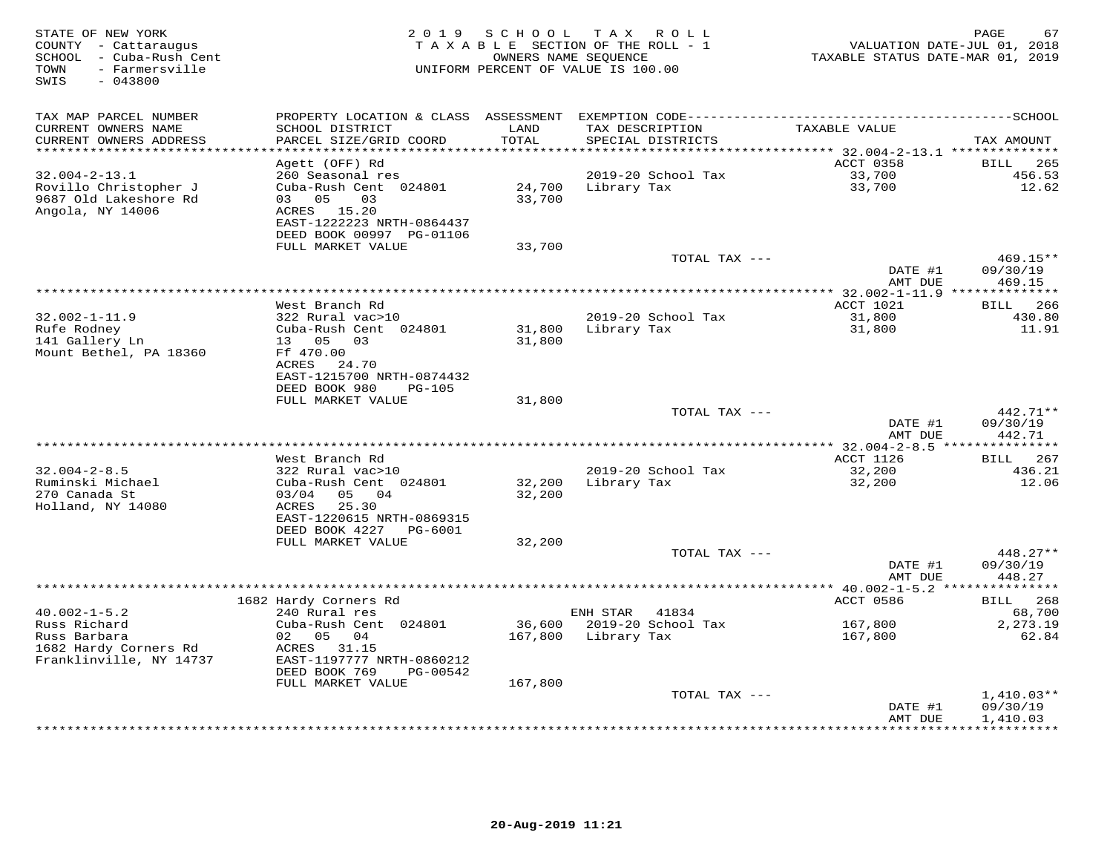| STATE OF NEW YORK<br>COUNTY - Cattaraugus<br>SCHOOL - Cuba-Rush Cent<br>- Farmersville<br>TOWN<br>$-043800$<br>SWIS | 2 0 1 9                                                | SCHOOL        | TAX ROLL<br>TAXABLE SECTION OF THE ROLL - 1<br>OWNERS NAME SEQUENCE<br>UNIFORM PERCENT OF VALUE IS 100.00 | TAXABLE STATUS DATE-MAR 01, 2019 | PAGE<br>67<br>VALUATION DATE-JUL 01, 2018 |
|---------------------------------------------------------------------------------------------------------------------|--------------------------------------------------------|---------------|-----------------------------------------------------------------------------------------------------------|----------------------------------|-------------------------------------------|
| TAX MAP PARCEL NUMBER                                                                                               | PROPERTY LOCATION & CLASS ASSESSMENT                   |               |                                                                                                           |                                  |                                           |
| CURRENT OWNERS NAME<br>CURRENT OWNERS ADDRESS                                                                       | SCHOOL DISTRICT<br>PARCEL SIZE/GRID COORD              | LAND<br>TOTAL | TAX DESCRIPTION<br>SPECIAL DISTRICTS                                                                      | TAXABLE VALUE                    | TAX AMOUNT                                |
| **********************                                                                                              |                                                        |               |                                                                                                           |                                  |                                           |
|                                                                                                                     | Agett (OFF) Rd                                         |               |                                                                                                           | ACCT 0358                        | 265<br>BILL                               |
| $32.004 - 2 - 13.1$                                                                                                 | 260 Seasonal res                                       |               | 2019-20 School Tax                                                                                        | 33,700                           | 456.53                                    |
| Rovillo Christopher J                                                                                               | Cuba-Rush Cent 024801                                  | 24,700        | Library Tax                                                                                               | 33,700                           | 12.62                                     |
| 9687 Old Lakeshore Rd                                                                                               | 05<br>03<br>03                                         | 33,700        |                                                                                                           |                                  |                                           |
| Angola, NY 14006                                                                                                    | ACRES 15.20<br>EAST-1222223 NRTH-0864437               |               |                                                                                                           |                                  |                                           |
|                                                                                                                     | DEED BOOK 00997 PG-01106                               |               |                                                                                                           |                                  |                                           |
|                                                                                                                     | FULL MARKET VALUE                                      | 33,700        |                                                                                                           |                                  |                                           |
|                                                                                                                     |                                                        |               | TOTAL TAX ---                                                                                             |                                  | 469.15**                                  |
|                                                                                                                     |                                                        |               |                                                                                                           | DATE #1                          | 09/30/19                                  |
|                                                                                                                     |                                                        |               |                                                                                                           | AMT DUE                          | 469.15                                    |
|                                                                                                                     |                                                        |               |                                                                                                           |                                  |                                           |
|                                                                                                                     | West Branch Rd                                         |               |                                                                                                           | ACCT 1021                        | BILL 266                                  |
| $32.002 - 1 - 11.9$                                                                                                 | 322 Rural vac>10                                       |               | 2019-20 School Tax                                                                                        | 31,800                           | 430.80                                    |
| Rufe Rodney                                                                                                         | Cuba-Rush Cent 024801                                  | 31,800        | Library Tax                                                                                               | 31,800                           | 11.91                                     |
| 141 Gallery Ln                                                                                                      | 13  05  03                                             | 31,800        |                                                                                                           |                                  |                                           |
| Mount Bethel, PA 18360                                                                                              | Ff 470.00                                              |               |                                                                                                           |                                  |                                           |
|                                                                                                                     | ACRES 24.70                                            |               |                                                                                                           |                                  |                                           |
|                                                                                                                     | EAST-1215700 NRTH-0874432<br>DEED BOOK 980<br>$PG-105$ |               |                                                                                                           |                                  |                                           |
|                                                                                                                     | FULL MARKET VALUE                                      | 31,800        |                                                                                                           |                                  |                                           |
|                                                                                                                     |                                                        |               | TOTAL TAX ---                                                                                             |                                  | $442.71**$                                |
|                                                                                                                     |                                                        |               |                                                                                                           | DATE #1                          | 09/30/19                                  |
|                                                                                                                     |                                                        |               |                                                                                                           | AMT DUE                          | 442.71                                    |
|                                                                                                                     |                                                        |               |                                                                                                           | *********** 32.004-2-8.5 ***     | ************                              |
|                                                                                                                     | West Branch Rd                                         |               |                                                                                                           | ACCT 1126                        | BILL 267                                  |
| $32.004 - 2 - 8.5$                                                                                                  | 322 Rural vac>10                                       |               | 2019-20 School Tax                                                                                        | 32,200                           | 436.21                                    |
| Ruminski Michael                                                                                                    | Cuba-Rush Cent 024801                                  | 32,200        | Library Tax                                                                                               | 32,200                           | 12.06                                     |
| 270 Canada St                                                                                                       | 03/04<br>05 04                                         | 32,200        |                                                                                                           |                                  |                                           |
| Holland, NY 14080                                                                                                   | ACRES<br>25.30                                         |               |                                                                                                           |                                  |                                           |
|                                                                                                                     | EAST-1220615 NRTH-0869315                              |               |                                                                                                           |                                  |                                           |
|                                                                                                                     | DEED BOOK 4227<br>PG-6001<br>FULL MARKET VALUE         | 32,200        |                                                                                                           |                                  |                                           |
|                                                                                                                     |                                                        |               | TOTAL TAX ---                                                                                             |                                  | 448.27**                                  |
|                                                                                                                     |                                                        |               |                                                                                                           | DATE #1                          | 09/30/19                                  |
|                                                                                                                     |                                                        |               |                                                                                                           | AMT DUE                          | 448.27                                    |
|                                                                                                                     |                                                        |               |                                                                                                           | *** $40.002 - 1 - 5.2$ **        |                                           |
|                                                                                                                     | 1682 Hardy Corners Rd                                  |               |                                                                                                           | ACCT 0586                        | 268<br>BILL                               |
| $40.002 - 1 - 5.2$                                                                                                  | 240 Rural res                                          |               | ENH STAR<br>41834                                                                                         |                                  | 68,700                                    |
| Russ Richard                                                                                                        | Cuba-Rush Cent 024801                                  | 36,600        | 2019-20 School Tax                                                                                        | 167,800                          | 2,273.19                                  |
| Russ Barbara                                                                                                        | 02 05<br>04                                            | 167,800       | Library Tax                                                                                               | 167,800                          | 62.84                                     |
| 1682 Hardy Corners Rd                                                                                               | ACRES 31.15                                            |               |                                                                                                           |                                  |                                           |
| Franklinville, NY 14737                                                                                             | EAST-1197777 NRTH-0860212                              |               |                                                                                                           |                                  |                                           |
|                                                                                                                     | DEED BOOK 769<br>PG-00542                              |               |                                                                                                           |                                  |                                           |
|                                                                                                                     | FULL MARKET VALUE                                      | 167,800       |                                                                                                           |                                  |                                           |
|                                                                                                                     |                                                        |               | TOTAL TAX ---                                                                                             | DATE #1                          | $1,410.03**$<br>09/30/19                  |
|                                                                                                                     |                                                        |               |                                                                                                           | AMT DUE                          | 1,410.03                                  |
|                                                                                                                     |                                                        |               |                                                                                                           |                                  | **********                                |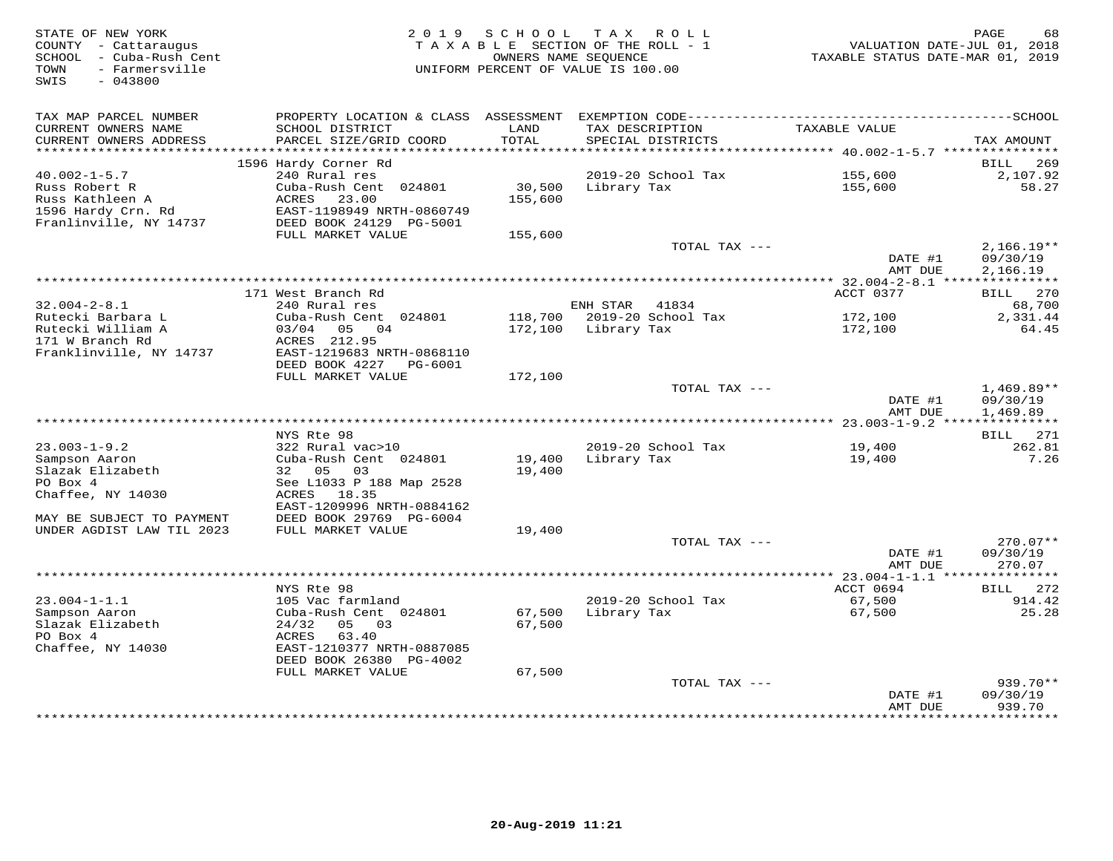| STATE OF NEW YORK<br>COUNTY - Cattaraugus<br>SCHOOL - Cuba-Rush Cent<br>- Farmersville<br>TOWN<br>$-043800$<br>SWIS | 2 0 1 9                                                              | SCHOOL            | TAX ROLL<br>TAXABLE SECTION OF THE ROLL - 1<br>OWNERS NAME SEQUENCE<br>UNIFORM PERCENT OF VALUE IS 100.00 | VALUATION DATE-JUL 01, 2018<br>TAXABLE STATUS DATE-MAR 01, 2019 | PAGE<br>68                |
|---------------------------------------------------------------------------------------------------------------------|----------------------------------------------------------------------|-------------------|-----------------------------------------------------------------------------------------------------------|-----------------------------------------------------------------|---------------------------|
| TAX MAP PARCEL NUMBER                                                                                               | PROPERTY LOCATION & CLASS                                            | ASSESSMENT        |                                                                                                           |                                                                 |                           |
| CURRENT OWNERS NAME<br>CURRENT OWNERS ADDRESS<br>**********************                                             | SCHOOL DISTRICT<br>PARCEL SIZE/GRID COORD                            | LAND<br>TOTAL     | TAX DESCRIPTION<br>SPECIAL DISTRICTS                                                                      | TAXABLE VALUE                                                   | TAX AMOUNT                |
|                                                                                                                     | 1596 Hardy Corner Rd                                                 |                   |                                                                                                           |                                                                 | 269<br>BILL               |
| $40.002 - 1 - 5.7$                                                                                                  | 240 Rural res                                                        |                   | 2019-20 School Tax                                                                                        | 155,600                                                         | 2,107.92                  |
| Russ Robert R<br>Russ Kathleen A<br>1596 Hardy Crn. Rd                                                              | Cuba-Rush Cent 024801<br>23.00<br>ACRES<br>EAST-1198949 NRTH-0860749 | 30,500<br>155,600 | Library Tax                                                                                               | 155,600                                                         | 58.27                     |
| Franlinville, NY 14737                                                                                              | DEED BOOK 24129 PG-5001                                              |                   |                                                                                                           |                                                                 |                           |
|                                                                                                                     | FULL MARKET VALUE                                                    | 155,600           | TOTAL TAX ---                                                                                             | DATE #1                                                         | $2,166.19**$<br>09/30/19  |
|                                                                                                                     |                                                                      |                   |                                                                                                           | AMT DUE                                                         | 2,166.19                  |
| *********************                                                                                               |                                                                      |                   |                                                                                                           |                                                                 |                           |
|                                                                                                                     | 171 West Branch Rd                                                   |                   |                                                                                                           | ACCT 0377                                                       | 270<br>BILL               |
| $32.004 - 2 - 8.1$<br>Rutecki Barbara L                                                                             | 240 Rural res<br>Cuba-Rush Cent 024801                               | 118,700           | ENH STAR<br>41834<br>2019-20 School Tax                                                                   | 172,100                                                         | 68,700<br>2,331.44        |
| Rutecki William A                                                                                                   | 0.3/0.4<br>05<br>04                                                  | 172,100           | Library Tax                                                                                               | 172,100                                                         | 64.45                     |
| 171 W Branch Rd                                                                                                     | ACRES 212.95                                                         |                   |                                                                                                           |                                                                 |                           |
| Franklinville, NY 14737                                                                                             | EAST-1219683 NRTH-0868110<br>DEED BOOK 4227<br>PG-6001               |                   |                                                                                                           |                                                                 |                           |
|                                                                                                                     | FULL MARKET VALUE                                                    | 172,100           |                                                                                                           |                                                                 | $1,469.89**$              |
|                                                                                                                     |                                                                      |                   | TOTAL TAX ---                                                                                             | DATE #1<br>AMT DUE                                              | 09/30/19<br>1,469.89      |
|                                                                                                                     |                                                                      |                   |                                                                                                           |                                                                 |                           |
|                                                                                                                     | NYS Rte 98                                                           |                   |                                                                                                           |                                                                 | BILL 271                  |
| $23.003 - 1 - 9.2$<br>Sampson Aaron                                                                                 | 322 Rural vac>10<br>Cuba-Rush Cent 024801                            | 19,400            | 2019-20 School Tax<br>Library Tax                                                                         | 19,400<br>19,400                                                | 262.81<br>7.26            |
| Slazak Elizabeth                                                                                                    | 32 05<br>03                                                          | 19,400            |                                                                                                           |                                                                 |                           |
| PO Box 4                                                                                                            | See L1033 P 188 Map 2528                                             |                   |                                                                                                           |                                                                 |                           |
| Chaffee, NY 14030                                                                                                   | ACRES 18.35                                                          |                   |                                                                                                           |                                                                 |                           |
|                                                                                                                     | EAST-1209996 NRTH-0884162                                            |                   |                                                                                                           |                                                                 |                           |
| MAY BE SUBJECT TO PAYMENT<br>UNDER AGDIST LAW TIL 2023                                                              | DEED BOOK 29769 PG-6004<br>FULL MARKET VALUE                         | 19,400            |                                                                                                           |                                                                 |                           |
|                                                                                                                     |                                                                      |                   | TOTAL TAX ---                                                                                             |                                                                 | $270.07**$                |
|                                                                                                                     |                                                                      |                   |                                                                                                           | DATE #1                                                         | 09/30/19                  |
|                                                                                                                     |                                                                      |                   |                                                                                                           | AMT DUE                                                         | 270.07                    |
|                                                                                                                     |                                                                      |                   |                                                                                                           | *********** 23.004-1-1.1 ******                                 |                           |
| $23.004 - 1 - 1.1$                                                                                                  | NYS Rte 98<br>105 Vac farmland                                       |                   | 2019-20 School Tax                                                                                        | ACCT 0694<br>67,500                                             | 272<br>BILL<br>914.42     |
| Sampson Aaron                                                                                                       | Cuba-Rush Cent 024801                                                | 67,500            | Library Tax                                                                                               | 67,500                                                          | 25.28                     |
| Slazak Elizabeth                                                                                                    | 24/32<br>05<br>03                                                    | 67,500            |                                                                                                           |                                                                 |                           |
| PO Box 4                                                                                                            | ACRES<br>63.40                                                       |                   |                                                                                                           |                                                                 |                           |
| Chaffee, NY 14030                                                                                                   | EAST-1210377 NRTH-0887085<br>DEED BOOK 26380 PG-4002                 |                   |                                                                                                           |                                                                 |                           |
|                                                                                                                     | FULL MARKET VALUE                                                    | 67,500            | TOTAL TAX ---                                                                                             |                                                                 | $939.70**$                |
|                                                                                                                     |                                                                      |                   |                                                                                                           | DATE #1                                                         | 09/30/19                  |
|                                                                                                                     |                                                                      |                   |                                                                                                           | AMT DUE                                                         | 939.70<br>* * * * * * * * |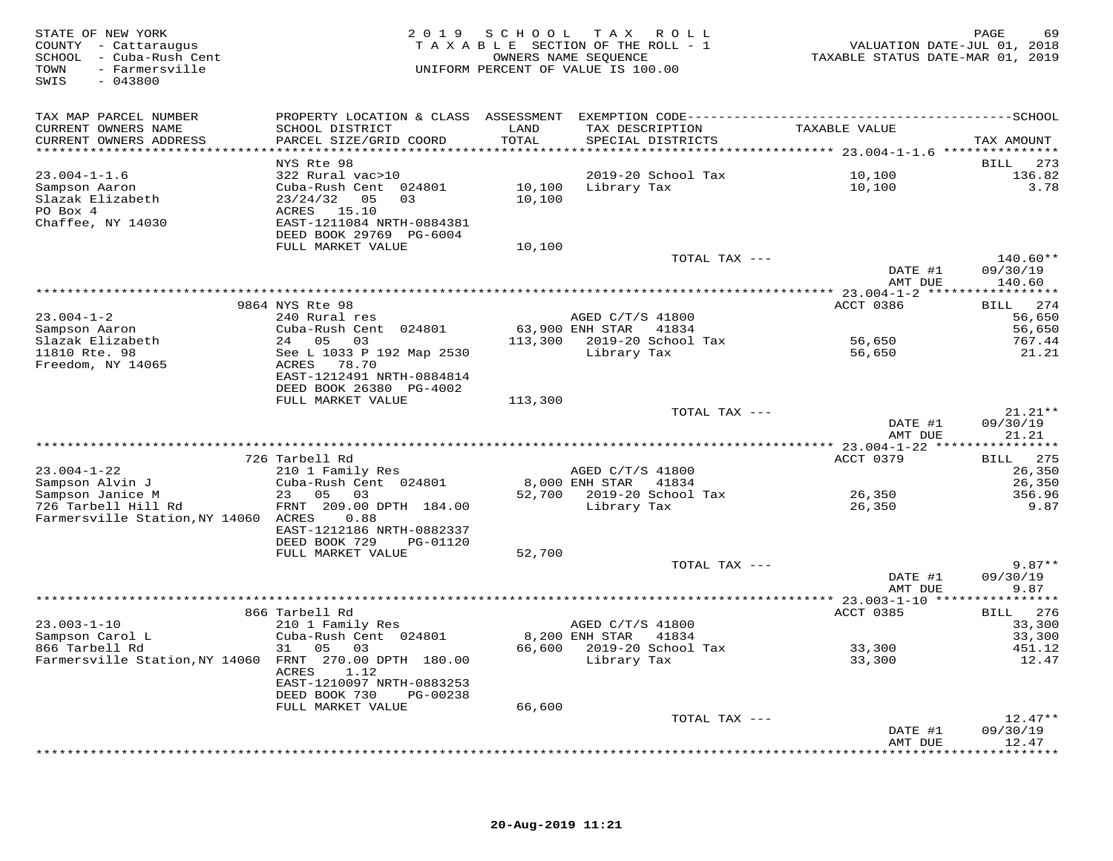| STATE OF NEW YORK<br>COUNTY - Cattaraugus<br>SCHOOL - Cuba-Rush Cent<br>- Farmersville<br>TOWN<br>SWIS<br>$-043800$ |                                                |         | 2019 SCHOOL TAX ROLL<br>TAXABLE SECTION OF THE ROLL - 1<br>OWNERS NAME SEQUENCE<br>UNIFORM PERCENT OF VALUE IS 100.00 | VALUATION DATE-JUL 01, 2018<br>TAXABLE STATUS DATE-MAR 01, 2019 | PAGE<br>69                   |
|---------------------------------------------------------------------------------------------------------------------|------------------------------------------------|---------|-----------------------------------------------------------------------------------------------------------------------|-----------------------------------------------------------------|------------------------------|
| TAX MAP PARCEL NUMBER                                                                                               |                                                |         |                                                                                                                       |                                                                 |                              |
| CURRENT OWNERS NAME                                                                                                 | SCHOOL DISTRICT                                | LAND    | TAX DESCRIPTION                                                                                                       | TAXABLE VALUE                                                   |                              |
| CURRENT OWNERS ADDRESS<br>************************                                                                  | PARCEL SIZE/GRID COORD                         | TOTAL   | SPECIAL DISTRICTS                                                                                                     |                                                                 | TAX AMOUNT                   |
|                                                                                                                     | NYS Rte 98                                     |         |                                                                                                                       |                                                                 | 273<br>BILL                  |
| $23.004 - 1 - 1.6$                                                                                                  | 322 Rural vac>10                               |         | 2019-20 School Tax                                                                                                    | 10,100                                                          | 136.82                       |
| Sampson Aaron                                                                                                       | Cuba-Rush Cent 024801                          |         | 10,100 Library Tax                                                                                                    | 10,100                                                          | 3.78                         |
| Slazak Elizabeth                                                                                                    | $23/24/32$ 05<br>03                            | 10,100  |                                                                                                                       |                                                                 |                              |
| PO Box 4<br>Chaffee, NY 14030                                                                                       | ACRES 15.10<br>EAST-1211084 NRTH-0884381       |         |                                                                                                                       |                                                                 |                              |
|                                                                                                                     | DEED BOOK 29769 PG-6004                        |         |                                                                                                                       |                                                                 |                              |
|                                                                                                                     | FULL MARKET VALUE                              | 10,100  |                                                                                                                       |                                                                 |                              |
|                                                                                                                     |                                                |         | TOTAL TAX ---                                                                                                         |                                                                 | $140.60**$                   |
|                                                                                                                     |                                                |         |                                                                                                                       | DATE #1<br>AMT DUE                                              | 09/30/19<br>140.60           |
|                                                                                                                     |                                                |         |                                                                                                                       |                                                                 |                              |
|                                                                                                                     | 9864 NYS Rte 98                                |         |                                                                                                                       | ACCT 0386                                                       | 274<br><b>BILL</b>           |
| $23.004 - 1 - 2$                                                                                                    | 240 Rural res                                  |         | AGED C/T/S 41800                                                                                                      |                                                                 | 56,650                       |
| Sampson Aaron<br>Slazak Elizabeth                                                                                   | Cuba-Rush Cent 024801<br>24 05 03              |         | 63,900 ENH STAR 41834<br>113,300 2019-20 School Tax                                                                   | 56,650                                                          | 56,650<br>767.44             |
| 11810 Rte. 98                                                                                                       | See L 1033 P 192 Map 2530                      |         | Library Tax                                                                                                           | 56,650                                                          | 21.21                        |
| Freedom, NY 14065                                                                                                   | ACRES 78.70                                    |         |                                                                                                                       |                                                                 |                              |
|                                                                                                                     | EAST-1212491 NRTH-0884814                      |         |                                                                                                                       |                                                                 |                              |
|                                                                                                                     | DEED BOOK 26380 PG-4002<br>FULL MARKET VALUE   | 113,300 |                                                                                                                       |                                                                 |                              |
|                                                                                                                     |                                                |         | TOTAL TAX ---                                                                                                         |                                                                 | $21.21**$                    |
|                                                                                                                     |                                                |         |                                                                                                                       | DATE #1                                                         | 09/30/19                     |
|                                                                                                                     |                                                |         |                                                                                                                       | AMT DUE                                                         | 21.21                        |
|                                                                                                                     | 726 Tarbell Rd                                 |         | ***********************************                                                                                   | ********** 23.004-1-22 ***<br>ACCT 0379                         | * * * * * * * * * * *<br>275 |
| $23.004 - 1 - 22$                                                                                                   | 210 1 Family Res                               |         | AGED C/T/S 41800                                                                                                      |                                                                 | <b>BILL</b><br>26,350        |
| Sampson Alvin J                                                                                                     | Cuba-Rush Cent 024801                          |         | 8,000 ENH STAR 41834                                                                                                  |                                                                 | 26,350                       |
| Sampson Janice M                                                                                                    | 23 05<br>03                                    |         | 52,700 2019-20 School Tax                                                                                             | 26,350                                                          | 356.96                       |
| 726 Tarbell Hill Rd                                                                                                 | FRNT 209.00 DPTH 184.00                        |         | Library Tax                                                                                                           | 26,350                                                          | 9.87                         |
| Farmersville Station, NY 14060 ACRES                                                                                | 0.88<br>EAST-1212186 NRTH-0882337              |         |                                                                                                                       |                                                                 |                              |
|                                                                                                                     | DEED BOOK 729<br>PG-01120                      |         |                                                                                                                       |                                                                 |                              |
|                                                                                                                     | FULL MARKET VALUE                              | 52,700  |                                                                                                                       |                                                                 |                              |
|                                                                                                                     |                                                |         | TOTAL TAX ---                                                                                                         |                                                                 | $9.87**$                     |
|                                                                                                                     |                                                |         |                                                                                                                       | DATE #1<br>AMT DUE                                              | 09/30/19<br>9.87             |
|                                                                                                                     |                                                |         |                                                                                                                       |                                                                 |                              |
|                                                                                                                     | 866 Tarbell Rd                                 |         |                                                                                                                       | ACCT 0385                                                       | 276<br><b>BILL</b>           |
| $23.003 - 1 - 10$                                                                                                   | 210 1 Family Res                               |         | AGED C/T/S 41800                                                                                                      |                                                                 | 33,300                       |
| Sampson Carol L<br>866 Tarbell Rd                                                                                   | Cuba-Rush Cent 024801<br>31 05<br>03           |         | 8,200 ENH STAR 41834<br>66,600 2019-20 School Tax                                                                     | 33,300                                                          | 33,300<br>451.12             |
| Farmersville Station, NY 14060 FRNT 270.00 DPTH 180.00                                                              |                                                |         | Library Tax                                                                                                           | 33,300                                                          | 12.47                        |
|                                                                                                                     | ACRES<br>1.12                                  |         |                                                                                                                       |                                                                 |                              |
|                                                                                                                     | EAST-1210097 NRTH-0883253                      |         |                                                                                                                       |                                                                 |                              |
|                                                                                                                     | DEED BOOK 730<br>PG-00238<br>FULL MARKET VALUE | 66,600  |                                                                                                                       |                                                                 |                              |
|                                                                                                                     |                                                |         | TOTAL TAX ---                                                                                                         |                                                                 | $12.47**$                    |
|                                                                                                                     |                                                |         |                                                                                                                       | DATE #1                                                         | 09/30/19                     |
|                                                                                                                     |                                                |         |                                                                                                                       | AMT DUE                                                         | 12.47                        |
|                                                                                                                     |                                                |         |                                                                                                                       |                                                                 | * * * * * * * * * *          |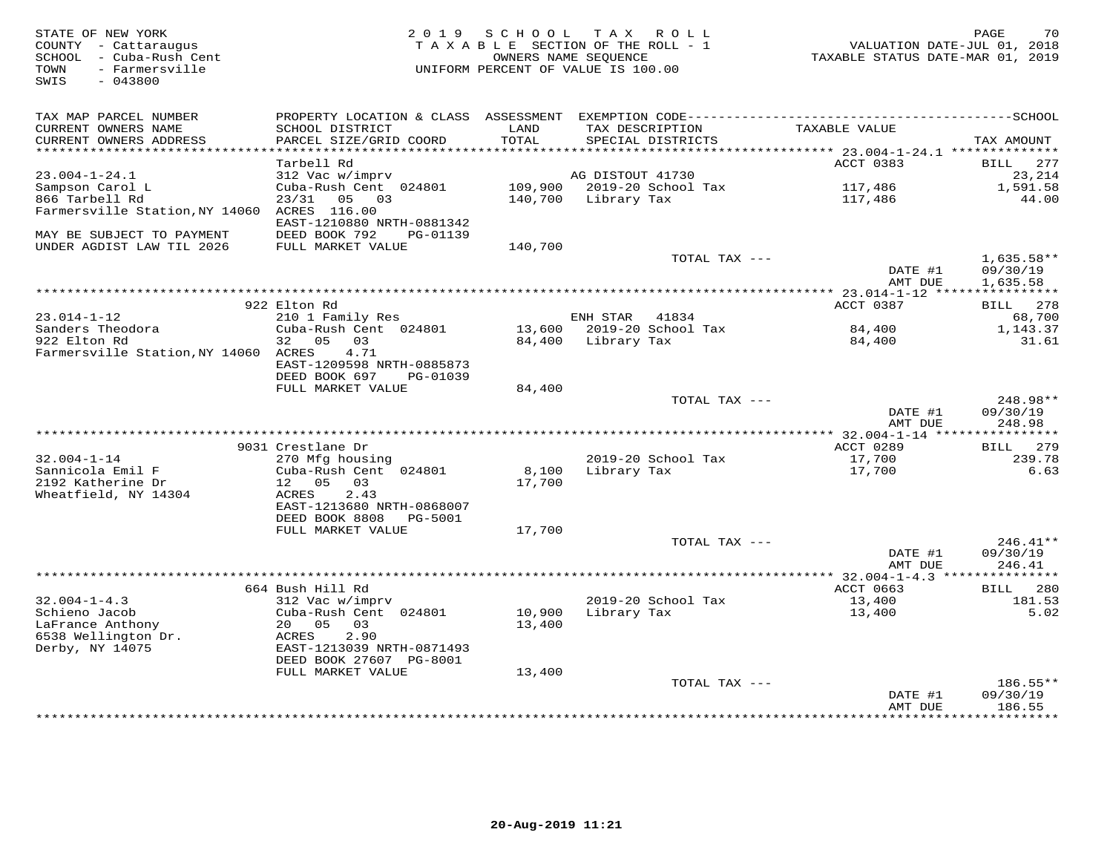| STATE OF NEW YORK<br>COUNTY - Cattaraugus<br>- Cuba-Rush Cent<br>SCHOOL<br>- Farmersville<br>TOWN<br>SWIS<br>$-043800$ | 2 0 1 9                                                | SCHOOL          | T A X<br>R O L L<br>TAXABLE SECTION OF THE ROLL - 1<br>OWNERS NAME SEOUENCE<br>UNIFORM PERCENT OF VALUE IS 100.00 | VALUATION DATE-JUL 01, 2018<br>TAXABLE STATUS DATE-MAR 01, 2019 | 70<br>PAGE                  |
|------------------------------------------------------------------------------------------------------------------------|--------------------------------------------------------|-----------------|-------------------------------------------------------------------------------------------------------------------|-----------------------------------------------------------------|-----------------------------|
|                                                                                                                        |                                                        |                 |                                                                                                                   |                                                                 |                             |
| TAX MAP PARCEL NUMBER                                                                                                  |                                                        |                 |                                                                                                                   |                                                                 |                             |
| CURRENT OWNERS NAME                                                                                                    | SCHOOL DISTRICT                                        | LAND<br>TOTAL   | TAX DESCRIPTION                                                                                                   | <b>TAXABLE VALUE</b>                                            |                             |
| CURRENT OWNERS ADDRESS<br>**********************                                                                       | PARCEL SIZE/GRID COORD<br>************************     |                 | SPECIAL DISTRICTS                                                                                                 |                                                                 | TAX AMOUNT                  |
|                                                                                                                        | Tarbell Rd                                             |                 |                                                                                                                   | ACCT 0383                                                       | <b>BILL</b><br>277          |
| $23.004 - 1 - 24.1$                                                                                                    | 312 Vac w/imprv                                        |                 | AG DISTOUT 41730                                                                                                  |                                                                 | 23,214                      |
| Sampson Carol L                                                                                                        | Cuba-Rush Cent 024801                                  | 109,900         | 2019-20 School Tax                                                                                                | 117,486                                                         | 1,591.58                    |
| 866 Tarbell Rd                                                                                                         | 03<br>23/31<br>05                                      | 140,700         | Library Tax                                                                                                       | 117,486                                                         | 44.00                       |
| Farmersville Station, NY 14060                                                                                         | ACRES 116.00                                           |                 |                                                                                                                   |                                                                 |                             |
| MAY BE SUBJECT TO PAYMENT                                                                                              | EAST-1210880 NRTH-0881342<br>DEED BOOK 792<br>PG-01139 |                 |                                                                                                                   |                                                                 |                             |
| UNDER AGDIST LAW TIL 2026                                                                                              | FULL MARKET VALUE                                      | 140,700         |                                                                                                                   |                                                                 |                             |
|                                                                                                                        |                                                        |                 | TOTAL TAX ---                                                                                                     |                                                                 | $1,635.58**$                |
|                                                                                                                        |                                                        |                 |                                                                                                                   | DATE #1                                                         | 09/30/19                    |
|                                                                                                                        |                                                        |                 |                                                                                                                   | AMT DUE                                                         | 1,635.58                    |
|                                                                                                                        |                                                        |                 | *******************                                                                                               | * 23.014-1-12 *****                                             |                             |
| $23.014 - 1 - 12$                                                                                                      | 922 Elton Rd                                           |                 |                                                                                                                   | ACCT 0387                                                       | 278<br>BILL                 |
| Sanders Theodora                                                                                                       | 210 1 Family Res<br>Cuba-Rush Cent 024801              | 13,600          | ENH STAR<br>41834<br>2019-20 School Tax                                                                           | 84,400                                                          | 68,700<br>1,143.37          |
| 922 Elton Rd                                                                                                           | 05<br>03<br>32                                         | 84,400          | Library Tax                                                                                                       | 84,400                                                          | 31.61                       |
| Farmersville Station, NY 14060 ACRES                                                                                   | 4.71                                                   |                 |                                                                                                                   |                                                                 |                             |
|                                                                                                                        | EAST-1209598 NRTH-0885873                              |                 |                                                                                                                   |                                                                 |                             |
|                                                                                                                        | DEED BOOK 697<br>PG-01039                              |                 |                                                                                                                   |                                                                 |                             |
|                                                                                                                        | FULL MARKET VALUE                                      | 84,400          | TOTAL TAX ---                                                                                                     |                                                                 | 248.98**                    |
|                                                                                                                        |                                                        |                 |                                                                                                                   | DATE #1                                                         | 09/30/19                    |
|                                                                                                                        |                                                        |                 |                                                                                                                   | AMT DUE                                                         | 248.98                      |
|                                                                                                                        |                                                        |                 |                                                                                                                   |                                                                 |                             |
|                                                                                                                        | 9031 Crestlane Dr                                      |                 |                                                                                                                   | ACCT 0289                                                       | 279<br><b>BILL</b>          |
| $32.004 - 1 - 14$                                                                                                      | 270 Mfg housing                                        |                 | 2019-20 School Tax                                                                                                | 17,700                                                          | 239.78                      |
| Sannicola Emil F<br>2192 Katherine Dr                                                                                  | Cuba-Rush Cent 024801<br>12 05<br>03                   | 8,100<br>17,700 | Library Tax                                                                                                       | 17,700                                                          | 6.63                        |
| Wheatfield, NY 14304                                                                                                   | 2.43<br>ACRES                                          |                 |                                                                                                                   |                                                                 |                             |
|                                                                                                                        | EAST-1213680 NRTH-0868007                              |                 |                                                                                                                   |                                                                 |                             |
|                                                                                                                        | DEED BOOK 8808<br>PG-5001                              |                 |                                                                                                                   |                                                                 |                             |
|                                                                                                                        | FULL MARKET VALUE                                      | 17,700          |                                                                                                                   |                                                                 |                             |
|                                                                                                                        |                                                        |                 | TOTAL TAX ---                                                                                                     |                                                                 | $246.41**$                  |
|                                                                                                                        |                                                        |                 |                                                                                                                   | DATE #1<br>AMT DUE                                              | 09/30/19<br>246.41          |
|                                                                                                                        |                                                        |                 |                                                                                                                   | ************* 32.004-1-4.3 ***                                  |                             |
|                                                                                                                        | 664 Bush Hill Rd                                       |                 |                                                                                                                   | ACCT 0663                                                       | <b>BILL</b><br>280          |
| $32.004 - 1 - 4.3$                                                                                                     | 312 Vac w/imprv                                        |                 | 2019-20 School Tax                                                                                                | 13,400                                                          | 181.53                      |
| Schieno Jacob                                                                                                          | Cuba-Rush Cent 024801                                  | 10,900          | Library Tax                                                                                                       | 13,400                                                          | 5.02                        |
| LaFrance Anthony                                                                                                       | 05<br>20<br>03                                         | 13,400          |                                                                                                                   |                                                                 |                             |
| 6538 Wellington Dr.                                                                                                    | 2.90<br>ACRES<br>EAST-1213039 NRTH-0871493             |                 |                                                                                                                   |                                                                 |                             |
| Derby, NY 14075                                                                                                        | DEED BOOK 27607 PG-8001                                |                 |                                                                                                                   |                                                                 |                             |
|                                                                                                                        | FULL MARKET VALUE                                      | 13,400          |                                                                                                                   |                                                                 |                             |
|                                                                                                                        |                                                        |                 | TOTAL TAX ---                                                                                                     |                                                                 | 186.55**                    |
|                                                                                                                        |                                                        |                 |                                                                                                                   | DATE #1                                                         | 09/30/19                    |
|                                                                                                                        |                                                        |                 |                                                                                                                   | AMT DUE                                                         | 186.55<br>* * * * * * * * * |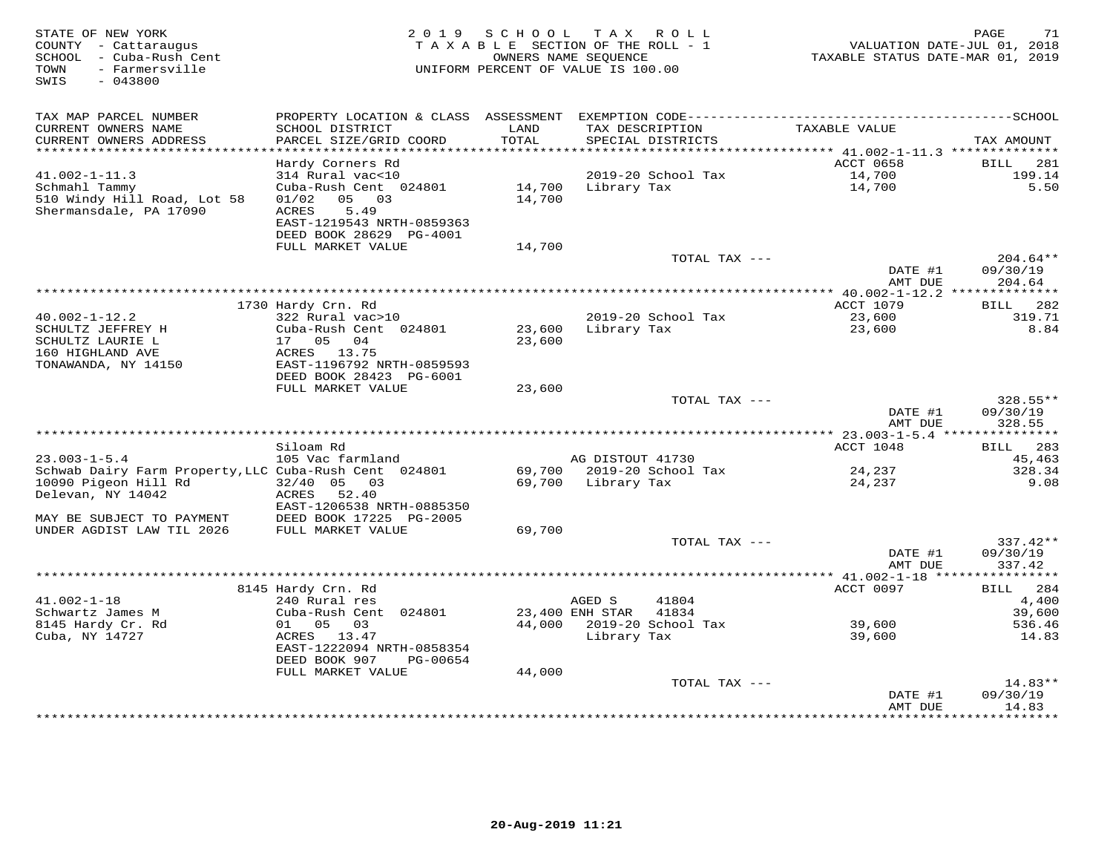| STATE OF NEW YORK<br>COUNTY - Cattaraugus<br>SCHOOL - Cuba-Rush Cent<br>- Farmersville<br>TOWN<br>SWIS<br>$-043800$ | 2 0 1 9                                      | SCHOOL<br>TAXABLE SECTION OF THE ROLL - 1<br>OWNERS NAME SEOUENCE<br>UNIFORM PERCENT OF VALUE IS 100.00 |                    | TAX ROLL                  | VALUATION DATE-JUL 01, 2018<br>TAXABLE STATUS DATE-MAR 01, 2019 | PAGE<br>71           |
|---------------------------------------------------------------------------------------------------------------------|----------------------------------------------|---------------------------------------------------------------------------------------------------------|--------------------|---------------------------|-----------------------------------------------------------------|----------------------|
| TAX MAP PARCEL NUMBER<br>CURRENT OWNERS NAME                                                                        | SCHOOL DISTRICT                              | LAND                                                                                                    | TAX DESCRIPTION    |                           | TAXABLE VALUE                                                   |                      |
| CURRENT OWNERS ADDRESS<br>***********************                                                                   | PARCEL SIZE/GRID COORD                       | TOTAL                                                                                                   |                    | SPECIAL DISTRICTS         |                                                                 | TAX AMOUNT           |
|                                                                                                                     | Hardy Corners Rd                             |                                                                                                         |                    |                           | ACCT 0658                                                       | <b>BILL</b><br>281   |
| $41.002 - 1 - 11.3$                                                                                                 | 314 Rural vac<10                             |                                                                                                         |                    | 2019-20 School Tax        | 14,700                                                          | 199.14               |
| Schmahl Tammy                                                                                                       | Cuba-Rush Cent 024801                        | 14,700                                                                                                  | Library Tax        |                           | 14,700                                                          | 5.50                 |
| 510 Windy Hill Road, Lot 58                                                                                         | 01/02<br>05 03                               | 14,700                                                                                                  |                    |                           |                                                                 |                      |
| Shermansdale, PA 17090                                                                                              | ACRES<br>5.49                                |                                                                                                         |                    |                           |                                                                 |                      |
|                                                                                                                     | EAST-1219543 NRTH-0859363                    |                                                                                                         |                    |                           |                                                                 |                      |
|                                                                                                                     | DEED BOOK 28629 PG-4001<br>FULL MARKET VALUE | 14,700                                                                                                  |                    |                           |                                                                 |                      |
|                                                                                                                     |                                              |                                                                                                         |                    | TOTAL TAX ---             |                                                                 | $204.64**$           |
|                                                                                                                     |                                              |                                                                                                         |                    |                           | DATE #1                                                         | 09/30/19             |
|                                                                                                                     |                                              |                                                                                                         |                    |                           | AMT DUE                                                         | 204.64               |
|                                                                                                                     |                                              |                                                                                                         |                    |                           |                                                                 |                      |
| $40.002 - 1 - 12.2$                                                                                                 | 1730 Hardy Crn. Rd                           |                                                                                                         |                    | 2019-20 School Tax        | ACCT 1079                                                       | 282<br>BILL          |
| SCHULTZ JEFFREY H                                                                                                   | 322 Rural vac>10<br>Cuba-Rush Cent 024801    | 23,600                                                                                                  | Library Tax        |                           | 23,600<br>23,600                                                | 319.71<br>8.84       |
| SCHULTZ LAURIE L                                                                                                    | 17  05  04                                   | 23,600                                                                                                  |                    |                           |                                                                 |                      |
| 160 HIGHLAND AVE                                                                                                    | ACRES 13.75                                  |                                                                                                         |                    |                           |                                                                 |                      |
| TONAWANDA, NY 14150                                                                                                 | EAST-1196792 NRTH-0859593                    |                                                                                                         |                    |                           |                                                                 |                      |
|                                                                                                                     | DEED BOOK 28423 PG-6001                      |                                                                                                         |                    |                           |                                                                 |                      |
|                                                                                                                     | FULL MARKET VALUE                            | 23,600                                                                                                  |                    | TOTAL TAX ---             |                                                                 | 328.55**             |
|                                                                                                                     |                                              |                                                                                                         |                    |                           | DATE #1                                                         | 09/30/19             |
|                                                                                                                     |                                              |                                                                                                         |                    |                           | AMT DUE                                                         | 328.55               |
|                                                                                                                     |                                              |                                                                                                         |                    |                           |                                                                 |                      |
|                                                                                                                     | Siloam Rd                                    |                                                                                                         |                    |                           | ACCT 1048                                                       | BILL 283             |
| $23.003 - 1 - 5.4$                                                                                                  | 105 Vac farmland                             |                                                                                                         | AG DISTOUT 41730   | 69,700 2019-20 School Tax |                                                                 | 45,463<br>328.34     |
| Schwab Dairy Farm Property, LLC Cuba-Rush Cent 024801<br>10090 Pigeon Hill Rd                                       | $32/40$ 05<br>03                             |                                                                                                         | 69,700 Library Tax |                           | 24,237<br>24,237                                                | 9.08                 |
| Delevan, NY 14042                                                                                                   | 52.40<br>ACRES                               |                                                                                                         |                    |                           |                                                                 |                      |
|                                                                                                                     | EAST-1206538 NRTH-0885350                    |                                                                                                         |                    |                           |                                                                 |                      |
| MAY BE SUBJECT TO PAYMENT                                                                                           | DEED BOOK 17225 PG-2005                      |                                                                                                         |                    |                           |                                                                 |                      |
| UNDER AGDIST LAW TIL 2026                                                                                           | FULL MARKET VALUE                            | 69,700                                                                                                  |                    |                           |                                                                 |                      |
|                                                                                                                     |                                              |                                                                                                         |                    | TOTAL TAX ---             | DATE #1                                                         | 337.42**<br>09/30/19 |
|                                                                                                                     |                                              |                                                                                                         |                    |                           | AMT DUE                                                         | 337.42               |
| ********************                                                                                                |                                              |                                                                                                         |                    |                           |                                                                 |                      |
|                                                                                                                     | 8145 Hardy Crn. Rd                           |                                                                                                         |                    |                           | ACCT 0097                                                       | 284<br>BILL          |
| $41.002 - 1 - 18$                                                                                                   | 240 Rural res                                |                                                                                                         | AGED S             | 41804                     |                                                                 | 4,400                |
| Schwartz James M                                                                                                    | Cuba-Rush Cent 024801                        |                                                                                                         | 23,400 ENH STAR    | 41834                     |                                                                 | 39,600               |
| 8145 Hardy Cr. Rd<br>Cuba, NY 14727                                                                                 | 01 05 03<br>ACRES 13.47                      |                                                                                                         | Library Tax        | 44,000 2019-20 School Tax | 39,600<br>39,600                                                | 536.46<br>14.83      |
|                                                                                                                     | EAST-1222094 NRTH-0858354                    |                                                                                                         |                    |                           |                                                                 |                      |
|                                                                                                                     | DEED BOOK 907<br>PG-00654                    |                                                                                                         |                    |                           |                                                                 |                      |
|                                                                                                                     | FULL MARKET VALUE                            | 44,000                                                                                                  |                    |                           |                                                                 |                      |
|                                                                                                                     |                                              |                                                                                                         |                    | TOTAL TAX ---             |                                                                 | 14.83**              |
|                                                                                                                     |                                              |                                                                                                         |                    |                           | DATE #1                                                         | 09/30/19             |
|                                                                                                                     |                                              |                                                                                                         |                    |                           | AMT DUE<br>* * * * * * * * * * * * * * *                        | 14.83<br>*********   |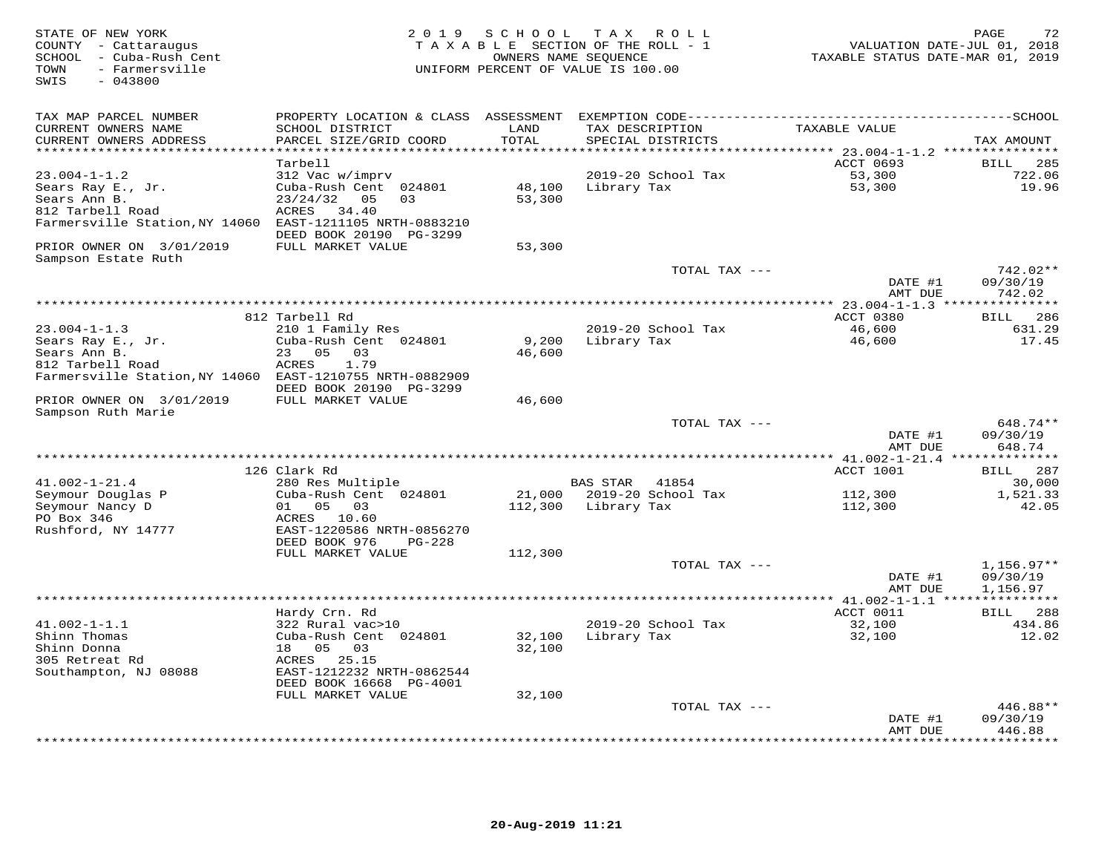| STATE OF NEW YORK<br>COUNTY - Cattaraugus<br>SCHOOL - Cuba-Rush Cent<br>TOWN<br>- Farmersville<br>SWIS<br>$-043800$ | 2 0 1 9                                       | S C H O O L      | TAX ROLL<br>TAXABLE SECTION OF THE ROLL - 1<br>OWNERS NAME SEQUENCE<br>UNIFORM PERCENT OF VALUE IS 100.00 | VALUATION DATE-JUL 01, 2018<br>TAXABLE STATUS DATE-MAR 01, 2019 | 72<br>PAGE                   |
|---------------------------------------------------------------------------------------------------------------------|-----------------------------------------------|------------------|-----------------------------------------------------------------------------------------------------------|-----------------------------------------------------------------|------------------------------|
| TAX MAP PARCEL NUMBER                                                                                               |                                               |                  |                                                                                                           |                                                                 |                              |
| CURRENT OWNERS NAME<br>CURRENT OWNERS ADDRESS                                                                       | SCHOOL DISTRICT<br>PARCEL SIZE/GRID COORD     | LAND<br>TOTAL    | TAX DESCRIPTION<br>SPECIAL DISTRICTS                                                                      | TAXABLE VALUE                                                   | TAX AMOUNT                   |
| ******************************                                                                                      |                                               |                  |                                                                                                           |                                                                 |                              |
|                                                                                                                     | Tarbell                                       |                  |                                                                                                           | ACCT 0693                                                       | 285<br>BILL                  |
| $23.004 - 1 - 1.2$                                                                                                  | 312 Vac w/imprv                               |                  | 2019-20 School Tax                                                                                        | 53,300                                                          | 722.06                       |
| Sears Ray E., Jr.<br>Sears Ann B.                                                                                   | Cuba-Rush Cent 024801<br>23/24/32<br>05<br>03 | 48,100<br>53,300 | Library Tax                                                                                               | 53,300                                                          | 19.96                        |
| 812 Tarbell Road                                                                                                    | ACRES<br>34.40                                |                  |                                                                                                           |                                                                 |                              |
| Farmersville Station, NY 14060 EAST-1211105 NRTH-0883210                                                            |                                               |                  |                                                                                                           |                                                                 |                              |
|                                                                                                                     | DEED BOOK 20190 PG-3299                       |                  |                                                                                                           |                                                                 |                              |
| PRIOR OWNER ON 3/01/2019<br>Sampson Estate Ruth                                                                     | FULL MARKET VALUE                             | 53,300           |                                                                                                           |                                                                 |                              |
|                                                                                                                     |                                               |                  | TOTAL TAX ---                                                                                             |                                                                 | 742.02**                     |
|                                                                                                                     |                                               |                  |                                                                                                           | DATE #1<br>AMT DUE                                              | 09/30/19<br>742.02           |
|                                                                                                                     |                                               |                  |                                                                                                           |                                                                 |                              |
| $23.004 - 1 - 1.3$                                                                                                  | 812 Tarbell Rd<br>210 1 Family Res            |                  | 2019-20 School Tax                                                                                        | ACCT 0380<br>46,600                                             | <b>BILL</b><br>286<br>631.29 |
| Sears Ray E., Jr.                                                                                                   | Cuba-Rush Cent 024801                         | 9,200            | Library Tax                                                                                               | 46,600                                                          | 17.45                        |
| Sears Ann B.                                                                                                        | 23 05<br>03                                   | 46,600           |                                                                                                           |                                                                 |                              |
| 812 Tarbell Road                                                                                                    | <b>ACRES</b><br>1.79                          |                  |                                                                                                           |                                                                 |                              |
| Farmersville Station, NY 14060 EAST-1210755 NRTH-0882909                                                            |                                               |                  |                                                                                                           |                                                                 |                              |
|                                                                                                                     | DEED BOOK 20190 PG-3299                       |                  |                                                                                                           |                                                                 |                              |
| PRIOR OWNER ON 3/01/2019                                                                                            | FULL MARKET VALUE                             | 46,600           |                                                                                                           |                                                                 |                              |
| Sampson Ruth Marie                                                                                                  |                                               |                  |                                                                                                           |                                                                 | 648.74**                     |
|                                                                                                                     |                                               |                  | TOTAL TAX ---                                                                                             | DATE #1                                                         | 09/30/19                     |
|                                                                                                                     |                                               |                  |                                                                                                           | AMT DUE                                                         | 648.74                       |
|                                                                                                                     |                                               |                  |                                                                                                           |                                                                 |                              |
|                                                                                                                     | 126 Clark Rd                                  |                  |                                                                                                           | ACCT 1001                                                       | 287<br><b>BILL</b>           |
| $41.002 - 1 - 21.4$                                                                                                 | 280 Res Multiple                              |                  | BAS STAR<br>41854                                                                                         |                                                                 | 30,000                       |
| Seymour Douglas P                                                                                                   | Cuba-Rush Cent 024801                         |                  | 21,000 2019-20 School Tax                                                                                 | 112,300                                                         | 1,521.33                     |
| Seymour Nancy D<br>PO Box 346                                                                                       | 01<br>05<br>03<br>ACRES 10.60                 |                  | 112,300 Library Tax                                                                                       | 112,300                                                         | 42.05                        |
| Rushford, NY 14777                                                                                                  | EAST-1220586 NRTH-0856270                     |                  |                                                                                                           |                                                                 |                              |
|                                                                                                                     | DEED BOOK 976<br>PG-228                       |                  |                                                                                                           |                                                                 |                              |
|                                                                                                                     | FULL MARKET VALUE                             | 112,300          |                                                                                                           |                                                                 |                              |
|                                                                                                                     |                                               |                  | TOTAL TAX ---                                                                                             |                                                                 | $1,156.97**$                 |
|                                                                                                                     |                                               |                  |                                                                                                           | DATE #1                                                         | 09/30/19                     |
|                                                                                                                     |                                               |                  |                                                                                                           | AMT DUE                                                         | 1,156.97                     |
|                                                                                                                     |                                               |                  |                                                                                                           | **** 41.002-1-1.1 ****************<br>ACCT 0011                 |                              |
| $41.002 - 1 - 1.1$                                                                                                  | Hardy Crn. Rd<br>322 Rural vac>10             |                  | 2019-20 School Tax                                                                                        | 32,100                                                          | 288<br>BILL<br>434.86        |
| Shinn Thomas                                                                                                        | Cuba-Rush Cent 024801                         | 32,100           | Library Tax                                                                                               | 32,100                                                          | 12.02                        |
| Shinn Donna                                                                                                         | 18 05<br>03                                   | 32,100           |                                                                                                           |                                                                 |                              |
| 305 Retreat Rd                                                                                                      | ACRES 25.15                                   |                  |                                                                                                           |                                                                 |                              |
| Southampton, NJ 08088                                                                                               | EAST-1212232 NRTH-0862544                     |                  |                                                                                                           |                                                                 |                              |
|                                                                                                                     | DEED BOOK 16668 PG-4001                       |                  |                                                                                                           |                                                                 |                              |
|                                                                                                                     | FULL MARKET VALUE                             | 32,100           |                                                                                                           |                                                                 |                              |
|                                                                                                                     |                                               |                  | TOTAL TAX ---                                                                                             | DATE #1                                                         | 446.88**<br>09/30/19         |
|                                                                                                                     |                                               |                  |                                                                                                           | AMT DUE                                                         | 446.88                       |
|                                                                                                                     |                                               |                  |                                                                                                           |                                                                 | * * * * * * * *              |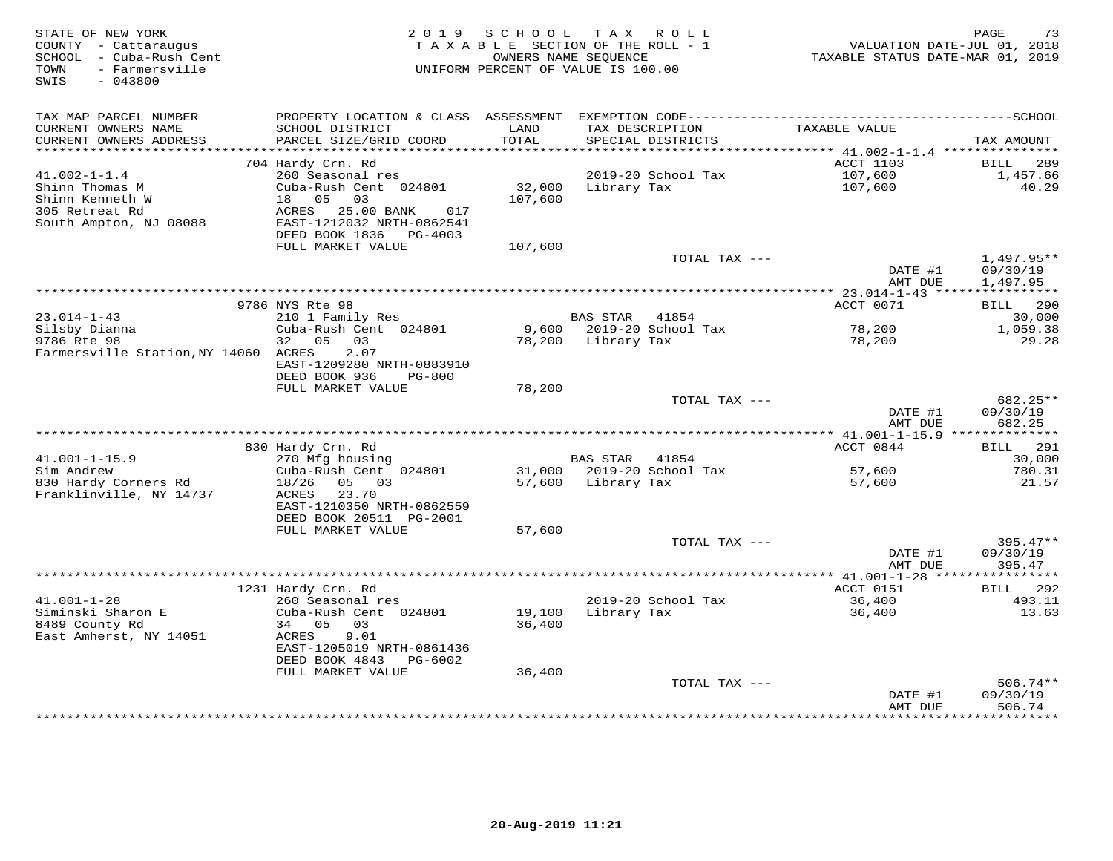| STATE OF NEW YORK<br>COUNTY - Cattaraugus<br>- Cuba-Rush Cent<br>SCHOOL<br>- Farmersville<br>TOWN | 2 0 1 9                                                | SCHOOL<br>TAXABLE SECTION OF THE ROLL - 1<br>OWNERS NAME SEQUENCE<br>UNIFORM PERCENT OF VALUE IS 100.00 | T A X           | R O L L                     | VALUATION DATE-JUL 01, 2018<br>TAXABLE STATUS DATE-MAR 01, 2019 | 73<br>PAGE                      |
|---------------------------------------------------------------------------------------------------|--------------------------------------------------------|---------------------------------------------------------------------------------------------------------|-----------------|-----------------------------|-----------------------------------------------------------------|---------------------------------|
| SWIS<br>$-043800$                                                                                 |                                                        |                                                                                                         |                 |                             |                                                                 |                                 |
| TAX MAP PARCEL NUMBER                                                                             |                                                        |                                                                                                         |                 |                             |                                                                 |                                 |
| CURRENT OWNERS NAME<br>CURRENT OWNERS ADDRESS<br>***********************                          | SCHOOL DISTRICT<br>PARCEL SIZE/GRID COORD              | LAND<br>TOTAL                                                                                           | TAX DESCRIPTION | SPECIAL DISTRICTS           | TAXABLE VALUE                                                   | TAX AMOUNT                      |
|                                                                                                   | 704 Hardy Crn. Rd                                      |                                                                                                         |                 |                             | ACCT 1103                                                       | <b>BILL</b><br>289              |
| $41.002 - 1 - 1.4$                                                                                | 260 Seasonal res                                       |                                                                                                         |                 | 2019-20 School Tax          | 107,600                                                         | 1,457.66                        |
| Shinn Thomas M                                                                                    | Cuba-Rush Cent 024801                                  | 32,000                                                                                                  | Library Tax     |                             | 107,600                                                         | 40.29                           |
| Shinn Kenneth W                                                                                   | 05<br>03<br>18                                         | 107,600                                                                                                 |                 |                             |                                                                 |                                 |
| 305 Retreat Rd                                                                                    | ACRES<br>25.00 BANK<br>017                             |                                                                                                         |                 |                             |                                                                 |                                 |
| South Ampton, NJ 08088                                                                            | EAST-1212032 NRTH-0862541                              |                                                                                                         |                 |                             |                                                                 |                                 |
|                                                                                                   | DEED BOOK 1836 PG-4003<br>FULL MARKET VALUE            |                                                                                                         |                 |                             |                                                                 |                                 |
|                                                                                                   |                                                        | 107,600                                                                                                 |                 | TOTAL TAX ---               |                                                                 | $1,497.95**$                    |
|                                                                                                   |                                                        |                                                                                                         |                 |                             | DATE #1                                                         | 09/30/19                        |
|                                                                                                   |                                                        |                                                                                                         |                 |                             | AMT DUE                                                         | 1,497.95                        |
|                                                                                                   | ***************                                        |                                                                                                         |                 |                             | * 23.014-1-43 *****                                             | * * * * * * * * * * *           |
|                                                                                                   | 9786 NYS Rte 98                                        |                                                                                                         |                 |                             | ACCT 0071                                                       | 290<br>BILL                     |
| $23.014 - 1 - 43$<br>Silsby Dianna                                                                | 210 1 Family Res<br>Cuba-Rush Cent 024801              | 9,600                                                                                                   | <b>BAS STAR</b> | 41854<br>2019-20 School Tax | 78,200                                                          | 30,000<br>1,059.38              |
| 9786 Rte 98                                                                                       | 32 05<br>03                                            | 78,200                                                                                                  | Library Tax     |                             | 78,200                                                          | 29.28                           |
| Farmersville Station, NY 14060 ACRES                                                              | 2.07                                                   |                                                                                                         |                 |                             |                                                                 |                                 |
|                                                                                                   | EAST-1209280 NRTH-0883910                              |                                                                                                         |                 |                             |                                                                 |                                 |
|                                                                                                   | DEED BOOK 936<br>$PG-800$                              |                                                                                                         |                 |                             |                                                                 |                                 |
|                                                                                                   | FULL MARKET VALUE                                      | 78,200                                                                                                  |                 |                             |                                                                 |                                 |
|                                                                                                   |                                                        |                                                                                                         |                 | TOTAL TAX ---               | DATE #1                                                         | 682.25**<br>09/30/19            |
|                                                                                                   |                                                        |                                                                                                         |                 |                             | AMT DUE                                                         | 682.25                          |
|                                                                                                   |                                                        |                                                                                                         |                 |                             |                                                                 |                                 |
|                                                                                                   | 830 Hardy Crn. Rd                                      |                                                                                                         |                 |                             | ACCT 0844                                                       | 291<br>BILL                     |
| $41.001 - 1 - 15.9$                                                                               | 270 Mfg housing                                        |                                                                                                         | <b>BAS STAR</b> | 41854                       |                                                                 | 30,000                          |
| Sim Andrew                                                                                        | Cuba-Rush Cent 024801                                  |                                                                                                         |                 | 31,000 2019-20 School Tax   | 57,600                                                          | 780.31                          |
| 830 Hardy Corners Rd<br>Franklinville, NY 14737                                                   | 18/26<br>05 03<br>ACRES<br>23.70                       | 57,600                                                                                                  | Library Tax     |                             | 57,600                                                          | 21.57                           |
|                                                                                                   | EAST-1210350 NRTH-0862559                              |                                                                                                         |                 |                             |                                                                 |                                 |
|                                                                                                   | DEED BOOK 20511 PG-2001                                |                                                                                                         |                 |                             |                                                                 |                                 |
|                                                                                                   | FULL MARKET VALUE                                      | 57,600                                                                                                  |                 |                             |                                                                 |                                 |
|                                                                                                   |                                                        |                                                                                                         |                 | TOTAL TAX ---               |                                                                 | $395.47**$                      |
|                                                                                                   |                                                        |                                                                                                         |                 |                             | DATE #1                                                         | 09/30/19                        |
|                                                                                                   |                                                        |                                                                                                         |                 |                             | AMT DUE<br>************** 41.001-1-28 *****                     | 395.47<br>* * * * * * * * * * * |
|                                                                                                   | 1231 Hardy Crn. Rd                                     |                                                                                                         |                 |                             | ACCT 0151                                                       | 292<br><b>BILL</b>              |
| $41.001 - 1 - 28$                                                                                 | 260 Seasonal res                                       |                                                                                                         |                 | 2019-20 School Tax          | 36,400                                                          | 493.11                          |
| Siminski Sharon E                                                                                 | Cuba-Rush Cent 024801                                  | 19,100                                                                                                  | Library Tax     |                             | 36,400                                                          | 13.63                           |
| 8489 County Rd                                                                                    | 34 05<br>03                                            | 36,400                                                                                                  |                 |                             |                                                                 |                                 |
| East Amherst, NY 14051                                                                            | 9.01<br>ACRES                                          |                                                                                                         |                 |                             |                                                                 |                                 |
|                                                                                                   | EAST-1205019 NRTH-0861436<br>DEED BOOK 4843<br>PG-6002 |                                                                                                         |                 |                             |                                                                 |                                 |
|                                                                                                   | FULL MARKET VALUE                                      | 36,400                                                                                                  |                 |                             |                                                                 |                                 |
|                                                                                                   |                                                        |                                                                                                         |                 | TOTAL TAX ---               |                                                                 | $506.74**$                      |
|                                                                                                   |                                                        |                                                                                                         |                 |                             | DATE #1                                                         | 09/30/19                        |
|                                                                                                   |                                                        |                                                                                                         |                 |                             | AMT DUE<br>********                                             | 506.74<br>*********             |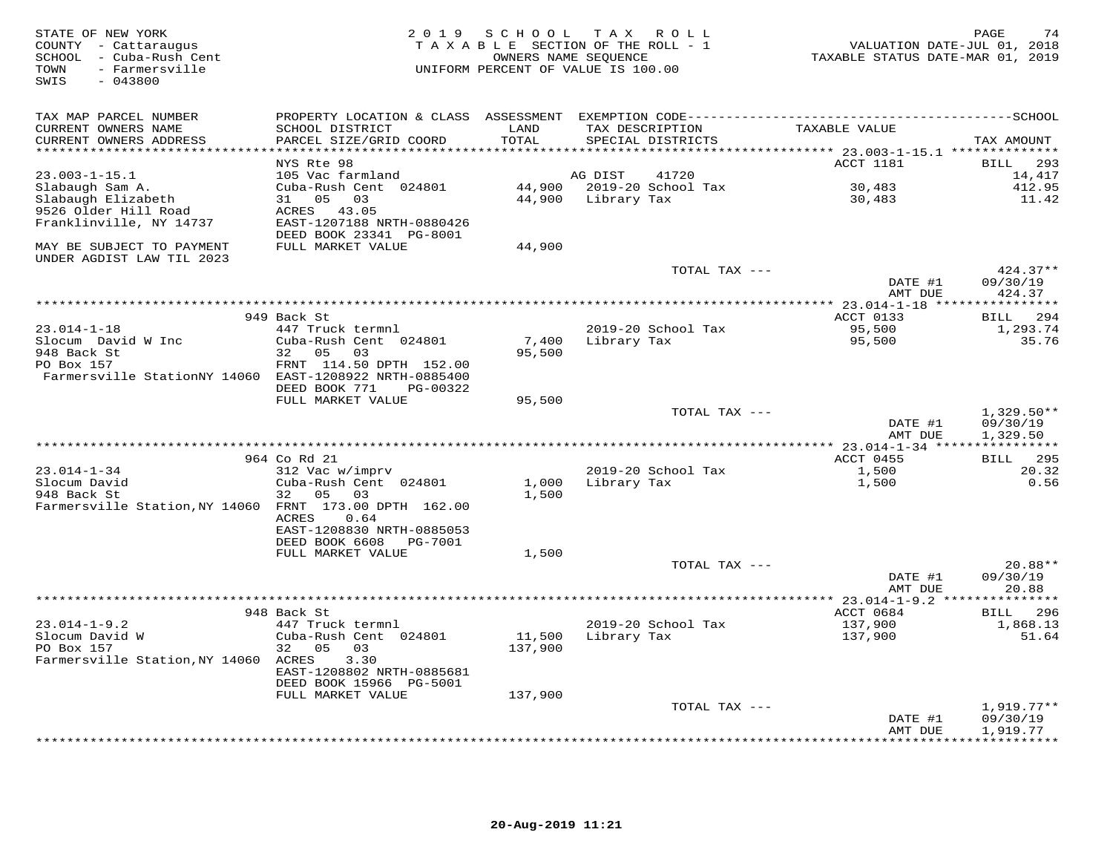| STATE OF NEW YORK<br>COUNTY - Cattaraugus<br>SCHOOL - Cuba-Rush Cent<br>- Farmersville<br>TOWN<br>SWIS<br>$-043800$ |                                                                                              | 2019 SCHOOL<br>OWNERS NAME SEQUENCE | TAX ROLL<br>TAXABLE SECTION OF THE ROLL - 1<br>UNIFORM PERCENT OF VALUE IS 100.00 | VALUATION DATE-JUL 01, 2018<br>TAXABLE STATUS DATE-MAR 01, 2019 | 74<br>PAGE               |
|---------------------------------------------------------------------------------------------------------------------|----------------------------------------------------------------------------------------------|-------------------------------------|-----------------------------------------------------------------------------------|-----------------------------------------------------------------|--------------------------|
| TAX MAP PARCEL NUMBER                                                                                               | PROPERTY LOCATION & CLASS ASSESSMENT EXEMPTION CODE-----------------------------------SCHOOL |                                     |                                                                                   |                                                                 |                          |
| CURRENT OWNERS NAME<br>CURRENT OWNERS ADDRESS<br>******************************                                     | SCHOOL DISTRICT<br>PARCEL SIZE/GRID COORD                                                    | LAND<br>TOTAL                       | TAX DESCRIPTION<br>SPECIAL DISTRICTS                                              | TAXABLE VALUE                                                   | TAX AMOUNT               |
|                                                                                                                     | NYS Rte 98                                                                                   |                                     |                                                                                   | ACCT 1181                                                       | 293<br>BILL              |
| $23.003 - 1 - 15.1$                                                                                                 | 105 Vac farmland                                                                             |                                     | 41720<br>AG DIST                                                                  |                                                                 | 14,417                   |
| Slabaugh Sam A.                                                                                                     | Cuba-Rush Cent 024801                                                                        |                                     | 44,900 2019-20 School Tax                                                         | 30,483                                                          | 412.95                   |
| Slabaugh Elizabeth                                                                                                  | 31 05<br>03                                                                                  |                                     | 44,900 Library Tax                                                                | 30,483                                                          | 11.42                    |
| 9526 Older Hill Road                                                                                                | ACRES 43.05                                                                                  |                                     |                                                                                   |                                                                 |                          |
| Franklinville, NY 14737                                                                                             | EAST-1207188 NRTH-0880426                                                                    |                                     |                                                                                   |                                                                 |                          |
|                                                                                                                     | DEED BOOK 23341 PG-8001                                                                      |                                     |                                                                                   |                                                                 |                          |
| MAY BE SUBJECT TO PAYMENT<br>UNDER AGDIST LAW TIL 2023                                                              | FULL MARKET VALUE                                                                            | 44,900                              |                                                                                   |                                                                 |                          |
|                                                                                                                     |                                                                                              |                                     | TOTAL TAX ---                                                                     |                                                                 | $424.37**$               |
|                                                                                                                     |                                                                                              |                                     |                                                                                   | DATE #1                                                         | 09/30/19                 |
|                                                                                                                     |                                                                                              |                                     |                                                                                   | AMT DUE                                                         | 424.37                   |
|                                                                                                                     | 949 Back St                                                                                  |                                     |                                                                                   | ACCT 0133                                                       | 294<br>BILL              |
| $23.014 - 1 - 18$                                                                                                   | 447 Truck termnl                                                                             |                                     | 2019-20 School Tax                                                                | 95,500                                                          | 1,293.74                 |
| Slocum David W Inc                                                                                                  | Cuba-Rush Cent 024801                                                                        | 7,400                               | Library Tax                                                                       | 95,500                                                          | 35.76                    |
| 948 Back St                                                                                                         | 32<br>05<br>03                                                                               | 95,500                              |                                                                                   |                                                                 |                          |
| PO Box 157                                                                                                          | FRNT 114.50 DPTH 152.00                                                                      |                                     |                                                                                   |                                                                 |                          |
| Farmersville StationNY 14060 EAST-1208922 NRTH-0885400                                                              |                                                                                              |                                     |                                                                                   |                                                                 |                          |
|                                                                                                                     | DEED BOOK 771<br>PG-00322                                                                    |                                     |                                                                                   |                                                                 |                          |
|                                                                                                                     | FULL MARKET VALUE                                                                            | 95,500                              | TOTAL TAX ---                                                                     |                                                                 | $1,329.50**$             |
|                                                                                                                     |                                                                                              |                                     |                                                                                   | DATE #1                                                         | 09/30/19                 |
|                                                                                                                     |                                                                                              |                                     |                                                                                   | AMT DUE                                                         | 1,329.50                 |
|                                                                                                                     |                                                                                              |                                     |                                                                                   | **** 23.014-1-34 *****************                              |                          |
|                                                                                                                     | 964 Co Rd 21                                                                                 |                                     |                                                                                   | ACCT 0455                                                       | 295<br><b>BILL</b>       |
| $23.014 - 1 - 34$                                                                                                   | 312 Vac w/imprv                                                                              |                                     | 2019-20 School Tax                                                                | 1,500                                                           | 20.32                    |
| Slocum David                                                                                                        | Cuba-Rush Cent 024801                                                                        | 1,000                               | Library Tax                                                                       | 1,500                                                           | 0.56                     |
| 948 Back St<br>Farmersville Station, NY 14060 FRNT 173.00 DPTH 162.00                                               | 32 05<br>03                                                                                  | 1,500                               |                                                                                   |                                                                 |                          |
|                                                                                                                     | <b>ACRES</b><br>0.64                                                                         |                                     |                                                                                   |                                                                 |                          |
|                                                                                                                     | EAST-1208830 NRTH-0885053                                                                    |                                     |                                                                                   |                                                                 |                          |
|                                                                                                                     | DEED BOOK 6608<br>PG-7001                                                                    |                                     |                                                                                   |                                                                 |                          |
|                                                                                                                     | FULL MARKET VALUE                                                                            | 1,500                               |                                                                                   |                                                                 |                          |
|                                                                                                                     |                                                                                              |                                     | TOTAL TAX ---                                                                     |                                                                 | $20.88**$                |
|                                                                                                                     |                                                                                              |                                     |                                                                                   | DATE #1                                                         | 09/30/19                 |
|                                                                                                                     |                                                                                              |                                     |                                                                                   | AMT DUE                                                         | 20.88                    |
|                                                                                                                     | 948 Back St                                                                                  |                                     |                                                                                   | ** 23.014-1-9.2 ****************<br>ACCT 0684                   | 296<br>BILL              |
| $23.014 - 1 - 9.2$                                                                                                  | 447 Truck termnl                                                                             |                                     | 2019-20 School Tax                                                                | 137,900                                                         | 1,868.13                 |
| Slocum David W                                                                                                      | Cuba-Rush Cent 024801                                                                        | 11,500                              | Library Tax                                                                       | 137,900                                                         | 51.64                    |
| PO Box 157                                                                                                          | 32 05<br>03                                                                                  | 137,900                             |                                                                                   |                                                                 |                          |
| Farmersville Station, NY 14060 ACRES                                                                                | 3.30                                                                                         |                                     |                                                                                   |                                                                 |                          |
|                                                                                                                     | EAST-1208802 NRTH-0885681                                                                    |                                     |                                                                                   |                                                                 |                          |
|                                                                                                                     | DEED BOOK 15966 PG-5001                                                                      |                                     |                                                                                   |                                                                 |                          |
|                                                                                                                     | FULL MARKET VALUE                                                                            | 137,900                             | TOTAL TAX ---                                                                     |                                                                 |                          |
|                                                                                                                     |                                                                                              |                                     |                                                                                   | DATE #1                                                         | $1,919.77**$<br>09/30/19 |
|                                                                                                                     |                                                                                              |                                     |                                                                                   | AMT DUE                                                         | 1,919.77                 |
|                                                                                                                     |                                                                                              |                                     | ********************************                                                  |                                                                 | * * * * * * * * *        |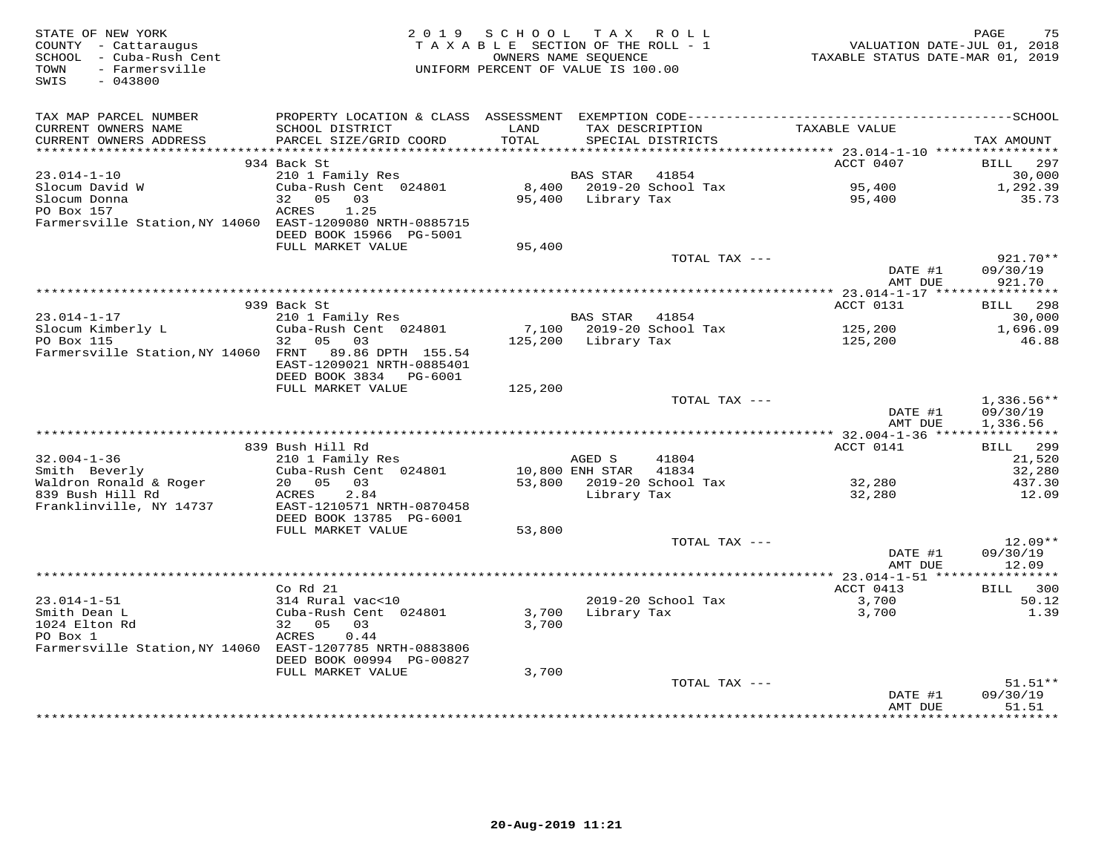| STATE OF NEW YORK<br>COUNTY - Cattaraugus<br>SCHOOL - Cuba-Rush Cent<br>- Farmersville<br>TOWN<br>SWIS<br>$-043800$ | 2 0 1 9                                                                  | SCHOOL<br>TAXABLE SECTION OF THE ROLL - 1<br>OWNERS NAME SEQUENCE<br>UNIFORM PERCENT OF VALUE IS 100.00 |                 | TAX ROLL           | VALUATION DATE-JUL 01, 2018<br>TAXABLE STATUS DATE-MAR 01, 2019 | 75<br>PAGE           |
|---------------------------------------------------------------------------------------------------------------------|--------------------------------------------------------------------------|---------------------------------------------------------------------------------------------------------|-----------------|--------------------|-----------------------------------------------------------------|----------------------|
|                                                                                                                     |                                                                          |                                                                                                         |                 |                    |                                                                 |                      |
| TAX MAP PARCEL NUMBER                                                                                               |                                                                          |                                                                                                         |                 |                    |                                                                 |                      |
| CURRENT OWNERS NAME                                                                                                 | SCHOOL DISTRICT                                                          | LAND                                                                                                    |                 | TAX DESCRIPTION    | TAXABLE VALUE                                                   |                      |
| CURRENT OWNERS ADDRESS<br>***********************                                                                   | PARCEL SIZE/GRID COORD                                                   | TOTAL                                                                                                   |                 | SPECIAL DISTRICTS  |                                                                 | TAX AMOUNT           |
|                                                                                                                     | 934 Back St                                                              |                                                                                                         |                 |                    | ACCT 0407                                                       | <b>BILL</b><br>297   |
| 23.014-1-10                                                                                                         | 210 1 Family Res                                                         |                                                                                                         | <b>BAS STAR</b> | 41854              |                                                                 | 30,000               |
| Slocum David W                                                                                                      | Cuba-Rush Cent 024801                                                    | 8,400                                                                                                   |                 | 2019-20 School Tax | 95,400                                                          | 1,292.39             |
| Slocum Donna                                                                                                        | 32 05<br>03                                                              | 95,400                                                                                                  | Library Tax     |                    | 95,400                                                          | 35.73                |
| PO Box 157<br>Farmersville Station, NY 14060                                                                        | ACRES<br>1.25<br>EAST-1209080 NRTH-0885715                               |                                                                                                         |                 |                    |                                                                 |                      |
|                                                                                                                     | DEED BOOK 15966 PG-5001                                                  |                                                                                                         |                 |                    |                                                                 |                      |
|                                                                                                                     | FULL MARKET VALUE                                                        | 95,400                                                                                                  |                 |                    |                                                                 |                      |
|                                                                                                                     |                                                                          |                                                                                                         |                 | TOTAL TAX ---      |                                                                 | $921.70**$           |
|                                                                                                                     |                                                                          |                                                                                                         |                 |                    | DATE #1                                                         | 09/30/19             |
|                                                                                                                     | * * * * * * * * * * * * * * * * * *                                      | ********************************                                                                        |                 |                    | AMT DUE<br>* 23.014-1-17 ****                                   | 921.70<br>********** |
|                                                                                                                     | 939 Back St                                                              |                                                                                                         |                 |                    | ACCT 0131                                                       | 298<br>BILL          |
| $23.014 - 1 - 17$                                                                                                   | 210 1 Family Res                                                         |                                                                                                         | <b>BAS STAR</b> | 41854              |                                                                 | 30,000               |
| Slocum Kimberly L                                                                                                   | Cuba-Rush Cent 024801                                                    | 7,100                                                                                                   |                 | 2019-20 School Tax | 125,200                                                         | 1,696.09             |
| PO Box 115                                                                                                          | 32 05<br>03                                                              | 125,200                                                                                                 | Library Tax     |                    | 125,200                                                         | 46.88                |
| Farmersville Station, NY 14060 FRNT                                                                                 | 89.86 DPTH 155.54<br>EAST-1209021 NRTH-0885401<br>DEED BOOK 3834 PG-6001 |                                                                                                         |                 |                    |                                                                 |                      |
|                                                                                                                     | FULL MARKET VALUE                                                        | 125,200                                                                                                 |                 |                    |                                                                 |                      |
|                                                                                                                     |                                                                          |                                                                                                         |                 | TOTAL TAX ---      |                                                                 | 1,336.56**           |
|                                                                                                                     |                                                                          |                                                                                                         |                 |                    | DATE #1                                                         | 09/30/19             |
|                                                                                                                     |                                                                          |                                                                                                         |                 |                    | AMT DUE                                                         | 1,336.56             |
|                                                                                                                     |                                                                          |                                                                                                         |                 |                    | ACCT 0141                                                       | BILL 299             |
| $32.004 - 1 - 36$                                                                                                   | 839 Bush Hill Rd<br>210 1 Family Res                                     |                                                                                                         | AGED S          | 41804              |                                                                 | 21,520               |
| Smith Beverly                                                                                                       | Cuba-Rush Cent 024801                                                    |                                                                                                         | 10,800 ENH STAR | 41834              |                                                                 | 32,280               |
| Waldron Ronald & Roger                                                                                              | 20 05<br>03                                                              | 53,800                                                                                                  |                 | 2019-20 School Tax | 32,280                                                          | 437.30               |
| 839 Bush Hill Rd                                                                                                    | 2.84<br>ACRES                                                            |                                                                                                         | Library Tax     |                    | 32,280                                                          | 12.09                |
| Franklinville, NY 14737                                                                                             | EAST-1210571 NRTH-0870458                                                |                                                                                                         |                 |                    |                                                                 |                      |
|                                                                                                                     | DEED BOOK 13785 PG-6001<br>FULL MARKET VALUE                             | 53,800                                                                                                  |                 |                    |                                                                 |                      |
|                                                                                                                     |                                                                          |                                                                                                         |                 | TOTAL TAX ---      |                                                                 | $12.09**$            |
|                                                                                                                     |                                                                          |                                                                                                         |                 |                    | DATE #1                                                         | 09/30/19             |
|                                                                                                                     |                                                                          |                                                                                                         |                 |                    | AMT DUE                                                         | 12.09                |
|                                                                                                                     |                                                                          |                                                                                                         |                 |                    | ************* 23.014-1-51 *****                                 | ***********          |
| $23.014 - 1 - 51$                                                                                                   | $Co$ Rd $21$<br>314 Rural vac<10                                         |                                                                                                         |                 | 2019-20 School Tax | ACCT 0413<br>3,700                                              | BILL<br>300<br>50.12 |
| Smith Dean L                                                                                                        | Cuba-Rush Cent 024801                                                    | 3,700                                                                                                   | Library Tax     |                    | 3,700                                                           | 1.39                 |
| 1024 Elton Rd                                                                                                       | 32 05<br>03                                                              | 3,700                                                                                                   |                 |                    |                                                                 |                      |
| PO Box 1                                                                                                            | ACRES<br>0.44                                                            |                                                                                                         |                 |                    |                                                                 |                      |
| Farmersville Station, NY 14060 EAST-1207785 NRTH-0883806                                                            |                                                                          |                                                                                                         |                 |                    |                                                                 |                      |
|                                                                                                                     | DEED BOOK 00994 PG-00827<br>FULL MARKET VALUE                            | 3,700                                                                                                   |                 |                    |                                                                 |                      |
|                                                                                                                     |                                                                          |                                                                                                         |                 | TOTAL TAX ---      |                                                                 | $51.51**$            |
|                                                                                                                     |                                                                          |                                                                                                         |                 |                    | DATE #1                                                         | 09/30/19             |
|                                                                                                                     |                                                                          |                                                                                                         |                 |                    | AMT DUE                                                         | 51.51                |
|                                                                                                                     |                                                                          |                                                                                                         |                 |                    |                                                                 | ********             |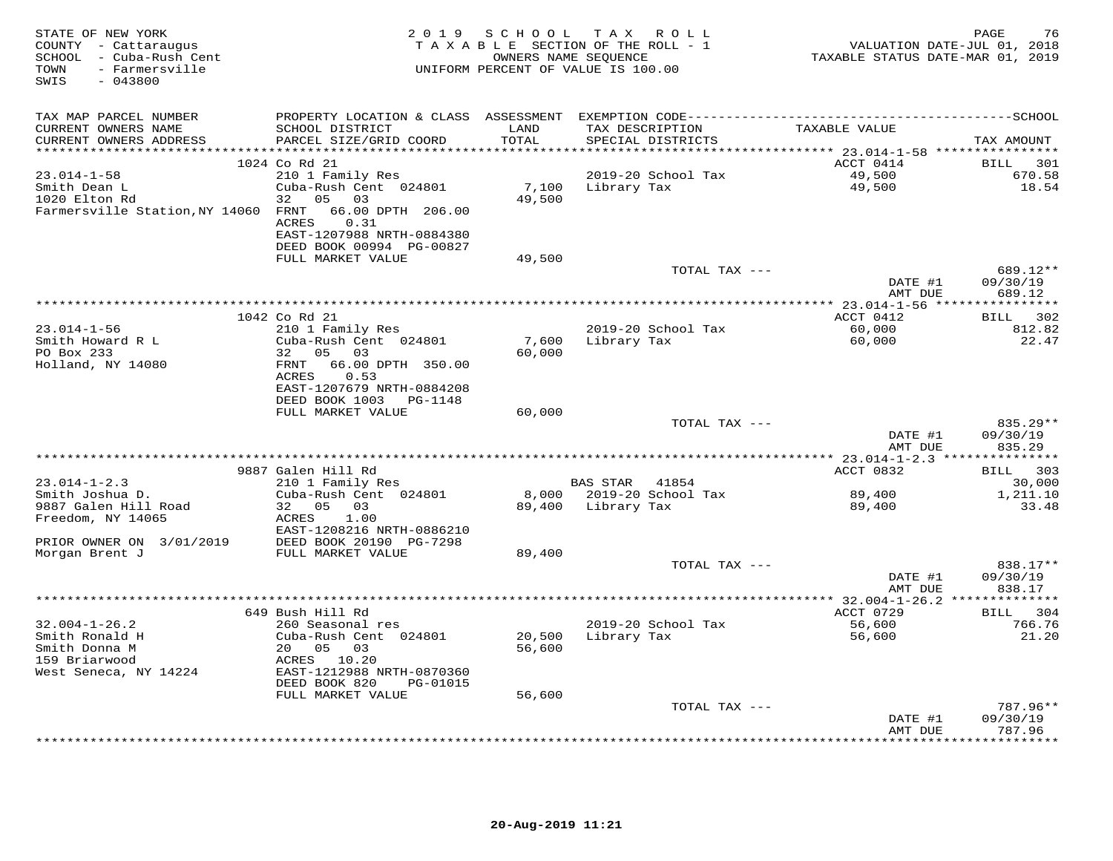| STATE OF NEW YORK<br>COUNTY - Cattaraugus<br>SCHOOL - Cuba-Rush Cent<br>- Farmersville<br>TOWN<br>SWIS<br>$-043800$ |                                                                                                                                  |                  | 2019 SCHOOL TAX ROLL<br>TAXABLE SECTION OF THE ROLL - 1<br>OWNERS NAME SEOUENCE<br>UNIFORM PERCENT OF VALUE IS 100.00 | VALUATION DATE-JUL 01, 2018<br>TAXABLE STATUS DATE-MAR 01, 2019 | PAGE<br>76                     |
|---------------------------------------------------------------------------------------------------------------------|----------------------------------------------------------------------------------------------------------------------------------|------------------|-----------------------------------------------------------------------------------------------------------------------|-----------------------------------------------------------------|--------------------------------|
| TAX MAP PARCEL NUMBER                                                                                               |                                                                                                                                  |                  |                                                                                                                       |                                                                 |                                |
| CURRENT OWNERS NAME<br>CURRENT OWNERS ADDRESS                                                                       | SCHOOL DISTRICT<br>PARCEL SIZE/GRID COORD                                                                                        | LAND<br>TOTAL    | TAX DESCRIPTION<br>SPECIAL DISTRICTS                                                                                  | TAXABLE VALUE                                                   | TAX AMOUNT                     |
|                                                                                                                     | 1024 Co Rd 21                                                                                                                    |                  |                                                                                                                       | ACCT 0414                                                       | BILL 301                       |
| $23.014 - 1 - 58$<br>Smith Dean L<br>1020 Elton Rd<br>Farmersville Station, NY 14060 FRNT                           | 210 1 Family Res<br>Cuba-Rush Cent 024801<br>32<br>05 03<br>66.00 DPTH 206.00<br>ACRES<br>0.31<br>EAST-1207988 NRTH-0884380      | 7,100<br>49,500  | 2019-20 School Tax<br>Library Tax                                                                                     | 49,500<br>49,500                                                | 670.58<br>18.54                |
|                                                                                                                     | DEED BOOK 00994 PG-00827                                                                                                         |                  |                                                                                                                       |                                                                 |                                |
|                                                                                                                     | FULL MARKET VALUE                                                                                                                | 49,500           |                                                                                                                       |                                                                 |                                |
|                                                                                                                     |                                                                                                                                  |                  | TOTAL TAX ---                                                                                                         | DATE #1                                                         | 689.12**<br>09/30/19           |
|                                                                                                                     |                                                                                                                                  |                  |                                                                                                                       | AMT DUE                                                         | 689.12                         |
|                                                                                                                     | 1042 Co Rd 21                                                                                                                    |                  |                                                                                                                       | ACCT 0412                                                       | BILL 302                       |
| $23.014 - 1 - 56$<br>Smith Howard R L<br>PO Box 233                                                                 | 210 1 Family Res<br>Cuba-Rush Cent 024801<br>32<br>05 03                                                                         | 7,600<br>60,000  | 2019-20 School Tax<br>Library Tax                                                                                     | 60,000<br>60,000                                                | 812.82<br>22.47                |
| Holland, NY 14080                                                                                                   | 66.00 DPTH 350.00<br>FRNT<br>0.53<br>ACRES<br>EAST-1207679 NRTH-0884208<br>DEED BOOK 1003 PG-1148                                |                  |                                                                                                                       |                                                                 |                                |
|                                                                                                                     | FULL MARKET VALUE                                                                                                                | 60,000           |                                                                                                                       |                                                                 |                                |
|                                                                                                                     |                                                                                                                                  |                  | TOTAL TAX ---                                                                                                         | DATE #1                                                         | 835.29**<br>09/30/19           |
|                                                                                                                     |                                                                                                                                  |                  |                                                                                                                       | AMT DUE                                                         | 835.29                         |
|                                                                                                                     | 9887 Galen Hill Rd                                                                                                               |                  |                                                                                                                       | ACCT 0832                                                       | BILL 303                       |
| $23.014 - 1 - 2.3$                                                                                                  | 210 1 Family Res                                                                                                                 |                  | BAS STAR 41854                                                                                                        |                                                                 | 30,000                         |
| Smith Joshua D.<br>9887 Galen Hill Road<br>Freedom, NY 14065                                                        | Cuba-Rush Cent 024801<br>32 05 03<br>ACRES<br>1.00<br>EAST-1208216 NRTH-0886210                                                  |                  | 8,000 2019-20 School Tax<br>89,400 Library Tax                                                                        | 89,400<br>89,400                                                | 1,211.10<br>33.48              |
| PRIOR OWNER ON 3/01/2019<br>Morgan Brent J                                                                          | DEED BOOK 20190 PG-7298<br>FULL MARKET VALUE                                                                                     | 89,400           |                                                                                                                       |                                                                 |                                |
|                                                                                                                     |                                                                                                                                  |                  | TOTAL TAX ---                                                                                                         | DATE #1<br>AMT DUE                                              | 838.17**<br>09/30/19<br>838.17 |
|                                                                                                                     |                                                                                                                                  |                  |                                                                                                                       |                                                                 |                                |
|                                                                                                                     | 649 Bush Hill Rd                                                                                                                 |                  |                                                                                                                       | ACCT 0729                                                       | BILL 304                       |
| $32.004 - 1 - 26.2$<br>Smith Ronald H<br>Smith Donna M<br>159 Briarwood<br>West Seneca, NY 14224                    | 260 Seasonal res<br>Cuba-Rush Cent 024801<br>20  05  03<br>ACRES 10.20<br>EAST-1212988 NRTH-0870360<br>DEED BOOK 820<br>PG-01015 | 20,500<br>56,600 | 2019-20 School Tax<br>Library Tax                                                                                     | 56,600<br>56,600                                                | 766.76<br>21.20                |
|                                                                                                                     | FULL MARKET VALUE                                                                                                                | 56,600           |                                                                                                                       |                                                                 |                                |
|                                                                                                                     |                                                                                                                                  |                  | TOTAL TAX ---                                                                                                         |                                                                 | 787.96**                       |
|                                                                                                                     |                                                                                                                                  |                  |                                                                                                                       | DATE #1<br>AMT DUE                                              | 09/30/19<br>787.96             |
|                                                                                                                     |                                                                                                                                  |                  |                                                                                                                       | **************                                                  | *********                      |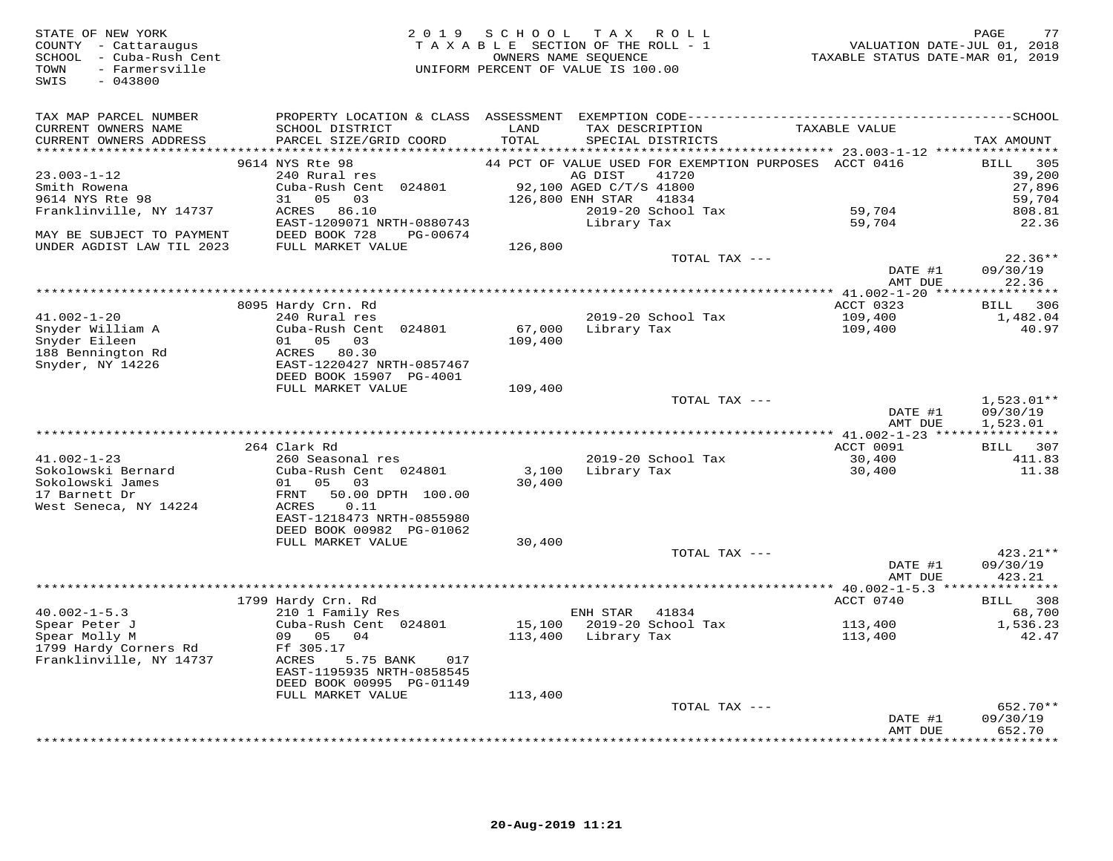| STATE OF NEW YORK<br>COUNTY - Cattaraugus<br>SCHOOL - Cuba-Rush Cent<br>- Farmersville<br>TOWN<br>$-043800$<br>SWIS | 2 0 1 9                                                | SCHOOL<br>OWNERS NAME SEQUENCE | TAX ROLL<br>TAXABLE SECTION OF THE ROLL - 1<br>UNIFORM PERCENT OF VALUE IS 100.00 | VALUATION DATE-JUL 01, 2018<br>TAXABLE STATUS DATE-MAR 01, 2019 | 77<br>PAGE           |
|---------------------------------------------------------------------------------------------------------------------|--------------------------------------------------------|--------------------------------|-----------------------------------------------------------------------------------|-----------------------------------------------------------------|----------------------|
| TAX MAP PARCEL NUMBER                                                                                               |                                                        |                                |                                                                                   |                                                                 |                      |
| CURRENT OWNERS NAME<br>CURRENT OWNERS ADDRESS                                                                       | SCHOOL DISTRICT<br>PARCEL SIZE/GRID COORD              | LAND<br>TOTAL                  | TAX DESCRIPTION<br>SPECIAL DISTRICTS                                              | TAXABLE VALUE                                                   | TAX AMOUNT           |
|                                                                                                                     | 9614 NYS Rte 98                                        |                                | 44 PCT OF VALUE USED FOR EXEMPTION PURPOSES ACCT 0416                             |                                                                 | 305<br>BILL          |
| $23.003 - 1 - 12$                                                                                                   | 240 Rural res                                          |                                | AG DIST<br>41720                                                                  |                                                                 | 39,200               |
| Smith Rowena                                                                                                        | Cuba-Rush Cent 024801                                  |                                | 92,100 AGED C/T/S 41800                                                           |                                                                 | 27,896               |
| 9614 NYS Rte 98                                                                                                     | 31 05 03                                               |                                | 126,800 ENH STAR<br>41834                                                         |                                                                 | 59,704               |
| Franklinville, NY 14737                                                                                             | ACRES 86.10                                            |                                | 2019-20 School Tax                                                                | 59,704                                                          | 808.81               |
| MAY BE SUBJECT TO PAYMENT                                                                                           | EAST-1209071 NRTH-0880743<br>DEED BOOK 728<br>PG-00674 |                                | Library Tax                                                                       | 59,704                                                          | 22.36                |
| UNDER AGDIST LAW TIL 2023                                                                                           | FULL MARKET VALUE                                      | 126,800                        |                                                                                   |                                                                 |                      |
|                                                                                                                     |                                                        |                                | TOTAL TAX ---                                                                     |                                                                 | $22.36**$            |
|                                                                                                                     |                                                        |                                |                                                                                   | DATE #1<br>AMT DUE                                              | 09/30/19<br>22.36    |
|                                                                                                                     |                                                        |                                |                                                                                   |                                                                 |                      |
|                                                                                                                     | 8095 Hardy Crn. Rd                                     |                                |                                                                                   | ACCT 0323                                                       | 306<br>BILL          |
| $41.002 - 1 - 20$                                                                                                   | 240 Rural res                                          |                                | 2019-20 School Tax                                                                | 109,400                                                         | 1,482.04             |
| Snyder William A                                                                                                    | Cuba-Rush Cent 024801                                  |                                | 67,000 Library Tax                                                                | 109,400                                                         | 40.97                |
| Snyder Eileen<br>188 Bennington Rd                                                                                  | 01 05 03<br>ACRES 80.30                                | 109,400                        |                                                                                   |                                                                 |                      |
| Snyder, NY 14226                                                                                                    | EAST-1220427 NRTH-0857467                              |                                |                                                                                   |                                                                 |                      |
|                                                                                                                     | DEED BOOK 15907 PG-4001                                |                                |                                                                                   |                                                                 |                      |
|                                                                                                                     | FULL MARKET VALUE                                      | 109,400                        |                                                                                   |                                                                 |                      |
|                                                                                                                     |                                                        |                                | TOTAL TAX ---                                                                     |                                                                 | $1,523.01**$         |
|                                                                                                                     |                                                        |                                |                                                                                   | DATE #1                                                         | 09/30/19             |
|                                                                                                                     |                                                        |                                |                                                                                   | AMT DUE                                                         | 1,523.01             |
|                                                                                                                     | 264 Clark Rd                                           |                                |                                                                                   | ACCT 0091                                                       | BILL 307             |
| $41.002 - 1 - 23$                                                                                                   | 260 Seasonal res                                       |                                | 2019-20 School Tax                                                                | 30,400                                                          | 411.83               |
| Sokolowski Bernard                                                                                                  | Cuba-Rush Cent 024801                                  |                                | 3,100 Library Tax                                                                 | 30,400                                                          | 11.38                |
| Sokolowski James                                                                                                    | 01 05<br>03                                            | 30,400                         |                                                                                   |                                                                 |                      |
| 17 Barnett Dr                                                                                                       | FRNT<br>50.00 DPTH 100.00                              |                                |                                                                                   |                                                                 |                      |
| West Seneca, NY 14224                                                                                               | ACRES<br>0.11                                          |                                |                                                                                   |                                                                 |                      |
|                                                                                                                     | EAST-1218473 NRTH-0855980                              |                                |                                                                                   |                                                                 |                      |
|                                                                                                                     | DEED BOOK 00982 PG-01062<br>FULL MARKET VALUE          | 30,400                         |                                                                                   |                                                                 |                      |
|                                                                                                                     |                                                        |                                | TOTAL TAX ---                                                                     |                                                                 | 423.21**             |
|                                                                                                                     |                                                        |                                |                                                                                   | DATE #1                                                         | 09/30/19             |
|                                                                                                                     |                                                        |                                |                                                                                   | AMT DUE                                                         | 423.21               |
|                                                                                                                     |                                                        |                                |                                                                                   |                                                                 |                      |
|                                                                                                                     | 1799 Hardy Crn. Rd                                     |                                |                                                                                   | ACCT 0740                                                       | BILL 308             |
| $40.002 - 1 - 5.3$                                                                                                  | 210 1 Family Res                                       |                                | ENH STAR<br>41834                                                                 |                                                                 | 68,700               |
| Spear Peter J<br>Spear Molly M                                                                                      | Cuba-Rush Cent 024801<br>09 05 04                      | 113,400                        | 15,100 2019-20 School Tax<br>Library Tax                                          | 113,400<br>113,400                                              | 1,536.23<br>42.47    |
| 1799 Hardy Corners Rd                                                                                               | Ff 305.17                                              |                                |                                                                                   |                                                                 |                      |
| Franklinville, NY 14737                                                                                             | ACRES<br>5.75 BANK<br>017                              |                                |                                                                                   |                                                                 |                      |
|                                                                                                                     | EAST-1195935 NRTH-0858545                              |                                |                                                                                   |                                                                 |                      |
|                                                                                                                     | DEED BOOK 00995 PG-01149                               |                                |                                                                                   |                                                                 |                      |
|                                                                                                                     | FULL MARKET VALUE                                      | 113,400                        |                                                                                   |                                                                 |                      |
|                                                                                                                     |                                                        |                                | TOTAL TAX ---                                                                     |                                                                 | 652.70**<br>09/30/19 |
|                                                                                                                     |                                                        |                                |                                                                                   | DATE #1<br>AMT DUE                                              | 652.70               |
|                                                                                                                     |                                                        |                                |                                                                                   |                                                                 |                      |

\*\*\*\*\*\*\*\*\*\*\*\*\*\*\*\*\*\*\*\*\*\*\*\*\*\*\*\*\*\*\*\*\*\*\*\*\*\*\*\*\*\*\*\*\*\*\*\*\*\*\*\*\*\*\*\*\*\*\*\*\*\*\*\*\*\*\*\*\*\*\*\*\*\*\*\*\*\*\*\*\*\*\*\*\*\*\*\*\*\*\*\*\*\*\*\*\*\*\*\*\*\*\*\*\*\*\*\*\*\*\*\*\*\*\*\*\*\*\*\*\*\*\*\*\*\*\*\*\*\*\*\*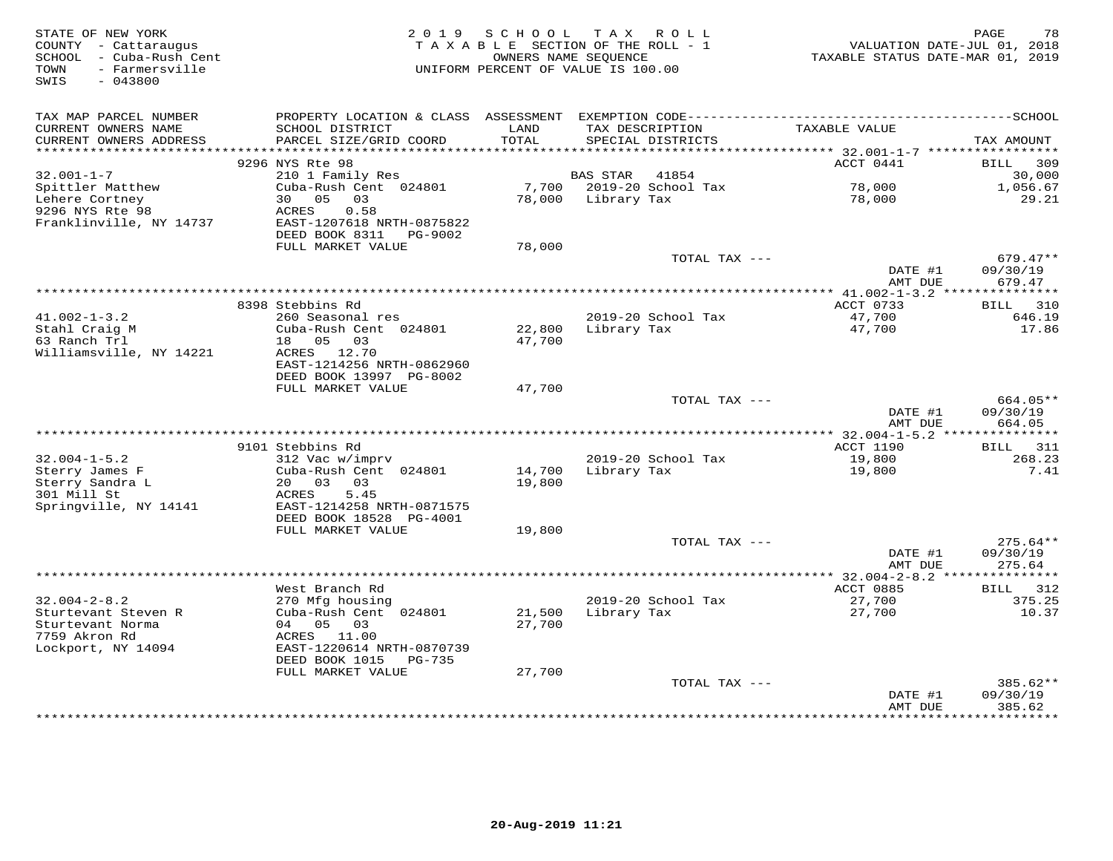| STATE OF NEW YORK<br>COUNTY - Cattaraugus<br>- Cuba-Rush Cent<br>SCHOOL<br>- Farmersville<br>TOWN<br>SWIS<br>$-043800$ | 2 0 1 9                                                      | SCHOOL<br>OWNERS NAME SEOUENCE | T A X<br>R O L L<br>TAXABLE SECTION OF THE ROLL - 1<br>UNIFORM PERCENT OF VALUE IS 100.00 | VALUATION DATE-JUL 01, 2018<br>TAXABLE STATUS DATE-MAR 01, 2019 | 78<br>PAGE                       |
|------------------------------------------------------------------------------------------------------------------------|--------------------------------------------------------------|--------------------------------|-------------------------------------------------------------------------------------------|-----------------------------------------------------------------|----------------------------------|
| TAX MAP PARCEL NUMBER                                                                                                  |                                                              |                                |                                                                                           |                                                                 |                                  |
| CURRENT OWNERS NAME<br>CURRENT OWNERS ADDRESS                                                                          | SCHOOL DISTRICT<br>PARCEL SIZE/GRID COORD                    | LAND<br>TOTAL                  | TAX DESCRIPTION<br>SPECIAL DISTRICTS                                                      | TAXABLE VALUE                                                   | TAX AMOUNT                       |
| **********************                                                                                                 | ************************<br>9296 NYS Rte 98                  |                                |                                                                                           | ACCT 0441                                                       | <b>BILL</b><br>309               |
| $32.001 - 1 - 7$                                                                                                       | 210 1 Family Res                                             |                                | <b>BAS STAR</b><br>41854                                                                  |                                                                 | 30,000                           |
| Spittler Matthew                                                                                                       | Cuba-Rush Cent 024801                                        | 7,700                          | 2019-20 School Tax                                                                        | 78,000                                                          | 1,056.67                         |
| Lehere Cortney                                                                                                         | 05<br>30<br>03                                               | 78,000                         | Library Tax                                                                               | 78,000                                                          | 29.21                            |
| 9296 NYS Rte 98                                                                                                        | ACRES<br>0.58                                                |                                |                                                                                           |                                                                 |                                  |
| Franklinville, NY 14737                                                                                                | EAST-1207618 NRTH-0875822<br>DEED BOOK 8311<br>PG-9002       |                                |                                                                                           |                                                                 |                                  |
|                                                                                                                        | FULL MARKET VALUE                                            | 78,000                         |                                                                                           |                                                                 |                                  |
|                                                                                                                        |                                                              |                                | TOTAL TAX ---                                                                             | DATE #1<br>AMT DUE                                              | $679.47**$<br>09/30/19<br>679.47 |
|                                                                                                                        |                                                              |                                |                                                                                           | * 41.002-1-3.2                                                  | * * * * * * * * * *              |
|                                                                                                                        | 8398 Stebbins Rd                                             |                                |                                                                                           | ACCT 0733                                                       | 310<br>BILL                      |
| $41.002 - 1 - 3.2$                                                                                                     | 260 Seasonal res                                             |                                | 2019-20 School Tax                                                                        | 47,700                                                          | 646.19                           |
| Stahl Craig M                                                                                                          | Cuba-Rush Cent 024801                                        | 22,800                         | Library Tax                                                                               | 47,700                                                          | 17.86                            |
| 63 Ranch Trl<br>Williamsville, NY 14221                                                                                | 18 05<br>03<br>ACRES 12.70                                   | 47,700                         |                                                                                           |                                                                 |                                  |
|                                                                                                                        | EAST-1214256 NRTH-0862960                                    |                                |                                                                                           |                                                                 |                                  |
|                                                                                                                        | DEED BOOK 13997 PG-8002<br>FULL MARKET VALUE                 | 47,700                         |                                                                                           |                                                                 |                                  |
|                                                                                                                        |                                                              |                                | TOTAL TAX ---                                                                             |                                                                 | 664.05**                         |
|                                                                                                                        |                                                              |                                |                                                                                           | DATE #1                                                         | 09/30/19                         |
|                                                                                                                        |                                                              |                                |                                                                                           | AMT DUE                                                         | 664.05                           |
|                                                                                                                        |                                                              |                                |                                                                                           |                                                                 |                                  |
| $32.004 - 1 - 5.2$                                                                                                     | 9101 Stebbins Rd<br>312 Vac w/imprv                          |                                | 2019-20 School Tax                                                                        | ACCT 1190<br>19,800                                             | 311<br>BILL<br>268.23            |
| Sterry James F                                                                                                         | Cuba-Rush Cent 024801                                        | 14,700                         | Library Tax                                                                               | 19,800                                                          | 7.41                             |
| Sterry Sandra L                                                                                                        | 20 03<br>03                                                  | 19,800                         |                                                                                           |                                                                 |                                  |
| 301 Mill St                                                                                                            | 5.45<br>ACRES                                                |                                |                                                                                           |                                                                 |                                  |
| Springville, NY 14141                                                                                                  | EAST-1214258 NRTH-0871575                                    |                                |                                                                                           |                                                                 |                                  |
|                                                                                                                        | DEED BOOK 18528 PG-4001<br>FULL MARKET VALUE                 | 19,800                         |                                                                                           |                                                                 |                                  |
|                                                                                                                        |                                                              |                                | TOTAL TAX ---                                                                             |                                                                 | $275.64**$                       |
|                                                                                                                        |                                                              |                                |                                                                                           | DATE #1                                                         | 09/30/19                         |
|                                                                                                                        |                                                              |                                |                                                                                           | AMT DUE                                                         | 275.64                           |
|                                                                                                                        |                                                              |                                |                                                                                           | ********* 32.004-2-8.2 ***                                      | *******                          |
|                                                                                                                        | West Branch Rd                                               |                                |                                                                                           | ACCT 0885                                                       | BILL<br>312                      |
| $32.004 - 2 - 8.2$<br>Sturtevant Steven R                                                                              | 270 Mfg housing<br>Cuba-Rush Cent 024801                     | 21,500                         | 2019-20 School Tax<br>Library Tax                                                         | 27,700<br>27,700                                                | 375.25<br>10.37                  |
| Sturtevant Norma                                                                                                       | 05<br>04<br>03                                               | 27,700                         |                                                                                           |                                                                 |                                  |
| 7759 Akron Rd                                                                                                          | 11.00<br>ACRES                                               |                                |                                                                                           |                                                                 |                                  |
| Lockport, NY 14094                                                                                                     | EAST-1220614 NRTH-0870739<br>DEED BOOK 1015<br><b>PG-735</b> |                                |                                                                                           |                                                                 |                                  |
|                                                                                                                        | FULL MARKET VALUE                                            | 27,700                         |                                                                                           |                                                                 |                                  |
|                                                                                                                        |                                                              |                                | TOTAL TAX ---                                                                             |                                                                 | $385.62**$                       |
|                                                                                                                        |                                                              |                                |                                                                                           | DATE #1<br>AMT DUE                                              | 09/30/19<br>385.62               |
|                                                                                                                        |                                                              |                                |                                                                                           |                                                                 | * * * * * * * * *                |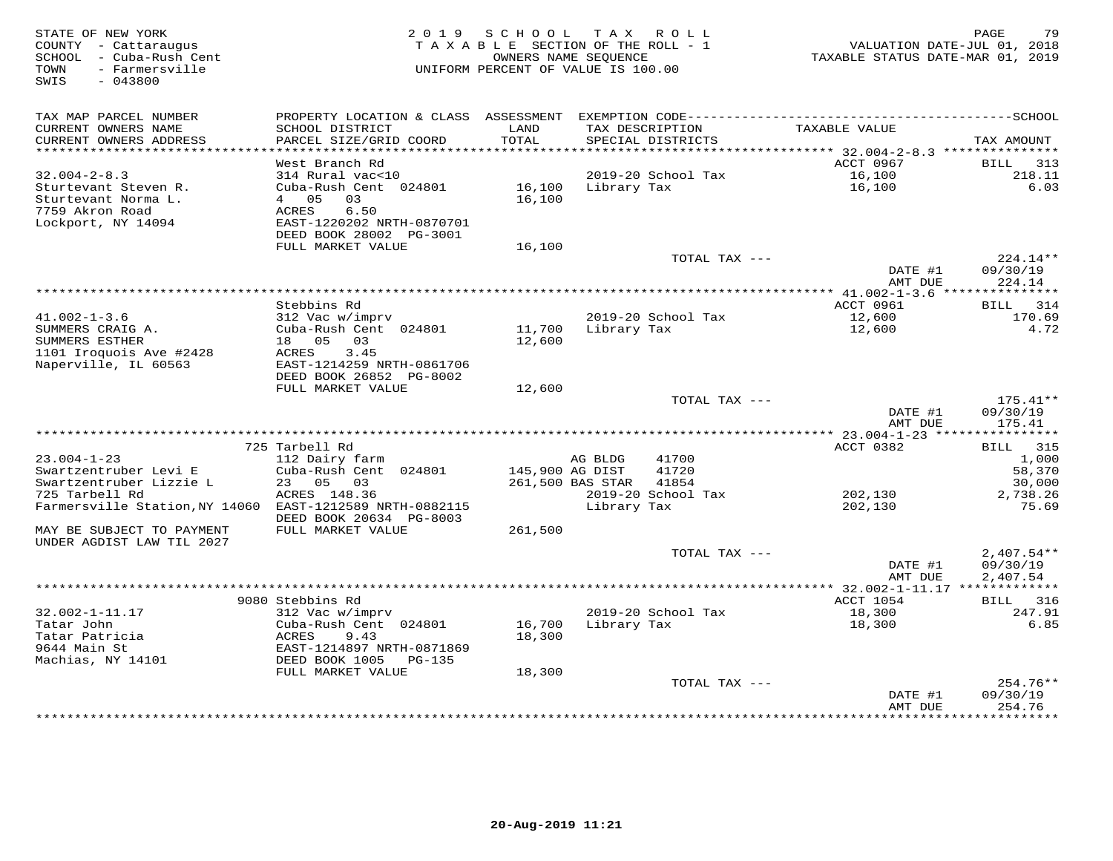| STATE OF NEW YORK<br>COUNTY - Cattaraugus<br>SCHOOL - Cuba-Rush Cent<br>- Farmersville<br>TOWN<br>$-043800$<br>SWIS | 2 0 1 9                                                                | SCHOOL<br>TAXABLE SECTION OF THE ROLL - 1<br>OWNERS NAME SEQUENCE<br>UNIFORM PERCENT OF VALUE IS 100.00 |                  | TAX ROLL                             | VALUATION DATE-JUL 01, 2018<br>TAXABLE STATUS DATE-MAR 01, 2019 | PAGE<br>79             |
|---------------------------------------------------------------------------------------------------------------------|------------------------------------------------------------------------|---------------------------------------------------------------------------------------------------------|------------------|--------------------------------------|-----------------------------------------------------------------|------------------------|
| TAX MAP PARCEL NUMBER                                                                                               | PROPERTY LOCATION & CLASS ASSESSMENT                                   |                                                                                                         |                  |                                      |                                                                 |                        |
| CURRENT OWNERS NAME<br>CURRENT OWNERS ADDRESS<br>***********************                                            | SCHOOL DISTRICT<br>PARCEL SIZE/GRID COORD<br>************************* | LAND<br>TOTAL                                                                                           |                  | TAX DESCRIPTION<br>SPECIAL DISTRICTS | TAXABLE VALUE                                                   | TAX AMOUNT             |
|                                                                                                                     | West Branch Rd                                                         |                                                                                                         |                  |                                      | ACCT 0967                                                       | BILL<br>313            |
| $32.004 - 2 - 8.3$                                                                                                  | 314 Rural vac<10                                                       |                                                                                                         |                  | 2019-20 School Tax                   | 16,100                                                          | 218.11                 |
| Sturtevant Steven R.<br>Sturtevant Norma L.                                                                         | Cuba-Rush Cent 024801<br>4 05<br>03                                    | 16,100<br>16,100                                                                                        | Library Tax      |                                      | 16,100                                                          | 6.03                   |
| 7759 Akron Road                                                                                                     | 6.50<br>ACRES                                                          |                                                                                                         |                  |                                      |                                                                 |                        |
| Lockport, NY 14094                                                                                                  | EAST-1220202 NRTH-0870701<br>DEED BOOK 28002 PG-3001                   |                                                                                                         |                  |                                      |                                                                 |                        |
|                                                                                                                     | FULL MARKET VALUE                                                      | 16,100                                                                                                  |                  |                                      |                                                                 |                        |
|                                                                                                                     |                                                                        |                                                                                                         |                  | TOTAL TAX ---                        |                                                                 | 224.14**               |
|                                                                                                                     |                                                                        |                                                                                                         |                  |                                      | DATE #1<br>AMT DUE                                              | 09/30/19<br>224.14     |
|                                                                                                                     |                                                                        |                                                                                                         | *************    |                                      | ** $41.002 - 1 - 3.6$ ***                                       | *********              |
|                                                                                                                     | Stebbins Rd                                                            |                                                                                                         |                  |                                      | ACCT 0961                                                       | 314<br><b>BILL</b>     |
| $41.002 - 1 - 3.6$                                                                                                  | 312 Vac w/imprv                                                        |                                                                                                         |                  | 2019-20 School Tax                   | 12,600                                                          | 170.69                 |
| SUMMERS CRAIG A.<br>SUMMERS ESTHER                                                                                  | Cuba-Rush Cent 024801<br>18 05<br>03                                   | 11,700<br>12,600                                                                                        | Library Tax      |                                      | 12,600                                                          | 4.72                   |
| 1101 Iroquois Ave #2428                                                                                             | 3.45<br>ACRES                                                          |                                                                                                         |                  |                                      |                                                                 |                        |
| Naperville, IL 60563                                                                                                | EAST-1214259 NRTH-0861706                                              |                                                                                                         |                  |                                      |                                                                 |                        |
|                                                                                                                     | DEED BOOK 26852 PG-8002                                                |                                                                                                         |                  |                                      |                                                                 |                        |
|                                                                                                                     | FULL MARKET VALUE                                                      | 12,600                                                                                                  |                  |                                      |                                                                 |                        |
|                                                                                                                     |                                                                        |                                                                                                         |                  | TOTAL TAX ---                        | DATE #1                                                         | $175.41**$<br>09/30/19 |
|                                                                                                                     |                                                                        |                                                                                                         |                  |                                      | AMT DUE                                                         | 175.41                 |
|                                                                                                                     |                                                                        |                                                                                                         |                  |                                      |                                                                 |                        |
|                                                                                                                     | 725 Tarbell Rd                                                         |                                                                                                         |                  |                                      | ACCT 0382                                                       | BILL 315               |
| $23.004 - 1 - 23$                                                                                                   | 112 Dairy farm<br>Cuba-Rush Cent 024801                                |                                                                                                         | AG BLDG          | 41700<br>41720                       |                                                                 | 1,000                  |
| Swartzentruber Levi E<br>Swartzentruber Lizzie L                                                                    | 23 05 03                                                               | 145,900 AG DIST                                                                                         | 261,500 BAS STAR | 41854                                |                                                                 | 58,370<br>30,000       |
| 725 Tarbell Rd                                                                                                      | ACRES 148.36                                                           |                                                                                                         |                  | 2019-20 School Tax                   | 202,130                                                         | 2,738.26               |
| Farmersville Station, NY 14060                                                                                      | EAST-1212589 NRTH-0882115                                              |                                                                                                         | Library Tax      |                                      | 202,130                                                         | 75.69                  |
|                                                                                                                     | DEED BOOK 20634 PG-8003                                                |                                                                                                         |                  |                                      |                                                                 |                        |
| MAY BE SUBJECT TO PAYMENT<br>UNDER AGDIST LAW TIL 2027                                                              | FULL MARKET VALUE                                                      | 261,500                                                                                                 |                  |                                      |                                                                 |                        |
|                                                                                                                     |                                                                        |                                                                                                         |                  | TOTAL TAX ---                        |                                                                 | $2,407.54**$           |
|                                                                                                                     |                                                                        |                                                                                                         |                  |                                      | DATE #1<br>AMT DUE                                              | 09/30/19<br>2,407.54   |
|                                                                                                                     |                                                                        |                                                                                                         |                  |                                      | ** 32.002-1-11.17 *************                                 |                        |
| $32.002 - 1 - 11.17$                                                                                                | 9080 Stebbins Rd<br>312 Vac w/imprv                                    |                                                                                                         |                  | 2019-20 School Tax                   | ACCT 1054<br>18,300                                             | BILL 316<br>247.91     |
| Tatar John                                                                                                          | Cuba-Rush Cent 024801                                                  | 16,700                                                                                                  | Library Tax      |                                      | 18,300                                                          | 6.85                   |
| Tatar Patricia                                                                                                      | ACRES<br>9.43                                                          | 18,300                                                                                                  |                  |                                      |                                                                 |                        |
| 9644 Main St                                                                                                        | EAST-1214897 NRTH-0871869                                              |                                                                                                         |                  |                                      |                                                                 |                        |
| Machias, NY 14101                                                                                                   | DEED BOOK 1005<br>PG-135                                               |                                                                                                         |                  |                                      |                                                                 |                        |
|                                                                                                                     | FULL MARKET VALUE                                                      | 18,300                                                                                                  |                  |                                      |                                                                 |                        |
|                                                                                                                     |                                                                        |                                                                                                         |                  | TOTAL TAX ---                        | DATE #1                                                         | $254.76**$<br>09/30/19 |
|                                                                                                                     |                                                                        |                                                                                                         |                  |                                      | AMT DUE                                                         | 254.76                 |
|                                                                                                                     |                                                                        |                                                                                                         |                  |                                      |                                                                 | + + + + + + + + +      |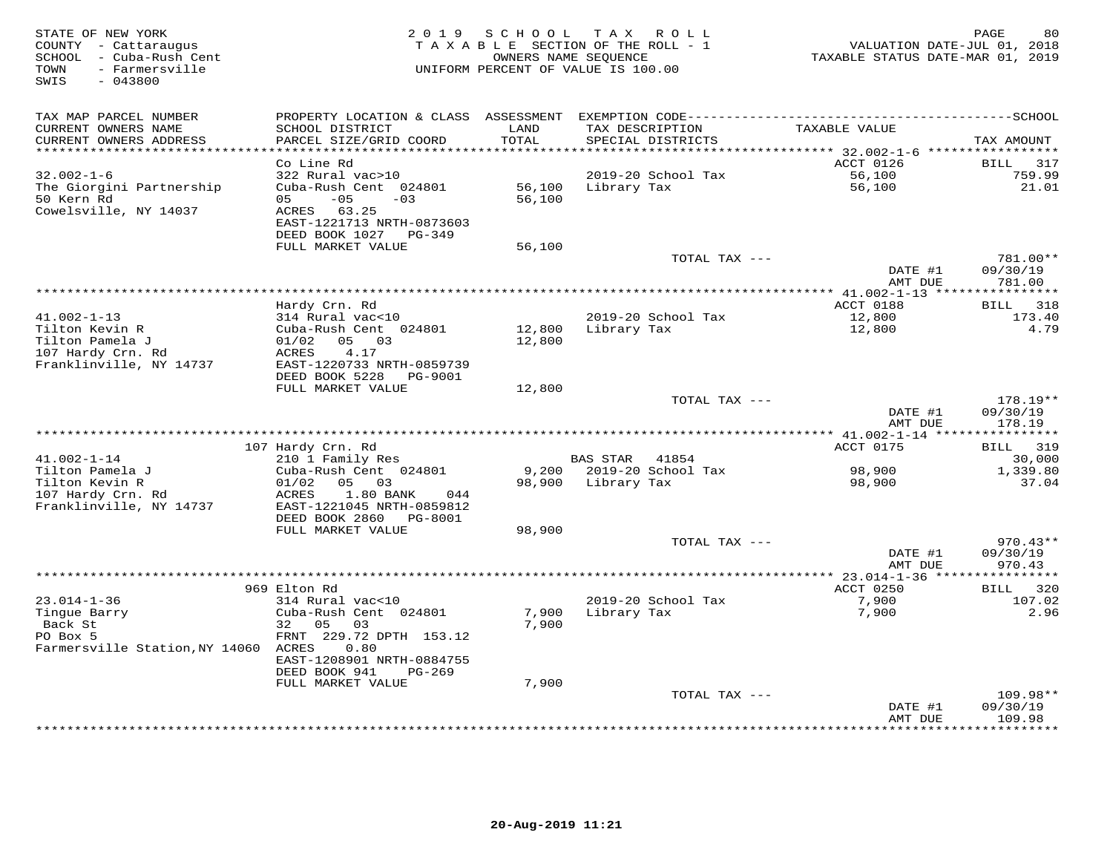| STATE OF NEW YORK<br>COUNTY - Cattaraugus<br>SCHOOL - Cuba-Rush Cent<br>- Farmersville<br>TOWN<br>SWIS<br>$-043800$ | 2 0 1 9                                   |                  | SCHOOL TAX ROLL<br>TAXABLE SECTION OF THE ROLL - 1<br>OWNERS NAME SEQUENCE<br>UNIFORM PERCENT OF VALUE IS 100.00 | VALUATION DATE-JUL 01, 2018<br>TAXABLE STATUS DATE-MAR 01, 2019 | 80<br>PAGE         |
|---------------------------------------------------------------------------------------------------------------------|-------------------------------------------|------------------|------------------------------------------------------------------------------------------------------------------|-----------------------------------------------------------------|--------------------|
| TAX MAP PARCEL NUMBER                                                                                               |                                           |                  |                                                                                                                  |                                                                 |                    |
| CURRENT OWNERS NAME<br>CURRENT OWNERS ADDRESS                                                                       | SCHOOL DISTRICT<br>PARCEL SIZE/GRID COORD | LAND<br>TOTAL    | TAX DESCRIPTION<br>SPECIAL DISTRICTS                                                                             | TAXABLE VALUE                                                   | TAX AMOUNT         |
| ********************                                                                                                |                                           | **********       |                                                                                                                  | ******** 32.002-1-6 ******************                          |                    |
|                                                                                                                     | Co Line Rd                                |                  |                                                                                                                  | ACCT 0126                                                       | 317<br><b>BILL</b> |
| $32.002 - 1 - 6$                                                                                                    | 322 Rural vac>10                          |                  | 2019-20 School Tax                                                                                               | 56,100                                                          | 759.99             |
| The Giorgini Partnership                                                                                            | Cuba-Rush Cent 024801                     | 56,100           | Library Tax                                                                                                      | 56,100                                                          | 21.01              |
| 50 Kern Rd                                                                                                          | $-05$<br>05<br>$-03$                      | 56,100           |                                                                                                                  |                                                                 |                    |
| Cowelsville, NY 14037                                                                                               | ACRES 63.25                               |                  |                                                                                                                  |                                                                 |                    |
|                                                                                                                     | EAST-1221713 NRTH-0873603                 |                  |                                                                                                                  |                                                                 |                    |
|                                                                                                                     | DEED BOOK 1027 PG-349                     |                  |                                                                                                                  |                                                                 |                    |
|                                                                                                                     | FULL MARKET VALUE                         | 56,100           |                                                                                                                  |                                                                 |                    |
|                                                                                                                     |                                           |                  | TOTAL TAX ---                                                                                                    |                                                                 | 781.00**           |
|                                                                                                                     |                                           |                  |                                                                                                                  | DATE #1                                                         | 09/30/19           |
|                                                                                                                     |                                           |                  |                                                                                                                  | AMT DUE                                                         | 781.00             |
|                                                                                                                     |                                           |                  |                                                                                                                  | ***** 41.002-1-13 ****************                              |                    |
|                                                                                                                     | Hardy Crn. Rd                             |                  |                                                                                                                  | ACCT 0188                                                       | BILL 318           |
| $41.002 - 1 - 13$                                                                                                   | 314 Rural vac<10                          |                  | 2019-20 School Tax                                                                                               | 12,800                                                          | 173.40             |
| Tilton Kevin R<br>Tilton Pamela J                                                                                   | Cuba-Rush Cent 024801<br>$01/02$ 05 03    | 12,800<br>12,800 | Library Tax                                                                                                      | 12,800                                                          | 4.79               |
| 107 Hardy Crn. Rd                                                                                                   | ACRES<br>4.17                             |                  |                                                                                                                  |                                                                 |                    |
| Franklinville, NY 14737                                                                                             | EAST-1220733 NRTH-0859739                 |                  |                                                                                                                  |                                                                 |                    |
|                                                                                                                     | DEED BOOK 5228 PG-9001                    |                  |                                                                                                                  |                                                                 |                    |
|                                                                                                                     | FULL MARKET VALUE                         | 12,800           |                                                                                                                  |                                                                 |                    |
|                                                                                                                     |                                           |                  | TOTAL TAX ---                                                                                                    |                                                                 | 178.19**           |
|                                                                                                                     |                                           |                  |                                                                                                                  | DATE #1                                                         | 09/30/19           |
|                                                                                                                     |                                           |                  |                                                                                                                  | AMT DUE                                                         | 178.19             |
| *********************                                                                                               |                                           |                  |                                                                                                                  |                                                                 |                    |
|                                                                                                                     | 107 Hardy Crn. Rd                         |                  |                                                                                                                  | ACCT 0175                                                       | BILL 319           |
| $41.002 - 1 - 14$                                                                                                   | 210 1 Family Res                          |                  | BAS STAR 41854                                                                                                   |                                                                 | 30,000             |
| Tilton Pamela J                                                                                                     | Cuba-Rush Cent 024801                     | 9,200            | 2019-20 School Tax                                                                                               | 98,900                                                          | 1,339.80           |
| Tilton Kevin R                                                                                                      | 05 03<br>01/02                            | 98,900           | Library Tax                                                                                                      | 98,900                                                          | 37.04              |
| 107 Hardy Crn. Rd                                                                                                   | ACRES<br>1.80 BANK<br>044                 |                  |                                                                                                                  |                                                                 |                    |
| Franklinville, NY 14737                                                                                             | EAST-1221045 NRTH-0859812                 |                  |                                                                                                                  |                                                                 |                    |
|                                                                                                                     | DEED BOOK 2860 PG-8001                    |                  |                                                                                                                  |                                                                 |                    |
|                                                                                                                     | FULL MARKET VALUE                         | 98,900           |                                                                                                                  |                                                                 |                    |
|                                                                                                                     |                                           |                  | TOTAL TAX ---                                                                                                    |                                                                 | $970.43**$         |
|                                                                                                                     |                                           |                  |                                                                                                                  | DATE #1                                                         | 09/30/19           |
|                                                                                                                     |                                           |                  |                                                                                                                  | AMT DUE                                                         | 970.43             |
|                                                                                                                     | 969 Elton Rd                              |                  |                                                                                                                  | ACCT 0250                                                       | BILL 320           |
| $23.014 - 1 - 36$                                                                                                   | 314 Rural vac<10                          |                  | 2019-20 School Tax                                                                                               | 7,900                                                           | 107.02             |
| Tingue Barry                                                                                                        | Cuba-Rush Cent 024801                     | 7,900            | Library Tax                                                                                                      | 7,900                                                           | 2.96               |
| Back St                                                                                                             | 32 05<br>03                               | 7,900            |                                                                                                                  |                                                                 |                    |
| PO Box 5                                                                                                            | FRNT 229.72 DPTH 153.12                   |                  |                                                                                                                  |                                                                 |                    |
| Farmersville Station, NY 14060 ACRES                                                                                | 0.80                                      |                  |                                                                                                                  |                                                                 |                    |
|                                                                                                                     | EAST-1208901 NRTH-0884755                 |                  |                                                                                                                  |                                                                 |                    |
|                                                                                                                     | DEED BOOK 941<br>PG-269                   |                  |                                                                                                                  |                                                                 |                    |
|                                                                                                                     | FULL MARKET VALUE                         | 7,900            |                                                                                                                  |                                                                 |                    |
|                                                                                                                     |                                           |                  | TOTAL TAX ---                                                                                                    |                                                                 | $109.98**$         |
|                                                                                                                     |                                           |                  |                                                                                                                  | DATE #1                                                         | 09/30/19           |
|                                                                                                                     |                                           |                  |                                                                                                                  | AMT DUE                                                         | 109.98             |
|                                                                                                                     |                                           |                  |                                                                                                                  |                                                                 | ********           |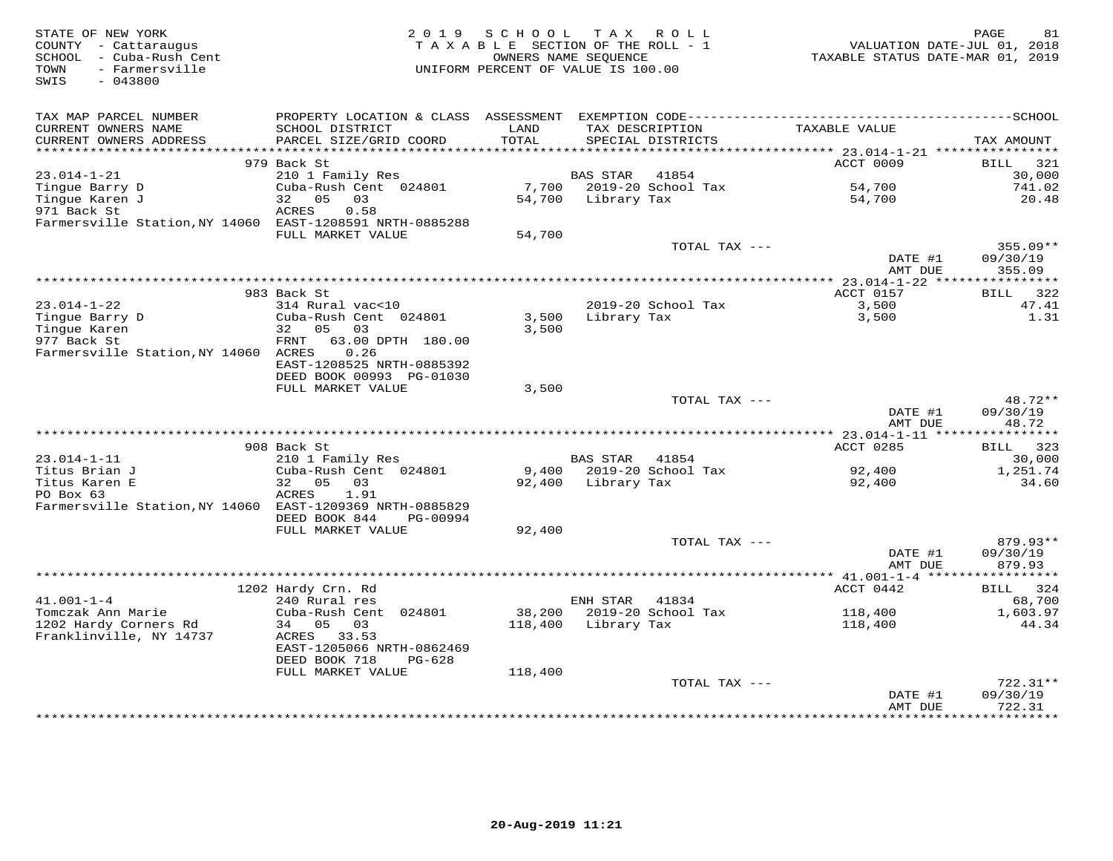| STATE OF NEW YORK<br>COUNTY - Cattaraugus<br>SCHOOL - Cuba-Rush Cent<br>TOWN<br>- Farmersville<br>SWIS<br>$-043800$ | 2 0 1 9                                                                   | SCHOOL<br>TAXABLE SECTION OF THE ROLL - 1<br>OWNERS NAME SEQUENCE<br>UNIFORM PERCENT OF VALUE IS 100.00 | T A X              | R O L L                              | VALUATION DATE-JUL 01, 2018<br>TAXABLE STATUS DATE-MAR 01, 2019 | PAGE<br>81            |
|---------------------------------------------------------------------------------------------------------------------|---------------------------------------------------------------------------|---------------------------------------------------------------------------------------------------------|--------------------|--------------------------------------|-----------------------------------------------------------------|-----------------------|
| TAX MAP PARCEL NUMBER                                                                                               |                                                                           |                                                                                                         |                    |                                      |                                                                 |                       |
| CURRENT OWNERS NAME<br>CURRENT OWNERS ADDRESS<br>***********************                                            | SCHOOL DISTRICT<br>PARCEL SIZE/GRID COORD<br>**************************** | LAND<br>TOTAL                                                                                           |                    | TAX DESCRIPTION<br>SPECIAL DISTRICTS | TAXABLE VALUE                                                   | TAX AMOUNT            |
|                                                                                                                     | 979 Back St                                                               |                                                                                                         |                    |                                      | <b>ACCT 0009</b>                                                | BILL<br>321           |
| $23.014 - 1 - 21$                                                                                                   | 210 1 Family Res                                                          |                                                                                                         | BAS STAR           | 41854                                |                                                                 | 30,000                |
| Tingue Barry D                                                                                                      | Cuba-Rush Cent 024801                                                     | 7,700                                                                                                   |                    | 2019-20 School Tax                   | 54,700                                                          | 741.02                |
| Tingue Karen J                                                                                                      | 05<br>32<br>03                                                            | 54,700                                                                                                  | Library Tax        |                                      | 54,700                                                          | 20.48                 |
| 971 Back St<br>Farmersville Station, NY 14060 EAST-1208591 NRTH-0885288                                             | ACRES<br>0.58                                                             |                                                                                                         |                    |                                      |                                                                 |                       |
|                                                                                                                     | FULL MARKET VALUE                                                         | 54,700                                                                                                  |                    |                                      |                                                                 |                       |
|                                                                                                                     |                                                                           |                                                                                                         |                    | TOTAL TAX ---                        |                                                                 | 355.09**              |
|                                                                                                                     |                                                                           |                                                                                                         |                    |                                      | DATE #1                                                         | 09/30/19              |
|                                                                                                                     |                                                                           |                                                                                                         |                    |                                      | AMT DUE                                                         | 355.09                |
|                                                                                                                     |                                                                           |                                                                                                         |                    |                                      |                                                                 |                       |
|                                                                                                                     | 983 Back St                                                               |                                                                                                         |                    |                                      | ACCT 0157                                                       | BILL<br>322<br>47.41  |
| $23.014 - 1 - 22$<br>Tingue Barry D                                                                                 | 314 Rural vac<10<br>Cuba-Rush Cent 024801                                 | 3,500                                                                                                   | Library Tax        | 2019-20 School Tax                   | 3,500<br>3,500                                                  | 1.31                  |
| Tinque Karen                                                                                                        | 32<br>05<br>03                                                            | 3,500                                                                                                   |                    |                                      |                                                                 |                       |
| 977 Back St                                                                                                         | FRNT<br>63.00 DPTH 180.00                                                 |                                                                                                         |                    |                                      |                                                                 |                       |
| Farmersville Station, NY 14060 ACRES                                                                                | 0.26                                                                      |                                                                                                         |                    |                                      |                                                                 |                       |
|                                                                                                                     | EAST-1208525 NRTH-0885392                                                 |                                                                                                         |                    |                                      |                                                                 |                       |
|                                                                                                                     | DEED BOOK 00993 PG-01030                                                  |                                                                                                         |                    |                                      |                                                                 |                       |
|                                                                                                                     | FULL MARKET VALUE                                                         | 3,500                                                                                                   |                    | TOTAL TAX ---                        |                                                                 | 48.72**               |
|                                                                                                                     |                                                                           |                                                                                                         |                    |                                      | DATE #1                                                         | 09/30/19              |
|                                                                                                                     |                                                                           |                                                                                                         |                    |                                      | AMT DUE                                                         | 48.72                 |
|                                                                                                                     |                                                                           |                                                                                                         |                    |                                      |                                                                 |                       |
|                                                                                                                     | 908 Back St                                                               |                                                                                                         |                    |                                      | ACCT 0285                                                       | BILL 323              |
| $23.014 - 1 - 11$                                                                                                   | 210 1 Family Res                                                          |                                                                                                         | BAS STAR           | 41854                                |                                                                 | 30,000                |
| Titus Brian J                                                                                                       | Cuba-Rush Cent 024801                                                     |                                                                                                         |                    | 9,400 2019-20 School Tax             | 92,400                                                          | 1,251.74              |
| Titus Karen E<br>PO Box 63                                                                                          | 32<br>05<br>03<br>ACRES<br>1.91                                           |                                                                                                         | 92,400 Library Tax |                                      | 92,400                                                          | 34.60                 |
| Farmersville Station, NY 14060 EAST-1209369 NRTH-0885829                                                            |                                                                           |                                                                                                         |                    |                                      |                                                                 |                       |
|                                                                                                                     | DEED BOOK 844<br>PG-00994                                                 |                                                                                                         |                    |                                      |                                                                 |                       |
|                                                                                                                     | FULL MARKET VALUE                                                         | 92,400                                                                                                  |                    |                                      |                                                                 |                       |
|                                                                                                                     |                                                                           |                                                                                                         |                    | TOTAL TAX ---                        |                                                                 | $879.93**$            |
|                                                                                                                     |                                                                           |                                                                                                         |                    |                                      | DATE #1                                                         | 09/30/19              |
|                                                                                                                     |                                                                           |                                                                                                         |                    |                                      | AMT DUE                                                         | 879.93<br>*********** |
|                                                                                                                     | 1202 Hardy Crn. Rd                                                        |                                                                                                         |                    |                                      | ***************** 41.001-1-4 ******<br>ACCT 0442                | 324<br>BILL           |
| $41.001 - 1 - 4$                                                                                                    | 240 Rural res                                                             |                                                                                                         | ENH STAR           | 41834                                |                                                                 | 68,700                |
| Tomczak Ann Marie                                                                                                   | Cuba-Rush Cent 024801                                                     | 38,200                                                                                                  |                    | 2019-20 School Tax                   | 118,400                                                         | 1,603.97              |
| 1202 Hardy Corners Rd                                                                                               | 34<br>05<br>03                                                            | 118,400                                                                                                 | Library Tax        |                                      | 118,400                                                         | 44.34                 |
| Franklinville, NY 14737                                                                                             | ACRES 33.53                                                               |                                                                                                         |                    |                                      |                                                                 |                       |
|                                                                                                                     | EAST-1205066 NRTH-0862469                                                 |                                                                                                         |                    |                                      |                                                                 |                       |
|                                                                                                                     | DEED BOOK 718<br>PG-628<br>FULL MARKET VALUE                              | 118,400                                                                                                 |                    |                                      |                                                                 |                       |
|                                                                                                                     |                                                                           |                                                                                                         |                    | TOTAL TAX ---                        |                                                                 | $722.31**$            |
|                                                                                                                     |                                                                           |                                                                                                         |                    |                                      | DATE #1                                                         | 09/30/19              |
|                                                                                                                     |                                                                           |                                                                                                         |                    |                                      | AMT DUE                                                         | 722.31                |
|                                                                                                                     |                                                                           |                                                                                                         |                    |                                      |                                                                 | * * * * * * * * *     |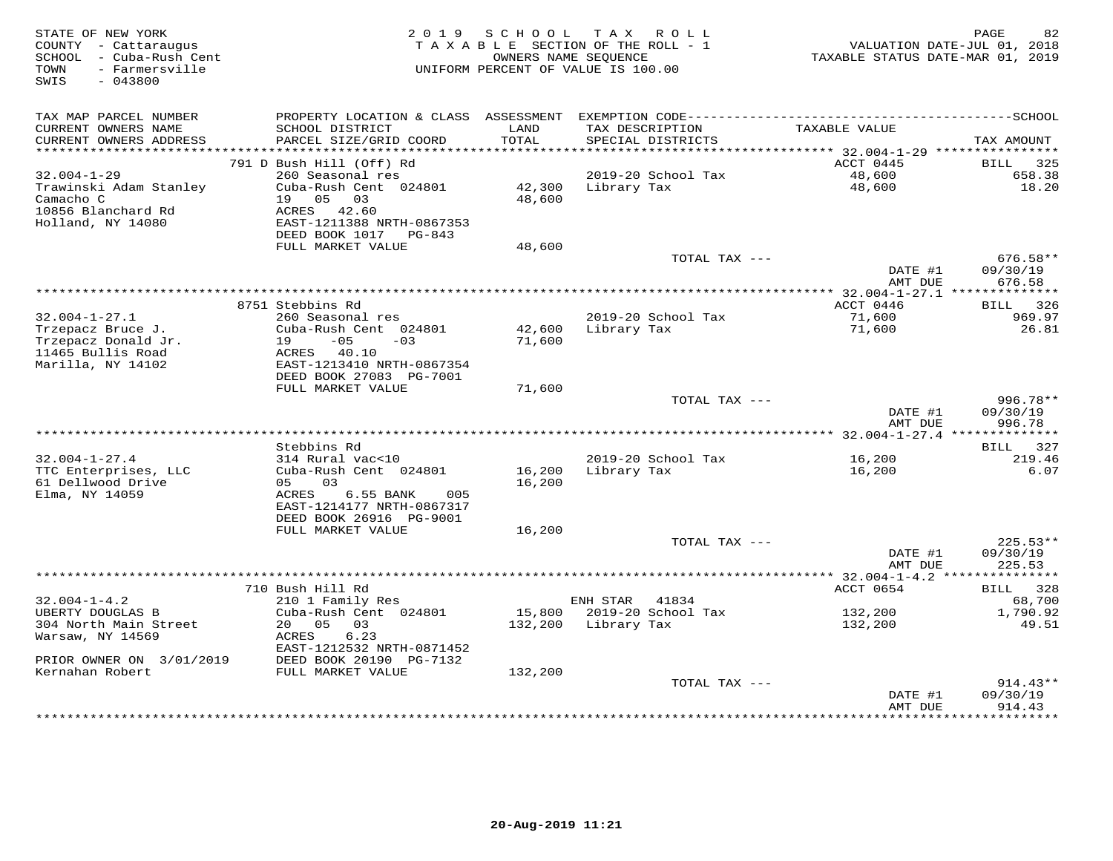| STATE OF NEW YORK<br>COUNTY - Cattaraugus<br>SCHOOL - Cuba-Rush Cent<br>- Farmersville<br>TOWN<br>SWIS<br>$-043800$ | 2 0 1 9                                                                                      | SCHOOL        | TAX ROLL<br>TAXABLE SECTION OF THE ROLL - 1<br>OWNERS NAME SEOUENCE<br>UNIFORM PERCENT OF VALUE IS 100.00 | VALUATION DATE-JUL 01, 2018<br>TAXABLE STATUS DATE-MAR 01, 2019 | 82<br>PAGE             |
|---------------------------------------------------------------------------------------------------------------------|----------------------------------------------------------------------------------------------|---------------|-----------------------------------------------------------------------------------------------------------|-----------------------------------------------------------------|------------------------|
| TAX MAP PARCEL NUMBER                                                                                               | PROPERTY LOCATION & CLASS ASSESSMENT EXEMPTION CODE-----------------------------------SCHOOL |               |                                                                                                           |                                                                 |                        |
| CURRENT OWNERS NAME<br>CURRENT OWNERS ADDRESS<br>***********************                                            | SCHOOL DISTRICT<br>PARCEL SIZE/GRID COORD                                                    | LAND<br>TOTAL | TAX DESCRIPTION<br>SPECIAL DISTRICTS                                                                      | TAXABLE VALUE                                                   | TAX AMOUNT             |
|                                                                                                                     | 791 D Bush Hill (Off) Rd                                                                     |               |                                                                                                           | ACCT 0445                                                       | <b>BILL</b><br>325     |
| $32.004 - 1 - 29$                                                                                                   | 260 Seasonal res                                                                             |               | 2019-20 School Tax                                                                                        | 48,600                                                          | 658.38                 |
| Trawinski Adam Stanley                                                                                              | Cuba-Rush Cent 024801                                                                        | 42,300        | Library Tax                                                                                               | 48,600                                                          | 18.20                  |
| Camacho C                                                                                                           | 19 05<br>03                                                                                  | 48,600        |                                                                                                           |                                                                 |                        |
| 10856 Blanchard Rd                                                                                                  | ACRES 42.60                                                                                  |               |                                                                                                           |                                                                 |                        |
| Holland, NY 14080                                                                                                   | EAST-1211388 NRTH-0867353                                                                    |               |                                                                                                           |                                                                 |                        |
|                                                                                                                     | DEED BOOK 1017 PG-843                                                                        |               |                                                                                                           |                                                                 |                        |
|                                                                                                                     | FULL MARKET VALUE                                                                            | 48,600        |                                                                                                           |                                                                 |                        |
|                                                                                                                     |                                                                                              |               | TOTAL TAX ---                                                                                             | DATE #1                                                         | $676.58**$<br>09/30/19 |
|                                                                                                                     |                                                                                              |               |                                                                                                           | AMT DUE                                                         | 676.58                 |
|                                                                                                                     |                                                                                              |               |                                                                                                           |                                                                 |                        |
|                                                                                                                     | 8751 Stebbins Rd                                                                             |               |                                                                                                           | ACCT 0446                                                       | BILL 326               |
| $32.004 - 1 - 27.1$                                                                                                 | 260 Seasonal res                                                                             |               | 2019-20 School Tax                                                                                        | 71,600                                                          | 969.97                 |
| Trzepacz Bruce J.                                                                                                   | Cuba-Rush Cent 024801                                                                        | 42,600        | Library Tax                                                                                               | 71,600                                                          | 26.81                  |
| Trzepacz Donald Jr.                                                                                                 | $19 - 05$<br>$-03$                                                                           | 71,600        |                                                                                                           |                                                                 |                        |
| 11465 Bullis Road                                                                                                   | ACRES 40.10                                                                                  |               |                                                                                                           |                                                                 |                        |
| Marilla, NY 14102                                                                                                   | EAST-1213410 NRTH-0867354                                                                    |               |                                                                                                           |                                                                 |                        |
|                                                                                                                     | DEED BOOK 27083 PG-7001<br>FULL MARKET VALUE                                                 |               |                                                                                                           |                                                                 |                        |
|                                                                                                                     |                                                                                              | 71,600        | TOTAL TAX ---                                                                                             |                                                                 | $996.78**$             |
|                                                                                                                     |                                                                                              |               |                                                                                                           | DATE #1<br>AMT DUE                                              | 09/30/19<br>996.78     |
|                                                                                                                     |                                                                                              |               |                                                                                                           |                                                                 |                        |
|                                                                                                                     | Stebbins Rd                                                                                  |               |                                                                                                           |                                                                 | BILL 327               |
| $32.004 - 1 - 27.4$                                                                                                 | 314 Rural vac<10                                                                             |               | 2019-20 School Tax                                                                                        | 16,200                                                          | 219.46                 |
| TTC Enterprises, LLC                                                                                                | Cuba-Rush Cent 024801                                                                        | 16,200        | Library Tax                                                                                               | 16,200                                                          | 6.07                   |
| 61 Dellwood Drive                                                                                                   | 03<br>05                                                                                     | 16,200        |                                                                                                           |                                                                 |                        |
| Elma, NY 14059                                                                                                      | ACRES<br>6.55 BANK<br>005                                                                    |               |                                                                                                           |                                                                 |                        |
|                                                                                                                     | EAST-1214177 NRTH-0867317                                                                    |               |                                                                                                           |                                                                 |                        |
|                                                                                                                     | DEED BOOK 26916 PG-9001<br>FULL MARKET VALUE                                                 | 16,200        |                                                                                                           |                                                                 |                        |
|                                                                                                                     |                                                                                              |               | TOTAL TAX ---                                                                                             |                                                                 | $225.53**$             |
|                                                                                                                     |                                                                                              |               |                                                                                                           | DATE #1                                                         | 09/30/19               |
|                                                                                                                     |                                                                                              |               |                                                                                                           | AMT DUE                                                         | 225.53                 |
|                                                                                                                     |                                                                                              |               |                                                                                                           | *** 32.004-1-4.2 **                                             | * * * * * * * * * * *  |
|                                                                                                                     | 710 Bush Hill Rd                                                                             |               |                                                                                                           | ACCT 0654                                                       | 328<br>BILL            |
| $32.004 - 1 - 4.2$                                                                                                  | 210 1 Family Res                                                                             |               | ENH STAR<br>41834                                                                                         |                                                                 | 68,700                 |
| UBERTY DOUGLAS B                                                                                                    | Cuba-Rush Cent 024801                                                                        |               | 15,800 2019-20 School Tax                                                                                 | 132,200                                                         | 1,790.92               |
| 304 North Main Street                                                                                               | 20 05 03                                                                                     | 132,200       | Library Tax                                                                                               | 132,200                                                         | 49.51                  |
| Warsaw, NY 14569                                                                                                    | ACRES<br>6.23                                                                                |               |                                                                                                           |                                                                 |                        |
| PRIOR OWNER ON 3/01/2019                                                                                            | EAST-1212532 NRTH-0871452<br>DEED BOOK 20190 PG-7132                                         |               |                                                                                                           |                                                                 |                        |
| Kernahan Robert                                                                                                     | FULL MARKET VALUE                                                                            | 132,200       |                                                                                                           |                                                                 |                        |
|                                                                                                                     |                                                                                              |               | TOTAL TAX ---                                                                                             |                                                                 | 914.43**               |
|                                                                                                                     |                                                                                              |               |                                                                                                           | DATE #1                                                         | 09/30/19               |
|                                                                                                                     |                                                                                              |               |                                                                                                           | AMT DUE                                                         | 914.43                 |
|                                                                                                                     |                                                                                              |               |                                                                                                           |                                                                 |                        |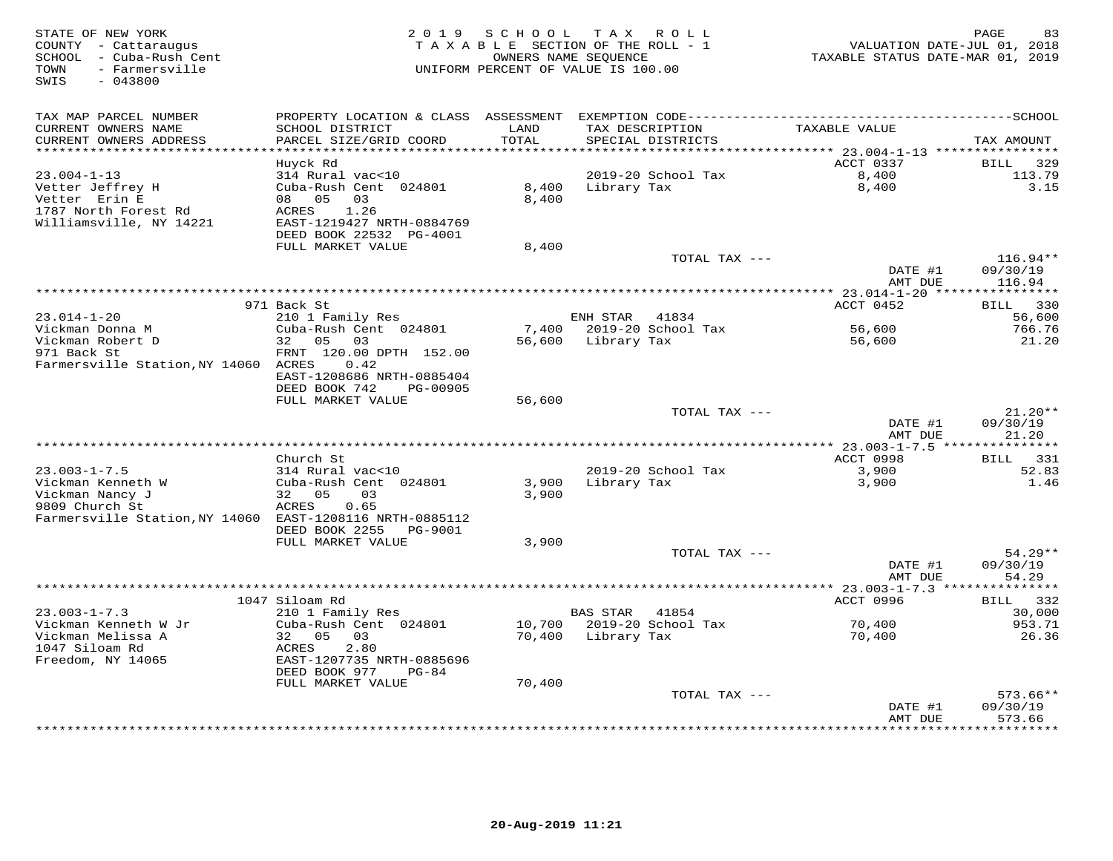| STATE OF NEW YORK<br>COUNTY - Cattaraugus<br>SCHOOL - Cuba-Rush Cent<br>- Farmersville<br>TOWN<br>$-043800$<br>SWIS | 2 0 1 9                                                               | SCHOOL<br>TAXABLE SECTION OF THE ROLL - 1<br>UNIFORM PERCENT OF VALUE IS 100.00 | T A X<br>OWNERS NAME SEQUENCE | ROLL                          | VALUATION DATE-JUL 01, 2018<br>TAXABLE STATUS DATE-MAR 01, 2019 | PAGE<br>83             |
|---------------------------------------------------------------------------------------------------------------------|-----------------------------------------------------------------------|---------------------------------------------------------------------------------|-------------------------------|-------------------------------|-----------------------------------------------------------------|------------------------|
| TAX MAP PARCEL NUMBER                                                                                               | PROPERTY LOCATION & CLASS ASSESSMENT                                  |                                                                                 |                               |                               |                                                                 |                        |
| CURRENT OWNERS NAME<br>CURRENT OWNERS ADDRESS<br>*********************                                              | SCHOOL DISTRICT<br>PARCEL SIZE/GRID COORD<br>************************ | LAND<br>TOTAL                                                                   | TAX DESCRIPTION               | SPECIAL DISTRICTS             | TAXABLE VALUE                                                   | TAX AMOUNT             |
|                                                                                                                     | Huyck Rd                                                              |                                                                                 |                               |                               | ACCT 0337                                                       | BILL<br>329            |
| $23.004 - 1 - 13$                                                                                                   | 314 Rural vac<10                                                      |                                                                                 |                               | 2019-20 School Tax            | 8,400                                                           | 113.79                 |
| Vetter Jeffrey H                                                                                                    | Cuba-Rush Cent 024801                                                 | 8,400                                                                           | Library Tax                   |                               | 8,400                                                           | 3.15                   |
| Vetter Erin E                                                                                                       | 08 05<br>03                                                           | 8,400                                                                           |                               |                               |                                                                 |                        |
| 1787 North Forest Rd                                                                                                | 1.26<br><b>ACRES</b>                                                  |                                                                                 |                               |                               |                                                                 |                        |
| Williamsville, NY 14221                                                                                             | EAST-1219427 NRTH-0884769                                             |                                                                                 |                               |                               |                                                                 |                        |
|                                                                                                                     | DEED BOOK 22532 PG-4001                                               |                                                                                 |                               |                               |                                                                 |                        |
|                                                                                                                     | FULL MARKET VALUE                                                     | 8,400                                                                           |                               |                               |                                                                 |                        |
|                                                                                                                     |                                                                       |                                                                                 |                               | TOTAL TAX ---                 | DATE #1                                                         | $116.94**$<br>09/30/19 |
|                                                                                                                     |                                                                       |                                                                                 |                               |                               | AMT DUE                                                         | 116.94                 |
|                                                                                                                     |                                                                       |                                                                                 |                               | ***************************** | ************ 23.014-1-20 *****************                      |                        |
|                                                                                                                     | 971 Back St                                                           |                                                                                 |                               |                               | ACCT 0452                                                       | 330<br>BILL            |
| $23.014 - 1 - 20$                                                                                                   | 210 1 Family Res                                                      |                                                                                 | ENH STAR                      | 41834                         |                                                                 | 56,600                 |
| Vickman Donna M                                                                                                     | Cuba-Rush Cent 024801                                                 | 7,400                                                                           |                               | 2019-20 School Tax            | 56,600                                                          | 766.76                 |
| Vickman Robert D                                                                                                    | 32 05<br>03                                                           | 56,600                                                                          | Library Tax                   |                               | 56,600                                                          | 21.20                  |
| 971 Back St                                                                                                         | FRNT 120.00 DPTH 152.00                                               |                                                                                 |                               |                               |                                                                 |                        |
| Farmersville Station, NY 14060 ACRES                                                                                | 0.42<br>EAST-1208686 NRTH-0885404                                     |                                                                                 |                               |                               |                                                                 |                        |
|                                                                                                                     | DEED BOOK 742<br>PG-00905                                             |                                                                                 |                               |                               |                                                                 |                        |
|                                                                                                                     | FULL MARKET VALUE                                                     | 56,600                                                                          |                               |                               |                                                                 |                        |
|                                                                                                                     |                                                                       |                                                                                 |                               | TOTAL TAX ---                 |                                                                 | $21.20**$              |
|                                                                                                                     |                                                                       |                                                                                 |                               |                               | DATE #1                                                         | 09/30/19               |
|                                                                                                                     |                                                                       |                                                                                 |                               |                               | AMT DUE                                                         | 21.20                  |
|                                                                                                                     | * * * * * * * * * * * * * * * * *                                     | **************************************                                          |                               |                               | *********** 23.003-1-7.5                                        | ***********            |
|                                                                                                                     | Church St                                                             |                                                                                 |                               |                               | ACCT 0998                                                       | BILL 331               |
| $23.003 - 1 - 7.5$<br>Vickman Kenneth W                                                                             | 314 Rural vac<10<br>Cuba-Rush Cent 024801                             | 3,900                                                                           | Library Tax                   | 2019-20 School Tax            | 3,900                                                           | 52.83<br>1.46          |
| Vickman Nancy J                                                                                                     | 32 05<br>03                                                           | 3,900                                                                           |                               |                               | 3,900                                                           |                        |
| 9809 Church St                                                                                                      | 0.65<br>ACRES                                                         |                                                                                 |                               |                               |                                                                 |                        |
| Farmersville Station, NY 14060 EAST-1208116 NRTH-0885112                                                            |                                                                       |                                                                                 |                               |                               |                                                                 |                        |
|                                                                                                                     | DEED BOOK 2255<br>PG-9001                                             |                                                                                 |                               |                               |                                                                 |                        |
|                                                                                                                     | FULL MARKET VALUE                                                     | 3,900                                                                           |                               |                               |                                                                 |                        |
|                                                                                                                     |                                                                       |                                                                                 |                               | TOTAL TAX ---                 |                                                                 | $54.29**$              |
|                                                                                                                     |                                                                       |                                                                                 |                               |                               | DATE #1                                                         | 09/30/19               |
|                                                                                                                     |                                                                       |                                                                                 | ***************************   |                               | AMT DUE                                                         | 54.29                  |
|                                                                                                                     | 1047 Siloam Rd                                                        |                                                                                 |                               |                               | *** 23.003-1-7.3 **<br>ACCT 0996                                | 332<br>BILL            |
| $23.003 - 1 - 7.3$                                                                                                  | 210 1 Family Res                                                      |                                                                                 | <b>BAS STAR</b>               | 41854                         |                                                                 | 30,000                 |
| Vickman Kenneth W Jr                                                                                                | Cuba-Rush Cent 024801                                                 | 10,700                                                                          |                               | 2019-20 School Tax            | 70,400                                                          | 953.71                 |
| Vickman Melissa A                                                                                                   | 32 05<br>03                                                           | 70,400                                                                          | Library Tax                   |                               | 70,400                                                          | 26.36                  |
| 1047 Siloam Rd                                                                                                      | ACRES<br>2.80                                                         |                                                                                 |                               |                               |                                                                 |                        |
| Freedom, NY 14065                                                                                                   | EAST-1207735 NRTH-0885696                                             |                                                                                 |                               |                               |                                                                 |                        |
|                                                                                                                     | DEED BOOK 977<br>$PG-84$                                              |                                                                                 |                               |                               |                                                                 |                        |
|                                                                                                                     | FULL MARKET VALUE                                                     | 70,400                                                                          |                               |                               |                                                                 |                        |
|                                                                                                                     |                                                                       |                                                                                 |                               | TOTAL TAX ---                 |                                                                 | $573.66**$             |
|                                                                                                                     |                                                                       |                                                                                 |                               |                               | DATE #1<br>AMT DUE                                              | 09/30/19<br>573.66     |
|                                                                                                                     |                                                                       |                                                                                 |                               | ***********************       |                                                                 | *******                |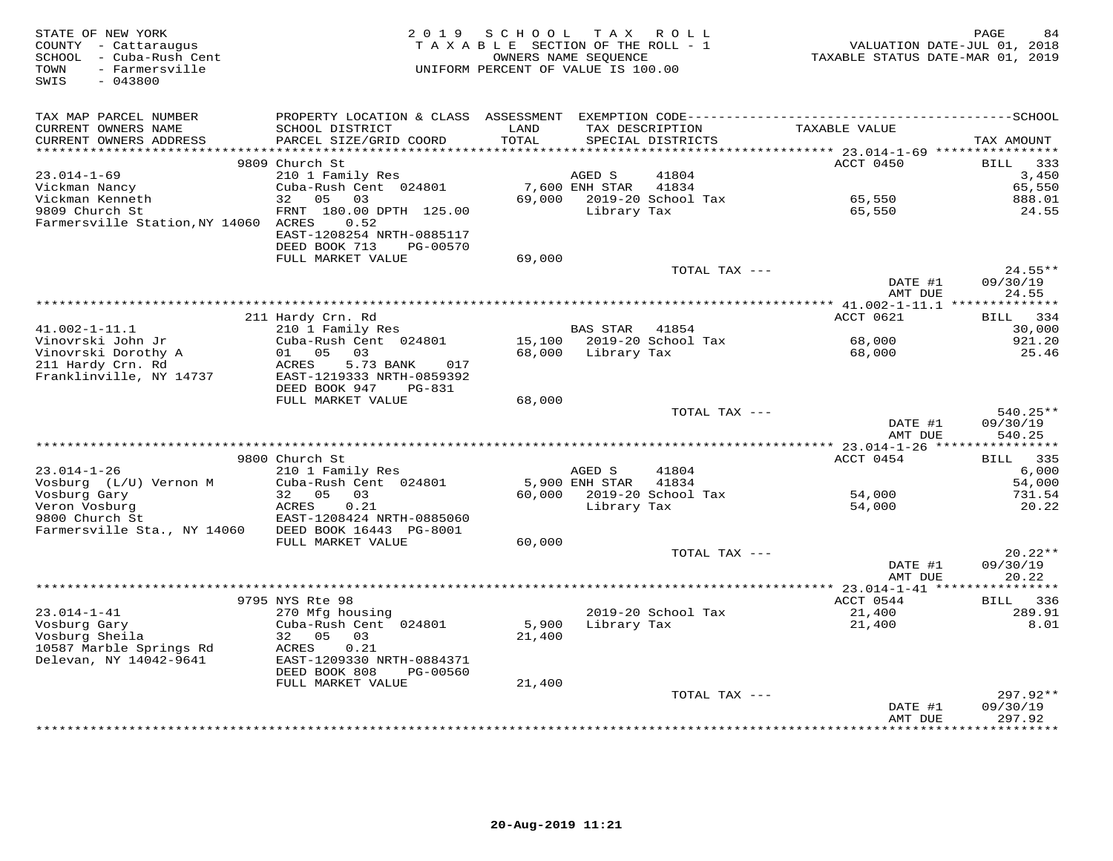| STATE OF NEW YORK<br>COUNTY - Cattaraugus<br>SCHOOL - Cuba-Rush Cent<br>- Farmersville<br>TOWN<br>SWIS<br>$-043800$ | 2 0 1 9                                                | SCHOOL<br>TAXABLE SECTION OF THE ROLL - 1<br>UNIFORM PERCENT OF VALUE IS 100.00 | OWNERS NAME SEQUENCE     | TAX ROLL                             | VALUATION DATE-JUL 01, 2018<br>TAXABLE STATUS DATE-MAR 01, 2019 | PAGE<br>84                   |
|---------------------------------------------------------------------------------------------------------------------|--------------------------------------------------------|---------------------------------------------------------------------------------|--------------------------|--------------------------------------|-----------------------------------------------------------------|------------------------------|
| TAX MAP PARCEL NUMBER                                                                                               |                                                        |                                                                                 |                          |                                      |                                                                 |                              |
| CURRENT OWNERS NAME<br>CURRENT OWNERS ADDRESS<br>*******************                                                | SCHOOL DISTRICT<br>PARCEL SIZE/GRID COORD              | LAND<br>TOTAL<br>*******                                                        |                          | TAX DESCRIPTION<br>SPECIAL DISTRICTS | TAXABLE VALUE                                                   | TAX AMOUNT                   |
|                                                                                                                     | 9809 Church St                                         |                                                                                 |                          |                                      | ******* 23.014-1-69 *****************<br>ACCT 0450              | 333<br>BILL                  |
| $23.014 - 1 - 69$                                                                                                   | 210 1 Family Res                                       |                                                                                 | AGED S                   | 41804                                |                                                                 | 3,450                        |
| Vickman Nancy                                                                                                       | Cuba-Rush Cent 024801                                  |                                                                                 | 7,600 ENH STAR           | 41834                                |                                                                 | 65,550                       |
| Vickman Kenneth                                                                                                     | 05<br>32<br>03                                         |                                                                                 |                          | 69,000 2019-20 School Tax            | 65,550                                                          | 888.01                       |
| 9809 Church St<br>Farmersville Station, NY 14060 ACRES                                                              | FRNT 180.00 DPTH 125.00<br>0.52                        |                                                                                 | Library Tax              |                                      | 65,550                                                          | 24.55                        |
|                                                                                                                     | EAST-1208254 NRTH-0885117<br>DEED BOOK 713<br>PG-00570 |                                                                                 |                          |                                      |                                                                 |                              |
|                                                                                                                     | FULL MARKET VALUE                                      | 69,000                                                                          |                          |                                      |                                                                 |                              |
|                                                                                                                     |                                                        |                                                                                 |                          | TOTAL TAX ---                        | DATE #1<br>AMT DUE                                              | 24.55**<br>09/30/19<br>24.55 |
|                                                                                                                     |                                                        |                                                                                 |                          |                                      |                                                                 |                              |
|                                                                                                                     | 211 Hardy Crn. Rd                                      |                                                                                 |                          |                                      | ACCT 0621                                                       | 334<br>BILL                  |
| $41.002 - 1 - 11.1$                                                                                                 | 210 1 Family Res                                       |                                                                                 | <b>BAS STAR</b>          | 41854                                |                                                                 | 30,000                       |
| Vinovrski John Jr<br>Vinovrski Dorothy A                                                                            | Cuba-Rush Cent 024801<br>01 05<br>03                   | 15,100<br>68,000                                                                | Library Tax              | 2019-20 School Tax                   | 68,000<br>68,000                                                | 921.20<br>25.46              |
| 211 Hardy Crn. Rd<br>Franklinville, NY 14737                                                                        | ACRES<br>5.73 BANK<br>017<br>EAST-1219333 NRTH-0859392 |                                                                                 |                          |                                      |                                                                 |                              |
|                                                                                                                     | DEED BOOK 947<br>PG-831<br>FULL MARKET VALUE           | 68,000                                                                          |                          |                                      |                                                                 |                              |
|                                                                                                                     |                                                        |                                                                                 |                          | TOTAL TAX ---                        |                                                                 | 540.25**                     |
|                                                                                                                     |                                                        |                                                                                 |                          |                                      | DATE #1<br>AMT DUE                                              | 09/30/19<br>540.25           |
|                                                                                                                     |                                                        |                                                                                 |                          |                                      |                                                                 |                              |
|                                                                                                                     | 9800 Church St                                         |                                                                                 |                          |                                      | ACCT 0454                                                       | BILL 335                     |
| $23.014 - 1 - 26$                                                                                                   | 210 1 Family Res                                       |                                                                                 | AGED S<br>5,900 ENH STAR | 41804<br>41834                       |                                                                 | 6,000                        |
| Vosburg (L/U) Vernon M<br>Vosburg Gary                                                                              | Cuba-Rush Cent 024801<br>32 05<br>03                   |                                                                                 |                          | 60,000 2019-20 School Tax            | 54,000                                                          | 54,000<br>731.54             |
| Veron Vosburg                                                                                                       | 0.21<br>ACRES                                          |                                                                                 | Library Tax              |                                      | 54,000                                                          | 20.22                        |
| 9800 Church St<br>Farmersville Sta., NY 14060                                                                       | EAST-1208424 NRTH-0885060<br>DEED BOOK 16443 PG-8001   |                                                                                 |                          |                                      |                                                                 |                              |
|                                                                                                                     | FULL MARKET VALUE                                      | 60,000                                                                          |                          |                                      |                                                                 |                              |
|                                                                                                                     |                                                        |                                                                                 |                          | TOTAL TAX ---                        | DATE #1                                                         | $20.22**$<br>09/30/19        |
|                                                                                                                     |                                                        |                                                                                 |                          |                                      | AMT DUE                                                         | 20.22                        |
|                                                                                                                     | 9795 NYS Rte 98                                        |                                                                                 |                          |                                      | ACCT 0544                                                       | BILL 336                     |
| $23.014 - 1 - 41$                                                                                                   | 270 Mfg housing                                        |                                                                                 |                          | 2019-20 School Tax                   | 21,400                                                          | 289.91                       |
| Vosburg Gary                                                                                                        | Cuba-Rush Cent 024801                                  | 5,900                                                                           | Library Tax              |                                      | 21,400                                                          | 8.01                         |
| Vosburg Sheila                                                                                                      | 05<br>32<br>03                                         | 21,400                                                                          |                          |                                      |                                                                 |                              |
| 10587 Marble Springs Rd                                                                                             | ACRES<br>0.21                                          |                                                                                 |                          |                                      |                                                                 |                              |
| Delevan, NY 14042-9641                                                                                              | EAST-1209330 NRTH-0884371<br>DEED BOOK 808<br>PG-00560 |                                                                                 |                          |                                      |                                                                 |                              |
|                                                                                                                     | FULL MARKET VALUE                                      | 21,400                                                                          |                          |                                      |                                                                 | $297.92**$                   |
|                                                                                                                     |                                                        |                                                                                 |                          | TOTAL TAX ---                        | DATE #1<br>AMT DUE                                              | 09/30/19<br>297.92           |
|                                                                                                                     |                                                        |                                                                                 |                          |                                      |                                                                 |                              |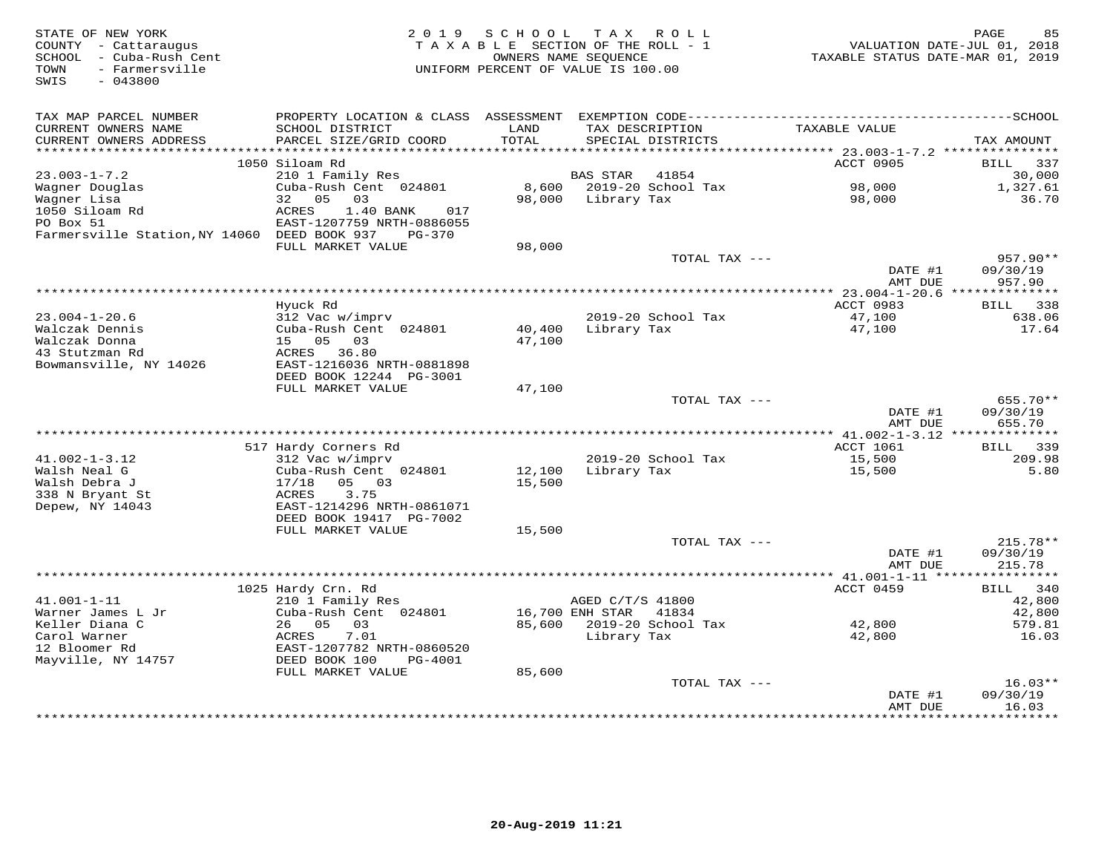| STATE OF NEW YORK<br>COUNTY - Cattaraugus<br>- Cuba-Rush Cent<br>SCHOOL<br>- Farmersville<br>TOWN<br>SWIS<br>$-043800$ | 2 0 1 9                                             | SCHOOL<br>TAXABLE SECTION OF THE ROLL - 1<br>OWNERS NAME SEOUENCE<br>UNIFORM PERCENT OF VALUE IS 100.00 | T A X            | R O L L            | VALUATION DATE-JUL 01, 2018<br>TAXABLE STATUS DATE-MAR 01, 2019 | 85<br>PAGE                 |
|------------------------------------------------------------------------------------------------------------------------|-----------------------------------------------------|---------------------------------------------------------------------------------------------------------|------------------|--------------------|-----------------------------------------------------------------|----------------------------|
|                                                                                                                        |                                                     |                                                                                                         |                  |                    |                                                                 |                            |
| TAX MAP PARCEL NUMBER                                                                                                  |                                                     |                                                                                                         |                  |                    |                                                                 |                            |
| CURRENT OWNERS NAME                                                                                                    | SCHOOL DISTRICT                                     | LAND                                                                                                    | TAX DESCRIPTION  |                    | TAXABLE VALUE                                                   |                            |
| CURRENT OWNERS ADDRESS<br>**********************                                                                       | PARCEL SIZE/GRID COORD<br>************************* | TOTAL                                                                                                   |                  | SPECIAL DISTRICTS  |                                                                 | TAX AMOUNT                 |
|                                                                                                                        | 1050 Siloam Rd                                      |                                                                                                         |                  |                    | ACCT 0905                                                       | <b>BILL</b><br>337         |
| $23.003 - 1 - 7.2$                                                                                                     | 210 1 Family Res                                    |                                                                                                         | <b>BAS STAR</b>  | 41854              |                                                                 | 30,000                     |
| Wagner Douglas                                                                                                         | Cuba-Rush Cent 024801                               | 8,600                                                                                                   |                  | 2019-20 School Tax | 98,000                                                          | 1,327.61                   |
| Wagner Lisa                                                                                                            | 32<br>0.5<br>03                                     | 98,000                                                                                                  | Library Tax      |                    | 98,000                                                          | 36.70                      |
| 1050 Siloam Rd                                                                                                         | ACRES<br>1.40 BANK<br>017                           |                                                                                                         |                  |                    |                                                                 |                            |
| PO Box 51                                                                                                              | EAST-1207759 NRTH-0886055                           |                                                                                                         |                  |                    |                                                                 |                            |
| Farmersville Station, NY 14060 DEED BOOK 937                                                                           | PG-370                                              |                                                                                                         |                  |                    |                                                                 |                            |
|                                                                                                                        | FULL MARKET VALUE                                   | 98,000                                                                                                  |                  |                    |                                                                 |                            |
|                                                                                                                        |                                                     |                                                                                                         |                  | TOTAL TAX ---      | DATE #1                                                         | 957.90**<br>09/30/19       |
|                                                                                                                        |                                                     |                                                                                                         |                  |                    | AMT DUE                                                         | 957.90                     |
|                                                                                                                        |                                                     | ********************************                                                                        |                  |                    | $*$ 23.004-1-20.6                                               | **************             |
|                                                                                                                        | Hyuck Rd                                            |                                                                                                         |                  |                    | ACCT 0983                                                       | <b>BILL</b><br>338         |
| $23.004 - 1 - 20.6$                                                                                                    | 312 Vac w/imprv                                     |                                                                                                         |                  | 2019-20 School Tax | 47,100                                                          | 638.06                     |
| Walczak Dennis                                                                                                         | Cuba-Rush Cent 024801                               | 40,400                                                                                                  | Library Tax      |                    | 47,100                                                          | 17.64                      |
| Walczak Donna                                                                                                          | 15 05<br>03                                         | 47,100                                                                                                  |                  |                    |                                                                 |                            |
| 43 Stutzman Rd<br>Bowmansville, NY 14026                                                                               | ACRES 36.80<br>EAST-1216036 NRTH-0881898            |                                                                                                         |                  |                    |                                                                 |                            |
|                                                                                                                        | DEED BOOK 12244 PG-3001                             |                                                                                                         |                  |                    |                                                                 |                            |
|                                                                                                                        | FULL MARKET VALUE                                   | 47,100                                                                                                  |                  |                    |                                                                 |                            |
|                                                                                                                        |                                                     |                                                                                                         |                  | TOTAL TAX ---      |                                                                 | 655.70**                   |
|                                                                                                                        |                                                     |                                                                                                         |                  |                    | DATE #1                                                         | 09/30/19                   |
|                                                                                                                        |                                                     |                                                                                                         |                  |                    | AMT DUE                                                         | 655.70                     |
|                                                                                                                        |                                                     |                                                                                                         |                  |                    | *** 41.002-1-3.12 **************                                |                            |
| $41.002 - 1 - 3.12$                                                                                                    | 517 Hardy Corners Rd<br>312 Vac w/imprv             |                                                                                                         |                  | 2019-20 School Tax | <b>ACCT 1061</b><br>15,500                                      | 339<br>BILL<br>209.98      |
| Walsh Neal G                                                                                                           | Cuba-Rush Cent 024801                               | 12,100                                                                                                  | Library Tax      |                    | 15,500                                                          | 5.80                       |
| Walsh Debra J                                                                                                          | 17/18<br>05<br>03                                   | 15,500                                                                                                  |                  |                    |                                                                 |                            |
| 338 N Bryant St                                                                                                        | ACRES<br>3.75                                       |                                                                                                         |                  |                    |                                                                 |                            |
| Depew, NY 14043                                                                                                        | EAST-1214296 NRTH-0861071                           |                                                                                                         |                  |                    |                                                                 |                            |
|                                                                                                                        | DEED BOOK 19417 PG-7002                             |                                                                                                         |                  |                    |                                                                 |                            |
|                                                                                                                        | FULL MARKET VALUE                                   | 15,500                                                                                                  |                  |                    |                                                                 |                            |
|                                                                                                                        |                                                     |                                                                                                         |                  | TOTAL TAX ---      | DATE #1                                                         | $215.78**$<br>09/30/19     |
|                                                                                                                        |                                                     |                                                                                                         |                  |                    | AMT DUE                                                         | 215.78                     |
|                                                                                                                        |                                                     |                                                                                                         |                  |                    | ********** 41.001-1-11 *****                                    | * * * * * * * * * * *      |
|                                                                                                                        | 1025 Hardy Crn. Rd                                  |                                                                                                         |                  |                    | ACCT 0459                                                       | 340<br>BILL                |
| $41.001 - 1 - 11$                                                                                                      | 210 1 Family Res                                    |                                                                                                         | AGED C/T/S 41800 |                    |                                                                 | 42,800                     |
| Warner James L Jr                                                                                                      | Cuba-Rush Cent 024801                               |                                                                                                         | 16,700 ENH STAR  | 41834              |                                                                 | 42,800                     |
| Keller Diana C                                                                                                         | 05<br>26<br>03                                      | 85,600                                                                                                  |                  | 2019-20 School Tax | 42,800                                                          | 579.81                     |
| Carol Warner<br>12 Bloomer Rd                                                                                          | 7.01<br>ACRES<br>EAST-1207782 NRTH-0860520          |                                                                                                         | Library Tax      |                    | 42,800                                                          | 16.03                      |
| Mayville, NY 14757                                                                                                     | DEED BOOK 100<br><b>PG-4001</b>                     |                                                                                                         |                  |                    |                                                                 |                            |
|                                                                                                                        | FULL MARKET VALUE                                   | 85,600                                                                                                  |                  |                    |                                                                 |                            |
|                                                                                                                        |                                                     |                                                                                                         |                  | TOTAL TAX ---      |                                                                 | $16.03**$                  |
|                                                                                                                        |                                                     |                                                                                                         |                  |                    | DATE #1                                                         | 09/30/19                   |
|                                                                                                                        |                                                     |                                                                                                         |                  |                    | AMT DUE<br>********                                             | 16.03<br>* * * * * * * * * |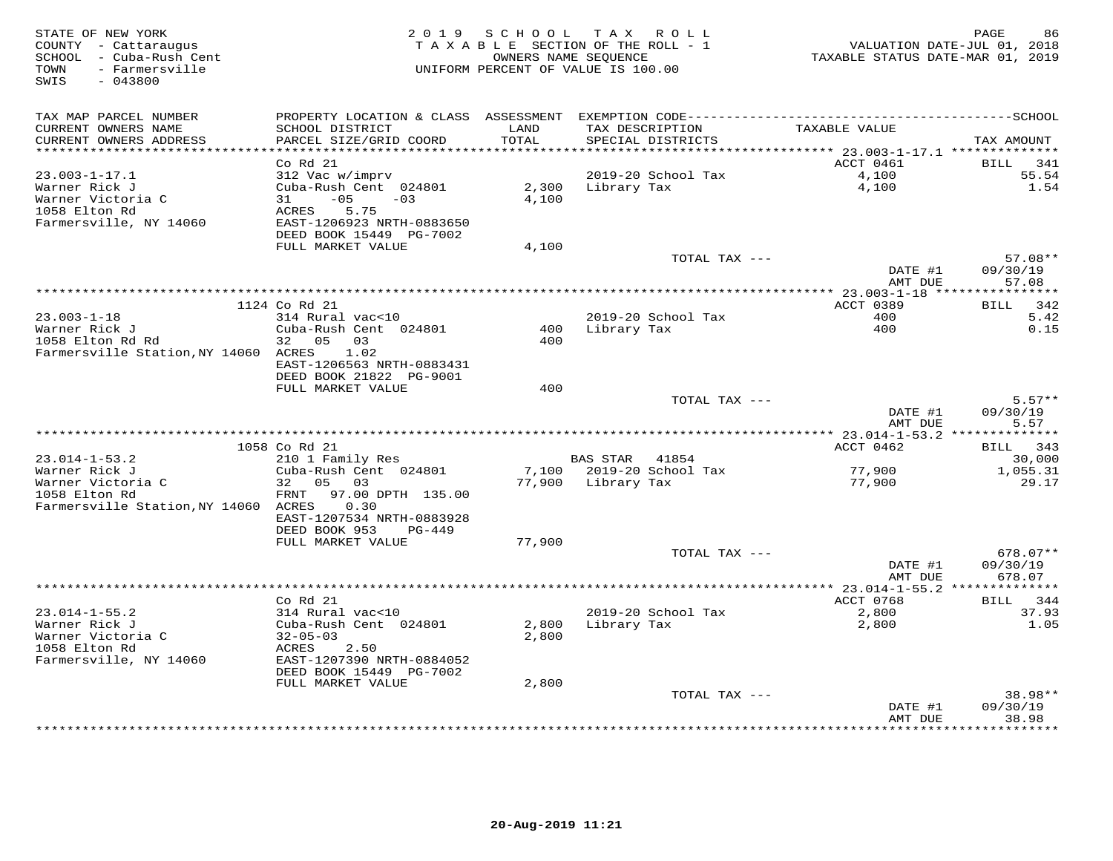| STATE OF NEW YORK<br>COUNTY - Cattaraugus<br>SCHOOL - Cuba-Rush Cent<br>- Farmersville<br>TOWN<br>SWIS<br>$-043800$ | 2 0 1 9                                                                                                                                                      | SCHOOL<br>TAXABLE SECTION OF THE ROLL - 1<br>UNIFORM PERCENT OF VALUE IS 100.00 | TAX ROLL<br>OWNERS NAME SEQUENCE     |                             | TAXABLE STATUS DATE-MAR 01, 2019          | PAGE<br>86<br>VALUATION DATE-JUL 01, 2018 |
|---------------------------------------------------------------------------------------------------------------------|--------------------------------------------------------------------------------------------------------------------------------------------------------------|---------------------------------------------------------------------------------|--------------------------------------|-----------------------------|-------------------------------------------|-------------------------------------------|
| TAX MAP PARCEL NUMBER<br>CURRENT OWNERS NAME<br>CURRENT OWNERS ADDRESS                                              | SCHOOL DISTRICT<br>PARCEL SIZE/GRID COORD                                                                                                                    | LAND<br>TOTAL                                                                   | TAX DESCRIPTION<br>SPECIAL DISTRICTS |                             | TAXABLE VALUE                             | TAX AMOUNT                                |
| *********************                                                                                               |                                                                                                                                                              | *******                                                                         |                                      |                             | *********** 23.003-1-17.1 *************** |                                           |
| $23.003 - 1 - 17.1$<br>Warner Rick J<br>Warner Victoria C<br>1058 Elton Rd<br>Farmersville, NY 14060                | Co Rd 21<br>312 Vac w/imprv<br>Cuba-Rush Cent 024801<br>$-05$<br>31<br>$-03$<br><b>ACRES</b><br>5.75<br>EAST-1206923 NRTH-0883650<br>DEED BOOK 15449 PG-7002 | 2,300<br>4,100                                                                  | Library Tax                          | 2019-20 School Tax          | ACCT 0461<br>4,100<br>4,100               | BILL<br>341<br>55.54<br>1.54              |
|                                                                                                                     | FULL MARKET VALUE                                                                                                                                            | 4,100                                                                           |                                      |                             |                                           |                                           |
|                                                                                                                     |                                                                                                                                                              |                                                                                 |                                      | TOTAL TAX ---               | DATE #1<br>AMT DUE                        | 57.08**<br>09/30/19<br>57.08              |
|                                                                                                                     |                                                                                                                                                              | *************************************                                           |                                      |                             | *** 23.003-1-18 ****************          |                                           |
|                                                                                                                     | 1124 Co Rd 21                                                                                                                                                |                                                                                 |                                      |                             | ACCT 0389                                 | 342<br><b>BILL</b>                        |
| $23.003 - 1 - 18$<br>Warner Rick J                                                                                  | 314 Rural vac<10<br>Cuba-Rush Cent 024801                                                                                                                    | 400                                                                             | Library Tax                          | 2019-20 School Tax          | 400<br>400                                | 5.42<br>0.15                              |
| 1058 Elton Rd Rd<br>Farmersville Station, NY 14060 ACRES                                                            | 32 05 03<br>1.02<br>EAST-1206563 NRTH-0883431<br>DEED BOOK 21822 PG-9001<br>FULL MARKET VALUE                                                                | 400<br>400                                                                      |                                      |                             |                                           |                                           |
|                                                                                                                     |                                                                                                                                                              |                                                                                 |                                      | TOTAL TAX ---               |                                           | $5.57**$                                  |
|                                                                                                                     |                                                                                                                                                              |                                                                                 |                                      |                             | DATE #1<br>AMT DUE                        | 09/30/19<br>5.57                          |
|                                                                                                                     |                                                                                                                                                              |                                                                                 |                                      |                             |                                           |                                           |
|                                                                                                                     | 1058 Co Rd 21                                                                                                                                                |                                                                                 |                                      |                             | ACCT 0462                                 | 343<br>BILL                               |
| $23.014 - 1 - 53.2$<br>Warner Rick J                                                                                | 210 1 Family Res<br>Cuba-Rush Cent 024801                                                                                                                    | 7,100                                                                           | <b>BAS STAR</b>                      | 41854<br>2019-20 School Tax | 77,900                                    | 30,000<br>1,055.31                        |
| Warner Victoria C<br>1058 Elton Rd<br>Farmersville Station, NY 14060 ACRES                                          | 32<br>05 03<br>FRNT<br>97.00 DPTH 135.00<br>0.30                                                                                                             | 77,900                                                                          | Library Tax                          |                             | 77,900                                    | 29.17                                     |
|                                                                                                                     | EAST-1207534 NRTH-0883928<br>DEED BOOK 953<br>$PG-449$                                                                                                       |                                                                                 |                                      |                             |                                           |                                           |
|                                                                                                                     | FULL MARKET VALUE                                                                                                                                            | 77,900                                                                          |                                      | TOTAL TAX ---               |                                           | $678.07**$                                |
|                                                                                                                     |                                                                                                                                                              |                                                                                 |                                      |                             | DATE #1<br>AMT DUE                        | 09/30/19<br>678.07                        |
|                                                                                                                     |                                                                                                                                                              | **********************************                                              |                                      |                             | **** 23.014-1-55.2                        |                                           |
|                                                                                                                     | Co Rd 21                                                                                                                                                     |                                                                                 |                                      |                             | ACCT 0768                                 | 344<br><b>BILL</b>                        |
| $23.014 - 1 - 55.2$                                                                                                 | 314 Rural vac<10                                                                                                                                             |                                                                                 |                                      | 2019-20 School Tax          | 2,800                                     | 37.93                                     |
| Warner Rick J<br>Warner Victoria C                                                                                  | Cuba-Rush Cent 024801<br>$32 - 05 - 03$                                                                                                                      | 2,800<br>2,800                                                                  | Library Tax                          |                             | 2,800                                     | 1.05                                      |
| 1058 Elton Rd<br>Farmersville, NY 14060                                                                             | ACRES<br>2.50<br>EAST-1207390 NRTH-0884052                                                                                                                   |                                                                                 |                                      |                             |                                           |                                           |
|                                                                                                                     | DEED BOOK 15449 PG-7002                                                                                                                                      |                                                                                 |                                      |                             |                                           |                                           |
|                                                                                                                     | FULL MARKET VALUE                                                                                                                                            | 2,800                                                                           |                                      |                             |                                           |                                           |
|                                                                                                                     |                                                                                                                                                              |                                                                                 |                                      | TOTAL TAX ---               |                                           | 38.98**<br>09/30/19                       |
|                                                                                                                     |                                                                                                                                                              |                                                                                 |                                      |                             | DATE #1<br>AMT DUE                        | 38.98<br>* * * * * * *                    |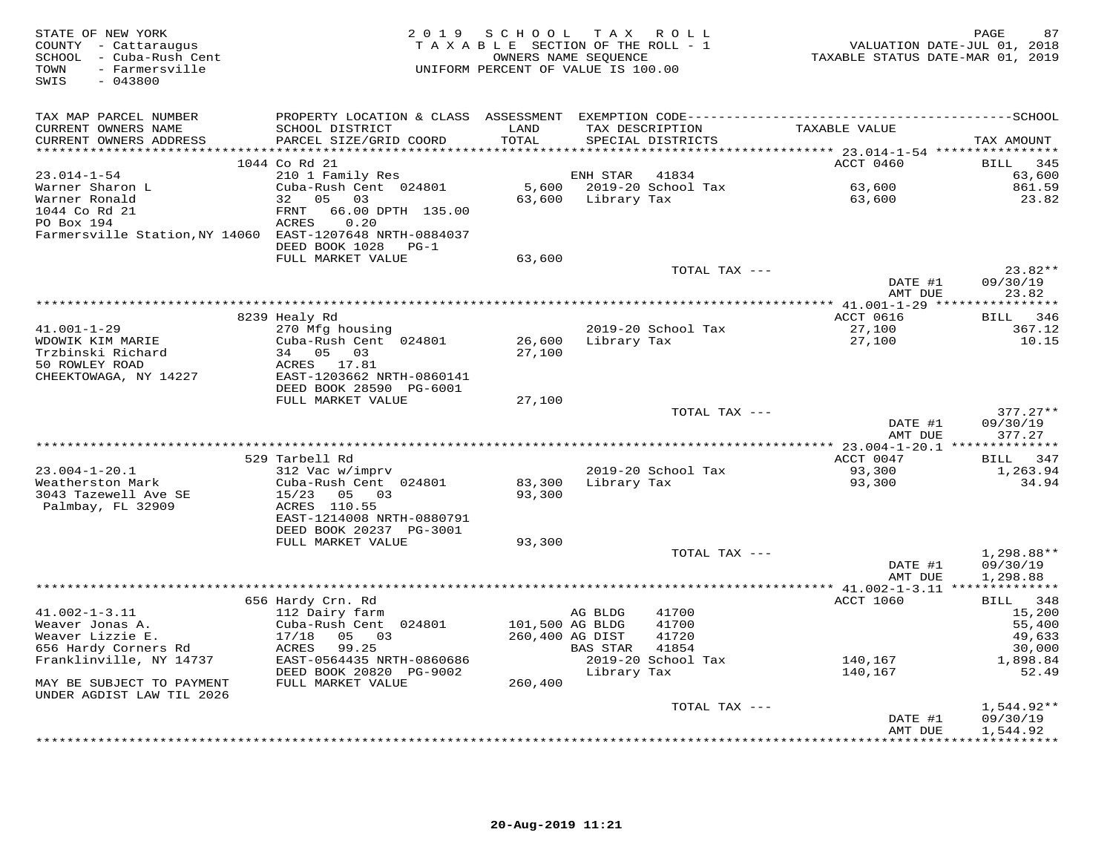| STATE OF NEW YORK<br>COUNTY - Cattaraugus<br>SCHOOL - Cuba-Rush Cent<br>- Farmersville<br>TOWN<br>$-043800$<br>SWIS | 2 0 1 9                                   | SCHOOL          | TAX ROLL<br>TAXABLE SECTION OF THE ROLL - 1<br>OWNERS NAME SEOUENCE<br>UNIFORM PERCENT OF VALUE IS 100.00 | VALUATION DATE-JUL 01, 2018<br>TAXABLE STATUS DATE-MAR 01, 2019 | 87<br>PAGE                    |
|---------------------------------------------------------------------------------------------------------------------|-------------------------------------------|-----------------|-----------------------------------------------------------------------------------------------------------|-----------------------------------------------------------------|-------------------------------|
| TAX MAP PARCEL NUMBER                                                                                               |                                           |                 |                                                                                                           |                                                                 |                               |
| CURRENT OWNERS NAME<br>CURRENT OWNERS ADDRESS                                                                       | SCHOOL DISTRICT<br>PARCEL SIZE/GRID COORD | LAND<br>TOTAL   | TAX DESCRIPTION<br>SPECIAL DISTRICTS                                                                      | TAXABLE VALUE                                                   | TAX AMOUNT                    |
|                                                                                                                     | 1044 Co Rd 21                             |                 |                                                                                                           | ACCT 0460                                                       | 345<br>BILL                   |
| $23.014 - 1 - 54$                                                                                                   | 210 1 Family Res                          |                 | ENH STAR<br>41834                                                                                         |                                                                 | 63,600                        |
| Warner Sharon L                                                                                                     | Cuba-Rush Cent 024801                     |                 | 5,600 2019-20 School Tax                                                                                  | 63,600                                                          | 861.59                        |
| Warner Ronald                                                                                                       | 32 05<br>03                               |                 | 63,600 Library Tax                                                                                        | 63,600                                                          | 23.82                         |
| 1044 Co Rd 21                                                                                                       | FRNT<br>66.00 DPTH 135.00                 |                 |                                                                                                           |                                                                 |                               |
| PO Box 194                                                                                                          | 0.20<br>ACRES                             |                 |                                                                                                           |                                                                 |                               |
| Farmersville Station, NY 14060 EAST-1207648 NRTH-0884037                                                            |                                           |                 |                                                                                                           |                                                                 |                               |
|                                                                                                                     | DEED BOOK 1028 PG-1                       |                 |                                                                                                           |                                                                 |                               |
|                                                                                                                     | FULL MARKET VALUE                         | 63,600          |                                                                                                           |                                                                 |                               |
|                                                                                                                     |                                           |                 | TOTAL TAX ---                                                                                             |                                                                 | $23.82**$                     |
|                                                                                                                     |                                           |                 |                                                                                                           | DATE #1                                                         | 09/30/19                      |
|                                                                                                                     |                                           |                 |                                                                                                           | AMT DUE                                                         | 23.82                         |
|                                                                                                                     | 8239 Healy Rd                             |                 |                                                                                                           | ACCT 0616                                                       | BILL 346                      |
| $41.001 - 1 - 29$                                                                                                   | 270 Mfg housing                           |                 | 2019-20 School Tax                                                                                        | 27,100                                                          | 367.12                        |
| WDOWIK KIM MARIE                                                                                                    | Cuba-Rush Cent 024801                     | 26,600          | Library Tax                                                                                               | 27,100                                                          | 10.15                         |
| Trzbinski Richard                                                                                                   | 34 05<br>03                               | 27,100          |                                                                                                           |                                                                 |                               |
| 50 ROWLEY ROAD                                                                                                      | ACRES 17.81                               |                 |                                                                                                           |                                                                 |                               |
| CHEEKTOWAGA, NY 14227                                                                                               | EAST-1203662 NRTH-0860141                 |                 |                                                                                                           |                                                                 |                               |
|                                                                                                                     | DEED BOOK 28590 PG-6001                   |                 |                                                                                                           |                                                                 |                               |
|                                                                                                                     | FULL MARKET VALUE                         | 27,100          |                                                                                                           |                                                                 |                               |
|                                                                                                                     |                                           |                 | TOTAL TAX ---                                                                                             |                                                                 | $377.27**$                    |
|                                                                                                                     |                                           |                 |                                                                                                           | DATE #1                                                         | 09/30/19                      |
|                                                                                                                     |                                           |                 |                                                                                                           | AMT DUE                                                         | 377.27                        |
|                                                                                                                     | 529 Tarbell Rd                            |                 |                                                                                                           | ACCT 0047                                                       | BILL 347                      |
| $23.004 - 1 - 20.1$                                                                                                 | 312 Vac w/imprv                           |                 | 2019-20 School Tax                                                                                        | 93,300                                                          | 1,263.94                      |
| Weatherston Mark                                                                                                    | Cuba-Rush Cent 024801                     | 83,300          | Library Tax                                                                                               | 93,300                                                          | 34.94                         |
| 3043 Tazewell Ave SE                                                                                                | 15/23 05 03                               | 93,300          |                                                                                                           |                                                                 |                               |
| Palmbay, FL 32909                                                                                                   | ACRES 110.55                              |                 |                                                                                                           |                                                                 |                               |
|                                                                                                                     | EAST-1214008 NRTH-0880791                 |                 |                                                                                                           |                                                                 |                               |
|                                                                                                                     | DEED BOOK 20237 PG-3001                   |                 |                                                                                                           |                                                                 |                               |
|                                                                                                                     | FULL MARKET VALUE                         | 93,300          |                                                                                                           |                                                                 |                               |
|                                                                                                                     |                                           |                 | TOTAL TAX ---                                                                                             |                                                                 | 1,298.88**                    |
|                                                                                                                     |                                           |                 |                                                                                                           | DATE #1                                                         | 09/30/19                      |
|                                                                                                                     |                                           |                 |                                                                                                           | AMT DUE                                                         | 1,298.88                      |
|                                                                                                                     |                                           |                 |                                                                                                           |                                                                 |                               |
| $41.002 - 1 - 3.11$                                                                                                 | 656 Hardy Crn. Rd<br>112 Dairy farm       |                 | 41700<br>AG BLDG                                                                                          | ACCT 1060                                                       | BILL 348<br>15,200            |
| Weaver Jonas A.                                                                                                     | Cuba-Rush Cent 024801                     | 101,500 AG BLDG | 41700                                                                                                     |                                                                 | 55,400                        |
| Weaver Lizzie E.                                                                                                    | 17/18<br>05 03                            | 260,400 AG DIST | 41720                                                                                                     |                                                                 | 49,633                        |
| 656 Hardy Corners Rd                                                                                                | ACRES<br>99.25                            |                 | BAS STAR<br>41854                                                                                         |                                                                 | 30,000                        |
| Franklinville, NY 14737                                                                                             | EAST-0564435 NRTH-0860686                 |                 | 2019-20 School Tax                                                                                        | 140,167                                                         | 1,898.84                      |
|                                                                                                                     | DEED BOOK 20820 PG-9002                   |                 | Library Tax                                                                                               | 140,167                                                         | 52.49                         |
| MAY BE SUBJECT TO PAYMENT                                                                                           | FULL MARKET VALUE                         | 260,400         |                                                                                                           |                                                                 |                               |
| UNDER AGDIST LAW TIL 2026                                                                                           |                                           |                 |                                                                                                           |                                                                 |                               |
|                                                                                                                     |                                           |                 | TOTAL TAX ---                                                                                             |                                                                 | 1,544.92**                    |
|                                                                                                                     |                                           |                 |                                                                                                           | DATE #1                                                         | 09/30/19                      |
|                                                                                                                     |                                           |                 |                                                                                                           | AMT DUE                                                         | 1,544.92<br><b>++++++++++</b> |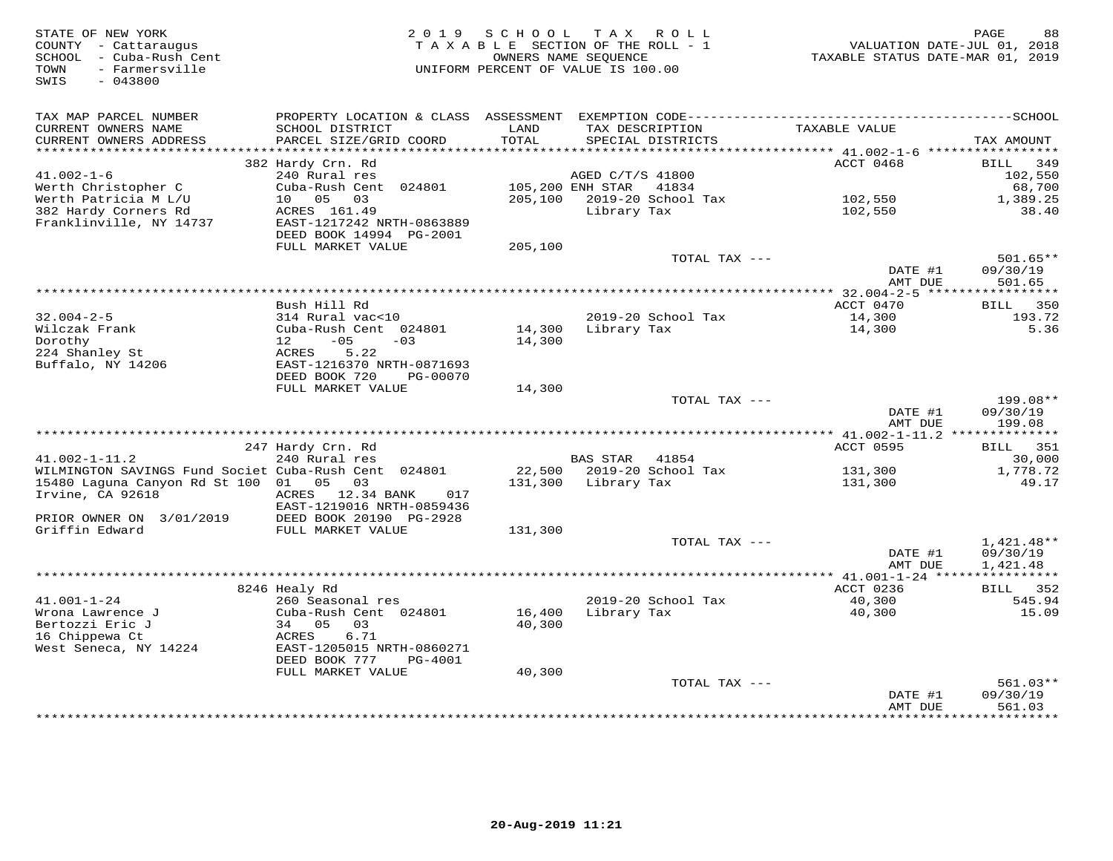| STATE OF NEW YORK<br>COUNTY - Cattaraugus<br>SCHOOL - Cuba-Rush Cent<br>- Farmersville<br>TOWN<br>SWIS<br>$-043800$ | 2 0 1 9                                                | SCHOOL        | TAX ROLL<br>TAXABLE SECTION OF THE ROLL - 1<br>OWNERS NAME SEQUENCE<br>UNIFORM PERCENT OF VALUE IS 100.00 |                     | PAGE<br>88<br>VALUATION DATE-JUL 01, 2018<br>TAXABLE STATUS DATE-MAR 01, 2019 |
|---------------------------------------------------------------------------------------------------------------------|--------------------------------------------------------|---------------|-----------------------------------------------------------------------------------------------------------|---------------------|-------------------------------------------------------------------------------|
| TAX MAP PARCEL NUMBER                                                                                               |                                                        |               |                                                                                                           |                     |                                                                               |
| CURRENT OWNERS NAME<br>CURRENT OWNERS ADDRESS<br>**********************                                             | SCHOOL DISTRICT<br>PARCEL SIZE/GRID COORD              | LAND<br>TOTAL | TAX DESCRIPTION<br>SPECIAL DISTRICTS                                                                      | TAXABLE VALUE       | TAX AMOUNT                                                                    |
|                                                                                                                     | 382 Hardy Crn. Rd                                      |               |                                                                                                           | ACCT 0468           | 349<br>BILL                                                                   |
| $41.002 - 1 - 6$                                                                                                    | 240 Rural res                                          |               | AGED C/T/S 41800                                                                                          |                     | 102,550                                                                       |
| Werth Christopher C                                                                                                 | Cuba-Rush Cent 024801                                  |               | 105,200 ENH STAR<br>41834                                                                                 |                     | 68,700                                                                        |
| Werth Patricia M L/U                                                                                                | 10  05  03                                             | 205,100       | 2019-20 School Tax                                                                                        | 102,550             | 1,389.25                                                                      |
| 382 Hardy Corners Rd                                                                                                | ACRES 161.49                                           |               | Library Tax                                                                                               | 102,550             | 38.40                                                                         |
| Franklinville, NY 14737                                                                                             | EAST-1217242 NRTH-0863889<br>DEED BOOK 14994 PG-2001   |               |                                                                                                           |                     |                                                                               |
|                                                                                                                     | FULL MARKET VALUE                                      | 205,100       |                                                                                                           |                     |                                                                               |
|                                                                                                                     |                                                        |               | TOTAL TAX ---                                                                                             |                     | $501.65**$                                                                    |
|                                                                                                                     |                                                        |               |                                                                                                           | DATE #1             | 09/30/19                                                                      |
|                                                                                                                     |                                                        |               |                                                                                                           | AMT DUE             | 501.65                                                                        |
|                                                                                                                     | Bush Hill Rd                                           |               |                                                                                                           | ACCT 0470           | BILL<br>350                                                                   |
| $32.004 - 2 - 5$                                                                                                    | 314 Rural vac<10                                       |               | 2019-20 School Tax                                                                                        | 14,300              | 193.72                                                                        |
| Wilczak Frank                                                                                                       | Cuba-Rush Cent 024801                                  | 14,300        | Library Tax                                                                                               | 14,300              | 5.36                                                                          |
| Dorothy                                                                                                             | 12<br>$-05$<br>$-03$                                   | 14,300        |                                                                                                           |                     |                                                                               |
| 224 Shanley St                                                                                                      | ACRES<br>5.22                                          |               |                                                                                                           |                     |                                                                               |
| Buffalo, NY 14206                                                                                                   | EAST-1216370 NRTH-0871693<br>DEED BOOK 720<br>PG-00070 |               |                                                                                                           |                     |                                                                               |
|                                                                                                                     | FULL MARKET VALUE                                      | 14,300        |                                                                                                           |                     |                                                                               |
|                                                                                                                     |                                                        |               | TOTAL TAX ---                                                                                             |                     | 199.08**                                                                      |
|                                                                                                                     |                                                        |               |                                                                                                           | DATE #1             | 09/30/19                                                                      |
|                                                                                                                     |                                                        |               |                                                                                                           | AMT DUE             | 199.08                                                                        |
|                                                                                                                     | 247 Hardy Crn. Rd                                      |               |                                                                                                           | <b>ACCT 0595</b>    | BILL 351                                                                      |
| $41.002 - 1 - 11.2$                                                                                                 | 240 Rural res                                          |               | <b>BAS STAR</b><br>41854                                                                                  |                     | 30,000                                                                        |
| WILMINGTON SAVINGS Fund Societ Cuba-Rush Cent 024801                                                                |                                                        |               | 22,500 2019-20 School Tax                                                                                 | 131,300             | 1,778.72                                                                      |
| 15480 Laguna Canyon Rd St 100 01 05 03                                                                              |                                                        | 131,300       | Library Tax                                                                                               | 131,300             | 49.17                                                                         |
| Irvine, CA 92618                                                                                                    | ACRES 12.34 BANK<br>017                                |               |                                                                                                           |                     |                                                                               |
|                                                                                                                     | EAST-1219016 NRTH-0859436<br>DEED BOOK 20190 PG-2928   |               |                                                                                                           |                     |                                                                               |
| PRIOR OWNER ON 3/01/2019<br>Griffin Edward                                                                          | FULL MARKET VALUE                                      | 131,300       |                                                                                                           |                     |                                                                               |
|                                                                                                                     |                                                        |               | TOTAL TAX ---                                                                                             |                     | $1,421.48**$                                                                  |
|                                                                                                                     |                                                        |               |                                                                                                           | DATE #1             | 09/30/19                                                                      |
|                                                                                                                     |                                                        |               |                                                                                                           | AMT DUE             | 1,421.48                                                                      |
|                                                                                                                     |                                                        |               |                                                                                                           |                     |                                                                               |
| $41.001 - 1 - 24$                                                                                                   | 8246 Healy Rd<br>260 Seasonal res                      |               | 2019-20 School Tax                                                                                        | ACCT 0236<br>40,300 | 352<br>BILL<br>545.94                                                         |
| Wrona Lawrence J                                                                                                    | Cuba-Rush Cent 024801                                  | 16,400        | Library Tax                                                                                               | 40,300              | 15.09                                                                         |
| Bertozzi Eric J                                                                                                     | 34 05<br>03                                            | 40,300        |                                                                                                           |                     |                                                                               |
| 16 Chippewa Ct                                                                                                      | 6.71<br>ACRES                                          |               |                                                                                                           |                     |                                                                               |
| West Seneca, NY 14224                                                                                               | EAST-1205015 NRTH-0860271                              |               |                                                                                                           |                     |                                                                               |
|                                                                                                                     | DEED BOOK 777<br>PG-4001<br>FULL MARKET VALUE          | 40,300        |                                                                                                           |                     |                                                                               |
|                                                                                                                     |                                                        |               | TOTAL TAX ---                                                                                             |                     | $561.03**$                                                                    |
|                                                                                                                     |                                                        |               |                                                                                                           | DATE #1             | 09/30/19                                                                      |
|                                                                                                                     |                                                        |               |                                                                                                           | AMT DUE             | 561.03                                                                        |
|                                                                                                                     |                                                        |               |                                                                                                           |                     | <b>++++++++</b>                                                               |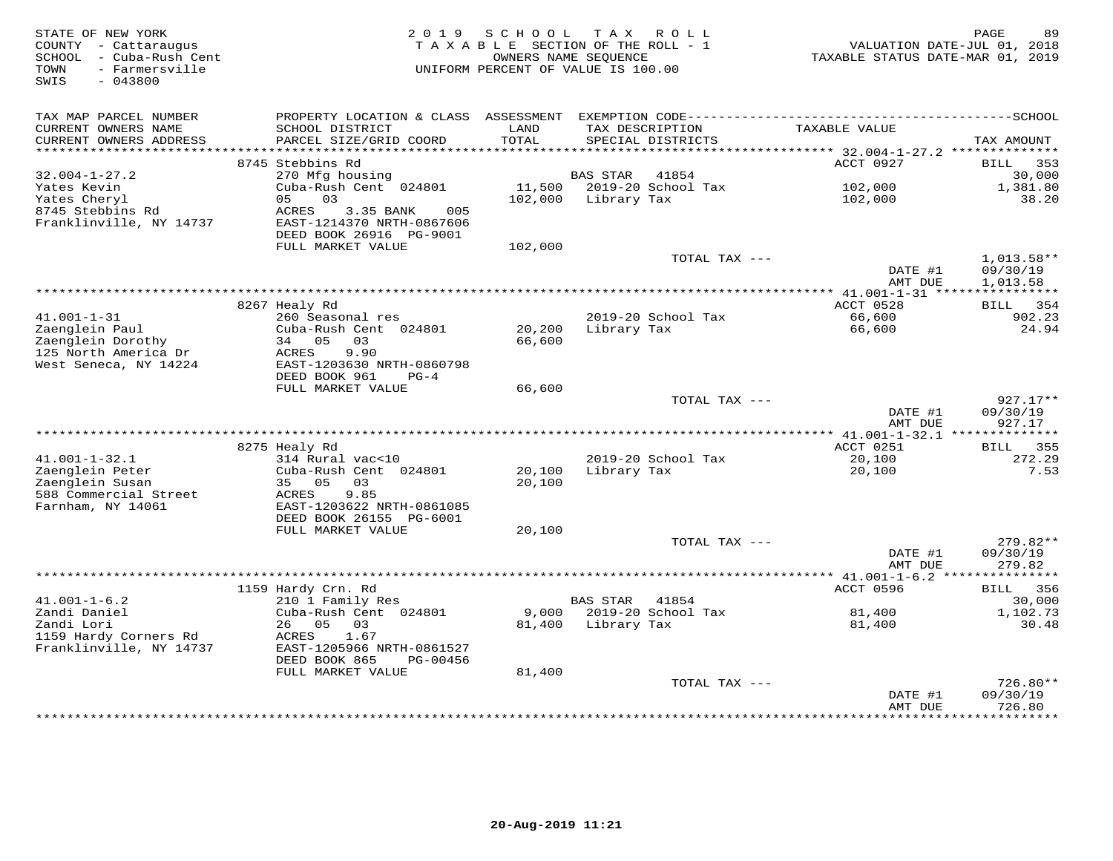| STATE OF NEW YORK<br>COUNTY - Cattaraugus<br>- Cuba-Rush Cent<br>SCHOOL<br>- Farmersville<br>TOWN<br>SWIS<br>$-043800$ | 2 0 1 9                                                                           | SCHOOL               | T A X<br>R O L L<br>TAXABLE SECTION OF THE ROLL - 1<br>OWNERS NAME SEQUENCE<br>UNIFORM PERCENT OF VALUE IS 100.00 | VALUATION DATE-JUL 01, 2018<br>TAXABLE STATUS DATE-MAR 01, 2019 | PAGE<br>89            |
|------------------------------------------------------------------------------------------------------------------------|-----------------------------------------------------------------------------------|----------------------|-------------------------------------------------------------------------------------------------------------------|-----------------------------------------------------------------|-----------------------|
| TAX MAP PARCEL NUMBER<br>CURRENT OWNERS NAME                                                                           | PROPERTY LOCATION & CLASS ASSESSMENT<br>SCHOOL DISTRICT<br>PARCEL SIZE/GRID COORD | LAND<br><b>TOTAL</b> | TAX DESCRIPTION                                                                                                   | TAXABLE VALUE                                                   |                       |
| CURRENT OWNERS ADDRESS<br>**********************                                                                       |                                                                                   |                      | SPECIAL DISTRICTS                                                                                                 |                                                                 | TAX AMOUNT            |
|                                                                                                                        | 8745 Stebbins Rd                                                                  |                      |                                                                                                                   | ACCT 0927                                                       | 353<br><b>BILL</b>    |
| $32.004 - 1 - 27.2$                                                                                                    | 270 Mfg housing                                                                   |                      | <b>BAS STAR</b><br>41854                                                                                          |                                                                 | 30,000                |
| Yates Kevin                                                                                                            | Cuba-Rush Cent 024801                                                             | 11,500               | 2019-20 School Tax                                                                                                | 102,000                                                         | 1,381.80              |
| Yates Cheryl                                                                                                           | 0.3<br>0.5                                                                        | 102,000              | Library Tax                                                                                                       | 102,000                                                         | 38.20                 |
| 8745 Stebbins Rd<br>Franklinville, NY 14737                                                                            | ACRES<br>3.35 BANK<br>005<br>EAST-1214370 NRTH-0867606                            |                      |                                                                                                                   |                                                                 |                       |
|                                                                                                                        | DEED BOOK 26916 PG-9001                                                           |                      |                                                                                                                   |                                                                 |                       |
|                                                                                                                        | FULL MARKET VALUE                                                                 | 102,000              | TOTAL TAX ---                                                                                                     |                                                                 | $1,013.58**$          |
|                                                                                                                        |                                                                                   |                      |                                                                                                                   | DATE #1                                                         | 09/30/19              |
|                                                                                                                        |                                                                                   |                      |                                                                                                                   | AMT DUE                                                         | 1,013.58              |
|                                                                                                                        | ***************                                                                   |                      | *********************************                                                                                 | ** $41.001 - 1 - 31$ *****                                      | * * * * * * * * * * * |
|                                                                                                                        | 8267 Healy Rd                                                                     |                      |                                                                                                                   | ACCT 0528                                                       | BILL<br>354           |
| $41.001 - 1 - 31$<br>Zaenglein Paul                                                                                    | 260 Seasonal res                                                                  | 20,200               | 2019-20 School Tax                                                                                                | 66,600                                                          | 902.23<br>24.94       |
| Zaenglein Dorothy                                                                                                      | Cuba-Rush Cent 024801<br>34 05<br>03                                              | 66,600               | Library Tax                                                                                                       | 66,600                                                          |                       |
| 125 North America Dr                                                                                                   | 9.90<br>ACRES                                                                     |                      |                                                                                                                   |                                                                 |                       |
| West Seneca, NY 14224                                                                                                  | EAST-1203630 NRTH-0860798                                                         |                      |                                                                                                                   |                                                                 |                       |
|                                                                                                                        | DEED BOOK 961<br>$PG-4$                                                           |                      |                                                                                                                   |                                                                 |                       |
|                                                                                                                        | FULL MARKET VALUE                                                                 | 66,600               | TOTAL TAX ---                                                                                                     |                                                                 | $927.17**$            |
|                                                                                                                        |                                                                                   |                      |                                                                                                                   | DATE #1                                                         | 09/30/19              |
|                                                                                                                        |                                                                                   |                      |                                                                                                                   | AMT DUE<br>** 41.001-1-32.1 ***************                     | 927.17                |
|                                                                                                                        | 8275 Healy Rd                                                                     |                      |                                                                                                                   | ACCT 0251                                                       | 355<br><b>BILL</b>    |
| $41.001 - 1 - 32.1$                                                                                                    | 314 Rural vac<10                                                                  |                      | 2019-20 School Tax                                                                                                | 20,100                                                          | 272.29                |
| Zaenglein Peter                                                                                                        | Cuba-Rush Cent 024801                                                             | 20,100               | Library Tax                                                                                                       | 20,100                                                          | 7.53                  |
| Zaenglein Susan                                                                                                        | 35 05<br>03                                                                       | 20,100               |                                                                                                                   |                                                                 |                       |
| 588 Commercial Street<br>Farnham, NY 14061                                                                             | 9.85<br>ACRES<br>EAST-1203622 NRTH-0861085                                        |                      |                                                                                                                   |                                                                 |                       |
|                                                                                                                        | DEED BOOK 26155 PG-6001                                                           |                      |                                                                                                                   |                                                                 |                       |
|                                                                                                                        | FULL MARKET VALUE                                                                 | 20,100               |                                                                                                                   |                                                                 |                       |
|                                                                                                                        |                                                                                   |                      | TOTAL TAX ---                                                                                                     |                                                                 | 279.82**              |
|                                                                                                                        |                                                                                   |                      |                                                                                                                   | DATE #1                                                         | 09/30/19              |
|                                                                                                                        |                                                                                   |                      |                                                                                                                   | AMT DUE                                                         | 279.82                |
|                                                                                                                        | 1159 Hardy Crn. Rd                                                                |                      |                                                                                                                   | ACCT 0596                                                       | 356<br><b>BILL</b>    |
| $41.001 - 1 - 6.2$                                                                                                     | 210 1 Family Res                                                                  |                      | <b>BAS STAR</b><br>41854                                                                                          |                                                                 | 30,000                |
| Zandi Daniel                                                                                                           | Cuba-Rush Cent 024801                                                             | 9.000                | 2019-20 School Tax                                                                                                | 81,400                                                          | 1,102.73              |
| Zandi Lori                                                                                                             | 26<br>0.5<br>03                                                                   | 81,400               | Library Tax                                                                                                       | 81,400                                                          | 30.48                 |
| 1159 Hardy Corners Rd                                                                                                  | ACRES<br>1.67                                                                     |                      |                                                                                                                   |                                                                 |                       |
| Franklinville, NY 14737                                                                                                | EAST-1205966 NRTH-0861527<br>DEED BOOK 865<br>PG-00456                            |                      |                                                                                                                   |                                                                 |                       |
|                                                                                                                        | FULL MARKET VALUE                                                                 | 81,400               |                                                                                                                   |                                                                 |                       |
|                                                                                                                        |                                                                                   |                      | TOTAL TAX ---                                                                                                     |                                                                 | 726.80**              |
|                                                                                                                        |                                                                                   |                      |                                                                                                                   | DATE #1                                                         | 09/30/19              |
|                                                                                                                        |                                                                                   |                      | ********************                                                                                              | AMT DUE                                                         | 726.80<br>*********   |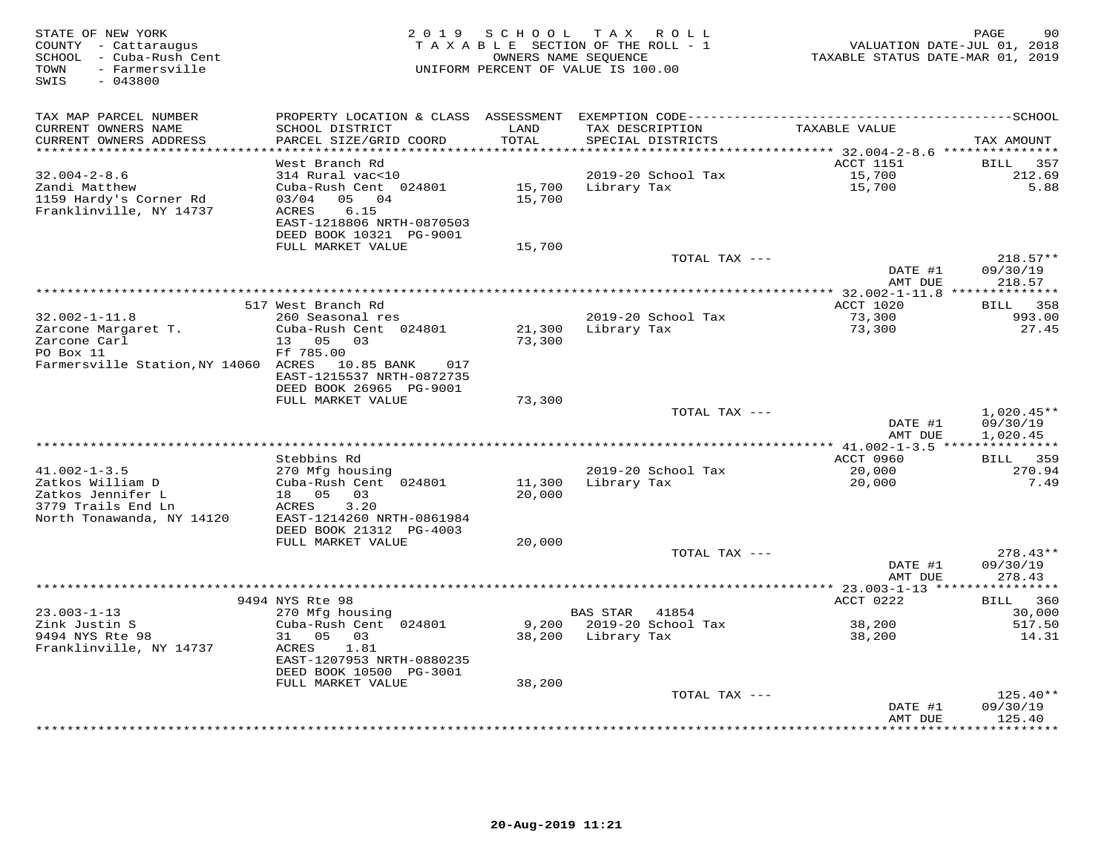| STATE OF NEW YORK<br>COUNTY - Cattaraugus<br>SCHOOL - Cuba-Rush Cent<br>- Farmersville<br>TOWN<br>SWIS<br>$-043800$ | 2 0 1 9                                                                                                                                                | SCHOOL           | TAX ROLL<br>TAXABLE SECTION OF THE ROLL - 1<br>OWNERS NAME SEQUENCE<br>UNIFORM PERCENT OF VALUE IS 100.00 | VALUATION DATE-JUL 01, 2018<br>TAXABLE STATUS DATE-MAR 01, 2019 | 90<br>PAGE                           |
|---------------------------------------------------------------------------------------------------------------------|--------------------------------------------------------------------------------------------------------------------------------------------------------|------------------|-----------------------------------------------------------------------------------------------------------|-----------------------------------------------------------------|--------------------------------------|
| TAX MAP PARCEL NUMBER<br>CURRENT OWNERS NAME<br>CURRENT OWNERS ADDRESS                                              | SCHOOL DISTRICT<br>PARCEL SIZE/GRID COORD                                                                                                              | LAND<br>TOTAL    | TAX DESCRIPTION<br>SPECIAL DISTRICTS                                                                      | TAXABLE VALUE                                                   | TAX AMOUNT                           |
| *********************                                                                                               |                                                                                                                                                        | *******          |                                                                                                           | **************************** 32.004-2-8.6 ***************       |                                      |
| $32.004 - 2 - 8.6$<br>Zandi Matthew<br>1159 Hardy's Corner Rd<br>Franklinville, NY 14737                            | West Branch Rd<br>314 Rural vac<10<br>Cuba-Rush Cent 024801<br>05 04<br>03/04<br>6.15<br>ACRES<br>EAST-1218806 NRTH-0870503<br>DEED BOOK 10321 PG-9001 | 15,700<br>15,700 | 2019-20 School Tax<br>Library Tax                                                                         | ACCT 1151<br>15,700<br>15,700                                   | BILL<br>357<br>212.69<br>5.88        |
|                                                                                                                     | FULL MARKET VALUE                                                                                                                                      | 15,700           |                                                                                                           |                                                                 |                                      |
|                                                                                                                     |                                                                                                                                                        |                  | TOTAL TAX ---                                                                                             | DATE #1<br>AMT DUE                                              | $218.57**$<br>09/30/19<br>218.57     |
|                                                                                                                     |                                                                                                                                                        |                  |                                                                                                           |                                                                 |                                      |
|                                                                                                                     | 517 West Branch Rd                                                                                                                                     |                  |                                                                                                           | ACCT 1020                                                       | 358<br>BILL                          |
| $32.002 - 1 - 11.8$<br>Zarcone Margaret T.<br>Zarcone Carl<br>PO Box 11                                             | 260 Seasonal res<br>Cuba-Rush Cent 024801<br>13 05 03                                                                                                  | 21,300<br>73,300 | 2019-20 School Tax<br>Library Tax                                                                         | 73,300<br>73,300                                                | 993.00<br>27.45                      |
| Farmersville Station, NY 14060 ACRES 10.85 BANK                                                                     | Ff 785.00<br>017<br>EAST-1215537 NRTH-0872735<br>DEED BOOK 26965 PG-9001                                                                               |                  |                                                                                                           |                                                                 |                                      |
|                                                                                                                     | FULL MARKET VALUE                                                                                                                                      | 73,300           |                                                                                                           |                                                                 |                                      |
|                                                                                                                     |                                                                                                                                                        |                  | TOTAL TAX ---                                                                                             | DATE #1<br>AMT DUE                                              | $1,020.45**$<br>09/30/19<br>1,020.45 |
|                                                                                                                     |                                                                                                                                                        |                  |                                                                                                           | *** $41.002 - 1 - 3.5$ ***************                          |                                      |
| $41.002 - 1 - 3.5$                                                                                                  | Stebbins Rd<br>270 Mfg housing                                                                                                                         |                  | 2019-20 School Tax                                                                                        | ACCT 0960<br>20,000                                             | BILL 359<br>270.94                   |
| Zatkos William D<br>Zatkos Jennifer L<br>3779 Trails End Ln<br>North Tonawanda, NY 14120                            | Cuba-Rush Cent 024801<br>18 05<br>03<br>3.20<br>ACRES<br>EAST-1214260 NRTH-0861984                                                                     | 11,300<br>20,000 | Library Tax                                                                                               | 20,000                                                          | 7.49                                 |
|                                                                                                                     | DEED BOOK 21312 PG-4003                                                                                                                                |                  |                                                                                                           |                                                                 |                                      |
|                                                                                                                     | FULL MARKET VALUE                                                                                                                                      | 20,000           |                                                                                                           |                                                                 |                                      |
|                                                                                                                     |                                                                                                                                                        |                  | TOTAL TAX ---                                                                                             | DATE #1<br>AMT DUE                                              | $278.43**$<br>09/30/19<br>278.43     |
|                                                                                                                     |                                                                                                                                                        |                  |                                                                                                           | *********** 23.003-1-13 ***                                     | *********                            |
| $23.003 - 1 - 13$                                                                                                   | 9494 NYS Rte 98<br>270 Mfg housing                                                                                                                     |                  | <b>BAS STAR</b><br>41854                                                                                  | ACCT 0222                                                       | 360<br><b>BILL</b><br>30,000         |
| Zink Justin S                                                                                                       | Cuba-Rush Cent 024801                                                                                                                                  | 9,200            | 2019-20 School Tax                                                                                        | 38,200                                                          | 517.50                               |
| 9494 NYS Rte 98<br>Franklinville, NY 14737                                                                          | 31 05<br>03<br>1.81<br>ACRES<br>EAST-1207953 NRTH-0880235                                                                                              | 38,200           | Library Tax                                                                                               | 38,200                                                          | 14.31                                |
|                                                                                                                     | DEED BOOK 10500 PG-3001                                                                                                                                |                  |                                                                                                           |                                                                 |                                      |
|                                                                                                                     | FULL MARKET VALUE                                                                                                                                      | 38,200           |                                                                                                           |                                                                 |                                      |
|                                                                                                                     |                                                                                                                                                        |                  | TOTAL TAX ---                                                                                             | DATE #1<br>AMT DUE                                              | $125.40**$<br>09/30/19<br>125.40     |
|                                                                                                                     |                                                                                                                                                        |                  | *************************                                                                                 |                                                                 | * * * * * * * *                      |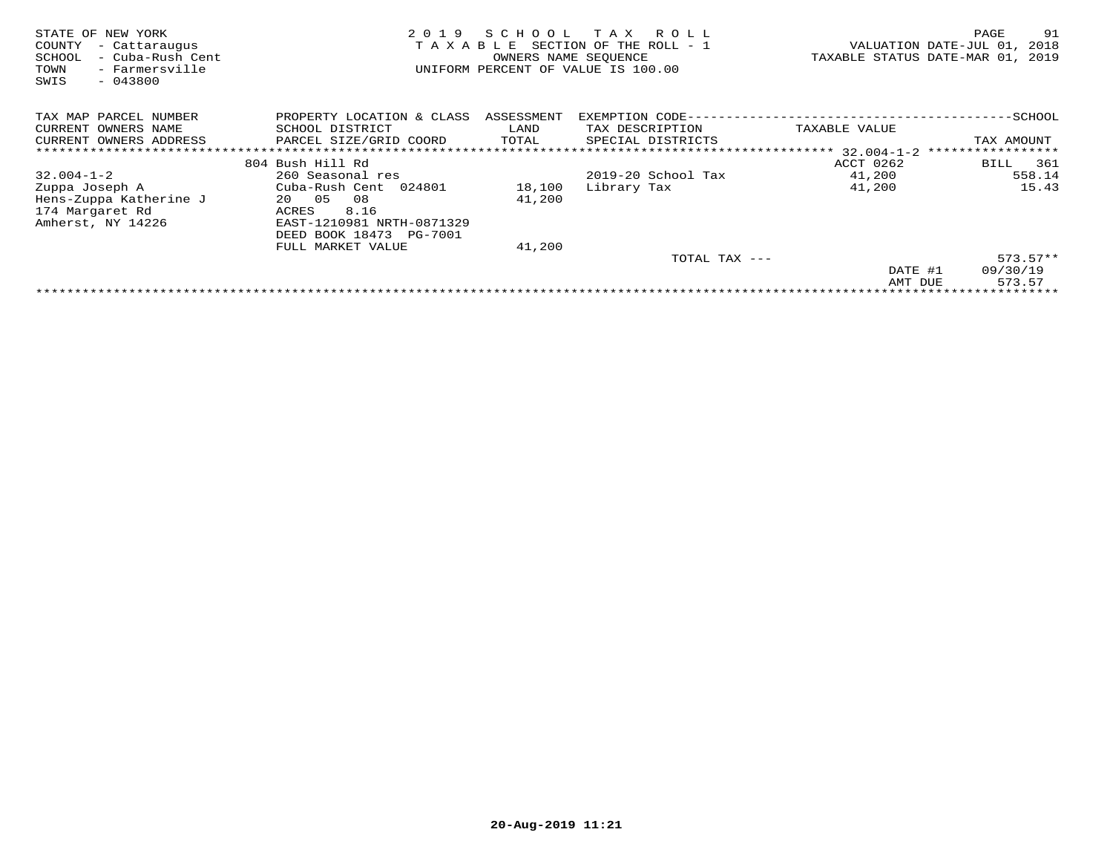| STATE OF NEW YORK<br>COUNTY<br>- Cattaraugus<br>- Cuba-Rush Cent<br>SCHOOL<br>- Farmersville<br>TOWN<br>$-043800$<br>SWIS | 2 0 1 9<br>TAXABLE                   | SCHOOL<br>OWNERS NAME SEQUENCE | T A X<br>R O L L<br>SECTION OF THE ROLL - 1<br>UNIFORM PERCENT OF VALUE IS 100.00 |               | 91<br>PAGE<br>VALUATION DATE-JUL 01,<br>2018<br>TAXABLE STATUS DATE-MAR 01, 2019 |
|---------------------------------------------------------------------------------------------------------------------------|--------------------------------------|--------------------------------|-----------------------------------------------------------------------------------|---------------|----------------------------------------------------------------------------------|
| TAX MAP PARCEL NUMBER                                                                                                     | PROPERTY LOCATION & CLASS ASSESSMENT |                                | EXEMPTION CODE-----------------------                                             |               | ------------SCHOOL                                                               |
| CURRENT OWNERS NAME                                                                                                       | SCHOOL DISTRICT                      | LAND                           | TAX DESCRIPTION                                                                   | TAXABLE VALUE |                                                                                  |
| CURRENT OWNERS ADDRESS                                                                                                    | PARCEL SIZE/GRID COORD               | TOTAL                          | SPECIAL DISTRICTS                                                                 |               | TAX AMOUNT                                                                       |
|                                                                                                                           |                                      |                                |                                                                                   |               |                                                                                  |
|                                                                                                                           | 804 Bush Hill Rd                     |                                |                                                                                   | ACCT 0262     | 361<br>BILL                                                                      |
| $32.004 - 1 - 2$                                                                                                          | 260 Seasonal res                     |                                | 2019-20 School Tax                                                                | 41,200        | 558.14                                                                           |
| Zuppa Joseph A                                                                                                            | Cuba-Rush Cent 024801                | 18,100                         | Library Tax                                                                       | 41,200        | 15.43                                                                            |
| Hens-Zuppa Katherine J                                                                                                    | 08<br>20 05                          | 41,200                         |                                                                                   |               |                                                                                  |
| 174 Margaret Rd                                                                                                           | 8.16<br>ACRES                        |                                |                                                                                   |               |                                                                                  |
| Amherst, NY 14226                                                                                                         | EAST-1210981 NRTH-0871329            |                                |                                                                                   |               |                                                                                  |
|                                                                                                                           | DEED BOOK 18473 PG-7001              |                                |                                                                                   |               |                                                                                  |
|                                                                                                                           | FULL MARKET VALUE                    | 41,200                         |                                                                                   |               |                                                                                  |
|                                                                                                                           |                                      |                                | TOTAL TAX ---                                                                     |               | $573.57**$                                                                       |
|                                                                                                                           |                                      |                                |                                                                                   | DATE #1       | 09/30/19                                                                         |
|                                                                                                                           |                                      |                                |                                                                                   | AMT DUE       | 573.57                                                                           |
|                                                                                                                           |                                      |                                |                                                                                   |               |                                                                                  |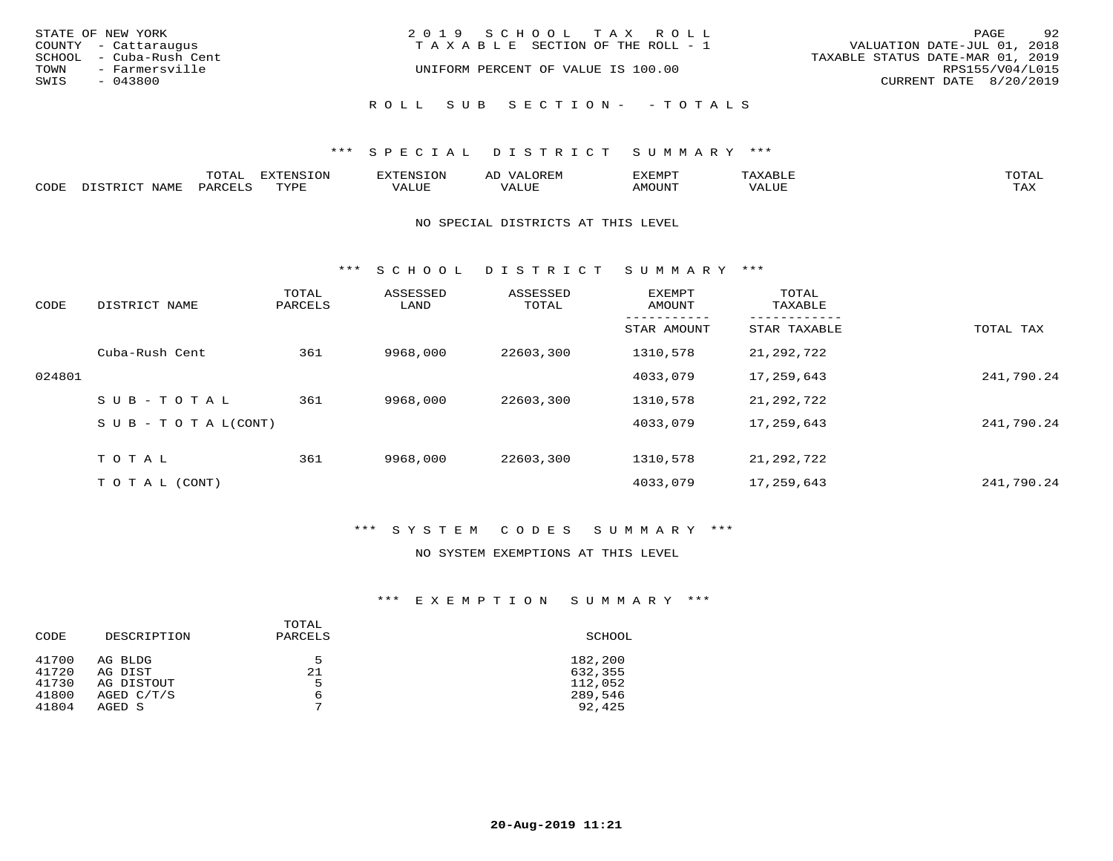| STATE OF NEW YORK | COUNTY - Cattaraugus                      | 2019 SCHOOL TAX ROLL<br>VALUATION DATE-JUL 01, 2018<br>T A X A B L E SECTION OF THE ROLL - 1 | PAGE                   | 92 |
|-------------------|-------------------------------------------|----------------------------------------------------------------------------------------------|------------------------|----|
| TOWN              | SCHOOL - Cuba-Rush Cent<br>- Farmersville | TAXABLE STATUS DATE-MAR 01, 2019<br>UNIFORM PERCENT OF VALUE IS 100.00                       | RPS155/V04/L015        |    |
| SWIS              | $-043800$                                 |                                                                                              | CURRENT DATE 8/20/2019 |    |
|                   |                                           | ROLL SUB SECTION- - TOTALS                                                                   |                        |    |

## \*\*\* S P E C I A L D I S T R I C T S U M M A R Y \*\*\*

|      |      | momn:<br>LUIAI | $\pi$<br>. JN | .     | : יהם קבר <i>ב</i><br>ΑL | תסאה <i>צ</i> י |                       | TOTA.      |
|------|------|----------------|---------------|-------|--------------------------|-----------------|-----------------------|------------|
| CODE | NAME | PARTPT         | mvnt          | VALUE |                          | <b>AMOUNT</b>   | ,,, , ,, <del>,</del> | TAY<br>∸∽∸ |

#### NO SPECIAL DISTRICTS AT THIS LEVEL

\*\*\* S C H O O L D I S T R I C T S U M M A R Y \*\*\*

| CODE   | DISTRICT NAME                    | TOTAL<br>PARCELS | ASSESSED<br>LAND | ASSESSED<br>TOTAL | EXEMPT<br>AMOUNT | TOTAL<br>TAXABLE |            |
|--------|----------------------------------|------------------|------------------|-------------------|------------------|------------------|------------|
|        |                                  |                  |                  |                   | STAR AMOUNT      | STAR TAXABLE     | TOTAL TAX  |
|        | Cuba-Rush Cent                   | 361              | 9968,000         | 22603,300         | 1310,578         | 21,292,722       |            |
| 024801 |                                  |                  |                  |                   | 4033,079         | 17,259,643       | 241,790.24 |
|        | $SUB - TO TAL$                   | 361              | 9968,000         | 22603,300         | 1310,578         | 21,292,722       |            |
|        | $S \cup B - T \cup T A L (CONT)$ |                  |                  |                   | 4033,079         | 17,259,643       | 241,790.24 |
|        | TOTAL                            | 361              | 9968,000         | 22603,300         | 1310,578         | 21,292,722       |            |
|        | T O T A L (CONT)                 |                  |                  |                   | 4033,079         | 17,259,643       | 241,790.24 |

## \*\*\* S Y S T E M C O D E S S U M M A R Y \*\*\*

#### NO SYSTEM EXEMPTIONS AT THIS LEVEL

## \*\*\* E X E M P T I O N S U M M A R Y \*\*\*

| CODE  | DESCRIPTION | TOTAL<br>PARCELS | SCHOOL  |
|-------|-------------|------------------|---------|
| 41700 | AG BLDG     | 5                | 182,200 |
| 41720 | AG DIST     | 21               | 632,355 |
| 41730 | AG DISTOUT  | 5                | 112,052 |
| 41800 | AGED C/T/S  | 6                | 289,546 |
| 41804 | AGED S      | 7                | 92,425  |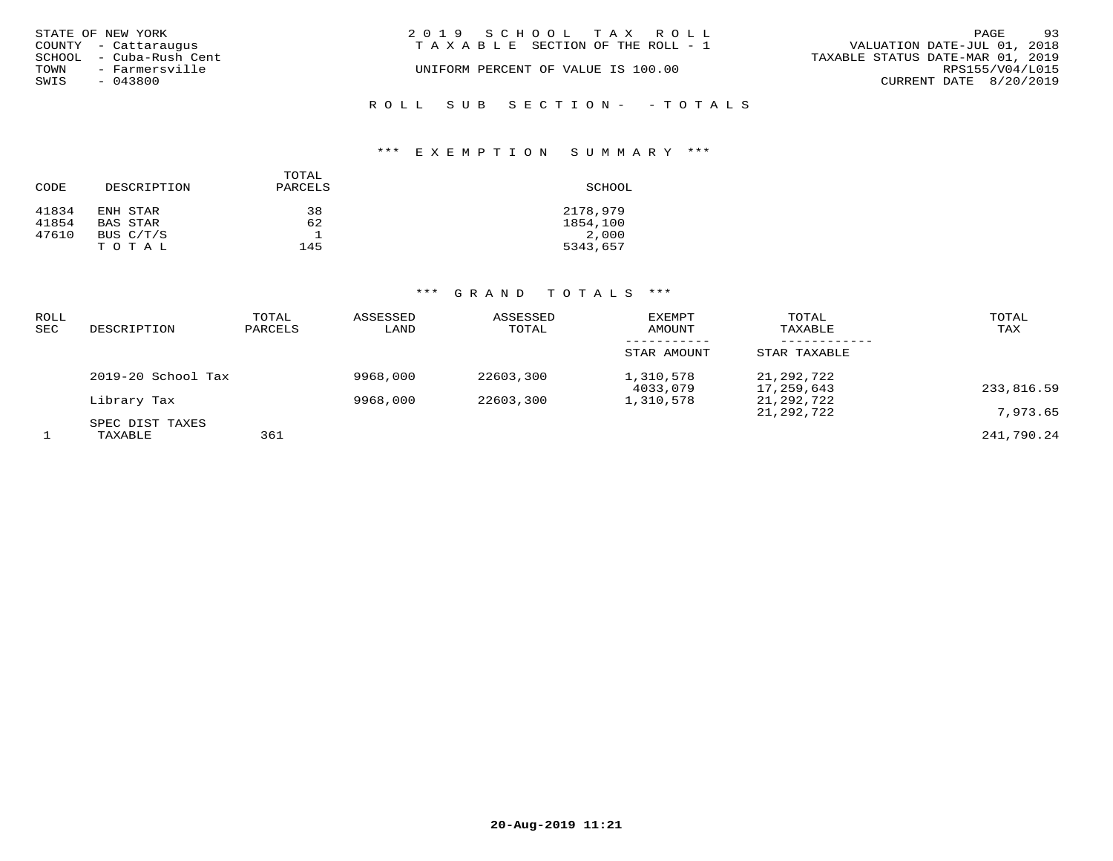|      | STATE OF NEW YORK                               | 2019 SCHOOL TAX ROLL                  | PAGE                                                            | 93              |
|------|-------------------------------------------------|---------------------------------------|-----------------------------------------------------------------|-----------------|
|      | COUNTY - Cattaraugus<br>SCHOOL - Cuba-Rush Cent | T A X A B L E SECTION OF THE ROLL - 1 | VALUATION DATE-JUL 01, 2018<br>TAXABLE STATUS DATE-MAR 01, 2019 |                 |
|      | TOWN - Farmersville                             | UNIFORM PERCENT OF VALUE IS 100.00    |                                                                 | RPS155/V04/L015 |
| SWIS | - 043800                                        |                                       | CURRENT DATE 8/20/2019                                          |                 |
|      |                                                 |                                       |                                                                 |                 |
|      |                                                 | ROLL SUB SECTION- - TOTALS            |                                                                 |                 |

## \*\*\* E X E M P T I O N S U M M A R Y \*\*\*

| CODE  | DESCRIPTION     | TOTAL<br>PARCELS | SCHOOL   |
|-------|-----------------|------------------|----------|
| 41834 | ENH STAR        | 38               | 2178,979 |
| 41854 | <b>BAS STAR</b> | 62               | 1854,100 |
| 47610 | BUS C/T/S       |                  | 2,000    |
|       | TOTAL           | 145              | 5343,657 |

# \*\*\* G R A N D T O T A L S \*\*\*

| <b>ROLL</b><br>SEC | DESCRIPTION                | TOTAL<br>PARCELS | ASSESSED<br>LAND | ASSESSED<br>TOTAL | <b>EXEMPT</b><br>AMOUNT | TOTAL<br>TAXABLE         | TOTAL<br>TAX |
|--------------------|----------------------------|------------------|------------------|-------------------|-------------------------|--------------------------|--------------|
|                    |                            |                  |                  |                   | STAR AMOUNT             | STAR TAXABLE             |              |
|                    | 2019-20 School Tax         |                  | 9968,000         | 22603,300         | 1,310,578<br>4033,079   | 21,292,722<br>17,259,643 | 233,816.59   |
|                    | Library Tax                |                  | 9968,000         | 22603,300         | 1,310,578               | 21,292,722<br>21,292,722 | 7,973.65     |
| 1                  | SPEC DIST TAXES<br>TAXABLE | 361              |                  |                   |                         |                          | 241,790.24   |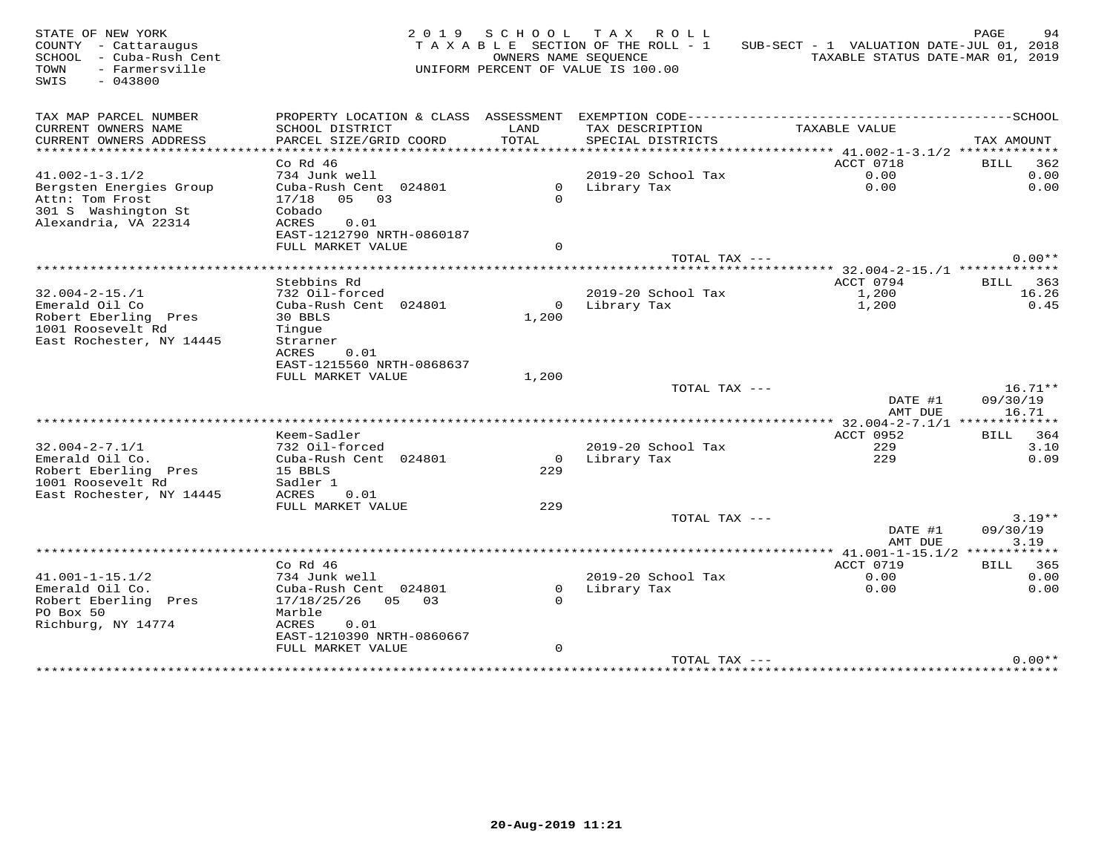| STATE OF NEW YORK<br>COUNTY - Cattaraugus<br>SCHOOL - Cuba-Rush Cent<br>- Farmersville<br>TOWN<br>SWIS<br>$-043800$ |                                                |                | 2019 SCHOOL TAX ROLL<br>TAXABLE SECTION OF THE ROLL - 1<br>OWNERS NAME SEQUENCE<br>UNIFORM PERCENT OF VALUE IS 100.00 | SUB-SECT - 1 VALUATION DATE-JUL 01, 2018<br>TAXABLE STATUS DATE-MAR 01, 2019                 | PAGE<br>94               |
|---------------------------------------------------------------------------------------------------------------------|------------------------------------------------|----------------|-----------------------------------------------------------------------------------------------------------------------|----------------------------------------------------------------------------------------------|--------------------------|
| TAX MAP PARCEL NUMBER                                                                                               |                                                |                |                                                                                                                       | PROPERTY LOCATION & CLASS ASSESSMENT EXEMPTION CODE-----------------------------------SCHOOL |                          |
| CURRENT OWNERS NAME                                                                                                 | SCHOOL DISTRICT                                | LAND           | TAX DESCRIPTION                                                                                                       | TAXABLE VALUE                                                                                |                          |
| CURRENT OWNERS ADDRESS<br>**********************                                                                    | PARCEL SIZE/GRID COORD                         | TOTAL          | SPECIAL DISTRICTS                                                                                                     |                                                                                              | TAX AMOUNT               |
|                                                                                                                     | $Co$ Rd $46$                                   |                |                                                                                                                       | ACCT 0718                                                                                    | BILL 362                 |
| $41.002 - 1 - 3.1/2$                                                                                                | 734 Junk well                                  |                | 2019-20 School Tax                                                                                                    | 0.00                                                                                         | 0.00                     |
| Bergsten Energies Group                                                                                             | Cuba-Rush Cent 024801                          |                | 0 Library Tax                                                                                                         | 0.00                                                                                         | 0.00                     |
| Attn: Tom Frost                                                                                                     | $17/18$ 05 03                                  | $\Omega$       |                                                                                                                       |                                                                                              |                          |
| 301 S Washington St                                                                                                 | Cobado                                         |                |                                                                                                                       |                                                                                              |                          |
| Alexandria, VA 22314                                                                                                | ACRES<br>0.01                                  |                |                                                                                                                       |                                                                                              |                          |
|                                                                                                                     | EAST-1212790 NRTH-0860187                      |                |                                                                                                                       |                                                                                              |                          |
|                                                                                                                     | FULL MARKET VALUE                              | $\Omega$       |                                                                                                                       |                                                                                              |                          |
|                                                                                                                     |                                                |                | TOTAL TAX ---                                                                                                         |                                                                                              | $0.00**$                 |
|                                                                                                                     |                                                |                |                                                                                                                       |                                                                                              |                          |
| $32.004 - 2 - 15$ ./1                                                                                               | Stebbins Rd<br>732 Oil-forced                  |                | 2019-20 School Tax                                                                                                    | ACCT 0794<br>1,200                                                                           | <b>BILL</b> 363<br>16.26 |
| Emerald Oil Co                                                                                                      | Cuba-Rush Cent 024801                          |                | 0 Library Tax                                                                                                         | 1,200                                                                                        | 0.45                     |
| Robert Eberling Pres                                                                                                | 30 BBLS                                        | 1,200          |                                                                                                                       |                                                                                              |                          |
| 1001 Roosevelt Rd                                                                                                   | Tinque                                         |                |                                                                                                                       |                                                                                              |                          |
| East Rochester, NY 14445                                                                                            | Strarner                                       |                |                                                                                                                       |                                                                                              |                          |
|                                                                                                                     | ACRES<br>0.01                                  |                |                                                                                                                       |                                                                                              |                          |
|                                                                                                                     | EAST-1215560 NRTH-0868637                      |                |                                                                                                                       |                                                                                              |                          |
|                                                                                                                     | FULL MARKET VALUE                              | 1,200          |                                                                                                                       |                                                                                              |                          |
|                                                                                                                     |                                                |                | TOTAL TAX ---                                                                                                         | DATE #1                                                                                      | $16.71**$<br>09/30/19    |
|                                                                                                                     |                                                |                |                                                                                                                       | AMT DUE                                                                                      | 16.71                    |
|                                                                                                                     |                                                |                |                                                                                                                       |                                                                                              |                          |
|                                                                                                                     | Keem-Sadler                                    |                |                                                                                                                       | ACCT 0952                                                                                    | BILL 364                 |
| $32.004 - 2 - 7.1/1$                                                                                                | 732 Oil-forced                                 |                | 2019-20 School Tax                                                                                                    | 229                                                                                          | 3.10                     |
| Emerald Oil Co.                                                                                                     | Cuba-Rush Cent 024801                          | $\Omega$       | Library Tax                                                                                                           | 229                                                                                          | 0.09                     |
| Robert Eberling Pres                                                                                                | 15 BBLS                                        | 229            |                                                                                                                       |                                                                                              |                          |
| 1001 Roosevelt Rd                                                                                                   | Sadler 1                                       |                |                                                                                                                       |                                                                                              |                          |
| East Rochester, NY 14445                                                                                            | ACRES<br>0.01                                  |                |                                                                                                                       |                                                                                              |                          |
|                                                                                                                     | FULL MARKET VALUE                              | 229            | TOTAL TAX ---                                                                                                         |                                                                                              | $3.19**$                 |
|                                                                                                                     |                                                |                |                                                                                                                       | DATE #1                                                                                      | 09/30/19                 |
|                                                                                                                     |                                                |                |                                                                                                                       | AMT DUE                                                                                      | 3.19                     |
|                                                                                                                     |                                                |                |                                                                                                                       |                                                                                              |                          |
|                                                                                                                     | Co Rd 46                                       |                |                                                                                                                       | ACCT 0719                                                                                    | <b>BILL</b> 365          |
| $41.001 - 1 - 15.1/2$                                                                                               | 734 Junk well                                  |                | 2019-20 School Tax                                                                                                    | 0.00                                                                                         | 0.00                     |
| Emerald Oil Co.                                                                                                     | Cuba-Rush Cent 024801                          | $\overline{0}$ | Library Tax                                                                                                           | 0.00                                                                                         | 0.00                     |
| Robert Eberling Pres                                                                                                | 17/18/25/26 05 03                              | $\Omega$       |                                                                                                                       |                                                                                              |                          |
| PO Box 50                                                                                                           | Marble                                         |                |                                                                                                                       |                                                                                              |                          |
| Richburg, NY 14774                                                                                                  | ACRES<br>0.01                                  |                |                                                                                                                       |                                                                                              |                          |
|                                                                                                                     | EAST-1210390 NRTH-0860667<br>FULL MARKET VALUE | $\mathbf{0}$   |                                                                                                                       |                                                                                              |                          |
|                                                                                                                     |                                                |                | TOTAL TAX ---                                                                                                         |                                                                                              | $0.00**$                 |
|                                                                                                                     |                                                |                |                                                                                                                       |                                                                                              |                          |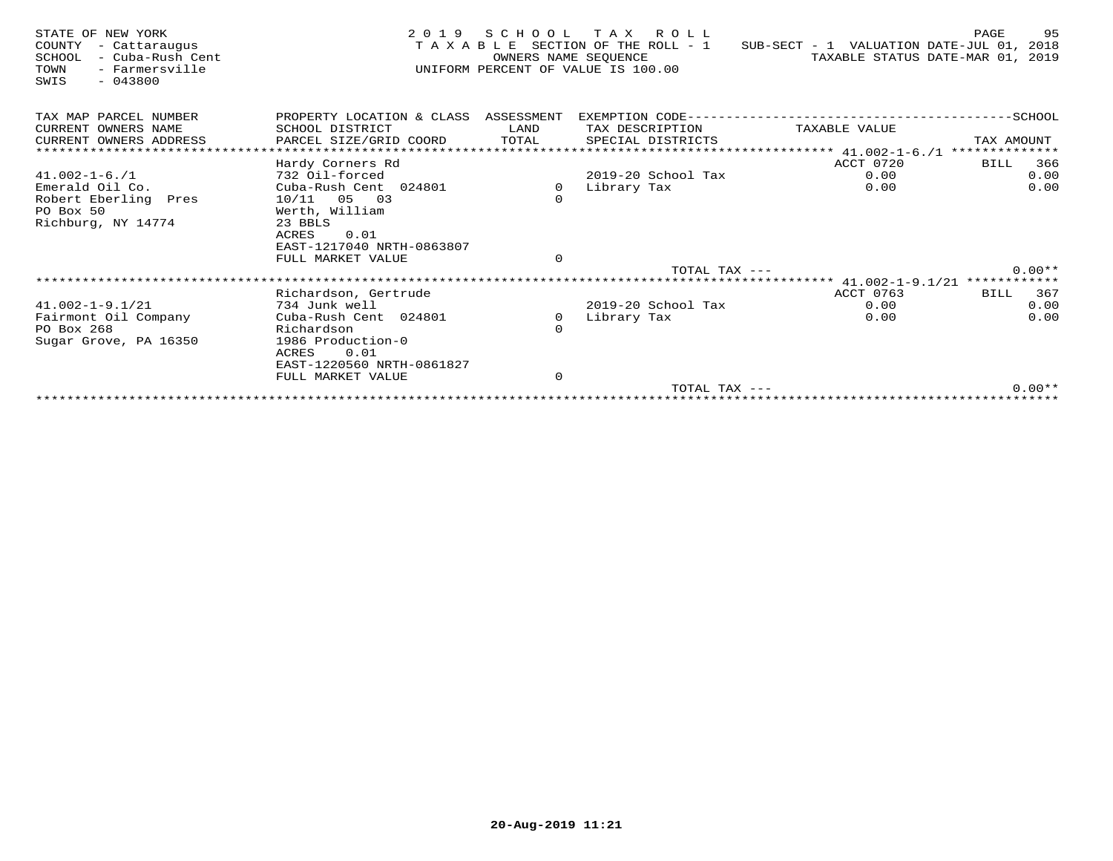| STATE OF NEW YORK<br>COUNTY<br>- Cattaraugus<br>SCHOOL<br>- Cuba-Rush Cent<br>TOWN<br>- Farmersville<br>$-043800$<br>SWIS | 2 0 1 9                              | SCHOOL<br>OWNERS NAME SEOUENCE | TAX ROLL<br>TAXABLE SECTION OF THE ROLL - 1<br>UNIFORM PERCENT OF VALUE IS 100.00 | SUB-SECT - 1 VALUATION DATE-JUL 01, 2018 | 95<br>PAGE<br>TAXABLE STATUS DATE-MAR 01, 2019 |
|---------------------------------------------------------------------------------------------------------------------------|--------------------------------------|--------------------------------|-----------------------------------------------------------------------------------|------------------------------------------|------------------------------------------------|
| TAX MAP PARCEL NUMBER                                                                                                     | PROPERTY LOCATION & CLASS ASSESSMENT |                                |                                                                                   |                                          |                                                |
| CURRENT OWNERS NAME                                                                                                       | SCHOOL DISTRICT                      | LAND                           | TAX DESCRIPTION                                                                   | TAXABLE VALUE                            |                                                |
| CURRENT OWNERS ADDRESS                                                                                                    | PARCEL SIZE/GRID COORD               | TOTAL                          | SPECIAL DISTRICTS                                                                 |                                          | TAX AMOUNT                                     |
| *************************                                                                                                 |                                      |                                |                                                                                   |                                          | **************                                 |
|                                                                                                                           | Hardy Corners Rd                     |                                |                                                                                   | ACCT 0720                                | 366<br>BILL                                    |
| $41.002 - 1 - 6.71$                                                                                                       | 732 Oil-forced                       |                                | 2019-20 School Tax                                                                | 0.00                                     | 0.00                                           |
| Emerald Oil Co.                                                                                                           | Cuba-Rush Cent 024801                | 0                              | Library Tax                                                                       | 0.00                                     | 0.00                                           |
| Robert Eberling Pres<br>PO Box 50                                                                                         | $10/11$ 05 03<br>Werth, William      | $\mathbf 0$                    |                                                                                   |                                          |                                                |
| Richburg, NY 14774                                                                                                        | 23 BBLS                              |                                |                                                                                   |                                          |                                                |
|                                                                                                                           | ACRES<br>0.01                        |                                |                                                                                   |                                          |                                                |
|                                                                                                                           | EAST-1217040 NRTH-0863807            |                                |                                                                                   |                                          |                                                |
|                                                                                                                           | FULL MARKET VALUE                    | $\circ$                        |                                                                                   |                                          |                                                |
|                                                                                                                           |                                      |                                | TOTAL TAX $---$                                                                   |                                          | $0.00**$                                       |
|                                                                                                                           |                                      |                                |                                                                                   | ********* 41.002-1-9.1/21 ************   |                                                |
|                                                                                                                           | Richardson, Gertrude                 |                                |                                                                                   | ACCT 0763                                | 367<br>BILL                                    |
| $41.002 - 1 - 9.1/21$                                                                                                     | 734 Junk well                        |                                | 2019-20 School Tax                                                                | 0.00                                     | 0.00                                           |
| Fairmont Oil Company                                                                                                      | Cuba-Rush Cent 024801                | $\Omega$                       | Library Tax                                                                       | 0.00                                     | 0.00                                           |
| PO Box 268                                                                                                                | Richardson<br>1986 Production-0      | $\Omega$                       |                                                                                   |                                          |                                                |
| Sugar Grove, PA 16350                                                                                                     | <b>ACRES</b><br>0.01                 |                                |                                                                                   |                                          |                                                |
|                                                                                                                           | EAST-1220560 NRTH-0861827            |                                |                                                                                   |                                          |                                                |
|                                                                                                                           | FULL MARKET VALUE                    | $\mathbf 0$                    |                                                                                   |                                          |                                                |
|                                                                                                                           |                                      |                                | TOTAL TAX ---                                                                     |                                          | $0.00**$                                       |
|                                                                                                                           |                                      |                                |                                                                                   |                                          |                                                |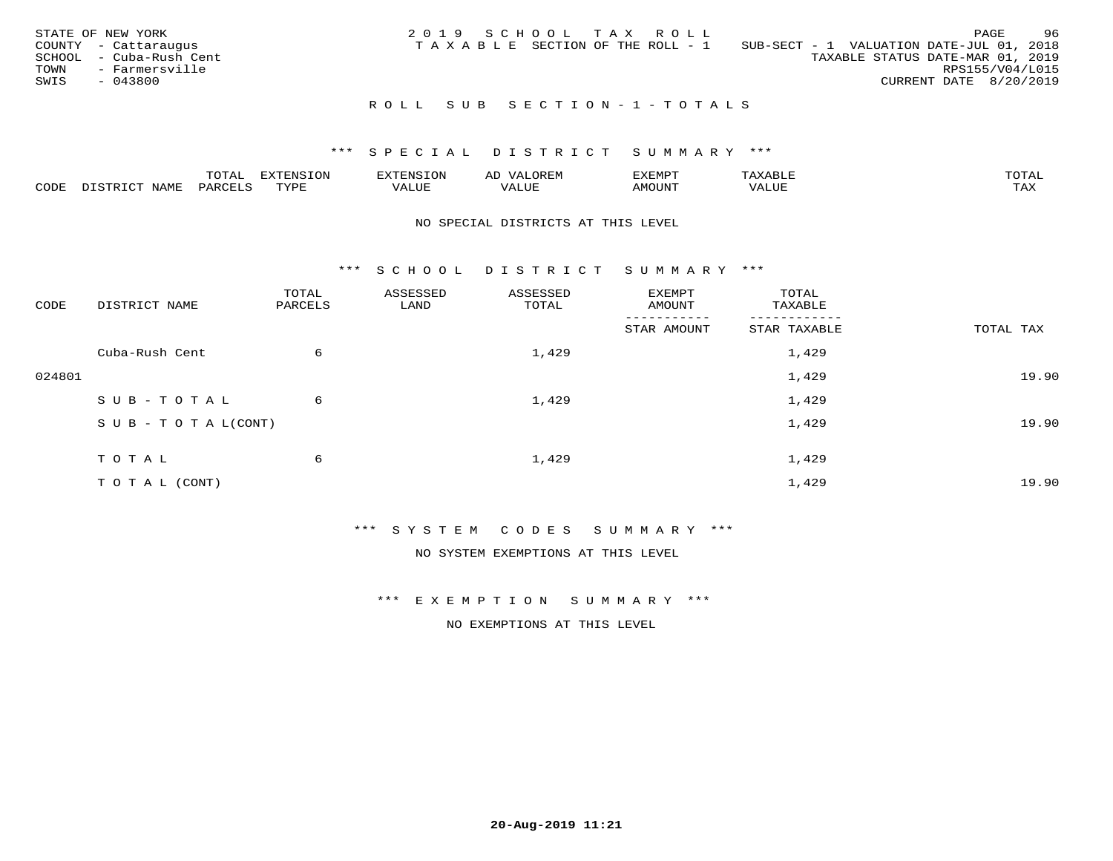| STATE OF NEW YORK<br>COUNTY - Cattaraugus<br>SCHOOL - Cuba-Rush Cent<br>TOWN<br>- Farmersville<br>SWIS<br>- 043800 | 2019 SCHOOL TAX ROLL<br>T A X A B L E SECTION OF THE ROLL - 1 | <b>PAGE</b><br>SUB-SECT - 1 VALUATION DATE-JUL 01, 2018<br>TAXABLE STATUS DATE-MAR 01, 2019<br>RPS155/V04/L015<br>CURRENT DATE 8/20/2019 | -96 |
|--------------------------------------------------------------------------------------------------------------------|---------------------------------------------------------------|------------------------------------------------------------------------------------------------------------------------------------------|-----|
|                                                                                                                    | ROLL SUB SECTION-1-TOTALS                                     |                                                                                                                                          |     |

## \*\*\* S P E C I A L D I S T R I C T S U M M A R Y \*\*\*

|      |             | $m \wedge m \wedge n$ | י הריחות די המדינות<br>LUI<br>'NЫ. | ENSION            | ΑL    | דפוא:TXF<br>. خەنىسىدە |           | TOTAL |
|------|-------------|-----------------------|------------------------------------|-------------------|-------|------------------------|-----------|-------|
| CODE | <b>JAMF</b> | $'$ AR $\iota$        | TVDF                               | -- - ---<br>/ALUE | 7ALUE | \MOUNT                 | ΉL<br>⊐∪r | TAX   |

#### NO SPECIAL DISTRICTS AT THIS LEVEL

\*\*\* S C H O O L D I S T R I C T S U M M A R Y \*\*\*

| CODE   | DISTRICT NAME                    | TOTAL<br>PARCELS | ASSESSED<br>LAND | ASSESSED<br>TOTAL | EXEMPT<br>AMOUNT        | TOTAL<br>TAXABLE |           |
|--------|----------------------------------|------------------|------------------|-------------------|-------------------------|------------------|-----------|
|        |                                  |                  |                  |                   | --------<br>STAR AMOUNT | STAR TAXABLE     | TOTAL TAX |
|        | Cuba-Rush Cent                   | 6                |                  | 1,429             |                         | 1,429            |           |
| 024801 |                                  |                  |                  |                   |                         | 1,429            | 19.90     |
|        | SUB-TOTAL                        | 6                |                  | 1,429             |                         | 1,429            |           |
|        | $S \cup B - T \cup T A L (CONT)$ |                  |                  |                   |                         | 1,429            | 19.90     |
|        | TOTAL                            | 6                |                  | 1,429             |                         | 1,429            |           |
|        | T O T A L (CONT)                 |                  |                  |                   |                         | 1,429            | 19.90     |

\*\*\* S Y S T E M C O D E S S U M M A R Y \*\*\*

NO SYSTEM EXEMPTIONS AT THIS LEVEL

\*\*\* E X E M P T I O N S U M M A R Y \*\*\*

NO EXEMPTIONS AT THIS LEVEL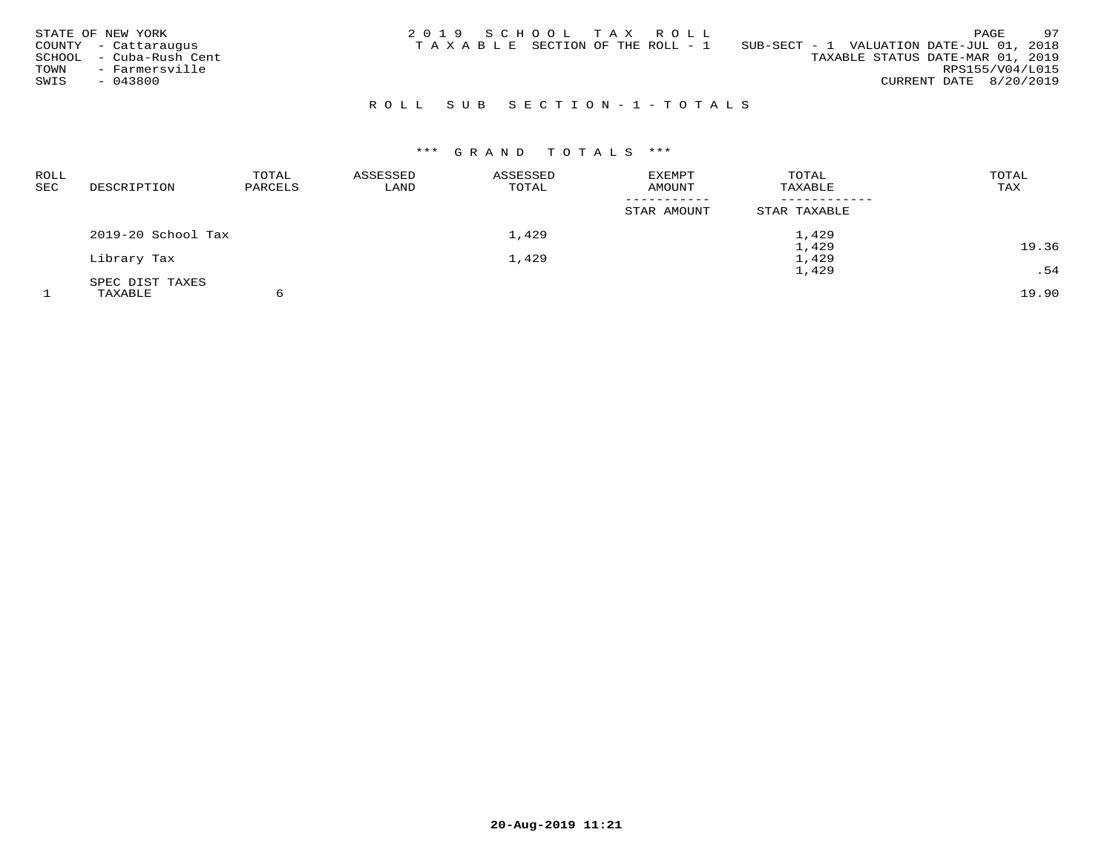| STATE OF NEW YORK<br>COUNTY - Cattaraugus<br>- Cuba-Rush Cent<br>SCHOOL<br>- Farmersville<br>TOWN<br>SWIS<br>$-043800$ | 2019 SCHOOL TAX ROLL<br>TAXABLE SECTION OF THE ROLL - 1 | 97<br>PAGE<br>SUB-SECT - 1 VALUATION DATE-JUL 01, 2018<br>TAXABLE STATUS DATE-MAR 01, 2019<br>RPS155/V04/L015<br>CURRENT DATE 8/20/2019 |
|------------------------------------------------------------------------------------------------------------------------|---------------------------------------------------------|-----------------------------------------------------------------------------------------------------------------------------------------|
|                                                                                                                        | ROLL SUB SECTION-1-TOTALS                               |                                                                                                                                         |

# \*\*\* G R A N D T O T A L S \*\*\*

| ROLL<br>SEC | DESCRIPTION        | TOTAL<br>PARCELS | ASSESSED<br>LAND | ASSESSED<br>TOTAL | <b>EXEMPT</b><br>AMOUNT | TOTAL<br>TAXABLE | TOTAL<br>TAX |
|-------------|--------------------|------------------|------------------|-------------------|-------------------------|------------------|--------------|
|             |                    |                  |                  |                   | STAR AMOUNT             | STAR TAXABLE     |              |
|             | 2019-20 School Tax |                  |                  | 1,429             |                         | 1,429            |              |
|             |                    |                  |                  |                   |                         | 1,429            | 19.36        |
|             | Library Tax        |                  |                  | 1,429             |                         | 1,429            |              |
|             |                    |                  |                  |                   |                         | 1,429            | .54          |
|             | SPEC DIST TAXES    |                  |                  |                   |                         |                  |              |
|             | TAXABLE            |                  |                  |                   |                         |                  | 19.90        |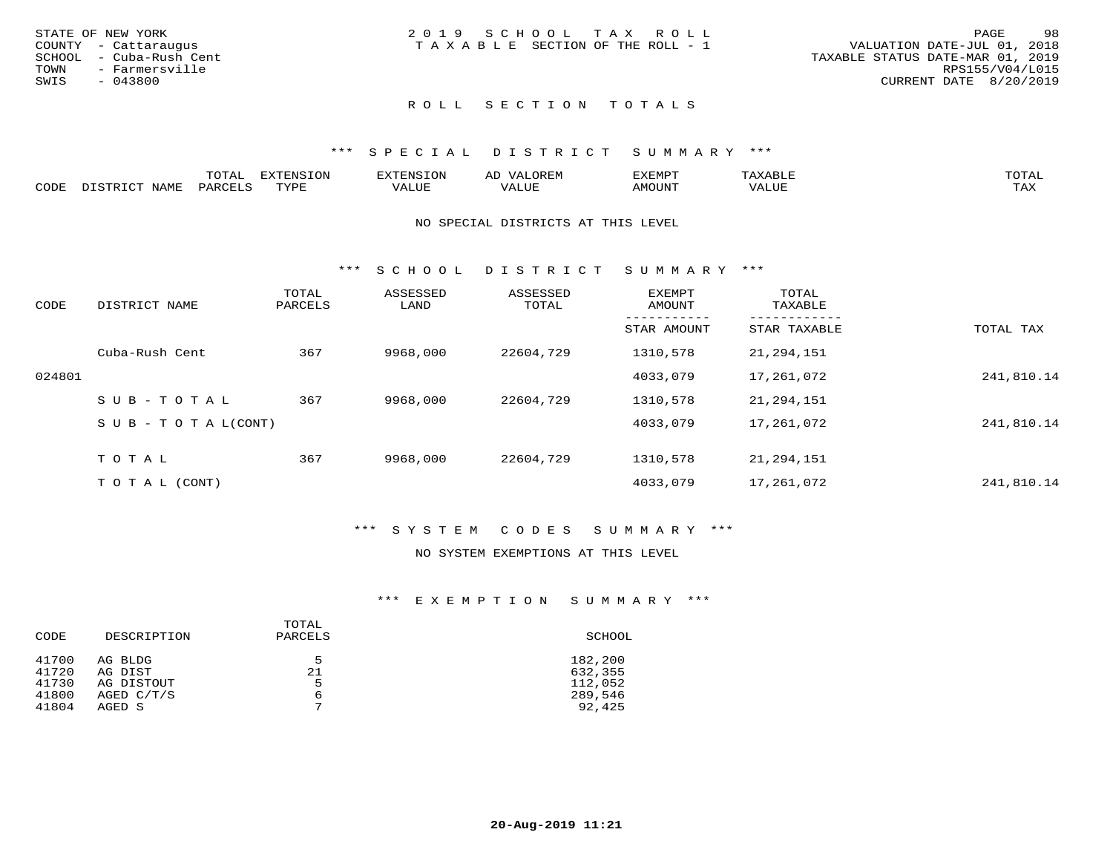| STATE OF NEW YORK       | 2019 SCHOOL TAX ROLL                  | 98<br>PAGE                       |
|-------------------------|---------------------------------------|----------------------------------|
| COUNTY - Cattaraugus    | T A X A B L E SECTION OF THE ROLL - 1 | VALUATION DATE-JUL 01, 2018      |
| SCHOOL - Cuba-Rush Cent |                                       | TAXABLE STATUS DATE-MAR 01, 2019 |
| TOWN<br>- Farmersville  |                                       | RPS155/V04/L015                  |
| SWIS<br>$-043800$       |                                       | CURRENT DATE 8/20/2019           |
|                         |                                       |                                  |

# ROLL SECTION TOTALS

## \*\*\* S P E C I A L D I S T R I C T S U M M A R Y \*\*\*

|      |             | $m \wedge m \wedge n$<br>'U'I'AI | <b>EXTENSION</b> | HINS. | OREM<br><u>ΔΙ</u><br>سد | דפוא:TXF<br>للتنتيذ |        | TOTAL          |
|------|-------------|----------------------------------|------------------|-------|-------------------------|---------------------|--------|----------------|
| CODE | <b>NAME</b> | DAPCFT.C                         | TVDF             | VALUE | VALUE                   | <b>AMOUNT</b>       | 7 ALUL | TAY.<br>⊥ ∠~∡∡ |

#### NO SPECIAL DISTRICTS AT THIS LEVEL

\*\*\* S C H O O L D I S T R I C T S U M M A R Y \*\*\*

| CODE   | DISTRICT NAME                    | TOTAL<br>PARCELS | ASSESSED<br>LAND | ASSESSED<br>TOTAL | EXEMPT<br>AMOUNT | TOTAL<br>TAXABLE |            |
|--------|----------------------------------|------------------|------------------|-------------------|------------------|------------------|------------|
|        |                                  |                  |                  |                   | STAR AMOUNT      | STAR TAXABLE     | TOTAL TAX  |
|        | Cuba-Rush Cent                   | 367              | 9968,000         | 22604,729         | 1310,578         | 21,294,151       |            |
| 024801 |                                  |                  |                  |                   | 4033,079         | 17,261,072       | 241,810.14 |
|        | SUB-TOTAL                        | 367              | 9968,000         | 22604,729         | 1310,578         | 21,294,151       |            |
|        | $S \cup B - T \cup T A L (CONT)$ |                  |                  |                   | 4033,079         | 17,261,072       | 241,810.14 |
|        | TOTAL                            | 367              | 9968,000         | 22604,729         | 1310,578         | 21,294,151       |            |
|        | T O T A L (CONT)                 |                  |                  |                   | 4033,079         | 17,261,072       | 241,810.14 |

## \*\*\* S Y S T E M C O D E S S U M M A R Y \*\*\*

#### NO SYSTEM EXEMPTIONS AT THIS LEVEL

## \*\*\* E X E M P T I O N S U M M A R Y \*\*\*

| CODE  | DESCRIPTION  | TOTAL<br>PARCELS | SCHOOL  |
|-------|--------------|------------------|---------|
| 41700 | AG BLDG      | 5                | 182,200 |
| 41720 | AG DIST      | 21               | 632,355 |
| 41730 | AG DISTOUT   | 5                | 112,052 |
| 41800 | AGED $C/T/S$ | 6                | 289,546 |
| 41804 | AGED S       | $\mathbf{r}$     | 92,425  |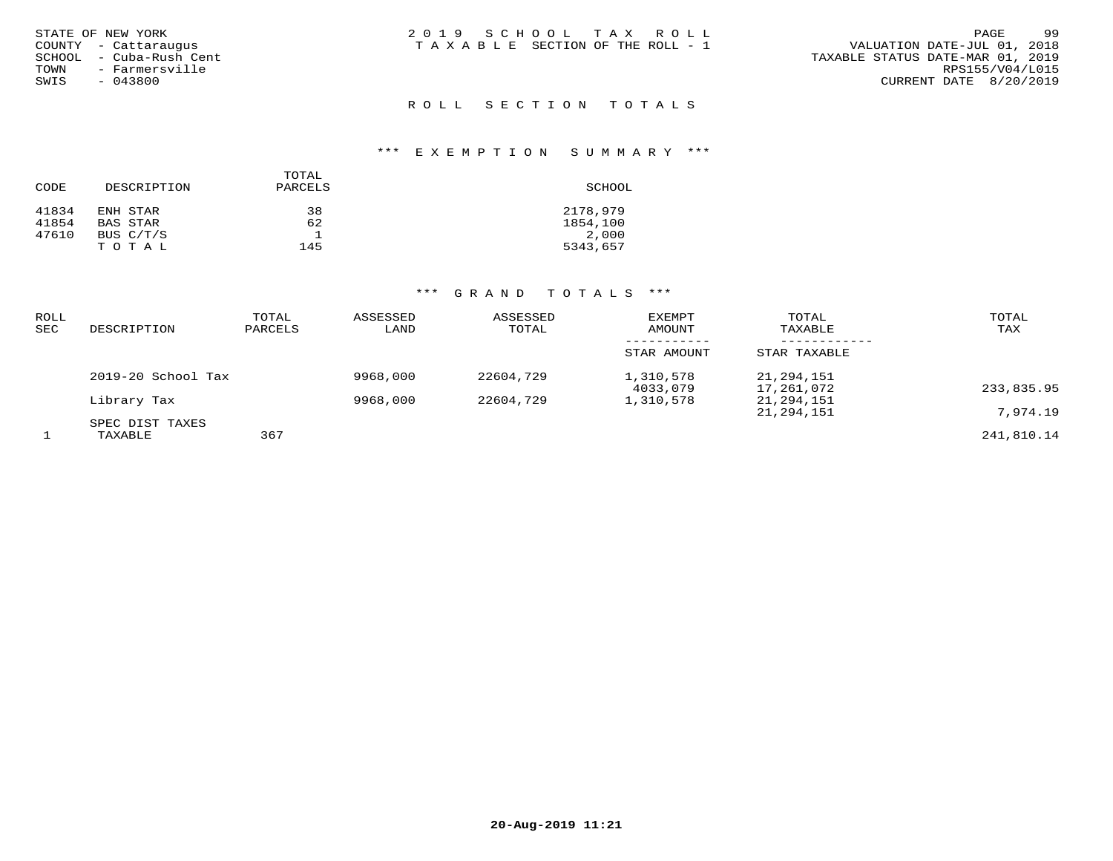|        | STATE OF NEW YORK    |
|--------|----------------------|
|        | COUNTY - Cattaraugus |
| SCHOOL | - Cuba-Rush Cent     |
| TOWN   | - Farmersville       |
| SWIS   | $-043800$            |
|        |                      |

## ROLL SECTION TOTALS

#### \*\*\* E X E M P T I O N S U M M A R Y \*\*\*

|       |             | TOTAL   |          |
|-------|-------------|---------|----------|
| CODE  | DESCRIPTION | PARCELS | SCHOOL   |
| 41834 | ENH STAR    | 38      | 2178,979 |
| 41854 | BAS STAR    | 62      | 1854,100 |
| 47610 | BUS C/T/S   |         | 2,000    |
|       | TOTAL       | 145     | 5343,657 |

## \*\*\* G R A N D T O T A L S \*\*\*

| ROLL<br>SEC | DESCRIPTION                | TOTAL<br>PARCELS | ASSESSED<br>LAND | ASSESSED<br>TOTAL | <b>EXEMPT</b><br>AMOUNT | TOTAL<br>TAXABLE         | TOTAL<br>TAX |
|-------------|----------------------------|------------------|------------------|-------------------|-------------------------|--------------------------|--------------|
|             |                            |                  |                  |                   | STAR AMOUNT             | STAR TAXABLE             |              |
|             | 2019-20 School Tax         |                  | 9968,000         | 22604,729         | 1,310,578<br>4033,079   | 21,294,151<br>17,261,072 | 233,835.95   |
|             | Library Tax                |                  | 9968,000         | 22604,729         | 1,310,578               | 21,294,151<br>21,294,151 | 7,974.19     |
| 1           | SPEC DIST TAXES<br>TAXABLE | 367              |                  |                   |                         |                          | 241,810.14   |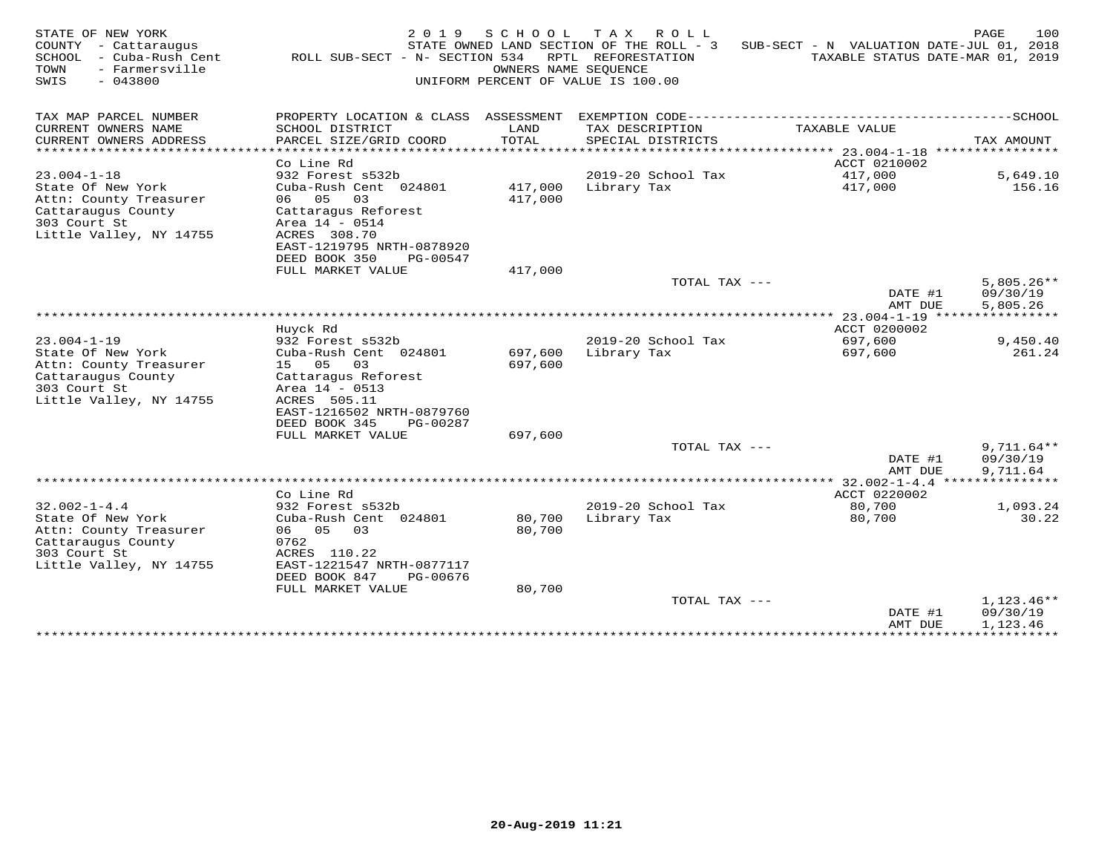| STATE OF NEW YORK<br>COUNTY<br>- Cattaraugus<br>SCHOOL<br>- Cuba-Rush Cent<br>- Farmersville<br>TOWN<br>SWIS<br>$-043800$ | 2 0 1 9<br>ROLL SUB-SECT - N- SECTION 534              | SCHOOL<br>OWNERS NAME SEQUENCE | T A X<br>ROLL<br>STATE OWNED LAND SECTION OF THE ROLL - 3<br>RPTL REFORESTATION<br>UNIFORM PERCENT OF VALUE IS 100.00 | SUB-SECT - N VALUATION DATE-JUL 01, 2018 | 100<br>PAGE<br>TAXABLE STATUS DATE-MAR 01, 2019 |
|---------------------------------------------------------------------------------------------------------------------------|--------------------------------------------------------|--------------------------------|-----------------------------------------------------------------------------------------------------------------------|------------------------------------------|-------------------------------------------------|
| TAX MAP PARCEL NUMBER                                                                                                     | PROPERTY LOCATION & CLASS ASSESSMENT                   |                                |                                                                                                                       |                                          |                                                 |
| CURRENT OWNERS NAME                                                                                                       | SCHOOL DISTRICT                                        | LAND                           | TAX DESCRIPTION                                                                                                       | TAXABLE VALUE                            |                                                 |
| CURRENT OWNERS ADDRESS<br>********************                                                                            | PARCEL SIZE/GRID COORD<br>***********************      | TOTAL                          | SPECIAL DISTRICTS                                                                                                     |                                          | TAX AMOUNT<br>****************                  |
|                                                                                                                           | Co Line Rd                                             |                                |                                                                                                                       | ACCT 0210002                             |                                                 |
| $23.004 - 1 - 18$                                                                                                         | 932 Forest s532b                                       |                                | 2019-20 School Tax                                                                                                    | 417,000                                  | 5,649.10                                        |
| State Of New York<br>Attn: County Treasurer                                                                               | Cuba-Rush Cent 024801<br>05<br>03<br>06                | 417,000<br>417,000             | Library Tax                                                                                                           | 417,000                                  | 156.16                                          |
| Cattaraugus County                                                                                                        | Cattaragus Reforest                                    |                                |                                                                                                                       |                                          |                                                 |
| 303 Court St                                                                                                              | Area 14 - 0514<br>ACRES 308.70                         |                                |                                                                                                                       |                                          |                                                 |
| Little Valley, NY 14755                                                                                                   | EAST-1219795 NRTH-0878920                              |                                |                                                                                                                       |                                          |                                                 |
|                                                                                                                           | DEED BOOK 350<br>PG-00547                              |                                |                                                                                                                       |                                          |                                                 |
|                                                                                                                           | FULL MARKET VALUE                                      | 417,000                        |                                                                                                                       |                                          |                                                 |
|                                                                                                                           |                                                        |                                | TOTAL TAX ---                                                                                                         | DATE #1                                  | $5,805.26**$<br>09/30/19                        |
|                                                                                                                           |                                                        |                                |                                                                                                                       | AMT DUE                                  | 5.805.26                                        |
|                                                                                                                           |                                                        |                                |                                                                                                                       | $23.004 - 1 - 19$                        |                                                 |
|                                                                                                                           | Huyck Rd                                               |                                |                                                                                                                       | ACCT 0200002                             |                                                 |
| $23.004 - 1 - 19$                                                                                                         | 932 Forest s532b                                       |                                | 2019-20 School Tax                                                                                                    | 697,600                                  | 9,450.40                                        |
| State Of New York<br>Attn: County Treasurer                                                                               | Cuba-Rush Cent 024801<br>05<br>03<br>15                | 697,600<br>697,600             | Library Tax                                                                                                           | 697,600                                  | 261.24                                          |
| Cattaraugus County                                                                                                        | Cattaragus Reforest                                    |                                |                                                                                                                       |                                          |                                                 |
| 303 Court St                                                                                                              | Area $14 - 0513$                                       |                                |                                                                                                                       |                                          |                                                 |
| Little Valley, NY 14755                                                                                                   | ACRES 505.11                                           |                                |                                                                                                                       |                                          |                                                 |
|                                                                                                                           | EAST-1216502 NRTH-0879760<br>DEED BOOK 345<br>PG-00287 |                                |                                                                                                                       |                                          |                                                 |
|                                                                                                                           | FULL MARKET VALUE                                      | 697,600                        |                                                                                                                       |                                          |                                                 |
|                                                                                                                           |                                                        |                                | TOTAL TAX ---                                                                                                         |                                          | $9,711.64**$                                    |
|                                                                                                                           |                                                        |                                |                                                                                                                       | DATE #1                                  | 09/30/19                                        |
|                                                                                                                           |                                                        |                                |                                                                                                                       | AMT DUE                                  | 9,711.64                                        |
|                                                                                                                           | Co Line Rd                                             |                                |                                                                                                                       | ACCT 0220002                             |                                                 |
| $32.002 - 1 - 4.4$                                                                                                        | 932 Forest s532b                                       |                                | 2019-20 School Tax                                                                                                    | 80,700                                   | 1,093.24                                        |
| State Of New York                                                                                                         | Cuba-Rush Cent 024801                                  | 80,700                         | Library Tax                                                                                                           | 80,700                                   | 30.22                                           |
| Attn: County Treasurer                                                                                                    | 06 05<br>03<br>0762                                    | 80,700                         |                                                                                                                       |                                          |                                                 |
| Cattaraugus County<br>303 Court St                                                                                        | ACRES 110.22                                           |                                |                                                                                                                       |                                          |                                                 |
| Little Valley, NY 14755                                                                                                   | EAST-1221547 NRTH-0877117                              |                                |                                                                                                                       |                                          |                                                 |
|                                                                                                                           | DEED BOOK 847<br>PG-00676                              |                                |                                                                                                                       |                                          |                                                 |
|                                                                                                                           | FULL MARKET VALUE                                      | 80,700                         |                                                                                                                       |                                          |                                                 |
|                                                                                                                           |                                                        |                                | TOTAL TAX ---                                                                                                         | DATE #1                                  | $1,123.46**$<br>09/30/19                        |
|                                                                                                                           |                                                        |                                |                                                                                                                       | AMT DUE                                  | 1,123.46                                        |
|                                                                                                                           |                                                        |                                |                                                                                                                       |                                          |                                                 |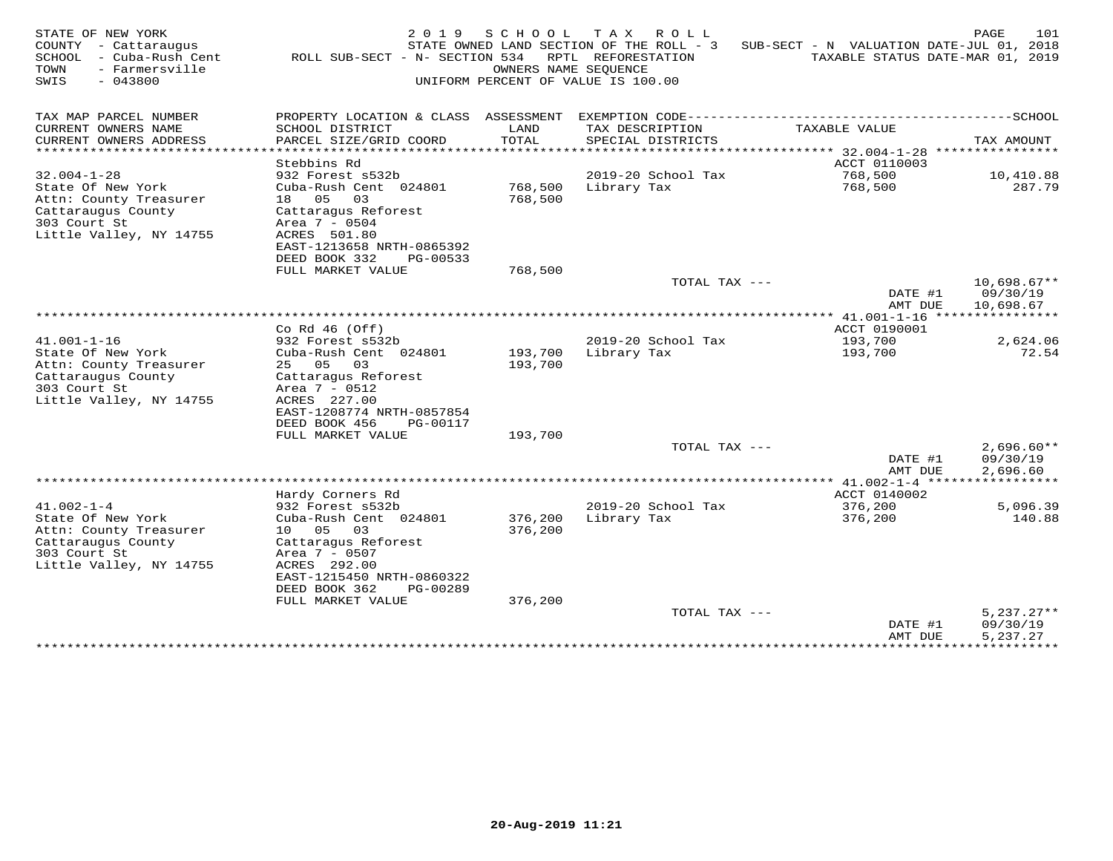| STATE OF NEW YORK<br>COUNTY<br>- Cattaraugus<br>SCHOOL<br>- Cuba-Rush Cent<br>TOWN<br>- Farmersville<br>SWIS<br>$-043800$        | 2019<br>ROLL SUB-SECT - N- SECTION 534                                                                                                                                                                              | SCHOOL<br>OWNERS NAME SEOUENCE | T A X<br>ROLL<br>STATE OWNED LAND SECTION OF THE ROLL - 3<br>RPTL REFORESTATION<br>UNIFORM PERCENT OF VALUE IS 100.00 | SUB-SECT - N VALUATION DATE-JUL 01, 2018 | 101<br>PAGE<br>TAXABLE STATUS DATE-MAR 01, 2019 |
|----------------------------------------------------------------------------------------------------------------------------------|---------------------------------------------------------------------------------------------------------------------------------------------------------------------------------------------------------------------|--------------------------------|-----------------------------------------------------------------------------------------------------------------------|------------------------------------------|-------------------------------------------------|
| TAX MAP PARCEL NUMBER                                                                                                            | PROPERTY LOCATION & CLASS ASSESSMENT                                                                                                                                                                                |                                |                                                                                                                       |                                          |                                                 |
| CURRENT OWNERS NAME<br>CURRENT OWNERS ADDRESS                                                                                    | SCHOOL DISTRICT<br>PARCEL SIZE/GRID COORD                                                                                                                                                                           | LAND<br>TOTAL                  | TAX DESCRIPTION<br>SPECIAL DISTRICTS                                                                                  | TAXABLE VALUE                            | TAX AMOUNT                                      |
| * * * * * * * * * * * * * * * * * * * *                                                                                          | .                                                                                                                                                                                                                   | *******                        |                                                                                                                       | ******* 32.004-1-28                      | ****************                                |
| $32.004 - 1 - 28$                                                                                                                | Stebbins Rd<br>932 Forest s532b                                                                                                                                                                                     |                                | 2019-20 School Tax                                                                                                    | ACCT 0110003<br>768,500                  | 10,410.88                                       |
| State Of New York<br>Attn: County Treasurer<br>Cattaraugus County<br>303 Court St<br>Little Valley, NY 14755                     | Cuba-Rush Cent 024801<br>18 05<br>03<br>Cattaragus Reforest<br>Area 7 - 0504<br>ACRES 501.80                                                                                                                        | 768,500<br>768,500             | Library Tax                                                                                                           | 768,500                                  | 287.79                                          |
|                                                                                                                                  | EAST-1213658 NRTH-0865392                                                                                                                                                                                           |                                |                                                                                                                       |                                          |                                                 |
|                                                                                                                                  | DEED BOOK 332<br>PG-00533<br>FULL MARKET VALUE                                                                                                                                                                      | 768,500                        |                                                                                                                       |                                          |                                                 |
|                                                                                                                                  |                                                                                                                                                                                                                     |                                | TOTAL TAX ---                                                                                                         | DATE #1<br>AMT DUE                       | $10,698.67**$<br>09/30/19<br>10,698.67          |
|                                                                                                                                  |                                                                                                                                                                                                                     |                                |                                                                                                                       |                                          |                                                 |
| $41.001 - 1 - 16$                                                                                                                | Co Rd $46$ (Off)<br>932 Forest s532b                                                                                                                                                                                |                                | 2019-20 School Tax                                                                                                    | ACCT 0190001<br>193,700                  | 2,624.06                                        |
| State Of New York<br>Attn: County Treasurer<br>Cattaraugus County<br>303 Court St<br>Little Valley, NY 14755                     | Cuba-Rush Cent 024801<br>25 05<br>03<br>Cattaragus Reforest<br>Area 7 - 0512<br>ACRES 227.00<br>EAST-1208774 NRTH-0857854<br>DEED BOOK 456<br>PG-00117                                                              | 193,700<br>193,700             | Library Tax                                                                                                           | 193,700                                  | 72.54                                           |
|                                                                                                                                  | FULL MARKET VALUE                                                                                                                                                                                                   | 193,700                        |                                                                                                                       |                                          |                                                 |
|                                                                                                                                  |                                                                                                                                                                                                                     |                                | TOTAL TAX ---                                                                                                         | DATE #1<br>AMT DUE                       | $2,696.60**$<br>09/30/19<br>2,696.60            |
|                                                                                                                                  |                                                                                                                                                                                                                     |                                |                                                                                                                       |                                          |                                                 |
| $41.002 - 1 - 4$<br>State Of New York<br>Attn: County Treasurer<br>Cattaraugus County<br>303 Court St<br>Little Valley, NY 14755 | Hardy Corners Rd<br>932 Forest s532b<br>Cuba-Rush Cent 024801<br>10 05<br>03<br>Cattaragus Reforest<br>Area 7 - 0507<br>ACRES 292.00<br>EAST-1215450 NRTH-0860322<br>DEED BOOK 362<br>PG-00289<br>FULL MARKET VALUE | 376,200<br>376,200<br>376,200  | 2019-20 School Tax<br>Library Tax                                                                                     | ACCT 0140002<br>376,200<br>376,200       | 5,096.39<br>140.88                              |
|                                                                                                                                  |                                                                                                                                                                                                                     |                                | TOTAL TAX ---                                                                                                         |                                          | $5,237.27**$                                    |
|                                                                                                                                  |                                                                                                                                                                                                                     |                                |                                                                                                                       | DATE #1<br>AMT DUE<br>**************     | 09/30/19<br>5,237.27<br>***********             |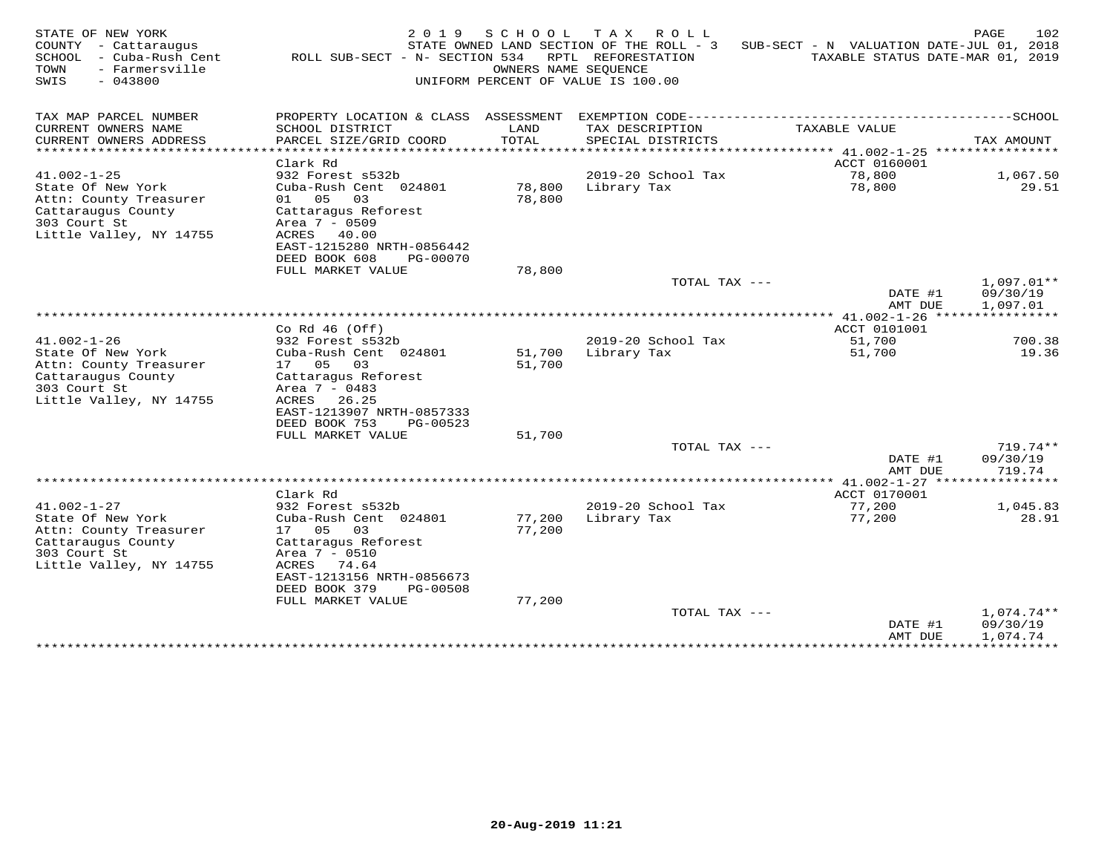| STATE OF NEW YORK<br>COUNTY - Cattaraugus<br>SCHOOL<br>- Cuba-Rush Cent<br>- Farmersville<br>TOWN<br>$-043800$<br>SWIS | 2 0 1 9<br>ROLL SUB-SECT - N- SECTION 534      | SCHOOL<br>OWNERS NAME SEOUENCE | T A X<br>R O L L<br>STATE OWNED LAND SECTION OF THE ROLL - 3<br>RPTL REFORESTATION<br>UNIFORM PERCENT OF VALUE IS 100.00 | SUB-SECT - N VALUATION DATE-JUL 01, 2018<br>TAXABLE STATUS DATE-MAR 01, 2019 | 102<br>PAGE            |
|------------------------------------------------------------------------------------------------------------------------|------------------------------------------------|--------------------------------|--------------------------------------------------------------------------------------------------------------------------|------------------------------------------------------------------------------|------------------------|
| TAX MAP PARCEL NUMBER                                                                                                  | PROPERTY LOCATION & CLASS ASSESSMENT           |                                |                                                                                                                          |                                                                              |                        |
| CURRENT OWNERS NAME                                                                                                    | SCHOOL DISTRICT                                | LAND                           | TAX DESCRIPTION                                                                                                          | TAXABLE VALUE                                                                |                        |
| CURRENT OWNERS ADDRESS<br>* * * * * * * * * * * * * * * * * * *                                                        | PARCEL SIZE/GRID COORD                         | TOTAL<br>******                | SPECIAL DISTRICTS                                                                                                        | ******** 41.002-1-25 *****************                                       | TAX AMOUNT             |
|                                                                                                                        | Clark Rd                                       |                                |                                                                                                                          | ACCT 0160001                                                                 |                        |
| $41.002 - 1 - 25$                                                                                                      | 932 Forest s532b                               |                                | 2019-20 School Tax                                                                                                       | 78,800                                                                       | 1,067.50               |
| State Of New York<br>Attn: County Treasurer                                                                            | Cuba-Rush Cent 024801<br>01 05<br>03           | 78,800<br>78,800               | Library Tax                                                                                                              | 78,800                                                                       | 29.51                  |
| Cattaraugus County                                                                                                     | Cattaragus Reforest                            |                                |                                                                                                                          |                                                                              |                        |
| 303 Court St                                                                                                           | Area 7 - 0509                                  |                                |                                                                                                                          |                                                                              |                        |
| Little Valley, NY 14755                                                                                                | ACRES 40.00<br>EAST-1215280 NRTH-0856442       |                                |                                                                                                                          |                                                                              |                        |
|                                                                                                                        | DEED BOOK 608<br>PG-00070                      |                                |                                                                                                                          |                                                                              |                        |
|                                                                                                                        | FULL MARKET VALUE                              | 78,800                         |                                                                                                                          |                                                                              |                        |
|                                                                                                                        |                                                |                                | TOTAL TAX ---                                                                                                            | DATE #1                                                                      | 1,097.01**<br>09/30/19 |
|                                                                                                                        |                                                |                                |                                                                                                                          | AMT DUE                                                                      | 1,097.01               |
|                                                                                                                        |                                                |                                |                                                                                                                          |                                                                              |                        |
| $41.002 - 1 - 26$                                                                                                      | Co Rd $46$ (Off)<br>932 Forest s532b           |                                | 2019-20 School Tax                                                                                                       | ACCT 0101001<br>51,700                                                       | 700.38                 |
| State Of New York                                                                                                      | Cuba-Rush Cent 024801                          | 51,700                         | Library Tax                                                                                                              | 51,700                                                                       | 19.36                  |
| Attn: County Treasurer                                                                                                 | 17 05<br>03                                    | 51,700                         |                                                                                                                          |                                                                              |                        |
| Cattaraugus County<br>303 Court St                                                                                     | Cattaragus Reforest<br>Area 7 - 0483           |                                |                                                                                                                          |                                                                              |                        |
| Little Valley, NY 14755                                                                                                | ACRES<br>26.25                                 |                                |                                                                                                                          |                                                                              |                        |
|                                                                                                                        | EAST-1213907 NRTH-0857333                      |                                |                                                                                                                          |                                                                              |                        |
|                                                                                                                        | DEED BOOK 753<br>PG-00523<br>FULL MARKET VALUE | 51,700                         |                                                                                                                          |                                                                              |                        |
|                                                                                                                        |                                                |                                | TOTAL TAX ---                                                                                                            |                                                                              | $719.74**$             |
|                                                                                                                        |                                                |                                |                                                                                                                          | DATE #1                                                                      | 09/30/19               |
|                                                                                                                        |                                                |                                |                                                                                                                          | AMT DUE<br>************** 41.002-1-27 *****************                      | 719.74                 |
|                                                                                                                        | Clark Rd                                       |                                |                                                                                                                          | ACCT 0170001                                                                 |                        |
| $41.002 - 1 - 27$                                                                                                      | 932 Forest s532b                               |                                | 2019-20 School Tax                                                                                                       | 77,200                                                                       | 1,045.83               |
| State Of New York<br>Attn: County Treasurer                                                                            | Cuba-Rush Cent 024801<br>17 05<br>03           | 77,200<br>77,200               | Library Tax                                                                                                              | 77,200                                                                       | 28.91                  |
| Cattaraugus County                                                                                                     | Cattaraqus Reforest                            |                                |                                                                                                                          |                                                                              |                        |
| 303 Court St                                                                                                           | Area 7 - 0510                                  |                                |                                                                                                                          |                                                                              |                        |
| Little Valley, NY 14755                                                                                                | ACRES 74.64<br>EAST-1213156 NRTH-0856673       |                                |                                                                                                                          |                                                                              |                        |
|                                                                                                                        | DEED BOOK 379<br>PG-00508                      |                                |                                                                                                                          |                                                                              |                        |
|                                                                                                                        | FULL MARKET VALUE                              | 77,200                         |                                                                                                                          |                                                                              |                        |
|                                                                                                                        |                                                |                                | TOTAL TAX ---                                                                                                            |                                                                              | 1,074.74**             |
|                                                                                                                        |                                                |                                |                                                                                                                          | DATE #1<br>AMT DUE                                                           | 09/30/19<br>1,074.74   |
|                                                                                                                        |                                                |                                |                                                                                                                          | ***************                                                              | ***********            |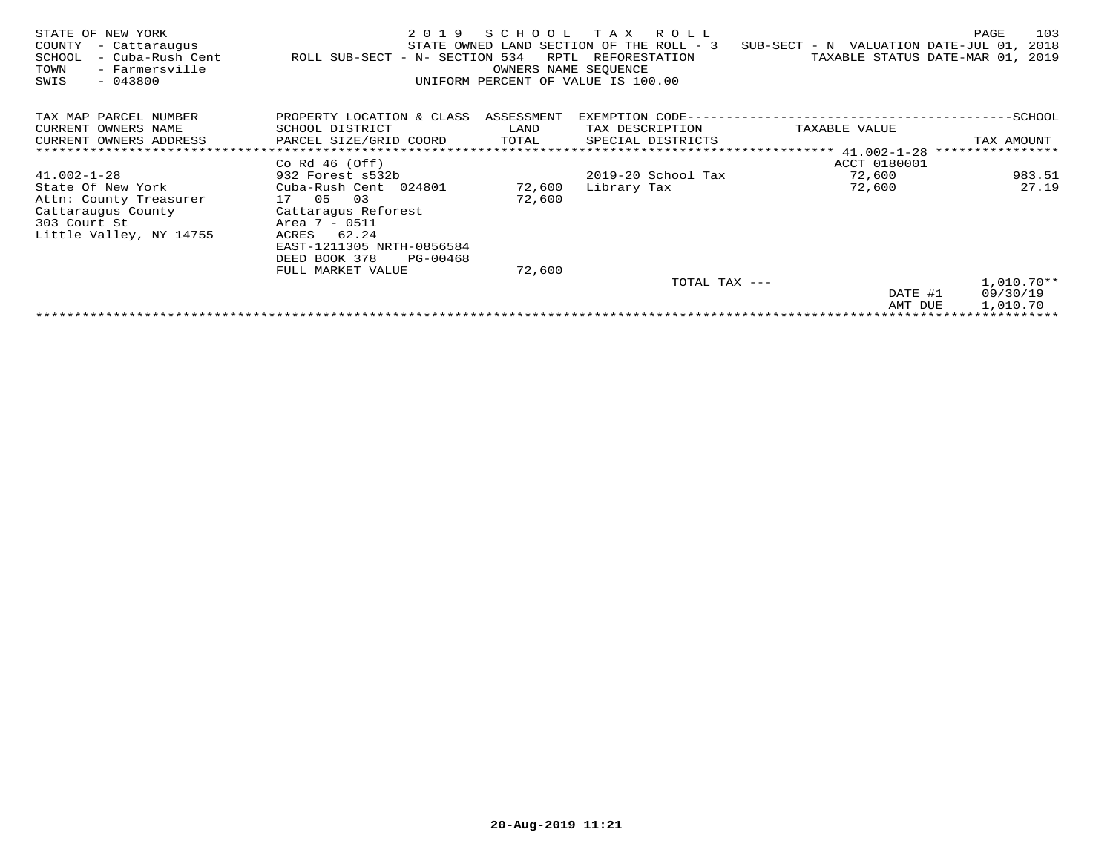| STATE OF NEW YORK<br>COUNTY<br>- Cattaraugus<br>- Cuba-Rush Cent<br>SCHOOL<br>TOWN<br>- Farmersville<br>SWIS<br>$-043800$ | 2019<br>ROLL SUB-SECT - N- SECTION 534 | SCHOOL<br>RPTL<br>OWNERS NAME SEQUENCE | T A X<br>R O L L<br>STATE OWNED LAND SECTION OF THE ROLL - 3<br>REFORESTATION<br>UNIFORM PERCENT OF VALUE IS 100.00 | SUB-SECT - N VALUATION DATE-JUL 01,<br>TAXABLE STATUS DATE-MAR 01, | 103<br>PAGE<br>2018<br>2019 |
|---------------------------------------------------------------------------------------------------------------------------|----------------------------------------|----------------------------------------|---------------------------------------------------------------------------------------------------------------------|--------------------------------------------------------------------|-----------------------------|
| TAX MAP PARCEL NUMBER                                                                                                     | PROPERTY LOCATION & CLASS ASSESSMENT   |                                        | EXEMPTION CODE--                                                                                                    |                                                                    | $-$ SCHOOL                  |
| CURRENT OWNERS NAME                                                                                                       | SCHOOL DISTRICT                        | LAND                                   | TAX DESCRIPTION                                                                                                     | TAXABLE VALUE                                                      |                             |
| CURRENT OWNERS ADDRESS                                                                                                    | PARCEL SIZE/GRID COORD                 | TOTAL                                  | SPECIAL DISTRICTS                                                                                                   |                                                                    | TAX AMOUNT                  |
|                                                                                                                           |                                        |                                        |                                                                                                                     | ********************* 41.002-1-28                                  | ****************            |
|                                                                                                                           | Co Rd $46$ (Off)                       |                                        |                                                                                                                     | ACCT 0180001                                                       |                             |
| $41.002 - 1 - 28$                                                                                                         | 932 Forest s532b                       |                                        | 2019-20 School Tax                                                                                                  | 72,600                                                             | 983.51                      |
| State Of New York                                                                                                         | Cuba-Rush Cent 024801                  | 72,600                                 | Library Tax                                                                                                         | 72,600                                                             | 27.19                       |
| Attn: County Treasurer                                                                                                    | 17 05<br>03                            | 72,600                                 |                                                                                                                     |                                                                    |                             |
| Cattaraugus County                                                                                                        | Cattaragus Reforest                    |                                        |                                                                                                                     |                                                                    |                             |
| 303 Court St                                                                                                              | Area 7 - 0511                          |                                        |                                                                                                                     |                                                                    |                             |
| Little Valley, NY 14755                                                                                                   | 62.24<br>ACRES                         |                                        |                                                                                                                     |                                                                    |                             |
|                                                                                                                           | EAST-1211305 NRTH-0856584              |                                        |                                                                                                                     |                                                                    |                             |
|                                                                                                                           | DEED BOOK 378<br>PG-00468              |                                        |                                                                                                                     |                                                                    |                             |
|                                                                                                                           | FULL MARKET VALUE                      | 72,600                                 |                                                                                                                     |                                                                    |                             |
|                                                                                                                           |                                        |                                        | TOTAL TAX ---                                                                                                       |                                                                    | $1,010.70**$                |
|                                                                                                                           |                                        |                                        |                                                                                                                     | DATE #1                                                            | 09/30/19                    |
|                                                                                                                           |                                        |                                        |                                                                                                                     | AMT DUE                                                            | 1,010.70                    |
|                                                                                                                           |                                        |                                        |                                                                                                                     |                                                                    |                             |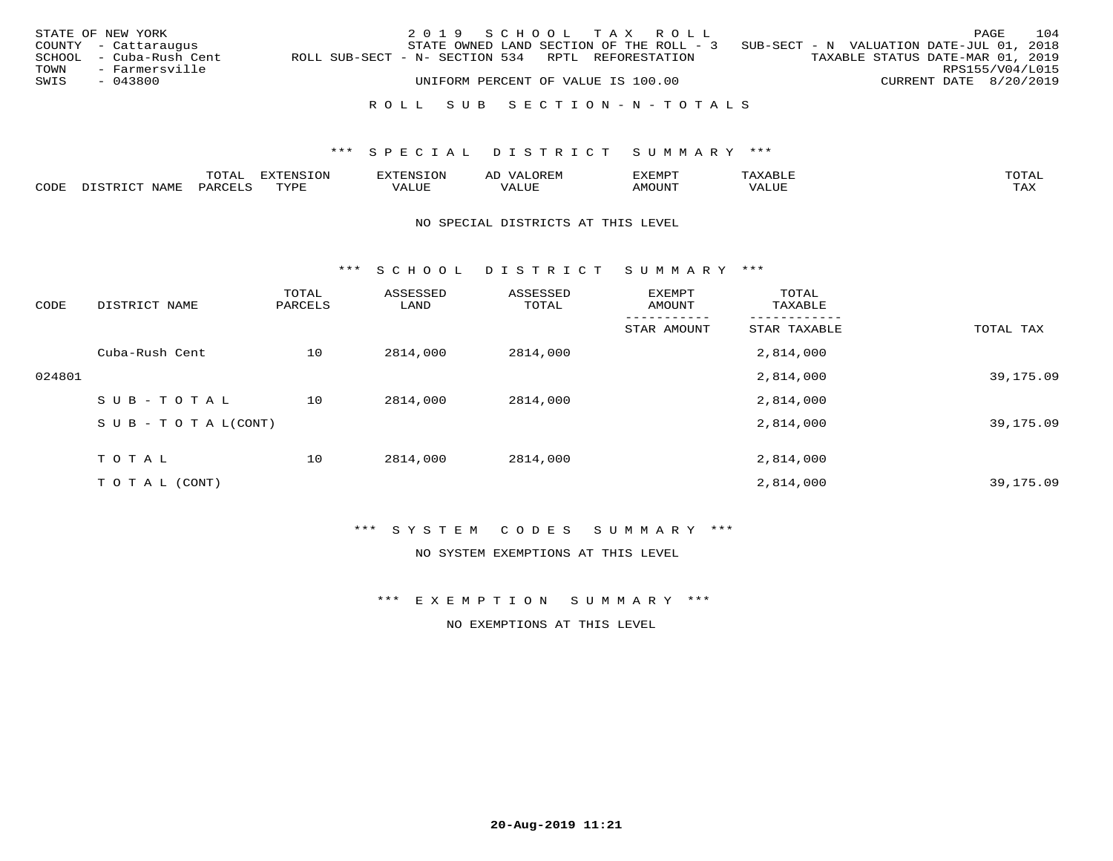|      | STATE OF NEW YORK       |                                                   | 2019 SCHOOL TAX ROLL               |  |                                                                                   |  |                                  | PAGE            | 104 |
|------|-------------------------|---------------------------------------------------|------------------------------------|--|-----------------------------------------------------------------------------------|--|----------------------------------|-----------------|-----|
|      | COUNTY - Cattaraugus    |                                                   |                                    |  | STATE OWNED LAND SECTION OF THE ROLL - 3 SUB-SECT - N VALUATION DATE-JUL 01, 2018 |  |                                  |                 |     |
|      | SCHOOL - Cuba-Rush Cent | ROLL SUB-SECT - N- SECTION 534 RPTL REFORESTATION |                                    |  |                                                                                   |  | TAXABLE STATUS DATE-MAR 01, 2019 |                 |     |
| TOWN | - Farmersville          |                                                   |                                    |  |                                                                                   |  |                                  | RPS155/V04/L015 |     |
| SWIS | - 043800                |                                                   | UNIFORM PERCENT OF VALUE IS 100.00 |  |                                                                                   |  | CURRENT DATE 8/20/2019           |                 |     |
|      |                         |                                                   |                                    |  |                                                                                   |  |                                  |                 |     |
|      |                         |                                                   | ROLL SUB SECTION-N-TOTALS          |  |                                                                                   |  |                                  |                 |     |

### \*\*\* S P E C I A L D I S T R I C T S U M M A R Y \*\*\*

|      | $m \wedge m \wedge n$ | $T^{\sim}$<br>pszmpatoj<br>LUP | $\sim$ | ,,, <del>,</del> ,,, <del>,</del> ,<br>. ب<br>التلذذك |            | $m \wedge m$       |
|------|-----------------------|--------------------------------|--------|-------------------------------------------------------|------------|--------------------|
| CDDE |                       | TVDF                           |        |                                                       | $\Delta$ . | $- - - -$<br>. ris |

#### NO SPECIAL DISTRICTS AT THIS LEVEL

\*\*\* S C H O O L D I S T R I C T S U M M A R Y \*\*\*

| CODE<br>DISTRICT NAME |                                  | TOTAL<br>PARCELS | ASSESSED<br>LAND | ASSESSED<br>TOTAL | EXEMPT<br>AMOUNT | TOTAL<br>TAXABLE |           |
|-----------------------|----------------------------------|------------------|------------------|-------------------|------------------|------------------|-----------|
|                       |                                  |                  |                  |                   | STAR AMOUNT      | STAR TAXABLE     | TOTAL TAX |
|                       | Cuba-Rush Cent                   | 10               | 2814,000         | 2814,000          |                  | 2,814,000        |           |
| 024801                |                                  |                  |                  |                   |                  | 2,814,000        | 39,175.09 |
|                       | SUB-TOTAL                        | 10               | 2814,000         | 2814,000          |                  | 2,814,000        |           |
|                       | $S \cup B - T \cup T A L (CONT)$ |                  |                  |                   |                  | 2,814,000        | 39,175.09 |
|                       | TOTAL                            | 10               | 2814,000         | 2814,000          |                  | 2,814,000        |           |
|                       | T O T A L (CONT)                 |                  |                  |                   |                  | 2,814,000        | 39,175.09 |

\*\*\* S Y S T E M C O D E S S U M M A R Y \*\*\*

NO SYSTEM EXEMPTIONS AT THIS LEVEL

\*\*\* E X E M P T I O N S U M M A R Y \*\*\*

NO EXEMPTIONS AT THIS LEVEL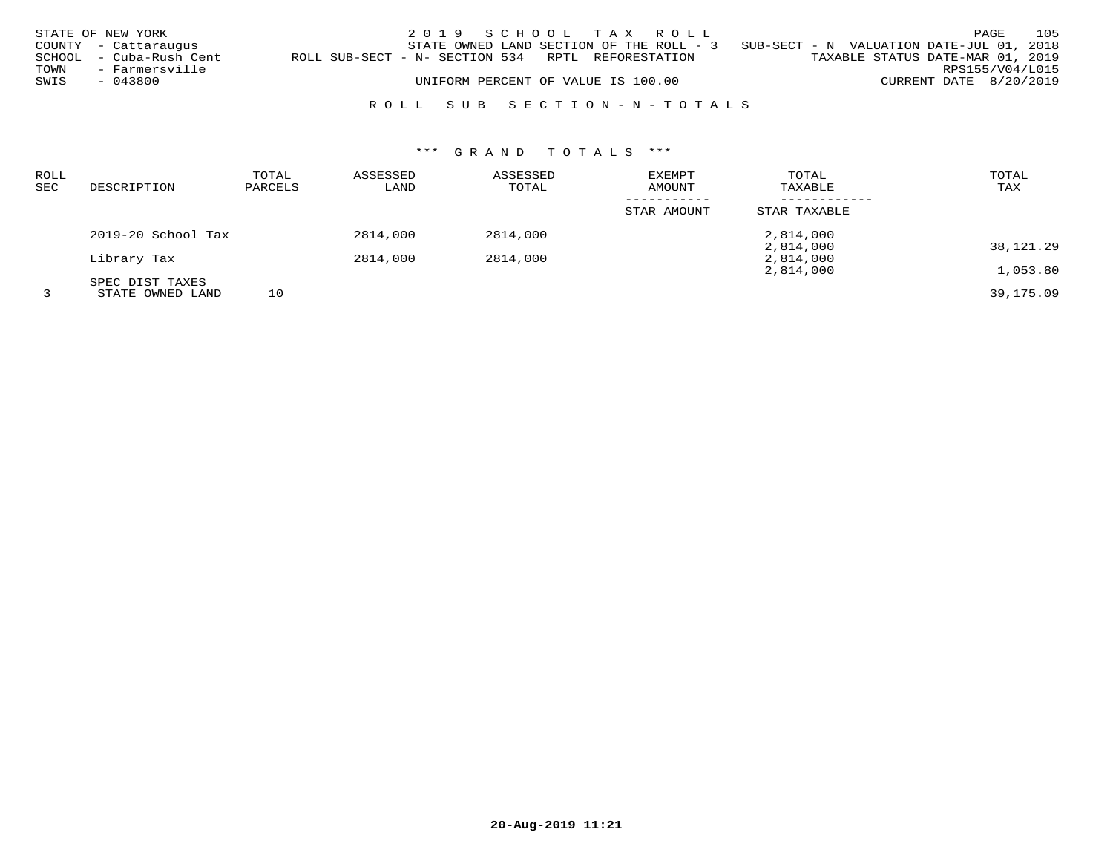|      | STATE OF NEW YORK       |                                                   | 2019 SCHOOL TAX ROLL               |  |  |                                                                                   |                                  |                        | PAGE | 105 |
|------|-------------------------|---------------------------------------------------|------------------------------------|--|--|-----------------------------------------------------------------------------------|----------------------------------|------------------------|------|-----|
|      | COUNTY - Cattaraugus    |                                                   |                                    |  |  | STATE OWNED LAND SECTION OF THE ROLL - 3 SUB-SECT - N VALUATION DATE-JUL 01, 2018 |                                  |                        |      |     |
|      | SCHOOL - Cuba-Rush Cent | ROLL SUB-SECT - N- SECTION 534 RPTL REFORESTATION |                                    |  |  |                                                                                   | TAXABLE STATUS DATE-MAR 01, 2019 |                        |      |     |
| TOWN | - Farmersville          |                                                   |                                    |  |  |                                                                                   |                                  | RPS155/V04/L015        |      |     |
| SWIS | - 043800                |                                                   | UNIFORM PERCENT OF VALUE IS 100.00 |  |  |                                                                                   |                                  | CURRENT DATE 8/20/2019 |      |     |
|      |                         |                                                   |                                    |  |  |                                                                                   |                                  |                        |      |     |

## R O L L S U B S E C T I O N - N - T O T A L S

# \*\*\* G R A N D T O T A L S \*\*\*

| <b>ROLL</b><br>SEC | DESCRIPTION        | TOTAL<br>PARCELS | ASSESSED<br>LAND | ASSESSED<br>TOTAL | <b>EXEMPT</b><br>AMOUNT | TOTAL<br>TAXABLE | TOTAL<br>TAX |
|--------------------|--------------------|------------------|------------------|-------------------|-------------------------|------------------|--------------|
|                    |                    |                  |                  |                   | STAR AMOUNT             | STAR TAXABLE     |              |
|                    | 2019-20 School Tax |                  | 2814,000         | 2814,000          |                         | 2,814,000        |              |
|                    |                    |                  |                  |                   |                         | 2,814,000        | 38,121.29    |
|                    | Library Tax        |                  | 2814,000         | 2814,000          |                         | 2,814,000        |              |
|                    |                    |                  |                  |                   |                         | 2,814,000        | 1,053.80     |
|                    | SPEC DIST TAXES    |                  |                  |                   |                         |                  |              |
|                    | STATE OWNED LAND   | 10               |                  |                   |                         |                  | 39,175.09    |

**20-Aug-2019 11:21**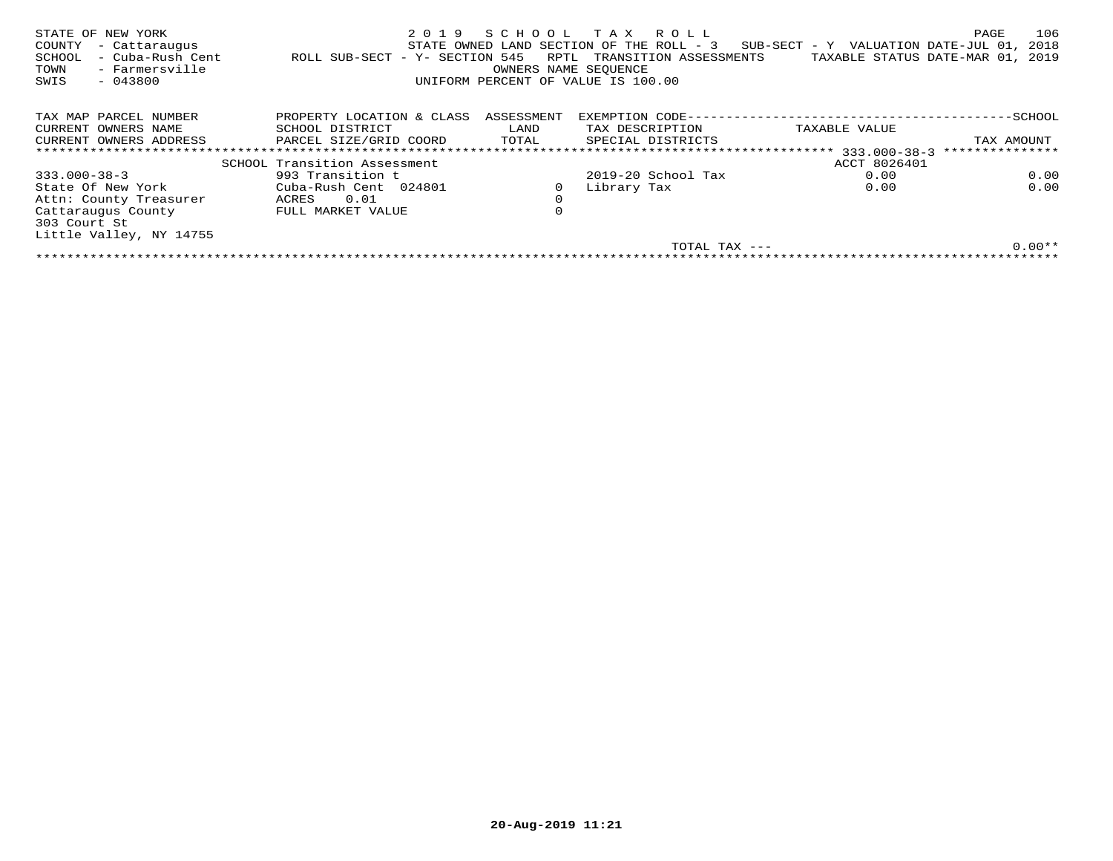| STATE OF NEW YORK<br>COUNTY<br>- Cattaraugus<br>- Cuba-Rush Cent<br>SCHOOL<br>- Farmersville<br>TOWN<br>$-043800$<br>SWIS | 2019<br>ROLL SUB-SECT - Y- SECTION 545 | SCHOOL<br>RPTL<br>OWNERS NAME SEQUENCE | TAX ROLL<br>STATE OWNED LAND SECTION OF THE ROLL - 3<br>TRANSITION ASSESSMENTS<br>UNIFORM PERCENT OF VALUE IS 100.00 | $SUB-SECTION - Y$ VALUATION DATE-JUL 01,<br>TAXABLE STATUS DATE-MAR 01, | 106<br>PAGE<br>2018<br>2019 |
|---------------------------------------------------------------------------------------------------------------------------|----------------------------------------|----------------------------------------|----------------------------------------------------------------------------------------------------------------------|-------------------------------------------------------------------------|-----------------------------|
| TAX MAP PARCEL NUMBER                                                                                                     | PROPERTY LOCATION & CLASS              | ASSESSMENT                             | EXEMPTION CODE---                                                                                                    |                                                                         | -SCHOOL                     |
| CURRENT OWNERS NAME                                                                                                       | SCHOOL DISTRICT                        | LAND                                   | TAX DESCRIPTION                                                                                                      | TAXABLE VALUE                                                           |                             |
| CURRENT OWNERS ADDRESS                                                                                                    | PARCEL SIZE/GRID COORD                 | TOTAL                                  | SPECIAL DISTRICTS                                                                                                    |                                                                         | TAX AMOUNT                  |
|                                                                                                                           |                                        |                                        |                                                                                                                      | * * * * * * * * * * * * *<br>333.000-38-3                               | ***************             |
|                                                                                                                           | SCHOOL Transition Assessment           |                                        |                                                                                                                      | ACCT 8026401                                                            |                             |
| $333.000 - 38 - 3$                                                                                                        | 993 Transition t                       |                                        | $2019-20$ School Tax                                                                                                 | 0.00                                                                    | 0.00                        |
| State Of New York                                                                                                         | Cuba-Rush Cent 024801                  | $\circ$                                | Library Tax                                                                                                          | 0.00                                                                    | 0.00                        |
| Attn: County Treasurer                                                                                                    | 0.01<br>ACRES                          | 0                                      |                                                                                                                      |                                                                         |                             |
| Cattaraugus County<br>303 Court St                                                                                        | FULL MARKET VALUE                      | 0                                      |                                                                                                                      |                                                                         |                             |
| Little Valley, NY 14755                                                                                                   |                                        |                                        |                                                                                                                      |                                                                         |                             |
|                                                                                                                           |                                        |                                        | TOTAL TAX ---                                                                                                        |                                                                         | $0.00**$                    |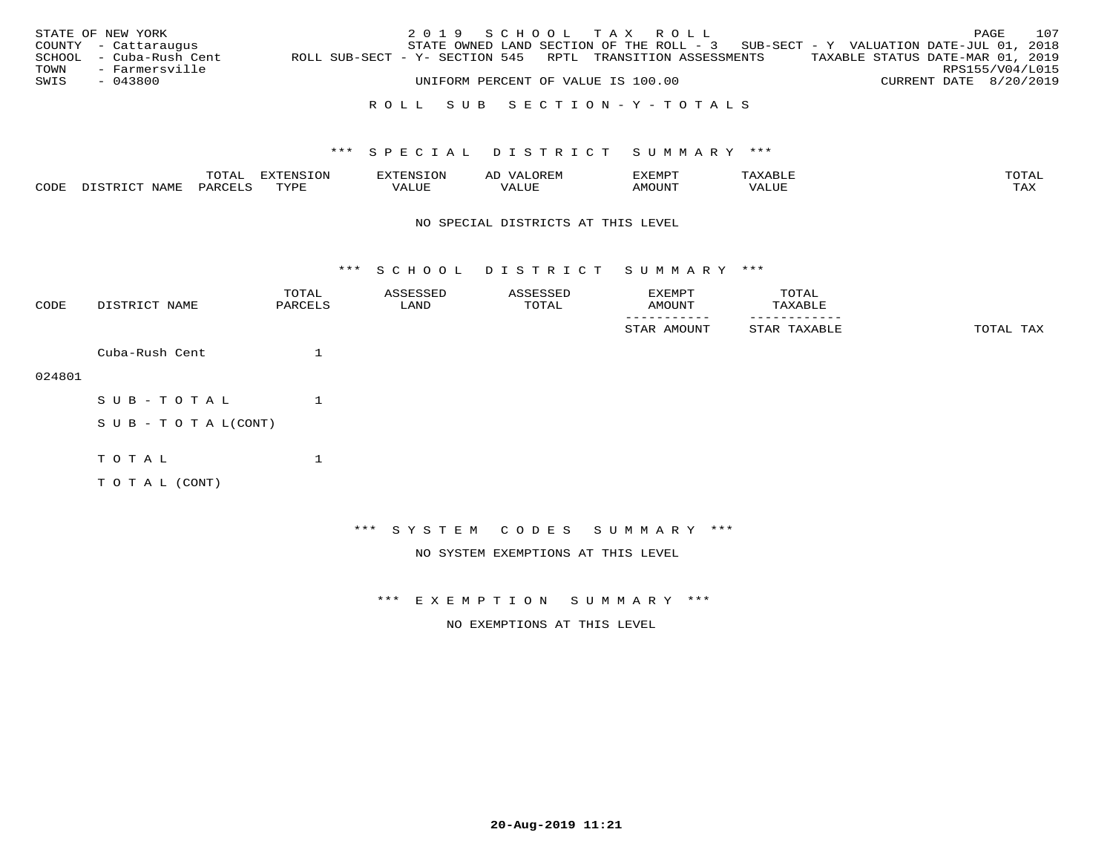|      | STATE OF NEW YORK       |  | 2019 SCHOOL TAX ROLL               |                                                                                   |                                  | PAGE                   | 107 |
|------|-------------------------|--|------------------------------------|-----------------------------------------------------------------------------------|----------------------------------|------------------------|-----|
|      | COUNTY - Cattaraugus    |  |                                    | STATE OWNED LAND SECTION OF THE ROLL - 3 SUB-SECT - Y VALUATION DATE-JUL 01, 2018 |                                  |                        |     |
|      | SCHOOL - Cuba-Rush Cent |  |                                    | ROLL SUB-SECT - Y- SECTION 545 RPTL TRANSITION ASSESSMENTS                        | TAXABLE STATUS DATE-MAR 01, 2019 |                        |     |
| TOWN | - Farmersville          |  |                                    |                                                                                   |                                  | RPS155/V04/L015        |     |
| SWIS | - 043800                |  | UNIFORM PERCENT OF VALUE IS 100.00 |                                                                                   |                                  | CURRENT DATE 8/20/2019 |     |
|      |                         |  |                                    |                                                                                   |                                  |                        |     |

## R O L L S U B S E C T I O N - Y - T O T A L S

## \*\*\* S P E C I A L D I S T R I C T S U M M A R Y \*\*\*

|              |      | $m \wedge m \wedge n$<br>TO TUTT. | .<br><b>STRACTOR</b> |                      | .                 | ,,, <del>,</del> ,,, <del>,</del><br>۔ ب<br>┙┻┺┅╒ |          | $m \wedge m \wedge n$ |
|--------------|------|-----------------------------------|----------------------|----------------------|-------------------|---------------------------------------------------|----------|-----------------------|
| CDF<br>- - - | NAME | PARCF <sup>-</sup>                | TUTT<br>۲۰ - سار سال | 77\TTTT <del>.</del> | $- - - -$<br>ALUI | LMOUNT                                            | $\Delta$ | $m \times r$<br>- −-  |

#### NO SPECIAL DISTRICTS AT THIS LEVEL

\*\*\* S C H O O L D I S T R I C T S U M M A R Y \*\*\*

| CODE   | DISTRICT NAME              | TOTAL<br>PARCELS | ASSESSED<br>LAND | ASSESSED<br>TOTAL                  | EXEMPT<br>AMOUNT             | TOTAL<br>TAXABLE |           |
|--------|----------------------------|------------------|------------------|------------------------------------|------------------------------|------------------|-----------|
|        |                            |                  |                  |                                    | STAR AMOUNT                  | STAR TAXABLE     | TOTAL TAX |
|        | Cuba-Rush Cent             |                  |                  |                                    |                              |                  |           |
| 024801 |                            |                  |                  |                                    |                              |                  |           |
|        | SUB-TOTAL                  |                  |                  |                                    |                              |                  |           |
|        | S U B - T O T A $L$ (CONT) |                  |                  |                                    |                              |                  |           |
|        | TOTAL                      |                  |                  |                                    |                              |                  |           |
|        | TO TAL (CONT)              |                  |                  |                                    |                              |                  |           |
|        |                            |                  |                  |                                    |                              |                  |           |
|        |                            |                  |                  |                                    | *** SYSTEM CODES SUMMARY *** |                  |           |
|        |                            |                  |                  | NO SYSTEM EXEMPTIONS AT THIS LEVEL |                              |                  |           |

\*\*\* E X E M P T I O N S U M M A R Y \*\*\*

NO EXEMPTIONS AT THIS LEVEL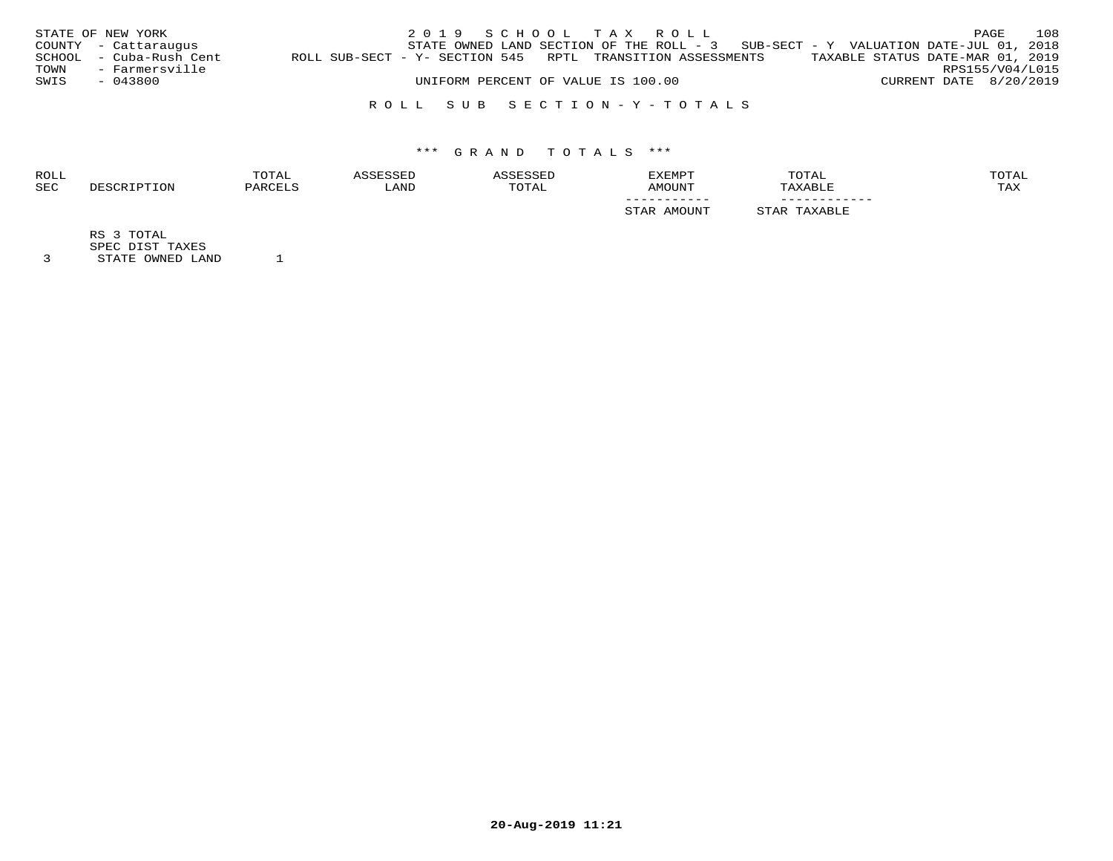|      | STATE OF NEW YORK       |                                                            |  |  | 2019 SCHOOL TAX ROLL               |                                                                                     |                                  |                        | PAGE | 108 |
|------|-------------------------|------------------------------------------------------------|--|--|------------------------------------|-------------------------------------------------------------------------------------|----------------------------------|------------------------|------|-----|
|      | COUNTY - Cattaraugus    |                                                            |  |  |                                    | STATE OWNED LAND SECTION OF THE ROLL - $3$ SUB-SECT - Y VALUATION DATE-JUL 01, 2018 |                                  |                        |      |     |
|      | SCHOOL - Cuba-Rush Cent | ROLL SUB-SECT - Y- SECTION 545 RPTL TRANSITION ASSESSMENTS |  |  |                                    |                                                                                     | TAXABLE STATUS DATE-MAR 01, 2019 |                        |      |     |
| TOWN | - Farmersville          |                                                            |  |  |                                    |                                                                                     |                                  | RPS155/V04/L015        |      |     |
| SWIS | - 043800                |                                                            |  |  | UNIFORM PERCENT OF VALUE IS 100.00 |                                                                                     |                                  | CURRENT DATE 8/20/2019 |      |     |
|      |                         |                                                            |  |  |                                    |                                                                                     |                                  |                        |      |     |

## R O L L S U B S E C T I O N - Y - T O T A L S

# \*\*\* G R A N D T O T A L S \*\*\*

| <b>ROLL</b> |             | TOTAL   | ASSESSED | SSESSED | <b>EXEMPT</b>             | TOTAL                       | TOTAL |
|-------------|-------------|---------|----------|---------|---------------------------|-----------------------------|-------|
| <b>SEC</b>  | DESCRIPTION | PARCELS | LAND     | TOTAL   | AMOUNT                    | TAXABLE                     | TAX   |
|             |             |         |          |         | __________<br>STAR AMOUNT | ___________<br>STAR TAXABLE |       |
|             | TOTAL<br>RS |         |          |         |                           |                             |       |

SPEC DIST TAXES

3 STATE OWNED LAND 1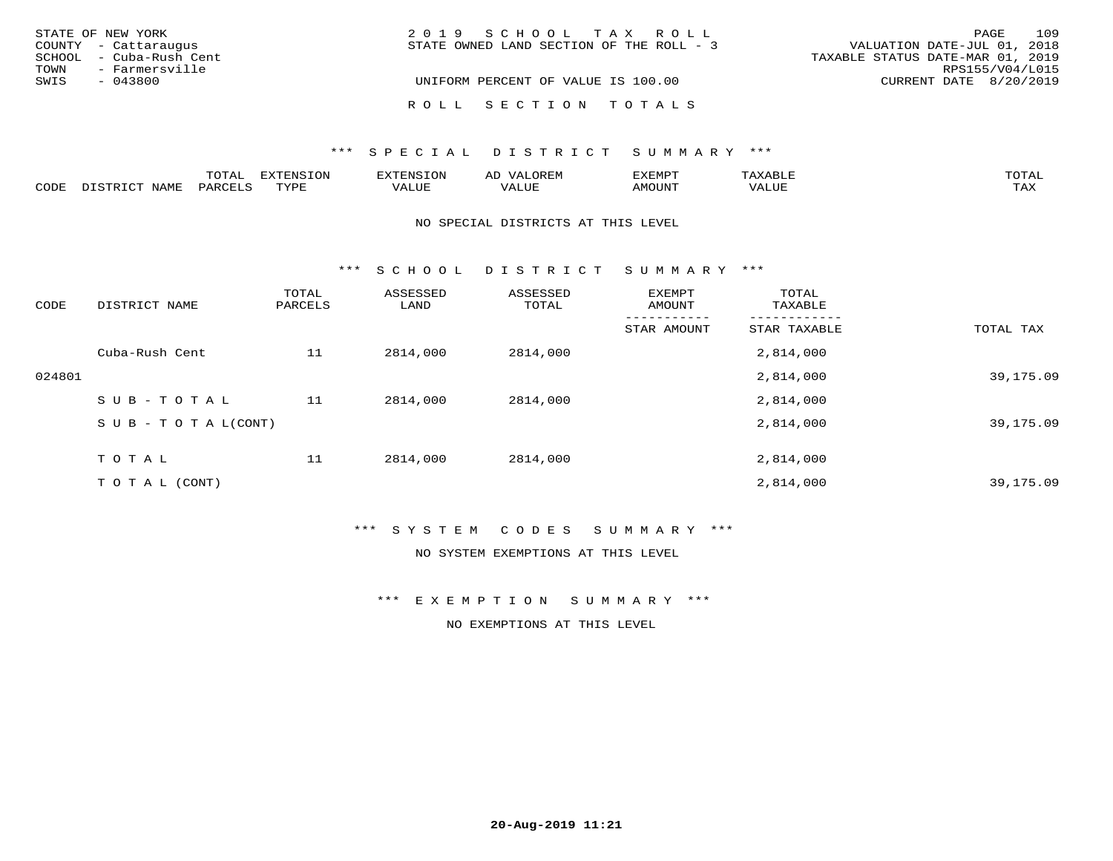|      | STATE OF NEW YORK       | 2019 SCHOOL TAX ROLL                                                    | PAGE            | 109 |
|------|-------------------------|-------------------------------------------------------------------------|-----------------|-----|
|      | COUNTY - Cattaraugus    | VALUATION DATE-JUL 01, 2018<br>STATE OWNED LAND SECTION OF THE ROLL - 3 |                 |     |
|      | SCHOOL - Cuba-Rush Cent | TAXABLE STATUS DATE-MAR 01, 2019                                        |                 |     |
| TOWN | - Farmersville          |                                                                         | RPS155/V04/L015 |     |
| SWIS | $-043800$               | UNIFORM PERCENT OF VALUE IS 100.00<br>CURRENT DATE 8/20/2019            |                 |     |
|      |                         |                                                                         |                 |     |
|      |                         | ROLL SECTION TOTALS                                                     |                 |     |

|      |                            | ᇚᄉᇚᅔ<br>LUIAL | <b>DIZPOILIC TONT</b><br><b>1115</b><br>- UIY | .N.                 | AL<br>JR BIV | ,,, <del>,</del> ,,,,,,, | AXABLE                 | π∩πΔ       |
|------|----------------------------|---------------|-----------------------------------------------|---------------------|--------------|--------------------------|------------------------|------------|
| CODE | <b>NTAMT</b><br>- 12 - 14⊔ | PAR(          | TVDF                                          | $T$ $T$ $T$<br>ALUP | T T T T      | <b>AMOUNT</b>            | T T T T<br>' A<br>Alur | TAY<br>∸∽∸ |

#### NO SPECIAL DISTRICTS AT THIS LEVEL

\*\*\* S C H O O L D I S T R I C T S U M M A R Y \*\*\*

| CODE   | DISTRICT NAME                    | TOTAL<br>PARCELS | ASSESSED<br>LAND | ASSESSED<br>TOTAL | EXEMPT<br>AMOUNT | TOTAL<br>TAXABLE |           |
|--------|----------------------------------|------------------|------------------|-------------------|------------------|------------------|-----------|
|        |                                  |                  |                  |                   | STAR AMOUNT      | STAR TAXABLE     | TOTAL TAX |
|        | Cuba-Rush Cent                   | 11               | 2814,000         | 2814,000          |                  | 2,814,000        |           |
| 024801 |                                  |                  |                  |                   |                  | 2,814,000        | 39,175.09 |
|        | SUB-TOTAL                        | 11               | 2814,000         | 2814,000          |                  | 2,814,000        |           |
|        | $S \cup B - T \cup T A L (CONT)$ |                  |                  |                   |                  | 2,814,000        | 39,175.09 |
|        | TOTAL                            | 11               | 2814,000         | 2814,000          |                  | 2,814,000        |           |
|        | T O T A L (CONT)                 |                  |                  |                   |                  | 2,814,000        | 39,175.09 |

## \*\*\* S Y S T E M C O D E S S U M M A R Y \*\*\*

## NO SYSTEM EXEMPTIONS AT THIS LEVEL

\*\*\* E X E M P T I O N S U M M A R Y \*\*\*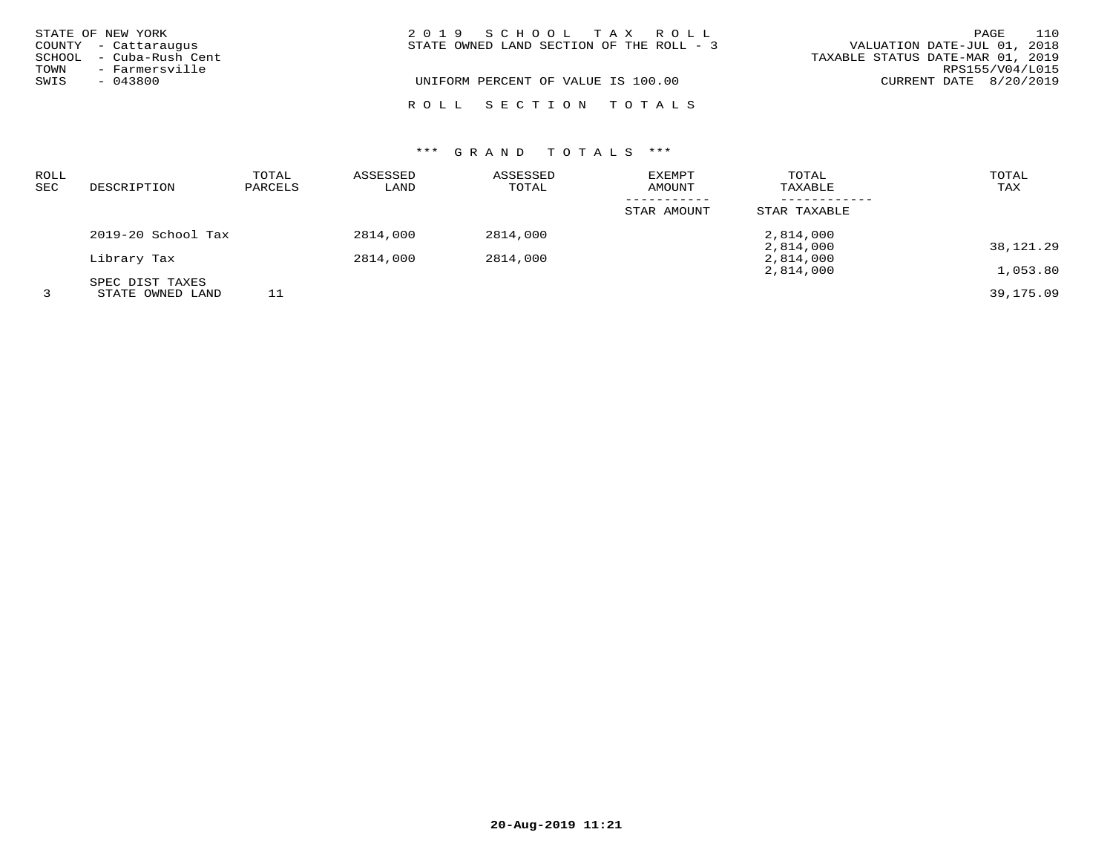| STATE OF NEW YORK<br>COUNTY - Cattaraugus |                                                        | 2019 SCHOOL TAX ROLL<br>STATE OWNED LAND SECTION OF THE ROLL - 3 | 110<br>PAGE<br>VALUATION DATE-JUL 01, 2018                                      |
|-------------------------------------------|--------------------------------------------------------|------------------------------------------------------------------|---------------------------------------------------------------------------------|
| TOWN<br>SWIS                              | SCHOOL - Cuba-Rush Cent<br>- Farmersville<br>$-043800$ | UNIFORM PERCENT OF VALUE IS 100.00                               | TAXABLE STATUS DATE-MAR 01, 2019<br>RPS155/V04/L015<br>CURRENT DATE $8/20/2019$ |
|                                           |                                                        | ROLL SECTION TOTALS                                              |                                                                                 |

| <b>ROLL</b><br><b>SEC</b> | DESCRIPTION        | TOTAL<br>PARCELS | ASSESSED<br>LAND | ASSESSED<br>TOTAL | EXEMPT<br>AMOUNT | TOTAL<br>TAXABLE | TOTAL<br>TAX |
|---------------------------|--------------------|------------------|------------------|-------------------|------------------|------------------|--------------|
|                           |                    |                  |                  |                   | STAR AMOUNT      | STAR TAXABLE     |              |
|                           | 2019-20 School Tax |                  | 2814,000         | 2814,000          |                  | 2,814,000        |              |
|                           |                    |                  |                  |                   |                  | 2,814,000        | 38,121.29    |
|                           | Library Tax        |                  | 2814,000         | 2814,000          |                  | 2,814,000        |              |
|                           |                    |                  |                  |                   |                  | 2,814,000        | 1,053.80     |
|                           | SPEC DIST TAXES    |                  |                  |                   |                  |                  |              |
|                           | STATE OWNED LAND   | 11               |                  |                   |                  |                  | 39,175.09    |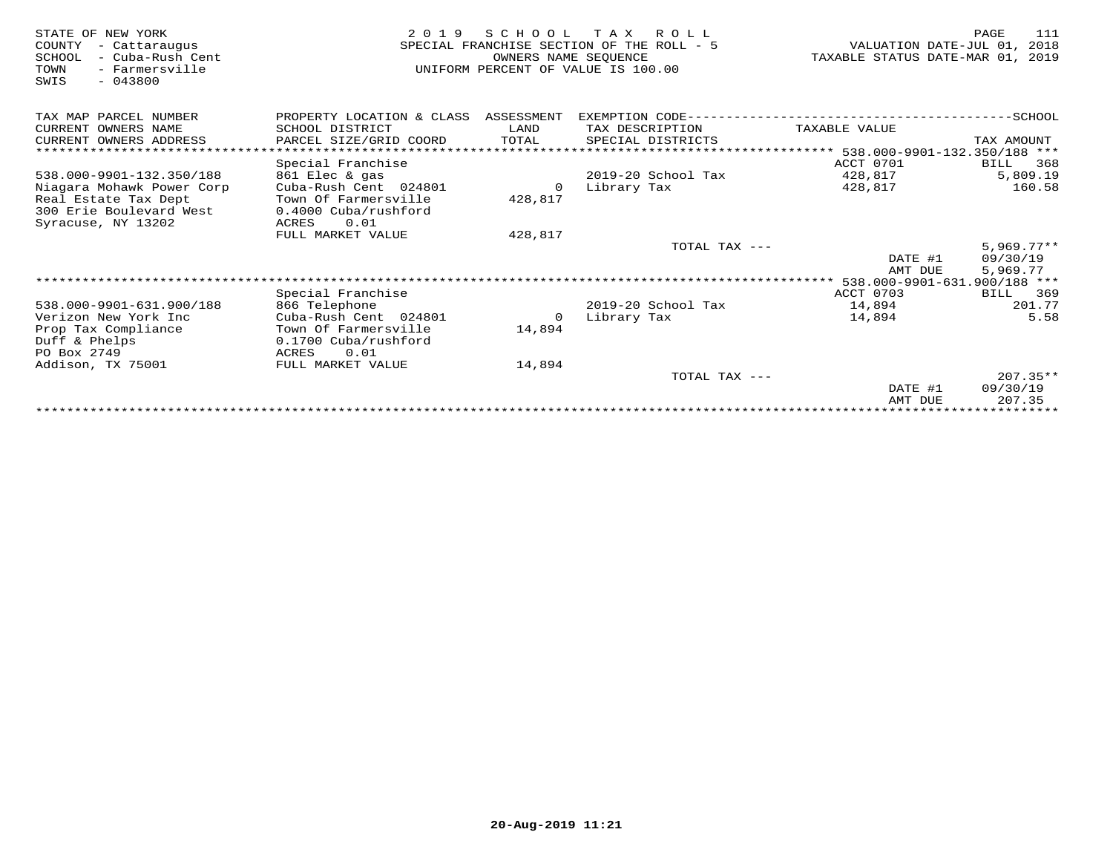| STATE OF NEW YORK<br>COUNTY<br>- Cattaraugus<br>- Cuba-Rush Cent<br>SCHOOL<br>- Farmersville<br>TOWN<br>$-043800$<br>SWIS | 2 0 1 9                                | SCHOOL<br>OWNERS NAME SEOUENCE | T A X<br>R O L L<br>SPECIAL FRANCHISE SECTION OF THE ROLL - 5<br>UNIFORM PERCENT OF VALUE IS 100.00 | VALUATION DATE-JUL 01,<br>TAXABLE STATUS DATE-MAR 01, | PAGE<br>111<br>2018<br>2019 |
|---------------------------------------------------------------------------------------------------------------------------|----------------------------------------|--------------------------------|-----------------------------------------------------------------------------------------------------|-------------------------------------------------------|-----------------------------|
| TAX MAP PARCEL NUMBER                                                                                                     | PROPERTY LOCATION & CLASS              | ASSESSMENT                     | EXEMPTION CODE----------------------------                                                          |                                                       | --------------SCHOOL        |
| CURRENT OWNERS NAME                                                                                                       | SCHOOL DISTRICT                        | LAND                           | TAX DESCRIPTION                                                                                     | TAXABLE VALUE                                         |                             |
| CURRENT OWNERS ADDRESS                                                                                                    | PARCEL SIZE/GRID COORD                 | TOTAL                          | SPECIAL DISTRICTS                                                                                   |                                                       | TAX AMOUNT                  |
|                                                                                                                           | ************************************** |                                |                                                                                                     | ***************** 538.000-9901-132.350/188 ***        |                             |
|                                                                                                                           | Special Franchise                      |                                |                                                                                                     | ACCT 0701                                             | 368<br>BILL                 |
| 538.000-9901-132.350/188                                                                                                  | 861 Elec & gas                         |                                | $2019-20$ School Tax                                                                                | 428,817                                               | 5,809.19                    |
| Niagara Mohawk Power Corp                                                                                                 | Cuba-Rush Cent 024801                  |                                | Library Tax                                                                                         | 428,817                                               | 160.58                      |
| Real Estate Tax Dept<br>300 Erie Boulevard West                                                                           | Town Of Farmersville                   | 428,817                        |                                                                                                     |                                                       |                             |
| Syracuse, NY 13202                                                                                                        | 0.4000 Cuba/rushford<br>0.01<br>ACRES  |                                |                                                                                                     |                                                       |                             |
|                                                                                                                           | FULL MARKET VALUE                      | 428,817                        |                                                                                                     |                                                       |                             |
|                                                                                                                           |                                        |                                | TOTAL TAX ---                                                                                       |                                                       | $5,969.77**$                |
|                                                                                                                           |                                        |                                |                                                                                                     | DATE #1                                               | 09/30/19                    |
|                                                                                                                           |                                        |                                |                                                                                                     | AMT DUE                                               | 5,969.77                    |
|                                                                                                                           |                                        |                                |                                                                                                     |                                                       |                             |
|                                                                                                                           | Special Franchise                      |                                |                                                                                                     | ACCT 0703                                             | 369<br>BILL                 |
| 538.000-9901-631.900/188                                                                                                  | 866 Telephone                          |                                | 2019-20 School Tax                                                                                  | 14,894                                                | 201.77                      |
| Verizon New York Inc                                                                                                      | Cuba-Rush Cent 024801                  | $\Omega$                       | Library Tax                                                                                         | 14,894                                                | 5.58                        |
| Prop Tax Compliance                                                                                                       | Town Of Farmersville                   | 14,894                         |                                                                                                     |                                                       |                             |
| Duff & Phelps                                                                                                             | 0.1700 Cuba/rushford                   |                                |                                                                                                     |                                                       |                             |
| PO Box 2749                                                                                                               | 0.01<br>ACRES                          |                                |                                                                                                     |                                                       |                             |
| Addison, TX 75001                                                                                                         | FULL MARKET VALUE                      | 14,894                         |                                                                                                     |                                                       |                             |
|                                                                                                                           |                                        |                                | TOTAL TAX ---                                                                                       |                                                       | $207.35**$                  |
|                                                                                                                           |                                        |                                |                                                                                                     | DATE #1                                               | 09/30/19<br>207.35          |
|                                                                                                                           |                                        |                                |                                                                                                     | AMT DUE                                               |                             |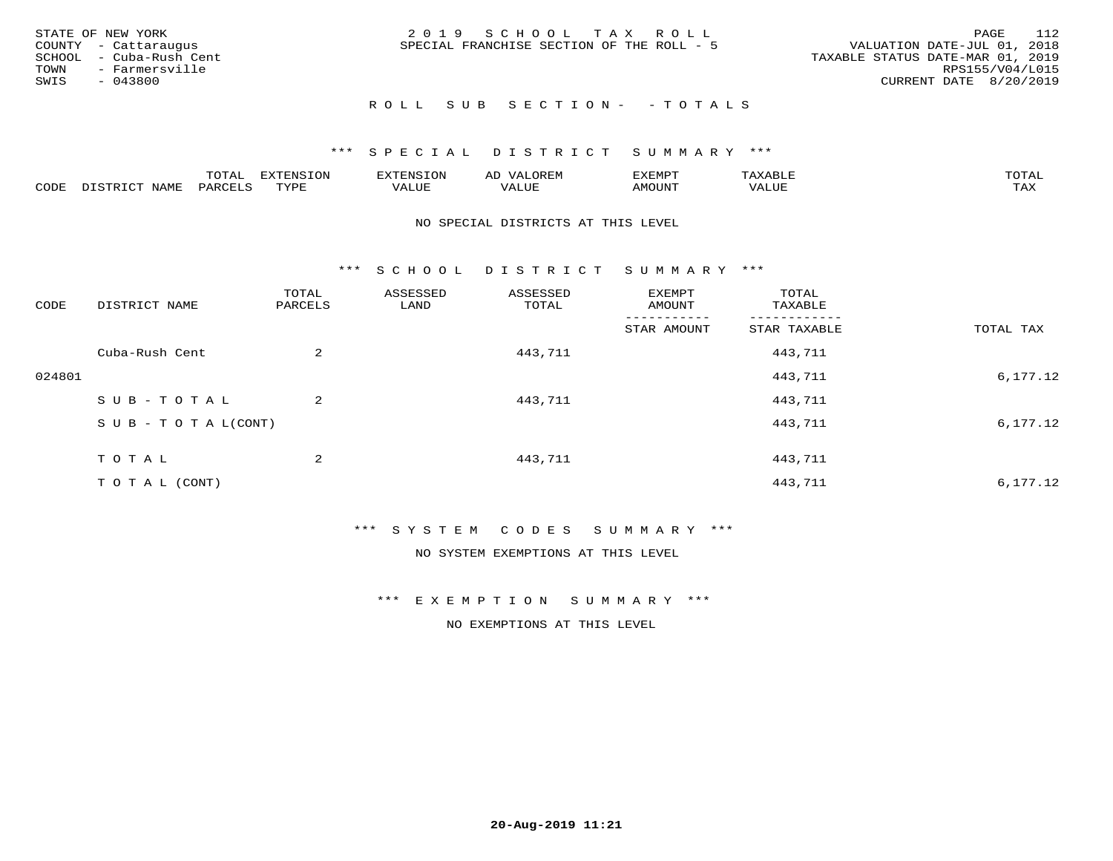| STATE OF NEW YORK<br>COUNTY - Cattaraugus<br>SCHOOL - Cuba-Rush Cent<br>TOWN - Farmersville<br>SWIS<br>- 043800 | 2019 SCHOOL TAX ROLL<br>SPECIAL FRANCHISE SECTION OF THE ROLL - 5 | -112<br>PAGE<br>VALUATION DATE-JUL 01, 2018<br>TAXABLE STATUS DATE-MAR 01, 2019<br>RPS155/V04/L015<br>CURRENT DATE 8/20/2019 |
|-----------------------------------------------------------------------------------------------------------------|-------------------------------------------------------------------|------------------------------------------------------------------------------------------------------------------------------|
|                                                                                                                 | ROLL SUB SECTION- - TOTALS                                        |                                                                                                                              |

|      |                      | ----<br><u>UIAI</u> | <b>FYTFNSION</b><br>- 75 | <b>FNC</b>     | ᅺᅜᄓ                      | SXEMPT | $\Delta$<br>.                  | $m \wedge m \wedge n$ |
|------|----------------------|---------------------|--------------------------|----------------|--------------------------|--------|--------------------------------|-----------------------|
| CODE | <b>NTAMT</b><br>⊥∙⊥⊥ | D.ODT.<br>PARL      | $m \tau \tau m$<br>.     | T T T<br>ALUF: | , <del>,</del> , , , , , | MOUN.  | , 77 T TT <del>D</del><br>ALUE | TAX                   |

#### NO SPECIAL DISTRICTS AT THIS LEVEL

\*\*\* S C H O O L D I S T R I C T S U M M A R Y \*\*\*

| CODE   | DISTRICT NAME                    | TOTAL<br>PARCELS | ASSESSED<br>LAND | ASSESSED<br>TOTAL | EXEMPT<br>AMOUNT | TOTAL<br>TAXABLE |           |
|--------|----------------------------------|------------------|------------------|-------------------|------------------|------------------|-----------|
|        |                                  |                  |                  |                   | STAR AMOUNT      | STAR TAXABLE     | TOTAL TAX |
|        | Cuba-Rush Cent                   | 2                |                  | 443,711           |                  | 443,711          |           |
| 024801 |                                  |                  |                  |                   |                  | 443,711          | 6,177.12  |
|        | SUB-TOTAL                        | 2                |                  | 443,711           |                  | 443,711          |           |
|        | $S \cup B - T \cup T A L (CONT)$ |                  |                  |                   |                  | 443,711          | 6,177.12  |
|        | T O T A L                        | 2                |                  | 443,711           |                  | 443,711          |           |
|        | T O T A L (CONT)                 |                  |                  |                   |                  | 443,711          | 6,177.12  |

#### \*\*\* S Y S T E M C O D E S S U M M A R Y \*\*\*

NO SYSTEM EXEMPTIONS AT THIS LEVEL

\*\*\* E X E M P T I O N S U M M A R Y \*\*\*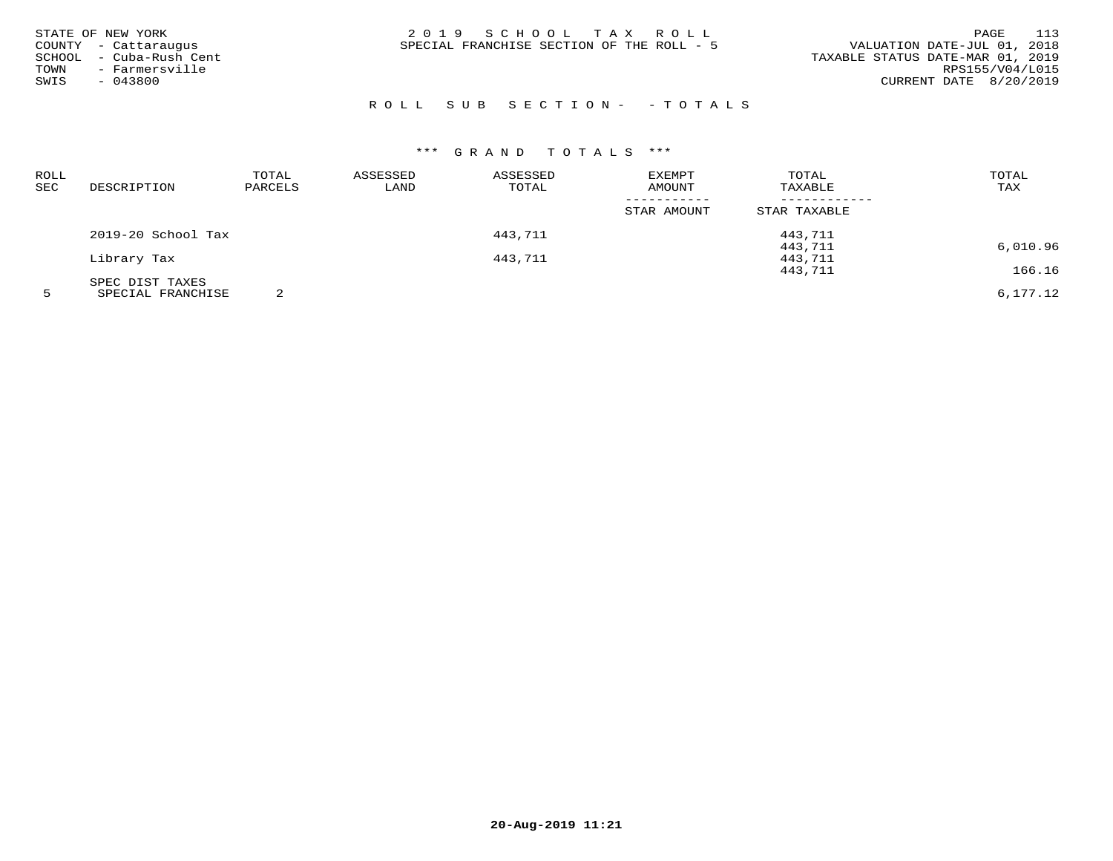| STATE OF NEW YORK<br>COUNTY - Cattaraugus<br>- Cuba-Rush Cent<br>SCHOOL<br>- Farmersville<br>TOWN<br>$-043800$<br>SWIS | 2019 SCHOOL TAX ROLL<br>SPECIAL FRANCHISE SECTION OF THE ROLL - 5 | 113<br>PAGE<br>VALUATION DATE-JUL 01, 2018<br>TAXABLE STATUS DATE-MAR 01, 2019<br>RPS155/V04/L015<br>CURRENT DATE $8/20/2019$ |
|------------------------------------------------------------------------------------------------------------------------|-------------------------------------------------------------------|-------------------------------------------------------------------------------------------------------------------------------|
|                                                                                                                        |                                                                   |                                                                                                                               |

# R O L L S U B S E C T I O N - - T O T A L S

| ROLL<br>SEC | DESCRIPTION        | TOTAL<br>PARCELS | ASSESSED<br>LAND | ASSESSED<br>TOTAL | EXEMPT<br>AMOUNT           | TOTAL<br>TAXABLE | TOTAL<br>TAX |
|-------------|--------------------|------------------|------------------|-------------------|----------------------------|------------------|--------------|
|             |                    |                  |                  |                   | -----------<br>STAR AMOUNT | STAR TAXABLE     |              |
|             | 2019-20 School Tax |                  |                  | 443,711           |                            | 443,711          |              |
|             |                    |                  |                  |                   |                            | 443,711          | 6,010.96     |
|             | Library Tax        |                  |                  | 443,711           |                            | 443,711          |              |
|             |                    |                  |                  |                   |                            | 443,711          | 166.16       |
|             | SPEC DIST TAXES    |                  |                  |                   |                            |                  |              |
|             | SPECIAL FRANCHISE  |                  |                  |                   |                            |                  | 6,177.12     |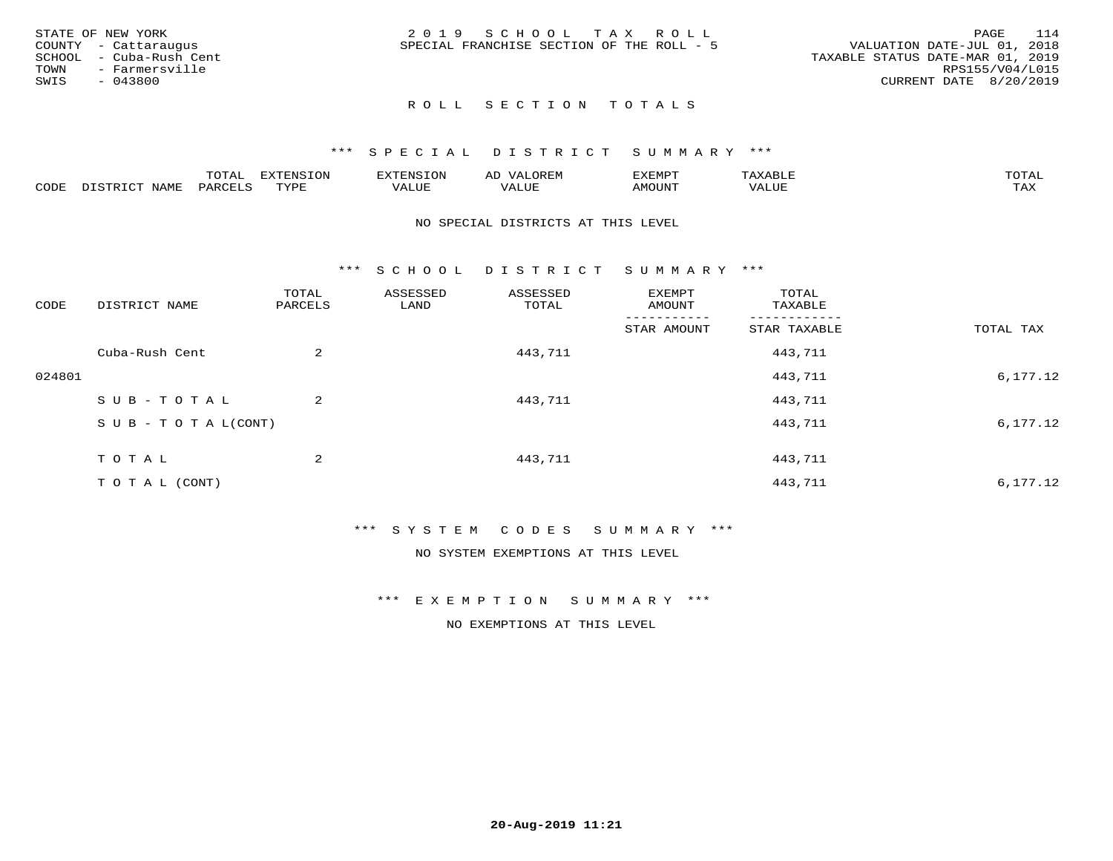|      | STATE OF NEW YORK       | 2019 SCHOOL TAX ROLL                                                     | PAGE            | 114 |
|------|-------------------------|--------------------------------------------------------------------------|-----------------|-----|
|      | COUNTY - Cattaraugus    | VALUATION DATE-JUL 01, 2018<br>SPECIAL FRANCHISE SECTION OF THE ROLL - 5 |                 |     |
|      | SCHOOL - Cuba-Rush Cent | TAXABLE STATUS DATE-MAR 01, 2019                                         |                 |     |
| TOWN | - Farmersville          |                                                                          | RPS155/V04/L015 |     |
| SWIS | - 043800                | CURRENT DATE 8/20/2019                                                   |                 |     |
|      |                         |                                                                          |                 |     |

## ROLL SECTION TOTALS

#### \*\*\* S P E C I A L D I S T R I C T S U M M A R Y \*\*\*

|      |                           | m∧m⊼ | <b>DVERMOTOM</b><br>LUI | TENSION       | ΑL<br>$\cdots$      | EXEMPT | $\Delta \times \Delta$<br>9 D.L | $m \wedge m \wedge n$<br>$\overline{a}$ |
|------|---------------------------|------|-------------------------|---------------|---------------------|--------|---------------------------------|-----------------------------------------|
| CODE | NTAM <sup>T</sup><br>⊥∙⊥⊥ | PARC | <b>TVDL</b>             | T T T<br>ALUF | <b>TTT</b><br>'ALUE | MOUNT  | VALUE                           | $m \times r$<br>$+$ $  +$ $-$           |

#### NO SPECIAL DISTRICTS AT THIS LEVEL

\*\*\* S C H O O L D I S T R I C T S U M M A R Y \*\*\*

| CODE   | DISTRICT NAME                    | TOTAL<br>PARCELS | ASSESSED<br>LAND | ASSESSED<br>TOTAL | EXEMPT<br>AMOUNT | TOTAL<br>TAXABLE |           |
|--------|----------------------------------|------------------|------------------|-------------------|------------------|------------------|-----------|
|        |                                  |                  |                  |                   | STAR AMOUNT      | STAR TAXABLE     | TOTAL TAX |
|        | Cuba-Rush Cent                   | 2                |                  | 443,711           |                  | 443,711          |           |
| 024801 |                                  |                  |                  |                   |                  | 443,711          | 6,177.12  |
|        | SUB-TOTAL                        | 2                |                  | 443,711           |                  | 443,711          |           |
|        | $S \cup B - T \cup T A L (CONT)$ |                  |                  |                   |                  | 443,711          | 6,177.12  |
|        | T O T A L                        | 2                |                  | 443,711           |                  | 443,711          |           |
|        | T O T A L (CONT)                 |                  |                  |                   |                  | 443,711          | 6,177.12  |

#### \*\*\* S Y S T E M C O D E S S U M M A R Y \*\*\*

## NO SYSTEM EXEMPTIONS AT THIS LEVEL

\*\*\* E X E M P T I O N S U M M A R Y \*\*\*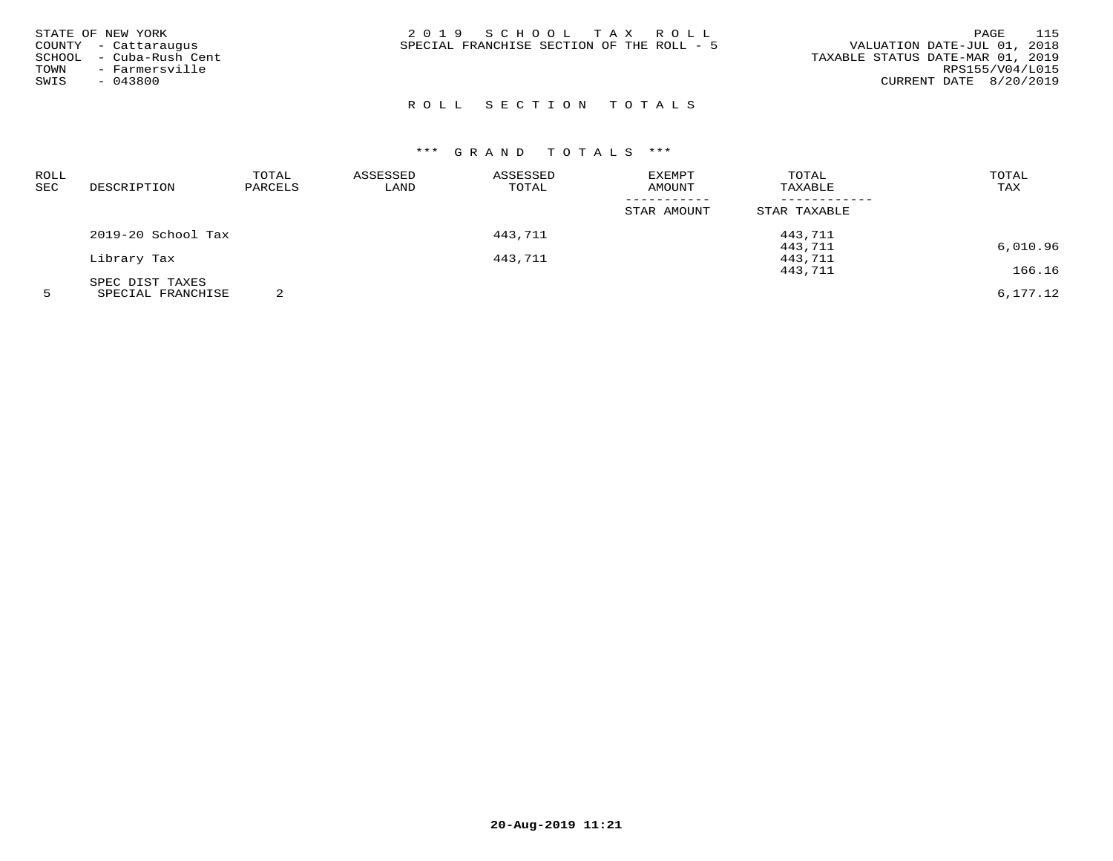# ROLL SECTION TOTALS

# \*\*\* G R A N D T O T A L S \*\*\*

| ROLL       |                    | TOTAL   | ASSESSED | ASSESSED | EXEMPT      | TOTAL        | TOTAL                       |
|------------|--------------------|---------|----------|----------|-------------|--------------|-----------------------------|
| <b>SEC</b> | DESCRIPTION        | PARCELS | LAND     | TOTAL    | AMOUNT      | TAXABLE      | TAX                         |
|            |                    |         |          |          |             |              |                             |
|            |                    |         |          |          | STAR AMOUNT | STAR TAXABLE |                             |
|            | 2019-20 School Tax |         |          | 443,711  |             | 443,711      |                             |
|            |                    |         |          |          |             | 443,711      | 6,010.96                    |
|            | Library Tax        |         |          | 443,711  |             | 443,711      |                             |
|            |                    |         |          |          |             | 443,711      | 166.16                      |
|            | SPEC DIST TAXES    |         |          |          |             |              |                             |
|            | -----------------  | $\sim$  |          |          |             |              | $\sim$ $\sim$ $\sim$ $\sim$ |

5 SPECIAL FRANCHISE 2 6,177.12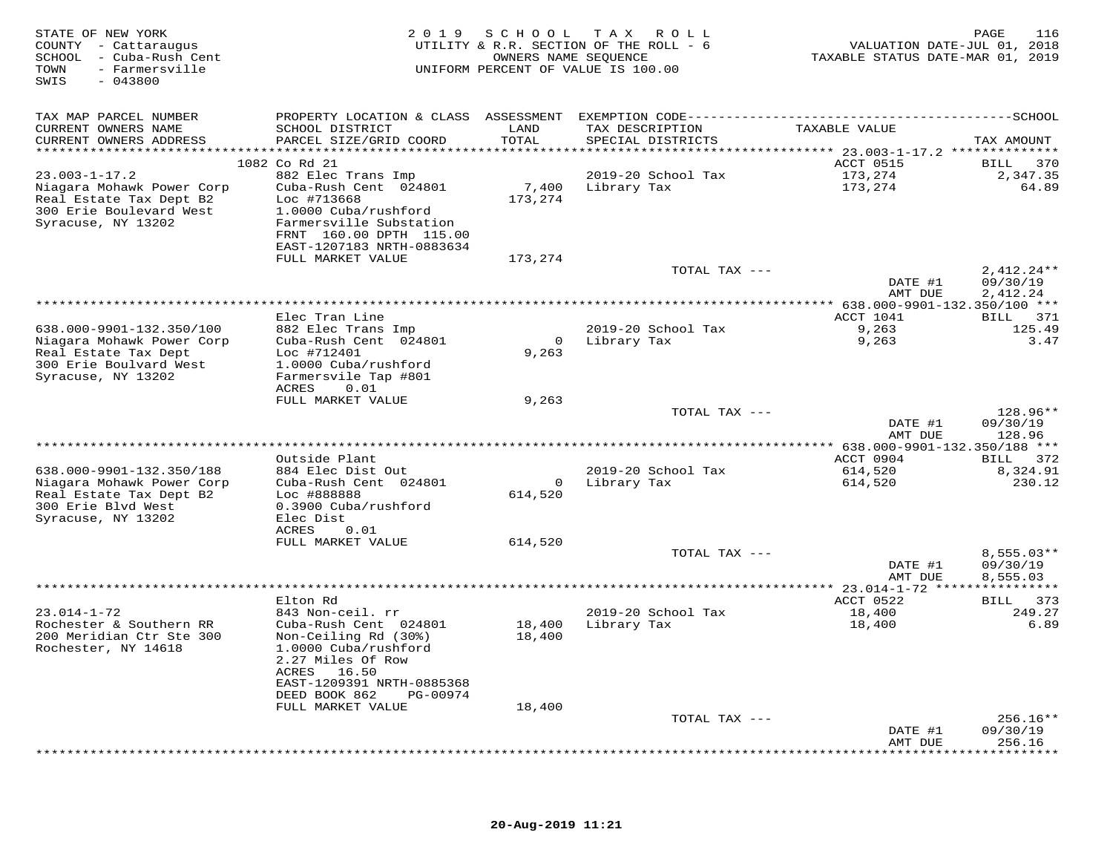| STATE OF NEW YORK<br>COUNTY - Cattaraugus<br>SCHOOL - Cuba-Rush Cent<br>- Farmersville<br>TOWN<br>SWIS<br>$-043800$ |                                                                               | OWNERS NAME SEQUENCE      | 2019 SCHOOL TAX ROLL<br>UTILITY & R.R. SECTION OF THE ROLL - 6<br>UNIFORM PERCENT OF VALUE IS 100.00 | VALUATION DATE-JUL 01, 2018<br>TAXABLE STATUS DATE-MAR 01, 2019 | PAGE<br>116                   |
|---------------------------------------------------------------------------------------------------------------------|-------------------------------------------------------------------------------|---------------------------|------------------------------------------------------------------------------------------------------|-----------------------------------------------------------------|-------------------------------|
| TAX MAP PARCEL NUMBER                                                                                               | PROPERTY LOCATION & CLASS ASSESSMENT EXEMPTION CODE-------------------------- |                           |                                                                                                      |                                                                 | --------------SCHOOL          |
| CURRENT OWNERS NAME                                                                                                 | SCHOOL DISTRICT                                                               | LAND                      | TAX DESCRIPTION                                                                                      | TAXABLE VALUE                                                   |                               |
| CURRENT OWNERS ADDRESS<br>***********************                                                                   | PARCEL SIZE/GRID COORD<br>*****************************                       | TOTAL<br>*************    | SPECIAL DISTRICTS                                                                                    |                                                                 | TAX AMOUNT                    |
|                                                                                                                     | 1082 Co Rd 21                                                                 |                           |                                                                                                      | ACCT 0515                                                       | 370<br>BILL                   |
| $23.003 - 1 - 17.2$                                                                                                 | 882 Elec Trans Imp                                                            |                           | 2019-20 School Tax                                                                                   | 173,274                                                         | 2,347.35                      |
| Niagara Mohawk Power Corp                                                                                           | Cuba-Rush Cent 024801                                                         | 7,400                     | Library Tax                                                                                          | 173,274                                                         | 64.89                         |
| Real Estate Tax Dept B2                                                                                             | Loc #713668                                                                   | 173,274                   |                                                                                                      |                                                                 |                               |
| 300 Erie Boulevard West                                                                                             | 1.0000 Cuba/rushford                                                          |                           |                                                                                                      |                                                                 |                               |
| Syracuse, NY 13202                                                                                                  | Farmersville Substation<br>FRNT 160.00 DPTH 115.00                            |                           |                                                                                                      |                                                                 |                               |
|                                                                                                                     | EAST-1207183 NRTH-0883634                                                     |                           |                                                                                                      |                                                                 |                               |
|                                                                                                                     | FULL MARKET VALUE                                                             | 173,274                   |                                                                                                      |                                                                 |                               |
|                                                                                                                     |                                                                               |                           | TOTAL TAX ---                                                                                        |                                                                 | $2,412.24**$                  |
|                                                                                                                     |                                                                               |                           |                                                                                                      | DATE #1                                                         | 09/30/19                      |
|                                                                                                                     |                                                                               |                           |                                                                                                      | AMT DUE                                                         | 2,412.24                      |
|                                                                                                                     | Elec Tran Line                                                                |                           |                                                                                                      | ACCT 1041                                                       | BILL 371                      |
| 638.000-9901-132.350/100                                                                                            | 882 Elec Trans Imp                                                            |                           | 2019-20 School Tax                                                                                   | 9,263                                                           | 125.49                        |
| Niagara Mohawk Power Corp                                                                                           | Cuba-Rush Cent 024801                                                         | $\overline{0}$            | Library Tax                                                                                          | 9,263                                                           | 3.47                          |
| Real Estate Tax Dept<br>300 Erie Boulvard West                                                                      | Loc #712401<br>1.0000 Cuba/rushford                                           | 9,263                     |                                                                                                      |                                                                 |                               |
| Syracuse, NY 13202                                                                                                  | Farmersvile Tap #801                                                          |                           |                                                                                                      |                                                                 |                               |
|                                                                                                                     | <b>ACRES</b><br>0.01                                                          |                           |                                                                                                      |                                                                 |                               |
|                                                                                                                     | FULL MARKET VALUE                                                             | 9,263                     |                                                                                                      |                                                                 |                               |
|                                                                                                                     |                                                                               |                           | TOTAL TAX ---                                                                                        |                                                                 | 128.96**                      |
|                                                                                                                     |                                                                               |                           |                                                                                                      | DATE #1<br>AMT DUE                                              | 09/30/19<br>128.96            |
|                                                                                                                     |                                                                               |                           |                                                                                                      | ******* 638.000-9901-132.350/188 ***                            |                               |
|                                                                                                                     | Outside Plant                                                                 |                           |                                                                                                      | ACCT 0904                                                       | BILL 372                      |
| 638.000-9901-132.350/188                                                                                            | 884 Elec Dist Out                                                             |                           | 2019-20 School Tax                                                                                   | 614,520                                                         | 8,324.91                      |
| Niagara Mohawk Power Corp<br>Real Estate Tax Dept B2                                                                | Cuba-Rush Cent 024801<br>Loc #888888                                          | $\overline{0}$<br>614,520 | Library Tax                                                                                          | 614,520                                                         | 230.12                        |
| 300 Erie Blvd West                                                                                                  | 0.3900 Cuba/rushford                                                          |                           |                                                                                                      |                                                                 |                               |
| Syracuse, NY 13202                                                                                                  | Elec Dist                                                                     |                           |                                                                                                      |                                                                 |                               |
|                                                                                                                     | ACRES<br>0.01                                                                 |                           |                                                                                                      |                                                                 |                               |
|                                                                                                                     | FULL MARKET VALUE                                                             | 614,520                   | TOTAL TAX ---                                                                                        |                                                                 | $8,555.03**$                  |
|                                                                                                                     |                                                                               |                           |                                                                                                      | DATE #1                                                         | 09/30/19                      |
|                                                                                                                     |                                                                               |                           |                                                                                                      | AMT DUE                                                         | 8,555.03                      |
|                                                                                                                     |                                                                               |                           |                                                                                                      | ************ 23.014-1-72 ****                                   |                               |
| $23.014 - 1 - 72$                                                                                                   | Elton Rd                                                                      |                           |                                                                                                      | ACCT 0522                                                       | BILL 373<br>249.27            |
| Rochester & Southern RR                                                                                             | 843 Non-ceil. rr<br>Cuba-Rush Cent 024801                                     | 18,400                    | 2019-20 School Tax<br>Library Tax                                                                    | 18,400<br>18,400                                                | 6.89                          |
| 200 Meridian Ctr Ste 300                                                                                            | Non-Ceiling Rd (30%)                                                          | 18,400                    |                                                                                                      |                                                                 |                               |
| Rochester, NY 14618                                                                                                 | 1.0000 Cuba/rushford                                                          |                           |                                                                                                      |                                                                 |                               |
|                                                                                                                     | 2.27 Miles Of Row                                                             |                           |                                                                                                      |                                                                 |                               |
|                                                                                                                     | ACRES<br>16.50                                                                |                           |                                                                                                      |                                                                 |                               |
|                                                                                                                     | EAST-1209391 NRTH-0885368<br>DEED BOOK 862<br>PG-00974                        |                           |                                                                                                      |                                                                 |                               |
|                                                                                                                     | FULL MARKET VALUE                                                             | 18,400                    |                                                                                                      |                                                                 |                               |
|                                                                                                                     |                                                                               |                           | TOTAL TAX ---                                                                                        |                                                                 | 256.16**                      |
|                                                                                                                     |                                                                               |                           |                                                                                                      | DATE #1                                                         | 09/30/19                      |
|                                                                                                                     |                                                                               |                           |                                                                                                      | AMT DUE<br>***************                                      | 256.16<br>* * * * * * * * * * |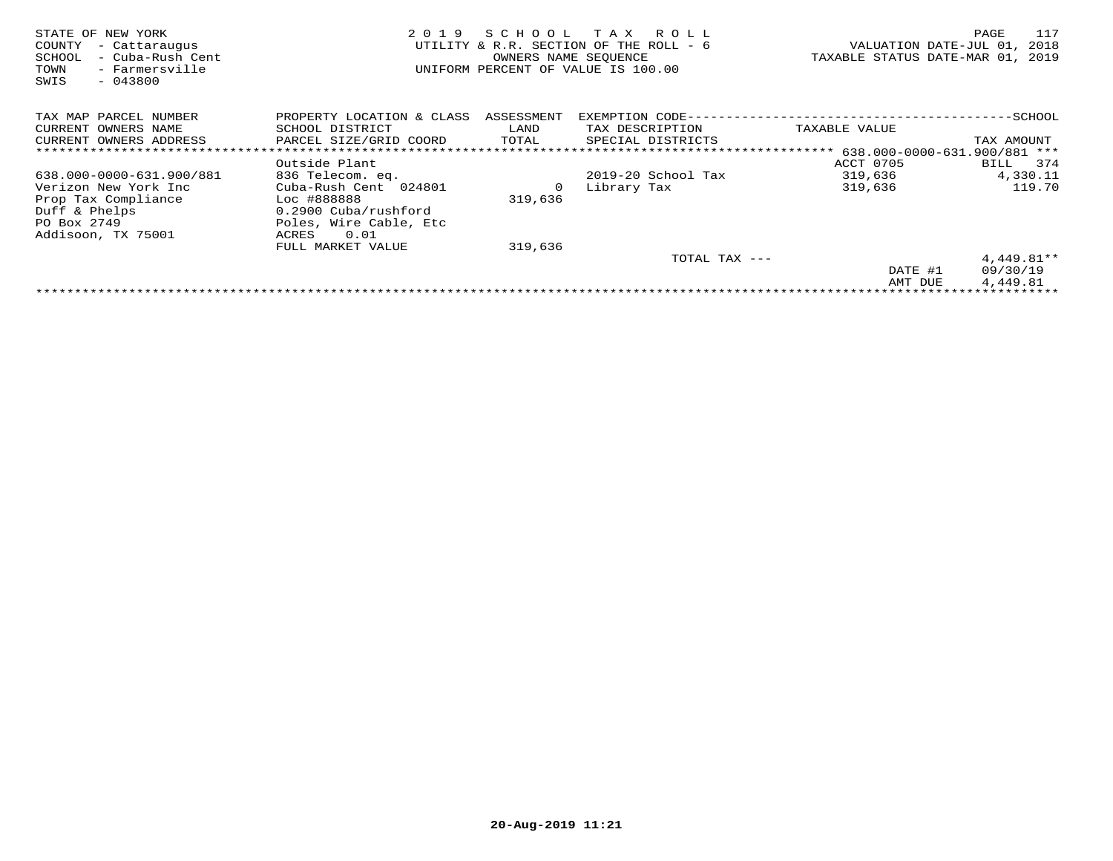| STATE OF NEW YORK<br>COUNTY<br>- Cattaraugus<br>- Cuba-Rush Cent<br>SCHOOL<br>TOWN<br>- Farmersville<br>$-043800$<br>SWIS | 2 0 1 9                   | SCHOOL<br>OWNERS NAME SEQUENCE | T A X<br>R O L L<br>UTILITY & R.R. SECTION OF THE ROLL - 6<br>UNIFORM PERCENT OF VALUE IS 100.00 | VALUATION DATE-JUL 01,<br>TAXABLE STATUS DATE-MAR 01, 2019 | 117<br>PAGE<br>2018 |
|---------------------------------------------------------------------------------------------------------------------------|---------------------------|--------------------------------|--------------------------------------------------------------------------------------------------|------------------------------------------------------------|---------------------|
| TAX MAP PARCEL NUMBER                                                                                                     | PROPERTY LOCATION & CLASS | ASSESSMENT                     | EXEMPTION CODE-                                                                                  |                                                            | -SCHOOL             |
| CURRENT OWNERS NAME                                                                                                       | SCHOOL DISTRICT           | LAND                           | TAX DESCRIPTION                                                                                  | TAXABLE VALUE                                              |                     |
| CURRENT OWNERS ADDRESS                                                                                                    | PARCEL SIZE/GRID COORD    | TOTAL                          | SPECIAL DISTRICTS                                                                                |                                                            | TAX AMOUNT          |
|                                                                                                                           |                           |                                |                                                                                                  | $**************638.000-0000-631.900/881$ ***               |                     |
|                                                                                                                           | Outside Plant             |                                |                                                                                                  | ACCT 0705                                                  | 374<br>BILL         |
| 638.000-0000-631.900/881                                                                                                  | 836 Telecom. eq.          |                                | $2019-20$ School Tax                                                                             | 319,636                                                    | 4,330.11            |
| Verizon New York Inc                                                                                                      | Cuba-Rush Cent 024801     | 0                              | Library Tax                                                                                      | 319,636                                                    | 119.70              |
| Prop Tax Compliance                                                                                                       | Loc #888888               | 319,636                        |                                                                                                  |                                                            |                     |
| Duff & Phelps                                                                                                             | 0.2900 Cuba/rushford      |                                |                                                                                                  |                                                            |                     |
| PO Box 2749                                                                                                               | Poles, Wire Cable, Etc    |                                |                                                                                                  |                                                            |                     |
| Addisoon, TX 75001                                                                                                        | 0.01<br>ACRES             |                                |                                                                                                  |                                                            |                     |
|                                                                                                                           | FULL MARKET VALUE         | 319,636                        |                                                                                                  |                                                            |                     |
|                                                                                                                           |                           |                                | TOTAL TAX $---$                                                                                  |                                                            | $4,449.81**$        |
|                                                                                                                           |                           |                                |                                                                                                  | DATE #1                                                    | 09/30/19            |
|                                                                                                                           |                           |                                |                                                                                                  | AMT DUE                                                    | 4,449.81            |
|                                                                                                                           |                           |                                |                                                                                                  |                                                            |                     |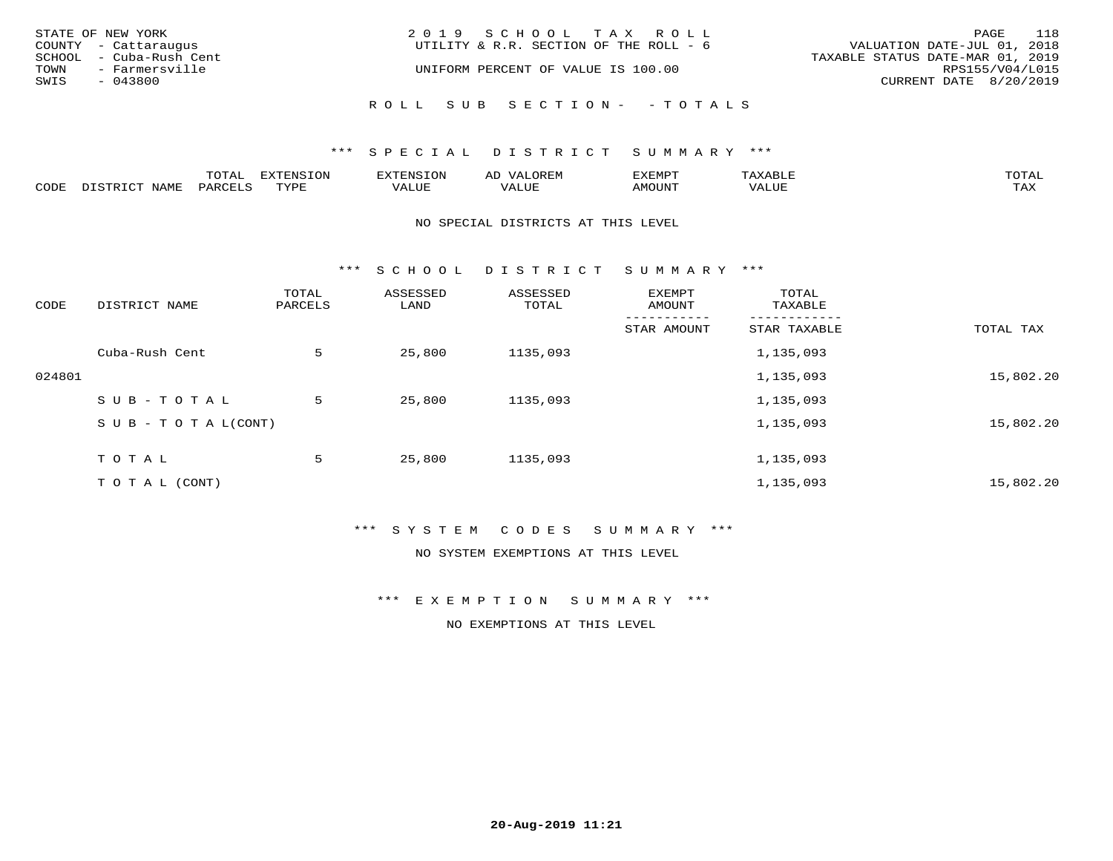| STATE OF NEW YORK       | 2019 SCHOOL TAX ROLL                   | 118<br>PAGE                      |
|-------------------------|----------------------------------------|----------------------------------|
| COUNTY - Cattaraugus    | UTILITY & R.R. SECTION OF THE ROLL - 6 | VALUATION DATE-JUL 01, 2018      |
| SCHOOL - Cuba-Rush Cent |                                        | TAXABLE STATUS DATE-MAR 01, 2019 |
| TOWN<br>- Farmersville  | UNIFORM PERCENT OF VALUE IS 100.00     | RPS155/V04/L015                  |
| SWIS<br>- 043800        |                                        | CURRENT DATE 8/20/2019           |
|                         | ROLL SUB SECTION- - TOTALS             |                                  |

|      |      | $m \wedge m \wedge n$<br>◡∸ғ | TON                              | . HUNY              | AĽ                  | ے ا      |       | $m \wedge m \wedge n$ |
|------|------|------------------------------|----------------------------------|---------------------|---------------------|----------|-------|-----------------------|
| CODE | NAMF | 'AK                          | $m \times r \times r$<br>- - - - | T T T<br>اللالمستحم | - ---<br>اللالمستعم | 57077375 | VALUF | $m \times r$<br>- −-  |

#### NO SPECIAL DISTRICTS AT THIS LEVEL

\*\*\* S C H O O L D I S T R I C T S U M M A R Y \*\*\*

| CODE   | DISTRICT NAME                    | TOTAL<br>PARCELS | ASSESSED<br>LAND | ASSESSED<br>TOTAL | EXEMPT<br>AMOUNT | TOTAL<br>TAXABLE |           |
|--------|----------------------------------|------------------|------------------|-------------------|------------------|------------------|-----------|
|        |                                  |                  |                  |                   | STAR AMOUNT      | STAR TAXABLE     | TOTAL TAX |
|        | Cuba-Rush Cent                   | 5                | 25,800           | 1135,093          |                  | 1,135,093        |           |
| 024801 |                                  |                  |                  |                   |                  | 1,135,093        | 15,802.20 |
|        | SUB-TOTAL                        | 5                | 25,800           | 1135,093          |                  | 1,135,093        |           |
|        | $S \cup B - T \cup T A L (CONT)$ |                  |                  |                   |                  | 1,135,093        | 15,802.20 |
|        | TOTAL                            | 5                | 25,800           | 1135,093          |                  | 1,135,093        |           |
|        | TO TAL (CONT)                    |                  |                  |                   |                  | 1,135,093        | 15,802.20 |

## \*\*\* S Y S T E M C O D E S S U M M A R Y \*\*\*

NO SYSTEM EXEMPTIONS AT THIS LEVEL

\*\*\* E X E M P T I O N S U M M A R Y \*\*\*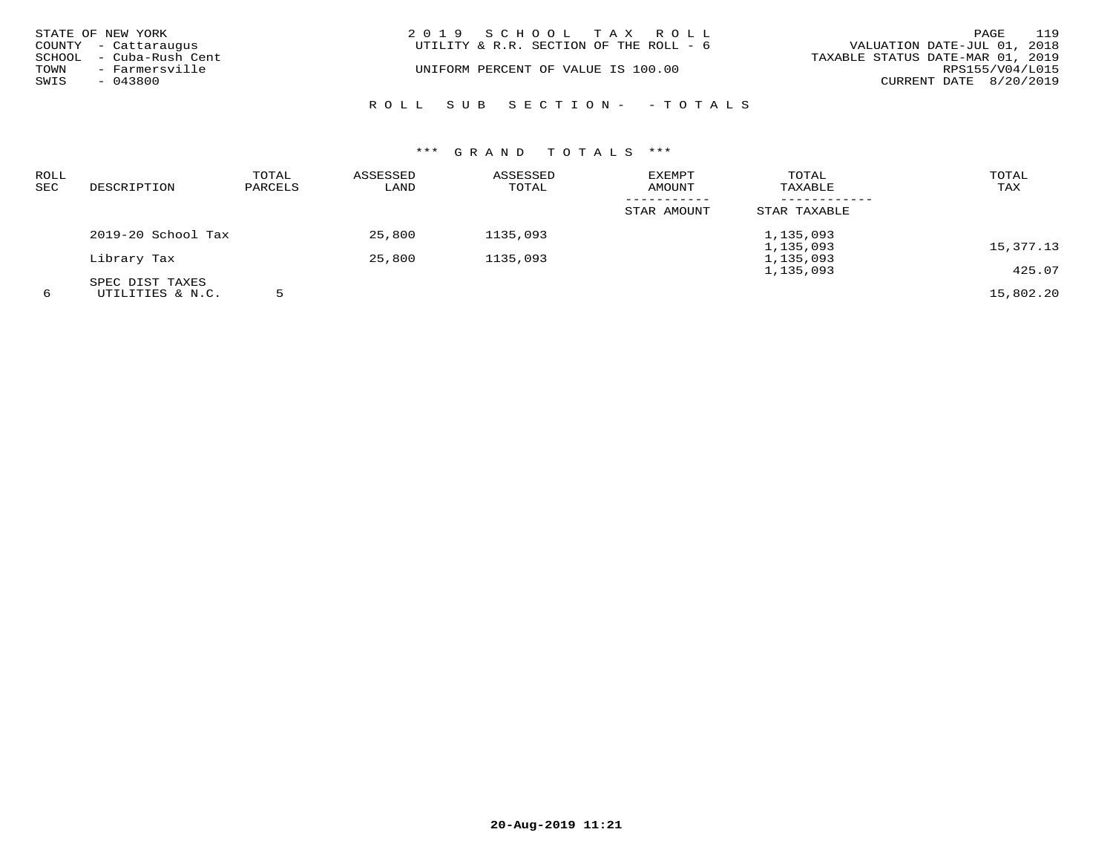|      | STATE OF NEW YORK       | 2019 SCHOOL TAX ROLL                   |                                  | PAGE            | 119 |
|------|-------------------------|----------------------------------------|----------------------------------|-----------------|-----|
|      | COUNTY - Cattaraugus    | UTILITY & R.R. SECTION OF THE ROLL - 6 | VALUATION DATE-JUL 01, 2018      |                 |     |
|      | SCHOOL - Cuba-Rush Cent |                                        | TAXABLE STATUS DATE-MAR 01, 2019 |                 |     |
| TOWN | - Farmersville          | UNIFORM PERCENT OF VALUE IS 100.00     |                                  | RPS155/V04/L015 |     |
| SWIS | $-043800$               |                                        | CURRENT DATE 8/20/2019           |                 |     |
|      |                         | ROLL SUB SECTION- - TOTALS             |                                  |                 |     |

| <b>ROLL</b><br><b>SEC</b> | DESCRIPTION        | TOTAL<br>PARCELS | ASSESSED<br>LAND | ASSESSED<br>TOTAL | EXEMPT<br>AMOUNT | TOTAL<br>TAXABLE | TOTAL<br>TAX |
|---------------------------|--------------------|------------------|------------------|-------------------|------------------|------------------|--------------|
|                           |                    |                  |                  |                   | STAR AMOUNT      | STAR TAXABLE     |              |
|                           | 2019-20 School Tax |                  | 25,800           | 1135,093          |                  | 1,135,093        |              |
|                           |                    |                  |                  |                   |                  | 1,135,093        | 15,377.13    |
|                           | Library Tax        |                  | 25,800           | 1135,093          |                  | 1,135,093        |              |
|                           |                    |                  |                  |                   |                  | 1,135,093        | 425.07       |
|                           | SPEC DIST TAXES    |                  |                  |                   |                  |                  |              |
| 6                         | UTILITIES & N.C.   |                  |                  |                   |                  |                  | 15,802.20    |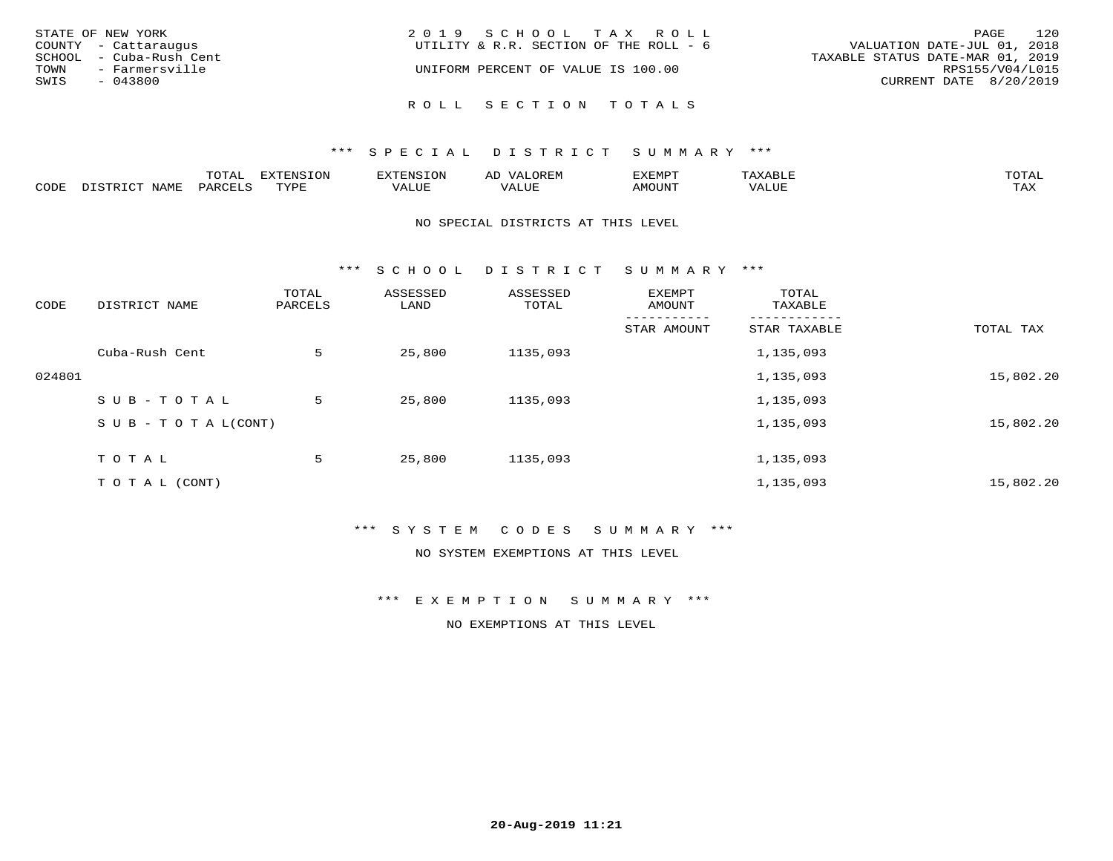| STATE OF NEW YORK<br>COUNTY - Cattaraugus  | 2019 SCHOOL TAX ROLL<br>UTILITY & R.R. SECTION OF THE ROLL - 6 | 120<br>PAGE<br>VALUATION DATE-JUL 01, 2018 |
|--------------------------------------------|----------------------------------------------------------------|--------------------------------------------|
| SCHOOL - Cuba-Rush Cent                    |                                                                | TAXABLE STATUS DATE-MAR 01, 2019           |
| TOWN<br>- Farmersville<br>SWIS<br>- 043800 | UNIFORM PERCENT OF VALUE IS 100.00                             | RPS155/V04/L015<br>CURRENT DATE 8/20/2019  |
|                                            | ROLL SECTION TOTALS                                            |                                            |

|      |       | $m \wedge m \wedge n$<br>◡⊥▱ | . U             | .         | AL.         | ,,, <del>,</del> ,,, <del>,</del><br>◡ | <b>TOTA</b><br>$\cup$ $\pm$ $\pm$ $\pm$ |
|------|-------|------------------------------|-----------------|-----------|-------------|----------------------------------------|-----------------------------------------|
| CODE | √T∆M. | 44K                          | $m \tau \tau n$ | $- - - -$ | ۳۰ تا سند د |                                        | $- - - -$<br>1.732                      |

#### NO SPECIAL DISTRICTS AT THIS LEVEL

\*\*\* S C H O O L D I S T R I C T S U M M A R Y \*\*\*

| CODE   | DISTRICT NAME                    | TOTAL<br>PARCELS | ASSESSED<br>LAND | ASSESSED<br>TOTAL | EXEMPT<br>AMOUNT | TOTAL<br>TAXABLE |           |
|--------|----------------------------------|------------------|------------------|-------------------|------------------|------------------|-----------|
|        |                                  |                  |                  |                   | STAR AMOUNT      | STAR TAXABLE     | TOTAL TAX |
|        | Cuba-Rush Cent                   | 5                | 25,800           | 1135,093          |                  | 1,135,093        |           |
| 024801 |                                  |                  |                  |                   |                  | 1,135,093        | 15,802.20 |
|        | SUB-TOTAL                        | 5                | 25,800           | 1135,093          |                  | 1,135,093        |           |
|        | $S \cup B - T \cup T A L (CONT)$ |                  |                  |                   |                  | 1,135,093        | 15,802.20 |
|        | TOTAL                            | 5                | 25,800           | 1135,093          |                  | 1,135,093        |           |
|        | T O T A L (CONT)                 |                  |                  |                   |                  | 1,135,093        | 15,802.20 |

## \*\*\* S Y S T E M C O D E S S U M M A R Y \*\*\*

NO SYSTEM EXEMPTIONS AT THIS LEVEL

\*\*\* E X E M P T I O N S U M M A R Y \*\*\*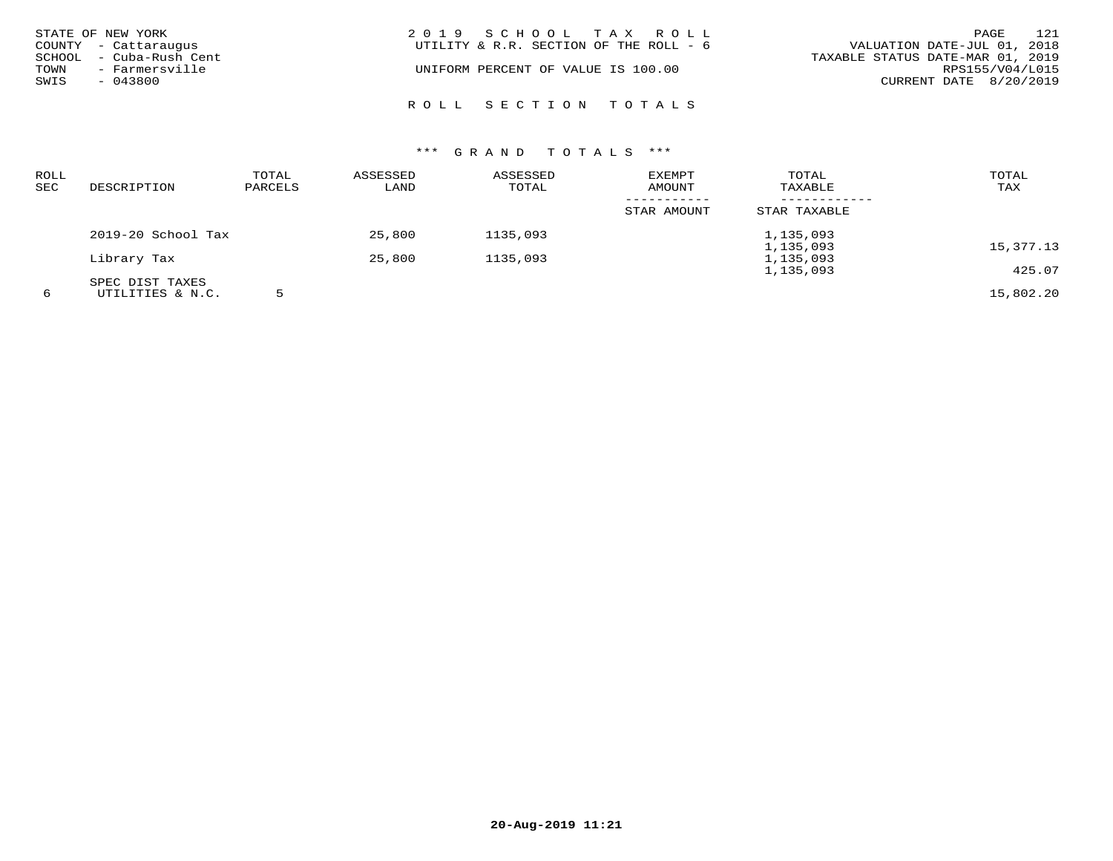| STATE OF NEW YORK<br>COUNTY - Cattaraugus<br>SCHOOL - Cuba-Rush Cent<br>TOWN<br>- Farmersville<br>SWIS<br>- 043800 | 2019 SCHOOL TAX ROLL<br>UTILITY & R.R. SECTION OF THE ROLL - 6<br>UNIFORM PERCENT OF VALUE IS 100.00 | 121<br>PAGE<br>VALUATION DATE-JUL 01, 2018<br>TAXABLE STATUS DATE-MAR 01, 2019<br>RPS155/V04/L015<br>CURRENT DATE 8/20/2019 |
|--------------------------------------------------------------------------------------------------------------------|------------------------------------------------------------------------------------------------------|-----------------------------------------------------------------------------------------------------------------------------|
|                                                                                                                    | ROLL SECTION TOTALS                                                                                  |                                                                                                                             |

| ROLL<br>SEC | DESCRIPTION        | TOTAL<br>PARCELS | ASSESSED<br>LAND | ASSESSED<br>TOTAL | EXEMPT<br>AMOUNT | TOTAL<br>TAXABLE | TOTAL<br>TAX |
|-------------|--------------------|------------------|------------------|-------------------|------------------|------------------|--------------|
|             |                    |                  |                  |                   | STAR AMOUNT      | STAR TAXABLE     |              |
|             | 2019-20 School Tax |                  | 25,800           | 1135,093          |                  | 1,135,093        |              |
|             |                    |                  |                  |                   |                  | 1,135,093        | 15,377.13    |
|             | Library Tax        |                  | 25,800           | 1135,093          |                  | 1,135,093        |              |
|             |                    |                  |                  |                   |                  | 1,135,093        | 425.07       |
|             | SPEC DIST TAXES    |                  |                  |                   |                  |                  |              |
| 6           | UTILITIES & N.C.   |                  |                  |                   |                  |                  | 15,802.20    |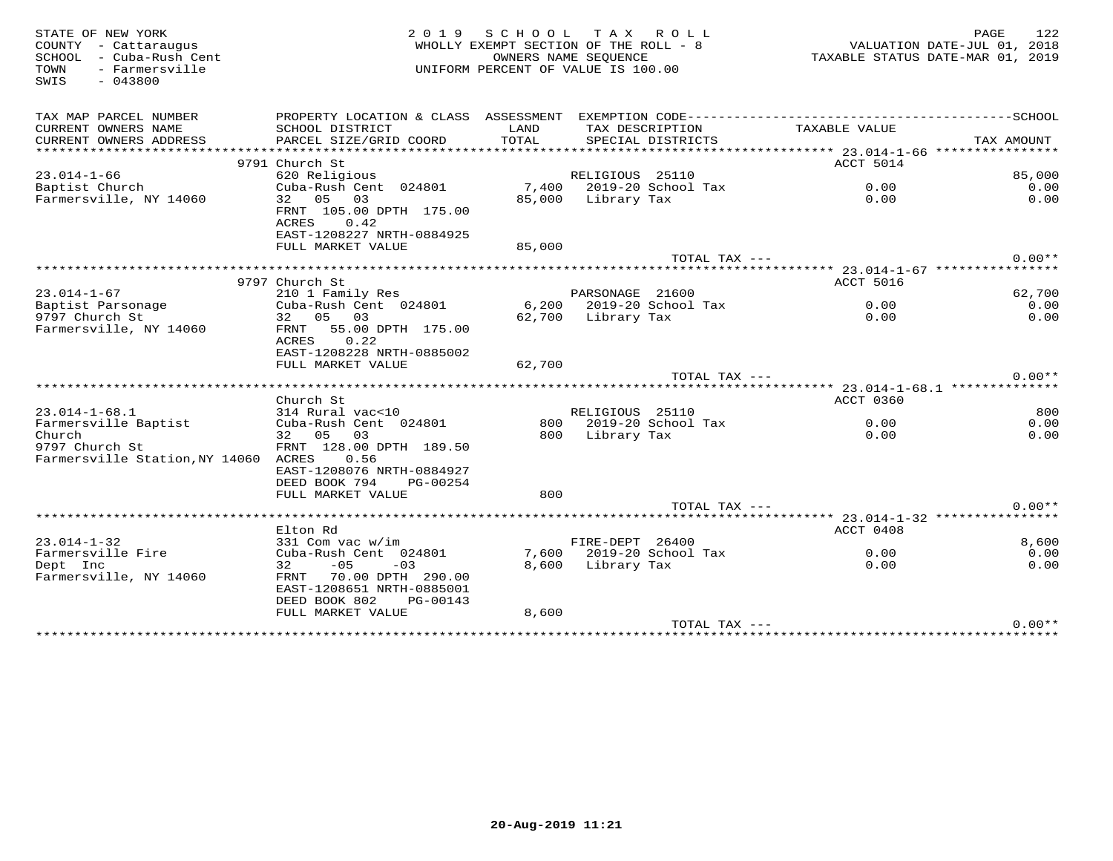| STATE OF NEW YORK<br>COUNTY - Cattaraugus<br>SCHOOL - Cuba-Rush Cent<br>- Farmersville<br>TOWN<br>$-043800$<br>SWIS | 2 0 1 9                                                                                      | SCHOOL<br>WHOLLY EXEMPT SECTION OF THE ROLL - 8<br>OWNERS NAME SEOUENCE<br>UNIFORM PERCENT OF VALUE IS 100.00 |                    | TAX ROLL                             | TAXABLE STATUS DATE-MAR 01, 2019       | PAGE<br>VALUATION DATE-JUL 01, 2018 | 122            |
|---------------------------------------------------------------------------------------------------------------------|----------------------------------------------------------------------------------------------|---------------------------------------------------------------------------------------------------------------|--------------------|--------------------------------------|----------------------------------------|-------------------------------------|----------------|
| TAX MAP PARCEL NUMBER                                                                                               | PROPERTY LOCATION & CLASS ASSESSMENT                                                         |                                                                                                               |                    |                                      |                                        |                                     |                |
| CURRENT OWNERS NAME<br>CURRENT OWNERS ADDRESS                                                                       | SCHOOL DISTRICT<br>PARCEL SIZE/GRID COORD                                                    | LAND<br>TOTAL                                                                                                 |                    | TAX DESCRIPTION<br>SPECIAL DISTRICTS | TAXABLE VALUE                          |                                     | TAX AMOUNT     |
|                                                                                                                     |                                                                                              |                                                                                                               |                    |                                      |                                        |                                     |                |
|                                                                                                                     | 9791 Church St                                                                               |                                                                                                               |                    |                                      | ACCT 5014                              |                                     |                |
| $23.014 - 1 - 66$                                                                                                   | 620 Religious                                                                                |                                                                                                               | RELIGIOUS 25110    |                                      |                                        |                                     | 85,000         |
| Baptist Church                                                                                                      | Cuba-Rush Cent 024801                                                                        |                                                                                                               |                    | 7,400 2019-20 School Tax             | 0.00                                   |                                     | 0.00           |
| Farmersville, NY 14060                                                                                              | 32 05<br>03<br>FRNT 105.00 DPTH 175.00<br>ACRES<br>0.42<br>EAST-1208227 NRTH-0884925         | 85,000                                                                                                        | Library Tax        |                                      | 0.00                                   |                                     | 0.00           |
|                                                                                                                     | FULL MARKET VALUE                                                                            | 85,000                                                                                                        |                    |                                      |                                        |                                     |                |
|                                                                                                                     |                                                                                              |                                                                                                               |                    | TOTAL TAX ---                        |                                        |                                     | $0.00**$       |
|                                                                                                                     |                                                                                              |                                                                                                               |                    |                                      |                                        |                                     |                |
|                                                                                                                     | 9797 Church St                                                                               |                                                                                                               |                    |                                      | ACCT 5016                              |                                     |                |
| $23.014 - 1 - 67$<br>Baptist Parsonage                                                                              | 210 1 Family Res<br>Cuba-Rush Cent 024801                                                    |                                                                                                               | PARSONAGE 21600    | 6,200 2019-20 School Tax             | 0.00                                   |                                     | 62,700<br>0.00 |
| 9797 Church St                                                                                                      | 32 05 03                                                                                     |                                                                                                               | 62,700 Library Tax |                                      | 0.00                                   |                                     | 0.00           |
| Farmersville, NY 14060                                                                                              | FRNT<br>55.00 DPTH 175.00<br>0.22<br>ACRES<br>EAST-1208228 NRTH-0885002<br>FULL MARKET VALUE | 62,700                                                                                                        |                    |                                      |                                        |                                     |                |
|                                                                                                                     |                                                                                              |                                                                                                               |                    | TOTAL TAX ---                        |                                        |                                     | $0.00**$       |
|                                                                                                                     |                                                                                              |                                                                                                               |                    |                                      |                                        |                                     |                |
|                                                                                                                     | Church St                                                                                    |                                                                                                               |                    |                                      | ACCT 0360                              |                                     |                |
| $23.014 - 1 - 68.1$                                                                                                 | 314 Rural vac<10                                                                             |                                                                                                               | RELIGIOUS 25110    |                                      |                                        |                                     | 800            |
| Farmersville Baptist<br>Church<br>9797 Church St<br>Farmersville Station, NY 14060 ACRES                            | Cuba-Rush Cent 024801<br>32 05 03<br>FRNT 128.00 DPTH 189.50<br>0.56                         | 800                                                                                                           | Library Tax        | 800 2019-20 School Tax               | 0.00<br>0.00                           |                                     | 0.00<br>0.00   |
|                                                                                                                     | EAST-1208076 NRTH-0884927<br>DEED BOOK 794<br>PG-00254                                       |                                                                                                               |                    |                                      |                                        |                                     |                |
|                                                                                                                     | FULL MARKET VALUE                                                                            | 800                                                                                                           |                    |                                      |                                        |                                     |                |
|                                                                                                                     |                                                                                              |                                                                                                               |                    | TOTAL TAX ---                        |                                        |                                     | $0.00**$       |
|                                                                                                                     | ******************************                                                               |                                                                                                               |                    |                                      | ********* 23.014-1-32 **************** |                                     |                |
|                                                                                                                     | Elton Rd                                                                                     |                                                                                                               |                    |                                      | ACCT 0408                              |                                     |                |
| $23.014 - 1 - 32$<br>Farmersville Fire                                                                              | 331 Com vac w/im<br>Cuba-Rush Cent 024801                                                    |                                                                                                               | FIRE-DEPT 26400    | 7,600 2019-20 School Tax             | 0.00                                   |                                     | 8,600<br>0.00  |
| Dept Inc                                                                                                            | 32<br>$-05$<br>$-03$                                                                         | 8,600                                                                                                         | Library Tax        |                                      | 0.00                                   |                                     | 0.00           |
| Farmersville, NY 14060                                                                                              | FRNT 70.00 DPTH 290.00<br>EAST-1208651 NRTH-0885001<br>DEED BOOK 802<br>PG-00143             |                                                                                                               |                    |                                      |                                        |                                     |                |
|                                                                                                                     | FULL MARKET VALUE                                                                            | 8,600                                                                                                         |                    |                                      |                                        |                                     |                |
|                                                                                                                     |                                                                                              |                                                                                                               |                    | TOTAL TAX ---                        |                                        |                                     | $0.00**$       |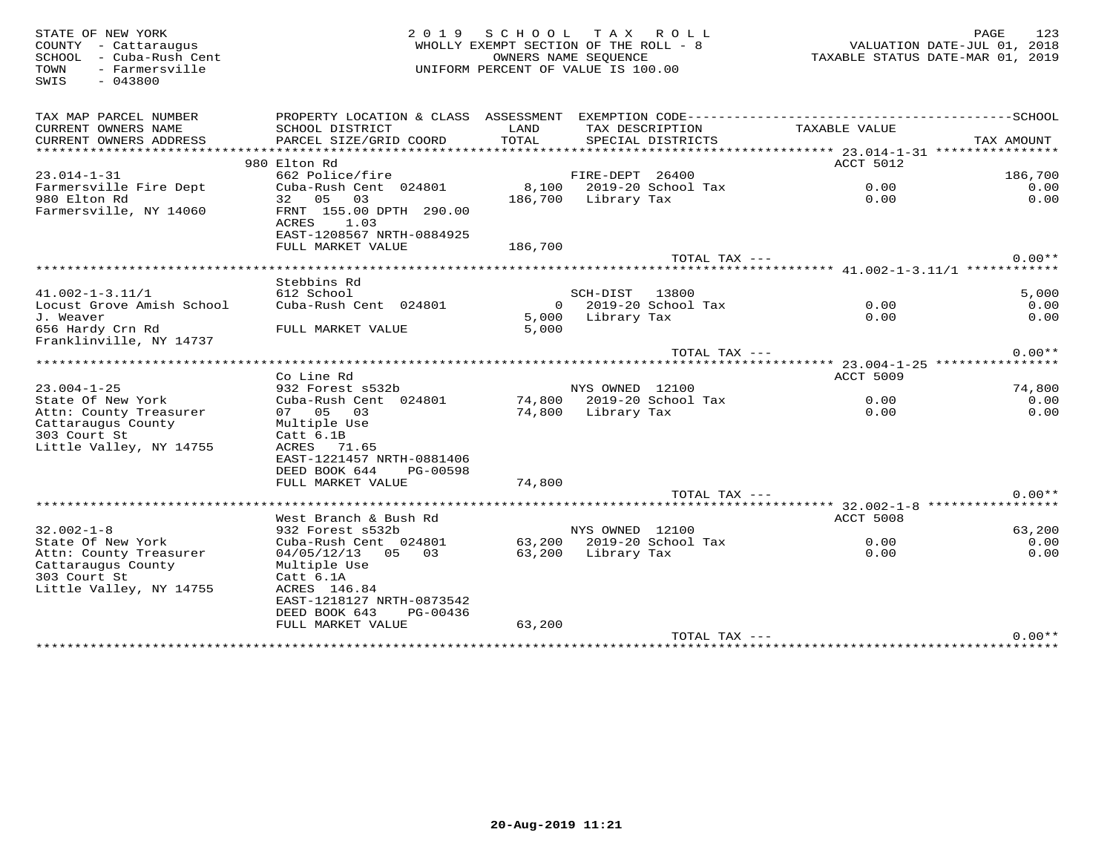STATE OF NEW YORK 2 0 1 9 S C H O O L T A X R O L L PAGE 123 COUNTY - Cattaraugus WHOLLY EXEMPT SECTION OF THE ROLL - 8 VALUATION DATE-JUL 01, 2018 SCHOOL - Cuba-Rush Cent OWNERS NAME SEQUENCE TAXABLE STATUS DATE-MAR 01, 2019 TOWN - Farmersville UNIFORM PERCENT OF VALUE IS 100.00SWIS - 043800TAX MAP PARCEL NUMBER PROPERTY LOCATION & CLASS ASSESSMENT EXEMPTION CODE------------------------------------------SCHOOL CURRENT OWNERS NAME SCHOOL DISTRICT LAND TAX DESCRIPTION TAXABLE VALUE CURRENT OWNERS ADDRESS PARCEL SIZE/GRID COORD TOTAL SPECIAL DISTRICTS TAX AMOUNT \*\*\*\*\*\*\*\*\*\*\*\*\*\*\*\*\*\*\*\*\*\*\*\*\*\*\*\*\*\*\*\*\*\*\*\*\*\*\*\*\*\*\*\*\*\*\*\*\*\*\*\*\*\*\*\*\*\*\*\*\*\*\*\*\*\*\*\*\*\*\*\*\*\*\*\*\*\*\*\*\*\*\*\*\*\*\*\*\*\*\*\*\*\*\*\*\*\*\*\*\*\*\* 23.014-1-31 \*\*\*\*\*\*\*\*\*\*\*\*\*\*\*\*extended to the second second second to the second second second second second second second second second second second second second second second second second second second second second second second second second sec 23.014-1-31 662 Police/fire FIRE-DEPT 26400 186,700  $\cap$   $\cap$ Farmersville Fire Dept Cuba-Rush Cent 024801 8,100 2019-20 School Tax 0.00 0.00 $0.00$ 980 Elton Rd 32 05 03 186,700 Library Tax 0.00 0.00Farmersville, NY 14060 FRNT 155.00 DPTH 290.00example and the contract of  $\Lambda$ CRES and  $1.03$  EAST-1208567 NRTH-0884925 FULL MARKET VALUE 186,700 ${\tt TOTAL} \begin{tabular}{c} \bf{TAL} \end{tabular} \begin{tabular}{c} \bf{TAL} \end{tabular} \begin{tabular}{c} \bf{TAL} \end{tabular} \begin{tabular}{c} \bf{A} \end{tabular} \begin{tabular}{c} \bf{A} \end{tabular} \end{tabular} \begin{tabular}{c} \bf{A} \end{tabular} \begin{tabular}{c} \bf{A} \end{tabular} \end{tabular} \begin{tabular}{c} \bf{A} \end{tabular} \begin{tabular}{c} \bf{A} \end{tabular} \end{tabular} \begin{tabular}{c} \bf{A} \end{tabular} \begin{tab$  \*\*\*\*\*\*\*\*\*\*\*\*\*\*\*\*\*\*\*\*\*\*\*\*\*\*\*\*\*\*\*\*\*\*\*\*\*\*\*\*\*\*\*\*\*\*\*\*\*\*\*\*\*\*\*\*\*\*\*\*\*\*\*\*\*\*\*\*\*\*\*\*\*\*\*\*\*\*\*\*\*\*\*\*\*\*\*\*\*\*\*\*\*\*\*\*\*\*\*\*\*\*\* 41.002-1-3.11/1 \*\*\*\*\*\*\*\*\*\*\*\* Stebbins Rd 41.002-1-3.11/1 612 School SCH-DIST 13800 5,000Locust Grove Amish School Cuba-Rush Cent 024801 0 2019-20 School Tax 0.00 0.00 $0.00$  $0.00$ J. Weaver 5,000 Library Tax 0.00 0.00656 Hardy Crn Rd FULL MARKET VALUE 5,000 Franklinville, NY 14737  ${\tt TOTAL} \begin{tabular}{c} \bf{TAL} \end{tabular} \begin{tabular}{c} \bf{TAL} \end{tabular} \begin{tabular}{c} \bf{TAL} \end{tabular} \begin{tabular}{c} \bf{A} \end{tabular} \begin{tabular}{c} \bf{A} \end{tabular} \end{tabular} \begin{tabular}{c} \bf{A} \end{tabular} \begin{tabular}{c} \bf{A} \end{tabular} \end{tabular} \begin{tabular}{c} \bf{A} \end{tabular} \begin{tabular}{c} \bf{A} \end{tabular} \end{tabular} \begin{tabular}{c} \bf{A} \end{tabular} \begin{tab$  \*\*\*\*\*\*\*\*\*\*\*\*\*\*\*\*\*\*\*\*\*\*\*\*\*\*\*\*\*\*\*\*\*\*\*\*\*\*\*\*\*\*\*\*\*\*\*\*\*\*\*\*\*\*\*\*\*\*\*\*\*\*\*\*\*\*\*\*\*\*\*\*\*\*\*\*\*\*\*\*\*\*\*\*\*\*\*\*\*\*\*\*\*\*\*\*\*\*\*\*\*\*\* 23.004-1-25 \*\*\*\*\*\*\*\*\*\*\*\*\*\*\*\* Co Line Rd ACCT 5009 $0.00$ <br> $0.00$ 23.004-1-25 932 Forest s532b NYS OWNED 12100 74,800 $0.00$ State Of New York Cuba-Rush Cent 024801 74,800 2019-20 School Tax 0.00 0.00 $0.00$ Attn: County Treasurer 07 05 03 74,800 Library Tax 0.00 0.00Cattaraugus County Multiple Use 303 Court St Catt 6.1B Little Valley, NY 14755 ACRES 71.65 EAST-1221457 NRTH-0881406DEED BOOK 644 PG-00598 DEED BOOK 644 PG-00598 FULL MARKET VALUE 74,800 TOTAL TAX --- 0.00\*\* \*\*\*\*\*\*\*\*\*\*\*\*\*\*\*\*\*\*\*\*\*\*\*\*\*\*\*\*\*\*\*\*\*\*\*\*\*\*\*\*\*\*\*\*\*\*\*\*\*\*\*\*\*\*\*\*\*\*\*\*\*\*\*\*\*\*\*\*\*\*\*\*\*\*\*\*\*\*\*\*\*\*\*\*\*\*\*\*\*\*\*\*\*\*\*\*\*\*\*\*\*\*\* 32.002-1-8 \*\*\*\*\*\*\*\*\*\*\*\*\*\*\*\*\* West Branch & Bush Rd ACCT 5008 32.002-1-8 932 Forest s532b NYS OWNED 12100 63,200 $0.00$ State Of New York Cuba-Rush Cent 024801 63,200 2019-20 School Tax 0.00 0.00 $0.00$ Attn: County Treasurer 04/05/12/13 05 03 63,200 Library Tax 0.00 0.00Cattaraugus County Multiple Use 303 Court St Catt 6.1A Little Valley, NY 14755 ACRES 146.84 EAST-1218127 NRTH-0873542 DEED BOOK 643 PG-00436 FULL MARKET VALUE 63,200 $\text{TOTAL TAX}$   $---$  0.00\*\* \*\*\*\*\*\*\*\*\*\*\*\*\*\*\*\*\*\*\*\*\*\*\*\*\*\*\*\*\*\*\*\*\*\*\*\*\*\*\*\*\*\*\*\*\*\*\*\*\*\*\*\*\*\*\*\*\*\*\*\*\*\*\*\*\*\*\*\*\*\*\*\*\*\*\*\*\*\*\*\*\*\*\*\*\*\*\*\*\*\*\*\*\*\*\*\*\*\*\*\*\*\*\*\*\*\*\*\*\*\*\*\*\*\*\*\*\*\*\*\*\*\*\*\*\*\*\*\*\*\*\*\*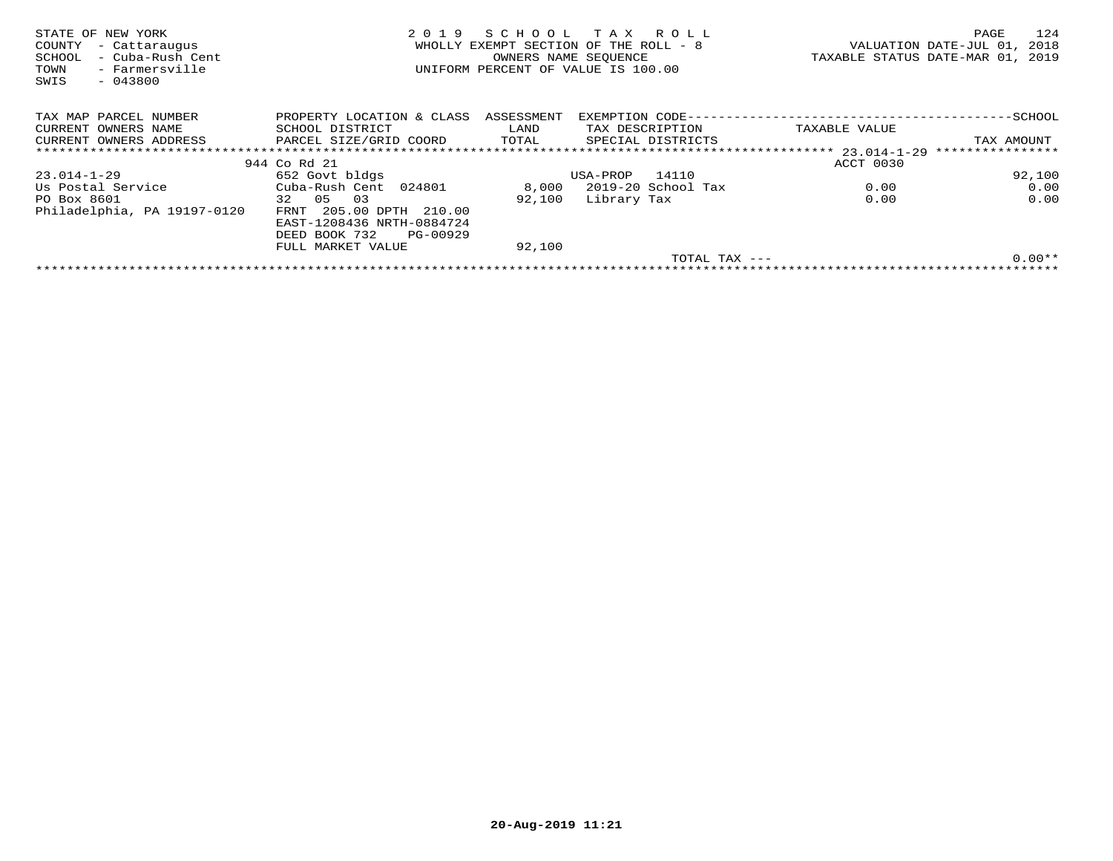| STATE OF NEW YORK<br>COUNTY<br>- Cattaraugus<br>- Cuba-Rush Cent<br>SCHOOL<br>- Farmersville<br>TOWN<br>SWIS<br>$-043800$ | 2019                                                                              | SCHOOL<br>WHOLLY EXEMPT SECTION OF THE ROLL - 8<br>OWNERS NAME SEQUENCE<br>UNIFORM PERCENT OF VALUE IS 100.00 | тах             | R O L L            |               | PAGE<br>VALUATION DATE-JUL 01,<br>2018<br>TAXABLE STATUS DATE-MAR 01, 2019 | 124 |
|---------------------------------------------------------------------------------------------------------------------------|-----------------------------------------------------------------------------------|---------------------------------------------------------------------------------------------------------------|-----------------|--------------------|---------------|----------------------------------------------------------------------------|-----|
| TAX MAP PARCEL NUMBER                                                                                                     | PROPERTY LOCATION & CLASS                                                         | ASSESSMENT                                                                                                    |                 |                    |               |                                                                            |     |
| CURRENT OWNERS NAME                                                                                                       | SCHOOL DISTRICT                                                                   | LAND                                                                                                          | TAX DESCRIPTION |                    | TAXABLE VALUE |                                                                            |     |
| CURRENT OWNERS ADDRESS                                                                                                    | PARCEL SIZE/GRID COORD                                                            | TOTAL                                                                                                         |                 | SPECIAL DISTRICTS  |               | TAX AMOUNT                                                                 |     |
|                                                                                                                           |                                                                                   |                                                                                                               |                 |                    |               | ****************                                                           |     |
|                                                                                                                           | 944 Co Rd 21                                                                      |                                                                                                               |                 |                    | ACCT 0030     |                                                                            |     |
| 23.014-1-29                                                                                                               | 652 Govt bldgs                                                                    |                                                                                                               | USA-PROP        | 14110              |               | 92,100                                                                     |     |
| Us Postal Service                                                                                                         | Cuba-Rush Cent 024801                                                             | 8,000                                                                                                         |                 | 2019-20 School Tax | 0.00          | 0.00                                                                       |     |
| PO Box 8601                                                                                                               | 32 05<br>03                                                                       | 92,100                                                                                                        | Library Tax     |                    | 0.00          | 0.00                                                                       |     |
| Philadelphia, PA 19197-0120                                                                                               | FRNT 205.00 DPTH 210.00<br>EAST-1208436 NRTH-0884724<br>PG-00929<br>DEED BOOK 732 |                                                                                                               |                 |                    |               |                                                                            |     |
|                                                                                                                           | FULL MARKET VALUE                                                                 | 92,100                                                                                                        |                 |                    |               |                                                                            |     |
|                                                                                                                           |                                                                                   |                                                                                                               |                 | TOTAL TAX $---$    |               | $0.00**$                                                                   |     |
|                                                                                                                           |                                                                                   |                                                                                                               |                 |                    |               |                                                                            |     |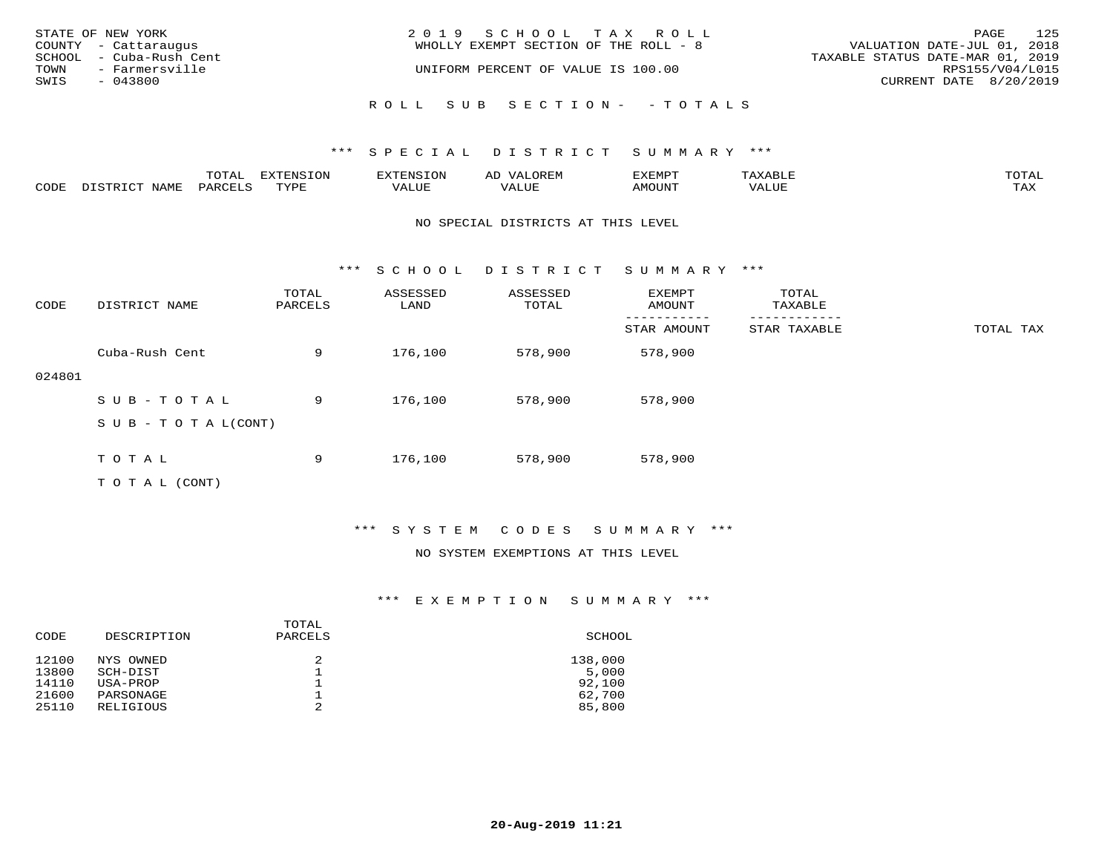| STATE OF NEW YORK<br>COUNTY - Cattaraugus         | 2019 SCHOOL TAX ROLL<br>WHOLLY EXEMPT SECTION OF THE ROLL - 8 | 125<br>PAGE<br>VALUATION DATE-JUL 01, 2018          |
|---------------------------------------------------|---------------------------------------------------------------|-----------------------------------------------------|
| SCHOOL - Cuba-Rush Cent<br>TOWN<br>- Farmersville | UNIFORM PERCENT OF VALUE IS 100.00                            | TAXABLE STATUS DATE-MAR 01, 2019<br>RPS155/V04/L015 |
| SWIS<br>- 043800                                  |                                                               | CURRENT DATE 8/20/2019                              |
|                                                   | ROLL SUB SECTION- - TOTALS                                    |                                                     |

|      |      | momn'<br>LUIAL | $\pi$                |      | - |        |       | -----<br>$\sim$  |
|------|------|----------------|----------------------|------|---|--------|-------|------------------|
| CODE | NAME | 'ARI           | TVDL<br><u>ـ د د</u> | ALUE |   | LUITOM | 'ALUL | max 37<br>⊥ ∠~∡∡ |

#### NO SPECIAL DISTRICTS AT THIS LEVEL

\*\*\* S C H O O L D I S T R I C T S U M M A R Y \*\*\*

| CODE   | DISTRICT NAME                    | TOTAL<br>PARCELS | ASSESSED<br>LAND | ASSESSED<br>TOTAL | EXEMPT<br>AMOUNT | TOTAL<br>TAXABLE |           |
|--------|----------------------------------|------------------|------------------|-------------------|------------------|------------------|-----------|
|        |                                  |                  |                  |                   | STAR AMOUNT      | STAR TAXABLE     | TOTAL TAX |
|        | Cuba-Rush Cent                   | 9                | 176,100          | 578,900           | 578,900          |                  |           |
| 024801 |                                  |                  |                  |                   |                  |                  |           |
|        | SUB-TOTAL                        | 9                | 176,100          | 578,900           | 578,900          |                  |           |
|        | $S \cup B - T \cup T A L (CONT)$ |                  |                  |                   |                  |                  |           |
|        |                                  |                  |                  |                   |                  |                  |           |
|        | TOTAL                            | 9                | 176,100          | 578,900           | 578,900          |                  |           |
|        | T O T A L (CONT)                 |                  |                  |                   |                  |                  |           |

\*\*\* S Y S T E M C O D E S S U M M A R Y \*\*\*

#### NO SYSTEM EXEMPTIONS AT THIS LEVEL

| CODE  | DESCRIPTION | TOTAL<br>PARCELS | SCHOOL  |
|-------|-------------|------------------|---------|
| 12100 | NYS OWNED   | 2                | 138,000 |
| 13800 | SCH-DIST    |                  | 5,000   |
| 14110 | USA-PROP    | 2                | 92,100  |
| 21600 | PARSONAGE   |                  | 62,700  |
| 25110 | RELIGIOUS   |                  | 85,800  |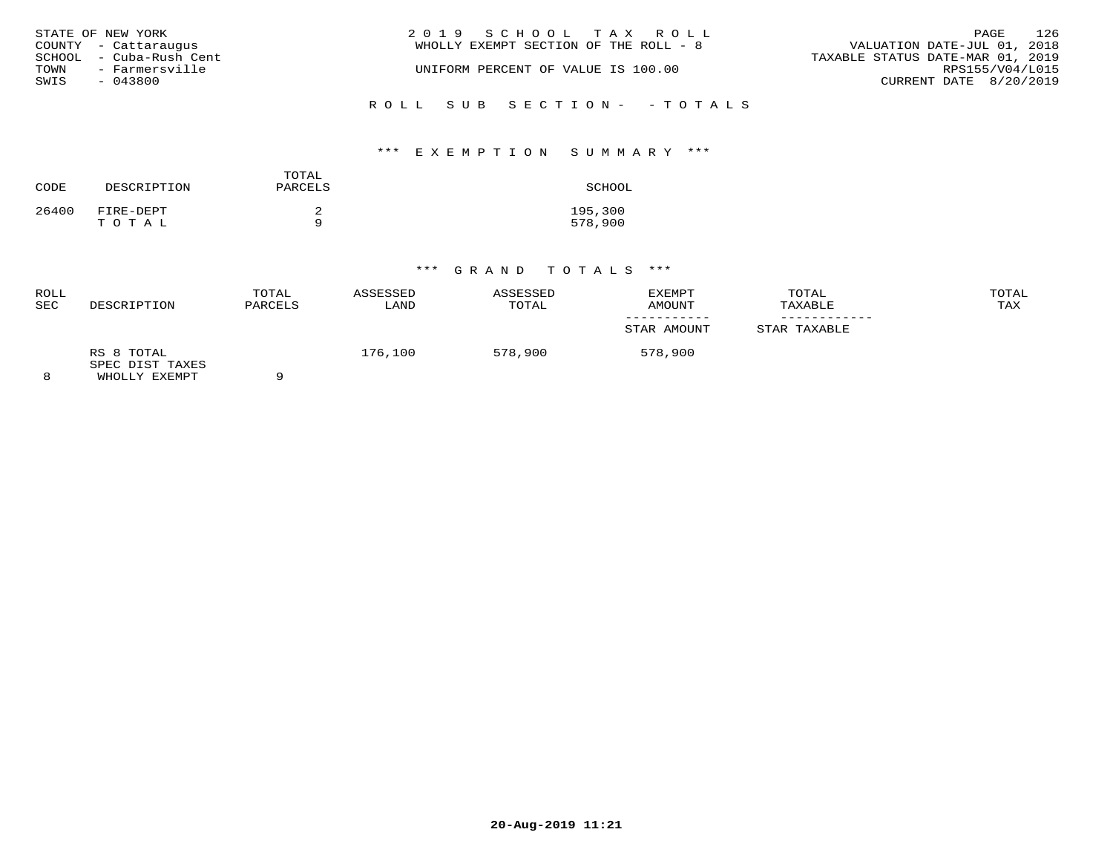|      | STATE OF NEW YORK       | 2019 SCHOOL TAX ROLL                  | PAGE                             | 126 |
|------|-------------------------|---------------------------------------|----------------------------------|-----|
|      | COUNTY - Cattaraugus    | WHOLLY EXEMPT SECTION OF THE ROLL - 8 | VALUATION DATE-JUL 01, 2018      |     |
|      | SCHOOL - Cuba-Rush Cent |                                       | TAXABLE STATUS DATE-MAR 01, 2019 |     |
| TOWN | - Farmersville          | UNIFORM PERCENT OF VALUE IS 100.00    | RPS155/V04/L015                  |     |
| SWIS | - 043800                |                                       | CURRENT DATE 8/20/2019           |     |
|      |                         | ROLL SUB SECTION- - TOTALS            |                                  |     |

## \*\*\* E X E M P T I O N S U M M A R Y \*\*\*

| CODE  | DESCRIPTION        | TOTAL<br>PARCELS | SCHOOL             |
|-------|--------------------|------------------|--------------------|
| 26400 | FIRE-DEPT<br>TOTAL | a                | 195,300<br>578,900 |

| ROLL<br><b>SEC</b> | DESCRIPTION                                    | TOTAL<br>PARCELS | ASSESSED<br>LAND | ASSESSED<br>TOTAL | EXEMPT<br>AMOUNT | TOTAL<br>TAXABLE | TOTAL<br>TAX |
|--------------------|------------------------------------------------|------------------|------------------|-------------------|------------------|------------------|--------------|
|                    |                                                |                  |                  |                   | STAR AMOUNT      | STAR TAXABLE     |              |
|                    | RS 8 TOTAL<br>SPEC DIST TAXES<br>WHOLLY EXEMPT | $\Omega$         | 176,100          | 578,900           | 578,900          |                  |              |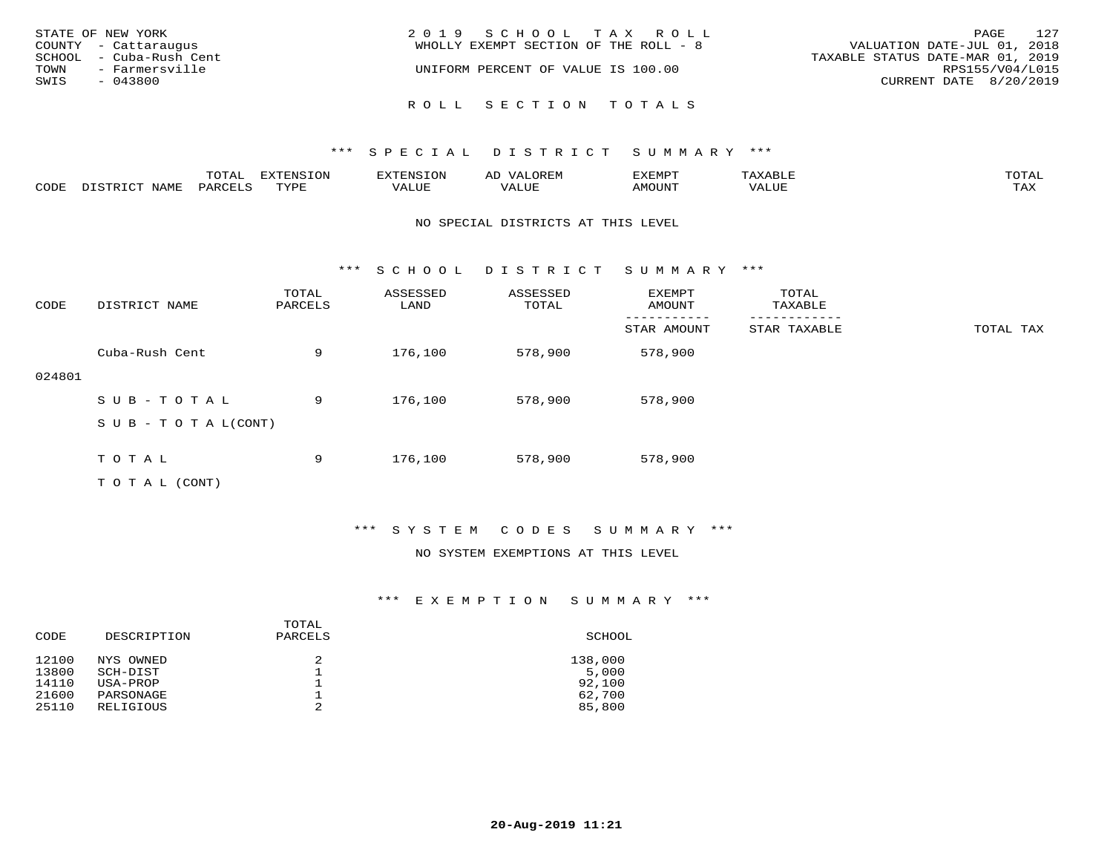| STATE OF NEW YORK<br>COUNTY - Cattaraugus         | 2019 SCHOOL TAX ROLL<br>WHOLLY EXEMPT SECTION OF THE ROLL - 8 | 127<br>PAGE<br>VALUATION DATE-JUL 01, 2018          |
|---------------------------------------------------|---------------------------------------------------------------|-----------------------------------------------------|
| SCHOOL - Cuba-Rush Cent<br>TOWN<br>- Farmersville | UNIFORM PERCENT OF VALUE IS 100.00                            | TAXABLE STATUS DATE-MAR 01, 2019<br>RPS155/V04/L015 |
| SWIS<br>- 043800                                  |                                                               | CURRENT DATE 8/20/2019                              |
|                                                   | ROLL SECTION TOTALS                                           |                                                     |

|      |      | $m \wedge m \wedge n$<br>⊥∪⊥AL | <b>DIZPOILIC TOM</b><br>⊥ບ⊥ | EN-  | .<br>AL'<br>٠، تن ١٠ | 5773570      |          | $m \wedge m \wedge n$<br>$\mathsf{L}^{\mathsf{L}}$ |
|------|------|--------------------------------|-----------------------------|------|----------------------|--------------|----------|----------------------------------------------------|
| CODE | NAMF | PARO                           | TVDF<br><u>ـ د د</u>        | ALUE |                      | <b>MOUNT</b> | 7 A LU B | may<br>- ∠∡∡                                       |

#### NO SPECIAL DISTRICTS AT THIS LEVEL

\*\*\* S C H O O L D I S T R I C T S U M M A R Y \*\*\*

| CODE   | DISTRICT NAME                    | TOTAL<br>PARCELS | ASSESSED<br>LAND | ASSESSED<br>TOTAL | <b>EXEMPT</b><br>AMOUNT | TOTAL<br>TAXABLE |           |
|--------|----------------------------------|------------------|------------------|-------------------|-------------------------|------------------|-----------|
|        |                                  |                  |                  |                   | STAR AMOUNT             | STAR TAXABLE     | TOTAL TAX |
|        | Cuba-Rush Cent                   | 9                | 176,100          | 578,900           | 578,900                 |                  |           |
| 024801 |                                  |                  |                  |                   |                         |                  |           |
|        | SUB-TOTAL                        | 9                | 176,100          | 578,900           | 578,900                 |                  |           |
|        | $S \cup B - T \cup T A L (CONT)$ |                  |                  |                   |                         |                  |           |
|        |                                  |                  |                  |                   |                         |                  |           |
|        | TOTAL                            | 9                | 176,100          | 578,900           | 578,900                 |                  |           |
|        | T O T A L (CONT)                 |                  |                  |                   |                         |                  |           |

## \*\*\* S Y S T E M C O D E S S U M M A R Y \*\*\*

#### NO SYSTEM EXEMPTIONS AT THIS LEVEL

| DESCRIPTION | PARCELS                           | SCHOOL           |
|-------------|-----------------------------------|------------------|
| NYS OWNED   |                                   | 138,000          |
|             |                                   | 5,000            |
|             |                                   | 92,100<br>62,700 |
| RELIGIOUS   | 2                                 | 85,800           |
|             | SCH-DIST<br>USA-PROP<br>PARSONAGE | TOTAL            |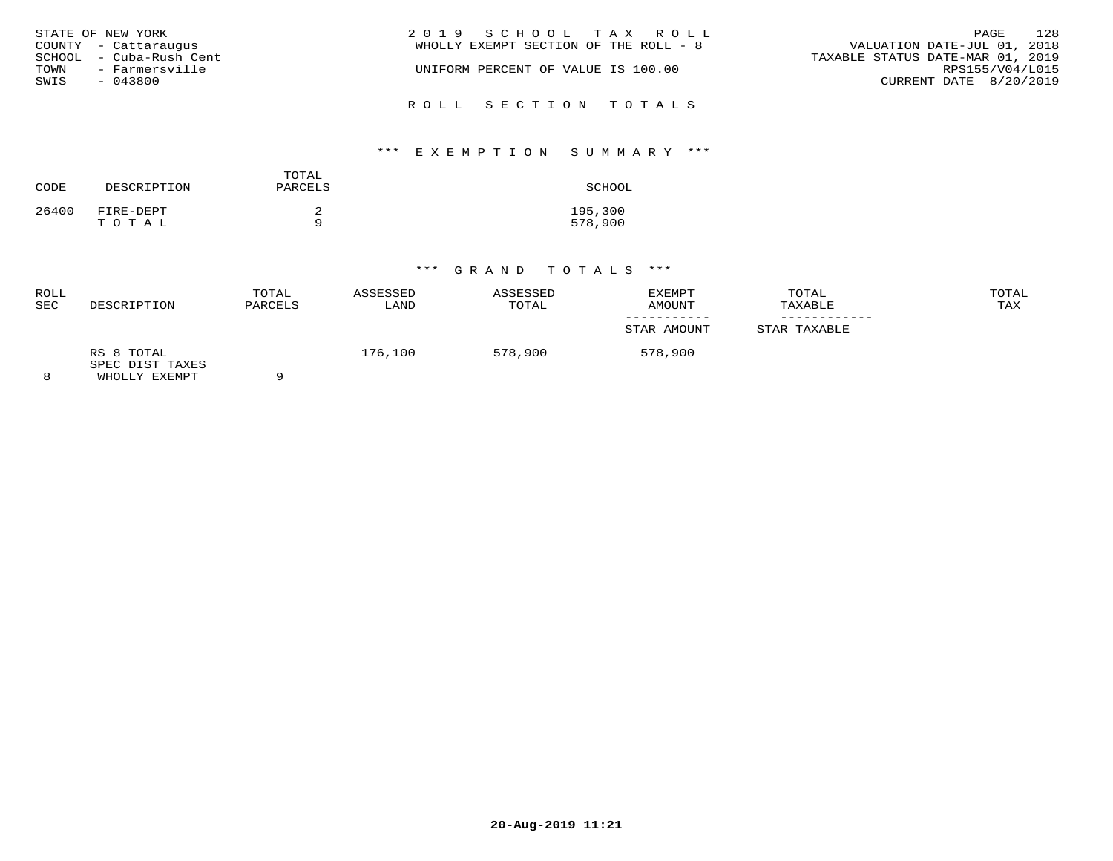| STATE OF NEW YORK<br>COUNTY - Cattaraugus<br>SCHOOL - Cuba-Rush Cent<br>TOWN<br>- Farmersville<br>SWIS<br>- 043800 | 2019 SCHOOL TAX ROLL<br>WHOLLY EXEMPT SECTION OF THE ROLL - 8<br>UNIFORM PERCENT OF VALUE IS 100.00 | 128<br>PAGE<br>VALUATION DATE-JUL 01, 2018<br>TAXABLE STATUS DATE-MAR 01, 2019<br>RPS155/V04/L015<br>CURRENT DATE 8/20/2019 |
|--------------------------------------------------------------------------------------------------------------------|-----------------------------------------------------------------------------------------------------|-----------------------------------------------------------------------------------------------------------------------------|
|                                                                                                                    | ROLL SECTION TOTALS                                                                                 |                                                                                                                             |

# \*\*\* E X E M P T I O N S U M M A R Y \*\*\*

| CODE  | DESCRIPTION        | TOTAL<br>PARCELS | SCHOOL             |
|-------|--------------------|------------------|--------------------|
| 26400 | FIRE-DEPT<br>тотаь |                  | 195,300<br>578,900 |

| ROLL<br><b>SEC</b> | DESCRIPTION                                    | TOTAL<br>PARCELS | ASSESSED<br>LAND | ASSESSED<br>TOTAL | EXEMPT<br>AMOUNT | TOTAL<br>TAXABLE | TOTAL<br>TAX |
|--------------------|------------------------------------------------|------------------|------------------|-------------------|------------------|------------------|--------------|
|                    |                                                |                  |                  |                   | STAR AMOUNT      | STAR TAXABLE     |              |
|                    | RS 8 TOTAL<br>SPEC DIST TAXES<br>WHOLLY EXEMPT | $\Omega$         | 176,100          | 578,900           | 578,900          |                  |              |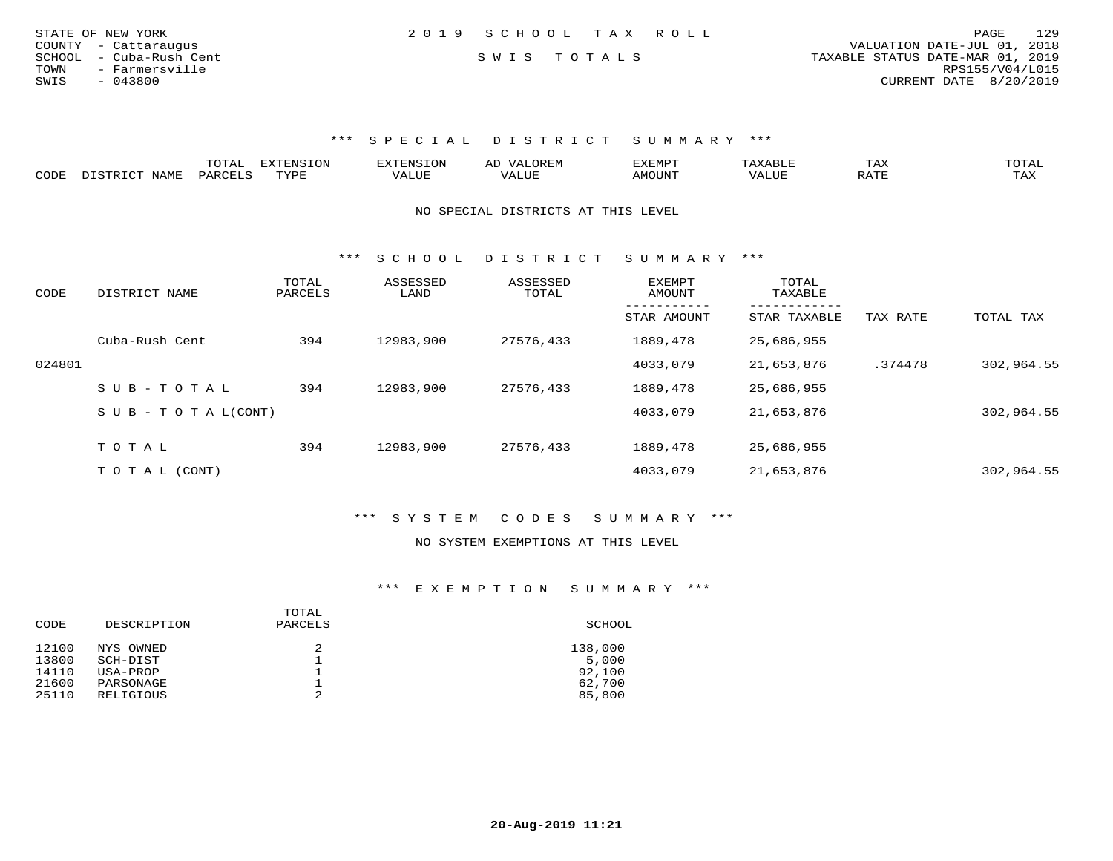| STATE OF NEW YORK       | 2019 SCHOOL TAX ROLL | 129<br>PAGE                      |
|-------------------------|----------------------|----------------------------------|
| COUNTY - Cattaraugus    |                      | VALUATION DATE-JUL 01, 2018      |
| SCHOOL - Cuba-Rush Cent | SWIS TOTALS          | TAXABLE STATUS DATE-MAR 01, 2019 |
| TOWN<br>- Farmersville  |                      | RPS155/V04/L015                  |
| SWIS<br>$-043800$       |                      | CURRENT DATE 8/20/2019           |

|      | ----<br>. U 1 1 1 1 | $mmzeta \tau \wedge z$<br><b>A</b> | ▵ | <b>EMP</b> | t Land               | _____ |
|------|---------------------|------------------------------------|---|------------|----------------------|-------|
| CODE |                     | $n \tau \tau n \tau$               |   | MOTIN.     | $\sim$ $\sim$ $\sim$ |       |

NO SPECIAL DISTRICTS AT THIS LEVEL

\*\*\* S C H O O L D I S T R I C T S U M M A R Y \*\*\*

| CODE   | DISTRICT NAME      | TOTAL<br>PARCELS | ASSESSED<br>LAND | ASSESSED<br>TOTAL | EXEMPT<br>AMOUNT | TOTAL<br>TAXABLE          |          |            |
|--------|--------------------|------------------|------------------|-------------------|------------------|---------------------------|----------|------------|
|        |                    |                  |                  |                   | STAR AMOUNT      | ---------<br>STAR TAXABLE | TAX RATE | TOTAL TAX  |
|        | Cuba-Rush Cent     | 394              | 12983,900        | 27576,433         | 1889,478         | 25,686,955                |          |            |
| 024801 |                    |                  |                  |                   | 4033,079         | 21,653,876                | .374478  | 302,964.55 |
|        | $SUB - TO TAL$     | 394              | 12983,900        | 27576,433         | 1889,478         | 25,686,955                |          |            |
|        | SUB - TO TAL(CONT) |                  |                  |                   | 4033,079         | 21,653,876                |          | 302,964.55 |
|        | TOTAL              |                  | 12983,900        |                   |                  |                           |          |            |
|        |                    | 394              |                  | 27576,433         | 1889,478         | 25,686,955                |          |            |
|        | T O T A L (CONT)   |                  |                  |                   | 4033,079         | 21,653,876                |          | 302,964.55 |

\*\*\* S Y S T E M C O D E S S U M M A R Y \*\*\*

#### NO SYSTEM EXEMPTIONS AT THIS LEVEL

| CODE  | DESCRIPTION | TOTAL<br>PARCELS | SCHOOL  |
|-------|-------------|------------------|---------|
| 12100 | NYS OWNED   | 2                | 138,000 |
| 13800 | SCH-DIST    |                  | 5,000   |
| 14110 | USA-PROP    | ∸                | 92,100  |
| 21600 | PARSONAGE   |                  | 62,700  |
| 25110 | RELIGIOUS   | 2                | 85,800  |
|       |             |                  |         |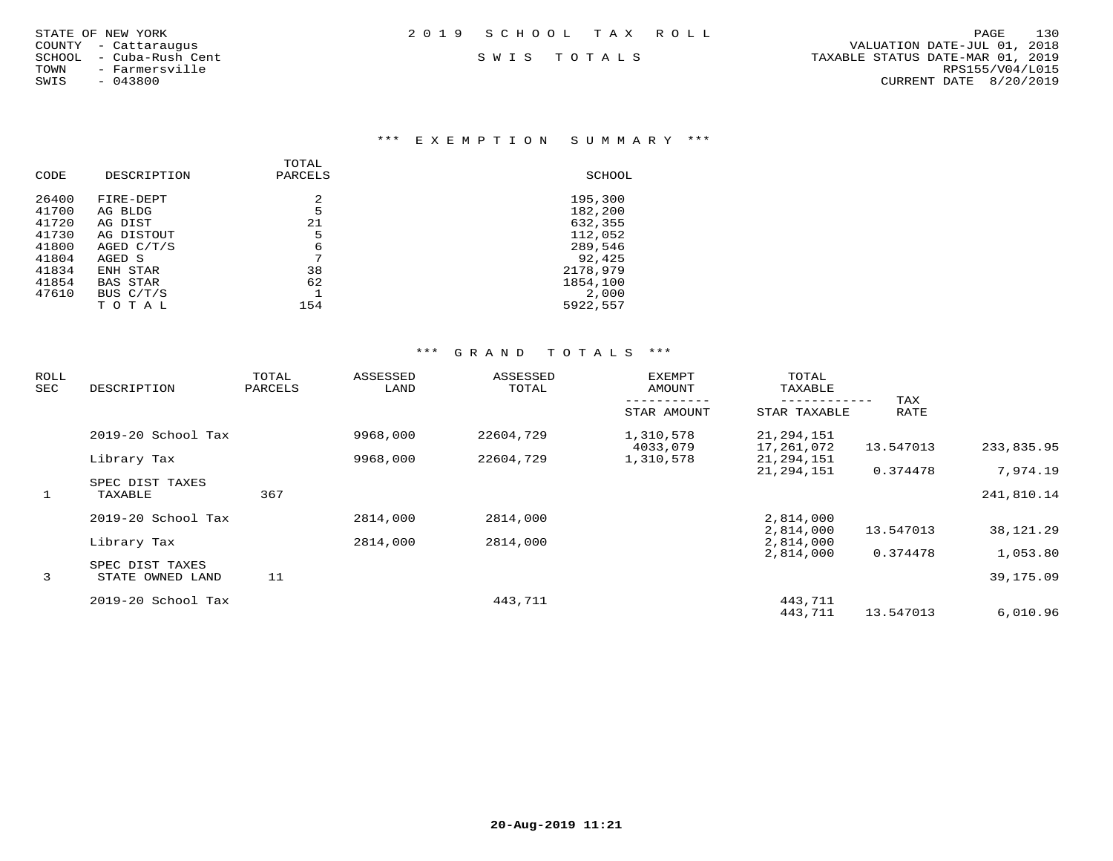|     | ATE OF NEW YORK         |
|-----|-------------------------|
|     | UNTY - Cattarauqus      |
|     | "HOOL  – Cuba-Rush Cent |
| )MN | - Farmersville          |
| IIS | $-043800$               |

## \*\*\* E X E M P T I O N S U M M A R Y \*\*\*

| CODE  | DESCRIPTION     | TOTAL<br>PARCELS | SCHOOL   |
|-------|-----------------|------------------|----------|
| 26400 | FIRE-DEPT       | 2                | 195,300  |
| 41700 | AG BLDG         | 5                | 182,200  |
| 41720 | AG DIST         | 21               | 632,355  |
| 41730 | AG DISTOUT      | 5                | 112,052  |
| 41800 | AGED C/T/S      | 6                | 289,546  |
| 41804 | AGED S          | 7                | 92,425   |
| 41834 | ENH STAR        | 38               | 2178,979 |
| 41854 | <b>BAS STAR</b> | 62               | 1854,100 |
| 47610 | BUS C/T/S       |                  | 2,000    |
|       | TOTAL           | 154              | 5922,557 |

| ROLL<br>SEC  | DESCRIPTION                         | TOTAL<br>PARCELS | ASSESSED<br>LAND | ASSESSED<br>TOTAL | <b>EXEMPT</b><br>AMOUNT | TOTAL<br>TAXABLE           |             |            |
|--------------|-------------------------------------|------------------|------------------|-------------------|-------------------------|----------------------------|-------------|------------|
|              |                                     |                  |                  |                   | STAR AMOUNT             | STAR TAXABLE               | TAX<br>RATE |            |
|              | 2019-20 School Tax                  |                  | 9968,000         | 22604,729         | 1,310,578<br>4033,079   | 21, 294, 151<br>17,261,072 | 13.547013   | 233,835.95 |
|              | Library Tax                         |                  | 9968,000         | 22604,729         | 1,310,578               | 21,294,151<br>21,294,151   | 0.374478    | 7,974.19   |
| $\mathbf{1}$ | SPEC DIST TAXES<br>TAXABLE          | 367              |                  |                   |                         |                            |             | 241,810.14 |
|              | 2019-20 School Tax                  |                  | 2814,000         | 2814,000          |                         | 2,814,000<br>2,814,000     | 13.547013   | 38,121.29  |
|              | Library Tax                         |                  | 2814,000         | 2814,000          |                         | 2,814,000<br>2,814,000     | 0.374478    | 1,053.80   |
| $\mathbf{3}$ | SPEC DIST TAXES<br>STATE OWNED LAND | 11               |                  |                   |                         |                            |             | 39,175.09  |
|              | $2019-20$ School Tax                |                  |                  | 443,711           |                         | 443,711<br>443,711         | 13.547013   | 6,010.96   |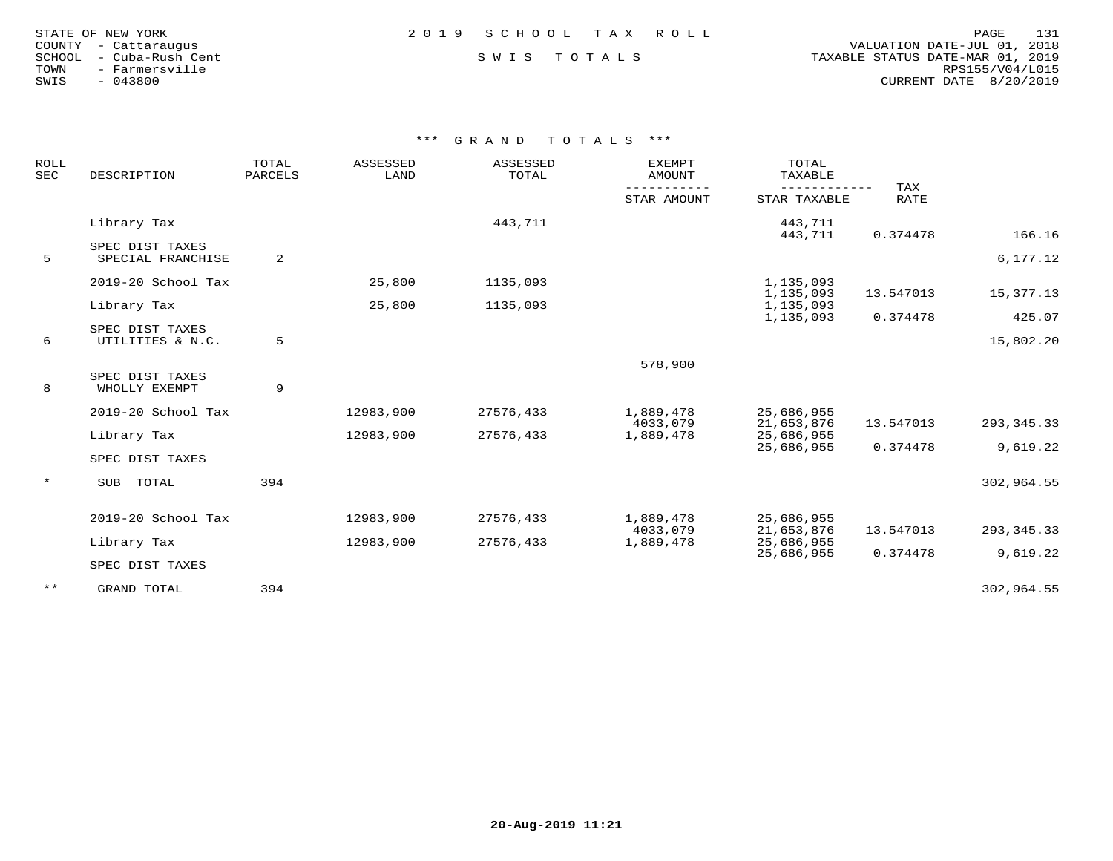| STATE OF NEW YORK    |  |                  |  |
|----------------------|--|------------------|--|
| COUNTY - Cattaraugus |  |                  |  |
| SCHOOL               |  | - Cuba-Rush Cent |  |
| TOWN                 |  | - Farmersville   |  |
| SWIS                 |  | $-043800$        |  |

## STATE OF NEW YORK 2 0 1 9 S C H O O L T A X R O L L PAGE 131

 COUNTY - Cattaraugus VALUATION DATE-JUL 01, 2018 SCHOOL - Cuba-Rush Cent S W I S T O T A L S TAXABLE STATUS DATE-MAR 01, 2019 TOWN - Farmersville RPS155/V04/L015SWIS - 043800 CURRENT DATE 8/20/2019

| ROLL<br><b>SEC</b> | DESCRIPTION                      | TOTAL<br>PARCELS | ASSESSED<br>LAND | ASSESSED<br>TOTAL | <b>EXEMPT</b><br>AMOUNT | TOTAL<br>TAXABLE       |                           |              |
|--------------------|----------------------------------|------------------|------------------|-------------------|-------------------------|------------------------|---------------------------|--------------|
|                    |                                  |                  |                  |                   | STAR AMOUNT             | STAR TAXABLE           | <b>TAX</b><br><b>RATE</b> |              |
|                    | Library Tax                      |                  |                  | 443,711           |                         | 443,711<br>443,711     | 0.374478                  | 166.16       |
|                    | SPEC DIST TAXES                  |                  |                  |                   |                         |                        |                           |              |
| 5                  | SPECIAL FRANCHISE                | 2                |                  |                   |                         |                        |                           | 6,177.12     |
|                    | 2019-20 School Tax               |                  | 25,800           | 1135,093          |                         | 1,135,093              |                           |              |
|                    | Library Tax                      |                  | 25,800           | 1135,093          |                         | 1,135,093              | 13.547013                 | 15,377.13    |
|                    |                                  |                  |                  |                   |                         | 1,135,093<br>1,135,093 | 0.374478                  | 425.07       |
|                    | SPEC DIST TAXES                  |                  |                  |                   |                         |                        |                           |              |
| 6                  | UTILITIES & N.C.                 | 5                |                  |                   |                         |                        |                           | 15,802.20    |
|                    |                                  |                  |                  |                   | 578,900                 |                        |                           |              |
| 8                  | SPEC DIST TAXES<br>WHOLLY EXEMPT | 9                |                  |                   |                         |                        |                           |              |
|                    | 2019-20 School Tax               |                  | 12983,900        | 27576,433         | 1,889,478               | 25,686,955             |                           |              |
|                    |                                  |                  |                  |                   | 4033,079                | 21,653,876             | 13.547013                 | 293, 345. 33 |
|                    | Library Tax                      |                  | 12983,900        | 27576,433         | 1,889,478               | 25,686,955             |                           |              |
|                    | SPEC DIST TAXES                  |                  |                  |                   |                         | 25,686,955             | 0.374478                  | 9,619.22     |
| $\star$            | TOTAL<br>SUB                     | 394              |                  |                   |                         |                        |                           | 302,964.55   |
|                    |                                  |                  |                  |                   |                         |                        |                           |              |
|                    | 2019-20 School Tax               |                  | 12983,900        | 27576,433         | 1,889,478               | 25,686,955             |                           |              |
|                    |                                  |                  |                  |                   | 4033,079                | 21,653,876             | 13.547013                 | 293, 345. 33 |
|                    | Library Tax                      |                  | 12983,900        | 27576,433         | 1,889,478               | 25,686,955             | 0.374478                  | 9,619.22     |
|                    | SPEC DIST TAXES                  |                  |                  |                   |                         | 25,686,955             |                           |              |
| $***$              | GRAND TOTAL                      | 394              |                  |                   |                         |                        |                           | 302,964.55   |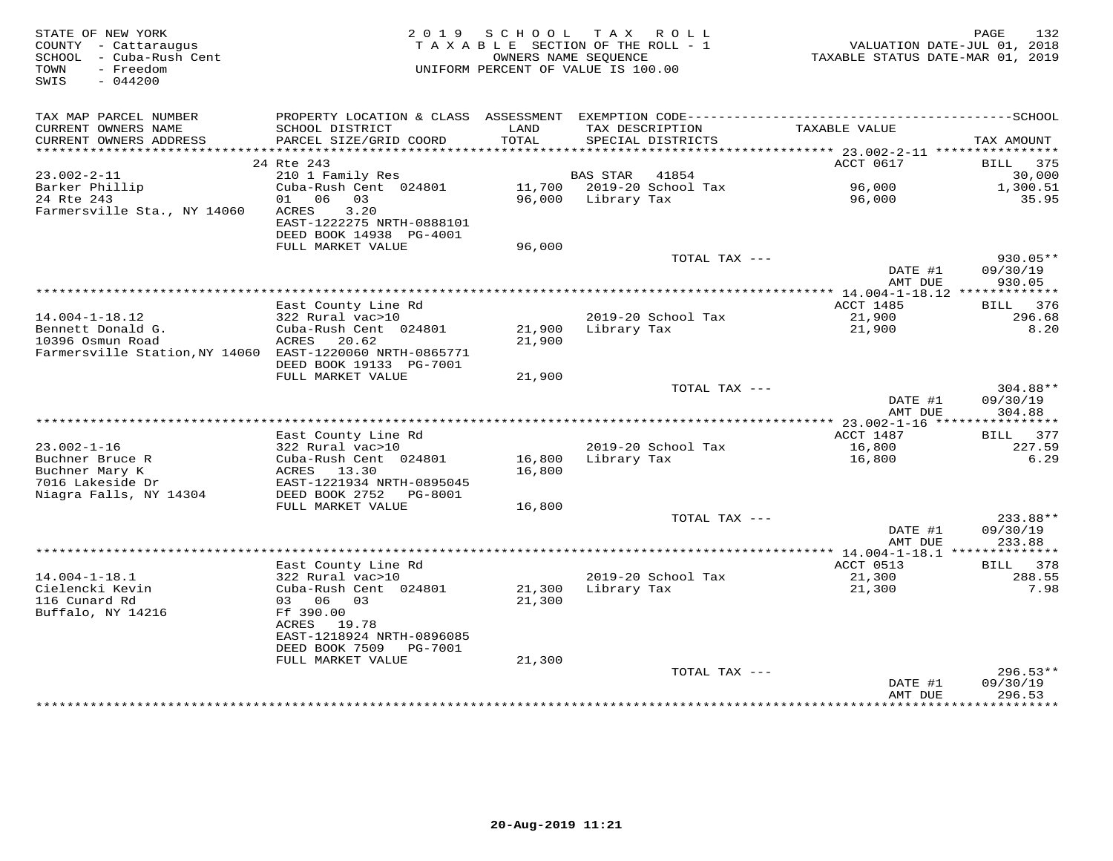| STATE OF NEW YORK<br>COUNTY - Cattaraugus<br>SCHOOL - Cuba-Rush Cent<br>- Freedom<br>TOWN<br>$-044200$<br>SWIS |                                                                                                                 | 2019 SCHOOL      | TAX ROLL<br>TAXABLE SECTION OF THE ROLL - 1<br>OWNERS NAME SEQUENCE<br>UNIFORM PERCENT OF VALUE IS 100.00 |                 | TAXABLE STATUS DATE-MAR 01, 2019 | 132<br>PAGE<br>VALUATION DATE-JUL 01, 2018 |
|----------------------------------------------------------------------------------------------------------------|-----------------------------------------------------------------------------------------------------------------|------------------|-----------------------------------------------------------------------------------------------------------|-----------------|----------------------------------|--------------------------------------------|
| TAX MAP PARCEL NUMBER<br>CURRENT OWNERS NAME<br>CURRENT OWNERS ADDRESS                                         | SCHOOL DISTRICT<br>PARCEL SIZE/GRID COORD                                                                       | LAND<br>TOTAL    | SPECIAL DISTRICTS                                                                                         | TAX DESCRIPTION | TAXABLE VALUE                    | TAX AMOUNT                                 |
|                                                                                                                |                                                                                                                 |                  |                                                                                                           |                 |                                  |                                            |
| $23.002 - 2 - 11$                                                                                              | 24 Rte 243<br>210 1 Family Res                                                                                  |                  | <b>BAS STAR</b>                                                                                           | 41854           | ACCT 0617                        | 375<br>BILL<br>30,000                      |
| Barker Phillip                                                                                                 | Cuba-Rush Cent 024801                                                                                           |                  | 11,700 2019-20 School Tax                                                                                 |                 | 96,000                           | 1,300.51                                   |
| 24 Rte 243<br>Farmersville Sta., NY 14060                                                                      | 01 06 03<br>ACRES<br>3.20<br>EAST-1222275 NRTH-0888101<br>DEED BOOK 14938 PG-4001                               |                  | 96,000 Library Tax                                                                                        |                 | 96,000                           | 35.95                                      |
|                                                                                                                | FULL MARKET VALUE                                                                                               | 96,000           |                                                                                                           |                 |                                  |                                            |
|                                                                                                                |                                                                                                                 |                  |                                                                                                           | TOTAL TAX ---   | DATE #1                          | $930.05**$<br>09/30/19                     |
|                                                                                                                |                                                                                                                 |                  |                                                                                                           |                 | AMT DUE                          | 930.05                                     |
|                                                                                                                | East County Line Rd                                                                                             |                  |                                                                                                           |                 | ACCT 1485                        | 376<br>BILL                                |
| $14.004 - 1 - 18.12$                                                                                           | 322 Rural vac>10                                                                                                |                  | 2019-20 School Tax                                                                                        |                 | 21,900                           | 296.68                                     |
| Bennett Donald G.<br>10396 Osmun Road<br>Farmersville Station, NY 14060 EAST-1220060 NRTH-0865771              | Cuba-Rush Cent 024801<br>ACRES<br>20.62<br>DEED BOOK 19133 PG-7001                                              | 21,900<br>21,900 | Library Tax                                                                                               |                 | 21,900                           | 8.20                                       |
|                                                                                                                | FULL MARKET VALUE                                                                                               | 21,900           |                                                                                                           |                 |                                  | 304.88**                                   |
|                                                                                                                |                                                                                                                 |                  |                                                                                                           | TOTAL TAX ---   | DATE #1<br>AMT DUE               | 09/30/19<br>304.88                         |
|                                                                                                                |                                                                                                                 |                  |                                                                                                           |                 |                                  |                                            |
|                                                                                                                | East County Line Rd                                                                                             |                  |                                                                                                           |                 | ACCT 1487                        | 377<br>BILL                                |
| $23.002 - 1 - 16$<br>Buchner Bruce R<br>Buchner Mary K<br>7016 Lakeside Dr<br>Niagra Falls, NY 14304           | 322 Rural vac>10<br>Cuba-Rush Cent 024801<br>ACRES 13.30<br>EAST-1221934 NRTH-0895045<br>DEED BOOK 2752 PG-8001 | 16,800<br>16,800 | 2019-20 School Tax<br>Library Tax                                                                         |                 | 16,800<br>16,800                 | 227.59<br>6.29                             |
|                                                                                                                | FULL MARKET VALUE                                                                                               | 16,800           |                                                                                                           |                 |                                  |                                            |
|                                                                                                                |                                                                                                                 |                  |                                                                                                           | TOTAL TAX ---   | DATE #1<br>AMT DUE               | 233.88**<br>09/30/19<br>233.88             |
|                                                                                                                |                                                                                                                 |                  |                                                                                                           |                 |                                  |                                            |
| $14.004 - 1 - 18.1$                                                                                            | East County Line Rd<br>322 Rural vac>10                                                                         |                  | 2019-20 School Tax                                                                                        |                 | ACCT 0513<br>21,300              | BILL 378<br>288.55                         |
| Cielencki Kevin<br>116 Cunard Rd<br>Buffalo, NY 14216                                                          | Cuba-Rush Cent 024801<br>03 06 03<br>Ff 390.00                                                                  | 21,300<br>21,300 | Library Tax                                                                                               |                 | 21,300                           | 7.98                                       |
|                                                                                                                | ACRES 19.78<br>EAST-1218924 NRTH-0896085<br>DEED BOOK 7509<br>PG-7001                                           |                  |                                                                                                           |                 |                                  |                                            |
|                                                                                                                | FULL MARKET VALUE                                                                                               | 21,300           |                                                                                                           | TOTAL TAX ---   |                                  | $296.53**$                                 |
|                                                                                                                |                                                                                                                 |                  |                                                                                                           |                 | DATE #1<br>AMT DUE               | 09/30/19<br>296.53                         |
|                                                                                                                |                                                                                                                 |                  |                                                                                                           |                 |                                  |                                            |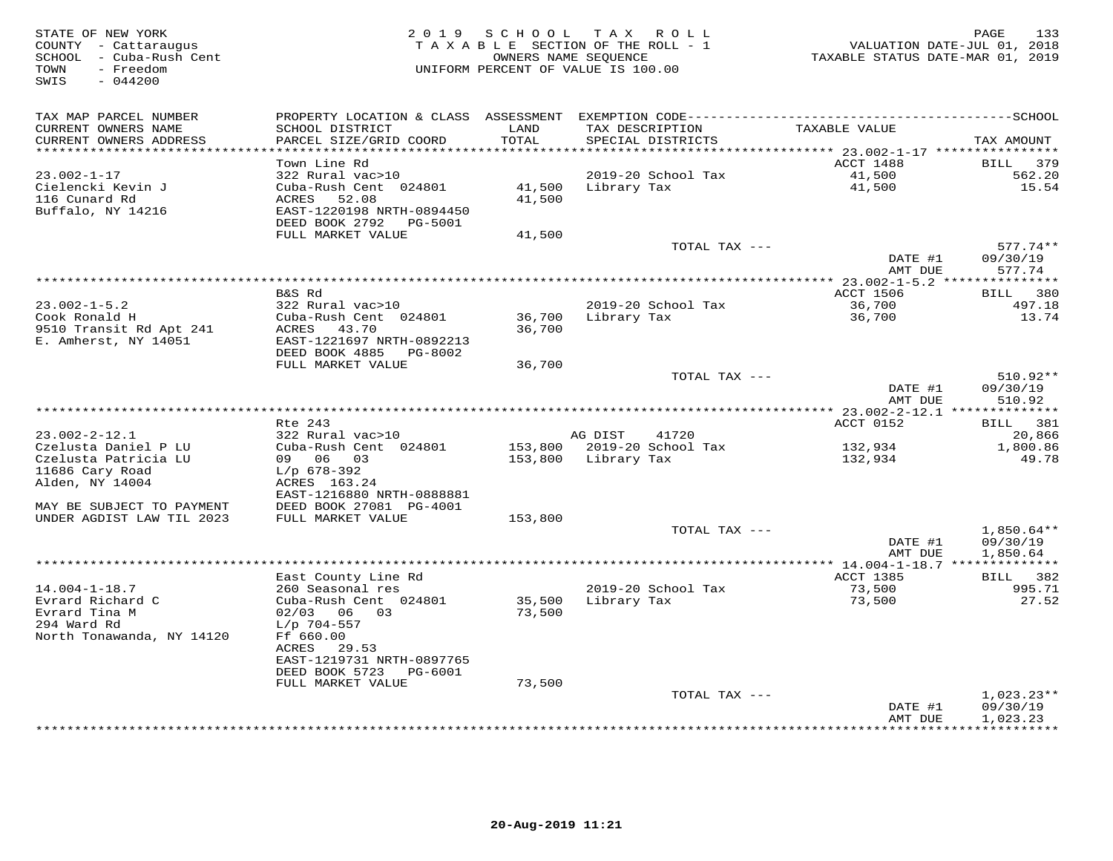| STATE OF NEW YORK<br>COUNTY - Cattaraugus<br>SCHOOL - Cuba-Rush Cent<br>- Freedom<br>TOWN<br>$-044200$<br>SWIS |                                             | 2019 SCHOOL   | T A X<br>R O L L<br>TAXABLE SECTION OF THE ROLL - 1<br>OWNERS NAME SEQUENCE<br>UNIFORM PERCENT OF VALUE IS 100.00 | VALUATION DATE-JUL 01, 2018<br>TAXABLE STATUS DATE-MAR 01, 2019 | 133<br>PAGE            |
|----------------------------------------------------------------------------------------------------------------|---------------------------------------------|---------------|-------------------------------------------------------------------------------------------------------------------|-----------------------------------------------------------------|------------------------|
| TAX MAP PARCEL NUMBER                                                                                          |                                             |               |                                                                                                                   |                                                                 |                        |
| CURRENT OWNERS NAME<br>CURRENT OWNERS ADDRESS<br>***********************                                       | SCHOOL DISTRICT<br>PARCEL SIZE/GRID COORD   | LAND<br>TOTAL | TAX DESCRIPTION<br>SPECIAL DISTRICTS                                                                              | TAXABLE VALUE                                                   | TAX AMOUNT             |
|                                                                                                                | Town Line Rd                                |               |                                                                                                                   | ACCT 1488                                                       | BILL<br>379            |
| $23.002 - 1 - 17$                                                                                              | 322 Rural vac>10                            |               | 2019-20 School Tax                                                                                                | 41,500                                                          | 562.20                 |
| Cielencki Kevin J                                                                                              | Cuba-Rush Cent 024801                       | 41,500        | Library Tax                                                                                                       | 41,500                                                          | 15.54                  |
| 116 Cunard Rd                                                                                                  | ACRES<br>52.08                              | 41,500        |                                                                                                                   |                                                                 |                        |
| Buffalo, NY 14216                                                                                              | EAST-1220198 NRTH-0894450                   |               |                                                                                                                   |                                                                 |                        |
|                                                                                                                | DEED BOOK 2792<br>PG-5001                   |               |                                                                                                                   |                                                                 |                        |
|                                                                                                                | FULL MARKET VALUE                           | 41,500        | TOTAL TAX ---                                                                                                     |                                                                 | $577.74**$             |
|                                                                                                                |                                             |               |                                                                                                                   | DATE #1<br>AMT DUE                                              | 09/30/19<br>577.74     |
|                                                                                                                |                                             |               |                                                                                                                   |                                                                 |                        |
|                                                                                                                | B&S Rd                                      |               |                                                                                                                   | <b>ACCT 1506</b>                                                | BILL 380               |
| $23.002 - 1 - 5.2$                                                                                             | 322 Rural vac>10                            |               | 2019-20 School Tax                                                                                                | 36,700                                                          | 497.18                 |
| Cook Ronald H                                                                                                  | Cuba-Rush Cent 024801                       | 36,700        | Library Tax                                                                                                       | 36,700                                                          | 13.74                  |
| 9510 Transit Rd Apt 241<br>E. Amherst, NY 14051                                                                | ACRES<br>43.70<br>EAST-1221697 NRTH-0892213 | 36,700        |                                                                                                                   |                                                                 |                        |
|                                                                                                                | DEED BOOK 4885<br>PG-8002                   |               |                                                                                                                   |                                                                 |                        |
|                                                                                                                | FULL MARKET VALUE                           | 36,700        |                                                                                                                   |                                                                 |                        |
|                                                                                                                |                                             |               | TOTAL TAX ---                                                                                                     |                                                                 | 510.92**               |
|                                                                                                                |                                             |               |                                                                                                                   | DATE #1<br>AMT DUE                                              | 09/30/19<br>510.92     |
|                                                                                                                |                                             |               |                                                                                                                   |                                                                 |                        |
|                                                                                                                | Rte 243                                     |               |                                                                                                                   | ACCT 0152                                                       | BILL 381               |
| $23.002 - 2 - 12.1$                                                                                            | 322 Rural vac>10                            |               | AG DIST<br>41720                                                                                                  |                                                                 | 20,866                 |
| Czelusta Daniel P LU                                                                                           | Cuba-Rush Cent 024801                       |               | 153,800 2019-20 School Tax                                                                                        | 132,934                                                         | 1,800.86               |
| Czelusta Patricia LU<br>11686 Cary Road                                                                        | 09 06 03<br>$L/p$ 678-392                   | 153,800       | Library Tax                                                                                                       | 132,934                                                         | 49.78                  |
| Alden, NY 14004                                                                                                | ACRES 163.24                                |               |                                                                                                                   |                                                                 |                        |
|                                                                                                                | EAST-1216880 NRTH-0888881                   |               |                                                                                                                   |                                                                 |                        |
| MAY BE SUBJECT TO PAYMENT                                                                                      | DEED BOOK 27081 PG-4001                     |               |                                                                                                                   |                                                                 |                        |
| UNDER AGDIST LAW TIL 2023                                                                                      | FULL MARKET VALUE                           | 153,800       |                                                                                                                   |                                                                 |                        |
|                                                                                                                |                                             |               | TOTAL TAX ---                                                                                                     |                                                                 | $1,850.64**$           |
|                                                                                                                |                                             |               |                                                                                                                   | DATE #1                                                         | 09/30/19               |
|                                                                                                                |                                             |               | *******************************                                                                                   | AMT DUE<br>*********** 14.004-1-18.7 **                         | 1,850.64               |
|                                                                                                                | East County Line Rd                         |               |                                                                                                                   | <b>ACCT 1385</b>                                                | <b>BILL</b><br>382     |
| $14.004 - 1 - 18.7$                                                                                            | 260 Seasonal res                            |               | 2019-20 School Tax                                                                                                | 73,500                                                          | 995.71                 |
| Evrard Richard C                                                                                               | Cuba-Rush Cent 024801                       | 35,500        | Library Tax                                                                                                       | 73,500                                                          | 27.52                  |
| Evrard Tina M                                                                                                  | $02/03$ 06 03                               | 73,500        |                                                                                                                   |                                                                 |                        |
| 294 Ward Rd                                                                                                    | $L/p$ 704-557                               |               |                                                                                                                   |                                                                 |                        |
| North Tonawanda, NY 14120                                                                                      | Ff 660.00<br>29.53<br>ACRES                 |               |                                                                                                                   |                                                                 |                        |
|                                                                                                                | EAST-1219731 NRTH-0897765                   |               |                                                                                                                   |                                                                 |                        |
|                                                                                                                | DEED BOOK 5723<br>PG-6001                   |               |                                                                                                                   |                                                                 |                        |
|                                                                                                                | FULL MARKET VALUE                           | 73,500        |                                                                                                                   |                                                                 |                        |
|                                                                                                                |                                             |               | TOTAL TAX ---                                                                                                     |                                                                 | $1,023.23**$           |
|                                                                                                                |                                             |               |                                                                                                                   | DATE #1                                                         | 09/30/19               |
|                                                                                                                |                                             |               |                                                                                                                   | AMT DUE                                                         | 1,023.23<br>********** |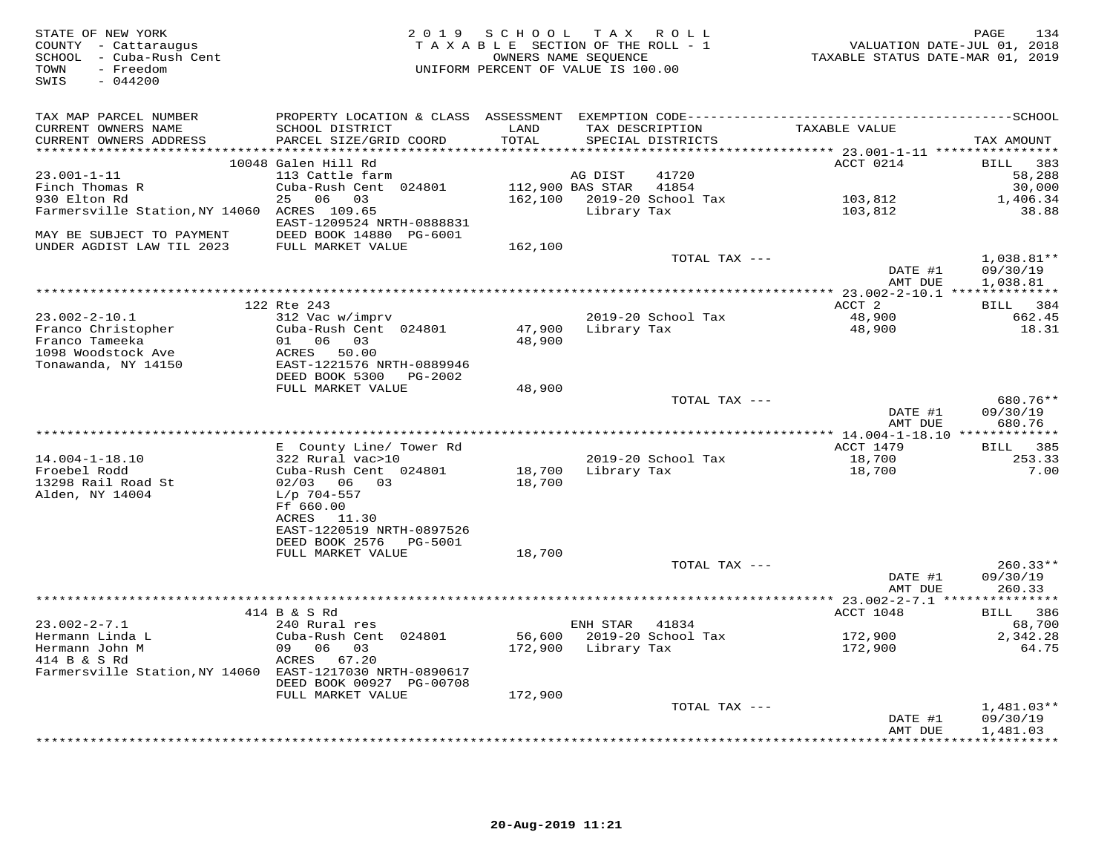| STATE OF NEW YORK<br>COUNTY - Cattaraugus<br>SCHOOL - Cuba-Rush Cent<br>TOWN<br>- Freedom<br>$-044200$<br>SWIS |                                                                       |                  | 2019 SCHOOL TAX ROLL<br>TAXABLE SECTION OF THE ROLL - 1<br>OWNERS NAME SEQUENCE<br>UNIFORM PERCENT OF VALUE IS 100.00 |               | VALUATION DATE-JUL 01, 2018<br>TAXABLE STATUS DATE-MAR 01, 2019 | PAGE<br>134          |
|----------------------------------------------------------------------------------------------------------------|-----------------------------------------------------------------------|------------------|-----------------------------------------------------------------------------------------------------------------------|---------------|-----------------------------------------------------------------|----------------------|
| TAX MAP PARCEL NUMBER<br>CURRENT OWNERS NAME                                                                   | SCHOOL DISTRICT                                                       | LAND             | TAX DESCRIPTION                                                                                                       |               | TAXABLE VALUE                                                   |                      |
| CURRENT OWNERS ADDRESS                                                                                         | PARCEL SIZE/GRID COORD                                                | TOTAL            | SPECIAL DISTRICTS                                                                                                     |               |                                                                 | TAX AMOUNT           |
|                                                                                                                | 10048 Galen Hill Rd                                                   |                  |                                                                                                                       |               | ACCT 0214                                                       | BILL 383             |
| $23.001 - 1 - 11$                                                                                              | 113 Cattle farm                                                       |                  | AG DIST                                                                                                               | 41720         |                                                                 | 58,288               |
| Finch Thomas R                                                                                                 | Cuba-Rush Cent 024801                                                 | 112,900 BAS STAR |                                                                                                                       | 41854         |                                                                 | 30,000               |
| 930 Elton Rd                                                                                                   | 25 06 03                                                              |                  | 162,100 2019-20 School Tax                                                                                            |               | 103,812                                                         | 1,406.34             |
| Farmersville Station, NY 14060 ACRES 109.65<br>MAY BE SUBJECT TO PAYMENT                                       | EAST-1209524 NRTH-0888831<br>DEED BOOK 14880 PG-6001                  |                  | Library Tax                                                                                                           |               | 103,812                                                         | 38.88                |
| UNDER AGDIST LAW TIL 2023                                                                                      | FULL MARKET VALUE                                                     | 162,100          |                                                                                                                       |               |                                                                 |                      |
|                                                                                                                |                                                                       |                  |                                                                                                                       | TOTAL TAX --- |                                                                 | $1,038.81**$         |
|                                                                                                                |                                                                       |                  |                                                                                                                       |               | DATE #1<br>AMT DUE                                              | 09/30/19<br>1,038.81 |
|                                                                                                                | 122 Rte 243                                                           |                  |                                                                                                                       |               | ACCT 2                                                          | BILL 384             |
| $23.002 - 2 - 10.1$                                                                                            | 312 Vac w/imprv                                                       |                  | 2019-20 School Tax                                                                                                    |               | 48,900                                                          | 662.45               |
| Franco Christopher<br>Franco Tameeka                                                                           | Cuba-Rush Cent 024801<br>01 06 03                                     | 47,900<br>48,900 | Library Tax                                                                                                           |               | 48,900                                                          | 18.31                |
| 1098 Woodstock Ave<br>Tonawanda, NY 14150                                                                      | ACRES 50.00<br>EAST-1221576 NRTH-0889946<br>DEED BOOK 5300<br>PG-2002 |                  |                                                                                                                       |               |                                                                 |                      |
|                                                                                                                | FULL MARKET VALUE                                                     | 48,900           |                                                                                                                       |               |                                                                 |                      |
|                                                                                                                |                                                                       |                  |                                                                                                                       | TOTAL TAX --- | DATE #1                                                         | 680.76**<br>09/30/19 |
|                                                                                                                |                                                                       |                  |                                                                                                                       |               | AMT DUE                                                         | 680.76               |
|                                                                                                                |                                                                       |                  |                                                                                                                       |               | ACCT 1479                                                       | BILL 385             |
| $14.004 - 1 - 18.10$                                                                                           | E County Line/ Tower Rd<br>322 Rural vac>10                           |                  | 2019-20 School Tax                                                                                                    |               | 18,700                                                          | 253.33               |
| Froebel Rodd                                                                                                   | Cuba-Rush Cent 024801                                                 | 18,700           | Library Tax                                                                                                           |               | 18,700                                                          | 7.00                 |
| 13298 Rail Road St<br>Alden, NY 14004                                                                          | 02/03 06 03<br>$L/p$ 704-557                                          | 18,700           |                                                                                                                       |               |                                                                 |                      |
|                                                                                                                | Ff 660.00<br>ACRES 11.30                                              |                  |                                                                                                                       |               |                                                                 |                      |
|                                                                                                                | EAST-1220519 NRTH-0897526<br>DEED BOOK 2576    PG-5001                |                  |                                                                                                                       |               |                                                                 |                      |
|                                                                                                                | FULL MARKET VALUE                                                     | 18,700           |                                                                                                                       |               |                                                                 |                      |
|                                                                                                                |                                                                       |                  |                                                                                                                       | TOTAL TAX --- |                                                                 | $260.33**$           |
|                                                                                                                |                                                                       |                  |                                                                                                                       |               | DATE #1<br>AMT DUE                                              | 09/30/19<br>260.33   |
|                                                                                                                | 414 B & S Rd                                                          |                  |                                                                                                                       |               | ACCT 1048                                                       | BILL 386             |
| $23.002 - 2 - 7.1$                                                                                             | 240 Rural res                                                         |                  | ENH STAR                                                                                                              | 41834         |                                                                 | 68,700               |
| Hermann Linda L                                                                                                | Cuba-Rush Cent 024801                                                 | 56,600           | 2019-20 School Tax                                                                                                    |               | 172,900                                                         | 2,342.28             |
| Hermann John M                                                                                                 | 09 06 03                                                              |                  | 172,900 Library Tax                                                                                                   |               | 172,900                                                         | 64.75                |
| 414 B & S Rd<br>Farmersville Station, NY 14060 EAST-1217030 NRTH-0890617                                       | ACRES 67.20<br>DEED BOOK 00927 PG-00708                               |                  |                                                                                                                       |               |                                                                 |                      |
|                                                                                                                | FULL MARKET VALUE                                                     | 172,900          |                                                                                                                       |               |                                                                 |                      |
|                                                                                                                |                                                                       |                  |                                                                                                                       | TOTAL TAX --- |                                                                 | $1,481.03**$         |
|                                                                                                                |                                                                       |                  |                                                                                                                       |               | DATE #1<br>AMT DUE                                              | 09/30/19<br>1,481.03 |
|                                                                                                                |                                                                       |                  |                                                                                                                       |               | + + + + + + + + + + + + + +                                     | .                    |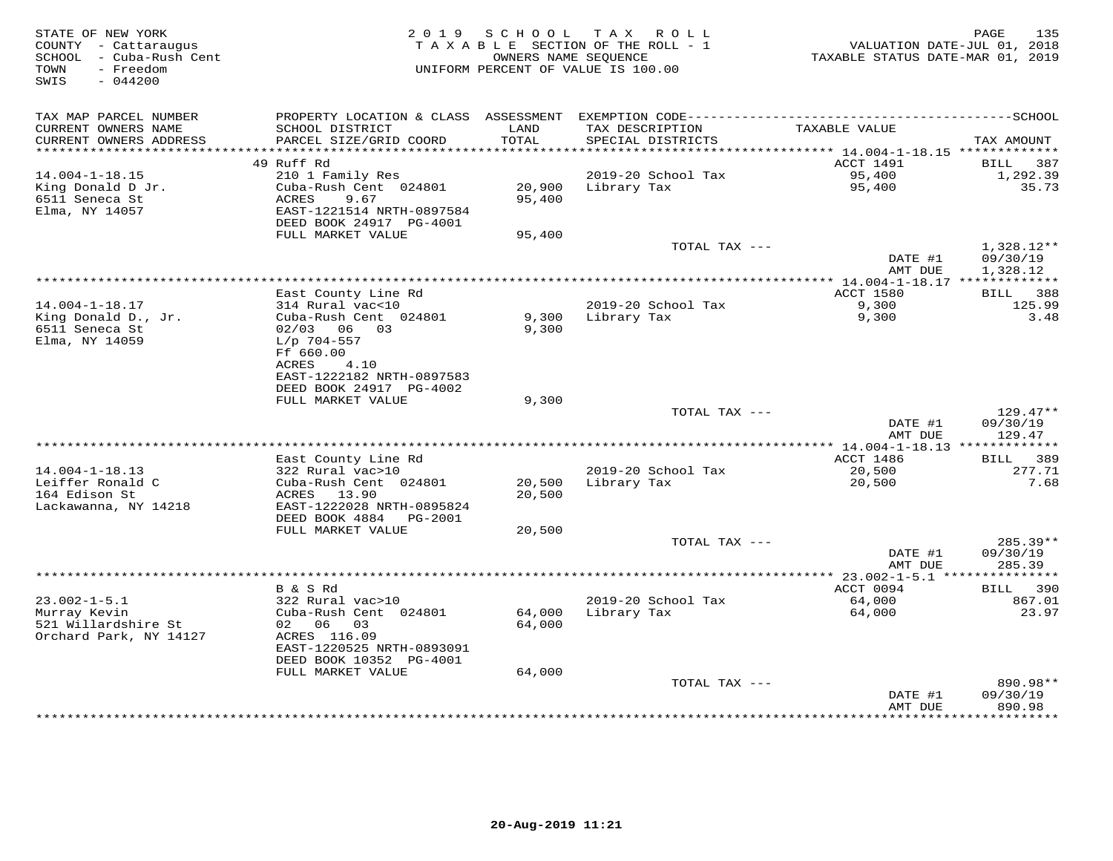| STATE OF NEW YORK<br>COUNTY - Cattaraugus<br>SCHOOL - Cuba-Rush Cent<br>TOWN<br>- Freedom<br>$-044200$<br>SWIS | 2 0 1 9                                                                            | SCHOOL           | T A X<br>R O L L<br>TAXABLE SECTION OF THE ROLL - 1<br>OWNERS NAME SEQUENCE<br>UNIFORM PERCENT OF VALUE IS 100.00 | VALUATION DATE-JUL 01, 2018<br>TAXABLE STATUS DATE-MAR 01, 2019 | PAGE<br>135                        |
|----------------------------------------------------------------------------------------------------------------|------------------------------------------------------------------------------------|------------------|-------------------------------------------------------------------------------------------------------------------|-----------------------------------------------------------------|------------------------------------|
| TAX MAP PARCEL NUMBER<br>CURRENT OWNERS NAME<br>CURRENT OWNERS ADDRESS                                         | SCHOOL DISTRICT<br>PARCEL SIZE/GRID COORD                                          | LAND<br>TOTAL    | TAX DESCRIPTION<br>SPECIAL DISTRICTS                                                                              | TAXABLE VALUE                                                   | TAX AMOUNT                         |
| ***********************                                                                                        |                                                                                    |                  |                                                                                                                   |                                                                 |                                    |
|                                                                                                                | 49 Ruff Rd                                                                         |                  |                                                                                                                   | ACCT 1491                                                       | 387<br>BILL                        |
| $14.004 - 1 - 18.15$                                                                                           | 210 1 Family Res<br>Cuba-Rush Cent 024801                                          | 20,900           | 2019-20 School Tax                                                                                                | 95,400                                                          | 1,292.39<br>35.73                  |
| King Donald D Jr.<br>6511 Seneca St<br>Elma, NY 14057                                                          | ACRES<br>9.67<br>EAST-1221514 NRTH-0897584<br>DEED BOOK 24917 PG-4001              | 95,400           | Library Tax                                                                                                       | 95,400                                                          |                                    |
|                                                                                                                | FULL MARKET VALUE                                                                  | 95,400           |                                                                                                                   |                                                                 |                                    |
|                                                                                                                |                                                                                    |                  | TOTAL TAX ---                                                                                                     | DATE #1<br>AMT DUE                                              | 1,328.12**<br>09/30/19<br>1,328.12 |
|                                                                                                                |                                                                                    |                  |                                                                                                                   |                                                                 |                                    |
|                                                                                                                | East County Line Rd                                                                |                  |                                                                                                                   | ACCT 1580                                                       | 388<br>BILL                        |
| $14.004 - 1 - 18.17$<br>King Donald D., Jr.<br>6511 Seneca St<br>Elma, NY 14059                                | 314 Rural vac<10<br>Cuba-Rush Cent 024801<br>02/03 06 03<br>$L/p$ 704-557          | 9,300<br>9,300   | 2019-20 School Tax<br>Library Tax                                                                                 | 9,300<br>9,300                                                  | 125.99<br>3.48                     |
|                                                                                                                | Ff 660.00<br>ACRES<br>4.10<br>EAST-1222182 NRTH-0897583<br>DEED BOOK 24917 PG-4002 |                  |                                                                                                                   |                                                                 |                                    |
|                                                                                                                | FULL MARKET VALUE                                                                  | 9,300            |                                                                                                                   |                                                                 |                                    |
|                                                                                                                |                                                                                    |                  | TOTAL TAX ---                                                                                                     | DATE #1<br>AMT DUE                                              | $129.47**$<br>09/30/19<br>129.47   |
|                                                                                                                |                                                                                    |                  |                                                                                                                   |                                                                 |                                    |
|                                                                                                                | East County Line Rd                                                                |                  |                                                                                                                   | ACCT 1486                                                       | BILL<br>389                        |
| $14.004 - 1 - 18.13$<br>Leiffer Ronald C                                                                       | 322 Rural vac>10<br>Cuba-Rush Cent 024801                                          | 20,500           | 2019-20 School Tax<br>Library Tax                                                                                 | 20,500<br>20,500                                                | 277.71<br>7.68                     |
| 164 Edison St<br>Lackawanna, NY 14218                                                                          | ACRES 13.90<br>EAST-1222028 NRTH-0895824<br>DEED BOOK 4884<br>PG-2001              | 20,500           |                                                                                                                   |                                                                 |                                    |
|                                                                                                                | FULL MARKET VALUE                                                                  | 20,500           |                                                                                                                   |                                                                 |                                    |
|                                                                                                                |                                                                                    |                  | TOTAL TAX ---                                                                                                     | DATE #1<br>AMT DUE                                              | 285.39**<br>09/30/19<br>285.39     |
|                                                                                                                |                                                                                    |                  |                                                                                                                   |                                                                 |                                    |
|                                                                                                                | B & S Rd                                                                           |                  |                                                                                                                   | ACCT 0094                                                       | 390<br><b>BILL</b>                 |
| $23.002 - 1 - 5.1$                                                                                             | 322 Rural vac>10                                                                   |                  | 2019-20 School Tax                                                                                                | 64,000                                                          | 867.01                             |
| Murray Kevin<br>521 Willardshire St<br>Orchard Park, NY 14127                                                  | Cuba-Rush Cent 024801<br>02 06<br>03<br>ACRES 116.09<br>EAST-1220525 NRTH-0893091  | 64,000<br>64,000 | Library Tax                                                                                                       | 64,000                                                          | 23.97                              |
|                                                                                                                | DEED BOOK 10352 PG-4001                                                            |                  |                                                                                                                   |                                                                 |                                    |
|                                                                                                                | FULL MARKET VALUE                                                                  | 64,000           | TOTAL TAX ---                                                                                                     | DATE #1                                                         | 890.98**<br>09/30/19               |
|                                                                                                                |                                                                                    |                  |                                                                                                                   | AMT DUE                                                         | 890.98<br>* * * * * * * * * * *    |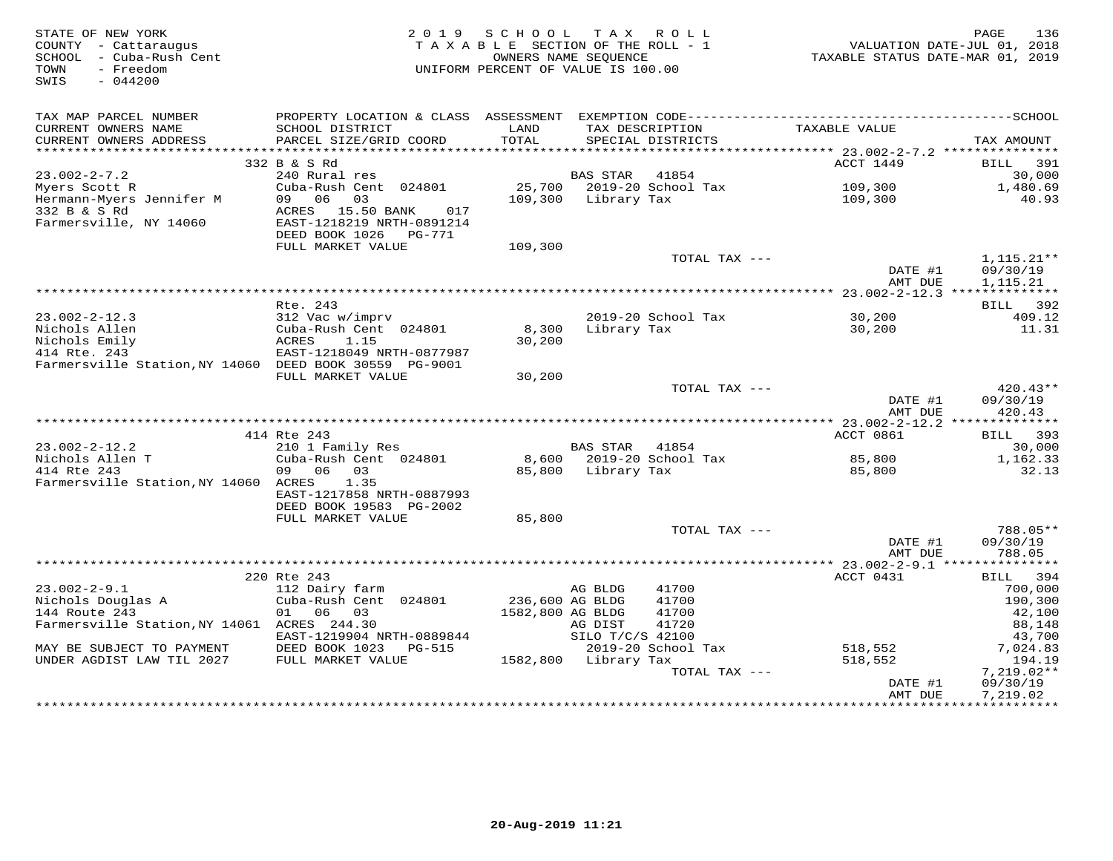| STATE OF NEW YORK<br>COUNTY - Cattaraugus<br>SCHOOL - Cuba-Rush Cent<br>- Freedom<br>TOWN<br>SWIS<br>$-044200$ | 2 0 1 9                   | S C H O O L<br>TAXABLE SECTION OF THE ROLL - 1<br>UNIFORM PERCENT OF VALUE IS 100.00 | T A X<br>OWNERS NAME SEQUENCE | R O L L                   | VALUATION DATE-JUL 01, 2018<br>TAXABLE STATUS DATE-MAR 01, 2019 | 136<br>PAGE              |
|----------------------------------------------------------------------------------------------------------------|---------------------------|--------------------------------------------------------------------------------------|-------------------------------|---------------------------|-----------------------------------------------------------------|--------------------------|
| TAX MAP PARCEL NUMBER<br>CURRENT OWNERS NAME                                                                   | SCHOOL DISTRICT           | LAND                                                                                 |                               | TAX DESCRIPTION           | TAXABLE VALUE                                                   |                          |
| CURRENT OWNERS ADDRESS                                                                                         | PARCEL SIZE/GRID COORD    | TOTAL                                                                                |                               | SPECIAL DISTRICTS         |                                                                 | TAX AMOUNT               |
|                                                                                                                |                           |                                                                                      |                               |                           |                                                                 |                          |
|                                                                                                                | 332 B & S Rd              |                                                                                      |                               |                           | ACCT 1449                                                       | 391<br>BILL              |
| $23.002 - 2 - 7.2$                                                                                             | 240 Rural res             |                                                                                      | BAS STAR                      | 41854                     |                                                                 | 30,000                   |
| Myers Scott R                                                                                                  | Cuba-Rush Cent 024801     |                                                                                      |                               | 25,700 2019-20 School Tax | 109,300                                                         | 1,480.69                 |
| Hermann-Myers Jennifer M                                                                                       | 09 06 03                  | 109,300                                                                              | Library Tax                   |                           | 109,300                                                         | 40.93                    |
| 332 B & S Rd                                                                                                   | ACRES 15.50 BANK<br>017   |                                                                                      |                               |                           |                                                                 |                          |
| Farmersville, NY 14060                                                                                         | EAST-1218219 NRTH-0891214 |                                                                                      |                               |                           |                                                                 |                          |
|                                                                                                                | DEED BOOK 1026    PG-771  |                                                                                      |                               |                           |                                                                 |                          |
|                                                                                                                | FULL MARKET VALUE         | 109,300                                                                              |                               | TOTAL TAX ---             |                                                                 | $1,115.21**$             |
|                                                                                                                |                           |                                                                                      |                               |                           | DATE #1                                                         | 09/30/19                 |
|                                                                                                                |                           |                                                                                      |                               |                           | AMT DUE                                                         | 1,115.21                 |
|                                                                                                                |                           |                                                                                      |                               |                           |                                                                 |                          |
|                                                                                                                | Rte. 243                  |                                                                                      |                               |                           |                                                                 | 392<br>BILL              |
| $23.002 - 2 - 12.3$                                                                                            | 312 Vac w/imprv           |                                                                                      |                               | 2019-20 School Tax        | 30,200                                                          | 409.12                   |
| Nichols Allen                                                                                                  | Cuba-Rush Cent 024801     | 8,300                                                                                | Library Tax                   |                           | 30,200                                                          | 11.31                    |
| Nichols Emily                                                                                                  | ACRES<br>1.15             | 30,200                                                                               |                               |                           |                                                                 |                          |
| 414 Rte. 243                                                                                                   | EAST-1218049 NRTH-0877987 |                                                                                      |                               |                           |                                                                 |                          |
| Farmersville Station, NY 14060 DEED BOOK 30559 PG-9001                                                         |                           |                                                                                      |                               |                           |                                                                 |                          |
|                                                                                                                | FULL MARKET VALUE         | 30,200                                                                               |                               |                           |                                                                 |                          |
|                                                                                                                |                           |                                                                                      |                               | TOTAL TAX ---             | DATE #1                                                         | $420.43**$<br>09/30/19   |
|                                                                                                                |                           |                                                                                      |                               |                           | AMT DUE                                                         | 420.43                   |
|                                                                                                                |                           |                                                                                      |                               |                           |                                                                 |                          |
|                                                                                                                | 414 Rte 243               |                                                                                      |                               |                           | ACCT 0861                                                       | 393<br>BILL              |
| $23.002 - 2 - 12.2$                                                                                            | 210 1 Family Res          |                                                                                      | BAS STAR                      | 41854                     |                                                                 | 30,000                   |
| Nichols Allen T                                                                                                | Cuba-Rush Cent 024801     |                                                                                      |                               | 8,600 2019-20 School Tax  | 85,800                                                          | 1,162.33                 |
| 414 Rte 243                                                                                                    | 09 06 03                  | 85,800                                                                               | Library Tax                   |                           | 85,800                                                          | 32.13                    |
| Farmersville Station, NY 14060 ACRES                                                                           | 1.35                      |                                                                                      |                               |                           |                                                                 |                          |
|                                                                                                                | EAST-1217858 NRTH-0887993 |                                                                                      |                               |                           |                                                                 |                          |
|                                                                                                                | DEED BOOK 19583 PG-2002   |                                                                                      |                               |                           |                                                                 |                          |
|                                                                                                                | FULL MARKET VALUE         | 85,800                                                                               |                               |                           |                                                                 |                          |
|                                                                                                                |                           |                                                                                      |                               | TOTAL TAX ---             | DATE #1                                                         | 788.05**<br>09/30/19     |
|                                                                                                                |                           |                                                                                      |                               |                           | AMT DUE                                                         | 788.05                   |
|                                                                                                                | ***********************   |                                                                                      |                               |                           | ************** 23.002-2-9.1 ****************                    |                          |
|                                                                                                                | 220 Rte 243               |                                                                                      |                               |                           | ACCT 0431                                                       | 394<br>BILL              |
| $23.002 - 2 - 9.1$                                                                                             | 112 Dairy farm            |                                                                                      | AG BLDG                       | 41700                     |                                                                 | 700,000                  |
| Nichols Douglas A                                                                                              | Cuba-Rush Cent 024801     | 236,600 AG BLDG                                                                      |                               | 41700                     |                                                                 | 190,300                  |
| 144 Route 243                                                                                                  | 01 06 03                  | 1582,800 AG BLDG                                                                     |                               | 41700                     |                                                                 | 42,100                   |
| Farmersville Station, NY 14061 ACRES 244.30                                                                    |                           |                                                                                      | AG DIST                       | 41720                     |                                                                 | 88,148                   |
|                                                                                                                | EAST-1219904 NRTH-0889844 |                                                                                      | SILO T/C/S 42100              |                           |                                                                 | 43,700                   |
| MAY BE SUBJECT TO PAYMENT                                                                                      | DEED BOOK 1023 PG-515     |                                                                                      |                               | 2019-20 School Tax        | 518,552                                                         | 7,024.83                 |
| UNDER AGDIST LAW TIL 2027                                                                                      | FULL MARKET VALUE         |                                                                                      | 1582,800 Library Tax          |                           | 518,552                                                         | 194.19                   |
|                                                                                                                |                           |                                                                                      |                               | TOTAL TAX ---             | DATE #1                                                         | $7,219.02**$<br>09/30/19 |
|                                                                                                                |                           |                                                                                      |                               |                           | AMT DUE                                                         | 7,219.02                 |
|                                                                                                                |                           |                                                                                      |                               |                           |                                                                 | ***********              |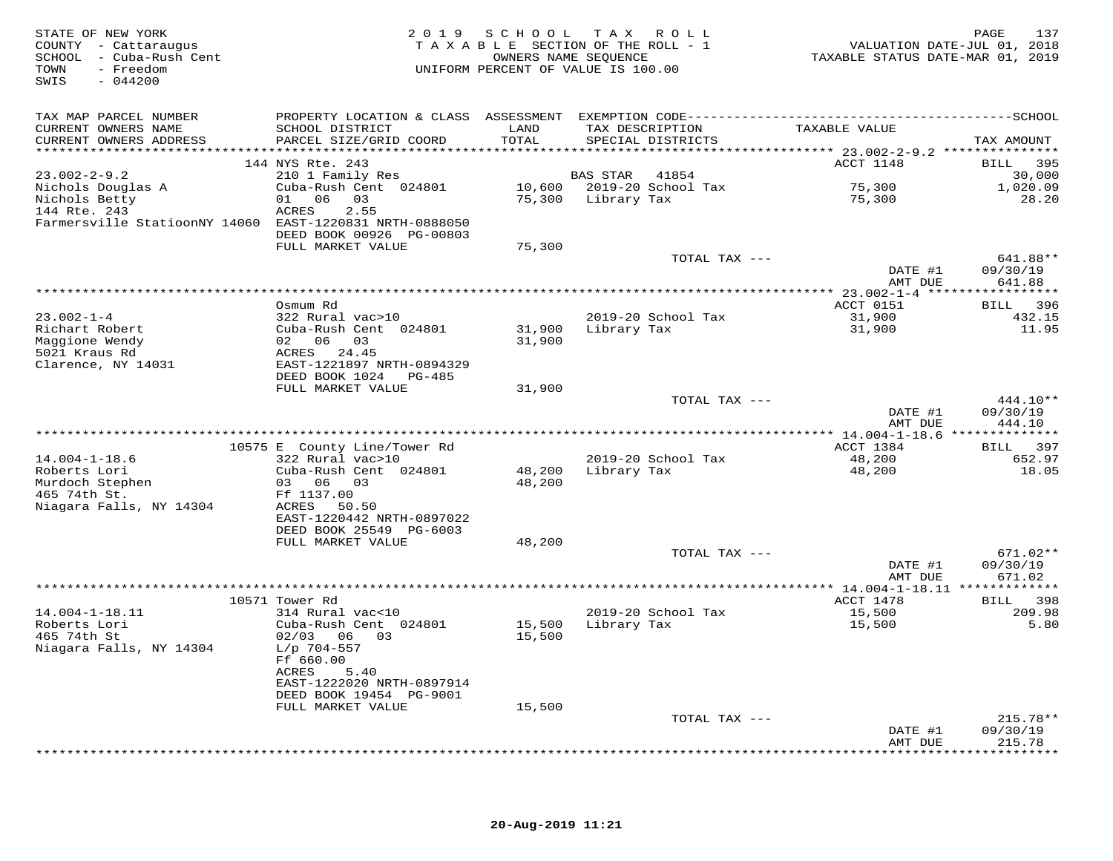| STATE OF NEW YORK<br>COUNTY - Cattaraugus<br>SCHOOL - Cuba-Rush Cent<br>- Freedom<br>TOWN<br>$-044200$<br>SWIS |                                                                                              | OWNERS NAME SEQUENCE | 2019 SCHOOL TAX ROLL<br>TAXABLE SECTION OF THE ROLL - 1<br>UNIFORM PERCENT OF VALUE IS 100.00 | VALUATION DATE-JUL 01, 2018<br>TAXABLE STATUS DATE-MAR 01, 2019 | 137<br>PAGE               |
|----------------------------------------------------------------------------------------------------------------|----------------------------------------------------------------------------------------------|----------------------|-----------------------------------------------------------------------------------------------|-----------------------------------------------------------------|---------------------------|
| TAX MAP PARCEL NUMBER                                                                                          | PROPERTY LOCATION & CLASS ASSESSMENT EXEMPTION CODE-----------------------------------SCHOOL |                      |                                                                                               |                                                                 |                           |
| CURRENT OWNERS NAME                                                                                            | SCHOOL DISTRICT                                                                              | LAND                 | TAX DESCRIPTION                                                                               | TAXABLE VALUE                                                   |                           |
| CURRENT OWNERS ADDRESS                                                                                         | PARCEL SIZE/GRID COORD                                                                       | TOTAL                | SPECIAL DISTRICTS                                                                             |                                                                 | TAX AMOUNT                |
|                                                                                                                | 144 NYS Rte. 243                                                                             |                      |                                                                                               | ACCT 1148                                                       | BILL 395                  |
| $23.002 - 2 - 9.2$                                                                                             | 210 1 Family Res                                                                             |                      | <b>BAS STAR</b><br>41854                                                                      |                                                                 | 30,000                    |
| Nichols Douglas A                                                                                              | Cuba-Rush Cent 024801                                                                        |                      | 10,600 2019-20 School Tax                                                                     | 75,300                                                          | 1,020.09                  |
| Nichols Betty                                                                                                  | 01 06 03                                                                                     |                      | 75,300 Library Tax                                                                            | 75,300                                                          | 28.20                     |
| 144 Rte. 243<br>Farmersville StatioonNY 14060 EAST-1220831 NRTH-0888050                                        | 2.55<br>ACRES                                                                                |                      |                                                                                               |                                                                 |                           |
|                                                                                                                | DEED BOOK 00926 PG-00803                                                                     |                      |                                                                                               |                                                                 |                           |
|                                                                                                                | FULL MARKET VALUE                                                                            | 75,300               |                                                                                               |                                                                 |                           |
|                                                                                                                |                                                                                              |                      | TOTAL TAX ---                                                                                 | DATE #1                                                         | 641.88**<br>09/30/19      |
|                                                                                                                |                                                                                              |                      |                                                                                               | AMT DUE                                                         | 641.88                    |
|                                                                                                                | Osmum Rd                                                                                     |                      |                                                                                               | ACCT 0151                                                       | 396<br>BILL               |
| $23.002 - 1 - 4$                                                                                               | 322 Rural vac>10                                                                             |                      | 2019-20 School Tax                                                                            | 31,900                                                          | 432.15                    |
| Richart Robert                                                                                                 | Cuba-Rush Cent 024801                                                                        | 31,900               | Library Tax                                                                                   | 31,900                                                          | 11.95                     |
| Maggione Wendy<br>5021 Kraus Rd                                                                                | 02 06 03<br>ACRES 24.45                                                                      | 31,900               |                                                                                               |                                                                 |                           |
| Clarence, NY 14031                                                                                             | EAST-1221897 NRTH-0894329                                                                    |                      |                                                                                               |                                                                 |                           |
|                                                                                                                | DEED BOOK 1024 PG-485                                                                        |                      |                                                                                               |                                                                 |                           |
|                                                                                                                | FULL MARKET VALUE                                                                            | 31,900               |                                                                                               |                                                                 | $444.10**$                |
|                                                                                                                |                                                                                              |                      | TOTAL TAX ---                                                                                 | DATE #1<br>AMT DUE                                              | 09/30/19<br>444.10        |
|                                                                                                                |                                                                                              |                      |                                                                                               |                                                                 |                           |
|                                                                                                                | 10575 E County Line/Tower Rd                                                                 |                      |                                                                                               | ACCT 1384                                                       | BILL 397                  |
| $14.004 - 1 - 18.6$<br>Roberts Lori                                                                            | 322 Rural vac>10<br>Cuba-Rush Cent 024801                                                    | 48,200               | 2019-20 School Tax<br>Library Tax                                                             | 48,200<br>48,200                                                | 652.97<br>18.05           |
| Murdoch Stephen                                                                                                | 03 06 03                                                                                     | 48,200               |                                                                                               |                                                                 |                           |
| 465 74th St.                                                                                                   | Ff 1137.00                                                                                   |                      |                                                                                               |                                                                 |                           |
| Niagara Falls, NY 14304                                                                                        | ACRES 50.50                                                                                  |                      |                                                                                               |                                                                 |                           |
|                                                                                                                | EAST-1220442 NRTH-0897022<br>DEED BOOK 25549 PG-6003                                         |                      |                                                                                               |                                                                 |                           |
|                                                                                                                | FULL MARKET VALUE                                                                            | 48,200               |                                                                                               |                                                                 |                           |
|                                                                                                                |                                                                                              |                      | TOTAL TAX ---                                                                                 |                                                                 | 671.02**                  |
|                                                                                                                |                                                                                              |                      |                                                                                               | DATE #1<br>AMT DUE                                              | 09/30/19<br>671.02        |
|                                                                                                                |                                                                                              |                      |                                                                                               |                                                                 |                           |
|                                                                                                                | 10571 Tower Rd                                                                               |                      |                                                                                               | ACCT 1478                                                       | BILL 398                  |
| $14.004 - 1 - 18.11$                                                                                           | 314 Rural vac<10                                                                             |                      | 2019-20 School Tax                                                                            | 15,500                                                          | 209.98                    |
| Roberts Lori<br>465 74th St                                                                                    | Cuba-Rush Cent 024801<br>02/03 06 03                                                         | 15,500               | 15,500 Library Tax                                                                            | 15,500                                                          | 5.80                      |
| Niagara Falls, NY 14304                                                                                        | $L/p$ 704-557                                                                                |                      |                                                                                               |                                                                 |                           |
|                                                                                                                | Ff 660.00                                                                                    |                      |                                                                                               |                                                                 |                           |
|                                                                                                                | ACRES<br>5.40                                                                                |                      |                                                                                               |                                                                 |                           |
|                                                                                                                | EAST-1222020 NRTH-0897914<br>DEED BOOK 19454 PG-9001                                         |                      |                                                                                               |                                                                 |                           |
|                                                                                                                | FULL MARKET VALUE                                                                            | 15,500               |                                                                                               |                                                                 |                           |
|                                                                                                                |                                                                                              |                      | TOTAL TAX ---                                                                                 |                                                                 | $215.78**$                |
|                                                                                                                |                                                                                              |                      |                                                                                               | DATE #1                                                         | 09/30/19                  |
|                                                                                                                |                                                                                              |                      |                                                                                               | AMT DUE<br>************                                         | 215.78<br>* * * * * * * * |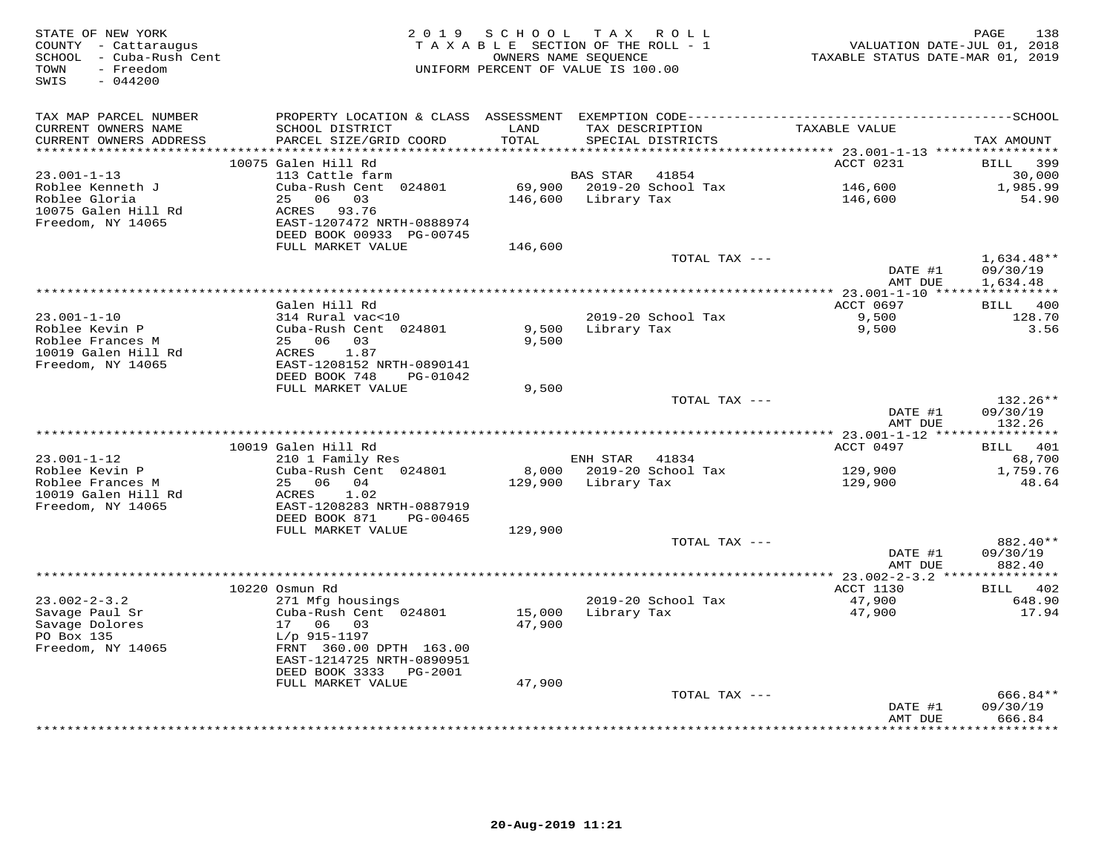| STATE OF NEW YORK<br>COUNTY - Cattaraugus<br>SCHOOL - Cuba-Rush Cent<br>TOWN<br>- Freedom<br>$-044200$<br>SWIS |                                                                                                                                                 | 2019 SCHOOL TAX ROLL<br>TAXABLE SECTION OF THE ROLL - 1<br>OWNERS NAME SEQUENCE<br>UNIFORM PERCENT OF VALUE IS 100.00 |                                 |                                       | VALUATION DATE-JUL 01, 2018<br>TAXABLE STATUS DATE-MAR 01, 2019 | PAGE<br>138                 |
|----------------------------------------------------------------------------------------------------------------|-------------------------------------------------------------------------------------------------------------------------------------------------|-----------------------------------------------------------------------------------------------------------------------|---------------------------------|---------------------------------------|-----------------------------------------------------------------|-----------------------------|
| TAX MAP PARCEL NUMBER<br>CURRENT OWNERS NAME<br>CURRENT OWNERS ADDRESS<br>*********************                | SCHOOL DISTRICT<br>PARCEL SIZE/GRID COORD                                                                                                       | LAND<br>TOTAL<br>************                                                                                         |                                 | TAX DESCRIPTION<br>SPECIAL DISTRICTS  | TAXABLE VALUE                                                   | TAX AMOUNT                  |
|                                                                                                                | 10075 Galen Hill Rd                                                                                                                             |                                                                                                                       |                                 |                                       | ACCT 0231                                                       | BILL 399                    |
| $23.001 - 1 - 13$<br>Roblee Kenneth J<br>Roblee Gloria<br>10075 Galen Hill Rd<br>Freedom, NY 14065             | 113 Cattle farm<br>Cuba-Rush Cent 024801<br>25 06 03<br>ACRES 93.76<br>EAST-1207472 NRTH-0888974<br>DEED BOOK 00933 PG-00745                    |                                                                                                                       | BAS STAR<br>146,600 Library Tax | 41854<br>69,900 2019-20 School Tax    | 146,600<br>146,600                                              | 30,000<br>1,985.99<br>54.90 |
|                                                                                                                | FULL MARKET VALUE                                                                                                                               | 146,600                                                                                                               |                                 |                                       |                                                                 |                             |
|                                                                                                                |                                                                                                                                                 |                                                                                                                       |                                 | TOTAL TAX ---                         | DATE #1                                                         | 1,634.48**<br>09/30/19      |
|                                                                                                                |                                                                                                                                                 |                                                                                                                       |                                 |                                       | AMT DUE<br>**** 23.001-1-10 *****************                   | 1,634.48                    |
|                                                                                                                | Galen Hill Rd                                                                                                                                   |                                                                                                                       |                                 |                                       | ACCT 0697                                                       | BILL 400                    |
| $23.001 - 1 - 10$<br>Roblee Kevin P<br>Roblee Frances M                                                        | 314 Rural vac<10<br>Cuba-Rush Cent 024801<br>25 06 03                                                                                           | 9,500<br>9,500                                                                                                        | Library Tax                     | 2019-20 School Tax                    | 9,500<br>9,500                                                  | 128.70<br>3.56              |
| 10019 Galen Hill Rd<br>Freedom, NY 14065                                                                       | ACRES<br>1.87<br>EAST-1208152 NRTH-0890141<br>DEED BOOK 748<br>PG-01042                                                                         |                                                                                                                       |                                 |                                       |                                                                 |                             |
|                                                                                                                | FULL MARKET VALUE                                                                                                                               | 9,500                                                                                                                 |                                 | TOTAL TAX ---                         | DATE #1                                                         | 132.26**<br>09/30/19        |
|                                                                                                                |                                                                                                                                                 |                                                                                                                       |                                 |                                       | AMT DUE                                                         | 132.26                      |
|                                                                                                                | 10019 Galen Hill Rd                                                                                                                             |                                                                                                                       |                                 |                                       | ACCT 0497                                                       | BILL 401                    |
| $23.001 - 1 - 12$                                                                                              | 210 1 Family Res                                                                                                                                |                                                                                                                       | ENH STAR 41834                  |                                       |                                                                 | 68,700                      |
| Roblee Kevin P<br>Roblee Frances M<br>10019 Galen Hill Rd                                                      | Cuba-Rush Cent 024801<br>25 06 04<br>ACRES<br>1.02                                                                                              | 129,900                                                                                                               | Library Tax                     | 8,000 2019-20 School Tax              | 129,900<br>129,900                                              | 1,759.76<br>48.64           |
| Freedom, NY 14065                                                                                              | EAST-1208283 NRTH-0887919<br>DEED BOOK 871<br>PG-00465                                                                                          |                                                                                                                       |                                 |                                       |                                                                 |                             |
|                                                                                                                | FULL MARKET VALUE                                                                                                                               | 129,900                                                                                                               |                                 | TOTAL TAX ---                         |                                                                 | 882.40**                    |
|                                                                                                                |                                                                                                                                                 |                                                                                                                       |                                 |                                       | DATE #1<br>AMT DUE                                              | 09/30/19<br>882.40          |
|                                                                                                                |                                                                                                                                                 |                                                                                                                       |                                 |                                       |                                                                 |                             |
| $23.002 - 2 - 3.2$<br>Savage Paul Sr<br>Savage Dolores<br>PO Box 135<br>Freedom, NY 14065                      | 10220 Osmun Rd<br>271 Mfg housings<br>Cuba-Rush Cent 024801<br>17 06 03<br>L/p 915-1197<br>FRNT 360.00 DPTH 163.00<br>EAST-1214725 NRTH-0890951 | 15,000<br>47,900                                                                                                      | Library Tax                     | 2019-20 School Tax                    | ACCT 1130<br>47,900<br>47,900                                   | BILL 402<br>648.90<br>17.94 |
|                                                                                                                | DEED BOOK 3333 PG-2001<br>FULL MARKET VALUE                                                                                                     | 47,900                                                                                                                |                                 |                                       |                                                                 |                             |
|                                                                                                                |                                                                                                                                                 |                                                                                                                       |                                 | TOTAL TAX ---                         | DATE #1                                                         | 666.84**<br>09/30/19        |
|                                                                                                                |                                                                                                                                                 |                                                                                                                       |                                 | ************************************* | AMT DUE<br>*************                                        | 666.84<br>*********         |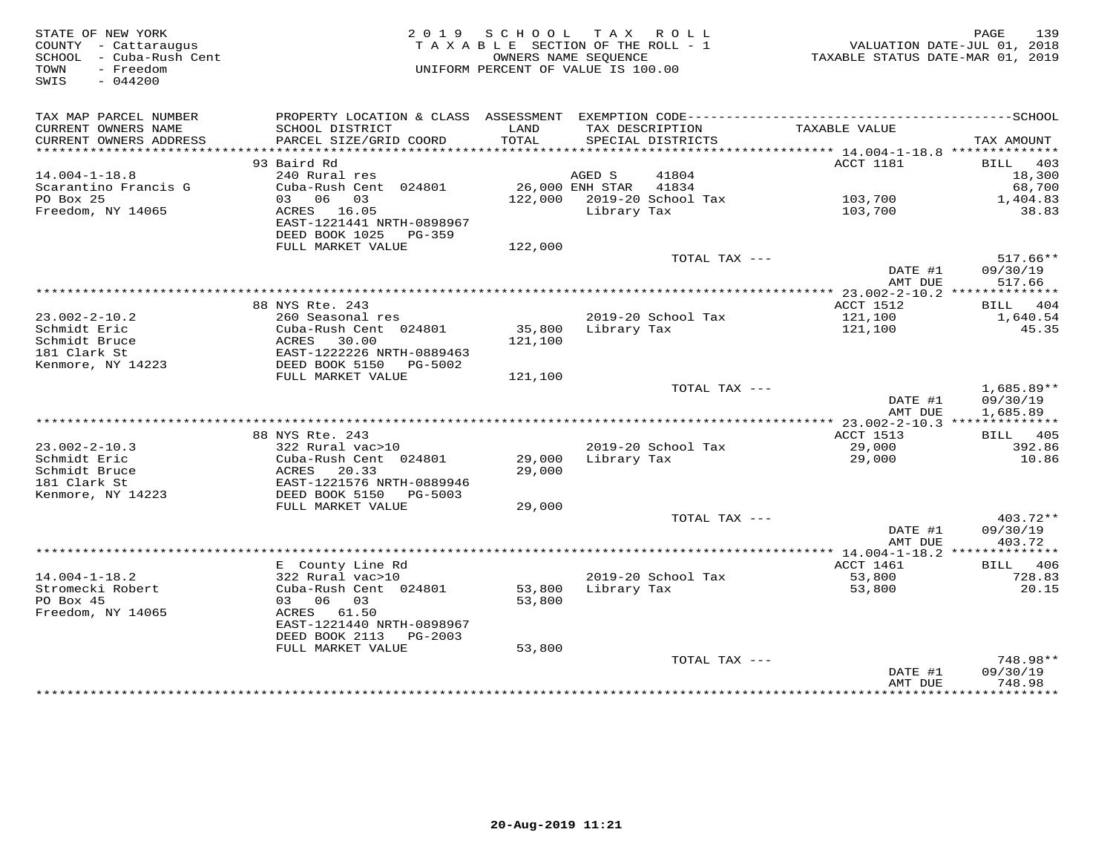| STATE OF NEW YORK<br>COUNTY - Cattaraugus<br>SCHOOL - Cuba-Rush Cent<br>- Freedom<br>TOWN<br>SWIS<br>$-044200$ |                                                    | 2019 SCHOOL TAX ROLL<br>TAXABLE SECTION OF THE ROLL - 1<br>OWNERS NAME SEOUENCE<br>UNIFORM PERCENT OF VALUE IS 100.00 |             |                            | 139<br>PAGE<br>VALUATION DATE-JUL 01, 2018<br>TAXABLE STATUS DATE-MAR 01, 2019 |                                  |  |
|----------------------------------------------------------------------------------------------------------------|----------------------------------------------------|-----------------------------------------------------------------------------------------------------------------------|-------------|----------------------------|--------------------------------------------------------------------------------|----------------------------------|--|
| TAX MAP PARCEL NUMBER<br>CURRENT OWNERS NAME                                                                   | SCHOOL DISTRICT                                    | LAND                                                                                                                  |             | TAX DESCRIPTION            | TAXABLE VALUE                                                                  |                                  |  |
| CURRENT OWNERS ADDRESS                                                                                         | PARCEL SIZE/GRID COORD                             | TOTAL                                                                                                                 |             | SPECIAL DISTRICTS          |                                                                                | TAX AMOUNT                       |  |
|                                                                                                                |                                                    |                                                                                                                       |             |                            |                                                                                |                                  |  |
|                                                                                                                | 93 Baird Rd                                        |                                                                                                                       |             |                            | ACCT 1181                                                                      | BILL 403                         |  |
| $14.004 - 1 - 18.8$<br>Scarantino Francis G                                                                    | 240 Rural res<br>Cuba-Rush Cent 024801             | 26,000 ENH STAR                                                                                                       | AGED S      | 41804<br>41834             |                                                                                | 18,300<br>68,700                 |  |
| PO Box 25                                                                                                      | 03 06 03                                           |                                                                                                                       |             | 122,000 2019-20 School Tax | 103,700                                                                        | 1,404.83                         |  |
| Freedom, NY 14065                                                                                              | ACRES 16.05                                        |                                                                                                                       | Library Tax |                            | 103,700                                                                        | 38.83                            |  |
|                                                                                                                | EAST-1221441 NRTH-0898967<br>DEED BOOK 1025 PG-359 |                                                                                                                       |             |                            |                                                                                |                                  |  |
|                                                                                                                | FULL MARKET VALUE                                  | 122,000                                                                                                               |             |                            |                                                                                |                                  |  |
|                                                                                                                |                                                    |                                                                                                                       |             | TOTAL TAX ---              | DATE #1<br>AMT DUE                                                             | $517.66**$<br>09/30/19<br>517.66 |  |
|                                                                                                                |                                                    |                                                                                                                       |             |                            |                                                                                |                                  |  |
|                                                                                                                | 88 NYS Rte. 243                                    |                                                                                                                       |             |                            | ACCT 1512                                                                      | BILL 404                         |  |
| $23.002 - 2 - 10.2$                                                                                            | 260 Seasonal res                                   |                                                                                                                       |             | 2019-20 School Tax         | 121,100                                                                        | 1,640.54                         |  |
| Schmidt Eric                                                                                                   | Cuba-Rush Cent 024801                              | 35,800                                                                                                                | Library Tax |                            | 121,100                                                                        | 45.35                            |  |
| Schmidt Bruce                                                                                                  | ACRES<br>30.00                                     | 121,100                                                                                                               |             |                            |                                                                                |                                  |  |
| 181 Clark St                                                                                                   | EAST-1222226 NRTH-0889463                          |                                                                                                                       |             |                            |                                                                                |                                  |  |
| Kenmore, NY 14223                                                                                              | DEED BOOK 5150 PG-5002<br>FULL MARKET VALUE        | 121,100                                                                                                               |             |                            |                                                                                |                                  |  |
|                                                                                                                |                                                    |                                                                                                                       |             | TOTAL TAX ---              |                                                                                | $1,685.89**$                     |  |
|                                                                                                                |                                                    |                                                                                                                       |             |                            | DATE #1<br>AMT DUE                                                             | 09/30/19<br>1,685.89             |  |
|                                                                                                                |                                                    |                                                                                                                       |             |                            |                                                                                |                                  |  |
|                                                                                                                | 88 NYS Rte. 243                                    |                                                                                                                       |             |                            | ACCT 1513                                                                      | <b>BILL</b> 405                  |  |
| $23.002 - 2 - 10.3$<br>Schmidt Eric                                                                            | 322 Rural vac>10<br>Cuba-Rush Cent 024801          | 29,000                                                                                                                | Library Tax | 2019-20 School Tax         | 29,000<br>29,000                                                               | 392.86<br>10.86                  |  |
| Schmidt Bruce                                                                                                  | ACRES<br>20.33                                     | 29,000                                                                                                                |             |                            |                                                                                |                                  |  |
| 181 Clark St                                                                                                   | EAST-1221576 NRTH-0889946                          |                                                                                                                       |             |                            |                                                                                |                                  |  |
| Kenmore, NY 14223                                                                                              | DEED BOOK 5150 PG-5003                             |                                                                                                                       |             |                            |                                                                                |                                  |  |
|                                                                                                                | FULL MARKET VALUE                                  | 29,000                                                                                                                |             |                            |                                                                                |                                  |  |
|                                                                                                                |                                                    |                                                                                                                       |             | TOTAL TAX ---              |                                                                                | 403.72**                         |  |
|                                                                                                                |                                                    |                                                                                                                       |             |                            | DATE #1                                                                        | 09/30/19                         |  |
|                                                                                                                |                                                    |                                                                                                                       |             |                            | AMT DUE                                                                        | 403.72                           |  |
|                                                                                                                | E County Line Rd                                   |                                                                                                                       |             |                            | ACCT 1461                                                                      | <b>BILL</b> 406                  |  |
| $14.004 - 1 - 18.2$                                                                                            | 322 Rural vac>10                                   |                                                                                                                       |             | 2019-20 School Tax         | 53,800                                                                         | 728.83                           |  |
| Stromecki Robert                                                                                               | Cuba-Rush Cent 024801                              | 53,800                                                                                                                | Library Tax |                            | 53,800                                                                         | 20.15                            |  |
| PO Box 45                                                                                                      | 03 06 03                                           | 53,800                                                                                                                |             |                            |                                                                                |                                  |  |
| Freedom, NY 14065                                                                                              | ACRES 61.50                                        |                                                                                                                       |             |                            |                                                                                |                                  |  |
|                                                                                                                | EAST-1221440 NRTH-0898967                          |                                                                                                                       |             |                            |                                                                                |                                  |  |
|                                                                                                                | DEED BOOK 2113 PG-2003                             |                                                                                                                       |             |                            |                                                                                |                                  |  |
|                                                                                                                | FULL MARKET VALUE                                  | 53,800                                                                                                                |             | TOTAL TAX ---              |                                                                                | 748.98**                         |  |
|                                                                                                                |                                                    |                                                                                                                       |             |                            | DATE #1                                                                        | 09/30/19                         |  |
|                                                                                                                |                                                    |                                                                                                                       |             |                            | AMT DUE                                                                        | 748.98                           |  |
|                                                                                                                |                                                    |                                                                                                                       |             |                            | *****************                                                              | * * * * * * * * * * *            |  |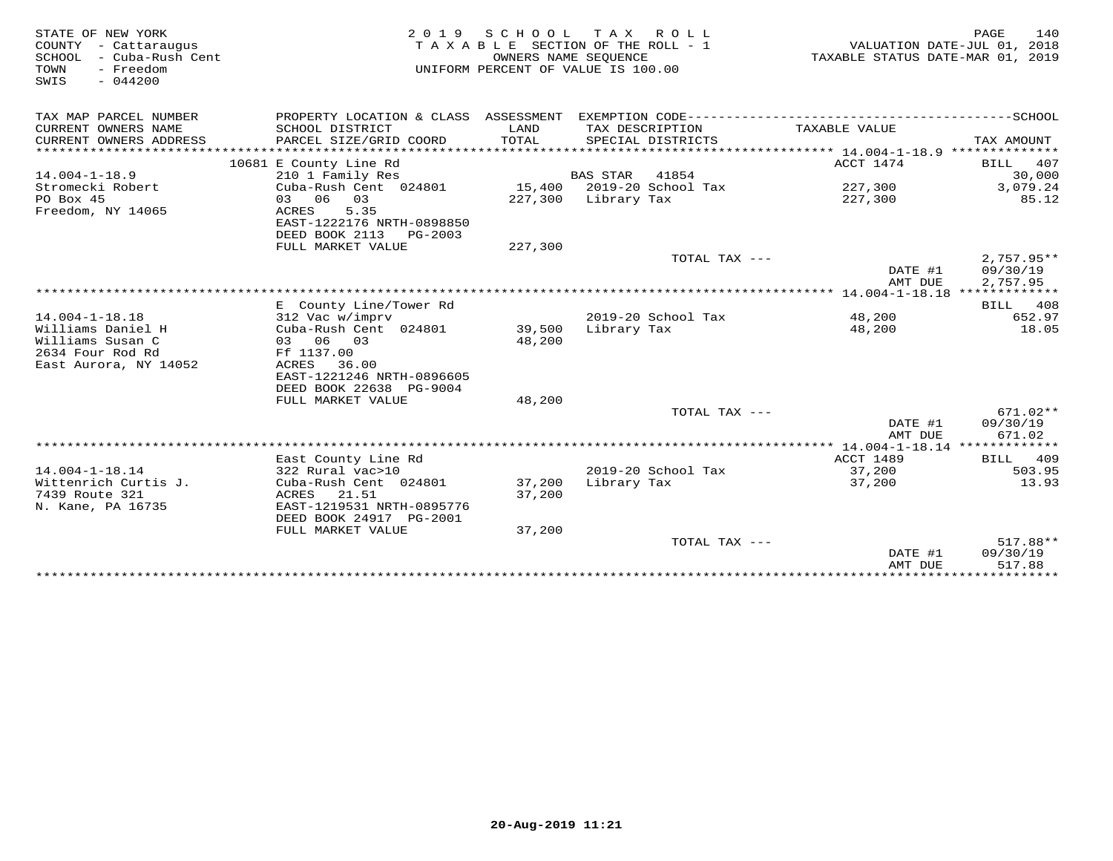| STATE OF NEW YORK<br>COUNTY - Cattaraugus<br>- Cuba-Rush Cent<br>SCHOOL<br>- Freedom<br>TOWN<br>SWIS<br>$-044200$ | 2 0 1 9<br>TAXABLE SECTION OF THE ROLL - 1<br>UNIFORM PERCENT OF VALUE IS 100.00 | TAXABLE STATUS DATE-MAR 01, 2019 | PAGE<br>140<br>VALUATION DATE-JUL 01, 2018 |                     |                                      |
|-------------------------------------------------------------------------------------------------------------------|----------------------------------------------------------------------------------|----------------------------------|--------------------------------------------|---------------------|--------------------------------------|
| TAX MAP PARCEL NUMBER                                                                                             | PROPERTY LOCATION & CLASS ASSESSMENT EXEMPTION CODE---------------------         |                                  |                                            |                     | ----------------SCHOOL               |
| CURRENT OWNERS NAME<br>CURRENT OWNERS ADDRESS                                                                     | SCHOOL DISTRICT<br>PARCEL SIZE/GRID COORD                                        | LAND<br>TOTAL                    | TAX DESCRIPTION<br>SPECIAL DISTRICTS       | TAXABLE VALUE       | TAX AMOUNT                           |
|                                                                                                                   | 10681 E County Line Rd                                                           |                                  |                                            | ACCT 1474           | 407<br><b>BILL</b>                   |
| $14.004 - 1 - 18.9$                                                                                               | 210 1 Family Res                                                                 |                                  | <b>BAS STAR</b><br>41854                   |                     | 30,000                               |
| Stromecki Robert<br>PO Box 45                                                                                     | Cuba-Rush Cent 024801<br>03 06 03                                                | 227,300                          | 15,400 2019-20 School Tax<br>Library Tax   | 227,300<br>227,300  | 3,079.24<br>85.12                    |
| Freedom, NY 14065                                                                                                 | 5.35<br>ACRES<br>EAST-1222176 NRTH-0898850                                       |                                  |                                            |                     |                                      |
|                                                                                                                   | DEED BOOK 2113 PG-2003<br>FULL MARKET VALUE                                      | 227,300                          |                                            |                     |                                      |
|                                                                                                                   |                                                                                  |                                  | TOTAL TAX ---                              | DATE #1<br>AMT DUE  | $2,757.95**$<br>09/30/19<br>2,757.95 |
|                                                                                                                   |                                                                                  |                                  |                                            |                     |                                      |
|                                                                                                                   | E County Line/Tower Rd                                                           |                                  |                                            |                     | BILL 408                             |
| $14.004 - 1 - 18.18$                                                                                              | 312 Vac w/imprv                                                                  |                                  | 2019-20 School Tax                         | 48,200              | 652.97                               |
| Williams Daniel H<br>Williams Susan C                                                                             | Cuba-Rush Cent 024801<br>03 06 03                                                | 39,500<br>48,200                 | Library Tax                                | 48,200              | 18.05                                |
| 2634 Four Rod Rd                                                                                                  | Ff 1137.00                                                                       |                                  |                                            |                     |                                      |
| East Aurora, NY 14052                                                                                             | ACRES 36.00                                                                      |                                  |                                            |                     |                                      |
|                                                                                                                   | EAST-1221246 NRTH-0896605                                                        |                                  |                                            |                     |                                      |
|                                                                                                                   | DEED BOOK 22638 PG-9004                                                          |                                  |                                            |                     |                                      |
|                                                                                                                   | FULL MARKET VALUE                                                                | 48,200                           |                                            |                     |                                      |
|                                                                                                                   |                                                                                  |                                  | TOTAL TAX ---                              |                     | $671.02**$                           |
|                                                                                                                   |                                                                                  |                                  |                                            | DATE #1<br>AMT DUE  | 09/30/19<br>671.02                   |
|                                                                                                                   |                                                                                  |                                  |                                            |                     |                                      |
| $14.004 - 1 - 18.14$                                                                                              | East County Line Rd<br>322 Rural vac>10                                          |                                  | 2019-20 School Tax                         | ACCT 1489<br>37,200 | 409<br>BILL<br>503.95                |
| Wittenrich Curtis J.                                                                                              | Cuba-Rush Cent 024801                                                            | 37,200                           | Library Tax                                | 37,200              | 13.93                                |
| 7439 Route 321                                                                                                    | 21.51<br>ACRES                                                                   | 37,200                           |                                            |                     |                                      |
| N. Kane, PA 16735                                                                                                 | EAST-1219531 NRTH-0895776<br>DEED BOOK 24917 PG-2001                             |                                  |                                            |                     |                                      |
|                                                                                                                   | FULL MARKET VALUE                                                                | 37,200                           |                                            |                     |                                      |
|                                                                                                                   |                                                                                  |                                  | TOTAL TAX ---                              |                     | 517.88**                             |
|                                                                                                                   |                                                                                  |                                  |                                            | DATE #1             | 09/30/19                             |
|                                                                                                                   |                                                                                  |                                  |                                            | AMT DUE             | 517.88                               |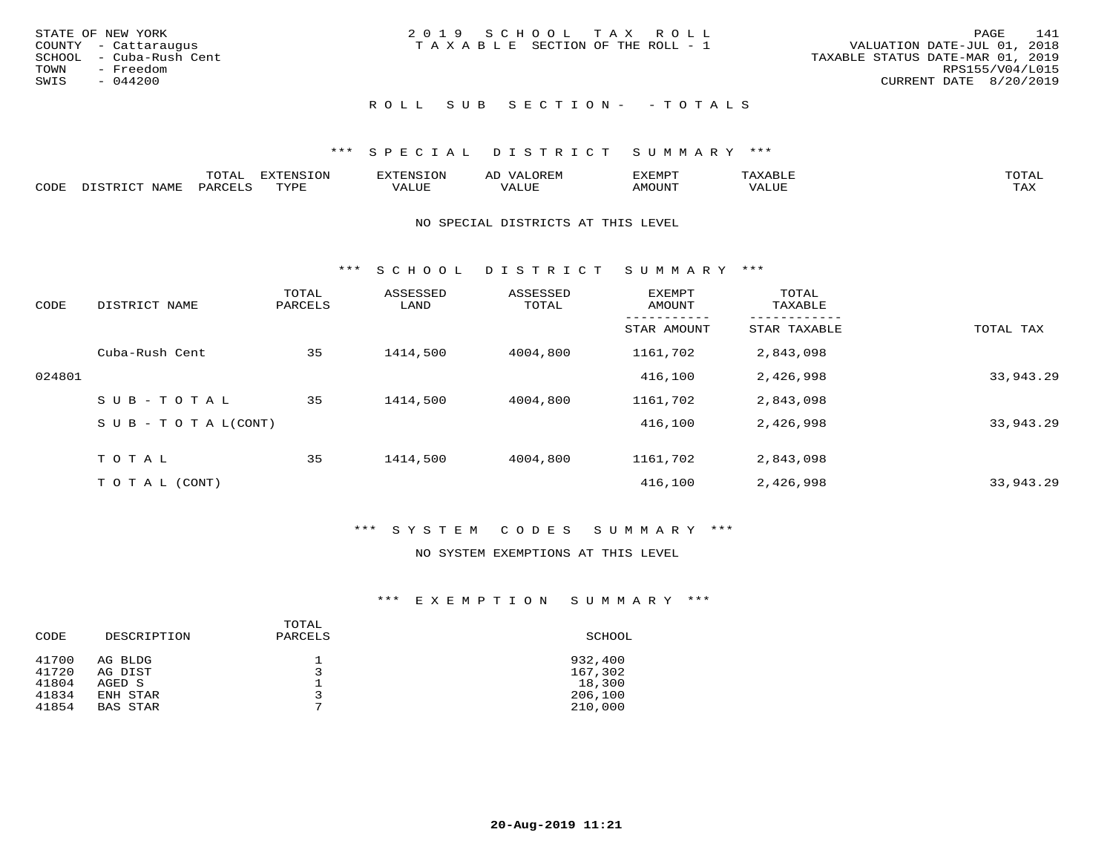|      | STATE OF NEW YORK       | 2019 SCHOOL TAX ROLL            |  |  |                                  |                        | PAGE | 141 |
|------|-------------------------|---------------------------------|--|--|----------------------------------|------------------------|------|-----|
|      | COUNTY - Cattaraugus    | TAXABLE SECTION OF THE ROLL - 1 |  |  | VALUATION DATE-JUL 01, 2018      |                        |      |     |
|      | SCHOOL - Cuba-Rush Cent |                                 |  |  | TAXABLE STATUS DATE-MAR 01, 2019 |                        |      |     |
|      | TOWN - Freedom          |                                 |  |  |                                  | RPS155/V04/L015        |      |     |
| SWIS | - 044200                |                                 |  |  |                                  | CURRENT DATE 8/20/2019 |      |     |
|      |                         |                                 |  |  |                                  |                        |      |     |

## ROLL SUB SECTION - - TOTALS

## \*\*\* S P E C I A L D I S T R I C T S U M M A R Y \*\*\*

|      |      | mom n<br>.UIAL | <b>DIZPOILIC TOM</b><br>.UP | -------- |         | :XEMP' | $\Delta$<br>ו וכו | TOTAL |
|------|------|----------------|-----------------------------|----------|---------|--------|-------------------|-------|
| CODE | NAME | AR             | TVDI                        | ALUI     | الاللطم | MOUN'I | ALUE              | TAX   |

#### NO SPECIAL DISTRICTS AT THIS LEVEL

\*\*\* S C H O O L D I S T R I C T S U M M A R Y \*\*\*

| CODE   | DISTRICT NAME                    | TOTAL<br>PARCELS | ASSESSED<br>LAND | ASSESSED<br>TOTAL | EXEMPT<br>AMOUNT | TOTAL<br>TAXABLE |           |
|--------|----------------------------------|------------------|------------------|-------------------|------------------|------------------|-----------|
|        |                                  |                  |                  |                   | STAR AMOUNT      | STAR TAXABLE     | TOTAL TAX |
|        | Cuba-Rush Cent                   | 35               | 1414,500         | 4004,800          | 1161,702         | 2,843,098        |           |
| 024801 |                                  |                  |                  |                   | 416,100          | 2,426,998        | 33,943.29 |
|        | SUB-TOTAL                        | 35               | 1414,500         | 4004,800          | 1161,702         | 2,843,098        |           |
|        | $S \cup B - T \cup T A L (CONT)$ |                  |                  |                   | 416,100          | 2,426,998        | 33,943.29 |
|        | TOTAL                            | 35               | 1414,500         | 4004,800          | 1161,702         | 2,843,098        |           |
|        | T O T A L (CONT)                 |                  |                  |                   | 416,100          | 2,426,998        | 33,943.29 |

## \*\*\* S Y S T E M C O D E S S U M M A R Y \*\*\*

#### NO SYSTEM EXEMPTIONS AT THIS LEVEL

| CODE           | DESCRIPTION        | TOTAL<br>PARCELS | SCHOOL             |
|----------------|--------------------|------------------|--------------------|
| 41700<br>41720 | AG BLDG<br>AG DIST | $\mathbf{z}$     | 932,400<br>167,302 |
| 41804          | AGED S             |                  | 18,300             |
| 41834          | ENH STAR           | 3<br>⇁           | 206,100            |
| 41854          | <b>BAS STAR</b>    |                  | 210,000            |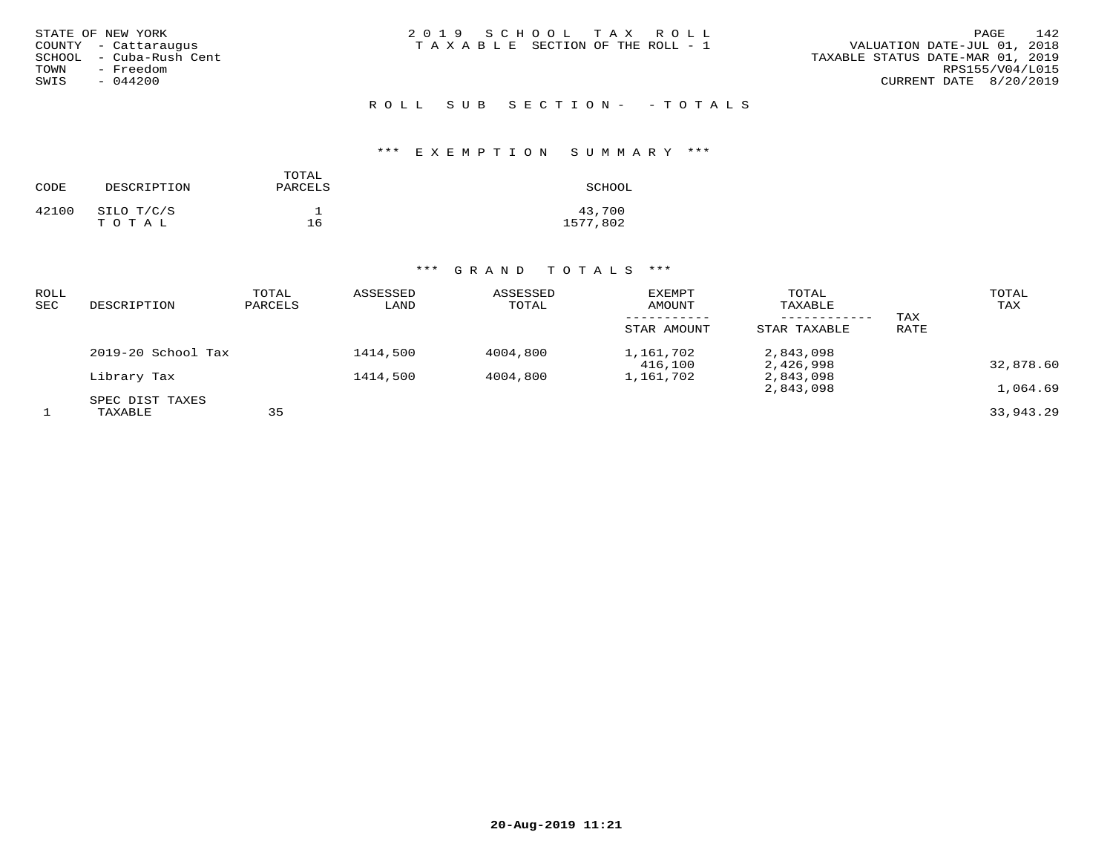| STATE OF NEW YORK       | 2019 SCHOOL TAX ROLL            | 142<br><b>PAGE</b>               |
|-------------------------|---------------------------------|----------------------------------|
| COUNTY - Cattaraugus    | TAXABLE SECTION OF THE ROLL - 1 | VALUATION DATE-JUL 01, 2018      |
| SCHOOL - Cuba-Rush Cent |                                 | TAXABLE STATUS DATE-MAR 01, 2019 |
| - Freedom<br>TOWN       |                                 | RPS155/V04/L015                  |
| $-044200$<br>SWIS       |                                 | CURRENT DATE 8/20/2019           |
|                         |                                 |                                  |

R O L L S U B S E C T I O N - - T O T A L S

## \*\*\* E X E M P T I O N S U M M A R Y \*\*\*

| CODE  | DESCRIPTION         | TOTAL<br>PARCELS | SCHOOL             |
|-------|---------------------|------------------|--------------------|
| 42100 | SILO T/C/S<br>TOTAL | 16               | 43,700<br>1577,802 |

| ROLL<br>SEC | DESCRIPTION                | TOTAL<br>PARCELS | ASSESSED<br>LAND | ASSESSED<br>TOTAL | EXEMPT<br>AMOUNT<br>STAR AMOUNT | TOTAL<br>TAXABLE<br>------------<br>STAR TAXABLE | TAX<br>RATE | TOTAL<br>TAX |
|-------------|----------------------------|------------------|------------------|-------------------|---------------------------------|--------------------------------------------------|-------------|--------------|
|             | 2019-20 School Tax         |                  | 1414,500         | 4004,800          | 1,161,702<br>416,100            | 2,843,098<br>2,426,998                           |             | 32,878.60    |
|             | Library Tax                |                  | 1414,500         | 4004,800          | 1,161,702                       | 2,843,098<br>2,843,098                           |             | 1,064.69     |
|             | SPEC DIST TAXES<br>TAXABLE | 35               |                  |                   |                                 |                                                  |             | 33,943.29    |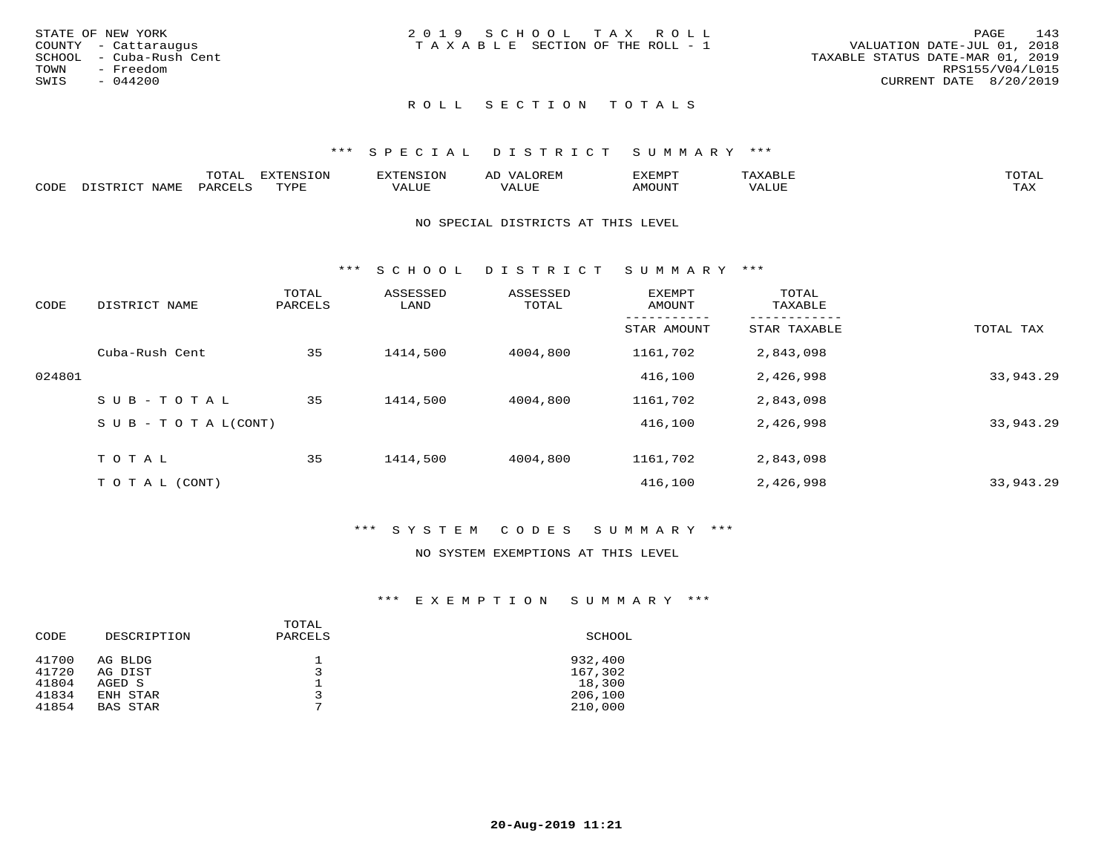|      | STATE OF NEW YORK       | 2019 SCHOOL TAX ROLL                                           | 143<br>PAGE     |
|------|-------------------------|----------------------------------------------------------------|-----------------|
|      | COUNTY - Cattaraugus    | VALUATION DATE-JUL 01, 2018<br>TAXABLE SECTION OF THE ROLL - 1 |                 |
|      | SCHOOL - Cuba-Rush Cent | TAXABLE STATUS DATE-MAR 01, 2019                               |                 |
| TOWN | - Freedom               |                                                                | RPS155/V04/L015 |
| SWIS | - 044200                | CURRENT DATE 8/20/2019                                         |                 |
|      |                         |                                                                |                 |

## ROLL SECTION TOTALS

#### \*\*\* S P E C I A L D I S T R I C T S U M M A R Y \*\*\*

|      | ----<br>$\overline{ }$                         | "RNSION<br>---  |                          | ΑL | ם כדי ארד לצו |           |                        |
|------|------------------------------------------------|-----------------|--------------------------|----|---------------|-----------|------------------------|
| CODE | $\Box \wedge D \wedge \Box \wedge \neg \wedge$ | $m \tau \tau n$ | * * * * * * <del>*</del> |    | AMOUNT        | $+ + + +$ | $m \times r$<br>- ⊥777 |

#### NO SPECIAL DISTRICTS AT THIS LEVEL

\*\*\* S C H O O L D I S T R I C T S U M M A R Y \*\*\*

| CODE   | DISTRICT NAME                    | TOTAL<br>PARCELS | ASSESSED<br>LAND | ASSESSED<br>TOTAL | <b>EXEMPT</b><br>AMOUNT | TOTAL<br>TAXABLE |           |
|--------|----------------------------------|------------------|------------------|-------------------|-------------------------|------------------|-----------|
|        |                                  |                  |                  |                   | STAR AMOUNT             | STAR TAXABLE     | TOTAL TAX |
|        | Cuba-Rush Cent                   | 35               | 1414,500         | 4004,800          | 1161,702                | 2,843,098        |           |
| 024801 |                                  |                  |                  |                   | 416,100                 | 2,426,998        | 33,943.29 |
|        | SUB-TOTAL                        | 35               | 1414,500         | 4004,800          | 1161,702                | 2,843,098        |           |
|        | $S \cup B - T \cup T A L (CONT)$ |                  |                  |                   | 416,100                 | 2,426,998        | 33,943.29 |
|        | TOTAL                            | 35               | 1414,500         | 4004,800          | 1161,702                | 2,843,098        |           |
|        | T O T A L (CONT)                 |                  |                  |                   | 416,100                 | 2,426,998        | 33,943.29 |

#### \*\*\* S Y S T E M C O D E S S U M M A R Y \*\*\*

## NO SYSTEM EXEMPTIONS AT THIS LEVEL

| CODE  | DESCRIPTION     | TOTAL<br>PARCELS | SCHOOL  |
|-------|-----------------|------------------|---------|
| 41700 | AG BLDG         |                  | 932,400 |
| 41720 | AG DIST         |                  | 167,302 |
| 41804 | AGED S          | $\overline{ }$   | 18,300  |
| 41834 | ENH STAR        |                  | 206,100 |
| 41854 | <b>BAS STAR</b> |                  | 210,000 |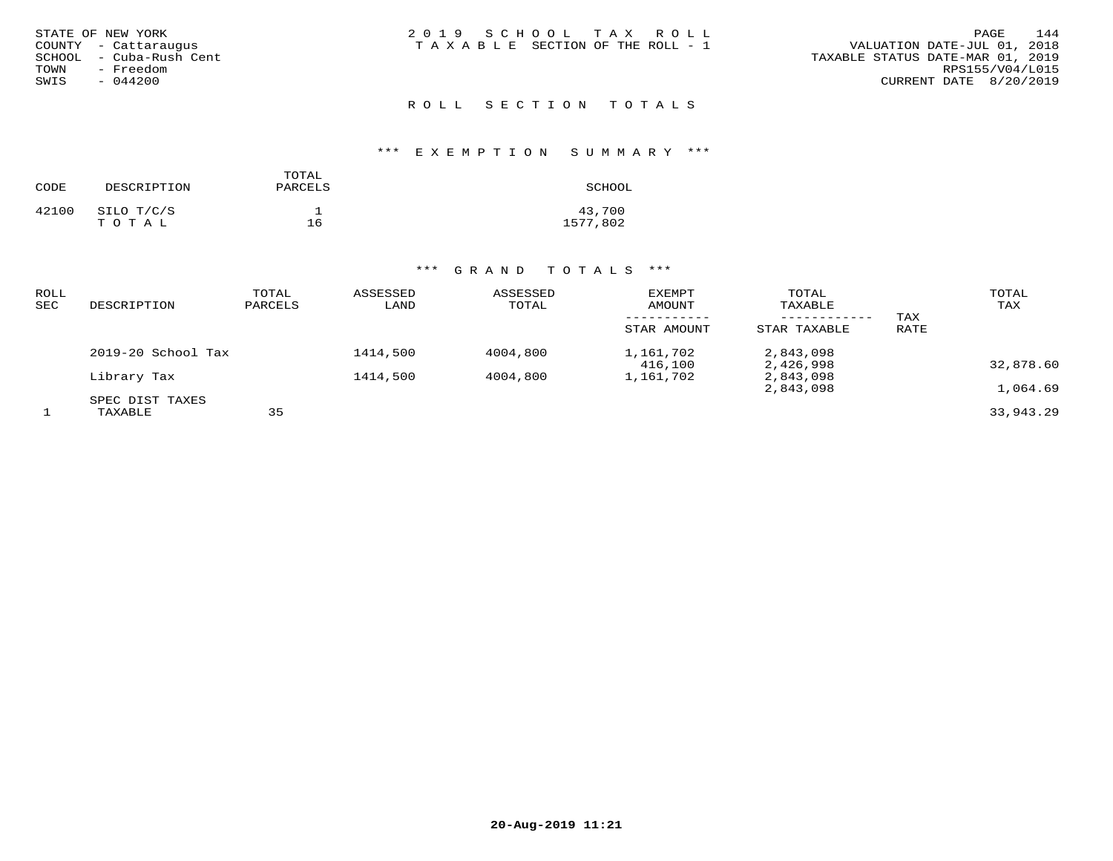| STATE OF NEW YORK<br>COUNTY - Cattaraugus<br>SCHOOL - Cuba-Rush Cent<br>- Freedom<br>TOWN<br>SWIS<br>$-044200$ | 2019 SCHOOL TAX ROLL<br>T A X A B L E SECTION OF THE ROLL - 1 | 144<br>PAGE<br>VALUATION DATE-JUL 01, 2018<br>TAXABLE STATUS DATE-MAR 01, 2019<br>RPS155/V04/L015<br>CURRENT DATE 8/20/2019 |
|----------------------------------------------------------------------------------------------------------------|---------------------------------------------------------------|-----------------------------------------------------------------------------------------------------------------------------|
|                                                                                                                | ROLL SECTION TOTALS                                           |                                                                                                                             |

## \*\*\* E X E M P T I O N S U M M A R Y \*\*\*

| CODE  | DESCRIPTION         | SCHOOL |                    |
|-------|---------------------|--------|--------------------|
| 42100 | SILO T/C/S<br>тотаь | 16     | 43,700<br>1577,802 |

| ROLL<br><b>SEC</b> | DESCRIPTION        | TOTAL<br>PARCELS | ASSESSED<br>LAND | ASSESSED<br>TOTAL | <b>EXEMPT</b><br>AMOUNT | TOTAL<br>TAXABLE<br>---------- | TAX  | TOTAL<br>TAX |
|--------------------|--------------------|------------------|------------------|-------------------|-------------------------|--------------------------------|------|--------------|
|                    |                    |                  |                  |                   | STAR AMOUNT             | STAR TAXABLE                   | RATE |              |
|                    | 2019-20 School Tax |                  | 1414,500         | 4004,800          | 1,161,702<br>416,100    | 2,843,098<br>2,426,998         |      | 32,878.60    |
|                    | Library Tax        |                  | 1414,500         | 4004,800          | 1,161,702               | 2,843,098                      |      |              |
|                    | SPEC DIST TAXES    |                  |                  |                   |                         | 2,843,098                      |      | 1,064.69     |
|                    | TAXABLE            | 35               |                  |                   |                         |                                |      | 33,943.29    |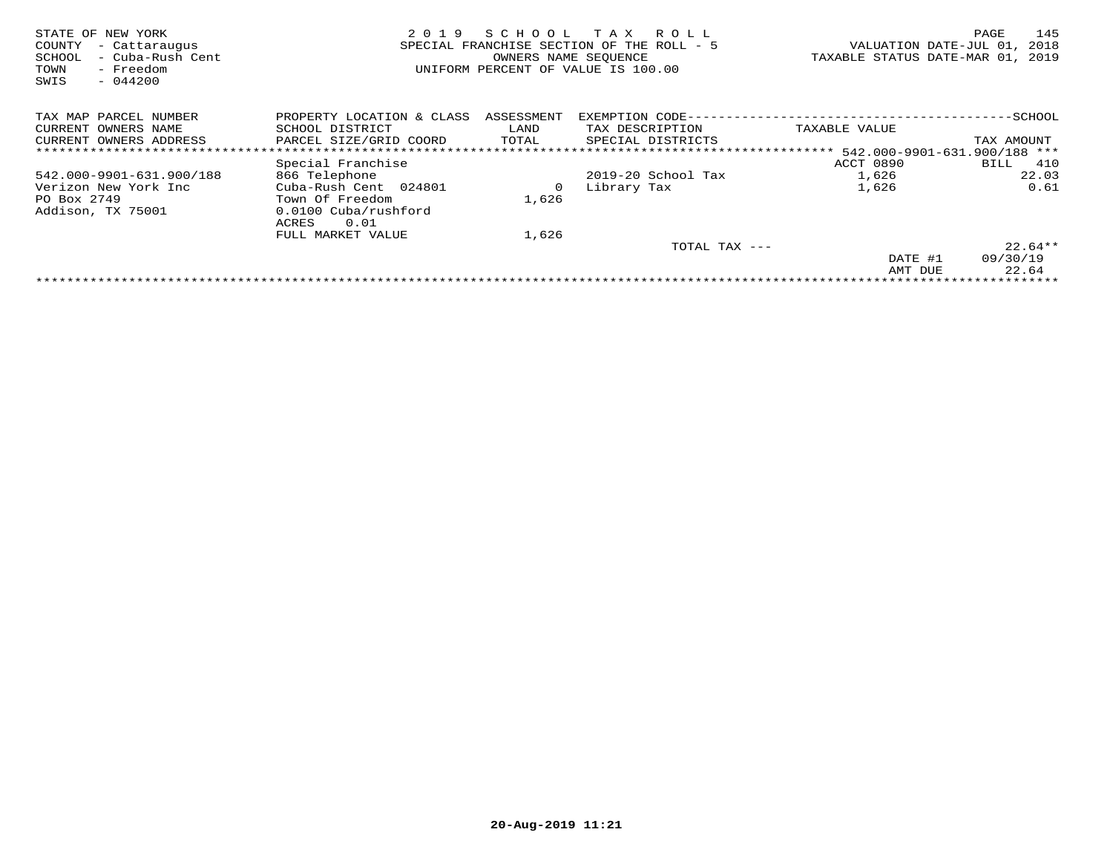| STATE OF NEW YORK<br>COUNTY<br>- Cattaraugus<br>- Cuba-Rush Cent<br>SCHOOL<br>- Freedom<br>TOWN<br>$-044200$<br>SWIS | 2019                                                                              | SCHOOL<br>SPECIAL FRANCHISE SECTION OF THE<br>OWNERS NAME SEQUENCE | T A X<br>R O L L<br>$ROI.I. = 5$<br>UNIFORM PERCENT OF VALUE IS 100.00 | VALUATION DATE-JUL 01,<br>TAXABLE STATUS DATE-MAR 01, | 145<br>PAGE<br>2018<br>2019 |  |  |  |
|----------------------------------------------------------------------------------------------------------------------|-----------------------------------------------------------------------------------|--------------------------------------------------------------------|------------------------------------------------------------------------|-------------------------------------------------------|-----------------------------|--|--|--|
| TAX MAP PARCEL NUMBER                                                                                                | PROPERTY LOCATION & CLASS                                                         | ASSESSMENT                                                         | EXEMPTION CODE-                                                        |                                                       | -SCHOOL                     |  |  |  |
| CURRENT OWNERS NAME                                                                                                  | SCHOOL DISTRICT                                                                   | LAND                                                               | TAX DESCRIPTION                                                        | TAXABLE VALUE                                         |                             |  |  |  |
| CURRENT OWNERS ADDRESS                                                                                               | PARCEL SIZE/GRID COORD                                                            | TOTAL                                                              | SPECIAL DISTRICTS                                                      |                                                       | TAX AMOUNT                  |  |  |  |
|                                                                                                                      |                                                                                   |                                                                    |                                                                        |                                                       |                             |  |  |  |
|                                                                                                                      | Special Franchise                                                                 |                                                                    |                                                                        | ACCT 0890                                             | 410<br>BILL                 |  |  |  |
| 542.000-9901-631.900/188                                                                                             | 866 Telephone                                                                     |                                                                    | $2019-20$ School Tax                                                   | 1,626                                                 | 22.03                       |  |  |  |
| Verizon New York Inc<br>PO Box 2749<br>Addison, TX 75001                                                             | Cuba-Rush Cent 024801<br>Town Of Freedom<br>0.0100 Cuba/rushford<br>0.01<br>ACRES | 0<br>1,626                                                         | Library Tax                                                            | 1,626                                                 | 0.61                        |  |  |  |
|                                                                                                                      | FULL MARKET VALUE                                                                 | 1,626                                                              |                                                                        |                                                       |                             |  |  |  |
|                                                                                                                      |                                                                                   |                                                                    | TOTAL TAX ---                                                          |                                                       | $22.64**$                   |  |  |  |
|                                                                                                                      |                                                                                   |                                                                    |                                                                        | DATE #1                                               | 09/30/19                    |  |  |  |
|                                                                                                                      |                                                                                   |                                                                    |                                                                        | AMT DUE                                               | 22.64                       |  |  |  |
|                                                                                                                      |                                                                                   |                                                                    |                                                                        |                                                       |                             |  |  |  |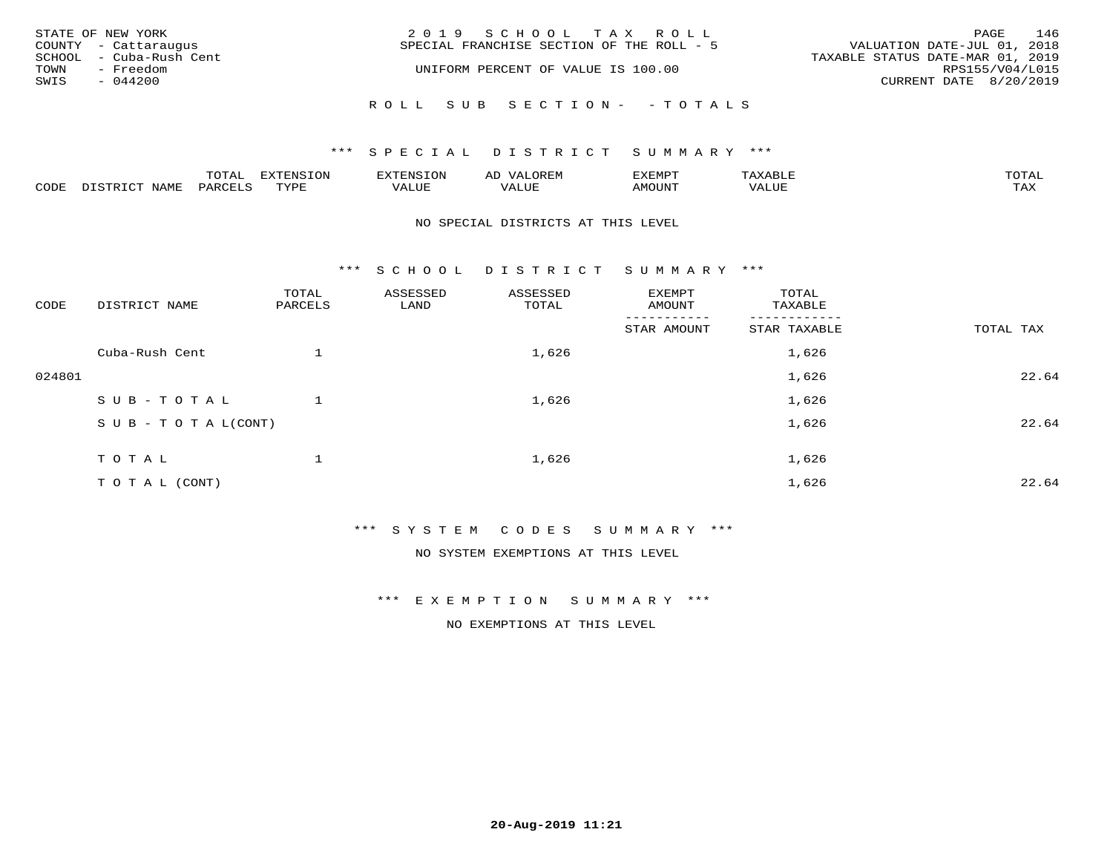|      | STATE OF NEW YORK<br>COUNTY - Cattaraugus | 2019 SCHOOL TAX ROLL<br>SPECIAL FRANCHISE SECTION OF THE ROLL - 5 | PAGE<br>VALUATION DATE-JUL 01, 2018 | 146             |
|------|-------------------------------------------|-------------------------------------------------------------------|-------------------------------------|-----------------|
| TOWN | SCHOOL - Cuba-Rush Cent<br>- Freedom      | UNIFORM PERCENT OF VALUE IS 100.00                                | TAXABLE STATUS DATE-MAR 01, 2019    | RPS155/V04/L015 |
| SWIS | - 044200                                  |                                                                   | CURRENT DATE 8/20/2019              |                 |
|      |                                           | ROLL SUB SECTION- - TOTALS                                        |                                     |                 |

## \*\*\* SPECIAL DISTRICT SUMMARY \*\*\*

|      | $n \wedge m \wedge n$ |                 | <b>MARINE</b> | ΑL                           |                          |                    |                           |
|------|-----------------------|-----------------|---------------|------------------------------|--------------------------|--------------------|---------------------------|
| CODE | ΆR                    | $m \tau \tau n$ | اللالا للديات | $\cdots$<br>اللاقات المتحدين | <b>MOTTNTO</b><br>'UUN'. | <b>- ---</b><br>∕∆ | $m \times r$<br>- - - - - |

### NO SPECIAL DISTRICTS AT THIS LEVEL

\*\*\* S C H O O L D I S T R I C T S U M M A R Y \*\*\*

| CODE   | DISTRICT NAME                    | TOTAL<br>PARCELS | ASSESSED<br>LAND | ASSESSED<br>TOTAL | EXEMPT<br>AMOUNT       | TOTAL<br>TAXABLE |           |
|--------|----------------------------------|------------------|------------------|-------------------|------------------------|------------------|-----------|
|        |                                  |                  |                  |                   | -------<br>STAR AMOUNT | STAR TAXABLE     | TOTAL TAX |
|        | Cuba-Rush Cent                   |                  |                  | 1,626             |                        | 1,626            |           |
| 024801 |                                  |                  |                  |                   |                        | 1,626            | 22.64     |
|        | SUB-TOTAL                        |                  |                  | 1,626             |                        | 1,626            |           |
|        | $S \cup B - T \cup T A L (CONT)$ |                  |                  |                   |                        | 1,626            | 22.64     |
|        | TOTAL                            |                  |                  | 1,626             |                        | 1,626            |           |
|        | TO TAL (CONT)                    |                  |                  |                   |                        | 1,626            | 22.64     |

\*\*\* S Y S T E M C O D E S S U M M A R Y \*\*\*

NO SYSTEM EXEMPTIONS AT THIS LEVEL

\*\*\* E X E M P T I O N S U M M A R Y \*\*\*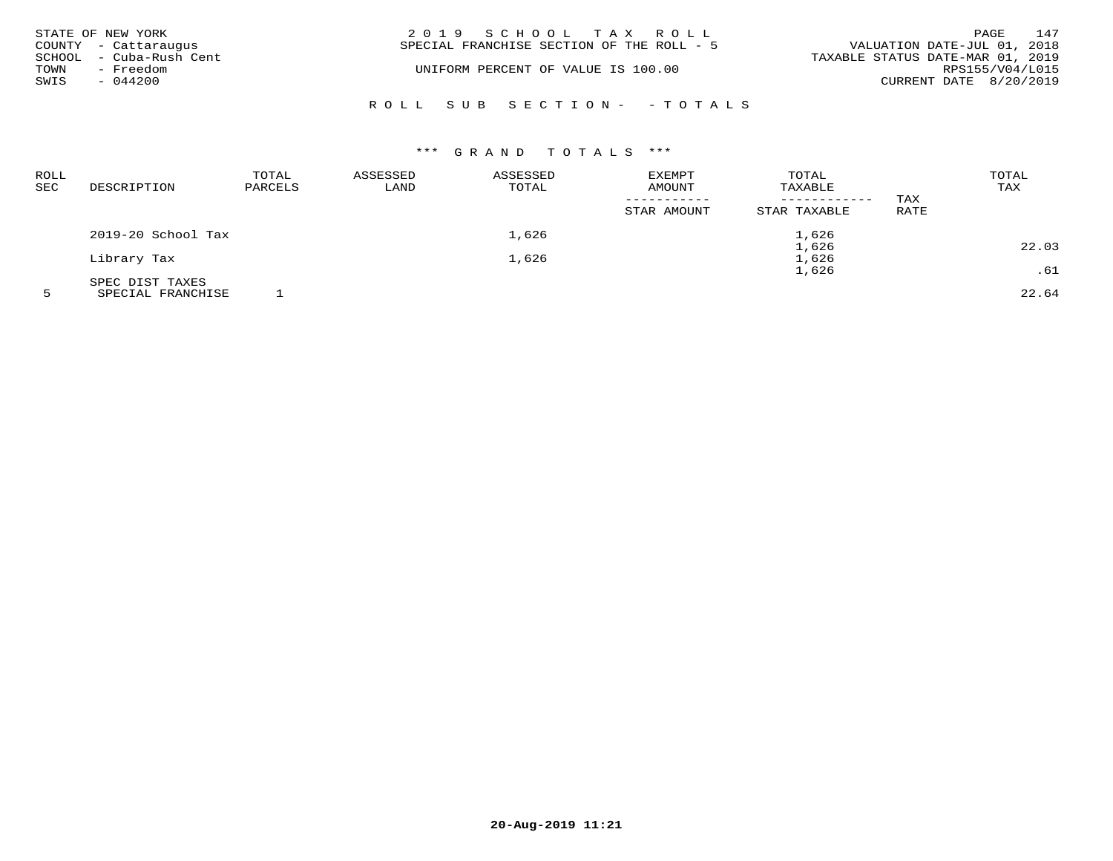| STATE OF NEW YORK<br>COUNTY - Cattaraugus | 2019 SCHOOL TAX ROLL<br>SPECIAL FRANCHISE SECTION OF THE ROLL - 5 | 147<br>PAGE<br>VALUATION DATE-JUL 01, 2018          |
|-------------------------------------------|-------------------------------------------------------------------|-----------------------------------------------------|
| SCHOOL - Cuba-Rush Cent<br>- Freedom      | UNIFORM PERCENT OF VALUE IS 100.00                                | TAXABLE STATUS DATE-MAR 01, 2019<br>RPS155/V04/L015 |
| TOWN<br>SWIS<br>$-044200$                 |                                                                   | CURRENT DATE 8/20/2019                              |
|                                           | ROLL SUB SECTION- - TOTALS                                        |                                                     |

| <b>ROLL</b> |                                                                                                                                    | TOTAL   | ASSESSED | ASSESSED | EXEMPT                | TOTAL                   |      | TOTAL  |
|-------------|------------------------------------------------------------------------------------------------------------------------------------|---------|----------|----------|-----------------------|-------------------------|------|--------|
| SEC         | DESCRIPTION                                                                                                                        | PARCELS | LAND     | TOTAL    | AMOUNT<br>----------- | TAXABLE<br>------------ | TAX  | TAX    |
|             |                                                                                                                                    |         |          |          | STAR AMOUNT           | STAR TAXABLE            | RATE |        |
|             | 2019-20 School Tax                                                                                                                 |         |          | 1,626    |                       | 1,626                   |      |        |
|             |                                                                                                                                    |         |          |          |                       | 1,626                   |      | 22.03  |
|             | Library Tax                                                                                                                        |         |          | 1,626    |                       | 1,626                   |      |        |
|             |                                                                                                                                    |         |          |          |                       | 1,626                   |      | .61    |
|             | SPEC DIST TAXES<br>the contract of the contract of the contract of the contract of the contract of the contract of the contract of |         |          |          |                       |                         |      | ------ |

5 SPECIAL FRANCHISE 1 22.64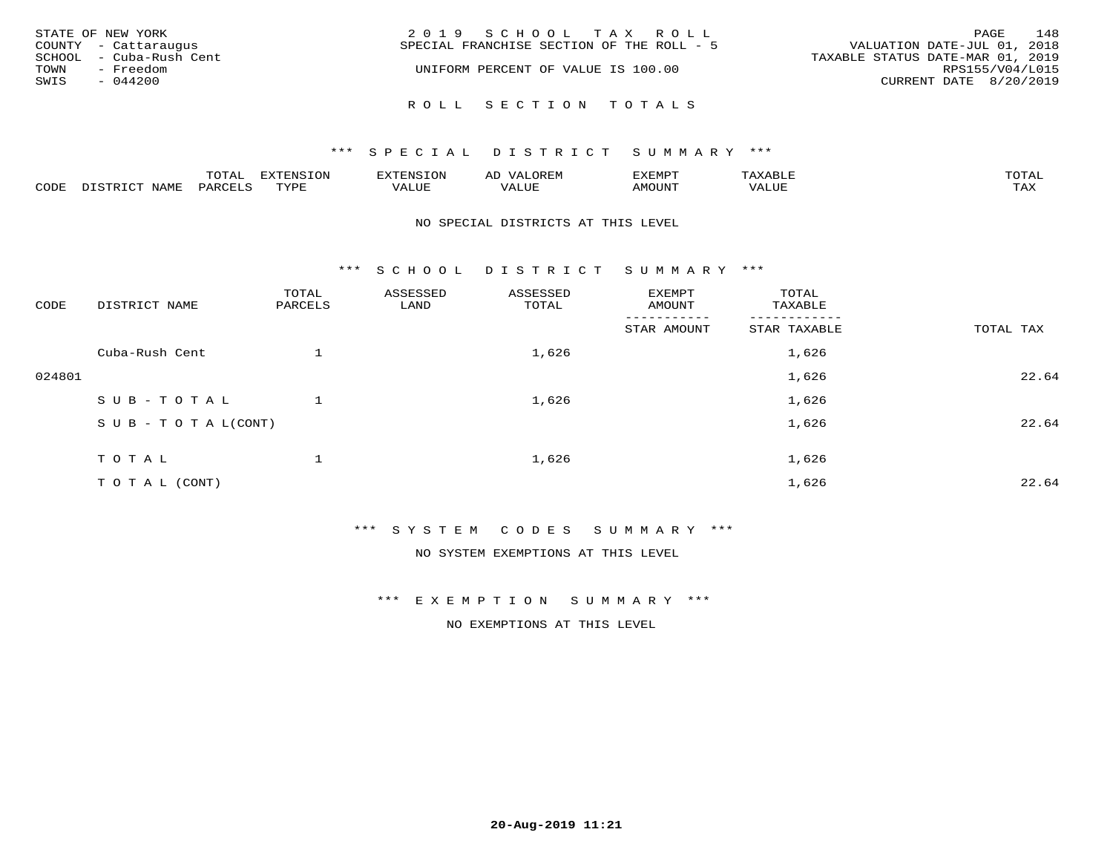| STATE OF NEW YORK<br>COUNTY - Cattaraugus                         | 2019 SCHOOL TAX ROLL<br>SPECIAL FRANCHISE SECTION OF THE ROLL - 5 | 148<br>PAGE<br>VALUATION DATE-JUL 01, 2018                                    |
|-------------------------------------------------------------------|-------------------------------------------------------------------|-------------------------------------------------------------------------------|
| SCHOOL - Cuba-Rush Cent<br>- Freedom<br>TOWN<br>SWIS<br>$-044200$ | UNIFORM PERCENT OF VALUE IS 100.00                                | TAXABLE STATUS DATE-MAR 01, 2019<br>RPS155/V04/L015<br>CURRENT DATE 8/20/2019 |
|                                                                   | ROLL SECTION TOTALS                                               |                                                                               |

|      |      | $m \wedge m \wedge n$<br>◡∸ғ | TON                              | . HUNY              | AĽ                  | ے ا      |       | $m \wedge m \wedge n$ |
|------|------|------------------------------|----------------------------------|---------------------|---------------------|----------|-------|-----------------------|
| CODE | NAMF | 'AK                          | $m \times r \times r$<br>- - - - | T T T<br>اللالمستحم | - ---<br>اللالمستعم | 57077375 | VALUF | $m \times r$<br>- −-  |

### NO SPECIAL DISTRICTS AT THIS LEVEL

\*\*\* S C H O O L D I S T R I C T S U M M A R Y \*\*\*

| CODE   | DISTRICT NAME                    | TOTAL<br>PARCELS | ASSESSED<br>LAND | ASSESSED<br>TOTAL | EXEMPT<br>AMOUNT | TOTAL<br>TAXABLE |           |
|--------|----------------------------------|------------------|------------------|-------------------|------------------|------------------|-----------|
|        |                                  |                  |                  |                   | STAR AMOUNT      | STAR TAXABLE     | TOTAL TAX |
|        | Cuba-Rush Cent                   |                  |                  | 1,626             |                  | 1,626            |           |
| 024801 |                                  |                  |                  |                   |                  | 1,626            | 22.64     |
|        | SUB-TOTAL                        |                  |                  | 1,626             |                  | 1,626            |           |
|        | $S \cup B - T \cup T A L (CONT)$ |                  |                  |                   |                  | 1,626            | 22.64     |
|        | TOTAL                            |                  |                  | 1,626             |                  | 1,626            |           |
|        | TO TAL (CONT)                    |                  |                  |                   |                  | 1,626            | 22.64     |

\*\*\* S Y S T E M C O D E S S U M M A R Y \*\*\*

NO SYSTEM EXEMPTIONS AT THIS LEVEL

\*\*\* E X E M P T I O N S U M M A R Y \*\*\*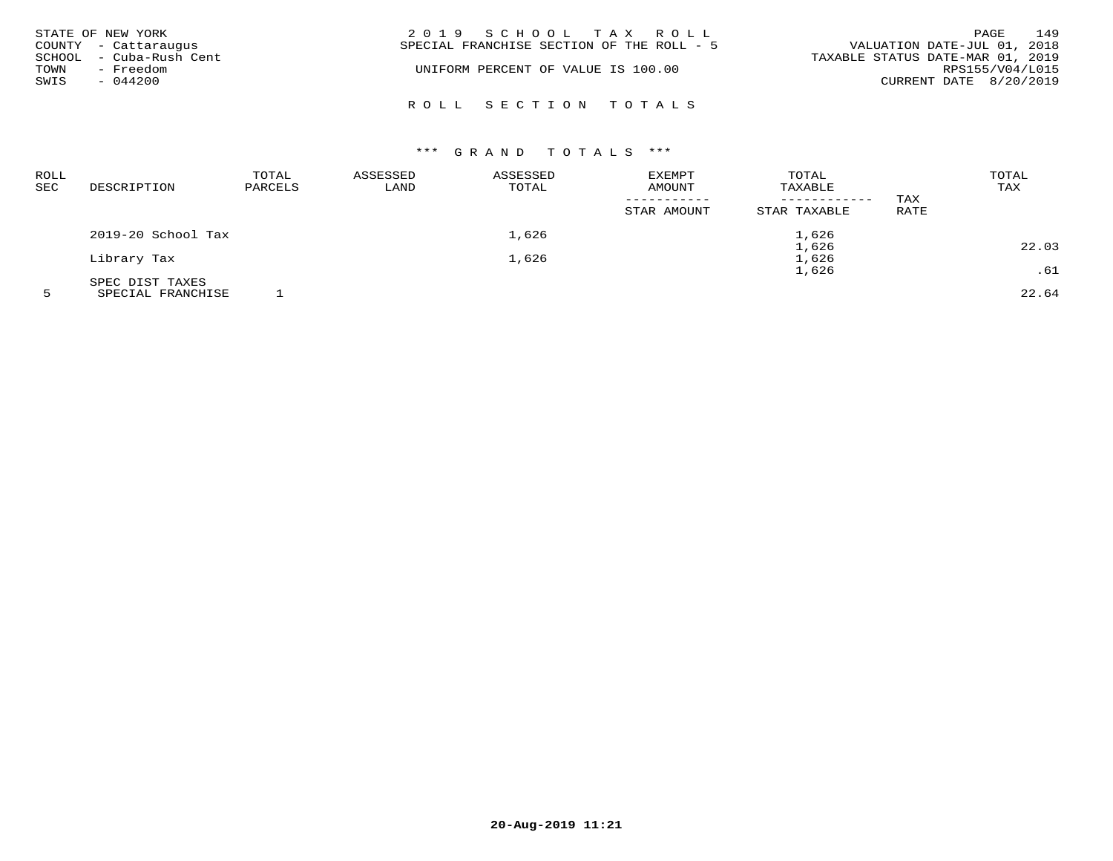| TOWN<br>SWIS | STATE OF NEW YORK<br>COUNTY - Cattaraugus<br>SCHOOL - Cuba-Rush Cent<br>- Freedom<br>$-044200$ | 2019 SCHOOL TAX ROLL<br>VALUATION DATE-JUL 01, 2018<br>SPECIAL FRANCHISE SECTION OF THE ROLL - 5<br>TAXABLE STATUS DATE-MAR 01, 2019<br>UNIFORM PERCENT OF VALUE IS 100.00 | PAGE<br>RPS155/V04/L015<br>CURRENT DATE 8/20/2019 | 149 |
|--------------|------------------------------------------------------------------------------------------------|----------------------------------------------------------------------------------------------------------------------------------------------------------------------------|---------------------------------------------------|-----|
|              |                                                                                                | ROLL SECTION TOTALS                                                                                                                                                        |                                                   |     |

| ROLL<br>SEC | DESCRIPTION        | TOTAL<br>PARCELS | ASSESSED<br>LAND | ASSESSED<br>TOTAL | <b>EXEMPT</b><br>AMOUNT<br>STAR AMOUNT | TOTAL<br>TAXABLE<br>------------<br>STAR TAXABLE | TAX<br>RATE | TOTAL<br>TAX |
|-------------|--------------------|------------------|------------------|-------------------|----------------------------------------|--------------------------------------------------|-------------|--------------|
|             | 2019-20 School Tax |                  |                  | 1,626             |                                        | 1,626                                            |             |              |
|             |                    |                  |                  |                   |                                        | 1,626                                            |             | 22.03        |
|             | Library Tax        |                  |                  | 1,626             |                                        | 1,626                                            |             |              |
|             |                    |                  |                  |                   |                                        | 1,626                                            |             | .61          |
|             | SPEC DIST TAXES    |                  |                  |                   |                                        |                                                  |             |              |

5 SPECIAL FRANCHISE 1 22.64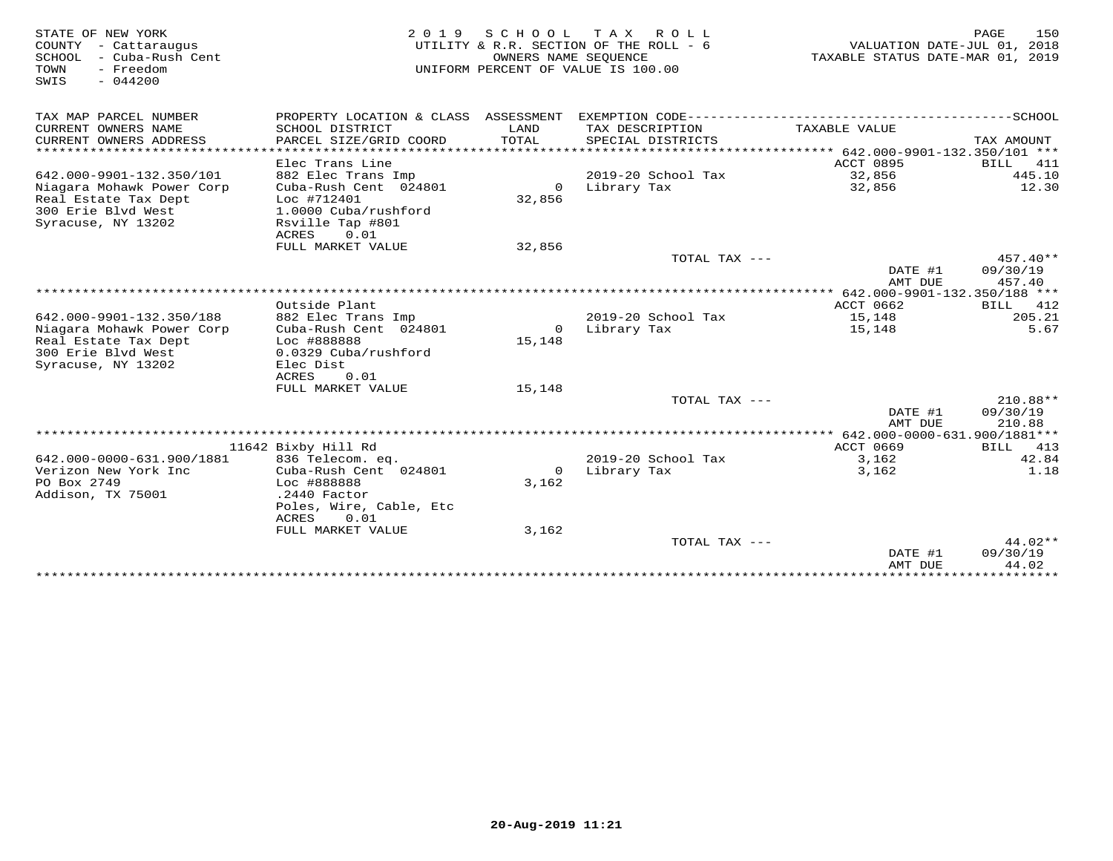| STATE OF NEW YORK<br>COUNTY - Cattaraugus<br>SCHOOL - Cuba-Rush Cent<br>- Freedom<br>TOWN<br>SWIS<br>$-044200$ |                                                                                  | OWNERS NAME SEQUENCE | 2019 SCHOOL TAX ROLL<br>UTILITY & R.R. SECTION OF THE ROLL - 6<br>UNIFORM PERCENT OF VALUE IS 100.00 | VALUATION DATE-JUL 01, 2018<br>TAXABLE STATUS DATE-MAR 01, 2019 | 150<br>PAGE              |
|----------------------------------------------------------------------------------------------------------------|----------------------------------------------------------------------------------|----------------------|------------------------------------------------------------------------------------------------------|-----------------------------------------------------------------|--------------------------|
| TAX MAP PARCEL NUMBER                                                                                          | PROPERTY LOCATION & CLASS ASSESSMENT EXEMPTION CODE-----------------------       |                      |                                                                                                      |                                                                 | ------------------SCHOOL |
| CURRENT OWNERS NAME<br>CURRENT OWNERS ADDRESS                                                                  | SCHOOL DISTRICT<br>PARCEL SIZE/GRID COORD                                        | LAND<br>TOTAL        | TAX DESCRIPTION<br>SPECIAL DISTRICTS                                                                 | TAXABLE VALUE                                                   | TAX AMOUNT               |
|                                                                                                                |                                                                                  |                      |                                                                                                      |                                                                 |                          |
|                                                                                                                | Elec Trans Line                                                                  |                      |                                                                                                      | ACCT 0895                                                       | BILL<br>411              |
| 642.000-9901-132.350/101                                                                                       | 882 Elec Trans Imp                                                               |                      | 2019-20 School Tax                                                                                   | 32,856                                                          | 445.10                   |
| Niagara Mohawk Power Corp<br>Real Estate Tax Dept<br>300 Erie Blvd West<br>Syracuse, NY 13202                  | Cuba-Rush Cent 024801<br>Loc #712401<br>1.0000 Cuba/rushford<br>Rsville Tap #801 | $\Omega$<br>32,856   | Library Tax                                                                                          | 32,856                                                          | 12.30                    |
|                                                                                                                | ACRES<br>0.01                                                                    |                      |                                                                                                      |                                                                 |                          |
|                                                                                                                | FULL MARKET VALUE                                                                | 32,856               |                                                                                                      |                                                                 |                          |
|                                                                                                                |                                                                                  |                      | TOTAL TAX ---                                                                                        |                                                                 | 457.40**                 |
|                                                                                                                |                                                                                  |                      |                                                                                                      | DATE #1<br>AMT DUE                                              | 09/30/19<br>457.40       |
|                                                                                                                |                                                                                  |                      |                                                                                                      |                                                                 |                          |
|                                                                                                                | Outside Plant                                                                    |                      |                                                                                                      | ACCT 0662                                                       | BILL<br>412              |
| 642.000-9901-132.350/188                                                                                       | 882 Elec Trans Imp                                                               |                      | 2019-20 School Tax                                                                                   | 15,148                                                          | 205.21                   |
| Niagara Mohawk Power Corp                                                                                      | Cuba-Rush Cent 024801                                                            |                      | 0 Library Tax                                                                                        | 15,148                                                          | 5.67                     |
| Real Estate Tax Dept                                                                                           | Loc #888888                                                                      | 15,148               |                                                                                                      |                                                                 |                          |
| 300 Erie Blvd West                                                                                             | 0.0329 Cuba/rushford                                                             |                      |                                                                                                      |                                                                 |                          |
| Syracuse, NY 13202                                                                                             | Elec Dist                                                                        |                      |                                                                                                      |                                                                 |                          |
|                                                                                                                | ACRES<br>0.01                                                                    |                      |                                                                                                      |                                                                 |                          |
|                                                                                                                | FULL MARKET VALUE                                                                | 15,148               |                                                                                                      |                                                                 |                          |
|                                                                                                                |                                                                                  |                      | TOTAL TAX ---                                                                                        |                                                                 | 210.88**                 |
|                                                                                                                |                                                                                  |                      |                                                                                                      | DATE #1                                                         | 09/30/19                 |
|                                                                                                                |                                                                                  |                      |                                                                                                      | AMT DUE                                                         | 210.88                   |
|                                                                                                                |                                                                                  |                      |                                                                                                      |                                                                 |                          |
|                                                                                                                | 11642 Bixby Hill Rd                                                              |                      |                                                                                                      | ACCT 0669                                                       | BILL 413                 |
| 642.000-0000-631.900/1881                                                                                      | 836 Telecom. eq.                                                                 |                      | 2019-20 School Tax                                                                                   | 3,162                                                           | 42.84                    |
| Verizon New York Inc                                                                                           | Cuba-Rush Cent 024801                                                            | $\circ$              | Library Tax                                                                                          | 3,162                                                           | 1.18                     |
| PO Box 2749                                                                                                    | Loc #888888                                                                      | 3,162                |                                                                                                      |                                                                 |                          |
| Addison, TX 75001                                                                                              | .2440 Factor                                                                     |                      |                                                                                                      |                                                                 |                          |
|                                                                                                                | Poles, Wire, Cable, Etc<br>ACRES<br>0.01                                         |                      |                                                                                                      |                                                                 |                          |
|                                                                                                                | FULL MARKET VALUE                                                                | 3,162                |                                                                                                      |                                                                 |                          |
|                                                                                                                |                                                                                  |                      | TOTAL TAX $---$                                                                                      |                                                                 | $44.02**$                |
|                                                                                                                |                                                                                  |                      |                                                                                                      | DATE #1                                                         | 09/30/19                 |
|                                                                                                                |                                                                                  |                      |                                                                                                      | AMT DUE                                                         | 44.02                    |
|                                                                                                                |                                                                                  |                      |                                                                                                      |                                                                 |                          |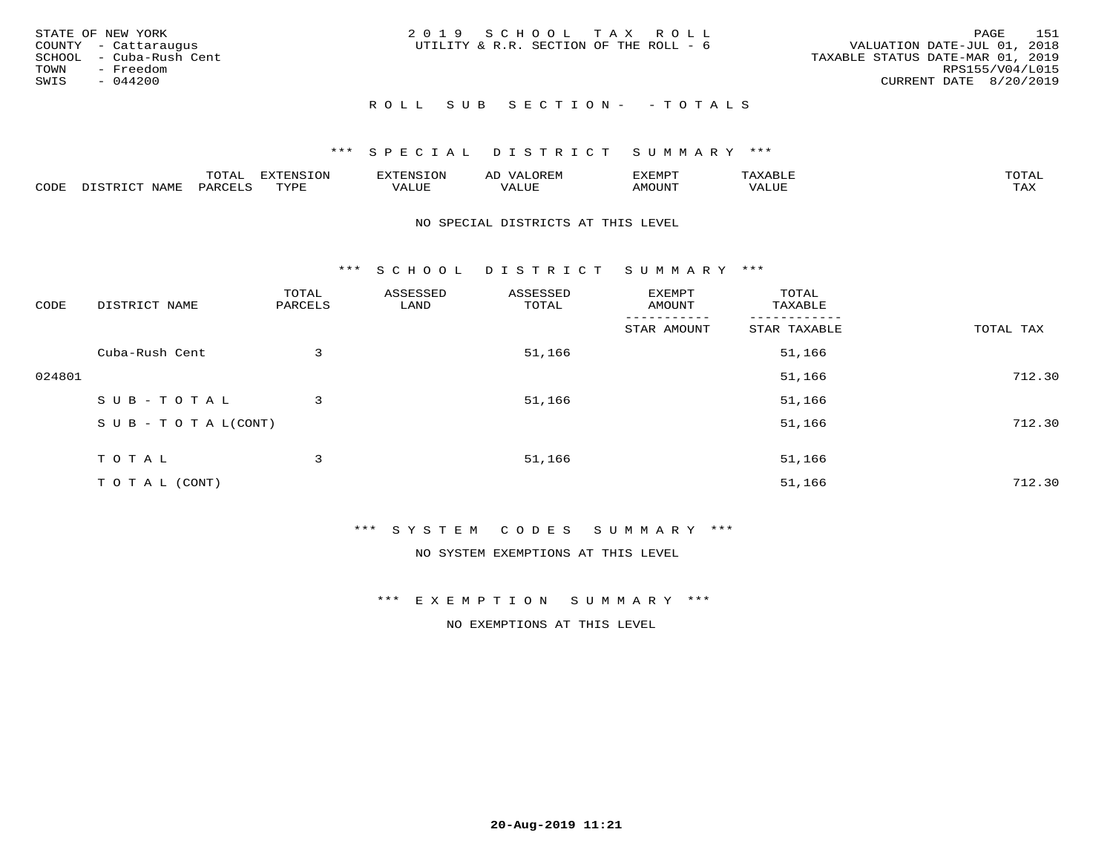| STATE OF NEW YORK<br>COUNTY - Cattaraugus<br>SCHOOL - Cuba-Rush Cent<br>TOWN<br>- Freedom<br>SWIS<br>- 044200 |  | 2019 SCHOOL TAX ROLL<br>UTILITY & R.R. SECTION OF THE ROLL - 6 |  | VALUATION DATE-JUL 01, 2018<br>TAXABLE STATUS DATE-MAR 01, 2019<br>CURRENT DATE 8/20/2019 | PAGE<br>RPS155/V04/L015 | 151 |
|---------------------------------------------------------------------------------------------------------------|--|----------------------------------------------------------------|--|-------------------------------------------------------------------------------------------|-------------------------|-----|
|                                                                                                               |  | ROLL SUB SECTION- - TOTALS                                     |  |                                                                                           |                         |     |

|      |      | $m \wedge m \wedge n$<br>◡∸ғ | TON                              | . HUNY              | AĽ                  | ے ا      |       | $m \wedge m \wedge n$ |
|------|------|------------------------------|----------------------------------|---------------------|---------------------|----------|-------|-----------------------|
| CODE | NAMF | 'AK                          | $m \times r \times r$<br>- - - - | T T T<br>اللالمستحم | - ---<br>اللالمستعم | 57077375 | VALUF | $m \times r$<br>- −-  |

### NO SPECIAL DISTRICTS AT THIS LEVEL

\*\*\* S C H O O L D I S T R I C T S U M M A R Y \*\*\*

| CODE   | DISTRICT NAME                    | TOTAL<br>PARCELS | ASSESSED<br>LAND | ASSESSED<br>TOTAL | EXEMPT<br>AMOUNT | TOTAL<br>TAXABLE |           |
|--------|----------------------------------|------------------|------------------|-------------------|------------------|------------------|-----------|
|        |                                  |                  |                  |                   | STAR AMOUNT      | STAR TAXABLE     | TOTAL TAX |
|        | Cuba-Rush Cent                   | 3                |                  | 51,166            |                  | 51,166           |           |
| 024801 |                                  |                  |                  |                   |                  | 51,166           | 712.30    |
|        | SUB-TOTAL                        | 3                |                  | 51,166            |                  | 51,166           |           |
|        | $S \cup B - T \cup T A L (CONT)$ |                  |                  |                   |                  | 51,166           | 712.30    |
|        | TOTAL                            | 3                |                  | 51,166            |                  | 51,166           |           |
|        | T O T A L (CONT)                 |                  |                  |                   |                  | 51,166           | 712.30    |

\*\*\* S Y S T E M C O D E S S U M M A R Y \*\*\*

NO SYSTEM EXEMPTIONS AT THIS LEVEL

\*\*\* E X E M P T I O N S U M M A R Y \*\*\*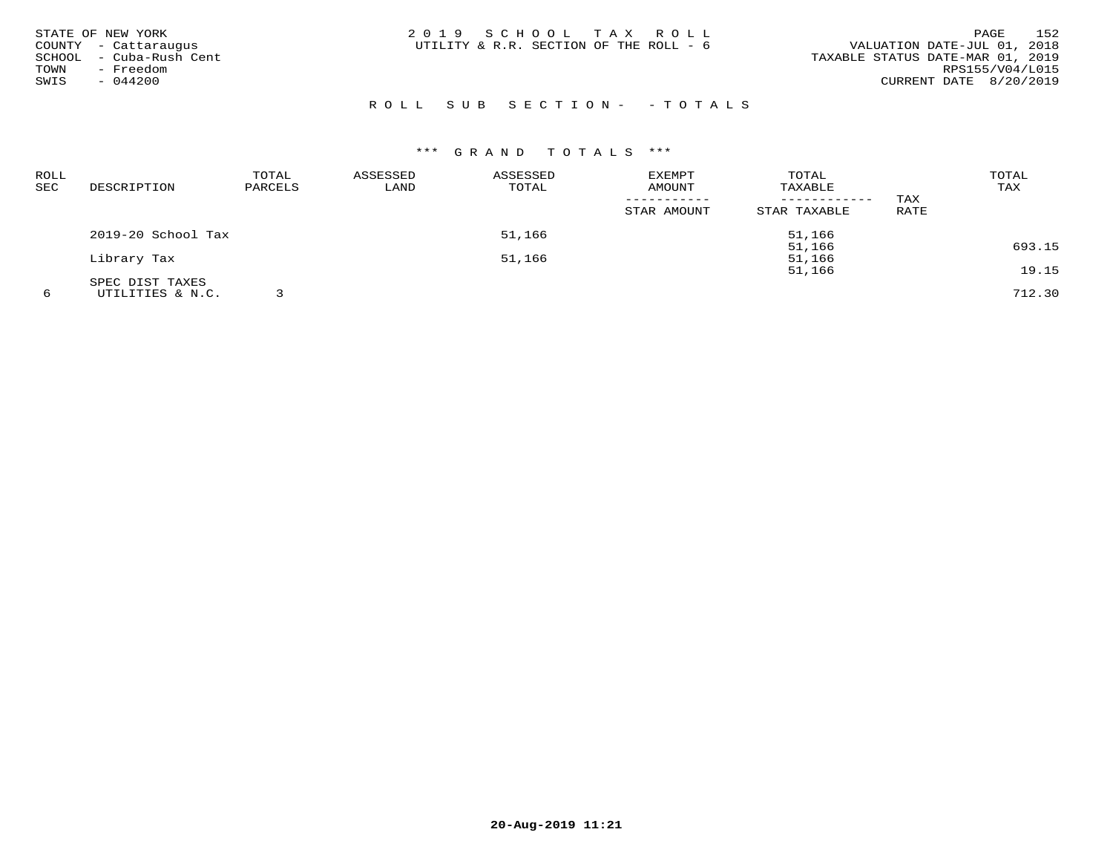| STATE OF NEW YORK<br>COUNTY - Cattaraugus<br>- Cuba-Rush Cent<br>SCHOOL<br>- Freedom<br>TOWN<br>$-044200$<br>SWIS | 2019 SCHOOL TAX ROLL<br>UTILITY & R.R. SECTION OF THE ROLL - 6 | 152<br>PAGE<br>VALUATION DATE-JUL 01, 2018<br>TAXABLE STATUS DATE-MAR 01, 2019<br>RPS155/V04/L015<br>CURRENT DATE 8/20/2019 |
|-------------------------------------------------------------------------------------------------------------------|----------------------------------------------------------------|-----------------------------------------------------------------------------------------------------------------------------|
|                                                                                                                   | ROLL SUB SECTION- - TOTALS                                     |                                                                                                                             |

| <b>ROLL</b><br><b>SEC</b> | DESCRIPTION        | TOTAL<br>PARCELS | ASSESSED<br>LAND | ASSESSED<br>TOTAL | <b>EXEMPT</b><br>AMOUNT<br>STAR AMOUNT | TOTAL<br>TAXABLE<br>------------<br>STAR TAXABLE | TAX<br>RATE | TOTAL<br>TAX |
|---------------------------|--------------------|------------------|------------------|-------------------|----------------------------------------|--------------------------------------------------|-------------|--------------|
|                           | 2019-20 School Tax |                  |                  | 51,166            |                                        | 51,166                                           |             |              |
|                           |                    |                  |                  |                   |                                        | 51,166                                           |             | 693.15       |
|                           | Library Tax        |                  |                  | 51,166            |                                        | 51,166<br>51,166                                 |             | 19.15        |
|                           | SPEC DIST TAXES    |                  |                  |                   |                                        |                                                  |             |              |
|                           | UTILITIES & N.C.   |                  |                  |                   |                                        |                                                  |             | 712.30       |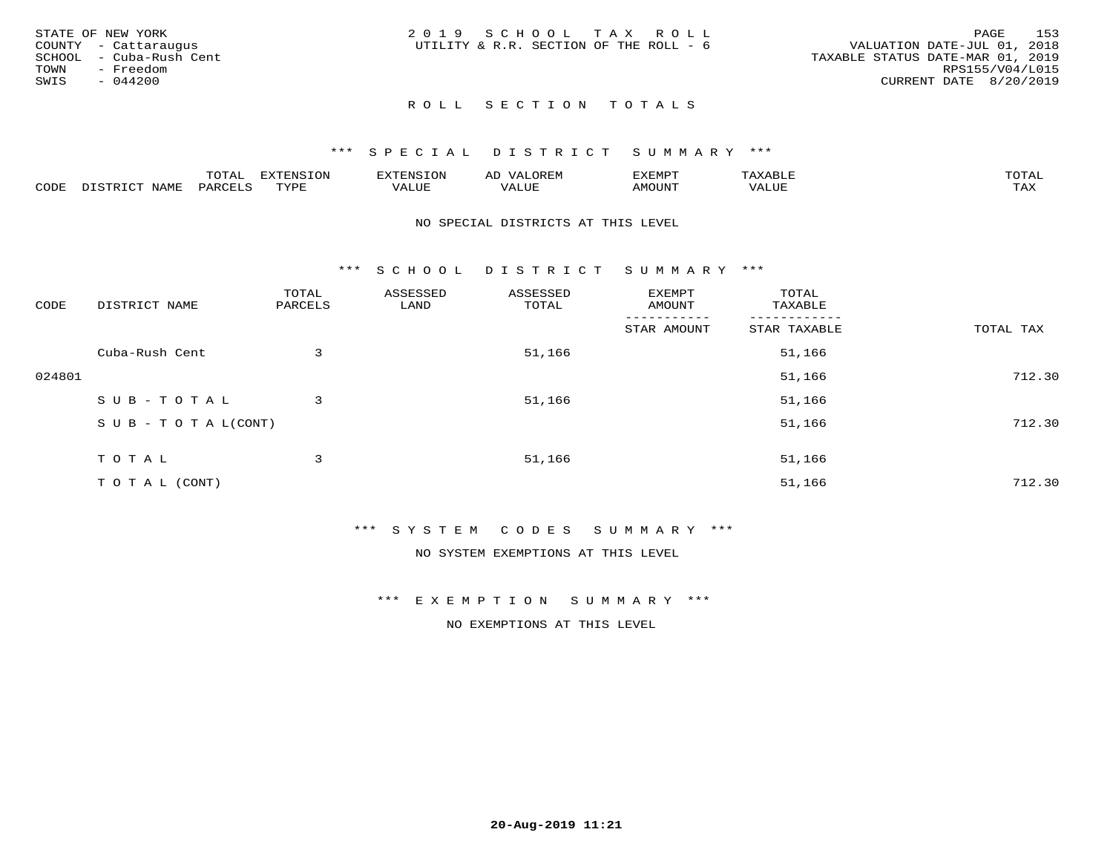| STATE OF NEW YORK<br>COUNTY - Cattaraugus<br>SCHOOL - Cuba-Rush Cent<br>TOWN<br>- Freedom<br>SWIS<br>$-044200$ | 2019 SCHOOL TAX ROLL<br>UTILITY & R.R. SECTION OF THE ROLL - 6 | 153<br>PAGE<br>VALUATION DATE-JUL 01, 2018<br>TAXABLE STATUS DATE-MAR 01, 2019<br>RPS155/V04/L015<br>CURRENT DATE 8/20/2019 |
|----------------------------------------------------------------------------------------------------------------|----------------------------------------------------------------|-----------------------------------------------------------------------------------------------------------------------------|
|                                                                                                                | ROLL SECTION TOTALS                                            |                                                                                                                             |

|      |                 | m∧m*<br>UIAL | EXTENSION        | 'ENST∩N         | ΑIJ<br>JR LI <sup>V</sup> | ፈXEMP" | $\Delta$<br>. .                | TOTAL |
|------|-----------------|--------------|------------------|-----------------|---------------------------|--------|--------------------------------|-------|
| CODE | $- - -$<br>NAMI | PARCEL       | mynne<br>- - - - | T T T<br>تلاللت | , , , , , , ,<br>ALUE     | MOUN.  | , 77 T TT <del>D</del><br>-u r | TAX   |

### NO SPECIAL DISTRICTS AT THIS LEVEL

\*\*\* S C H O O L D I S T R I C T S U M M A R Y \*\*\*

| CODE   | DISTRICT NAME                    | TOTAL<br>PARCELS | ASSESSED<br>LAND | ASSESSED<br>TOTAL | EXEMPT<br>AMOUNT | TOTAL<br>TAXABLE         |           |
|--------|----------------------------------|------------------|------------------|-------------------|------------------|--------------------------|-----------|
|        |                                  |                  |                  |                   | STAR AMOUNT      | --------<br>STAR TAXABLE | TOTAL TAX |
|        | Cuba-Rush Cent                   | 3                |                  | 51,166            |                  | 51,166                   |           |
| 024801 |                                  |                  |                  |                   |                  | 51,166                   | 712.30    |
|        | SUB-TOTAL                        | 3                |                  | 51,166            |                  | 51,166                   |           |
|        | $S \cup B - T \cup T A L (CONT)$ |                  |                  |                   |                  | 51,166                   | 712.30    |
|        | TOTAL                            | 3                |                  | 51,166            |                  | 51,166                   |           |
|        | T O T A L (CONT)                 |                  |                  |                   |                  | 51,166                   | 712.30    |

# \*\*\* S Y S T E M C O D E S S U M M A R Y \*\*\*

NO SYSTEM EXEMPTIONS AT THIS LEVEL

\*\*\* E X E M P T I O N S U M M A R Y \*\*\*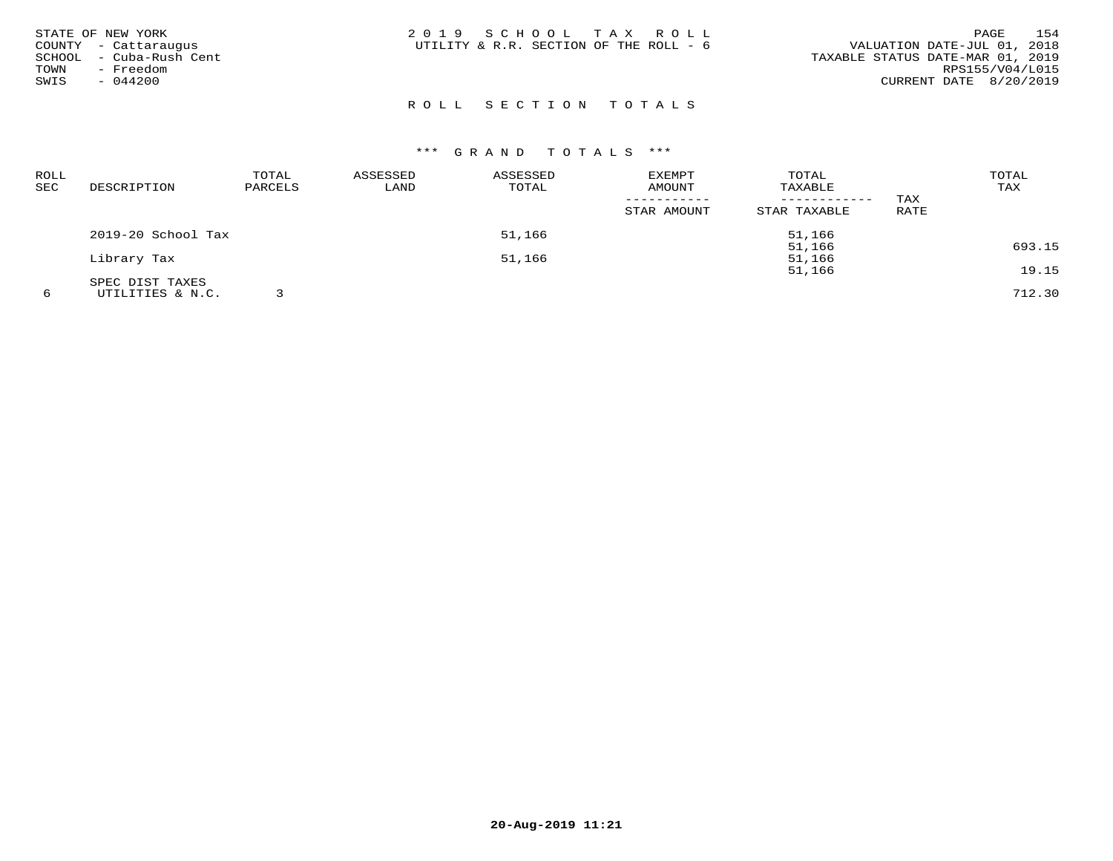| STATE OF NEW YORK<br>COUNTY - Cattaraugus<br>SCHOOL - Cuba-Rush Cent<br>TOWN<br>- Freedom<br>SWIS<br>$-044200$ | 2019 SCHOOL TAX ROLL<br>UTILITY & R.R. SECTION OF THE ROLL - 6 | 154<br>PAGE<br>VALUATION DATE-JUL 01, 2018<br>TAXABLE STATUS DATE-MAR 01, 2019<br>RPS155/V04/L015<br>CURRENT DATE 8/20/2019 |
|----------------------------------------------------------------------------------------------------------------|----------------------------------------------------------------|-----------------------------------------------------------------------------------------------------------------------------|
|                                                                                                                | ROLL SECTION TOTALS                                            |                                                                                                                             |

| <b>ROLL</b> |                    | TOTAL   | ASSESSED | ASSESSED | <b>EXEMPT</b> | TOTAL        |             | TOTAL  |
|-------------|--------------------|---------|----------|----------|---------------|--------------|-------------|--------|
| SEC         | DESCRIPTION        | PARCELS | LAND     | TOTAL    | AMOUNT        | TAXABLE      |             | TAX    |
|             |                    |         |          |          |               |              | TAX         |        |
|             |                    |         |          |          | STAR AMOUNT   | STAR TAXABLE | <b>RATE</b> |        |
|             | 2019-20 School Tax |         |          | 51,166   |               | 51,166       |             |        |
|             |                    |         |          |          |               | 51,166       |             | 693.15 |
|             | Library Tax        |         |          | 51,166   |               | 51,166       |             |        |
|             |                    |         |          |          |               | 51,166       |             | 19.15  |
|             | SPEC DIST TAXES    |         |          |          |               |              |             |        |
|             | UTILITIES & N.C.   |         |          |          |               |              |             | 712.30 |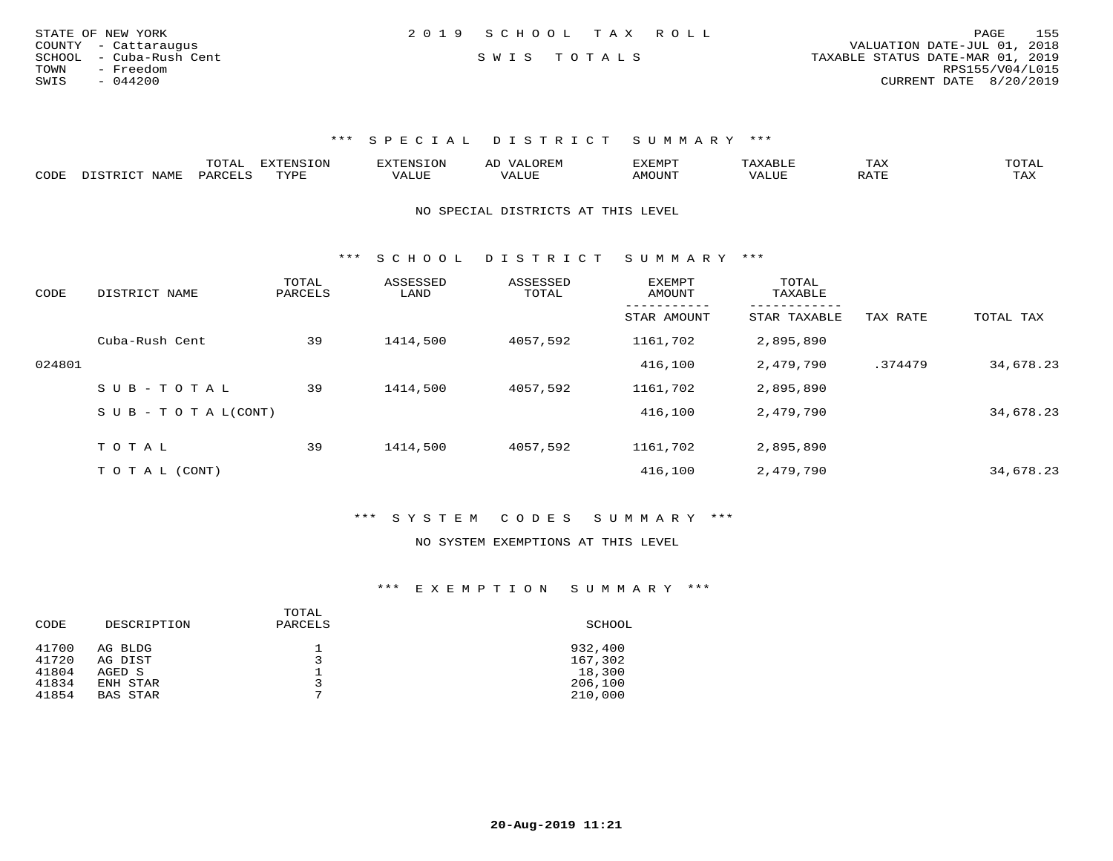| STATE OF NEW YORK       | 2019 SCHOOL TAX ROLL |  | 155<br>PAGE                      |
|-------------------------|----------------------|--|----------------------------------|
| COUNTY - Cattaraugus    |                      |  | VALUATION DATE-JUL 01, 2018      |
| SCHOOL - Cuba-Rush Cent | SWIS TOTALS          |  | TAXABLE STATUS DATE-MAR 01, 2019 |
| TOWN<br>- Freedom       |                      |  | RPS155/V04/L015                  |
| SWIS<br>- 044200        |                      |  | CURRENT DATE 8/20/2019           |
|                         |                      |  |                                  |

|      | ----<br>. U 1 1 1 1 | mmATATAT<br><b>A</b> | ▵ | <b>EMP</b> | t Land               | _____ |
|------|---------------------|----------------------|---|------------|----------------------|-------|
| CODE |                     | $n \tau \tau n \tau$ |   | MOTIN.     | $\sim$ $\sim$ $\sim$ |       |

NO SPECIAL DISTRICTS AT THIS LEVEL

\*\*\* S C H O O L D I S T R I C T S U M M A R Y \*\*\*

| CODE   | DISTRICT NAME              | TOTAL<br>PARCELS | ASSESSED<br>LAND | ASSESSED<br>TOTAL | EXEMPT<br>AMOUNT | TOTAL<br>TAXABLE          |          |           |
|--------|----------------------------|------------------|------------------|-------------------|------------------|---------------------------|----------|-----------|
|        |                            |                  |                  |                   | STAR AMOUNT      | ---------<br>STAR TAXABLE | TAX RATE | TOTAL TAX |
|        | Cuba-Rush Cent             | 39               | 1414,500         | 4057,592          | 1161,702         | 2,895,890                 |          |           |
| 024801 |                            |                  |                  |                   | 416,100          | 2,479,790                 | .374479  | 34,678.23 |
|        | SUB-TOTAL                  | 39               | 1414,500         | 4057,592          | 1161,702         | 2,895,890                 |          |           |
|        | S U B - T O T A $L$ (CONT) |                  |                  |                   | 416,100          | 2,479,790                 |          | 34,678.23 |
|        | T O T A L                  | 39               | 1414,500         | 4057,592          | 1161,702         | 2,895,890                 |          |           |
|        |                            |                  |                  |                   |                  |                           |          |           |
|        | T O T A L (CONT)           |                  |                  |                   | 416,100          | 2,479,790                 |          | 34,678.23 |

\*\*\* S Y S T E M C O D E S S U M M A R Y \*\*\*

### NO SYSTEM EXEMPTIONS AT THIS LEVEL

\*\*\* E X E M P T I O N S U M M A R Y \*\*\*

| CODE  | DESCRIPTION | TOTAL<br>PARCELS | SCHOOL  |
|-------|-------------|------------------|---------|
| 41700 | AG BLDG     | ᅩ                | 932,400 |
| 41720 | AG DIST     |                  | 167,302 |
| 41804 | AGED S      | ᅩ                | 18,300  |
| 41834 | ENH STAR    | 3                | 206,100 |
| 41854 | BAS STAR    | 7                | 210,000 |
|       |             |                  |         |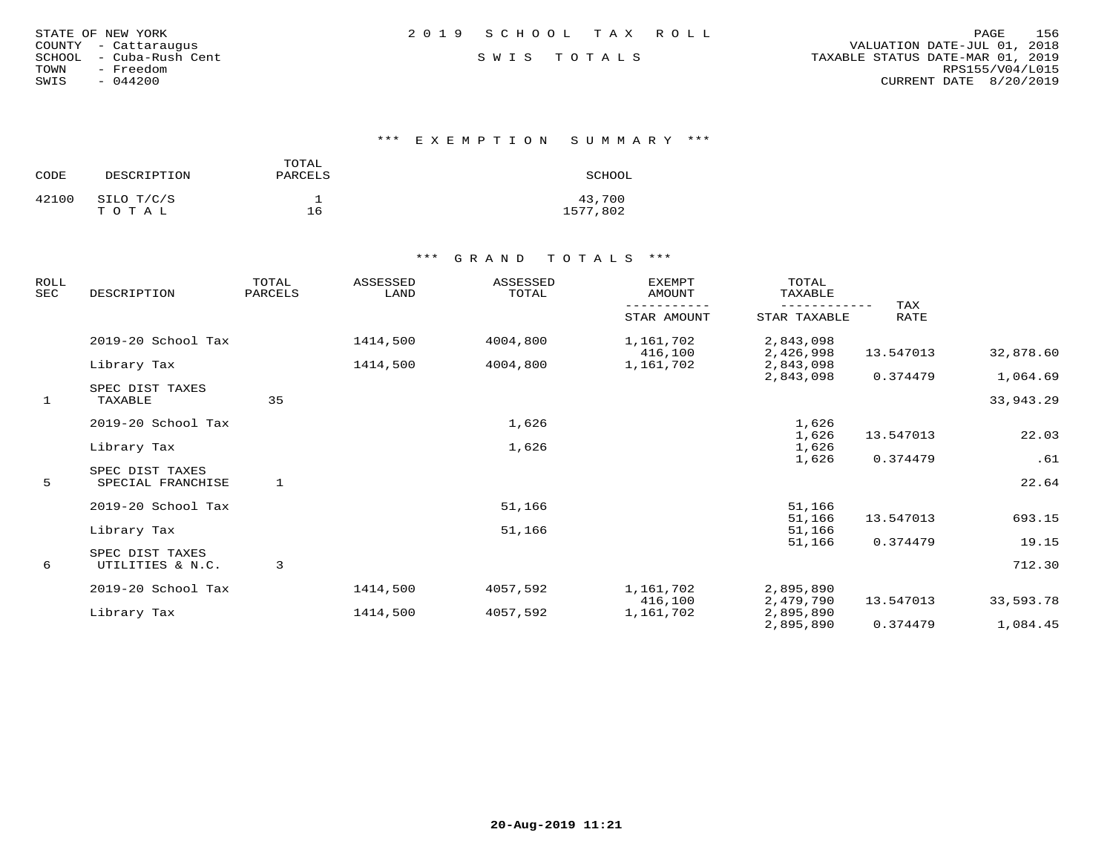| STATE OF NEW YORK |                  |  |
|-------------------|------------------|--|
| COUNTY            | - Cattaraugus    |  |
| SCHOOL            | - Cuba-Rush Cent |  |
| TOWN              | - Freedom        |  |
| SWIS              | $-044200$        |  |

\*\*\* E X E M P T I O N S U M M A R Y \*\*\*

| CODE  | DESCRIPTION | TOTAL<br>PARCELS | SCHOOL   |
|-------|-------------|------------------|----------|
| 42100 | SILO T/C/S  |                  | 43,700   |
|       | TOTAL       | 16               | 1577,802 |

| <b>ROLL</b><br>SEC | DESCRIPTION                         | TOTAL<br>PARCELS | ASSESSED<br>LAND | ASSESSED<br>TOTAL | <b>EXEMPT</b><br>AMOUNT | TOTAL<br><b>TAXABLE</b> |             |           |
|--------------------|-------------------------------------|------------------|------------------|-------------------|-------------------------|-------------------------|-------------|-----------|
|                    |                                     |                  |                  |                   | STAR AMOUNT             | STAR TAXABLE            | TAX<br>RATE |           |
|                    | 2019-20 School Tax                  |                  | 1414,500         | 4004,800          | 1,161,702<br>416,100    | 2,843,098<br>2,426,998  | 13.547013   | 32,878.60 |
|                    | Library Tax                         |                  | 1414,500         | 4004,800          | 1,161,702               | 2,843,098               |             |           |
|                    | SPEC DIST TAXES                     |                  |                  |                   |                         | 2,843,098               | 0.374479    | 1,064.69  |
| $\mathbf{1}$       | TAXABLE                             | 35               |                  |                   |                         |                         |             | 33,943.29 |
|                    | 2019-20 School Tax                  |                  |                  | 1,626             |                         | 1,626                   |             |           |
|                    |                                     |                  |                  |                   |                         | 1,626                   | 13.547013   | 22.03     |
|                    | Library Tax                         |                  |                  | 1,626             |                         | 1,626<br>1,626          | 0.374479    | .61       |
|                    | SPEC DIST TAXES                     |                  |                  |                   |                         |                         |             |           |
| 5 <sup>5</sup>     | SPECIAL FRANCHISE                   | 1                |                  |                   |                         |                         |             | 22.64     |
|                    | 2019-20 School Tax                  |                  |                  | 51,166            |                         | 51,166                  |             |           |
|                    |                                     |                  |                  |                   |                         | 51,166                  | 13.547013   | 693.15    |
|                    | Library Tax                         |                  |                  | 51,166            |                         | 51,166                  |             |           |
|                    |                                     |                  |                  |                   |                         | 51,166                  | 0.374479    | 19.15     |
| 6                  | SPEC DIST TAXES<br>UTILITIES & N.C. | 3                |                  |                   |                         |                         |             | 712.30    |
|                    | 2019-20 School Tax                  |                  | 1414,500         | 4057,592          | 1,161,702               | 2,895,890               |             |           |
|                    |                                     |                  |                  |                   | 416,100                 | 2,479,790               | 13.547013   | 33,593.78 |
|                    | Library Tax                         |                  | 1414,500         | 4057,592          | 1,161,702               | 2,895,890               |             |           |
|                    |                                     |                  |                  |                   |                         | 2,895,890               | 0.374479    | 1,084.45  |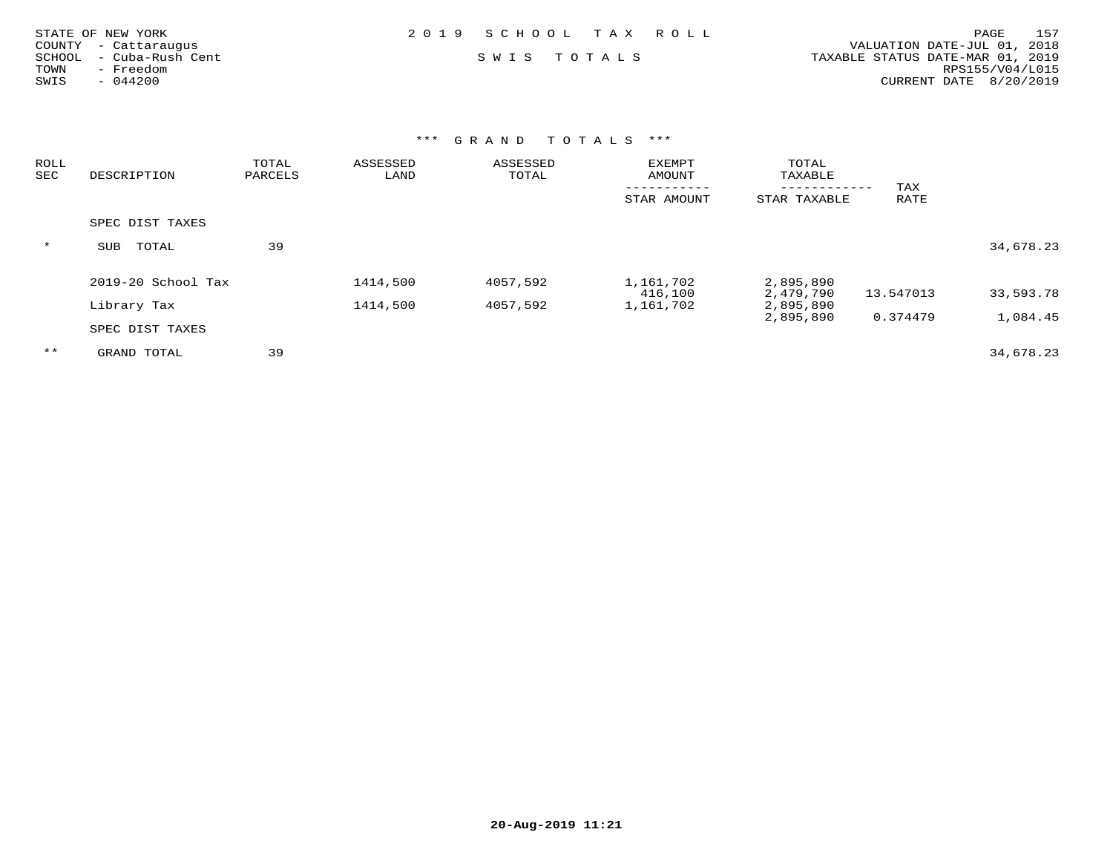| STATE OF NEW YORK          | 2019 SCHOOL TAX ROLL | 157<br>PAGE                      |
|----------------------------|----------------------|----------------------------------|
| COUNTY - Cattaraugus       |                      | VALUATION DATE-JUL 01, 2018      |
| - Cuba-Rush Cent<br>SCHOOL | SWIS TOTALS          | TAXABLE STATUS DATE-MAR 01, 2019 |
| Freedom<br>TOWN            |                      | RPS155/V04/L015                  |
| SWIS<br>$-044200$          |                      | CURRENT DATE 8/20/2019           |
|                            |                      |                                  |

| ROLL<br>SEC | DESCRIPTION          | TOTAL<br>PARCELS | ASSESSED<br>LAND | ASSESSED<br>TOTAL | <b>EXEMPT</b><br>AMOUNT | TOTAL<br>TAXABLE             |             |           |
|-------------|----------------------|------------------|------------------|-------------------|-------------------------|------------------------------|-------------|-----------|
|             |                      |                  |                  |                   | STAR AMOUNT             | ------------<br>STAR TAXABLE | TAX<br>RATE |           |
|             |                      |                  |                  |                   |                         |                              |             |           |
|             | SPEC DIST TAXES      |                  |                  |                   |                         |                              |             |           |
| $\star$     | TOTAL<br><b>SUB</b>  | 39               |                  |                   |                         |                              |             | 34,678.23 |
|             |                      |                  |                  |                   |                         |                              |             |           |
|             | $2019-20$ School Tax |                  | 1414,500         | 4057,592          | 1,161,702               | 2,895,890                    |             |           |
|             |                      |                  |                  |                   | 416,100                 | 2,479,790                    | 13.547013   | 33,593.78 |
|             | Library Tax          |                  | 1414,500         | 4057,592          | 1,161,702               | 2,895,890<br>2,895,890       | 0.374479    | 1,084.45  |
|             | SPEC DIST TAXES      |                  |                  |                   |                         |                              |             |           |
| $***$       | GRAND TOTAL          | 39               |                  |                   |                         |                              |             | 34,678.23 |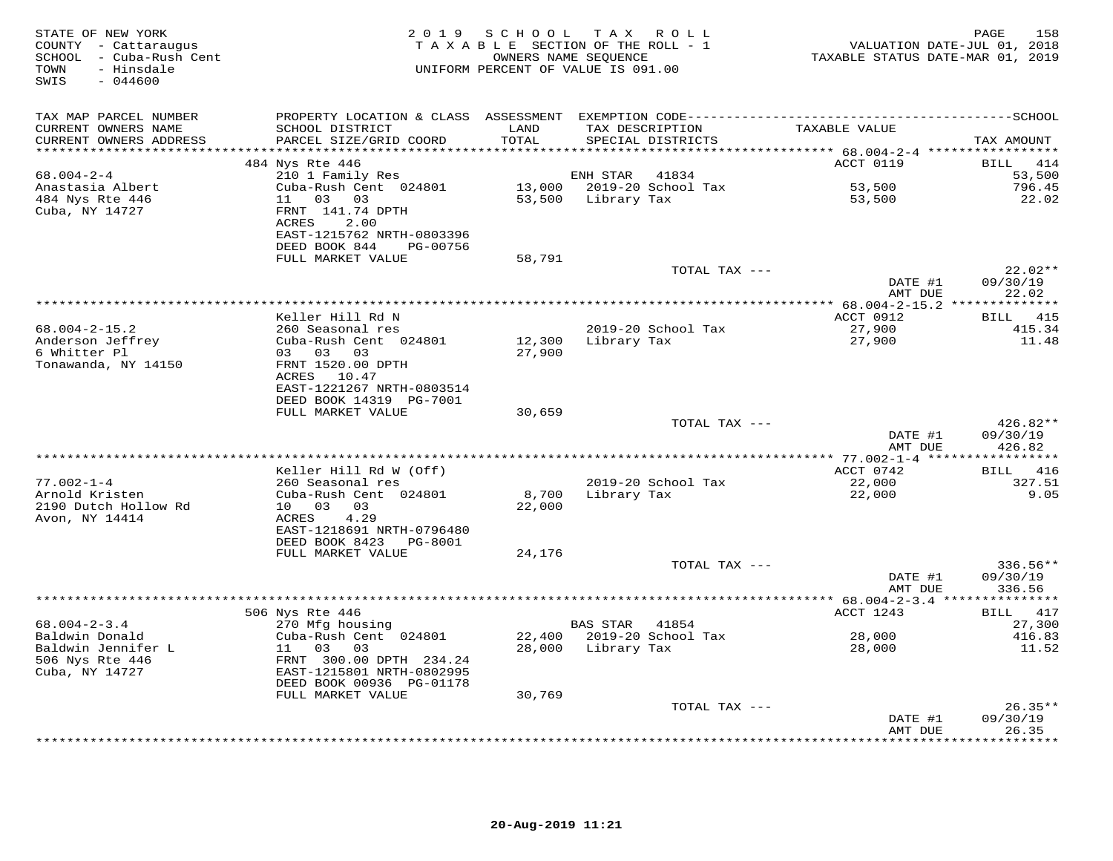| STATE OF NEW YORK<br>COUNTY - Cattaraugus<br>SCHOOL - Cuba-Rush Cent<br>- Hinsdale<br>TOWN<br>SWIS<br>$-044600$ |                                                                                             | 2019 SCHOOL      | T A X<br>R O L L<br>TAXABLE SECTION OF THE ROLL - 1<br>OWNERS NAME SEQUENCE<br>UNIFORM PERCENT OF VALUE IS 091.00 | VALUATION DATE-JUL 01, 2018<br>TAXABLE STATUS DATE-MAR 01, 2019 | 158<br>PAGE                              |
|-----------------------------------------------------------------------------------------------------------------|---------------------------------------------------------------------------------------------|------------------|-------------------------------------------------------------------------------------------------------------------|-----------------------------------------------------------------|------------------------------------------|
| TAX MAP PARCEL NUMBER<br>CURRENT OWNERS NAME<br>CURRENT OWNERS ADDRESS                                          | SCHOOL DISTRICT<br>PARCEL SIZE/GRID COORD                                                   | LAND<br>TOTAL    | TAX DESCRIPTION<br>SPECIAL DISTRICTS                                                                              | TAXABLE VALUE                                                   | TAX AMOUNT                               |
| **********************                                                                                          | ***************************                                                                 |                  |                                                                                                                   |                                                                 |                                          |
| $68.004 - 2 - 4$<br>Anastasia Albert<br>484 Nys Rte 446                                                         | 484 Nys Rte 446<br>210 1 Family Res<br>Cuba-Rush Cent 024801<br>11<br>03 03                 | 53,500           | ENH STAR<br>41834<br>13,000 2019-20 School Tax<br>Library Tax                                                     | ACCT 0119<br>53,500<br>53,500                                   | BILL<br>414<br>53,500<br>796.45<br>22.02 |
| Cuba, NY 14727                                                                                                  | FRNT 141.74 DPTH<br>ACRES<br>2.00<br>EAST-1215762 NRTH-0803396<br>DEED BOOK 844<br>PG-00756 |                  |                                                                                                                   |                                                                 |                                          |
|                                                                                                                 | FULL MARKET VALUE                                                                           | 58,791           |                                                                                                                   |                                                                 |                                          |
|                                                                                                                 |                                                                                             |                  | TOTAL TAX ---                                                                                                     | DATE #1<br>AMT DUE                                              | $22.02**$<br>09/30/19<br>22.02           |
|                                                                                                                 |                                                                                             |                  |                                                                                                                   | *********** 68.004-2-15.2 ***************                       |                                          |
|                                                                                                                 | Keller Hill Rd N                                                                            |                  |                                                                                                                   | ACCT 0912                                                       | BILL<br>415                              |
| $68.004 - 2 - 15.2$                                                                                             | 260 Seasonal res                                                                            |                  | 2019-20 School Tax                                                                                                | 27,900                                                          | 415.34                                   |
| Anderson Jeffrey<br>6 Whitter Pl                                                                                | Cuba-Rush Cent 024801<br>03 03 03                                                           | 12,300<br>27,900 | Library Tax                                                                                                       | 27,900                                                          | 11.48                                    |
| Tonawanda, NY 14150                                                                                             | FRNT 1520.00 DPTH<br>ACRES 10.47                                                            |                  |                                                                                                                   |                                                                 |                                          |
|                                                                                                                 | EAST-1221267 NRTH-0803514<br>DEED BOOK 14319 PG-7001<br>FULL MARKET VALUE                   | 30,659           |                                                                                                                   |                                                                 |                                          |
|                                                                                                                 |                                                                                             |                  | TOTAL TAX ---                                                                                                     |                                                                 | 426.82**                                 |
|                                                                                                                 |                                                                                             |                  |                                                                                                                   | DATE #1<br>AMT DUE                                              | 09/30/19<br>426.82                       |
|                                                                                                                 | Keller Hill Rd W (Off)                                                                      |                  |                                                                                                                   | ***** 77.002-1-4 ***<br>ACCT 0742                               | *********<br>BILL<br>416                 |
| $77.002 - 1 - 4$                                                                                                | 260 Seasonal res                                                                            |                  | 2019-20 School Tax                                                                                                | 22,000                                                          | 327.51                                   |
| Arnold Kristen<br>2190 Dutch Hollow Rd                                                                          | Cuba-Rush Cent 024801<br>10 03<br>03                                                        | 8,700<br>22,000  | Library Tax                                                                                                       | 22,000                                                          | 9.05                                     |
| Avon, NY 14414                                                                                                  | 4.29<br>ACRES<br>EAST-1218691 NRTH-0796480                                                  |                  |                                                                                                                   |                                                                 |                                          |
|                                                                                                                 | DEED BOOK 8423<br>PG-8001<br>FULL MARKET VALUE                                              | 24,176           |                                                                                                                   |                                                                 |                                          |
|                                                                                                                 |                                                                                             |                  | TOTAL TAX ---                                                                                                     | DATE #1<br>AMT DUE                                              | $336.56**$<br>09/30/19<br>336.56         |
|                                                                                                                 |                                                                                             |                  |                                                                                                                   |                                                                 |                                          |
|                                                                                                                 | 506 Nys Rte 446                                                                             |                  |                                                                                                                   | ACCT 1243                                                       | BILL 417                                 |
| $68.004 - 2 - 3.4$<br>Baldwin Donald                                                                            | 270 Mfg housing<br>Cuba-Rush Cent 024801                                                    |                  | BAS STAR 41854<br>22,400 2019-20 School Tax                                                                       | 28,000                                                          | 27,300<br>416.83                         |
| Baldwin Jennifer L                                                                                              | 11 03<br>03                                                                                 | 28,000           | Library Tax                                                                                                       | 28,000                                                          | 11.52                                    |
| 506 Nys Rte 446<br>Cuba, NY 14727                                                                               | FRNT 300.00 DPTH 234.24<br>EAST-1215801 NRTH-0802995                                        |                  |                                                                                                                   |                                                                 |                                          |
|                                                                                                                 | DEED BOOK 00936 PG-01178                                                                    |                  |                                                                                                                   |                                                                 |                                          |
|                                                                                                                 | FULL MARKET VALUE                                                                           | 30,769           | TOTAL TAX ---                                                                                                     |                                                                 | $26.35**$                                |
|                                                                                                                 |                                                                                             |                  |                                                                                                                   | DATE #1<br>AMT DUE                                              | 09/30/19<br>26.35                        |
|                                                                                                                 |                                                                                             |                  | ************************************                                                                              | * * * * * * * *                                                 | .                                        |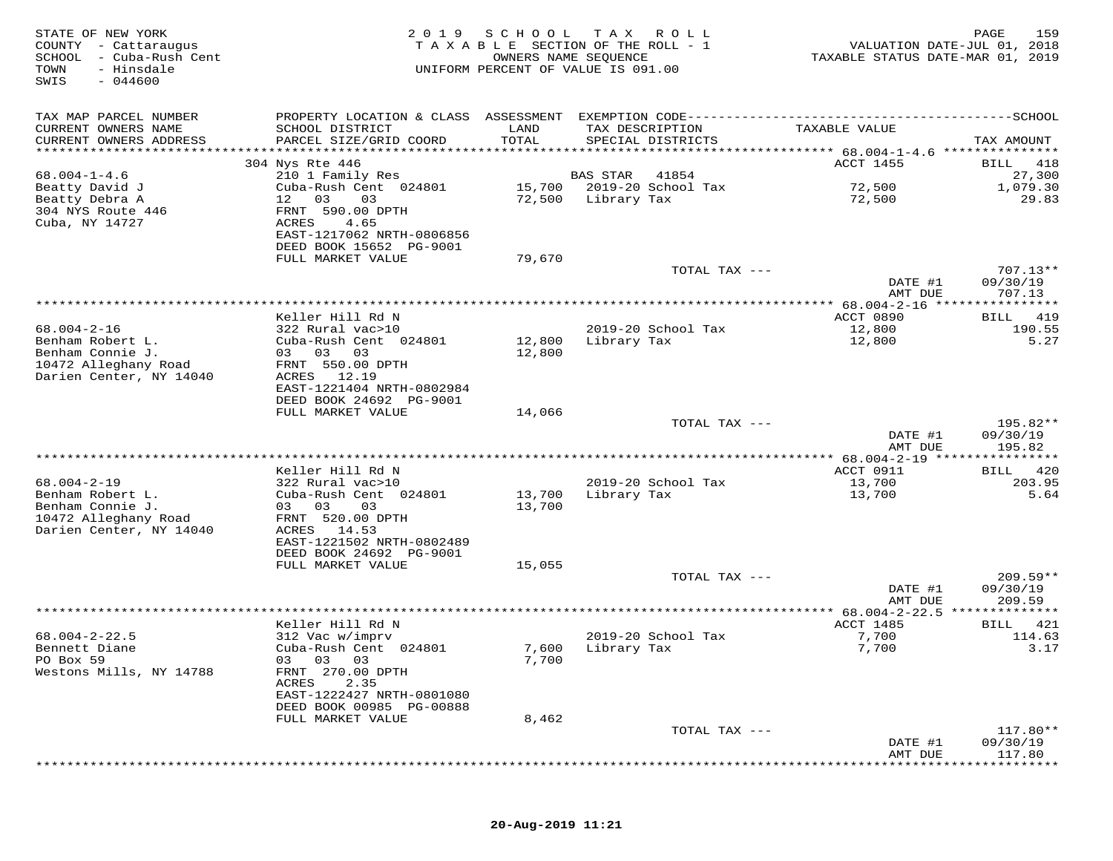| STATE OF NEW YORK<br>COUNTY - Cattaraugus<br>SCHOOL<br>- Cuba-Rush Cent<br>TOWN<br>- Hinsdale<br>$-044600$<br>SWIS | 2 0 1 9                                              | SCHOOL<br>OWNERS NAME SEQUENCE | T A X<br>R O L L<br>TAXABLE SECTION OF THE ROLL - 1<br>UNIFORM PERCENT OF VALUE IS 091.00 | VALUATION DATE-JUL 01, 2018<br>TAXABLE STATUS DATE-MAR 01, 2019 | PAGE<br>159                 |
|--------------------------------------------------------------------------------------------------------------------|------------------------------------------------------|--------------------------------|-------------------------------------------------------------------------------------------|-----------------------------------------------------------------|-----------------------------|
| TAX MAP PARCEL NUMBER                                                                                              |                                                      |                                |                                                                                           |                                                                 |                             |
| CURRENT OWNERS NAME                                                                                                | SCHOOL DISTRICT                                      | LAND                           | TAX DESCRIPTION                                                                           | TAXABLE VALUE                                                   |                             |
| CURRENT OWNERS ADDRESS<br>**********************                                                                   | PARCEL SIZE/GRID COORD                               | TOTAL                          | SPECIAL DISTRICTS                                                                         |                                                                 | TAX AMOUNT                  |
|                                                                                                                    | 304 Nys Rte 446                                      |                                |                                                                                           | <b>ACCT 1455</b>                                                | 418<br><b>BILL</b>          |
| $68.004 - 1 - 4.6$                                                                                                 | 210 1 Family Res                                     |                                | <b>BAS STAR</b><br>41854                                                                  |                                                                 | 27,300                      |
| Beatty David J                                                                                                     | Cuba-Rush Cent 024801                                | 15,700                         | 2019-20 School Tax                                                                        | 72,500                                                          | 1,079.30                    |
| Beatty Debra A                                                                                                     | 12<br>03<br>03                                       | 72,500                         | Library Tax                                                                               | 72,500                                                          | 29.83                       |
| 304 NYS Route 446<br>Cuba, NY 14727                                                                                | FRNT 590.00 DPTH<br>ACRES<br>4.65                    |                                |                                                                                           |                                                                 |                             |
|                                                                                                                    | EAST-1217062 NRTH-0806856                            |                                |                                                                                           |                                                                 |                             |
|                                                                                                                    | DEED BOOK 15652 PG-9001                              |                                |                                                                                           |                                                                 |                             |
|                                                                                                                    | FULL MARKET VALUE                                    | 79,670                         |                                                                                           |                                                                 |                             |
|                                                                                                                    |                                                      |                                | TOTAL TAX ---                                                                             |                                                                 | $707.13**$<br>09/30/19      |
|                                                                                                                    |                                                      |                                |                                                                                           | DATE #1<br>AMT DUE                                              | 707.13                      |
|                                                                                                                    |                                                      |                                |                                                                                           | *** 68.004-2-16 ***:                                            | ********                    |
|                                                                                                                    | Keller Hill Rd N                                     |                                |                                                                                           | ACCT 0890                                                       | 419<br><b>BILL</b>          |
| $68.004 - 2 - 16$<br>Benham Robert L.                                                                              | 322 Rural vac>10<br>Cuba-Rush Cent 024801            |                                | 2019-20 School Tax                                                                        | 12,800                                                          | 190.55                      |
| Benham Connie J.                                                                                                   | 03 03<br>03                                          | 12,800<br>12,800               | Library Tax                                                                               | 12,800                                                          | 5.27                        |
| 10472 Alleghany Road                                                                                               | FRNT 550.00 DPTH                                     |                                |                                                                                           |                                                                 |                             |
| Darien Center, NY 14040                                                                                            | 12.19<br>ACRES                                       |                                |                                                                                           |                                                                 |                             |
|                                                                                                                    | EAST-1221404 NRTH-0802984<br>DEED BOOK 24692 PG-9001 |                                |                                                                                           |                                                                 |                             |
|                                                                                                                    | FULL MARKET VALUE                                    | 14,066                         |                                                                                           |                                                                 |                             |
|                                                                                                                    |                                                      |                                | TOTAL TAX ---                                                                             |                                                                 | 195.82**                    |
|                                                                                                                    |                                                      |                                |                                                                                           | DATE #1                                                         | 09/30/19                    |
|                                                                                                                    |                                                      |                                |                                                                                           | AMT DUE<br>**** 68.004-2-19 ****                                | 195.82<br>* * * * * * * * * |
|                                                                                                                    | Keller Hill Rd N                                     |                                |                                                                                           | ACCT 0911                                                       | 420<br>BILL                 |
| $68.004 - 2 - 19$                                                                                                  | 322 Rural vac>10                                     |                                | 2019-20 School Tax                                                                        | 13,700                                                          | 203.95                      |
| Benham Robert L.                                                                                                   | Cuba-Rush Cent 024801                                | 13,700                         | Library Tax                                                                               | 13,700                                                          | 5.64                        |
| Benham Connie J.<br>10472 Alleghany Road                                                                           | 03 03<br>03<br>FRNT 520.00 DPTH                      | 13,700                         |                                                                                           |                                                                 |                             |
| Darien Center, NY 14040                                                                                            | ACRES 14.53                                          |                                |                                                                                           |                                                                 |                             |
|                                                                                                                    | EAST-1221502 NRTH-0802489                            |                                |                                                                                           |                                                                 |                             |
|                                                                                                                    | DEED BOOK 24692 PG-9001                              |                                |                                                                                           |                                                                 |                             |
|                                                                                                                    | FULL MARKET VALUE                                    | 15,055                         | TOTAL TAX ---                                                                             |                                                                 | $209.59**$                  |
|                                                                                                                    |                                                      |                                |                                                                                           | DATE #1                                                         | 09/30/19                    |
|                                                                                                                    |                                                      |                                |                                                                                           | AMT DUE                                                         | 209.59                      |
|                                                                                                                    |                                                      |                                |                                                                                           | *** $68.004 - 2 - 22.5$                                         |                             |
| $68.004 - 2 - 22.5$                                                                                                | Keller Hill Rd N<br>312 Vac w/imprv                  |                                | 2019-20 School Tax                                                                        | ACCT 1485<br>7,700                                              | 421<br>BILL<br>114.63       |
| Bennett Diane                                                                                                      | Cuba-Rush Cent 024801                                | 7,600                          | Library Tax                                                                               | 7,700                                                           | 3.17                        |
| PO Box 59                                                                                                          | 03 03 03                                             | 7,700                          |                                                                                           |                                                                 |                             |
| Westons Mills, NY 14788                                                                                            | FRNT 270.00 DPTH                                     |                                |                                                                                           |                                                                 |                             |
|                                                                                                                    | ACRES<br>2.35<br>EAST-1222427 NRTH-0801080           |                                |                                                                                           |                                                                 |                             |
|                                                                                                                    | DEED BOOK 00985 PG-00888                             |                                |                                                                                           |                                                                 |                             |
|                                                                                                                    | FULL MARKET VALUE                                    | 8,462                          |                                                                                           |                                                                 |                             |
|                                                                                                                    |                                                      |                                | TOTAL TAX ---                                                                             |                                                                 | 117.80**                    |
|                                                                                                                    |                                                      |                                |                                                                                           | DATE #1<br>AMT DUE                                              | 09/30/19<br>117.80          |
|                                                                                                                    |                                                      |                                |                                                                                           |                                                                 |                             |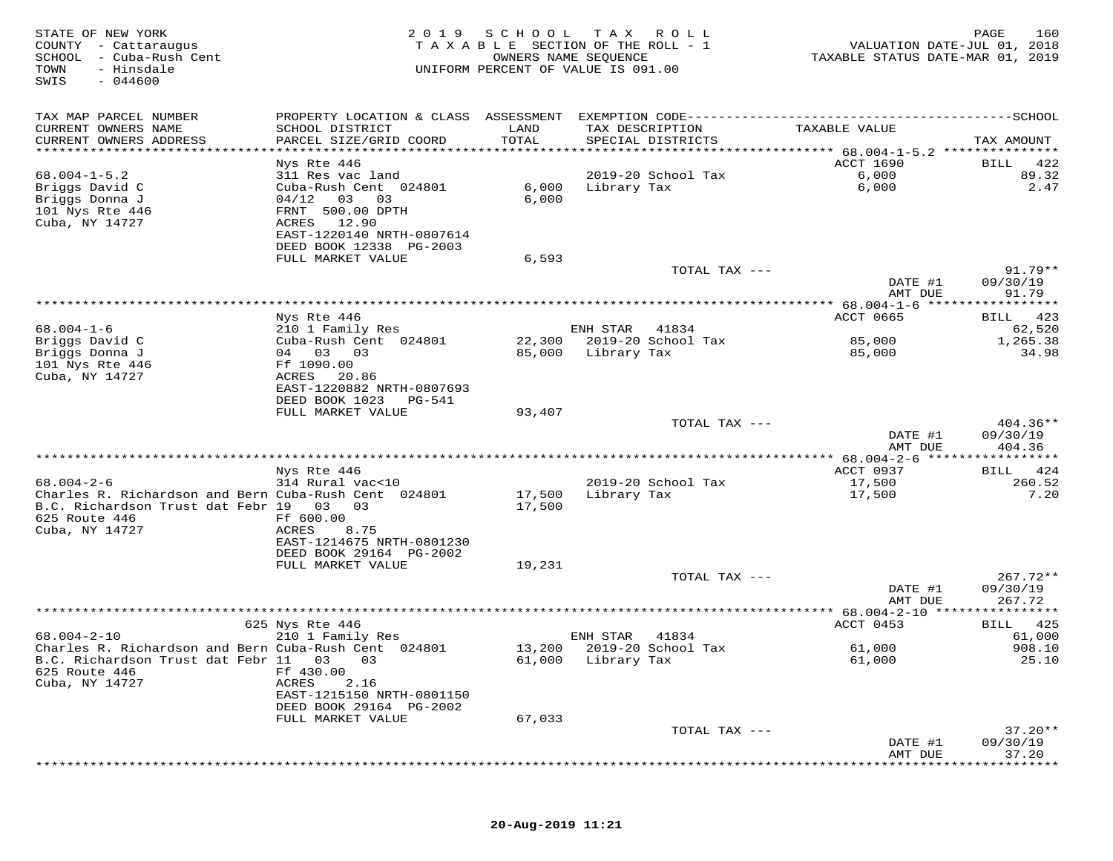| STATE OF NEW YORK<br>COUNTY - Cattaraugus<br>SCHOOL - Cuba-Rush Cent<br>TOWN<br>- Hinsdale<br>SWIS<br>$-044600$ | 2 0 1 9                                      | SCHOOL<br>T A X A B L E SECTION OF THE ROLL - 1<br>OWNERS NAME SEQUENCE<br>UNIFORM PERCENT OF VALUE IS 091.00 | T A X              | R O L L                              | VALUATION DATE-JUL 01, 2018<br>TAXABLE STATUS DATE-MAR 01, 2019 | PAGE<br>160            |
|-----------------------------------------------------------------------------------------------------------------|----------------------------------------------|---------------------------------------------------------------------------------------------------------------|--------------------|--------------------------------------|-----------------------------------------------------------------|------------------------|
| TAX MAP PARCEL NUMBER                                                                                           | PROPERTY LOCATION & CLASS ASSESSMENT         |                                                                                                               |                    |                                      |                                                                 | $------SCHOOL$         |
| CURRENT OWNERS NAME<br>CURRENT OWNERS ADDRESS<br>**********************                                         | SCHOOL DISTRICT<br>PARCEL SIZE/GRID COORD    | LAND<br>TOTAL                                                                                                 |                    | TAX DESCRIPTION<br>SPECIAL DISTRICTS | TAXABLE VALUE                                                   | TAX AMOUNT             |
|                                                                                                                 | Nys Rte 446                                  |                                                                                                               |                    |                                      | <b>ACCT 1690</b>                                                | 422<br>BILL            |
| $68.004 - 1 - 5.2$                                                                                              | 311 Res vac land                             |                                                                                                               |                    | 2019-20 School Tax                   | 6,000                                                           | 89.32                  |
| Briggs David C                                                                                                  | Cuba-Rush Cent 024801                        | 6,000                                                                                                         | Library Tax        |                                      | 6,000                                                           | 2.47                   |
| Briggs Donna J                                                                                                  | 04/12<br>03<br>03                            | 6,000                                                                                                         |                    |                                      |                                                                 |                        |
| 101 Nys Rte 446                                                                                                 | FRNT 500.00 DPTH                             |                                                                                                               |                    |                                      |                                                                 |                        |
| Cuba, NY 14727                                                                                                  | ACRES<br>12.90<br>EAST-1220140 NRTH-0807614  |                                                                                                               |                    |                                      |                                                                 |                        |
|                                                                                                                 | DEED BOOK 12338 PG-2003                      |                                                                                                               |                    |                                      |                                                                 |                        |
|                                                                                                                 | FULL MARKET VALUE                            | 6,593                                                                                                         |                    |                                      |                                                                 |                        |
|                                                                                                                 |                                              |                                                                                                               |                    | TOTAL TAX ---                        |                                                                 | $91.79**$              |
|                                                                                                                 |                                              |                                                                                                               |                    |                                      | DATE #1                                                         | 09/30/19               |
|                                                                                                                 |                                              |                                                                                                               |                    |                                      | AMT DUE                                                         | 91.79                  |
|                                                                                                                 | Nys Rte 446                                  |                                                                                                               |                    |                                      | ACCT 0665                                                       | 423<br>BILL            |
| $68.004 - 1 - 6$                                                                                                | 210 1 Family Res                             |                                                                                                               | ENH STAR           | 41834                                |                                                                 | 62,520                 |
| Briggs David C                                                                                                  | Cuba-Rush Cent 024801                        | 22,300                                                                                                        |                    | 2019-20 School Tax                   | 85,000                                                          | 1,265.38               |
| Briggs Donna J<br>101 Nys Rte 446                                                                               | 04 03 03<br>Ff 1090.00                       | 85,000                                                                                                        | Library Tax        |                                      | 85,000                                                          | 34.98                  |
| Cuba, NY 14727                                                                                                  | ACRES<br>20.86                               |                                                                                                               |                    |                                      |                                                                 |                        |
|                                                                                                                 | EAST-1220882 NRTH-0807693                    |                                                                                                               |                    |                                      |                                                                 |                        |
|                                                                                                                 | DEED BOOK 1023<br>PG-541                     |                                                                                                               |                    |                                      |                                                                 |                        |
|                                                                                                                 | FULL MARKET VALUE                            | 93,407                                                                                                        |                    |                                      |                                                                 |                        |
|                                                                                                                 |                                              |                                                                                                               |                    | TOTAL TAX ---                        | DATE #1                                                         | $404.36**$<br>09/30/19 |
|                                                                                                                 |                                              |                                                                                                               |                    |                                      | AMT DUE                                                         | 404.36                 |
|                                                                                                                 |                                              |                                                                                                               |                    |                                      | ************ 68.004-2-6 ******                                  |                        |
|                                                                                                                 | Nys Rte 446                                  |                                                                                                               |                    |                                      | ACCT 0937                                                       | 424<br>BILL            |
| $68.004 - 2 - 6$<br>Charles R. Richardson and Bern Cuba-Rush Cent 024801                                        | 314 Rural vac<10                             | 17,500                                                                                                        | Library Tax        | 2019-20 School Tax                   | 17,500<br>17,500                                                | 260.52<br>7.20         |
| B.C. Richardson Trust dat Febr 19 03                                                                            | 03                                           | 17,500                                                                                                        |                    |                                      |                                                                 |                        |
| 625 Route 446                                                                                                   | Ff 600.00                                    |                                                                                                               |                    |                                      |                                                                 |                        |
| Cuba, NY 14727                                                                                                  | ACRES<br>8.75                                |                                                                                                               |                    |                                      |                                                                 |                        |
|                                                                                                                 | EAST-1214675 NRTH-0801230                    |                                                                                                               |                    |                                      |                                                                 |                        |
|                                                                                                                 | DEED BOOK 29164 PG-2002<br>FULL MARKET VALUE | 19,231                                                                                                        |                    |                                      |                                                                 |                        |
|                                                                                                                 |                                              |                                                                                                               |                    | TOTAL TAX ---                        |                                                                 | $267.72**$             |
|                                                                                                                 |                                              |                                                                                                               |                    |                                      | DATE #1                                                         | 09/30/19               |
|                                                                                                                 |                                              |                                                                                                               |                    |                                      | AMT DUE                                                         | 267.72                 |
|                                                                                                                 |                                              |                                                                                                               |                    |                                      | **** $68.004 - 2 - 10$ ******<br>ACCT 0453                      | * * * * * * * * *      |
| $68.004 - 2 - 10$                                                                                               | 625 Nys Rte 446<br>210 1 Family Res          |                                                                                                               | ENH STAR           | 41834                                |                                                                 | 425<br>BILL<br>61,000  |
| Charles R. Richardson and Bern Cuba-Rush Cent 024801                                                            |                                              | 13,200                                                                                                        |                    | 2019-20 School Tax                   | 61,000                                                          | 908.10                 |
| B.C. Richardson Trust dat Febr 11                                                                               | 03<br>03                                     |                                                                                                               | 61,000 Library Tax |                                      | 61,000                                                          | 25.10                  |
| 625 Route 446                                                                                                   | Ff 430.00                                    |                                                                                                               |                    |                                      |                                                                 |                        |
| Cuba, NY 14727                                                                                                  | 2.16<br>ACRES<br>EAST-1215150 NRTH-0801150   |                                                                                                               |                    |                                      |                                                                 |                        |
|                                                                                                                 | DEED BOOK 29164 PG-2002                      |                                                                                                               |                    |                                      |                                                                 |                        |
|                                                                                                                 | FULL MARKET VALUE                            | 67,033                                                                                                        |                    |                                      |                                                                 |                        |
|                                                                                                                 |                                              |                                                                                                               |                    | TOTAL TAX ---                        |                                                                 | $37.20**$              |
|                                                                                                                 |                                              |                                                                                                               |                    |                                      | DATE #1                                                         | 09/30/19               |
|                                                                                                                 |                                              |                                                                                                               |                    |                                      | AMT DUE                                                         | 37.20                  |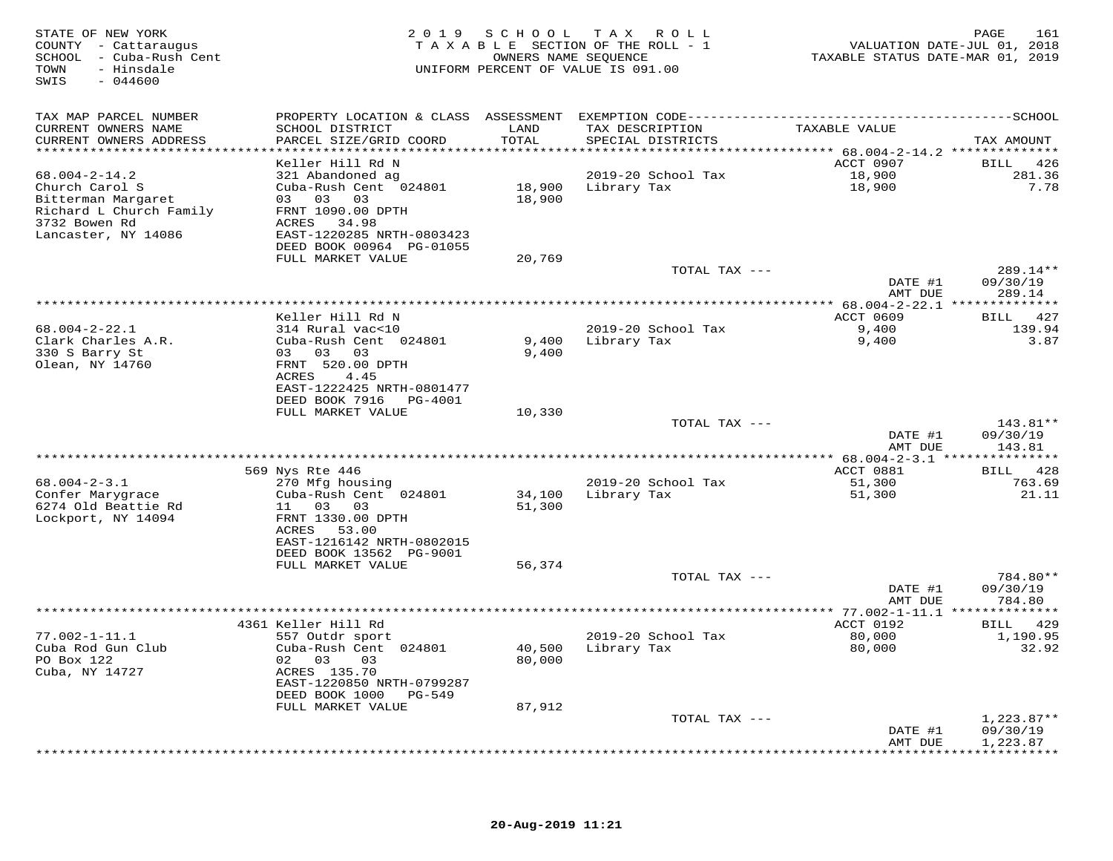| STATE OF NEW YORK<br>COUNTY - Cattaraugus<br>SCHOOL - Cuba-Rush Cent<br>- Hinsdale<br>TOWN<br>$-044600$<br>SWIS |                                           |               | 2019 SCHOOL TAX ROLL<br>TAXABLE SECTION OF THE ROLL - 1<br>OWNERS NAME SEQUENCE<br>UNIFORM PERCENT OF VALUE IS 091.00 | TAXABLE STATUS DATE-MAR 01, 2019 | PAGE<br>161<br>VALUATION DATE-JUL 01, 2018 |
|-----------------------------------------------------------------------------------------------------------------|-------------------------------------------|---------------|-----------------------------------------------------------------------------------------------------------------------|----------------------------------|--------------------------------------------|
| TAX MAP PARCEL NUMBER                                                                                           |                                           |               |                                                                                                                       |                                  |                                            |
| CURRENT OWNERS NAME<br>CURRENT OWNERS ADDRESS                                                                   | SCHOOL DISTRICT<br>PARCEL SIZE/GRID COORD | LAND<br>TOTAL | TAX DESCRIPTION<br>SPECIAL DISTRICTS                                                                                  | TAXABLE VALUE                    | TAX AMOUNT                                 |
| ************************                                                                                        |                                           |               |                                                                                                                       |                                  |                                            |
| $68.004 - 2 - 14.2$                                                                                             | Keller Hill Rd N<br>321 Abandoned ag      |               | 2019-20 School Tax                                                                                                    | ACCT 0907<br>18,900              | BILL 426<br>281.36                         |
| Church Carol S                                                                                                  | Cuba-Rush Cent 024801                     |               | 18,900 Library Tax                                                                                                    | 18,900                           | 7.78                                       |
| Bitterman Margaret                                                                                              | 03 03 03                                  | 18,900        |                                                                                                                       |                                  |                                            |
| Richard L Church Family                                                                                         | FRNT 1090.00 DPTH                         |               |                                                                                                                       |                                  |                                            |
| 3732 Bowen Rd                                                                                                   | ACRES 34.98                               |               |                                                                                                                       |                                  |                                            |
| Lancaster, NY 14086                                                                                             | EAST-1220285 NRTH-0803423                 |               |                                                                                                                       |                                  |                                            |
|                                                                                                                 | DEED BOOK 00964 PG-01055                  |               |                                                                                                                       |                                  |                                            |
|                                                                                                                 | FULL MARKET VALUE                         | 20,769        |                                                                                                                       |                                  |                                            |
|                                                                                                                 |                                           |               | TOTAL TAX ---                                                                                                         |                                  | 289.14**                                   |
|                                                                                                                 |                                           |               |                                                                                                                       | DATE #1                          | 09/30/19                                   |
|                                                                                                                 |                                           |               |                                                                                                                       | AMT DUE                          | 289.14                                     |
|                                                                                                                 |                                           |               |                                                                                                                       |                                  |                                            |
| $68.004 - 2 - 22.1$                                                                                             | Keller Hill Rd N<br>314 Rural vac<10      |               |                                                                                                                       | ACCT 0609                        | BILL 427<br>139.94                         |
| Clark Charles A.R.                                                                                              | Cuba-Rush Cent 024801                     | 9,400         | 2019-20 School Tax<br>Library Tax                                                                                     | 9,400<br>9,400                   | 3.87                                       |
| 330 S Barry St                                                                                                  | 03 03 03                                  | 9,400         |                                                                                                                       |                                  |                                            |
| Olean, NY 14760                                                                                                 | FRNT 520.00 DPTH                          |               |                                                                                                                       |                                  |                                            |
|                                                                                                                 | ACRES<br>4.45                             |               |                                                                                                                       |                                  |                                            |
|                                                                                                                 | EAST-1222425 NRTH-0801477                 |               |                                                                                                                       |                                  |                                            |
|                                                                                                                 | DEED BOOK 7916    PG-4001                 |               |                                                                                                                       |                                  |                                            |
|                                                                                                                 | FULL MARKET VALUE                         | 10,330        |                                                                                                                       |                                  |                                            |
|                                                                                                                 |                                           |               | TOTAL TAX ---                                                                                                         |                                  | $143.81**$                                 |
|                                                                                                                 |                                           |               |                                                                                                                       | DATE #1                          | 09/30/19                                   |
|                                                                                                                 |                                           |               |                                                                                                                       | AMT DUE                          | 143.81                                     |
|                                                                                                                 | 569 Nys Rte 446                           |               |                                                                                                                       | ACCT 0881                        | BILL 428                                   |
| $68.004 - 2 - 3.1$                                                                                              | 270 Mfg housing                           |               | 2019-20 School Tax                                                                                                    | 51,300                           | 763.69                                     |
| Confer Marygrace                                                                                                | Cuba-Rush Cent 024801                     | 34,100        | Library Tax                                                                                                           | 51,300                           | 21.11                                      |
| 6274 Old Beattie Rd                                                                                             | 11 03 03                                  | 51,300        |                                                                                                                       |                                  |                                            |
| Lockport, NY 14094                                                                                              | FRNT 1330.00 DPTH                         |               |                                                                                                                       |                                  |                                            |
|                                                                                                                 | ACRES 53.00                               |               |                                                                                                                       |                                  |                                            |
|                                                                                                                 | EAST-1216142 NRTH-0802015                 |               |                                                                                                                       |                                  |                                            |
|                                                                                                                 | DEED BOOK 13562 PG-9001                   |               |                                                                                                                       |                                  |                                            |
|                                                                                                                 | FULL MARKET VALUE                         | 56,374        |                                                                                                                       |                                  |                                            |
|                                                                                                                 |                                           |               | TOTAL TAX ---                                                                                                         |                                  | 784.80**                                   |
|                                                                                                                 |                                           |               |                                                                                                                       | DATE #1                          | 09/30/19                                   |
|                                                                                                                 |                                           |               |                                                                                                                       | AMT DUE                          | 784.80                                     |
|                                                                                                                 | 4361 Keller Hill Rd                       |               |                                                                                                                       | ACCT 0192                        | BILL 429                                   |
| $77.002 - 1 - 11.1$                                                                                             | 557 Outdr sport                           |               | 2019-20 School Tax                                                                                                    | 80,000                           | 1,190.95                                   |
| Cuba Rod Gun Club                                                                                               | Cuba-Rush Cent 024801                     | 40,500        | Library Tax                                                                                                           | 80,000                           | 32.92                                      |
| PO Box 122                                                                                                      | 02 03<br>03                               | 80,000        |                                                                                                                       |                                  |                                            |
| Cuba, NY 14727                                                                                                  | ACRES 135.70                              |               |                                                                                                                       |                                  |                                            |
|                                                                                                                 | EAST-1220850 NRTH-0799287                 |               |                                                                                                                       |                                  |                                            |
|                                                                                                                 | DEED BOOK 1000 PG-549                     |               |                                                                                                                       |                                  |                                            |
|                                                                                                                 | FULL MARKET VALUE                         | 87,912        |                                                                                                                       |                                  |                                            |
|                                                                                                                 |                                           |               | TOTAL TAX ---                                                                                                         |                                  | $1,223.87**$                               |
|                                                                                                                 |                                           |               |                                                                                                                       | DATE #1                          | 09/30/19                                   |
|                                                                                                                 |                                           |               |                                                                                                                       | AMT DUE                          | 1,223.87                                   |
|                                                                                                                 |                                           |               |                                                                                                                       |                                  |                                            |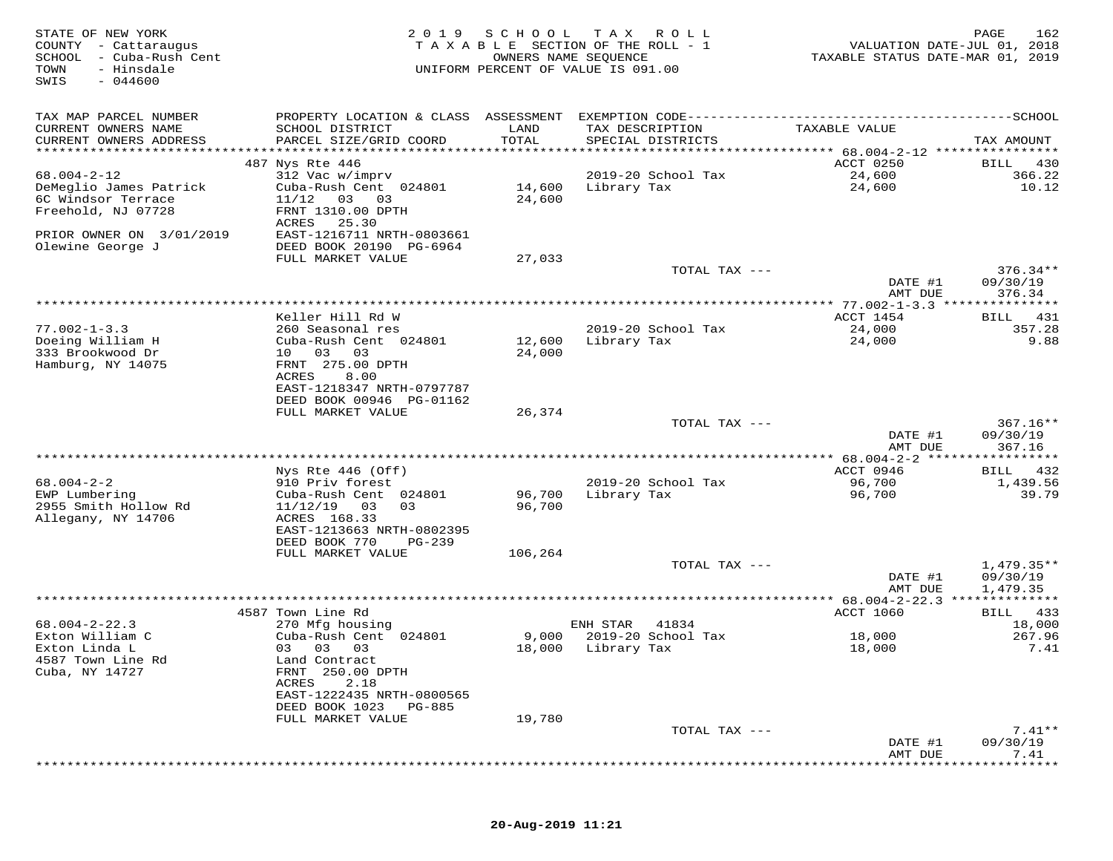| STATE OF NEW YORK<br>COUNTY - Cattaraugus<br>SCHOOL - Cuba-Rush Cent<br>TOWN<br>- Hinsdale<br>SWIS<br>$-044600$ |                                             | 2019 SCHOOL<br>OWNERS NAME SEQUENCE | T A X<br>R O L L<br>TAXABLE SECTION OF THE ROLL - 1<br>UNIFORM PERCENT OF VALUE IS 091.00 | VALUATION DATE-JUL 01, 2018<br>TAXABLE STATUS DATE-MAR 01, 2019 | PAGE<br>162            |
|-----------------------------------------------------------------------------------------------------------------|---------------------------------------------|-------------------------------------|-------------------------------------------------------------------------------------------|-----------------------------------------------------------------|------------------------|
| TAX MAP PARCEL NUMBER                                                                                           |                                             |                                     |                                                                                           |                                                                 |                        |
| CURRENT OWNERS NAME                                                                                             | SCHOOL DISTRICT                             | LAND                                | TAX DESCRIPTION                                                                           | TAXABLE VALUE                                                   |                        |
| CURRENT OWNERS ADDRESS                                                                                          | PARCEL SIZE/GRID COORD                      | TOTAL                               | SPECIAL DISTRICTS                                                                         |                                                                 | TAX AMOUNT             |
|                                                                                                                 | 487 Nys Rte 446                             |                                     |                                                                                           | ACCT 0250                                                       | BILL 430               |
| $68.004 - 2 - 12$                                                                                               | 312 Vac w/imprv                             |                                     | 2019-20 School Tax                                                                        | 24,600                                                          | 366.22                 |
| DeMeglio James Patrick                                                                                          | Cuba-Rush Cent 024801                       | 14,600                              | Library Tax                                                                               | 24,600                                                          | 10.12                  |
| 6C Windsor Terrace                                                                                              | 11/12<br>03 03                              | 24,600                              |                                                                                           |                                                                 |                        |
| Freehold, NJ 07728                                                                                              | FRNT 1310.00 DPTH                           |                                     |                                                                                           |                                                                 |                        |
| PRIOR OWNER ON 3/01/2019                                                                                        | 25.30<br>ACRES<br>EAST-1216711 NRTH-0803661 |                                     |                                                                                           |                                                                 |                        |
| Olewine George J                                                                                                | DEED BOOK 20190 PG-6964                     |                                     |                                                                                           |                                                                 |                        |
|                                                                                                                 | FULL MARKET VALUE                           | 27,033                              |                                                                                           |                                                                 |                        |
|                                                                                                                 |                                             |                                     | TOTAL TAX ---                                                                             |                                                                 | $376.34**$             |
|                                                                                                                 |                                             |                                     |                                                                                           | DATE #1<br>AMT DUE                                              | 09/30/19<br>376.34     |
|                                                                                                                 |                                             |                                     |                                                                                           |                                                                 |                        |
|                                                                                                                 | Keller Hill Rd W                            |                                     |                                                                                           | ACCT 1454                                                       | 431<br>BILL            |
| $77.002 - 1 - 3.3$                                                                                              | 260 Seasonal res                            |                                     | 2019-20 School Tax                                                                        | 24,000                                                          | 357.28                 |
| Doeing William H                                                                                                | Cuba-Rush Cent 024801                       | 12,600                              | Library Tax                                                                               | 24,000                                                          | 9.88                   |
| 333 Brookwood Dr<br>Hamburg, NY 14075                                                                           | 10 03 03<br>FRNT 275.00 DPTH                | 24,000                              |                                                                                           |                                                                 |                        |
|                                                                                                                 | 8.00<br>ACRES                               |                                     |                                                                                           |                                                                 |                        |
|                                                                                                                 | EAST-1218347 NRTH-0797787                   |                                     |                                                                                           |                                                                 |                        |
|                                                                                                                 | DEED BOOK 00946 PG-01162                    |                                     |                                                                                           |                                                                 |                        |
|                                                                                                                 | FULL MARKET VALUE                           | 26,374                              |                                                                                           |                                                                 |                        |
|                                                                                                                 |                                             |                                     | TOTAL TAX ---                                                                             | DATE #1                                                         | $367.16**$<br>09/30/19 |
|                                                                                                                 |                                             |                                     |                                                                                           | AMT DUE                                                         | 367.16                 |
|                                                                                                                 |                                             |                                     |                                                                                           | ************* 68.004-2-2 ******************                     |                        |
|                                                                                                                 | Nys Rte 446 (Off)                           |                                     |                                                                                           | ACCT 0946                                                       | 432<br>BILL            |
| $68.004 - 2 - 2$<br>EWP Lumbering                                                                               | 910 Priv forest<br>Cuba-Rush Cent 024801    | 96,700                              | 2019-20 School Tax<br>Library Tax                                                         | 96,700<br>96,700                                                | 1,439.56<br>39.79      |
| 2955 Smith Hollow Rd                                                                                            | $11/12/19$ 03<br>03                         | 96,700                              |                                                                                           |                                                                 |                        |
| Allegany, NY 14706                                                                                              | ACRES 168.33                                |                                     |                                                                                           |                                                                 |                        |
|                                                                                                                 | EAST-1213663 NRTH-0802395                   |                                     |                                                                                           |                                                                 |                        |
|                                                                                                                 | DEED BOOK 770<br>PG-239                     |                                     |                                                                                           |                                                                 |                        |
|                                                                                                                 | FULL MARKET VALUE                           | 106,264                             | TOTAL TAX ---                                                                             |                                                                 | $1,479.35**$           |
|                                                                                                                 |                                             |                                     |                                                                                           | DATE #1                                                         | 09/30/19               |
|                                                                                                                 |                                             |                                     |                                                                                           | AMT DUE                                                         | 1,479.35               |
|                                                                                                                 |                                             |                                     |                                                                                           |                                                                 |                        |
| $68.004 - 2 - 22.3$                                                                                             | 4587 Town Line Rd<br>270 Mfg housing        |                                     | ENH STAR<br>41834                                                                         | <b>ACCT 1060</b>                                                | BILL 433<br>18,000     |
| Exton William C                                                                                                 | Cuba-Rush Cent 024801                       | 9,000                               | 2019-20 School Tax                                                                        | 18,000                                                          | 267.96                 |
| Exton Linda L                                                                                                   | 03 03 03                                    | 18,000                              | Library Tax                                                                               | 18,000                                                          | 7.41                   |
| 4587 Town Line Rd                                                                                               | Land Contract                               |                                     |                                                                                           |                                                                 |                        |
| Cuba, NY 14727                                                                                                  | FRNT 250.00 DPTH                            |                                     |                                                                                           |                                                                 |                        |
|                                                                                                                 | 2.18<br>ACRES<br>EAST-1222435 NRTH-0800565  |                                     |                                                                                           |                                                                 |                        |
|                                                                                                                 | DEED BOOK 1023<br>PG-885                    |                                     |                                                                                           |                                                                 |                        |
|                                                                                                                 | FULL MARKET VALUE                           | 19,780                              |                                                                                           |                                                                 |                        |
|                                                                                                                 |                                             |                                     | TOTAL TAX ---                                                                             |                                                                 | $7.41**$               |
|                                                                                                                 |                                             |                                     |                                                                                           | DATE #1                                                         | 09/30/19               |
|                                                                                                                 |                                             |                                     |                                                                                           | AMT DUE                                                         | 7.41                   |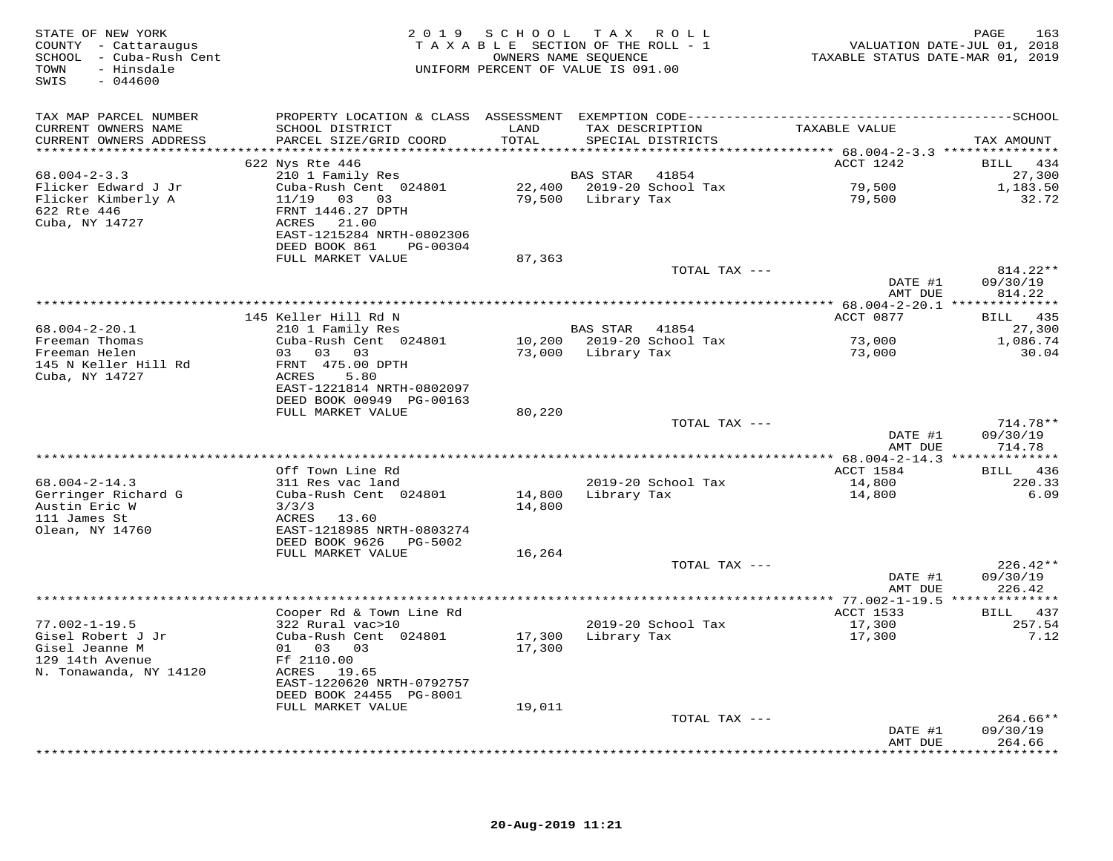| STATE OF NEW YORK<br>COUNTY - Cattaraugus<br>SCHOOL - Cuba-Rush Cent<br>- Hinsdale<br>TOWN<br>$-044600$<br>SWIS |                                             |               | 2019 SCHOOL TAX ROLL<br>TAXABLE SECTION OF THE ROLL - 1<br>OWNERS NAME SEQUENCE<br>UNIFORM PERCENT OF VALUE IS 091.00 | VALUATION DATE-JUL 01, 2018<br>TAXABLE STATUS DATE-MAR 01, 2019 | PAGE<br>163            |
|-----------------------------------------------------------------------------------------------------------------|---------------------------------------------|---------------|-----------------------------------------------------------------------------------------------------------------------|-----------------------------------------------------------------|------------------------|
| TAX MAP PARCEL NUMBER                                                                                           |                                             |               |                                                                                                                       |                                                                 |                        |
| CURRENT OWNERS NAME<br>CURRENT OWNERS ADDRESS                                                                   | SCHOOL DISTRICT<br>PARCEL SIZE/GRID COORD   | LAND<br>TOTAL | TAX DESCRIPTION<br>SPECIAL DISTRICTS                                                                                  | TAXABLE VALUE                                                   | TAX AMOUNT             |
|                                                                                                                 | 622 Nys Rte 446                             |               |                                                                                                                       | ACCT 1242                                                       | BILL 434               |
| $68.004 - 2 - 3.3$                                                                                              | 210 1 Family Res                            |               | BAS STAR<br>41854                                                                                                     |                                                                 | 27,300                 |
| Flicker Edward J Jr                                                                                             | Cuba-Rush Cent 024801                       |               | 22,400 2019-20 School Tax                                                                                             | 79,500                                                          | 1,183.50               |
| Flicker Kimberly A                                                                                              | 11/19  03  03                               |               | 79,500 Library Tax                                                                                                    | 79,500                                                          | 32.72                  |
| 622 Rte 446                                                                                                     | FRNT 1446.27 DPTH                           |               |                                                                                                                       |                                                                 |                        |
| Cuba, NY 14727                                                                                                  | ACRES<br>21.00<br>EAST-1215284 NRTH-0802306 |               |                                                                                                                       |                                                                 |                        |
|                                                                                                                 | DEED BOOK 861 PG-00304                      |               |                                                                                                                       |                                                                 |                        |
|                                                                                                                 | FULL MARKET VALUE                           | 87,363        |                                                                                                                       |                                                                 |                        |
|                                                                                                                 |                                             |               | TOTAL TAX ---                                                                                                         |                                                                 | 814.22**               |
|                                                                                                                 |                                             |               |                                                                                                                       | DATE #1                                                         | 09/30/19               |
|                                                                                                                 |                                             |               |                                                                                                                       | AMT DUE                                                         | 814.22                 |
|                                                                                                                 | 145 Keller Hill Rd N                        |               |                                                                                                                       | ACCT 0877                                                       | BILL 435               |
| $68.004 - 2 - 20.1$                                                                                             | 210 1 Family Res                            |               | BAS STAR 41854                                                                                                        |                                                                 | 27,300                 |
| Freeman Thomas                                                                                                  | Cuba-Rush Cent 024801                       |               | 10,200 2019-20 School Tax                                                                                             | 73,000                                                          | 1,086.74               |
| Freeman Helen                                                                                                   | 03 03 03                                    |               | 73,000 Library Tax                                                                                                    | 73,000                                                          | 30.04                  |
| 145 N Keller Hill Rd<br>Cuba, NY 14727                                                                          | FRNT 475.00 DPTH<br>ACRES<br>5.80           |               |                                                                                                                       |                                                                 |                        |
|                                                                                                                 | EAST-1221814 NRTH-0802097                   |               |                                                                                                                       |                                                                 |                        |
|                                                                                                                 | DEED BOOK 00949 PG-00163                    |               |                                                                                                                       |                                                                 |                        |
|                                                                                                                 | FULL MARKET VALUE                           | 80,220        |                                                                                                                       |                                                                 |                        |
|                                                                                                                 |                                             |               | TOTAL TAX ---                                                                                                         |                                                                 | $714.78**$             |
|                                                                                                                 |                                             |               |                                                                                                                       | DATE #1<br>AMT DUE                                              | 09/30/19<br>714.78     |
|                                                                                                                 |                                             |               |                                                                                                                       |                                                                 |                        |
|                                                                                                                 | Off Town Line Rd                            |               |                                                                                                                       | ACCT 1584                                                       | BILL 436               |
| $68.004 - 2 - 14.3$                                                                                             | 311 Res vac land                            |               | 2019-20 School Tax                                                                                                    | 14,800                                                          | 220.33                 |
| Gerringer Richard G                                                                                             | Cuba-Rush Cent 024801                       | 14,800        | Library Tax                                                                                                           | 14,800                                                          | 6.09                   |
| Austin Eric W<br>111 James St                                                                                   | 3/3/3<br>ACRES<br>13.60                     | 14,800        |                                                                                                                       |                                                                 |                        |
| Olean, NY 14760                                                                                                 | EAST-1218985 NRTH-0803274                   |               |                                                                                                                       |                                                                 |                        |
|                                                                                                                 | DEED BOOK 9626 PG-5002                      |               |                                                                                                                       |                                                                 |                        |
|                                                                                                                 | FULL MARKET VALUE                           | 16,264        |                                                                                                                       |                                                                 |                        |
|                                                                                                                 |                                             |               | TOTAL TAX ---                                                                                                         |                                                                 | $226.42**$             |
|                                                                                                                 |                                             |               |                                                                                                                       | DATE #1<br>AMT DUE                                              | 09/30/19<br>226.42     |
|                                                                                                                 |                                             |               |                                                                                                                       |                                                                 |                        |
|                                                                                                                 | Cooper Rd & Town Line Rd                    |               |                                                                                                                       | ACCT 1533                                                       | BILL 437               |
| $77.002 - 1 - 19.5$                                                                                             | 322 Rural vac>10                            |               | 2019-20 School Tax                                                                                                    | 17,300                                                          | 257.54                 |
| Gisel Robert J Jr                                                                                               | Cuba-Rush Cent 024801                       |               | 17,300 Library Tax                                                                                                    | 17,300                                                          | 7.12                   |
| Gisel Jeanne M<br>129 14th Avenue                                                                               | 01 03 03<br>Ff 2110.00                      | 17,300        |                                                                                                                       |                                                                 |                        |
| N. Tonawanda, NY 14120                                                                                          | ACRES 19.65                                 |               |                                                                                                                       |                                                                 |                        |
|                                                                                                                 | EAST-1220620 NRTH-0792757                   |               |                                                                                                                       |                                                                 |                        |
|                                                                                                                 | DEED BOOK 24455 PG-8001                     |               |                                                                                                                       |                                                                 |                        |
|                                                                                                                 | FULL MARKET VALUE                           | 19,011        |                                                                                                                       |                                                                 |                        |
|                                                                                                                 |                                             |               | TOTAL TAX ---                                                                                                         | DATE #1                                                         | $264.66**$<br>09/30/19 |
|                                                                                                                 |                                             |               |                                                                                                                       | AMT DUE                                                         | 264.66                 |
|                                                                                                                 |                                             |               |                                                                                                                       |                                                                 |                        |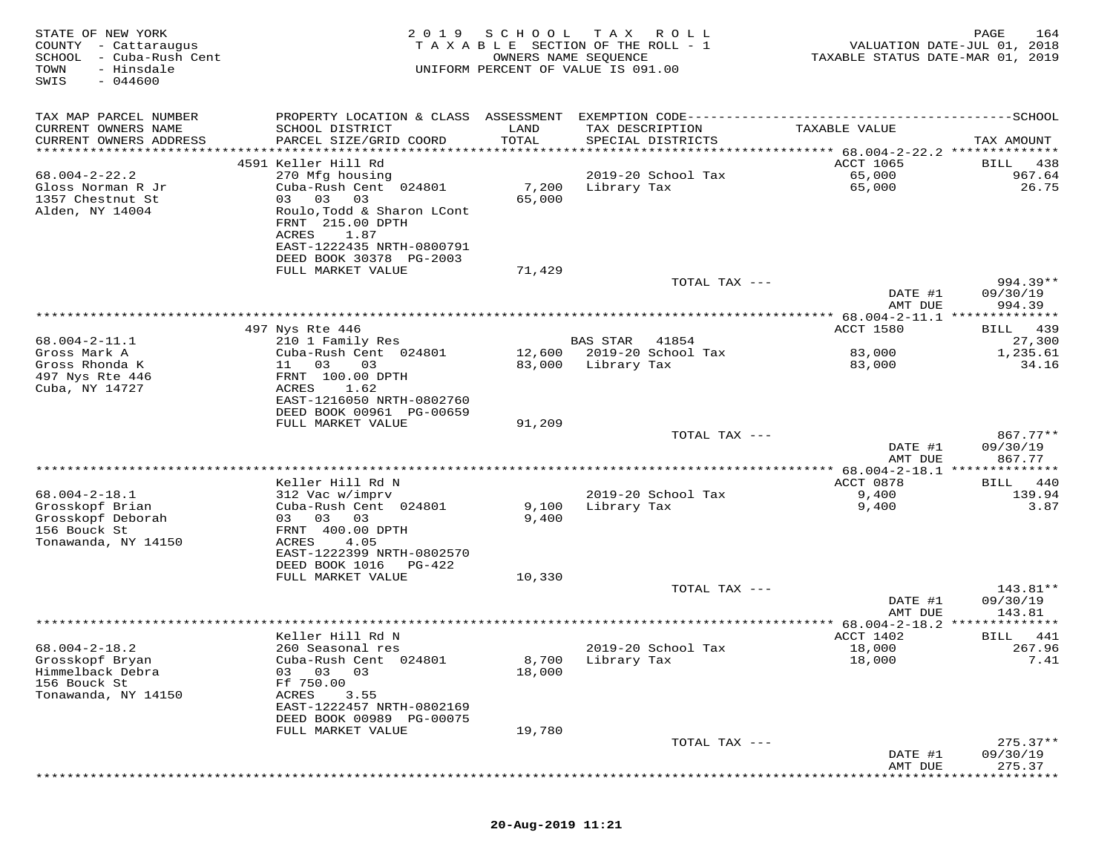| STATE OF NEW YORK<br>COUNTY<br>- Cattaraugus<br>SCHOOL<br>- Cuba-Rush Cent<br>TOWN<br>- Hinsdale<br>$-044600$<br>SWIS | 2 0 1 9                                                                                                                                                 | SCHOOL          | T A X<br>R O L L<br>TAXABLE SECTION OF THE ROLL - 1<br>OWNERS NAME SEQUENCE<br>UNIFORM PERCENT OF VALUE IS 091.00 | TAXABLE STATUS DATE-MAR 01, 2019            | 164<br>PAGE<br>VALUATION DATE-JUL 01, 2018 |
|-----------------------------------------------------------------------------------------------------------------------|---------------------------------------------------------------------------------------------------------------------------------------------------------|-----------------|-------------------------------------------------------------------------------------------------------------------|---------------------------------------------|--------------------------------------------|
| TAX MAP PARCEL NUMBER<br>CURRENT OWNERS NAME                                                                          | PROPERTY LOCATION & CLASS ASSESSMENT<br>SCHOOL DISTRICT                                                                                                 | LAND            | TAX DESCRIPTION                                                                                                   | TAXABLE VALUE                               |                                            |
| CURRENT OWNERS ADDRESS<br>**********************                                                                      | PARCEL SIZE/GRID COORD<br>****************************                                                                                                  | TOTAL           | SPECIAL DISTRICTS                                                                                                 |                                             | TAX AMOUNT                                 |
|                                                                                                                       | 4591 Keller Hill Rd                                                                                                                                     |                 |                                                                                                                   | <b>ACCT 1065</b>                            | BILL<br>438                                |
| $68.004 - 2 - 22.2$<br>Gloss Norman R Jr<br>1357 Chestnut St<br>Alden, NY 14004                                       | 270 Mfg housing<br>Cuba-Rush Cent 024801<br>03 03<br>03<br>Roulo, Todd & Sharon LCont<br>FRNT 215.00 DPTH<br>ACRES<br>1.87<br>EAST-1222435 NRTH-0800791 | 7,200<br>65,000 | 2019-20 School Tax<br>Library Tax                                                                                 | 65,000<br>65,000                            | 967.64<br>26.75                            |
|                                                                                                                       | DEED BOOK 30378 PG-2003                                                                                                                                 |                 |                                                                                                                   |                                             |                                            |
|                                                                                                                       | FULL MARKET VALUE                                                                                                                                       | 71,429          |                                                                                                                   |                                             |                                            |
|                                                                                                                       |                                                                                                                                                         |                 | TOTAL TAX ---                                                                                                     | DATE #1<br>AMT DUE                          | $994.39**$<br>09/30/19<br>994.39           |
|                                                                                                                       |                                                                                                                                                         |                 |                                                                                                                   | ************* 68.004-2-11.1 *************** |                                            |
| $68.004 - 2 - 11.1$                                                                                                   | 497 Nys Rte 446                                                                                                                                         |                 |                                                                                                                   | ACCT 1580                                   | 439<br>BILL                                |
| Gross Mark A                                                                                                          | 210 1 Family Res<br>Cuba-Rush Cent 024801                                                                                                               | 12,600          | <b>BAS STAR</b><br>41854<br>2019-20 School Tax                                                                    | 83,000                                      | 27,300<br>1,235.61                         |
| Gross Rhonda K<br>497 Nys Rte 446<br>Cuba, NY 14727                                                                   | 11<br>03<br>03<br>FRNT 100.00 DPTH<br>ACRES<br>1.62<br>EAST-1216050 NRTH-0802760                                                                        | 83,000          | Library Tax                                                                                                       | 83,000                                      | 34.16                                      |
|                                                                                                                       | DEED BOOK 00961 PG-00659                                                                                                                                |                 |                                                                                                                   |                                             |                                            |
|                                                                                                                       | FULL MARKET VALUE                                                                                                                                       | 91,209          | TOTAL TAX ---                                                                                                     |                                             | $867.77**$                                 |
|                                                                                                                       |                                                                                                                                                         |                 |                                                                                                                   | DATE #1<br>AMT DUE                          | 09/30/19<br>867.77                         |
|                                                                                                                       |                                                                                                                                                         |                 |                                                                                                                   | ******** 68.004-2-18.1 ***************      |                                            |
| $68.004 - 2 - 18.1$                                                                                                   | Keller Hill Rd N                                                                                                                                        |                 | 2019-20 School Tax                                                                                                | ACCT 0878                                   | 440<br>BILL<br>139.94                      |
| Grosskopf Brian<br>Grosskopf Deborah                                                                                  | 312 Vac w/imprv<br>Cuba-Rush Cent 024801<br>03 03<br>03                                                                                                 | 9,100<br>9,400  | Library Tax                                                                                                       | 9,400<br>9,400                              | 3.87                                       |
| 156 Bouck St<br>Tonawanda, NY 14150                                                                                   | FRNT 400.00 DPTH<br>ACRES<br>4.05<br>EAST-1222399 NRTH-0802570<br>DEED BOOK 1016<br>PG-422                                                              |                 |                                                                                                                   |                                             |                                            |
|                                                                                                                       | FULL MARKET VALUE                                                                                                                                       | 10,330          |                                                                                                                   |                                             |                                            |
|                                                                                                                       |                                                                                                                                                         |                 | TOTAL TAX ---                                                                                                     | DATE #1                                     | 143.81**<br>09/30/19                       |
|                                                                                                                       |                                                                                                                                                         |                 |                                                                                                                   | AMT DUE<br>********** 68.004-2-18.2 *****   | 143.81<br>* * * * * * * * *                |
|                                                                                                                       | Keller Hill Rd N                                                                                                                                        |                 |                                                                                                                   | ACCT 1402                                   | BILL<br>441                                |
| $68.004 - 2 - 18.2$                                                                                                   | 260 Seasonal res                                                                                                                                        |                 | 2019-20 School Tax                                                                                                | 18,000                                      | 267.96                                     |
| Grosskopf Bryan<br>Himmelback Debra<br>156 Bouck St                                                                   | Cuba-Rush Cent 024801<br>03<br>03<br>03<br>Ff 750.00                                                                                                    | 8,700<br>18,000 | Library Tax                                                                                                       | 18,000                                      | 7.41                                       |
| Tonawanda, NY 14150                                                                                                   | ACRES<br>3.55<br>EAST-1222457 NRTH-0802169<br>DEED BOOK 00989 PG-00075                                                                                  |                 |                                                                                                                   |                                             |                                            |
|                                                                                                                       | FULL MARKET VALUE                                                                                                                                       | 19,780          |                                                                                                                   |                                             |                                            |
|                                                                                                                       |                                                                                                                                                         |                 | TOTAL TAX ---                                                                                                     | DATE #1                                     | $275.37**$<br>09/30/19                     |
|                                                                                                                       |                                                                                                                                                         |                 |                                                                                                                   | AMT DUE                                     | 275.37                                     |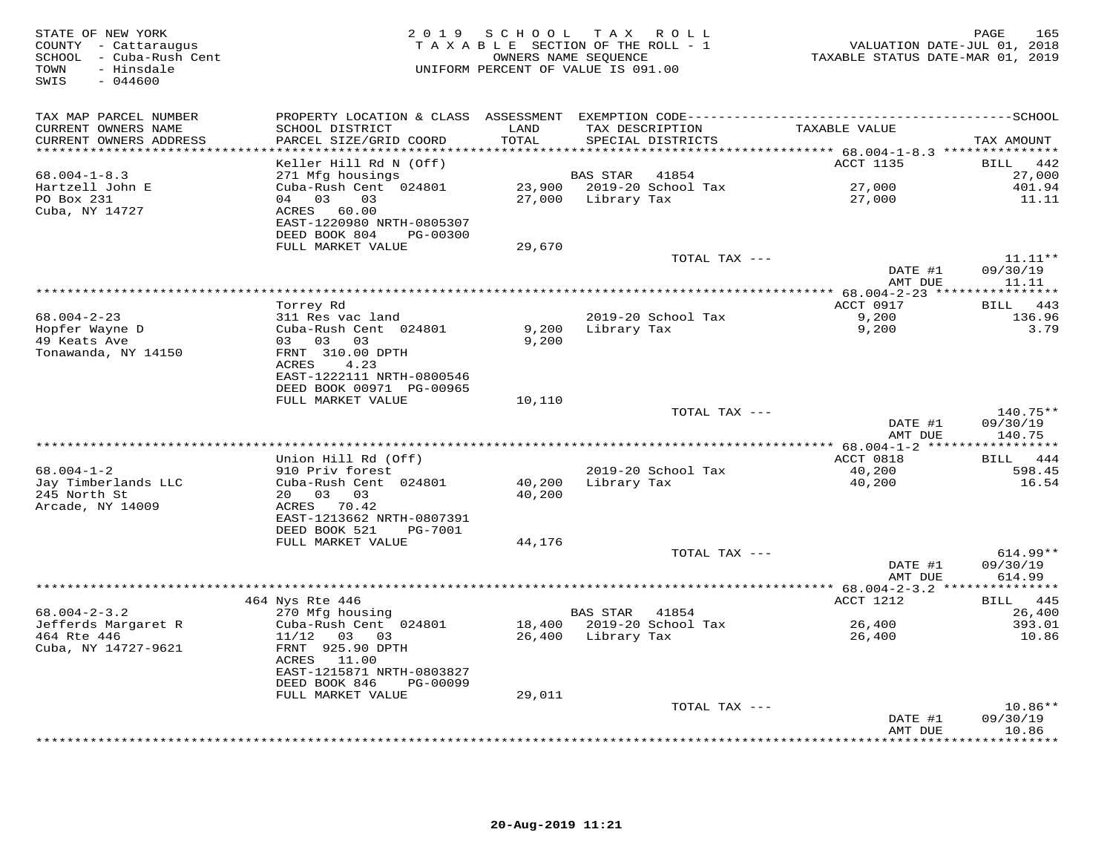| STATE OF NEW YORK<br>COUNTY - Cattaraugus<br>SCHOOL - Cuba-Rush Cent<br>- Hinsdale<br>TOWN<br>$-044600$<br>SWIS |                                                                                                                                | 2019 SCHOOL      | TAX ROLL<br>TAXABLE SECTION OF THE ROLL - 1<br>OWNERS NAME SEQUENCE<br>UNIFORM PERCENT OF VALUE IS 091.00 | VALUATION DATE-JUL 01, 2018<br>TAXABLE STATUS DATE-MAR 01, 2019 | 165<br>PAGE                              |
|-----------------------------------------------------------------------------------------------------------------|--------------------------------------------------------------------------------------------------------------------------------|------------------|-----------------------------------------------------------------------------------------------------------|-----------------------------------------------------------------|------------------------------------------|
| TAX MAP PARCEL NUMBER<br>CURRENT OWNERS NAME<br>CURRENT OWNERS ADDRESS                                          | SCHOOL DISTRICT<br>PARCEL SIZE/GRID COORD                                                                                      | LAND<br>TOTAL    | TAX DESCRIPTION<br>SPECIAL DISTRICTS                                                                      | TAXABLE VALUE                                                   | TAX AMOUNT                               |
| **********************                                                                                          |                                                                                                                                |                  |                                                                                                           |                                                                 |                                          |
| $68.004 - 1 - 8.3$<br>Hartzell John E<br>PO Box 231<br>Cuba, NY 14727                                           | Keller Hill Rd N (Off)<br>271 Mfg housings<br>Cuba-Rush Cent 024801<br>04 03<br>03<br>ACRES 60.00<br>EAST-1220980 NRTH-0805307 |                  | BAS STAR<br>41854<br>23,900 2019-20 School Tax<br>27,000 Library Tax                                      | ACCT 1135<br>27,000<br>27,000                                   | 442<br>BILL<br>27,000<br>401.94<br>11.11 |
|                                                                                                                 | DEED BOOK 804<br>PG-00300                                                                                                      |                  |                                                                                                           |                                                                 |                                          |
|                                                                                                                 | FULL MARKET VALUE                                                                                                              | 29,670           |                                                                                                           |                                                                 |                                          |
|                                                                                                                 |                                                                                                                                |                  | TOTAL TAX ---                                                                                             | DATE #1                                                         | $11.11**$<br>09/30/19                    |
|                                                                                                                 |                                                                                                                                |                  |                                                                                                           | AMT DUE                                                         | 11.11                                    |
|                                                                                                                 |                                                                                                                                |                  |                                                                                                           |                                                                 |                                          |
| $68.004 - 2 - 23$                                                                                               | Torrey Rd                                                                                                                      |                  | 2019-20 School Tax                                                                                        | ACCT 0917<br>9,200                                              | 443<br><b>BILL</b><br>136.96             |
| Hopfer Wayne D<br>49 Keats Ave<br>Tonawanda, NY 14150                                                           | 311 Res vac land<br>Cuba-Rush Cent 024801<br>03 03 03<br>FRNT 310.00 DPTH                                                      | 9,200<br>9,200   | Library Tax                                                                                               | 9,200                                                           | 3.79                                     |
|                                                                                                                 | ACRES<br>4.23<br>EAST-1222111 NRTH-0800546<br>DEED BOOK 00971 PG-00965<br>FULL MARKET VALUE                                    | 10,110           |                                                                                                           |                                                                 |                                          |
|                                                                                                                 |                                                                                                                                |                  | TOTAL TAX ---                                                                                             |                                                                 | 140.75**                                 |
|                                                                                                                 |                                                                                                                                |                  |                                                                                                           | DATE #1<br>AMT DUE                                              | 09/30/19<br>140.75                       |
|                                                                                                                 | Union Hill Rd (Off)                                                                                                            |                  |                                                                                                           | ACCT 0818                                                       | BILL 444                                 |
| $68.004 - 1 - 2$<br>Jay Timberlands LLC<br>245 North St<br>Arcade, NY 14009                                     | 910 Priv forest<br>Cuba-Rush Cent 024801<br>20 03 03<br>ACRES 70.42                                                            | 40,200<br>40,200 | 2019-20 School Tax<br>Library Tax                                                                         | 40,200<br>40,200                                                | 598.45<br>16.54                          |
|                                                                                                                 | EAST-1213662 NRTH-0807391<br>DEED BOOK 521<br>PG-7001                                                                          |                  |                                                                                                           |                                                                 |                                          |
|                                                                                                                 | FULL MARKET VALUE                                                                                                              | 44,176           |                                                                                                           |                                                                 |                                          |
|                                                                                                                 |                                                                                                                                |                  | TOTAL TAX ---                                                                                             | DATE #1<br>AMT DUE                                              | $614.99**$<br>09/30/19<br>614.99         |
|                                                                                                                 |                                                                                                                                |                  |                                                                                                           | ****************** 68.004-2-3.2 ***************                 |                                          |
| $68.004 - 2 - 3.2$                                                                                              | 464 Nys Rte 446                                                                                                                |                  | BAS STAR<br>41854                                                                                         | ACCT 1212                                                       | BILL 445                                 |
| Jefferds Margaret R<br>464 Rte 446<br>Cuba, NY 14727-9621                                                       | 270 Mfg housing<br>Cuba-Rush Cent 024801<br>$11/12$ 03 03<br>FRNT 925.90 DPTH<br>ACRES 11.00<br>EAST-1215871 NRTH-0803827      |                  | 18,400 2019-20 School Tax<br>26,400 Library Tax                                                           | 26,400<br>26,400                                                | 26,400<br>393.01<br>10.86                |
|                                                                                                                 | DEED BOOK 846<br>PG-00099                                                                                                      |                  |                                                                                                           |                                                                 |                                          |
|                                                                                                                 | FULL MARKET VALUE                                                                                                              | 29,011           |                                                                                                           |                                                                 |                                          |
|                                                                                                                 |                                                                                                                                |                  | TOTAL TAX ---                                                                                             | DATE #1                                                         | $10.86**$<br>09/30/19<br>10.86           |
|                                                                                                                 |                                                                                                                                |                  |                                                                                                           | AMT DUE                                                         | * * * * * * *                            |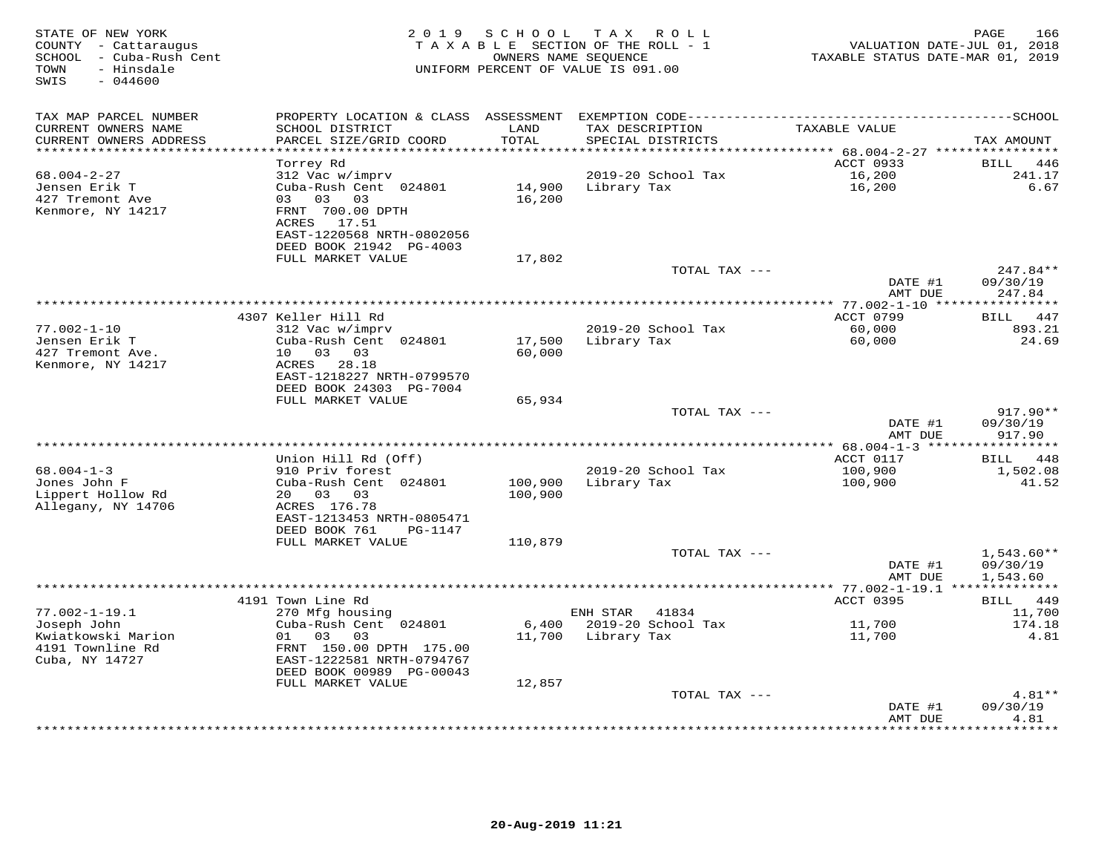| STATE OF NEW YORK<br>COUNTY - Cattaraugus<br>SCHOOL - Cuba-Rush Cent<br>- Hinsdale<br>TOWN<br>SWIS<br>$-044600$ | 2 0 1 9                                                                                                                              | SCHOOL             | T A X<br>R O L L<br>TAXABLE SECTION OF THE ROLL - 1<br>OWNERS NAME SEQUENCE<br>UNIFORM PERCENT OF VALUE IS 091.00 | VALUATION DATE-JUL 01, 2018<br>TAXABLE STATUS DATE-MAR 01, 2019 | PAGE<br>166                          |
|-----------------------------------------------------------------------------------------------------------------|--------------------------------------------------------------------------------------------------------------------------------------|--------------------|-------------------------------------------------------------------------------------------------------------------|-----------------------------------------------------------------|--------------------------------------|
| TAX MAP PARCEL NUMBER<br>CURRENT OWNERS NAME<br>CURRENT OWNERS ADDRESS                                          | SCHOOL DISTRICT<br>PARCEL SIZE/GRID COORD                                                                                            | LAND<br>TOTAL      | TAX DESCRIPTION<br>SPECIAL DISTRICTS                                                                              | TAXABLE VALUE                                                   | TAX AMOUNT                           |
| ***********************                                                                                         |                                                                                                                                      |                    |                                                                                                                   |                                                                 |                                      |
| $68.004 - 2 - 27$<br>Jensen Erik T<br>427 Tremont Ave<br>Kenmore, NY 14217                                      | Torrey Rd<br>312 Vac w/imprv<br>Cuba-Rush Cent 024801<br>03 03<br>03<br>FRNT 700.00 DPTH<br>ACRES 17.51<br>EAST-1220568 NRTH-0802056 | 14,900<br>16,200   | 2019-20 School Tax<br>Library Tax                                                                                 | ACCT 0933<br>16,200<br>16,200                                   | BILL<br>446<br>241.17<br>6.67        |
|                                                                                                                 | DEED BOOK 21942 PG-4003                                                                                                              |                    |                                                                                                                   |                                                                 |                                      |
|                                                                                                                 | FULL MARKET VALUE                                                                                                                    | 17,802             |                                                                                                                   |                                                                 |                                      |
|                                                                                                                 |                                                                                                                                      |                    | TOTAL TAX ---                                                                                                     | DATE #1<br>AMT DUE                                              | $247.84**$<br>09/30/19<br>247.84     |
|                                                                                                                 |                                                                                                                                      |                    |                                                                                                                   | **** 77.002-1-10 ****                                           | * * * * * * * * * * *                |
|                                                                                                                 | 4307 Keller Hill Rd                                                                                                                  |                    |                                                                                                                   | ACCT 0799                                                       | 447<br><b>BILL</b>                   |
| $77.002 - 1 - 10$<br>Jensen Erik T<br>427 Tremont Ave.                                                          | 312 Vac w/imprv<br>Cuba-Rush Cent 024801<br>10 03 03                                                                                 | 17,500<br>60,000   | 2019-20 School Tax<br>Library Tax                                                                                 | 60,000<br>60,000                                                | 893.21<br>24.69                      |
| Kenmore, NY 14217                                                                                               | 28.18<br>ACRES<br>EAST-1218227 NRTH-0799570<br>DEED BOOK 24303 PG-7004                                                               |                    |                                                                                                                   |                                                                 |                                      |
|                                                                                                                 | FULL MARKET VALUE                                                                                                                    | 65,934             | TOTAL TAX ---                                                                                                     |                                                                 | 917.90**                             |
|                                                                                                                 |                                                                                                                                      |                    |                                                                                                                   | DATE #1<br>AMT DUE                                              | 09/30/19<br>917.90                   |
|                                                                                                                 |                                                                                                                                      |                    | **********************************                                                                                | *** 68.004-1-3 ****                                             | *********                            |
| $68.004 - 1 - 3$                                                                                                | Union Hill Rd (Off)<br>910 Priv forest                                                                                               |                    | 2019-20 School Tax                                                                                                | ACCT 0117<br>100,900                                            | 448<br>BILL<br>1,502.08              |
| Jones John F<br>Lippert Hollow Rd<br>Allegany, NY 14706                                                         | Cuba-Rush Cent 024801<br>20 03<br>03<br>ACRES 176.78                                                                                 | 100,900<br>100,900 | Library Tax                                                                                                       | 100,900                                                         | 41.52                                |
|                                                                                                                 | EAST-1213453 NRTH-0805471<br>DEED BOOK 761<br>PG-1147                                                                                |                    |                                                                                                                   |                                                                 |                                      |
|                                                                                                                 | FULL MARKET VALUE                                                                                                                    | 110,879            |                                                                                                                   |                                                                 |                                      |
|                                                                                                                 |                                                                                                                                      |                    | TOTAL TAX ---                                                                                                     | DATE #1<br>AMT DUE                                              | $1,543.60**$<br>09/30/19<br>1,543.60 |
|                                                                                                                 |                                                                                                                                      |                    |                                                                                                                   | ********* 77.002-1-19.1 **************                          |                                      |
| $77.002 - 1 - 19.1$                                                                                             | 4191 Town Line Rd<br>270 Mfg housing                                                                                                 |                    | ENH STAR<br>41834                                                                                                 | ACCT 0395                                                       | BILL 449<br>11,700                   |
| Joseph John                                                                                                     | Cuba-Rush Cent 024801                                                                                                                | 6,400              | 2019-20 School Tax                                                                                                | 11,700                                                          | 174.18                               |
| Kwiatkowski Marion                                                                                              | 01<br>03<br>03                                                                                                                       | 11,700             | Library Tax                                                                                                       | 11,700                                                          | 4.81                                 |
| 4191 Townline Rd<br>Cuba, NY 14727                                                                              | FRNT 150.00 DPTH 175.00<br>EAST-1222581 NRTH-0794767<br>DEED BOOK 00989 PG-00043                                                     |                    |                                                                                                                   |                                                                 |                                      |
|                                                                                                                 | FULL MARKET VALUE                                                                                                                    | 12,857             |                                                                                                                   |                                                                 |                                      |
|                                                                                                                 |                                                                                                                                      |                    | TOTAL TAX ---                                                                                                     | DATE #1                                                         | $4.81**$<br>09/30/19                 |
|                                                                                                                 |                                                                                                                                      |                    |                                                                                                                   | AMT DUE<br>****************                                     | 4.81<br>*********                    |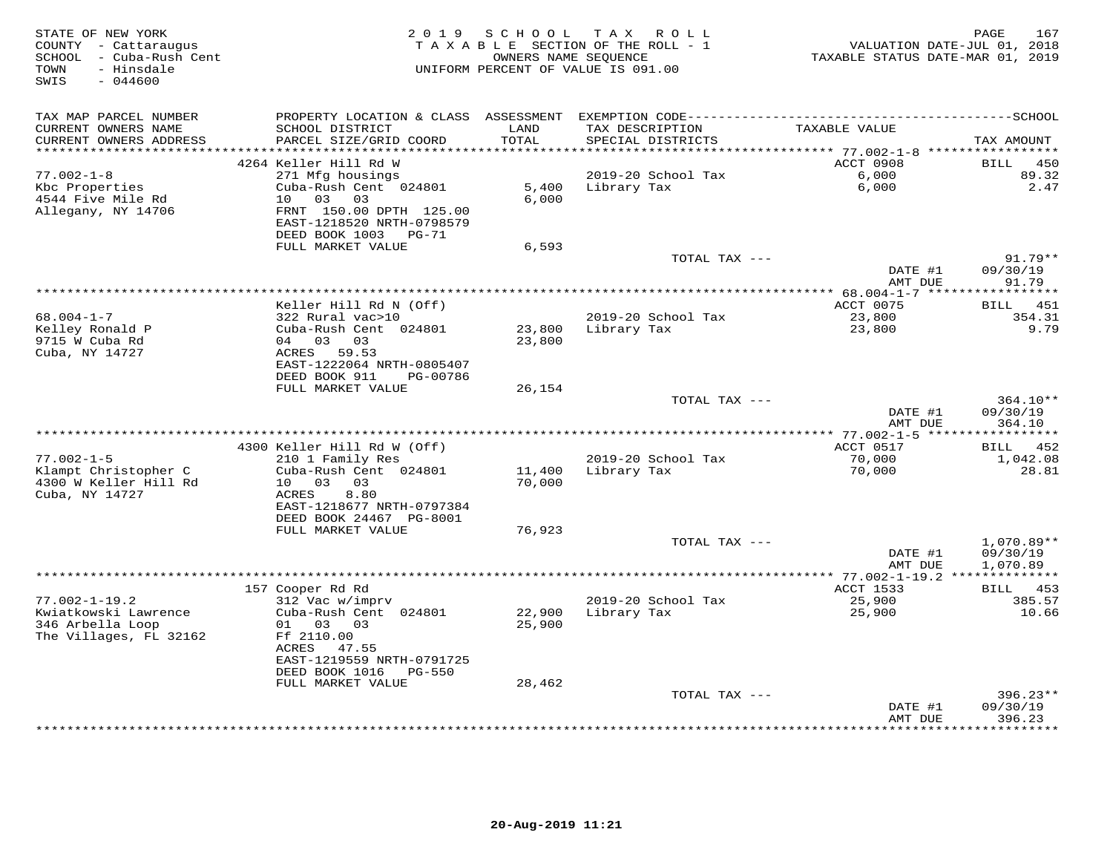| STATE OF NEW YORK<br>COUNTY - Cattaraugus<br>SCHOOL - Cuba-Rush Cent<br>- Hinsdale<br>TOWN<br>SWIS<br>$-044600$ |                                                      | 2019 SCHOOL      | TAX ROLL<br>TAXABLE SECTION OF THE ROLL - 1<br>OWNERS NAME SEQUENCE<br>UNIFORM PERCENT OF VALUE IS 091.00 | VALUATION DATE-JUL 01, 2018<br>TAXABLE STATUS DATE-MAR 01, 2019 | PAGE<br>167            |
|-----------------------------------------------------------------------------------------------------------------|------------------------------------------------------|------------------|-----------------------------------------------------------------------------------------------------------|-----------------------------------------------------------------|------------------------|
| TAX MAP PARCEL NUMBER                                                                                           | PROPERTY LOCATION & CLASS ASSESSMENT                 |                  |                                                                                                           |                                                                 |                        |
| CURRENT OWNERS NAME<br>CURRENT OWNERS ADDRESS                                                                   | SCHOOL DISTRICT<br>PARCEL SIZE/GRID COORD            | LAND<br>TOTAL    | TAX DESCRIPTION<br>SPECIAL DISTRICTS                                                                      | TAXABLE VALUE                                                   | TAX AMOUNT             |
| **********************                                                                                          | 4264 Keller Hill Rd W                                |                  |                                                                                                           | ACCT 0908                                                       | 450<br>BILL            |
| $77.002 - 1 - 8$                                                                                                | 271 Mfg housings                                     |                  | 2019-20 School Tax                                                                                        | 6,000                                                           | 89.32                  |
| Kbc Properties                                                                                                  | Cuba-Rush Cent 024801                                | 5,400            | Library Tax                                                                                               | 6,000                                                           | 2.47                   |
| 4544 Five Mile Rd                                                                                               | 10 03 03                                             | 6.000            |                                                                                                           |                                                                 |                        |
| Allegany, NY 14706                                                                                              | FRNT 150.00 DPTH 125.00<br>EAST-1218520 NRTH-0798579 |                  |                                                                                                           |                                                                 |                        |
|                                                                                                                 | DEED BOOK 1003 PG-71<br>FULL MARKET VALUE            | 6,593            |                                                                                                           |                                                                 |                        |
|                                                                                                                 |                                                      |                  | TOTAL TAX ---                                                                                             |                                                                 | $91.79**$              |
|                                                                                                                 |                                                      |                  |                                                                                                           | DATE #1<br>AMT DUE                                              | 09/30/19<br>91.79      |
|                                                                                                                 |                                                      |                  |                                                                                                           |                                                                 |                        |
|                                                                                                                 | Keller Hill Rd N (Off)                               |                  |                                                                                                           | ACCT 0075                                                       | BILL 451               |
| $68.004 - 1 - 7$                                                                                                | 322 Rural vac>10                                     |                  | 2019-20 School Tax                                                                                        | 23,800                                                          | 354.31<br>9.79         |
| Kelley Ronald P<br>9715 W Cuba Rd                                                                               | Cuba-Rush Cent 024801<br>04 03 03                    | 23,800<br>23,800 | Library Tax                                                                                               | 23,800                                                          |                        |
| Cuba, NY 14727                                                                                                  | ACRES 59.53                                          |                  |                                                                                                           |                                                                 |                        |
|                                                                                                                 | EAST-1222064 NRTH-0805407                            |                  |                                                                                                           |                                                                 |                        |
|                                                                                                                 | DEED BOOK 911<br>PG-00786                            |                  |                                                                                                           |                                                                 |                        |
|                                                                                                                 | FULL MARKET VALUE                                    | 26,154           |                                                                                                           |                                                                 |                        |
|                                                                                                                 |                                                      |                  | TOTAL TAX ---                                                                                             | DATE #1                                                         | 364.10**<br>09/30/19   |
|                                                                                                                 |                                                      |                  |                                                                                                           | AMT DUE                                                         | 364.10                 |
| *********************                                                                                           |                                                      |                  |                                                                                                           |                                                                 |                        |
|                                                                                                                 | 4300 Keller Hill Rd W (Off)                          |                  |                                                                                                           | ACCT 0517                                                       | BILL<br>452            |
| $77.002 - 1 - 5$                                                                                                | 210 1 Family Res                                     |                  | 2019-20 School Tax                                                                                        | 70,000                                                          | 1,042.08               |
| Klampt Christopher C                                                                                            | Cuba-Rush Cent 024801<br>10 03 03                    | 11,400           | Library Tax                                                                                               | 70,000                                                          | 28.81                  |
| 4300 W Keller Hill Rd<br>Cuba, NY 14727                                                                         | ACRES<br>8.80                                        | 70,000           |                                                                                                           |                                                                 |                        |
|                                                                                                                 | EAST-1218677 NRTH-0797384                            |                  |                                                                                                           |                                                                 |                        |
|                                                                                                                 | DEED BOOK 24467 PG-8001                              |                  |                                                                                                           |                                                                 |                        |
|                                                                                                                 | FULL MARKET VALUE                                    | 76,923           |                                                                                                           |                                                                 |                        |
|                                                                                                                 |                                                      |                  | TOTAL TAX ---                                                                                             |                                                                 | 1,070.89**             |
|                                                                                                                 |                                                      |                  |                                                                                                           | DATE #1<br>AMT DUE                                              | 09/30/19<br>1,070.89   |
|                                                                                                                 |                                                      |                  |                                                                                                           |                                                                 |                        |
|                                                                                                                 | 157 Cooper Rd Rd                                     |                  |                                                                                                           | ACCT 1533                                                       | <b>BILL</b> 453        |
| $77.002 - 1 - 19.2$                                                                                             | 312 Vac w/imprv                                      |                  | 2019-20 School Tax                                                                                        | 25,900                                                          | 385.57                 |
| Kwiatkowski Lawrence                                                                                            | Cuba-Rush Cent 024801                                | 22,900           | Library Tax                                                                                               | 25,900                                                          | 10.66                  |
| 346 Arbella Loop<br>The Villages, FL 32162                                                                      | 01 03 03<br>Ff 2110.00                               | 25,900           |                                                                                                           |                                                                 |                        |
|                                                                                                                 | ACRES 47.55                                          |                  |                                                                                                           |                                                                 |                        |
|                                                                                                                 | EAST-1219559 NRTH-0791725                            |                  |                                                                                                           |                                                                 |                        |
|                                                                                                                 | DEED BOOK 1016 PG-550                                |                  |                                                                                                           |                                                                 |                        |
|                                                                                                                 | FULL MARKET VALUE                                    | 28,462           |                                                                                                           |                                                                 |                        |
|                                                                                                                 |                                                      |                  | TOTAL TAX ---                                                                                             |                                                                 | $396.23**$<br>09/30/19 |
|                                                                                                                 |                                                      |                  |                                                                                                           | DATE #1<br>AMT DUE                                              | 396.23                 |
|                                                                                                                 |                                                      |                  |                                                                                                           |                                                                 | *********              |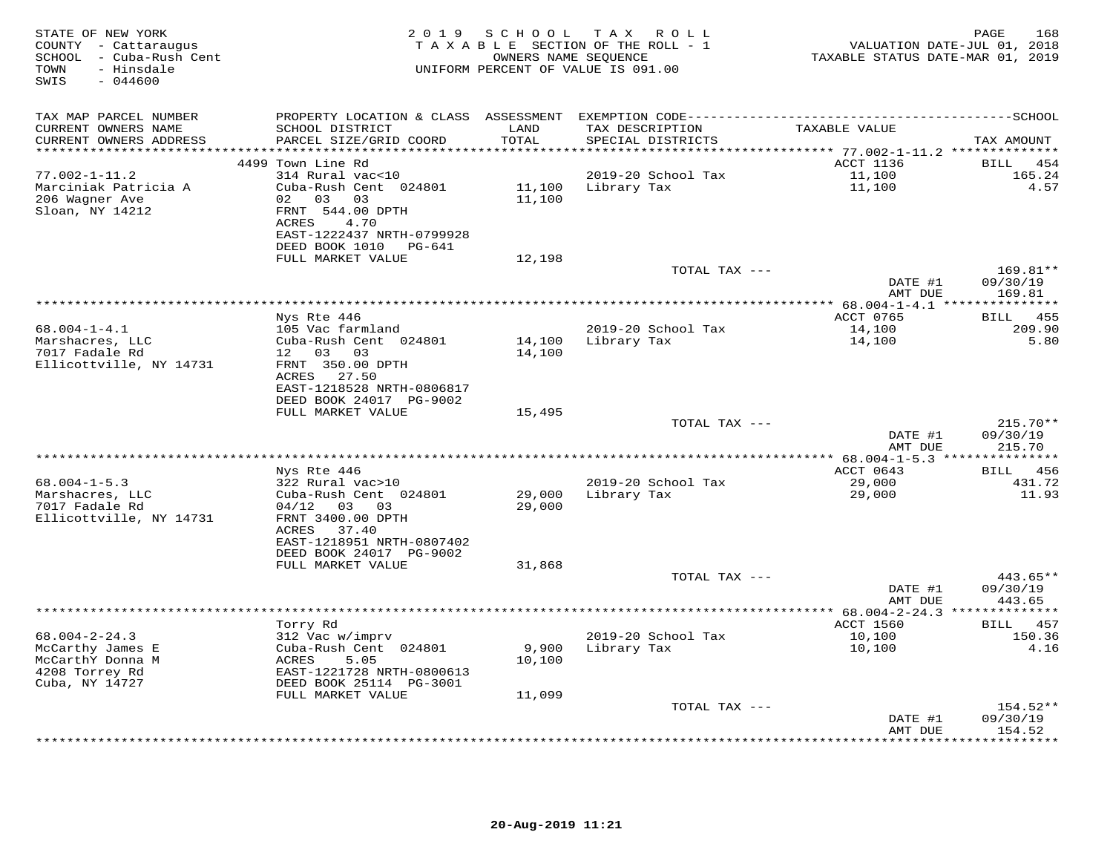| STATE OF NEW YORK<br>COUNTY - Cattaraugus<br>SCHOOL - Cuba-Rush Cent<br>- Hinsdale<br>TOWN<br>$-044600$<br>SWIS |                                                                                                     | 2019 SCHOOL      | TAX ROLL<br>TAXABLE SECTION OF THE ROLL - 1<br>OWNERS NAME SEQUENCE<br>UNIFORM PERCENT OF VALUE IS 091.00 | VALUATION DATE-JUL 01, 2018<br>TAXABLE STATUS DATE-MAR 01, 2019 | 168<br>PAGE                   |
|-----------------------------------------------------------------------------------------------------------------|-----------------------------------------------------------------------------------------------------|------------------|-----------------------------------------------------------------------------------------------------------|-----------------------------------------------------------------|-------------------------------|
| TAX MAP PARCEL NUMBER                                                                                           |                                                                                                     |                  |                                                                                                           |                                                                 |                               |
| CURRENT OWNERS NAME<br>CURRENT OWNERS ADDRESS                                                                   | SCHOOL DISTRICT<br>PARCEL SIZE/GRID COORD                                                           | LAND<br>TOTAL    | TAX DESCRIPTION<br>SPECIAL DISTRICTS                                                                      | TAXABLE VALUE                                                   | TAX AMOUNT                    |
| **********************                                                                                          | 4499 Town Line Rd                                                                                   | ************     | **************                                                                                            | ********* 77.002-1-11.2 **************<br>ACCT 1136             | <b>BILL</b><br>454            |
| $77.002 - 1 - 11.2$                                                                                             | 314 Rural vac<10                                                                                    |                  | 2019-20 School Tax                                                                                        | 11,100                                                          | 165.24                        |
| Marciniak Patricia A<br>206 Wagner Ave<br>Sloan, NY 14212                                                       | Cuba-Rush Cent 024801<br>02 03 03<br>FRNT 544.00 DPTH<br>4.70<br>ACRES<br>EAST-1222437 NRTH-0799928 | 11,100<br>11,100 | Library Tax                                                                                               | 11,100                                                          | 4.57                          |
|                                                                                                                 | DEED BOOK 1010 PG-641                                                                               |                  |                                                                                                           |                                                                 |                               |
|                                                                                                                 | FULL MARKET VALUE                                                                                   | 12,198           |                                                                                                           |                                                                 |                               |
|                                                                                                                 |                                                                                                     |                  | TOTAL TAX ---                                                                                             | DATE #1                                                         | 169.81**<br>09/30/19          |
|                                                                                                                 |                                                                                                     |                  |                                                                                                           | AMT DUE<br>*********** 68.004-1-4.1 ****************            | 169.81                        |
|                                                                                                                 | Nys Rte 446                                                                                         |                  |                                                                                                           | ACCT 0765                                                       | BILL<br>455                   |
| $68.004 - 1 - 4.1$<br>Marshacres, LLC<br>7017 Fadale Rd<br>Ellicottville, NY 14731                              | 105 Vac farmland<br>Cuba-Rush Cent 024801<br>12 03 03<br>FRNT 350.00 DPTH                           | 14,100           | 2019-20 School Tax<br>14,100 Library Tax                                                                  | 14,100<br>14,100                                                | 209.90<br>5.80                |
|                                                                                                                 | ACRES 27.50<br>EAST-1218528 NRTH-0806817<br>DEED BOOK 24017 PG-9002                                 |                  |                                                                                                           |                                                                 |                               |
|                                                                                                                 | FULL MARKET VALUE                                                                                   | 15,495           | TOTAL TAX ---                                                                                             |                                                                 | $215.70**$                    |
|                                                                                                                 |                                                                                                     |                  |                                                                                                           | DATE #1<br>AMT DUE                                              | 09/30/19<br>215.70            |
|                                                                                                                 |                                                                                                     |                  |                                                                                                           | *********** 68.004-1-5.3 ***************                        |                               |
|                                                                                                                 | Nys Rte 446                                                                                         |                  |                                                                                                           | ACCT 0643                                                       | BILL 456                      |
| $68.004 - 1 - 5.3$<br>Marshacres, LLC<br>7017 Fadale Rd<br>Ellicottville, NY 14731                              | 322 Rural vac>10<br>Cuba-Rush Cent 024801<br>$04/12$ 03 03<br>FRNT 3400.00 DPTH                     | 29,000<br>29,000 | 2019-20 School Tax<br>Library Tax                                                                         | 29,000<br>29,000                                                | 431.72<br>11.93               |
|                                                                                                                 | ACRES<br>37.40<br>EAST-1218951 NRTH-0807402<br>DEED BOOK 24017 PG-9002<br>FULL MARKET VALUE         | 31,868           |                                                                                                           |                                                                 |                               |
|                                                                                                                 |                                                                                                     |                  | TOTAL TAX ---                                                                                             |                                                                 | 443.65**                      |
|                                                                                                                 |                                                                                                     |                  |                                                                                                           | DATE #1<br>AMT DUE                                              | 09/30/19<br>443.65            |
|                                                                                                                 |                                                                                                     |                  |                                                                                                           | ********** 68.004-2-24.3 **                                     | **********                    |
| $68.004 - 2 - 24.3$<br>McCarthy James E<br>McCarthY Donna M                                                     | Torry Rd<br>312 Vac w/imprv<br>Cuba-Rush Cent 024801<br>ACRES<br>5.05                               | 9,900<br>10,100  | 2019-20 School Tax<br>Library Tax                                                                         | ACCT 1560<br>10,100<br>10,100                                   | 457<br>BILL<br>150.36<br>4.16 |
| 4208 Torrey Rd<br>Cuba, NY 14727                                                                                | EAST-1221728 NRTH-0800613<br>DEED BOOK 25114 PG-3001                                                |                  |                                                                                                           |                                                                 |                               |
|                                                                                                                 | FULL MARKET VALUE                                                                                   | 11,099           |                                                                                                           |                                                                 |                               |
|                                                                                                                 |                                                                                                     |                  | TOTAL TAX ---                                                                                             | DATE #1                                                         | $154.52**$<br>09/30/19        |
|                                                                                                                 |                                                                                                     |                  |                                                                                                           | AMT DUE                                                         | 154.52<br>********            |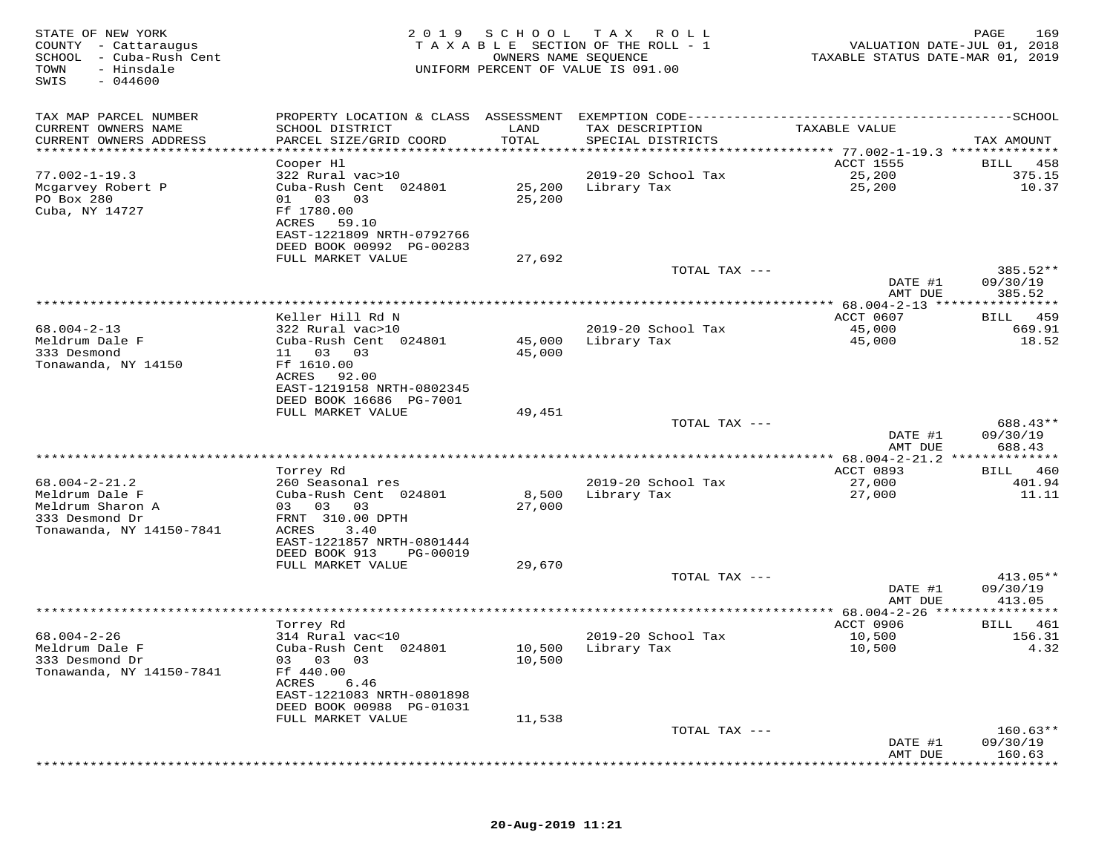| STATE OF NEW YORK<br>COUNTY - Cattaraugus<br>SCHOOL - Cuba-Rush Cent<br>- Hinsdale<br>TOWN<br>SWIS<br>$-044600$ | 2 0 1 9                                               | SCHOOL<br>OWNERS NAME SEQUENCE | T A X<br>R O L L<br>TAXABLE SECTION OF THE ROLL - 1<br>UNIFORM PERCENT OF VALUE IS 091.00 | VALUATION DATE-JUL 01, 2018<br>TAXABLE STATUS DATE-MAR 01, 2019 | 169<br>PAGE           |
|-----------------------------------------------------------------------------------------------------------------|-------------------------------------------------------|--------------------------------|-------------------------------------------------------------------------------------------|-----------------------------------------------------------------|-----------------------|
| TAX MAP PARCEL NUMBER                                                                                           | PROPERTY LOCATION & CLASS ASSESSMENT                  |                                | EXEMPTION CODE------------                                                                | ------------                                                    | ---------SCHOOL       |
| CURRENT OWNERS NAME                                                                                             | SCHOOL DISTRICT                                       | LAND                           | TAX DESCRIPTION                                                                           | TAXABLE VALUE                                                   |                       |
| CURRENT OWNERS ADDRESS                                                                                          | PARCEL SIZE/GRID COORD                                | TOTAL                          | SPECIAL DISTRICTS                                                                         |                                                                 | TAX AMOUNT            |
| *******************                                                                                             | *********************                                 | **********                     |                                                                                           | ******** 77.002-1-19.3 **************                           |                       |
| $77.002 - 1 - 19.3$                                                                                             | Cooper Hl<br>322 Rural vac>10                         |                                | 2019-20 School Tax                                                                        | <b>ACCT 1555</b><br>25,200                                      | 458<br>BILL<br>375.15 |
| Mcgarvey Robert P                                                                                               | Cuba-Rush Cent 024801                                 | 25,200                         | Library Tax                                                                               | 25,200                                                          | 10.37                 |
| PO Box 280                                                                                                      | 01 03<br>03                                           | 25,200                         |                                                                                           |                                                                 |                       |
| Cuba, NY 14727                                                                                                  | Ff 1780.00                                            |                                |                                                                                           |                                                                 |                       |
|                                                                                                                 | 59.10<br>ACRES                                        |                                |                                                                                           |                                                                 |                       |
|                                                                                                                 | EAST-1221809 NRTH-0792766<br>DEED BOOK 00992 PG-00283 |                                |                                                                                           |                                                                 |                       |
|                                                                                                                 | FULL MARKET VALUE                                     | 27,692                         |                                                                                           |                                                                 |                       |
|                                                                                                                 |                                                       |                                | TOTAL TAX ---                                                                             |                                                                 | 385.52**              |
|                                                                                                                 |                                                       |                                |                                                                                           | DATE #1                                                         | 09/30/19              |
|                                                                                                                 |                                                       |                                |                                                                                           | AMT DUE<br>***************** 68.004-2-13 *****                  | 385.52<br>********    |
|                                                                                                                 | Keller Hill Rd N                                      |                                |                                                                                           | ACCT 0607                                                       | 459<br>BILL           |
| $68.004 - 2 - 13$                                                                                               | 322 Rural vac>10                                      |                                | 2019-20 School Tax                                                                        | 45,000                                                          | 669.91                |
| Meldrum Dale F                                                                                                  | Cuba-Rush Cent 024801                                 | 45,000                         | Library Tax                                                                               | 45,000                                                          | 18.52                 |
| 333 Desmond                                                                                                     | 11 03<br>03                                           | 45,000                         |                                                                                           |                                                                 |                       |
| Tonawanda, NY 14150                                                                                             | Ff 1610.00<br>ACRES<br>92.00                          |                                |                                                                                           |                                                                 |                       |
|                                                                                                                 | EAST-1219158 NRTH-0802345                             |                                |                                                                                           |                                                                 |                       |
|                                                                                                                 | DEED BOOK 16686 PG-7001                               |                                |                                                                                           |                                                                 |                       |
|                                                                                                                 | FULL MARKET VALUE                                     | 49,451                         |                                                                                           |                                                                 |                       |
|                                                                                                                 |                                                       |                                | TOTAL TAX ---                                                                             | DATE #1                                                         | 688.43**<br>09/30/19  |
|                                                                                                                 |                                                       |                                |                                                                                           | AMT DUE                                                         | 688.43                |
|                                                                                                                 |                                                       |                                |                                                                                           |                                                                 |                       |
|                                                                                                                 | Torrey Rd                                             |                                |                                                                                           | ACCT 0893                                                       | 460<br>BILL           |
| $68.004 - 2 - 21.2$                                                                                             | 260 Seasonal res                                      |                                | 2019-20 School Tax                                                                        | 27,000                                                          | 401.94                |
| Meldrum Dale F<br>Meldrum Sharon A                                                                              | Cuba-Rush Cent 024801<br>03<br>03<br>03               | 8,500<br>27,000                | Library Tax                                                                               | 27,000                                                          | 11.11                 |
| 333 Desmond Dr                                                                                                  | FRNT 310.00 DPTH                                      |                                |                                                                                           |                                                                 |                       |
| Tonawanda, NY 14150-7841                                                                                        | ACRES<br>3.40                                         |                                |                                                                                           |                                                                 |                       |
|                                                                                                                 | EAST-1221857 NRTH-0801444                             |                                |                                                                                           |                                                                 |                       |
|                                                                                                                 | DEED BOOK 913<br>PG-00019                             |                                |                                                                                           |                                                                 |                       |
|                                                                                                                 | FULL MARKET VALUE                                     | 29,670                         | TOTAL TAX ---                                                                             |                                                                 | $413.05**$            |
|                                                                                                                 |                                                       |                                |                                                                                           | DATE #1                                                         | 09/30/19              |
|                                                                                                                 |                                                       |                                |                                                                                           | AMT DUE                                                         | 413.05                |
|                                                                                                                 |                                                       |                                |                                                                                           | $* 68.004 - 2 - 26$                                             |                       |
| $68.004 - 2 - 26$                                                                                               | Torrey Rd<br>314 Rural vac<10                         |                                | 2019-20 School Tax                                                                        | ACCT 0906<br>10,500                                             | BILL<br>461<br>156.31 |
| Meldrum Dale F                                                                                                  | Cuba-Rush Cent 024801                                 | 10,500                         | Library Tax                                                                               | 10,500                                                          | 4.32                  |
| 333 Desmond Dr                                                                                                  | 03 03<br>03                                           | 10,500                         |                                                                                           |                                                                 |                       |
| Tonawanda, NY 14150-7841                                                                                        | Ff 440.00                                             |                                |                                                                                           |                                                                 |                       |
|                                                                                                                 | ACRES<br>6.46<br>EAST-1221083 NRTH-0801898            |                                |                                                                                           |                                                                 |                       |
|                                                                                                                 | DEED BOOK 00988 PG-01031                              |                                |                                                                                           |                                                                 |                       |
|                                                                                                                 | FULL MARKET VALUE                                     | 11,538                         |                                                                                           |                                                                 |                       |
|                                                                                                                 |                                                       |                                | TOTAL TAX ---                                                                             |                                                                 | $160.63**$            |
|                                                                                                                 |                                                       |                                |                                                                                           | DATE #1                                                         | 09/30/19              |
|                                                                                                                 |                                                       |                                |                                                                                           | AMT DUE                                                         | 160.63                |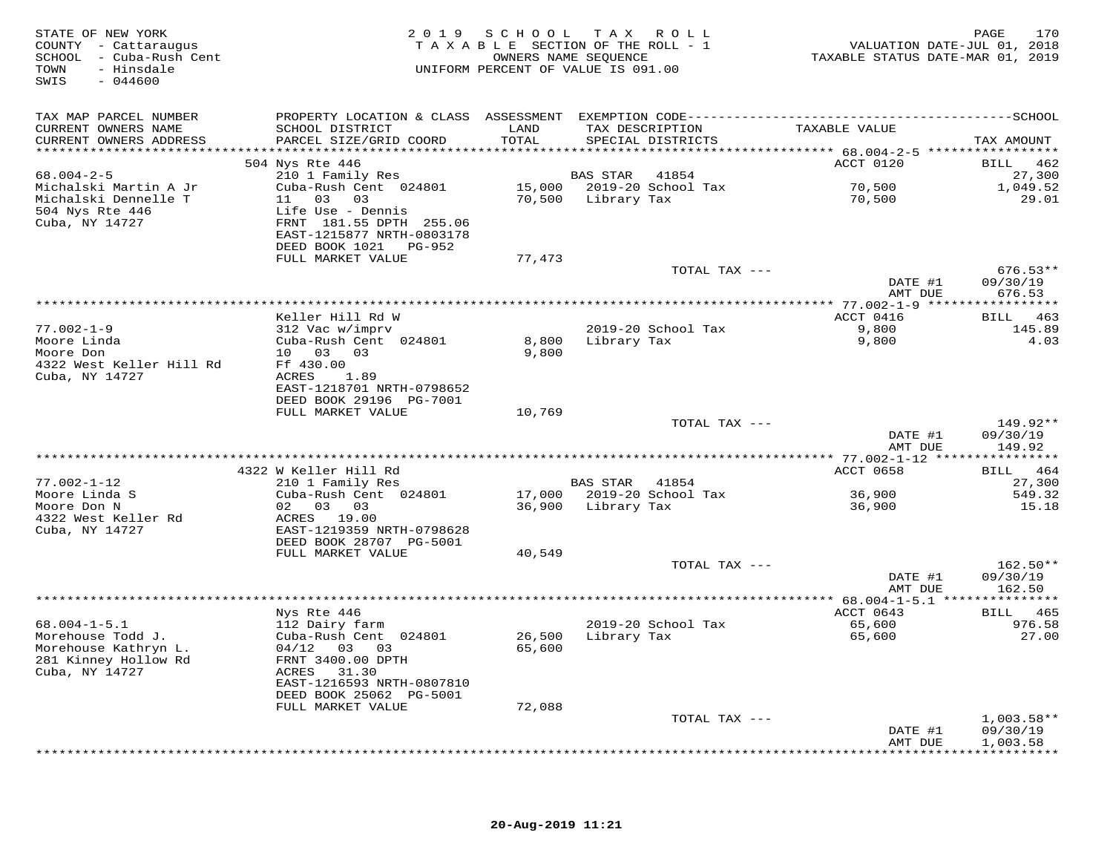| STATE OF NEW YORK<br>COUNTY - Cattaraugus<br>SCHOOL - Cuba-Rush Cent<br>TOWN - Hindels<br>- Hinsdale<br>TOWN<br>SWIS<br>$-044600$ |                                                      |               | 2019 SCHOOL TAX ROLL<br>TAXABLE SECTION OF THE ROLL - 1<br>OWNERS NAME SEQUENCE<br>UNIFORM PERCENT OF VALUE IS 091.00 | VALUATION DATE-JUL 01, 2018<br>TAXABLE STATUS DATE-MAR 01, 2019 | 170<br>PAGE             |
|-----------------------------------------------------------------------------------------------------------------------------------|------------------------------------------------------|---------------|-----------------------------------------------------------------------------------------------------------------------|-----------------------------------------------------------------|-------------------------|
| TAX MAP PARCEL NUMBER                                                                                                             |                                                      |               | PROPERTY LOCATION & CLASS ASSESSMENT EXEMPTION CODE-----------------------------------SCHOOL                          |                                                                 |                         |
| CURRENT OWNERS NAME<br>CURRENT OWNERS ADDRESS                                                                                     | SCHOOL DISTRICT<br>PARCEL SIZE/GRID COORD            | LAND<br>TOTAL | TAX DESCRIPTION<br>SPECIAL DISTRICTS                                                                                  | TAXABLE VALUE                                                   | TAX AMOUNT              |
|                                                                                                                                   |                                                      |               |                                                                                                                       |                                                                 |                         |
|                                                                                                                                   | 504 Nys Rte 446                                      |               |                                                                                                                       | <b>ACCT 0120</b>                                                | BILL 462                |
| $68.004 - 2 - 5$                                                                                                                  | 210 1 Family Res<br>Cuba-Rush Cent 024801            |               | <b>BAS STAR 41854</b>                                                                                                 |                                                                 | 27,300                  |
| Michalski Martin A Jr                                                                                                             |                                                      |               | 15,000 2019-20 School Tax                                                                                             | 70,500<br>70,500                                                | 1,049.52                |
| Michalski Dennelle T<br>504 Nys Rte 446                                                                                           | 11 03 03<br>Life Use - Dennis                        |               | 70,500 Library Tax                                                                                                    |                                                                 | 29.01                   |
| Cuba, NY 14727                                                                                                                    | FRNT 181.55 DPTH 255.06                              |               |                                                                                                                       |                                                                 |                         |
|                                                                                                                                   | EAST-1215877 NRTH-0803178                            |               |                                                                                                                       |                                                                 |                         |
|                                                                                                                                   | DEED BOOK 1021 PG-952                                |               |                                                                                                                       |                                                                 |                         |
|                                                                                                                                   | FULL MARKET VALUE                                    | 77,473        |                                                                                                                       |                                                                 |                         |
|                                                                                                                                   |                                                      |               | TOTAL TAX ---                                                                                                         |                                                                 | $676.53**$              |
|                                                                                                                                   |                                                      |               |                                                                                                                       | DATE #1                                                         | 09/30/19                |
|                                                                                                                                   |                                                      |               |                                                                                                                       | AMT DUE                                                         | 676.53                  |
|                                                                                                                                   | Keller Hill Rd W                                     |               |                                                                                                                       | ACCT 0416                                                       | BILL 463                |
| $77.002 - 1 - 9$                                                                                                                  | 312 Vac w/imprv                                      |               | 2019-20 School Tax                                                                                                    | 9,800                                                           | 145.89                  |
| Moore Linda<br>Moore Don                                                                                                          | Cuba-Rush Cent 024801                                |               | 8,800 Library Tax                                                                                                     | 9,800                                                           | 4.03                    |
| Moore Don                                                                                                                         | 10  03  03                                           | 9,800         |                                                                                                                       |                                                                 |                         |
| 4322 West Keller Hill Rd                                                                                                          | Ff 430.00                                            |               |                                                                                                                       |                                                                 |                         |
| Cuba, NY 14727                                                                                                                    | ACRES 1.89                                           |               |                                                                                                                       |                                                                 |                         |
|                                                                                                                                   | EAST-1218701 NRTH-0798652                            |               |                                                                                                                       |                                                                 |                         |
|                                                                                                                                   | DEED BOOK 29196 PG-7001                              |               |                                                                                                                       |                                                                 |                         |
|                                                                                                                                   | FULL MARKET VALUE                                    | 10,769        |                                                                                                                       |                                                                 |                         |
|                                                                                                                                   |                                                      |               | TOTAL TAX ---                                                                                                         | DATE #1                                                         | 149.92**<br>09/30/19    |
|                                                                                                                                   |                                                      |               |                                                                                                                       | AMT DUE                                                         | 149.92                  |
|                                                                                                                                   |                                                      |               |                                                                                                                       |                                                                 |                         |
|                                                                                                                                   | 4322 W Keller Hill Rd                                |               |                                                                                                                       | ACCT 0658                                                       | BILL 464                |
| $77.002 - 1 - 12$                                                                                                                 | w Neiler Hill Rd<br>210 1 Family Res                 |               | BAS STAR 41854                                                                                                        |                                                                 | 27,300                  |
| Moore Linda S<br>Moore Don N                                                                                                      | Cuba-Rush Cent 024801                                |               | 17,000 2019-20 School Tax                                                                                             | 36,900                                                          | 549.32                  |
|                                                                                                                                   | 02 03 03                                             |               | 36,900 Library Tax                                                                                                    | 36,900                                                          | 15.18                   |
| 4322 West Keller Rd                                                                                                               | ACRES 19.00                                          |               |                                                                                                                       |                                                                 |                         |
| Cuba, NY 14727                                                                                                                    | EAST-1219359 NRTH-0798628<br>DEED BOOK 28707 PG-5001 |               |                                                                                                                       |                                                                 |                         |
|                                                                                                                                   | FULL MARKET VALUE                                    | 40,549        |                                                                                                                       |                                                                 |                         |
|                                                                                                                                   |                                                      |               | TOTAL TAX ---                                                                                                         |                                                                 | $162.50**$              |
|                                                                                                                                   |                                                      |               |                                                                                                                       | DATE #1                                                         | 09/30/19                |
|                                                                                                                                   |                                                      |               |                                                                                                                       | AMT DUE                                                         | 162.50                  |
|                                                                                                                                   |                                                      |               |                                                                                                                       |                                                                 |                         |
|                                                                                                                                   | Nys Rte 446                                          |               |                                                                                                                       | ACCT 0643                                                       | BILL 465                |
| $68.004 - 1 - 5.1$                                                                                                                | 112 Dairy farm                                       |               | 2019-20 School Tax                                                                                                    | 65,600<br>65,600                                                | 976.58                  |
| Morehouse Todd J.                                                                                                                 | Cuba-Rush Cent 024801                                |               | 26,500 Library Tax                                                                                                    |                                                                 | 27.00                   |
| Morehouse Kathryn L.<br>281 Kinney Hollow Rd                                                                                      | 04/12 03 03<br>FRNT 3400.00 DPTH                     | 65,600        |                                                                                                                       |                                                                 |                         |
| Cuba, NY 14727                                                                                                                    | ACRES 31.30                                          |               |                                                                                                                       |                                                                 |                         |
|                                                                                                                                   | EAST-1216593 NRTH-0807810                            |               |                                                                                                                       |                                                                 |                         |
|                                                                                                                                   | DEED BOOK 25062 PG-5001                              |               |                                                                                                                       |                                                                 |                         |
|                                                                                                                                   | FULL MARKET VALUE                                    | 72,088        |                                                                                                                       |                                                                 |                         |
|                                                                                                                                   |                                                      |               | TOTAL TAX ---                                                                                                         |                                                                 | $1,003.58**$            |
|                                                                                                                                   |                                                      |               |                                                                                                                       | DATE #1                                                         | 09/30/19                |
|                                                                                                                                   |                                                      |               |                                                                                                                       | AMT DUE                                                         | 1,003.58<br>*********** |
|                                                                                                                                   |                                                      |               |                                                                                                                       |                                                                 |                         |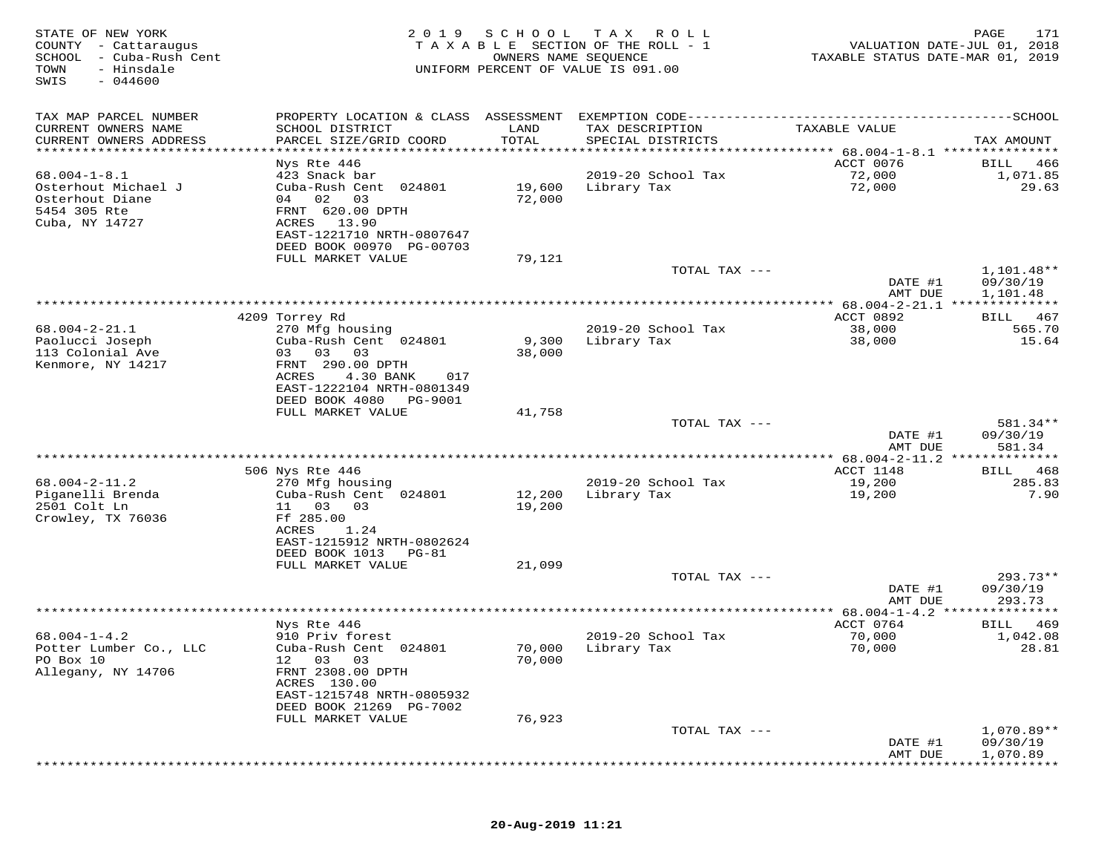| STATE OF NEW YORK<br>COUNTY - Cattaraugus<br>SCHOOL<br>- Cuba-Rush Cent<br>TOWN<br>- Hinsdale<br>SWIS<br>$-044600$ | 2019                                                   | SCHOOL           | T A X<br>ROLL<br>TAXABLE SECTION OF THE ROLL - 1<br>OWNERS NAME SEQUENCE<br>UNIFORM PERCENT OF VALUE IS 091.00 | VALUATION DATE-JUL 01, 2018<br>TAXABLE STATUS DATE-MAR 01, 2019        | PAGE<br>171                   |
|--------------------------------------------------------------------------------------------------------------------|--------------------------------------------------------|------------------|----------------------------------------------------------------------------------------------------------------|------------------------------------------------------------------------|-------------------------------|
| TAX MAP PARCEL NUMBER                                                                                              | PROPERTY LOCATION & CLASS ASSESSMENT                   |                  |                                                                                                                |                                                                        |                               |
| CURRENT OWNERS NAME<br>CURRENT OWNERS ADDRESS                                                                      | SCHOOL DISTRICT<br>PARCEL SIZE/GRID COORD              | LAND<br>TOTAL    | TAX DESCRIPTION<br>SPECIAL DISTRICTS                                                                           | TAXABLE VALUE                                                          | TAX AMOUNT                    |
| ********************                                                                                               | Nys Rte 446                                            | *******          |                                                                                                                | **************************** 68.004-1-8.1 ***************<br>ACCT 0076 | BILL<br>466                   |
| $68.004 - 1 - 8.1$                                                                                                 | 423 Snack bar                                          |                  | 2019-20 School Tax                                                                                             | 72,000                                                                 | 1,071.85                      |
| Osterhout Michael J                                                                                                | Cuba-Rush Cent 024801                                  | 19,600           | Library Tax                                                                                                    | 72,000                                                                 | 29.63                         |
| Osterhout Diane                                                                                                    | 04 02<br>03                                            | 72,000           |                                                                                                                |                                                                        |                               |
| 5454 305 Rte<br>Cuba, NY 14727                                                                                     | FRNT 620.00 DPTH<br>13.90<br>ACRES                     |                  |                                                                                                                |                                                                        |                               |
|                                                                                                                    | EAST-1221710 NRTH-0807647                              |                  |                                                                                                                |                                                                        |                               |
|                                                                                                                    | DEED BOOK 00970 PG-00703                               |                  |                                                                                                                |                                                                        |                               |
|                                                                                                                    | FULL MARKET VALUE                                      | 79,121           |                                                                                                                |                                                                        |                               |
|                                                                                                                    |                                                        |                  | TOTAL TAX ---                                                                                                  | DATE #1                                                                | 1,101.48**<br>09/30/19        |
|                                                                                                                    |                                                        |                  |                                                                                                                | AMT DUE                                                                | 1,101.48                      |
|                                                                                                                    |                                                        |                  |                                                                                                                |                                                                        |                               |
|                                                                                                                    | 4209 Torrey Rd                                         |                  |                                                                                                                | ACCT 0892                                                              | 467<br>BILL                   |
| $68.004 - 2 - 21.1$<br>Paolucci Joseph                                                                             | 270 Mfg housing<br>Cuba-Rush Cent 024801               | 9,300            | 2019-20 School Tax<br>Library Tax                                                                              | 38,000<br>38,000                                                       | 565.70<br>15.64               |
| 113 Colonial Ave                                                                                                   | 03<br>03<br>03                                         | 38,000           |                                                                                                                |                                                                        |                               |
| Kenmore, NY 14217                                                                                                  | FRNT 290.00 DPTH                                       |                  |                                                                                                                |                                                                        |                               |
|                                                                                                                    | ACRES<br>4.30 BANK<br>017                              |                  |                                                                                                                |                                                                        |                               |
|                                                                                                                    | EAST-1222104 NRTH-0801349<br>DEED BOOK 4080<br>PG-9001 |                  |                                                                                                                |                                                                        |                               |
|                                                                                                                    | FULL MARKET VALUE                                      | 41,758           |                                                                                                                |                                                                        |                               |
|                                                                                                                    |                                                        |                  | TOTAL TAX ---                                                                                                  |                                                                        | 581.34**                      |
|                                                                                                                    |                                                        |                  |                                                                                                                | DATE #1<br>AMT DUE                                                     | 09/30/19<br>581.34            |
|                                                                                                                    |                                                        |                  |                                                                                                                | ************ 68.004-2-11.2 **************                              |                               |
|                                                                                                                    | 506 Nys Rte 446                                        |                  |                                                                                                                | ACCT 1148                                                              | 468<br>BILL                   |
| $68.004 - 2 - 11.2$                                                                                                | 270 Mfg housing                                        |                  | 2019-20 School Tax                                                                                             | 19,200                                                                 | 285.83                        |
| Piganelli Brenda<br>2501 Colt Ln                                                                                   | Cuba-Rush Cent 024801<br>11<br>03<br>03                | 12,200<br>19,200 | Library Tax                                                                                                    | 19,200                                                                 | 7.90                          |
| Crowley, TX 76036                                                                                                  | Ff 285.00                                              |                  |                                                                                                                |                                                                        |                               |
|                                                                                                                    | ACRES<br>1.24                                          |                  |                                                                                                                |                                                                        |                               |
|                                                                                                                    | EAST-1215912 NRTH-0802624                              |                  |                                                                                                                |                                                                        |                               |
|                                                                                                                    | DEED BOOK 1013<br>PG-81<br>FULL MARKET VALUE           | 21,099           |                                                                                                                |                                                                        |                               |
|                                                                                                                    |                                                        |                  | TOTAL TAX ---                                                                                                  |                                                                        | $293.73**$                    |
|                                                                                                                    |                                                        |                  |                                                                                                                | DATE #1                                                                | 09/30/19                      |
|                                                                                                                    |                                                        |                  | *******************************                                                                                | AMT DUE                                                                | 293.73<br>* * * * * * * * * * |
|                                                                                                                    | Nys Rte 446                                            |                  |                                                                                                                | *** 68.004-1-4.2 ***<br>ACCT 0764                                      | 469<br>BILL                   |
| $68.004 - 1 - 4.2$                                                                                                 | 910 Priv forest                                        |                  | 2019-20 School Tax                                                                                             | 70,000                                                                 | 1,042.08                      |
| Potter Lumber Co., LLC                                                                                             | Cuba-Rush Cent 024801                                  | 70,000           | Library Tax                                                                                                    | 70,000                                                                 | 28.81                         |
| PO Box 10                                                                                                          | 03<br>03<br>12                                         | 70,000           |                                                                                                                |                                                                        |                               |
| Allegany, NY 14706                                                                                                 | FRNT 2308.00 DPTH<br>ACRES 130.00                      |                  |                                                                                                                |                                                                        |                               |
|                                                                                                                    | EAST-1215748 NRTH-0805932                              |                  |                                                                                                                |                                                                        |                               |
|                                                                                                                    | DEED BOOK 21269 PG-7002                                |                  |                                                                                                                |                                                                        |                               |
|                                                                                                                    | FULL MARKET VALUE                                      | 76,923           |                                                                                                                |                                                                        |                               |
|                                                                                                                    |                                                        |                  | TOTAL TAX ---                                                                                                  | DATE #1                                                                | $1,070.89**$<br>09/30/19      |
|                                                                                                                    |                                                        |                  |                                                                                                                | AMT DUE                                                                | 1,070.89                      |
|                                                                                                                    |                                                        |                  |                                                                                                                |                                                                        |                               |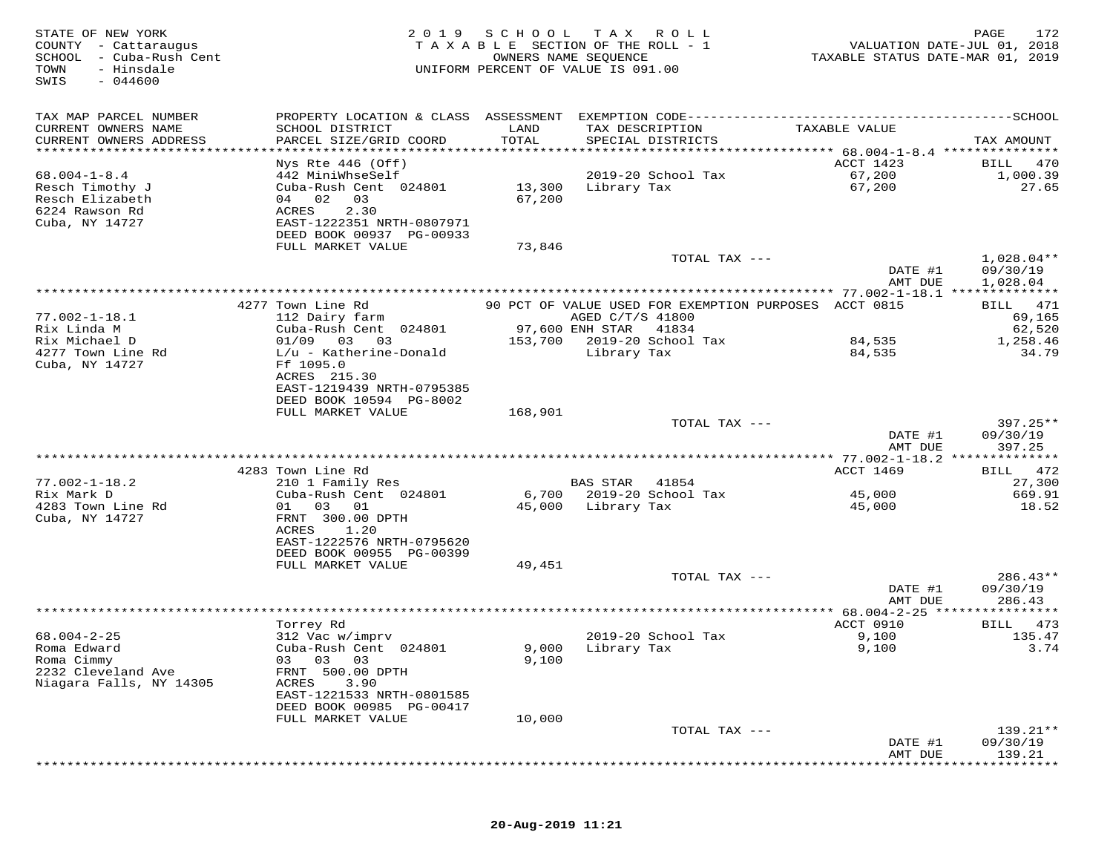| STATE OF NEW YORK<br>COUNTY - Cattaraugus<br>SCHOOL<br>- Cuba-Rush Cent<br>- Hinsdale<br>TOWN<br>SWIS<br>$-044600$ | 2 0 1 9                                       | SCHOOL           | T A X<br>R O L L<br>TAXABLE SECTION OF THE ROLL - 1<br>OWNERS NAME SEQUENCE<br>UNIFORM PERCENT OF VALUE IS 091.00 | VALUATION DATE-JUL 01, 2018<br>TAXABLE STATUS DATE-MAR 01, 2019 | PAGE<br>172          |
|--------------------------------------------------------------------------------------------------------------------|-----------------------------------------------|------------------|-------------------------------------------------------------------------------------------------------------------|-----------------------------------------------------------------|----------------------|
| TAX MAP PARCEL NUMBER                                                                                              | PROPERTY LOCATION & CLASS ASSESSMENT          |                  | EXEMPTION CODE-------------------------                                                                           |                                                                 | $------SCHOOL$       |
| CURRENT OWNERS NAME<br>CURRENT OWNERS ADDRESS                                                                      | SCHOOL DISTRICT<br>PARCEL SIZE/GRID COORD     | LAND<br>TOTAL    | TAX DESCRIPTION<br>SPECIAL DISTRICTS                                                                              | TAXABLE VALUE                                                   | TAX AMOUNT           |
| ******************                                                                                                 |                                               | * * * * * * *    |                                                                                                                   | ******** 68.004-1-8.4 ****************                          |                      |
|                                                                                                                    | Nys Rte 446 (Off)                             |                  |                                                                                                                   | ACCT 1423                                                       | 470<br>BILL          |
| $68.004 - 1 - 8.4$                                                                                                 | 442 MiniWhseSelf                              |                  | 2019-20 School Tax                                                                                                | 67,200                                                          | 1,000.39             |
| Resch Timothy J<br>Resch Elizabeth                                                                                 | Cuba-Rush Cent 024801<br>04 02<br>03          | 13,300<br>67,200 | Library Tax                                                                                                       | 67,200                                                          | 27.65                |
| 6224 Rawson Rd                                                                                                     | ACRES<br>2.30                                 |                  |                                                                                                                   |                                                                 |                      |
| Cuba, NY 14727                                                                                                     | EAST-1222351 NRTH-0807971                     |                  |                                                                                                                   |                                                                 |                      |
|                                                                                                                    | DEED BOOK 00937 PG-00933                      |                  |                                                                                                                   |                                                                 |                      |
|                                                                                                                    | FULL MARKET VALUE                             | 73,846           |                                                                                                                   |                                                                 |                      |
|                                                                                                                    |                                               |                  | TOTAL TAX ---                                                                                                     |                                                                 | $1,028.04**$         |
|                                                                                                                    |                                               |                  |                                                                                                                   | DATE #1<br>AMT DUE                                              | 09/30/19<br>1,028.04 |
|                                                                                                                    |                                               |                  |                                                                                                                   |                                                                 |                      |
|                                                                                                                    | 4277 Town Line Rd                             |                  | 90 PCT OF VALUE USED FOR EXEMPTION PURPOSES ACCT 0815                                                             |                                                                 | BILL 471             |
| $77.002 - 1 - 18.1$                                                                                                | 112 Dairy farm                                |                  | AGED C/T/S 41800                                                                                                  |                                                                 | 69,165               |
| Rix Linda M                                                                                                        | Cuba-Rush Cent 024801                         |                  | 97,600 ENH STAR<br>41834                                                                                          |                                                                 | 62,520               |
| Rix Michael D<br>4277 Town Line Rd                                                                                 | 01/09<br>03<br>03<br>$L/u$ - Katherine-Donald | 153,700          | 2019-20 School Tax<br>Library Tax                                                                                 | 84,535<br>84,535                                                | 1,258.46<br>34.79    |
| Cuba, NY 14727                                                                                                     | Ff 1095.0                                     |                  |                                                                                                                   |                                                                 |                      |
|                                                                                                                    | ACRES 215.30                                  |                  |                                                                                                                   |                                                                 |                      |
|                                                                                                                    | EAST-1219439 NRTH-0795385                     |                  |                                                                                                                   |                                                                 |                      |
|                                                                                                                    | DEED BOOK 10594 PG-8002                       |                  |                                                                                                                   |                                                                 |                      |
|                                                                                                                    | FULL MARKET VALUE                             | 168,901          |                                                                                                                   |                                                                 | $397.25**$           |
|                                                                                                                    |                                               |                  | TOTAL TAX ---                                                                                                     | DATE #1                                                         | 09/30/19             |
|                                                                                                                    |                                               |                  |                                                                                                                   | AMT DUE                                                         | 397.25               |
|                                                                                                                    |                                               |                  |                                                                                                                   |                                                                 |                      |
|                                                                                                                    | 4283 Town Line Rd                             |                  |                                                                                                                   | ACCT 1469                                                       | 472<br>BILL          |
| $77.002 - 1 - 18.2$                                                                                                | 210 1 Family Res                              |                  | <b>BAS STAR</b><br>41854                                                                                          |                                                                 | 27,300               |
| Rix Mark D<br>4283 Town Line Rd                                                                                    | Cuba-Rush Cent 024801<br>01<br>03<br>01       | 6,700<br>45,000  | 2019-20 School Tax<br>Library Tax                                                                                 | 45,000<br>45,000                                                | 669.91<br>18.52      |
| Cuba, NY 14727                                                                                                     | FRNT 300.00 DPTH                              |                  |                                                                                                                   |                                                                 |                      |
|                                                                                                                    | ACRES<br>1.20                                 |                  |                                                                                                                   |                                                                 |                      |
|                                                                                                                    | EAST-1222576 NRTH-0795620                     |                  |                                                                                                                   |                                                                 |                      |
|                                                                                                                    | DEED BOOK 00955 PG-00399                      |                  |                                                                                                                   |                                                                 |                      |
|                                                                                                                    | FULL MARKET VALUE                             | 49,451           | TOTAL TAX ---                                                                                                     |                                                                 | $286.43**$           |
|                                                                                                                    |                                               |                  |                                                                                                                   | DATE #1                                                         | 09/30/19             |
|                                                                                                                    |                                               |                  |                                                                                                                   | AMT DUE                                                         | 286.43               |
|                                                                                                                    |                                               |                  |                                                                                                                   | $* 68.004 - 2 - 25$                                             |                      |
|                                                                                                                    | Torrey Rd                                     |                  |                                                                                                                   | ACCT 0910                                                       | 473<br>BILL          |
| $68.004 - 2 - 25$                                                                                                  | 312 Vac w/imprv                               |                  | 2019-20 School Tax                                                                                                | 9,100                                                           | 135.47               |
| Roma Edward<br>Roma Cimmy                                                                                          | Cuba-Rush Cent 024801<br>03<br>03<br>03       | 9,000<br>9,100   | Library Tax                                                                                                       | 9,100                                                           | 3.74                 |
| 2232 Cleveland Ave                                                                                                 | FRNT 500.00 DPTH                              |                  |                                                                                                                   |                                                                 |                      |
| Niagara Falls, NY 14305                                                                                            | ACRES<br>3.90                                 |                  |                                                                                                                   |                                                                 |                      |
|                                                                                                                    | EAST-1221533 NRTH-0801585                     |                  |                                                                                                                   |                                                                 |                      |
|                                                                                                                    | DEED BOOK 00985 PG-00417                      |                  |                                                                                                                   |                                                                 |                      |
|                                                                                                                    | FULL MARKET VALUE                             | 10,000           |                                                                                                                   |                                                                 |                      |
|                                                                                                                    |                                               |                  | TOTAL TAX ---                                                                                                     | DATE #1                                                         | 139.21**<br>09/30/19 |
|                                                                                                                    |                                               |                  |                                                                                                                   | AMT DUE                                                         | 139.21               |
|                                                                                                                    |                                               |                  |                                                                                                                   |                                                                 |                      |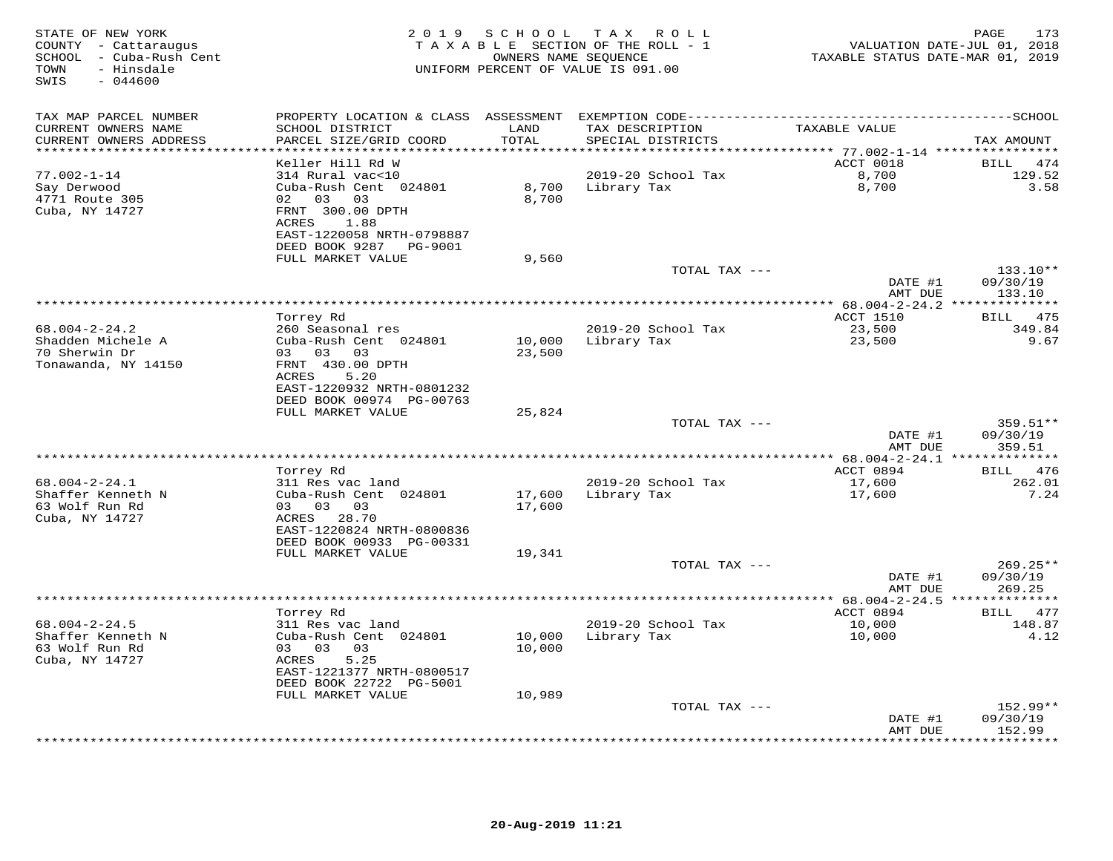| STATE OF NEW YORK<br>COUNTY - Cattaraugus<br>SCHOOL - Cuba-Rush Cent<br>- Hinsdale<br>TOWN<br>SWIS<br>$-044600$ | 2 0 1 9                                                                                                | S C H O O L      | T A X<br>R O L L<br>TAXABLE SECTION OF THE ROLL - 1<br>OWNERS NAME SEQUENCE<br>UNIFORM PERCENT OF VALUE IS 091.00 | TAXABLE STATUS DATE-MAR 01, 2019         | PAGE<br>173<br>VALUATION DATE-JUL 01, 2018 |
|-----------------------------------------------------------------------------------------------------------------|--------------------------------------------------------------------------------------------------------|------------------|-------------------------------------------------------------------------------------------------------------------|------------------------------------------|--------------------------------------------|
| TAX MAP PARCEL NUMBER                                                                                           | PROPERTY LOCATION & CLASS ASSESSMENT                                                                   |                  |                                                                                                                   |                                          |                                            |
| CURRENT OWNERS NAME<br>CURRENT OWNERS ADDRESS                                                                   | SCHOOL DISTRICT<br>PARCEL SIZE/GRID COORD                                                              | LAND<br>TOTAL    | TAX DESCRIPTION<br>SPECIAL DISTRICTS                                                                              | TAXABLE VALUE                            | TAX AMOUNT                                 |
|                                                                                                                 |                                                                                                        | ********         |                                                                                                                   | ******** 77.002-1-14 ****************    |                                            |
| $77.002 - 1 - 14$                                                                                               | Keller Hill Rd W<br>314 Rural vac<10                                                                   |                  |                                                                                                                   | ACCT 0018                                | BILL<br>474                                |
| Say Derwood<br>4771 Route 305<br>Cuba, NY 14727                                                                 | Cuba-Rush Cent 024801<br>02<br>03 03<br>FRNT 300.00 DPTH                                               | 8,700<br>8,700   | 2019-20 School Tax<br>Library Tax                                                                                 | 8,700<br>8,700                           | 129.52<br>3.58                             |
|                                                                                                                 | ACRES<br>1.88<br>EAST-1220058 NRTH-0798887<br>DEED BOOK 9287 PG-9001<br>FULL MARKET VALUE              | 9,560            |                                                                                                                   |                                          |                                            |
|                                                                                                                 |                                                                                                        |                  | TOTAL TAX ---                                                                                                     |                                          | $133.10**$                                 |
|                                                                                                                 |                                                                                                        |                  |                                                                                                                   | DATE #1<br>AMT DUE                       | 09/30/19<br>133.10                         |
|                                                                                                                 |                                                                                                        |                  |                                                                                                                   | *********** 68.004-2-24.2 **             | * * * * * * * * * * *                      |
|                                                                                                                 | Torrey Rd                                                                                              |                  |                                                                                                                   | ACCT 1510                                | BILL<br>475                                |
| $68.004 - 2 - 24.2$<br>Shadden Michele A<br>70 Sherwin Dr                                                       | 260 Seasonal res<br>Cuba-Rush Cent 024801<br>03 03<br>03                                               | 10,000<br>23,500 | 2019-20 School Tax<br>Library Tax                                                                                 | 23,500<br>23,500                         | 349.84<br>9.67                             |
| Tonawanda, NY 14150                                                                                             | FRNT 430.00 DPTH<br>5.20<br>ACRES<br>EAST-1220932 NRTH-0801232                                         |                  |                                                                                                                   |                                          |                                            |
|                                                                                                                 | DEED BOOK 00974 PG-00763<br>FULL MARKET VALUE                                                          | 25,824           |                                                                                                                   |                                          |                                            |
|                                                                                                                 |                                                                                                        |                  | TOTAL TAX ---                                                                                                     |                                          | 359.51**                                   |
|                                                                                                                 |                                                                                                        |                  |                                                                                                                   | DATE #1<br>AMT DUE                       | 09/30/19<br>359.51                         |
|                                                                                                                 | Torrey Rd                                                                                              |                  |                                                                                                                   | ********** 68.004-2-24.1 **<br>ACCT 0894 | **********<br>476<br><b>BILL</b>           |
| $68.004 - 2 - 24.1$                                                                                             | 311 Res vac land                                                                                       |                  | 2019-20 School Tax                                                                                                | 17,600                                   | 262.01                                     |
| Shaffer Kenneth N<br>63 Wolf Run Rd<br>Cuba, NY 14727                                                           | Cuba-Rush Cent 024801<br>03 03 03<br>ACRES 28.70<br>EAST-1220824 NRTH-0800836                          | 17,600<br>17,600 | Library Tax                                                                                                       | 17,600                                   | 7.24                                       |
|                                                                                                                 | DEED BOOK 00933 PG-00331                                                                               |                  |                                                                                                                   |                                          |                                            |
|                                                                                                                 | FULL MARKET VALUE                                                                                      | 19,341           | TOTAL TAX ---                                                                                                     | DATE #1                                  | $269.25**$<br>09/30/19                     |
|                                                                                                                 |                                                                                                        |                  |                                                                                                                   | AMT DUE                                  | 269.25                                     |
|                                                                                                                 | Torrey Rd                                                                                              |                  |                                                                                                                   | ACCT 0894                                | BILL 477                                   |
| $68.004 - 2 - 24.5$<br>Shaffer Kenneth N<br>63 Wolf Run Rd<br>Cuba, NY 14727                                    | 311 Res vac land<br>Cuba-Rush Cent 024801<br>03 03<br>03<br>ACRES<br>5.25<br>EAST-1221377 NRTH-0800517 | 10,000<br>10,000 | 2019-20 School Tax<br>Library Tax                                                                                 | 10,000<br>10,000                         | 148.87<br>4.12                             |
|                                                                                                                 | DEED BOOK 22722 PG-5001                                                                                |                  |                                                                                                                   |                                          |                                            |
|                                                                                                                 | FULL MARKET VALUE                                                                                      | 10,989           |                                                                                                                   |                                          |                                            |
|                                                                                                                 |                                                                                                        |                  | TOTAL TAX ---                                                                                                     |                                          | $152.99**$                                 |
|                                                                                                                 |                                                                                                        |                  |                                                                                                                   | DATE #1<br>AMT DUE                       | 09/30/19<br>152.99<br>* * * * * * * *      |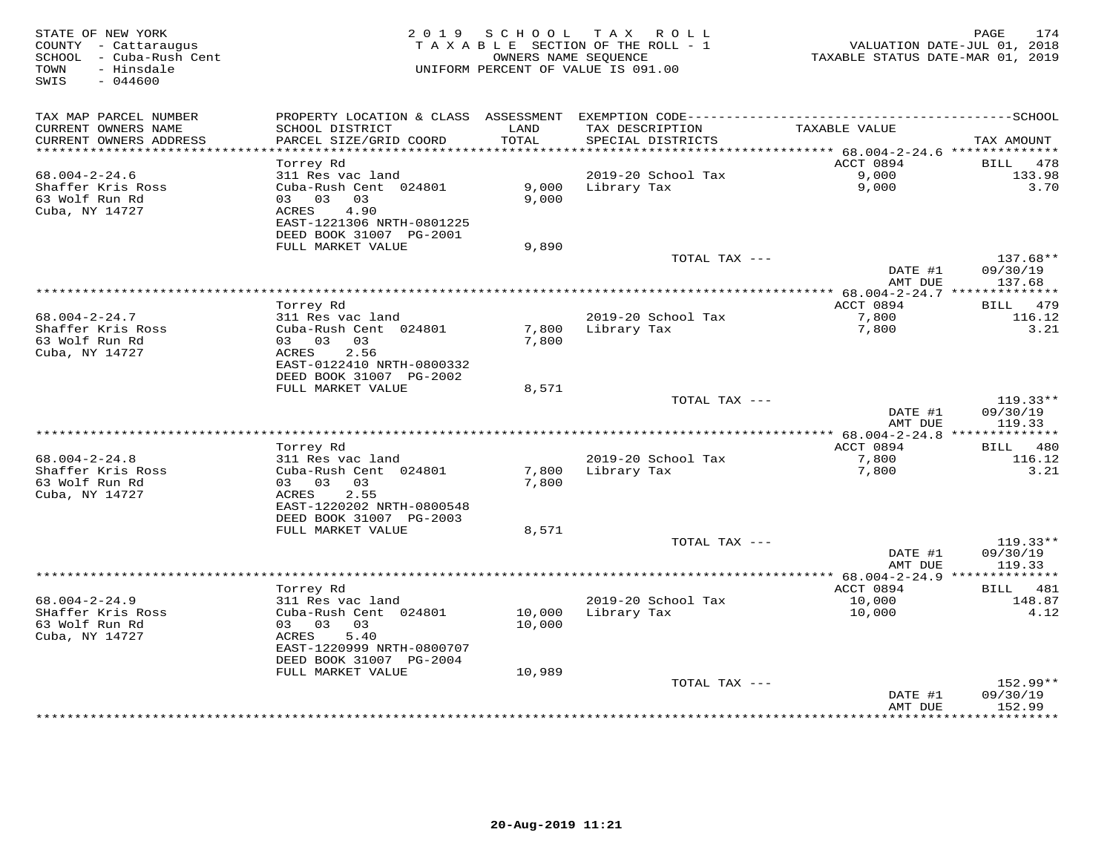| STATE OF NEW YORK<br>COUNTY - Cattaraugus<br>SCHOOL - Cuba-Rush Cent<br>- Hinsdale<br>TOWN<br>SWIS<br>$-044600$ |                                            | 2019 SCHOOL   | TAX ROLL<br>TAXABLE SECTION OF THE ROLL - 1<br>OWNERS NAME SEOUENCE<br>UNIFORM PERCENT OF VALUE IS 091.00 | TAXABLE STATUS DATE-MAR 01, 2019             | 174<br>PAGE<br>VALUATION DATE-JUL 01, 2018 |
|-----------------------------------------------------------------------------------------------------------------|--------------------------------------------|---------------|-----------------------------------------------------------------------------------------------------------|----------------------------------------------|--------------------------------------------|
| TAX MAP PARCEL NUMBER                                                                                           |                                            |               |                                                                                                           |                                              |                                            |
| CURRENT OWNERS NAME<br>CURRENT OWNERS ADDRESS                                                                   | SCHOOL DISTRICT<br>PARCEL SIZE/GRID COORD  | LAND<br>TOTAL | TAX DESCRIPTION<br>SPECIAL DISTRICTS                                                                      | TAXABLE VALUE                                | TAX AMOUNT                                 |
| ***********************                                                                                         |                                            |               |                                                                                                           |                                              |                                            |
| $68.004 - 2 - 24.6$                                                                                             | Torrey Rd<br>311 Res vac land              |               | 2019-20 School Tax                                                                                        | ACCT 0894<br>9,000                           | 478<br>BILL<br>133.98                      |
| Shaffer Kris Ross                                                                                               | Cuba-Rush Cent 024801                      | 9,000         | Library Tax                                                                                               | 9,000                                        | 3.70                                       |
| 63 Wolf Run Rd                                                                                                  | 03 03<br>03                                | 9,000         |                                                                                                           |                                              |                                            |
| Cuba, NY 14727                                                                                                  | 4.90<br>ACRES                              |               |                                                                                                           |                                              |                                            |
|                                                                                                                 | EAST-1221306 NRTH-0801225                  |               |                                                                                                           |                                              |                                            |
|                                                                                                                 | DEED BOOK 31007 PG-2001                    |               |                                                                                                           |                                              |                                            |
|                                                                                                                 | FULL MARKET VALUE                          | 9,890         |                                                                                                           |                                              |                                            |
|                                                                                                                 |                                            |               | TOTAL TAX ---                                                                                             |                                              | 137.68**                                   |
|                                                                                                                 |                                            |               |                                                                                                           | DATE #1<br>AMT DUE                           | 09/30/19<br>137.68                         |
|                                                                                                                 | ***********                                |               | **********************************                                                                        | ************ 68.004-2-24.7 ***************   |                                            |
|                                                                                                                 | Torrey Rd                                  |               |                                                                                                           | ACCT 0894                                    | 479<br>BILL                                |
| $68.004 - 2 - 24.7$                                                                                             | 311 Res vac land                           |               | 2019-20 School Tax                                                                                        | 7,800                                        | 116.12                                     |
| Shaffer Kris Ross                                                                                               | Cuba-Rush Cent 024801                      | 7,800         | Library Tax                                                                                               | 7,800                                        | 3.21                                       |
| 63 Wolf Run Rd                                                                                                  | 03 03 03                                   | 7,800         |                                                                                                           |                                              |                                            |
| Cuba, NY 14727                                                                                                  | ACRES<br>2.56<br>EAST-0122410 NRTH-0800332 |               |                                                                                                           |                                              |                                            |
|                                                                                                                 | DEED BOOK 31007 PG-2002                    |               |                                                                                                           |                                              |                                            |
|                                                                                                                 | FULL MARKET VALUE                          | 8,571         |                                                                                                           |                                              |                                            |
|                                                                                                                 |                                            |               | TOTAL TAX ---                                                                                             |                                              | $119.33**$                                 |
|                                                                                                                 |                                            |               |                                                                                                           | DATE #1                                      | 09/30/19                                   |
|                                                                                                                 |                                            |               |                                                                                                           | AMT DUE                                      | 119.33                                     |
|                                                                                                                 |                                            |               |                                                                                                           |                                              |                                            |
| $68.004 - 2 - 24.8$                                                                                             | Torrey Rd<br>311 Res vac land              |               | 2019-20 School Tax                                                                                        | ACCT 0894<br>7,800                           | <b>BILL</b><br>480<br>116.12               |
| Shaffer Kris Ross                                                                                               | Cuba-Rush Cent 024801                      | 7,800         | Library Tax                                                                                               | 7,800                                        | 3.21                                       |
| 63 Wolf Run Rd                                                                                                  | 03 03 03                                   | 7,800         |                                                                                                           |                                              |                                            |
| Cuba, NY 14727                                                                                                  | 2.55<br>ACRES                              |               |                                                                                                           |                                              |                                            |
|                                                                                                                 | EAST-1220202 NRTH-0800548                  |               |                                                                                                           |                                              |                                            |
|                                                                                                                 | DEED BOOK 31007 PG-2003                    |               |                                                                                                           |                                              |                                            |
|                                                                                                                 | FULL MARKET VALUE                          | 8,571         |                                                                                                           |                                              |                                            |
|                                                                                                                 |                                            |               | TOTAL TAX ---                                                                                             | DATE #1                                      | $119.33**$<br>09/30/19                     |
|                                                                                                                 |                                            |               |                                                                                                           | AMT DUE                                      | 119.33                                     |
|                                                                                                                 |                                            |               |                                                                                                           | ************** 68.004-2-24.9 *************** |                                            |
|                                                                                                                 | Torrey Rd                                  |               |                                                                                                           | ACCT 0894                                    | 481<br>BILL                                |
| $68.004 - 2 - 24.9$                                                                                             | 311 Res vac land                           |               | 2019-20 School Tax                                                                                        | 10,000                                       | 148.87                                     |
| SHaffer Kris Ross                                                                                               | Cuba-Rush Cent 024801                      | 10,000        | Library Tax                                                                                               | 10,000                                       | 4.12                                       |
| 63 Wolf Run Rd                                                                                                  | 03 03 03                                   | 10,000        |                                                                                                           |                                              |                                            |
| Cuba, NY 14727                                                                                                  | 5.40<br>ACRES<br>EAST-1220999 NRTH-0800707 |               |                                                                                                           |                                              |                                            |
|                                                                                                                 | DEED BOOK 31007 PG-2004                    |               |                                                                                                           |                                              |                                            |
|                                                                                                                 | FULL MARKET VALUE                          | 10,989        |                                                                                                           |                                              |                                            |
|                                                                                                                 |                                            |               | TOTAL TAX ---                                                                                             |                                              | 152.99**                                   |
|                                                                                                                 |                                            |               |                                                                                                           | DATE #1                                      | 09/30/19                                   |
|                                                                                                                 |                                            |               |                                                                                                           | AMT DUE<br>************                      | 152.99<br>. * * * * * * * * ·              |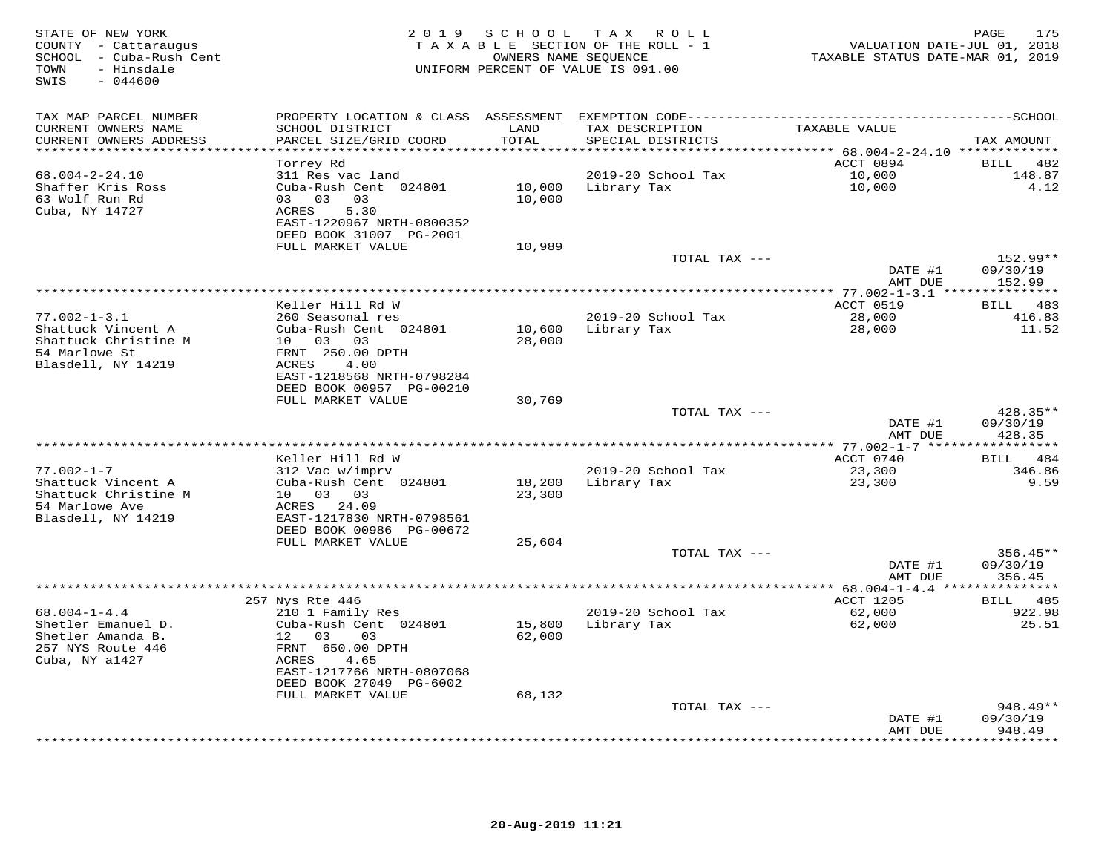| STATE OF NEW YORK<br>COUNTY - Cattaraugus<br>SCHOOL - Cuba-Rush Cent<br>- Hinsdale<br>TOWN<br>$-044600$<br>SWIS |                                                                                                          | 2019 SCHOOL      | T A X<br>R O L L<br>TAXABLE SECTION OF THE ROLL - 1<br>OWNERS NAME SEQUENCE<br>UNIFORM PERCENT OF VALUE IS 091.00 | VALUATION DATE-JUL 01, 2018<br>TAXABLE STATUS DATE-MAR 01, 2019 | 175<br>PAGE                  |
|-----------------------------------------------------------------------------------------------------------------|----------------------------------------------------------------------------------------------------------|------------------|-------------------------------------------------------------------------------------------------------------------|-----------------------------------------------------------------|------------------------------|
| TAX MAP PARCEL NUMBER                                                                                           | PROPERTY LOCATION & CLASS ASSESSMENT                                                                     |                  |                                                                                                                   |                                                                 | $---SCHOOL$                  |
| CURRENT OWNERS NAME<br>CURRENT OWNERS ADDRESS                                                                   | SCHOOL DISTRICT<br>PARCEL SIZE/GRID COORD                                                                | LAND<br>TOTAL    | TAX DESCRIPTION<br>SPECIAL DISTRICTS                                                                              | TAXABLE VALUE                                                   | TAX AMOUNT                   |
| *******************                                                                                             |                                                                                                          | *******          |                                                                                                                   | ****** 68.004-2-24.10 *************                             |                              |
| $68.004 - 2 - 24.10$                                                                                            | Torrey Rd<br>311 Res vac land                                                                            |                  | 2019-20 School Tax                                                                                                | ACCT 0894<br>10,000                                             | <b>BILL</b><br>482<br>148.87 |
| Shaffer Kris Ross                                                                                               | Cuba-Rush Cent 024801                                                                                    | 10,000           | Library Tax                                                                                                       | 10,000                                                          | 4.12                         |
| 63 Wolf Run Rd<br>Cuba, NY 14727                                                                                | 03 03<br>03<br>5.30<br>ACRES<br>EAST-1220967 NRTH-0800352<br>DEED BOOK 31007 PG-2001                     | 10,000           |                                                                                                                   |                                                                 |                              |
|                                                                                                                 | FULL MARKET VALUE                                                                                        | 10,989           |                                                                                                                   |                                                                 |                              |
|                                                                                                                 |                                                                                                          |                  | TOTAL TAX ---                                                                                                     |                                                                 | 152.99**                     |
|                                                                                                                 |                                                                                                          |                  |                                                                                                                   | DATE #1                                                         | 09/30/19                     |
|                                                                                                                 |                                                                                                          |                  |                                                                                                                   | AMT DUE<br>** 77.002-1-3.1 *****                                | 152.99                       |
|                                                                                                                 | Keller Hill Rd W                                                                                         |                  |                                                                                                                   | ACCT 0519                                                       | 483<br>BILL                  |
| $77.002 - 1 - 3.1$                                                                                              | 260 Seasonal res                                                                                         |                  | 2019-20 School Tax                                                                                                | 28,000                                                          | 416.83                       |
| Shattuck Vincent A                                                                                              | Cuba-Rush Cent 024801                                                                                    | 10,600           | Library Tax                                                                                                       | 28,000                                                          | 11.52                        |
| Shattuck Christine M<br>54 Marlowe St<br>Blasdell, NY 14219                                                     | 10  03  03<br>FRNT 250.00 DPTH<br>4.00<br>ACRES<br>EAST-1218568 NRTH-0798284<br>DEED BOOK 00957 PG-00210 | 28,000           |                                                                                                                   |                                                                 |                              |
|                                                                                                                 | FULL MARKET VALUE                                                                                        | 30,769           |                                                                                                                   |                                                                 |                              |
|                                                                                                                 |                                                                                                          |                  | TOTAL TAX ---                                                                                                     |                                                                 | 428.35**                     |
|                                                                                                                 |                                                                                                          |                  |                                                                                                                   | DATE #1<br>AMT DUE                                              | 09/30/19<br>428.35           |
|                                                                                                                 |                                                                                                          |                  |                                                                                                                   |                                                                 |                              |
| $77.002 - 1 - 7$                                                                                                | Keller Hill Rd W                                                                                         |                  | 2019-20 School Tax                                                                                                | ACCT 0740                                                       | 484<br>BILL<br>346.86        |
| Shattuck Vincent A                                                                                              | 312 Vac w/imprv<br>Cuba-Rush Cent 024801                                                                 | 18,200           | Library Tax                                                                                                       | 23,300<br>23,300                                                | 9.59                         |
| Shattuck Christine M                                                                                            | 10 03 03                                                                                                 | 23,300           |                                                                                                                   |                                                                 |                              |
| 54 Marlowe Ave                                                                                                  | ACRES 24.09                                                                                              |                  |                                                                                                                   |                                                                 |                              |
| Blasdell, NY 14219                                                                                              | EAST-1217830 NRTH-0798561                                                                                |                  |                                                                                                                   |                                                                 |                              |
|                                                                                                                 | DEED BOOK 00986 PG-00672                                                                                 |                  |                                                                                                                   |                                                                 |                              |
|                                                                                                                 | FULL MARKET VALUE                                                                                        | 25,604           | TOTAL TAX ---                                                                                                     |                                                                 | $356.45**$                   |
|                                                                                                                 |                                                                                                          |                  |                                                                                                                   | DATE #1                                                         | 09/30/19                     |
|                                                                                                                 |                                                                                                          |                  |                                                                                                                   | AMT DUE                                                         | 356.45                       |
|                                                                                                                 | ****************                                                                                         |                  |                                                                                                                   | ***** $68.004 - 1 - 4.4$ ***                                    | * * * * * * * * *            |
|                                                                                                                 | 257 Nys Rte 446                                                                                          |                  |                                                                                                                   | ACCT 1205                                                       | 485<br><b>BILL</b>           |
| $68.004 - 1 - 4.4$                                                                                              | 210 1 Family Res                                                                                         |                  | 2019-20 School Tax                                                                                                | 62,000                                                          | 922.98                       |
| Shetler Emanuel D.<br>Shetler Amanda B.<br>257 NYS Route 446<br>Cuba, NY a1427                                  | Cuba-Rush Cent 024801<br>12 03<br>03<br>FRNT 650.00 DPTH<br>ACRES<br>4.65<br>EAST-1217766 NRTH-0807068   | 15,800<br>62,000 | Library Tax                                                                                                       | 62,000                                                          | 25.51                        |
|                                                                                                                 | DEED BOOK 27049 PG-6002                                                                                  |                  |                                                                                                                   |                                                                 |                              |
|                                                                                                                 | FULL MARKET VALUE                                                                                        | 68,132           | TOTAL TAX ---                                                                                                     |                                                                 | $948.49**$                   |
|                                                                                                                 |                                                                                                          |                  |                                                                                                                   | DATE #1                                                         | 09/30/19                     |
|                                                                                                                 |                                                                                                          |                  |                                                                                                                   | AMT DUE                                                         | 948.49                       |
|                                                                                                                 |                                                                                                          |                  |                                                                                                                   |                                                                 | .                            |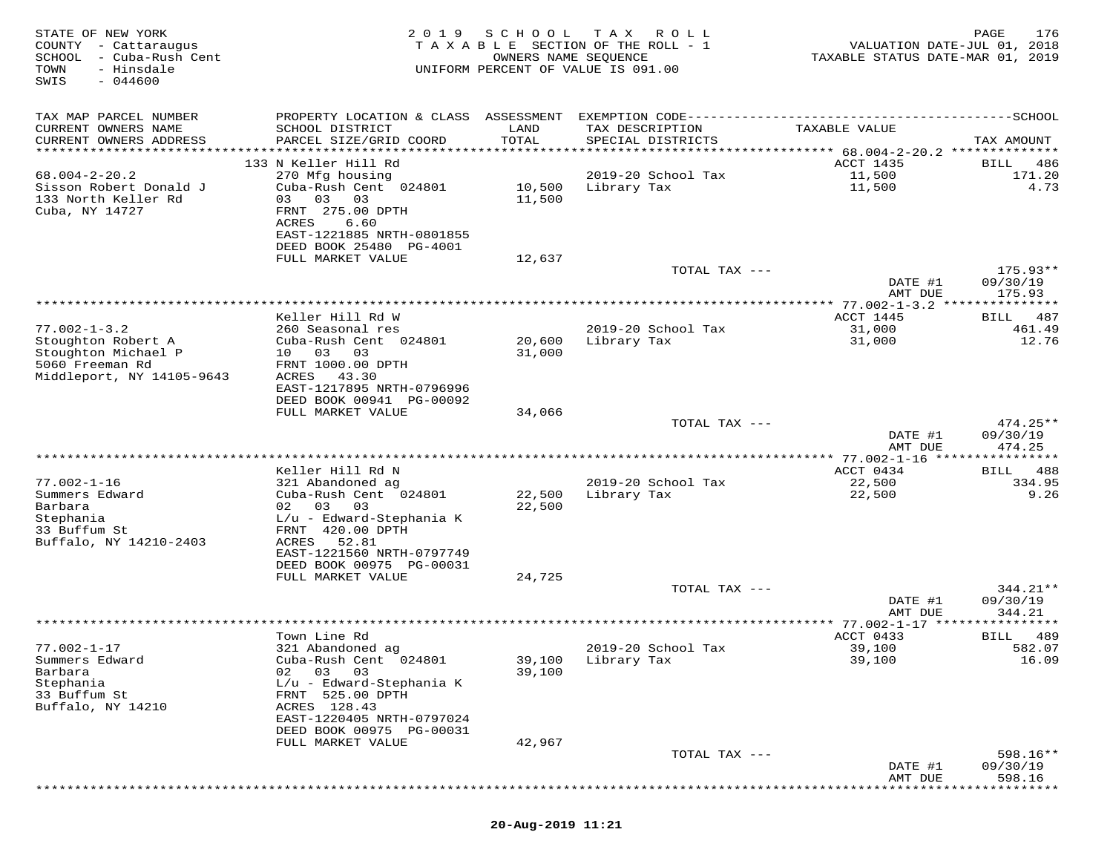| STATE OF NEW YORK<br>COUNTY - Cattaraugus<br>SCHOOL<br>- Cuba-Rush Cent<br>- Hinsdale<br>TOWN<br>$-044600$<br>SWIS | 2019                                                                                                                                                                                    | SCHOOL<br>OWNERS NAME SEQUENCE | T A X<br>R O L L<br>T A X A B L E SECTION OF THE ROLL - 1<br>UNIFORM PERCENT OF VALUE IS 091.00 | VALUATION DATE-JUL 01, 2018<br>TAXABLE STATUS DATE-MAR 01, 2019 | 176<br>PAGE                           |
|--------------------------------------------------------------------------------------------------------------------|-----------------------------------------------------------------------------------------------------------------------------------------------------------------------------------------|--------------------------------|-------------------------------------------------------------------------------------------------|-----------------------------------------------------------------|---------------------------------------|
| TAX MAP PARCEL NUMBER<br>CURRENT OWNERS NAME<br>CURRENT OWNERS ADDRESS                                             | SCHOOL DISTRICT<br>PARCEL SIZE/GRID COORD                                                                                                                                               | LAND<br>TOTAL                  | TAX DESCRIPTION<br>SPECIAL DISTRICTS                                                            | TAXABLE VALUE                                                   | TAX AMOUNT                            |
|                                                                                                                    |                                                                                                                                                                                         |                                |                                                                                                 |                                                                 |                                       |
| $68.004 - 2 - 20.2$<br>Sisson Robert Donald J<br>133 North Keller Rd<br>Cuba, NY 14727                             | 133 N Keller Hill Rd<br>270 Mfg housing<br>Cuba-Rush Cent 024801<br>03<br>03<br>03<br>FRNT 275.00 DPTH<br>ACRES<br>6.60<br>EAST-1221885 NRTH-0801855                                    | 10,500<br>11,500               | 2019-20 School Tax<br>Library Tax                                                               | ACCT 1435<br>11,500<br>11,500                                   | 486<br>BILL<br>171.20<br>4.73         |
|                                                                                                                    | DEED BOOK 25480 PG-4001<br>FULL MARKET VALUE                                                                                                                                            | 12,637                         | TOTAL TAX ---                                                                                   |                                                                 | $175.93**$                            |
|                                                                                                                    |                                                                                                                                                                                         |                                |                                                                                                 | DATE #1                                                         | 09/30/19                              |
|                                                                                                                    |                                                                                                                                                                                         |                                |                                                                                                 | AMT DUE<br>********* 77.002-1-3.2                               | 175.93<br>********                    |
| $77.002 - 1 - 3.2$<br>Stoughton Robert A<br>Stoughton Michael P                                                    | Keller Hill Rd W<br>260 Seasonal res<br>Cuba-Rush Cent 024801<br>10 03<br>03                                                                                                            | 20,600<br>31,000               | 2019-20 School Tax<br>Library Tax                                                               | ACCT 1445<br>31,000<br>31,000                                   | 487<br><b>BILL</b><br>461.49<br>12.76 |
| 5060 Freeman Rd<br>Middleport, NY 14105-9643                                                                       | FRNT 1000.00 DPTH<br>ACRES<br>43.30<br>EAST-1217895 NRTH-0796996<br>DEED BOOK 00941 PG-00092<br>FULL MARKET VALUE                                                                       | 34,066                         |                                                                                                 |                                                                 |                                       |
|                                                                                                                    |                                                                                                                                                                                         |                                | TOTAL TAX ---                                                                                   | DATE #1<br>AMT DUE                                              | $474.25**$<br>09/30/19<br>474.25      |
|                                                                                                                    |                                                                                                                                                                                         |                                |                                                                                                 |                                                                 | *********                             |
|                                                                                                                    | Keller Hill Rd N                                                                                                                                                                        |                                |                                                                                                 | ACCT 0434                                                       | 488<br>BILL                           |
| $77.002 - 1 - 16$<br>Summers Edward<br>Barbara<br>Stephania                                                        | 321 Abandoned ag<br>Cuba-Rush Cent 024801<br>03<br>02<br>03<br>$L/u$ - Edward-Stephania K                                                                                               | 22,500<br>22,500               | 2019-20 School Tax<br>Library Tax                                                               | 22,500<br>22,500                                                | 334.95<br>9.26                        |
| 33 Buffum St<br>Buffalo, NY 14210-2403                                                                             | FRNT 420.00 DPTH<br>ACRES<br>52.81<br>EAST-1221560 NRTH-0797749<br>DEED BOOK 00975 PG-00031                                                                                             |                                |                                                                                                 |                                                                 |                                       |
|                                                                                                                    | FULL MARKET VALUE                                                                                                                                                                       | 24,725                         |                                                                                                 |                                                                 |                                       |
|                                                                                                                    |                                                                                                                                                                                         |                                | TOTAL TAX ---                                                                                   | DATE #1<br>AMT DUE                                              | 344.21**<br>09/30/19<br>344.21        |
|                                                                                                                    |                                                                                                                                                                                         |                                |                                                                                                 |                                                                 | *********                             |
| $77.002 - 1 - 17$                                                                                                  | Town Line Rd<br>321 Abandoned ag                                                                                                                                                        |                                | 2019-20 School Tax                                                                              | ACCT 0433<br>39,100                                             | 489<br>BILL<br>582.07                 |
| Summers Edward<br>Barbara<br>Stephania<br>33 Buffum St<br>Buffalo, NY 14210                                        | Cuba-Rush Cent 024801<br>03<br>02<br>03<br>$L/u$ - Edward-Stephania K<br>FRNT 525.00 DPTH<br>ACRES 128.43<br>EAST-1220405 NRTH-0797024<br>DEED BOOK 00975 PG-00031<br>FULL MARKET VALUE | 39,100<br>39,100<br>42,967     | Library Tax                                                                                     | 39,100                                                          | 16.09                                 |
|                                                                                                                    |                                                                                                                                                                                         |                                | TOTAL TAX ---                                                                                   |                                                                 | $598.16**$                            |
|                                                                                                                    |                                                                                                                                                                                         |                                |                                                                                                 | DATE #1<br>AMT DUE                                              | 09/30/19<br>598.16                    |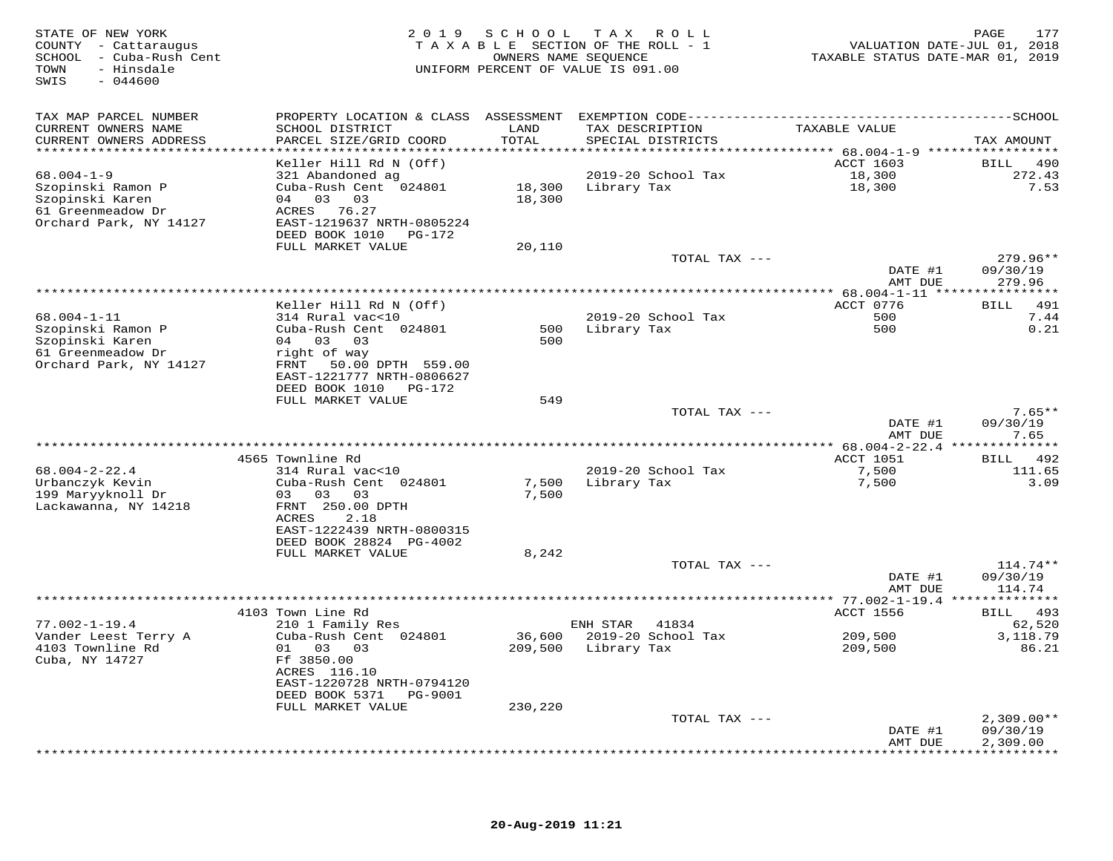| STATE OF NEW YORK<br>COUNTY - Cattaraugus<br>SCHOOL - Cuba-Rush Cent<br>TOWN<br>- Hinsdale<br>SWIS<br>$-044600$ |                                                        |         | 2019 SCHOOL TAX ROLL<br>TAXABLE SECTION OF THE ROLL - 1<br>OWNERS NAME SEQUENCE<br>UNIFORM PERCENT OF VALUE IS 091.00 | TAXABLE STATUS DATE-MAR 01, 2019 | 177<br>PAGE<br>VALUATION DATE-JUL 01, 2018 |
|-----------------------------------------------------------------------------------------------------------------|--------------------------------------------------------|---------|-----------------------------------------------------------------------------------------------------------------------|----------------------------------|--------------------------------------------|
| TAX MAP PARCEL NUMBER                                                                                           |                                                        |         |                                                                                                                       |                                  |                                            |
| CURRENT OWNERS NAME                                                                                             | SCHOOL DISTRICT                                        | LAND    | TAX DESCRIPTION                                                                                                       | TAXABLE VALUE                    |                                            |
| CURRENT OWNERS ADDRESS                                                                                          | PARCEL SIZE/GRID COORD                                 | TOTAL   | SPECIAL DISTRICTS                                                                                                     |                                  | TAX AMOUNT                                 |
| ***********************                                                                                         | ************************                               |         |                                                                                                                       |                                  |                                            |
| $68.004 - 1 - 9$                                                                                                | Keller Hill Rd N (Off)<br>321 Abandoned ag             |         | 2019-20 School Tax                                                                                                    | ACCT 1603<br>18,300              | <b>BILL</b><br>490<br>272.43               |
| Szopinski Ramon P                                                                                               | Cuba-Rush Cent 024801                                  | 18,300  | Library Tax                                                                                                           | 18,300                           | 7.53                                       |
| Szopinski Karen                                                                                                 | 04 03 03                                               | 18,300  |                                                                                                                       |                                  |                                            |
| 61 Greenmeadow Dr                                                                                               | ACRES 76.27                                            |         |                                                                                                                       |                                  |                                            |
| Orchard Park, NY 14127                                                                                          | EAST-1219637 NRTH-0805224                              |         |                                                                                                                       |                                  |                                            |
|                                                                                                                 | DEED BOOK 1010<br>PG-172                               |         |                                                                                                                       |                                  |                                            |
|                                                                                                                 | FULL MARKET VALUE                                      | 20,110  | TOTAL TAX ---                                                                                                         |                                  | $279.96**$                                 |
|                                                                                                                 |                                                        |         |                                                                                                                       | DATE #1                          | 09/30/19                                   |
|                                                                                                                 |                                                        |         |                                                                                                                       | AMT DUE                          | 279.96                                     |
|                                                                                                                 |                                                        |         |                                                                                                                       |                                  | * * * * * * * * *                          |
|                                                                                                                 | Keller Hill Rd N (Off)                                 |         |                                                                                                                       | ACCT 0776<br>500                 | 491<br>BILL<br>7.44                        |
| $68.004 - 1 - 11$<br>Szopinski Ramon P                                                                          | 314 Rural vac<10<br>Cuba-Rush Cent 024801              | 500     | 2019-20 School Tax<br>Library Tax                                                                                     | 500                              | 0.21                                       |
| Szopinski Karen                                                                                                 | 04 03<br>0 <sub>3</sub>                                | 500     |                                                                                                                       |                                  |                                            |
| 61 Greenmeadow Dr                                                                                               | right of way                                           |         |                                                                                                                       |                                  |                                            |
| Orchard Park, NY 14127                                                                                          | FRNT 50.00 DPTH 559.00                                 |         |                                                                                                                       |                                  |                                            |
|                                                                                                                 | EAST-1221777 NRTH-0806627                              |         |                                                                                                                       |                                  |                                            |
|                                                                                                                 | DEED BOOK 1010 PG-172<br>FULL MARKET VALUE             | 549     |                                                                                                                       |                                  |                                            |
|                                                                                                                 |                                                        |         | TOTAL TAX ---                                                                                                         |                                  | $7.65**$                                   |
|                                                                                                                 |                                                        |         |                                                                                                                       | DATE #1                          | 09/30/19                                   |
|                                                                                                                 |                                                        |         |                                                                                                                       | AMT DUE                          | 7.65                                       |
|                                                                                                                 |                                                        |         | **************************************                                                                                | ************** 68.004-2-22.4 *** | ********                                   |
| $68.004 - 2 - 22.4$                                                                                             | 4565 Townline Rd<br>314 Rural vac<10                   |         | 2019-20 School Tax                                                                                                    | ACCT 1051<br>7,500               | 492<br>BILL<br>111.65                      |
| Urbanczyk Kevin                                                                                                 | Cuba-Rush Cent 024801                                  | 7,500   | Library Tax                                                                                                           | 7,500                            | 3.09                                       |
| 199 Maryyknoll Dr                                                                                               | 03 03 03                                               | 7,500   |                                                                                                                       |                                  |                                            |
| Lackawanna, NY 14218                                                                                            | FRNT 250.00 DPTH                                       |         |                                                                                                                       |                                  |                                            |
|                                                                                                                 | ACRES<br>2.18                                          |         |                                                                                                                       |                                  |                                            |
|                                                                                                                 | EAST-1222439 NRTH-0800315                              |         |                                                                                                                       |                                  |                                            |
|                                                                                                                 | DEED BOOK 28824 PG-4002<br>FULL MARKET VALUE           | 8,242   |                                                                                                                       |                                  |                                            |
|                                                                                                                 |                                                        |         | TOTAL TAX ---                                                                                                         |                                  | $114.74**$                                 |
|                                                                                                                 |                                                        |         |                                                                                                                       | DATE #1                          | 09/30/19                                   |
|                                                                                                                 |                                                        |         |                                                                                                                       | AMT DUE                          | 114.74                                     |
|                                                                                                                 |                                                        |         |                                                                                                                       | ACCT 1556                        |                                            |
| $77.002 - 1 - 19.4$                                                                                             | 4103 Town Line Rd<br>210 1 Family Res                  |         | ENH STAR<br>41834                                                                                                     |                                  | BILL 493<br>62,520                         |
| Vander Leest Terry A                                                                                            | Cuba-Rush Cent 024801                                  |         | 36,600 2019-20 School Tax                                                                                             | 209,500                          | 3,118.79                                   |
| 4103 Townline Rd                                                                                                | 01 03<br>03                                            |         | 209,500 Library Tax                                                                                                   | 209,500                          | 86.21                                      |
| Cuba, NY 14727                                                                                                  | Ff 3850.00                                             |         |                                                                                                                       |                                  |                                            |
|                                                                                                                 | ACRES 116.10                                           |         |                                                                                                                       |                                  |                                            |
|                                                                                                                 | EAST-1220728 NRTH-0794120<br>DEED BOOK 5371<br>PG-9001 |         |                                                                                                                       |                                  |                                            |
|                                                                                                                 | FULL MARKET VALUE                                      | 230,220 |                                                                                                                       |                                  |                                            |
|                                                                                                                 |                                                        |         | TOTAL TAX ---                                                                                                         |                                  | $2,309.00**$                               |
|                                                                                                                 |                                                        |         |                                                                                                                       | DATE #1                          | 09/30/19                                   |
|                                                                                                                 |                                                        |         |                                                                                                                       | AMT DUE                          | 2,309.00                                   |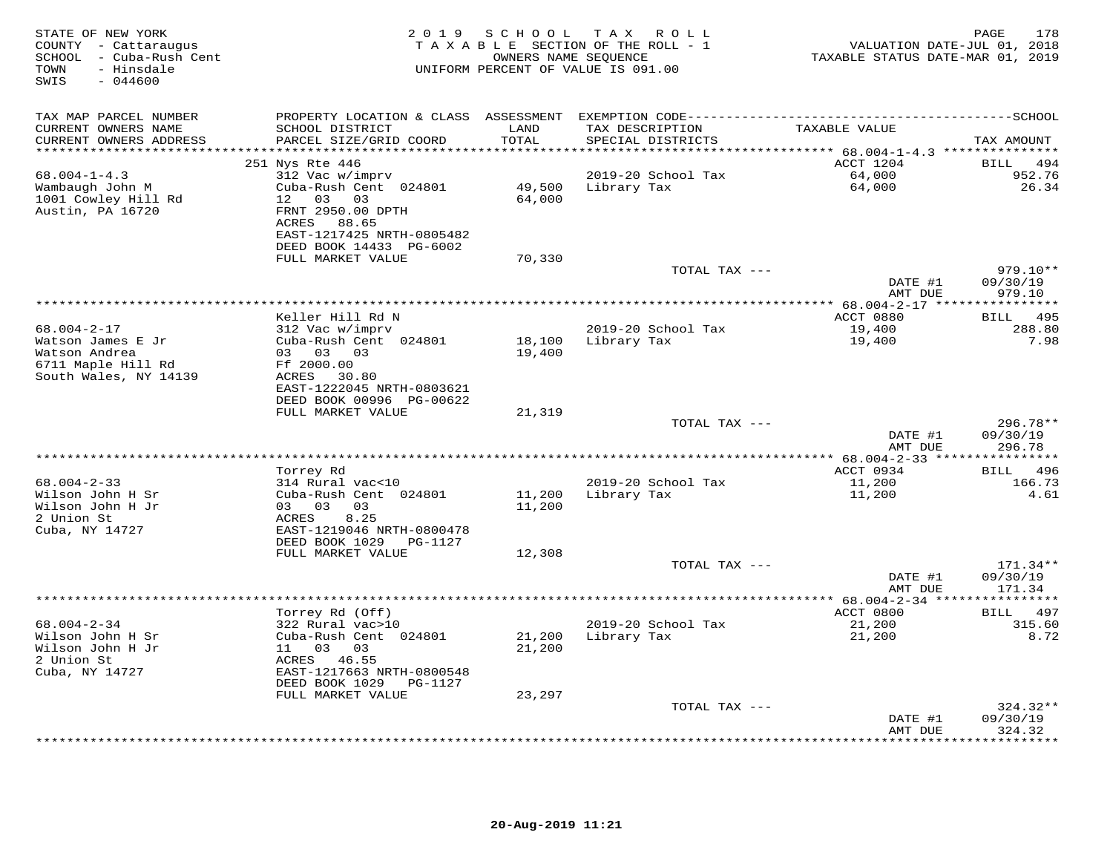| STATE OF NEW YORK<br>COUNTY - Cattaraugus<br>SCHOOL - Cuba-Rush Cent<br>- Hinsdale<br>TOWN<br>$-044600$<br>SWIS | 2 0 1 9                                                | S C H O O L   | TAX ROLL<br>TAXABLE SECTION OF THE ROLL - 1<br>OWNERS NAME SEQUENCE<br>UNIFORM PERCENT OF VALUE IS 091.00 | VALUATION DATE-JUL 01, 2018<br>TAXABLE STATUS DATE-MAR 01, 2019 | 178<br>PAGE                       |
|-----------------------------------------------------------------------------------------------------------------|--------------------------------------------------------|---------------|-----------------------------------------------------------------------------------------------------------|-----------------------------------------------------------------|-----------------------------------|
| TAX MAP PARCEL NUMBER                                                                                           |                                                        |               |                                                                                                           |                                                                 |                                   |
| CURRENT OWNERS NAME<br>CURRENT OWNERS ADDRESS                                                                   | SCHOOL DISTRICT<br>PARCEL SIZE/GRID COORD              | LAND<br>TOTAL | TAX DESCRIPTION<br>SPECIAL DISTRICTS                                                                      | TAXABLE VALUE                                                   | TAX AMOUNT                        |
| ***********************                                                                                         |                                                        |               |                                                                                                           | ACCT 1204                                                       |                                   |
| $68.004 - 1 - 4.3$                                                                                              | 251 Nys Rte 446<br>312 Vac w/imprv                     |               | 2019-20 School Tax                                                                                        | 64,000                                                          | BILL<br>494<br>952.76             |
| Wambaugh John M                                                                                                 | Cuba-Rush Cent 024801                                  | 49,500        | Library Tax                                                                                               | 64,000                                                          | 26.34                             |
| 1001 Cowley Hill Rd                                                                                             | 12 03 03                                               | 64,000        |                                                                                                           |                                                                 |                                   |
| Austin, PA 16720                                                                                                | FRNT 2950.00 DPTH<br>ACRES 88.65                       |               |                                                                                                           |                                                                 |                                   |
|                                                                                                                 | EAST-1217425 NRTH-0805482                              |               |                                                                                                           |                                                                 |                                   |
|                                                                                                                 | DEED BOOK 14433 PG-6002                                |               |                                                                                                           |                                                                 |                                   |
|                                                                                                                 | FULL MARKET VALUE                                      | 70,330        |                                                                                                           |                                                                 |                                   |
|                                                                                                                 |                                                        |               | TOTAL TAX ---                                                                                             |                                                                 | $979.10**$                        |
|                                                                                                                 |                                                        |               |                                                                                                           | DATE #1<br>AMT DUE                                              | 09/30/19<br>979.10                |
|                                                                                                                 | Keller Hill Rd N                                       |               |                                                                                                           | **************** 68.004-2-17 ****<br>ACCT 0880                  | ***********<br><b>BILL</b><br>495 |
| $68.004 - 2 - 17$                                                                                               | 312 Vac w/imprv                                        |               | 2019-20 School Tax                                                                                        | 19,400                                                          | 288.80                            |
| Watson James E Jr                                                                                               | Cuba-Rush Cent 024801                                  | 18,100        | Library Tax                                                                                               | 19,400                                                          | 7.98                              |
| Watson Andrea                                                                                                   | 03 03 03                                               | 19,400        |                                                                                                           |                                                                 |                                   |
| 6711 Maple Hill Rd                                                                                              | Ff 2000.00                                             |               |                                                                                                           |                                                                 |                                   |
| South Wales, NY 14139                                                                                           | ACRES 30.80                                            |               |                                                                                                           |                                                                 |                                   |
|                                                                                                                 | EAST-1222045 NRTH-0803621                              |               |                                                                                                           |                                                                 |                                   |
|                                                                                                                 | DEED BOOK 00996 PG-00622<br>FULL MARKET VALUE          | 21,319        |                                                                                                           |                                                                 |                                   |
|                                                                                                                 |                                                        |               | TOTAL TAX ---                                                                                             |                                                                 | 296.78**                          |
|                                                                                                                 |                                                        |               |                                                                                                           | DATE #1                                                         | 09/30/19                          |
|                                                                                                                 |                                                        |               |                                                                                                           | AMT DUE                                                         | 296.78                            |
|                                                                                                                 |                                                        |               |                                                                                                           | *********** 68.004-2-33 ****                                    | **********                        |
|                                                                                                                 | Torrey Rd                                              |               |                                                                                                           | ACCT 0934                                                       | <b>BILL</b><br>496                |
| $68.004 - 2 - 33$<br>Wilson John H Sr                                                                           | 314 Rural vac<10<br>Cuba-Rush Cent 024801              | 11,200        | 2019-20 School Tax<br>Library Tax                                                                         | 11,200                                                          | 166.73<br>4.61                    |
| Wilson John H Jr                                                                                                | 03 03<br>03                                            | 11,200        |                                                                                                           | 11,200                                                          |                                   |
| 2 Union St                                                                                                      | 8.25<br>ACRES                                          |               |                                                                                                           |                                                                 |                                   |
| Cuba, NY 14727                                                                                                  | EAST-1219046 NRTH-0800478                              |               |                                                                                                           |                                                                 |                                   |
|                                                                                                                 | DEED BOOK 1029<br>PG-1127                              |               |                                                                                                           |                                                                 |                                   |
|                                                                                                                 | FULL MARKET VALUE                                      | 12,308        |                                                                                                           |                                                                 |                                   |
|                                                                                                                 |                                                        |               | TOTAL TAX ---                                                                                             |                                                                 | $171.34**$                        |
|                                                                                                                 |                                                        |               |                                                                                                           | DATE #1<br>AMT DUE                                              | 09/30/19<br>171.34                |
|                                                                                                                 |                                                        |               |                                                                                                           |                                                                 |                                   |
|                                                                                                                 | Torrey Rd (Off)                                        |               |                                                                                                           | ACCT 0800                                                       | BILL 497                          |
| $68.004 - 2 - 34$                                                                                               | 322 Rural vac>10                                       |               | 2019-20 School Tax                                                                                        | 21,200                                                          | 315.60                            |
| Wilson John H Sr                                                                                                | Cuba-Rush Cent 024801                                  | 21,200        | Library Tax                                                                                               | 21,200                                                          | 8.72                              |
| Wilson John H Jr                                                                                                | 11 03 03                                               | 21,200        |                                                                                                           |                                                                 |                                   |
| 2 Union St                                                                                                      | ACRES 46.55                                            |               |                                                                                                           |                                                                 |                                   |
| Cuba, NY 14727                                                                                                  | EAST-1217663 NRTH-0800548<br>DEED BOOK 1029<br>PG-1127 |               |                                                                                                           |                                                                 |                                   |
|                                                                                                                 | FULL MARKET VALUE                                      | 23,297        |                                                                                                           |                                                                 |                                   |
|                                                                                                                 |                                                        |               | TOTAL TAX ---                                                                                             |                                                                 | $324.32**$                        |
|                                                                                                                 |                                                        |               |                                                                                                           | DATE #1                                                         | 09/30/19                          |
|                                                                                                                 |                                                        |               |                                                                                                           | AMT DUE                                                         | 324.32                            |
|                                                                                                                 |                                                        |               |                                                                                                           | ***********                                                     | * * * * * * *                     |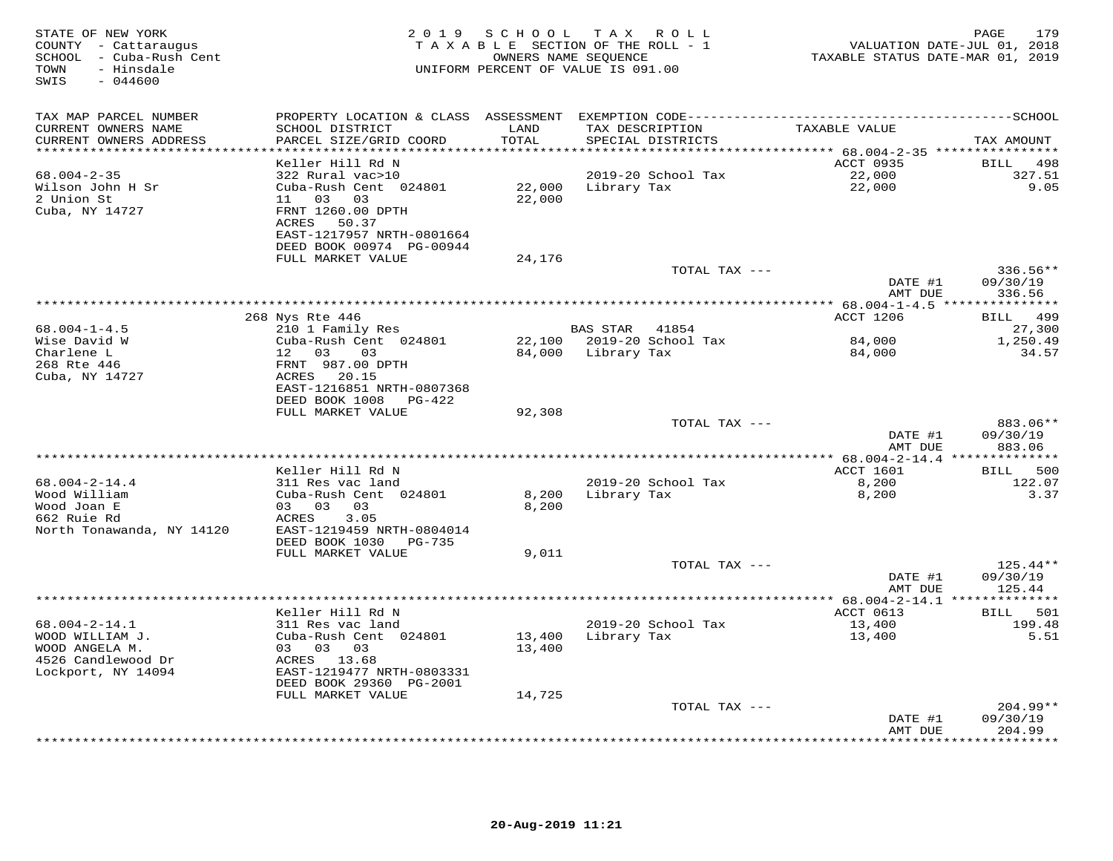| STATE OF NEW YORK<br>COUNTY - Cattaraugus<br>SCHOOL - Cuba-Rush Cent<br>- Hinsdale<br>TOWN<br>SWIS<br>$-044600$ |                                               | 2019 SCHOOL TAX  | R O L L<br>TAXABLE SECTION OF THE ROLL - 1<br>OWNERS NAME SEQUENCE<br>UNIFORM PERCENT OF VALUE IS 091.00 | VALUATION DATE-JUL 01, 2018<br>TAXABLE STATUS DATE-MAR 01, 2019 | 179<br>PAGE            |
|-----------------------------------------------------------------------------------------------------------------|-----------------------------------------------|------------------|----------------------------------------------------------------------------------------------------------|-----------------------------------------------------------------|------------------------|
| TAX MAP PARCEL NUMBER                                                                                           |                                               |                  |                                                                                                          |                                                                 |                        |
| CURRENT OWNERS NAME<br>CURRENT OWNERS ADDRESS                                                                   | SCHOOL DISTRICT<br>PARCEL SIZE/GRID COORD     | LAND<br>TOTAL    | TAX DESCRIPTION<br>SPECIAL DISTRICTS                                                                     | TAXABLE VALUE                                                   | TAX AMOUNT             |
| **********************                                                                                          |                                               |                  |                                                                                                          |                                                                 |                        |
| $68.004 - 2 - 35$                                                                                               | Keller Hill Rd N<br>322 Rural vac>10          |                  | 2019-20 School Tax                                                                                       | ACCT 0935<br>22,000                                             | BILL<br>498<br>327.51  |
| Wilson John H Sr                                                                                                | Cuba-Rush Cent 024801                         | 22,000           | Library Tax                                                                                              | 22,000                                                          | 9.05                   |
| 2 Union St                                                                                                      | 11 03 03                                      | 22,000           |                                                                                                          |                                                                 |                        |
| Cuba, NY 14727                                                                                                  | FRNT 1260.00 DPTH                             |                  |                                                                                                          |                                                                 |                        |
|                                                                                                                 | ACRES 50.37                                   |                  |                                                                                                          |                                                                 |                        |
|                                                                                                                 | EAST-1217957 NRTH-0801664                     |                  |                                                                                                          |                                                                 |                        |
|                                                                                                                 | DEED BOOK 00974 PG-00944<br>FULL MARKET VALUE | 24,176           |                                                                                                          |                                                                 |                        |
|                                                                                                                 |                                               |                  | TOTAL TAX ---                                                                                            |                                                                 | $336.56**$             |
|                                                                                                                 |                                               |                  |                                                                                                          | DATE #1                                                         | 09/30/19               |
|                                                                                                                 |                                               |                  |                                                                                                          | AMT DUE                                                         | 336.56                 |
|                                                                                                                 |                                               |                  |                                                                                                          | ***************** 68.004-1-4.5 ****                             | ***********            |
|                                                                                                                 | 268 Nys Rte 446                               |                  |                                                                                                          | ACCT 1206                                                       | 499<br>BILL            |
| $68.004 - 1 - 4.5$<br>Wise David W                                                                              | 210 1 Family Res<br>Cuba-Rush Cent 024801     |                  | BAS STAR<br>41854<br>22,100 2019-20 School Tax                                                           | 84,000                                                          | 27,300<br>1,250.49     |
| Charlene L                                                                                                      | 12 03<br>03                                   |                  | 84,000 Library Tax                                                                                       | 84,000                                                          | 34.57                  |
| 268 Rte 446                                                                                                     | FRNT 987.00 DPTH                              |                  |                                                                                                          |                                                                 |                        |
| Cuba, NY 14727                                                                                                  | ACRES 20.15                                   |                  |                                                                                                          |                                                                 |                        |
|                                                                                                                 | EAST-1216851 NRTH-0807368                     |                  |                                                                                                          |                                                                 |                        |
|                                                                                                                 | DEED BOOK 1008 PG-422<br>FULL MARKET VALUE    |                  |                                                                                                          |                                                                 |                        |
|                                                                                                                 |                                               | 92,308           | TOTAL TAX ---                                                                                            |                                                                 | 883.06**               |
|                                                                                                                 |                                               |                  |                                                                                                          | DATE #1                                                         | 09/30/19               |
|                                                                                                                 |                                               |                  |                                                                                                          | AMT DUE                                                         | 883.06                 |
|                                                                                                                 |                                               |                  |                                                                                                          | *********** 68.004-2-14.4 **                                    | * * * * * * * * * * *  |
|                                                                                                                 | Keller Hill Rd N                              |                  |                                                                                                          | ACCT 1601                                                       | 500<br><b>BILL</b>     |
| $68.004 - 2 - 14.4$<br>Wood William                                                                             | 311 Res vac land<br>Cuba-Rush Cent 024801     | 8,200            | 2019-20 School Tax<br>Library Tax                                                                        | 8,200<br>8,200                                                  | 122.07<br>3.37         |
| Wood Joan E                                                                                                     | 03 03 03                                      | 8,200            |                                                                                                          |                                                                 |                        |
| 662 Ruie Rd                                                                                                     | ACRES<br>3.05                                 |                  |                                                                                                          |                                                                 |                        |
| North Tonawanda, NY 14120                                                                                       | EAST-1219459 NRTH-0804014                     |                  |                                                                                                          |                                                                 |                        |
|                                                                                                                 | DEED BOOK 1030<br>$PG-735$                    |                  |                                                                                                          |                                                                 |                        |
|                                                                                                                 | FULL MARKET VALUE                             | 9,011            |                                                                                                          |                                                                 | $125.44**$             |
|                                                                                                                 |                                               |                  | TOTAL TAX ---                                                                                            | DATE #1                                                         | 09/30/19               |
|                                                                                                                 |                                               |                  |                                                                                                          | AMT DUE                                                         | 125.44                 |
|                                                                                                                 |                                               |                  |                                                                                                          |                                                                 |                        |
|                                                                                                                 | Keller Hill Rd N                              |                  |                                                                                                          | ACCT 0613                                                       | BILL 501               |
| $68.004 - 2 - 14.1$                                                                                             | 311 Res vac land                              |                  | 2019-20 School Tax                                                                                       | 13,400                                                          | 199.48                 |
| WOOD WILLIAM J.<br>WOOD ANGELA M.                                                                               | Cuba-Rush Cent 024801<br>03 03 03             | 13,400<br>13,400 | Library Tax                                                                                              | 13,400                                                          | 5.51                   |
| 4526 Candlewood Dr                                                                                              | ACRES 13.68                                   |                  |                                                                                                          |                                                                 |                        |
| Lockport, NY 14094                                                                                              | EAST-1219477 NRTH-0803331                     |                  |                                                                                                          |                                                                 |                        |
|                                                                                                                 | DEED BOOK 29360 PG-2001                       |                  |                                                                                                          |                                                                 |                        |
|                                                                                                                 | FULL MARKET VALUE                             | 14,725           |                                                                                                          |                                                                 |                        |
|                                                                                                                 |                                               |                  | TOTAL TAX ---                                                                                            | DATE #1                                                         | $204.99**$<br>09/30/19 |
|                                                                                                                 |                                               |                  |                                                                                                          | AMT DUE                                                         | 204.99                 |
|                                                                                                                 |                                               |                  |                                                                                                          |                                                                 | * * * * * * * *        |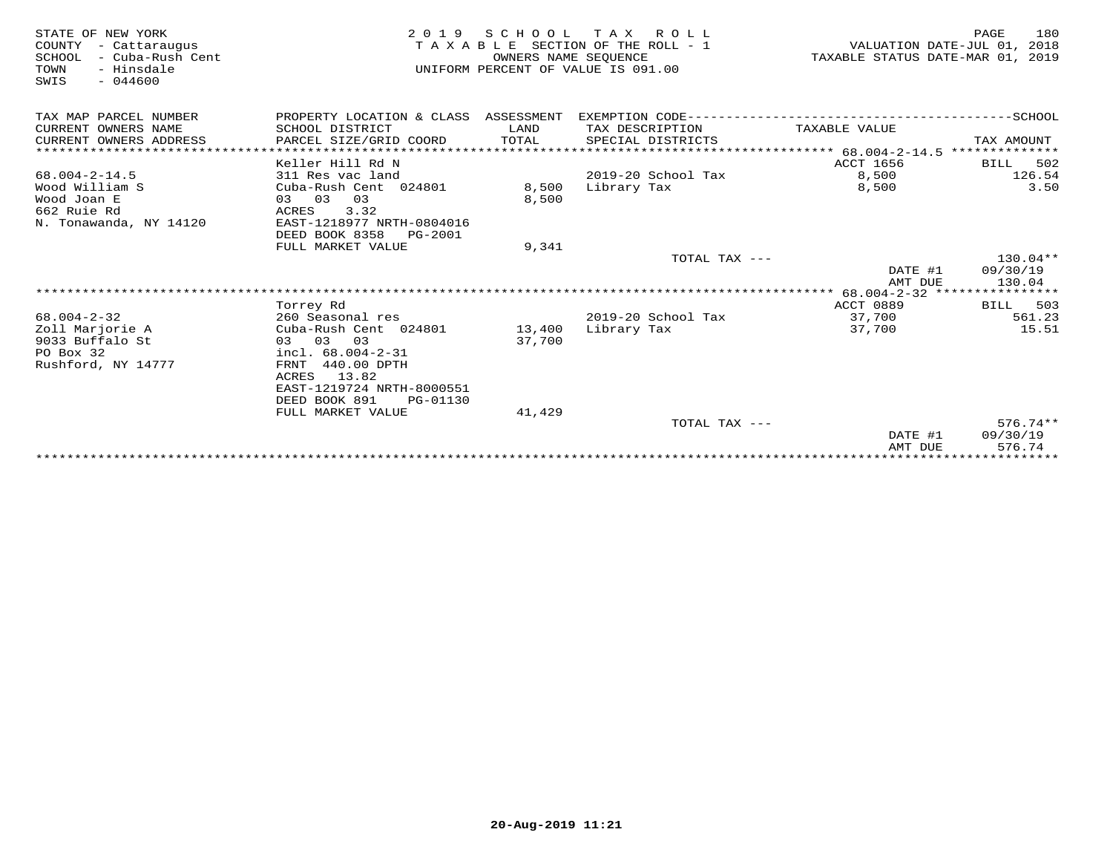| STATE OF NEW YORK<br>COUNTY<br>- Cattaraugus<br>- Cuba-Rush Cent<br>SCHOOL<br>- Hinsdale<br>TOWN<br>$-044600$<br>SWIS | 2 0 1 9                                                                                         | SCHOOL<br>OWNERS NAME SEOUENCE | TAX ROLL<br>TAXABLE SECTION OF THE ROLL - 1<br>UNIFORM PERCENT OF VALUE IS 091.00 | TAXABLE STATUS DATE-MAR 01, 2019           | 180<br>PAGE<br>VALUATION DATE-JUL 01, 2018 |
|-----------------------------------------------------------------------------------------------------------------------|-------------------------------------------------------------------------------------------------|--------------------------------|-----------------------------------------------------------------------------------|--------------------------------------------|--------------------------------------------|
| TAX MAP PARCEL NUMBER                                                                                                 | PROPERTY LOCATION & CLASS ASSESSMENT                                                            |                                | EXEMPTION CODE-------------------------                                           |                                            | $---------SCHOOL$                          |
| CURRENT OWNERS NAME                                                                                                   | SCHOOL DISTRICT                                                                                 | LAND                           | TAX DESCRIPTION                                                                   | TAXABLE VALUE                              |                                            |
| CURRENT OWNERS ADDRESS                                                                                                | PARCEL SIZE/GRID COORD                                                                          | TOTAL                          | SPECIAL DISTRICTS                                                                 |                                            | TAX AMOUNT                                 |
| ******************************                                                                                        |                                                                                                 |                                |                                                                                   |                                            |                                            |
|                                                                                                                       | Keller Hill Rd N                                                                                |                                |                                                                                   | ACCT 1656                                  | 502<br>BILL                                |
| $68.004 - 2 - 14.5$                                                                                                   | 311 Res vac land                                                                                |                                | $2019-20$ School Tax                                                              | 8,500                                      | 126.54                                     |
| Wood William S<br>Wood Joan E<br>662 Ruie Rd                                                                          | Cuba-Rush Cent 024801<br>03 03 03<br>3.32<br>ACRES                                              | 8,500<br>8,500                 | Library Tax                                                                       | 8,500                                      | 3.50                                       |
| N. Tonawanda, NY 14120                                                                                                | EAST-1218977 NRTH-0804016<br>DEED BOOK 8358<br>PG-2001                                          |                                |                                                                                   |                                            |                                            |
|                                                                                                                       | FULL MARKET VALUE                                                                               | 9,341                          |                                                                                   |                                            |                                            |
|                                                                                                                       |                                                                                                 |                                | TOTAL TAX ---                                                                     | DATE #1<br>AMT DUE                         | $130.04**$<br>09/30/19<br>130.04           |
|                                                                                                                       |                                                                                                 |                                |                                                                                   | ************ 68.004-2-32 ***************** |                                            |
|                                                                                                                       | Torrey Rd                                                                                       |                                |                                                                                   | ACCT 0889                                  | 503<br>BILL                                |
| $68.004 - 2 - 32$                                                                                                     | 260 Seasonal res                                                                                |                                | 2019-20 School Tax                                                                | 37,700                                     | 561.23<br>15.51                            |
| Zoll Marjorie A<br>9033 Buffalo St<br>PO Box 32<br>Rushford, NY 14777                                                 | Cuba-Rush Cent 024801<br>03 03 03<br>incl. $68.004 - 2 - 31$<br>FRNT 440.00 DPTH<br>ACRES 13.82 | 13,400<br>37,700               | Library Tax                                                                       | 37,700                                     |                                            |
|                                                                                                                       | EAST-1219724 NRTH-8000551<br>DEED BOOK 891<br>PG-01130                                          |                                |                                                                                   |                                            |                                            |
|                                                                                                                       | FULL MARKET VALUE                                                                               | 41,429                         |                                                                                   |                                            |                                            |
|                                                                                                                       |                                                                                                 |                                | TOTAL TAX ---                                                                     |                                            | $576.74**$                                 |
|                                                                                                                       |                                                                                                 |                                |                                                                                   | DATE #1<br>AMT DUE                         | 09/30/19<br>576.74                         |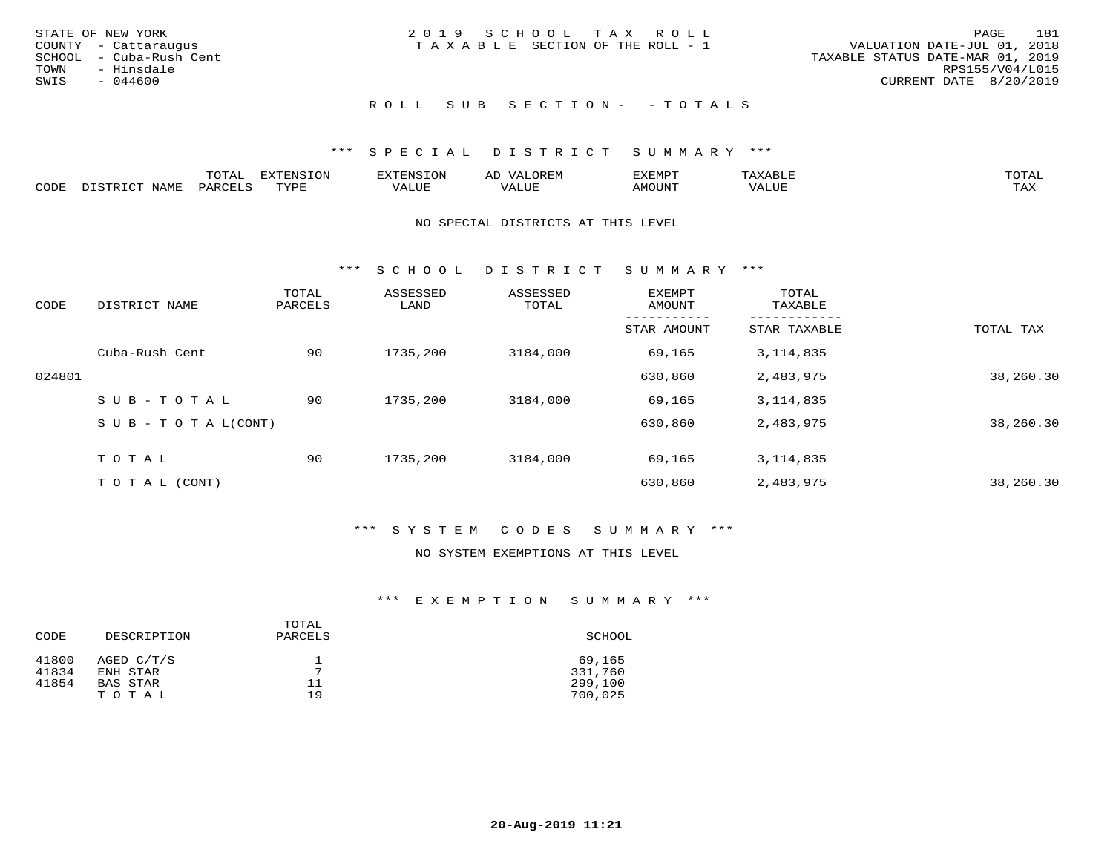|      | STATE OF NEW YORK       | 2019 SCHOOL TAX ROLL            |  |                                  | PAGE            | 181 |
|------|-------------------------|---------------------------------|--|----------------------------------|-----------------|-----|
|      | COUNTY - Cattaraugus    | TAXABLE SECTION OF THE ROLL - 1 |  | VALUATION DATE-JUL 01, 2018      |                 |     |
|      | SCHOOL - Cuba-Rush Cent |                                 |  | TAXABLE STATUS DATE-MAR 01, 2019 |                 |     |
|      | TOWN - Hinsdale         |                                 |  |                                  | RPS155/V04/L015 |     |
| SWIS | - 044600                |                                 |  | CURRENT DATE 8/20/2019           |                 |     |
|      |                         |                                 |  |                                  |                 |     |

# ROLL SUB SECTION - - TOTALS

## \*\*\* S P E C I A L D I S T R I C T S U M M A R Y \*\*\*

|      |      | $m \wedge m \wedge n$<br>.UIAL | <b>DIZPOILIC TONT</b><br>.UP | -------- |         | :XEMP' | $\Delta$<br>ו וכו | TOTAL |
|------|------|--------------------------------|------------------------------|----------|---------|--------|-------------------|-------|
| CODE | NAME | AR                             | TVDI                         | ALUI     | الاللطم | MOUN'I | ALUE              | TAX   |

#### NO SPECIAL DISTRICTS AT THIS LEVEL

\*\*\* S C H O O L D I S T R I C T S U M M A R Y \*\*\*

| CODE   | DISTRICT NAME                    | TOTAL<br>PARCELS | ASSESSED<br>LAND | ASSESSED<br>TOTAL | <b>EXEMPT</b><br>AMOUNT | TOTAL<br>TAXABLE |           |
|--------|----------------------------------|------------------|------------------|-------------------|-------------------------|------------------|-----------|
|        |                                  |                  |                  |                   | STAR AMOUNT             | STAR TAXABLE     | TOTAL TAX |
|        | Cuba-Rush Cent                   | 90               | 1735,200         | 3184,000          | 69,165                  | 3, 114, 835      |           |
| 024801 |                                  |                  |                  |                   | 630,860                 | 2,483,975        | 38,260.30 |
|        | SUB-TOTAL                        | 90               | 1735,200         | 3184,000          | 69,165                  | 3, 114, 835      |           |
|        | $S \cup B - T \cup T A L (CONT)$ |                  |                  |                   | 630,860                 | 2,483,975        | 38,260.30 |
|        | TOTAL                            | 90               | 1735,200         | 3184,000          | 69,165                  | 3, 114, 835      |           |
|        | T O T A L (CONT)                 |                  |                  |                   | 630,860                 | 2,483,975        | 38,260.30 |

## \*\*\* S Y S T E M C O D E S S U M M A R Y \*\*\*

## NO SYSTEM EXEMPTIONS AT THIS LEVEL

| CODE  | DESCRIPTION | TOTAL<br>PARCELS | SCHOOL  |
|-------|-------------|------------------|---------|
| 41800 | AGED C/T/S  | 7                | 69,165  |
| 41834 | ENH STAR    |                  | 331,760 |
| 41854 | BAS STAR    | 11               | 299,100 |
|       | TOTAL       | 19               | 700,025 |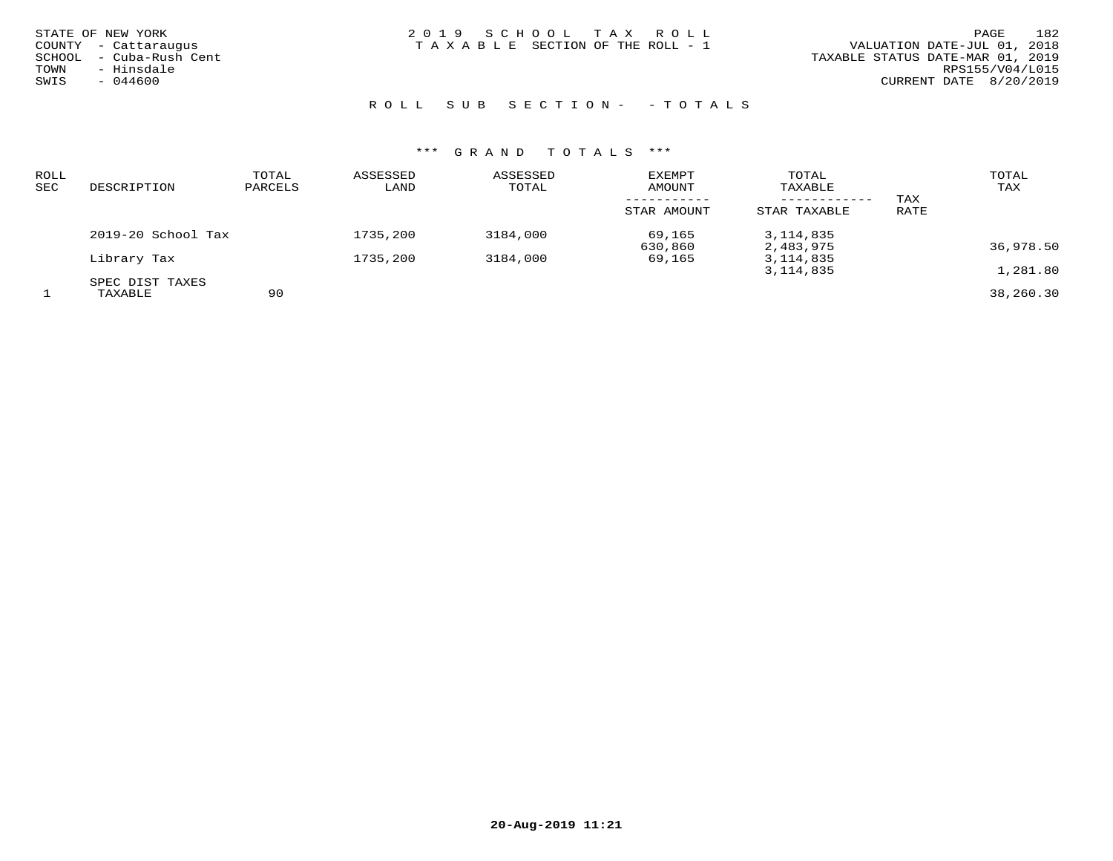| STATE OF NEW YORK |                         |
|-------------------|-------------------------|
|                   | COUNTY - Cattaraugus    |
|                   | SCHOOL - Cuba-Rush Cent |
| TOWN              | - Hinsdale              |
| SWIS              | $-044600$               |
|                   |                         |

STATE OF NEW YORK 2 0 1 9 S C H O O L T A X R O L L PAGE 182TAXABLE SECTION OF THE ROLL - 1

ROLL SUB SECTION - - TOTALS

| ROLL<br>SEC | DESCRIPTION          | TOTAL<br>PARCELS | ASSESSED<br>LAND | ASSESSED<br>TOTAL | EXEMPT<br>AMOUNT  | TOTAL<br>TAXABLE       | TAX  | TOTAL<br>TAX |
|-------------|----------------------|------------------|------------------|-------------------|-------------------|------------------------|------|--------------|
|             |                      |                  |                  |                   | STAR AMOUNT       | STAR TAXABLE           | RATE |              |
|             | $2019-20$ School Tax |                  | 1735,200         | 3184,000          | 69,165<br>630,860 | 3,114,835<br>2,483,975 |      | 36,978.50    |
|             | Library Tax          |                  | 1735,200         | 3184,000          | 69,165            | 3,114,835              |      |              |
|             | SPEC DIST TAXES      |                  |                  |                   |                   | 3,114,835              |      | 1,281.80     |
|             | TAXABLE              | 90               |                  |                   |                   |                        |      | 38,260.30    |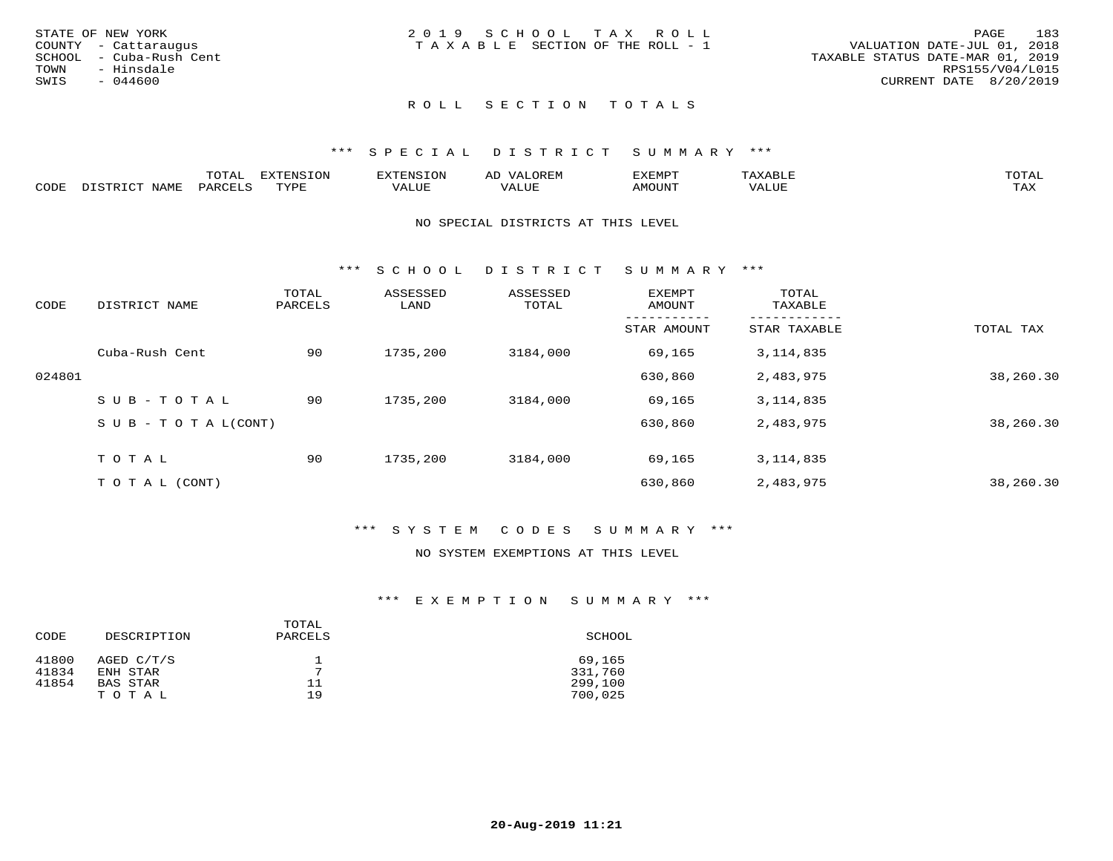| STATE OF NEW YORK       | 2019 SCHOOL TAX ROLL            | 183<br>PAGE                      |
|-------------------------|---------------------------------|----------------------------------|
|                         |                                 |                                  |
| COUNTY - Cattaraugus    | TAXABLE SECTION OF THE ROLL - 1 | VALUATION DATE-JUL 01, 2018      |
| SCHOOL - Cuba-Rush Cent |                                 | TAXABLE STATUS DATE-MAR 01, 2019 |
| TOWN<br>- Hinsdale      |                                 | RPS155/V04/L015                  |
| SWIS<br>$-044600$       |                                 | CURRENT DATE 8/20/2019           |
|                         |                                 |                                  |

#### \*\*\* S P E C I A L D I S T R I C T S U M M A R Y \*\*\*

|      |                  | momn'<br>TATAT     | <b>DYMONIC TONT</b><br>∸⊥∨ ບ⊥ບ⊥∨ | "NSTOL        | OREN                   | KEMPT: | $max$ and $max$ | $m \wedge m \wedge r$ |
|------|------------------|--------------------|----------------------------------|---------------|------------------------|--------|-----------------|-----------------------|
| CODE | NAME<br>, ד אידי | PARCF <sup>+</sup> | TVDE<br>. <u>.</u>               | <i>J</i> ALUE | . <del>.</del><br>ALUF | AMOUNT | ''ALUL          | TA Y<br>⊥ ∟∡∡         |

#### NO SPECIAL DISTRICTS AT THIS LEVEL

\*\*\* S C H O O L D I S T R I C T S U M M A R Y \*\*\*

| CODE   | DISTRICT NAME                    | TOTAL<br>PARCELS | ASSESSED<br>LAND | ASSESSED<br>TOTAL | EXEMPT<br>AMOUNT | TOTAL<br>TAXABLE |           |
|--------|----------------------------------|------------------|------------------|-------------------|------------------|------------------|-----------|
|        |                                  |                  |                  |                   | STAR AMOUNT      | STAR TAXABLE     | TOTAL TAX |
|        | Cuba-Rush Cent                   | 90               | 1735,200         | 3184,000          | 69,165           | 3, 114, 835      |           |
| 024801 |                                  |                  |                  |                   | 630,860          | 2,483,975        | 38,260.30 |
|        | $SUB - TO TAL$                   | 90               | 1735,200         | 3184,000          | 69,165           | 3, 114, 835      |           |
|        | $S \cup B - T \cup T A L (CONT)$ |                  |                  |                   | 630,860          | 2,483,975        | 38,260.30 |
|        | TOTAL                            | 90               | 1735,200         | 3184,000          | 69,165           | 3, 114, 835      |           |
|        | T O T A L (CONT)                 |                  |                  |                   | 630,860          | 2,483,975        | 38,260.30 |

#### \*\*\* S Y S T E M C O D E S S U M M A R Y \*\*\*

## NO SYSTEM EXEMPTIONS AT THIS LEVEL

| CODE           | DESCRIPTION            | TOTAL<br>PARCELS | SCHOOL            |
|----------------|------------------------|------------------|-------------------|
| 41800<br>41834 | AGED C/T/S<br>ENH STAR | $\overline{ }$   | 69,165<br>331,760 |
| 41854          | BAS STAR               | 11               | 299,100           |
|                | TOTAL                  | 19               | 700,025           |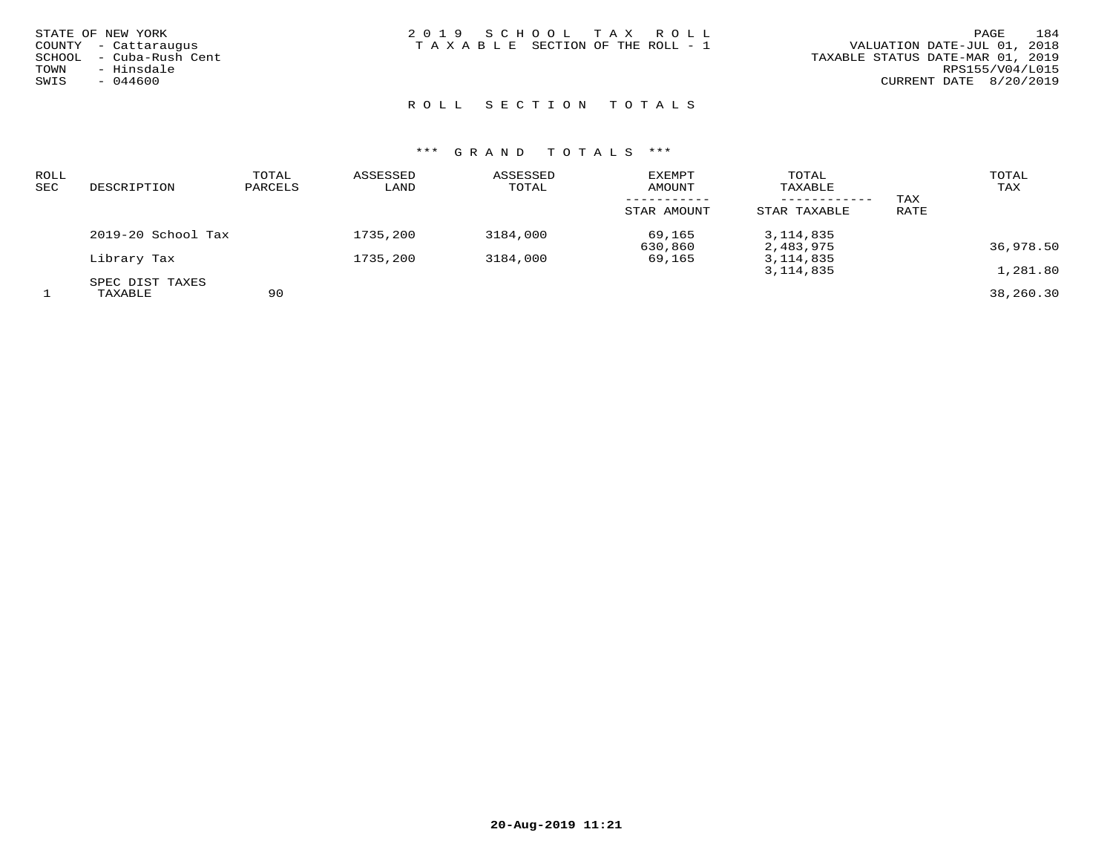| STATE OF NEW YORK       | 2019 SCHOOL TAX ROLL                  | 184<br>PAGE                      |
|-------------------------|---------------------------------------|----------------------------------|
| COUNTY - Cattaraugus    | T A X A B L E SECTION OF THE ROLL - 1 | VALUATION DATE-JUL 01, 2018      |
| SCHOOL - Cuba-Rush Cent |                                       | TAXABLE STATUS DATE-MAR 01, 2019 |
| - Hinsdale<br>TOWN      |                                       | RPS155/V04/L015                  |
| $-044600$<br>SWIS       |                                       | CURRENT DATE 8/20/2019           |
|                         |                                       |                                  |
|                         |                                       |                                  |

## R O L L S E C T I O N T O T A L S

| ROLL<br>SEC | DESCRIPTION        | TOTAL<br>PARCELS | ASSESSED<br>LAND | ASSESSED<br>TOTAL | EXEMPT<br>AMOUNT | TOTAL<br>TAXABLE |      | TOTAL<br>TAX |
|-------------|--------------------|------------------|------------------|-------------------|------------------|------------------|------|--------------|
|             |                    |                  |                  |                   |                  | ___________      | TAX  |              |
|             |                    |                  |                  |                   | STAR AMOUNT      | STAR TAXABLE     | RATE |              |
|             | 2019-20 School Tax |                  | 1735,200         | 3184,000          | 69,165           | 3, 114, 835      |      |              |
|             |                    |                  |                  |                   | 630,860          | 2,483,975        |      | 36,978.50    |
|             | Library Tax        |                  | 1735,200         | 3184,000          | 69,165           | 3, 114, 835      |      |              |
|             |                    |                  |                  |                   |                  | 3, 114, 835      |      | 1,281.80     |
|             | SPEC DIST TAXES    |                  |                  |                   |                  |                  |      |              |
|             | TAXABLE            | 90               |                  |                   |                  |                  |      | 38,260.30    |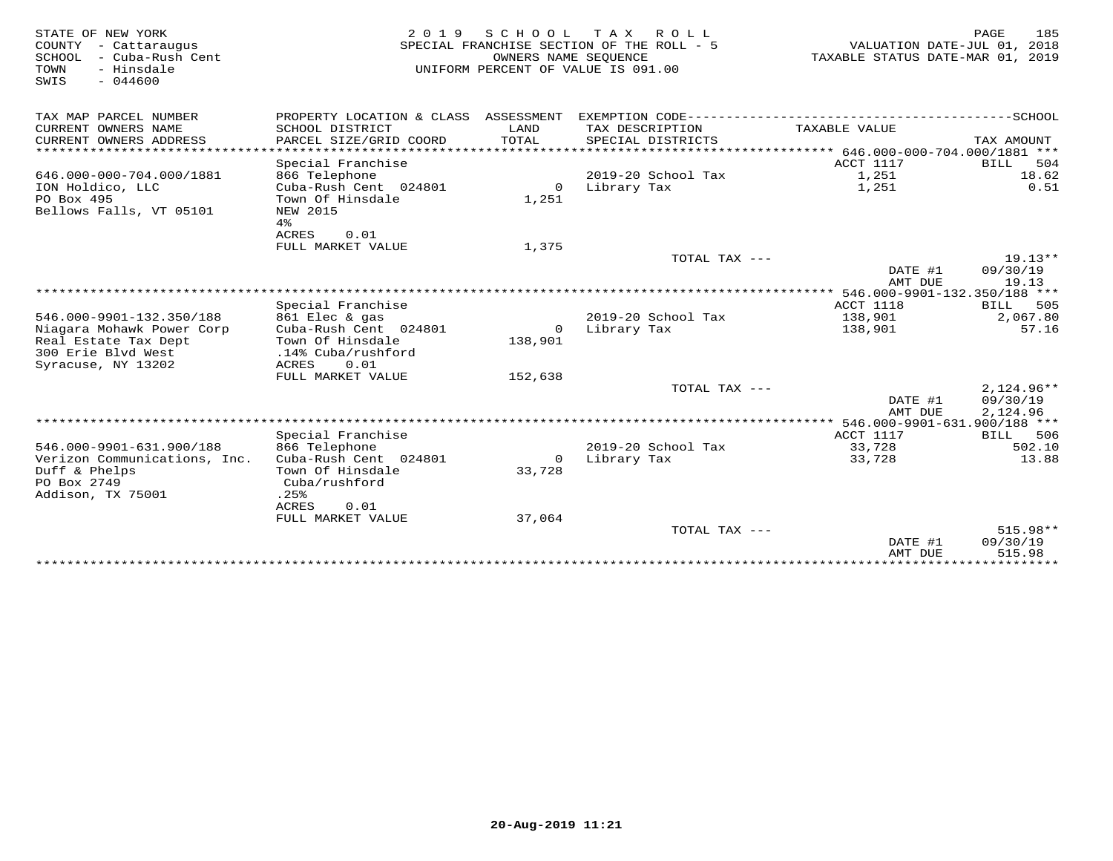| STATE OF NEW YORK<br>COUNTY - Cattaraugus<br>SCHOOL<br>– Cuba-Rush Cent<br>- Hinsdale<br>TOWN<br>$-044600$<br>SWIS | 2 0 1 9                                                 | OWNERS NAME SEQUENCE | SCHOOL TAX ROLL<br>SPECIAL FRANCHISE SECTION OF THE ROLL - 5<br>UNIFORM PERCENT OF VALUE IS 091.00 | VALUATION DATE-JUL 01, 2018<br>TAXABLE STATUS DATE-MAR 01, 2019 | 185<br>PAGE           |
|--------------------------------------------------------------------------------------------------------------------|---------------------------------------------------------|----------------------|----------------------------------------------------------------------------------------------------|-----------------------------------------------------------------|-----------------------|
| TAX MAP PARCEL NUMBER<br>CURRENT OWNERS NAME                                                                       | PROPERTY LOCATION & CLASS ASSESSMENT<br>SCHOOL DISTRICT | LAND                 | TAX DESCRIPTION                                                                                    | TAXABLE VALUE                                                   |                       |
| CURRENT OWNERS ADDRESS<br>************************                                                                 | PARCEL SIZE/GRID COORD                                  | TOTAL                | SPECIAL DISTRICTS                                                                                  |                                                                 | TAX AMOUNT            |
|                                                                                                                    |                                                         |                      |                                                                                                    |                                                                 |                       |
| 646.000-000-704.000/1881                                                                                           | Special Franchise<br>866 Telephone                      |                      | 2019-20 School Tax                                                                                 | ACCT 1117<br>1,251                                              | 504<br>BILL<br>18.62  |
| ION Holdico, LLC                                                                                                   | Cuba-Rush Cent 024801                                   | $\circ$              | Library Tax                                                                                        | 1,251                                                           | 0.51                  |
| PO Box 495                                                                                                         | Town Of Hinsdale                                        | 1,251                |                                                                                                    |                                                                 |                       |
| Bellows Falls, VT 05101                                                                                            | NEW 2015                                                |                      |                                                                                                    |                                                                 |                       |
|                                                                                                                    | $4\,$                                                   |                      |                                                                                                    |                                                                 |                       |
|                                                                                                                    | ACRES<br>0.01                                           |                      |                                                                                                    |                                                                 |                       |
|                                                                                                                    | FULL MARKET VALUE                                       | 1,375                | TOTAL TAX ---                                                                                      |                                                                 | $19.13**$             |
|                                                                                                                    |                                                         |                      |                                                                                                    | DATE #1                                                         | 09/30/19              |
|                                                                                                                    |                                                         |                      |                                                                                                    | AMT DUE                                                         | 19.13                 |
|                                                                                                                    |                                                         |                      |                                                                                                    | ************ 546.000-9901-132.350/188 ***                       |                       |
|                                                                                                                    | Special Franchise                                       |                      |                                                                                                    | ACCT 1118                                                       | BILL<br>505           |
| 546.000-9901-132.350/188                                                                                           | 861 Elec & gas                                          |                      | 2019-20 School Tax                                                                                 | 138,901                                                         | 2,067.80              |
| Niagara Mohawk Power Corp                                                                                          | Cuba-Rush Cent 024801                                   | $\overline{0}$       | Library Tax                                                                                        | 138,901                                                         | 57.16                 |
| Real Estate Tax Dept                                                                                               | Town Of Hinsdale                                        | 138,901              |                                                                                                    |                                                                 |                       |
| 300 Erie Blyd West                                                                                                 | .14% Cuba/rushford                                      |                      |                                                                                                    |                                                                 |                       |
| Syracuse, NY 13202                                                                                                 | ACRES<br>0.01                                           |                      |                                                                                                    |                                                                 |                       |
|                                                                                                                    | FULL MARKET VALUE                                       | 152,638              |                                                                                                    |                                                                 |                       |
|                                                                                                                    |                                                         |                      | TOTAL TAX ---                                                                                      |                                                                 | $2,124.96**$          |
|                                                                                                                    |                                                         |                      |                                                                                                    | DATE #1                                                         | 09/30/19              |
|                                                                                                                    |                                                         |                      |                                                                                                    | AMT DUE                                                         | 2,124.96              |
|                                                                                                                    |                                                         |                      |                                                                                                    |                                                                 |                       |
|                                                                                                                    | Special Franchise                                       |                      |                                                                                                    | ACCT 1117<br>33,728                                             | 506<br>BILL<br>502.10 |
| 546.000-9901-631.900/188<br>Verizon Communications, Inc.                                                           | 866 Telephone<br>Cuba-Rush Cent 024801                  | 0                    | $2019-20$ School Tax<br>Library Tax                                                                | 33,728                                                          | 13.88                 |
| Duff & Phelps                                                                                                      | Town Of Hinsdale                                        | 33,728               |                                                                                                    |                                                                 |                       |
| PO Box 2749                                                                                                        | Cuba/rushford                                           |                      |                                                                                                    |                                                                 |                       |
| Addison, TX 75001                                                                                                  | .25%                                                    |                      |                                                                                                    |                                                                 |                       |
|                                                                                                                    | ACRES<br>0.01                                           |                      |                                                                                                    |                                                                 |                       |
|                                                                                                                    | FULL MARKET VALUE                                       | 37,064               |                                                                                                    |                                                                 |                       |
|                                                                                                                    |                                                         |                      | TOTAL TAX $---$                                                                                    |                                                                 | 515.98**              |
|                                                                                                                    |                                                         |                      |                                                                                                    | DATE #1                                                         | 09/30/19              |
|                                                                                                                    |                                                         |                      |                                                                                                    | AMT DUE                                                         | 515.98                |
|                                                                                                                    |                                                         |                      |                                                                                                    |                                                                 |                       |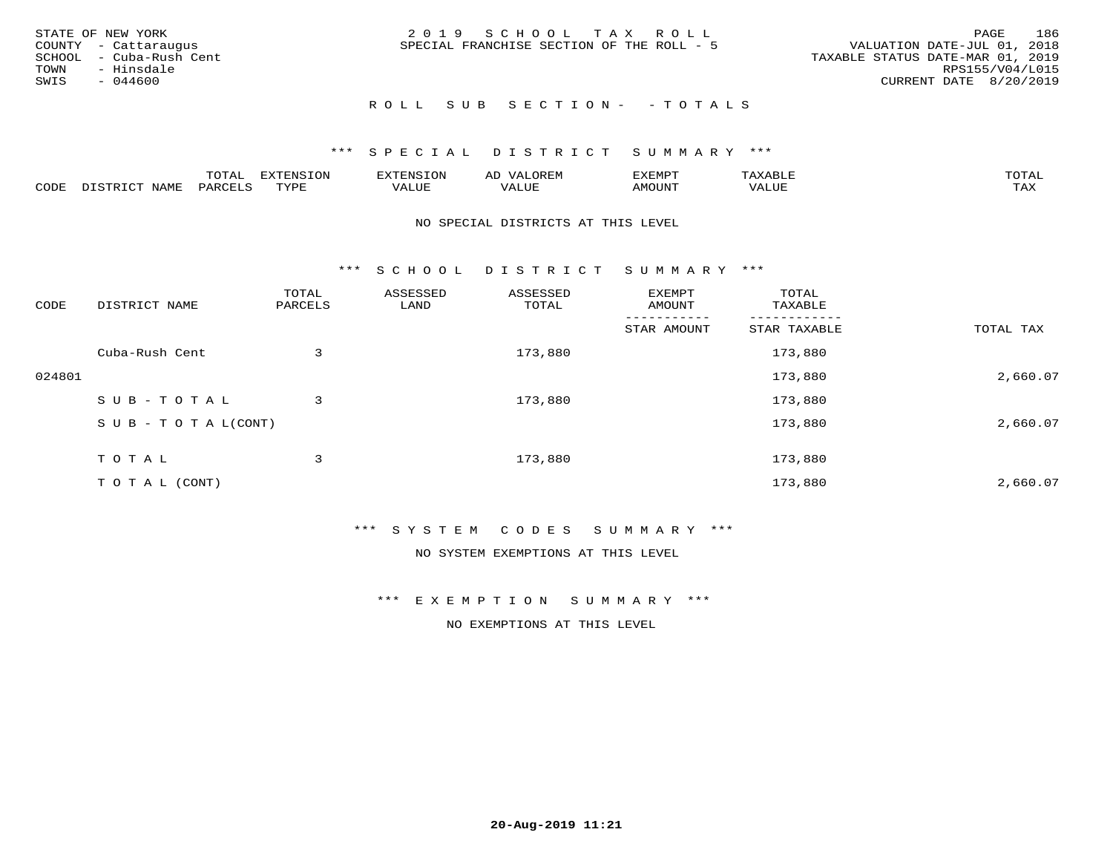|      | STATE OF NEW YORK       | 2019 SCHOOL TAX ROLL                      | 186<br>PAGE                      |
|------|-------------------------|-------------------------------------------|----------------------------------|
|      | COUNTY - Cattaraugus    | SPECIAL FRANCHISE SECTION OF THE ROLL - 5 | VALUATION DATE-JUL 01, 2018      |
|      | SCHOOL - Cuba-Rush Cent |                                           | TAXABLE STATUS DATE-MAR 01, 2019 |
|      | TOWN - Hinsdale         |                                           | RPS155/V04/L015                  |
| SWIS | - 044600                |                                           | CURRENT DATE 8/20/2019           |
|      |                         |                                           |                                  |

# ROLL SUB SECTION - - TOTALS

## \*\*\* S P E C I A L D I S T R I C T S U M M A R Y \*\*\*

|      |         | ----                | $\cdots$ | <b>ENS</b> | ₩    | דסMדצי       |                   | $m \wedge m \wedge n$ |
|------|---------|---------------------|----------|------------|------|--------------|-------------------|-----------------------|
| CODE | ៶៲៳៲៴៲៷ | <b>ACTIVE</b><br>ΆR | TVDF     | ALUE       | ALUE | <b>NOUNT</b> | <b>TTT</b><br>⊐∪∟ | ГAX                   |

#### NO SPECIAL DISTRICTS AT THIS LEVEL

\*\*\* S C H O O L D I S T R I C T S U M M A R Y \*\*\*

| CODE   | DISTRICT NAME                    | TOTAL<br>PARCELS | ASSESSED<br>LAND | ASSESSED<br>TOTAL | EXEMPT<br>AMOUNT | TOTAL<br>TAXABLE |           |
|--------|----------------------------------|------------------|------------------|-------------------|------------------|------------------|-----------|
|        |                                  |                  |                  |                   | STAR AMOUNT      | STAR TAXABLE     | TOTAL TAX |
|        | Cuba-Rush Cent                   | 3                |                  | 173,880           |                  | 173,880          |           |
| 024801 |                                  |                  |                  |                   |                  | 173,880          | 2,660.07  |
|        | SUB-TOTAL                        | 3                |                  | 173,880           |                  | 173,880          |           |
|        | $S \cup B - T \cup T A L (CONT)$ |                  |                  |                   |                  | 173,880          | 2,660.07  |
|        | TOTAL                            | 3                |                  | 173,880           |                  | 173,880          |           |
|        | T O T A L (CONT)                 |                  |                  |                   |                  | 173,880          | 2,660.07  |

#### \*\*\* S Y S T E M C O D E S S U M M A R Y \*\*\*

NO SYSTEM EXEMPTIONS AT THIS LEVEL

\*\*\* E X E M P T I O N S U M M A R Y \*\*\*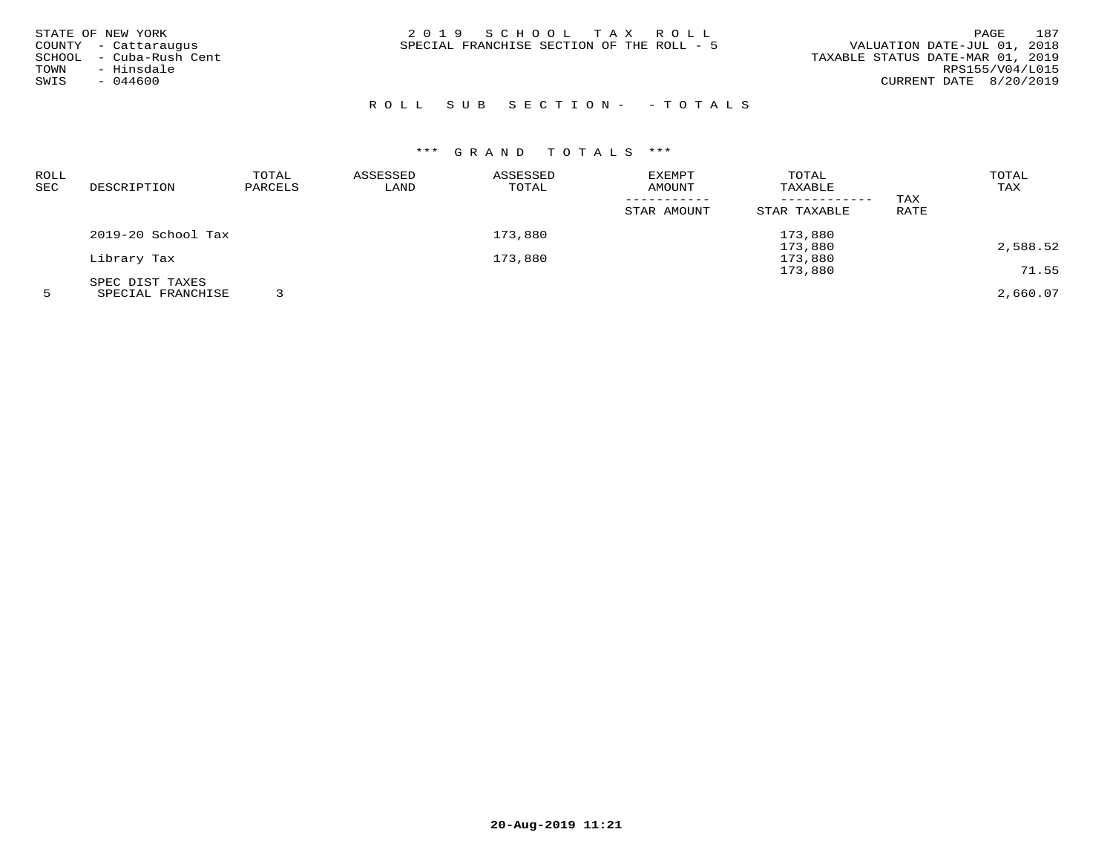| STATE OF NEW YORK<br>COUNTY - Cattaraugus<br>SCHOOL - Cuba-Rush Cent | 2019 SCHOOL TAX ROLL<br>SPECIAL FRANCHISE SECTION OF THE ROLL - 5 | 187<br>PAGE<br>VALUATION DATE-JUL 01, 2018<br>TAXABLE STATUS DATE-MAR 01, 2019 |
|----------------------------------------------------------------------|-------------------------------------------------------------------|--------------------------------------------------------------------------------|
| - Hinsdale<br>TOWN<br>$-044600$<br>SWIS                              |                                                                   | RPS155/V04/L015<br>CURRENT DATE 8/20/2019                                      |

## ROLL SUB SECTION- - TOTALS

# \*\*\* G R A N D T O T A L S \*\*\*

| ROLL |                    | TOTAL   | ASSESSED | ASSESSED | <b>EXEMPT</b> | TOTAL        |      | TOTAL    |
|------|--------------------|---------|----------|----------|---------------|--------------|------|----------|
| SEC  | DESCRIPTION        | PARCELS | LAND     | TOTAL    | AMOUNT        | TAXABLE      |      | TAX      |
|      |                    |         |          |          |               |              | TAX  |          |
|      |                    |         |          |          | STAR AMOUNT   | STAR TAXABLE | RATE |          |
|      | 2019-20 School Tax |         |          | 173,880  |               | 173,880      |      |          |
|      |                    |         |          |          |               | 173,880      |      | 2,588.52 |
|      | Library Tax        |         |          | 173,880  |               | 173,880      |      |          |
|      |                    |         |          |          |               | 173,880      |      | 71.55    |
|      | SPEC DIST TAXES    |         |          |          |               |              |      |          |
|      | SPECIAL FRANCHISE  |         |          |          |               |              |      | 2,660.07 |

**20-Aug-2019 11:21**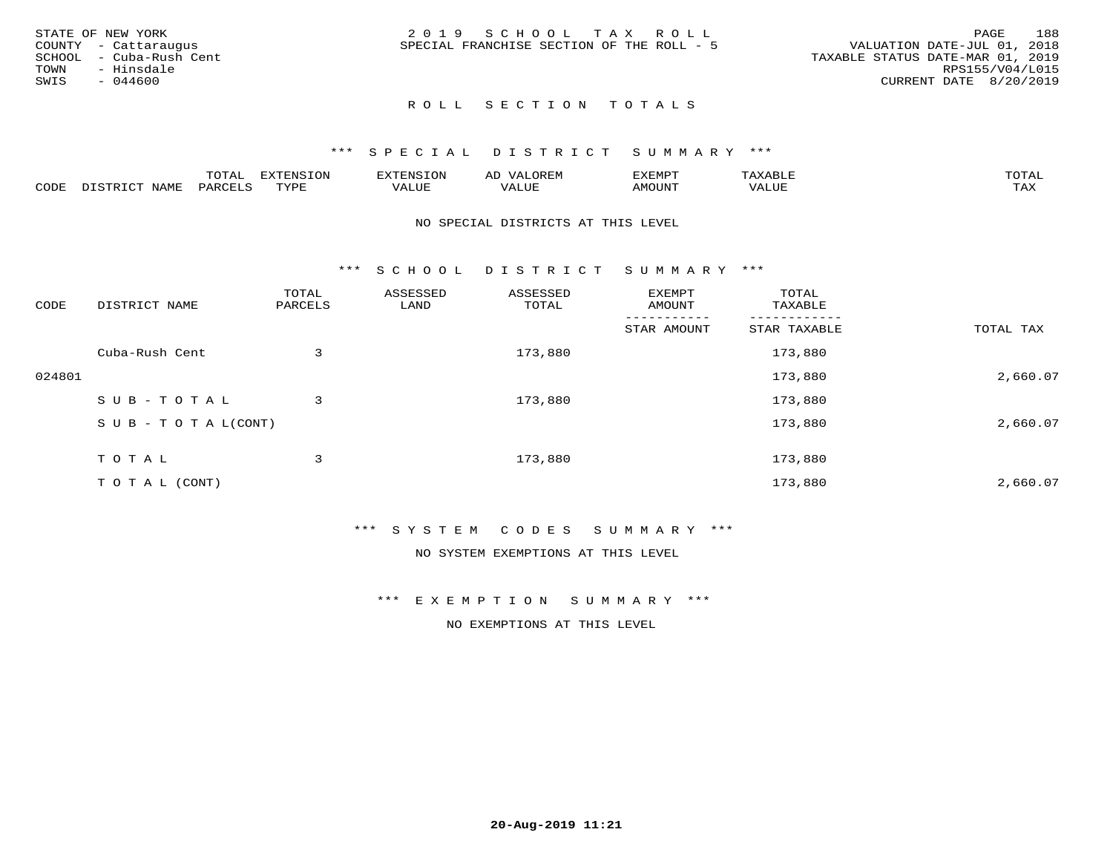| STATE OF NEW YORK |                         | 2019 SCHOOL TAX ROLL                      |  | 188<br>PAGE                      |
|-------------------|-------------------------|-------------------------------------------|--|----------------------------------|
|                   | COUNTY - Cattaraugus    | SPECIAL FRANCHISE SECTION OF THE ROLL - 5 |  | VALUATION DATE-JUL 01, 2018      |
|                   | SCHOOL - Cuba-Rush Cent |                                           |  | TAXABLE STATUS DATE-MAR 01, 2019 |
| TOWN              | - Hinsdale              |                                           |  | RPS155/V04/L015                  |
| SWIS              | - 044600                |                                           |  | CURRENT DATE 8/20/2019           |
|                   |                         |                                           |  |                                  |

#### \*\*\* S P E C I A L D I S T R I C T S U M M A R Y \*\*\*

|      |        | m^m* | . v  | <b>FNC</b> |                   | :XEMPT | ∸<br>. | mom <sub>n</sub> |
|------|--------|------|------|------------|-------------------|--------|--------|------------------|
| CODE | NTA MT | PARL | mynn | 'ALUE      | $- - - -$<br>ALUP | MOUN.  | 'ALUE  | TAX              |

#### NO SPECIAL DISTRICTS AT THIS LEVEL

\*\*\* S C H O O L D I S T R I C T S U M M A R Y \*\*\*

| CODE   | DISTRICT NAME                    | TOTAL<br>PARCELS | ASSESSED<br>LAND | ASSESSED<br>TOTAL | EXEMPT<br>AMOUNT | TOTAL<br>TAXABLE |           |
|--------|----------------------------------|------------------|------------------|-------------------|------------------|------------------|-----------|
|        |                                  |                  |                  |                   | STAR AMOUNT      | STAR TAXABLE     | TOTAL TAX |
|        | Cuba-Rush Cent                   | 3                |                  | 173,880           |                  | 173,880          |           |
| 024801 |                                  |                  |                  |                   |                  | 173,880          | 2,660.07  |
|        | SUB-TOTAL                        | 3                |                  | 173,880           |                  | 173,880          |           |
|        | $S \cup B - T \cup T A L (CONT)$ |                  |                  |                   |                  | 173,880          | 2,660.07  |
|        | TOTAL                            | 3                |                  | 173,880           |                  | 173,880          |           |
|        | T O T A L (CONT)                 |                  |                  |                   |                  | 173,880          | 2,660.07  |

#### \*\*\* S Y S T E M C O D E S S U M M A R Y \*\*\*

NO SYSTEM EXEMPTIONS AT THIS LEVEL

\*\*\* E X E M P T I O N S U M M A R Y \*\*\*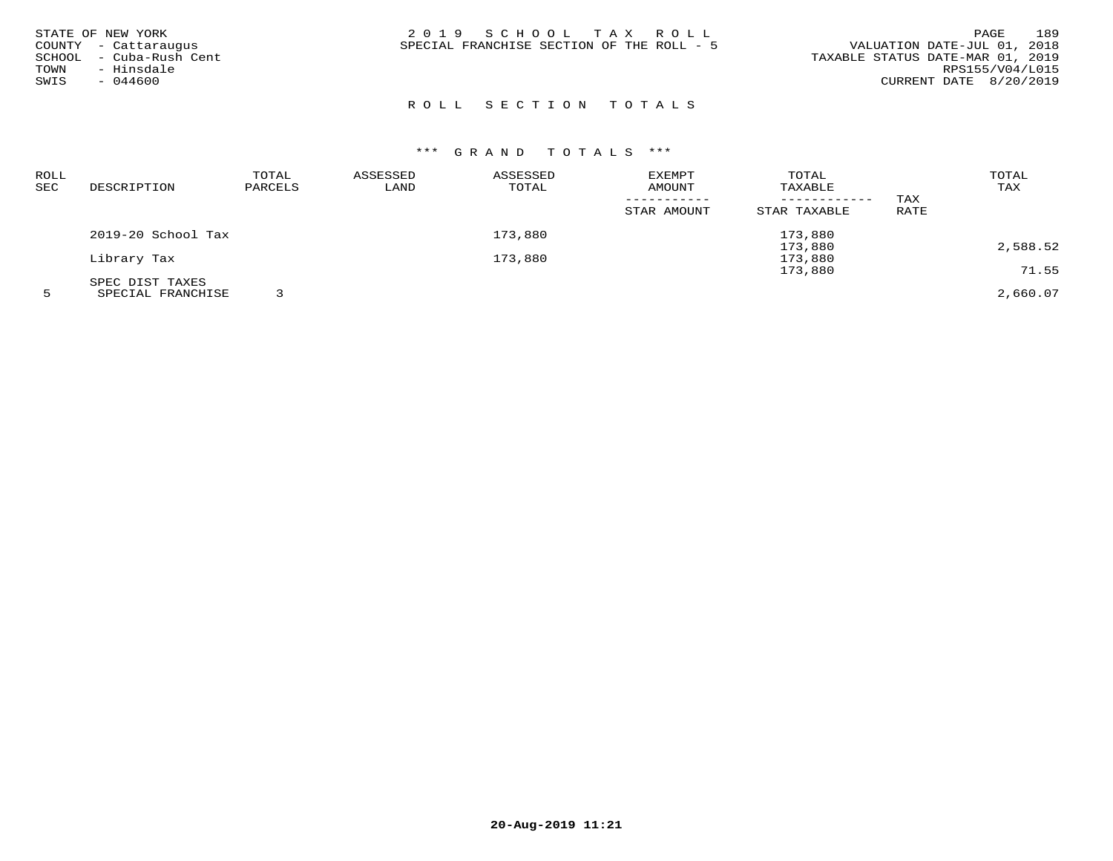| 2019 SCHOOL TAX ROLL<br>STATE OF NEW YORK<br>SPECIAL FRANCHISE SECTION OF THE ROLL - 5<br>COUNTY - Cattaraugus<br>- Cuba-Rush Cent<br>SCHOOL<br>- Hinsdale<br>TOWN<br>$-044600$<br>SWIS | 189<br>PAGE<br>VALUATION DATE-JUL 01, 2018<br>TAXABLE STATUS DATE-MAR 01, 2019<br>RPS155/V04/L015<br>CURRENT DATE 8/20/2019 |
|-----------------------------------------------------------------------------------------------------------------------------------------------------------------------------------------|-----------------------------------------------------------------------------------------------------------------------------|
|-----------------------------------------------------------------------------------------------------------------------------------------------------------------------------------------|-----------------------------------------------------------------------------------------------------------------------------|

| ROLL |                    | TOTAL   | ASSESSED | ASSESSED | <b>EXEMPT</b> | TOTAL        |      | TOTAL    |
|------|--------------------|---------|----------|----------|---------------|--------------|------|----------|
| SEC  | DESCRIPTION        | PARCELS | LAND     | TOTAL    | AMOUNT        | TAXABLE      |      | TAX      |
|      |                    |         |          |          |               | ------------ | TAX  |          |
|      |                    |         |          |          | STAR AMOUNT   | STAR TAXABLE | RATE |          |
|      | 2019-20 School Tax |         |          | 173,880  |               | 173,880      |      |          |
|      |                    |         |          |          |               | 173,880      |      | 2,588.52 |
|      | Library Tax        |         |          | 173,880  |               | 173,880      |      |          |
|      |                    |         |          |          |               | 173,880      |      | 71.55    |
|      | SPEC DIST TAXES    |         |          |          |               |              |      |          |
|      | SPECIAL FRANCHISE  |         |          |          |               |              |      | 2,660.07 |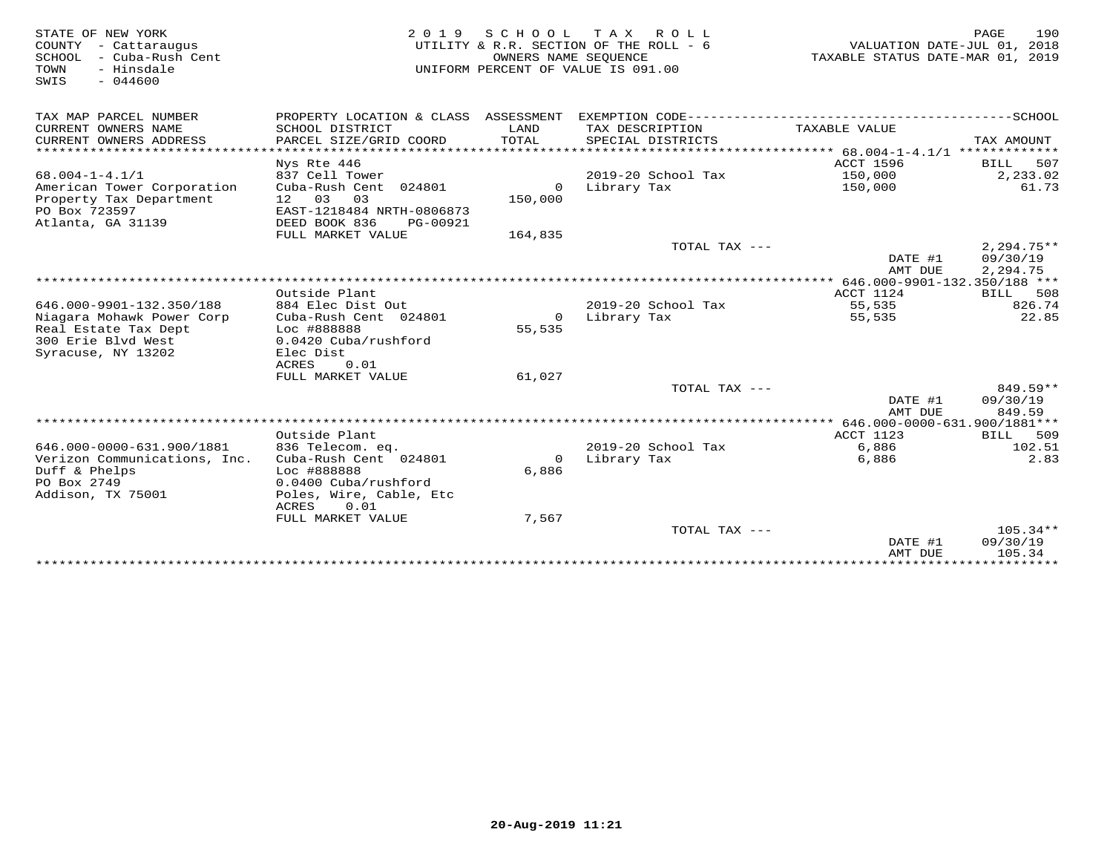| STATE OF NEW YORK<br>COUNTY - Cattaraugus<br>- Cuba-Rush Cent<br>SCHOOL<br>TOWN<br>- Hinsdale<br>SWIS<br>$-044600$ | 2 0 1 9                                   | S C H O O L<br>OWNERS NAME SEOUENCE | T A X<br>R O L L<br>UTILITY & R.R. SECTION OF THE ROLL - 6<br>UNIFORM PERCENT OF VALUE IS 091.00 | VALUATION DATE-JUL 01, 2018<br>TAXABLE STATUS DATE-MAR 01, 2019 | 190<br>PAGE                    |
|--------------------------------------------------------------------------------------------------------------------|-------------------------------------------|-------------------------------------|--------------------------------------------------------------------------------------------------|-----------------------------------------------------------------|--------------------------------|
| TAX MAP PARCEL NUMBER                                                                                              | PROPERTY LOCATION & CLASS ASSESSMENT      |                                     |                                                                                                  |                                                                 |                                |
| CURRENT OWNERS NAME                                                                                                | SCHOOL DISTRICT                           | LAND                                | TAX DESCRIPTION                                                                                  | TAXABLE VALUE                                                   |                                |
| CURRENT OWNERS ADDRESS                                                                                             | PARCEL SIZE/GRID COORD                    | TOTAL                               | SPECIAL DISTRICTS                                                                                |                                                                 | TAX AMOUNT                     |
| ***********************                                                                                            | ************************                  |                                     |                                                                                                  |                                                                 |                                |
| $68.004 - 1 - 4.1/1$                                                                                               | Nys Rte 446<br>837 Cell Tower             |                                     | 2019-20 School Tax                                                                               | <b>ACCT 1596</b><br>150,000                                     | 507<br><b>BILL</b><br>2,233.02 |
| American Tower Corporation                                                                                         | Cuba-Rush Cent 024801                     | $\circ$                             | Library Tax                                                                                      | 150,000                                                         | 61.73                          |
| Property Tax Department                                                                                            | 12 03<br>03                               | 150,000                             |                                                                                                  |                                                                 |                                |
| PO Box 723597                                                                                                      | EAST-1218484 NRTH-0806873                 |                                     |                                                                                                  |                                                                 |                                |
| Atlanta, GA 31139                                                                                                  | DEED BOOK 836<br>PG-00921                 |                                     |                                                                                                  |                                                                 |                                |
|                                                                                                                    | FULL MARKET VALUE                         | 164,835                             |                                                                                                  |                                                                 |                                |
|                                                                                                                    |                                           |                                     | TOTAL TAX ---                                                                                    |                                                                 | $2,294.75**$                   |
|                                                                                                                    |                                           |                                     |                                                                                                  | DATE #1                                                         | 09/30/19                       |
|                                                                                                                    |                                           |                                     |                                                                                                  | AMT DUE                                                         | 2,294.75                       |
|                                                                                                                    |                                           |                                     |                                                                                                  | 646.000-9901-132.350/188 ***                                    |                                |
|                                                                                                                    | Outside Plant                             |                                     |                                                                                                  | ACCT 1124                                                       | 508<br><b>BILL</b>             |
| 646.000-9901-132.350/188                                                                                           | 884 Elec Dist Out                         |                                     | 2019-20 School Tax                                                                               | 55,535                                                          | 826.74<br>22.85                |
| Niagara Mohawk Power Corp<br>Real Estate Tax Dept                                                                  | Cuba-Rush Cent 024801<br>Loc #888888      | $\circ$<br>55,535                   | Library Tax                                                                                      | 55,535                                                          |                                |
| 300 Erie Blvd West                                                                                                 | 0.0420 Cuba/rushford                      |                                     |                                                                                                  |                                                                 |                                |
| Syracuse, NY 13202                                                                                                 | Elec Dist                                 |                                     |                                                                                                  |                                                                 |                                |
|                                                                                                                    | <b>ACRES</b><br>0.01                      |                                     |                                                                                                  |                                                                 |                                |
|                                                                                                                    | FULL MARKET VALUE                         | 61,027                              |                                                                                                  |                                                                 |                                |
|                                                                                                                    |                                           |                                     | TOTAL TAX ---                                                                                    |                                                                 | 849.59**                       |
|                                                                                                                    |                                           |                                     |                                                                                                  | DATE #1                                                         | 09/30/19                       |
|                                                                                                                    |                                           |                                     |                                                                                                  | AMT DUE                                                         | 849.59                         |
|                                                                                                                    |                                           |                                     |                                                                                                  |                                                                 |                                |
|                                                                                                                    | Outside Plant                             |                                     |                                                                                                  | ACCT 1123                                                       | 509<br>BILL                    |
| 646.000-0000-631.900/1881                                                                                          | 836 Telecom. eq.<br>Cuba-Rush Cent 024801 | $\Omega$                            | 2019-20 School Tax                                                                               | 6,886<br>6,886                                                  | 102.51<br>2.83                 |
| Verizon Communications, Inc.<br>Duff & Phelps                                                                      | Loc #888888                               | 6,886                               | Library Tax                                                                                      |                                                                 |                                |
| PO Box 2749                                                                                                        | 0.0400 Cuba/rushford                      |                                     |                                                                                                  |                                                                 |                                |
| Addison, TX 75001                                                                                                  | Poles, Wire, Cable, Etc                   |                                     |                                                                                                  |                                                                 |                                |
|                                                                                                                    | ACRES<br>0.01                             |                                     |                                                                                                  |                                                                 |                                |
|                                                                                                                    | FULL MARKET VALUE                         | 7,567                               |                                                                                                  |                                                                 |                                |
|                                                                                                                    |                                           |                                     | TOTAL TAX $---$                                                                                  |                                                                 | $105.34**$                     |
|                                                                                                                    |                                           |                                     |                                                                                                  | DATE #1                                                         | 09/30/19                       |
|                                                                                                                    |                                           |                                     |                                                                                                  | AMT DUE                                                         | 105.34                         |
|                                                                                                                    |                                           |                                     |                                                                                                  |                                                                 |                                |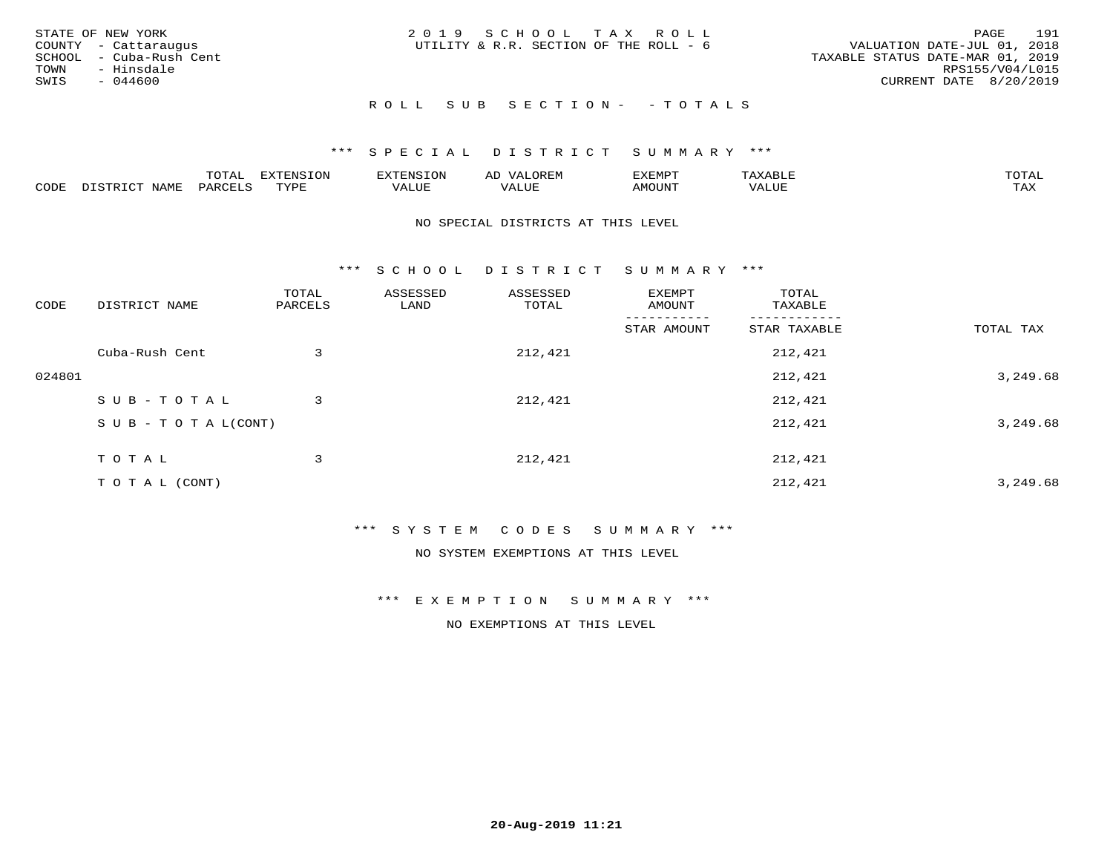| STATE OF NEW YORK<br>COUNTY - Cattaraugus<br>SCHOOL - Cuba-Rush Cent<br>TOWN<br>- Hinsdale<br>SWIS<br>- 044600 | 2019 SCHOOL TAX ROLL<br>UTILITY & R.R. SECTION OF THE ROLL - 6 | 191<br>PAGE<br>VALUATION DATE-JUL 01, 2018<br>TAXABLE STATUS DATE-MAR 01, 2019<br>RPS155/V04/L015<br>CURRENT DATE 8/20/2019 |
|----------------------------------------------------------------------------------------------------------------|----------------------------------------------------------------|-----------------------------------------------------------------------------------------------------------------------------|
|                                                                                                                | ROLL SUB SECTION- - TOTALS                                     |                                                                                                                             |

|      |                                     | $m \wedge m \wedge n$ |                 | ם דתים       | ΑL       | TIRAD   | $\cdot$ $\Delta$ $\times$ $\Delta$ | $m \wedge m \wedge n$<br>$\overline{\phantom{a}}$ |
|------|-------------------------------------|-----------------------|-----------------|--------------|----------|---------|------------------------------------|---------------------------------------------------|
| CODE | $T \times T$<br>- --<br><b>NAME</b> | . חהר<br>'AKV         | TVDF<br>- - - - | ----<br>Ацог | TA T TTT | MOTIN'I | ALUE                               | $m \times r$<br>∸∽∸∸                              |

#### NO SPECIAL DISTRICTS AT THIS LEVEL

\*\*\* S C H O O L D I S T R I C T S U M M A R Y \*\*\*

| CODE   | DISTRICT NAME                    | TOTAL<br>PARCELS | ASSESSED<br>LAND | ASSESSED<br>TOTAL | EXEMPT<br>AMOUNT | TOTAL<br>TAXABLE |           |
|--------|----------------------------------|------------------|------------------|-------------------|------------------|------------------|-----------|
|        |                                  |                  |                  |                   | STAR AMOUNT      | STAR TAXABLE     | TOTAL TAX |
|        | Cuba-Rush Cent                   | 3                |                  | 212,421           |                  | 212,421          |           |
| 024801 |                                  |                  |                  |                   |                  | 212,421          | 3,249.68  |
|        | SUB-TOTAL                        | 3                |                  | 212,421           |                  | 212,421          |           |
|        | $S \cup B - T \cup T A L (CONT)$ |                  |                  |                   |                  | 212,421          | 3,249.68  |
|        | TOTAL                            | 3                |                  | 212,421           |                  | 212,421          |           |
|        | T O T A L (CONT)                 |                  |                  |                   |                  | 212,421          | 3,249.68  |

## \*\*\* S Y S T E M C O D E S S U M M A R Y \*\*\*

NO SYSTEM EXEMPTIONS AT THIS LEVEL

\*\*\* E X E M P T I O N S U M M A R Y \*\*\*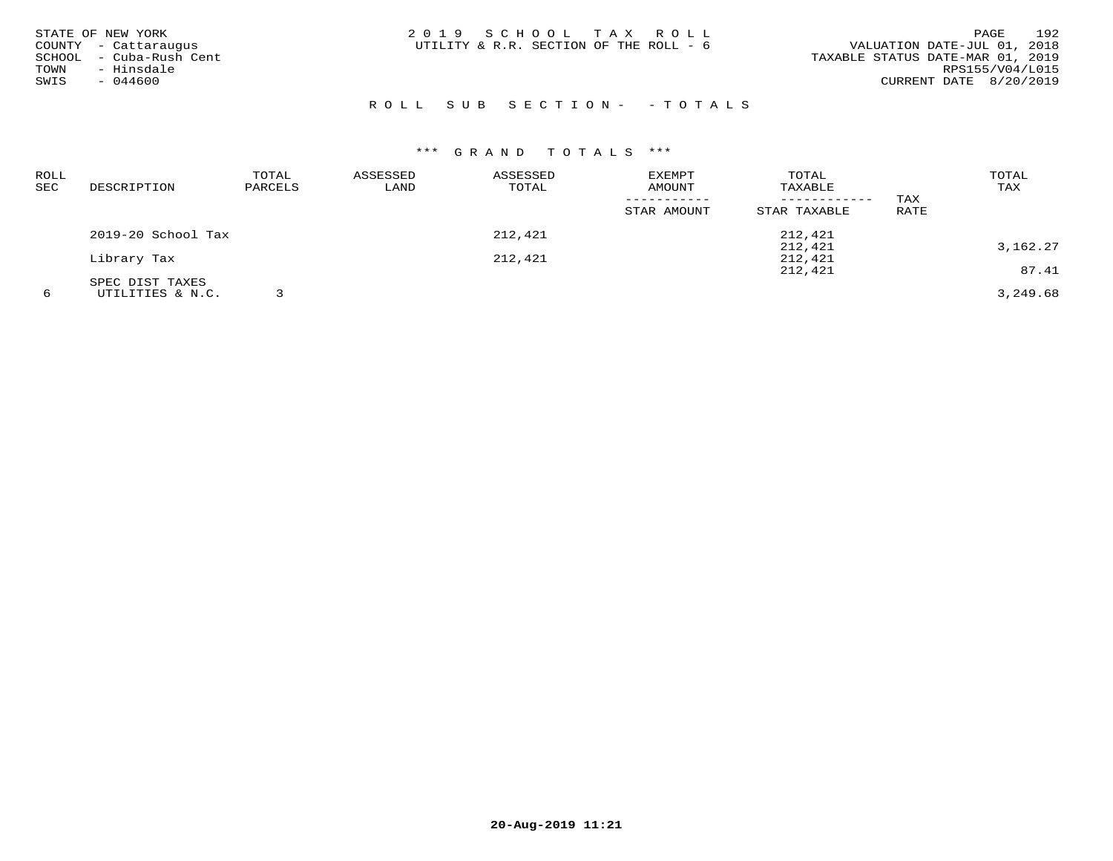| STATE OF NEW YORK<br>COUNTY - Cattaraugus<br>SCHOOL - Cuba-Rush Cent<br>- Hinsdale<br>TOWN<br>SWIS<br>$-044600$ | 2019 SCHOOL TAX ROLL<br>UTILITY & R.R. SECTION OF THE ROLL - 6 | 192<br>PAGE<br>VALUATION DATE-JUL 01, 2018<br>TAXABLE STATUS DATE-MAR 01, 2019<br>RPS155/V04/L015<br>CURRENT DATE 8/20/2019 |
|-----------------------------------------------------------------------------------------------------------------|----------------------------------------------------------------|-----------------------------------------------------------------------------------------------------------------------------|
|                                                                                                                 | ROLL SUB SECTION- - TOTALS                                     |                                                                                                                             |

| ROLL<br>SEC | DESCRIPTION        | TOTAL<br>PARCELS | ASSESSED<br>LAND | ASSESSED<br>TOTAL | <b>EXEMPT</b><br>AMOUNT | TOTAL<br>TAXABLE |      | TOTAL<br>TAX |
|-------------|--------------------|------------------|------------------|-------------------|-------------------------|------------------|------|--------------|
|             |                    |                  |                  |                   |                         | ------------     | TAX  |              |
|             |                    |                  |                  |                   | STAR AMOUNT             | STAR TAXABLE     | RATE |              |
|             | 2019-20 School Tax |                  |                  | 212,421           |                         | 212,421          |      |              |
|             |                    |                  |                  |                   |                         | 212,421          |      | 3,162.27     |
|             | Library Tax        |                  |                  | 212,421           |                         | 212,421          |      |              |
|             |                    |                  |                  |                   |                         | 212,421          |      | 87.41        |
|             | SPEC DIST TAXES    |                  |                  |                   |                         |                  |      |              |
| 6           | UTILITIES & N.C.   |                  |                  |                   |                         |                  |      | 3,249.68     |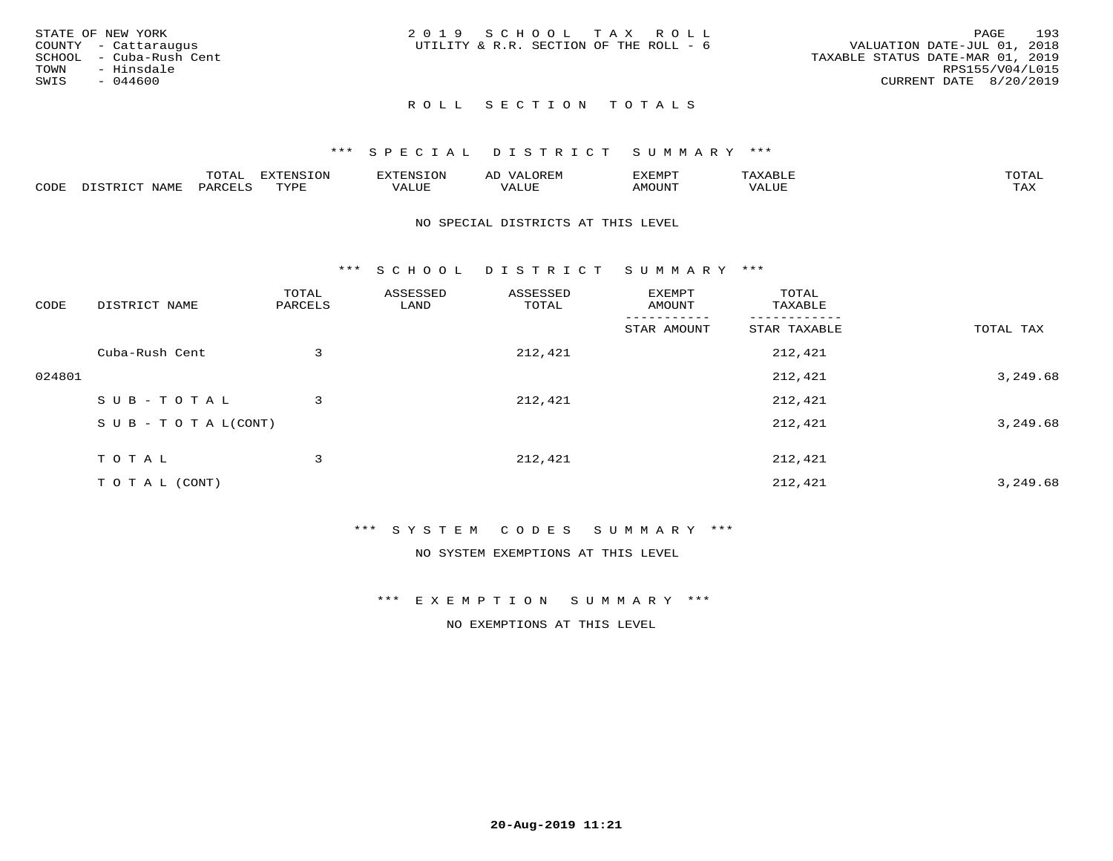|      | STATE OF NEW YORK       | 2019 SCHOOL TAX ROLL                                                  | PAGE            | 193 |
|------|-------------------------|-----------------------------------------------------------------------|-----------------|-----|
|      | COUNTY - Cattaraugus    | VALUATION DATE-JUL 01, 2018<br>UTILITY & R.R. SECTION OF THE ROLL - 6 |                 |     |
|      | SCHOOL - Cuba-Rush Cent | TAXABLE STATUS DATE-MAR 01, 2019                                      |                 |     |
| TOWN | - Hinsdale              |                                                                       | RPS155/V04/L015 |     |
| SWIS | $-044600$               | CURRENT DATE 8/20/2019                                                |                 |     |
|      |                         |                                                                       |                 |     |

## \*\*\* S P E C I A L D I S T R I C T S U M M A R Y \*\*\*

|      |                          | momz.<br>.UIAL              | <b>EXTENSION</b> | 'XTENSION      | $T$ $\cap$ $\cap$ $\cap$ $\wedge$ $\wedge$<br>ΑIJ<br>OR EI <sup>w</sup> | EXEMPT        | $\pi$ $\pi$ $\pi$ $\pi$ $\pi$<br>ΆXΔ<br>$A\Lambda A B \cup B$ | $m \wedge m \wedge n$<br>T AT |
|------|--------------------------|-----------------------------|------------------|----------------|-------------------------------------------------------------------------|---------------|---------------------------------------------------------------|-------------------------------|
| CODE | DISTO TOT<br><b>NAME</b> | PARCELS<br>$\cdot$ . $\sim$ | TVDF<br>.        | 77777<br>VALUE | VALUE                                                                   | <b>TNUOMA</b> | VALUE                                                         | $m \times r$<br>⊥⇔∆           |

#### NO SPECIAL DISTRICTS AT THIS LEVEL

\*\*\* S C H O O L D I S T R I C T S U M M A R Y \*\*\*

| CODE   | DISTRICT NAME                    | TOTAL<br>PARCELS | ASSESSED<br>LAND | ASSESSED<br>TOTAL | EXEMPT<br>AMOUNT | TOTAL<br>TAXABLE |           |
|--------|----------------------------------|------------------|------------------|-------------------|------------------|------------------|-----------|
|        |                                  |                  |                  |                   | STAR AMOUNT      | STAR TAXABLE     | TOTAL TAX |
|        | Cuba-Rush Cent                   | 3                |                  | 212,421           |                  | 212,421          |           |
| 024801 |                                  |                  |                  |                   |                  | 212,421          | 3,249.68  |
|        | SUB-TOTAL                        | 3                |                  | 212,421           |                  | 212,421          |           |
|        | $S \cup B - T \cup T A L (CONT)$ |                  |                  |                   |                  | 212,421          | 3,249.68  |
|        | TOTAL                            | 3                |                  | 212,421           |                  | 212,421          |           |
|        |                                  |                  |                  |                   |                  |                  |           |
|        | T O T A L (CONT)                 |                  |                  |                   |                  | 212,421          | 3,249.68  |

## \*\*\* S Y S T E M C O D E S S U M M A R Y \*\*\*

NO SYSTEM EXEMPTIONS AT THIS LEVEL

\*\*\* E X E M P T I O N S U M M A R Y \*\*\*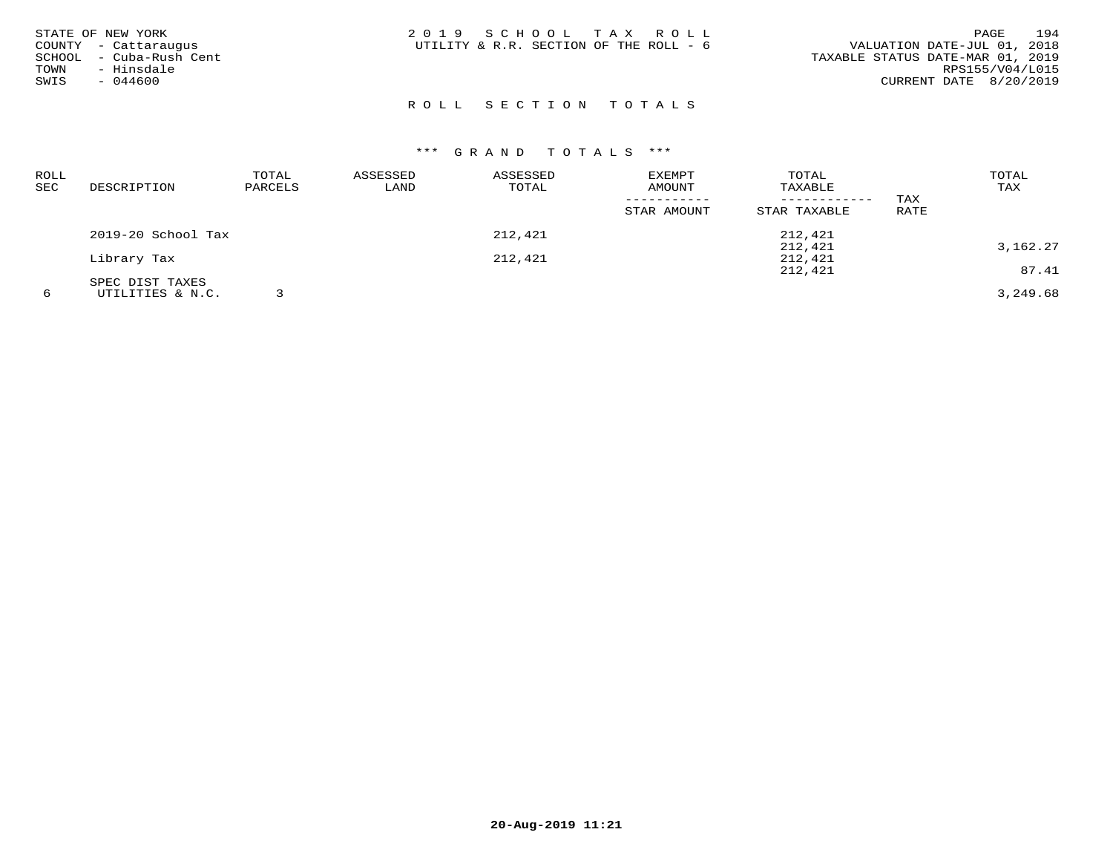| STATE OF NEW YORK<br>COUNTY - Cattaraugus<br>SCHOOL - Cuba-Rush Cent<br>TOWN<br>- Hinsdale<br>SWIS<br>- 044600 | 2019 SCHOOL TAX ROLL<br>UTILITY & R.R. SECTION OF THE ROLL - 6 | 194<br>PAGE<br>VALUATION DATE-JUL 01, 2018<br>TAXABLE STATUS DATE-MAR 01, 2019<br>RPS155/V04/L015<br>CURRENT DATE 8/20/2019 |
|----------------------------------------------------------------------------------------------------------------|----------------------------------------------------------------|-----------------------------------------------------------------------------------------------------------------------------|
|                                                                                                                |                                                                |                                                                                                                             |

| ROLL<br>SEC | DESCRIPTION        | TOTAL<br>PARCELS | ASSESSED<br>LAND | ASSESSED<br>TOTAL | <b>EXEMPT</b><br>AMOUNT | TOTAL<br>TAXABLE |      | TOTAL<br>TAX |
|-------------|--------------------|------------------|------------------|-------------------|-------------------------|------------------|------|--------------|
|             |                    |                  |                  |                   |                         | ------------     | TAX  |              |
|             |                    |                  |                  |                   | STAR AMOUNT             | STAR TAXABLE     | RATE |              |
|             | 2019-20 School Tax |                  |                  | 212,421           |                         | 212,421          |      |              |
|             |                    |                  |                  |                   |                         | 212,421          |      | 3,162.27     |
|             | Library Tax        |                  |                  | 212,421           |                         | 212,421          |      |              |
|             |                    |                  |                  |                   |                         | 212,421          |      | 87.41        |
|             | SPEC DIST TAXES    |                  |                  |                   |                         |                  |      |              |
| 6           | UTILITIES & N.C.   |                  |                  |                   |                         |                  |      | 3,249.68     |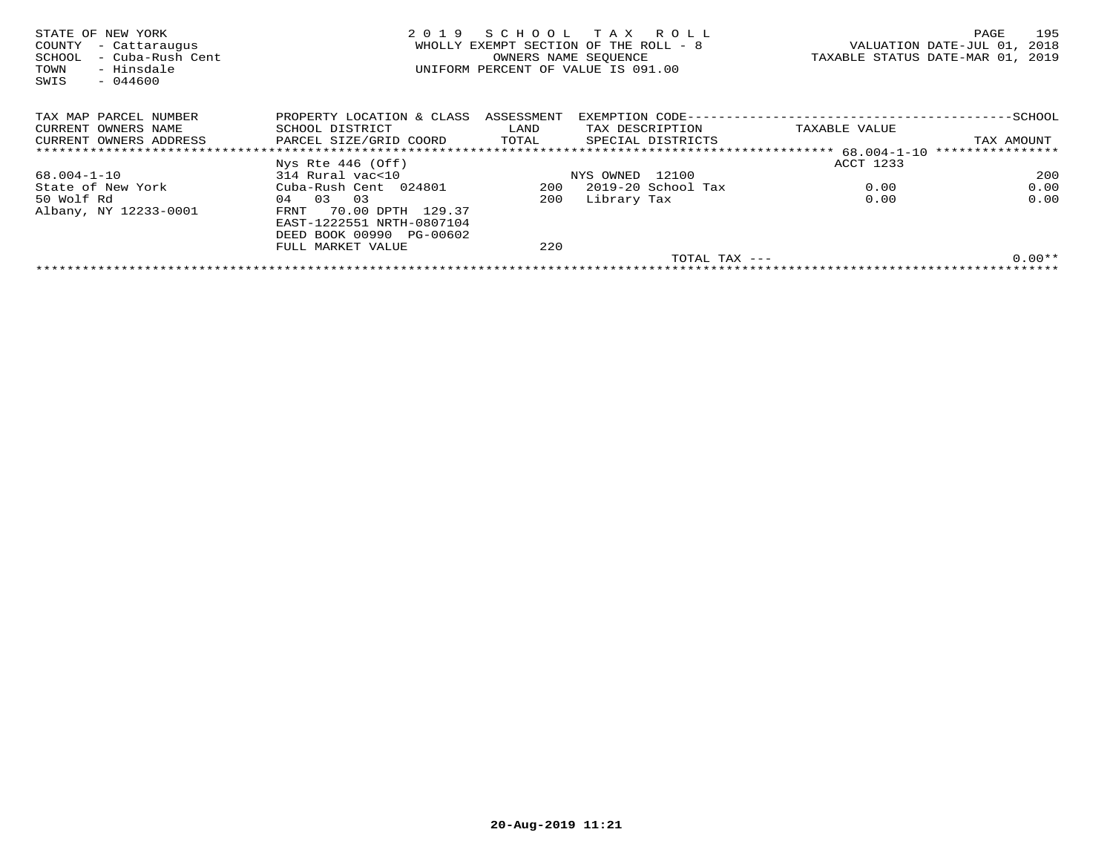| STATE OF NEW YORK<br>- Cattaraugus<br>COUNTY<br>- Cuba-Rush Cent<br>SCHOOL<br>- Hinsdale<br>TOWN<br>$-044600$<br>SWIS | 2019                                 | OWNERS NAME SEOUENCE | SCHOOL TAX ROLL<br>WHOLLY EXEMPT SECTION OF THE ROLL - 8<br>UNIFORM PERCENT OF VALUE IS 091.00 |                     | TAXABLE STATUS DATE-MAR 01, 2019 | PAGE<br>VALUATION DATE-JUL 01, | 195<br>2018 |
|-----------------------------------------------------------------------------------------------------------------------|--------------------------------------|----------------------|------------------------------------------------------------------------------------------------|---------------------|----------------------------------|--------------------------------|-------------|
| TAX MAP PARCEL NUMBER                                                                                                 | PROPERTY LOCATION & CLASS ASSESSMENT |                      |                                                                                                |                     |                                  |                                |             |
| CURRENT OWNERS NAME                                                                                                   | SCHOOL DISTRICT                      | LAND                 | TAX DESCRIPTION                                                                                |                     | TAXABLE VALUE                    |                                |             |
| CURRENT OWNERS ADDRESS                                                                                                | PARCEL SIZE/GRID COORD               | TOTAL                | SPECIAL DISTRICTS                                                                              |                     |                                  | TAX AMOUNT                     |             |
|                                                                                                                       |                                      |                      |                                                                                                |                     |                                  | ****************               |             |
|                                                                                                                       | Nys Rte $446$ (Off)                  |                      |                                                                                                |                     | ACCT 1233                        |                                |             |
| 68.004-1-10                                                                                                           | 314 Rural vac<10                     |                      | NYS OWNED 12100                                                                                |                     |                                  |                                | 200         |
| State of New York                                                                                                     | Cuba-Rush Cent 024801                | 200                  | 2019-20 School Tax                                                                             |                     | 0.00                             |                                | 0.00        |
| 50 Wolf Rd                                                                                                            | 03<br>03<br>04                       | 200                  | Library Tax                                                                                    |                     | 0.00                             |                                | 0.00        |
| Albany, NY 12233-0001                                                                                                 | 70.00 DPTH 129.37<br>FRNT            |                      |                                                                                                |                     |                                  |                                |             |
|                                                                                                                       | EAST-1222551 NRTH-0807104            |                      |                                                                                                |                     |                                  |                                |             |
|                                                                                                                       | DEED BOOK 00990 PG-00602             |                      |                                                                                                |                     |                                  |                                |             |
|                                                                                                                       | FULL MARKET VALUE                    | 220                  |                                                                                                |                     |                                  |                                |             |
|                                                                                                                       |                                      |                      |                                                                                                | $TOTAL$ $TAX$ $---$ |                                  |                                | $0.00**$    |
|                                                                                                                       |                                      |                      |                                                                                                |                     |                                  |                                |             |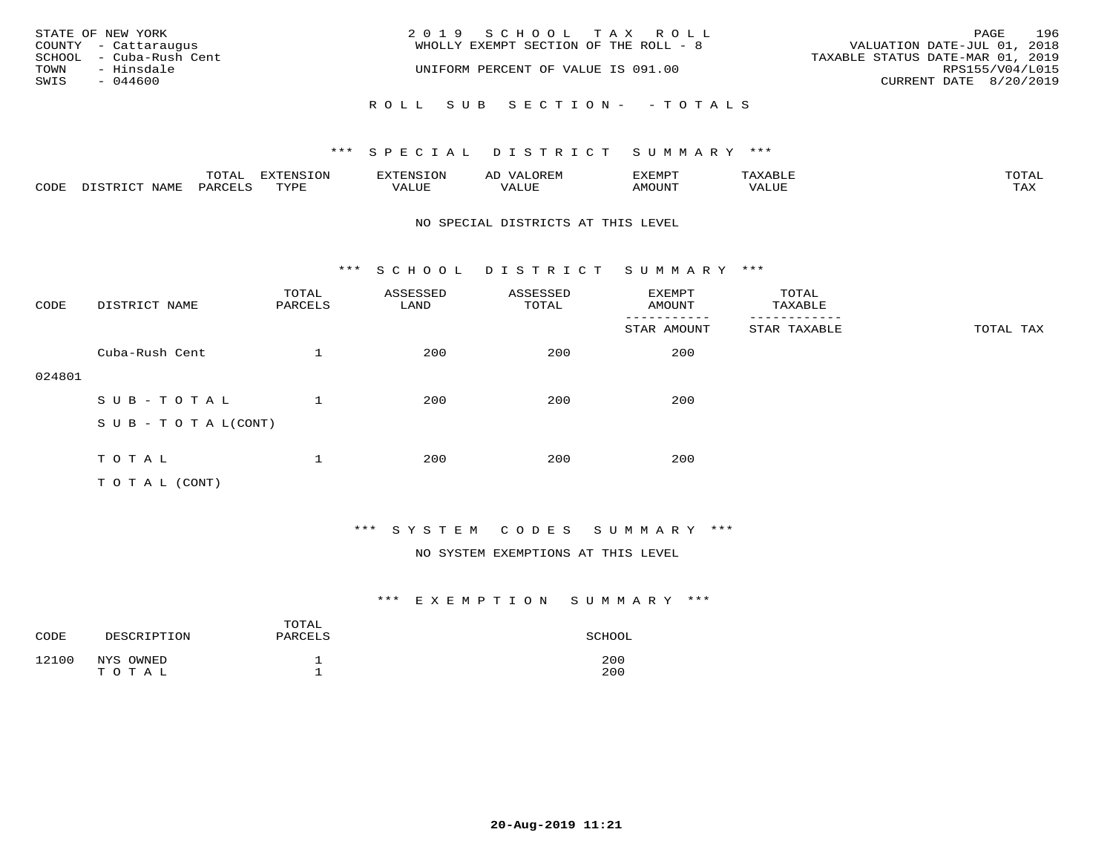|      | STATE OF NEW YORK<br>COUNTY - Cattaraugus | 2019 SCHOOL TAX ROLL<br>WHOLLY EXEMPT SECTION OF THE ROLL - 8 | PAGE<br>VALUATION DATE-JUL 01, 2018                 | 196                    |
|------|-------------------------------------------|---------------------------------------------------------------|-----------------------------------------------------|------------------------|
| TOWN | SCHOOL - Cuba-Rush Cent<br>- Hinsdale     | UNIFORM PERCENT OF VALUE IS 091.00                            | TAXABLE STATUS DATE-MAR 01, 2019<br>RPS155/V04/L015 |                        |
| SWIS | - 044600                                  |                                                               |                                                     | CURRENT DATE 8/20/2019 |
|      |                                           | ROLL SUB SECTION- - TOTALS                                    |                                                     |                        |

|      |                  | TOTAL   | EXTENSION | <b>EXTENSION</b> | OREM<br>ΑD          | <b>EXEMPT</b> |       | TOTAI |
|------|------------------|---------|-----------|------------------|---------------------|---------------|-------|-------|
| CODE | NAMF<br>DISTRICT | PARCELS | TYPE      | 777T<br>VALUE    | <b><i>JALUE</i></b> | AMOUNT        | VALUE | TAX   |

#### NO SPECIAL DISTRICTS AT THIS LEVEL

\*\*\* S C H O O L D I S T R I C T S U M M A R Y \*\*\*

| CODE   | DISTRICT NAME                    | TOTAL<br>PARCELS | ASSESSED<br>LAND | ASSESSED<br>TOTAL | EXEMPT<br>AMOUNT | TOTAL<br>TAXABLE |           |
|--------|----------------------------------|------------------|------------------|-------------------|------------------|------------------|-----------|
|        |                                  |                  |                  |                   | STAR AMOUNT      | STAR TAXABLE     | TOTAL TAX |
|        | Cuba-Rush Cent                   |                  | 200              | 200               | 200              |                  |           |
| 024801 |                                  |                  |                  |                   |                  |                  |           |
|        | SUB-TOTAL                        |                  | 200              | 200               | 200              |                  |           |
|        | $S \cup B - T \cup T A L (CONT)$ |                  |                  |                   |                  |                  |           |
|        |                                  |                  |                  |                   |                  |                  |           |
|        | TOTAL                            |                  | 200              | 200               | 200              |                  |           |
|        | TO TAL (CONT)                    |                  |                  |                   |                  |                  |           |

## \*\*\* S Y S T E M C O D E S S U M M A R Y \*\*\*

#### NO SYSTEM EXEMPTIONS AT THIS LEVEL

| CODE  | DESCRIPTION        | TOTAL<br>PARCELS | SCHOOL     |
|-------|--------------------|------------------|------------|
| 12100 | NYS OWNED<br>TOTAL |                  | 200<br>200 |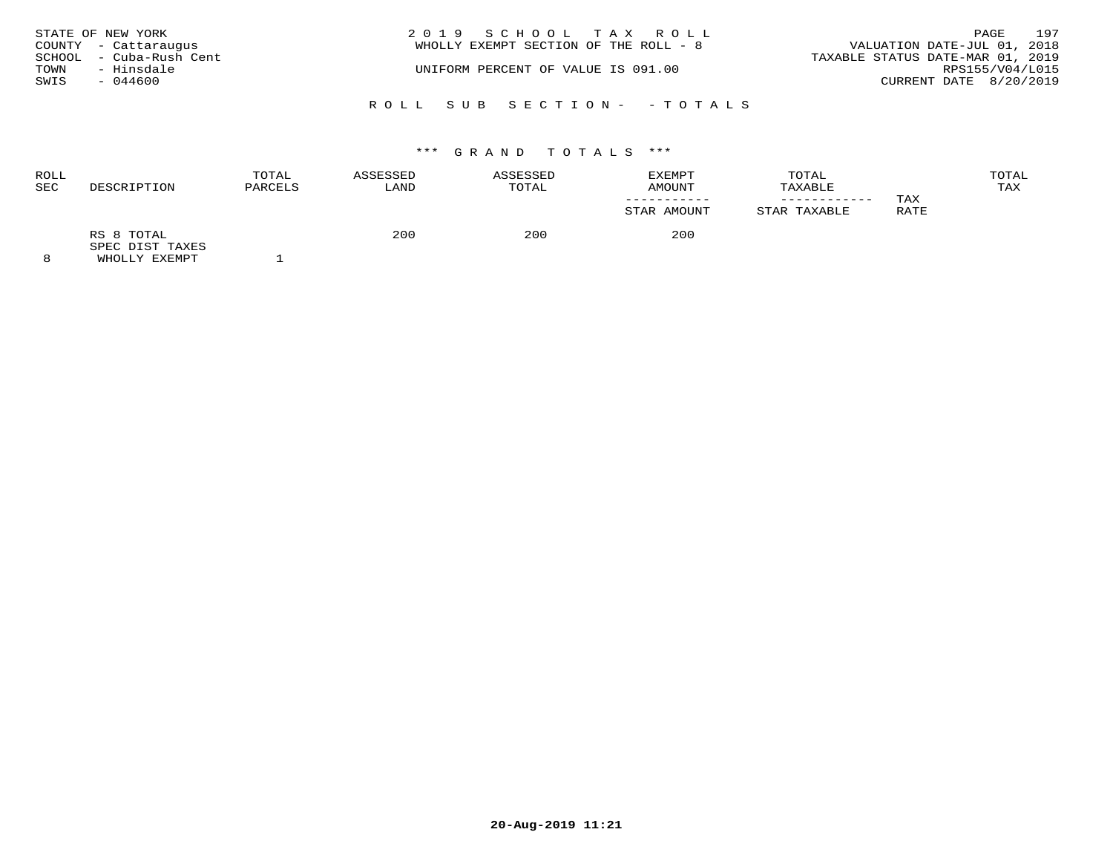|      | STATE OF NEW YORK       | 2019 SCHOOL TAX ROLL                                                 | PAGE            | 197 |
|------|-------------------------|----------------------------------------------------------------------|-----------------|-----|
|      | COUNTY - Cattaraugus    | VALUATION DATE-JUL 01, 2018<br>WHOLLY EXEMPT SECTION OF THE ROLL - 8 |                 |     |
|      | SCHOOL - Cuba-Rush Cent | TAXABLE STATUS DATE-MAR 01, 2019                                     |                 |     |
| TOWN | - Hinsdale              | UNIFORM PERCENT OF VALUE IS 091.00                                   | RPS155/V04/L015 |     |
| SWIS | $-044600$               | CURRENT DATE 8/20/2019                                               |                 |     |
|      |                         | ROLL SUB SECTION- - TOTALS                                           |                 |     |

| ROLL |                               | TOTAL   | ASSESSED | ASSESSED | <b>EXEMPT</b> | TOTAL        |             | TOTAL |
|------|-------------------------------|---------|----------|----------|---------------|--------------|-------------|-------|
| SEC  | DESCRIPTION                   | PARCELS | LAND     | TOTAL    | AMOUNT        | TAXABLE      |             | TAX   |
|      |                               |         |          |          |               |              | TAX         |       |
|      |                               |         |          |          | STAR AMOUNT   | STAR TAXABLE | <b>RATE</b> |       |
|      | RS 8 TOTAL<br>SPEC DIST TAXES |         | 200      | 200      | 200           |              |             |       |
|      | $\frac{1}{2}$                 |         |          |          |               |              |             |       |

8 WHOLLY EXEMPT 1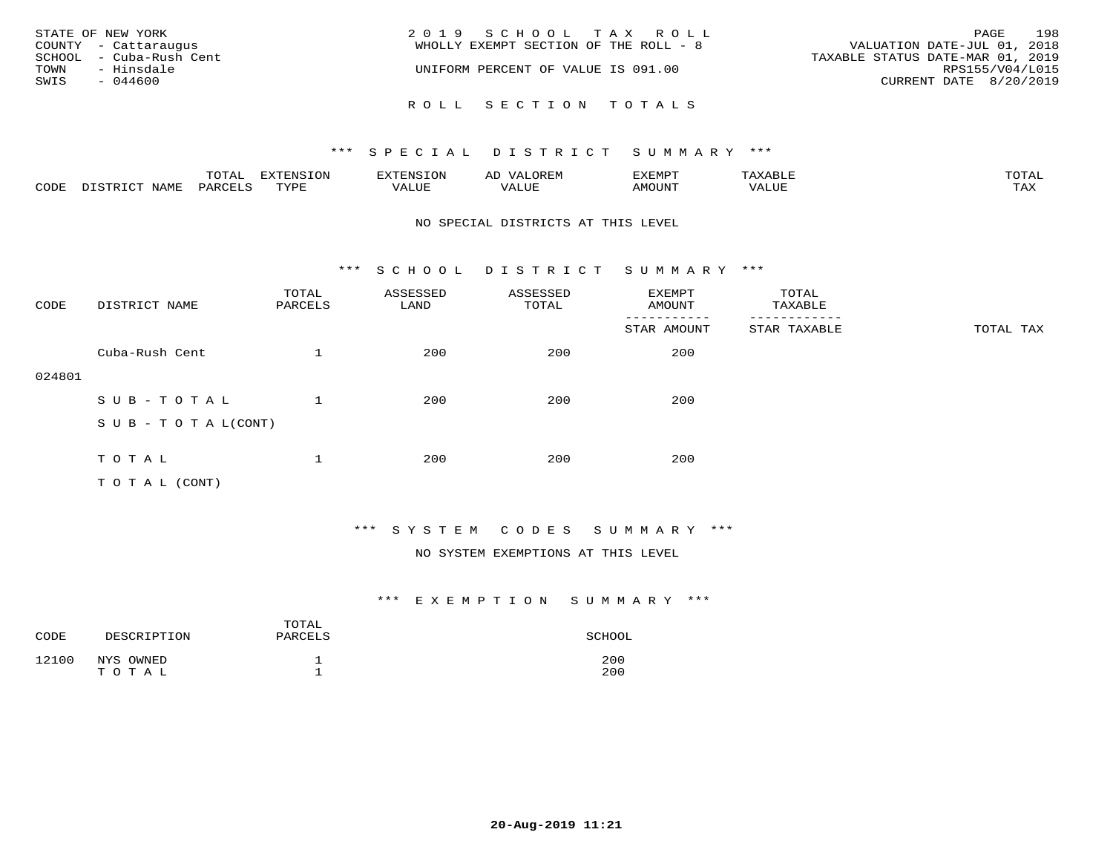| STATE OF NEW YORK<br>COUNTY - Cattaraugus<br>SCHOOL - Cuba-Rush Cent<br>TOWN<br>- Hinsdale<br>SWIS<br>$-044600$ | 2019 SCHOOL TAX ROLL<br>WHOLLY EXEMPT SECTION OF THE ROLL - 8<br>UNIFORM PERCENT OF VALUE IS 091.00 | 198<br>PAGE<br>VALUATION DATE-JUL 01, 2018<br>TAXABLE STATUS DATE-MAR 01, 2019<br>RPS155/V04/L015<br>CURRENT DATE 8/20/2019 |
|-----------------------------------------------------------------------------------------------------------------|-----------------------------------------------------------------------------------------------------|-----------------------------------------------------------------------------------------------------------------------------|
|                                                                                                                 | ROLL SECTION TOTALS                                                                                 |                                                                                                                             |

|      |                  | TOTAL   | <b>EXTENSION</b> | EXTENSION | OREM<br>ΑL   | EXEMPT | АХАВЫР | TOTAI      |
|------|------------------|---------|------------------|-----------|--------------|--------|--------|------------|
| CODE | NAMF<br>DISTRICT | PARCELS | TYPE             | VALUE     | 77T<br>VALUE | AMOUNT | VALUE  | max<br>IAA |

#### NO SPECIAL DISTRICTS AT THIS LEVEL

\*\*\* S C H O O L D I S T R I C T S U M M A R Y \*\*\*

| CODE   | DISTRICT NAME              | TOTAL<br>PARCELS | ASSESSED<br>LAND | ASSESSED<br>TOTAL | EXEMPT<br>AMOUNT | TOTAL<br>TAXABLE |           |
|--------|----------------------------|------------------|------------------|-------------------|------------------|------------------|-----------|
|        |                            |                  |                  |                   | STAR AMOUNT      | STAR TAXABLE     | TOTAL TAX |
|        | Cuba-Rush Cent             | $\mathbf{1}$     | 200              | 200               | 200              |                  |           |
| 024801 |                            |                  |                  |                   |                  |                  |           |
|        | SUB-TOTAL                  |                  | 200              | 200               | 200              |                  |           |
|        | S U B - T O T A $L$ (CONT) |                  |                  |                   |                  |                  |           |
|        |                            |                  |                  |                   |                  |                  |           |
|        | TOTAL                      | 1                | 200              | 200               | 200              |                  |           |
|        | T O T A L (CONT)           |                  |                  |                   |                  |                  |           |

## \*\*\* S Y S T E M C O D E S S U M M A R Y \*\*\*

#### NO SYSTEM EXEMPTIONS AT THIS LEVEL

| CODE  | DESCRIPTION | TOTAL<br>PARCELS | SCHOOL |
|-------|-------------|------------------|--------|
| 12100 | NYS OWNED   | ᅩ                | 200    |
|       | TOTAL       | <b>__</b>        | 200    |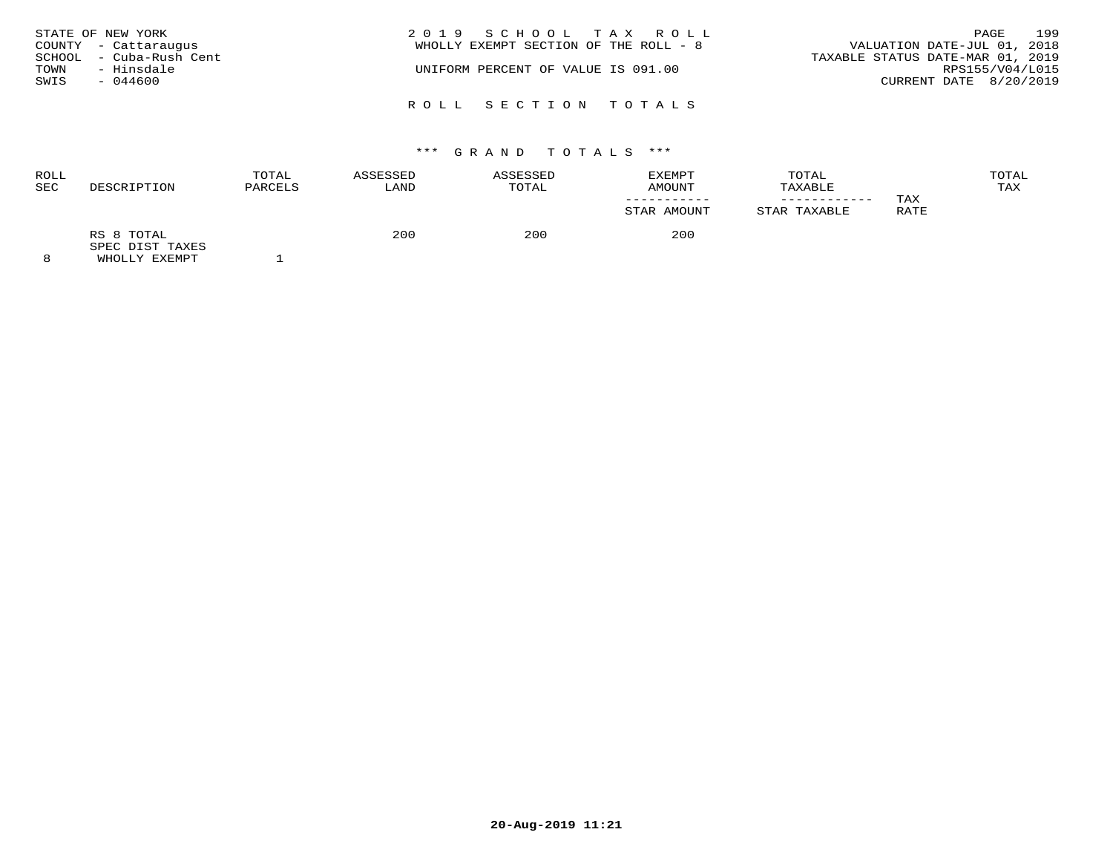| STATE OF NEW YORK<br>TOWN<br>SWIS | COUNTY - Cattaraugus<br>SCHOOL - Cuba-Rush Cent<br>- Hinsdale<br>$-044600$ | 2019 SCHOOL TAX ROLL<br>VALUATION DATE-JUL 01, 2018<br>WHOLLY EXEMPT SECTION OF THE ROLL - 8<br>TAXABLE STATUS DATE-MAR 01, 2019<br>UNIFORM PERCENT OF VALUE IS 091.00<br>CURRENT DATE 8/20/2019 | PAGE<br>RPS155/V04/L015 | 199 |
|-----------------------------------|----------------------------------------------------------------------------|--------------------------------------------------------------------------------------------------------------------------------------------------------------------------------------------------|-------------------------|-----|
|                                   |                                                                            | ROLL SECTION TOTALS                                                                                                                                                                              |                         |     |

| ROLL<br>SEC | DESCRIPTION                                    | TOTAL<br>PARCELS | ASSESSED<br>LAND | ASSESSED<br>TOTAL | EXEMPT<br>AMOUNT | TOTAL<br>TAXABLE |             | TOTAL<br>TAX |
|-------------|------------------------------------------------|------------------|------------------|-------------------|------------------|------------------|-------------|--------------|
|             |                                                |                  |                  |                   | STAR AMOUNT      | STAR TAXABLE     | TAX<br>RATE |              |
| $\sim$      | RS 8 TOTAL<br>SPEC DIST TAXES<br>$\frac{1}{2}$ |                  | 200              | 200               | 200              |                  |             |              |

8 WHOLLY EXEMPT 1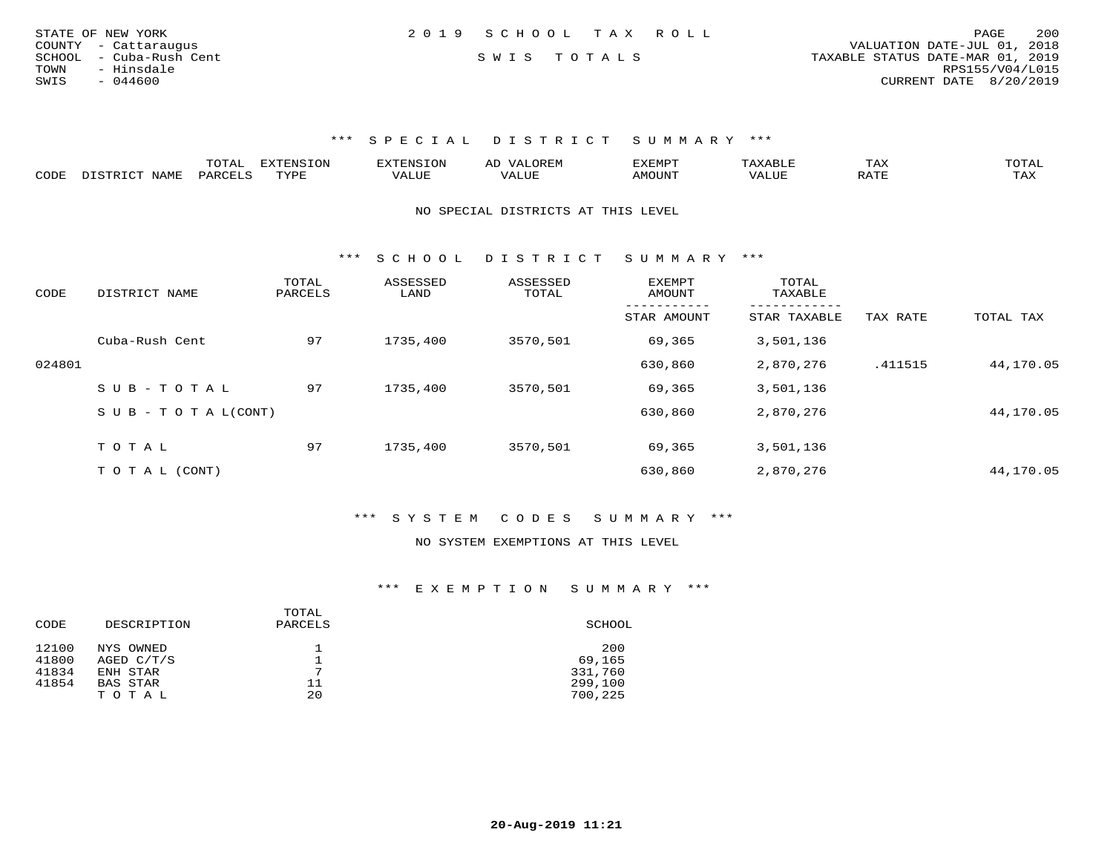| STATE OF NEW YORK       | 2019 SCHOOL TAX ROLL | 200<br>PAGE                      |
|-------------------------|----------------------|----------------------------------|
| COUNTY - Cattaraugus    |                      | VALUATION DATE-JUL 01, 2018      |
| SCHOOL - Cuba-Rush Cent | SWIS TOTALS          | TAXABLE STATUS DATE-MAR 01, 2019 |
| - Hinsdale<br>TOWN      |                      | RPS155/V04/L015                  |
| SWIS<br>$-044600$       |                      | CURRENT DATE 8/20/2019           |
|                         |                      |                                  |

|      | ----<br>. U 1 1 1 1 | mmATATAT<br><b>A</b> | ▵ | <b>EMP</b> | t Land               | _____ |
|------|---------------------|----------------------|---|------------|----------------------|-------|
| CODE |                     | $n \tau \tau n \tau$ |   | MOTIN.     | $\sim$ $\sim$ $\sim$ |       |

NO SPECIAL DISTRICTS AT THIS LEVEL

\*\*\* S C H O O L D I S T R I C T S U M M A R Y \*\*\*

| CODE   | DISTRICT NAME              | TOTAL<br>PARCELS | ASSESSED<br>LAND | ASSESSED<br>TOTAL | <b>EXEMPT</b><br>AMOUNT | TOTAL<br>TAXABLE<br>-------- |          |           |
|--------|----------------------------|------------------|------------------|-------------------|-------------------------|------------------------------|----------|-----------|
|        |                            |                  |                  |                   | STAR AMOUNT             | STAR TAXABLE                 | TAX RATE | TOTAL TAX |
|        | Cuba-Rush Cent             | 97               | 1735,400         | 3570,501          | 69,365                  | 3,501,136                    |          |           |
| 024801 |                            |                  |                  |                   | 630,860                 | 2,870,276                    | .411515  | 44,170.05 |
|        | SUB-TOTAL                  | 97               | 1735,400         | 3570,501          | 69,365                  | 3,501,136                    |          |           |
|        | S U B - T O T A $L$ (CONT) |                  |                  |                   | 630,860                 | 2,870,276                    |          | 44,170.05 |
|        |                            |                  |                  |                   |                         |                              |          |           |
|        | TOTAL                      | 97               | 1735,400         | 3570,501          | 69,365                  | 3,501,136                    |          |           |
|        | T O T A L (CONT)           |                  |                  |                   | 630,860                 | 2,870,276                    |          | 44,170.05 |

\*\*\* S Y S T E M C O D E S S U M M A R Y \*\*\*

NO SYSTEM EXEMPTIONS AT THIS LEVEL

| CODE  | DESCRIPTION | TOTAL<br>PARCELS | SCHOOL  |
|-------|-------------|------------------|---------|
| 12100 | NYS OWNED   |                  | 200     |
| 41800 | AGED C/T/S  |                  | 69,165  |
| 41834 | ENH STAR    | ⇁                | 331,760 |
| 41854 | BAS STAR    | 11               | 299,100 |
|       | TOTAL       | 20               | 700,225 |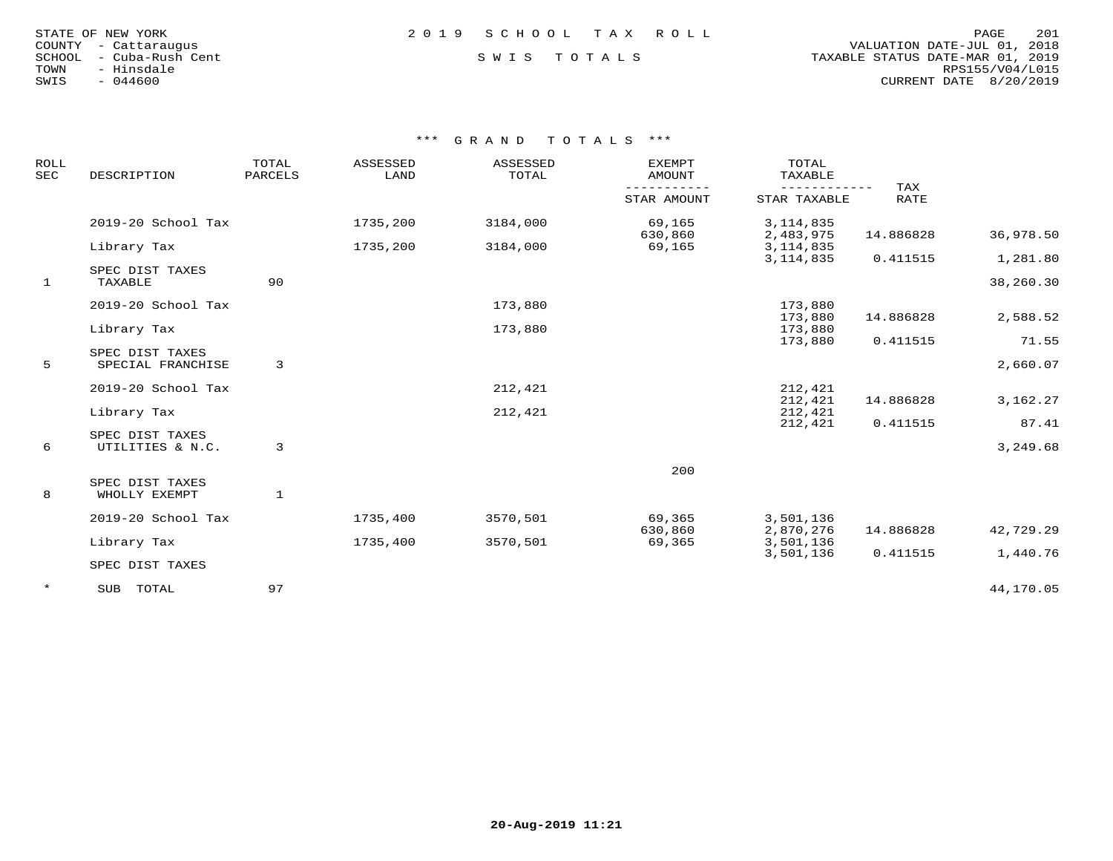|        | STATE OF NEW YORK |  |
|--------|-------------------|--|
| COUNTY | - Cattaraugus     |  |
| SCHOOL | - Cuba-Rush Cent  |  |
| TOWN   | - Hinsdale        |  |
| SWIS   | $-044600$         |  |

## STATE OF NEW YORK 2 0 1 9 S C H O O L T A X R O L L PAGE 201

## SWIS TOTALS

 COUNTY - Cattaraugus VALUATION DATE-JUL 01, 2018 TOWN - Hinsdale RPS155/V04/L015SWIS - 044600 CURRENT DATE 8/20/2019

| ROLL<br><b>SEC</b> | DESCRIPTION                          | TOTAL<br>PARCELS | ASSESSED<br>LAND | ASSESSED<br>TOTAL | <b>EXEMPT</b><br>AMOUNT | TOTAL<br>TAXABLE         |                    |           |
|--------------------|--------------------------------------|------------------|------------------|-------------------|-------------------------|--------------------------|--------------------|-----------|
|                    |                                      |                  |                  |                   | STAR AMOUNT             | STAR TAXABLE             | TAX<br><b>RATE</b> |           |
|                    | 2019-20 School Tax                   |                  | 1735,200         | 3184,000          | 69,165<br>630,860       | 3, 114, 835<br>2,483,975 | 14.886828          | 36,978.50 |
|                    | Library Tax                          |                  | 1735,200         | 3184,000          | 69,165                  | 3, 114, 835              |                    |           |
|                    | SPEC DIST TAXES                      |                  |                  |                   |                         | 3, 114, 835              | 0.411515           | 1,281.80  |
| $\mathbf{1}$       | TAXABLE                              | 90               |                  |                   |                         |                          |                    | 38,260.30 |
|                    | 2019-20 School Tax                   |                  |                  | 173,880           |                         | 173,880                  |                    |           |
|                    | Library Tax                          |                  |                  | 173,880           |                         | 173,880<br>173,880       | 14.886828          | 2,588.52  |
|                    |                                      |                  |                  |                   |                         | 173,880                  | 0.411515           | 71.55     |
| 5                  | SPEC DIST TAXES<br>SPECIAL FRANCHISE | 3                |                  |                   |                         |                          |                    | 2,660.07  |
|                    | 2019-20 School Tax                   |                  |                  | 212,421           |                         | 212,421                  |                    |           |
|                    |                                      |                  |                  |                   |                         | 212,421                  | 14.886828          | 3,162.27  |
|                    | Library Tax                          |                  |                  | 212,421           |                         | 212,421<br>212,421       | 0.411515           | 87.41     |
| 6                  | SPEC DIST TAXES<br>UTILITIES & N.C.  | 3                |                  |                   |                         |                          |                    | 3,249.68  |
|                    |                                      |                  |                  |                   | 200                     |                          |                    |           |
| 8                  | SPEC DIST TAXES<br>WHOLLY EXEMPT     | $\mathbf{1}$     |                  |                   |                         |                          |                    |           |
|                    | 2019-20 School Tax                   |                  | 1735,400         | 3570,501          | 69,365                  | 3,501,136                |                    |           |
|                    | Library Tax                          |                  | 1735,400         | 3570,501          | 630,860<br>69,365       | 2,870,276<br>3,501,136   | 14.886828          | 42,729.29 |
|                    |                                      |                  |                  |                   |                         | 3,501,136                | 0.411515           | 1,440.76  |
|                    | SPEC DIST TAXES                      |                  |                  |                   |                         |                          |                    |           |
|                    | SUB TOTAL                            | 97               |                  |                   |                         |                          |                    | 44,170.05 |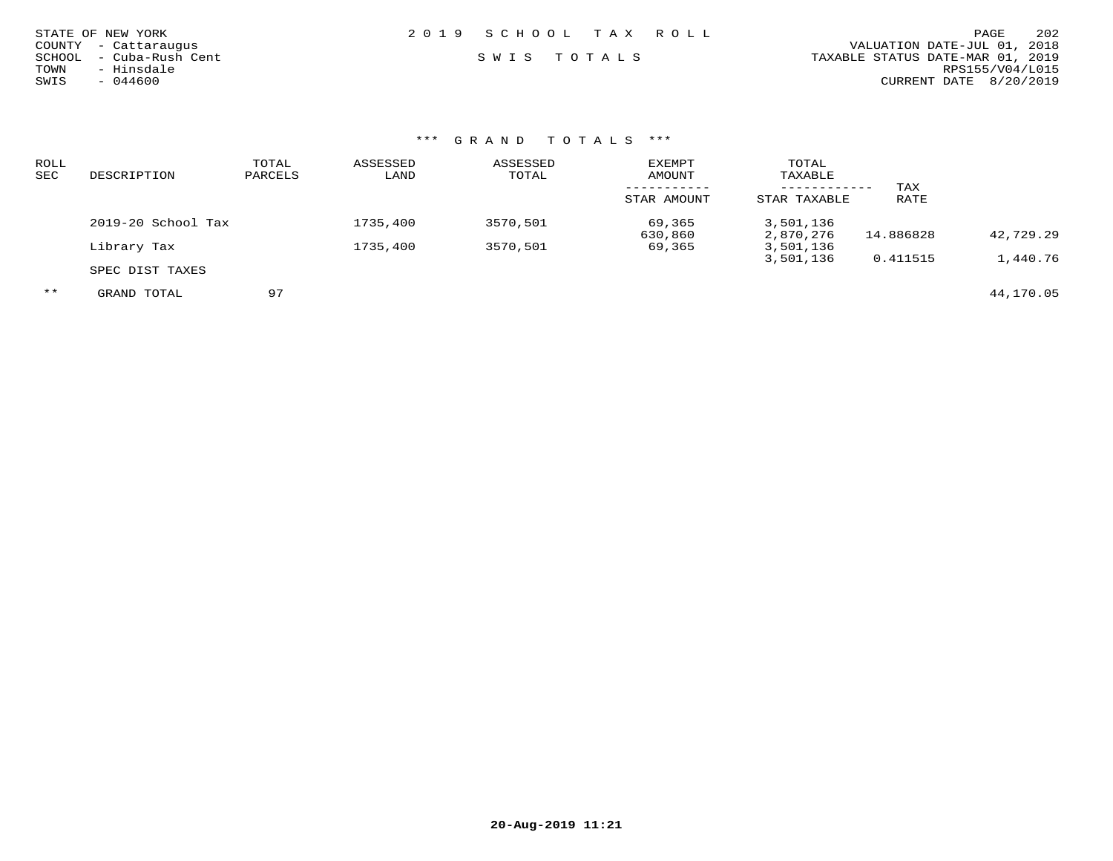| STATE OF NEW YORK<br>COUNTY - Cattaraugus<br>SCHOOL - Cuba-Rush Cent<br>- Hinsdale<br>TOWN | 2019 SCHOOL TAX ROLL<br>SWIS TOTALS | 202<br>PAGE<br>VALUATION DATE-JUL 01, 2018<br>TAXABLE STATUS DATE-MAR 01, 2019<br>RPS155/V04/L015 |
|--------------------------------------------------------------------------------------------|-------------------------------------|---------------------------------------------------------------------------------------------------|
| SWIS<br>$-044600$                                                                          |                                     | CURRENT DATE 8/20/2019                                                                            |
|                                                                                            |                                     |                                                                                                   |

| ROLL |                    | TOTAL   | ASSESSED | ASSESSED | <b>EXEMPT</b> | TOTAL        |           |           |
|------|--------------------|---------|----------|----------|---------------|--------------|-----------|-----------|
| SEC  | DESCRIPTION        | PARCELS | LAND     | TOTAL    | AMOUNT        | TAXABLE      |           |           |
|      |                    |         |          |          |               |              | TAX       |           |
|      |                    |         |          |          | STAR AMOUNT   | STAR TAXABLE | RATE      |           |
|      | 2019-20 School Tax |         | 1735,400 | 3570,501 | 69,365        | 3,501,136    |           |           |
|      |                    |         |          |          | 630,860       | 2,870,276    | 14.886828 | 42,729.29 |
|      | Library Tax        |         | 1735,400 | 3570,501 | 69,365        | 3,501,136    |           |           |
|      |                    |         |          |          |               | 3,501,136    | 0.411515  | 1,440.76  |
|      | SPEC DIST TAXES    |         |          |          |               |              |           |           |

\*\* GRAND TOTAL 97 44,170.05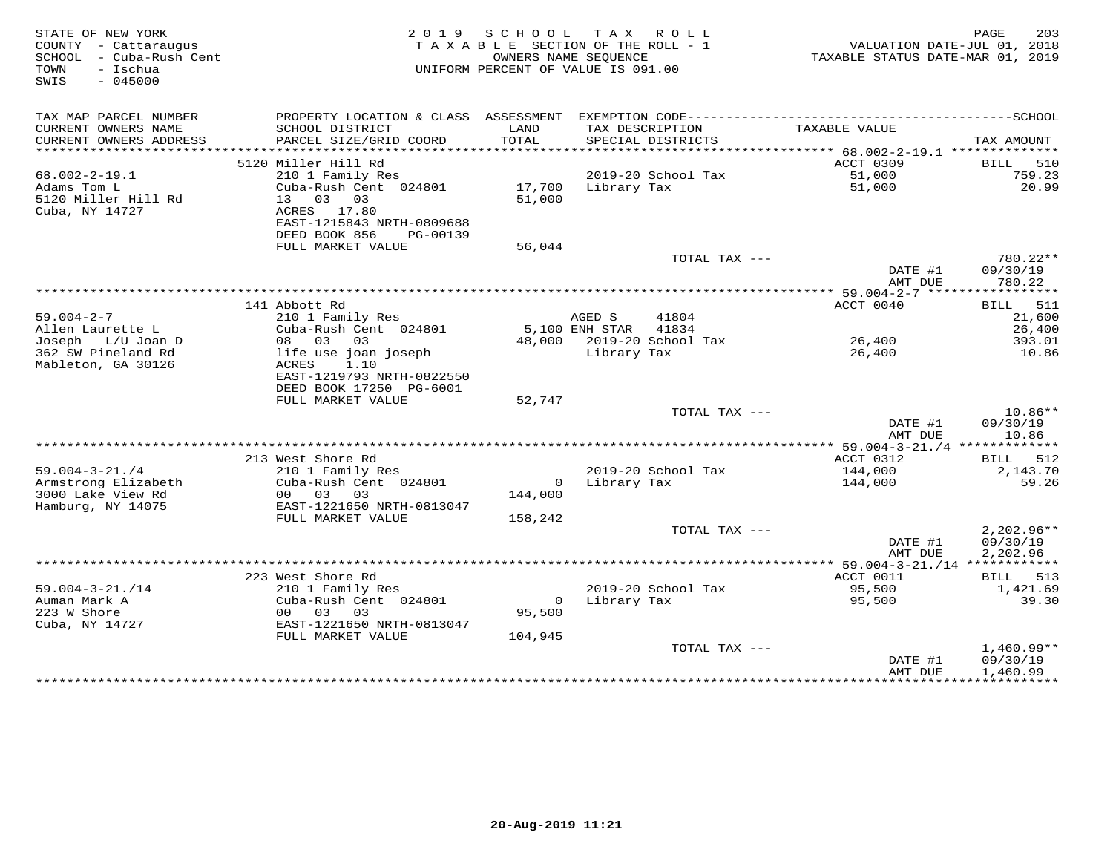| STATE OF NEW YORK<br>COUNTY - Cattaraugus<br>SCHOOL - Cuba-Rush Cent<br>- Ischua<br>TOWN<br>$-045000$<br>SWIS |                                                | 2019 SCHOOL<br>OWNERS NAME SEOUENCE | TAX ROLL<br>TAXABLE SECTION OF THE ROLL - 1<br>UNIFORM PERCENT OF VALUE IS 091.00 | TAXABLE STATUS DATE-MAR 01, 2019 | 203<br>PAGE<br>VALUATION DATE-JUL 01, 2018 |
|---------------------------------------------------------------------------------------------------------------|------------------------------------------------|-------------------------------------|-----------------------------------------------------------------------------------|----------------------------------|--------------------------------------------|
| TAX MAP PARCEL NUMBER                                                                                         | PROPERTY LOCATION & CLASS ASSESSMENT           |                                     |                                                                                   |                                  |                                            |
| CURRENT OWNERS NAME<br>CURRENT OWNERS ADDRESS<br>**********************                                       | SCHOOL DISTRICT<br>PARCEL SIZE/GRID COORD      | LAND<br>TOTAL                       | TAX DESCRIPTION<br>SPECIAL DISTRICTS                                              | TAXABLE VALUE                    | TAX AMOUNT                                 |
|                                                                                                               | 5120 Miller Hill Rd                            |                                     |                                                                                   | ACCT 0309                        | BILL 510                                   |
| $68.002 - 2 - 19.1$                                                                                           | 210 1 Family Res                               |                                     | 2019-20 School Tax                                                                | 51,000                           | 759.23                                     |
| Adams Tom L                                                                                                   | Cuba-Rush Cent 024801                          | 17,700                              | Library Tax                                                                       | 51,000                           | 20.99                                      |
| 5120 Miller Hill Rd                                                                                           | 13 03 03                                       | 51,000                              |                                                                                   |                                  |                                            |
| Cuba, NY 14727                                                                                                | ACRES 17.80<br>EAST-1215843 NRTH-0809688       |                                     |                                                                                   |                                  |                                            |
|                                                                                                               | DEED BOOK 856<br>PG-00139                      |                                     |                                                                                   |                                  |                                            |
|                                                                                                               | FULL MARKET VALUE                              | 56,044                              |                                                                                   |                                  |                                            |
|                                                                                                               |                                                |                                     | TOTAL TAX ---                                                                     |                                  | 780.22**                                   |
|                                                                                                               |                                                |                                     |                                                                                   | DATE #1<br>AMT DUE               | 09/30/19<br>780.22                         |
|                                                                                                               |                                                |                                     |                                                                                   |                                  |                                            |
|                                                                                                               | 141 Abbott Rd                                  |                                     |                                                                                   | ACCT 0040                        | BILL 511                                   |
| $59.004 - 2 - 7$                                                                                              | 210 1 Family Res                               |                                     | AGED S<br>41804                                                                   |                                  | 21,600                                     |
| Allen Laurette L                                                                                              | Cuba-Rush Cent 024801                          |                                     | 5,100 ENH STAR 41834                                                              |                                  | 26,400                                     |
| Joseph L/U Joan D<br>362 SW Pineland Rd                                                                       | 08 03 03                                       |                                     | 48,000 2019-20 School Tax                                                         | 26,400<br>26,400                 | 393.01                                     |
| Mableton, GA 30126                                                                                            | life use joan joseph<br>1.10<br>ACRES          |                                     | Library Tax                                                                       |                                  | 10.86                                      |
|                                                                                                               | EAST-1219793 NRTH-0822550                      |                                     |                                                                                   |                                  |                                            |
|                                                                                                               | DEED BOOK 17250 PG-6001                        |                                     |                                                                                   |                                  |                                            |
|                                                                                                               | FULL MARKET VALUE                              | 52,747                              |                                                                                   |                                  |                                            |
|                                                                                                               |                                                |                                     | TOTAL TAX ---                                                                     |                                  | $10.86**$                                  |
|                                                                                                               |                                                |                                     |                                                                                   | DATE #1<br>AMT DUE               | 09/30/19<br>10.86                          |
|                                                                                                               |                                                |                                     |                                                                                   |                                  |                                            |
| $59.004 - 3 - 21.74$                                                                                          | 213 West Shore Rd<br>210 1 Family Res          |                                     | 2019-20 School Tax                                                                | ACCT 0312<br>144,000             | BILL 512<br>2,143.70                       |
| Armstrong Elizabeth                                                                                           | Cuba-Rush Cent 024801                          |                                     | 0 Library Tax                                                                     | 144,000                          | 59.26                                      |
| 3000 Lake View Rd                                                                                             | 00 03 03                                       | 144,000                             |                                                                                   |                                  |                                            |
| Hamburg, NY 14075                                                                                             | EAST-1221650 NRTH-0813047                      |                                     |                                                                                   |                                  |                                            |
|                                                                                                               | FULL MARKET VALUE                              | 158,242                             |                                                                                   |                                  |                                            |
|                                                                                                               |                                                |                                     | TOTAL TAX ---                                                                     |                                  | $2,202.96**$                               |
|                                                                                                               |                                                |                                     |                                                                                   | DATE #1<br>AMT DUE               | 09/30/19<br>2,202.96                       |
|                                                                                                               |                                                |                                     |                                                                                   |                                  |                                            |
|                                                                                                               | 223 West Shore Rd                              |                                     |                                                                                   | ACCT 0011                        | BILL 513                                   |
| $59.004 - 3 - 21. / 14$                                                                                       | 210 1 Family Res                               |                                     | 2019-20 School Tax                                                                | 95,500                           | 1,421.69                                   |
| Auman Mark A                                                                                                  | Cuba-Rush Cent 024801                          |                                     | 0 Library Tax                                                                     | 95,500                           | 39.30                                      |
| 223 W Shore                                                                                                   | 00 03 03                                       | 95,500                              |                                                                                   |                                  |                                            |
| Cuba, NY 14727                                                                                                | EAST-1221650 NRTH-0813047<br>FULL MARKET VALUE | 104,945                             |                                                                                   |                                  |                                            |
|                                                                                                               |                                                |                                     | TOTAL TAX ---                                                                     |                                  | $1,460.99**$                               |
|                                                                                                               |                                                |                                     |                                                                                   | DATE #1                          | 09/30/19                                   |
|                                                                                                               |                                                |                                     |                                                                                   | AMT DUE                          | 1,460.99                                   |
|                                                                                                               |                                                |                                     |                                                                                   |                                  |                                            |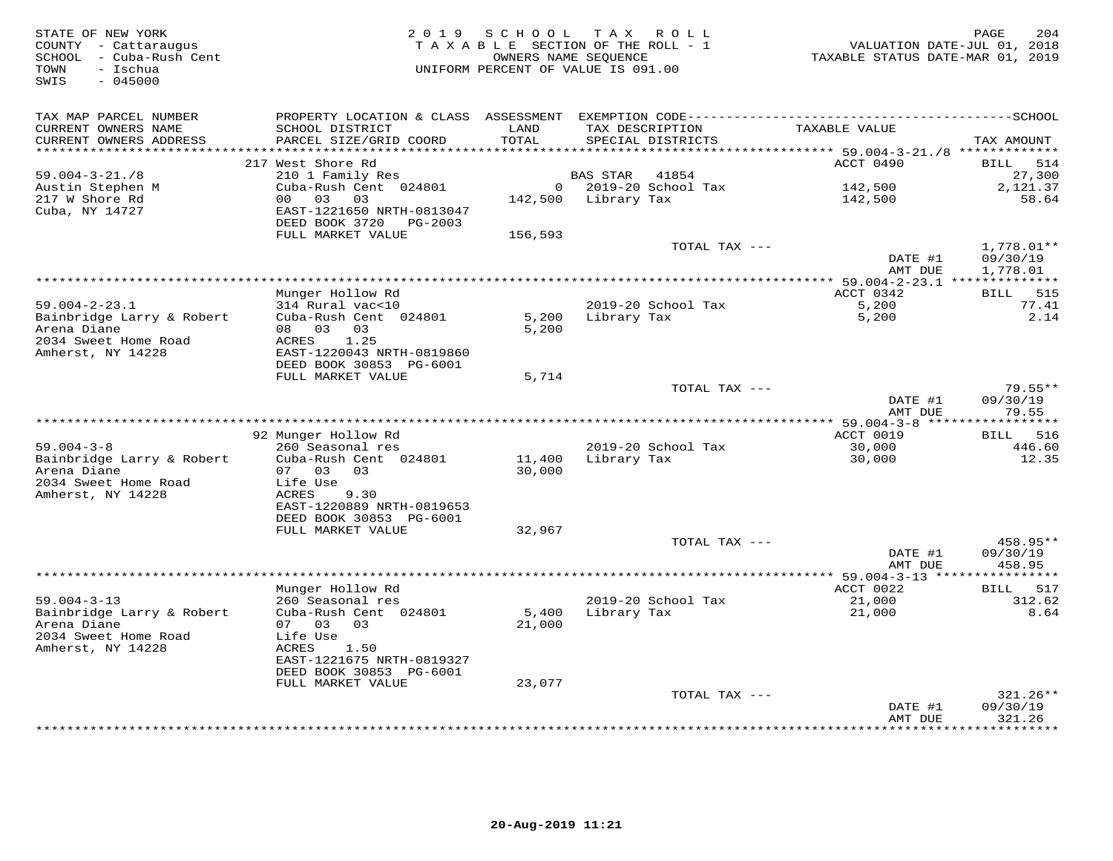| STATE OF NEW YORK<br>COUNTY - Cattaraugus<br>SCHOOL - Cuba-Rush Cent<br>TOWN<br>- Ischua<br>$-045000$<br>SWIS | 2 0 1 9                                                | SCHOOL              | TAX ROLL<br>TAXABLE SECTION OF THE ROLL - 1<br>OWNERS NAME SEQUENCE<br>UNIFORM PERCENT OF VALUE IS 091.00 | VALUATION DATE-JUL 01, 2018<br>TAXABLE STATUS DATE-MAR 01, 2019 | PAGE<br>204                  |
|---------------------------------------------------------------------------------------------------------------|--------------------------------------------------------|---------------------|-----------------------------------------------------------------------------------------------------------|-----------------------------------------------------------------|------------------------------|
| TAX MAP PARCEL NUMBER<br>CURRENT OWNERS NAME<br>CURRENT OWNERS ADDRESS                                        | SCHOOL DISTRICT<br>PARCEL SIZE/GRID COORD              | LAND<br>TOTAL       | TAX DESCRIPTION<br>SPECIAL DISTRICTS                                                                      | TAXABLE VALUE                                                   | TAX AMOUNT                   |
| ********************                                                                                          |                                                        | * * * * * * * * * * |                                                                                                           | ********************************* 59.004-3-21./8 *************  |                              |
|                                                                                                               | 217 West Shore Rd<br>210 1 Family Res                  |                     | 41854                                                                                                     | ACCT 0490                                                       | <b>BILL</b><br>514<br>27,300 |
| $59.004 - 3 - 21.78$<br>Austin Stephen M                                                                      | Cuba-Rush Cent 024801                                  |                     | BAS STAR<br>$0$ 2019-20 School Tax                                                                        | 142,500                                                         | 2,121.37                     |
| 217 W Shore Rd                                                                                                | 00 03<br>03                                            |                     | 142,500 Library Tax                                                                                       | 142,500                                                         | 58.64                        |
| Cuba, NY 14727                                                                                                | EAST-1221650 NRTH-0813047<br>DEED BOOK 3720<br>PG-2003 |                     |                                                                                                           |                                                                 |                              |
|                                                                                                               | FULL MARKET VALUE                                      | 156,593             |                                                                                                           |                                                                 |                              |
|                                                                                                               |                                                        |                     | TOTAL TAX ---                                                                                             | DATE #1                                                         | 1,778.01**<br>09/30/19       |
|                                                                                                               |                                                        |                     |                                                                                                           | AMT DUE                                                         | 1,778.01                     |
|                                                                                                               | Munger Hollow Rd                                       |                     |                                                                                                           | ACCT 0342                                                       | BILL 515                     |
| $59.004 - 2 - 23.1$                                                                                           | 314 Rural vac<10                                       |                     | 2019-20 School Tax                                                                                        | 5,200                                                           | 77.41                        |
| Bainbridge Larry & Robert                                                                                     | Cuba-Rush Cent 024801                                  | 5,200               | Library Tax                                                                                               | 5,200                                                           | 2.14                         |
| Arena Diane                                                                                                   | 08 03 03                                               | 5,200               |                                                                                                           |                                                                 |                              |
| 2034 Sweet Home Road                                                                                          | 1.25<br>ACRES                                          |                     |                                                                                                           |                                                                 |                              |
| Amherst, NY 14228                                                                                             | EAST-1220043 NRTH-0819860<br>DEED BOOK 30853 PG-6001   |                     |                                                                                                           |                                                                 |                              |
|                                                                                                               | FULL MARKET VALUE                                      | 5,714               |                                                                                                           |                                                                 |                              |
|                                                                                                               |                                                        |                     | TOTAL TAX ---                                                                                             |                                                                 | $79.55**$                    |
|                                                                                                               |                                                        |                     |                                                                                                           | DATE #1<br>AMT DUE                                              | 09/30/19<br>79.55            |
|                                                                                                               |                                                        |                     |                                                                                                           |                                                                 |                              |
| $59.004 - 3 - 8$                                                                                              | 92 Munger Hollow Rd<br>260 Seasonal res                |                     | 2019-20 School Tax                                                                                        | ACCT 0019<br>30,000                                             | BILL 516<br>446.60           |
| Bainbridge Larry & Robert                                                                                     | Cuba-Rush Cent 024801                                  | 11,400              | Library Tax                                                                                               | 30,000                                                          | 12.35                        |
| Arena Diane                                                                                                   | 07 03<br>0.3                                           | 30,000              |                                                                                                           |                                                                 |                              |
| 2034 Sweet Home Road                                                                                          | Life Use                                               |                     |                                                                                                           |                                                                 |                              |
| Amherst, NY 14228                                                                                             | ACRES<br>9.30                                          |                     |                                                                                                           |                                                                 |                              |
|                                                                                                               | EAST-1220889 NRTH-0819653<br>DEED BOOK 30853 PG-6001   |                     |                                                                                                           |                                                                 |                              |
|                                                                                                               | FULL MARKET VALUE                                      | 32,967              |                                                                                                           |                                                                 |                              |
|                                                                                                               |                                                        |                     | TOTAL TAX ---                                                                                             |                                                                 | 458.95**                     |
|                                                                                                               |                                                        |                     |                                                                                                           | DATE #1                                                         | 09/30/19                     |
|                                                                                                               |                                                        |                     |                                                                                                           | AMT DUE                                                         | 458.95                       |
|                                                                                                               | Munger Hollow Rd                                       |                     |                                                                                                           | *** 59.004-3-13 *****************<br>ACCT 0022                  | BILL 517                     |
| $59.004 - 3 - 13$                                                                                             | 260 Seasonal res                                       |                     | 2019-20 School Tax                                                                                        | 21,000                                                          | 312.62                       |
| Bainbridge Larry & Robert                                                                                     | Cuba-Rush Cent 024801                                  | 5,400               | Library Tax                                                                                               | 21,000                                                          | 8.64                         |
| Arena Diane                                                                                                   | 07 03 03                                               | 21,000              |                                                                                                           |                                                                 |                              |
| 2034 Sweet Home Road                                                                                          | Life Use                                               |                     |                                                                                                           |                                                                 |                              |
| Amherst, NY 14228                                                                                             | ACRES<br>1.50<br>EAST-1221675 NRTH-0819327             |                     |                                                                                                           |                                                                 |                              |
|                                                                                                               | DEED BOOK 30853 PG-6001                                |                     |                                                                                                           |                                                                 |                              |
|                                                                                                               | FULL MARKET VALUE                                      | 23,077              |                                                                                                           |                                                                 |                              |
|                                                                                                               |                                                        |                     | TOTAL TAX ---                                                                                             |                                                                 | $321.26**$                   |
|                                                                                                               |                                                        |                     |                                                                                                           | DATE #1                                                         | 09/30/19                     |
|                                                                                                               |                                                        |                     |                                                                                                           | AMT DUE                                                         | 321.26<br>* * * * * * * * *  |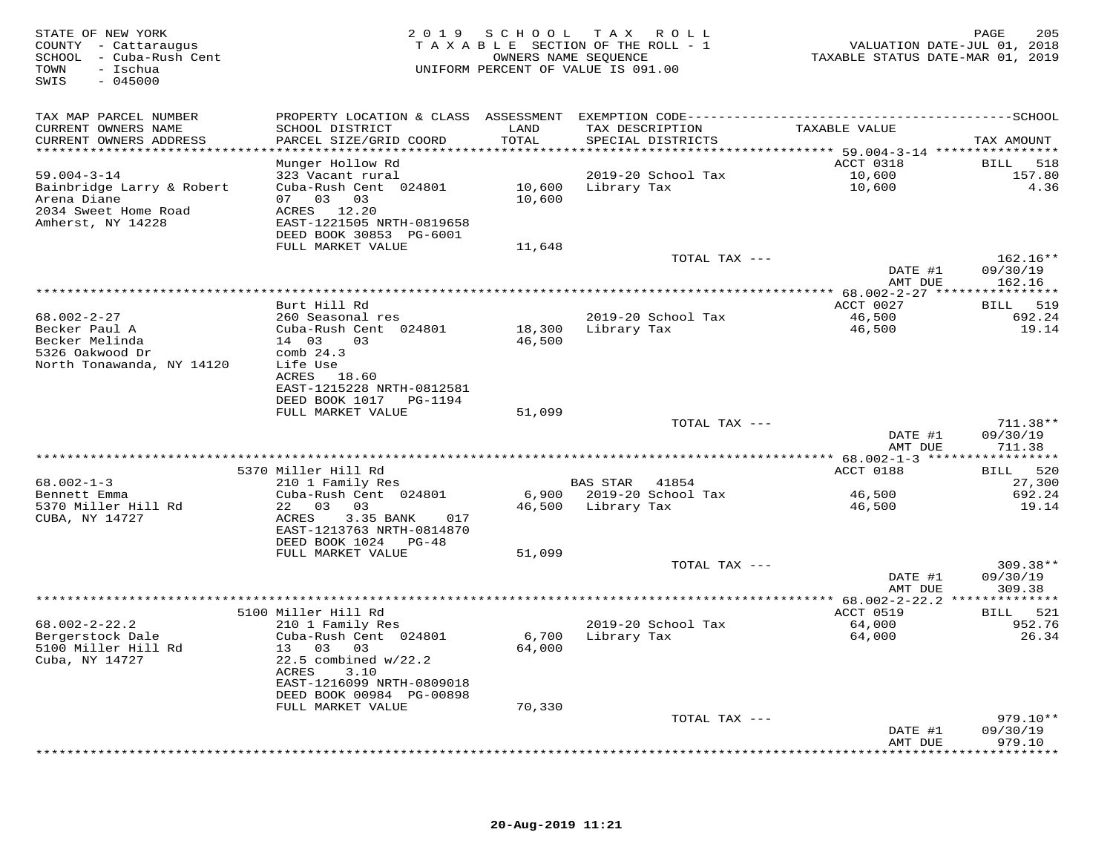| STATE OF NEW YORK<br>COUNTY - Cattaraugus<br>SCHOOL - Cuba-Rush Cent<br>TOWN<br>- Ischua<br>SWIS<br>$-045000$ |                                                       | 2019 SCHOOL TAX ROLL<br>TAXABLE SECTION OF THE ROLL - 1<br>OWNERS NAME SEQUENCE<br>UNIFORM PERCENT OF VALUE IS 091.00 |                    |                          | VALUATION DATE-JUL 01, 2018<br>TAXABLE STATUS DATE-MAR 01, 2019 | 205<br>PAGE            |
|---------------------------------------------------------------------------------------------------------------|-------------------------------------------------------|-----------------------------------------------------------------------------------------------------------------------|--------------------|--------------------------|-----------------------------------------------------------------|------------------------|
| TAX MAP PARCEL NUMBER                                                                                         |                                                       |                                                                                                                       |                    |                          |                                                                 |                        |
| CURRENT OWNERS NAME                                                                                           | SCHOOL DISTRICT                                       | LAND                                                                                                                  | TAX DESCRIPTION    |                          | TAXABLE VALUE                                                   |                        |
| CURRENT OWNERS ADDRESS<br>************************                                                            | PARCEL SIZE/GRID COORD                                | TOTAL                                                                                                                 |                    | SPECIAL DISTRICTS        |                                                                 | TAX AMOUNT             |
|                                                                                                               | Munger Hollow Rd                                      |                                                                                                                       |                    |                          | ACCT 0318                                                       | 518<br>BILL            |
| $59.004 - 3 - 14$                                                                                             | 323 Vacant rural                                      |                                                                                                                       |                    | 2019-20 School Tax       | 10,600                                                          | 157.80                 |
| Bainbridge Larry & Robert                                                                                     | Cuba-Rush Cent 024801                                 |                                                                                                                       | 10,600 Library Tax |                          | 10,600                                                          | 4.36                   |
| Arena Diane                                                                                                   | 07 03 03                                              | 10,600                                                                                                                |                    |                          |                                                                 |                        |
| 2034 Sweet Home Road<br>Amherst, NY 14228                                                                     | ACRES 12.20<br>EAST-1221505 NRTH-0819658              |                                                                                                                       |                    |                          |                                                                 |                        |
|                                                                                                               | DEED BOOK 30853 PG-6001                               |                                                                                                                       |                    |                          |                                                                 |                        |
|                                                                                                               | FULL MARKET VALUE                                     | 11,648                                                                                                                |                    |                          |                                                                 |                        |
|                                                                                                               |                                                       |                                                                                                                       |                    | TOTAL TAX ---            |                                                                 | $162.16**$             |
|                                                                                                               |                                                       |                                                                                                                       |                    |                          | DATE #1<br>AMT DUE                                              | 09/30/19<br>162.16     |
|                                                                                                               |                                                       |                                                                                                                       |                    |                          |                                                                 |                        |
|                                                                                                               | Burt Hill Rd                                          |                                                                                                                       |                    |                          | ACCT 0027                                                       | 519<br>BILL            |
| 68.002-2-27                                                                                                   | 260 Seasonal res                                      |                                                                                                                       |                    | 2019-20 School Tax       | 46,500                                                          | 692.24                 |
| Becker Paul A<br>Becker Melinda                                                                               | Cuba-Rush Cent 024801<br>14 03<br>03                  | 46,500                                                                                                                | 18,300 Library Tax |                          | 46,500                                                          | 19.14                  |
| 5326 Oakwood Dr                                                                                               | comb $24.3$                                           |                                                                                                                       |                    |                          |                                                                 |                        |
| North Tonawanda, NY 14120                                                                                     | Life Use                                              |                                                                                                                       |                    |                          |                                                                 |                        |
|                                                                                                               | ACRES 18.60                                           |                                                                                                                       |                    |                          |                                                                 |                        |
|                                                                                                               | EAST-1215228 NRTH-0812581<br>DEED BOOK 1017 PG-1194   |                                                                                                                       |                    |                          |                                                                 |                        |
|                                                                                                               | FULL MARKET VALUE                                     | 51,099                                                                                                                |                    |                          |                                                                 |                        |
|                                                                                                               |                                                       |                                                                                                                       |                    | TOTAL TAX ---            |                                                                 | $711.38**$             |
|                                                                                                               |                                                       |                                                                                                                       |                    |                          | DATE #1                                                         | 09/30/19               |
|                                                                                                               |                                                       |                                                                                                                       |                    |                          | AMT DUE                                                         | 711.38                 |
|                                                                                                               | 5370 Miller Hill Rd                                   |                                                                                                                       |                    |                          | ACCT 0188                                                       | BILL 520               |
| $68.002 - 1 - 3$                                                                                              | 210 1 Family Res                                      |                                                                                                                       | BAS STAR 41854     |                          |                                                                 | 27,300                 |
| Bennett Emma                                                                                                  | Cuba-Rush Cent 024801                                 |                                                                                                                       |                    | 6,900 2019-20 School Tax | 46,500                                                          | 692.24                 |
| 5370 Miller Hill Rd<br>CUBA, NY 14727                                                                         | 22 03 03<br>ACRES<br>3.35 BANK<br>017                 |                                                                                                                       | 46,500 Library Tax |                          | 46,500                                                          | 19.14                  |
|                                                                                                               | EAST-1213763 NRTH-0814870                             |                                                                                                                       |                    |                          |                                                                 |                        |
|                                                                                                               | DEED BOOK 1024 PG-48                                  |                                                                                                                       |                    |                          |                                                                 |                        |
|                                                                                                               | FULL MARKET VALUE                                     | 51,099                                                                                                                |                    |                          |                                                                 |                        |
|                                                                                                               |                                                       |                                                                                                                       |                    | TOTAL TAX ---            | DATE #1                                                         | $309.38**$<br>09/30/19 |
|                                                                                                               |                                                       |                                                                                                                       |                    |                          | AMT DUE                                                         | 309.38                 |
|                                                                                                               |                                                       |                                                                                                                       |                    |                          |                                                                 |                        |
|                                                                                                               | 5100 Miller Hill Rd                                   |                                                                                                                       |                    |                          | ACCT 0519                                                       | BILL 521               |
| $68.002 - 2 - 22.2$<br>Bergerstock Dale                                                                       | 210 1 Family Res<br>Cuba-Rush Cent 024801             |                                                                                                                       | 6,700 Library Tax  | 2019-20 School Tax       | 64,000<br>64,000                                                | 952.76<br>26.34        |
| 5100 Miller Hill Rd                                                                                           | 13 03 03                                              | 64,000                                                                                                                |                    |                          |                                                                 |                        |
| Cuba, NY 14727                                                                                                | $22.5$ combined $w/22.2$                              |                                                                                                                       |                    |                          |                                                                 |                        |
|                                                                                                               | ACRES<br>3.10                                         |                                                                                                                       |                    |                          |                                                                 |                        |
|                                                                                                               | EAST-1216099 NRTH-0809018<br>DEED BOOK 00984 PG-00898 |                                                                                                                       |                    |                          |                                                                 |                        |
|                                                                                                               | FULL MARKET VALUE                                     | 70,330                                                                                                                |                    |                          |                                                                 |                        |
|                                                                                                               |                                                       |                                                                                                                       |                    | TOTAL TAX ---            |                                                                 | $979.10**$             |
|                                                                                                               |                                                       |                                                                                                                       |                    |                          | DATE #1                                                         | 09/30/19               |
|                                                                                                               |                                                       |                                                                                                                       |                    |                          | AMT DUE                                                         | 979.10<br>*********    |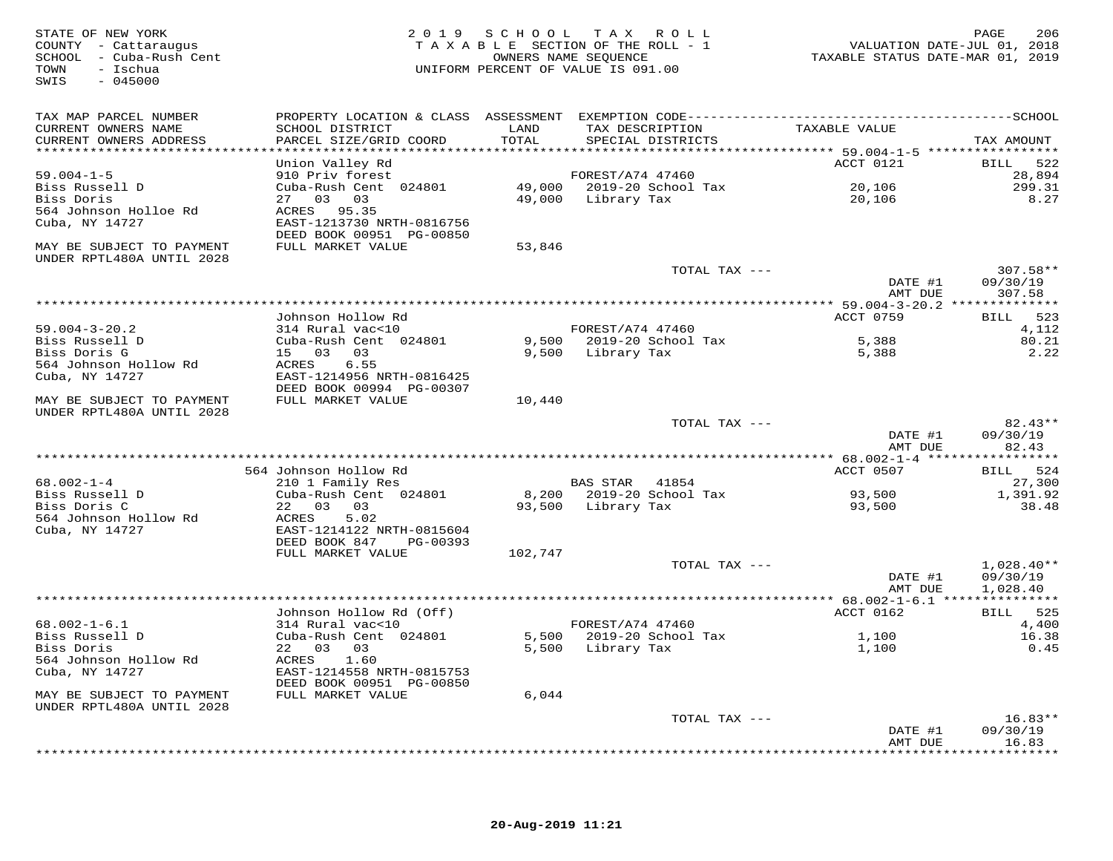| STATE OF NEW YORK<br>COUNTY - Cattaraugus<br>SCHOOL - Cuba-Rush Cent<br>- Ischua<br>TOWN<br>$-045000$<br>SWIS |                                                                      |               | 2019 SCHOOL TAX ROLL<br>TAXABLE SECTION OF THE ROLL - 1<br>OWNERS NAME SEOUENCE<br>UNIFORM PERCENT OF VALUE IS 091.00 | TAXABLE STATUS DATE-MAR 01, 2019 | 206<br>PAGE<br>VALUATION DATE-JUL 01, 2018 |
|---------------------------------------------------------------------------------------------------------------|----------------------------------------------------------------------|---------------|-----------------------------------------------------------------------------------------------------------------------|----------------------------------|--------------------------------------------|
| TAX MAP PARCEL NUMBER<br>CURRENT OWNERS NAME<br>CURRENT OWNERS ADDRESS                                        | SCHOOL DISTRICT<br>PARCEL SIZE/GRID COORD                            | LAND<br>TOTAL | TAX DESCRIPTION<br>SPECIAL DISTRICTS                                                                                  | TAXABLE VALUE                    | TAX AMOUNT                                 |
| ************************                                                                                      |                                                                      |               |                                                                                                                       |                                  |                                            |
| $59.004 - 1 - 5$                                                                                              | Union Valley Rd<br>910 Priv forest                                   |               | FOREST/A74 47460                                                                                                      | ACCT 0121                        | 522<br><b>BILL</b><br>28,894               |
| Biss Russell D                                                                                                | Cuba-Rush Cent 024801                                                |               | 49,000 2019-20 School Tax                                                                                             | 20,106                           | 299.31                                     |
| Biss Doris                                                                                                    | 27 03 03                                                             |               | 49,000 Library Tax                                                                                                    | 20,106                           | 8.27                                       |
| 564 Johnson Holloe Rd<br>Cuba, NY 14727                                                                       | ACRES 95.35<br>EAST-1213730 NRTH-0816756<br>DEED BOOK 00951 PG-00850 |               |                                                                                                                       |                                  |                                            |
| MAY BE SUBJECT TO PAYMENT<br>UNDER RPTL480A UNTIL 2028                                                        | FULL MARKET VALUE                                                    | 53,846        |                                                                                                                       |                                  |                                            |
|                                                                                                               |                                                                      |               | TOTAL TAX ---                                                                                                         | DATE #1<br>AMT DUE               | 307.58**<br>09/30/19<br>307.58             |
|                                                                                                               |                                                                      |               |                                                                                                                       |                                  |                                            |
| $59.004 - 3 - 20.2$                                                                                           | Johnson Hollow Rd<br>314 Rural vac<10                                |               | FOREST/A74 47460                                                                                                      | ACCT 0759                        | BILL 523<br>4,112                          |
| Biss Russell D                                                                                                | Cuba-Rush Cent 024801                                                |               | 9,500 2019-20 School Tax                                                                                              | 5,388                            | 80.21                                      |
| Biss Doris G                                                                                                  | 15 03 03                                                             |               | 9,500 Library Tax                                                                                                     | 5,388                            | 2.22                                       |
| 564 Johnson Hollow Rd                                                                                         | ACRES<br>6.55                                                        |               |                                                                                                                       |                                  |                                            |
| Cuba, NY 14727                                                                                                | EAST-1214956 NRTH-0816425                                            |               |                                                                                                                       |                                  |                                            |
| MAY BE SUBJECT TO PAYMENT<br>UNDER RPTL480A UNTIL 2028                                                        | DEED BOOK 00994 PG-00307<br>FULL MARKET VALUE                        | 10,440        |                                                                                                                       |                                  |                                            |
|                                                                                                               |                                                                      |               | TOTAL TAX ---                                                                                                         | DATE #1<br>AMT DUE               | 82.43**<br>09/30/19<br>82.43               |
|                                                                                                               |                                                                      |               |                                                                                                                       |                                  |                                            |
|                                                                                                               | 564 Johnson Hollow Rd                                                |               |                                                                                                                       | ACCT 0507                        | BILL 524                                   |
| $68.002 - 1 - 4$<br>Biss Russell D                                                                            | 210 1 Family Res<br>Cuba-Rush Cent 024801                            |               | BAS STAR 41854<br>8,200 2019-20 School Tax                                                                            | 93,500                           | 27,300<br>1,391.92                         |
| Biss Doris C                                                                                                  | 22 03 03                                                             |               | 93,500 Library Tax                                                                                                    | 93,500                           | 38.48                                      |
| 564 Johnson Hollow Rd<br>Cuba, NY 14727                                                                       | 5.02<br>ACRES<br>EAST-1214122 NRTH-0815604                           |               |                                                                                                                       |                                  |                                            |
|                                                                                                               | DEED BOOK 847 PG-00393                                               |               |                                                                                                                       |                                  |                                            |
|                                                                                                               | FULL MARKET VALUE                                                    | 102,747       | TOTAL TAX ---                                                                                                         |                                  | $1,028.40**$                               |
|                                                                                                               |                                                                      |               |                                                                                                                       | DATE #1<br>AMT DUE               | 09/30/19<br>1,028.40                       |
|                                                                                                               |                                                                      |               |                                                                                                                       |                                  |                                            |
|                                                                                                               | Johnson Hollow Rd (Off)                                              |               |                                                                                                                       | ACCT 0162                        | BILL 525                                   |
| $68.002 - 1 - 6.1$<br>Biss Russell D                                                                          | 314 Rural vac<10<br>Cuba-Rush Cent 024801                            |               | FOREST/A74 47460<br>5,500 2019-20 School Tax                                                                          | 1,100                            | 4,400<br>16.38                             |
| Biss Doris                                                                                                    | 22 03 03                                                             |               | 5,500 Library Tax                                                                                                     | 1,100                            | 0.45                                       |
| 564 Johnson Hollow Rd                                                                                         | 1.60<br>ACRES                                                        |               |                                                                                                                       |                                  |                                            |
| Cuba, NY 14727                                                                                                | EAST-1214558 NRTH-0815753                                            |               |                                                                                                                       |                                  |                                            |
| MAY BE SUBJECT TO PAYMENT<br>UNDER RPTL480A UNTIL 2028                                                        | DEED BOOK 00951 PG-00850<br>FULL MARKET VALUE                        | 6,044         |                                                                                                                       |                                  |                                            |
|                                                                                                               |                                                                      |               | TOTAL TAX ---                                                                                                         |                                  | $16.83**$                                  |
|                                                                                                               |                                                                      |               |                                                                                                                       | DATE #1                          | 09/30/19                                   |
|                                                                                                               |                                                                      |               |                                                                                                                       | AMT DUE                          | 16.83                                      |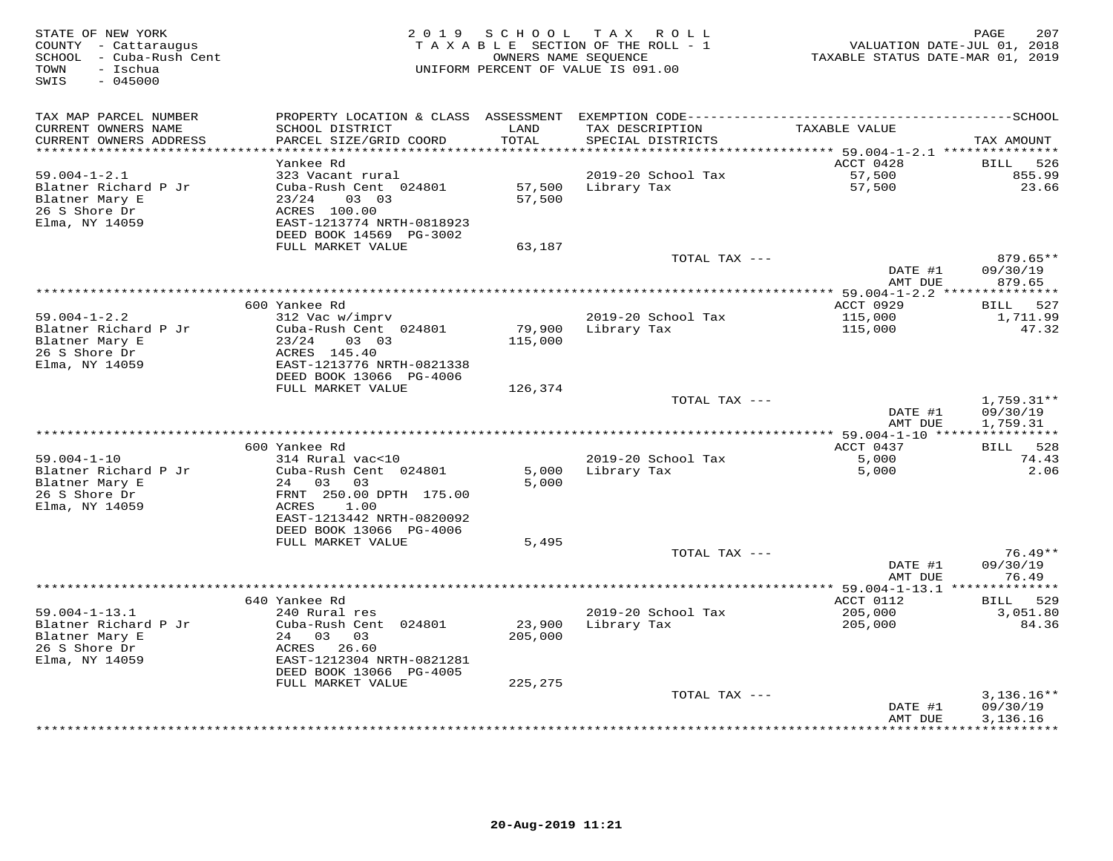| STATE OF NEW YORK<br>COUNTY - Cattaraugus<br>SCHOOL - Cuba-Rush Cent<br>- Ischua<br>TOWN<br>SWIS<br>$-045000$ |                                           | 2019 SCHOOL   | T A X<br>ROLL ROLL<br>TAXABLE SECTION OF THE ROLL - 1<br>OWNERS NAME SEQUENCE<br>UNIFORM PERCENT OF VALUE IS 091.00 | TAXABLE STATUS DATE-MAR 01, 2019           | 207<br>PAGE<br>VALUATION DATE-JUL 01, 2018 |
|---------------------------------------------------------------------------------------------------------------|-------------------------------------------|---------------|---------------------------------------------------------------------------------------------------------------------|--------------------------------------------|--------------------------------------------|
| TAX MAP PARCEL NUMBER                                                                                         |                                           |               |                                                                                                                     |                                            |                                            |
| CURRENT OWNERS NAME<br>CURRENT OWNERS ADDRESS<br>**********************                                       | SCHOOL DISTRICT<br>PARCEL SIZE/GRID COORD | LAND<br>TOTAL | TAX DESCRIPTION<br>SPECIAL DISTRICTS                                                                                | TAXABLE VALUE                              | TAX AMOUNT                                 |
|                                                                                                               | Yankee Rd                                 |               |                                                                                                                     | ACCT 0428                                  | 526<br>BILL                                |
| $59.004 - 1 - 2.1$                                                                                            | 323 Vacant rural                          |               | 2019-20 School Tax                                                                                                  | 57,500                                     | 855.99                                     |
| Blatner Richard P Jr                                                                                          | Cuba-Rush Cent 024801                     | 57,500        | Library Tax                                                                                                         | 57,500                                     | 23.66                                      |
| Blatner Mary E                                                                                                | 03 03<br>23/24                            | 57,500        |                                                                                                                     |                                            |                                            |
| 26 S Shore Dr                                                                                                 | ACRES 100.00                              |               |                                                                                                                     |                                            |                                            |
| Elma, NY 14059                                                                                                | EAST-1213774 NRTH-0818923                 |               |                                                                                                                     |                                            |                                            |
|                                                                                                               | DEED BOOK 14569 PG-3002                   |               |                                                                                                                     |                                            |                                            |
|                                                                                                               | FULL MARKET VALUE                         | 63,187        |                                                                                                                     |                                            |                                            |
|                                                                                                               |                                           |               | TOTAL TAX ---                                                                                                       |                                            | 879.65**                                   |
|                                                                                                               |                                           |               |                                                                                                                     | DATE #1<br>AMT DUE                         | 09/30/19<br>879.65                         |
|                                                                                                               |                                           |               |                                                                                                                     | ************ 59.004-1-2.2 **************** |                                            |
|                                                                                                               | 600 Yankee Rd                             |               |                                                                                                                     | ACCT 0929                                  | BILL 527                                   |
| $59.004 - 1 - 2.2$                                                                                            | 312 Vac w/imprv                           |               | 2019-20 School Tax                                                                                                  | 115,000                                    | 1,711.99                                   |
| Blatner Richard P Jr                                                                                          | Cuba-Rush Cent 024801                     | 79,900        | Library Tax                                                                                                         | 115,000                                    | 47.32                                      |
| Blatner Mary E                                                                                                | 23/24<br>03 03                            | 115,000       |                                                                                                                     |                                            |                                            |
| 26 S Shore Dr                                                                                                 | ACRES 145.40                              |               |                                                                                                                     |                                            |                                            |
| Elma, NY 14059                                                                                                | EAST-1213776 NRTH-0821338                 |               |                                                                                                                     |                                            |                                            |
|                                                                                                               | DEED BOOK 13066 PG-4006                   |               |                                                                                                                     |                                            |                                            |
|                                                                                                               | FULL MARKET VALUE                         | 126,374       | TOTAL TAX ---                                                                                                       |                                            | $1,759.31**$                               |
|                                                                                                               |                                           |               |                                                                                                                     | DATE #1                                    | 09/30/19                                   |
|                                                                                                               |                                           |               |                                                                                                                     | AMT DUE                                    | 1,759.31                                   |
|                                                                                                               |                                           |               |                                                                                                                     | *********** 59.004-1-10 *****              | ***********                                |
|                                                                                                               | 600 Yankee Rd                             |               |                                                                                                                     | ACCT 0437                                  | BILL 528                                   |
| $59.004 - 1 - 10$                                                                                             | 314 Rural vac<10                          |               | 2019-20 School Tax                                                                                                  | 5,000                                      | 74.43                                      |
| Blatner Richard P Jr                                                                                          | Cuba-Rush Cent 024801                     | 5,000         | Library Tax                                                                                                         | 5,000                                      | 2.06                                       |
| Blatner Mary E                                                                                                | 24 03<br>03                               | 5,000         |                                                                                                                     |                                            |                                            |
| 26 S Shore Dr                                                                                                 | FRNT 250.00 DPTH 175.00<br>ACRES<br>1.00  |               |                                                                                                                     |                                            |                                            |
| Elma, NY 14059                                                                                                | EAST-1213442 NRTH-0820092                 |               |                                                                                                                     |                                            |                                            |
|                                                                                                               | DEED BOOK 13066 PG-4006                   |               |                                                                                                                     |                                            |                                            |
|                                                                                                               | FULL MARKET VALUE                         | 5,495         |                                                                                                                     |                                            |                                            |
|                                                                                                               |                                           |               | TOTAL TAX ---                                                                                                       |                                            | $76.49**$                                  |
|                                                                                                               |                                           |               |                                                                                                                     | DATE #1                                    | 09/30/19                                   |
|                                                                                                               |                                           |               |                                                                                                                     | AMT DUE                                    | 76.49                                      |
|                                                                                                               |                                           |               | *************                                                                                                       | $* 59.004 - 1 - 13.1$ **                   | * * * * * * * * * * *                      |
|                                                                                                               | 640 Yankee Rd                             |               |                                                                                                                     | ACCT 0112                                  | BILL 529                                   |
| $59.004 - 1 - 13.1$<br>Blatner Richard P Jr                                                                   | 240 Rural res<br>Cuba-Rush Cent 024801    | 23,900        | 2019-20 School Tax<br>Library Tax                                                                                   | 205,000                                    | 3,051.80<br>84.36                          |
| Blatner Mary E                                                                                                | 24 03<br>03                               | 205,000       |                                                                                                                     | 205,000                                    |                                            |
| 26 S Shore Dr                                                                                                 | ACRES 26.60                               |               |                                                                                                                     |                                            |                                            |
| Elma, NY 14059                                                                                                | EAST-1212304 NRTH-0821281                 |               |                                                                                                                     |                                            |                                            |
|                                                                                                               | DEED BOOK 13066 PG-4005                   |               |                                                                                                                     |                                            |                                            |
|                                                                                                               | FULL MARKET VALUE                         | 225,275       |                                                                                                                     |                                            |                                            |
|                                                                                                               |                                           |               | TOTAL TAX ---                                                                                                       |                                            | $3,136.16**$                               |
|                                                                                                               |                                           |               |                                                                                                                     | DATE #1                                    | 09/30/19                                   |
|                                                                                                               |                                           |               |                                                                                                                     | AMT DUE                                    | 3,136.16<br>**********                     |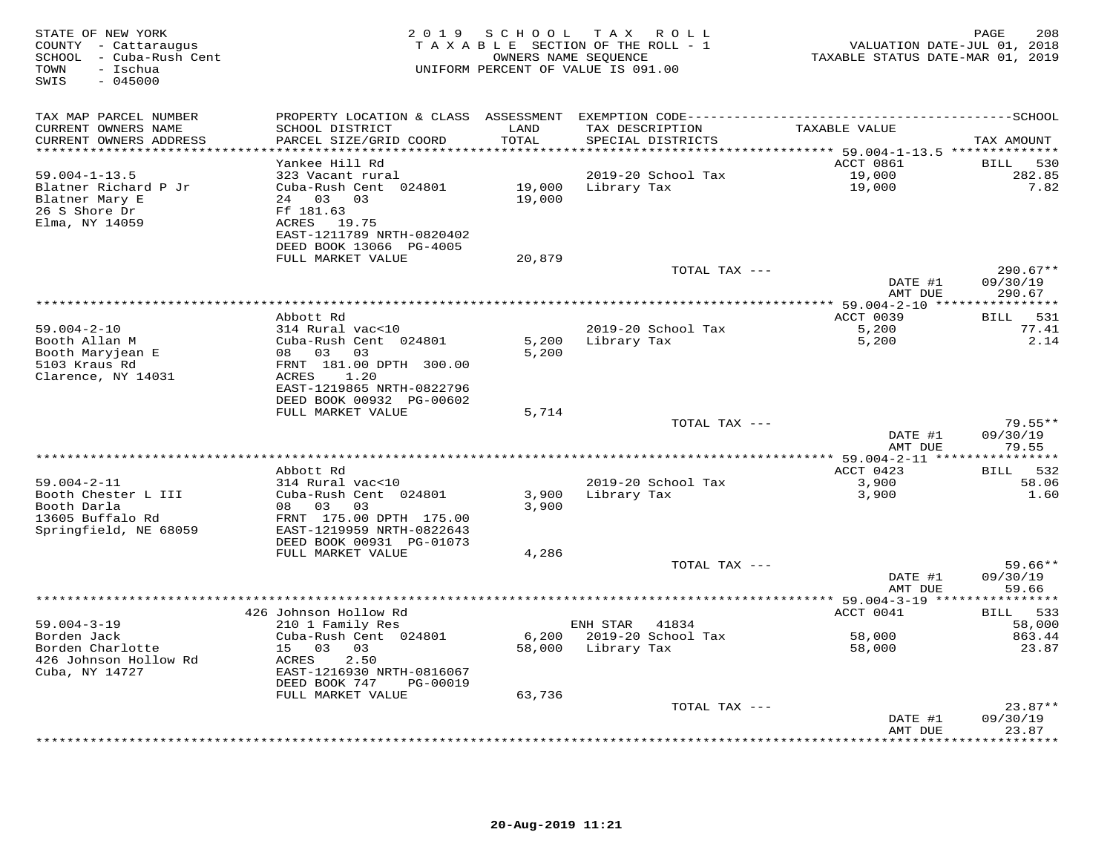| STATE OF NEW YORK<br>COUNTY - Cattaraugus<br>SCHOOL - Cuba-Rush Cent<br>TOWN<br>- Ischua<br>$-045000$<br>SWIS |                                           |               | 2019 SCHOOL TAX ROLL<br>TAXABLE SECTION OF THE ROLL - 1<br>OWNERS NAME SEQUENCE<br>UNIFORM PERCENT OF VALUE IS 091.00 | TAXABLE STATUS DATE-MAR 01, 2019 | 208<br>PAGE<br>VALUATION DATE-JUL 01, 2018 |
|---------------------------------------------------------------------------------------------------------------|-------------------------------------------|---------------|-----------------------------------------------------------------------------------------------------------------------|----------------------------------|--------------------------------------------|
| TAX MAP PARCEL NUMBER                                                                                         |                                           |               |                                                                                                                       |                                  |                                            |
| CURRENT OWNERS NAME<br>CURRENT OWNERS ADDRESS                                                                 | SCHOOL DISTRICT<br>PARCEL SIZE/GRID COORD | LAND<br>TOTAL | TAX DESCRIPTION<br>SPECIAL DISTRICTS                                                                                  | TAXABLE VALUE                    | TAX AMOUNT                                 |
| **********************                                                                                        | ************************                  |               |                                                                                                                       |                                  |                                            |
|                                                                                                               | Yankee Hill Rd                            |               |                                                                                                                       | ACCT 0861                        | 530<br><b>BILL</b>                         |
| $59.004 - 1 - 13.5$<br>Blatner Richard P Jr                                                                   | 323 Vacant rural<br>Cuba-Rush Cent 024801 | 19,000        | 2019-20 School Tax<br>Library Tax                                                                                     | 19,000<br>19,000                 | 282.85<br>7.82                             |
| Blatner Mary E                                                                                                | 24 03<br>03                               | 19,000        |                                                                                                                       |                                  |                                            |
| 26 S Shore Dr                                                                                                 | Ff 181.63                                 |               |                                                                                                                       |                                  |                                            |
| Elma, NY 14059                                                                                                | ACRES 19.75                               |               |                                                                                                                       |                                  |                                            |
|                                                                                                               | EAST-1211789 NRTH-0820402                 |               |                                                                                                                       |                                  |                                            |
|                                                                                                               | DEED BOOK 13066 PG-4005                   |               |                                                                                                                       |                                  |                                            |
|                                                                                                               | FULL MARKET VALUE                         | 20,879        |                                                                                                                       |                                  | $290.67**$                                 |
|                                                                                                               |                                           |               | TOTAL TAX ---                                                                                                         | DATE #1                          | 09/30/19                                   |
|                                                                                                               |                                           |               |                                                                                                                       | AMT DUE                          | 290.67                                     |
|                                                                                                               |                                           |               |                                                                                                                       |                                  |                                            |
|                                                                                                               | Abbott Rd                                 |               |                                                                                                                       | ACCT 0039                        | <b>BILL</b><br>531                         |
| $59.004 - 2 - 10$<br>Booth Allan M                                                                            | 314 Rural vac<10<br>Cuba-Rush Cent 024801 | 5,200         | 2019-20 School Tax                                                                                                    | 5,200                            | 77.41<br>2.14                              |
| Booth Maryjean E                                                                                              | 08 03<br>03                               | 5,200         | Library Tax                                                                                                           | 5,200                            |                                            |
| 5103 Kraus Rd                                                                                                 | FRNT 181.00 DPTH 300.00                   |               |                                                                                                                       |                                  |                                            |
| Clarence, NY 14031                                                                                            | ACRES<br>1.20                             |               |                                                                                                                       |                                  |                                            |
|                                                                                                               | EAST-1219865 NRTH-0822796                 |               |                                                                                                                       |                                  |                                            |
|                                                                                                               | DEED BOOK 00932 PG-00602                  |               |                                                                                                                       |                                  |                                            |
|                                                                                                               | FULL MARKET VALUE                         | 5,714         | TOTAL TAX ---                                                                                                         |                                  | $79.55**$                                  |
|                                                                                                               |                                           |               |                                                                                                                       | DATE #1                          | 09/30/19                                   |
|                                                                                                               |                                           |               |                                                                                                                       | AMT DUE                          | 79.55                                      |
|                                                                                                               |                                           |               |                                                                                                                       | ************ 59.004-2-11 ****    | * * * * * * * * * * *                      |
|                                                                                                               | Abbott Rd                                 |               |                                                                                                                       | ACCT 0423                        | 532<br><b>BILL</b>                         |
| $59.004 - 2 - 11$<br>Booth Chester L III                                                                      | 314 Rural vac<10<br>Cuba-Rush Cent 024801 | 3,900         | 2019-20 School Tax<br>Library Tax                                                                                     | 3,900<br>3,900                   | 58.06<br>1.60                              |
| Booth Darla                                                                                                   | 08 03<br>03                               | 3,900         |                                                                                                                       |                                  |                                            |
| 13605 Buffalo Rd                                                                                              | FRNT 175.00 DPTH 175.00                   |               |                                                                                                                       |                                  |                                            |
| Springfield, NE 68059                                                                                         | EAST-1219959 NRTH-0822643                 |               |                                                                                                                       |                                  |                                            |
|                                                                                                               | DEED BOOK 00931 PG-01073                  |               |                                                                                                                       |                                  |                                            |
|                                                                                                               | FULL MARKET VALUE                         | 4,286         | TOTAL TAX ---                                                                                                         |                                  | $59.66**$                                  |
|                                                                                                               |                                           |               |                                                                                                                       | DATE #1                          | 09/30/19                                   |
|                                                                                                               |                                           |               |                                                                                                                       | AMT DUE                          | 59.66                                      |
|                                                                                                               |                                           |               |                                                                                                                       |                                  |                                            |
|                                                                                                               | 426 Johnson Hollow Rd                     |               |                                                                                                                       | ACCT 0041                        | 533<br><b>BILL</b>                         |
| $59.004 - 3 - 19$<br>Borden Jack                                                                              | 210 1 Family Res<br>Cuba-Rush Cent 024801 | 6,200         | ENH STAR<br>41834<br>2019-20 School Tax                                                                               | 58,000                           | 58,000<br>863.44                           |
| Borden Charlotte                                                                                              | 15 03<br>03                               | 58,000        | Library Tax                                                                                                           | 58,000                           | 23.87                                      |
| 426 Johnson Hollow Rd                                                                                         | ACRES<br>2.50                             |               |                                                                                                                       |                                  |                                            |
| Cuba, NY 14727                                                                                                | EAST-1216930 NRTH-0816067                 |               |                                                                                                                       |                                  |                                            |
|                                                                                                               | DEED BOOK 747<br>PG-00019                 |               |                                                                                                                       |                                  |                                            |
|                                                                                                               | FULL MARKET VALUE                         | 63,736        | TOTAL TAX ---                                                                                                         |                                  | $23.87**$                                  |
|                                                                                                               |                                           |               |                                                                                                                       | DATE #1                          | 09/30/19                                   |
|                                                                                                               |                                           |               |                                                                                                                       | AMT DUE                          | 23.87                                      |
|                                                                                                               |                                           |               |                                                                                                                       |                                  | .                                          |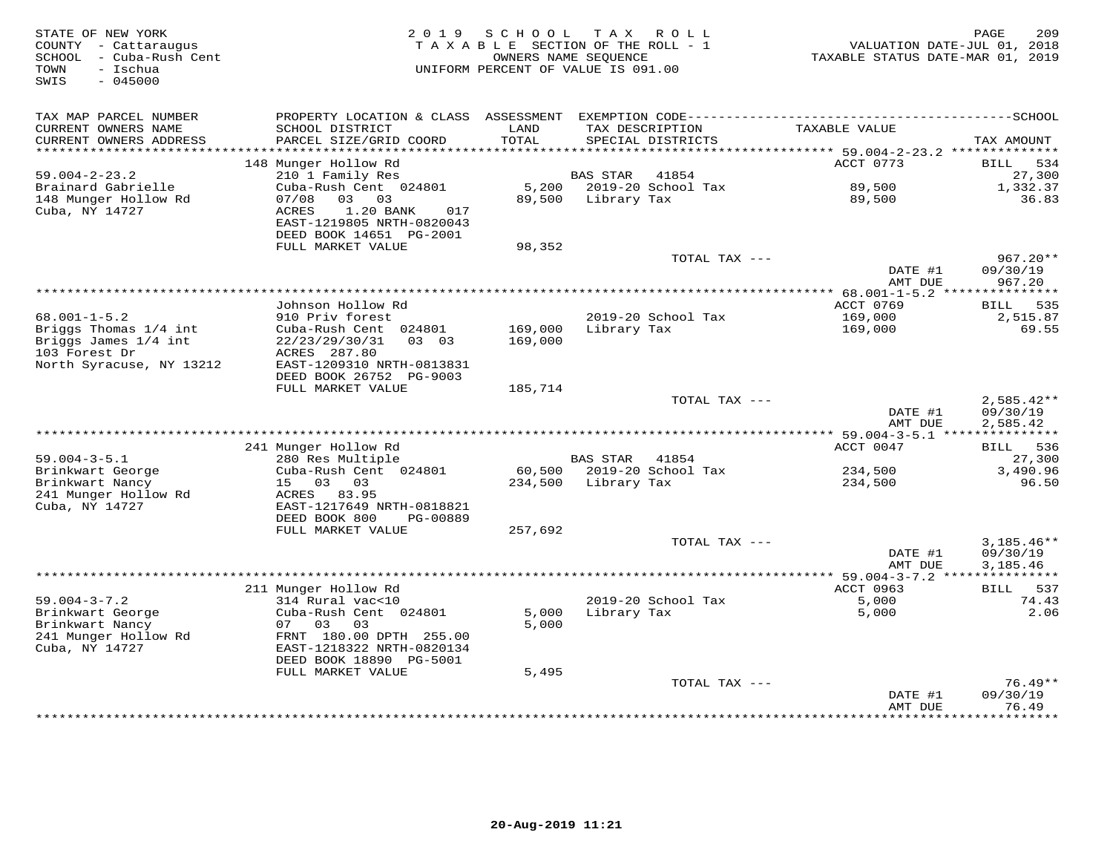| STATE OF NEW YORK<br>COUNTY - Cattaraugus<br>- Cuba-Rush Cent<br>SCHOOL<br>- Ischua<br>TOWN<br>SWIS<br>$-045000$ | 2 0 1 9                                                                                                    | SCHOOL<br>TAXABLE SECTION OF THE ROLL - 1<br>UNIFORM PERCENT OF VALUE IS 091.00 | T A X<br>OWNERS NAME SEOUENCE | R O L L                   | VALUATION DATE-JUL 01, 2018<br>TAXABLE STATUS DATE-MAR 01, 2019 | PAGE<br>209                          |
|------------------------------------------------------------------------------------------------------------------|------------------------------------------------------------------------------------------------------------|---------------------------------------------------------------------------------|-------------------------------|---------------------------|-----------------------------------------------------------------|--------------------------------------|
| TAX MAP PARCEL NUMBER                                                                                            |                                                                                                            |                                                                                 |                               |                           |                                                                 |                                      |
| CURRENT OWNERS NAME<br>CURRENT OWNERS ADDRESS                                                                    | SCHOOL DISTRICT<br>PARCEL SIZE/GRID COORD                                                                  | LAND<br>TOTAL                                                                   | TAX DESCRIPTION               | SPECIAL DISTRICTS         | TAXABLE VALUE                                                   | TAX AMOUNT                           |
| ************************                                                                                         |                                                                                                            |                                                                                 |                               |                           | ACCT 0773                                                       |                                      |
| $59.004 - 2 - 23.2$                                                                                              | 148 Munger Hollow Rd<br>210 1 Family Res                                                                   |                                                                                 | <b>BAS STAR</b>               | 41854                     |                                                                 | 534<br>BILL<br>27,300                |
| Brainard Gabrielle                                                                                               | Cuba-Rush Cent 024801                                                                                      | 5,200                                                                           |                               | 2019-20 School Tax        | 89,500                                                          | 1,332.37                             |
| 148 Munger Hollow Rd<br>Cuba, NY 14727                                                                           | 07/08<br>03 03<br><b>ACRES</b><br>1.20 BANK<br>017<br>EAST-1219805 NRTH-0820043<br>DEED BOOK 14651 PG-2001 | 89,500                                                                          | Library Tax                   |                           | 89,500                                                          | 36.83                                |
|                                                                                                                  | FULL MARKET VALUE                                                                                          | 98,352                                                                          |                               |                           |                                                                 |                                      |
|                                                                                                                  |                                                                                                            |                                                                                 |                               | TOTAL TAX ---             | DATE #1                                                         | $967.20**$<br>09/30/19               |
|                                                                                                                  |                                                                                                            |                                                                                 |                               |                           | AMT DUE<br>************ 68.001-1-5.2 ****************           | 967.20                               |
|                                                                                                                  | Johnson Hollow Rd                                                                                          |                                                                                 |                               |                           | ACCT 0769                                                       | 535<br>BILL                          |
| $68.001 - 1 - 5.2$                                                                                               | 910 Priv forest                                                                                            |                                                                                 |                               | 2019-20 School Tax        | 169,000                                                         | 2,515.87                             |
| Briggs Thomas 1/4 int<br>Briggs James 1/4 int<br>103 Forest Dr                                                   | Cuba-Rush Cent 024801<br>22/23/29/30/31<br>03 03<br>ACRES 287.80                                           | 169,000<br>169,000                                                              | Library Tax                   |                           | 169,000                                                         | 69.55                                |
| North Syracuse, NY 13212                                                                                         | EAST-1209310 NRTH-0813831<br>DEED BOOK 26752 PG-9003                                                       |                                                                                 |                               |                           |                                                                 |                                      |
|                                                                                                                  | FULL MARKET VALUE                                                                                          | 185,714                                                                         |                               |                           |                                                                 |                                      |
|                                                                                                                  |                                                                                                            |                                                                                 |                               | TOTAL TAX ---             | DATE #1<br>AMT DUE                                              | $2,585.42**$<br>09/30/19<br>2,585.42 |
|                                                                                                                  |                                                                                                            |                                                                                 |                               |                           | *** 59.004-3-5.1 ****************                               |                                      |
|                                                                                                                  | 241 Munger Hollow Rd                                                                                       |                                                                                 |                               |                           | ACCT 0047                                                       | <b>BILL</b><br>536                   |
| $59.004 - 3 - 5.1$                                                                                               | 280 Res Multiple                                                                                           |                                                                                 | <b>BAS STAR</b>               | 41854                     |                                                                 | 27,300                               |
| Brinkwart George                                                                                                 | Cuba-Rush Cent 024801                                                                                      |                                                                                 |                               | 60,500 2019-20 School Tax | 234,500                                                         | 3,490.96                             |
| Brinkwart Nancy<br>241 Munger Hollow Rd<br>Cuba, NY 14727                                                        | 15 03<br>03<br>ACRES<br>83.95<br>EAST-1217649 NRTH-0818821                                                 | 234,500                                                                         | Library Tax                   |                           | 234,500                                                         | 96.50                                |
|                                                                                                                  | DEED BOOK 800<br>PG-00889<br>FULL MARKET VALUE                                                             | 257,692                                                                         |                               |                           |                                                                 |                                      |
|                                                                                                                  |                                                                                                            |                                                                                 |                               | TOTAL TAX ---             |                                                                 | $3,185.46**$                         |
|                                                                                                                  |                                                                                                            |                                                                                 |                               |                           | DATE #1<br>AMT DUE                                              | 09/30/19<br>3,185.46                 |
|                                                                                                                  |                                                                                                            |                                                                                 |                               |                           |                                                                 |                                      |
|                                                                                                                  | 211 Munger Hollow Rd                                                                                       |                                                                                 |                               |                           | ACCT 0963                                                       | BILL<br>537                          |
| $59.004 - 3 - 7.2$<br>Brinkwart George                                                                           | 314 Rural vac<10<br>Cuba-Rush Cent 024801                                                                  | 5,000                                                                           | Library Tax                   | 2019-20 School Tax        | 5,000<br>5,000                                                  | 74.43<br>2.06                        |
| Brinkwart Nancy<br>241 Munger Hollow Rd                                                                          | 07<br>03<br>03<br>FRNT 180.00 DPTH 255.00                                                                  | 5.000                                                                           |                               |                           |                                                                 |                                      |
| Cuba, NY 14727                                                                                                   | EAST-1218322 NRTH-0820134<br>DEED BOOK 18890 PG-5001                                                       |                                                                                 |                               |                           |                                                                 |                                      |
|                                                                                                                  | FULL MARKET VALUE                                                                                          | 5,495                                                                           |                               |                           |                                                                 |                                      |
|                                                                                                                  |                                                                                                            |                                                                                 |                               | TOTAL TAX ---             | DATE #1                                                         | $76.49**$<br>09/30/19                |
|                                                                                                                  |                                                                                                            |                                                                                 |                               |                           | AMT DUE<br>* * * * * * * * * ·                                  | 76.49<br>********                    |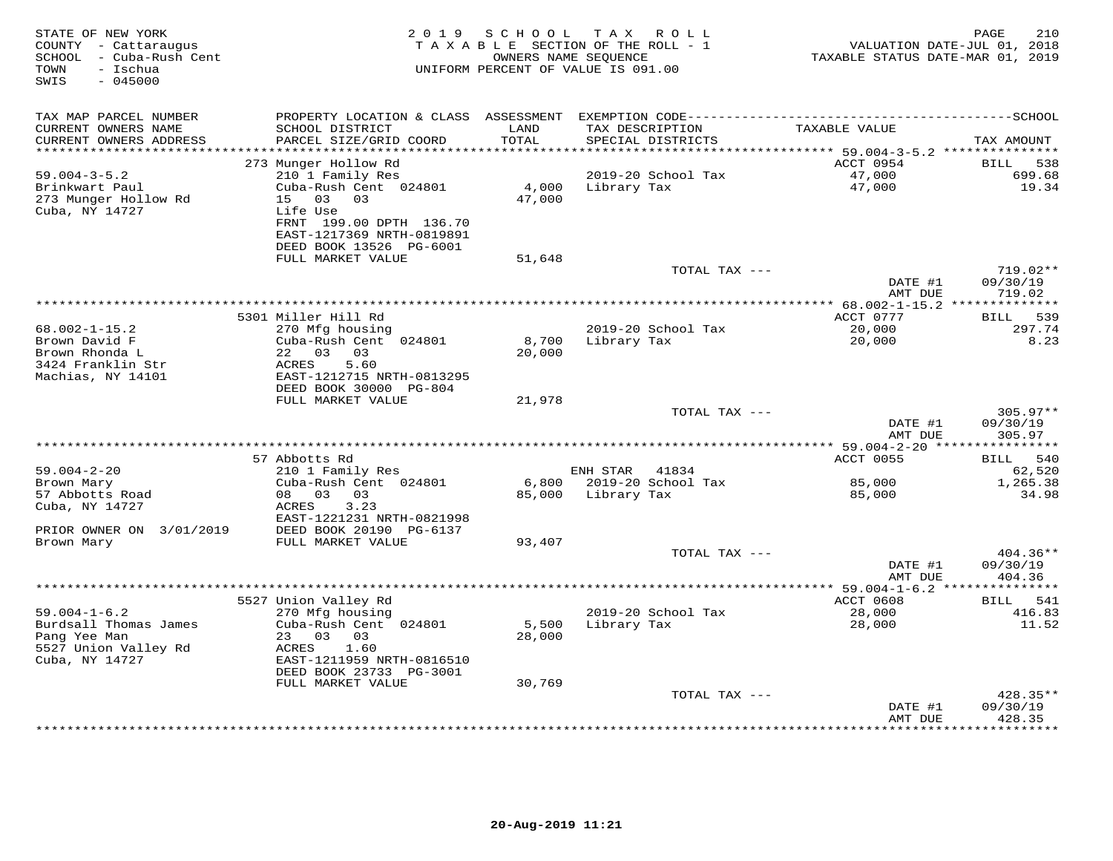| STATE OF NEW YORK<br>COUNTY - Cattaraugus<br>SCHOOL - Cuba-Rush Cent<br>- Ischua<br>TOWN<br>SWIS<br>$-045000$ | 2 0 1 9                                              | SCHOOL | T A X<br>ROLL ROLL<br>TAXABLE SECTION OF THE ROLL - 1<br>OWNERS NAME SEQUENCE<br>UNIFORM PERCENT OF VALUE IS 091.00 | VALUATION DATE-JUL 01, 2018<br>TAXABLE STATUS DATE-MAR 01, 2019 | 210<br>PAGE                 |
|---------------------------------------------------------------------------------------------------------------|------------------------------------------------------|--------|---------------------------------------------------------------------------------------------------------------------|-----------------------------------------------------------------|-----------------------------|
| TAX MAP PARCEL NUMBER<br>CURRENT OWNERS NAME                                                                  | SCHOOL DISTRICT                                      | LAND   | TAX DESCRIPTION                                                                                                     | TAXABLE VALUE                                                   |                             |
| CURRENT OWNERS ADDRESS<br>***********************                                                             | PARCEL SIZE/GRID COORD                               | TOTAL  | SPECIAL DISTRICTS                                                                                                   |                                                                 | TAX AMOUNT                  |
|                                                                                                               | 273 Munger Hollow Rd                                 |        |                                                                                                                     | ACCT 0954                                                       | BILL<br>538                 |
| $59.004 - 3 - 5.2$                                                                                            | 210 1 Family Res                                     |        | 2019-20 School Tax                                                                                                  | 47,000                                                          | 699.68                      |
| Brinkwart Paul                                                                                                | Cuba-Rush Cent 024801                                | 4,000  | Library Tax                                                                                                         | 47,000                                                          | 19.34                       |
| 273 Munger Hollow Rd                                                                                          | 15 03 03                                             | 47,000 |                                                                                                                     |                                                                 |                             |
| Cuba, NY 14727                                                                                                | Life Use                                             |        |                                                                                                                     |                                                                 |                             |
|                                                                                                               | FRNT 199.00 DPTH 136.70<br>EAST-1217369 NRTH-0819891 |        |                                                                                                                     |                                                                 |                             |
|                                                                                                               | DEED BOOK 13526 PG-6001                              |        |                                                                                                                     |                                                                 |                             |
|                                                                                                               | FULL MARKET VALUE                                    | 51,648 |                                                                                                                     |                                                                 |                             |
|                                                                                                               |                                                      |        | TOTAL TAX ---                                                                                                       |                                                                 | 719.02**                    |
|                                                                                                               |                                                      |        |                                                                                                                     | DATE #1                                                         | 09/30/19                    |
|                                                                                                               |                                                      |        |                                                                                                                     | AMT DUE                                                         | 719.02                      |
|                                                                                                               | 5301 Miller Hill Rd                                  |        |                                                                                                                     | ACCT 0777                                                       | 539<br><b>BILL</b>          |
| $68.002 - 1 - 15.2$                                                                                           | 270 Mfg housing                                      |        | 2019-20 School Tax                                                                                                  | 20,000                                                          | 297.74                      |
| Brown David F                                                                                                 | Cuba-Rush Cent 024801                                | 8,700  | Library Tax                                                                                                         | 20,000                                                          | 8.23                        |
| Brown Rhonda L                                                                                                | 22 03<br>03                                          | 20,000 |                                                                                                                     |                                                                 |                             |
| 3424 Franklin Str                                                                                             | ACRES<br>5.60                                        |        |                                                                                                                     |                                                                 |                             |
| Machias, NY 14101                                                                                             | EAST-1212715 NRTH-0813295                            |        |                                                                                                                     |                                                                 |                             |
|                                                                                                               | DEED BOOK 30000 PG-804<br>FULL MARKET VALUE          | 21,978 |                                                                                                                     |                                                                 |                             |
|                                                                                                               |                                                      |        | TOTAL TAX ---                                                                                                       |                                                                 | 305.97**                    |
|                                                                                                               |                                                      |        |                                                                                                                     | DATE #1                                                         | 09/30/19                    |
|                                                                                                               |                                                      |        |                                                                                                                     | AMT DUE                                                         | 305.97                      |
|                                                                                                               |                                                      |        |                                                                                                                     | ************ 59.004-2-20 ****                                   | ***********                 |
|                                                                                                               | 57 Abbotts Rd                                        |        |                                                                                                                     | ACCT 0055                                                       | 540<br><b>BILL</b>          |
| $59.004 - 2 - 20$<br>Brown Mary                                                                               | 210 1 Family Res<br>Cuba-Rush Cent 024801            |        | ENH STAR<br>41834<br>6,800 2019-20 School Tax                                                                       | 85,000                                                          | 62,520<br>1,265.38          |
| 57 Abbotts Road                                                                                               | 08 03<br>03                                          |        | 85,000 Library Tax                                                                                                  | 85,000                                                          | 34.98                       |
| Cuba, NY 14727                                                                                                | 3.23<br>ACRES                                        |        |                                                                                                                     |                                                                 |                             |
|                                                                                                               | EAST-1221231 NRTH-0821998                            |        |                                                                                                                     |                                                                 |                             |
| PRIOR OWNER ON 3/01/2019                                                                                      | DEED BOOK 20190 PG-6137                              |        |                                                                                                                     |                                                                 |                             |
| Brown Mary                                                                                                    | FULL MARKET VALUE                                    | 93,407 |                                                                                                                     |                                                                 |                             |
|                                                                                                               |                                                      |        | TOTAL TAX ---                                                                                                       | DATE #1                                                         | 404.36**<br>09/30/19        |
|                                                                                                               |                                                      |        |                                                                                                                     | AMT DUE                                                         | 404.36                      |
|                                                                                                               |                                                      |        |                                                                                                                     |                                                                 |                             |
|                                                                                                               | 5527 Union Valley Rd                                 |        |                                                                                                                     | ACCT 0608                                                       | BILL 541                    |
| $59.004 - 1 - 6.2$                                                                                            | 270 Mfg housing                                      |        | 2019-20 School Tax                                                                                                  | 28,000                                                          | 416.83                      |
| Burdsall Thomas James                                                                                         | Cuba-Rush Cent 024801                                | 5,500  | Library Tax                                                                                                         | 28,000                                                          | 11.52                       |
| Pang Yee Man                                                                                                  | 23 03 03                                             | 28,000 |                                                                                                                     |                                                                 |                             |
| 5527 Union Valley Rd<br>Cuba, NY 14727                                                                        | ACRES<br>1.60<br>EAST-1211959 NRTH-0816510           |        |                                                                                                                     |                                                                 |                             |
|                                                                                                               | DEED BOOK 23733 PG-3001                              |        |                                                                                                                     |                                                                 |                             |
|                                                                                                               | FULL MARKET VALUE                                    | 30,769 |                                                                                                                     |                                                                 |                             |
|                                                                                                               |                                                      |        | TOTAL TAX ---                                                                                                       |                                                                 | 428.35**                    |
|                                                                                                               |                                                      |        |                                                                                                                     | DATE #1                                                         | 09/30/19                    |
|                                                                                                               |                                                      |        |                                                                                                                     | AMT DUE<br>* * * * * * * * * * * *                              | 428.35<br>* * * * * * * * * |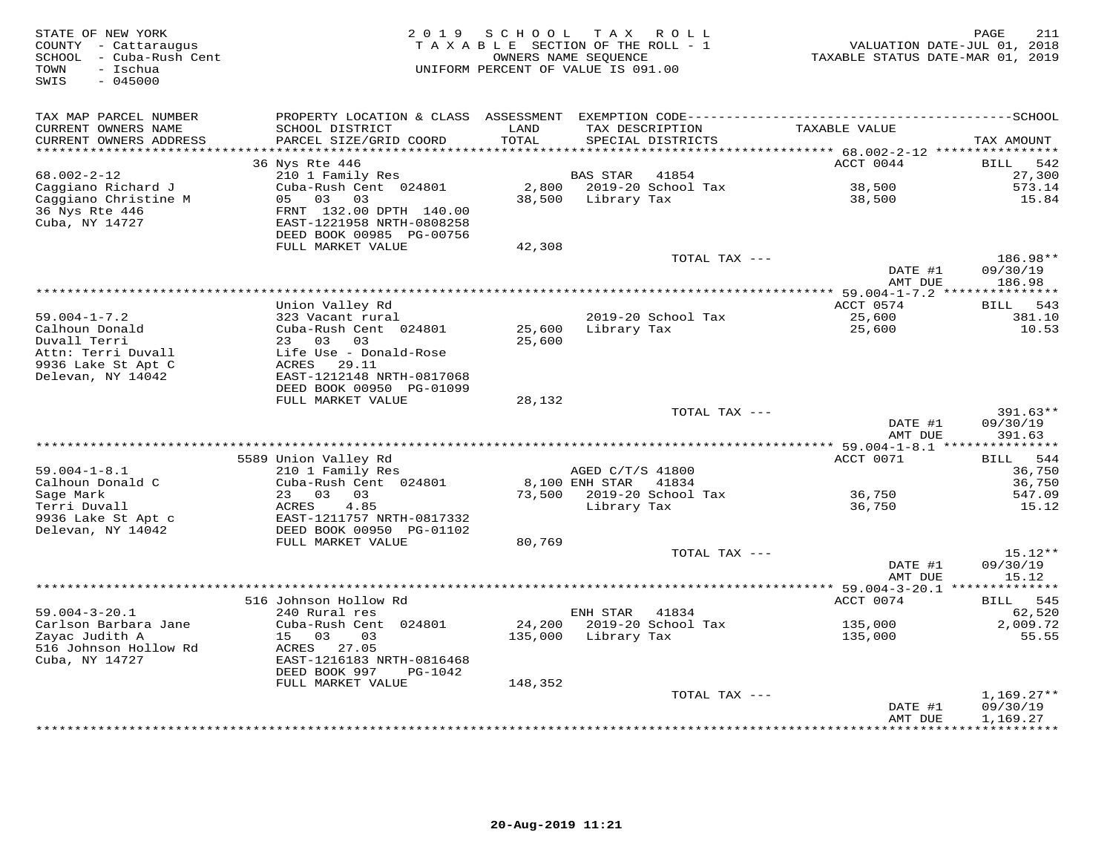| STATE OF NEW YORK<br>COUNTY - Cattaraugus<br>SCHOOL - Cuba-Rush Cent<br>- Ischua<br>TOWN<br>SWIS<br>$-045000$ | 2 0 1 9                                                                          | SCHOOL        | T A X<br>ROLL<br>TAXABLE SECTION OF THE ROLL - 1<br>OWNERS NAME SEQUENCE<br>UNIFORM PERCENT OF VALUE IS 091.00 | VALUATION DATE-JUL 01, 2018<br>TAXABLE STATUS DATE-MAR 01, 2019 | 211<br>PAGE        |
|---------------------------------------------------------------------------------------------------------------|----------------------------------------------------------------------------------|---------------|----------------------------------------------------------------------------------------------------------------|-----------------------------------------------------------------|--------------------|
| TAX MAP PARCEL NUMBER                                                                                         |                                                                                  |               |                                                                                                                |                                                                 |                    |
| CURRENT OWNERS NAME<br>CURRENT OWNERS ADDRESS                                                                 | SCHOOL DISTRICT<br>PARCEL SIZE/GRID COORD                                        | LAND<br>TOTAL | TAX DESCRIPTION<br>SPECIAL DISTRICTS                                                                           | TAXABLE VALUE                                                   | TAX AMOUNT         |
| **********************                                                                                        | 36 Nys Rte 446                                                                   |               |                                                                                                                | ACCT 0044                                                       | 542<br>BILL        |
| $68.002 - 2 - 12$                                                                                             | 210 1 Family Res                                                                 |               | <b>BAS STAR</b><br>41854                                                                                       |                                                                 | 27,300             |
| Caggiano Richard J                                                                                            | Cuba-Rush Cent 024801                                                            | 2,800         | 2019-20 School Tax                                                                                             | 38,500                                                          | 573.14             |
| Caggiano Christine M                                                                                          | 03<br>03<br>05                                                                   | 38,500        | Library Tax                                                                                                    | 38,500                                                          | 15.84              |
| 36 Nys Rte 446<br>Cuba, NY 14727                                                                              | FRNT 132.00 DPTH 140.00<br>EAST-1221958 NRTH-0808258<br>DEED BOOK 00985 PG-00756 |               |                                                                                                                |                                                                 |                    |
|                                                                                                               | FULL MARKET VALUE                                                                | 42,308        |                                                                                                                |                                                                 |                    |
|                                                                                                               |                                                                                  |               | TOTAL TAX ---                                                                                                  |                                                                 | 186.98**           |
|                                                                                                               |                                                                                  |               |                                                                                                                | DATE #1                                                         | 09/30/19           |
|                                                                                                               |                                                                                  |               |                                                                                                                | AMT DUE                                                         | 186.98             |
|                                                                                                               |                                                                                  |               |                                                                                                                |                                                                 |                    |
|                                                                                                               | Union Valley Rd                                                                  |               |                                                                                                                | ACCT 0574                                                       | BILL 543           |
| $59.004 - 1 - 7.2$                                                                                            | 323 Vacant rural                                                                 |               | 2019-20 School Tax                                                                                             | 25,600                                                          | 381.10             |
| Calhoun Donald<br>Duvall Terri                                                                                | Cuba-Rush Cent 024801<br>23 03 03                                                | 25,600        | Library Tax                                                                                                    | 25,600                                                          | 10.53              |
| Attn: Terri Duvall                                                                                            | Life Use - Donald-Rose                                                           | 25,600        |                                                                                                                |                                                                 |                    |
| 9936 Lake St Apt C                                                                                            | ACRES 29.11                                                                      |               |                                                                                                                |                                                                 |                    |
| Delevan, NY 14042                                                                                             | EAST-1212148 NRTH-0817068                                                        |               |                                                                                                                |                                                                 |                    |
|                                                                                                               | DEED BOOK 00950 PG-01099                                                         |               |                                                                                                                |                                                                 |                    |
|                                                                                                               | FULL MARKET VALUE                                                                | 28,132        |                                                                                                                |                                                                 |                    |
|                                                                                                               |                                                                                  |               | TOTAL TAX ---                                                                                                  |                                                                 | $391.63**$         |
|                                                                                                               |                                                                                  |               |                                                                                                                | DATE #1<br>AMT DUE                                              | 09/30/19<br>391.63 |
|                                                                                                               |                                                                                  |               |                                                                                                                |                                                                 |                    |
| $59.004 - 1 - 8.1$                                                                                            | 5589 Union Valley Rd<br>210 1 Family Res                                         |               | AGED C/T/S 41800                                                                                               | ACCT 0071                                                       | BILL 544<br>36,750 |
| Calhoun Donald C                                                                                              | Cuba-Rush Cent 024801                                                            |               | 8,100 ENH STAR<br>41834                                                                                        |                                                                 | 36,750             |
| Sage Mark                                                                                                     | 23 03<br>03                                                                      |               | 73,500 2019-20 School Tax                                                                                      | 36,750                                                          | 547.09             |
| Terri Duvall                                                                                                  | 4.85<br>ACRES                                                                    |               | Library Tax                                                                                                    | 36,750                                                          | 15.12              |
| 9936 Lake St Apt c                                                                                            | EAST-1211757 NRTH-0817332                                                        |               |                                                                                                                |                                                                 |                    |
| Delevan, NY 14042                                                                                             | DEED BOOK 00950 PG-01102                                                         |               |                                                                                                                |                                                                 |                    |
|                                                                                                               | FULL MARKET VALUE                                                                | 80,769        |                                                                                                                |                                                                 |                    |
|                                                                                                               |                                                                                  |               | TOTAL TAX ---                                                                                                  |                                                                 | $15.12**$          |
|                                                                                                               |                                                                                  |               |                                                                                                                | DATE #1                                                         | 09/30/19           |
|                                                                                                               | ***************                                                                  |               |                                                                                                                | AMT DUE<br>** 59.004-3-20.1 **                                  | 15.12              |
|                                                                                                               | 516 Johnson Hollow Rd                                                            |               |                                                                                                                | ACCT 0074                                                       | 545<br>BILL        |
| $59.004 - 3 - 20.1$                                                                                           | 240 Rural res                                                                    |               | ENH STAR<br>41834                                                                                              |                                                                 | 62,520             |
| Carlson Barbara Jane                                                                                          | Cuba-Rush Cent 024801                                                            | 24,200        | 2019-20 School Tax                                                                                             | 135,000                                                         | 2,009.72           |
| Zayac Judith A                                                                                                | 15 03<br>03                                                                      | 135,000       | Library Tax                                                                                                    | 135,000                                                         | 55.55              |
| 516 Johnson Hollow Rd                                                                                         | ACRES 27.05                                                                      |               |                                                                                                                |                                                                 |                    |
| Cuba, NY 14727                                                                                                | EAST-1216183 NRTH-0816468                                                        |               |                                                                                                                |                                                                 |                    |
|                                                                                                               | DEED BOOK 997<br>PG-1042                                                         |               |                                                                                                                |                                                                 |                    |
|                                                                                                               | FULL MARKET VALUE                                                                | 148,352       | TOTAL TAX ---                                                                                                  |                                                                 | $1,169.27**$       |
|                                                                                                               |                                                                                  |               |                                                                                                                | DATE #1                                                         | 09/30/19           |
|                                                                                                               |                                                                                  |               |                                                                                                                | AMT DUE                                                         | 1,169.27           |
|                                                                                                               |                                                                                  |               |                                                                                                                | **************                                                  | **********         |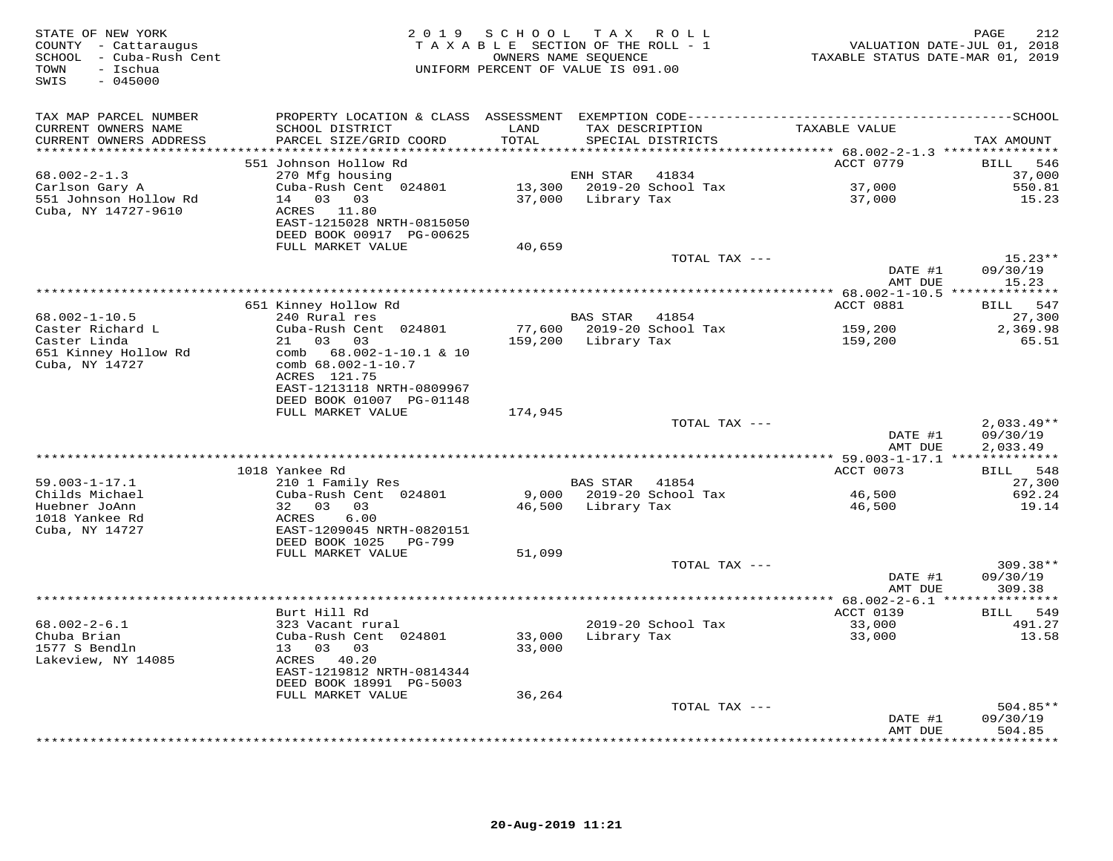| STATE OF NEW YORK<br>COUNTY - Cattaraugus<br>SCHOOL - Cuba-Rush Cent<br>- Ischua<br>TOWN<br>$-045000$<br>SWIS | 2 0 1 9                                                                                                                      | SCHOOL TAX ROLL<br>TAXABLE SECTION OF THE ROLL - 1<br>OWNERS NAME SEQUENCE<br>UNIFORM PERCENT OF VALUE IS 091.00 |                                       |                                      | VALUATION DATE-JUL 01, 2018<br>TAXABLE STATUS DATE-MAR 01, 2019 | 212<br>PAGE                          |
|---------------------------------------------------------------------------------------------------------------|------------------------------------------------------------------------------------------------------------------------------|------------------------------------------------------------------------------------------------------------------|---------------------------------------|--------------------------------------|-----------------------------------------------------------------|--------------------------------------|
| TAX MAP PARCEL NUMBER<br>CURRENT OWNERS NAME<br>CURRENT OWNERS ADDRESS<br>***********************             | SCHOOL DISTRICT<br>PARCEL SIZE/GRID COORD                                                                                    | LAND<br>TOTAL                                                                                                    |                                       | TAX DESCRIPTION<br>SPECIAL DISTRICTS | TAXABLE VALUE                                                   | TAX AMOUNT                           |
|                                                                                                               | 551 Johnson Hollow Rd                                                                                                        |                                                                                                                  |                                       |                                      | ACCT 0779                                                       | <b>BILL</b><br>546                   |
| $68.002 - 2 - 1.3$<br>Carlson Gary A<br>551 Johnson Hollow Rd<br>Cuba, NY 14727-9610                          | 270 Mfg housing<br>Cuba-Rush Cent 024801<br>14 03 03<br>ACRES 11.80<br>EAST-1215028 NRTH-0815050<br>DEED BOOK 00917 PG-00625 |                                                                                                                  | ENH STAR<br>37,000 Library Tax        | 41834<br>13,300 2019-20 School Tax   | 37,000<br>37,000                                                | 37,000<br>550.81<br>15.23            |
|                                                                                                               | FULL MARKET VALUE                                                                                                            | 40,659                                                                                                           |                                       |                                      |                                                                 |                                      |
|                                                                                                               |                                                                                                                              |                                                                                                                  |                                       | TOTAL TAX ---                        | DATE #1                                                         | $15.23**$<br>09/30/19                |
|                                                                                                               |                                                                                                                              |                                                                                                                  |                                       |                                      | AMT DUE                                                         | 15.23                                |
|                                                                                                               | 651 Kinney Hollow Rd                                                                                                         |                                                                                                                  |                                       |                                      | ACCT 0881                                                       | 547<br><b>BILL</b>                   |
| 68.002-1-10.5<br>Caster Richard L<br>Caster Linda                                                             | 240 Rural res<br>Cuba-Rush Cent 024801<br>21 03 03                                                                           |                                                                                                                  | BAS STAR 41854<br>159,200 Library Tax | 77,600 2019-20 School Tax            | 159,200<br>159,200                                              | 27,300<br>2,369.98<br>65.51          |
| 651 Kinney Hollow Rd<br>Cuba, NY 14727                                                                        | comb $68.002 - 1 - 10.1$ & 10<br>comb 68.002-1-10.7<br>ACRES 121.75<br>EAST-1213118 NRTH-0809967<br>DEED BOOK 01007 PG-01148 |                                                                                                                  |                                       |                                      |                                                                 |                                      |
|                                                                                                               | FULL MARKET VALUE                                                                                                            | 174,945                                                                                                          |                                       |                                      |                                                                 |                                      |
|                                                                                                               |                                                                                                                              |                                                                                                                  |                                       | TOTAL TAX ---                        | DATE #1<br>AMT DUE                                              | $2,033.49**$<br>09/30/19<br>2,033.49 |
|                                                                                                               |                                                                                                                              | ***********************************                                                                              |                                       |                                      | ********** 59.003-1-17.1 **************                         |                                      |
|                                                                                                               | 1018 Yankee Rd                                                                                                               |                                                                                                                  |                                       |                                      | ACCT 0073                                                       | BILL 548                             |
| $59.003 - 1 - 17.1$<br>Childs Michael                                                                         | 210 1 Family Res<br>Cuba-Rush Cent 024801                                                                                    |                                                                                                                  | BAS STAR 41854                        | 9,000 2019-20 School Tax             | 46,500                                                          | 27,300<br>692.24                     |
| Huebner JoAnn<br>1018 Yankee Rd<br>Cuba, NY 14727                                                             | 32 03 03<br>ACRES<br>6.00<br>EAST-1209045 NRTH-0820151<br>DEED BOOK 1025<br>PG-799                                           |                                                                                                                  | 46,500 Library Tax                    |                                      | 46,500                                                          | 19.14                                |
|                                                                                                               | FULL MARKET VALUE                                                                                                            | 51,099                                                                                                           |                                       |                                      |                                                                 |                                      |
|                                                                                                               |                                                                                                                              |                                                                                                                  |                                       | TOTAL TAX ---                        | DATE #1<br>AMT DUE                                              | 309.38**<br>09/30/19<br>309.38       |
|                                                                                                               |                                                                                                                              |                                                                                                                  |                                       |                                      |                                                                 |                                      |
| $68.002 - 2 - 6.1$<br>Chuba Brian<br>1577 S Bendln<br>Lakeview, NY 14085                                      | Burt Hill Rd<br>323 Vacant rural<br>Cuba-Rush Cent 024801<br>13 03 03<br>ACRES 40.20<br>EAST-1219812 NRTH-0814344            | 33,000<br>33,000                                                                                                 |                                       | 2019-20 School Tax<br>Library Tax    | ACCT 0139<br>33,000<br>33,000                                   | BILL 549<br>491.27<br>13.58          |
|                                                                                                               | DEED BOOK 18991 PG-5003<br>FULL MARKET VALUE                                                                                 | 36,264                                                                                                           |                                       |                                      |                                                                 |                                      |
|                                                                                                               |                                                                                                                              |                                                                                                                  |                                       | TOTAL TAX ---                        | DATE #1                                                         | $504.85**$<br>09/30/19               |
|                                                                                                               |                                                                                                                              |                                                                                                                  |                                       |                                      | AMT DUE                                                         | 504.85<br>* * * * * * * *            |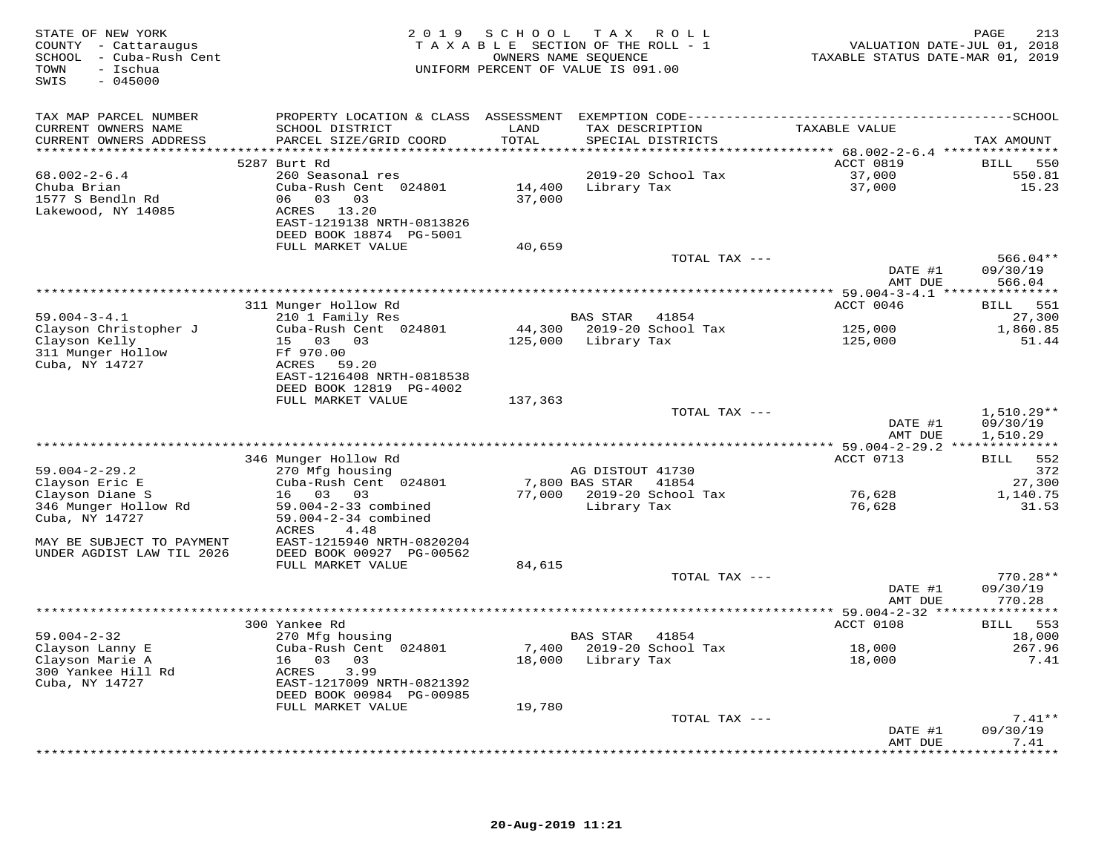| STATE OF NEW YORK<br>COUNTY - Cattaraugus<br>SCHOOL - Cuba-Rush Cent<br>TOWN<br>- Ischua<br>$-045000$<br>SWIS |                                                                                              | 2019 SCHOOL                  | T A X<br>R O L L<br>TAXABLE SECTION OF THE ROLL - 1<br>OWNERS NAME SEQUENCE<br>UNIFORM PERCENT OF VALUE IS 091.00 | VALUATION DATE-JUL 01, 2018<br>TAXABLE STATUS DATE-MAR 01, 2019 | 213<br>PAGE        |
|---------------------------------------------------------------------------------------------------------------|----------------------------------------------------------------------------------------------|------------------------------|-------------------------------------------------------------------------------------------------------------------|-----------------------------------------------------------------|--------------------|
| TAX MAP PARCEL NUMBER                                                                                         | PROPERTY LOCATION & CLASS ASSESSMENT EXEMPTION CODE-----------------------------------SCHOOL |                              |                                                                                                                   |                                                                 |                    |
| CURRENT OWNERS NAME                                                                                           | SCHOOL DISTRICT                                                                              | LAND                         | TAX DESCRIPTION                                                                                                   | TAXABLE VALUE                                                   |                    |
| CURRENT OWNERS ADDRESS<br>***********************                                                             | PARCEL SIZE/GRID COORD                                                                       | <b>TOTAL</b>                 | SPECIAL DISTRICTS                                                                                                 |                                                                 | TAX AMOUNT         |
|                                                                                                               | 5287 Burt Rd                                                                                 |                              |                                                                                                                   | ACCT 0819                                                       | 550<br>BILL        |
| $68.002 - 2 - 6.4$                                                                                            | 260 Seasonal res                                                                             |                              | 2019-20 School Tax                                                                                                | 37,000                                                          | 550.81             |
| Chuba Brian                                                                                                   | Cuba-Rush Cent 024801                                                                        | 14,400                       | Library Tax                                                                                                       | 37,000                                                          | 15.23              |
| 1577 S Bendln Rd                                                                                              | 06 03<br>03                                                                                  | 37,000                       |                                                                                                                   |                                                                 |                    |
| Lakewood, NY 14085                                                                                            | ACRES 13.20<br>EAST-1219138 NRTH-0813826                                                     |                              |                                                                                                                   |                                                                 |                    |
|                                                                                                               | DEED BOOK 18874 PG-5001                                                                      |                              |                                                                                                                   |                                                                 |                    |
|                                                                                                               | FULL MARKET VALUE                                                                            | 40,659                       |                                                                                                                   |                                                                 |                    |
|                                                                                                               |                                                                                              |                              | TOTAL TAX ---                                                                                                     |                                                                 | $566.04**$         |
|                                                                                                               |                                                                                              |                              |                                                                                                                   | DATE #1<br>AMT DUE                                              | 09/30/19<br>566.04 |
|                                                                                                               |                                                                                              |                              |                                                                                                                   |                                                                 |                    |
|                                                                                                               | 311 Munger Hollow Rd                                                                         |                              |                                                                                                                   | ACCT 0046                                                       | 551<br>BILL        |
| $59.004 - 3 - 4.1$                                                                                            | 210 1 Family Res                                                                             |                              | <b>BAS STAR</b><br>41854                                                                                          |                                                                 | 27,300             |
| Clayson Christopher J<br>Clayson Kelly                                                                        | Cuba-Rush Cent 024801<br>15 03 03                                                            | 44,300<br>125,000            | 2019-20 School Tax<br>Library Tax                                                                                 | 125,000<br>125,000                                              | 1,860.85<br>51.44  |
| 311 Munger Hollow                                                                                             | Ff 970.00                                                                                    |                              |                                                                                                                   |                                                                 |                    |
| Cuba, NY 14727                                                                                                | ACRES 59.20                                                                                  |                              |                                                                                                                   |                                                                 |                    |
|                                                                                                               | EAST-1216408 NRTH-0818538                                                                    |                              |                                                                                                                   |                                                                 |                    |
|                                                                                                               | DEED BOOK 12819 PG-4002<br>FULL MARKET VALUE                                                 | 137,363                      |                                                                                                                   |                                                                 |                    |
|                                                                                                               |                                                                                              |                              | TOTAL TAX ---                                                                                                     |                                                                 | 1,510.29**         |
|                                                                                                               |                                                                                              |                              |                                                                                                                   | DATE #1                                                         | 09/30/19           |
|                                                                                                               |                                                                                              | **************************** |                                                                                                                   | AMT DUE                                                         | 1,510.29           |
|                                                                                                               | 346 Munger Hollow Rd                                                                         |                              |                                                                                                                   | ********** 59.004-2-29.2 **<br>ACCT 0713                        | <b>BILL</b><br>552 |
| $59.004 - 2 - 29.2$                                                                                           | 270 Mfg housing                                                                              |                              | AG DISTOUT 41730                                                                                                  |                                                                 | 372                |
| Clayson Eric E                                                                                                | Cuba-Rush Cent 024801                                                                        |                              | 7,800 BAS STAR<br>41854                                                                                           |                                                                 | 27,300             |
| Clayson Diane S                                                                                               | 16 03<br>03                                                                                  |                              | 77,000 2019-20 School Tax                                                                                         | 76,628                                                          | 1,140.75           |
| 346 Munger Hollow Rd<br>Cuba, NY 14727                                                                        | 59.004-2-33 combined<br>59.004-2-34 combined                                                 |                              | Library Tax                                                                                                       | 76,628                                                          | 31.53              |
|                                                                                                               | ACRES<br>4.48                                                                                |                              |                                                                                                                   |                                                                 |                    |
| MAY BE SUBJECT TO PAYMENT                                                                                     | EAST-1215940 NRTH-0820204                                                                    |                              |                                                                                                                   |                                                                 |                    |
| UNDER AGDIST LAW TIL 2026                                                                                     | DEED BOOK 00927 PG-00562                                                                     |                              |                                                                                                                   |                                                                 |                    |
|                                                                                                               | FULL MARKET VALUE                                                                            | 84,615                       | TOTAL TAX ---                                                                                                     |                                                                 | 770.28**           |
|                                                                                                               |                                                                                              |                              |                                                                                                                   | DATE #1                                                         | 09/30/19           |
|                                                                                                               |                                                                                              |                              |                                                                                                                   | AMT DUE                                                         | 770.28             |
|                                                                                                               |                                                                                              |                              |                                                                                                                   |                                                                 |                    |
| $59.004 - 2 - 32$                                                                                             | 300 Yankee Rd<br>270 Mfg housing                                                             |                              | BAS STAR<br>41854                                                                                                 | ACCT 0108                                                       | BILL 553<br>18,000 |
| Clayson Lanny E                                                                                               | Cuba-Rush Cent 024801                                                                        | 7,400                        | 2019-20 School Tax                                                                                                | 18,000                                                          | 267.96             |
| Clayson Marie A                                                                                               | 16 03<br>03                                                                                  | 18,000                       | Library Tax                                                                                                       | 18,000                                                          | 7.41               |
| 300 Yankee Hill Rd                                                                                            | ACRES<br>3.99                                                                                |                              |                                                                                                                   |                                                                 |                    |
| Cuba, NY 14727                                                                                                | EAST-1217009 NRTH-0821392<br>DEED BOOK 00984 PG-00985                                        |                              |                                                                                                                   |                                                                 |                    |
|                                                                                                               | FULL MARKET VALUE                                                                            | 19,780                       |                                                                                                                   |                                                                 |                    |
|                                                                                                               |                                                                                              |                              | TOTAL TAX ---                                                                                                     |                                                                 | $7.41**$           |
|                                                                                                               |                                                                                              |                              |                                                                                                                   | DATE #1                                                         | 09/30/19           |
|                                                                                                               |                                                                                              |                              |                                                                                                                   | AMT DUE                                                         | 7.41<br>********   |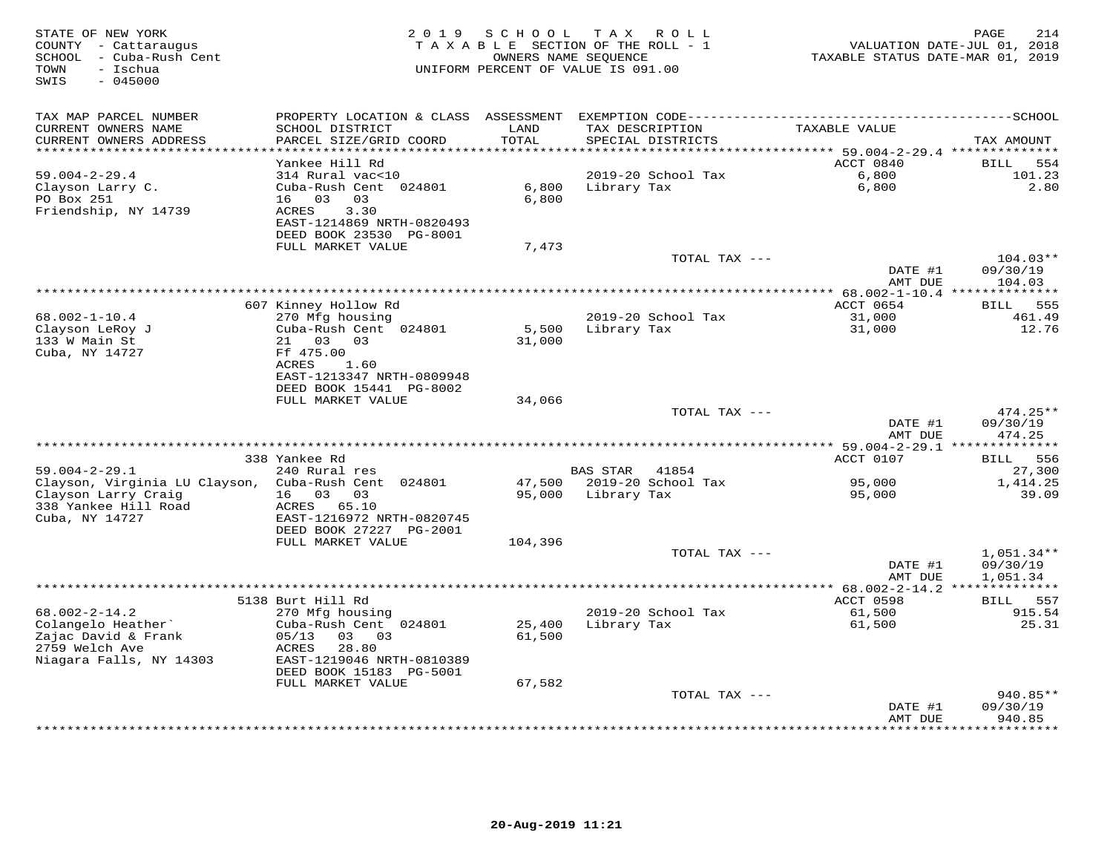| STATE OF NEW YORK<br>COUNTY - Cattaraugus<br>SCHOOL - Cuba-Rush Cent<br>- Ischua<br>TOWN<br>SWIS<br>$-045000$ | 2 0 1 9                                              | SCHOOL<br>TAXABLE SECTION OF THE ROLL - 1<br>UNIFORM PERCENT OF VALUE IS 091.00 | T A X<br>OWNERS NAME SEQUENCE        | R O L L            | TAXABLE STATUS DATE-MAR 01, 2019              | PAGE<br>214<br>VALUATION DATE-JUL 01, 2018 |
|---------------------------------------------------------------------------------------------------------------|------------------------------------------------------|---------------------------------------------------------------------------------|--------------------------------------|--------------------|-----------------------------------------------|--------------------------------------------|
| TAX MAP PARCEL NUMBER                                                                                         | PROPERTY LOCATION & CLASS ASSESSMENT                 |                                                                                 |                                      |                    |                                               |                                            |
| CURRENT OWNERS NAME<br>CURRENT OWNERS ADDRESS                                                                 | SCHOOL DISTRICT<br>PARCEL SIZE/GRID COORD            | LAND<br>TOTAL                                                                   | TAX DESCRIPTION<br>SPECIAL DISTRICTS |                    | TAXABLE VALUE                                 | TAX AMOUNT                                 |
| **********************                                                                                        | **********************                               |                                                                                 |                                      |                    | ACCT 0840                                     |                                            |
| $59.004 - 2 - 29.4$                                                                                           | Yankee Hill Rd<br>314 Rural vac<10                   |                                                                                 |                                      | 2019-20 School Tax | 6,800                                         | 554<br>BILL<br>101.23                      |
| Clayson Larry C.                                                                                              | Cuba-Rush Cent 024801                                | 6,800                                                                           | Library Tax                          |                    | 6,800                                         | 2.80                                       |
| PO Box 251                                                                                                    | 16<br>03<br>03                                       | 6,800                                                                           |                                      |                    |                                               |                                            |
| Friendship, NY 14739                                                                                          | ACRES<br>3.30                                        |                                                                                 |                                      |                    |                                               |                                            |
|                                                                                                               | EAST-1214869 NRTH-0820493                            |                                                                                 |                                      |                    |                                               |                                            |
|                                                                                                               | DEED BOOK 23530 PG-8001                              |                                                                                 |                                      |                    |                                               |                                            |
|                                                                                                               | FULL MARKET VALUE                                    | 7,473                                                                           |                                      |                    |                                               |                                            |
|                                                                                                               |                                                      |                                                                                 |                                      | TOTAL TAX ---      |                                               | $104.03**$                                 |
|                                                                                                               |                                                      |                                                                                 |                                      |                    | DATE #1                                       | 09/30/19                                   |
|                                                                                                               |                                                      |                                                                                 | ***************                      |                    | AMT DUE                                       | 104.03                                     |
|                                                                                                               | 607 Kinney Hollow Rd                                 |                                                                                 |                                      |                    | ** 68.002-1-10.4 ***************<br>ACCT 0654 | 555                                        |
| $68.002 - 1 - 10.4$                                                                                           | 270 Mfg housing                                      |                                                                                 | 2019-20 School Tax                   |                    | 31,000                                        | BILL<br>461.49                             |
| Clayson LeRoy J                                                                                               | Cuba-Rush Cent 024801                                | 5,500                                                                           | Library Tax                          |                    | 31,000                                        | 12.76                                      |
| 133 W Main St                                                                                                 | 21  03  03                                           | 31,000                                                                          |                                      |                    |                                               |                                            |
| Cuba, NY 14727                                                                                                | Ff 475.00                                            |                                                                                 |                                      |                    |                                               |                                            |
|                                                                                                               | ACRES<br>1.60                                        |                                                                                 |                                      |                    |                                               |                                            |
|                                                                                                               | EAST-1213347 NRTH-0809948                            |                                                                                 |                                      |                    |                                               |                                            |
|                                                                                                               | DEED BOOK 15441 PG-8002                              |                                                                                 |                                      |                    |                                               |                                            |
|                                                                                                               | FULL MARKET VALUE                                    | 34,066                                                                          |                                      |                    |                                               |                                            |
|                                                                                                               |                                                      |                                                                                 |                                      | TOTAL TAX ---      | DATE #1                                       | 474.25**<br>09/30/19                       |
|                                                                                                               |                                                      |                                                                                 |                                      |                    | AMT DUE                                       | 474.25                                     |
|                                                                                                               |                                                      |                                                                                 | *********************                |                    | $***$ 59.004-2-29.1 **************            |                                            |
|                                                                                                               | 338 Yankee Rd                                        |                                                                                 |                                      |                    | ACCT 0107                                     | 556<br>BILL                                |
| $59.004 - 2 - 29.1$                                                                                           | 240 Rural res                                        |                                                                                 | <b>BAS STAR</b>                      | 41854              |                                               | 27,300                                     |
| Clayson, Virginia LU Clayson, Cuba-Rush Cent 024801                                                           |                                                      | 47,500                                                                          | 2019-20 School Tax                   |                    | 95,000                                        | 1,414.25                                   |
| Clayson Larry Craig                                                                                           | 16 03<br>03                                          | 95,000                                                                          | Library Tax                          |                    | 95,000                                        | 39.09                                      |
| 338 Yankee Hill Road                                                                                          | ACRES 65.10                                          |                                                                                 |                                      |                    |                                               |                                            |
| Cuba, NY 14727                                                                                                | EAST-1216972 NRTH-0820745<br>DEED BOOK 27227 PG-2001 |                                                                                 |                                      |                    |                                               |                                            |
|                                                                                                               | FULL MARKET VALUE                                    | 104,396                                                                         |                                      |                    |                                               |                                            |
|                                                                                                               |                                                      |                                                                                 |                                      | TOTAL TAX ---      |                                               | $1,051.34**$                               |
|                                                                                                               |                                                      |                                                                                 |                                      |                    | DATE #1                                       | 09/30/19                                   |
|                                                                                                               |                                                      |                                                                                 |                                      |                    | AMT DUE                                       | 1,051.34                                   |
|                                                                                                               |                                                      |                                                                                 | **********************               |                    | $*$ 68.002-2-14.2                             |                                            |
|                                                                                                               | 5138 Burt Hill Rd                                    |                                                                                 |                                      |                    | ACCT 0598                                     | BILL 557                                   |
| $68.002 - 2 - 14.2$                                                                                           | 270 Mfg housing                                      |                                                                                 |                                      | 2019-20 School Tax | 61,500                                        | 915.54                                     |
| Colangelo Heather'                                                                                            | Cuba-Rush Cent 024801                                | 25,400                                                                          | Library Tax                          |                    | 61,500                                        | 25.31                                      |
| Zajac David & Frank<br>2759 Welch Ave                                                                         | 05/13<br>03<br>03<br>28.80<br>ACRES                  | 61,500                                                                          |                                      |                    |                                               |                                            |
| Niagara Falls, NY 14303                                                                                       | EAST-1219046 NRTH-0810389                            |                                                                                 |                                      |                    |                                               |                                            |
|                                                                                                               | DEED BOOK 15183 PG-5001                              |                                                                                 |                                      |                    |                                               |                                            |
|                                                                                                               | FULL MARKET VALUE                                    | 67,582                                                                          |                                      |                    |                                               |                                            |
|                                                                                                               |                                                      |                                                                                 |                                      | TOTAL TAX ---      |                                               | 940.85**                                   |
|                                                                                                               |                                                      |                                                                                 |                                      |                    | DATE #1                                       | 09/30/19                                   |
|                                                                                                               |                                                      |                                                                                 |                                      |                    | AMT DUE                                       | 940.85<br>* * * * * * *                    |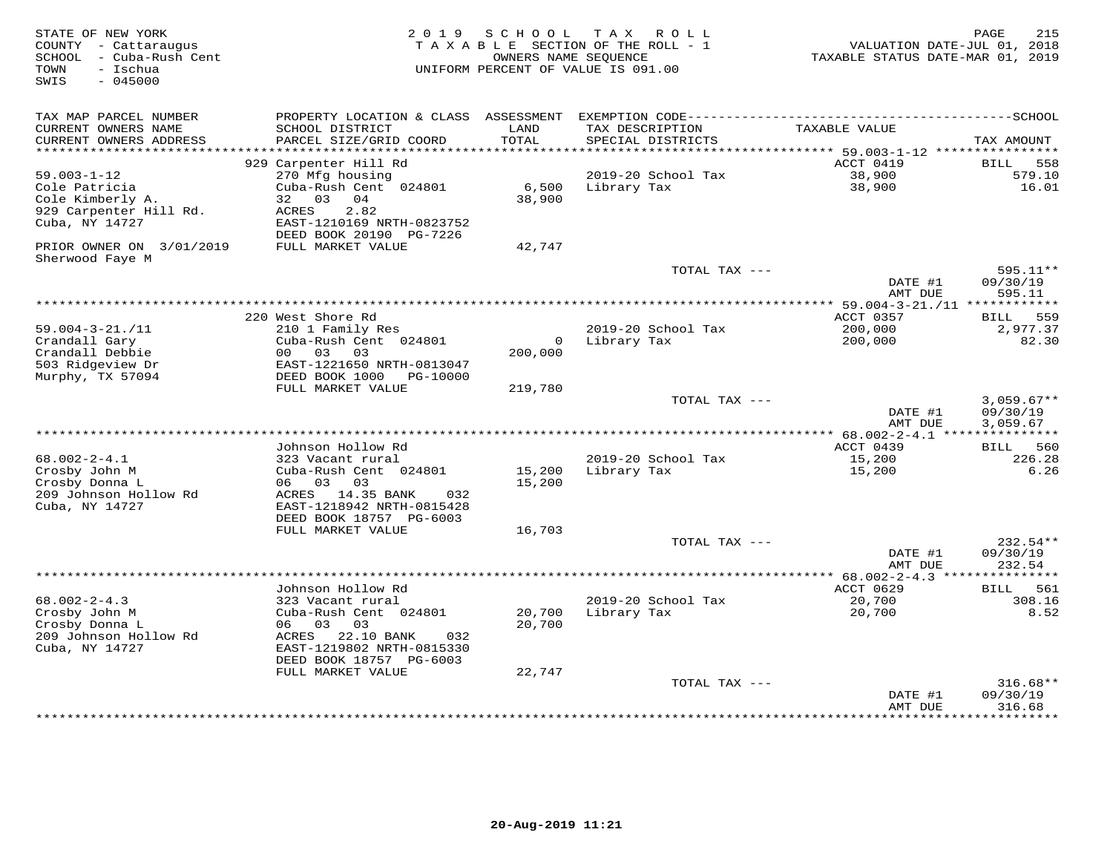| STATE OF NEW YORK<br>COUNTY - Cattaraugus<br>- Cuba-Rush Cent<br>SCHOOL<br>- Ischua<br>TOWN<br>SWIS<br>$-045000$ | 2 0 1 9                                                                                                                                             | SCHOOL<br>OWNERS NAME SEOUENCE | T A X<br>R O L L<br>TAXABLE SECTION OF THE ROLL - 1<br>UNIFORM PERCENT OF VALUE IS 091.00 | VALUATION DATE-JUL 01, 2018<br>TAXABLE STATUS DATE-MAR 01, 2019 | 215<br>PAGE                      |
|------------------------------------------------------------------------------------------------------------------|-----------------------------------------------------------------------------------------------------------------------------------------------------|--------------------------------|-------------------------------------------------------------------------------------------|-----------------------------------------------------------------|----------------------------------|
| TAX MAP PARCEL NUMBER<br>CURRENT OWNERS NAME<br>CURRENT OWNERS ADDRESS<br>**********************                 | SCHOOL DISTRICT<br>PARCEL SIZE/GRID COORD                                                                                                           | LAND<br>TOTAL                  | TAX DESCRIPTION<br>SPECIAL DISTRICTS                                                      | TAXABLE VALUE                                                   | TAX AMOUNT                       |
|                                                                                                                  | 929 Carpenter Hill Rd                                                                                                                               |                                |                                                                                           | ACCT 0419                                                       | <b>BILL</b><br>558               |
| $59.003 - 1 - 12$                                                                                                | 270 Mfg housing                                                                                                                                     |                                | 2019-20 School Tax                                                                        | 38,900                                                          | 579.10                           |
| Cole Patricia<br>Cole Kimberly A.<br>929 Carpenter Hill Rd.<br>Cuba, NY 14727                                    | Cuba-Rush Cent 024801<br>0.3<br>04<br>32<br>ACRES<br>2.82<br>EAST-1210169 NRTH-0823752<br>DEED BOOK 20190 PG-7226                                   | 6,500<br>38,900                | Library Tax                                                                               | 38,900                                                          | 16.01                            |
| PRIOR OWNER ON 3/01/2019<br>Sherwood Faye M                                                                      | FULL MARKET VALUE                                                                                                                                   | 42,747                         |                                                                                           |                                                                 |                                  |
|                                                                                                                  |                                                                                                                                                     |                                | TOTAL TAX ---                                                                             | DATE #1<br>AMT DUE                                              | 595.11**<br>09/30/19<br>595.11   |
|                                                                                                                  |                                                                                                                                                     |                                |                                                                                           | *** 59.004-3-21./11 ************                                |                                  |
| $59.004 - 3 - 21. / 11$<br>Crandall Gary                                                                         | 220 West Shore Rd<br>210 1 Family Res<br>Cuba-Rush Cent 024801                                                                                      | $\overline{0}$                 | 2019-20 School Tax<br>Library Tax                                                         | ACCT 0357<br>200,000<br>200,000                                 | 559<br>BILL<br>2,977.37<br>82.30 |
| Crandall Debbie<br>503 Ridgeview Dr<br>Murphy, TX 57094                                                          | 00<br>03<br>03<br>EAST-1221650 NRTH-0813047<br>DEED BOOK 1000<br>PG-10000                                                                           | 200,000                        |                                                                                           |                                                                 |                                  |
|                                                                                                                  | FULL MARKET VALUE                                                                                                                                   | 219,780                        | TOTAL TAX ---                                                                             |                                                                 | $3,059.67**$                     |
|                                                                                                                  |                                                                                                                                                     |                                |                                                                                           | DATE #1<br>AMT DUE                                              | 09/30/19<br>3,059.67             |
|                                                                                                                  | Johnson Hollow Rd                                                                                                                                   |                                |                                                                                           | *** $68.002 - 2 - 4.1$ ***************<br>ACCT 0439             | 560<br><b>BILL</b>               |
| $68.002 - 2 - 4.1$<br>Crosby John M<br>Crosby Donna L<br>209 Johnson Hollow Rd<br>Cuba, NY 14727                 | 323 Vacant rural<br>Cuba-Rush Cent 024801<br>06<br>03<br>03<br>ACRES<br>14.35 BANK<br>032<br>EAST-1218942 NRTH-0815428<br>DEED BOOK 18757 PG-6003   | 15,200<br>15,200               | 2019-20 School Tax<br>Library Tax                                                         | 15,200<br>15,200                                                | 226.28<br>6.26                   |
|                                                                                                                  | FULL MARKET VALUE                                                                                                                                   | 16,703                         | TOTAL TAX ---                                                                             |                                                                 | 232.54**                         |
|                                                                                                                  |                                                                                                                                                     |                                |                                                                                           | DATE #1<br>AMT DUE                                              | 09/30/19<br>232.54               |
|                                                                                                                  |                                                                                                                                                     |                                |                                                                                           | ************** 68.002-2-4.3 ******                              |                                  |
| $68.002 - 2 - 4.3$                                                                                               | Johnson Hollow Rd<br>323 Vacant rural                                                                                                               |                                | 2019-20 School Tax                                                                        | ACCT 0629<br>20,700                                             | 561<br><b>BILL</b><br>308.16     |
| Crosby John M<br>Crosby Donna L<br>209 Johnson Hollow Rd<br>Cuba, NY 14727                                       | Cuba-Rush Cent 024801<br>06<br>0.3<br>03<br>ACRES<br>22.10 BANK<br>032<br>EAST-1219802 NRTH-0815330<br>DEED BOOK 18757 PG-6003<br>FULL MARKET VALUE | 20,700<br>20,700<br>22,747     | Library Tax                                                                               | 20,700                                                          | 8.52                             |
|                                                                                                                  |                                                                                                                                                     |                                | TOTAL TAX ---                                                                             |                                                                 | $316.68**$                       |
|                                                                                                                  |                                                                                                                                                     |                                |                                                                                           | DATE #1<br>AMT DUE                                              | 09/30/19<br>316.68<br>*********  |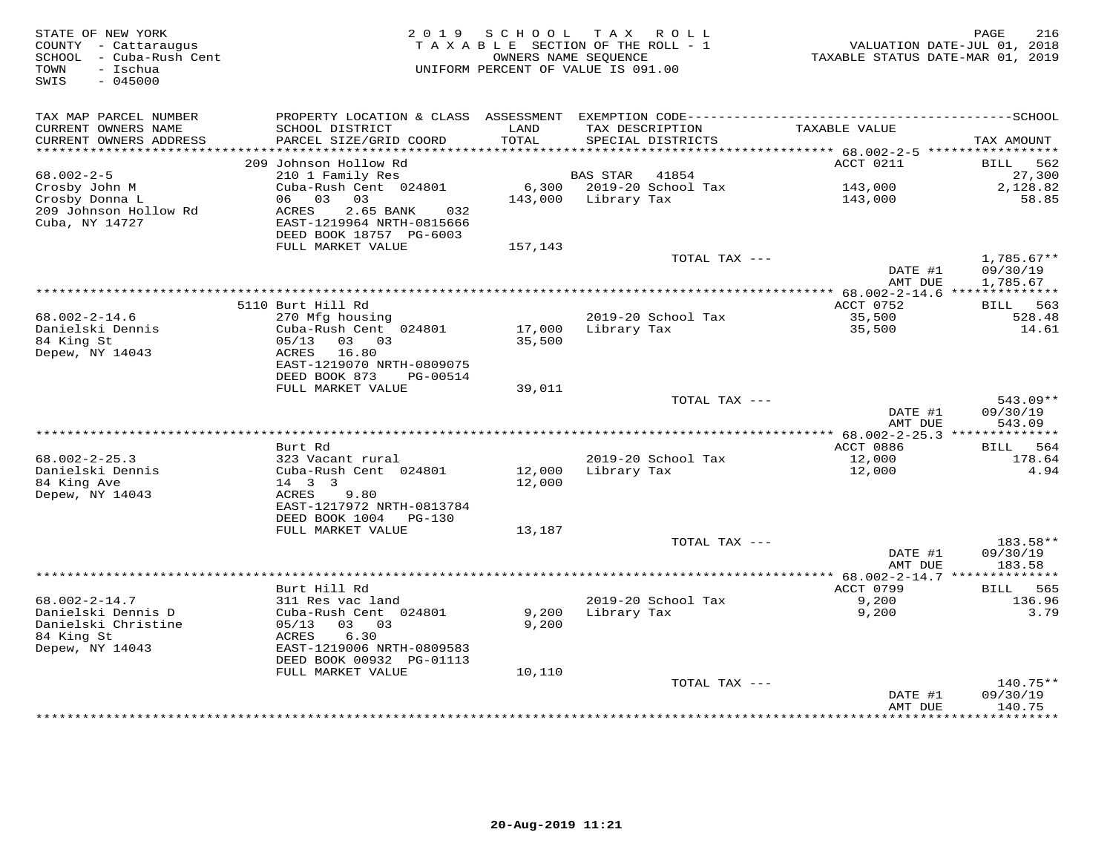| STATE OF NEW YORK<br>COUNTY - Cattaraugus<br>SCHOOL - Cuba-Rush Cent<br>- Ischua<br>TOWN<br>$-045000$<br>SWIS | 2 0 1 9                                              | SCHOOL        | TAX ROLL<br>TAXABLE SECTION OF THE ROLL - 1<br>OWNERS NAME SEOUENCE<br>UNIFORM PERCENT OF VALUE IS 091.00 | TAXABLE STATUS DATE-MAR 01, 2019                      | PAGE<br>216<br>VALUATION DATE-JUL 01, 2018 |
|---------------------------------------------------------------------------------------------------------------|------------------------------------------------------|---------------|-----------------------------------------------------------------------------------------------------------|-------------------------------------------------------|--------------------------------------------|
| TAX MAP PARCEL NUMBER                                                                                         | PROPERTY LOCATION & CLASS ASSESSMENT                 |               |                                                                                                           |                                                       |                                            |
| CURRENT OWNERS NAME<br>CURRENT OWNERS ADDRESS                                                                 | SCHOOL DISTRICT<br>PARCEL SIZE/GRID COORD            | LAND<br>TOTAL | TAX DESCRIPTION<br>SPECIAL DISTRICTS                                                                      | TAXABLE VALUE                                         | TAX AMOUNT                                 |
| **********************                                                                                        |                                                      |               | ***********************************                                                                       | ********** 68.002-2-5 ******************<br>ACCT 0211 | <b>BILL</b>                                |
| $68.002 - 2 - 5$                                                                                              | 209 Johnson Hollow Rd<br>210 1 Family Res            |               | <b>BAS STAR</b><br>41854                                                                                  |                                                       | 562<br>27,300                              |
| Crosby John M                                                                                                 | Cuba-Rush Cent 024801                                | 6,300         | 2019-20 School Tax                                                                                        | 143,000                                               | 2,128.82                                   |
| Crosby Donna L                                                                                                | 03<br>03<br>06                                       | 143,000       | Library Tax                                                                                               | 143,000                                               | 58.85                                      |
| 209 Johnson Hollow Rd                                                                                         | ACRES<br>2.65 BANK<br>032                            |               |                                                                                                           |                                                       |                                            |
| Cuba, NY 14727                                                                                                | EAST-1219964 NRTH-0815666<br>DEED BOOK 18757 PG-6003 |               |                                                                                                           |                                                       |                                            |
|                                                                                                               | FULL MARKET VALUE                                    | 157,143       |                                                                                                           |                                                       |                                            |
|                                                                                                               |                                                      |               | TOTAL TAX ---                                                                                             |                                                       | $1,785.67**$                               |
|                                                                                                               |                                                      |               |                                                                                                           | DATE #1<br>AMT DUE                                    | 09/30/19<br>1,785.67                       |
|                                                                                                               |                                                      |               | *************                                                                                             | ** $68.002 - 2 - 14.6$ **                             |                                            |
|                                                                                                               | 5110 Burt Hill Rd                                    |               |                                                                                                           | ACCT 0752                                             | BILL 563                                   |
| $68.002 - 2 - 14.6$                                                                                           | 270 Mfg housing                                      |               | 2019-20 School Tax                                                                                        | 35,500                                                | 528.48                                     |
| Danielski Dennis<br>84 King St                                                                                | Cuba-Rush Cent 024801<br>03<br>0.3<br>05/13          | 17,000        | Library Tax                                                                                               | 35,500                                                | 14.61                                      |
| Depew, NY 14043                                                                                               | ACRES<br>16.80                                       | 35,500        |                                                                                                           |                                                       |                                            |
|                                                                                                               | EAST-1219070 NRTH-0809075                            |               |                                                                                                           |                                                       |                                            |
|                                                                                                               | DEED BOOK 873<br>PG-00514                            |               |                                                                                                           |                                                       |                                            |
|                                                                                                               | FULL MARKET VALUE                                    | 39,011        |                                                                                                           |                                                       |                                            |
|                                                                                                               |                                                      |               | TOTAL TAX ---                                                                                             |                                                       | 543.09**                                   |
|                                                                                                               |                                                      |               |                                                                                                           | DATE #1                                               | 09/30/19                                   |
|                                                                                                               |                                                      |               |                                                                                                           | AMT DUE                                               | 543.09                                     |
|                                                                                                               |                                                      |               |                                                                                                           |                                                       |                                            |
| $68.002 - 2 - 25.3$                                                                                           | Burt Rd<br>323 Vacant rural                          |               | 2019-20 School Tax                                                                                        | ACCT 0886<br>12,000                                   | <b>BILL</b><br>564<br>178.64               |
| Danielski Dennis                                                                                              | Cuba-Rush Cent 024801                                | 12,000        | Library Tax                                                                                               | 12,000                                                | 4.94                                       |
| 84 King Ave                                                                                                   | 14   3   3                                           | 12,000        |                                                                                                           |                                                       |                                            |
| Depew, NY 14043                                                                                               | ACRES<br>9.80                                        |               |                                                                                                           |                                                       |                                            |
|                                                                                                               | EAST-1217972 NRTH-0813784                            |               |                                                                                                           |                                                       |                                            |
|                                                                                                               | DEED BOOK 1004<br>$PG-130$                           |               |                                                                                                           |                                                       |                                            |
|                                                                                                               | FULL MARKET VALUE                                    | 13,187        |                                                                                                           |                                                       |                                            |
|                                                                                                               |                                                      |               | TOTAL TAX $---$                                                                                           |                                                       | 183.58**                                   |
|                                                                                                               |                                                      |               |                                                                                                           | DATE #1                                               | 09/30/19                                   |
|                                                                                                               |                                                      |               |                                                                                                           | AMT DUE<br>********** 68.002-2-14.7 ***************   | 183.58                                     |
|                                                                                                               | Burt Hill Rd                                         |               |                                                                                                           | ACCT 0799                                             | 565<br>BILL                                |
| $68.002 - 2 - 14.7$                                                                                           | 311 Res vac land                                     |               | 2019-20 School Tax                                                                                        | 9,200                                                 | 136.96                                     |
| Danielski Dennis D                                                                                            | Cuba-Rush Cent 024801                                | 9,200         | Library Tax                                                                                               | 9,200                                                 | 3.79                                       |
| Danielski Christine                                                                                           | 05/13<br>03<br>03                                    | 9,200         |                                                                                                           |                                                       |                                            |
| 84 King St                                                                                                    | 6.30<br>ACRES                                        |               |                                                                                                           |                                                       |                                            |
| Depew, NY 14043                                                                                               | EAST-1219006 NRTH-0809583                            |               |                                                                                                           |                                                       |                                            |
|                                                                                                               | DEED BOOK 00932 PG-01113                             |               |                                                                                                           |                                                       |                                            |
|                                                                                                               | FULL MARKET VALUE                                    | 10,110        |                                                                                                           |                                                       |                                            |
|                                                                                                               |                                                      |               | TOTAL TAX ---                                                                                             | DATE #1                                               | $140.75**$<br>09/30/19                     |
|                                                                                                               |                                                      |               |                                                                                                           | AMT DUE                                               | 140.75                                     |
|                                                                                                               |                                                      |               |                                                                                                           | * * * * * * * *                                       | ********                                   |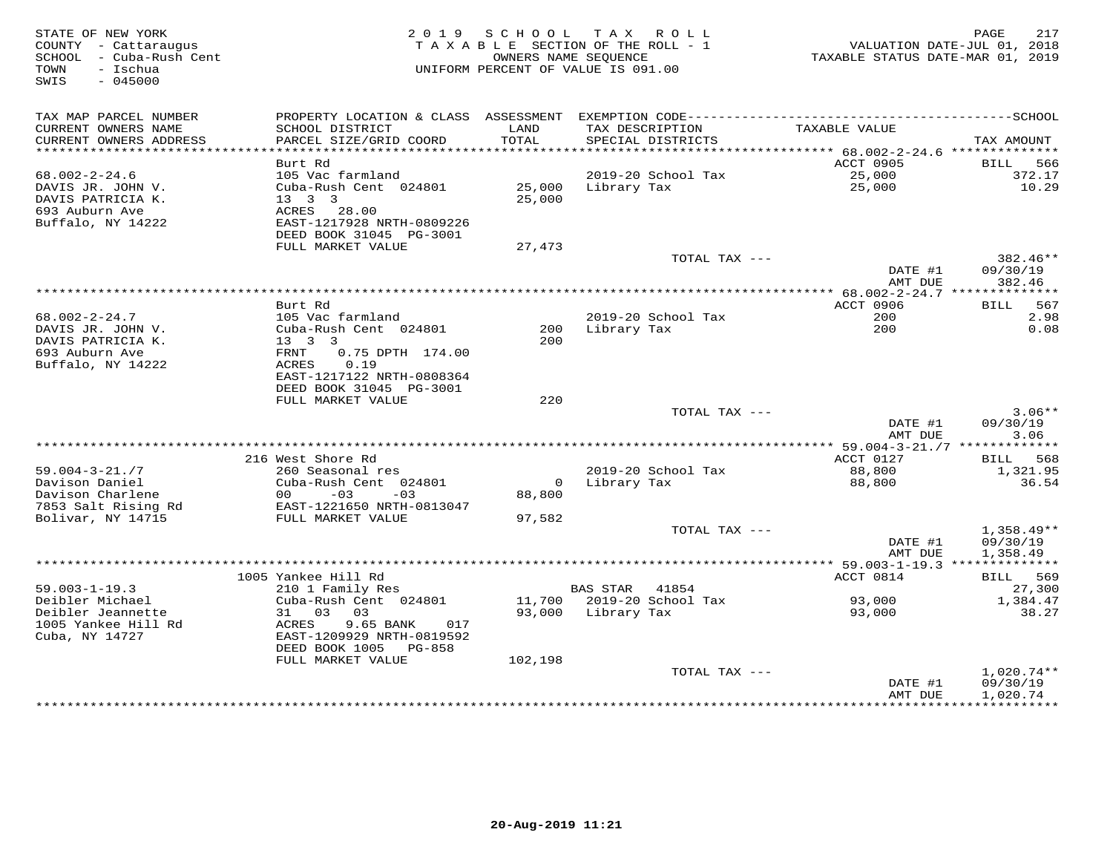| STATE OF NEW YORK<br>COUNTY - Cattaraugus<br>SCHOOL - Cuba-Rush Cent<br>TOWN<br>– Ischua<br>SWIS<br>$-045000$ |                                                                                                                                                    | 2019 SCHOOL<br>TAXABLE SECTION OF THE ROLL - 1<br>OWNERS NAME SEQUENCE<br>UNIFORM PERCENT OF VALUE IS 091.00 |                    | TAX ROLL                             | TAXABLE STATUS DATE-MAR 01, 2019       | PAGE<br>217<br>VALUATION DATE-JUL 01, 2018 |
|---------------------------------------------------------------------------------------------------------------|----------------------------------------------------------------------------------------------------------------------------------------------------|--------------------------------------------------------------------------------------------------------------|--------------------|--------------------------------------|----------------------------------------|--------------------------------------------|
| TAX MAP PARCEL NUMBER<br>CURRENT OWNERS NAME<br>CURRENT OWNERS ADDRESS                                        | SCHOOL DISTRICT<br>PARCEL SIZE/GRID COORD                                                                                                          | LAND<br><b>TOTAL</b>                                                                                         |                    | TAX DESCRIPTION<br>SPECIAL DISTRICTS | TAXABLE VALUE                          | TAX AMOUNT                                 |
| **********************                                                                                        |                                                                                                                                                    |                                                                                                              |                    |                                      |                                        |                                            |
| $68.002 - 2 - 24.6$                                                                                           | Burt Rd<br>105 Vac farmland                                                                                                                        |                                                                                                              |                    | 2019-20 School Tax                   | ACCT 0905<br>25,000                    | 566<br>BILL<br>372.17                      |
| DAVIS JR. JOHN V.<br>DAVIS PATRICIA K.<br>693 Auburn Ave<br>Buffalo, NY 14222                                 | Cuba-Rush Cent 024801<br>13   3   3<br>ACRES 28.00<br>EAST-1217928 NRTH-0809226                                                                    | 25,000                                                                                                       | 25,000 Library Tax |                                      | 25,000                                 | 10.29                                      |
|                                                                                                               | DEED BOOK 31045 PG-3001                                                                                                                            |                                                                                                              |                    |                                      |                                        |                                            |
|                                                                                                               | FULL MARKET VALUE                                                                                                                                  | 27,473                                                                                                       |                    | TOTAL TAX ---                        | DATE #1                                | 382.46**<br>09/30/19                       |
|                                                                                                               |                                                                                                                                                    |                                                                                                              |                    |                                      | AMT DUE<br>********** 68.002-2-24.7 ** | 382.46<br>***********                      |
|                                                                                                               | Burt Rd                                                                                                                                            |                                                                                                              |                    |                                      | ACCT 0906                              | <b>BILL</b><br>567                         |
| $68.002 - 2 - 24.7$                                                                                           | 105 Vac farmland                                                                                                                                   |                                                                                                              |                    | 2019-20 School Tax                   | 200                                    | 2.98                                       |
| DAVIS JR. JOHN V.<br>DAVIS PATRICIA K.<br>693 Auburn Ave<br>Buffalo, NY 14222                                 | Cuba-Rush Cent 024801<br>$13 \quad 3 \quad 3$<br>0.75 DPTH 174.00<br>FRNT<br>ACRES<br>0.19<br>EAST-1217122 NRTH-0808364<br>DEED BOOK 31045 PG-3001 | 200                                                                                                          | 200 Library Tax    |                                      | 200                                    | 0.08                                       |
|                                                                                                               | FULL MARKET VALUE                                                                                                                                  | 220                                                                                                          |                    |                                      |                                        |                                            |
|                                                                                                               |                                                                                                                                                    |                                                                                                              |                    | TOTAL TAX ---                        | DATE #1<br>AMT DUE                     | $3.06**$<br>09/30/19<br>3.06               |
|                                                                                                               |                                                                                                                                                    |                                                                                                              |                    |                                      |                                        |                                            |
|                                                                                                               | 216 West Shore Rd                                                                                                                                  |                                                                                                              |                    |                                      | ACCT 0127                              | BILL 568                                   |
| $59.004 - 3 - 21.77$<br>Davison Daniel<br>Davison Charlene<br>7853 Salt Rising Rd                             | 260 Seasonal res<br>Cuba-Rush Cent 024801<br>$00 - 03$<br>$-03$<br>EAST-1221650 NRTH-0813047                                                       | 88,800                                                                                                       | 0 Library Tax      | 2019-20 School Tax                   | 88,800<br>88,800                       | 1,321.95<br>36.54                          |
| Bolivar, NY 14715                                                                                             | FULL MARKET VALUE                                                                                                                                  | 97,582                                                                                                       |                    |                                      |                                        |                                            |
|                                                                                                               |                                                                                                                                                    |                                                                                                              |                    | TOTAL TAX ---                        | DATE #1<br>AMT DUE                     | $1,358.49**$<br>09/30/19<br>1,358.49       |
|                                                                                                               |                                                                                                                                                    |                                                                                                              |                    |                                      |                                        |                                            |
| $59.003 - 1 - 19.3$                                                                                           | 1005 Yankee Hill Rd<br>210 1 Family Res                                                                                                            |                                                                                                              | BAS STAR 41854     |                                      | ACCT 0814                              | BILL 569<br>27,300                         |
| Deibler Michael<br>Deibler Jeannette<br>1005 Yankee Hill Rd<br>Cuba, NY 14727                                 | Cuba-Rush Cent 024801<br>31 03<br>03<br>ACRES<br>9.65 BANK<br>017<br>EAST-1209929 NRTH-0819592<br>DEED BOOK 1005 PG-858                            |                                                                                                              | 93,000 Library Tax | 11,700 2019-20 School Tax            | 93,000<br>93,000                       | 1,384.47<br>38.27                          |
|                                                                                                               | FULL MARKET VALUE                                                                                                                                  | 102,198                                                                                                      |                    | TOTAL TAX ---                        | DATE #1                                | $1,020.74**$<br>09/30/19                   |
|                                                                                                               |                                                                                                                                                    |                                                                                                              |                    |                                      | AMT DUE                                | 1,020.74                                   |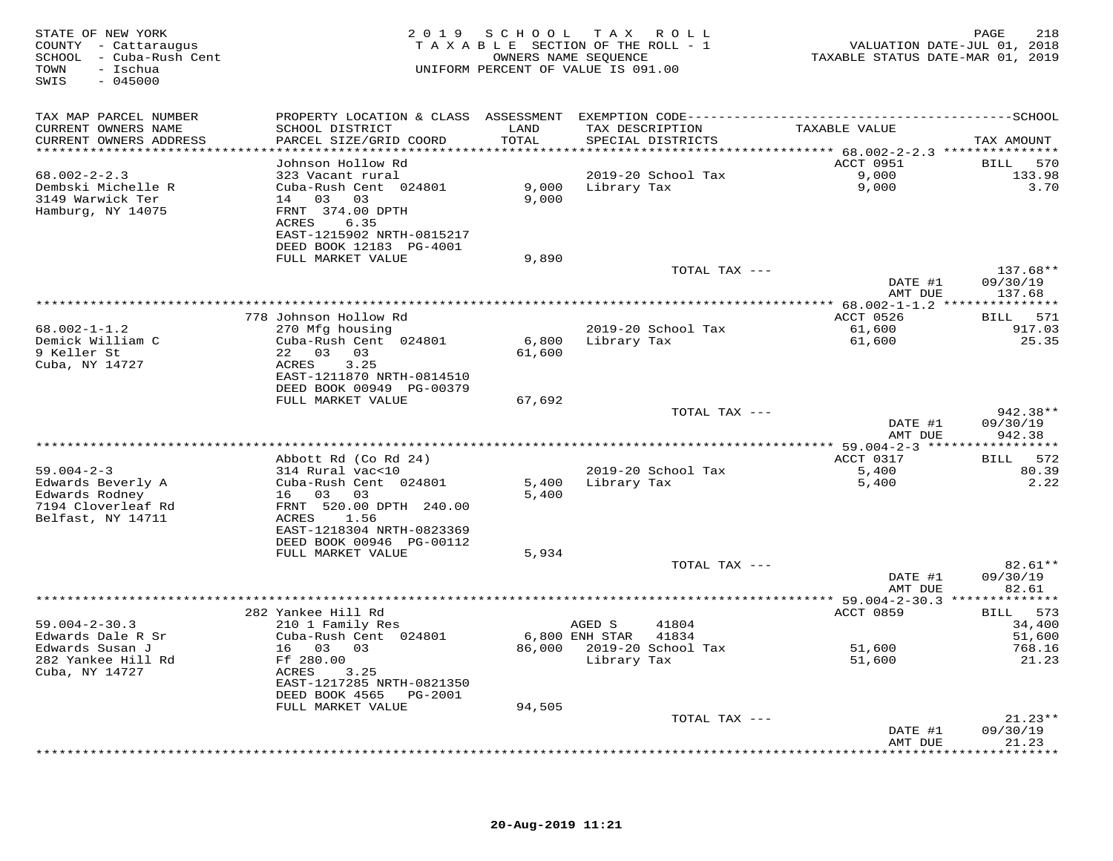| STATE OF NEW YORK<br>COUNTY - Cattaraugus<br>SCHOOL - Cuba-Rush Cent<br>TOWN<br>- Ischua<br>SWIS<br>$-045000$ |                                              | 2019 SCHOOL   | TAX ROLL<br>TAXABLE SECTION OF THE ROLL - 1<br>OWNERS NAME SEQUENCE<br>UNIFORM PERCENT OF VALUE IS 091.00 | VALUATION DATE-JUL 01, 2018<br>TAXABLE STATUS DATE-MAR 01, 2019 | 218<br>PAGE              |
|---------------------------------------------------------------------------------------------------------------|----------------------------------------------|---------------|-----------------------------------------------------------------------------------------------------------|-----------------------------------------------------------------|--------------------------|
| TAX MAP PARCEL NUMBER                                                                                         |                                              |               |                                                                                                           |                                                                 |                          |
| CURRENT OWNERS NAME<br>CURRENT OWNERS ADDRESS                                                                 | SCHOOL DISTRICT<br>PARCEL SIZE/GRID COORD    | LAND<br>TOTAL | TAX DESCRIPTION<br>SPECIAL DISTRICTS                                                                      | TAXABLE VALUE                                                   | TAX AMOUNT               |
| ***********************                                                                                       |                                              |               |                                                                                                           |                                                                 |                          |
| $68.002 - 2 - 2.3$                                                                                            | Johnson Hollow Rd<br>323 Vacant rural        |               | 2019-20 School Tax                                                                                        | ACCT 0951<br>9,000                                              | BILL<br>570<br>133.98    |
| Dembski Michelle R                                                                                            | Cuba-Rush Cent 024801                        |               | 9,000 Library Tax                                                                                         | 9,000                                                           | 3.70                     |
| 3149 Warwick Ter                                                                                              | 14 03 03                                     | 9,000         |                                                                                                           |                                                                 |                          |
| Hamburg, NY 14075                                                                                             | FRNT 374.00 DPTH                             |               |                                                                                                           |                                                                 |                          |
|                                                                                                               | ACRES<br>6.35                                |               |                                                                                                           |                                                                 |                          |
|                                                                                                               | EAST-1215902 NRTH-0815217                    |               |                                                                                                           |                                                                 |                          |
|                                                                                                               | DEED BOOK 12183 PG-4001<br>FULL MARKET VALUE | 9,890         |                                                                                                           |                                                                 |                          |
|                                                                                                               |                                              |               | TOTAL TAX ---                                                                                             |                                                                 | $137.68**$               |
|                                                                                                               |                                              |               |                                                                                                           | DATE #1                                                         | 09/30/19                 |
|                                                                                                               |                                              |               |                                                                                                           | AMT DUE                                                         | 137.68                   |
|                                                                                                               |                                              |               |                                                                                                           | ************* 68.002-1-1.2 ****************                     |                          |
| $68.002 - 1 - 1.2$                                                                                            | 778 Johnson Hollow Rd<br>270 Mfg housing     |               | 2019-20 School Tax                                                                                        | ACCT 0526<br>61,600                                             | BILL 571<br>917.03       |
| Demick William C                                                                                              | Cuba-Rush Cent 024801                        | 6,800         | Library Tax                                                                                               | 61,600                                                          | 25.35                    |
| 9 Keller St                                                                                                   | 22 03 03                                     | 61,600        |                                                                                                           |                                                                 |                          |
| Cuba, NY 14727                                                                                                | ACRES<br>3.25                                |               |                                                                                                           |                                                                 |                          |
|                                                                                                               | EAST-1211870 NRTH-0814510                    |               |                                                                                                           |                                                                 |                          |
|                                                                                                               | DEED BOOK 00949 PG-00379                     |               |                                                                                                           |                                                                 |                          |
|                                                                                                               | FULL MARKET VALUE                            | 67,692        |                                                                                                           |                                                                 |                          |
|                                                                                                               |                                              |               | TOTAL TAX ---                                                                                             | DATE #1                                                         | 942.38**<br>09/30/19     |
|                                                                                                               |                                              |               |                                                                                                           | AMT DUE                                                         | 942.38                   |
|                                                                                                               |                                              |               |                                                                                                           |                                                                 |                          |
|                                                                                                               | Abbott Rd (Co Rd 24)                         |               |                                                                                                           | ACCT 0317                                                       | BILL 572                 |
| $59.004 - 2 - 3$                                                                                              | 314 Rural vac<10                             |               | 2019-20 School Tax                                                                                        | 5,400                                                           | 80.39                    |
| Edwards Beverly A                                                                                             | Cuba-Rush Cent 024801                        |               | 5,400 Library Tax                                                                                         | 5,400                                                           | 2.22                     |
| Edwards Rodney<br>7194 Cloverleaf Rd                                                                          | 16  03  03                                   | 5,400         |                                                                                                           |                                                                 |                          |
| Belfast, NY 14711                                                                                             | FRNT 520.00 DPTH 240.00<br>ACRES 1.56        |               |                                                                                                           |                                                                 |                          |
|                                                                                                               | EAST-1218304 NRTH-0823369                    |               |                                                                                                           |                                                                 |                          |
|                                                                                                               | DEED BOOK 00946 PG-00112                     |               |                                                                                                           |                                                                 |                          |
|                                                                                                               | FULL MARKET VALUE                            | 5,934         |                                                                                                           |                                                                 |                          |
|                                                                                                               |                                              |               | TOTAL TAX ---                                                                                             |                                                                 | $82.61**$                |
|                                                                                                               |                                              |               |                                                                                                           | DATE #1<br>AMT DUE                                              | 09/30/19<br>82.61        |
|                                                                                                               |                                              |               |                                                                                                           |                                                                 |                          |
|                                                                                                               | 282 Yankee Hill Rd                           |               |                                                                                                           | ACCT 0859                                                       | BILL 573                 |
| $59.004 - 2 - 30.3$                                                                                           | 210 1 Family Res                             |               | AGED S<br>41804                                                                                           |                                                                 | 34,400                   |
| Edwards Dale R Sr                                                                                             | Cuba-Rush Cent 024801                        |               | 6,800 ENH STAR<br>41834                                                                                   |                                                                 | 51,600                   |
| Edwards Susan J                                                                                               | 16 03 03                                     |               | 86,000 2019-20 School Tax                                                                                 | 51,600                                                          | 768.16                   |
| 282 Yankee Hill Rd<br>Cuba, NY 14727                                                                          | Ff 280.00<br>ACRES<br>3.25                   |               | Library Tax                                                                                               | 51,600                                                          | 21.23                    |
|                                                                                                               | EAST-1217285 NRTH-0821350                    |               |                                                                                                           |                                                                 |                          |
|                                                                                                               | DEED BOOK 4565 PG-2001                       |               |                                                                                                           |                                                                 |                          |
|                                                                                                               | FULL MARKET VALUE                            | 94,505        |                                                                                                           |                                                                 |                          |
|                                                                                                               |                                              |               | TOTAL TAX ---                                                                                             |                                                                 | $21.23**$                |
|                                                                                                               |                                              |               |                                                                                                           | DATE #1                                                         | 09/30/19                 |
|                                                                                                               |                                              |               |                                                                                                           | AMT DUE                                                         | 21.23<br>* * * * * * * * |
|                                                                                                               |                                              |               |                                                                                                           |                                                                 |                          |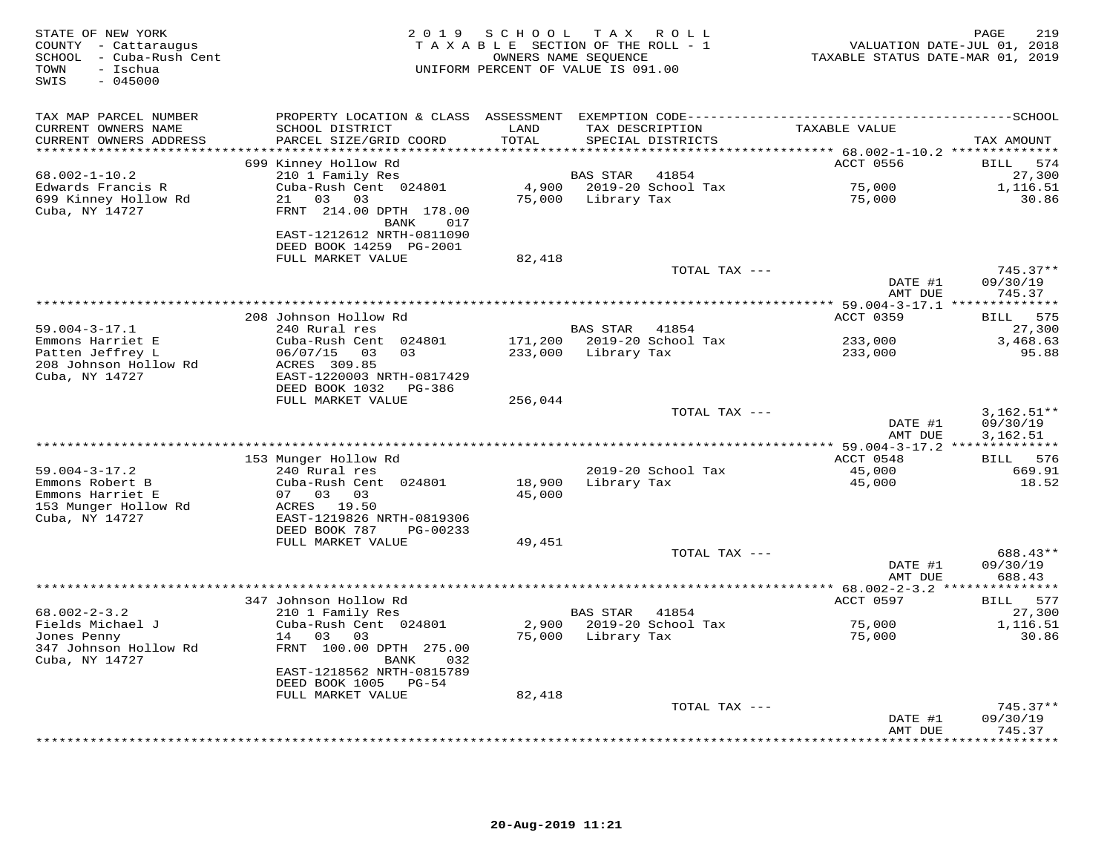| STATE OF NEW YORK<br>COUNTY - Cattaraugus<br>SCHOOL - Cuba-Rush Cent<br>TOWN<br>- Ischua<br>$-045000$<br>SWIS |                                           |               | 2019 SCHOOL TAX ROLL<br>TAXABLE SECTION OF THE ROLL - 1<br>OWNERS NAME SEQUENCE<br>UNIFORM PERCENT OF VALUE IS 091.00 | VALUATION DATE-JUL 01, 2018<br>TAXABLE STATUS DATE-MAR 01, 2019 | PAGE<br>219            |
|---------------------------------------------------------------------------------------------------------------|-------------------------------------------|---------------|-----------------------------------------------------------------------------------------------------------------------|-----------------------------------------------------------------|------------------------|
| TAX MAP PARCEL NUMBER                                                                                         |                                           |               |                                                                                                                       |                                                                 |                        |
| CURRENT OWNERS NAME<br>CURRENT OWNERS ADDRESS                                                                 | SCHOOL DISTRICT<br>PARCEL SIZE/GRID COORD | LAND<br>TOTAL | TAX DESCRIPTION<br>SPECIAL DISTRICTS                                                                                  | TAXABLE VALUE                                                   | TAX AMOUNT             |
|                                                                                                               |                                           |               |                                                                                                                       |                                                                 |                        |
| $68.002 - 1 - 10.2$                                                                                           | 699 Kinney Hollow Rd<br>210 1 Family Res  |               | <b>BAS STAR</b><br>41854                                                                                              | ACCT 0556                                                       | BILL 574<br>27,300     |
| Edwards Francis R                                                                                             | Cuba-Rush Cent 024801                     |               | 4,900 2019-20 School Tax                                                                                              | 75,000                                                          | 1,116.51               |
| 699 Kinney Hollow Rd                                                                                          | 21 03<br>03                               |               | 75,000 Library Tax                                                                                                    | 75,000                                                          | 30.86                  |
| Cuba, NY 14727                                                                                                | FRNT 214.00 DPTH 178.00                   |               |                                                                                                                       |                                                                 |                        |
|                                                                                                               | BANK<br>017                               |               |                                                                                                                       |                                                                 |                        |
|                                                                                                               | EAST-1212612 NRTH-0811090                 |               |                                                                                                                       |                                                                 |                        |
|                                                                                                               | DEED BOOK 14259 PG-2001                   |               |                                                                                                                       |                                                                 |                        |
|                                                                                                               | FULL MARKET VALUE                         | 82,418        |                                                                                                                       |                                                                 |                        |
|                                                                                                               |                                           |               | TOTAL TAX ---                                                                                                         | DATE #1                                                         | $745.37**$<br>09/30/19 |
|                                                                                                               |                                           |               |                                                                                                                       | AMT DUE                                                         | 745.37                 |
|                                                                                                               |                                           |               |                                                                                                                       |                                                                 |                        |
|                                                                                                               | 208 Johnson Hollow Rd                     |               |                                                                                                                       | ACCT 0359                                                       | BILL 575               |
| $59.004 - 3 - 17.1$                                                                                           | 240 Rural res                             |               | BAS STAR 41854                                                                                                        |                                                                 | 27,300                 |
| Emmons Harriet E                                                                                              | Cuba-Rush Cent 024801                     |               | 171,200 2019-20 School Tax                                                                                            | 233,000                                                         | 3,468.63               |
| Patten Jeffrey L                                                                                              | 06/07/15 03<br>03                         |               | 233,000 Library Tax                                                                                                   | 233,000                                                         | 95.88                  |
| 208 Johnson Hollow Rd<br>Cuba, NY 14727                                                                       | ACRES 309.85<br>EAST-1220003 NRTH-0817429 |               |                                                                                                                       |                                                                 |                        |
|                                                                                                               | DEED BOOK 1032<br>PG-386                  |               |                                                                                                                       |                                                                 |                        |
|                                                                                                               | FULL MARKET VALUE                         | 256,044       |                                                                                                                       |                                                                 |                        |
|                                                                                                               |                                           |               | TOTAL TAX ---                                                                                                         |                                                                 | $3,162.51**$           |
|                                                                                                               |                                           |               |                                                                                                                       | DATE #1                                                         | 09/30/19               |
|                                                                                                               |                                           |               |                                                                                                                       | AMT DUE                                                         | 3,162.51               |
|                                                                                                               |                                           |               |                                                                                                                       |                                                                 |                        |
|                                                                                                               | 153 Munger Hollow Rd                      |               |                                                                                                                       | ACCT 0548                                                       | 576<br>BILL            |
| $59.004 - 3 - 17.2$<br>Emmons Robert B                                                                        | 240 Rural res<br>Cuba-Rush Cent 024801    | 18,900        | 2019-20 School Tax<br>Library Tax                                                                                     | 45,000<br>45,000                                                | 669.91<br>18.52        |
| Emmons Harriet E                                                                                              | 07 03 03                                  | 45,000        |                                                                                                                       |                                                                 |                        |
| 153 Munger Hollow Rd                                                                                          | ACRES 19.50                               |               |                                                                                                                       |                                                                 |                        |
| Cuba, NY 14727                                                                                                | EAST-1219826 NRTH-0819306                 |               |                                                                                                                       |                                                                 |                        |
|                                                                                                               | DEED BOOK 787<br>PG-00233                 |               |                                                                                                                       |                                                                 |                        |
|                                                                                                               | FULL MARKET VALUE                         | 49,451        |                                                                                                                       |                                                                 |                        |
|                                                                                                               |                                           |               | TOTAL TAX ---                                                                                                         |                                                                 | 688.43**               |
|                                                                                                               |                                           |               |                                                                                                                       | DATE #1                                                         | 09/30/19               |
|                                                                                                               | *******************                       |               |                                                                                                                       | AMT DUE<br>********* 68.002-2-3.2 ***************               | 688.43                 |
|                                                                                                               | 347 Johnson Hollow Rd                     |               |                                                                                                                       | ACCT 0597                                                       | BILL 577               |
| $68.002 - 2 - 3.2$                                                                                            | 210 1 Family Res                          |               | BAS STAR<br>41854                                                                                                     |                                                                 | 27,300                 |
| Fields Michael J                                                                                              | Cuba-Rush Cent 024801                     |               | 2,900 2019-20 School Tax                                                                                              | 75,000                                                          | 1,116.51               |
| Jones Penny                                                                                                   | 14 03<br>03                               |               | 75,000 Library Tax                                                                                                    | 75,000                                                          | 30.86                  |
| 347 Johnson Hollow Rd                                                                                         | FRNT 100.00 DPTH 275.00                   |               |                                                                                                                       |                                                                 |                        |
| Cuba, NY 14727                                                                                                | BANK<br>032                               |               |                                                                                                                       |                                                                 |                        |
|                                                                                                               | EAST-1218562 NRTH-0815789                 |               |                                                                                                                       |                                                                 |                        |
|                                                                                                               | DEED BOOK 1005 PG-54<br>FULL MARKET VALUE | 82,418        |                                                                                                                       |                                                                 |                        |
|                                                                                                               |                                           |               | TOTAL TAX ---                                                                                                         |                                                                 | $745.37**$             |
|                                                                                                               |                                           |               |                                                                                                                       | DATE #1                                                         | 09/30/19               |
|                                                                                                               |                                           |               |                                                                                                                       | AMT DUE                                                         | 745.37                 |
|                                                                                                               |                                           |               |                                                                                                                       |                                                                 | ********               |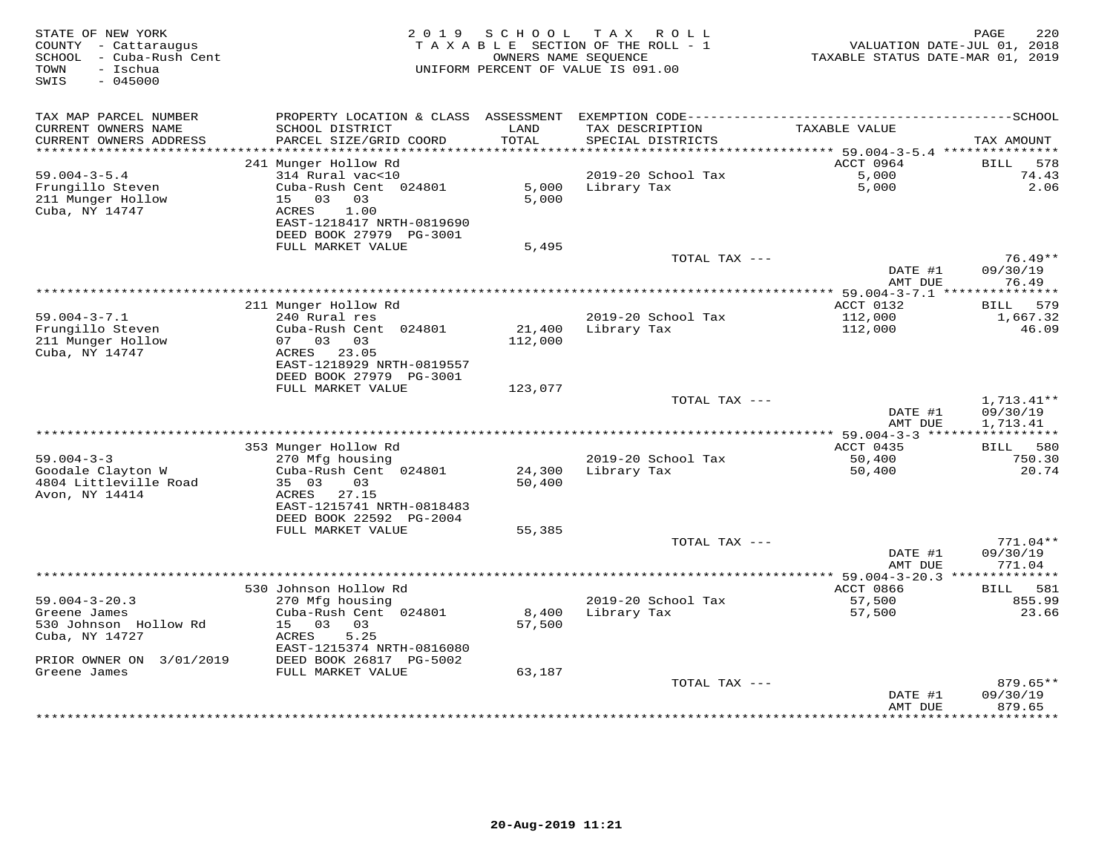| STATE OF NEW YORK<br>COUNTY - Cattaraugus<br>SCHOOL - Cuba-Rush Cent<br>- Ischua<br>TOWN<br>$-045000$<br>SWIS | 2 0 1 9                                                                            | S C H O O L       | T A X<br>ROLL<br>TAXABLE SECTION OF THE ROLL - 1<br>OWNERS NAME SEQUENCE<br>UNIFORM PERCENT OF VALUE IS 091.00 | VALUATION DATE-JUL 01, 2018<br>TAXABLE STATUS DATE-MAR 01, 2019 | 220<br>PAGE                    |
|---------------------------------------------------------------------------------------------------------------|------------------------------------------------------------------------------------|-------------------|----------------------------------------------------------------------------------------------------------------|-----------------------------------------------------------------|--------------------------------|
| TAX MAP PARCEL NUMBER                                                                                         |                                                                                    |                   |                                                                                                                |                                                                 |                                |
| CURRENT OWNERS NAME<br>CURRENT OWNERS ADDRESS<br>*************************                                    | SCHOOL DISTRICT<br>PARCEL SIZE/GRID COORD                                          | LAND<br>TOTAL     | TAX DESCRIPTION<br>SPECIAL DISTRICTS                                                                           | TAXABLE VALUE                                                   | TAX AMOUNT                     |
|                                                                                                               | 241 Munger Hollow Rd                                                               |                   |                                                                                                                | ACCT 0964                                                       | BILL<br>578                    |
| $59.004 - 3 - 5.4$                                                                                            | 314 Rural vac<10                                                                   |                   | 2019-20 School Tax                                                                                             | 5,000                                                           | 74.43                          |
| Frungillo Steven<br>211 Munger Hollow<br>Cuba, NY 14747                                                       | Cuba-Rush Cent 024801<br>15 03<br>03<br>ACRES<br>1.00<br>EAST-1218417 NRTH-0819690 | 5.000<br>5,000    | Library Tax                                                                                                    | 5,000                                                           | 2.06                           |
|                                                                                                               | DEED BOOK 27979 PG-3001                                                            |                   |                                                                                                                |                                                                 |                                |
|                                                                                                               | FULL MARKET VALUE                                                                  | 5,495             |                                                                                                                |                                                                 |                                |
|                                                                                                               |                                                                                    |                   | TOTAL TAX ---                                                                                                  | DATE #1<br>AMT DUE                                              | $76.49**$<br>09/30/19<br>76.49 |
|                                                                                                               |                                                                                    |                   |                                                                                                                | ****** 59.004-3-7.1 ***                                         | ***********                    |
|                                                                                                               | 211 Munger Hollow Rd                                                               |                   |                                                                                                                | ACCT 0132                                                       | BILL 579                       |
| $59.004 - 3 - 7.1$                                                                                            | 240 Rural res                                                                      |                   | 2019-20 School Tax                                                                                             | 112,000                                                         | 1,667.32                       |
| Frungillo Steven<br>211 Munger Hollow                                                                         | Cuba-Rush Cent 024801<br>07 03 03                                                  | 21,400<br>112,000 | Library Tax                                                                                                    | 112,000                                                         | 46.09                          |
| Cuba, NY 14747                                                                                                | ACRES 23.05<br>EAST-1218929 NRTH-0819557                                           |                   |                                                                                                                |                                                                 |                                |
|                                                                                                               | DEED BOOK 27979 PG-3001<br>FULL MARKET VALUE                                       | 123,077           |                                                                                                                |                                                                 |                                |
|                                                                                                               |                                                                                    |                   | TOTAL TAX ---                                                                                                  |                                                                 | $1,713.41**$                   |
|                                                                                                               |                                                                                    |                   |                                                                                                                | DATE #1<br>AMT DUE                                              | 09/30/19<br>1,713.41           |
|                                                                                                               |                                                                                    |                   |                                                                                                                |                                                                 | ***********                    |
|                                                                                                               | 353 Munger Hollow Rd                                                               |                   |                                                                                                                | ACCT 0435                                                       | BILL 580                       |
| $59.004 - 3 - 3$                                                                                              | 270 Mfg housing                                                                    | 24,300            | 2019-20 School Tax                                                                                             | 50,400                                                          | 750.30<br>20.74                |
| Goodale Clayton W<br>4804 Littleville Road                                                                    | Cuba-Rush Cent 024801<br>35 03<br>03                                               | 50,400            | Library Tax                                                                                                    | 50,400                                                          |                                |
| Avon, NY 14414                                                                                                | ACRES<br>27.15<br>EAST-1215741 NRTH-0818483                                        |                   |                                                                                                                |                                                                 |                                |
|                                                                                                               | DEED BOOK 22592 PG-2004                                                            |                   |                                                                                                                |                                                                 |                                |
|                                                                                                               | FULL MARKET VALUE                                                                  | 55,385            |                                                                                                                |                                                                 |                                |
|                                                                                                               |                                                                                    |                   | TOTAL TAX ---                                                                                                  |                                                                 | $771.04**$                     |
|                                                                                                               |                                                                                    |                   |                                                                                                                | DATE #1<br>AMT DUE                                              | 09/30/19<br>771.04             |
|                                                                                                               |                                                                                    |                   | ************************************                                                                           | ********** 59.004-3-20.3 ***                                    | ***********                    |
| $59.004 - 3 - 20.3$                                                                                           | 530 Johnson Hollow Rd<br>270 Mfg housing                                           |                   | 2019-20 School Tax                                                                                             | ACCT 0866<br>57,500                                             | BILL<br>581<br>855.99          |
| Greene James                                                                                                  | Cuba-Rush Cent 024801                                                              | 8,400             | Library Tax                                                                                                    | 57,500                                                          | 23.66                          |
| 530 Johnson Hollow Rd<br>Cuba, NY 14727                                                                       | $15 -$<br>0.3<br>03<br>ACRES<br>5.25                                               | 57,500            |                                                                                                                |                                                                 |                                |
| PRIOR OWNER ON 3/01/2019                                                                                      | EAST-1215374 NRTH-0816080<br>DEED BOOK 26817 PG-5002                               |                   |                                                                                                                |                                                                 |                                |
| Greene James                                                                                                  | FULL MARKET VALUE                                                                  | 63,187            |                                                                                                                |                                                                 |                                |
|                                                                                                               |                                                                                    |                   | TOTAL TAX ---                                                                                                  | DATE #1<br>AMT DUE                                              | 879.65**<br>09/30/19<br>879.65 |
|                                                                                                               |                                                                                    |                   |                                                                                                                |                                                                 |                                |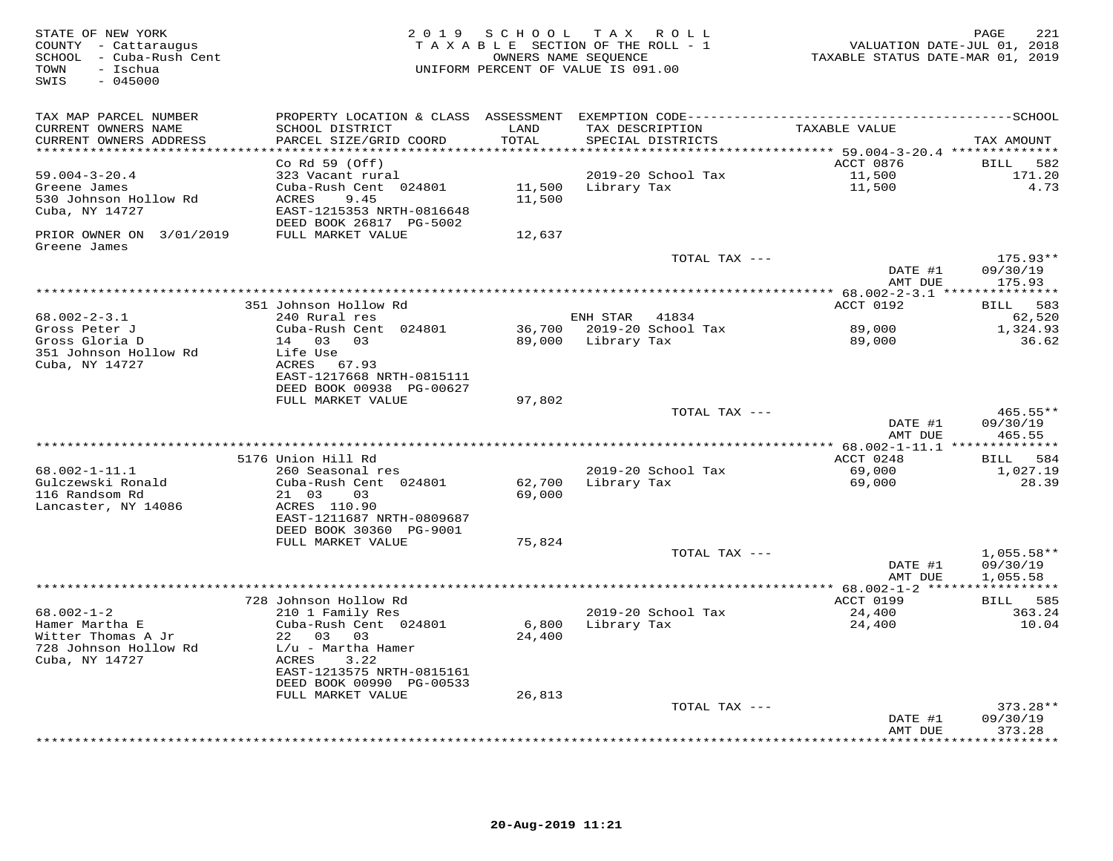| STATE OF NEW YORK<br>COUNTY - Cattaraugus<br>SCHOOL - Cuba-Rush Cent<br>- Ischua<br>TOWN<br>SWIS<br>$-045000$ |                                                      | 2019 SCHOOL   | T A X<br>R O L L<br>TAXABLE SECTION OF THE ROLL - 1<br>OWNERS NAME SEQUENCE<br>UNIFORM PERCENT OF VALUE IS 091.00 | VALUATION DATE-JUL 01, 2018<br>TAXABLE STATUS DATE-MAR 01, 2019 | 221<br>PAGE                        |
|---------------------------------------------------------------------------------------------------------------|------------------------------------------------------|---------------|-------------------------------------------------------------------------------------------------------------------|-----------------------------------------------------------------|------------------------------------|
| TAX MAP PARCEL NUMBER                                                                                         |                                                      |               |                                                                                                                   |                                                                 |                                    |
| CURRENT OWNERS NAME<br>CURRENT OWNERS ADDRESS                                                                 | SCHOOL DISTRICT<br>PARCEL SIZE/GRID COORD            | LAND<br>TOTAL | TAX DESCRIPTION<br>SPECIAL DISTRICTS                                                                              | TAXABLE VALUE                                                   | TAX AMOUNT                         |
| ********************                                                                                          | Co Rd $59$ (Off)                                     | *******       |                                                                                                                   | ****** 59.004-3-20.4 **************<br>ACCT 0876                | <b>BILL</b><br>582                 |
| $59.004 - 3 - 20.4$                                                                                           | 323 Vacant rural                                     |               | 2019-20 School Tax                                                                                                | 11,500                                                          | 171.20                             |
| Greene James                                                                                                  | Cuba-Rush Cent 024801                                | 11,500        | Library Tax                                                                                                       | 11,500                                                          | 4.73                               |
| 530 Johnson Hollow Rd                                                                                         | ACRES<br>9.45                                        | 11,500        |                                                                                                                   |                                                                 |                                    |
| Cuba, NY 14727                                                                                                | EAST-1215353 NRTH-0816648                            |               |                                                                                                                   |                                                                 |                                    |
| PRIOR OWNER ON 3/01/2019                                                                                      | DEED BOOK 26817 PG-5002<br>FULL MARKET VALUE         | 12,637        |                                                                                                                   |                                                                 |                                    |
| Greene James                                                                                                  |                                                      |               |                                                                                                                   |                                                                 |                                    |
|                                                                                                               |                                                      |               | TOTAL TAX ---                                                                                                     |                                                                 | $175.93**$                         |
|                                                                                                               |                                                      |               |                                                                                                                   | DATE #1                                                         | 09/30/19                           |
|                                                                                                               |                                                      |               |                                                                                                                   | AMT DUE                                                         | 175.93                             |
|                                                                                                               | 351 Johnson Hollow Rd                                |               |                                                                                                                   | **** $68.002 - 2 - 3.1$ *****<br>ACCT 0192                      | * * * * * * * * * *<br>583<br>BILL |
| $68.002 - 2 - 3.1$                                                                                            | 240 Rural res                                        |               | 41834<br>ENH STAR                                                                                                 |                                                                 | 62,520                             |
| Gross Peter J                                                                                                 | Cuba-Rush Cent 024801                                | 36,700        | 2019-20 School Tax                                                                                                | 89,000                                                          | 1,324.93                           |
| Gross Gloria D                                                                                                | 14 03<br>0.3                                         | 89,000        | Library Tax                                                                                                       | 89,000                                                          | 36.62                              |
| 351 Johnson Hollow Rd                                                                                         | Life Use                                             |               |                                                                                                                   |                                                                 |                                    |
| Cuba, NY 14727                                                                                                | ACRES 67.93<br>EAST-1217668 NRTH-0815111             |               |                                                                                                                   |                                                                 |                                    |
|                                                                                                               | DEED BOOK 00938 PG-00627                             |               |                                                                                                                   |                                                                 |                                    |
|                                                                                                               | FULL MARKET VALUE                                    | 97,802        |                                                                                                                   |                                                                 |                                    |
|                                                                                                               |                                                      |               | TOTAL TAX ---                                                                                                     |                                                                 | $465.55**$                         |
|                                                                                                               |                                                      |               |                                                                                                                   | DATE #1                                                         | 09/30/19                           |
|                                                                                                               |                                                      |               |                                                                                                                   | AMT DUE                                                         | 465.55                             |
|                                                                                                               | 5176 Union Hill Rd                                   |               |                                                                                                                   | ACCT 0248                                                       | 584<br><b>BILL</b>                 |
| $68.002 - 1 - 11.1$                                                                                           | 260 Seasonal res                                     |               | 2019-20 School Tax                                                                                                | 69,000                                                          | 1,027.19                           |
| Gulczewski Ronald                                                                                             | Cuba-Rush Cent 024801                                | 62,700        | Library Tax                                                                                                       | 69,000                                                          | 28.39                              |
| 116 Randsom Rd                                                                                                | 21 03<br>03                                          | 69,000        |                                                                                                                   |                                                                 |                                    |
| Lancaster, NY 14086                                                                                           | ACRES 110.90                                         |               |                                                                                                                   |                                                                 |                                    |
|                                                                                                               | EAST-1211687 NRTH-0809687<br>DEED BOOK 30360 PG-9001 |               |                                                                                                                   |                                                                 |                                    |
|                                                                                                               | FULL MARKET VALUE                                    | 75,824        |                                                                                                                   |                                                                 |                                    |
|                                                                                                               |                                                      |               | TOTAL TAX ---                                                                                                     |                                                                 | $1,055.58**$                       |
|                                                                                                               |                                                      |               |                                                                                                                   | DATE #1                                                         | 09/30/19                           |
|                                                                                                               |                                                      |               | ***********************************                                                                               | AMT DUE                                                         | 1,055.58<br>* * * * * * * * * * *  |
|                                                                                                               | 728 Johnson Hollow Rd                                |               |                                                                                                                   | ****** 68.002-1-2 *****<br>ACCT 0199                            | 585<br><b>BILL</b>                 |
| $68.002 - 1 - 2$                                                                                              | 210 1 Family Res                                     |               | 2019-20 School Tax                                                                                                | 24,400                                                          | 363.24                             |
| Hamer Martha E                                                                                                | Cuba-Rush Cent 024801                                | 6,800         | Library Tax                                                                                                       | 24,400                                                          | 10.04                              |
| Witter Thomas A Jr                                                                                            | 22 03 03                                             | 24,400        |                                                                                                                   |                                                                 |                                    |
| 728 Johnson Hollow Rd                                                                                         | L/u - Martha Hamer                                   |               |                                                                                                                   |                                                                 |                                    |
| Cuba, NY 14727                                                                                                | ACRES<br>3.22<br>EAST-1213575 NRTH-0815161           |               |                                                                                                                   |                                                                 |                                    |
|                                                                                                               | DEED BOOK 00990 PG-00533                             |               |                                                                                                                   |                                                                 |                                    |
|                                                                                                               | FULL MARKET VALUE                                    | 26,813        |                                                                                                                   |                                                                 |                                    |
|                                                                                                               |                                                      |               | TOTAL TAX ---                                                                                                     |                                                                 | $373.28**$                         |
|                                                                                                               |                                                      |               |                                                                                                                   | DATE #1                                                         | 09/30/19                           |
|                                                                                                               |                                                      |               |                                                                                                                   | AMT DUE                                                         | 373.28<br>.                        |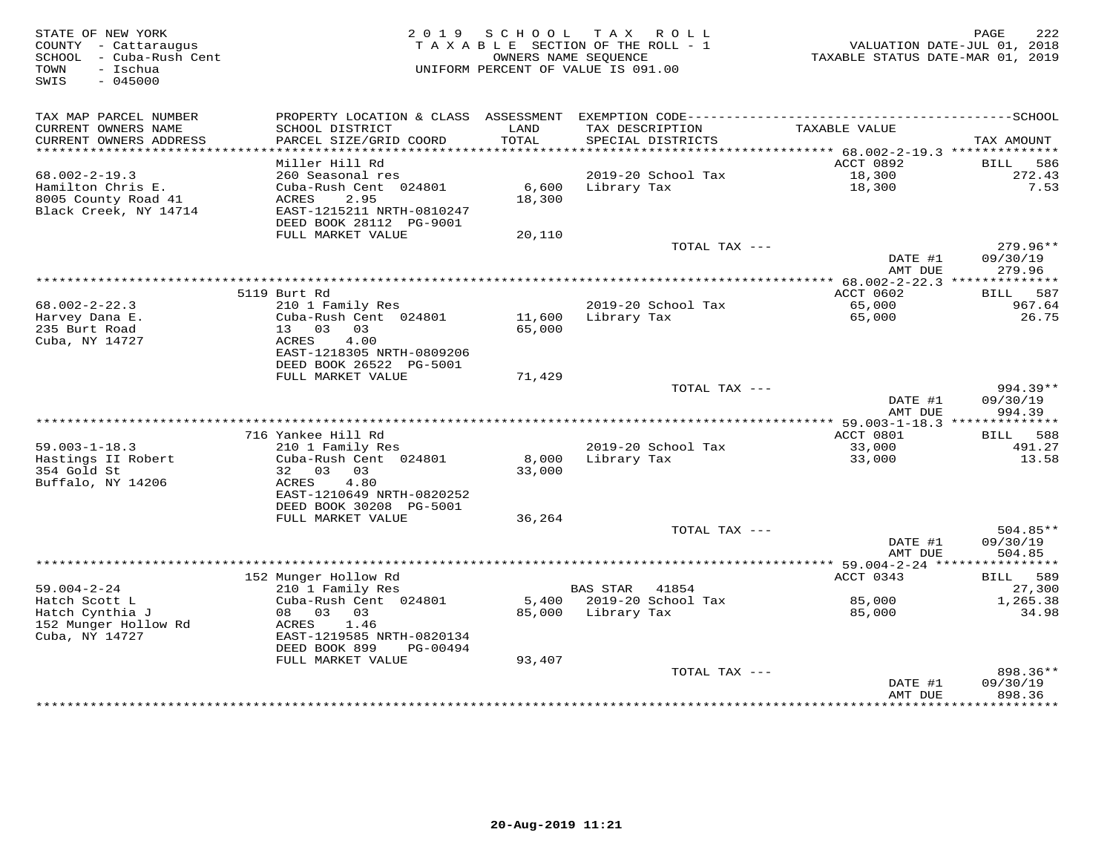| STATE OF NEW YORK<br>COUNTY - Cattaraugus<br>SCHOOL - Cuba-Rush Cent<br>- Ischua<br>TOWN<br>$-045000$<br>SWIS |                                                                                                                                           | 2019 SCHOOL TAX ROLL<br>TAXABLE SECTION OF THE ROLL - 1<br>OWNERS NAME SEOUENCE<br>UNIFORM PERCENT OF VALUE IS 091.00 |                       |                                      | VALUATION DATE-JUL 01, 2018<br>TAXABLE STATUS DATE-MAR 01, 2019 | 222<br>PAGE            |
|---------------------------------------------------------------------------------------------------------------|-------------------------------------------------------------------------------------------------------------------------------------------|-----------------------------------------------------------------------------------------------------------------------|-----------------------|--------------------------------------|-----------------------------------------------------------------|------------------------|
| TAX MAP PARCEL NUMBER<br>CURRENT OWNERS NAME<br>CURRENT OWNERS ADDRESS                                        | PROPERTY LOCATION & CLASS ASSESSMENT EXEMPTION CODE-----------------------------------SCHOOL<br>SCHOOL DISTRICT<br>PARCEL SIZE/GRID COORD | LAND<br>TOTAL                                                                                                         |                       | TAX DESCRIPTION<br>SPECIAL DISTRICTS | TAXABLE VALUE                                                   | TAX AMOUNT             |
| ***********************                                                                                       |                                                                                                                                           |                                                                                                                       |                       |                                      |                                                                 |                        |
| $68.002 - 2 - 19.3$                                                                                           | Miller Hill Rd<br>260 Seasonal res                                                                                                        |                                                                                                                       |                       | 2019-20 School Tax                   | ACCT 0892<br>18,300                                             | 586<br>BILL<br>272.43  |
| Hamilton Chris E.<br>8005 County Road 41                                                                      | Cuba-Rush Cent 024801<br>2.95<br>ACRES                                                                                                    | 6,600<br>18,300                                                                                                       | Library Tax           |                                      | 18,300                                                          | 7.53                   |
| Black Creek, NY 14714                                                                                         | EAST-1215211 NRTH-0810247<br>DEED BOOK 28112 PG-9001                                                                                      |                                                                                                                       |                       |                                      |                                                                 |                        |
|                                                                                                               | FULL MARKET VALUE                                                                                                                         | 20,110                                                                                                                |                       |                                      |                                                                 |                        |
|                                                                                                               |                                                                                                                                           |                                                                                                                       |                       | TOTAL TAX ---                        | DATE #1                                                         | $279.96**$<br>09/30/19 |
|                                                                                                               |                                                                                                                                           |                                                                                                                       |                       |                                      | AMT DUE                                                         | 279.96                 |
|                                                                                                               |                                                                                                                                           |                                                                                                                       |                       |                                      |                                                                 |                        |
|                                                                                                               | 5119 Burt Rd                                                                                                                              |                                                                                                                       |                       |                                      | ACCT 0602                                                       | BILL 587               |
| $68.002 - 2 - 22.3$<br>Harvey Dana E.                                                                         | 210 1 Family Res<br>Cuba-Rush Cent 024801                                                                                                 | 11,600                                                                                                                |                       | 2019-20 School Tax<br>Library Tax    | 65,000<br>65,000                                                | 967.64<br>26.75        |
| 235 Burt Road                                                                                                 | 13 03 03                                                                                                                                  | 65,000                                                                                                                |                       |                                      |                                                                 |                        |
| Cuba, NY 14727                                                                                                | 4.00<br>ACRES                                                                                                                             |                                                                                                                       |                       |                                      |                                                                 |                        |
|                                                                                                               | EAST-1218305 NRTH-0809206                                                                                                                 |                                                                                                                       |                       |                                      |                                                                 |                        |
|                                                                                                               | DEED BOOK 26522 PG-5001                                                                                                                   |                                                                                                                       |                       |                                      |                                                                 |                        |
|                                                                                                               | FULL MARKET VALUE                                                                                                                         | 71,429                                                                                                                |                       | TOTAL TAX ---                        |                                                                 | 994.39**               |
|                                                                                                               |                                                                                                                                           |                                                                                                                       |                       |                                      | DATE #1<br>AMT DUE                                              | 09/30/19<br>994.39     |
|                                                                                                               |                                                                                                                                           |                                                                                                                       |                       |                                      |                                                                 |                        |
|                                                                                                               | 716 Yankee Hill Rd                                                                                                                        |                                                                                                                       |                       |                                      | ACCT 0801                                                       | BILL 588               |
| $59.003 - 1 - 18.3$<br>Hastings II Robert                                                                     | 210 1 Family Res<br>Cuba-Rush Cent 024801                                                                                                 | 8,000                                                                                                                 | Library Tax           | 2019-20 School Tax                   | 33,000<br>33,000                                                | 491.27<br>13.58        |
| 354 Gold St                                                                                                   | 32 03 03                                                                                                                                  | 33,000                                                                                                                |                       |                                      |                                                                 |                        |
| Buffalo, NY 14206                                                                                             | ACRES<br>4.80                                                                                                                             |                                                                                                                       |                       |                                      |                                                                 |                        |
|                                                                                                               | EAST-1210649 NRTH-0820252                                                                                                                 |                                                                                                                       |                       |                                      |                                                                 |                        |
|                                                                                                               | DEED BOOK 30208 PG-5001                                                                                                                   |                                                                                                                       |                       |                                      |                                                                 |                        |
|                                                                                                               | FULL MARKET VALUE                                                                                                                         | 36,264                                                                                                                |                       | TOTAL TAX ---                        |                                                                 | $504.85**$             |
|                                                                                                               |                                                                                                                                           |                                                                                                                       |                       |                                      | DATE #1<br>AMT DUE                                              | 09/30/19<br>504.85     |
|                                                                                                               |                                                                                                                                           |                                                                                                                       |                       |                                      |                                                                 |                        |
| $59.004 - 2 - 24$                                                                                             | 152 Munger Hollow Rd<br>210 1 Family Res                                                                                                  |                                                                                                                       | <b>BAS STAR</b> 41854 |                                      | ACCT 0343                                                       | BILL 589<br>27,300     |
| Hatch Scott L                                                                                                 | Cuba-Rush Cent 024801                                                                                                                     |                                                                                                                       |                       | 5,400 2019-20 School Tax             | 85,000                                                          | 1,265.38               |
| Hatch Cynthia J                                                                                               | 08 03 03                                                                                                                                  |                                                                                                                       | 85,000 Library Tax    |                                      | 85,000                                                          | 34.98                  |
| 152 Munger Hollow Rd<br>Cuba, NY 14727                                                                        | ACRES<br>1.46<br>EAST-1219585 NRTH-0820134                                                                                                |                                                                                                                       |                       |                                      |                                                                 |                        |
|                                                                                                               | DEED BOOK 899<br>PG-00494                                                                                                                 |                                                                                                                       |                       |                                      |                                                                 |                        |
|                                                                                                               | FULL MARKET VALUE                                                                                                                         | 93,407                                                                                                                |                       | TOTAL TAX ---                        |                                                                 | 898.36**               |
|                                                                                                               |                                                                                                                                           |                                                                                                                       |                       |                                      | DATE #1                                                         | 09/30/19               |
|                                                                                                               |                                                                                                                                           |                                                                                                                       |                       |                                      | AMT DUE                                                         | 898.36<br>***********  |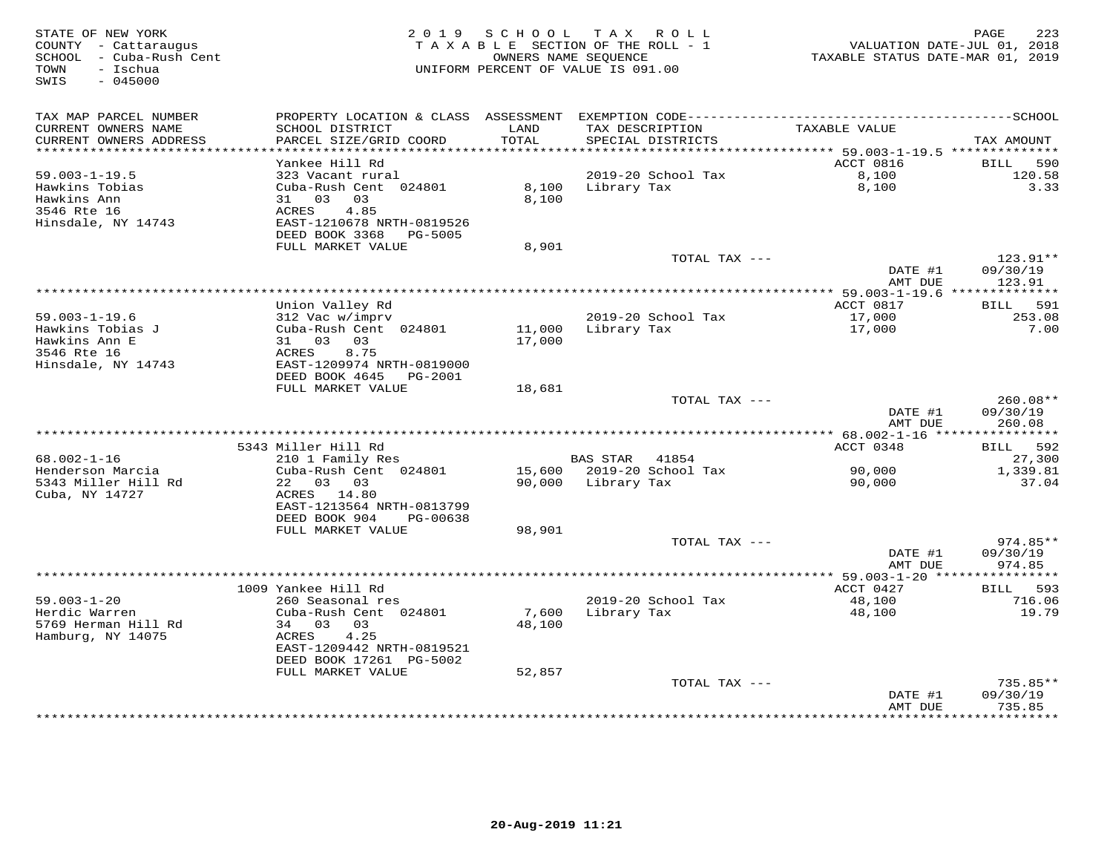| STATE OF NEW YORK<br>COUNTY - Cattaraugus<br>SCHOOL - Cuba-Rush Cent<br>- Ischua<br>TOWN<br>SWIS<br>$-045000$ |                                                | 2019 SCHOOL   | T A X<br>R O L L<br>TAXABLE SECTION OF THE ROLL - 1<br>OWNERS NAME SEOUENCE<br>UNIFORM PERCENT OF VALUE IS 091.00 | VALUATION DATE-JUL 01, 2018<br>TAXABLE STATUS DATE-MAR 01, 2019 | 223<br>PAGE               |
|---------------------------------------------------------------------------------------------------------------|------------------------------------------------|---------------|-------------------------------------------------------------------------------------------------------------------|-----------------------------------------------------------------|---------------------------|
| TAX MAP PARCEL NUMBER                                                                                         |                                                |               |                                                                                                                   |                                                                 |                           |
| CURRENT OWNERS NAME<br>CURRENT OWNERS ADDRESS                                                                 | SCHOOL DISTRICT<br>PARCEL SIZE/GRID COORD      | LAND<br>TOTAL | TAX DESCRIPTION<br>SPECIAL DISTRICTS                                                                              | TAXABLE VALUE                                                   | TAX AMOUNT                |
| ************************                                                                                      | Yankee Hill Rd                                 |               |                                                                                                                   | ACCT 0816                                                       | 590<br>BILL               |
| $59.003 - 1 - 19.5$                                                                                           | 323 Vacant rural                               |               | 2019-20 School Tax                                                                                                | 8,100                                                           | 120.58                    |
| Hawkins Tobias                                                                                                | Cuba-Rush Cent 024801                          | 8,100         | Library Tax                                                                                                       | 8,100                                                           | 3.33                      |
| Hawkins Ann                                                                                                   | 31 03<br>03                                    | 8,100         |                                                                                                                   |                                                                 |                           |
| 3546 Rte 16                                                                                                   | 4.85<br>ACRES                                  |               |                                                                                                                   |                                                                 |                           |
| Hinsdale, NY 14743                                                                                            | EAST-1210678 NRTH-0819526                      |               |                                                                                                                   |                                                                 |                           |
|                                                                                                               | DEED BOOK 3368<br>PG-5005<br>FULL MARKET VALUE | 8,901         |                                                                                                                   |                                                                 |                           |
|                                                                                                               |                                                |               | TOTAL TAX ---                                                                                                     |                                                                 | 123.91**                  |
|                                                                                                               |                                                |               |                                                                                                                   | DATE #1                                                         | 09/30/19                  |
|                                                                                                               |                                                |               |                                                                                                                   | AMT DUE                                                         | 123.91                    |
|                                                                                                               |                                                |               | ************************************                                                                              | *********** 59.003-1-19.6 ***************                       |                           |
|                                                                                                               | Union Valley Rd                                |               |                                                                                                                   | ACCT 0817                                                       | 591<br><b>BILL</b>        |
| $59.003 - 1 - 19.6$<br>Hawkins Tobias J                                                                       | 312 Vac w/imprv<br>Cuba-Rush Cent 024801       | 11,000        | 2019-20 School Tax<br>Library Tax                                                                                 | 17,000<br>17,000                                                | 253.08<br>7.00            |
| Hawkins Ann E                                                                                                 | 31 03 03                                       | 17,000        |                                                                                                                   |                                                                 |                           |
| 3546 Rte 16                                                                                                   | ACRES<br>8.75                                  |               |                                                                                                                   |                                                                 |                           |
| Hinsdale, NY 14743                                                                                            | EAST-1209974 NRTH-0819000                      |               |                                                                                                                   |                                                                 |                           |
|                                                                                                               | DEED BOOK 4645<br>PG-2001                      |               |                                                                                                                   |                                                                 |                           |
|                                                                                                               | FULL MARKET VALUE                              | 18,681        | TOTAL TAX ---                                                                                                     |                                                                 | $260.08**$                |
|                                                                                                               |                                                |               |                                                                                                                   | DATE #1                                                         | 09/30/19                  |
|                                                                                                               |                                                |               |                                                                                                                   | AMT DUE                                                         | 260.08                    |
|                                                                                                               |                                                |               |                                                                                                                   | **** 68.002-1-16 *****************                              |                           |
|                                                                                                               | 5343 Miller Hill Rd                            |               |                                                                                                                   | ACCT 0348                                                       | BILL 592                  |
| 68.002-1-16<br>Henderson Marcia                                                                               | 210 1 Family Res<br>Cuba-Rush Cent 024801      |               | BAS STAR 41854<br>15,600 2019-20 School Tax                                                                       | 90,000                                                          | 27,300<br>1,339.81        |
| 5343 Miller Hill Rd                                                                                           | 22 03 03                                       | 90,000        | Library Tax                                                                                                       | 90,000                                                          | 37.04                     |
| Cuba, NY 14727                                                                                                | ACRES 14.80                                    |               |                                                                                                                   |                                                                 |                           |
|                                                                                                               | EAST-1213564 NRTH-0813799                      |               |                                                                                                                   |                                                                 |                           |
|                                                                                                               | DEED BOOK 904<br>PG-00638                      |               |                                                                                                                   |                                                                 |                           |
|                                                                                                               | FULL MARKET VALUE                              | 98,901        |                                                                                                                   |                                                                 |                           |
|                                                                                                               |                                                |               | TOTAL TAX ---                                                                                                     | DATE #1                                                         | 974.85**<br>09/30/19      |
|                                                                                                               |                                                |               |                                                                                                                   | AMT DUE                                                         | 974.85                    |
|                                                                                                               |                                                |               |                                                                                                                   |                                                                 |                           |
|                                                                                                               | 1009 Yankee Hill Rd                            |               |                                                                                                                   | ACCT 0427                                                       | 593<br>BILL               |
| $59.003 - 1 - 20$                                                                                             | 260 Seasonal res                               |               | 2019-20 School Tax                                                                                                | 48,100                                                          | 716.06                    |
| Herdic Warren                                                                                                 | Cuba-Rush Cent 024801                          | 7,600         | Library Tax                                                                                                       | 48,100                                                          | 19.79                     |
| 5769 Herman Hill Rd<br>Hamburg, NY 14075                                                                      | 34 03<br>03<br>4.25<br>ACRES                   | 48,100        |                                                                                                                   |                                                                 |                           |
|                                                                                                               | EAST-1209442 NRTH-0819521                      |               |                                                                                                                   |                                                                 |                           |
|                                                                                                               | DEED BOOK 17261 PG-5002                        |               |                                                                                                                   |                                                                 |                           |
|                                                                                                               | FULL MARKET VALUE                              | 52,857        |                                                                                                                   |                                                                 |                           |
|                                                                                                               |                                                |               | TOTAL TAX ---                                                                                                     |                                                                 | $735.85**$                |
|                                                                                                               |                                                |               |                                                                                                                   | DATE #1                                                         | 09/30/19                  |
|                                                                                                               |                                                |               |                                                                                                                   | AMT DUE                                                         | 735.85<br>* * * * * * * * |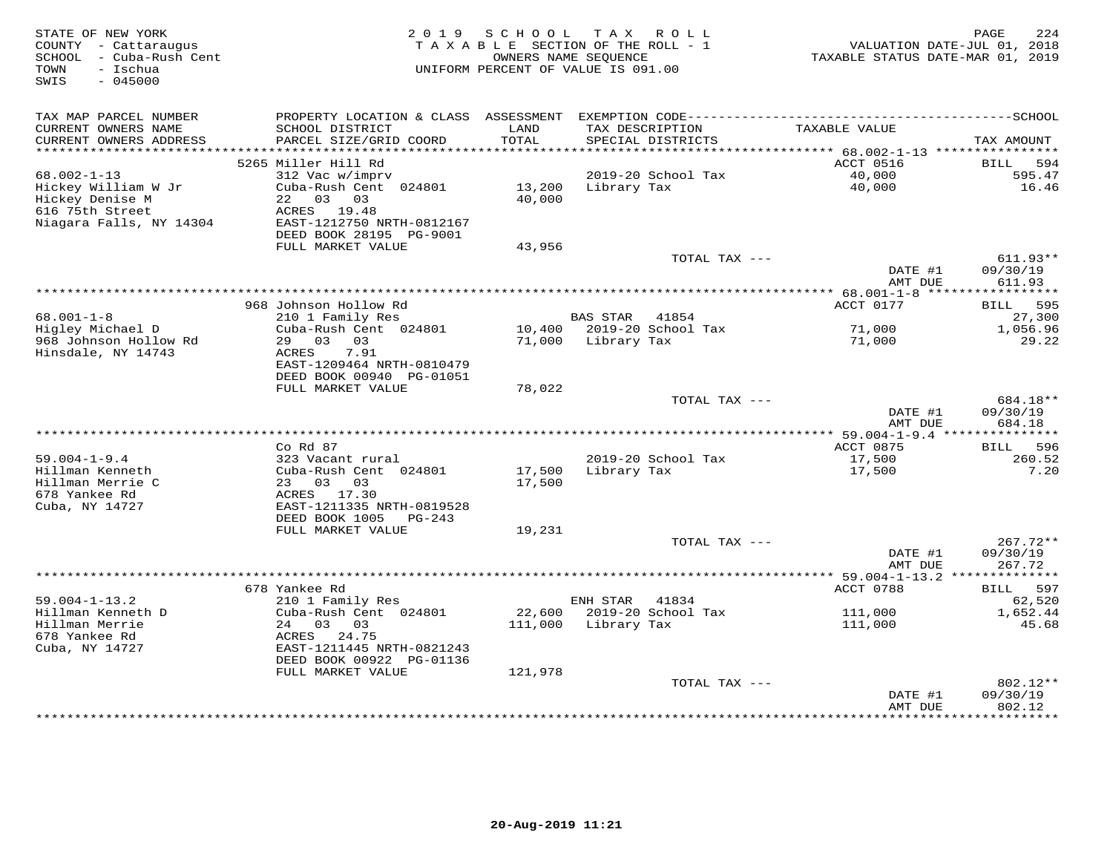| STATE OF NEW YORK<br>COUNTY - Cattaraugus<br>SCHOOL - Cuba-Rush Cent     | 2 0 1 9                                                              | SCHOOL           | T A X<br>R O L L<br>TAXABLE SECTION OF THE ROLL - 1<br>OWNERS NAME SEQUENCE | VALUATION DATE-JUL 01, 2018<br>TAXABLE STATUS DATE-MAR 01, 2019 | 224<br>PAGE                               |
|--------------------------------------------------------------------------|----------------------------------------------------------------------|------------------|-----------------------------------------------------------------------------|-----------------------------------------------------------------|-------------------------------------------|
| - Ischua<br>TOWN<br>SWIS<br>$-045000$                                    |                                                                      |                  | UNIFORM PERCENT OF VALUE IS 091.00                                          |                                                                 |                                           |
| TAX MAP PARCEL NUMBER                                                    |                                                                      |                  |                                                                             |                                                                 |                                           |
| CURRENT OWNERS NAME<br>CURRENT OWNERS ADDRESS<br>*********************** | SCHOOL DISTRICT<br>PARCEL SIZE/GRID COORD                            | LAND<br>TOTAL    | TAX DESCRIPTION<br>SPECIAL DISTRICTS                                        | TAXABLE VALUE                                                   | TAX AMOUNT                                |
|                                                                          | 5265 Miller Hill Rd                                                  |                  |                                                                             | ACCT 0516                                                       | <b>BILL</b><br>594                        |
| $68.002 - 1 - 13$                                                        | 312 Vac w/imprv                                                      |                  | 2019-20 School Tax                                                          | 40,000                                                          | 595.47                                    |
| Hickey William W Jr<br>Hickey Denise M<br>616 75th Street                | Cuba-Rush Cent 024801<br>22 03 03<br>ACRES 19.48                     | 13,200<br>40,000 | Library Tax                                                                 | 40,000                                                          | 16.46                                     |
| Niagara Falls, NY 14304                                                  | EAST-1212750 NRTH-0812167<br>DEED BOOK 28195 PG-9001                 |                  |                                                                             |                                                                 |                                           |
|                                                                          | FULL MARKET VALUE                                                    | 43,956           | TOTAL TAX ---                                                               |                                                                 | $611.93**$                                |
|                                                                          |                                                                      |                  |                                                                             | DATE #1<br>AMT DUE                                              | 09/30/19<br>611.93                        |
|                                                                          |                                                                      |                  |                                                                             | *********** 68.001-1-8 *****                                    | **********                                |
|                                                                          | 968 Johnson Hollow Rd                                                |                  |                                                                             | ACCT 0177                                                       | 595<br>BILL                               |
| $68.001 - 1 - 8$<br>Higley Michael D                                     | 210 1 Family Res<br>Cuba-Rush Cent 024801                            |                  | <b>BAS STAR</b><br>41854<br>10,400 2019-20 School Tax                       | 71,000                                                          | 27,300<br>1,056.96                        |
| 968 Johnson Hollow Rd                                                    | 29 03 03                                                             |                  | 71,000 Library Tax                                                          | 71,000                                                          | 29.22                                     |
| Hinsdale, NY 14743                                                       | 7.91<br>ACRES<br>EAST-1209464 NRTH-0810479                           |                  |                                                                             |                                                                 |                                           |
|                                                                          | DEED BOOK 00940 PG-01051<br>FULL MARKET VALUE                        | 78,022           |                                                                             |                                                                 |                                           |
|                                                                          |                                                                      |                  | TOTAL TAX ---                                                               |                                                                 | 684.18**                                  |
|                                                                          |                                                                      |                  |                                                                             | DATE #1<br>AMT DUE                                              | 09/30/19<br>684.18                        |
|                                                                          | $Co$ $Rd$ $87$                                                       |                  |                                                                             | ACCT 0875                                                       | 596<br>BILL                               |
| $59.004 - 1 - 9.4$                                                       | 323 Vacant rural                                                     |                  | 2019-20 School Tax                                                          | 17,500                                                          | 260.52                                    |
| Hillman Kenneth                                                          | Cuba-Rush Cent 024801                                                | 17,500           | Library Tax                                                                 | 17,500                                                          | 7.20                                      |
| Hillman Merrie C                                                         | 23 03 03                                                             | 17,500           |                                                                             |                                                                 |                                           |
| 678 Yankee Rd<br>Cuba, NY 14727                                          | ACRES 17.30<br>EAST-1211335 NRTH-0819528<br>DEED BOOK 1005<br>PG-243 |                  |                                                                             |                                                                 |                                           |
|                                                                          | FULL MARKET VALUE                                                    | 19,231           |                                                                             |                                                                 |                                           |
|                                                                          |                                                                      |                  | TOTAL TAX ---                                                               |                                                                 | $267.72**$                                |
|                                                                          |                                                                      |                  |                                                                             | DATE #1                                                         | 09/30/19                                  |
|                                                                          |                                                                      |                  |                                                                             | AMT DUE                                                         | 267.72                                    |
|                                                                          | 678 Yankee Rd                                                        |                  |                                                                             | ACCT 0788                                                       | 597<br>BILL                               |
| $59.004 - 1 - 13.2$                                                      | 210 1 Family Res                                                     |                  | ENH STAR<br>41834                                                           |                                                                 | 62,520                                    |
| Hillman Kenneth D                                                        | Cuba-Rush Cent 024801                                                | 22,600           | 2019-20 School Tax                                                          | 111,000                                                         | 1,652.44                                  |
| Hillman Merrie                                                           | 24 03 03                                                             | 111,000          | Library Tax                                                                 | 111,000                                                         | 45.68                                     |
| 678 Yankee Rd<br>Cuba, NY 14727                                          | 24.75<br>ACRES<br>EAST-1211445 NRTH-0821243                          |                  |                                                                             |                                                                 |                                           |
|                                                                          | DEED BOOK 00922 PG-01136                                             |                  |                                                                             |                                                                 |                                           |
|                                                                          | FULL MARKET VALUE                                                    | 121,978          |                                                                             |                                                                 |                                           |
|                                                                          |                                                                      |                  | TOTAL TAX ---                                                               |                                                                 | 802.12**                                  |
|                                                                          |                                                                      |                  |                                                                             | DATE #1<br>AMT DUE<br>********                                  | 09/30/19<br>802.12<br>* * * * * * * * * * |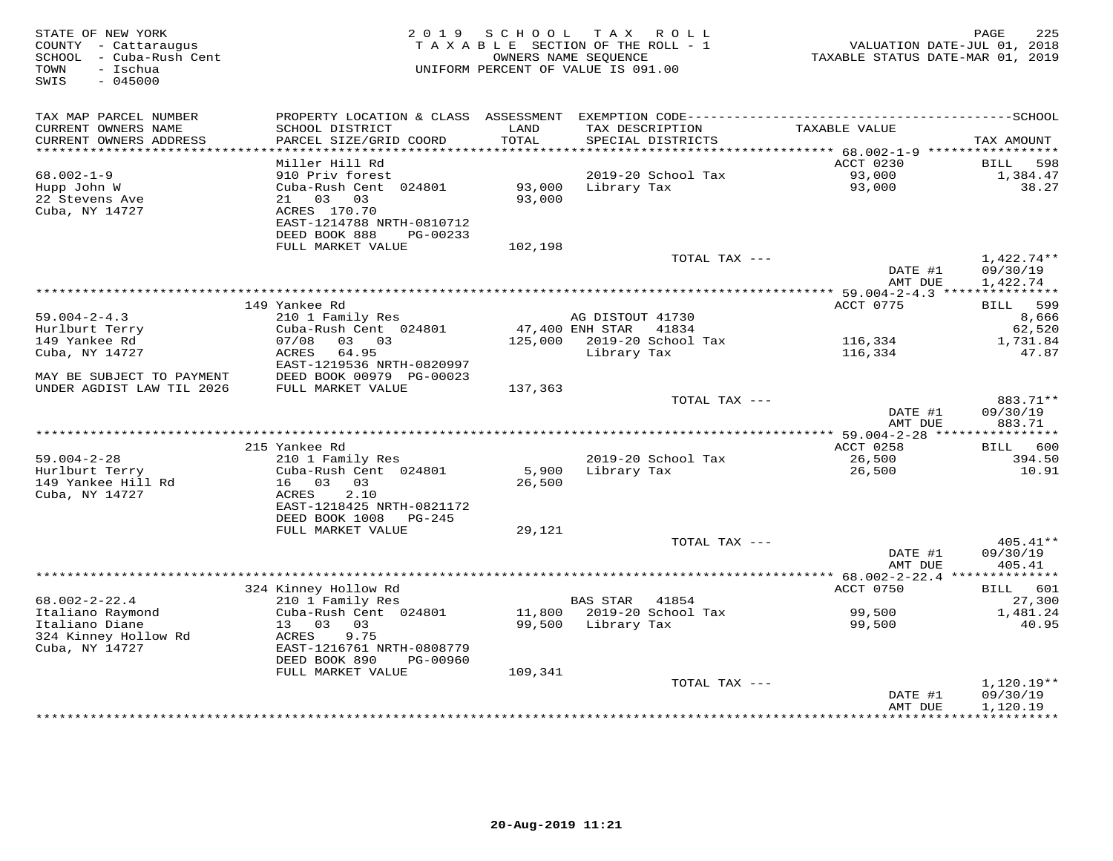| TAX MAP PARCEL NUMBER<br>CURRENT OWNERS NAME<br>SCHOOL DISTRICT<br>LAND<br>TAX DESCRIPTION<br>TAXABLE VALUE<br>CURRENT OWNERS ADDRESS<br>PARCEL SIZE/GRID COORD<br>TOTAL<br>SPECIAL DISTRICTS<br>TAX AMOUNT<br>ACCT 0230<br>Miller Hill Rd<br>598<br>BILL<br>2019-20 School Tax<br>93,000<br>$68.002 - 1 - 9$<br>910 Priv forest<br>1,384.47<br>93,000<br>93,000<br>38.27<br>Hupp John W<br>Cuba-Rush Cent 024801<br>Library Tax<br>93,000<br>22 Stevens Ave<br>21 03 03<br>Cuba, NY 14727<br>ACRES 170.70<br>EAST-1214788 NRTH-0810712<br>DEED BOOK 888<br>PG-00233<br>FULL MARKET VALUE<br>102,198<br>TOTAL TAX ---<br>$1,422.74**$<br>09/30/19<br>DATE #1<br>AMT DUE<br>1,422.74<br>ACCT 0775<br>149 Yankee Rd<br>BILL 599<br>$59.004 - 2 - 4.3$<br>210 1 Family Res<br>AG DISTOUT 41730<br>8,666<br>Cuba-Rush Cent 024801<br>47,400 ENH STAR<br>41834<br>Hurlburt Terry<br>62,520<br>149 Yankee Rd<br>07/08<br>03 03<br>125,000 2019-20 School Tax<br>116,334<br>1,731.84<br>Cuba, NY 14727<br>ACRES<br>64.95<br>Library Tax<br>116,334<br>47.87<br>EAST-1219536 NRTH-0820997<br>MAY BE SUBJECT TO PAYMENT<br>DEED BOOK 00979 PG-00023<br>UNDER AGDIST LAW TIL 2026<br>FULL MARKET VALUE<br>137,363<br>883.71**<br>TOTAL TAX ---<br>09/30/19<br>DATE #1<br>883.71<br>AMT DUE<br>ACCT 0258<br>215 Yankee Rd<br>BILL 600<br>210 1 Family Res<br>$59.004 - 2 - 28$<br>2019-20 School Tax<br>26,500<br>394.50<br>Hurlburt Terry<br>Cuba-Rush Cent 024801<br>5,900<br>Library Tax<br>26,500<br>10.91<br>149 Yankee Hill Rd<br>16 03 03<br>26,500<br>2.10<br>Cuba, NY 14727<br>ACRES<br>EAST-1218425 NRTH-0821172<br>DEED BOOK 1008<br>PG-245<br>FULL MARKET VALUE<br>29,121<br>TOTAL TAX ---<br>405.41**<br>DATE #1<br>09/30/19<br>AMT DUE<br>405.41<br>324 Kinney Hollow Rd<br>ACCT 0750<br>601<br>BILL | STATE OF NEW YORK<br>COUNTY - Cattaraugus<br>SCHOOL - Cuba-Rush Cent<br>- Ischua<br>TOWN<br>SWIS<br>$-045000$ |                  | 2019 SCHOOL | TAX ROLL<br>TAXABLE SECTION OF THE ROLL - 1<br>OWNERS NAME SEQUENCE<br>UNIFORM PERCENT OF VALUE IS 091.00 | TAXABLE STATUS DATE-MAR 01, 2019 | PAGE<br>225<br>VALUATION DATE-JUL 01, 2018 |
|---------------------------------------------------------------------------------------------------------------------------------------------------------------------------------------------------------------------------------------------------------------------------------------------------------------------------------------------------------------------------------------------------------------------------------------------------------------------------------------------------------------------------------------------------------------------------------------------------------------------------------------------------------------------------------------------------------------------------------------------------------------------------------------------------------------------------------------------------------------------------------------------------------------------------------------------------------------------------------------------------------------------------------------------------------------------------------------------------------------------------------------------------------------------------------------------------------------------------------------------------------------------------------------------------------------------------------------------------------------------------------------------------------------------------------------------------------------------------------------------------------------------------------------------------------------------------------------------------------------------------------------------------------------------------------------------------------------------------------------------------------------------------------------------------------|---------------------------------------------------------------------------------------------------------------|------------------|-------------|-----------------------------------------------------------------------------------------------------------|----------------------------------|--------------------------------------------|
|                                                                                                                                                                                                                                                                                                                                                                                                                                                                                                                                                                                                                                                                                                                                                                                                                                                                                                                                                                                                                                                                                                                                                                                                                                                                                                                                                                                                                                                                                                                                                                                                                                                                                                                                                                                                         |                                                                                                               |                  |             |                                                                                                           |                                  |                                            |
|                                                                                                                                                                                                                                                                                                                                                                                                                                                                                                                                                                                                                                                                                                                                                                                                                                                                                                                                                                                                                                                                                                                                                                                                                                                                                                                                                                                                                                                                                                                                                                                                                                                                                                                                                                                                         |                                                                                                               |                  |             |                                                                                                           |                                  |                                            |
|                                                                                                                                                                                                                                                                                                                                                                                                                                                                                                                                                                                                                                                                                                                                                                                                                                                                                                                                                                                                                                                                                                                                                                                                                                                                                                                                                                                                                                                                                                                                                                                                                                                                                                                                                                                                         |                                                                                                               |                  |             |                                                                                                           |                                  |                                            |
|                                                                                                                                                                                                                                                                                                                                                                                                                                                                                                                                                                                                                                                                                                                                                                                                                                                                                                                                                                                                                                                                                                                                                                                                                                                                                                                                                                                                                                                                                                                                                                                                                                                                                                                                                                                                         |                                                                                                               |                  |             |                                                                                                           |                                  |                                            |
|                                                                                                                                                                                                                                                                                                                                                                                                                                                                                                                                                                                                                                                                                                                                                                                                                                                                                                                                                                                                                                                                                                                                                                                                                                                                                                                                                                                                                                                                                                                                                                                                                                                                                                                                                                                                         |                                                                                                               |                  |             |                                                                                                           |                                  |                                            |
|                                                                                                                                                                                                                                                                                                                                                                                                                                                                                                                                                                                                                                                                                                                                                                                                                                                                                                                                                                                                                                                                                                                                                                                                                                                                                                                                                                                                                                                                                                                                                                                                                                                                                                                                                                                                         |                                                                                                               |                  |             |                                                                                                           |                                  |                                            |
|                                                                                                                                                                                                                                                                                                                                                                                                                                                                                                                                                                                                                                                                                                                                                                                                                                                                                                                                                                                                                                                                                                                                                                                                                                                                                                                                                                                                                                                                                                                                                                                                                                                                                                                                                                                                         |                                                                                                               |                  |             |                                                                                                           |                                  |                                            |
|                                                                                                                                                                                                                                                                                                                                                                                                                                                                                                                                                                                                                                                                                                                                                                                                                                                                                                                                                                                                                                                                                                                                                                                                                                                                                                                                                                                                                                                                                                                                                                                                                                                                                                                                                                                                         |                                                                                                               |                  |             |                                                                                                           |                                  |                                            |
|                                                                                                                                                                                                                                                                                                                                                                                                                                                                                                                                                                                                                                                                                                                                                                                                                                                                                                                                                                                                                                                                                                                                                                                                                                                                                                                                                                                                                                                                                                                                                                                                                                                                                                                                                                                                         |                                                                                                               |                  |             |                                                                                                           |                                  |                                            |
|                                                                                                                                                                                                                                                                                                                                                                                                                                                                                                                                                                                                                                                                                                                                                                                                                                                                                                                                                                                                                                                                                                                                                                                                                                                                                                                                                                                                                                                                                                                                                                                                                                                                                                                                                                                                         |                                                                                                               |                  |             |                                                                                                           |                                  |                                            |
|                                                                                                                                                                                                                                                                                                                                                                                                                                                                                                                                                                                                                                                                                                                                                                                                                                                                                                                                                                                                                                                                                                                                                                                                                                                                                                                                                                                                                                                                                                                                                                                                                                                                                                                                                                                                         |                                                                                                               |                  |             |                                                                                                           |                                  |                                            |
|                                                                                                                                                                                                                                                                                                                                                                                                                                                                                                                                                                                                                                                                                                                                                                                                                                                                                                                                                                                                                                                                                                                                                                                                                                                                                                                                                                                                                                                                                                                                                                                                                                                                                                                                                                                                         |                                                                                                               |                  |             |                                                                                                           |                                  |                                            |
|                                                                                                                                                                                                                                                                                                                                                                                                                                                                                                                                                                                                                                                                                                                                                                                                                                                                                                                                                                                                                                                                                                                                                                                                                                                                                                                                                                                                                                                                                                                                                                                                                                                                                                                                                                                                         |                                                                                                               |                  |             |                                                                                                           |                                  |                                            |
|                                                                                                                                                                                                                                                                                                                                                                                                                                                                                                                                                                                                                                                                                                                                                                                                                                                                                                                                                                                                                                                                                                                                                                                                                                                                                                                                                                                                                                                                                                                                                                                                                                                                                                                                                                                                         |                                                                                                               |                  |             |                                                                                                           |                                  |                                            |
|                                                                                                                                                                                                                                                                                                                                                                                                                                                                                                                                                                                                                                                                                                                                                                                                                                                                                                                                                                                                                                                                                                                                                                                                                                                                                                                                                                                                                                                                                                                                                                                                                                                                                                                                                                                                         |                                                                                                               |                  |             |                                                                                                           |                                  |                                            |
|                                                                                                                                                                                                                                                                                                                                                                                                                                                                                                                                                                                                                                                                                                                                                                                                                                                                                                                                                                                                                                                                                                                                                                                                                                                                                                                                                                                                                                                                                                                                                                                                                                                                                                                                                                                                         |                                                                                                               |                  |             |                                                                                                           |                                  |                                            |
|                                                                                                                                                                                                                                                                                                                                                                                                                                                                                                                                                                                                                                                                                                                                                                                                                                                                                                                                                                                                                                                                                                                                                                                                                                                                                                                                                                                                                                                                                                                                                                                                                                                                                                                                                                                                         |                                                                                                               |                  |             |                                                                                                           |                                  |                                            |
|                                                                                                                                                                                                                                                                                                                                                                                                                                                                                                                                                                                                                                                                                                                                                                                                                                                                                                                                                                                                                                                                                                                                                                                                                                                                                                                                                                                                                                                                                                                                                                                                                                                                                                                                                                                                         |                                                                                                               |                  |             |                                                                                                           |                                  |                                            |
|                                                                                                                                                                                                                                                                                                                                                                                                                                                                                                                                                                                                                                                                                                                                                                                                                                                                                                                                                                                                                                                                                                                                                                                                                                                                                                                                                                                                                                                                                                                                                                                                                                                                                                                                                                                                         |                                                                                                               |                  |             |                                                                                                           |                                  |                                            |
|                                                                                                                                                                                                                                                                                                                                                                                                                                                                                                                                                                                                                                                                                                                                                                                                                                                                                                                                                                                                                                                                                                                                                                                                                                                                                                                                                                                                                                                                                                                                                                                                                                                                                                                                                                                                         |                                                                                                               |                  |             |                                                                                                           |                                  |                                            |
|                                                                                                                                                                                                                                                                                                                                                                                                                                                                                                                                                                                                                                                                                                                                                                                                                                                                                                                                                                                                                                                                                                                                                                                                                                                                                                                                                                                                                                                                                                                                                                                                                                                                                                                                                                                                         |                                                                                                               |                  |             |                                                                                                           |                                  |                                            |
|                                                                                                                                                                                                                                                                                                                                                                                                                                                                                                                                                                                                                                                                                                                                                                                                                                                                                                                                                                                                                                                                                                                                                                                                                                                                                                                                                                                                                                                                                                                                                                                                                                                                                                                                                                                                         |                                                                                                               |                  |             |                                                                                                           |                                  |                                            |
|                                                                                                                                                                                                                                                                                                                                                                                                                                                                                                                                                                                                                                                                                                                                                                                                                                                                                                                                                                                                                                                                                                                                                                                                                                                                                                                                                                                                                                                                                                                                                                                                                                                                                                                                                                                                         |                                                                                                               |                  |             |                                                                                                           |                                  |                                            |
|                                                                                                                                                                                                                                                                                                                                                                                                                                                                                                                                                                                                                                                                                                                                                                                                                                                                                                                                                                                                                                                                                                                                                                                                                                                                                                                                                                                                                                                                                                                                                                                                                                                                                                                                                                                                         |                                                                                                               |                  |             |                                                                                                           |                                  |                                            |
|                                                                                                                                                                                                                                                                                                                                                                                                                                                                                                                                                                                                                                                                                                                                                                                                                                                                                                                                                                                                                                                                                                                                                                                                                                                                                                                                                                                                                                                                                                                                                                                                                                                                                                                                                                                                         |                                                                                                               |                  |             |                                                                                                           |                                  |                                            |
|                                                                                                                                                                                                                                                                                                                                                                                                                                                                                                                                                                                                                                                                                                                                                                                                                                                                                                                                                                                                                                                                                                                                                                                                                                                                                                                                                                                                                                                                                                                                                                                                                                                                                                                                                                                                         |                                                                                                               |                  |             |                                                                                                           |                                  |                                            |
|                                                                                                                                                                                                                                                                                                                                                                                                                                                                                                                                                                                                                                                                                                                                                                                                                                                                                                                                                                                                                                                                                                                                                                                                                                                                                                                                                                                                                                                                                                                                                                                                                                                                                                                                                                                                         |                                                                                                               |                  |             |                                                                                                           |                                  |                                            |
|                                                                                                                                                                                                                                                                                                                                                                                                                                                                                                                                                                                                                                                                                                                                                                                                                                                                                                                                                                                                                                                                                                                                                                                                                                                                                                                                                                                                                                                                                                                                                                                                                                                                                                                                                                                                         |                                                                                                               |                  |             |                                                                                                           |                                  |                                            |
|                                                                                                                                                                                                                                                                                                                                                                                                                                                                                                                                                                                                                                                                                                                                                                                                                                                                                                                                                                                                                                                                                                                                                                                                                                                                                                                                                                                                                                                                                                                                                                                                                                                                                                                                                                                                         |                                                                                                               |                  |             |                                                                                                           |                                  |                                            |
|                                                                                                                                                                                                                                                                                                                                                                                                                                                                                                                                                                                                                                                                                                                                                                                                                                                                                                                                                                                                                                                                                                                                                                                                                                                                                                                                                                                                                                                                                                                                                                                                                                                                                                                                                                                                         |                                                                                                               |                  |             |                                                                                                           |                                  |                                            |
|                                                                                                                                                                                                                                                                                                                                                                                                                                                                                                                                                                                                                                                                                                                                                                                                                                                                                                                                                                                                                                                                                                                                                                                                                                                                                                                                                                                                                                                                                                                                                                                                                                                                                                                                                                                                         |                                                                                                               |                  |             |                                                                                                           |                                  |                                            |
|                                                                                                                                                                                                                                                                                                                                                                                                                                                                                                                                                                                                                                                                                                                                                                                                                                                                                                                                                                                                                                                                                                                                                                                                                                                                                                                                                                                                                                                                                                                                                                                                                                                                                                                                                                                                         |                                                                                                               |                  |             |                                                                                                           |                                  |                                            |
|                                                                                                                                                                                                                                                                                                                                                                                                                                                                                                                                                                                                                                                                                                                                                                                                                                                                                                                                                                                                                                                                                                                                                                                                                                                                                                                                                                                                                                                                                                                                                                                                                                                                                                                                                                                                         |                                                                                                               |                  |             |                                                                                                           |                                  |                                            |
|                                                                                                                                                                                                                                                                                                                                                                                                                                                                                                                                                                                                                                                                                                                                                                                                                                                                                                                                                                                                                                                                                                                                                                                                                                                                                                                                                                                                                                                                                                                                                                                                                                                                                                                                                                                                         |                                                                                                               |                  |             |                                                                                                           |                                  |                                            |
|                                                                                                                                                                                                                                                                                                                                                                                                                                                                                                                                                                                                                                                                                                                                                                                                                                                                                                                                                                                                                                                                                                                                                                                                                                                                                                                                                                                                                                                                                                                                                                                                                                                                                                                                                                                                         |                                                                                                               |                  |             |                                                                                                           |                                  |                                            |
|                                                                                                                                                                                                                                                                                                                                                                                                                                                                                                                                                                                                                                                                                                                                                                                                                                                                                                                                                                                                                                                                                                                                                                                                                                                                                                                                                                                                                                                                                                                                                                                                                                                                                                                                                                                                         |                                                                                                               |                  |             |                                                                                                           |                                  |                                            |
|                                                                                                                                                                                                                                                                                                                                                                                                                                                                                                                                                                                                                                                                                                                                                                                                                                                                                                                                                                                                                                                                                                                                                                                                                                                                                                                                                                                                                                                                                                                                                                                                                                                                                                                                                                                                         | $68.002 - 2 - 22.4$                                                                                           | 210 1 Family Res |             | <b>BAS STAR</b><br>41854                                                                                  |                                  | 27,300                                     |
| 2019-20 School Tax<br>Italiano Raymond<br>Cuba-Rush Cent 024801<br>11,800<br>99,500<br>1,481.24                                                                                                                                                                                                                                                                                                                                                                                                                                                                                                                                                                                                                                                                                                                                                                                                                                                                                                                                                                                                                                                                                                                                                                                                                                                                                                                                                                                                                                                                                                                                                                                                                                                                                                         |                                                                                                               |                  |             |                                                                                                           |                                  |                                            |
| 40.95<br>Italiano Diane<br>13 03 03<br>99,500<br>Library Tax<br>99,500<br>ACRES<br>9.75                                                                                                                                                                                                                                                                                                                                                                                                                                                                                                                                                                                                                                                                                                                                                                                                                                                                                                                                                                                                                                                                                                                                                                                                                                                                                                                                                                                                                                                                                                                                                                                                                                                                                                                 |                                                                                                               |                  |             |                                                                                                           |                                  |                                            |
| 324 Kinney Hollow Rd<br>Cuba, NY 14727<br>EAST-1216761 NRTH-0808779                                                                                                                                                                                                                                                                                                                                                                                                                                                                                                                                                                                                                                                                                                                                                                                                                                                                                                                                                                                                                                                                                                                                                                                                                                                                                                                                                                                                                                                                                                                                                                                                                                                                                                                                     |                                                                                                               |                  |             |                                                                                                           |                                  |                                            |
| DEED BOOK 890<br>PG-00960                                                                                                                                                                                                                                                                                                                                                                                                                                                                                                                                                                                                                                                                                                                                                                                                                                                                                                                                                                                                                                                                                                                                                                                                                                                                                                                                                                                                                                                                                                                                                                                                                                                                                                                                                                               |                                                                                                               |                  |             |                                                                                                           |                                  |                                            |
| FULL MARKET VALUE<br>109,341                                                                                                                                                                                                                                                                                                                                                                                                                                                                                                                                                                                                                                                                                                                                                                                                                                                                                                                                                                                                                                                                                                                                                                                                                                                                                                                                                                                                                                                                                                                                                                                                                                                                                                                                                                            |                                                                                                               |                  |             |                                                                                                           |                                  |                                            |
| $1,120.19**$<br>TOTAL TAX ---                                                                                                                                                                                                                                                                                                                                                                                                                                                                                                                                                                                                                                                                                                                                                                                                                                                                                                                                                                                                                                                                                                                                                                                                                                                                                                                                                                                                                                                                                                                                                                                                                                                                                                                                                                           |                                                                                                               |                  |             |                                                                                                           |                                  |                                            |
| DATE #1<br>09/30/19                                                                                                                                                                                                                                                                                                                                                                                                                                                                                                                                                                                                                                                                                                                                                                                                                                                                                                                                                                                                                                                                                                                                                                                                                                                                                                                                                                                                                                                                                                                                                                                                                                                                                                                                                                                     |                                                                                                               |                  |             |                                                                                                           |                                  |                                            |
| AMT DUE<br>1,120.19<br>****************************<br>***************************                                                                                                                                                                                                                                                                                                                                                                                                                                                                                                                                                                                                                                                                                                                                                                                                                                                                                                                                                                                                                                                                                                                                                                                                                                                                                                                                                                                                                                                                                                                                                                                                                                                                                                                      |                                                                                                               |                  |             |                                                                                                           |                                  |                                            |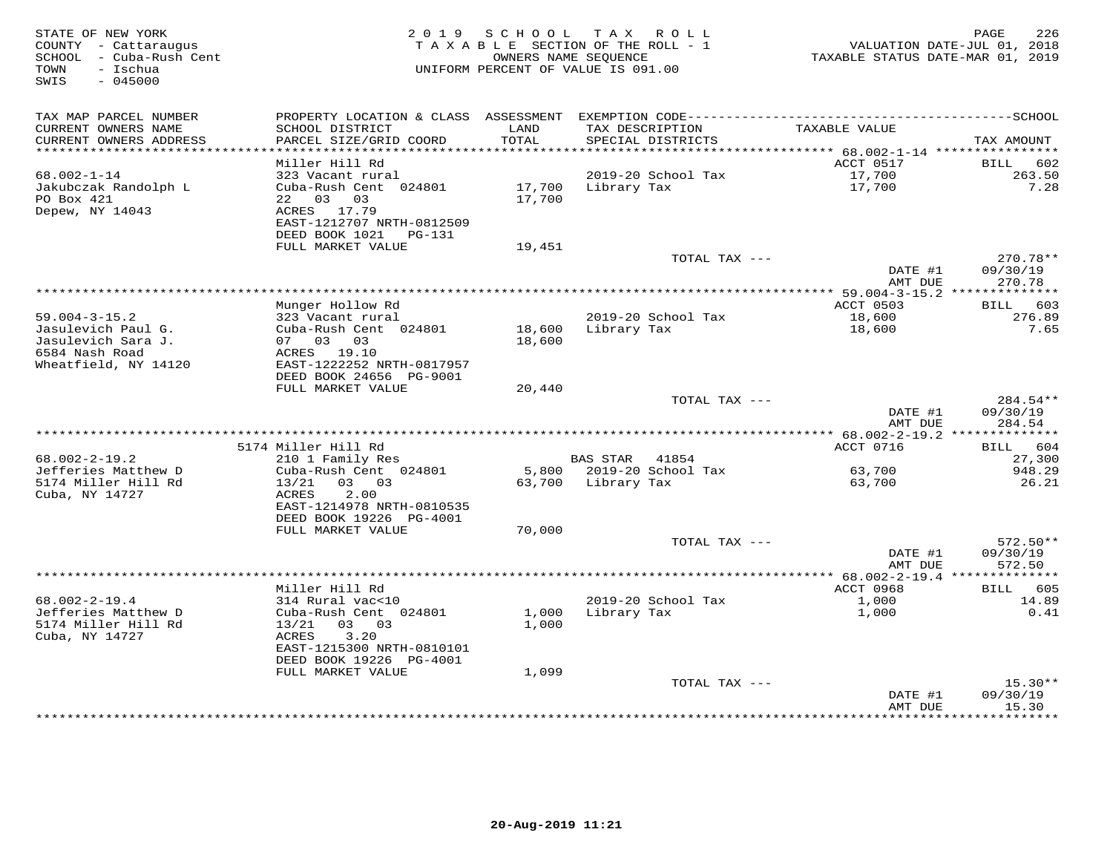| STATE OF NEW YORK<br>COUNTY - Cattaraugus<br>SCHOOL - Cuba-Rush Cent<br>- Ischua<br>TOWN<br>SWIS<br>$-045000$ | 2 0 1 9                                              | SCHOOL           | T A X<br>R O L L<br>TAXABLE SECTION OF THE ROLL - 1<br>OWNERS NAME SEQUENCE<br>UNIFORM PERCENT OF VALUE IS 091.00 | TAXABLE STATUS DATE-MAR 01, 2019  | 226<br>PAGE<br>VALUATION DATE-JUL 01, 2018 |
|---------------------------------------------------------------------------------------------------------------|------------------------------------------------------|------------------|-------------------------------------------------------------------------------------------------------------------|-----------------------------------|--------------------------------------------|
| TAX MAP PARCEL NUMBER                                                                                         | PROPERTY LOCATION & CLASS ASSESSMENT                 |                  |                                                                                                                   |                                   |                                            |
| CURRENT OWNERS NAME<br>CURRENT OWNERS ADDRESS                                                                 | SCHOOL DISTRICT<br>PARCEL SIZE/GRID COORD            | LAND<br>TOTAL    | TAX DESCRIPTION<br>SPECIAL DISTRICTS                                                                              | TAXABLE VALUE                     | TAX AMOUNT                                 |
| **********************                                                                                        |                                                      | **********       | *********************                                                                                             | *********** 68.002-1-14 ********* |                                            |
| $68.002 - 1 - 14$                                                                                             | Miller Hill Rd<br>323 Vacant rural                   |                  | 2019-20 School Tax                                                                                                | ACCT 0517<br>17,700               | 602<br><b>BILL</b><br>263.50               |
| Jakubczak Randolph L<br>PO Box 421                                                                            | Cuba-Rush Cent 024801<br>03<br>22<br>03              | 17,700<br>17,700 | Library Tax                                                                                                       | 17,700                            | 7.28                                       |
| Depew, NY 14043                                                                                               | 17.79<br>ACRES<br>EAST-1212707 NRTH-0812509          |                  |                                                                                                                   |                                   |                                            |
|                                                                                                               | DEED BOOK 1021 PG-131<br>FULL MARKET VALUE           | 19,451           |                                                                                                                   |                                   |                                            |
|                                                                                                               |                                                      |                  | TOTAL TAX ---                                                                                                     |                                   | 270.78**                                   |
|                                                                                                               |                                                      |                  |                                                                                                                   | DATE #1<br>AMT DUE                | 09/30/19<br>270.78                         |
|                                                                                                               |                                                      |                  | ************                                                                                                      | ** 59.004-3-15.2 **************   |                                            |
|                                                                                                               | Munger Hollow Rd                                     |                  |                                                                                                                   | ACCT 0503                         | BILL 603                                   |
| $59.004 - 3 - 15.2$                                                                                           | 323 Vacant rural                                     |                  | 2019-20 School Tax                                                                                                | 18,600                            | 276.89                                     |
| Jasulevich Paul G.<br>Jasulevich Sara J.                                                                      | Cuba-Rush Cent 024801<br>07 03 03                    | 18,600<br>18,600 | Library Tax                                                                                                       | 18,600                            | 7.65                                       |
| 6584 Nash Road                                                                                                | ACRES 19.10                                          |                  |                                                                                                                   |                                   |                                            |
| Wheatfield, NY 14120                                                                                          | EAST-1222252 NRTH-0817957                            |                  |                                                                                                                   |                                   |                                            |
|                                                                                                               | DEED BOOK 24656 PG-9001                              |                  |                                                                                                                   |                                   |                                            |
|                                                                                                               | FULL MARKET VALUE                                    | 20,440           |                                                                                                                   |                                   |                                            |
|                                                                                                               |                                                      |                  | TOTAL TAX ---                                                                                                     | DATE #1                           | 284.54**<br>09/30/19                       |
|                                                                                                               |                                                      |                  |                                                                                                                   | AMT DUE                           | 284.54                                     |
|                                                                                                               |                                                      |                  |                                                                                                                   |                                   |                                            |
|                                                                                                               | 5174 Miller Hill Rd                                  |                  |                                                                                                                   | ACCT 0716                         | BILL 604                                   |
| $68.002 - 2 - 19.2$                                                                                           | 210 1 Family Res                                     |                  | BAS STAR 41854                                                                                                    |                                   | 27,300                                     |
| Jefferies Matthew D                                                                                           | Cuba-Rush Cent 024801                                | 5,800            | 2019-20 School Tax                                                                                                | 63,700                            | 948.29                                     |
| 5174 Miller Hill Rd<br>Cuba, NY 14727                                                                         | 03 03<br>13/21<br>2.00<br>ACRES                      | 63,700           | Library Tax                                                                                                       | 63,700                            | 26.21                                      |
|                                                                                                               | EAST-1214978 NRTH-0810535<br>DEED BOOK 19226 PG-4001 |                  |                                                                                                                   |                                   |                                            |
|                                                                                                               | FULL MARKET VALUE                                    | 70,000           |                                                                                                                   |                                   |                                            |
|                                                                                                               |                                                      |                  | TOTAL TAX ---                                                                                                     |                                   | $572.50**$                                 |
|                                                                                                               |                                                      |                  |                                                                                                                   | DATE #1                           | 09/30/19                                   |
|                                                                                                               |                                                      |                  |                                                                                                                   | AMT DUE                           | 572.50                                     |
|                                                                                                               | * * * * * * * * * * * * * * * * * * * *              |                  |                                                                                                                   | *********** 68.002-2-19.4 ***     | ********                                   |
| $68.002 - 2 - 19.4$                                                                                           | Miller Hill Rd<br>314 Rural vac<10                   |                  | 2019-20 School Tax                                                                                                | ACCT 0968<br>1,000                | 605<br>BILL<br>14.89                       |
| Jefferies Matthew D                                                                                           | Cuba-Rush Cent 024801                                | 1,000            | Library Tax                                                                                                       | 1,000                             | 0.41                                       |
| 5174 Miller Hill Rd                                                                                           | 13/21<br>03 03                                       | 1,000            |                                                                                                                   |                                   |                                            |
| Cuba, NY 14727                                                                                                | 3.20<br>ACRES                                        |                  |                                                                                                                   |                                   |                                            |
|                                                                                                               | EAST-1215300 NRTH-0810101                            |                  |                                                                                                                   |                                   |                                            |
|                                                                                                               | DEED BOOK 19226 PG-4001                              |                  |                                                                                                                   |                                   |                                            |
|                                                                                                               | FULL MARKET VALUE                                    | 1,099            | TOTAL TAX ---                                                                                                     |                                   | $15.30**$                                  |
|                                                                                                               |                                                      |                  |                                                                                                                   | DATE #1                           | 09/30/19                                   |
|                                                                                                               |                                                      |                  |                                                                                                                   | AMT DUE<br>**********             | 15.30<br>********                          |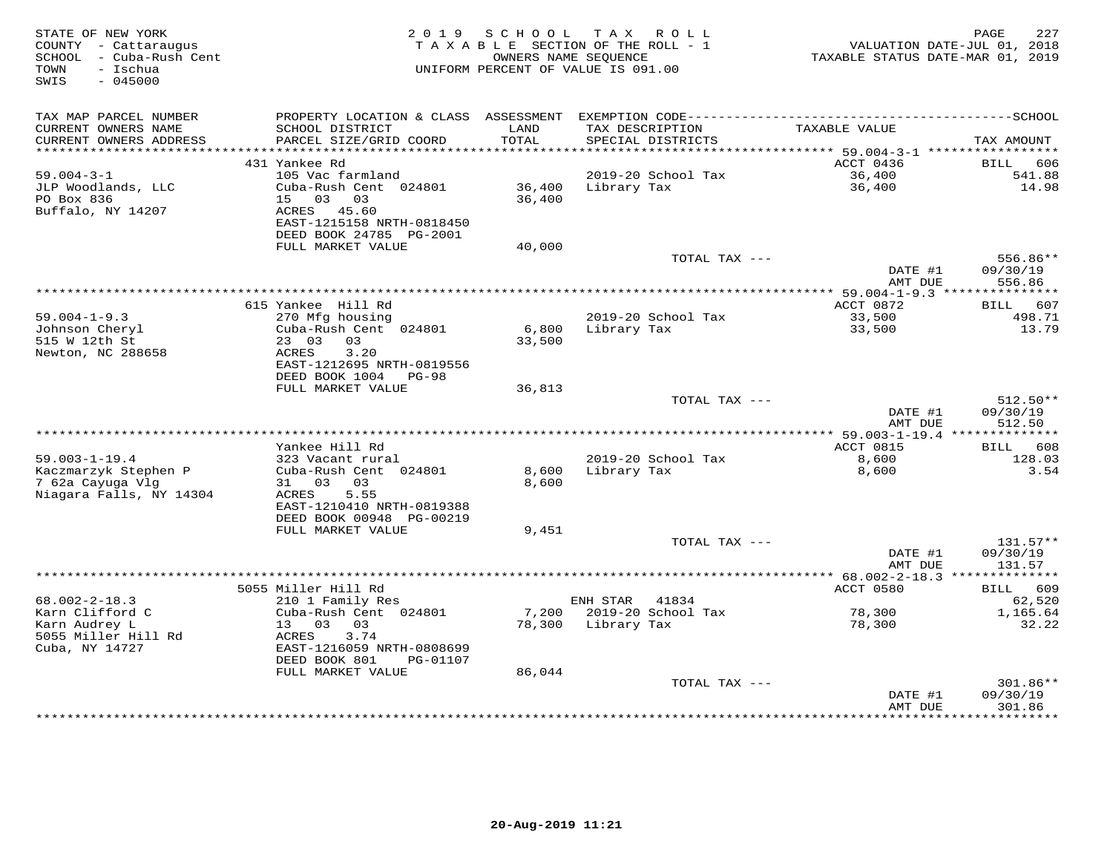| STATE OF NEW YORK<br>COUNTY - Cattaraugus<br>SCHOOL - Cuba-Rush Cent<br>- Ischua<br>TOWN<br>SWIS<br>$-045000$ |                                                                        | 2019 SCHOOL      | TAX ROLL<br>TAXABLE SECTION OF THE ROLL - 1<br>OWNERS NAME SEQUENCE<br>UNIFORM PERCENT OF VALUE IS 091.00 | VALUATION DATE-JUL 01, 2018<br>TAXABLE STATUS DATE-MAR 01, 2019 | 227<br>PAGE            |
|---------------------------------------------------------------------------------------------------------------|------------------------------------------------------------------------|------------------|-----------------------------------------------------------------------------------------------------------|-----------------------------------------------------------------|------------------------|
| TAX MAP PARCEL NUMBER                                                                                         |                                                                        |                  |                                                                                                           |                                                                 |                        |
| CURRENT OWNERS NAME<br>CURRENT OWNERS ADDRESS<br>***********************                                      | SCHOOL DISTRICT<br>PARCEL SIZE/GRID COORD                              | LAND<br>TOTAL    | TAX DESCRIPTION<br>SPECIAL DISTRICTS                                                                      | TAXABLE VALUE                                                   | TAX AMOUNT             |
|                                                                                                               | 431 Yankee Rd                                                          |                  |                                                                                                           | ACCT 0436                                                       | BILL<br>606            |
| $59.004 - 3 - 1$                                                                                              | 105 Vac farmland                                                       |                  | 2019-20 School Tax                                                                                        | 36,400                                                          | 541.88                 |
| JLP Woodlands, LLC<br>PO Box 836                                                                              | Cuba-Rush Cent 024801<br>15 03<br>03                                   | 36,400<br>36,400 | Library Tax                                                                                               | 36,400                                                          | 14.98                  |
| Buffalo, NY 14207                                                                                             | ACRES<br>45.60<br>EAST-1215158 NRTH-0818450<br>DEED BOOK 24785 PG-2001 |                  |                                                                                                           |                                                                 |                        |
|                                                                                                               | FULL MARKET VALUE                                                      | 40,000           |                                                                                                           |                                                                 |                        |
|                                                                                                               |                                                                        |                  | TOTAL TAX ---                                                                                             | DATE #1                                                         | 556.86**<br>09/30/19   |
|                                                                                                               |                                                                        |                  |                                                                                                           | AMT DUE                                                         | 556.86                 |
|                                                                                                               |                                                                        |                  |                                                                                                           | ********** 59.004-1-9.3 ***                                     | ***********            |
|                                                                                                               | 615 Yankee Hill Rd                                                     |                  |                                                                                                           | ACCT 0872                                                       | BILL 607               |
| $59.004 - 1 - 9.3$<br>Johnson Cheryl                                                                          | 270 Mfg housing<br>Cuba-Rush Cent 024801                               | 6,800            | 2019-20 School Tax<br>Library Tax                                                                         | 33,500<br>33,500                                                | 498.71<br>13.79        |
| 515 W 12th St                                                                                                 | 23 03 03                                                               | 33,500           |                                                                                                           |                                                                 |                        |
| Newton, NC 288658                                                                                             | 3.20<br>ACRES                                                          |                  |                                                                                                           |                                                                 |                        |
|                                                                                                               | EAST-1212695 NRTH-0819556                                              |                  |                                                                                                           |                                                                 |                        |
|                                                                                                               | DEED BOOK 1004 PG-98                                                   |                  |                                                                                                           |                                                                 |                        |
|                                                                                                               | FULL MARKET VALUE                                                      | 36,813           |                                                                                                           |                                                                 |                        |
|                                                                                                               |                                                                        |                  | TOTAL TAX ---                                                                                             | DATE #1                                                         | $512.50**$<br>09/30/19 |
|                                                                                                               |                                                                        |                  |                                                                                                           | AMT DUE                                                         | 512.50                 |
|                                                                                                               |                                                                        |                  |                                                                                                           |                                                                 |                        |
|                                                                                                               | Yankee Hill Rd                                                         |                  |                                                                                                           | ACCT 0815                                                       | BILL 608               |
| $59.003 - 1 - 19.4$                                                                                           | 323 Vacant rural                                                       |                  | 2019-20 School Tax                                                                                        | 8,600                                                           | 128.03                 |
| Kaczmarzyk Stephen P                                                                                          | Cuba-Rush Cent 024801                                                  | 8,600            | Library Tax                                                                                               | 8,600                                                           | 3.54                   |
| 7 62a Cayuga Vlg<br>Niagara Falls, NY 14304                                                                   | 31 03 03<br>ACRES<br>5.55                                              | 8,600            |                                                                                                           |                                                                 |                        |
|                                                                                                               | EAST-1210410 NRTH-0819388                                              |                  |                                                                                                           |                                                                 |                        |
|                                                                                                               | DEED BOOK 00948 PG-00219                                               |                  |                                                                                                           |                                                                 |                        |
|                                                                                                               | FULL MARKET VALUE                                                      | 9,451            |                                                                                                           |                                                                 |                        |
|                                                                                                               |                                                                        |                  | TOTAL TAX ---                                                                                             |                                                                 | $131.57**$             |
|                                                                                                               |                                                                        |                  |                                                                                                           | DATE #1<br>AMT DUE                                              | 09/30/19               |
|                                                                                                               |                                                                        |                  |                                                                                                           |                                                                 | 131.57                 |
|                                                                                                               | 5055 Miller Hill Rd                                                    |                  |                                                                                                           | ACCT 0580                                                       | 609<br><b>BILL</b>     |
| $68.002 - 2 - 18.3$                                                                                           | 210 1 Family Res                                                       |                  | ENH STAR<br>41834                                                                                         |                                                                 | 62,520                 |
| Karn Clifford C                                                                                               | Cuba-Rush Cent 024801                                                  | 7,200            | 2019-20 School Tax                                                                                        | 78,300                                                          | 1,165.64               |
| Karn Audrey L                                                                                                 | 13 03 03                                                               | 78,300           | Library Tax                                                                                               | 78,300                                                          | 32.22                  |
| 5055 Miller Hill Rd                                                                                           | ACRES<br>3.74                                                          |                  |                                                                                                           |                                                                 |                        |
| Cuba, NY 14727                                                                                                | EAST-1216059 NRTH-0808699<br>DEED BOOK 801<br>PG-01107                 |                  |                                                                                                           |                                                                 |                        |
|                                                                                                               | FULL MARKET VALUE                                                      | 86,044           |                                                                                                           |                                                                 |                        |
|                                                                                                               |                                                                        |                  | TOTAL TAX ---                                                                                             |                                                                 | 301.86**               |
|                                                                                                               |                                                                        |                  |                                                                                                           | DATE #1                                                         | 09/30/19               |
|                                                                                                               |                                                                        |                  |                                                                                                           | AMT DUE<br>***********                                          | 301.86<br>**********   |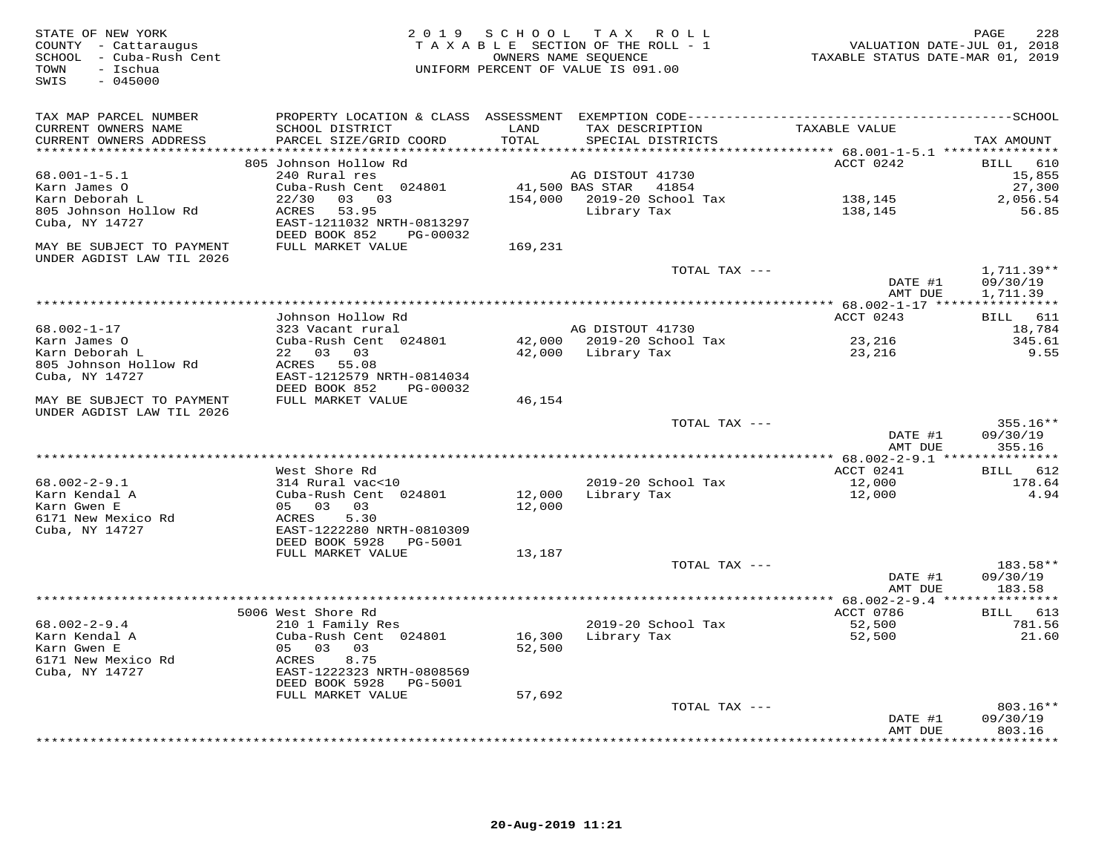| STATE OF NEW YORK<br>COUNTY - Cattaraugus<br>SCHOOL - Cuba-Rush Cent<br>TOWN<br>- Ischua<br>$-045000$<br>SWIS |                                                                          | 2019 SCHOOL<br>OWNERS NAME SEQUENCE | TAX ROLL<br>TAXABLE SECTION OF THE ROLL - 1<br>UNIFORM PERCENT OF VALUE IS 091.00 | VALUATION DATE-JUL 01, 2018<br>TAXABLE STATUS DATE-MAR 01, 2019 | 228<br>PAGE          |
|---------------------------------------------------------------------------------------------------------------|--------------------------------------------------------------------------|-------------------------------------|-----------------------------------------------------------------------------------|-----------------------------------------------------------------|----------------------|
| TAX MAP PARCEL NUMBER<br>CURRENT OWNERS NAME                                                                  | SCHOOL DISTRICT                                                          | LAND                                | TAX DESCRIPTION                                                                   | TAXABLE VALUE                                                   |                      |
| CURRENT OWNERS ADDRESS                                                                                        | PARCEL SIZE/GRID COORD                                                   | TOTAL                               | SPECIAL DISTRICTS                                                                 |                                                                 | TAX AMOUNT           |
|                                                                                                               | 805 Johnson Hollow Rd                                                    |                                     |                                                                                   | ACCT 0242                                                       | 610<br>BILL          |
| $68.001 - 1 - 5.1$                                                                                            | 240 Rural res                                                            |                                     | AG DISTOUT 41730                                                                  |                                                                 | 15,855               |
| Karn James O                                                                                                  | Cuba-Rush Cent 024801                                                    |                                     | 41,500 BAS STAR<br>41854                                                          |                                                                 | 27,300               |
| Karn Deborah L                                                                                                | 22/30<br>03 03                                                           |                                     | 154,000 2019-20 School Tax                                                        | 138,145                                                         | 2,056.54             |
| 805 Johnson Hollow Rd<br>Cuba, NY 14727                                                                       | ACRES<br>53.95<br>EAST-1211032 NRTH-0813297<br>DEED BOOK 852<br>PG-00032 |                                     | Library Tax                                                                       | 138,145                                                         | 56.85                |
| MAY BE SUBJECT TO PAYMENT<br>UNDER AGDIST LAW TIL 2026                                                        | FULL MARKET VALUE                                                        | 169,231                             |                                                                                   |                                                                 |                      |
|                                                                                                               |                                                                          |                                     | TOTAL TAX ---                                                                     |                                                                 | $1,711.39**$         |
|                                                                                                               |                                                                          |                                     |                                                                                   | DATE #1<br>AMT DUE                                              | 09/30/19<br>1,711.39 |
|                                                                                                               | Johnson Hollow Rd                                                        |                                     |                                                                                   | ACCT 0243                                                       | BILL 611             |
| $68.002 - 1 - 17$                                                                                             | 323 Vacant rural                                                         |                                     | AG DISTOUT 41730                                                                  |                                                                 | 18,784               |
| Karn James O                                                                                                  | Cuba-Rush Cent 024801                                                    |                                     | 42,000 2019-20 School Tax                                                         | 23,216                                                          | 345.61               |
| Karn Deborah L                                                                                                | 22 03 03                                                                 |                                     | 42,000 Library Tax                                                                | 23,216                                                          | 9.55                 |
| 805 Johnson Hollow Rd                                                                                         | ACRES 55.08                                                              |                                     |                                                                                   |                                                                 |                      |
| Cuba, NY 14727                                                                                                | EAST-1212579 NRTH-0814034                                                |                                     |                                                                                   |                                                                 |                      |
| MAY BE SUBJECT TO PAYMENT                                                                                     | DEED BOOK 852<br>PG-00032<br>FULL MARKET VALUE                           | 46,154                              |                                                                                   |                                                                 |                      |
| UNDER AGDIST LAW TIL 2026                                                                                     |                                                                          |                                     | TOTAL TAX ---                                                                     |                                                                 | $355.16**$           |
|                                                                                                               |                                                                          |                                     |                                                                                   | DATE #1<br>AMT DUE                                              | 09/30/19<br>355.16   |
|                                                                                                               |                                                                          |                                     |                                                                                   |                                                                 |                      |
|                                                                                                               | West Shore Rd                                                            |                                     |                                                                                   | ACCT 0241                                                       | BILL<br>612          |
| $68.002 - 2 - 9.1$<br>Karn Kendal A                                                                           | 314 Rural vac<10<br>Cuba-Rush Cent 024801                                |                                     | 2019-20 School Tax<br>Library Tax                                                 | 12,000                                                          | 178.64<br>4.94       |
| Karn Gwen E                                                                                                   | 05 03<br>03                                                              | 12,000<br>12,000                    |                                                                                   | 12,000                                                          |                      |
| 6171 New Mexico Rd                                                                                            | ACRES<br>5.30                                                            |                                     |                                                                                   |                                                                 |                      |
| Cuba, NY 14727                                                                                                | EAST-1222280 NRTH-0810309                                                |                                     |                                                                                   |                                                                 |                      |
|                                                                                                               | DEED BOOK 5928<br>PG-5001                                                |                                     |                                                                                   |                                                                 |                      |
|                                                                                                               | FULL MARKET VALUE                                                        | 13,187                              | TOTAL TAX ---                                                                     |                                                                 | 183.58**             |
|                                                                                                               |                                                                          |                                     |                                                                                   | DATE #1                                                         | 09/30/19             |
|                                                                                                               |                                                                          |                                     |                                                                                   | AMT DUE                                                         | 183.58               |
|                                                                                                               |                                                                          |                                     |                                                                                   | *** 68.002-2-9.4 ***************                                |                      |
|                                                                                                               | 5006 West Shore Rd                                                       |                                     |                                                                                   | ACCT 0786                                                       | BILL 613             |
| $68.002 - 2 - 9.4$<br>Karn Kendal A                                                                           | 210 1 Family Res                                                         |                                     | 2019-20 School Tax                                                                | 52,500                                                          | 781.56               |
| Karn Gwen E                                                                                                   | Cuba-Rush Cent 024801<br>05 03<br>03                                     | 16,300<br>52,500                    | Library Tax                                                                       | 52,500                                                          | 21.60                |
| 6171 New Mexico Rd                                                                                            | 8.75<br>ACRES                                                            |                                     |                                                                                   |                                                                 |                      |
| Cuba, NY 14727                                                                                                | EAST-1222323 NRTH-0808569                                                |                                     |                                                                                   |                                                                 |                      |
|                                                                                                               | DEED BOOK 5928<br>PG-5001                                                |                                     |                                                                                   |                                                                 |                      |
|                                                                                                               | FULL MARKET VALUE                                                        | 57,692                              |                                                                                   |                                                                 |                      |
|                                                                                                               |                                                                          |                                     | TOTAL TAX ---                                                                     |                                                                 | $803.16**$           |
|                                                                                                               |                                                                          |                                     |                                                                                   | DATE #1                                                         | 09/30/19<br>803.16   |
|                                                                                                               |                                                                          |                                     |                                                                                   | AMT DUE                                                         | * * * * * * * *      |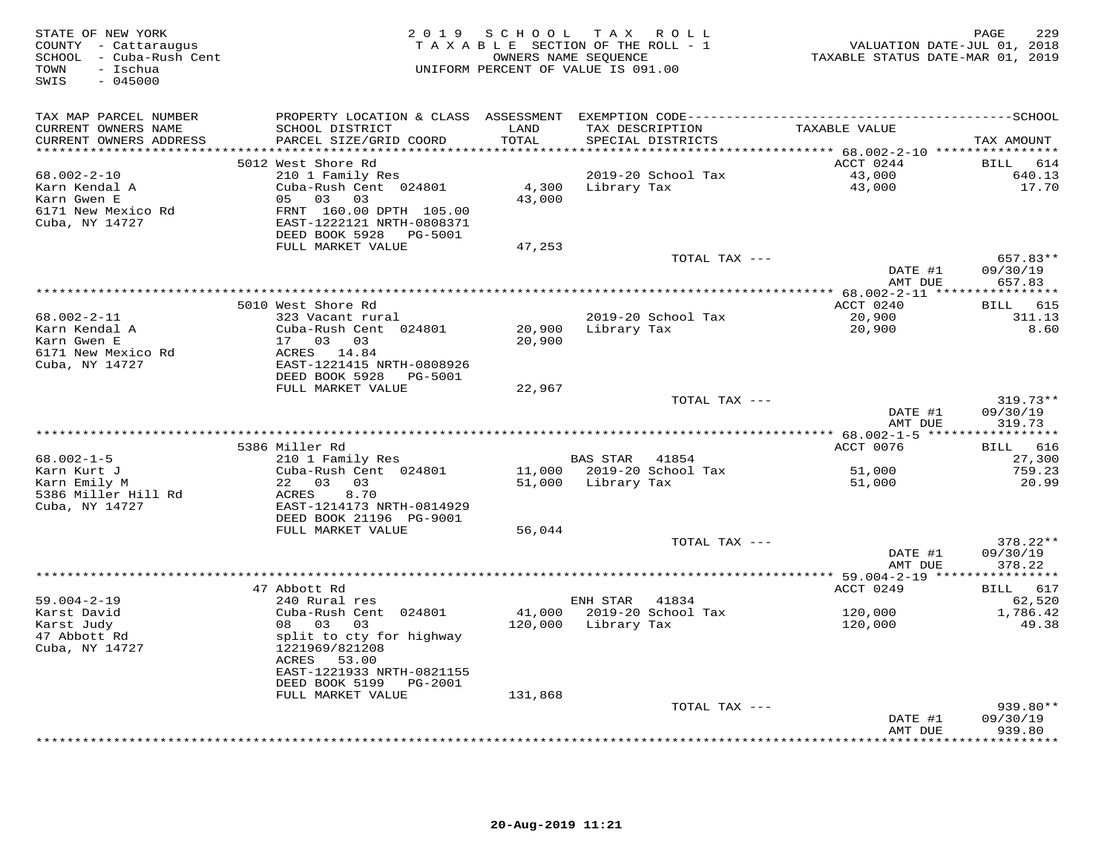| STATE OF NEW YORK<br>COUNTY - Cattaraugus<br>SCHOOL - Cuba-Rush Cent<br>- Ischua<br>TOWN<br>$-045000$<br>SWIS |                                                                                                                                                                                              | 2019 SCHOOL       | TAX ROLL<br>TAXABLE SECTION OF THE ROLL - 1<br>OWNERS NAME SEQUENCE<br>UNIFORM PERCENT OF VALUE IS 091.00 | VALUATION DATE-JUL 01, 2018<br>TAXABLE STATUS DATE-MAR 01, 2019 | 229<br>PAGE                             |
|---------------------------------------------------------------------------------------------------------------|----------------------------------------------------------------------------------------------------------------------------------------------------------------------------------------------|-------------------|-----------------------------------------------------------------------------------------------------------|-----------------------------------------------------------------|-----------------------------------------|
| TAX MAP PARCEL NUMBER<br>CURRENT OWNERS NAME<br>CURRENT OWNERS ADDRESS<br>***********************             | SCHOOL DISTRICT<br>PARCEL SIZE/GRID COORD                                                                                                                                                    | LAND<br>TOTAL     | TAX DESCRIPTION<br>SPECIAL DISTRICTS                                                                      | TAXABLE VALUE                                                   | TAX AMOUNT                              |
| $68.002 - 2 - 10$<br>Karn Kendal A<br>Karn Gwen E<br>6171 New Mexico Rd<br>Cuba, NY 14727                     | 5012 West Shore Rd<br>210 1 Family Res<br>Cuba-Rush Cent 024801<br>05 03<br>03<br>FRNT 160.00 DPTH 105.00<br>EAST-1222121 NRTH-0808371<br>DEED BOOK 5928<br>PG-5001                          | 4,300<br>43,000   | 2019-20 School Tax<br>Library Tax                                                                         | ACCT 0244<br>43,000<br>43,000                                   | BILL 614<br>640.13<br>17.70             |
|                                                                                                               | FULL MARKET VALUE                                                                                                                                                                            | 47,253            | TOTAL TAX ---                                                                                             | DATE #1                                                         | 657.83**<br>09/30/19                    |
|                                                                                                               |                                                                                                                                                                                              |                   |                                                                                                           | AMT DUE                                                         | 657.83                                  |
| 68.002-2-11<br>Karn Kendal A<br>Karn Gwen E<br>6171 New Mexico Rd<br>Cuba, NY 14727                           | 5010 West Shore Rd<br>323 Vacant rural<br>Cuba-Rush Cent 024801<br>17 03 03<br>ACRES 14.84<br>EAST-1221415 NRTH-0808926<br>DEED BOOK 5928 PG-5001                                            | 20,900<br>20,900  | 2019-20 School Tax<br>Library Tax                                                                         | ACCT 0240<br>20,900<br>20,900                                   | BILL 615<br>311.13<br>8.60              |
|                                                                                                               | FULL MARKET VALUE                                                                                                                                                                            | 22,967            | TOTAL TAX ---                                                                                             | DATE #1<br>AMT DUE                                              | $319.73**$<br>09/30/19<br>319.73        |
|                                                                                                               | 5386 Miller Rd                                                                                                                                                                               |                   |                                                                                                           | *********** 68.002-1-5 ****<br>ACCT 0076                        | * * * * * * * * * *<br>BILL 616         |
| $68.002 - 1 - 5$<br>Karn Kurt J<br>Karn Emily M<br>5386 Miller Hill Rd<br>Cuba, NY 14727                      | 210 1 Family Res<br>Cuba-Rush Cent 024801<br>22 03 03<br>ACRES<br>8.70<br>EAST-1214173 NRTH-0814929<br>DEED BOOK 21196 PG-9001                                                               |                   | BAS STAR<br>41854<br>11,000 2019-20 School Tax<br>51,000 Library Tax                                      | 51,000<br>51,000                                                | 27,300<br>759.23<br>20.99               |
|                                                                                                               | FULL MARKET VALUE                                                                                                                                                                            | 56,044            |                                                                                                           |                                                                 |                                         |
|                                                                                                               |                                                                                                                                                                                              |                   | TOTAL TAX ---                                                                                             | DATE #1<br>AMT DUE                                              | 378.22**<br>09/30/19<br>378.22          |
|                                                                                                               |                                                                                                                                                                                              |                   |                                                                                                           |                                                                 |                                         |
| $59.004 - 2 - 19$<br>Karst David<br>Karst Judy<br>47 Abbott Rd<br>Cuba, NY 14727                              | 47 Abbott Rd<br>240 Rural res<br>Cuba-Rush Cent 024801<br>08 03<br>03<br>split to cty for highway<br>1221969/821208<br>ACRES 53.00<br>EAST-1221933 NRTH-0821155<br>DEED BOOK 5199<br>PG-2001 | 41,000<br>120,000 | ENH STAR<br>41834<br>2019-20 School Tax<br>Library Tax                                                    | ACCT 0249<br>120,000<br>120,000                                 | BILL 617<br>62,520<br>1,786.42<br>49.38 |
|                                                                                                               | FULL MARKET VALUE                                                                                                                                                                            | 131,868           | TOTAL TAX ---                                                                                             | DATE #1<br>AMT DUE                                              | 939.80**<br>09/30/19<br>939.80          |
|                                                                                                               |                                                                                                                                                                                              |                   |                                                                                                           | + + + + + + + + + + + +                                         | * * * * * * * *                         |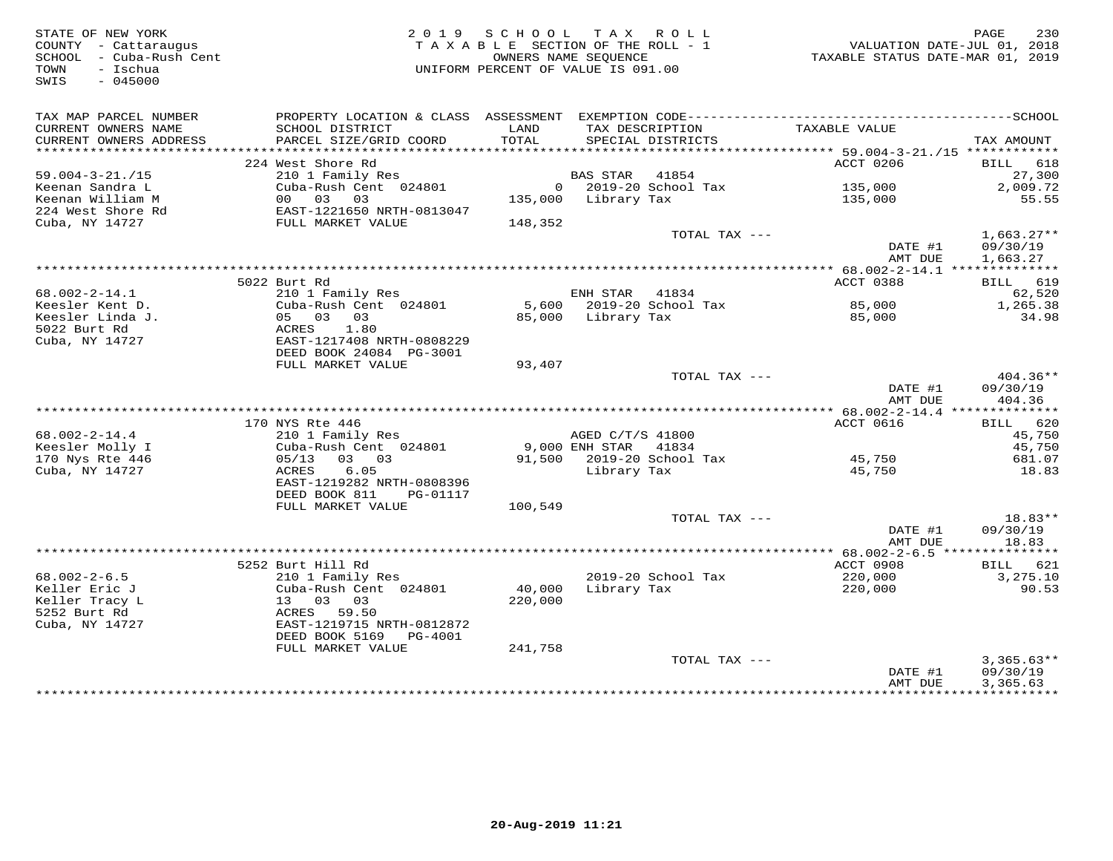| STATE OF NEW YORK<br>SIALE OF NEW --<br>COUNTY - Cattaraugus<br>SCHOOL - Cuba-Rush Cent<br>SWIS<br>$-045000$ |                                                                                                           |               | 2019 SCHOOL TAX ROLL<br>TAXABLE SECTION OF THE ROLL - 1<br>OWNERS NAME SEOUENCE<br>UNIFORM PERCENT OF VALUE IS 091.00 | $\begin{array}{ccccccc}\n\text{L} & \text{L} & \text{L} & \text{L} & \text{L} & \text{L} & \text{L} & \text{L} \\ \text{L} & \text{L} & \text{L} & \text{L} & \text{L} & \text{L} & \text{L} & \text{L} \\ \text{L} & \text{L} & \text{L} & \text{L} & \text{L} & \text{L} & \text{L} & \text{L} & \text{L} \\ \text{L} & \text{L} & \text{L} & \text{L} & \text{L} & \text{L} & \text{L} & \text{L} & \text{L} \\ \text{L} & \$ | 230<br>PAGE                          |
|--------------------------------------------------------------------------------------------------------------|-----------------------------------------------------------------------------------------------------------|---------------|-----------------------------------------------------------------------------------------------------------------------|----------------------------------------------------------------------------------------------------------------------------------------------------------------------------------------------------------------------------------------------------------------------------------------------------------------------------------------------------------------------------------------------------------------------------------|--------------------------------------|
| TAX MAP PARCEL NUMBER<br>CURRENT OWNERS NAME<br>CURRENT OWNERS ADDRESS                                       | SCHOOL DISTRICT<br>PARCEL SIZE/GRID COORD                                                                 | LAND<br>TOTAL | TAX DESCRIPTION<br>SPECIAL DISTRICTS                                                                                  | TAXABLE VALUE                                                                                                                                                                                                                                                                                                                                                                                                                    | TAX AMOUNT                           |
|                                                                                                              |                                                                                                           |               |                                                                                                                       |                                                                                                                                                                                                                                                                                                                                                                                                                                  |                                      |
|                                                                                                              | 224 West Shore Rd                                                                                         |               |                                                                                                                       | ACCT 0206                                                                                                                                                                                                                                                                                                                                                                                                                        | BILL 618                             |
| $59.004 - 3 - 21. / 15$                                                                                      | Nest snore ku<br>210 1 Family Res<br>Cuba-Rush Cent 024801 0 2019-20 Scho<br>00 03 03 135,000 Library Tax |               | BAS STAR 41854                                                                                                        |                                                                                                                                                                                                                                                                                                                                                                                                                                  | 27,300                               |
| Keenan Sandra L                                                                                              |                                                                                                           |               | 0 2019-20 School Tax                                                                                                  | 135,000                                                                                                                                                                                                                                                                                                                                                                                                                          | 2,009.72                             |
| Keenan William M                                                                                             |                                                                                                           |               |                                                                                                                       | 135,000                                                                                                                                                                                                                                                                                                                                                                                                                          | 55.55                                |
| 224 West Shore Rd                                                                                            | EAST-1221650 NRTH-0813047                                                                                 |               |                                                                                                                       |                                                                                                                                                                                                                                                                                                                                                                                                                                  |                                      |
| Cuba, NY 14727                                                                                               | FULL MARKET VALUE                                                                                         | 148,352       |                                                                                                                       |                                                                                                                                                                                                                                                                                                                                                                                                                                  |                                      |
|                                                                                                              |                                                                                                           |               | TOTAL TAX ---                                                                                                         | DATE #1<br>AMT DUE                                                                                                                                                                                                                                                                                                                                                                                                               | $1,663.27**$<br>09/30/19<br>1,663.27 |
|                                                                                                              |                                                                                                           |               |                                                                                                                       |                                                                                                                                                                                                                                                                                                                                                                                                                                  |                                      |
|                                                                                                              | 5022 Burt Rd                                                                                              |               |                                                                                                                       | ACCT 0388                                                                                                                                                                                                                                                                                                                                                                                                                        | BILL 619                             |
| $68.002 - 2 - 14.1$                                                                                          | 210 1 Family Res                                                                                          |               | ENH STAR 41834                                                                                                        |                                                                                                                                                                                                                                                                                                                                                                                                                                  | 62,520                               |
| Keesler Kent D.                                                                                              | Cuba-Rush Cent 024801                                                                                     |               | 5,600 2019-20 School Tax<br>85,000 Library Tay                                                                        | 85,000<br>85.000                                                                                                                                                                                                                                                                                                                                                                                                                 | 1,265.38                             |
| Keesler Linda J.                                                                                             | 05 03 03                                                                                                  |               | 85,000 Library Tax                                                                                                    | 85,000                                                                                                                                                                                                                                                                                                                                                                                                                           | 34.98                                |
| 5022 Burt Rd                                                                                                 | ACRES<br>1.80                                                                                             |               |                                                                                                                       |                                                                                                                                                                                                                                                                                                                                                                                                                                  |                                      |
| Cuba, NY 14727                                                                                               | EAST-1217408 NRTH-0808229<br>DEED BOOK 24084 PG-3001                                                      |               |                                                                                                                       |                                                                                                                                                                                                                                                                                                                                                                                                                                  |                                      |
|                                                                                                              | FULL MARKET VALUE                                                                                         | 93,407        |                                                                                                                       |                                                                                                                                                                                                                                                                                                                                                                                                                                  | $404.36**$                           |
|                                                                                                              |                                                                                                           |               | TOTAL TAX ---                                                                                                         | DATE #1<br>AMT DUE                                                                                                                                                                                                                                                                                                                                                                                                               | 09/30/19<br>404.36                   |
|                                                                                                              |                                                                                                           |               |                                                                                                                       |                                                                                                                                                                                                                                                                                                                                                                                                                                  |                                      |
|                                                                                                              | 170 NYS Rte 446                                                                                           |               |                                                                                                                       | ACCT 0616                                                                                                                                                                                                                                                                                                                                                                                                                        | BILL 620                             |
| $68.002 - 2 - 14.4$                                                                                          | 210 1 Family Res                                                                                          |               | AGED C/T/S 41800<br>9,000 ENH STAR 41834<br>91,500 2010 2010                                                          |                                                                                                                                                                                                                                                                                                                                                                                                                                  | 45,750                               |
| Keesler Molly I                                                                                              | Cuba-Rush Cent 024801                                                                                     |               |                                                                                                                       |                                                                                                                                                                                                                                                                                                                                                                                                                                  | 45,750                               |
| 170 Nys Rte 446                                                                                              | 05/13 03 03                                                                                               |               | 91,500 2019-20 School Tax                                                                                             | 45,750                                                                                                                                                                                                                                                                                                                                                                                                                           | 681.07                               |
| Cuba, NY 14727                                                                                               | 6.05<br>ACRES<br>EAST-1219282 NRTH-0808396                                                                |               | Library Tax                                                                                                           | 45,750                                                                                                                                                                                                                                                                                                                                                                                                                           | 18.83                                |
|                                                                                                              | DEED BOOK 811 PG-01117                                                                                    |               |                                                                                                                       |                                                                                                                                                                                                                                                                                                                                                                                                                                  |                                      |
|                                                                                                              | FULL MARKET VALUE                                                                                         | 100,549       | TOTAL TAX ---                                                                                                         |                                                                                                                                                                                                                                                                                                                                                                                                                                  | $18.83**$                            |
|                                                                                                              |                                                                                                           |               |                                                                                                                       | DATE #1                                                                                                                                                                                                                                                                                                                                                                                                                          | 09/30/19                             |
|                                                                                                              |                                                                                                           |               |                                                                                                                       | AMT DUE                                                                                                                                                                                                                                                                                                                                                                                                                          | 18.83                                |
|                                                                                                              |                                                                                                           |               |                                                                                                                       |                                                                                                                                                                                                                                                                                                                                                                                                                                  |                                      |
|                                                                                                              | 5252 Burt Hill Rd                                                                                         |               |                                                                                                                       | ACCT 0908                                                                                                                                                                                                                                                                                                                                                                                                                        | BILL 621                             |
| $68.002 - 2 - 6.5$                                                                                           | 210 1 Family Res                                                                                          |               | 2019-20 School Tax                                                                                                    | 220,000                                                                                                                                                                                                                                                                                                                                                                                                                          | 3,275.10                             |
| Keller Eric J                                                                                                | Cuba-Rush Cent 024801                                                                                     |               | $40,000$ Library Tax                                                                                                  | 220,000                                                                                                                                                                                                                                                                                                                                                                                                                          | 90.53                                |
| Keller Tracy L                                                                                               | 13 03 03                                                                                                  | 220,000       |                                                                                                                       |                                                                                                                                                                                                                                                                                                                                                                                                                                  |                                      |
| 5252 Burt Rd                                                                                                 | ACRES 59.50                                                                                               |               |                                                                                                                       |                                                                                                                                                                                                                                                                                                                                                                                                                                  |                                      |
| Cuba, NY 14727                                                                                               | EAST-1219715 NRTH-0812872                                                                                 |               |                                                                                                                       |                                                                                                                                                                                                                                                                                                                                                                                                                                  |                                      |
|                                                                                                              | DEED BOOK 5169    PG-4001                                                                                 |               |                                                                                                                       |                                                                                                                                                                                                                                                                                                                                                                                                                                  |                                      |
|                                                                                                              | FULL MARKET VALUE                                                                                         | 241,758       | TOTAL TAX ---                                                                                                         |                                                                                                                                                                                                                                                                                                                                                                                                                                  | $3,365.63**$                         |
|                                                                                                              |                                                                                                           |               |                                                                                                                       | DATE #1                                                                                                                                                                                                                                                                                                                                                                                                                          | 09/30/19                             |
|                                                                                                              |                                                                                                           |               |                                                                                                                       | AMT DUE                                                                                                                                                                                                                                                                                                                                                                                                                          | 3,365.63                             |
|                                                                                                              |                                                                                                           |               |                                                                                                                       |                                                                                                                                                                                                                                                                                                                                                                                                                                  |                                      |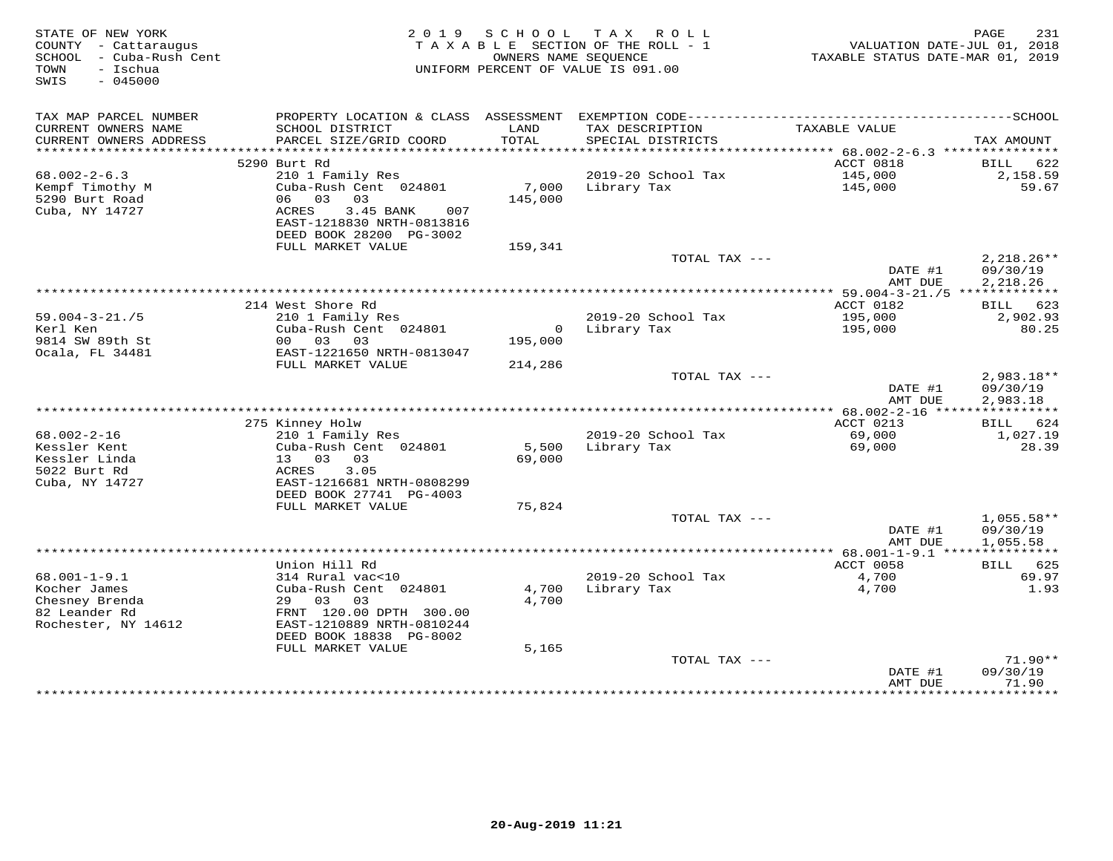| STATE OF NEW YORK<br>COUNTY - Cattaraugus<br>- Cuba-Rush Cent<br>SCHOOL<br>- Ischua<br>TOWN<br>$-045000$<br>SWIS | 2 0 1 9                                                                                                                 | S C H O O L<br>OWNERS NAME SEOUENCE | T A X<br>ROLL<br>TAXABLE SECTION OF THE ROLL - 1<br>UNIFORM PERCENT OF VALUE IS 091.00 | TAXABLE STATUS DATE-MAR 01, 2019 | PAGE<br>231<br>VALUATION DATE-JUL 01, 2018 |
|------------------------------------------------------------------------------------------------------------------|-------------------------------------------------------------------------------------------------------------------------|-------------------------------------|----------------------------------------------------------------------------------------|----------------------------------|--------------------------------------------|
| TAX MAP PARCEL NUMBER                                                                                            | PROPERTY LOCATION & CLASS ASSESSMENT                                                                                    |                                     |                                                                                        |                                  |                                            |
| CURRENT OWNERS NAME<br>CURRENT OWNERS ADDRESS                                                                    | SCHOOL DISTRICT<br>PARCEL SIZE/GRID COORD                                                                               | LAND<br>TOTAL                       | TAX DESCRIPTION<br>SPECIAL DISTRICTS                                                   | TAXABLE VALUE                    | TAX AMOUNT                                 |
| *************************                                                                                        |                                                                                                                         |                                     |                                                                                        |                                  |                                            |
|                                                                                                                  | 5290 Burt Rd                                                                                                            |                                     |                                                                                        | ACCT 0818                        | BILL<br>622                                |
| $68.002 - 2 - 6.3$                                                                                               | 210 1 Family Res                                                                                                        |                                     | 2019-20 School Tax                                                                     | 145,000                          | 2,158.59                                   |
| Kempf Timothy M<br>5290 Burt Road<br>Cuba, NY 14727                                                              | Cuba-Rush Cent 024801<br>06 03 03<br>3.45 BANK<br>007<br>ACRES<br>EAST-1218830 NRTH-0813816<br>DEED BOOK 28200 PG-3002  | 7,000<br>145,000                    | Library Tax                                                                            | 145,000                          | 59.67                                      |
|                                                                                                                  | FULL MARKET VALUE                                                                                                       | 159,341                             |                                                                                        |                                  |                                            |
|                                                                                                                  |                                                                                                                         |                                     | TOTAL TAX ---                                                                          | DATE #1<br>AMT DUE               | $2,218.26**$<br>09/30/19<br>2,218.26       |
|                                                                                                                  |                                                                                                                         |                                     |                                                                                        |                                  |                                            |
|                                                                                                                  | 214 West Shore Rd                                                                                                       |                                     |                                                                                        | ACCT 0182                        | 623<br>BILL                                |
| $59.004 - 3 - 21.75$<br>Kerl Ken                                                                                 | 210 1 Family Res<br>Cuba-Rush Cent 024801                                                                               | $\overline{0}$                      | 2019-20 School Tax<br>Library Tax                                                      | 195,000<br>195,000               | 2,902.93<br>80.25                          |
| 9814 SW 89th St                                                                                                  | 00 03 03                                                                                                                | 195,000                             |                                                                                        |                                  |                                            |
| Ocala, FL 34481                                                                                                  | EAST-1221650 NRTH-0813047                                                                                               |                                     |                                                                                        |                                  |                                            |
|                                                                                                                  | FULL MARKET VALUE                                                                                                       | 214,286                             |                                                                                        |                                  |                                            |
|                                                                                                                  |                                                                                                                         |                                     | TOTAL TAX ---                                                                          | DATE #1<br>AMT DUE               | 2,983.18**<br>09/30/19<br>2,983.18         |
|                                                                                                                  |                                                                                                                         |                                     |                                                                                        |                                  |                                            |
|                                                                                                                  | 275 Kinney Holw                                                                                                         |                                     |                                                                                        | ACCT 0213                        | <b>BILL</b><br>624                         |
| $68.002 - 2 - 16$<br>Kessler Kent<br>Kessler Linda<br>5022 Burt Rd<br>Cuba, NY 14727                             | 210 1 Family Res<br>Cuba-Rush Cent 024801<br>13 03 03<br>3.05<br>ACRES<br>EAST-1216681 NRTH-0808299                     | 5,500<br>69,000                     | 2019-20 School Tax<br>Library Tax                                                      | 69,000<br>69,000                 | 1,027.19<br>28.39                          |
|                                                                                                                  | DEED BOOK 27741 PG-4003<br>FULL MARKET VALUE                                                                            | 75,824                              |                                                                                        |                                  |                                            |
|                                                                                                                  |                                                                                                                         |                                     | TOTAL TAX ---                                                                          |                                  | $1,055.58**$                               |
|                                                                                                                  |                                                                                                                         |                                     |                                                                                        | DATE #1<br>AMT DUE               | 09/30/19<br>1,055.58                       |
|                                                                                                                  |                                                                                                                         |                                     |                                                                                        |                                  |                                            |
| $68.001 - 1 - 9.1$                                                                                               | Union Hill Rd<br>314 Rural vac<10                                                                                       |                                     | 2019-20 School Tax                                                                     | ACCT 0058<br>4,700               | BILL 625<br>69.97                          |
| Kocher James<br>Chesney Brenda<br>82 Leander Rd<br>Rochester, NY 14612                                           | Cuba-Rush Cent 024801<br>29 03<br>03<br>FRNT 120.00 DPTH 300.00<br>EAST-1210889 NRTH-0810244<br>DEED BOOK 18838 PG-8002 | 4,700<br>4,700                      | Library Tax                                                                            | 4,700                            | 1.93                                       |
|                                                                                                                  | FULL MARKET VALUE                                                                                                       | 5,165                               |                                                                                        |                                  |                                            |
|                                                                                                                  |                                                                                                                         |                                     | TOTAL TAX ---                                                                          | DATE #1                          | $71.90**$<br>09/30/19                      |
|                                                                                                                  |                                                                                                                         |                                     |                                                                                        | AMT DUE<br>************          | 71.90<br>* * * * * * * * *                 |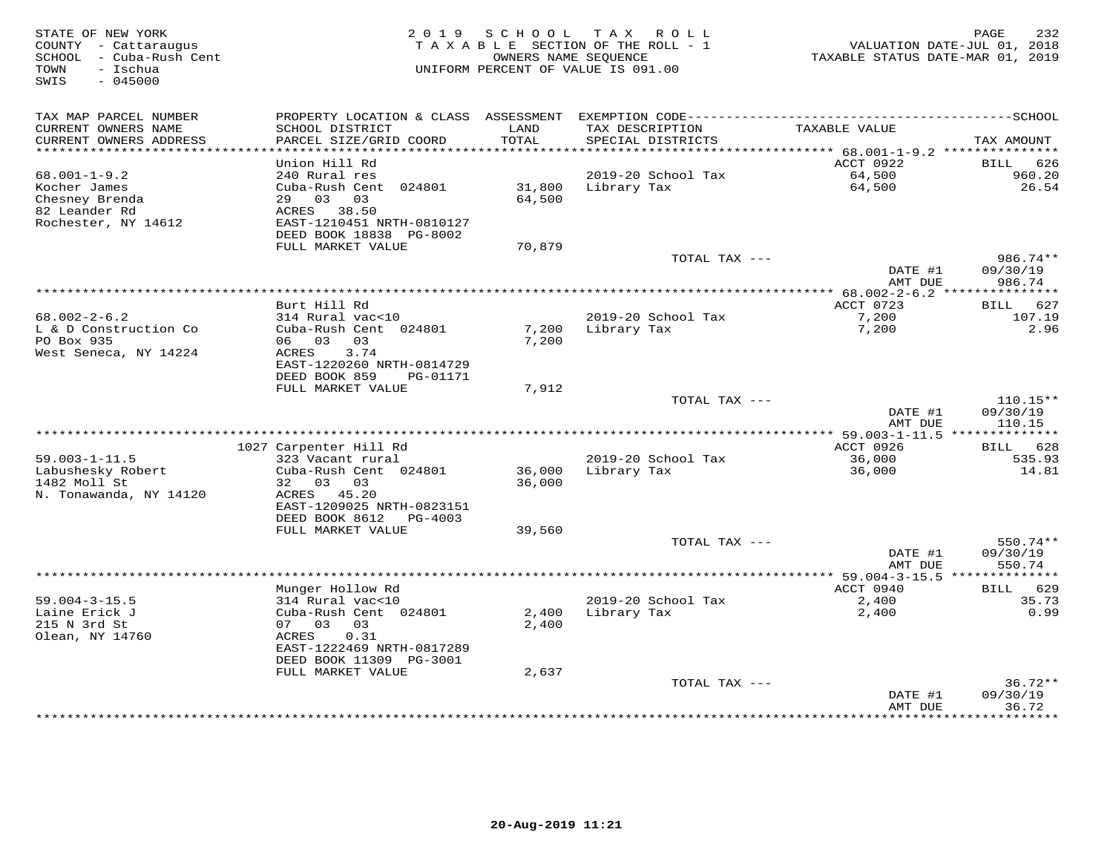| STATE OF NEW YORK<br>COUNTY - Cattaraugus<br>SCHOOL - Cuba-Rush Cent<br>- Ischua<br>TOWN<br>SWIS<br>$-045000$ |                                                      | 2019 SCHOOL    | T A X<br>ROLL<br>TAXABLE SECTION OF THE ROLL - 1<br>OWNERS NAME SEOUENCE<br>UNIFORM PERCENT OF VALUE IS 091.00 | TAXABLE STATUS DATE-MAR 01, 2019         | 232<br>PAGE<br>VALUATION DATE-JUL 01, 2018 |
|---------------------------------------------------------------------------------------------------------------|------------------------------------------------------|----------------|----------------------------------------------------------------------------------------------------------------|------------------------------------------|--------------------------------------------|
| TAX MAP PARCEL NUMBER                                                                                         |                                                      |                |                                                                                                                |                                          |                                            |
| CURRENT OWNERS NAME<br>CURRENT OWNERS ADDRESS<br>***********************                                      | SCHOOL DISTRICT<br>PARCEL SIZE/GRID COORD            | LAND<br>TOTAL  | TAX DESCRIPTION<br>SPECIAL DISTRICTS                                                                           | TAXABLE VALUE                            | TAX AMOUNT                                 |
|                                                                                                               | Union Hill Rd                                        |                |                                                                                                                | ACCT 0922                                | 626<br>BILL                                |
| $68.001 - 1 - 9.2$                                                                                            | 240 Rural res                                        |                | 2019-20 School Tax                                                                                             | 64,500                                   | 960.20                                     |
| Kocher James                                                                                                  | Cuba-Rush Cent 024801                                | 31,800         | Library Tax                                                                                                    | 64,500                                   | 26.54                                      |
| Chesney Brenda                                                                                                | 29 03<br>03                                          | 64,500         |                                                                                                                |                                          |                                            |
| 82 Leander Rd                                                                                                 | ACRES 38.50                                          |                |                                                                                                                |                                          |                                            |
| Rochester, NY 14612                                                                                           | EAST-1210451 NRTH-0810127<br>DEED BOOK 18838 PG-8002 |                |                                                                                                                |                                          |                                            |
|                                                                                                               | FULL MARKET VALUE                                    | 70,879         |                                                                                                                |                                          |                                            |
|                                                                                                               |                                                      |                | TOTAL TAX ---                                                                                                  |                                          | 986.74**                                   |
|                                                                                                               |                                                      |                |                                                                                                                | DATE #1<br>AMT DUE                       | 09/30/19<br>986.74                         |
|                                                                                                               |                                                      |                | ********************************                                                                               | ********** 68.002-2-6.2 **************** |                                            |
| $68.002 - 2 - 6.2$                                                                                            | Burt Hill Rd<br>314 Rural vac<10                     |                | 2019-20 School Tax                                                                                             | ACCT 0723<br>7,200                       | 627<br>BILL<br>107.19                      |
| L & D Construction Co                                                                                         | Cuba-Rush Cent 024801                                | 7,200          | Library Tax                                                                                                    | 7,200                                    | 2.96                                       |
| PO Box 935                                                                                                    | 06 03<br>03                                          | 7,200          |                                                                                                                |                                          |                                            |
| West Seneca, NY 14224                                                                                         | ACRES<br>3.74                                        |                |                                                                                                                |                                          |                                            |
|                                                                                                               | EAST-1220260 NRTH-0814729                            |                |                                                                                                                |                                          |                                            |
|                                                                                                               | DEED BOOK 859<br>PG-01171<br>FULL MARKET VALUE       |                |                                                                                                                |                                          |                                            |
|                                                                                                               |                                                      | 7,912          | TOTAL TAX $---$                                                                                                |                                          | $110.15**$                                 |
|                                                                                                               |                                                      |                |                                                                                                                | DATE #1                                  | 09/30/19                                   |
|                                                                                                               |                                                      |                |                                                                                                                | AMT DUE                                  | 110.15                                     |
|                                                                                                               | ***************                                      |                |                                                                                                                | ** 59.003-1-11.5 ***************         |                                            |
|                                                                                                               | 1027 Carpenter Hill Rd                               |                |                                                                                                                | ACCT 0926                                | BILL 628                                   |
| $59.003 - 1 - 11.5$<br>Labushesky Robert                                                                      | 323 Vacant rural<br>Cuba-Rush Cent 024801            | 36,000         | 2019-20 School Tax<br>Library Tax                                                                              | 36,000<br>36,000                         | 535.93<br>14.81                            |
| 1482 Moll St                                                                                                  | 32 03 03                                             | 36,000         |                                                                                                                |                                          |                                            |
| N. Tonawanda, NY 14120                                                                                        | ACRES 45.20                                          |                |                                                                                                                |                                          |                                            |
|                                                                                                               | EAST-1209025 NRTH-0823151                            |                |                                                                                                                |                                          |                                            |
|                                                                                                               | DEED BOOK 8612<br>PG-4003                            |                |                                                                                                                |                                          |                                            |
|                                                                                                               | FULL MARKET VALUE                                    | 39,560         | TOTAL TAX ---                                                                                                  |                                          | 550.74**                                   |
|                                                                                                               |                                                      |                |                                                                                                                | DATE #1                                  | 09/30/19                                   |
|                                                                                                               |                                                      |                |                                                                                                                | AMT DUE                                  | 550.74                                     |
|                                                                                                               |                                                      |                |                                                                                                                |                                          |                                            |
|                                                                                                               | Munger Hollow Rd                                     |                |                                                                                                                | ACCT 0940                                | 629<br>BILL                                |
| $59.004 - 3 - 15.5$<br>Laine Erick J                                                                          | 314 Rural vac<10                                     |                | 2019-20 School Tax                                                                                             | 2,400                                    | 35.73<br>0.99                              |
| 215 N 3rd St                                                                                                  | Cuba-Rush Cent 024801<br>07 03<br>03                 | 2,400<br>2,400 | Library Tax                                                                                                    | 2,400                                    |                                            |
| Olean, NY 14760                                                                                               | 0.31<br>ACRES                                        |                |                                                                                                                |                                          |                                            |
|                                                                                                               | EAST-1222469 NRTH-0817289                            |                |                                                                                                                |                                          |                                            |
|                                                                                                               | DEED BOOK 11309 PG-3001                              |                |                                                                                                                |                                          |                                            |
|                                                                                                               | FULL MARKET VALUE                                    | 2,637          |                                                                                                                |                                          |                                            |
|                                                                                                               |                                                      |                | TOTAL TAX ---                                                                                                  | DATE #1                                  | $36.72**$<br>09/30/19                      |
|                                                                                                               |                                                      |                |                                                                                                                | AMT DUE                                  | 36.72                                      |
|                                                                                                               |                                                      |                |                                                                                                                |                                          | * * * * * * * *                            |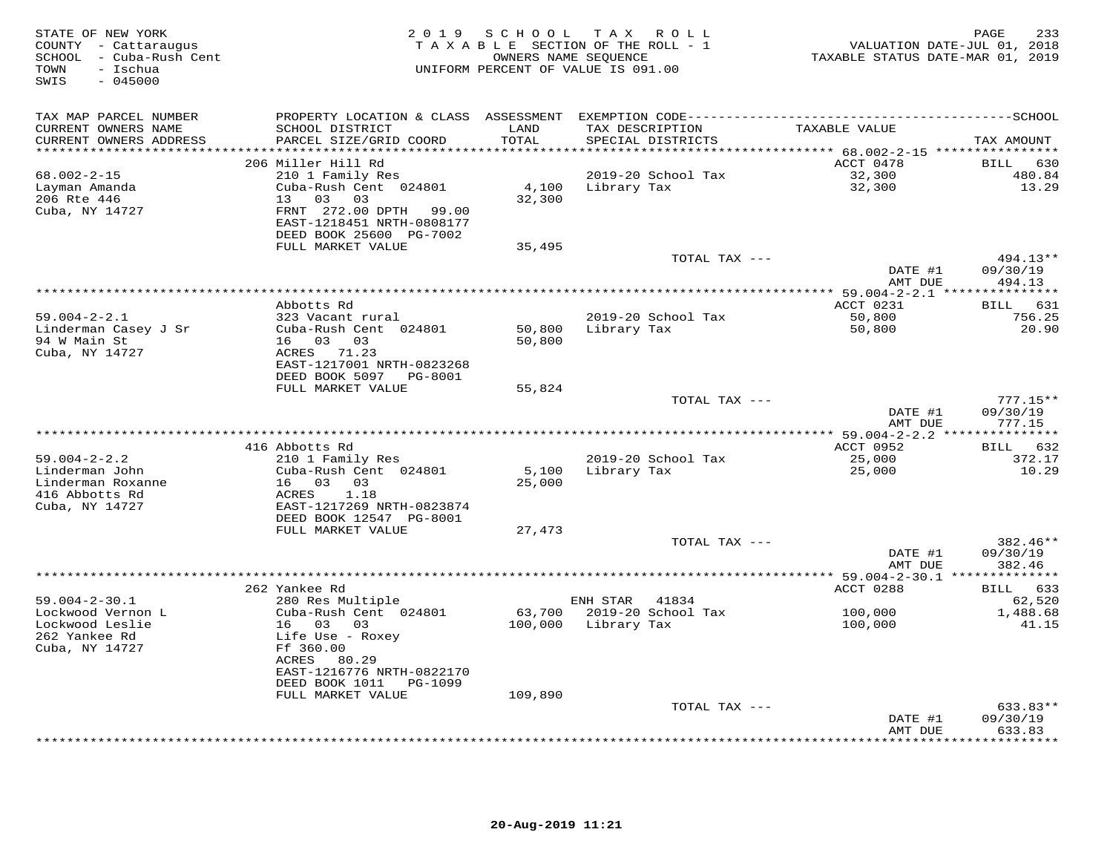| STATE OF NEW YORK<br>COUNTY - Cattaraugus<br>SCHOOL - Cuba-Rush Cent<br>- Ischua<br>TOWN<br>SWIS<br>$-045000$ |                                                                                |               | 2019 SCHOOL TAX ROLL<br>TAXABLE SECTION OF THE ROLL - 1<br>OWNERS NAME SEQUENCE<br>UNIFORM PERCENT OF VALUE IS 091.00 | VALUATION DATE-JUL 01, 2018<br>TAXABLE STATUS DATE-MAR 01, 2019 | PAGE<br>233               |
|---------------------------------------------------------------------------------------------------------------|--------------------------------------------------------------------------------|---------------|-----------------------------------------------------------------------------------------------------------------------|-----------------------------------------------------------------|---------------------------|
| TAX MAP PARCEL NUMBER                                                                                         |                                                                                |               |                                                                                                                       |                                                                 |                           |
| CURRENT OWNERS NAME<br>CURRENT OWNERS ADDRESS                                                                 | SCHOOL DISTRICT<br>PARCEL SIZE/GRID COORD                                      | LAND<br>TOTAL | TAX DESCRIPTION<br>SPECIAL DISTRICTS                                                                                  | TAXABLE VALUE                                                   | TAX AMOUNT                |
| **********************                                                                                        | ****************************                                                   |               |                                                                                                                       |                                                                 |                           |
|                                                                                                               | 206 Miller Hill Rd                                                             |               |                                                                                                                       | ACCT 0478                                                       | BILL 630                  |
| $68.002 - 2 - 15$                                                                                             | 210 1 Family Res                                                               |               | 2019-20 School Tax                                                                                                    | 32,300                                                          | 480.84                    |
| Layman Amanda<br>206 Rte 446                                                                                  | Cuba-Rush Cent 024801<br>13 03<br>03                                           | 32,300        | 4,100 Library Tax                                                                                                     | 32,300                                                          | 13.29                     |
| Cuba, NY 14727                                                                                                | FRNT 272.00 DPTH 99.00<br>EAST-1218451 NRTH-0808177<br>DEED BOOK 25600 PG-7002 |               |                                                                                                                       |                                                                 |                           |
|                                                                                                               | FULL MARKET VALUE                                                              | 35,495        |                                                                                                                       |                                                                 |                           |
|                                                                                                               |                                                                                |               | TOTAL TAX ---                                                                                                         |                                                                 | 494.13**                  |
|                                                                                                               |                                                                                |               |                                                                                                                       | DATE #1<br>AMT DUE                                              | 09/30/19<br>494.13        |
|                                                                                                               |                                                                                |               |                                                                                                                       |                                                                 |                           |
|                                                                                                               | Abbotts Rd                                                                     |               |                                                                                                                       | ACCT 0231                                                       | BILL 631                  |
| $59.004 - 2 - 2.1$                                                                                            | 323 Vacant rural                                                               |               | 2019-20 School Tax                                                                                                    | 50,800                                                          | 756.25                    |
| Linderman Casey J Sr                                                                                          | Cuba-Rush Cent 024801                                                          | 50,800        | Library Tax                                                                                                           | 50,800                                                          | 20.90                     |
| 94 W Main St<br>Cuba, NY 14727                                                                                | 16 03 03<br>ACRES 71.23                                                        | 50,800        |                                                                                                                       |                                                                 |                           |
|                                                                                                               | EAST-1217001 NRTH-0823268<br>DEED BOOK 5097 PG-8001                            |               |                                                                                                                       |                                                                 |                           |
|                                                                                                               | FULL MARKET VALUE                                                              | 55,824        | TOTAL TAX ---                                                                                                         |                                                                 | $777.15**$                |
|                                                                                                               |                                                                                |               |                                                                                                                       | DATE #1<br>AMT DUE                                              | 09/30/19<br>777.15        |
|                                                                                                               | * * * * * * * * * * * * * * * * *                                              |               |                                                                                                                       | ******** 59.004-2-2.2 ***                                       | ************              |
|                                                                                                               | 416 Abbotts Rd                                                                 |               |                                                                                                                       | ACCT 0952                                                       | BILL 632                  |
| $59.004 - 2 - 2.2$                                                                                            | 210 1 Family Res                                                               |               | 2019-20 School Tax                                                                                                    | 25,000                                                          | 372.17                    |
| Linderman John                                                                                                | Cuba-Rush Cent 024801                                                          | 5,100         | Library Tax                                                                                                           | 25,000                                                          | 10.29                     |
| Linderman Roxanne                                                                                             | 16 03 03                                                                       | 25,000        |                                                                                                                       |                                                                 |                           |
| 416 Abbotts Rd<br>Cuba, NY 14727                                                                              | 1.18<br>ACRES<br>EAST-1217269 NRTH-0823874                                     |               |                                                                                                                       |                                                                 |                           |
|                                                                                                               | DEED BOOK 12547 PG-8001                                                        |               |                                                                                                                       |                                                                 |                           |
|                                                                                                               | FULL MARKET VALUE                                                              | 27,473        |                                                                                                                       |                                                                 |                           |
|                                                                                                               |                                                                                |               | TOTAL TAX ---                                                                                                         |                                                                 | $382.46**$                |
|                                                                                                               |                                                                                |               |                                                                                                                       | DATE #1                                                         | 09/30/19                  |
|                                                                                                               |                                                                                |               |                                                                                                                       | AMT DUE                                                         | 382.46                    |
|                                                                                                               |                                                                                |               |                                                                                                                       |                                                                 |                           |
|                                                                                                               | 262 Yankee Rd                                                                  |               |                                                                                                                       | ACCT 0288                                                       | BILL 633                  |
| $59.004 - 2 - 30.1$<br>Lockwood Vernon L                                                                      | 280 Res Multiple<br>Cuba-Rush Cent 024801                                      | 63,700        | ENH STAR 41834<br>2019-20 School Tax                                                                                  | 100,000                                                         | 62,520<br>1,488.68        |
| Lockwood Leslie                                                                                               | 16 03<br>03                                                                    | 100,000       | Library Tax                                                                                                           | 100,000                                                         | 41.15                     |
| 262 Yankee Rd                                                                                                 | Life Use - Roxey                                                               |               |                                                                                                                       |                                                                 |                           |
| Cuba, NY 14727                                                                                                | Ff 360.00                                                                      |               |                                                                                                                       |                                                                 |                           |
|                                                                                                               | ACRES<br>80.29                                                                 |               |                                                                                                                       |                                                                 |                           |
|                                                                                                               | EAST-1216776 NRTH-0822170                                                      |               |                                                                                                                       |                                                                 |                           |
|                                                                                                               | DEED BOOK 1011<br>PG-1099                                                      |               |                                                                                                                       |                                                                 |                           |
|                                                                                                               | FULL MARKET VALUE                                                              | 109,890       |                                                                                                                       |                                                                 |                           |
|                                                                                                               |                                                                                |               | TOTAL TAX ---                                                                                                         |                                                                 | $633.83**$                |
|                                                                                                               |                                                                                |               |                                                                                                                       | DATE #1                                                         | 09/30/19                  |
|                                                                                                               |                                                                                |               |                                                                                                                       | AMT DUE                                                         | 633.83<br>* * * * * * * * |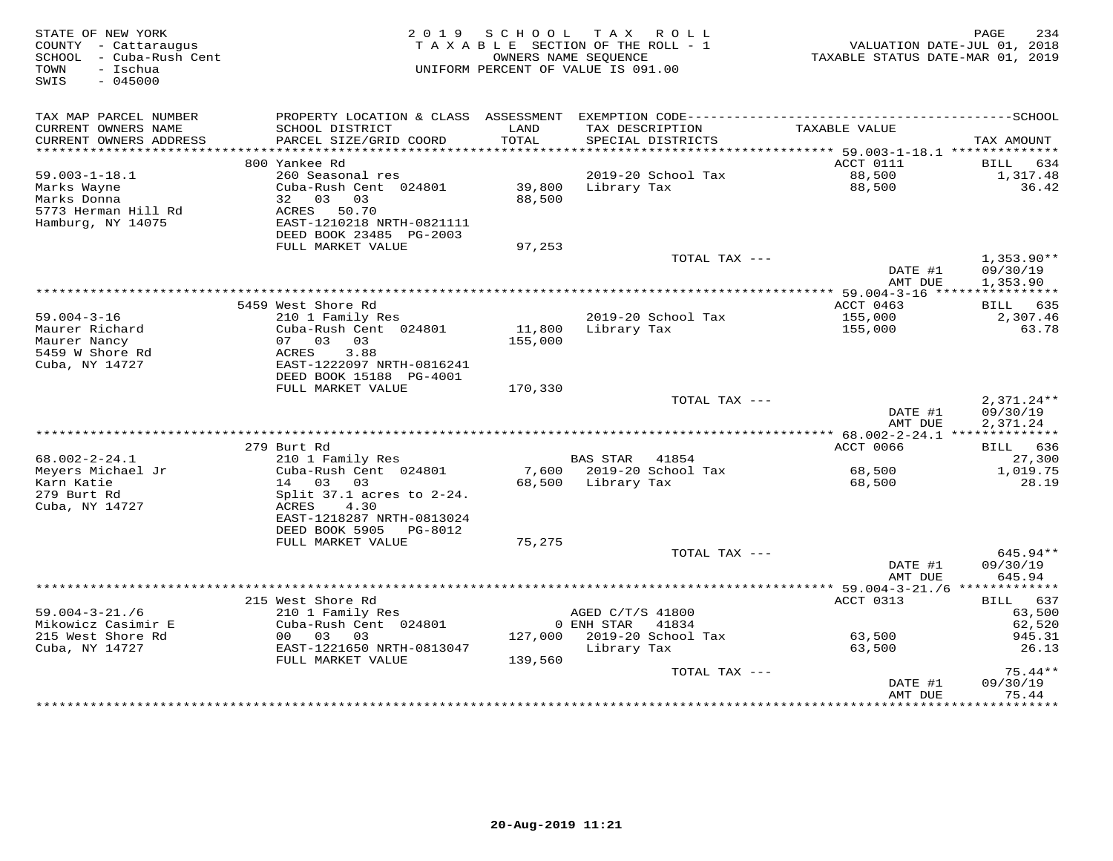| STATE OF NEW YORK<br>COUNTY - Cattaraugus<br>SCHOOL - Cuba-Rush Cent<br>- Ischua<br>TOWN<br>SWIS<br>$-045000$ |                                                                                                                              | 2019 SCHOOL<br>TAXABLE SECTION OF THE ROLL - 1<br>OWNERS NAME SEQUENCE<br>UNIFORM PERCENT OF VALUE IS 091.00 |                                                     | TAX ROLL                                       | TAXABLE STATUS DATE-MAR 01, 2019 | PAGE<br>234<br>VALUATION DATE-JUL 01, 2018      |
|---------------------------------------------------------------------------------------------------------------|------------------------------------------------------------------------------------------------------------------------------|--------------------------------------------------------------------------------------------------------------|-----------------------------------------------------|------------------------------------------------|----------------------------------|-------------------------------------------------|
| TAX MAP PARCEL NUMBER<br>CURRENT OWNERS NAME<br>CURRENT OWNERS ADDRESS                                        | SCHOOL DISTRICT<br>PARCEL SIZE/GRID COORD                                                                                    | LAND<br>TOTAL                                                                                                |                                                     | TAX DESCRIPTION<br>SPECIAL DISTRICTS           | TAXABLE VALUE                    | TAX AMOUNT                                      |
| ***********************                                                                                       | 800 Yankee Rd                                                                                                                |                                                                                                              |                                                     |                                                | ACCT 0111                        | BILL 634                                        |
| $59.003 - 1 - 18.1$<br>Marks Wayne<br>Marks Donna<br>5773 Herman Hill Rd<br>Hamburg, NY 14075                 | 260 Seasonal res<br>Cuba-Rush Cent 024801<br>32 03 03<br>ACRES 50.70<br>EAST-1210218 NRTH-0821111                            | 39,800 Library Tax<br>88,500                                                                                 |                                                     | 2019-20 School Tax                             | 88,500<br>88,500                 | 1,317.48<br>36.42                               |
|                                                                                                               | DEED BOOK 23485 PG-2003<br>FULL MARKET VALUE                                                                                 | 97,253                                                                                                       |                                                     |                                                |                                  |                                                 |
|                                                                                                               |                                                                                                                              |                                                                                                              |                                                     | TOTAL TAX ---                                  | DATE #1<br>AMT DUE               | $1,353.90**$<br>09/30/19<br>1,353.90            |
|                                                                                                               |                                                                                                                              |                                                                                                              |                                                     |                                                |                                  |                                                 |
| $59.004 - 3 - 16$                                                                                             | 5459 West Shore Rd<br>210 1 Family Res                                                                                       |                                                                                                              |                                                     | 2019-20 School Tax                             | ACCT 0463<br>155,000             | BILL 635<br>2,307.46                            |
| Maurer Richard<br>Maurer Nancy<br>5459 W Shore Rd<br>Cuba, NY 14727                                           | Cuba-Rush Cent 024801<br>07 03 03<br>ACRES<br>3.88<br>EAST-1222097 NRTH-0816241<br>DEED BOOK 15188 PG-4001                   | 11,800 Library Tax<br>155,000                                                                                |                                                     |                                                | 155,000                          | 63.78                                           |
|                                                                                                               | FULL MARKET VALUE                                                                                                            | 170,330                                                                                                      |                                                     |                                                |                                  |                                                 |
|                                                                                                               |                                                                                                                              |                                                                                                              |                                                     | TOTAL TAX ---                                  | DATE #1<br>AMT DUE               | $2,371.24**$<br>09/30/19<br>2,371.24            |
|                                                                                                               |                                                                                                                              |                                                                                                              |                                                     |                                                |                                  |                                                 |
| $68.002 - 2 - 24.1$                                                                                           | 279 Burt Rd<br>210 1 Family Res                                                                                              |                                                                                                              | <b>BAS STAR</b>                                     | 41854                                          | ACCT 0066                        | BILL 636<br>27,300                              |
| Meyers Michael Jr<br>Karn Katie                                                                               | Cuba-Rush Cent 024801<br>14 03 03                                                                                            |                                                                                                              |                                                     | 7,600 2019-20 School Tax<br>68,500 Library Tax | 68,500<br>68,500                 | 1,019.75<br>28.19                               |
| 279 Burt Rd<br>Cuba, NY 14727                                                                                 | Split $37.1$ acres to $2-24$ .<br>ACRES<br>4.30<br>EAST-1218287 NRTH-0813024<br>DEED BOOK 5905 PG-8012<br>FULL MARKET VALUE  | 75,275                                                                                                       |                                                     |                                                |                                  |                                                 |
|                                                                                                               |                                                                                                                              |                                                                                                              |                                                     | TOTAL TAX ---                                  | DATE #1                          | $645.94**$<br>09/30/19                          |
|                                                                                                               |                                                                                                                              |                                                                                                              |                                                     |                                                | AMT DUE                          | 645.94                                          |
| $59.004 - 3 - 21.76$<br>Mikowicz Casimir E<br>215 West Shore Rd<br>Cuba, NY 14727                             | 215 West Shore Rd<br>210 1 Family Res<br>Cuba-Rush Cent 024801<br>00 03 03<br>EAST-1221650 NRTH-0813047<br>FULL MARKET VALUE | 139,560                                                                                                      | AGED C/T/S 41800<br>0 ENH STAR 41834<br>Library Tax | 127,000 2019-20 School Tax                     | ACCT 0313<br>63,500<br>63,500    | BILL 637<br>63,500<br>62,520<br>945.31<br>26.13 |
|                                                                                                               |                                                                                                                              |                                                                                                              |                                                     | TOTAL TAX ---                                  |                                  | $75.44**$                                       |
|                                                                                                               |                                                                                                                              |                                                                                                              |                                                     |                                                | DATE #1<br>AMT DUE               | 09/30/19<br>75.44<br>* * * * * * * * * *        |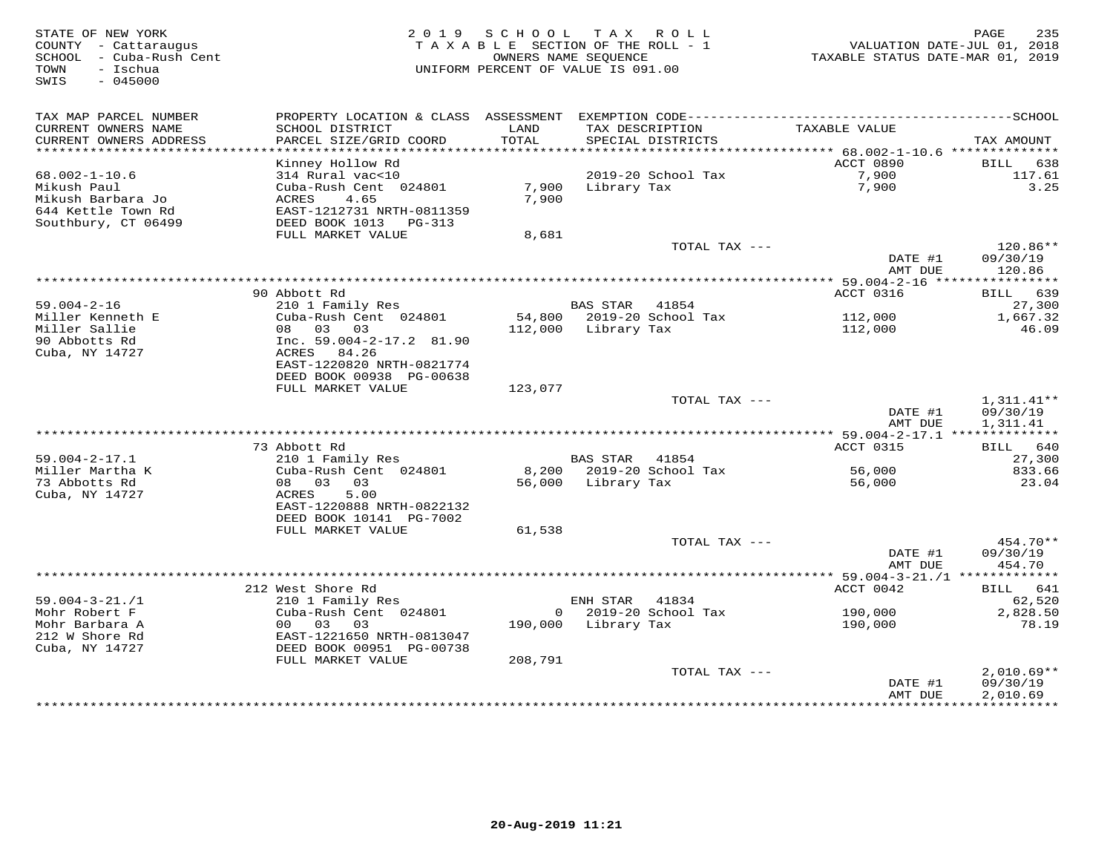STATE OF NEW YORK 2 0 1 9 S C H O O L T A X R O L L PAGE 235 COUNTY - Cattaraugus T A X A B L E SECTION OF THE ROLL - 1 VALUATION DATE-JUL 01, 2018 SCHOOL - Cuba-Rush Cent OWNERS NAME SEQUENCE TAXABLE STATUS DATE-MAR 01, 2019 TOWN - Ischua UNIFORM PERCENT OF VALUE IS 091.00 SWIS - 045000TAX MAP PARCEL NUMBER PROPERTY LOCATION & CLASS ASSESSMENT EXEMPTION CODE------------------------------------------SCHOOL CURRENT OWNERS NAME SCHOOL DISTRICT LAND TAX DESCRIPTION TAXABLE VALUE CURRENT OWNERS ADDRESS PARCEL SIZE/GRID COORD TOTAL SPECIAL DISTRICTS TAX AMOUNT \*\*\*\*\*\*\*\*\*\*\*\*\*\*\*\*\*\*\*\*\*\*\*\*\*\*\*\*\*\*\*\*\*\*\*\*\*\*\*\*\*\*\*\*\*\*\*\*\*\*\*\*\*\*\*\*\*\*\*\*\*\*\*\*\*\*\*\*\*\*\*\*\*\*\*\*\*\*\*\*\*\*\*\*\*\*\*\*\*\*\*\*\*\*\*\*\*\*\*\*\*\*\* 68.002-1-10.6 \*\*\*\*\*\*\*\*\*\*\*\*\*\* Kinney Hollow Rd ACCT 0890 BILL 638 68.002-1-10.6 314 Rural vac<10 2019-20 School Tax 7,900 117.61 Mikush Paul Cuba-Rush Cent 024801 7,900 Library Tax 7,900 3.25 Mikush Barbara Jo ACRES 4.65 7,900 644 Kettle Town Rd EAST-1212731 NRTH-0811359 Southbury, CT 06499 DEED BOOK 1013 PG-313 FULL MARKET VALUE 8,681 TOTAL TAX --- 120.86\*\* DATE #1 09/30/19 AMT DUE 120.86 \*\*\*\*\*\*\*\*\*\*\*\*\*\*\*\*\*\*\*\*\*\*\*\*\*\*\*\*\*\*\*\*\*\*\*\*\*\*\*\*\*\*\*\*\*\*\*\*\*\*\*\*\*\*\*\*\*\*\*\*\*\*\*\*\*\*\*\*\*\*\*\*\*\*\*\*\*\*\*\*\*\*\*\*\*\*\*\*\*\*\*\*\*\*\*\*\*\*\*\*\*\*\* 59.004-2-16 \*\*\*\*\*\*\*\*\*\*\*\*\*\*\*\* $\text{ACCT}$  0316 BILL 639 90 Abbott Rd ACCT 0316 BILL 63927,300 59.004-2-16 210 1 Family Res BAS STAR 41854 27,300Miller Kenneth E Cuba-Rush Cent 024801 54,800 2019-20 School Tax 112,000 1,667.32Miller Sallie 08 03 03 112,000 Library Tax 112,000 46.0990 Abbotts Rd Inc. 59.004-2-17.2 81.90 Cuba, NY 14727 ACRES 84.26 EAST-1220820 NRTH-0821774 DEED BOOK 00938 PG-00638 FULL MARKET VALUE 123,077  ${\tt TOTAL\,\,\, TAX\,\,\,---}\qquad \qquad 1\, ,\, 311\, .\, 41***$  DATE #1 09/30/19 AMT DUE 1,311.41 \*\*\*\*\*\*\*\*\*\*\*\*\*\*\*\*\*\*\*\*\*\*\*\*\*\*\*\*\*\*\*\*\*\*\*\*\*\*\*\*\*\*\*\*\*\*\*\*\*\*\*\*\*\*\*\*\*\*\*\*\*\*\*\*\*\*\*\*\*\*\*\*\*\*\*\*\*\*\*\*\*\*\*\*\*\*\*\*\*\*\*\*\*\*\*\*\*\*\*\*\*\*\* 59.004-2-17.1 \*\*\*\*\*\*\*\*\*\*\*\*\*\* 73 Abbott Rd ACCT 0315 BILL 640 59.004-2-17.1 210 1 Family Res BAS STAR 41854 27,300 Miller Martha K Cuba-Rush Cent 024801 8,200 2019-20 School Tax 56,000 833.66 73 Abbotts Rd 08 03 03 56,000 Library Tax 56,000 23.04 Cuba, NY 14727 ACRES 5.00 EAST-1220888 NRTH-0822132 DEED BOOK 10141 PG-7002 FULL MARKET VALUE 61,538 TOTAL TAX --- 454.70\*\* DATE #1 09/30/19AMT DUE 454.70 AMT DUE 454.70 \*\*\*\*\*\*\*\*\*\*\*\*\*\*\*\*\*\*\*\*\*\*\*\*\*\*\*\*\*\*\*\*\*\*\*\*\*\*\*\*\*\*\*\*\*\*\*\*\*\*\*\*\*\*\*\*\*\*\*\*\*\*\*\*\*\*\*\*\*\*\*\*\*\*\*\*\*\*\*\*\*\*\*\*\*\*\*\*\*\*\*\*\*\*\*\*\*\*\*\*\*\*\* 59.004-3-21./1 \*\*\*\*\*\*\*\*\*\*\*\*\*39.004-3-21./1 212 West Shore Rd<br>
Mohr Robert F 2010 Family Res<br>
Mohr Barbara A 00 03 03 03 190,000 Library Tax 190,000 2019-20 School Tax 190,000 2,828.50<br>
212 W Shore Rd EAST-1221650 NRTH-0813047<br>
Cuba, NY 14727 DEED BOO DATE #1 09/30/19 AMT DUE 2,010.69\*\*\*\*\*\*\*\*\*\*\*\*\*\*\*\*\*\*\*\*\*\*\*\*\*\*\*\*\*\*\*\*\*\*\*\*\*\*\*\*\*\*\*\*\*\*\*\*\*\*\*\*\*\*\*\*\*\*\*\*\*\*\*\*\*\*\*\*\*\*\*\*\*\*\*\*\*\*\*\*\*\*\*\*\*\*\*\*\*\*\*\*\*\*\*\*\*\*\*\*\*\*\*\*\*\*\*\*\*\*\*\*\*\*\*\*\*\*\*\*\*\*\*\*\*\*\*\*\*\*\*\*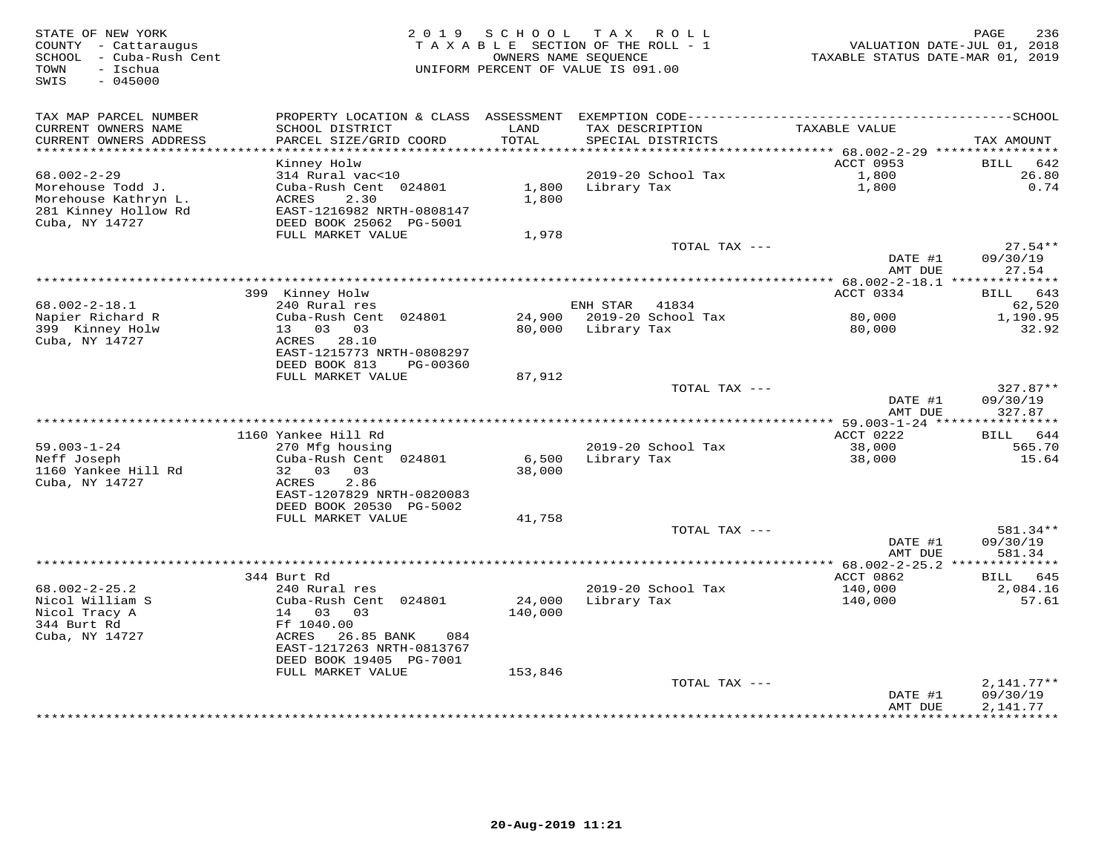| TAX MAP PARCEL NUMBER<br>CURRENT OWNERS NAME<br>SCHOOL DISTRICT<br>LAND<br>TAX DESCRIPTION<br>TAXABLE VALUE<br>CURRENT OWNERS ADDRESS<br>PARCEL SIZE/GRID COORD<br>TOTAL<br>SPECIAL DISTRICTS<br>TAX AMOUNT<br>***********************<br>ACCT 0953<br>642<br>Kinney Holw<br><b>BILL</b><br>$68.002 - 2 - 29$<br>314 Rural vac<10<br>2019-20 School Tax<br>1,800<br>26.80<br>0.74<br>Morehouse Todd J.<br>Cuba-Rush Cent 024801<br>1,800<br>Library Tax<br>1,800<br>1,800<br>Morehouse Kathryn L.<br>ACRES<br>2.30<br>281 Kinney Hollow Rd<br>EAST-1216982 NRTH-0808147<br>Cuba, NY 14727<br>DEED BOOK 25062 PG-5001<br>FULL MARKET VALUE<br>1,978<br>$27.54**$<br>TOTAL TAX ---<br>DATE #1<br>09/30/19<br>AMT DUE<br>27.54<br>399 Kinney Holw<br>ACCT 0334<br>643<br>BILL<br>$68.002 - 2 - 18.1$<br>240 Rural res<br>ENH STAR<br>41834<br>62,520<br>Napier Richard R<br>Cuba-Rush Cent 024801<br>24,900<br>2019-20 School Tax<br>80,000<br>1,190.95<br>399 Kinney Holw<br>13 03<br>03<br>80,000<br>Library Tax<br>80,000<br>32.92<br>Cuba, NY 14727<br>ACRES 28.10<br>EAST-1215773 NRTH-0808297<br>DEED BOOK 813<br>PG-00360<br>FULL MARKET VALUE<br>87,912<br>$327.87**$<br>TOTAL TAX ---<br>DATE #1<br>09/30/19<br>AMT DUE<br>327.87<br>1160 Yankee Hill Rd<br>ACCT 0222<br>BILL 644<br>38,000<br>$59.003 - 1 - 24$<br>270 Mfg housing<br>2019-20 School Tax<br>565.70<br>Neff Joseph<br>Cuba-Rush Cent 024801<br>38,000<br>6,500<br>Library Tax<br>15.64<br>1160 Yankee Hill Rd<br>32 03<br>03<br>38,000<br>Cuba, NY 14727<br>ACRES<br>2.86<br>EAST-1207829 NRTH-0820083<br>DEED BOOK 20530 PG-5002<br>FULL MARKET VALUE<br>41,758<br>581.34**<br>TOTAL TAX ---<br>09/30/19<br>DATE #1<br>581.34<br>AMT DUE<br>************************<br>** $68.002 - 2 - 25.2$ **************<br>344 Burt Rd<br>ACCT 0862<br>645<br>BILL<br>$68.002 - 2 - 25.2$<br>2019-20 School Tax<br>240 Rural res<br>140,000<br>2,084.16<br>Nicol William S<br>Cuba-Rush Cent 024801<br>24,000<br>Library Tax<br>57.61<br>140,000<br>Nicol Tracy A<br>14 03 03<br>140,000<br>344 Burt Rd<br>Ff 1040.00<br>Cuba, NY 14727<br>ACRES<br>26.85 BANK<br>084<br>EAST-1217263 NRTH-0813767<br>DEED BOOK 19405 PG-7001<br>FULL MARKET VALUE<br>153,846<br>TOTAL TAX ---<br>$2,141.77**$<br>DATE #1<br>09/30/19<br>2,141.77<br>AMT DUE | STATE OF NEW YORK<br>COUNTY - Cattaraugus<br>SCHOOL - Cuba-Rush Cent<br>- Ischua<br>TOWN<br>SWIS<br>$-045000$ | 2019 SCHOOL | T A X<br>R O L L<br>TAXABLE SECTION OF THE ROLL - 1<br>OWNERS NAME SEQUENCE<br>UNIFORM PERCENT OF VALUE IS 091.00 | TAXABLE STATUS DATE-MAR 01, 2019 | 236<br>PAGE<br>VALUATION DATE-JUL 01, 2018 |
|-----------------------------------------------------------------------------------------------------------------------------------------------------------------------------------------------------------------------------------------------------------------------------------------------------------------------------------------------------------------------------------------------------------------------------------------------------------------------------------------------------------------------------------------------------------------------------------------------------------------------------------------------------------------------------------------------------------------------------------------------------------------------------------------------------------------------------------------------------------------------------------------------------------------------------------------------------------------------------------------------------------------------------------------------------------------------------------------------------------------------------------------------------------------------------------------------------------------------------------------------------------------------------------------------------------------------------------------------------------------------------------------------------------------------------------------------------------------------------------------------------------------------------------------------------------------------------------------------------------------------------------------------------------------------------------------------------------------------------------------------------------------------------------------------------------------------------------------------------------------------------------------------------------------------------------------------------------------------------------------------------------------------------------------------------------------------------------------------------------------------------------------------------------------------------------------------------------------------------------------------------------------------------------------------------------|---------------------------------------------------------------------------------------------------------------|-------------|-------------------------------------------------------------------------------------------------------------------|----------------------------------|--------------------------------------------|
|                                                                                                                                                                                                                                                                                                                                                                                                                                                                                                                                                                                                                                                                                                                                                                                                                                                                                                                                                                                                                                                                                                                                                                                                                                                                                                                                                                                                                                                                                                                                                                                                                                                                                                                                                                                                                                                                                                                                                                                                                                                                                                                                                                                                                                                                                                           |                                                                                                               |             |                                                                                                                   |                                  |                                            |
|                                                                                                                                                                                                                                                                                                                                                                                                                                                                                                                                                                                                                                                                                                                                                                                                                                                                                                                                                                                                                                                                                                                                                                                                                                                                                                                                                                                                                                                                                                                                                                                                                                                                                                                                                                                                                                                                                                                                                                                                                                                                                                                                                                                                                                                                                                           |                                                                                                               |             |                                                                                                                   |                                  |                                            |
|                                                                                                                                                                                                                                                                                                                                                                                                                                                                                                                                                                                                                                                                                                                                                                                                                                                                                                                                                                                                                                                                                                                                                                                                                                                                                                                                                                                                                                                                                                                                                                                                                                                                                                                                                                                                                                                                                                                                                                                                                                                                                                                                                                                                                                                                                                           |                                                                                                               |             |                                                                                                                   |                                  |                                            |
|                                                                                                                                                                                                                                                                                                                                                                                                                                                                                                                                                                                                                                                                                                                                                                                                                                                                                                                                                                                                                                                                                                                                                                                                                                                                                                                                                                                                                                                                                                                                                                                                                                                                                                                                                                                                                                                                                                                                                                                                                                                                                                                                                                                                                                                                                                           |                                                                                                               |             |                                                                                                                   |                                  |                                            |
|                                                                                                                                                                                                                                                                                                                                                                                                                                                                                                                                                                                                                                                                                                                                                                                                                                                                                                                                                                                                                                                                                                                                                                                                                                                                                                                                                                                                                                                                                                                                                                                                                                                                                                                                                                                                                                                                                                                                                                                                                                                                                                                                                                                                                                                                                                           |                                                                                                               |             |                                                                                                                   |                                  |                                            |
|                                                                                                                                                                                                                                                                                                                                                                                                                                                                                                                                                                                                                                                                                                                                                                                                                                                                                                                                                                                                                                                                                                                                                                                                                                                                                                                                                                                                                                                                                                                                                                                                                                                                                                                                                                                                                                                                                                                                                                                                                                                                                                                                                                                                                                                                                                           |                                                                                                               |             |                                                                                                                   |                                  |                                            |
|                                                                                                                                                                                                                                                                                                                                                                                                                                                                                                                                                                                                                                                                                                                                                                                                                                                                                                                                                                                                                                                                                                                                                                                                                                                                                                                                                                                                                                                                                                                                                                                                                                                                                                                                                                                                                                                                                                                                                                                                                                                                                                                                                                                                                                                                                                           |                                                                                                               |             |                                                                                                                   |                                  |                                            |
|                                                                                                                                                                                                                                                                                                                                                                                                                                                                                                                                                                                                                                                                                                                                                                                                                                                                                                                                                                                                                                                                                                                                                                                                                                                                                                                                                                                                                                                                                                                                                                                                                                                                                                                                                                                                                                                                                                                                                                                                                                                                                                                                                                                                                                                                                                           |                                                                                                               |             |                                                                                                                   |                                  |                                            |
|                                                                                                                                                                                                                                                                                                                                                                                                                                                                                                                                                                                                                                                                                                                                                                                                                                                                                                                                                                                                                                                                                                                                                                                                                                                                                                                                                                                                                                                                                                                                                                                                                                                                                                                                                                                                                                                                                                                                                                                                                                                                                                                                                                                                                                                                                                           |                                                                                                               |             |                                                                                                                   |                                  |                                            |
|                                                                                                                                                                                                                                                                                                                                                                                                                                                                                                                                                                                                                                                                                                                                                                                                                                                                                                                                                                                                                                                                                                                                                                                                                                                                                                                                                                                                                                                                                                                                                                                                                                                                                                                                                                                                                                                                                                                                                                                                                                                                                                                                                                                                                                                                                                           |                                                                                                               |             |                                                                                                                   |                                  |                                            |
|                                                                                                                                                                                                                                                                                                                                                                                                                                                                                                                                                                                                                                                                                                                                                                                                                                                                                                                                                                                                                                                                                                                                                                                                                                                                                                                                                                                                                                                                                                                                                                                                                                                                                                                                                                                                                                                                                                                                                                                                                                                                                                                                                                                                                                                                                                           |                                                                                                               |             |                                                                                                                   |                                  |                                            |
|                                                                                                                                                                                                                                                                                                                                                                                                                                                                                                                                                                                                                                                                                                                                                                                                                                                                                                                                                                                                                                                                                                                                                                                                                                                                                                                                                                                                                                                                                                                                                                                                                                                                                                                                                                                                                                                                                                                                                                                                                                                                                                                                                                                                                                                                                                           |                                                                                                               |             |                                                                                                                   |                                  |                                            |
|                                                                                                                                                                                                                                                                                                                                                                                                                                                                                                                                                                                                                                                                                                                                                                                                                                                                                                                                                                                                                                                                                                                                                                                                                                                                                                                                                                                                                                                                                                                                                                                                                                                                                                                                                                                                                                                                                                                                                                                                                                                                                                                                                                                                                                                                                                           |                                                                                                               |             |                                                                                                                   |                                  |                                            |
|                                                                                                                                                                                                                                                                                                                                                                                                                                                                                                                                                                                                                                                                                                                                                                                                                                                                                                                                                                                                                                                                                                                                                                                                                                                                                                                                                                                                                                                                                                                                                                                                                                                                                                                                                                                                                                                                                                                                                                                                                                                                                                                                                                                                                                                                                                           |                                                                                                               |             |                                                                                                                   |                                  |                                            |
|                                                                                                                                                                                                                                                                                                                                                                                                                                                                                                                                                                                                                                                                                                                                                                                                                                                                                                                                                                                                                                                                                                                                                                                                                                                                                                                                                                                                                                                                                                                                                                                                                                                                                                                                                                                                                                                                                                                                                                                                                                                                                                                                                                                                                                                                                                           |                                                                                                               |             |                                                                                                                   |                                  |                                            |
|                                                                                                                                                                                                                                                                                                                                                                                                                                                                                                                                                                                                                                                                                                                                                                                                                                                                                                                                                                                                                                                                                                                                                                                                                                                                                                                                                                                                                                                                                                                                                                                                                                                                                                                                                                                                                                                                                                                                                                                                                                                                                                                                                                                                                                                                                                           |                                                                                                               |             |                                                                                                                   |                                  |                                            |
|                                                                                                                                                                                                                                                                                                                                                                                                                                                                                                                                                                                                                                                                                                                                                                                                                                                                                                                                                                                                                                                                                                                                                                                                                                                                                                                                                                                                                                                                                                                                                                                                                                                                                                                                                                                                                                                                                                                                                                                                                                                                                                                                                                                                                                                                                                           |                                                                                                               |             |                                                                                                                   |                                  |                                            |
|                                                                                                                                                                                                                                                                                                                                                                                                                                                                                                                                                                                                                                                                                                                                                                                                                                                                                                                                                                                                                                                                                                                                                                                                                                                                                                                                                                                                                                                                                                                                                                                                                                                                                                                                                                                                                                                                                                                                                                                                                                                                                                                                                                                                                                                                                                           |                                                                                                               |             |                                                                                                                   |                                  |                                            |
|                                                                                                                                                                                                                                                                                                                                                                                                                                                                                                                                                                                                                                                                                                                                                                                                                                                                                                                                                                                                                                                                                                                                                                                                                                                                                                                                                                                                                                                                                                                                                                                                                                                                                                                                                                                                                                                                                                                                                                                                                                                                                                                                                                                                                                                                                                           |                                                                                                               |             |                                                                                                                   |                                  |                                            |
|                                                                                                                                                                                                                                                                                                                                                                                                                                                                                                                                                                                                                                                                                                                                                                                                                                                                                                                                                                                                                                                                                                                                                                                                                                                                                                                                                                                                                                                                                                                                                                                                                                                                                                                                                                                                                                                                                                                                                                                                                                                                                                                                                                                                                                                                                                           |                                                                                                               |             |                                                                                                                   |                                  |                                            |
|                                                                                                                                                                                                                                                                                                                                                                                                                                                                                                                                                                                                                                                                                                                                                                                                                                                                                                                                                                                                                                                                                                                                                                                                                                                                                                                                                                                                                                                                                                                                                                                                                                                                                                                                                                                                                                                                                                                                                                                                                                                                                                                                                                                                                                                                                                           |                                                                                                               |             |                                                                                                                   |                                  |                                            |
|                                                                                                                                                                                                                                                                                                                                                                                                                                                                                                                                                                                                                                                                                                                                                                                                                                                                                                                                                                                                                                                                                                                                                                                                                                                                                                                                                                                                                                                                                                                                                                                                                                                                                                                                                                                                                                                                                                                                                                                                                                                                                                                                                                                                                                                                                                           |                                                                                                               |             |                                                                                                                   |                                  |                                            |
|                                                                                                                                                                                                                                                                                                                                                                                                                                                                                                                                                                                                                                                                                                                                                                                                                                                                                                                                                                                                                                                                                                                                                                                                                                                                                                                                                                                                                                                                                                                                                                                                                                                                                                                                                                                                                                                                                                                                                                                                                                                                                                                                                                                                                                                                                                           |                                                                                                               |             |                                                                                                                   |                                  |                                            |
|                                                                                                                                                                                                                                                                                                                                                                                                                                                                                                                                                                                                                                                                                                                                                                                                                                                                                                                                                                                                                                                                                                                                                                                                                                                                                                                                                                                                                                                                                                                                                                                                                                                                                                                                                                                                                                                                                                                                                                                                                                                                                                                                                                                                                                                                                                           |                                                                                                               |             |                                                                                                                   |                                  |                                            |
|                                                                                                                                                                                                                                                                                                                                                                                                                                                                                                                                                                                                                                                                                                                                                                                                                                                                                                                                                                                                                                                                                                                                                                                                                                                                                                                                                                                                                                                                                                                                                                                                                                                                                                                                                                                                                                                                                                                                                                                                                                                                                                                                                                                                                                                                                                           |                                                                                                               |             |                                                                                                                   |                                  |                                            |
|                                                                                                                                                                                                                                                                                                                                                                                                                                                                                                                                                                                                                                                                                                                                                                                                                                                                                                                                                                                                                                                                                                                                                                                                                                                                                                                                                                                                                                                                                                                                                                                                                                                                                                                                                                                                                                                                                                                                                                                                                                                                                                                                                                                                                                                                                                           |                                                                                                               |             |                                                                                                                   |                                  |                                            |
|                                                                                                                                                                                                                                                                                                                                                                                                                                                                                                                                                                                                                                                                                                                                                                                                                                                                                                                                                                                                                                                                                                                                                                                                                                                                                                                                                                                                                                                                                                                                                                                                                                                                                                                                                                                                                                                                                                                                                                                                                                                                                                                                                                                                                                                                                                           |                                                                                                               |             |                                                                                                                   |                                  |                                            |
|                                                                                                                                                                                                                                                                                                                                                                                                                                                                                                                                                                                                                                                                                                                                                                                                                                                                                                                                                                                                                                                                                                                                                                                                                                                                                                                                                                                                                                                                                                                                                                                                                                                                                                                                                                                                                                                                                                                                                                                                                                                                                                                                                                                                                                                                                                           |                                                                                                               |             |                                                                                                                   |                                  |                                            |
|                                                                                                                                                                                                                                                                                                                                                                                                                                                                                                                                                                                                                                                                                                                                                                                                                                                                                                                                                                                                                                                                                                                                                                                                                                                                                                                                                                                                                                                                                                                                                                                                                                                                                                                                                                                                                                                                                                                                                                                                                                                                                                                                                                                                                                                                                                           |                                                                                                               |             |                                                                                                                   |                                  |                                            |
|                                                                                                                                                                                                                                                                                                                                                                                                                                                                                                                                                                                                                                                                                                                                                                                                                                                                                                                                                                                                                                                                                                                                                                                                                                                                                                                                                                                                                                                                                                                                                                                                                                                                                                                                                                                                                                                                                                                                                                                                                                                                                                                                                                                                                                                                                                           |                                                                                                               |             |                                                                                                                   |                                  |                                            |
|                                                                                                                                                                                                                                                                                                                                                                                                                                                                                                                                                                                                                                                                                                                                                                                                                                                                                                                                                                                                                                                                                                                                                                                                                                                                                                                                                                                                                                                                                                                                                                                                                                                                                                                                                                                                                                                                                                                                                                                                                                                                                                                                                                                                                                                                                                           |                                                                                                               |             |                                                                                                                   |                                  |                                            |
|                                                                                                                                                                                                                                                                                                                                                                                                                                                                                                                                                                                                                                                                                                                                                                                                                                                                                                                                                                                                                                                                                                                                                                                                                                                                                                                                                                                                                                                                                                                                                                                                                                                                                                                                                                                                                                                                                                                                                                                                                                                                                                                                                                                                                                                                                                           |                                                                                                               |             |                                                                                                                   |                                  |                                            |
|                                                                                                                                                                                                                                                                                                                                                                                                                                                                                                                                                                                                                                                                                                                                                                                                                                                                                                                                                                                                                                                                                                                                                                                                                                                                                                                                                                                                                                                                                                                                                                                                                                                                                                                                                                                                                                                                                                                                                                                                                                                                                                                                                                                                                                                                                                           |                                                                                                               |             |                                                                                                                   |                                  |                                            |
|                                                                                                                                                                                                                                                                                                                                                                                                                                                                                                                                                                                                                                                                                                                                                                                                                                                                                                                                                                                                                                                                                                                                                                                                                                                                                                                                                                                                                                                                                                                                                                                                                                                                                                                                                                                                                                                                                                                                                                                                                                                                                                                                                                                                                                                                                                           |                                                                                                               |             |                                                                                                                   |                                  |                                            |
| *********************************<br>************<br>**********                                                                                                                                                                                                                                                                                                                                                                                                                                                                                                                                                                                                                                                                                                                                                                                                                                                                                                                                                                                                                                                                                                                                                                                                                                                                                                                                                                                                                                                                                                                                                                                                                                                                                                                                                                                                                                                                                                                                                                                                                                                                                                                                                                                                                                           |                                                                                                               |             |                                                                                                                   |                                  |                                            |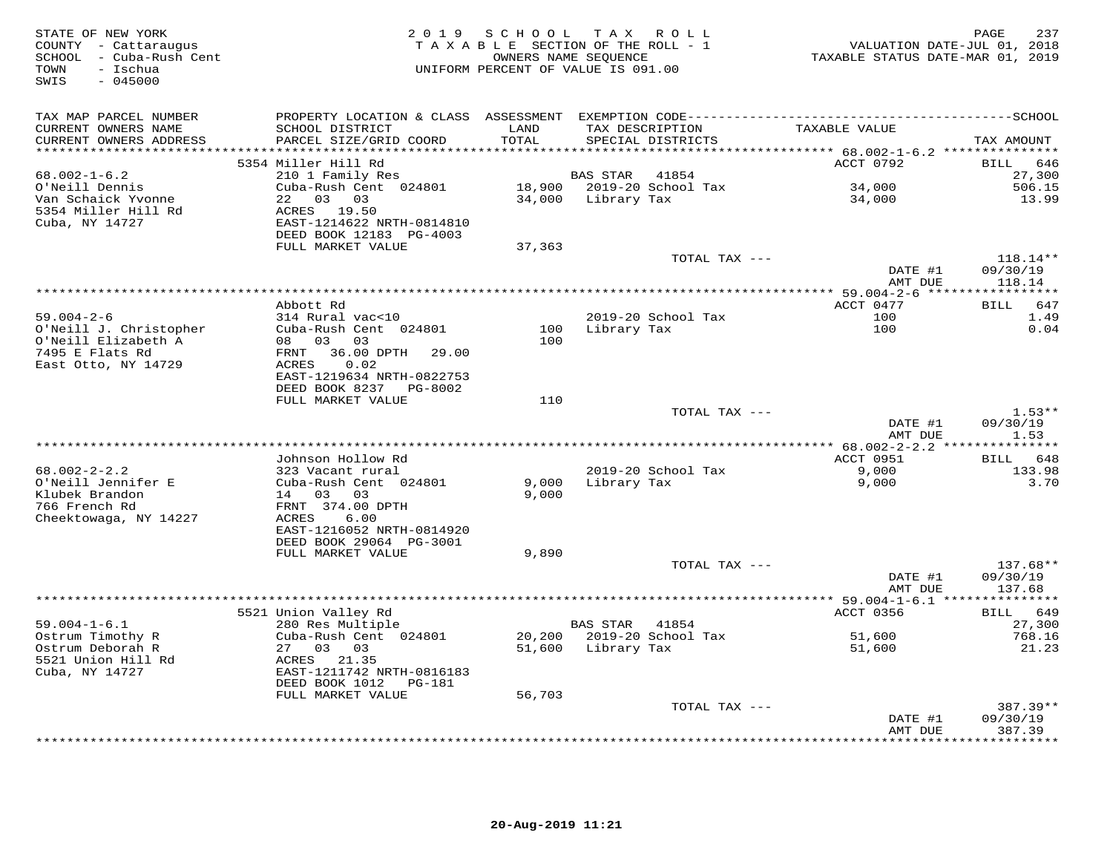| STATE OF NEW YORK<br>COUNTY - Cattaraugus<br>SCHOOL - Cuba-Rush Cent<br>- Ischua<br>TOWN<br>SWIS<br>$-045000$ | 2 0 1 9                                           | SCHOOL TAX | R O L L<br>TAXABLE SECTION OF THE ROLL - 1<br>OWNERS NAME SEQUENCE<br>UNIFORM PERCENT OF VALUE IS 091.00 | TAXABLE STATUS DATE-MAR 01, 2019 | 237<br>PAGE<br>VALUATION DATE-JUL 01, 2018 |
|---------------------------------------------------------------------------------------------------------------|---------------------------------------------------|------------|----------------------------------------------------------------------------------------------------------|----------------------------------|--------------------------------------------|
| TAX MAP PARCEL NUMBER                                                                                         |                                                   |            |                                                                                                          |                                  |                                            |
| CURRENT OWNERS NAME                                                                                           | SCHOOL DISTRICT                                   | LAND       | TAX DESCRIPTION                                                                                          | TAXABLE VALUE                    |                                            |
| CURRENT OWNERS ADDRESS<br>***********************                                                             | PARCEL SIZE/GRID COORD                            | TOTAL      | SPECIAL DISTRICTS                                                                                        |                                  | TAX AMOUNT                                 |
|                                                                                                               | 5354 Miller Hill Rd                               |            |                                                                                                          | ACCT 0792                        | 646<br><b>BILL</b>                         |
| $68.002 - 1 - 6.2$                                                                                            | 210 1 Family Res                                  |            | <b>BAS STAR</b><br>41854                                                                                 |                                  | 27,300                                     |
| O'Neill Dennis                                                                                                | Cuba-Rush Cent 024801                             |            | 18,900 2019-20 School Tax                                                                                | 34,000                           | 506.15                                     |
| Van Schaick Yvonne                                                                                            | 22 03 03                                          | 34,000     | Library Tax                                                                                              | 34,000                           | 13.99                                      |
| 5354 Miller Hill Rd                                                                                           | ACRES 19.50                                       |            |                                                                                                          |                                  |                                            |
| Cuba, NY 14727                                                                                                | EAST-1214622 NRTH-0814810                         |            |                                                                                                          |                                  |                                            |
|                                                                                                               | DEED BOOK 12183 PG-4003                           |            |                                                                                                          |                                  |                                            |
|                                                                                                               | FULL MARKET VALUE                                 | 37,363     |                                                                                                          |                                  |                                            |
|                                                                                                               |                                                   |            | TOTAL TAX ---                                                                                            | DATE #1                          | $118.14**$<br>09/30/19                     |
|                                                                                                               |                                                   |            |                                                                                                          | AMT DUE                          | 118.14                                     |
|                                                                                                               |                                                   |            |                                                                                                          |                                  |                                            |
|                                                                                                               | Abbott Rd                                         |            |                                                                                                          | ACCT 0477                        | <b>BILL</b><br>647                         |
| $59.004 - 2 - 6$                                                                                              | 314 Rural vac<10                                  |            | 2019-20 School Tax                                                                                       | 100                              | 1.49                                       |
| O'Neill J. Christopher                                                                                        | Cuba-Rush Cent 024801                             | 100        | Library Tax                                                                                              | 100                              | 0.04                                       |
| O'Neill Elizabeth A                                                                                           | 08 03<br>03                                       | 100        |                                                                                                          |                                  |                                            |
| 7495 E Flats Rd                                                                                               | FRNT<br>36.00 DPTH<br>29.00                       |            |                                                                                                          |                                  |                                            |
| East Otto, NY 14729                                                                                           | <b>ACRES</b><br>0.02<br>EAST-1219634 NRTH-0822753 |            |                                                                                                          |                                  |                                            |
|                                                                                                               | DEED BOOK 8237<br>PG-8002                         |            |                                                                                                          |                                  |                                            |
|                                                                                                               | FULL MARKET VALUE                                 | 110        |                                                                                                          |                                  |                                            |
|                                                                                                               |                                                   |            | TOTAL TAX ---                                                                                            |                                  | $1.53**$                                   |
|                                                                                                               |                                                   |            |                                                                                                          | DATE #1                          | 09/30/19                                   |
|                                                                                                               |                                                   |            |                                                                                                          | AMT DUE                          | 1.53                                       |
| *****************************                                                                                 |                                                   |            |                                                                                                          |                                  | ********                                   |
|                                                                                                               | Johnson Hollow Rd                                 |            |                                                                                                          | ACCT 0951                        | 648<br>BILL                                |
| $68.002 - 2 - 2.2$<br>O'Neill Jennifer E                                                                      | 323 Vacant rural<br>Cuba-Rush Cent 024801         | 9,000      | 2019-20 School Tax<br>Library Tax                                                                        | 9,000<br>9,000                   | 133.98<br>3.70                             |
| Klubek Brandon                                                                                                | 14 03<br>0.3                                      | 9,000      |                                                                                                          |                                  |                                            |
| 766 French Rd                                                                                                 | FRNT 374.00 DPTH                                  |            |                                                                                                          |                                  |                                            |
| Cheektowaga, NY 14227                                                                                         | <b>ACRES</b><br>6.00                              |            |                                                                                                          |                                  |                                            |
|                                                                                                               | EAST-1216052 NRTH-0814920                         |            |                                                                                                          |                                  |                                            |
|                                                                                                               | DEED BOOK 29064 PG-3001                           |            |                                                                                                          |                                  |                                            |
|                                                                                                               | FULL MARKET VALUE                                 | 9,890      |                                                                                                          |                                  |                                            |
|                                                                                                               |                                                   |            | TOTAL TAX ---                                                                                            |                                  | 137.68**                                   |
|                                                                                                               |                                                   |            |                                                                                                          | DATE #1                          | 09/30/19<br>137.68                         |
|                                                                                                               |                                                   |            |                                                                                                          | AMT DUE                          |                                            |
|                                                                                                               | 5521 Union Valley Rd                              |            |                                                                                                          | ACCT 0356                        | BILL 649                                   |
| $59.004 - 1 - 6.1$                                                                                            | 280 Res Multiple                                  |            | <b>BAS STAR</b><br>41854                                                                                 |                                  | 27,300                                     |
| Ostrum Timothy R                                                                                              | Cuba-Rush Cent 024801                             | 20,200     | 2019-20 School Tax                                                                                       | 51,600                           | 768.16                                     |
| Ostrum Deborah R                                                                                              | 27 03 03                                          | 51,600     | Library Tax                                                                                              | 51,600                           | 21.23                                      |
| 5521 Union Hill Rd                                                                                            | ACRES 21.35                                       |            |                                                                                                          |                                  |                                            |
| Cuba, NY 14727                                                                                                | EAST-1211742 NRTH-0816183                         |            |                                                                                                          |                                  |                                            |
|                                                                                                               | DEED BOOK 1012<br>PG-181                          |            |                                                                                                          |                                  |                                            |
|                                                                                                               | FULL MARKET VALUE                                 | 56,703     | TOTAL TAX ---                                                                                            |                                  | $387.39**$                                 |
|                                                                                                               |                                                   |            |                                                                                                          | DATE #1                          | 09/30/19                                   |
|                                                                                                               |                                                   |            |                                                                                                          | AMT DUE                          | 387.39                                     |
|                                                                                                               |                                                   |            |                                                                                                          |                                  | * * * * * * * * *                          |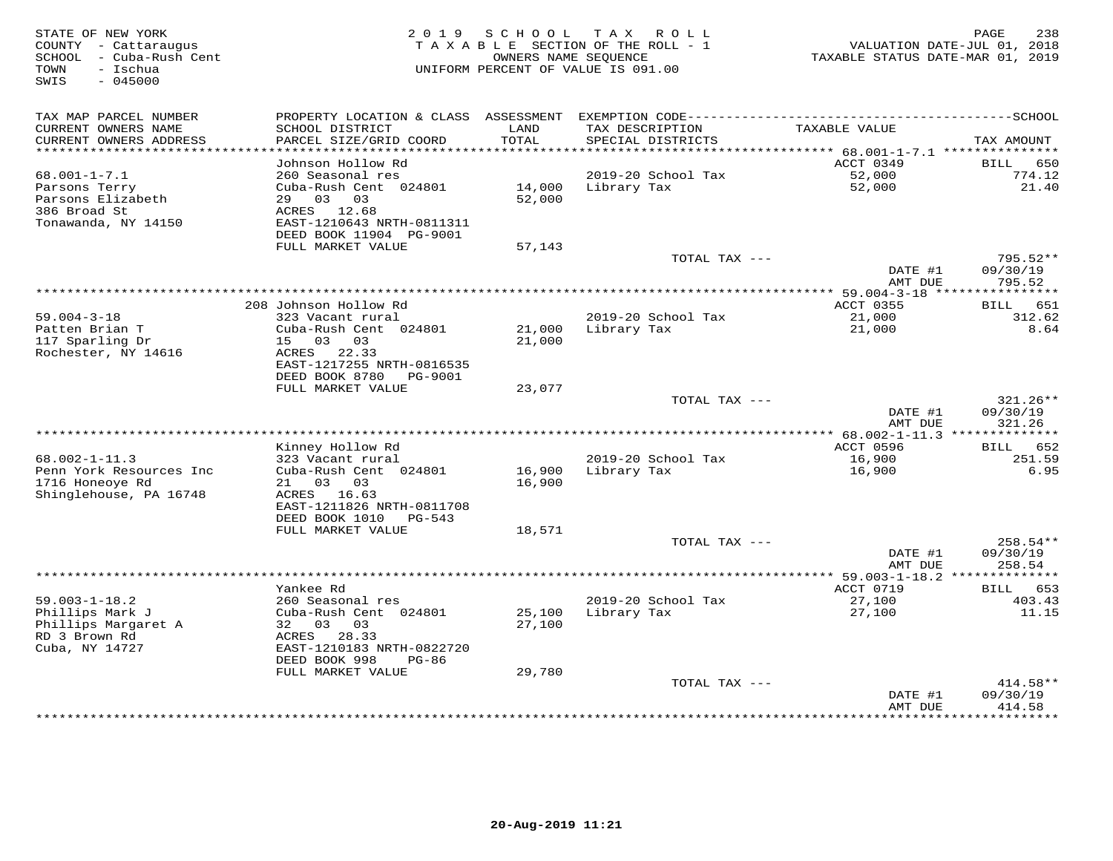| STATE OF NEW YORK<br>COUNTY - Cattaraugus<br>SCHOOL - Cuba-Rush Cent<br>TOWN<br>$-$ Ischua<br>SWIS<br>$-045000$ | 2 0 1 9                                      | SCHOOL        | T A X<br>ROLL<br>TAXABLE SECTION OF THE ROLL - 1<br>OWNERS NAME SEQUENCE<br>UNIFORM PERCENT OF VALUE IS 091.00 | TAXABLE STATUS DATE-MAR 01, 2019 | PAGE<br>238<br>VALUATION DATE-JUL 01, 2018 |
|-----------------------------------------------------------------------------------------------------------------|----------------------------------------------|---------------|----------------------------------------------------------------------------------------------------------------|----------------------------------|--------------------------------------------|
| TAX MAP PARCEL NUMBER                                                                                           |                                              |               |                                                                                                                |                                  |                                            |
| CURRENT OWNERS NAME<br>CURRENT OWNERS ADDRESS<br>*************************                                      | SCHOOL DISTRICT<br>PARCEL SIZE/GRID COORD    | LAND<br>TOTAL | TAX DESCRIPTION<br>SPECIAL DISTRICTS                                                                           | TAXABLE VALUE                    | TAX AMOUNT                                 |
|                                                                                                                 | Johnson Hollow Rd                            |               |                                                                                                                | ACCT 0349                        | 650<br>BILL                                |
| $68.001 - 1 - 7.1$                                                                                              | 260 Seasonal res                             |               | 2019-20 School Tax                                                                                             | 52,000                           | 774.12                                     |
| Parsons Terry                                                                                                   | Cuba-Rush Cent 024801                        | 14,000        | Library Tax                                                                                                    | 52,000                           | 21.40                                      |
| Parsons Elizabeth                                                                                               | 29 03<br>03                                  | 52,000        |                                                                                                                |                                  |                                            |
| 386 Broad St                                                                                                    | ACRES 12.68                                  |               |                                                                                                                |                                  |                                            |
| Tonawanda, NY 14150                                                                                             | EAST-1210643 NRTH-0811311                    |               |                                                                                                                |                                  |                                            |
|                                                                                                                 | DEED BOOK 11904 PG-9001<br>FULL MARKET VALUE | 57,143        |                                                                                                                |                                  |                                            |
|                                                                                                                 |                                              |               | TOTAL TAX ---                                                                                                  |                                  | $795.52**$                                 |
|                                                                                                                 |                                              |               |                                                                                                                | DATE #1                          | 09/30/19                                   |
|                                                                                                                 |                                              |               |                                                                                                                | AMT DUE                          | 795.52                                     |
|                                                                                                                 |                                              |               |                                                                                                                |                                  |                                            |
| $59.004 - 3 - 18$                                                                                               | 208 Johnson Hollow Rd<br>323 Vacant rural    |               | 2019-20 School Tax                                                                                             | <b>ACCT 0355</b><br>21,000       | BILL<br>651                                |
| Patten Brian T                                                                                                  | Cuba-Rush Cent 024801                        | 21,000        | Library Tax                                                                                                    | 21,000                           | 312.62<br>8.64                             |
| 117 Sparling Dr                                                                                                 | 15 03 03                                     | 21,000        |                                                                                                                |                                  |                                            |
| Rochester, NY 14616                                                                                             | ACRES 22.33                                  |               |                                                                                                                |                                  |                                            |
|                                                                                                                 | EAST-1217255 NRTH-0816535                    |               |                                                                                                                |                                  |                                            |
|                                                                                                                 | DEED BOOK 8780<br>PG-9001                    |               |                                                                                                                |                                  |                                            |
|                                                                                                                 | FULL MARKET VALUE                            | 23,077        | TOTAL TAX ---                                                                                                  |                                  | $321.26**$                                 |
|                                                                                                                 |                                              |               |                                                                                                                | DATE #1                          | 09/30/19                                   |
|                                                                                                                 |                                              |               |                                                                                                                | AMT DUE                          | 321.26                                     |
|                                                                                                                 |                                              |               |                                                                                                                |                                  |                                            |
|                                                                                                                 | Kinney Hollow Rd                             |               |                                                                                                                | <b>ACCT 0596</b>                 | <b>BILL</b><br>652                         |
| $68.002 - 1 - 11.3$<br>Penn York Resources Inc                                                                  | 323 Vacant rural<br>Cuba-Rush Cent 024801    | 16,900        | 2019-20 School Tax<br>Library Tax                                                                              | 16,900<br>16,900                 | 251.59<br>6.95                             |
| 1716 Honeoye Rd                                                                                                 | 03 03<br>21                                  | 16,900        |                                                                                                                |                                  |                                            |
| Shinglehouse, PA 16748                                                                                          | ACRES 16.63                                  |               |                                                                                                                |                                  |                                            |
|                                                                                                                 | EAST-1211826 NRTH-0811708                    |               |                                                                                                                |                                  |                                            |
|                                                                                                                 | DEED BOOK 1010<br>PG-543                     |               |                                                                                                                |                                  |                                            |
|                                                                                                                 | FULL MARKET VALUE                            | 18,571        |                                                                                                                |                                  |                                            |
|                                                                                                                 |                                              |               | TOTAL TAX ---                                                                                                  | DATE #1                          | 258.54**<br>09/30/19                       |
|                                                                                                                 |                                              |               |                                                                                                                | AMT DUE                          | 258.54                                     |
|                                                                                                                 | *****************                            |               |                                                                                                                | ************ 59.003-1-18.2 ***** |                                            |
|                                                                                                                 | Yankee Rd                                    |               |                                                                                                                | ACCT 0719                        | 653<br>BILL                                |
| $59.003 - 1 - 18.2$                                                                                             | 260 Seasonal res                             |               | 2019-20 School Tax                                                                                             | 27,100                           | 403.43                                     |
| Phillips Mark J                                                                                                 | Cuba-Rush Cent 024801<br>32<br>03<br>03      | 25,100        | Library Tax                                                                                                    | 27,100                           | 11.15                                      |
| Phillips Margaret A<br>RD 3 Brown Rd                                                                            | 28.33<br>ACRES                               | 27,100        |                                                                                                                |                                  |                                            |
| Cuba, NY 14727                                                                                                  | EAST-1210183 NRTH-0822720                    |               |                                                                                                                |                                  |                                            |
|                                                                                                                 | DEED BOOK 998<br>$PG-86$                     |               |                                                                                                                |                                  |                                            |
|                                                                                                                 | FULL MARKET VALUE                            | 29,780        |                                                                                                                |                                  |                                            |
|                                                                                                                 |                                              |               | TOTAL TAX ---                                                                                                  |                                  | 414.58**                                   |
|                                                                                                                 |                                              |               |                                                                                                                | DATE #1<br>AMT DUE               | 09/30/19<br>414.58                         |
|                                                                                                                 |                                              |               |                                                                                                                | **********                       | * * * * * * * * *                          |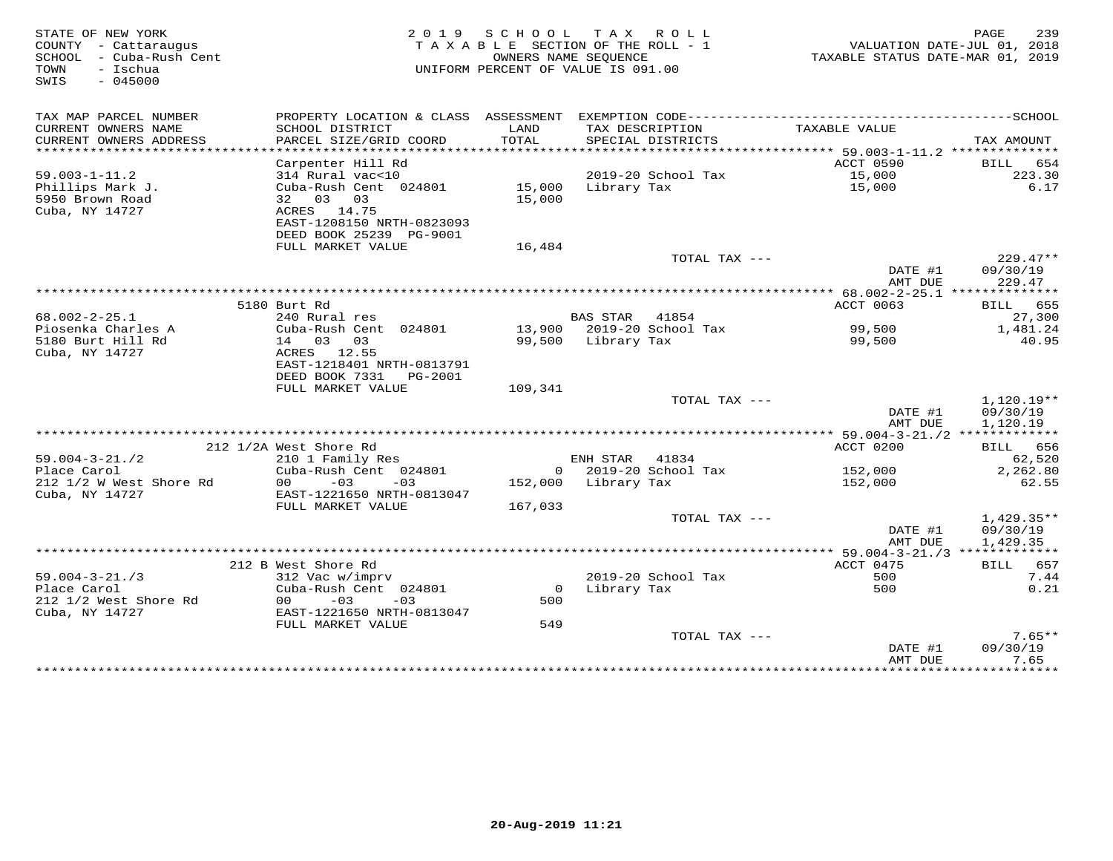| STATE OF NEW YORK<br>COUNTY - Cattaraugus<br>SCHOOL - Cuba-Rush Cent<br>- Ischua<br>TOWN<br>$-045000$<br>SWIS |                                                     |         | 2019 SCHOOL TAX ROLL<br>TAXABLE SECTION OF THE ROLL - 1<br>OWNERS NAME SEQUENCE<br>UNIFORM PERCENT OF VALUE IS 091.00 | VALUATION DATE-JUL 01, 2018<br>TAXABLE STATUS DATE-MAR 01, 2019 | PAGE<br>239        |
|---------------------------------------------------------------------------------------------------------------|-----------------------------------------------------|---------|-----------------------------------------------------------------------------------------------------------------------|-----------------------------------------------------------------|--------------------|
| TAX MAP PARCEL NUMBER                                                                                         |                                                     |         |                                                                                                                       |                                                                 |                    |
| CURRENT OWNERS NAME                                                                                           | SCHOOL DISTRICT                                     | LAND    | TAX DESCRIPTION                                                                                                       | TAXABLE VALUE                                                   |                    |
| CURRENT OWNERS ADDRESS<br>**********************                                                              | PARCEL SIZE/GRID COORD                              | TOTAL   | SPECIAL DISTRICTS                                                                                                     |                                                                 | TAX AMOUNT         |
|                                                                                                               | Carpenter Hill Rd                                   |         |                                                                                                                       | ACCT 0590                                                       | BILL 654           |
| $59.003 - 1 - 11.2$                                                                                           | 314 Rural vac<10                                    |         | 2019-20 School Tax                                                                                                    | 15,000                                                          | 223.30             |
| Phillips Mark J.                                                                                              | Cuba-Rush Cent 024801 15,000 Library Tax            |         |                                                                                                                       | 15,000                                                          | 6.17               |
| 5950 Brown Road                                                                                               | 32 03 03                                            | 15,000  |                                                                                                                       |                                                                 |                    |
| Cuba, NY 14727                                                                                                | ACRES 14.75                                         |         |                                                                                                                       |                                                                 |                    |
|                                                                                                               | EAST-1208150 NRTH-0823093                           |         |                                                                                                                       |                                                                 |                    |
|                                                                                                               | DEED BOOK 25239 PG-9001                             |         |                                                                                                                       |                                                                 |                    |
|                                                                                                               | FULL MARKET VALUE                                   | 16,484  |                                                                                                                       |                                                                 |                    |
|                                                                                                               |                                                     |         | TOTAL TAX ---                                                                                                         |                                                                 | $229.47**$         |
|                                                                                                               |                                                     |         |                                                                                                                       | DATE #1<br>AMT DUE                                              | 09/30/19<br>229.47 |
|                                                                                                               |                                                     |         |                                                                                                                       |                                                                 |                    |
|                                                                                                               | 5180 Burt Rd                                        |         |                                                                                                                       | ACCT 0063                                                       | BILL 655           |
| $68.002 - 2 - 25.1$                                                                                           | 240 Rural res                                       |         | BAS STAR 41854                                                                                                        |                                                                 | 27,300             |
| Piosenka Charles A                                                                                            | Cuba-Rush Cent 024801                               |         | 13,900 2019-20 School Tax                                                                                             | 99,500                                                          | 1,481.24           |
| 5180 Burt Hill Rd                                                                                             | 14 03 03                                            |         | 99,500 Library Tax                                                                                                    | 99,500                                                          | 40.95              |
| Cuba, NY 14727                                                                                                | ACRES 12.55                                         |         |                                                                                                                       |                                                                 |                    |
|                                                                                                               | EAST-1218401 NRTH-0813791<br>DEED BOOK 7331 PG-2001 |         |                                                                                                                       |                                                                 |                    |
|                                                                                                               | FULL MARKET VALUE                                   | 109,341 |                                                                                                                       |                                                                 |                    |
|                                                                                                               |                                                     |         | TOTAL TAX ---                                                                                                         |                                                                 | $1,120.19**$       |
|                                                                                                               |                                                     |         |                                                                                                                       | DATE #1                                                         | 09/30/19           |
|                                                                                                               |                                                     |         |                                                                                                                       | AMT DUE                                                         | 1,120.19           |
|                                                                                                               |                                                     |         |                                                                                                                       |                                                                 |                    |
|                                                                                                               | 212 1/2A West Shore Rd                              |         |                                                                                                                       | ACCT 0200                                                       | BILL 656           |
| $59.004 - 3 - 21.72$<br>Place Carol                                                                           | 210 1 Family Res<br>Cuba-Rush Cent 024801           |         | ENH STAR<br>41834<br>0 2019-20 School Tax                                                                             | 152,000                                                         | 62,520<br>2,262.80 |
| 212 1/2 W West Shore Rd                                                                                       | $00 - 03$<br>$-03$                                  |         | 152,000 Library Tax                                                                                                   | 152,000                                                         | 62.55              |
| Cuba, NY 14727                                                                                                | EAST-1221650 NRTH-0813047                           |         |                                                                                                                       |                                                                 |                    |
|                                                                                                               | FULL MARKET VALUE                                   | 167,033 |                                                                                                                       |                                                                 |                    |
|                                                                                                               |                                                     |         | TOTAL TAX ---                                                                                                         |                                                                 | $1,429.35**$       |
|                                                                                                               |                                                     |         |                                                                                                                       | DATE #1                                                         | 09/30/19           |
|                                                                                                               |                                                     |         |                                                                                                                       | AMT DUE                                                         | 1,429.35           |
|                                                                                                               |                                                     |         |                                                                                                                       |                                                                 |                    |
|                                                                                                               | 212 B West Shore Rd                                 |         |                                                                                                                       | ACCT 0475                                                       | BILL 657           |
| $59.004 - 3 - 21.73$<br>Place Carol                                                                           | 312 Vac w/imprv<br>Cuba-Rush Cent 024801            |         | 2019-20 School Tax<br>0 Library Tax                                                                                   | 500<br>500                                                      | 7.44<br>0.21       |
| 212 1/2 West Shore Rd                                                                                         | $00 - 03$<br>$-03$                                  | 500     |                                                                                                                       |                                                                 |                    |
| Cuba, NY 14727                                                                                                | EAST-1221650 NRTH-0813047                           |         |                                                                                                                       |                                                                 |                    |
|                                                                                                               | FULL MARKET VALUE                                   | 549     |                                                                                                                       |                                                                 |                    |
|                                                                                                               |                                                     |         | TOTAL TAX ---                                                                                                         |                                                                 | $7.65**$           |
|                                                                                                               |                                                     |         |                                                                                                                       | DATE #1                                                         | 09/30/19           |
|                                                                                                               |                                                     |         |                                                                                                                       | AMT DUE                                                         | 7.65               |
|                                                                                                               |                                                     |         |                                                                                                                       |                                                                 | * * * * * * * *    |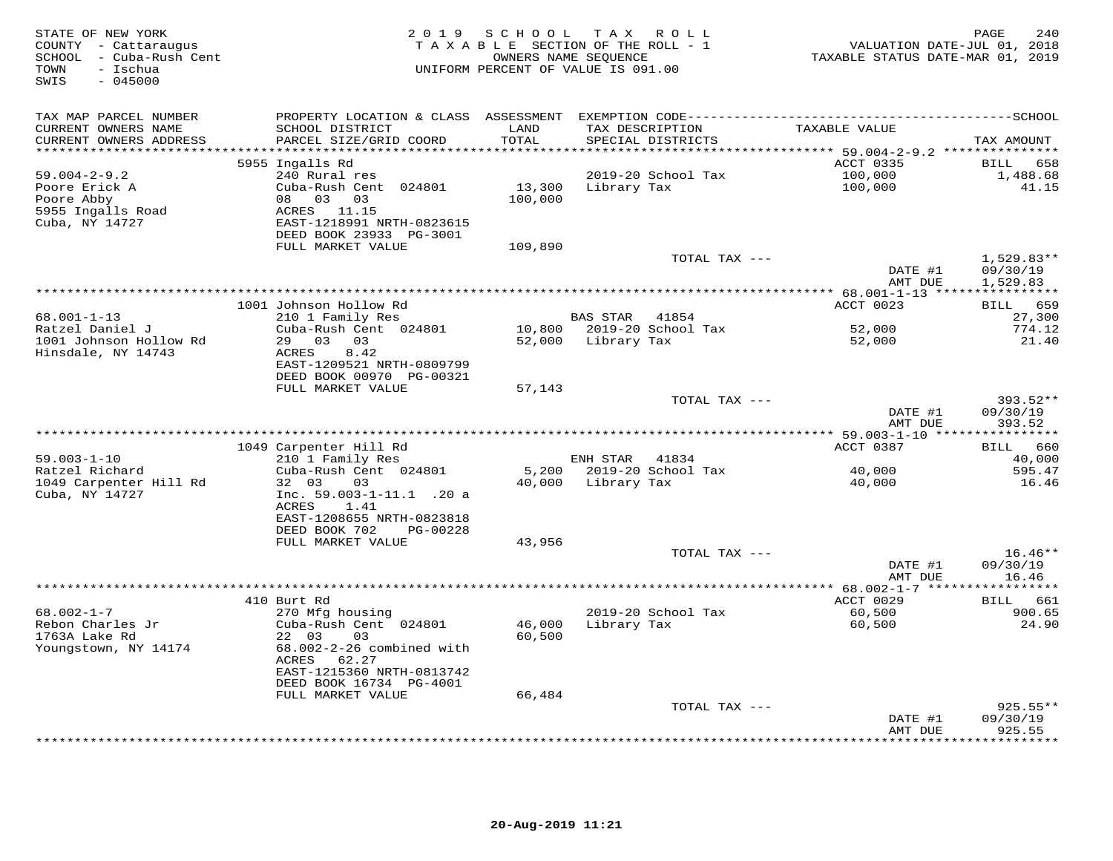| STATE OF NEW YORK<br>COUNTY - Cattaraugus<br>- Cuba-Rush Cent<br>SCHOOL<br>- Ischua<br>TOWN<br>$-045000$<br>SWIS | 2 0 1 9                                              | S C H O O L   | TAX ROLL<br>TAXABLE SECTION OF THE ROLL - 1<br>OWNERS NAME SEQUENCE<br>UNIFORM PERCENT OF VALUE IS 091.00 | VALUATION DATE-JUL 01, 2018<br>TAXABLE STATUS DATE-MAR 01, 2019 | 240<br>PAGE         |
|------------------------------------------------------------------------------------------------------------------|------------------------------------------------------|---------------|-----------------------------------------------------------------------------------------------------------|-----------------------------------------------------------------|---------------------|
| TAX MAP PARCEL NUMBER                                                                                            |                                                      |               | PROPERTY LOCATION & CLASS ASSESSMENT EXEMPTION CODE-----------------------------------SCHOOL              |                                                                 |                     |
| CURRENT OWNERS NAME<br>CURRENT OWNERS ADDRESS<br>*******************                                             | SCHOOL DISTRICT<br>PARCEL SIZE/GRID COORD            | LAND<br>TOTAL | TAX DESCRIPTION<br>SPECIAL DISTRICTS                                                                      | TAXABLE VALUE                                                   | TAX AMOUNT          |
|                                                                                                                  | 5955 Ingalls Rd                                      | ********      |                                                                                                           | ******** 59.004-2-9.2 ***************<br>ACCT 0335              | BILL<br>658         |
| $59.004 - 2 - 9.2$                                                                                               | 240 Rural res                                        |               | 2019-20 School Tax                                                                                        | 100,000                                                         | 1,488.68            |
| Poore Erick A                                                                                                    | Cuba-Rush Cent 024801                                | 13,300        | Library Tax                                                                                               | 100,000                                                         | 41.15               |
| Poore Abby                                                                                                       | 08<br>03 03                                          | 100,000       |                                                                                                           |                                                                 |                     |
| 5955 Ingalls Road                                                                                                | ACRES 11.15                                          |               |                                                                                                           |                                                                 |                     |
| Cuba, NY 14727                                                                                                   | EAST-1218991 NRTH-0823615<br>DEED BOOK 23933 PG-3001 |               |                                                                                                           |                                                                 |                     |
|                                                                                                                  | FULL MARKET VALUE                                    | 109,890       |                                                                                                           |                                                                 |                     |
|                                                                                                                  |                                                      |               | TOTAL TAX ---                                                                                             |                                                                 | $1,529.83**$        |
|                                                                                                                  |                                                      |               |                                                                                                           | DATE #1                                                         | 09/30/19            |
|                                                                                                                  |                                                      |               |                                                                                                           | AMT DUE                                                         | 1,529.83            |
|                                                                                                                  | 1001 Johnson Hollow Rd                               |               |                                                                                                           | ACCT 0023                                                       | 659<br>BILL         |
| 68.001-1-13                                                                                                      | 210 1 Family Res                                     |               | <b>BAS STAR</b><br>41854                                                                                  |                                                                 | 27,300              |
| Ratzel Daniel J                                                                                                  | Cuba-Rush Cent 024801                                | 10,800        | 2019-20 School Tax                                                                                        | 52,000                                                          | 774.12              |
| 1001 Johnson Hollow Rd                                                                                           | 29 03 03                                             | 52,000        | Library Tax                                                                                               | 52,000                                                          | 21.40               |
| Hinsdale, NY 14743                                                                                               | 8.42<br>ACRES<br>EAST-1209521 NRTH-0809799           |               |                                                                                                           |                                                                 |                     |
|                                                                                                                  | DEED BOOK 00970 PG-00321                             |               |                                                                                                           |                                                                 |                     |
|                                                                                                                  | FULL MARKET VALUE                                    | 57,143        |                                                                                                           |                                                                 |                     |
|                                                                                                                  |                                                      |               | TOTAL TAX ---                                                                                             |                                                                 | 393.52**            |
|                                                                                                                  |                                                      |               |                                                                                                           | DATE #1                                                         | 09/30/19            |
|                                                                                                                  | ****************                                     |               | *************************************                                                                     | AMT DUE                                                         | 393.52<br>********* |
|                                                                                                                  | 1049 Carpenter Hill Rd                               |               |                                                                                                           | *********** 59.003-1-10 ****<br>ACCT 0387                       | BILL 660            |
| $59.003 - 1 - 10$                                                                                                | 210 1 Family Res                                     |               | ENH STAR<br>41834                                                                                         |                                                                 | 40,000              |
| Ratzel Richard                                                                                                   | Cuba-Rush Cent 024801                                | 5,200         | 2019-20 School Tax                                                                                        | 40,000                                                          | 595.47              |
| 1049 Carpenter Hill Rd                                                                                           | 32 03<br>03                                          | 40,000        | Library Tax                                                                                               | 40,000                                                          | 16.46               |
| Cuba, NY 14727                                                                                                   | Inc. 59.003-1-11.1 .20 a                             |               |                                                                                                           |                                                                 |                     |
|                                                                                                                  | ACRES<br>1.41<br>EAST-1208655 NRTH-0823818           |               |                                                                                                           |                                                                 |                     |
|                                                                                                                  | DEED BOOK 702<br>PG-00228                            |               |                                                                                                           |                                                                 |                     |
|                                                                                                                  | FULL MARKET VALUE                                    | 43,956        |                                                                                                           |                                                                 |                     |
|                                                                                                                  |                                                      |               | TOTAL TAX ---                                                                                             |                                                                 | $16.46**$           |
|                                                                                                                  |                                                      |               |                                                                                                           | DATE #1                                                         | 09/30/19            |
|                                                                                                                  |                                                      |               |                                                                                                           | AMT DUE<br>************ 68.002-1-7 *****                        | 16.46<br>*********  |
|                                                                                                                  | 410 Burt Rd                                          |               |                                                                                                           | ACCT 0029                                                       | BILL 661            |
| $68.002 - 1 - 7$                                                                                                 | 270 Mfg housing                                      |               | 2019-20 School Tax                                                                                        | 60,500                                                          | 900.65              |
| Rebon Charles Jr                                                                                                 | Cuba-Rush Cent 024801                                | 46,000        | Library Tax                                                                                               | 60,500                                                          | 24.90               |
| 1763A Lake Rd                                                                                                    | 22 03<br>03                                          | 60,500        |                                                                                                           |                                                                 |                     |
| Youngstown, NY 14174                                                                                             | 68.002-2-26 combined with<br>ACRES<br>62.27          |               |                                                                                                           |                                                                 |                     |
|                                                                                                                  | EAST-1215360 NRTH-0813742                            |               |                                                                                                           |                                                                 |                     |
|                                                                                                                  | DEED BOOK 16734 PG-4001                              |               |                                                                                                           |                                                                 |                     |
|                                                                                                                  | FULL MARKET VALUE                                    | 66,484        |                                                                                                           |                                                                 |                     |
|                                                                                                                  |                                                      |               | TOTAL TAX ---                                                                                             |                                                                 | $925.55**$          |
|                                                                                                                  |                                                      |               |                                                                                                           | DATE #1<br>AMT DUE                                              | 09/30/19<br>925.55  |
|                                                                                                                  |                                                      |               |                                                                                                           |                                                                 | - + + + + + + +     |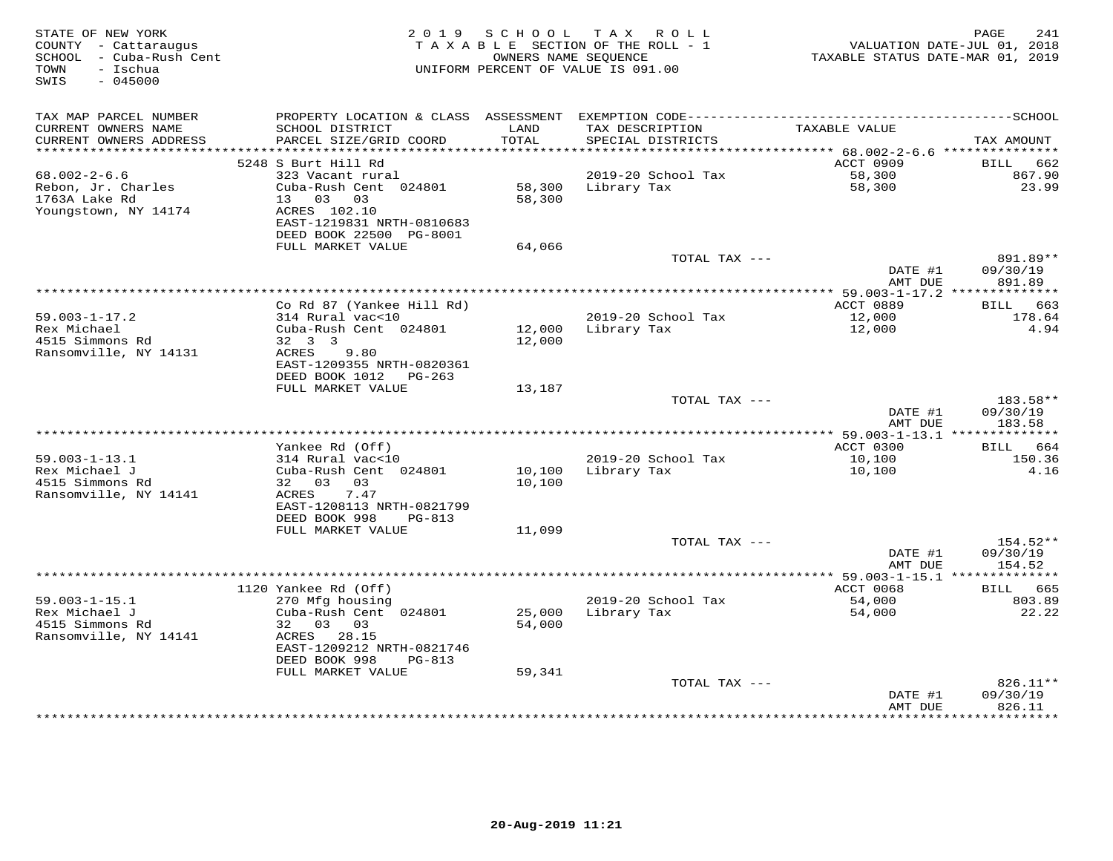| STATE OF NEW YORK<br>COUNTY - Cattaraugus<br>SCHOOL - Cuba-Rush Cent<br>- Ischua<br>TOWN<br>$-045000$<br>SWIS | 2 0 1 9                                                              | SCHOOL<br>OWNERS NAME SEOUENCE | TAX ROLL<br>TAXABLE SECTION OF THE ROLL - 1<br>UNIFORM PERCENT OF VALUE IS 091.00 | TAXABLE STATUS DATE-MAR 01, 2019 | PAGE<br>241<br>VALUATION DATE-JUL 01, 2018 |
|---------------------------------------------------------------------------------------------------------------|----------------------------------------------------------------------|--------------------------------|-----------------------------------------------------------------------------------|----------------------------------|--------------------------------------------|
| TAX MAP PARCEL NUMBER                                                                                         | PROPERTY LOCATION & CLASS ASSESSMENT                                 |                                |                                                                                   |                                  |                                            |
| CURRENT OWNERS NAME<br>CURRENT OWNERS ADDRESS                                                                 | SCHOOL DISTRICT<br>PARCEL SIZE/GRID COORD                            | LAND<br>TOTAL                  | TAX DESCRIPTION<br>SPECIAL DISTRICTS                                              | TAXABLE VALUE                    | TAX AMOUNT                                 |
| **********************                                                                                        |                                                                      |                                |                                                                                   |                                  |                                            |
| $68.002 - 2 - 6.6$                                                                                            | 5248 S Burt Hill Rd<br>323 Vacant rural                              |                                | 2019-20 School Tax                                                                | ACCT 0909<br>58,300              | <b>BILL</b><br>662<br>867.90               |
| Rebon, Jr. Charles<br>1763A Lake Rd                                                                           | Cuba-Rush Cent 024801<br>13 03 03                                    | 58,300<br>58,300               | Library Tax                                                                       | 58,300                           | 23.99                                      |
| Youngstown, NY 14174                                                                                          | ACRES 102.10<br>EAST-1219831 NRTH-0810683<br>DEED BOOK 22500 PG-8001 |                                |                                                                                   |                                  |                                            |
|                                                                                                               | FULL MARKET VALUE                                                    | 64,066                         |                                                                                   |                                  |                                            |
|                                                                                                               |                                                                      |                                | TOTAL TAX ---                                                                     |                                  | 891.89**                                   |
|                                                                                                               |                                                                      |                                |                                                                                   | DATE #1<br>AMT DUE               | 09/30/19<br>891.89                         |
|                                                                                                               |                                                                      |                                | ********************************                                                  | ** 59.003-1-17.2 *************** |                                            |
| $59.003 - 1 - 17.2$                                                                                           | Co Rd 87 (Yankee Hill Rd)<br>314 Rural vac<10                        |                                | 2019-20 School Tax                                                                | ACCT 0889<br>12,000              | BILL 663<br>178.64                         |
| Rex Michael                                                                                                   | Cuba-Rush Cent 024801                                                | 12,000                         | Library Tax                                                                       | 12,000                           | 4.94                                       |
| 4515 Simmons Rd                                                                                               | 32 3 3                                                               | 12,000                         |                                                                                   |                                  |                                            |
| Ransomville, NY 14131                                                                                         | 9.80<br>ACRES                                                        |                                |                                                                                   |                                  |                                            |
|                                                                                                               | EAST-1209355 NRTH-0820361                                            |                                |                                                                                   |                                  |                                            |
|                                                                                                               | DEED BOOK 1012<br>PG-263<br>FULL MARKET VALUE                        | 13,187                         |                                                                                   |                                  |                                            |
|                                                                                                               |                                                                      |                                | TOTAL TAX ---                                                                     |                                  | 183.58**                                   |
|                                                                                                               |                                                                      |                                |                                                                                   | DATE #1                          | 09/30/19                                   |
|                                                                                                               |                                                                      |                                |                                                                                   | AMT DUE                          | 183.58                                     |
|                                                                                                               |                                                                      |                                |                                                                                   |                                  |                                            |
| $59.003 - 1 - 13.1$                                                                                           | Yankee Rd (Off)<br>314 Rural vac<10                                  |                                | 2019-20 School Tax                                                                | ACCT 0300<br>10,100              | BILL 664<br>150.36                         |
| Rex Michael J                                                                                                 | Cuba-Rush Cent 024801                                                | 10,100                         | Library Tax                                                                       | 10,100                           | 4.16                                       |
| 4515 Simmons Rd                                                                                               | 32 03<br>03                                                          | 10,100                         |                                                                                   |                                  |                                            |
| Ransomville, NY 14141                                                                                         | ACRES<br>7.47                                                        |                                |                                                                                   |                                  |                                            |
|                                                                                                               | EAST-1208113 NRTH-0821799                                            |                                |                                                                                   |                                  |                                            |
|                                                                                                               | DEED BOOK 998<br>PG-813<br>FULL MARKET VALUE                         | 11,099                         |                                                                                   |                                  |                                            |
|                                                                                                               |                                                                      |                                | TOTAL TAX ---                                                                     |                                  | 154.52**                                   |
|                                                                                                               |                                                                      |                                |                                                                                   | DATE #1                          | 09/30/19                                   |
|                                                                                                               |                                                                      |                                |                                                                                   | AMT DUE                          | 154.52                                     |
|                                                                                                               |                                                                      |                                |                                                                                   |                                  | 665                                        |
| $59.003 - 1 - 15.1$                                                                                           | 1120 Yankee Rd (Off)<br>270 Mfg housing                              |                                | 2019-20 School Tax                                                                | ACCT 0068<br>54,000              | BILL<br>803.89                             |
| Rex Michael J                                                                                                 | Cuba-Rush Cent 024801                                                | 25,000                         | Library Tax                                                                       | 54,000                           | 22.22                                      |
| 4515 Simmons Rd                                                                                               | 32<br>03<br>03                                                       | 54,000                         |                                                                                   |                                  |                                            |
| Ransomville, NY 14141                                                                                         | ACRES 28.15                                                          |                                |                                                                                   |                                  |                                            |
|                                                                                                               | EAST-1209212 NRTH-0821746                                            |                                |                                                                                   |                                  |                                            |
|                                                                                                               | DEED BOOK 998<br>$PG-813$<br>FULL MARKET VALUE                       | 59,341                         |                                                                                   |                                  |                                            |
|                                                                                                               |                                                                      |                                | TOTAL TAX ---                                                                     |                                  | 826.11**                                   |
|                                                                                                               |                                                                      |                                |                                                                                   | DATE #1                          | 09/30/19                                   |
|                                                                                                               |                                                                      |                                |                                                                                   | AMT DUE<br>************          | 826.11<br>* * * * * * * * *                |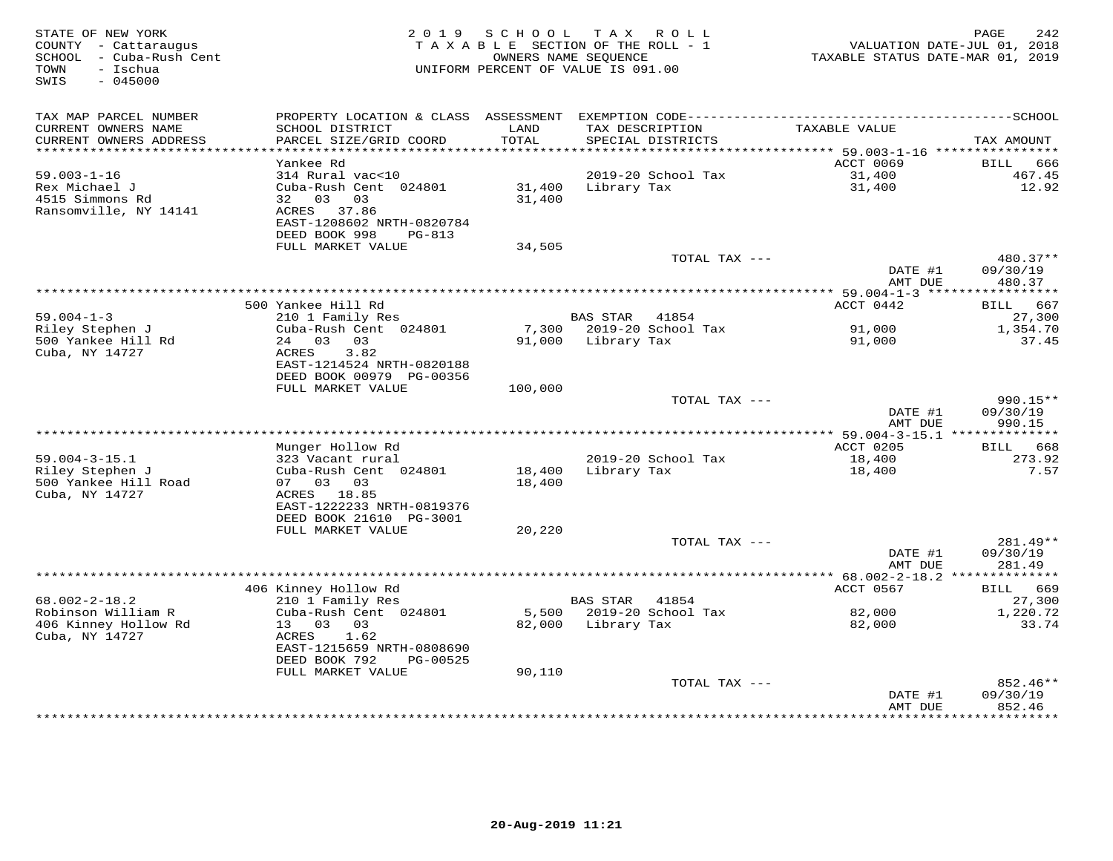| STATE OF NEW YORK<br>COUNTY - Cattaraugus<br>SCHOOL - Cuba-Rush Cent<br>- Ischua<br>TOWN<br>$-045000$<br>SWIS |                                                        | 2019 SCHOOL<br>OWNERS NAME SEQUENCE | TAX ROLL<br>TAXABLE SECTION OF THE ROLL - 1<br>UNIFORM PERCENT OF VALUE IS 091.00 | TAXABLE STATUS DATE-MAR 01, 2019   | 242<br>PAGE<br>VALUATION DATE-JUL 01, 2018 |
|---------------------------------------------------------------------------------------------------------------|--------------------------------------------------------|-------------------------------------|-----------------------------------------------------------------------------------|------------------------------------|--------------------------------------------|
| TAX MAP PARCEL NUMBER                                                                                         |                                                        |                                     |                                                                                   |                                    |                                            |
| CURRENT OWNERS NAME<br>CURRENT OWNERS ADDRESS                                                                 | SCHOOL DISTRICT<br>PARCEL SIZE/GRID COORD              | LAND<br>TOTAL                       | TAX DESCRIPTION<br>SPECIAL DISTRICTS                                              | TAXABLE VALUE                      | TAX AMOUNT                                 |
| *************************                                                                                     | Yankee Rd                                              |                                     |                                                                                   | ACCT 0069                          | BILL<br>666                                |
| $59.003 - 1 - 16$                                                                                             | 314 Rural vac<10                                       |                                     | 2019-20 School Tax                                                                | 31,400                             | 467.45                                     |
| Rex Michael J<br>4515 Simmons Rd<br>Ransomville, NY 14141                                                     | Cuba-Rush Cent 024801<br>32 03<br>03<br>ACRES 37.86    | 31,400<br>31,400                    | Library Tax                                                                       | 31,400                             | 12.92                                      |
|                                                                                                               | EAST-1208602 NRTH-0820784<br>DEED BOOK 998<br>$PG-813$ |                                     |                                                                                   |                                    |                                            |
|                                                                                                               | FULL MARKET VALUE                                      | 34,505                              | TOTAL TAX ---                                                                     |                                    | 480.37**                                   |
|                                                                                                               |                                                        |                                     |                                                                                   | DATE #1<br>AMT DUE                 | 09/30/19<br>480.37                         |
|                                                                                                               |                                                        |                                     |                                                                                   | ***************** 59.004-1-3 ***** | * * * * * * * * * * *                      |
|                                                                                                               | 500 Yankee Hill Rd                                     |                                     |                                                                                   | ACCT 0442                          | BILL 667                                   |
| $59.004 - 1 - 3$                                                                                              | 210 1 Family Res                                       |                                     | <b>BAS STAR</b><br>41854                                                          |                                    | 27,300                                     |
| Riley Stephen J                                                                                               | Cuba-Rush Cent 024801                                  |                                     | 7,300 2019-20 School Tax                                                          | 91,000                             | 1,354.70                                   |
| 500 Yankee Hill Rd<br>Cuba, NY 14727                                                                          | 24 03 03<br>3.82<br>ACRES<br>EAST-1214524 NRTH-0820188 |                                     | 91,000 Library Tax                                                                | 91,000                             | 37.45                                      |
|                                                                                                               | DEED BOOK 00979 PG-00356<br>FULL MARKET VALUE          | 100,000                             |                                                                                   |                                    |                                            |
|                                                                                                               |                                                        |                                     | TOTAL TAX ---                                                                     |                                    | $990.15**$                                 |
|                                                                                                               |                                                        |                                     |                                                                                   | DATE #1<br>AMT DUE                 | 09/30/19<br>990.15                         |
|                                                                                                               |                                                        |                                     |                                                                                   |                                    |                                            |
|                                                                                                               | Munger Hollow Rd                                       |                                     |                                                                                   | <b>ACCT 0205</b>                   | BILL 668                                   |
| $59.004 - 3 - 15.1$<br>Riley Stephen J                                                                        | 323 Vacant rural<br>Cuba-Rush Cent 024801              | 18,400                              | 2019-20 School Tax<br>Library Tax                                                 | 18,400<br>18,400                   | 273.92<br>7.57                             |
| 500 Yankee Hill Road                                                                                          | 07 03 03                                               | 18,400                              |                                                                                   |                                    |                                            |
| Cuba, NY 14727                                                                                                | ACRES 18.85<br>EAST-1222233 NRTH-0819376               |                                     |                                                                                   |                                    |                                            |
|                                                                                                               | DEED BOOK 21610 PG-3001                                |                                     |                                                                                   |                                    |                                            |
|                                                                                                               | FULL MARKET VALUE                                      | 20,220                              |                                                                                   |                                    |                                            |
|                                                                                                               |                                                        |                                     | TOTAL TAX ---                                                                     |                                    | 281.49**                                   |
|                                                                                                               |                                                        |                                     |                                                                                   | DATE #1                            | 09/30/19                                   |
|                                                                                                               |                                                        |                                     |                                                                                   | AMT DUE                            | 281.49                                     |
|                                                                                                               | 406 Kinney Hollow Rd                                   |                                     |                                                                                   | ACCT 0567                          | BILL<br>669                                |
| $68.002 - 2 - 18.2$                                                                                           | 210 1 Family Res                                       |                                     | <b>BAS STAR</b><br>41854                                                          |                                    | 27,300                                     |
| Robinson William R                                                                                            | Cuba-Rush Cent 024801                                  | 5,500                               | 2019-20 School Tax                                                                | 82,000                             | 1,220.72                                   |
| 406 Kinney Hollow Rd<br>Cuba, NY 14727                                                                        | 13 03 03<br>ACRES<br>1.62<br>EAST-1215659 NRTH-0808690 | 82,000                              | Library Tax                                                                       | 82,000                             | 33.74                                      |
|                                                                                                               | DEED BOOK 792<br>PG-00525                              |                                     |                                                                                   |                                    |                                            |
|                                                                                                               | FULL MARKET VALUE                                      | 90,110                              | TOTAL TAX ---                                                                     |                                    | 852.46**                                   |
|                                                                                                               |                                                        |                                     |                                                                                   | DATE #1<br>AMT DUE                 | 09/30/19<br>852.46                         |
|                                                                                                               |                                                        |                                     |                                                                                   | ***************                    | *********                                  |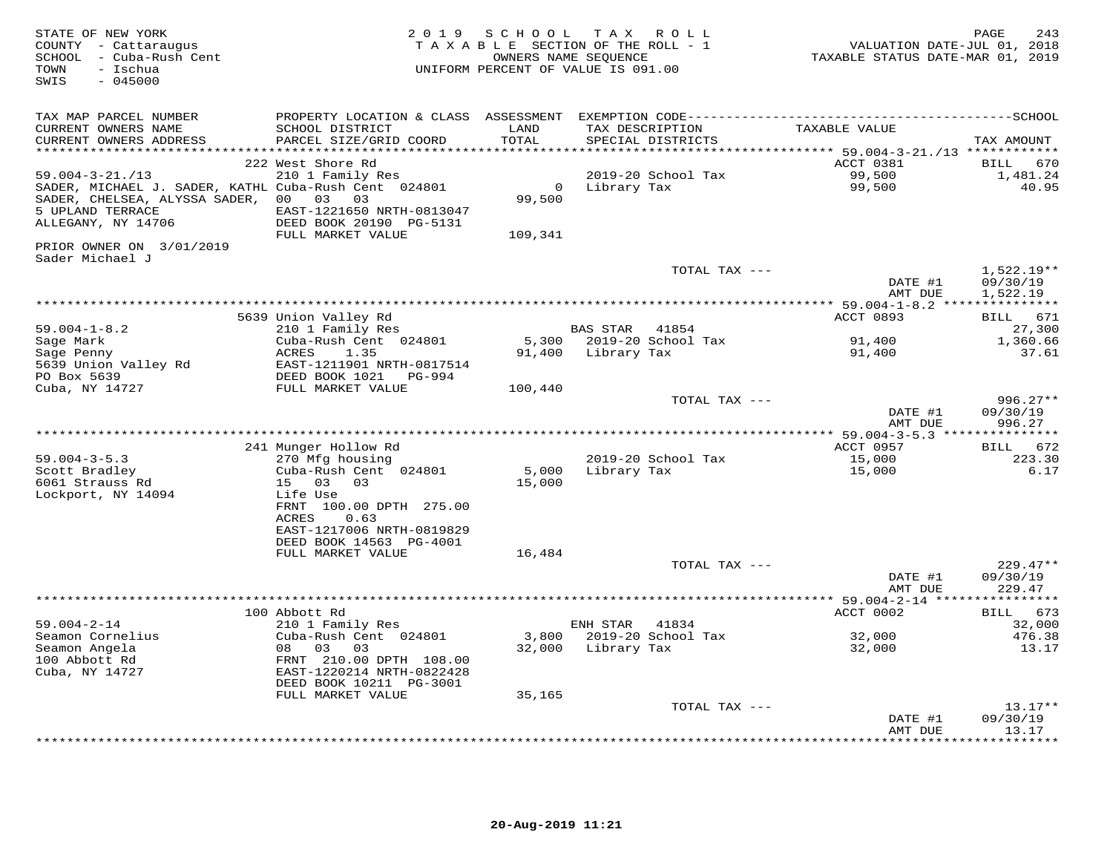| STATE OF NEW YORK<br>COUNTY - Cattaraugus<br>SCHOOL - Cuba-Rush Cent<br>TOWN<br>- Ischua<br>SWIS<br>$-045000$ | 2 0 1 9                                    |               | SCHOOL TAX ROLL<br>TAXABLE SECTION OF THE ROLL - 1<br>OWNERS NAME SEQUENCE<br>UNIFORM PERCENT OF VALUE IS 091.00 | VALUATION DATE-JUL 01, 2018<br>TAXABLE STATUS DATE-MAR 01, 2019 | PAGE<br>243            |
|---------------------------------------------------------------------------------------------------------------|--------------------------------------------|---------------|------------------------------------------------------------------------------------------------------------------|-----------------------------------------------------------------|------------------------|
| TAX MAP PARCEL NUMBER<br>CURRENT OWNERS NAME<br>CURRENT OWNERS ADDRESS                                        | SCHOOL DISTRICT<br>PARCEL SIZE/GRID COORD  | LAND<br>TOTAL | TAX DESCRIPTION<br>SPECIAL DISTRICTS                                                                             | TAXABLE VALUE                                                   | TAX AMOUNT             |
|                                                                                                               |                                            |               |                                                                                                                  |                                                                 |                        |
|                                                                                                               | 222 West Shore Rd                          |               |                                                                                                                  | ACCT 0381                                                       | 670<br>BILL            |
| $59.004 - 3 - 21. / 13$                                                                                       | 210 1 Family Res                           |               | 2019-20 School Tax                                                                                               | 99,500                                                          | 1,481.24               |
| SADER, MICHAEL J. SADER, KATHL Cuba-Rush Cent 024801                                                          |                                            |               | 0 Library Tax                                                                                                    | 99,500                                                          | 40.95                  |
| SADER, CHELSEA, ALYSSA SADER, 00 03 03<br>5 UPLAND TERRACE                                                    | EAST-1221650 NRTH-0813047                  | 99,500        |                                                                                                                  |                                                                 |                        |
| ALLEGANY, NY 14706                                                                                            | DEED BOOK 20190 PG-5131                    |               |                                                                                                                  |                                                                 |                        |
|                                                                                                               | FULL MARKET VALUE                          | 109,341       |                                                                                                                  |                                                                 |                        |
| PRIOR OWNER ON 3/01/2019<br>Sader Michael J                                                                   |                                            |               |                                                                                                                  |                                                                 |                        |
|                                                                                                               |                                            |               | TOTAL TAX ---                                                                                                    |                                                                 | $1,522.19**$           |
|                                                                                                               |                                            |               |                                                                                                                  | DATE #1<br>AMT DUE                                              | 09/30/19<br>1,522.19   |
|                                                                                                               |                                            |               |                                                                                                                  |                                                                 |                        |
|                                                                                                               | 5639 Union Valley Rd                       |               |                                                                                                                  | ACCT 0893                                                       | BILL 671               |
| $59.004 - 1 - 8.2$                                                                                            | 210 1 Family Res                           |               | BAS STAR 41854                                                                                                   |                                                                 | 27,300                 |
| Sage Mark                                                                                                     | Cuba-Rush Cent 024801                      |               | 5,300 2019-20 School Tax                                                                                         | 91,400                                                          | 1,360.66               |
| Sage Penny<br>5639 Union Valley Rd                                                                            | ACRES<br>1.35<br>EAST-1211901 NRTH-0817514 |               | 91,400 Library Tax                                                                                               | 91,400                                                          | 37.61                  |
| PO Box 5639                                                                                                   | DEED BOOK 1021 PG-994                      |               |                                                                                                                  |                                                                 |                        |
| Cuba, NY 14727                                                                                                | FULL MARKET VALUE                          | 100,440       |                                                                                                                  |                                                                 |                        |
|                                                                                                               |                                            |               | TOTAL TAX ---                                                                                                    |                                                                 | $996.27**$             |
|                                                                                                               |                                            |               |                                                                                                                  | DATE #1                                                         | 09/30/19               |
|                                                                                                               |                                            |               |                                                                                                                  | AMT DUE                                                         | 996.27                 |
|                                                                                                               | 241 Munger Hollow Rd                       |               |                                                                                                                  | ACCT 0957                                                       | BILL 672               |
| $59.004 - 3 - 5.3$                                                                                            | 270 Mfg housing                            |               | 2019-20 School Tax                                                                                               | 15,000                                                          | 223.30                 |
| Scott Bradley                                                                                                 | Cuba-Rush Cent 024801                      | 5,000         | Library Tax                                                                                                      | 15,000                                                          | 6.17                   |
| 6061 Strauss Rd                                                                                               | 15 03 03                                   | 15,000        |                                                                                                                  |                                                                 |                        |
| Lockport, NY 14094                                                                                            | Life Use<br>FRNT 100.00 DPTH 275.00        |               |                                                                                                                  |                                                                 |                        |
|                                                                                                               | 0.63<br>ACRES                              |               |                                                                                                                  |                                                                 |                        |
|                                                                                                               | EAST-1217006 NRTH-0819829                  |               |                                                                                                                  |                                                                 |                        |
|                                                                                                               | DEED BOOK 14563 PG-4001                    |               |                                                                                                                  |                                                                 |                        |
|                                                                                                               | FULL MARKET VALUE                          | 16,484        |                                                                                                                  |                                                                 |                        |
|                                                                                                               |                                            |               | TOTAL TAX ---                                                                                                    | DATE #1                                                         | $229.47**$<br>09/30/19 |
|                                                                                                               |                                            |               |                                                                                                                  | AMT DUE                                                         | 229.47                 |
|                                                                                                               |                                            |               |                                                                                                                  |                                                                 |                        |
|                                                                                                               | 100 Abbott Rd                              |               |                                                                                                                  | ACCT 0002                                                       | BILL 673               |
| $59.004 - 2 - 14$                                                                                             | 210 1 Family Res                           |               | ENH STAR 41834                                                                                                   |                                                                 | 32,000                 |
| Seamon Cornelius<br>Seamon Angela                                                                             | Cuba-Rush Cent 024801<br>08 03 03          |               | 3,800 2019-20 School Tax<br>32,000 Library Tax                                                                   | 32,000<br>32,000                                                | 476.38<br>13.17        |
| 100 Abbott Rd                                                                                                 | FRNT 210.00 DPTH 108.00                    |               |                                                                                                                  |                                                                 |                        |
| Cuba, NY 14727                                                                                                | EAST-1220214 NRTH-0822428                  |               |                                                                                                                  |                                                                 |                        |
|                                                                                                               | DEED BOOK 10211 PG-3001                    |               |                                                                                                                  |                                                                 |                        |
|                                                                                                               | FULL MARKET VALUE                          | 35,165        | TOTAL TAX ---                                                                                                    |                                                                 | $13.17**$              |
|                                                                                                               |                                            |               |                                                                                                                  | DATE #1                                                         | 09/30/19               |
|                                                                                                               |                                            |               |                                                                                                                  | AMT DUE                                                         | 13.17                  |
|                                                                                                               |                                            |               |                                                                                                                  | + + + + + + + + + + + + +                                       | . + + + + + + + .      |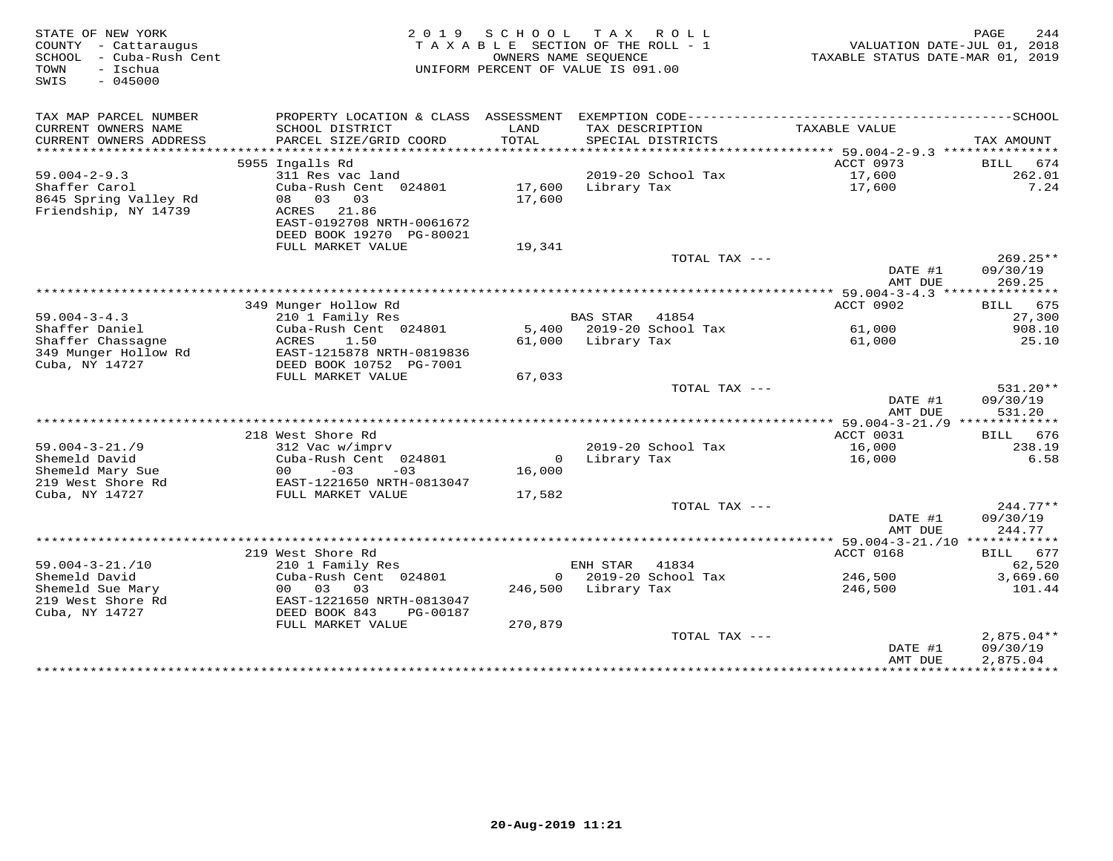| STATE OF NEW YORK<br>COUNTY - Cattaraugus<br>- Cuba-Rush Cent<br>SCHOOL<br>- Ischua<br>TOWN<br>SWIS<br>$-045000$ |                                                                             | 2019 SCHOOL<br>TAXABLE SECTION OF THE ROLL - 1<br>OWNERS NAME SEQUENCE<br>UNIFORM PERCENT OF VALUE IS 091.00 | TAX ROLL            |                          | VALUATION DATE-JUL 01, 2018<br>TAXABLE STATUS DATE-MAR 01, 2019 | 244<br>PAGE              |
|------------------------------------------------------------------------------------------------------------------|-----------------------------------------------------------------------------|--------------------------------------------------------------------------------------------------------------|---------------------|--------------------------|-----------------------------------------------------------------|--------------------------|
| TAX MAP PARCEL NUMBER                                                                                            | PROPERTY LOCATION & CLASS ASSESSMENT EXEMPTION CODE------------------------ |                                                                                                              |                     |                          |                                                                 | $---------SCHOOL$        |
| CURRENT OWNERS NAME                                                                                              | SCHOOL DISTRICT                                                             | LAND                                                                                                         | TAX DESCRIPTION     |                          | TAXABLE VALUE                                                   |                          |
| CURRENT OWNERS ADDRESS<br>***********************                                                                | PARCEL SIZE/GRID COORD                                                      | TOTAL                                                                                                        |                     | SPECIAL DISTRICTS        |                                                                 | TAX AMOUNT               |
|                                                                                                                  | 5955 Ingalls Rd                                                             |                                                                                                              |                     |                          | ACCT 0973                                                       | BILL 674                 |
| $59.004 - 2 - 9.3$                                                                                               | 311 Res vac land                                                            |                                                                                                              |                     | 2019-20 School Tax       | 17,600                                                          | 262.01                   |
| Shaffer Carol                                                                                                    | Cuba-Rush Cent 024801                                                       | 17,600                                                                                                       | Library Tax         |                          | 17,600                                                          | 7.24                     |
| 8645 Spring Valley Rd                                                                                            | 08 03 03                                                                    | 17,600                                                                                                       |                     |                          |                                                                 |                          |
| Friendship, NY 14739                                                                                             | ACRES 21.86                                                                 |                                                                                                              |                     |                          |                                                                 |                          |
|                                                                                                                  | EAST-0192708 NRTH-0061672                                                   |                                                                                                              |                     |                          |                                                                 |                          |
|                                                                                                                  | DEED BOOK 19270 PG-80021<br>FULL MARKET VALUE                               | 19,341                                                                                                       |                     |                          |                                                                 |                          |
|                                                                                                                  |                                                                             |                                                                                                              |                     | TOTAL TAX ---            |                                                                 | $269.25**$               |
|                                                                                                                  |                                                                             |                                                                                                              |                     |                          | DATE #1<br>AMT DUE                                              | 09/30/19<br>269.25       |
|                                                                                                                  |                                                                             |                                                                                                              |                     |                          |                                                                 |                          |
|                                                                                                                  | 349 Munger Hollow Rd                                                        |                                                                                                              |                     |                          | ACCT 0902                                                       | 675<br>BILL              |
| $59.004 - 3 - 4.3$                                                                                               | 210 1 Family Res                                                            |                                                                                                              | <b>BAS STAR</b>     | 41854                    |                                                                 | 27,300                   |
| Shaffer Daniel                                                                                                   | Cuba-Rush Cent 024801                                                       |                                                                                                              |                     | 5,400 2019-20 School Tax | 61,000                                                          | 908.10                   |
| Shaffer Chassagne<br>349 Munger Hollow Rd                                                                        | ACRES<br>1.50<br>EAST-1215878 NRTH-0819836                                  |                                                                                                              | 61,000 Library Tax  |                          | 61,000                                                          | 25.10                    |
| Cuba, NY 14727                                                                                                   | DEED BOOK 10752 PG-7001                                                     |                                                                                                              |                     |                          |                                                                 |                          |
|                                                                                                                  | FULL MARKET VALUE                                                           | 67,033                                                                                                       |                     |                          |                                                                 |                          |
|                                                                                                                  |                                                                             |                                                                                                              |                     | TOTAL TAX ---            |                                                                 | $531.20**$               |
|                                                                                                                  |                                                                             |                                                                                                              |                     |                          | DATE #1                                                         | 09/30/19                 |
|                                                                                                                  |                                                                             |                                                                                                              |                     |                          | AMT DUE                                                         | 531.20                   |
|                                                                                                                  |                                                                             |                                                                                                              |                     |                          | ***** 59.004-3-21./9 *************                              |                          |
| $59.004 - 3 - 21.79$                                                                                             | 218 West Shore Rd<br>312 Vac w/imprv                                        |                                                                                                              |                     | 2019-20 School Tax       | ACCT 0031<br>16,000                                             | BILL 676<br>238.19       |
| Shemeld David                                                                                                    | Cuba-Rush Cent 024801                                                       |                                                                                                              | 0 Library Tax       |                          | 16,000                                                          | 6.58                     |
| Shemeld Mary Sue                                                                                                 | $-03$<br>00<br>$-03$                                                        | 16,000                                                                                                       |                     |                          |                                                                 |                          |
| 219 West Shore Rd                                                                                                | EAST-1221650 NRTH-0813047                                                   |                                                                                                              |                     |                          |                                                                 |                          |
| Cuba, NY 14727                                                                                                   | FULL MARKET VALUE                                                           | 17,582                                                                                                       |                     |                          |                                                                 |                          |
|                                                                                                                  |                                                                             |                                                                                                              |                     | TOTAL TAX ---            |                                                                 | $244.77**$               |
|                                                                                                                  |                                                                             |                                                                                                              |                     |                          | DATE #1                                                         | 09/30/19                 |
|                                                                                                                  |                                                                             |                                                                                                              |                     |                          | AMT DUE                                                         | 244.77                   |
|                                                                                                                  | 219 West Shore Rd                                                           |                                                                                                              |                     |                          | ACCT 0168                                                       | 677<br>BILL              |
| $59.004 - 3 - 21.710$                                                                                            | 210 1 Family Res                                                            |                                                                                                              | ENH STAR            | 41834                    |                                                                 | 62,520                   |
| Shemeld David                                                                                                    | Cuba-Rush Cent 024801                                                       |                                                                                                              |                     | $0$ 2019-20 School Tax   | 246,500                                                         | 3,669.60                 |
| Shemeld Sue Mary                                                                                                 | 00 03<br>03                                                                 |                                                                                                              | 246,500 Library Tax |                          | 246,500                                                         | 101.44                   |
| 219 West Shore Rd                                                                                                | EAST-1221650 NRTH-0813047                                                   |                                                                                                              |                     |                          |                                                                 |                          |
| Cuba, NY 14727                                                                                                   | DEED BOOK 843<br>PG-00187                                                   |                                                                                                              |                     |                          |                                                                 |                          |
|                                                                                                                  | FULL MARKET VALUE                                                           | 270,879                                                                                                      |                     |                          |                                                                 |                          |
|                                                                                                                  |                                                                             |                                                                                                              |                     | TOTAL TAX ---            | DATE #1                                                         | $2,875.04**$<br>09/30/19 |
|                                                                                                                  |                                                                             |                                                                                                              |                     |                          | AMT DUE                                                         | 2,875.04                 |
|                                                                                                                  |                                                                             |                                                                                                              |                     |                          |                                                                 |                          |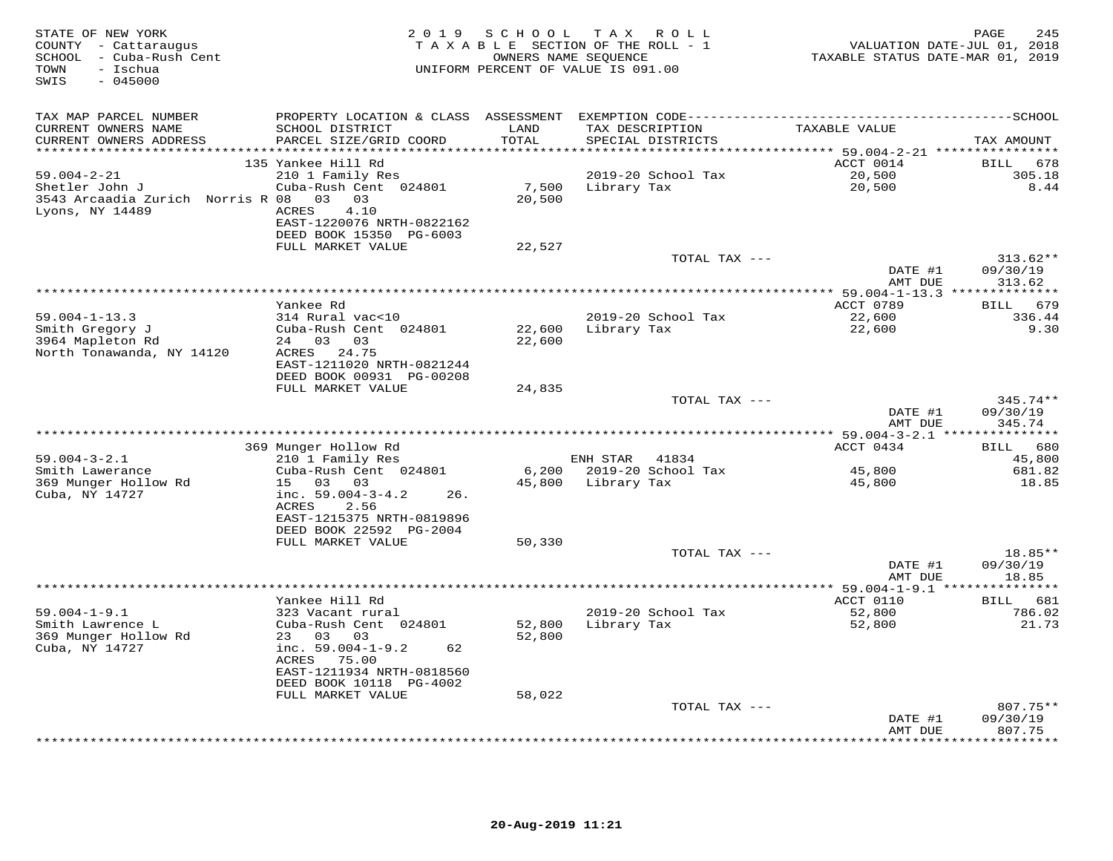| STATE OF NEW YORK<br>COUNTY - Cattaraugus<br>SCHOOL - Cuba-Rush Cent<br>TOWN<br>- Ischua<br>$-045000$<br>SWIS | 2 0 1 9                                              | SCHOOL         | T A X<br>R O L L<br>TAXABLE SECTION OF THE ROLL - 1<br>OWNERS NAME SEQUENCE<br>UNIFORM PERCENT OF VALUE IS 091.00 | VALUATION DATE-JUL 01, 2018<br>TAXABLE STATUS DATE-MAR 01, 2019 | 245<br>PAGE            |
|---------------------------------------------------------------------------------------------------------------|------------------------------------------------------|----------------|-------------------------------------------------------------------------------------------------------------------|-----------------------------------------------------------------|------------------------|
| TAX MAP PARCEL NUMBER                                                                                         |                                                      |                |                                                                                                                   |                                                                 |                        |
| CURRENT OWNERS NAME                                                                                           | SCHOOL DISTRICT                                      | LAND           | TAX DESCRIPTION                                                                                                   | TAXABLE VALUE                                                   |                        |
| CURRENT OWNERS ADDRESS                                                                                        | PARCEL SIZE/GRID COORD                               | TOTAL          | SPECIAL DISTRICTS                                                                                                 |                                                                 | TAX AMOUNT             |
| ***********************                                                                                       | *******************************                      | ************** |                                                                                                                   | ********************************** 59.004-2-21 **************** |                        |
| $59.004 - 2 - 21$                                                                                             | 135 Yankee Hill Rd<br>210 1 Family Res               |                | 2019-20 School Tax                                                                                                | ACCT 0014<br>20,500                                             | BILL 678<br>305.18     |
| Shetler John J                                                                                                | Cuba-Rush Cent 024801                                | 7,500          | Library Tax                                                                                                       | 20,500                                                          | 8.44                   |
| 3543 Arcaadia Zurich Norris R 08 03 03                                                                        |                                                      | 20,500         |                                                                                                                   |                                                                 |                        |
| Lyons, NY 14489                                                                                               | 4.10<br>ACRES                                        |                |                                                                                                                   |                                                                 |                        |
|                                                                                                               | EAST-1220076 NRTH-0822162                            |                |                                                                                                                   |                                                                 |                        |
|                                                                                                               | DEED BOOK 15350 PG-6003                              |                |                                                                                                                   |                                                                 |                        |
|                                                                                                               | FULL MARKET VALUE                                    | 22,527         |                                                                                                                   |                                                                 |                        |
|                                                                                                               |                                                      |                | TOTAL TAX ---                                                                                                     | DATE #1                                                         | $313.62**$<br>09/30/19 |
|                                                                                                               |                                                      |                |                                                                                                                   | AMT DUE                                                         | 313.62                 |
|                                                                                                               |                                                      |                |                                                                                                                   |                                                                 |                        |
|                                                                                                               | Yankee Rd                                            |                |                                                                                                                   | ACCT 0789                                                       | 679<br><b>BILL</b>     |
| $59.004 - 1 - 13.3$                                                                                           | 314 Rural vac<10                                     |                | 2019-20 School Tax                                                                                                | 22,600                                                          | 336.44                 |
| Smith Gregory J                                                                                               | Cuba-Rush Cent 024801                                | 22,600         | Library Tax                                                                                                       | 22,600                                                          | 9.30                   |
| 3964 Mapleton Rd                                                                                              | 24 03<br>03                                          | 22,600         |                                                                                                                   |                                                                 |                        |
| North Tonawanda, NY 14120                                                                                     | ACRES 24.75<br>EAST-1211020 NRTH-0821244             |                |                                                                                                                   |                                                                 |                        |
|                                                                                                               | DEED BOOK 00931 PG-00208                             |                |                                                                                                                   |                                                                 |                        |
|                                                                                                               | FULL MARKET VALUE                                    | 24,835         |                                                                                                                   |                                                                 |                        |
|                                                                                                               |                                                      |                | TOTAL TAX ---                                                                                                     |                                                                 | $345.74**$             |
|                                                                                                               |                                                      |                |                                                                                                                   | DATE #1                                                         | 09/30/19               |
|                                                                                                               |                                                      |                |                                                                                                                   | AMT DUE                                                         | 345.74                 |
|                                                                                                               | 369 Munger Hollow Rd                                 |                |                                                                                                                   | ACCT 0434                                                       | 680<br><b>BILL</b>     |
| $59.004 - 3 - 2.1$                                                                                            | 210 1 Family Res                                     |                | ENH STAR<br>41834                                                                                                 |                                                                 | 45,800                 |
| Smith Lawerance                                                                                               | Cuba-Rush Cent 024801                                | 6,200          | 2019-20 School Tax                                                                                                | 45,800                                                          | 681.82                 |
| 369 Munger Hollow Rd                                                                                          | 15 03<br>03                                          | 45,800         | Library Tax                                                                                                       | 45,800                                                          | 18.85                  |
| Cuba, NY 14727                                                                                                | inc. $59.004 - 3 - 4.2$<br>26.                       |                |                                                                                                                   |                                                                 |                        |
|                                                                                                               | ACRES<br>2.56                                        |                |                                                                                                                   |                                                                 |                        |
|                                                                                                               | EAST-1215375 NRTH-0819896<br>DEED BOOK 22592 PG-2004 |                |                                                                                                                   |                                                                 |                        |
|                                                                                                               | FULL MARKET VALUE                                    | 50,330         |                                                                                                                   |                                                                 |                        |
|                                                                                                               |                                                      |                | TOTAL TAX ---                                                                                                     |                                                                 | 18.85**                |
|                                                                                                               |                                                      |                |                                                                                                                   | DATE #1                                                         | 09/30/19               |
|                                                                                                               |                                                      |                |                                                                                                                   | AMT DUE                                                         | 18.85                  |
|                                                                                                               |                                                      |                | ************************                                                                                          | ********** 59.004-1-9.1 ***                                     | ***********            |
|                                                                                                               | Yankee Hill Rd                                       |                |                                                                                                                   | ACCT 0110                                                       | BILL 681               |
| $59.004 - 1 - 9.1$<br>Smith Lawrence L                                                                        | 323 Vacant rural<br>Cuba-Rush Cent 024801            | 52,800         | 2019-20 School Tax<br>Library Tax                                                                                 | 52,800<br>52,800                                                | 786.02<br>21.73        |
| 369 Munger Hollow Rd                                                                                          | 23 03<br>03                                          | 52,800         |                                                                                                                   |                                                                 |                        |
| Cuba, NY 14727                                                                                                | inc. 59.004-1-9.2<br>62                              |                |                                                                                                                   |                                                                 |                        |
|                                                                                                               | ACRES 75.00                                          |                |                                                                                                                   |                                                                 |                        |
|                                                                                                               | EAST-1211934 NRTH-0818560                            |                |                                                                                                                   |                                                                 |                        |
|                                                                                                               | DEED BOOK 10118 PG-4002                              |                |                                                                                                                   |                                                                 |                        |
|                                                                                                               | FULL MARKET VALUE                                    | 58,022         | TOTAL TAX ---                                                                                                     |                                                                 | 807.75**               |
|                                                                                                               |                                                      |                |                                                                                                                   | DATE #1                                                         | 09/30/19               |
|                                                                                                               |                                                      |                |                                                                                                                   | AMT DUE                                                         | 807.75                 |
|                                                                                                               |                                                      |                |                                                                                                                   |                                                                 | + + + + + + + +        |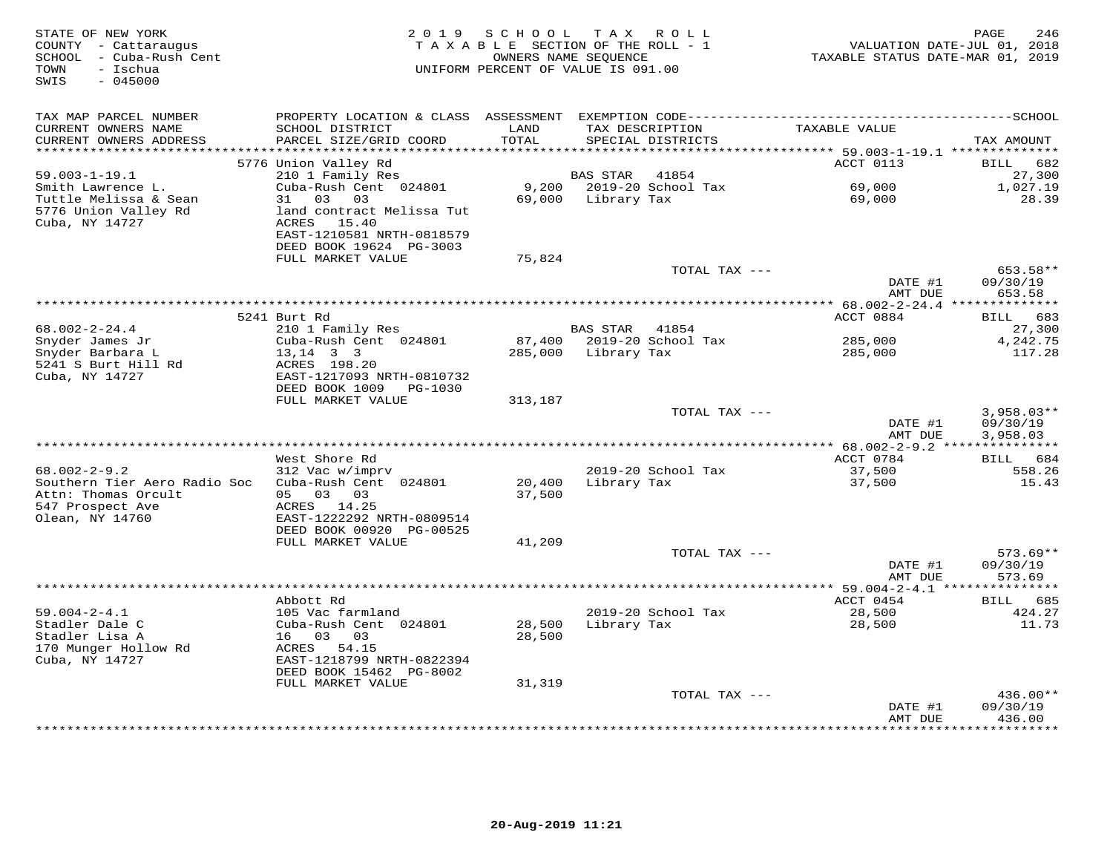| STATE OF NEW YORK<br>COUNTY - Cattaraugus<br>SCHOOL - Cuba-Rush Cent<br>- Ischua<br>TOWN<br>$-045000$<br>SWIS |                                               | 2019 SCHOOL<br>TAXABLE SECTION OF THE ROLL - 1<br>OWNERS NAME SEQUENCE<br>UNIFORM PERCENT OF VALUE IS 091.00 | T A X           | ROLL                        | VALUATION DATE-JUL 01, 2018<br>TAXABLE STATUS DATE-MAR 01, 2019 | $\mathop{\mathtt{PAGE}}$<br>246 |
|---------------------------------------------------------------------------------------------------------------|-----------------------------------------------|--------------------------------------------------------------------------------------------------------------|-----------------|-----------------------------|-----------------------------------------------------------------|---------------------------------|
| TAX MAP PARCEL NUMBER<br>CURRENT OWNERS NAME                                                                  | SCHOOL DISTRICT                               | LAND                                                                                                         |                 | TAX DESCRIPTION             | TAXABLE VALUE                                                   |                                 |
| CURRENT OWNERS ADDRESS                                                                                        | PARCEL SIZE/GRID COORD                        | TOTAL                                                                                                        |                 | SPECIAL DISTRICTS           |                                                                 | TAX AMOUNT                      |
| *******************                                                                                           |                                               | ********                                                                                                     |                 |                             | **************************** 59.003-1-19.1 **************       |                                 |
|                                                                                                               | 5776 Union Valley Rd                          |                                                                                                              |                 |                             | ACCT 0113                                                       | <b>BILL</b><br>682              |
| $59.003 - 1 - 19.1$<br>Smith Lawrence L.                                                                      | 210 1 Family Res<br>Cuba-Rush Cent 024801     | 9,200                                                                                                        | BAS STAR        | 41854<br>2019-20 School Tax | 69,000                                                          | 27,300<br>1,027.19              |
| Tuttle Melissa & Sean                                                                                         | 03 03<br>31                                   | 69,000                                                                                                       | Library Tax     |                             | 69,000                                                          | 28.39                           |
| 5776 Union Valley Rd                                                                                          | land contract Melissa Tut                     |                                                                                                              |                 |                             |                                                                 |                                 |
| Cuba, NY 14727                                                                                                | ACRES 15.40                                   |                                                                                                              |                 |                             |                                                                 |                                 |
|                                                                                                               | EAST-1210581 NRTH-0818579                     |                                                                                                              |                 |                             |                                                                 |                                 |
|                                                                                                               | DEED BOOK 19624 PG-3003                       |                                                                                                              |                 |                             |                                                                 |                                 |
|                                                                                                               | FULL MARKET VALUE                             | 75,824                                                                                                       |                 |                             |                                                                 |                                 |
|                                                                                                               |                                               |                                                                                                              |                 | TOTAL TAX ---               |                                                                 | 653.58**                        |
|                                                                                                               |                                               |                                                                                                              |                 |                             | DATE #1<br>AMT DUE                                              | 09/30/19<br>653.58              |
|                                                                                                               |                                               |                                                                                                              |                 |                             |                                                                 |                                 |
|                                                                                                               | 5241 Burt Rd                                  |                                                                                                              |                 |                             | ACCT 0884                                                       | 683<br>BILL                     |
| $68.002 - 2 - 24.4$                                                                                           | 210 1 Family Res                              |                                                                                                              | <b>BAS STAR</b> | 41854                       |                                                                 | 27,300                          |
| Snyder James Jr                                                                                               | Cuba-Rush Cent 024801                         | 87,400                                                                                                       |                 | 2019-20 School Tax          | 285,000                                                         | 4,242.75                        |
| Snyder Barbara L                                                                                              | $13, 14$ 3 3                                  | 285,000                                                                                                      | Library Tax     |                             | 285,000                                                         | 117.28                          |
| 5241 S Burt Hill Rd<br>Cuba, NY 14727                                                                         | ACRES 198.20<br>EAST-1217093 NRTH-0810732     |                                                                                                              |                 |                             |                                                                 |                                 |
|                                                                                                               | DEED BOOK 1009<br>PG-1030                     |                                                                                                              |                 |                             |                                                                 |                                 |
|                                                                                                               | FULL MARKET VALUE                             | 313,187                                                                                                      |                 |                             |                                                                 |                                 |
|                                                                                                               |                                               |                                                                                                              |                 | TOTAL TAX ---               |                                                                 | $3,958.03**$                    |
|                                                                                                               |                                               |                                                                                                              |                 |                             | DATE #1                                                         | 09/30/19                        |
|                                                                                                               |                                               |                                                                                                              |                 |                             | AMT DUE                                                         | 3,958.03                        |
|                                                                                                               | West Shore Rd                                 |                                                                                                              |                 |                             | ACCT 0784                                                       | BILL 684                        |
| $68.002 - 2 - 9.2$                                                                                            | 312 Vac w/imprv                               |                                                                                                              |                 | 2019-20 School Tax          | 37,500                                                          | 558.26                          |
| Southern Tier Aero Radio Soc                                                                                  | Cuba-Rush Cent 024801                         | 20,400                                                                                                       | Library Tax     |                             | 37,500                                                          | 15.43                           |
| Attn: Thomas Orcult                                                                                           | 05 03<br>03                                   | 37,500                                                                                                       |                 |                             |                                                                 |                                 |
| 547 Prospect Ave                                                                                              | ACRES 14.25                                   |                                                                                                              |                 |                             |                                                                 |                                 |
| Olean, NY 14760                                                                                               | EAST-1222292 NRTH-0809514                     |                                                                                                              |                 |                             |                                                                 |                                 |
|                                                                                                               | DEED BOOK 00920 PG-00525<br>FULL MARKET VALUE | 41,209                                                                                                       |                 |                             |                                                                 |                                 |
|                                                                                                               |                                               |                                                                                                              |                 | TOTAL TAX ---               |                                                                 | $573.69**$                      |
|                                                                                                               |                                               |                                                                                                              |                 |                             | DATE #1                                                         | 09/30/19                        |
|                                                                                                               |                                               |                                                                                                              |                 |                             | AMT DUE                                                         | 573.69                          |
|                                                                                                               |                                               |                                                                                                              |                 |                             |                                                                 | * * * * * * * * * * * *         |
|                                                                                                               | Abbott Rd                                     |                                                                                                              |                 |                             | ACCT 0454                                                       | 685<br>BILL                     |
| $59.004 - 2 - 4.1$                                                                                            | 105 Vac farmland                              |                                                                                                              |                 | 2019-20 School Tax          | 28,500                                                          | 424.27                          |
| Stadler Dale C<br>Stadler Lisa A                                                                              | Cuba-Rush Cent 024801<br>16 03<br>03          | 28,500<br>28,500                                                                                             | Library Tax     |                             | 28,500                                                          | 11.73                           |
| 170 Munger Hollow Rd                                                                                          | ACRES 54.15                                   |                                                                                                              |                 |                             |                                                                 |                                 |
| Cuba, NY 14727                                                                                                | EAST-1218799 NRTH-0822394                     |                                                                                                              |                 |                             |                                                                 |                                 |
|                                                                                                               | DEED BOOK 15462 PG-8002                       |                                                                                                              |                 |                             |                                                                 |                                 |
|                                                                                                               | FULL MARKET VALUE                             | 31,319                                                                                                       |                 |                             |                                                                 |                                 |
|                                                                                                               |                                               |                                                                                                              |                 | TOTAL TAX ---               |                                                                 | 436.00**                        |
|                                                                                                               |                                               |                                                                                                              |                 |                             | DATE #1                                                         | 09/30/19                        |
|                                                                                                               |                                               |                                                                                                              |                 |                             | AMT DUE<br>***************                                      | 436.00<br>*********             |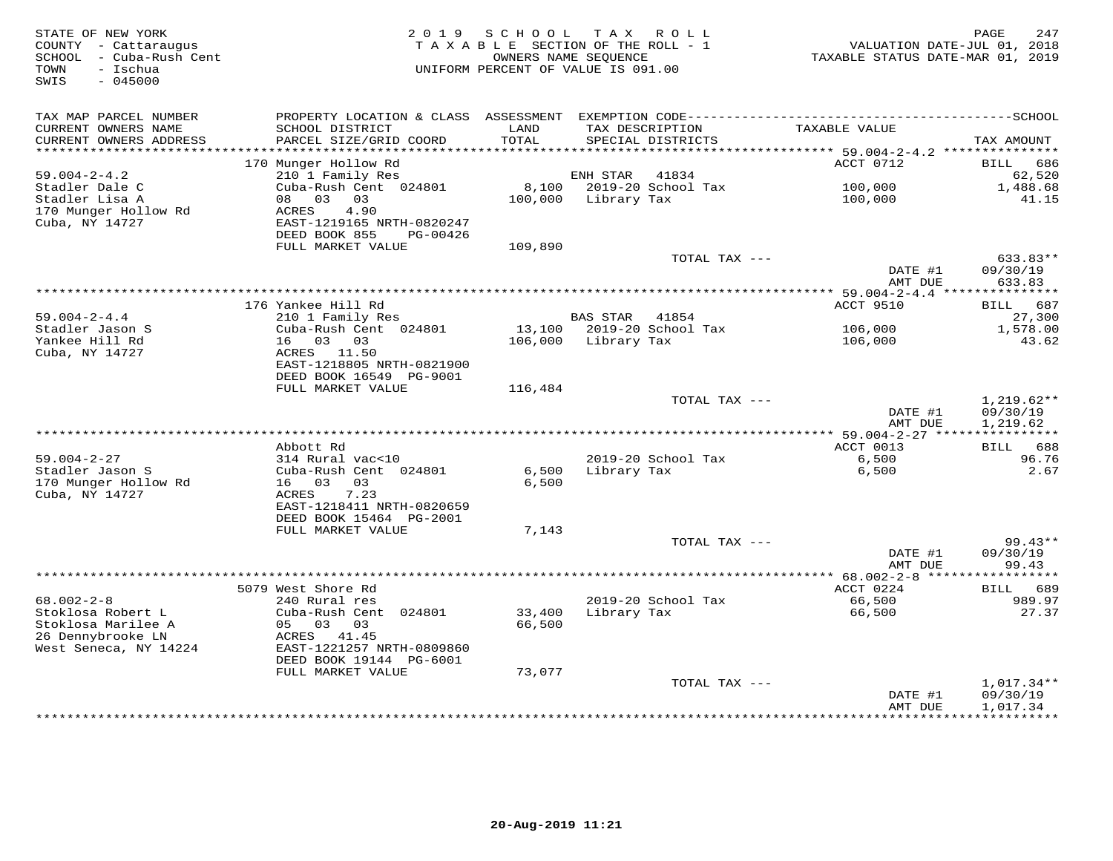| STATE OF NEW YORK<br>COUNTY - Cattaraugus<br>SCHOOL - Cuba-Rush Cent<br>- Ischua<br>TOWN<br>SWIS<br>$-045000$ |                                           | 2019 SCHOOL   | T A X<br>R O L L<br>TAXABLE SECTION OF THE ROLL - 1<br>OWNERS NAME SEQUENCE<br>UNIFORM PERCENT OF VALUE IS 091.00 | VALUATION DATE-JUL 01, 2018<br>TAXABLE STATUS DATE-MAR 01, 2019 | 247<br>PAGE            |
|---------------------------------------------------------------------------------------------------------------|-------------------------------------------|---------------|-------------------------------------------------------------------------------------------------------------------|-----------------------------------------------------------------|------------------------|
| TAX MAP PARCEL NUMBER                                                                                         |                                           |               |                                                                                                                   |                                                                 |                        |
| CURRENT OWNERS NAME<br>CURRENT OWNERS ADDRESS<br>***********************                                      | SCHOOL DISTRICT<br>PARCEL SIZE/GRID COORD | LAND<br>TOTAL | TAX DESCRIPTION<br>SPECIAL DISTRICTS                                                                              | TAXABLE VALUE                                                   | TAX AMOUNT             |
|                                                                                                               | 170 Munger Hollow Rd                      |               |                                                                                                                   | ACCT 0712                                                       | 686<br>BILL            |
| $59.004 - 2 - 4.2$                                                                                            | 210 1 Family Res                          |               | ENH STAR<br>41834                                                                                                 |                                                                 | 62,520                 |
| Stadler Dale C                                                                                                | Cuba-Rush Cent 024801                     | 8,100         | 2019-20 School Tax                                                                                                | 100,000                                                         | 1,488.68               |
| Stadler Lisa A                                                                                                | 08 03<br>03                               | 100,000       | Library Tax                                                                                                       | 100,000                                                         | 41.15                  |
| 170 Munger Hollow Rd                                                                                          | 4.90<br>ACRES                             |               |                                                                                                                   |                                                                 |                        |
| Cuba, NY 14727                                                                                                | EAST-1219165 NRTH-0820247                 |               |                                                                                                                   |                                                                 |                        |
|                                                                                                               | DEED BOOK 855<br>PG-00426                 |               |                                                                                                                   |                                                                 |                        |
|                                                                                                               | FULL MARKET VALUE                         | 109,890       |                                                                                                                   |                                                                 |                        |
|                                                                                                               |                                           |               | TOTAL TAX ---                                                                                                     | DATE #1                                                         | 633.83**<br>09/30/19   |
|                                                                                                               |                                           |               |                                                                                                                   | AMT DUE                                                         | 633.83                 |
|                                                                                                               |                                           |               |                                                                                                                   | ******* 59.004-2-4.4 ****                                       | ***********            |
|                                                                                                               | 176 Yankee Hill Rd                        |               |                                                                                                                   | <b>ACCT 9510</b>                                                | BILL 687               |
| $59.004 - 2 - 4.4$                                                                                            | 210 1 Family Res                          |               | <b>BAS STAR</b><br>41854                                                                                          |                                                                 | 27,300                 |
| Stadler Jason S                                                                                               | Cuba-Rush Cent 024801                     |               | 13,100 2019-20 School Tax                                                                                         | 106,000                                                         | 1,578.00               |
| Yankee Hill Rd                                                                                                | 16 03 03                                  | 106,000       | Library Tax                                                                                                       | 106,000                                                         | 43.62                  |
| Cuba, NY 14727                                                                                                | ACRES 11.50<br>EAST-1218805 NRTH-0821900  |               |                                                                                                                   |                                                                 |                        |
|                                                                                                               | DEED BOOK 16549 PG-9001                   |               |                                                                                                                   |                                                                 |                        |
|                                                                                                               | FULL MARKET VALUE                         | 116,484       |                                                                                                                   |                                                                 |                        |
|                                                                                                               |                                           |               | TOTAL TAX ---                                                                                                     |                                                                 | $1,219.62**$           |
|                                                                                                               |                                           |               |                                                                                                                   | DATE #1                                                         | 09/30/19               |
|                                                                                                               |                                           |               |                                                                                                                   | AMT DUE                                                         | 1,219.62               |
|                                                                                                               | Abbott Rd                                 |               |                                                                                                                   | ACCT 0013                                                       | BILL 688               |
| $59.004 - 2 - 27$                                                                                             | 314 Rural vac<10                          |               | 2019-20 School Tax                                                                                                | 6,500                                                           | 96.76                  |
| Stadler Jason S                                                                                               | Cuba-Rush Cent 024801                     | 6,500         | Library Tax                                                                                                       | 6,500                                                           | 2.67                   |
| 170 Munger Hollow Rd                                                                                          | 16 03<br>03                               | 6,500         |                                                                                                                   |                                                                 |                        |
| Cuba, NY 14727                                                                                                | 7.23<br>ACRES                             |               |                                                                                                                   |                                                                 |                        |
|                                                                                                               | EAST-1218411 NRTH-0820659                 |               |                                                                                                                   |                                                                 |                        |
|                                                                                                               | DEED BOOK 15464 PG-2001                   |               |                                                                                                                   |                                                                 |                        |
|                                                                                                               | FULL MARKET VALUE                         | 7,143         |                                                                                                                   |                                                                 |                        |
|                                                                                                               |                                           |               | TOTAL TAX ---                                                                                                     | DATE #1                                                         | $99.43**$<br>09/30/19  |
|                                                                                                               |                                           |               |                                                                                                                   | AMT DUE                                                         | 99.43                  |
|                                                                                                               |                                           |               |                                                                                                                   | ************** 68.002-2-8 *****                                 | * * * * * * * *        |
|                                                                                                               | 5079 West Shore Rd                        |               |                                                                                                                   | ACCT 0224                                                       | 689<br><b>BILL</b>     |
| $68.002 - 2 - 8$                                                                                              | 240 Rural res                             |               | 2019-20 School Tax                                                                                                | 66,500                                                          | 989.97                 |
| Stoklosa Robert L                                                                                             | Cuba-Rush Cent 024801                     | 33,400        | Library Tax                                                                                                       | 66,500                                                          | 27.37                  |
| Stoklosa Marilee A                                                                                            | 05 03 03                                  | 66,500        |                                                                                                                   |                                                                 |                        |
| 26 Dennybrooke LN<br>West Seneca, NY 14224                                                                    | ACRES 41.45<br>EAST-1221257 NRTH-0809860  |               |                                                                                                                   |                                                                 |                        |
|                                                                                                               | DEED BOOK 19144 PG-6001                   |               |                                                                                                                   |                                                                 |                        |
|                                                                                                               | FULL MARKET VALUE                         | 73,077        |                                                                                                                   |                                                                 |                        |
|                                                                                                               |                                           |               | TOTAL TAX ---                                                                                                     |                                                                 | $1,017.34**$           |
|                                                                                                               |                                           |               |                                                                                                                   | DATE #1                                                         | 09/30/19               |
|                                                                                                               |                                           |               |                                                                                                                   | AMT DUE<br>*********                                            | 1,017.34<br>********** |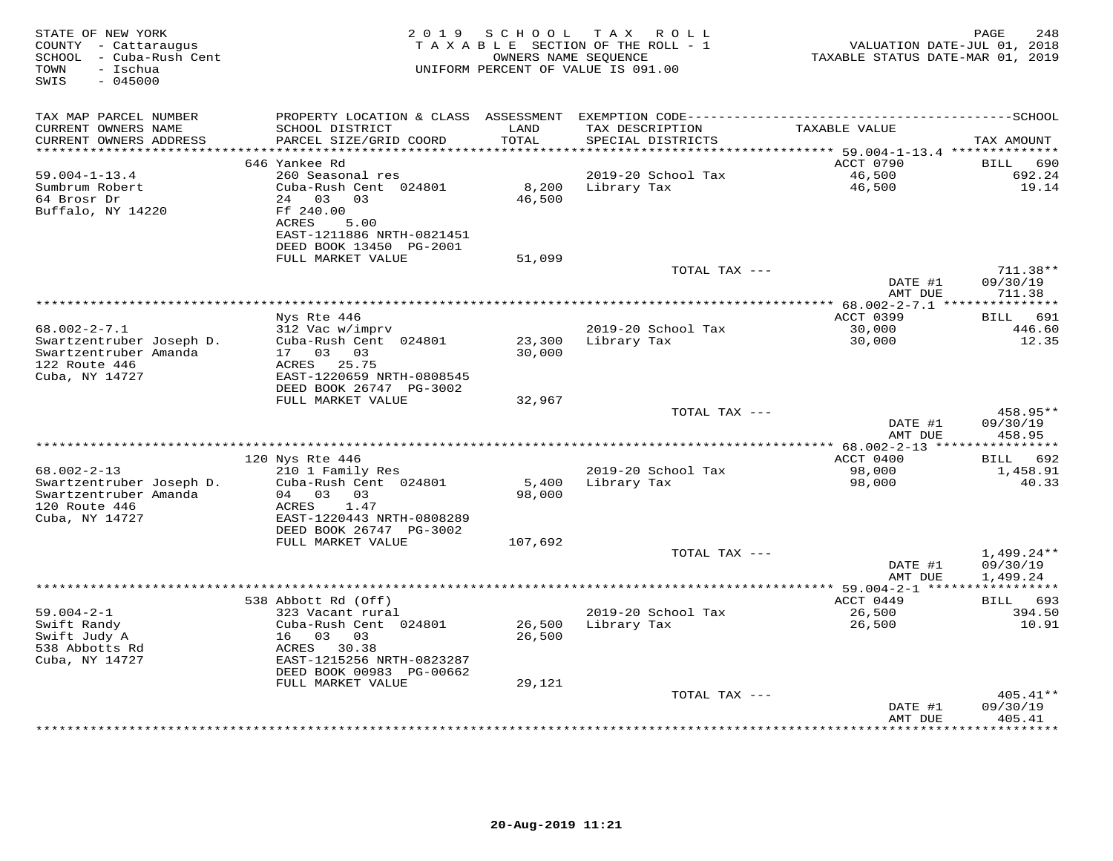| STATE OF NEW YORK<br>COUNTY - Cattaraugus<br>SCHOOL - Cuba-Rush Cent<br>- Ischua<br>TOWN<br>$-045000$<br>SWIS | 2 0 1 9                                                                 | SCHOOL           | T A X<br>ROLL<br>TAXABLE SECTION OF THE ROLL - 1<br>OWNERS NAME SEQUENCE<br>UNIFORM PERCENT OF VALUE IS 091.00 | VALUATION DATE-JUL 01, 2018<br>TAXABLE STATUS DATE-MAR 01, 2019 | PAGE<br>248                          |
|---------------------------------------------------------------------------------------------------------------|-------------------------------------------------------------------------|------------------|----------------------------------------------------------------------------------------------------------------|-----------------------------------------------------------------|--------------------------------------|
| TAX MAP PARCEL NUMBER                                                                                         | PROPERTY LOCATION & CLASS ASSESSMENT                                    |                  |                                                                                                                |                                                                 |                                      |
| CURRENT OWNERS NAME<br>CURRENT OWNERS ADDRESS                                                                 | SCHOOL DISTRICT<br>PARCEL SIZE/GRID COORD                               | LAND<br>TOTAL    | TAX DESCRIPTION<br>SPECIAL DISTRICTS                                                                           | TAXABLE VALUE                                                   | TAX AMOUNT                           |
| **********************                                                                                        | ****************************                                            |                  |                                                                                                                |                                                                 |                                      |
|                                                                                                               | 646 Yankee Rd                                                           |                  |                                                                                                                | ACCT 0790                                                       | 690<br>BILL                          |
| $59.004 - 1 - 13.4$<br>Sumbrum Robert                                                                         | 260 Seasonal res<br>Cuba-Rush Cent 024801                               | 8,200            | 2019-20 School Tax<br>Library Tax                                                                              | 46,500<br>46,500                                                | 692.24<br>19.14                      |
| 64 Brosr Dr<br>Buffalo, NY 14220                                                                              | 24 03<br>03<br>Ff 240.00<br>ACRES<br>5.00<br>EAST-1211886 NRTH-0821451  | 46,500           |                                                                                                                |                                                                 |                                      |
|                                                                                                               | DEED BOOK 13450 PG-2001<br>FULL MARKET VALUE                            | 51,099           |                                                                                                                |                                                                 |                                      |
|                                                                                                               |                                                                         |                  | TOTAL TAX ---                                                                                                  |                                                                 | $711.38**$                           |
|                                                                                                               |                                                                         |                  |                                                                                                                | DATE #1<br>AMT DUE                                              | 09/30/19<br>711.38                   |
|                                                                                                               |                                                                         |                  |                                                                                                                |                                                                 |                                      |
|                                                                                                               | Nys Rte 446                                                             |                  |                                                                                                                | ACCT 0399                                                       | 691<br>BILL                          |
| $68.002 - 2 - 7.1$                                                                                            | 312 Vac w/imprv                                                         |                  | 2019-20 School Tax                                                                                             | 30,000                                                          | 446.60                               |
| Swartzentruber Joseph D.<br>Swartzentruber Amanda<br>122 Route 446                                            | Cuba-Rush Cent 024801<br>17 03<br>03<br>25.75<br>ACRES                  | 23,300<br>30,000 | Library Tax                                                                                                    | 30,000                                                          | 12.35                                |
| Cuba, NY 14727                                                                                                | EAST-1220659 NRTH-0808545<br>DEED BOOK 26747 PG-3002                    |                  |                                                                                                                |                                                                 |                                      |
|                                                                                                               | FULL MARKET VALUE                                                       | 32,967           |                                                                                                                |                                                                 |                                      |
|                                                                                                               |                                                                         |                  | TOTAL TAX ---                                                                                                  |                                                                 | 458.95**                             |
|                                                                                                               |                                                                         |                  |                                                                                                                | DATE #1<br>AMT DUE                                              | 09/30/19<br>458.95                   |
|                                                                                                               | 120 Nys Rte 446                                                         |                  |                                                                                                                | ************ 68.002-2-13 *****************<br>ACCT 0400         | <b>BILL</b><br>692                   |
| $68.002 - 2 - 13$                                                                                             | 210 1 Family Res                                                        |                  | 2019-20 School Tax                                                                                             | 98,000                                                          | 1,458.91                             |
| Swartzentruber Joseph D.<br>Swartzentruber Amanda<br>120 Route 446                                            | Cuba-Rush Cent 024801<br>04 03<br>03<br>1.47<br>ACRES                   | 5,400<br>98,000  | Library Tax                                                                                                    | 98,000                                                          | 40.33                                |
| Cuba, NY 14727                                                                                                | EAST-1220443 NRTH-0808289<br>DEED BOOK 26747 PG-3002                    |                  |                                                                                                                |                                                                 |                                      |
|                                                                                                               | FULL MARKET VALUE                                                       | 107,692          |                                                                                                                |                                                                 |                                      |
|                                                                                                               |                                                                         |                  | TOTAL TAX ---                                                                                                  | DATE #1<br>AMT DUE                                              | $1,499.24**$<br>09/30/19<br>1,499.24 |
|                                                                                                               |                                                                         |                  |                                                                                                                | $*********59.004-2-1***$                                        |                                      |
|                                                                                                               | 538 Abbott Rd (Off)                                                     |                  |                                                                                                                | ACCT 0449                                                       | BILL 693                             |
| $59.004 - 2 - 1$                                                                                              | 323 Vacant rural                                                        |                  | 2019-20 School Tax                                                                                             | 26,500                                                          | 394.50                               |
| Swift Randy                                                                                                   | Cuba-Rush Cent 024801                                                   | 26,500           | Library Tax                                                                                                    | 26,500                                                          | 10.91                                |
| Swift Judy A                                                                                                  | 16 03<br>03                                                             | 26,500           |                                                                                                                |                                                                 |                                      |
| 538 Abbotts Rd<br>Cuba, NY 14727                                                                              | ACRES<br>30.38<br>EAST-1215256 NRTH-0823287<br>DEED BOOK 00983 PG-00662 |                  |                                                                                                                |                                                                 |                                      |
|                                                                                                               | FULL MARKET VALUE                                                       | 29,121           |                                                                                                                |                                                                 |                                      |
|                                                                                                               |                                                                         |                  | TOTAL TAX ---                                                                                                  |                                                                 | $405.41**$                           |
|                                                                                                               |                                                                         |                  |                                                                                                                | DATE #1<br>AMT DUE                                              | 09/30/19<br>405.41                   |
|                                                                                                               |                                                                         |                  | ***********************                                                                                        | * * * * * * * * * * * *                                         | * * * * * * * * *                    |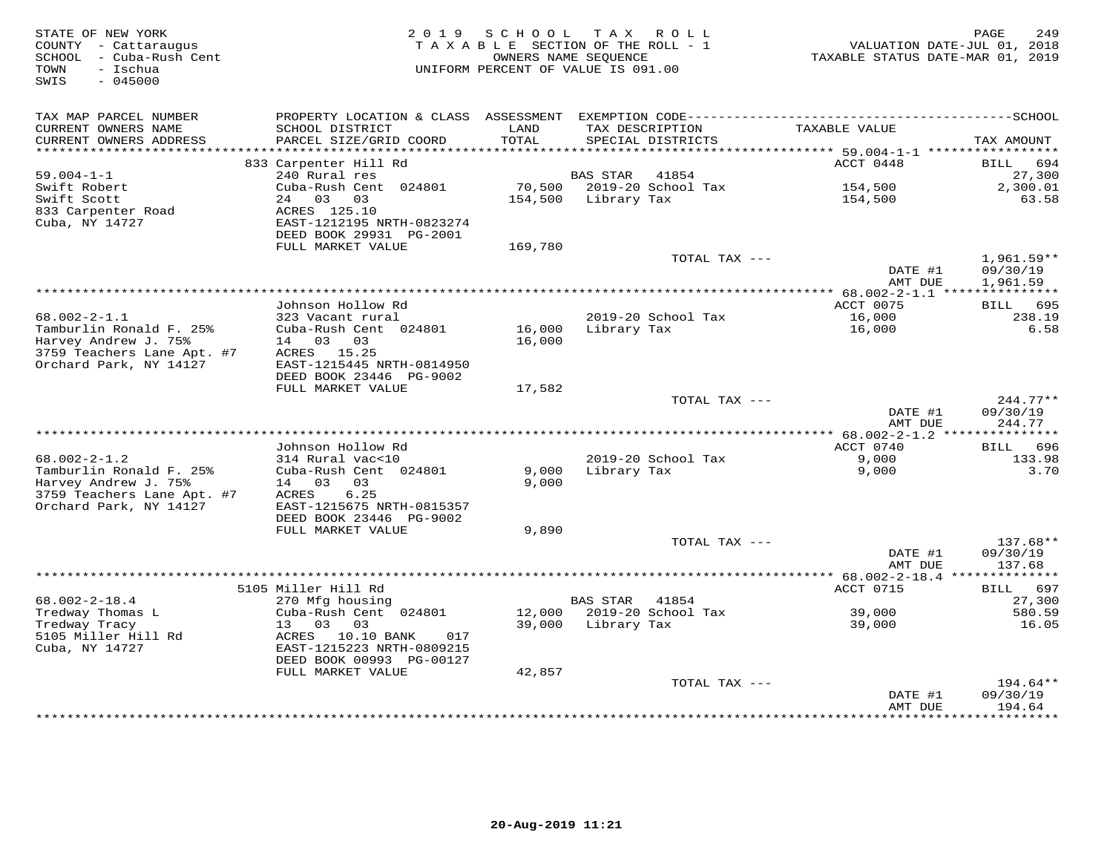| STATE OF NEW YORK<br>COUNTY - Cattaraugus<br>SCHOOL - Cuba-Rush Cent<br>- Ischua<br>TOWN<br>$-045000$<br>SWIS | 2 0 1 9                                                     | SCHOOL            | TAX ROLL<br>TAXABLE SECTION OF THE ROLL - 1<br>OWNERS NAME SEOUENCE<br>UNIFORM PERCENT OF VALUE IS 091.00 |               | TAXABLE STATUS DATE-MAR 01, 2019                              | PAGE<br>249<br>VALUATION DATE-JUL 01, 2018 |
|---------------------------------------------------------------------------------------------------------------|-------------------------------------------------------------|-------------------|-----------------------------------------------------------------------------------------------------------|---------------|---------------------------------------------------------------|--------------------------------------------|
| TAX MAP PARCEL NUMBER                                                                                         | PROPERTY LOCATION & CLASS ASSESSMENT                        |                   |                                                                                                           |               |                                                               |                                            |
| CURRENT OWNERS NAME<br>CURRENT OWNERS ADDRESS<br>********************                                         | SCHOOL DISTRICT<br>PARCEL SIZE/GRID COORD<br>************** | LAND<br>TOTAL     | TAX DESCRIPTION<br>SPECIAL DISTRICTS                                                                      |               | TAXABLE VALUE                                                 | TAX AMOUNT                                 |
|                                                                                                               | 833 Carpenter Hill Rd                                       |                   |                                                                                                           |               | ACCT 0448                                                     | 694<br>BILL                                |
| $59.004 - 1 - 1$                                                                                              | 240 Rural res                                               |                   | <b>BAS STAR</b><br>41854                                                                                  |               |                                                               | 27,300                                     |
| Swift Robert<br>Swift Scott                                                                                   | Cuba-Rush Cent 024801<br>24 03 03                           | 70,500<br>154,500 | 2019-20 School Tax<br>Library Tax                                                                         |               | 154,500<br>154,500                                            | 2,300.01<br>63.58                          |
| 833 Carpenter Road<br>Cuba, NY 14727                                                                          | ACRES 125.10<br>EAST-1212195 NRTH-0823274                   |                   |                                                                                                           |               |                                                               |                                            |
|                                                                                                               | DEED BOOK 29931 PG-2001<br>FULL MARKET VALUE                | 169,780           |                                                                                                           |               |                                                               |                                            |
|                                                                                                               |                                                             |                   |                                                                                                           | TOTAL TAX --- |                                                               | 1,961.59**                                 |
|                                                                                                               |                                                             |                   |                                                                                                           |               | DATE #1<br>AMT DUE                                            | 09/30/19<br>1,961.59                       |
|                                                                                                               |                                                             |                   |                                                                                                           |               | $* 68.002 - 2 - 1.1$ ****                                     | * * * * * * * * * * *                      |
|                                                                                                               | Johnson Hollow Rd                                           |                   |                                                                                                           |               | ACCT 0075                                                     | 695<br>BILL                                |
| $68.002 - 2 - 1.1$<br>Tamburlin Ronald F. 25%                                                                 | 323 Vacant rural<br>Cuba-Rush Cent 024801                   | 16,000            | 2019-20 School Tax<br>Library Tax                                                                         |               | 16,000<br>16,000                                              | 238.19<br>6.58                             |
| Harvey Andrew J. 75%                                                                                          | 14 03 03                                                    | 16,000            |                                                                                                           |               |                                                               |                                            |
| 3759 Teachers Lane Apt. #7                                                                                    | ACRES 15.25                                                 |                   |                                                                                                           |               |                                                               |                                            |
| Orchard Park, NY 14127                                                                                        | EAST-1215445 NRTH-0814950                                   |                   |                                                                                                           |               |                                                               |                                            |
|                                                                                                               | DEED BOOK 23446 PG-9002                                     |                   |                                                                                                           |               |                                                               |                                            |
|                                                                                                               | FULL MARKET VALUE                                           | 17,582            |                                                                                                           | TOTAL TAX --- |                                                               | $244.77**$                                 |
|                                                                                                               |                                                             |                   |                                                                                                           |               | DATE #1                                                       | 09/30/19                                   |
|                                                                                                               |                                                             |                   |                                                                                                           |               | AMT DUE                                                       | 244.77                                     |
|                                                                                                               | Johnson Hollow Rd                                           |                   |                                                                                                           |               | ACCT 0740                                                     | BILL<br>696                                |
| $68.002 - 2 - 1.2$                                                                                            | 314 Rural vac<10                                            |                   | 2019-20 School Tax                                                                                        |               | 9,000                                                         | 133.98                                     |
| Tamburlin Ronald F. 25%                                                                                       | Cuba-Rush Cent 024801                                       | 9,000             | Library Tax                                                                                               |               | 9,000                                                         | 3.70                                       |
| Harvey Andrew J. 75%                                                                                          | 14 03 03                                                    | 9,000             |                                                                                                           |               |                                                               |                                            |
| 3759 Teachers Lane Apt. #7                                                                                    | ACRES<br>6.25                                               |                   |                                                                                                           |               |                                                               |                                            |
| Orchard Park, NY 14127                                                                                        | EAST-1215675 NRTH-0815357<br>DEED BOOK 23446 PG-9002        |                   |                                                                                                           |               |                                                               |                                            |
|                                                                                                               | FULL MARKET VALUE                                           | 9,890             |                                                                                                           |               |                                                               |                                            |
|                                                                                                               |                                                             |                   |                                                                                                           | TOTAL TAX --- |                                                               | 137.68**                                   |
|                                                                                                               |                                                             |                   |                                                                                                           |               | DATE #1                                                       | 09/30/19                                   |
|                                                                                                               |                                                             |                   |                                                                                                           |               | AMT DUE                                                       | 137.68                                     |
|                                                                                                               | 5105 Miller Hill Rd                                         |                   |                                                                                                           |               | ****************** 68.002-2-18.4 ***************<br>ACCT 0715 | 697<br>BILL                                |
| $68.002 - 2 - 18.4$                                                                                           | 270 Mfg housing                                             |                   | <b>BAS STAR</b><br>41854                                                                                  |               |                                                               | 27,300                                     |
| Tredway Thomas L                                                                                              | Cuba-Rush Cent 024801                                       | 12,000            | 2019-20 School Tax                                                                                        |               | 39,000                                                        | 580.59                                     |
| Tredway Tracy                                                                                                 | 13<br>03<br>03                                              | 39,000            | Library Tax                                                                                               |               | 39,000                                                        | 16.05                                      |
| 5105 Miller Hill Rd                                                                                           | ACRES 10.10 BANK<br>017                                     |                   |                                                                                                           |               |                                                               |                                            |
| Cuba, NY 14727                                                                                                | EAST-1215223 NRTH-0809215<br>DEED BOOK 00993 PG-00127       |                   |                                                                                                           |               |                                                               |                                            |
|                                                                                                               | FULL MARKET VALUE                                           | 42,857            |                                                                                                           |               |                                                               |                                            |
|                                                                                                               |                                                             |                   |                                                                                                           | TOTAL TAX --- |                                                               | 194.64**                                   |
|                                                                                                               |                                                             |                   |                                                                                                           |               | DATE #1<br>AMT DUE                                            | 09/30/19<br>194.64                         |
|                                                                                                               |                                                             |                   |                                                                                                           |               |                                                               | *********                                  |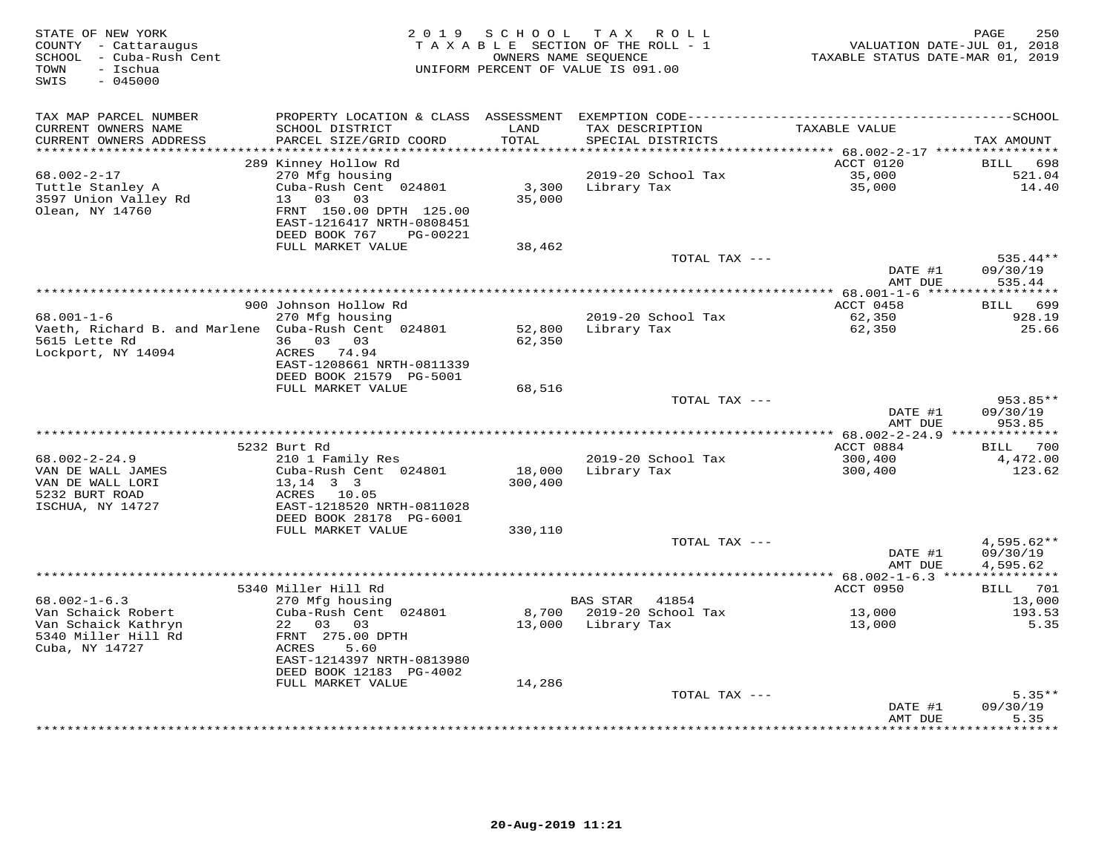| STATE OF NEW YORK<br>COUNTY - Cattaraugus<br>SCHOOL - Cuba-Rush Cent<br>TOWN<br>- Ischua<br>$-045000$<br>SWIS |                                                                                                                                           |                 | 2019 SCHOOL TAX ROLL<br>TAXABLE SECTION OF THE ROLL - 1<br>OWNERS NAME SEQUENCE<br>UNIFORM PERCENT OF VALUE IS 091.00 | VALUATION DATE-JUL 01, 2018<br>TAXABLE STATUS DATE-MAR 01, 2019 | 250<br>PAGE                    |
|---------------------------------------------------------------------------------------------------------------|-------------------------------------------------------------------------------------------------------------------------------------------|-----------------|-----------------------------------------------------------------------------------------------------------------------|-----------------------------------------------------------------|--------------------------------|
| TAX MAP PARCEL NUMBER<br>CURRENT OWNERS NAME<br>CURRENT OWNERS ADDRESS                                        | PROPERTY LOCATION & CLASS ASSESSMENT EXEMPTION CODE-----------------------------------SCHOOL<br>SCHOOL DISTRICT<br>PARCEL SIZE/GRID COORD | LAND<br>TOTAL   | TAX DESCRIPTION<br>SPECIAL DISTRICTS                                                                                  | TAXABLE VALUE                                                   | TAX AMOUNT                     |
| **********************                                                                                        |                                                                                                                                           | ***********     |                                                                                                                       |                                                                 |                                |
| 68.002-2-17<br>Tuttle Stanley A<br>3597 Union Valley Rd<br>Olean, NY 14760                                    | 289 Kinney Hollow Rd<br>270 Mfg housing<br>Cuba-Rush Cent 024801<br>13 03<br>03<br>FRNT 150.00 DPTH 125.00<br>EAST-1216417 NRTH-0808451   | 3,300<br>35,000 | 2019-20 School Tax<br>Library Tax                                                                                     | ACCT 0120<br>35,000<br>35,000                                   | BILL<br>698<br>521.04<br>14.40 |
|                                                                                                               | DEED BOOK 767<br>PG-00221                                                                                                                 |                 |                                                                                                                       |                                                                 |                                |
|                                                                                                               | FULL MARKET VALUE                                                                                                                         | 38,462          | TOTAL TAX ---                                                                                                         | DATE #1                                                         | 535.44**<br>09/30/19           |
|                                                                                                               |                                                                                                                                           |                 |                                                                                                                       | AMT DUE                                                         | 535.44                         |
|                                                                                                               |                                                                                                                                           |                 |                                                                                                                       |                                                                 |                                |
| $68.001 - 1 - 6$                                                                                              | 900 Johnson Hollow Rd                                                                                                                     |                 |                                                                                                                       | ACCT 0458                                                       | BILL 699                       |
| Vaeth, Richard B. and Marlene Cuba-Rush Cent 024801                                                           | 270 Mfg housing                                                                                                                           | 52,800          | 2019-20 School Tax<br>Library Tax                                                                                     | 62,350<br>62,350                                                | 928.19<br>25.66                |
| 5615 Lette Rd                                                                                                 | 36 03 03                                                                                                                                  | 62,350          |                                                                                                                       |                                                                 |                                |
| Lockport, NY 14094                                                                                            | ACRES 74.94                                                                                                                               |                 |                                                                                                                       |                                                                 |                                |
|                                                                                                               | EAST-1208661 NRTH-0811339                                                                                                                 |                 |                                                                                                                       |                                                                 |                                |
|                                                                                                               | DEED BOOK 21579 PG-5001                                                                                                                   |                 |                                                                                                                       |                                                                 |                                |
|                                                                                                               | FULL MARKET VALUE                                                                                                                         | 68,516          | TOTAL TAX ---                                                                                                         |                                                                 | 953.85**                       |
|                                                                                                               |                                                                                                                                           |                 |                                                                                                                       | DATE #1                                                         | 09/30/19                       |
|                                                                                                               |                                                                                                                                           |                 |                                                                                                                       | AMT DUE                                                         | 953.85                         |
|                                                                                                               |                                                                                                                                           |                 |                                                                                                                       |                                                                 |                                |
|                                                                                                               | 5232 Burt Rd                                                                                                                              |                 |                                                                                                                       | ACCT 0884                                                       | BILL 700                       |
| $68.002 - 2 - 24.9$<br>VAN DE WALL JAMES                                                                      | 210 1 Family Res<br>Cuba-Rush Cent 024801                                                                                                 | 18,000          | 2019-20 School Tax<br>Library Tax                                                                                     | 300,400<br>300,400                                              | 4,472.00<br>123.62             |
| VAN DE WALL LORI                                                                                              | $13, 14$ 3 3                                                                                                                              | 300,400         |                                                                                                                       |                                                                 |                                |
| 5232 BURT ROAD                                                                                                | ACRES 10.05                                                                                                                               |                 |                                                                                                                       |                                                                 |                                |
| ISCHUA, NY 14727                                                                                              | EAST-1218520 NRTH-0811028                                                                                                                 |                 |                                                                                                                       |                                                                 |                                |
|                                                                                                               | DEED BOOK 28178 PG-6001                                                                                                                   |                 |                                                                                                                       |                                                                 |                                |
|                                                                                                               | FULL MARKET VALUE                                                                                                                         | 330,110         | TOTAL TAX ---                                                                                                         |                                                                 | $4,595.62**$                   |
|                                                                                                               |                                                                                                                                           |                 |                                                                                                                       | DATE #1                                                         | 09/30/19                       |
|                                                                                                               |                                                                                                                                           |                 |                                                                                                                       | AMT DUE                                                         | 4,595.62                       |
|                                                                                                               |                                                                                                                                           |                 |                                                                                                                       |                                                                 |                                |
|                                                                                                               | 5340 Miller Hill Rd                                                                                                                       |                 |                                                                                                                       | ACCT 0950                                                       | BILL 701                       |
| $68.002 - 1 - 6.3$<br>Van Schaick Robert                                                                      | 270 Mfg housing<br>Cuba-Rush Cent 024801                                                                                                  |                 | BAS STAR 41854<br>8,700 2019-20 School Tax                                                                            | 13,000                                                          | 13,000<br>193.53               |
| Van Schaick Kathryn                                                                                           | 22 03 03                                                                                                                                  |                 | 13,000 Library Tax                                                                                                    | 13,000                                                          | 5.35                           |
| 5340 Miller Hill Rd                                                                                           | FRNT 275.00 DPTH                                                                                                                          |                 |                                                                                                                       |                                                                 |                                |
| Cuba, NY 14727                                                                                                | ACRES<br>5.60                                                                                                                             |                 |                                                                                                                       |                                                                 |                                |
|                                                                                                               | EAST-1214397 NRTH-0813980                                                                                                                 |                 |                                                                                                                       |                                                                 |                                |
|                                                                                                               | DEED BOOK 12183 PG-4002<br>FULL MARKET VALUE                                                                                              | 14,286          |                                                                                                                       |                                                                 |                                |
|                                                                                                               |                                                                                                                                           |                 | TOTAL TAX ---                                                                                                         |                                                                 | $5.35**$                       |
|                                                                                                               |                                                                                                                                           |                 |                                                                                                                       | DATE #1                                                         | 09/30/19                       |
|                                                                                                               |                                                                                                                                           |                 |                                                                                                                       | AMT DUE                                                         | 5.35                           |
|                                                                                                               |                                                                                                                                           |                 |                                                                                                                       | **************                                                  | * * * * * * *                  |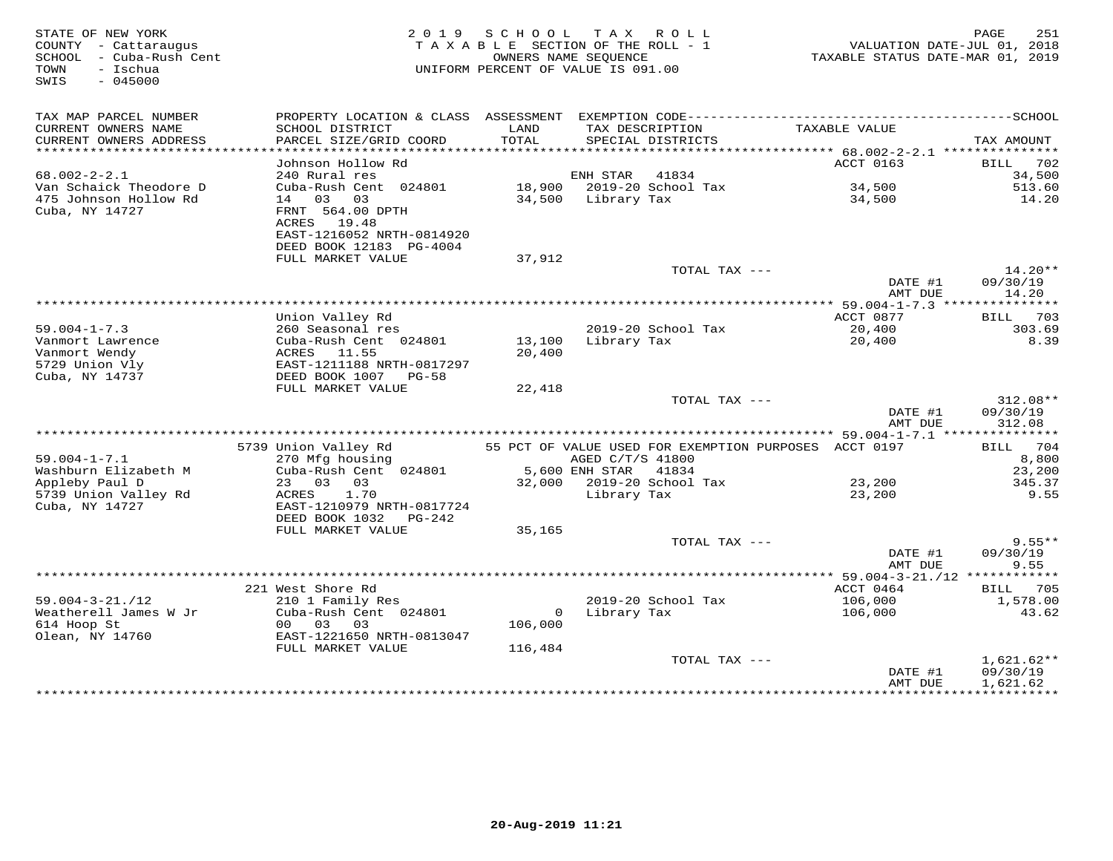| STATE OF NEW YORK<br>COUNTY - Cattaraugus<br>SCHOOL - Cuba-Rush Cent<br>TOWN - Ischua<br>TOWN<br>- Ischua<br>$-045000$<br>SWIS |                                                                                                                                                                                               |               | 2019 SCHOOL TAX ROLL<br>TAXABLE SECTION OF THE ROLL - 1<br>OWNERS NAME SEQUENCE<br>UNIFORM PERCENT OF VALUE IS 091.00 | 1.52<br>VALUATION DATE-JUL 01, 2018<br>TAXABLE STATUS DATE-MAR 01, 2019 | PAGE<br>251                          |
|--------------------------------------------------------------------------------------------------------------------------------|-----------------------------------------------------------------------------------------------------------------------------------------------------------------------------------------------|---------------|-----------------------------------------------------------------------------------------------------------------------|-------------------------------------------------------------------------|--------------------------------------|
| TAX MAP PARCEL NUMBER<br>CURRENT OWNERS NAME<br>CURRENT OWNERS ADDRESS                                                         | SCHOOL DISTRICT<br>PARCEL SIZE/GRID COORD                                                                                                                                                     | LAND<br>TOTAL | TAX DESCRIPTION<br>SPECIAL DISTRICTS                                                                                  | TAXABLE VALUE                                                           | TAX AMOUNT                           |
|                                                                                                                                |                                                                                                                                                                                               |               |                                                                                                                       |                                                                         |                                      |
|                                                                                                                                | Johnson Hollow Rd                                                                                                                                                                             |               |                                                                                                                       | ACCT 0163                                                               | BILL 702                             |
| $68.002 - 2 - 2.1$                                                                                                             |                                                                                                                                                                                               |               |                                                                                                                       |                                                                         | 34,500                               |
| Van Schaick Theodore D<br>475 Johnson Hollow Rd<br>Cuba, NY 14727                                                              | 240 Rural res<br>Cuba-Rush Cent 024801<br>18,900 2019-20 School Tax<br>14 03 03 34,500 Library Tax<br>FRNT 564.00 DPTH<br>ACRES 19.48<br>EAST-1216052 NRTH-0814920<br>DEED BOOK 12183 PG-4004 |               |                                                                                                                       | 34,500<br>34,500                                                        | 513.60<br>14.20                      |
|                                                                                                                                | FULL MARKET VALUE                                                                                                                                                                             | 37,912        |                                                                                                                       |                                                                         |                                      |
|                                                                                                                                |                                                                                                                                                                                               |               | TOTAL TAX ---                                                                                                         | DATE #1                                                                 | $14.20**$<br>09/30/19                |
|                                                                                                                                |                                                                                                                                                                                               |               |                                                                                                                       | AMT DUE                                                                 | 14.20                                |
|                                                                                                                                | Union Valley Rd                                                                                                                                                                               |               |                                                                                                                       | ACCT 0877                                                               | BILL 703                             |
| $59.004 - 1 - 7.3$                                                                                                             | 260 Seasonal res                                                                                                                                                                              |               | 2019-20 School Tax                                                                                                    | $20,400$<br>$20,400$                                                    | 303.69                               |
| Vanmort Lawrence<br>Vanmort Wendy<br>5729 Union Vly<br>Cuba, NY 14737                                                          | Cuba-Rush Cent 024801<br>ACRES 11.55<br>EAST-1211188 NRTH-0817297<br>DEED BOOK 1007 PG-58                                                                                                     | 20,400        | 13,100 Library Tax                                                                                                    |                                                                         | 8.39                                 |
|                                                                                                                                | FULL MARKET VALUE                                                                                                                                                                             | 22,418        |                                                                                                                       |                                                                         |                                      |
|                                                                                                                                |                                                                                                                                                                                               |               | TOTAL TAX ---                                                                                                         | DATE #1                                                                 | $312.08**$<br>09/30/19               |
|                                                                                                                                |                                                                                                                                                                                               |               |                                                                                                                       | AMT DUE                                                                 | 312.08                               |
|                                                                                                                                |                                                                                                                                                                                               |               |                                                                                                                       |                                                                         |                                      |
| $59.004 - 1 - 7.1$<br>Washburn Elizabeth M                                                                                     | 5739 Union Valley Rd<br>270 Mfg housing<br>270 Mfg housing<br>270 Mfg housing<br>270 Mfg housing<br>284801<br>26,600 ENH STAR 2501<br>271 Million Cuba-Rush Cent<br>284801                    |               |                                                                                                                       |                                                                         | BILL 704<br>8,800<br>23,200          |
| Appleby Paul D                                                                                                                 | 23  03  03<br>ACRES  1.70                                                                                                                                                                     |               | 32,000 2019-20 School Tax                                                                                             | 23,200                                                                  | 345.37                               |
| 5739 Union Valley Rd<br>Cuba, NY 14727                                                                                         | ACRES 1.70<br>EAST-1210979 NRTH-0817724<br>DEED BOOK 1032    PG-242                                                                                                                           |               | Library Tax                                                                                                           | 23,200                                                                  | 9.55                                 |
|                                                                                                                                | FULL MARKET VALUE                                                                                                                                                                             | 35,165        | TOTAL TAX ---                                                                                                         |                                                                         | $9.55**$                             |
|                                                                                                                                |                                                                                                                                                                                               |               |                                                                                                                       | DATE #1<br>AMT DUE                                                      | 09/30/19<br>9.55                     |
|                                                                                                                                |                                                                                                                                                                                               |               |                                                                                                                       |                                                                         |                                      |
|                                                                                                                                | 221 West Shore Rd                                                                                                                                                                             |               |                                                                                                                       | ACCT 0464                                                               | BILL 705                             |
| $59.004 - 3 - 21. / 12$<br>Weatherell James W Jr                                                                               | 210 1 Family Res<br>Cuba-Rush Cent 024801                                                                                                                                                     |               | 2019-20 School Tax<br>0 Library Tax                                                                                   | 106,000<br>106,000                                                      | 1,578.00<br>43.62                    |
| 614 Hoop St                                                                                                                    | 00 03 03                                                                                                                                                                                      | 106,000       |                                                                                                                       |                                                                         |                                      |
| Olean, NY 14760                                                                                                                | EAST-1221650 NRTH-0813047                                                                                                                                                                     |               |                                                                                                                       |                                                                         |                                      |
|                                                                                                                                | FULL MARKET VALUE                                                                                                                                                                             | 116,484       |                                                                                                                       |                                                                         |                                      |
|                                                                                                                                |                                                                                                                                                                                               |               | TOTAL TAX ---                                                                                                         | DATE #1<br>AMT DUE                                                      | $1,621.62**$<br>09/30/19<br>1,621.62 |
|                                                                                                                                |                                                                                                                                                                                               |               |                                                                                                                       |                                                                         |                                      |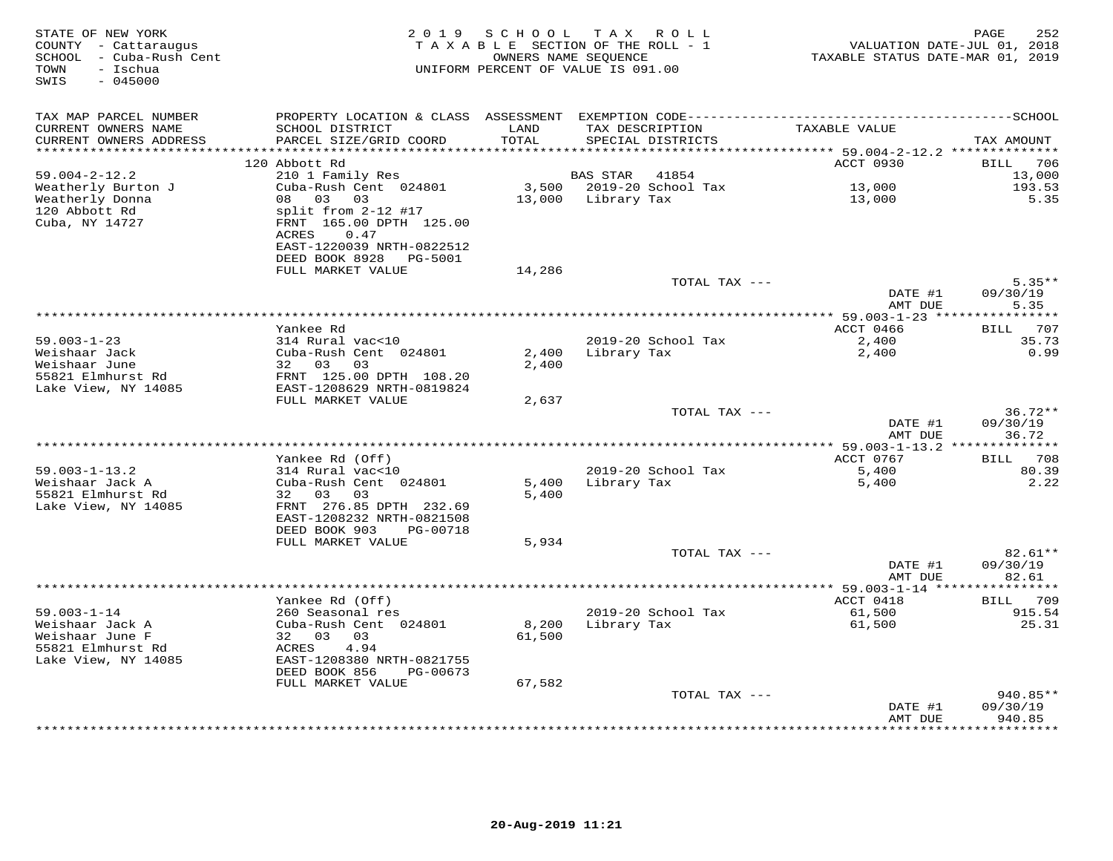| STATE OF NEW YORK<br>COUNTY - Cattaraugus<br>SCHOOL - Cuba-Rush Cent<br>- Ischua<br>TOWN<br>SWIS<br>$-045000$ |                                                                 |                | 2019 SCHOOL TAX ROLL<br>TAXABLE SECTION OF THE ROLL - 1<br>OWNERS NAME SEQUENCE<br>UNIFORM PERCENT OF VALUE IS 091.00 | TAXABLE STATUS DATE-MAR 01, 2019 | PAGE<br>252<br>VALUATION DATE-JUL 01, 2018 |
|---------------------------------------------------------------------------------------------------------------|-----------------------------------------------------------------|----------------|-----------------------------------------------------------------------------------------------------------------------|----------------------------------|--------------------------------------------|
|                                                                                                               |                                                                 |                |                                                                                                                       |                                  |                                            |
| TAX MAP PARCEL NUMBER<br>CURRENT OWNERS NAME                                                                  | SCHOOL DISTRICT                                                 | LAND           | TAX DESCRIPTION                                                                                                       | TAXABLE VALUE                    |                                            |
| CURRENT OWNERS ADDRESS                                                                                        | PARCEL SIZE/GRID COORD                                          | TOTAL          | SPECIAL DISTRICTS                                                                                                     |                                  | TAX AMOUNT                                 |
| **********************                                                                                        | 120 Abbott Rd                                                   |                |                                                                                                                       | ACCT 0930                        | 706<br><b>BILL</b>                         |
| $59.004 - 2 - 12.2$                                                                                           | 210 1 Family Res                                                |                | BAS STAR<br>41854                                                                                                     |                                  | 13,000                                     |
| Weatherly Burton J                                                                                            | Cuba-Rush Cent 024801                                           |                | 3,500 2019-20 School Tax                                                                                              | 13,000                           | 193.53                                     |
| Weatherly Donna                                                                                               | 08 03 03                                                        |                | 13,000 Library Tax                                                                                                    | 13,000                           | 5.35                                       |
| 120 Abbott Rd<br>Cuba, NY 14727                                                                               | split from 2-12 #17<br>FRNT 165.00 DPTH 125.00<br>ACRES<br>0.47 |                |                                                                                                                       |                                  |                                            |
|                                                                                                               | EAST-1220039 NRTH-0822512<br>DEED BOOK 8928<br>PG-5001          |                |                                                                                                                       |                                  |                                            |
|                                                                                                               | FULL MARKET VALUE                                               | 14,286         |                                                                                                                       |                                  |                                            |
|                                                                                                               |                                                                 |                |                                                                                                                       | TOTAL TAX ---                    | $5.35**$                                   |
|                                                                                                               |                                                                 |                |                                                                                                                       | DATE #1                          | 09/30/19                                   |
|                                                                                                               |                                                                 |                |                                                                                                                       | AMT DUE                          | 5.35                                       |
|                                                                                                               | Yankee Rd                                                       |                |                                                                                                                       | ACCT 0466                        | BILL 707                                   |
| $59.003 - 1 - 23$                                                                                             | 314 Rural vac<10                                                |                | 2019-20 School Tax                                                                                                    | 2,400                            | 35.73                                      |
| Weishaar Jack                                                                                                 | Cuba-Rush Cent 024801                                           | 2,400          | Library Tax                                                                                                           | 2,400                            | 0.99                                       |
| Weishaar June                                                                                                 | 32 03<br>03                                                     | 2,400          |                                                                                                                       |                                  |                                            |
| 55821 Elmhurst Rd                                                                                             | FRNT 125.00 DPTH 108.20                                         |                |                                                                                                                       |                                  |                                            |
| Lake View, NY 14085                                                                                           | EAST-1208629 NRTH-0819824                                       |                |                                                                                                                       |                                  |                                            |
|                                                                                                               | FULL MARKET VALUE                                               | 2,637          |                                                                                                                       | TOTAL TAX ---                    | $36.72**$                                  |
|                                                                                                               |                                                                 |                |                                                                                                                       | DATE #1                          | 09/30/19                                   |
|                                                                                                               |                                                                 |                |                                                                                                                       | AMT DUE                          | 36.72                                      |
|                                                                                                               |                                                                 |                |                                                                                                                       | ************* 59.003-1-13.2 ***  | ***********                                |
|                                                                                                               | Yankee Rd (Off)                                                 |                |                                                                                                                       | ACCT 0767                        | BILL 708                                   |
| $59.003 - 1 - 13.2$                                                                                           | 314 Rural vac<10                                                |                | 2019-20 School Tax                                                                                                    | 5,400                            | 80.39                                      |
| Weishaar Jack A<br>55821 Elmhurst Rd                                                                          | Cuba-Rush Cent 024801                                           | 5,400<br>5,400 | Library Tax                                                                                                           | 5,400                            | 2.22                                       |
| Lake View, NY 14085                                                                                           | 32 03<br>03<br>FRNT 276.85 DPTH 232.69                          |                |                                                                                                                       |                                  |                                            |
|                                                                                                               | EAST-1208232 NRTH-0821508                                       |                |                                                                                                                       |                                  |                                            |
|                                                                                                               | DEED BOOK 903<br>PG-00718                                       |                |                                                                                                                       |                                  |                                            |
|                                                                                                               | FULL MARKET VALUE                                               | 5,934          |                                                                                                                       |                                  |                                            |
|                                                                                                               |                                                                 |                |                                                                                                                       | TOTAL TAX ---                    | $82.61**$                                  |
|                                                                                                               |                                                                 |                |                                                                                                                       | DATE #1                          | 09/30/19                                   |
|                                                                                                               |                                                                 |                |                                                                                                                       | AMT DUE                          | 82.61                                      |
|                                                                                                               | Yankee Rd (Off)                                                 |                |                                                                                                                       | ACCT 0418                        | BILL 709                                   |
| $59.003 - 1 - 14$                                                                                             | 260 Seasonal res                                                |                | 2019-20 School Tax                                                                                                    | 61,500                           | 915.54                                     |
| Weishaar Jack A                                                                                               | Cuba-Rush Cent 024801                                           | 8,200          | Library Tax                                                                                                           | 61,500                           | 25.31                                      |
| Weishaar June F                                                                                               | 32 03<br>03                                                     | 61,500         |                                                                                                                       |                                  |                                            |
| 55821 Elmhurst Rd                                                                                             | 4.94<br>ACRES                                                   |                |                                                                                                                       |                                  |                                            |
| Lake View, NY 14085                                                                                           | EAST-1208380 NRTH-0821755                                       |                |                                                                                                                       |                                  |                                            |
|                                                                                                               | DEED BOOK 856<br>PG-00673<br>FULL MARKET VALUE                  | 67,582         |                                                                                                                       |                                  |                                            |
|                                                                                                               |                                                                 |                |                                                                                                                       | TOTAL TAX ---                    | 940.85**                                   |
|                                                                                                               |                                                                 |                |                                                                                                                       | DATE #1                          | 09/30/19                                   |
|                                                                                                               |                                                                 |                |                                                                                                                       | AMT DUE                          | 940.85                                     |
|                                                                                                               |                                                                 |                |                                                                                                                       | *************                    | * * * * * * * * * ·                        |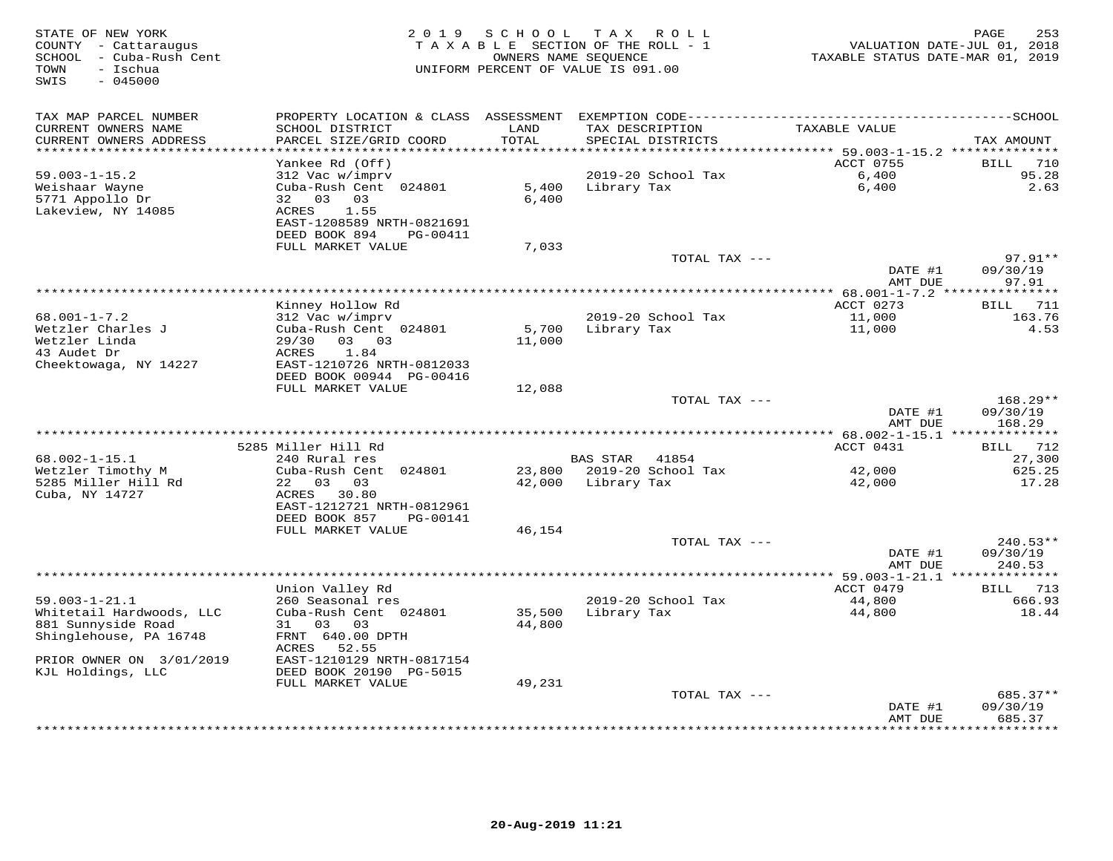| STATE OF NEW YORK<br>COUNTY - Cattaraugus<br>SCHOOL - Cuba-Rush Cent<br>- Ischua<br>TOWN<br>SWIS<br>$-045000$ | 2 0 1 9                                               | SCHOOL        | T A X<br>R O L L<br>TAXABLE SECTION OF THE ROLL - 1<br>OWNERS NAME SEQUENCE<br>UNIFORM PERCENT OF VALUE IS 091.00 | TAXABLE STATUS DATE-MAR 01, 2019      | 253<br>PAGE<br>VALUATION DATE-JUL 01, 2018 |
|---------------------------------------------------------------------------------------------------------------|-------------------------------------------------------|---------------|-------------------------------------------------------------------------------------------------------------------|---------------------------------------|--------------------------------------------|
| TAX MAP PARCEL NUMBER                                                                                         | PROPERTY LOCATION & CLASS ASSESSMENT                  |               |                                                                                                                   |                                       |                                            |
| CURRENT OWNERS NAME<br>CURRENT OWNERS ADDRESS                                                                 | SCHOOL DISTRICT<br>PARCEL SIZE/GRID COORD             | LAND<br>TOTAL | TAX DESCRIPTION<br>SPECIAL DISTRICTS                                                                              | TAXABLE VALUE                         | TAX AMOUNT                                 |
| **********************                                                                                        |                                                       | ************  | ********************************** 59.003-1-15.2 **************                                                   |                                       |                                            |
| $59.003 - 1 - 15.2$                                                                                           | Yankee Rd (Off)<br>312 Vac w/imprv                    |               | 2019-20 School Tax                                                                                                | ACCT 0755<br>6,400                    | 710<br>BILL<br>95.28                       |
| Weishaar Wayne                                                                                                | Cuba-Rush Cent 024801                                 | 5,400         | Library Tax                                                                                                       | 6,400                                 | 2.63                                       |
| 5771 Appollo Dr                                                                                               | 32 03 03                                              | 6,400         |                                                                                                                   |                                       |                                            |
| Lakeview, NY 14085                                                                                            | <b>ACRES</b><br>1.55                                  |               |                                                                                                                   |                                       |                                            |
|                                                                                                               | EAST-1208589 NRTH-0821691                             |               |                                                                                                                   |                                       |                                            |
|                                                                                                               | DEED BOOK 894<br>PG-00411                             |               |                                                                                                                   |                                       |                                            |
|                                                                                                               | FULL MARKET VALUE                                     | 7,033         |                                                                                                                   |                                       |                                            |
|                                                                                                               |                                                       |               | TOTAL TAX ---                                                                                                     |                                       | $97.91**$                                  |
|                                                                                                               |                                                       |               |                                                                                                                   | DATE #1<br>AMT DUE                    | 09/30/19<br>97.91                          |
|                                                                                                               |                                                       |               |                                                                                                                   |                                       |                                            |
|                                                                                                               | Kinney Hollow Rd                                      |               |                                                                                                                   | ACCT 0273                             | <b>BILL</b> 711                            |
| $68.001 - 1 - 7.2$                                                                                            | 312 Vac w/imprv                                       |               | 2019-20 School Tax                                                                                                | 11,000                                | 163.76                                     |
| Wetzler Charles J                                                                                             | Cuba-Rush Cent 024801                                 | 5,700         | Library Tax                                                                                                       | 11,000                                | 4.53                                       |
| Wetzler Linda                                                                                                 | 29/30<br>$0.3$ 0.3                                    | 11,000        |                                                                                                                   |                                       |                                            |
| 43 Audet Dr                                                                                                   | ACRES<br>1.84                                         |               |                                                                                                                   |                                       |                                            |
| Cheektowaga, NY 14227                                                                                         | EAST-1210726 NRTH-0812033<br>DEED BOOK 00944 PG-00416 |               |                                                                                                                   |                                       |                                            |
|                                                                                                               | FULL MARKET VALUE                                     | 12,088        | TOTAL TAX ---                                                                                                     |                                       | $168.29**$                                 |
|                                                                                                               |                                                       |               |                                                                                                                   | DATE #1                               | 09/30/19                                   |
|                                                                                                               |                                                       |               |                                                                                                                   | AMT DUE                               | 168.29                                     |
| *********************                                                                                         |                                                       |               |                                                                                                                   |                                       |                                            |
|                                                                                                               | 5285 Miller Hill Rd                                   |               |                                                                                                                   | ACCT 0431                             | 712<br>BILL                                |
| $68.002 - 1 - 15.1$                                                                                           | 240 Rural res                                         |               | <b>BAS STAR</b><br>41854                                                                                          |                                       | 27,300                                     |
| Wetzler Timothy M                                                                                             | Cuba-Rush Cent 024801                                 | 23,800        | 2019-20 School Tax                                                                                                | 42,000                                | 625.25                                     |
| 5285 Miller Hill Rd                                                                                           | 22<br>03 03<br>ACRES                                  | 42,000        | Library Tax                                                                                                       | 42,000                                | 17.28                                      |
| Cuba, NY 14727                                                                                                | 30.80<br>EAST-1212721 NRTH-0812961                    |               |                                                                                                                   |                                       |                                            |
|                                                                                                               | DEED BOOK 857<br>PG-00141                             |               |                                                                                                                   |                                       |                                            |
|                                                                                                               | FULL MARKET VALUE                                     | 46,154        |                                                                                                                   |                                       |                                            |
|                                                                                                               |                                                       |               | TOTAL TAX ---                                                                                                     |                                       | $240.53**$                                 |
|                                                                                                               |                                                       |               |                                                                                                                   | DATE #1                               | 09/30/19                                   |
|                                                                                                               |                                                       |               |                                                                                                                   | AMT DUE                               | 240.53                                     |
|                                                                                                               |                                                       |               |                                                                                                                   | ******** 59.003-1-21.1 ************** |                                            |
| $59.003 - 1 - 21.1$                                                                                           | Union Valley Rd<br>260 Seasonal res                   |               | 2019-20 School Tax                                                                                                | ACCT 0479<br>44,800                   | BILL 713<br>666.93                         |
| Whitetail Hardwoods, LLC                                                                                      | Cuba-Rush Cent 024801                                 | 35,500        | Library Tax                                                                                                       | 44,800                                | 18.44                                      |
| 881 Sunnyside Road                                                                                            | 03<br>03<br>31                                        | 44,800        |                                                                                                                   |                                       |                                            |
| Shinglehouse, PA 16748                                                                                        | FRNT 640.00 DPTH                                      |               |                                                                                                                   |                                       |                                            |
|                                                                                                               | ACRES 52.55                                           |               |                                                                                                                   |                                       |                                            |
| PRIOR OWNER ON 3/01/2019                                                                                      | EAST-1210129 NRTH-0817154                             |               |                                                                                                                   |                                       |                                            |
| KJL Holdings, LLC                                                                                             | DEED BOOK 20190 PG-5015                               |               |                                                                                                                   |                                       |                                            |
|                                                                                                               | FULL MARKET VALUE                                     | 49,231        |                                                                                                                   |                                       |                                            |
|                                                                                                               |                                                       |               | TOTAL TAX ---                                                                                                     | DATE #1                               | 685.37**<br>09/30/19                       |
|                                                                                                               |                                                       |               |                                                                                                                   | AMT DUE                               | 685.37                                     |
|                                                                                                               |                                                       |               |                                                                                                                   |                                       | * * * * * * *                              |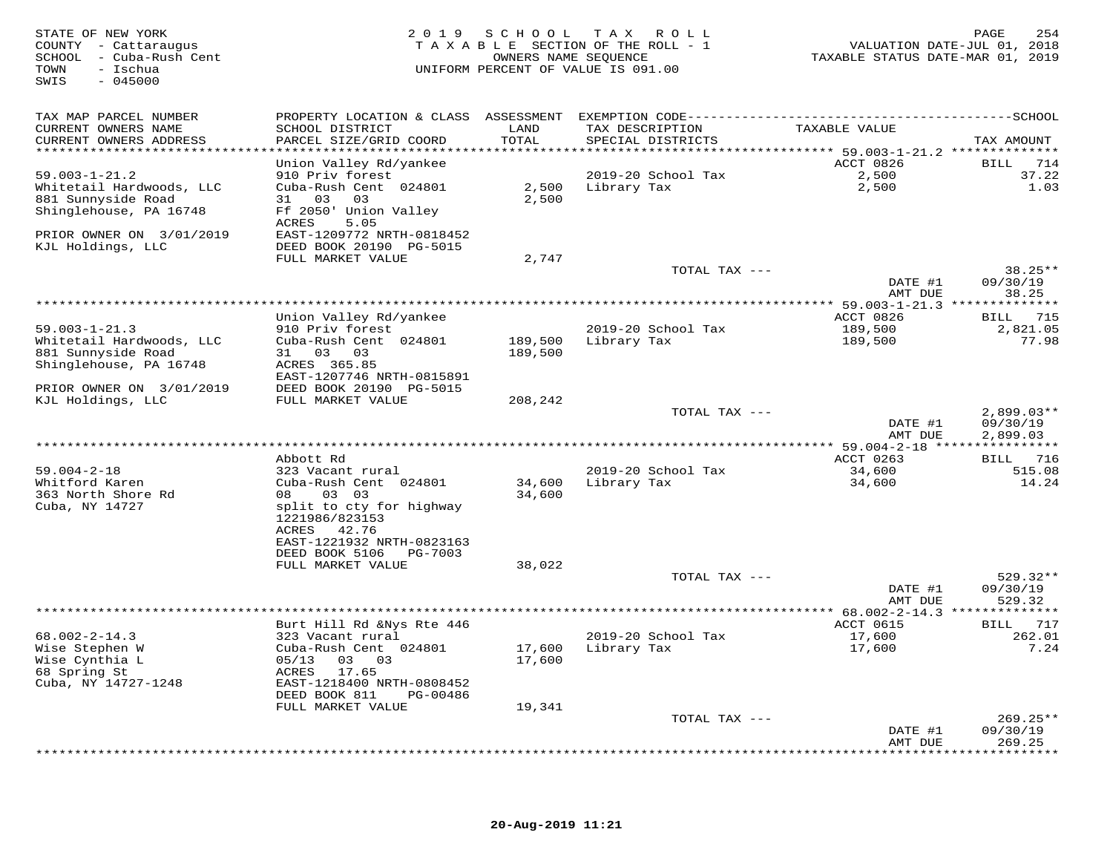| STATE OF NEW YORK<br>COUNTY - Cattaraugus<br>SCHOOL - Cuba-Rush Cent<br>TOWN<br>- Ischua<br>$-045000$<br>SWIS |                                                        |               | 2019 SCHOOL TAX ROLL<br>TAXABLE SECTION OF THE ROLL - 1<br>OWNERS NAME SEQUENCE<br>UNIFORM PERCENT OF VALUE IS 091.00 | VALUATION DATE-JUL 01, 2018<br>TAXABLE STATUS DATE-MAR 01, 2019 | PAGE<br>254           |
|---------------------------------------------------------------------------------------------------------------|--------------------------------------------------------|---------------|-----------------------------------------------------------------------------------------------------------------------|-----------------------------------------------------------------|-----------------------|
| TAX MAP PARCEL NUMBER                                                                                         |                                                        |               |                                                                                                                       |                                                                 |                       |
| CURRENT OWNERS NAME<br>CURRENT OWNERS ADDRESS<br>******************************                               | SCHOOL DISTRICT<br>PARCEL SIZE/GRID COORD              | LAND<br>TOTAL | TAX DESCRIPTION<br>SPECIAL DISTRICTS                                                                                  | TAXABLE VALUE                                                   | TAX AMOUNT            |
|                                                                                                               | Union Valley Rd/yankee                                 |               |                                                                                                                       | ACCT 0826                                                       | BILL 714              |
| $59.003 - 1 - 21.2$                                                                                           | 910 Priv forest                                        |               | 2019-20 School Tax                                                                                                    | 2,500                                                           | 37.22                 |
| Whitetail Hardwoods, LLC                                                                                      | Cuba-Rush Cent 024801                                  |               | 2,500 Library Tax                                                                                                     | 2,500                                                           | 1.03                  |
| 881 Sunnyside Road                                                                                            | 31 03 03                                               | 2,500         |                                                                                                                       |                                                                 |                       |
| Shinglehouse, PA 16748                                                                                        | Ff 2050' Union Valley                                  |               |                                                                                                                       |                                                                 |                       |
| PRIOR OWNER ON 3/01/2019                                                                                      | ACRES<br>5.05<br>EAST-1209772 NRTH-0818452             |               |                                                                                                                       |                                                                 |                       |
| KJL Holdings, LLC                                                                                             | DEED BOOK 20190 PG-5015                                |               |                                                                                                                       |                                                                 |                       |
|                                                                                                               | FULL MARKET VALUE                                      | 2,747         |                                                                                                                       |                                                                 |                       |
|                                                                                                               |                                                        |               | TOTAL TAX ---                                                                                                         | DATE #1                                                         | $38.25**$<br>09/30/19 |
|                                                                                                               |                                                        |               |                                                                                                                       | AMT DUE                                                         | 38.25                 |
|                                                                                                               |                                                        |               |                                                                                                                       |                                                                 |                       |
|                                                                                                               | Union Valley Rd/yankee                                 |               |                                                                                                                       | ACCT 0826                                                       | BILL 715              |
| $59.003 - 1 - 21.3$                                                                                           | 910 Priv forest                                        |               | 2019-20 School Tax                                                                                                    | 189,500                                                         | 2,821.05              |
| Whitetail Hardwoods, LLC                                                                                      | Cuba-Rush Cent 024801                                  |               | 189,500 Library Tax                                                                                                   | 189,500                                                         | 77.98                 |
| 881 Sunnyside Road                                                                                            | 31 03 03                                               | 189,500       |                                                                                                                       |                                                                 |                       |
| Shinglehouse, PA 16748                                                                                        | ACRES 365.85<br>EAST-1207746 NRTH-0815891              |               |                                                                                                                       |                                                                 |                       |
| PRIOR OWNER ON 3/01/2019                                                                                      | DEED BOOK 20190 PG-5015                                |               |                                                                                                                       |                                                                 |                       |
| KJL Holdings, LLC                                                                                             | FULL MARKET VALUE                                      | 208,242       |                                                                                                                       |                                                                 |                       |
|                                                                                                               |                                                        |               | TOTAL TAX ---                                                                                                         |                                                                 | $2,899.03**$          |
|                                                                                                               |                                                        |               |                                                                                                                       | DATE #1                                                         | 09/30/19              |
|                                                                                                               |                                                        |               |                                                                                                                       | AMT DUE                                                         | 2,899.03              |
|                                                                                                               | Abbott Rd                                              |               |                                                                                                                       | ACCT 0263                                                       | BILL 716              |
| $59.004 - 2 - 18$                                                                                             | 323 Vacant rural                                       |               | 2019-20 School Tax                                                                                                    | 34,600                                                          | 515.08                |
| Whitford Karen                                                                                                | Cuba-Rush Cent 024801                                  | 34,600        | Library Tax                                                                                                           | 34,600                                                          | 14.24                 |
| 363 North Shore Rd                                                                                            | 08 03 03                                               | 34,600        |                                                                                                                       |                                                                 |                       |
| Cuba, NY 14727                                                                                                | split to cty for highway                               |               |                                                                                                                       |                                                                 |                       |
|                                                                                                               | 1221986/823153<br>ACRES 42.76                          |               |                                                                                                                       |                                                                 |                       |
|                                                                                                               | EAST-1221932 NRTH-0823163                              |               |                                                                                                                       |                                                                 |                       |
|                                                                                                               | DEED BOOK 5106 PG-7003                                 |               |                                                                                                                       |                                                                 |                       |
|                                                                                                               | FULL MARKET VALUE                                      | 38,022        |                                                                                                                       |                                                                 |                       |
|                                                                                                               |                                                        |               | TOTAL TAX ---                                                                                                         |                                                                 | 529.32**              |
|                                                                                                               |                                                        |               |                                                                                                                       | DATE #1                                                         | 09/30/19              |
|                                                                                                               |                                                        |               |                                                                                                                       | AMT DUE                                                         | 529.32                |
|                                                                                                               | Burt Hill Rd &Nys Rte 446                              |               |                                                                                                                       | ACCT 0615                                                       | BILL 717              |
| $68.002 - 2 - 14.3$                                                                                           | 323 Vacant rural                                       |               | 2019-20 School Tax                                                                                                    | 17,600                                                          | 262.01                |
| Wise Stephen W                                                                                                | Cuba-Rush Cent 024801                                  | 17,600        | Library Tax                                                                                                           | 17,600                                                          | 7.24                  |
| Wise Cynthia L                                                                                                | 05/13 03 03                                            | 17,600        |                                                                                                                       |                                                                 |                       |
| 68 Spring St                                                                                                  | ACRES 17.65                                            |               |                                                                                                                       |                                                                 |                       |
| Cuba, NY 14727-1248                                                                                           | EAST-1218400 NRTH-0808452<br>DEED BOOK 811<br>PG-00486 |               |                                                                                                                       |                                                                 |                       |
|                                                                                                               | FULL MARKET VALUE                                      | 19,341        |                                                                                                                       |                                                                 |                       |
|                                                                                                               |                                                        |               | TOTAL TAX ---                                                                                                         |                                                                 | $269.25**$            |
|                                                                                                               |                                                        |               |                                                                                                                       | DATE #1                                                         | 09/30/19              |
|                                                                                                               |                                                        |               |                                                                                                                       | AMT DUE                                                         | 269.25                |
|                                                                                                               |                                                        |               |                                                                                                                       |                                                                 | * * * * * * * * *     |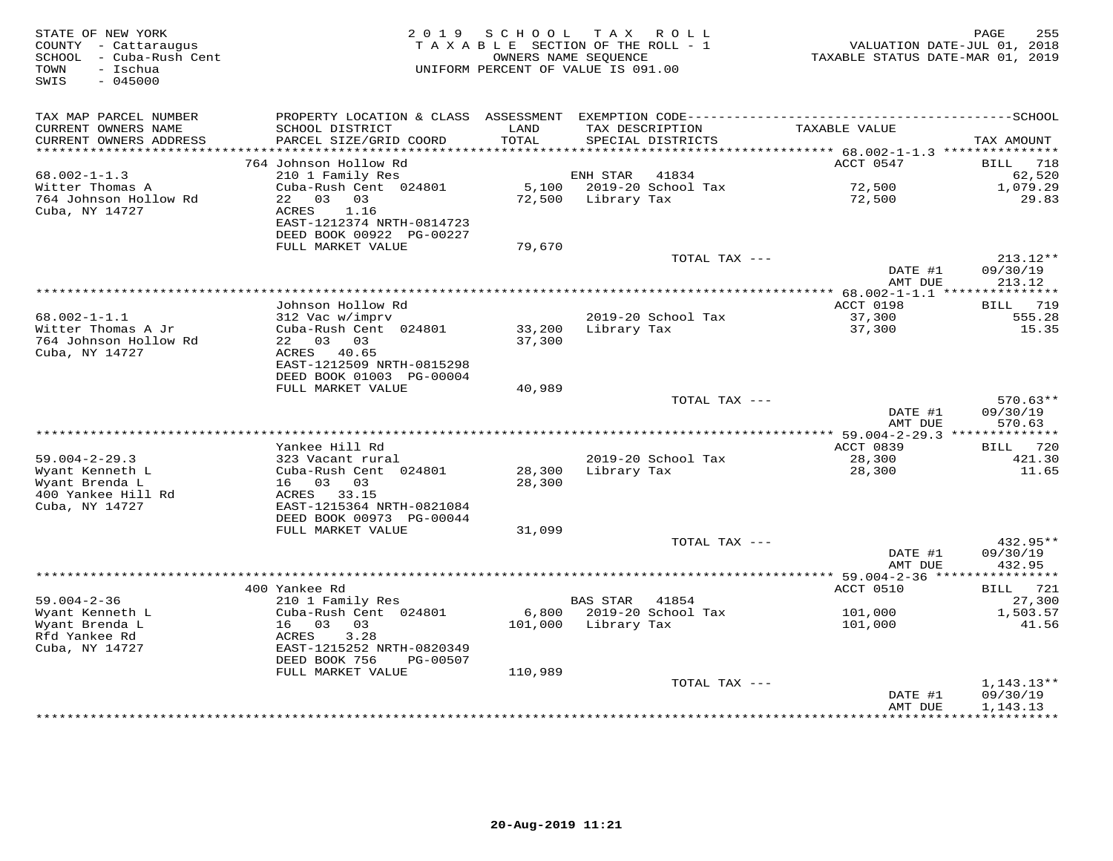| STATE OF NEW YORK<br>COUNTY - Cattaraugus<br>- Cuba-Rush Cent<br>SCHOOL<br>- Ischua<br>TOWN<br>SWIS<br>$-045000$ | 2 0 1 9                                                | SCHOOL<br>OWNERS NAME SEQUENCE | T A X<br>R O L L<br>TAXABLE SECTION OF THE ROLL - 1<br>UNIFORM PERCENT OF VALUE IS 091.00 | VALUATION DATE-JUL 01, 2018<br>TAXABLE STATUS DATE-MAR 01, 2019 | 255<br>PAGE                     |
|------------------------------------------------------------------------------------------------------------------|--------------------------------------------------------|--------------------------------|-------------------------------------------------------------------------------------------|-----------------------------------------------------------------|---------------------------------|
| TAX MAP PARCEL NUMBER                                                                                            |                                                        |                                |                                                                                           |                                                                 |                                 |
| CURRENT OWNERS NAME<br>CURRENT OWNERS ADDRESS<br>**********************                                          | SCHOOL DISTRICT<br>PARCEL SIZE/GRID COORD              | LAND<br>TOTAL                  | TAX DESCRIPTION<br>SPECIAL DISTRICTS                                                      | TAXABLE VALUE                                                   | TAX AMOUNT                      |
|                                                                                                                  | 764 Johnson Hollow Rd                                  |                                |                                                                                           | ACCT 0547                                                       | <b>BILL</b><br>718              |
| $68.002 - 1 - 1.3$                                                                                               | 210 1 Family Res                                       |                                | ENH STAR<br>41834                                                                         |                                                                 | 62,520                          |
| Witter Thomas A                                                                                                  | Cuba-Rush Cent 024801                                  | 5,100                          | 2019-20 School Tax                                                                        | 72,500                                                          | 1,079.29                        |
| 764 Johnson Hollow Rd                                                                                            | 22 03 03                                               | 72,500                         | Library Tax                                                                               | 72,500                                                          | 29.83                           |
| Cuba, NY 14727                                                                                                   | ACRES<br>1.16<br>EAST-1212374 NRTH-0814723             |                                |                                                                                           |                                                                 |                                 |
|                                                                                                                  | DEED BOOK 00922 PG-00227<br>FULL MARKET VALUE          | 79,670                         |                                                                                           |                                                                 |                                 |
|                                                                                                                  |                                                        |                                | TOTAL TAX ---                                                                             |                                                                 | $213.12**$                      |
|                                                                                                                  |                                                        |                                |                                                                                           | DATE #1<br>AMT DUE                                              | 09/30/19<br>213.12              |
|                                                                                                                  |                                                        |                                | ************                                                                              | $* 68.002 - 1 - 1.1$ ****                                       | ***********                     |
|                                                                                                                  | Johnson Hollow Rd                                      |                                |                                                                                           | ACCT 0198                                                       | 719<br>BILL                     |
| $68.002 - 1 - 1.1$                                                                                               | 312 Vac w/imprv                                        |                                | 2019-20 School Tax                                                                        | 37,300                                                          | 555.28                          |
| Witter Thomas A Jr<br>764 Johnson Hollow Rd                                                                      | Cuba-Rush Cent 024801<br>22 03 03                      | 33,200<br>37,300               | Library Tax                                                                               | 37,300                                                          | 15.35                           |
| Cuba, NY 14727                                                                                                   | ACRES 40.65                                            |                                |                                                                                           |                                                                 |                                 |
|                                                                                                                  | EAST-1212509 NRTH-0815298                              |                                |                                                                                           |                                                                 |                                 |
|                                                                                                                  | DEED BOOK 01003 PG-00004                               |                                |                                                                                           |                                                                 |                                 |
|                                                                                                                  | FULL MARKET VALUE                                      | 40,989                         |                                                                                           |                                                                 |                                 |
|                                                                                                                  |                                                        |                                | TOTAL TAX ---                                                                             |                                                                 | $570.63**$                      |
|                                                                                                                  |                                                        |                                |                                                                                           | DATE #1<br>AMT DUE                                              | 09/30/19<br>570.63              |
|                                                                                                                  |                                                        |                                |                                                                                           |                                                                 |                                 |
|                                                                                                                  | Yankee Hill Rd                                         |                                |                                                                                           | ACCT 0839                                                       | 720<br>BILL                     |
| $59.004 - 2 - 29.3$                                                                                              | 323 Vacant rural                                       |                                | 2019-20 School Tax                                                                        | 28,300                                                          | 421.30                          |
| Wyant Kenneth L                                                                                                  | Cuba-Rush Cent 024801                                  | 28,300                         | Library Tax                                                                               | 28,300                                                          | 11.65                           |
| Wyant Brenda L                                                                                                   | 16 03<br>03                                            | 28,300                         |                                                                                           |                                                                 |                                 |
| 400 Yankee Hill Rd<br>Cuba, NY 14727                                                                             | ACRES 33.15<br>EAST-1215364 NRTH-0821084               |                                |                                                                                           |                                                                 |                                 |
|                                                                                                                  | DEED BOOK 00973 PG-00044                               |                                |                                                                                           |                                                                 |                                 |
|                                                                                                                  | FULL MARKET VALUE                                      | 31,099                         |                                                                                           |                                                                 |                                 |
|                                                                                                                  |                                                        |                                | TOTAL TAX ---                                                                             |                                                                 | $432.95**$                      |
|                                                                                                                  |                                                        |                                |                                                                                           | DATE #1                                                         | 09/30/19                        |
|                                                                                                                  |                                                        |                                |                                                                                           | AMT DUE<br>*********** 59.004-2-36 *****                        | 432.95<br>* * * * * * * * * * * |
|                                                                                                                  | 400 Yankee Rd                                          |                                |                                                                                           | ACCT 0510                                                       | 721<br>BILL                     |
| $59.004 - 2 - 36$                                                                                                | 210 1 Family Res                                       |                                | <b>BAS STAR</b><br>41854                                                                  |                                                                 | 27,300                          |
| Wyant Kenneth L                                                                                                  | Cuba-Rush Cent 024801                                  | 6,800                          | 2019-20 School Tax                                                                        | 101,000                                                         | 1,503.57                        |
| Wyant Brenda L                                                                                                   | 16 03<br>03                                            | 101,000                        | Library Tax                                                                               | 101,000                                                         | 41.56                           |
| Rfd Yankee Rd                                                                                                    | ACRES<br>3.28                                          |                                |                                                                                           |                                                                 |                                 |
| Cuba, NY 14727                                                                                                   | EAST-1215252 NRTH-0820349<br>DEED BOOK 756<br>PG-00507 |                                |                                                                                           |                                                                 |                                 |
|                                                                                                                  | FULL MARKET VALUE                                      | 110,989                        |                                                                                           |                                                                 |                                 |
|                                                                                                                  |                                                        |                                | TOTAL TAX ---                                                                             |                                                                 | $1,143.13**$                    |
|                                                                                                                  |                                                        |                                |                                                                                           | DATE #1                                                         | 09/30/19                        |
|                                                                                                                  |                                                        |                                |                                                                                           | AMT DUE<br>*********                                            | 1,143.13<br>**********          |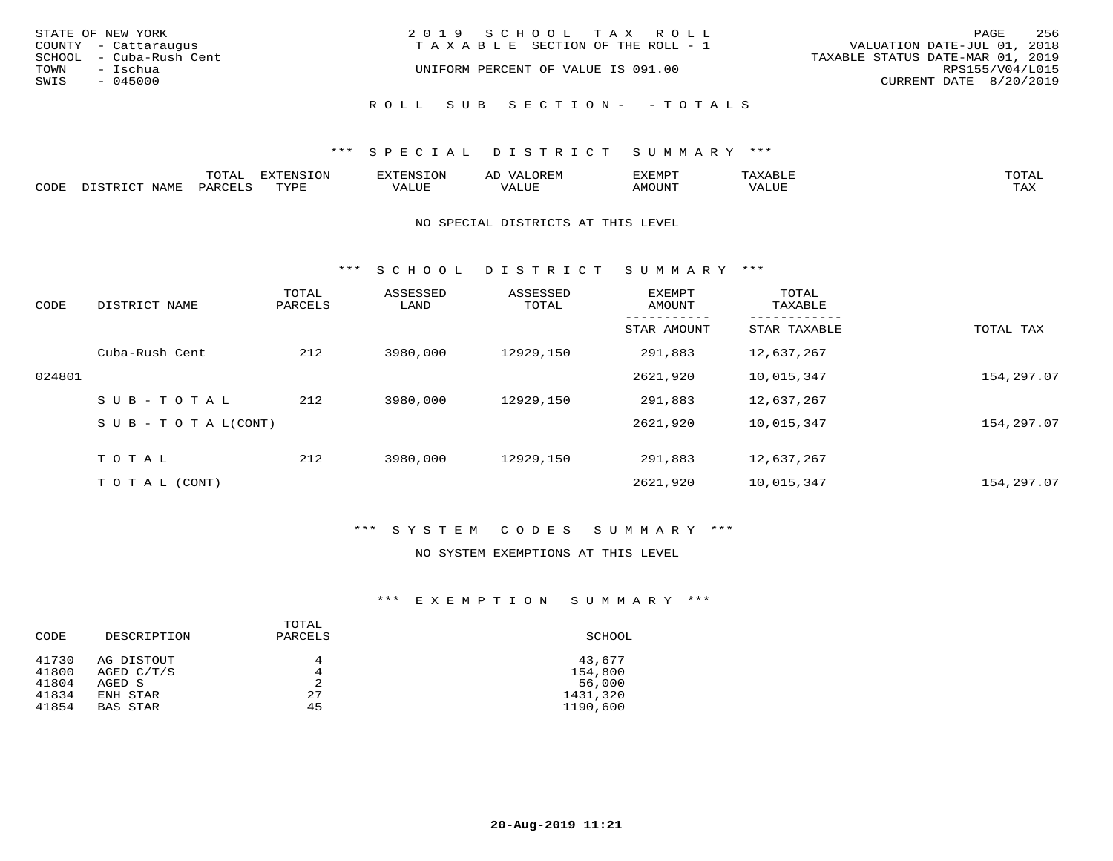| STATE OF NEW YORK<br>COUNTY - Cattaraugus                       | 2019 SCHOOL TAX ROLL<br>T A X A B L E SECTION OF THE ROLL - 1 | 256<br>PAGE<br>VALUATION DATE-JUL 01, 2018                                    |
|-----------------------------------------------------------------|---------------------------------------------------------------|-------------------------------------------------------------------------------|
| SCHOOL - Cuba-Rush Cent<br>TOWN<br>- Ischua<br>SWIS<br>- 045000 | UNIFORM PERCENT OF VALUE IS 091.00                            | TAXABLE STATUS DATE-MAR 01, 2019<br>RPS155/V04/L015<br>CURRENT DATE 8/20/2019 |
|                                                                 | ROLL SUB SECTION- - TOTALS                                    |                                                                               |

|      |                | momn:<br>LUIAI. | mazma           |       | JR E.N        | ,,, <del>,</del> ,,,,,,,<br>™ ⊃<br>⊐ויום ∧נ |     |                    |
|------|----------------|-----------------|-----------------|-------|---------------|---------------------------------------------|-----|--------------------|
| CODE | NAMF<br>. סידי | PARCET          | TVDI<br>- - - - | 7ALUE | T T T<br>ALUr | AMOUNT                                      | ′ △ | <b>TRAV</b><br>∸∽∸ |

#### NO SPECIAL DISTRICTS AT THIS LEVEL

\*\*\* S C H O O L D I S T R I C T S U M M A R Y \*\*\*

| CODE   | DISTRICT NAME                    | TOTAL<br>PARCELS | ASSESSED<br>LAND | ASSESSED<br>TOTAL | <b>EXEMPT</b><br>AMOUNT | TOTAL<br>TAXABLE |            |
|--------|----------------------------------|------------------|------------------|-------------------|-------------------------|------------------|------------|
|        |                                  |                  |                  |                   | STAR AMOUNT             | STAR TAXABLE     | TOTAL TAX  |
|        | Cuba-Rush Cent                   | 212              | 3980,000         | 12929,150         | 291,883                 | 12,637,267       |            |
| 024801 |                                  |                  |                  |                   | 2621,920                | 10,015,347       | 154,297.07 |
|        | SUB-TOTAL                        | 212              | 3980,000         | 12929,150         | 291,883                 | 12,637,267       |            |
|        | $S \cup B - T \cup T A L (CONT)$ |                  |                  |                   | 2621,920                | 10,015,347       | 154,297.07 |
|        | TOTAL                            | 212              | 3980,000         | 12929,150         | 291,883                 | 12,637,267       |            |
|        | T O T A L (CONT)                 |                  |                  |                   | 2621,920                | 10,015,347       | 154,297.07 |

## \*\*\* S Y S T E M C O D E S S U M M A R Y \*\*\*

### NO SYSTEM EXEMPTIONS AT THIS LEVEL

| CODE           | DESCRIPTION                | TOTAL<br>PARCELS | SCHOOL            |
|----------------|----------------------------|------------------|-------------------|
| 41730<br>41800 | AG DISTOUT<br>AGED $C/T/S$ | 4<br>4           | 43,677<br>154,800 |
| 41804          | AGED S                     | 2                | 56,000            |
| 41834          | ENH STAR                   | 27               | 1431,320          |
| 41854          | BAS STAR                   | 45               | 1190,600          |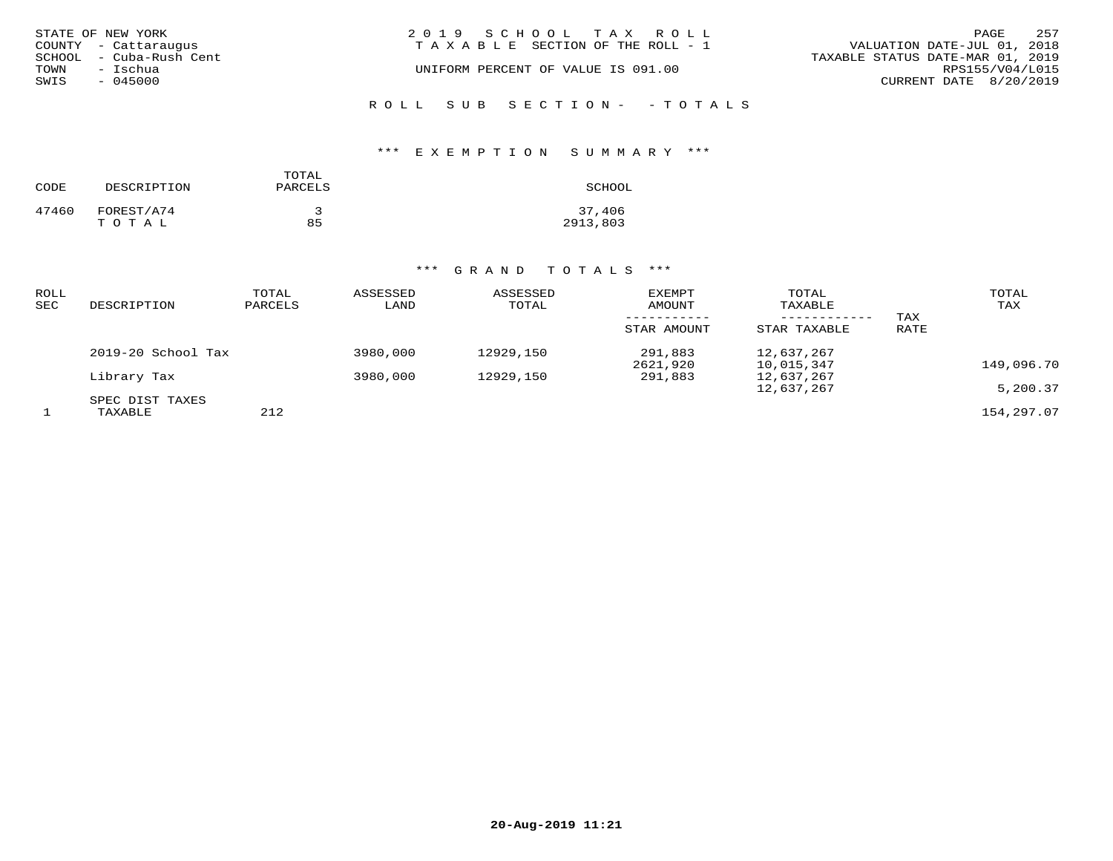|      | STATE OF NEW YORK       | 2019 SCHOOL TAX ROLL               | 257<br>PAGE                      |
|------|-------------------------|------------------------------------|----------------------------------|
|      | COUNTY - Cattaraugus    | TAXABLE SECTION OF THE ROLL - 1    | VALUATION DATE-JUL 01, 2018      |
|      | SCHOOL - Cuba-Rush Cent |                                    | TAXABLE STATUS DATE-MAR 01, 2019 |
| TOWN | – Ischua                | UNIFORM PERCENT OF VALUE IS 091.00 | RPS155/V04/L015                  |
| SWIS | - 045000                |                                    | CURRENT DATE 8/20/2019           |
|      |                         |                                    |                                  |

# ROLL SUB SECTION- - TOTALS

## \*\*\* E X E M P T I O N S U M M A R Y \*\*\*

| CODE  | DESCRIPTION | TOTAL<br>PARCELS | SCHOOL   |
|-------|-------------|------------------|----------|
| 47460 | FOREST/A74  | 2                | 37,406   |
|       | TOTAL       | 85               | 2913,803 |

| ROLL<br>SEC | DESCRIPTION        | TOTAL<br>PARCELS | ASSESSED<br>LAND | ASSESSED<br>TOTAL | <b>EXEMPT</b><br>AMOUNT | TOTAL<br>TAXABLE<br>---------- | TAX  | TOTAL<br>TAX |
|-------------|--------------------|------------------|------------------|-------------------|-------------------------|--------------------------------|------|--------------|
|             |                    |                  |                  |                   | STAR AMOUNT             | STAR TAXABLE                   | RATE |              |
|             | 2019-20 School Tax |                  | 3980,000         | 12929,150         | 291,883<br>2621,920     | 12,637,267<br>10,015,347       |      | 149,096.70   |
|             | Library Tax        |                  | 3980,000         | 12929,150         | 291,883                 | 12,637,267                     |      |              |
|             | SPEC DIST TAXES    |                  |                  |                   |                         | 12,637,267                     |      | 5,200.37     |
|             | TAXABLE            | 212              |                  |                   |                         |                                |      | 154,297.07   |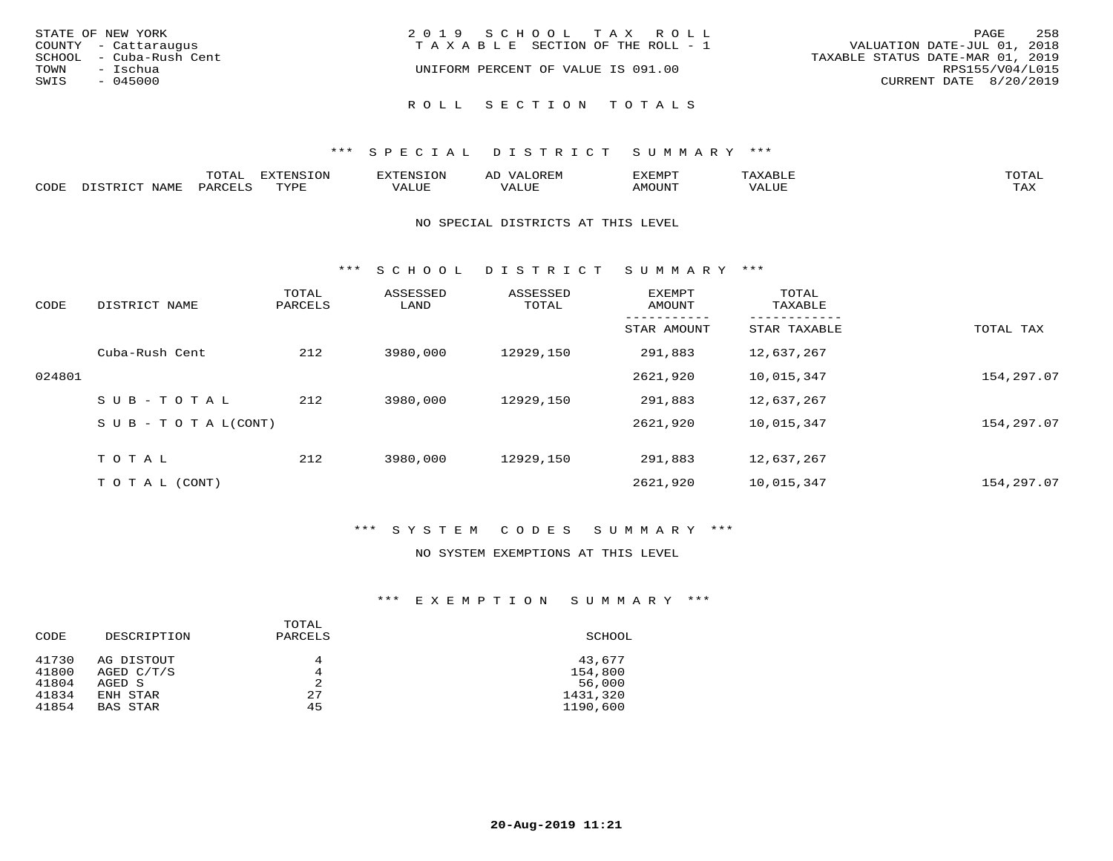| STATE OF NEW YORK<br>COUNTY - Cattaraugus<br>SCHOOL - Cuba-Rush Cent<br>TOWN<br>– Ischua | 2019 SCHOOL TAX ROLL<br>TAXABLE SECTION OF THE ROLL - 1<br>UNIFORM PERCENT OF VALUE IS 091.00 | 258<br>PAGE<br>VALUATION DATE-JUL 01, 2018<br>TAXABLE STATUS DATE-MAR 01, 2019<br>RPS155/V04/L015 |
|------------------------------------------------------------------------------------------|-----------------------------------------------------------------------------------------------|---------------------------------------------------------------------------------------------------|
| SWIS<br>$-045000$                                                                        |                                                                                               | CURRENT DATE 8/20/2019                                                                            |
|                                                                                          | ROLL SECTION TOTALS                                                                           |                                                                                                   |

|      | $\pi$ $\sim$ $\pi$ $\pi$<br>---- | ---<br>TON<br>FNC " |            | ے ۔ | <b>DATO</b> | TOTR<br>◡∸ғ        |
|------|----------------------------------|---------------------|------------|-----|-------------|--------------------|
| CODE |                                  | <b>TUTTE</b>        | $\sqrt{ }$ |     | יזחדר       | $- - - -$<br>5.732 |

#### NO SPECIAL DISTRICTS AT THIS LEVEL

\*\*\* S C H O O L D I S T R I C T S U M M A R Y \*\*\*

| CODE   | DISTRICT NAME                    | TOTAL<br>PARCELS | ASSESSED<br>LAND | ASSESSED<br>TOTAL | <b>EXEMPT</b><br>AMOUNT | TOTAL<br>TAXABLE |            |
|--------|----------------------------------|------------------|------------------|-------------------|-------------------------|------------------|------------|
|        |                                  |                  |                  |                   | STAR AMOUNT             | STAR TAXABLE     | TOTAL TAX  |
|        | Cuba-Rush Cent                   | 212              | 3980,000         | 12929,150         | 291,883                 | 12,637,267       |            |
| 024801 |                                  |                  |                  |                   | 2621,920                | 10,015,347       | 154,297.07 |
|        | SUB-TOTAL                        | 212              | 3980,000         | 12929,150         | 291,883                 | 12,637,267       |            |
|        | $S \cup B - T \cup T A L (CONT)$ |                  |                  |                   | 2621,920                | 10,015,347       | 154,297.07 |
|        | TOTAL                            | 212              | 3980,000         | 12929,150         | 291,883                 | 12,637,267       |            |
|        | T O T A L (CONT)                 |                  |                  |                   | 2621,920                | 10,015,347       | 154,297.07 |

## \*\*\* S Y S T E M C O D E S S U M M A R Y \*\*\*

### NO SYSTEM EXEMPTIONS AT THIS LEVEL

| CODE           | DESCRIPTION                | TOTAL<br>PARCELS | SCHOOL            |
|----------------|----------------------------|------------------|-------------------|
| 41730<br>41800 | AG DISTOUT<br>AGED $C/T/S$ | 4<br>4           | 43,677<br>154,800 |
| 41804          | AGED S                     | 2                | 56,000            |
| 41834          | ENH STAR                   | 27               | 1431,320          |
| 41854          | BAS STAR                   | 45               | 1190,600          |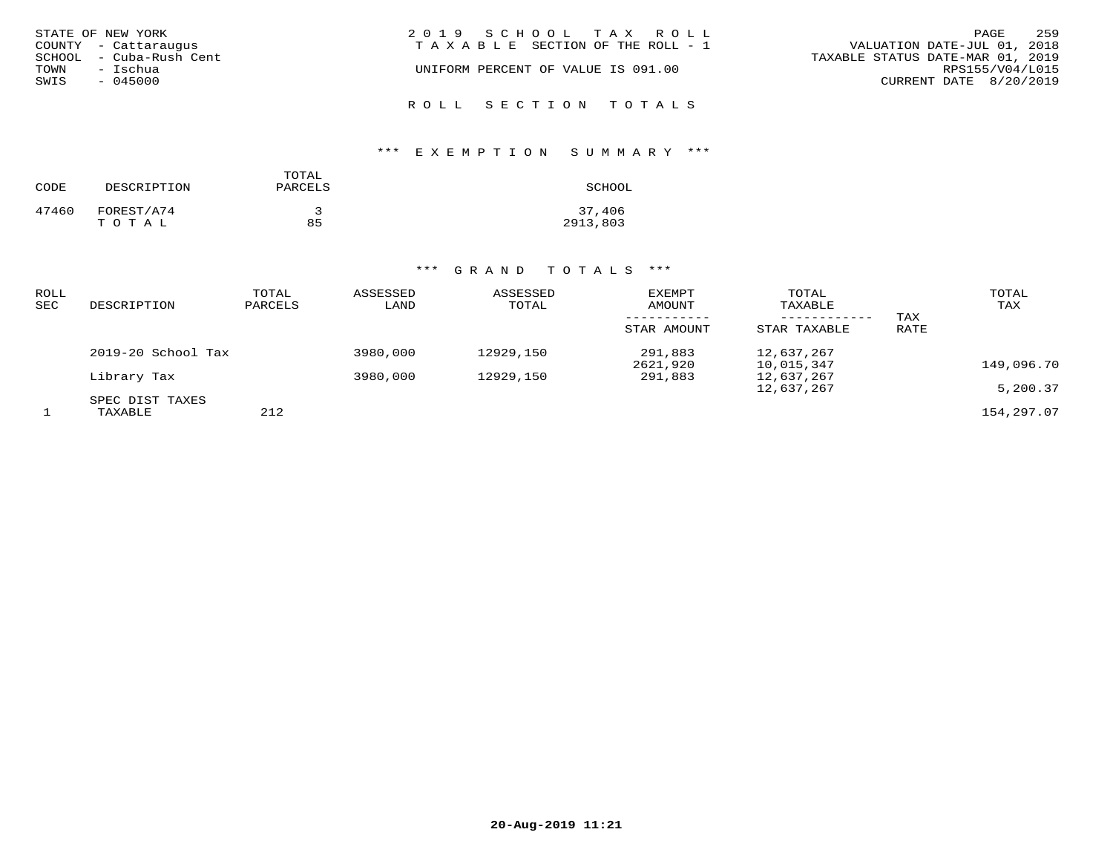| STATE OF NEW YORK<br>COUNTY - Cattaraugus<br>SCHOOL - Cuba-Rush Cent<br>TOWN<br>- Ischua<br>SWIS<br>- 045000 | 2019 SCHOOL TAX ROLL<br>TAXABLE SECTION OF THE ROLL - 1<br>UNIFORM PERCENT OF VALUE IS 091.00 | 259<br>PAGE<br>VALUATION DATE-JUL 01, 2018<br>TAXABLE STATUS DATE-MAR 01, 2019<br>RPS155/V04/L015<br>CURRENT DATE 8/20/2019 |
|--------------------------------------------------------------------------------------------------------------|-----------------------------------------------------------------------------------------------|-----------------------------------------------------------------------------------------------------------------------------|
|                                                                                                              | ROLL SECTION TOTALS                                                                           |                                                                                                                             |

## \*\*\* E X E M P T I O N S U M M A R Y \*\*\*

| CODE  | DESCRIPTION         | TOTAL<br>PARCELS | SCHOOL             |
|-------|---------------------|------------------|--------------------|
| 47460 | FOREST/A74<br>TOTAL | 85               | 37,406<br>2913,803 |

| ROLL<br>SEC | DESCRIPTION        | TOTAL<br>PARCELS | ASSESSED<br>LAND | ASSESSED<br>TOTAL | EXEMPT<br>AMOUNT<br>STAR AMOUNT | TOTAL<br>TAXABLE<br>STAR TAXABLE | TAX<br>RATE | TOTAL<br>TAX |
|-------------|--------------------|------------------|------------------|-------------------|---------------------------------|----------------------------------|-------------|--------------|
|             | 2019-20 School Tax |                  | 3980,000         | 12929,150         | 291,883<br>2621,920             | 12,637,267<br>10,015,347         |             | 149,096.70   |
|             | Library Tax        |                  | 3980,000         | 12929,150         | 291,883                         | 12,637,267                       |             |              |
|             | SPEC DIST TAXES    |                  |                  |                   |                                 | 12,637,267                       |             | 5,200.37     |
|             | TAXABLE            | 212              |                  |                   |                                 |                                  |             | 154,297.07   |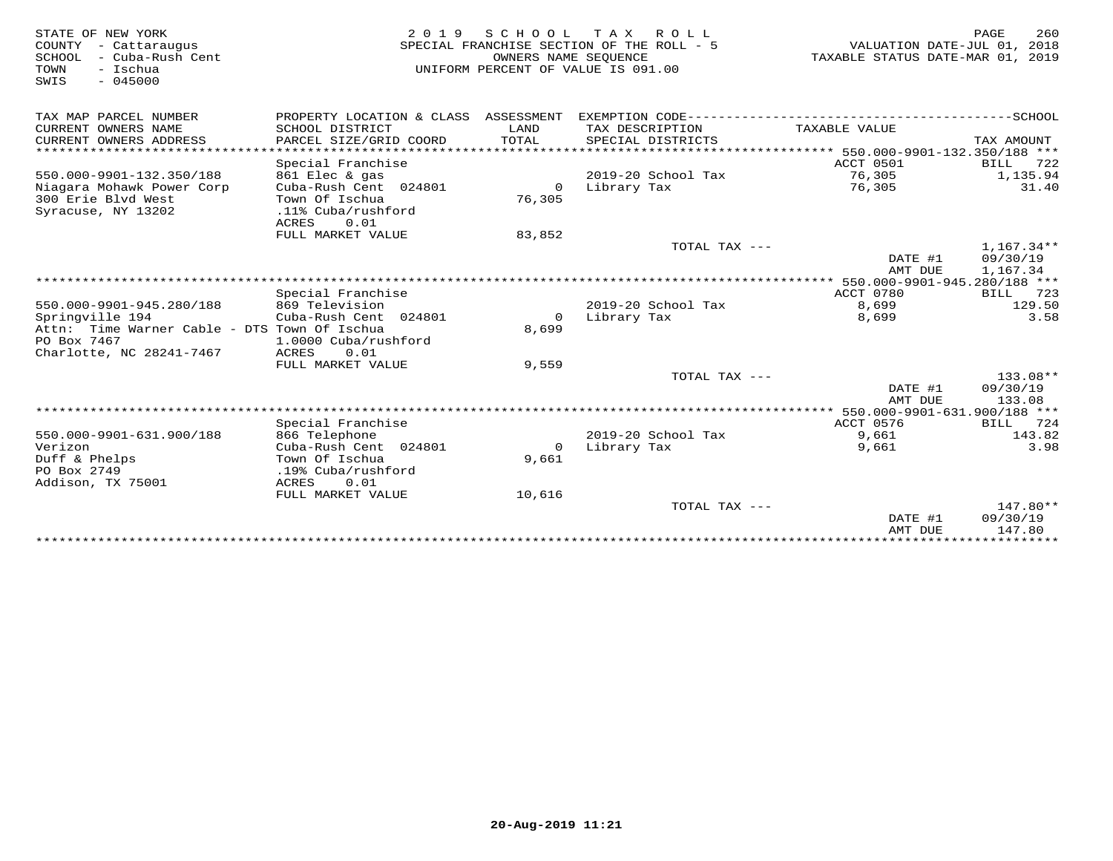| STATE OF NEW YORK<br>COUNTY - Cattaraugus<br>SCHOOL<br>- Cuba-Rush Cent<br>- Ischua<br>TOWN<br>SWIS<br>$-045000$ | 2 0 1 9                                   | OWNERS NAME SEOUENCE | SCHOOL TAX ROLL<br>SPECIAL FRANCHISE SECTION OF THE ROLL - 5<br>UNIFORM PERCENT OF VALUE IS 091.00 | VALUATION DATE-JUL 01, 2018<br>TAXABLE STATUS DATE-MAR 01, 2019 | PAGE<br>260        |
|------------------------------------------------------------------------------------------------------------------|-------------------------------------------|----------------------|----------------------------------------------------------------------------------------------------|-----------------------------------------------------------------|--------------------|
| TAX MAP PARCEL NUMBER                                                                                            |                                           |                      |                                                                                                    |                                                                 |                    |
| CURRENT OWNERS NAME<br>CURRENT OWNERS ADDRESS                                                                    | SCHOOL DISTRICT<br>PARCEL SIZE/GRID COORD | LAND<br>TOTAL        | TAX DESCRIPTION<br>SPECIAL DISTRICTS                                                               | TAXABLE VALUE                                                   | TAX AMOUNT         |
| ******************************                                                                                   |                                           |                      |                                                                                                    |                                                                 |                    |
|                                                                                                                  | Special Franchise                         |                      |                                                                                                    | ACCT 0501                                                       | <b>BILL</b><br>722 |
| 550.000-9901-132.350/188                                                                                         | 861 Elec & gas                            |                      | 2019-20 School Tax                                                                                 | 76,305                                                          | 1,135.94           |
| Niagara Mohawk Power Corp                                                                                        | Cuba-Rush Cent 024801                     | $\mathbf 0$          | Library Tax                                                                                        | 76,305                                                          | 31.40              |
| 300 Erie Blvd West                                                                                               | Town Of Ischua                            | 76,305               |                                                                                                    |                                                                 |                    |
| Syracuse, NY 13202                                                                                               | .11% Cuba/rushford                        |                      |                                                                                                    |                                                                 |                    |
|                                                                                                                  | 0.01<br>ACRES<br>FULL MARKET VALUE        | 83,852               |                                                                                                    |                                                                 |                    |
|                                                                                                                  |                                           |                      | TOTAL TAX ---                                                                                      |                                                                 | $1.167.34**$       |
|                                                                                                                  |                                           |                      |                                                                                                    | DATE #1                                                         | 09/30/19           |
|                                                                                                                  |                                           |                      |                                                                                                    | AMT DUE                                                         | 1,167.34           |
|                                                                                                                  |                                           |                      |                                                                                                    |                                                                 |                    |
|                                                                                                                  | Special Franchise                         |                      |                                                                                                    | ACCT 0780                                                       | 723<br>BILL        |
| 550.000-9901-945.280/188                                                                                         | 869 Television                            |                      | 2019-20 School Tax                                                                                 | 8,699                                                           | 129.50             |
| Springville 194                                                                                                  | Cuba-Rush Cent 024801                     | $\Omega$             | Library Tax                                                                                        | 8,699                                                           | 3.58               |
| Attn: Time Warner Cable - DTS Town Of Ischua                                                                     |                                           | 8,699                |                                                                                                    |                                                                 |                    |
| PO Box 7467<br>Charlotte, NC 28241-7467                                                                          | 1.0000 Cuba/rushford<br>ACRES<br>0.01     |                      |                                                                                                    |                                                                 |                    |
|                                                                                                                  | FULL MARKET VALUE                         | 9,559                |                                                                                                    |                                                                 |                    |
|                                                                                                                  |                                           |                      | TOTAL TAX ---                                                                                      |                                                                 | 133.08**           |
|                                                                                                                  |                                           |                      |                                                                                                    | DATE #1                                                         | 09/30/19           |
|                                                                                                                  |                                           |                      |                                                                                                    | AMT DUE                                                         | 133.08             |
|                                                                                                                  |                                           |                      |                                                                                                    |                                                                 |                    |
|                                                                                                                  | Special Franchise                         |                      |                                                                                                    | ACCT 0576                                                       | 724<br>BILL        |
| 550.000-9901-631.900/188                                                                                         | 866 Telephone                             |                      | 2019-20 School Tax                                                                                 | 9,661                                                           | 143.82             |
| Verizon                                                                                                          | Cuba-Rush Cent 024801                     | $\circ$              | Library Tax                                                                                        | 9,661                                                           | 3.98               |
| Duff & Phelps                                                                                                    | Town Of Ischua                            | 9,661                |                                                                                                    |                                                                 |                    |
| PO Box 2749<br>Addison, TX 75001                                                                                 | .19% Cuba/rushford<br>ACRES<br>0.01       |                      |                                                                                                    |                                                                 |                    |
|                                                                                                                  | FULL MARKET VALUE                         | 10,616               |                                                                                                    |                                                                 |                    |
|                                                                                                                  |                                           |                      | TOTAL TAX ---                                                                                      |                                                                 | $147.80**$         |
|                                                                                                                  |                                           |                      |                                                                                                    | DATE #1                                                         | 09/30/19           |
|                                                                                                                  |                                           |                      |                                                                                                    | AMT DUE                                                         | 147.80             |
|                                                                                                                  |                                           |                      |                                                                                                    |                                                                 |                    |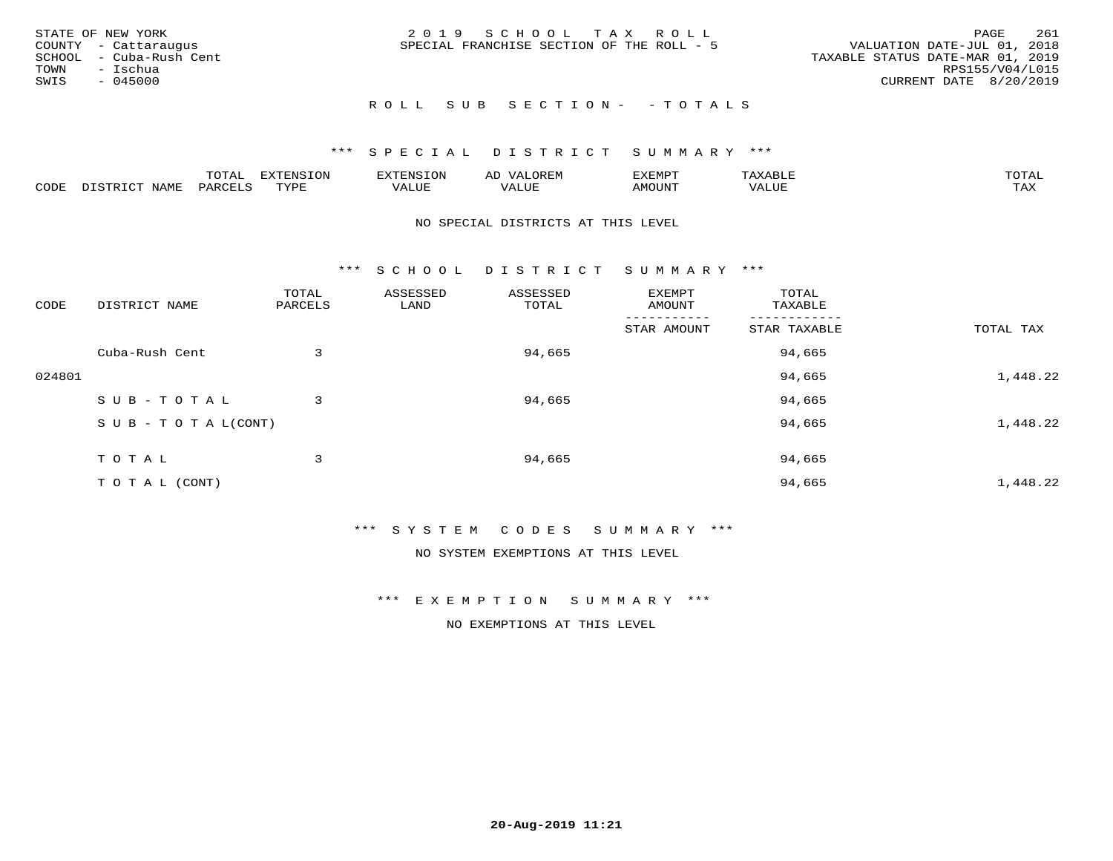|      | STATE OF NEW YORK       | 2019 SCHOOL TAX ROLL                      | 261<br>PAGE                      |
|------|-------------------------|-------------------------------------------|----------------------------------|
|      | COUNTY - Cattaraugus    | SPECIAL FRANCHISE SECTION OF THE ROLL - 5 | VALUATION DATE-JUL 01, 2018      |
|      | SCHOOL - Cuba-Rush Cent |                                           | TAXABLE STATUS DATE-MAR 01, 2019 |
|      | TOWN - Ischua           |                                           | RPS155/V04/L015                  |
| SWIS | - 045000                |                                           | CURRENT DATE 8/20/2019           |
|      |                         |                                           |                                  |

# ROLL SUB SECTION - - TOTALS

## \*\*\* S P E C I A L D I S T R I C T S U M M A R Y \*\*\*

|      |         | ----                | $\cdots$ | <b>ENS</b> | ₩    | דסMדצי       |                   | $m \wedge m \wedge n$ |
|------|---------|---------------------|----------|------------|------|--------------|-------------------|-----------------------|
| CODE | ៶៲៳៲៴៲៷ | <b>ACTIVE</b><br>ΆR | TVDF     | ALUE       | ALUE | <b>NOUNT</b> | <b>TTT</b><br>⊐∪∟ | ГAX                   |

#### NO SPECIAL DISTRICTS AT THIS LEVEL

\*\*\* S C H O O L D I S T R I C T S U M M A R Y \*\*\*

| CODE   | DISTRICT NAME                    | TOTAL<br>PARCELS | ASSESSED<br>LAND | ASSESSED<br>TOTAL | EXEMPT<br>AMOUNT | TOTAL<br>TAXABLE |           |
|--------|----------------------------------|------------------|------------------|-------------------|------------------|------------------|-----------|
|        |                                  |                  |                  |                   | STAR AMOUNT      | STAR TAXABLE     | TOTAL TAX |
|        | Cuba-Rush Cent                   | 3                |                  | 94,665            |                  | 94,665           |           |
| 024801 |                                  |                  |                  |                   |                  | 94,665           | 1,448.22  |
|        | SUB-TOTAL                        | 3                |                  | 94,665            |                  | 94,665           |           |
|        | $S \cup B - T \cup T A L (CONT)$ |                  |                  |                   |                  | 94,665           | 1,448.22  |
|        | TOTAL                            | 3                |                  | 94,665            |                  | 94,665           |           |
|        | T O T A L (CONT)                 |                  |                  |                   |                  | 94,665           | 1,448.22  |

\*\*\* S Y S T E M C O D E S S U M M A R Y \*\*\*

NO SYSTEM EXEMPTIONS AT THIS LEVEL

\*\*\* E X E M P T I O N S U M M A R Y \*\*\*

NO EXEMPTIONS AT THIS LEVEL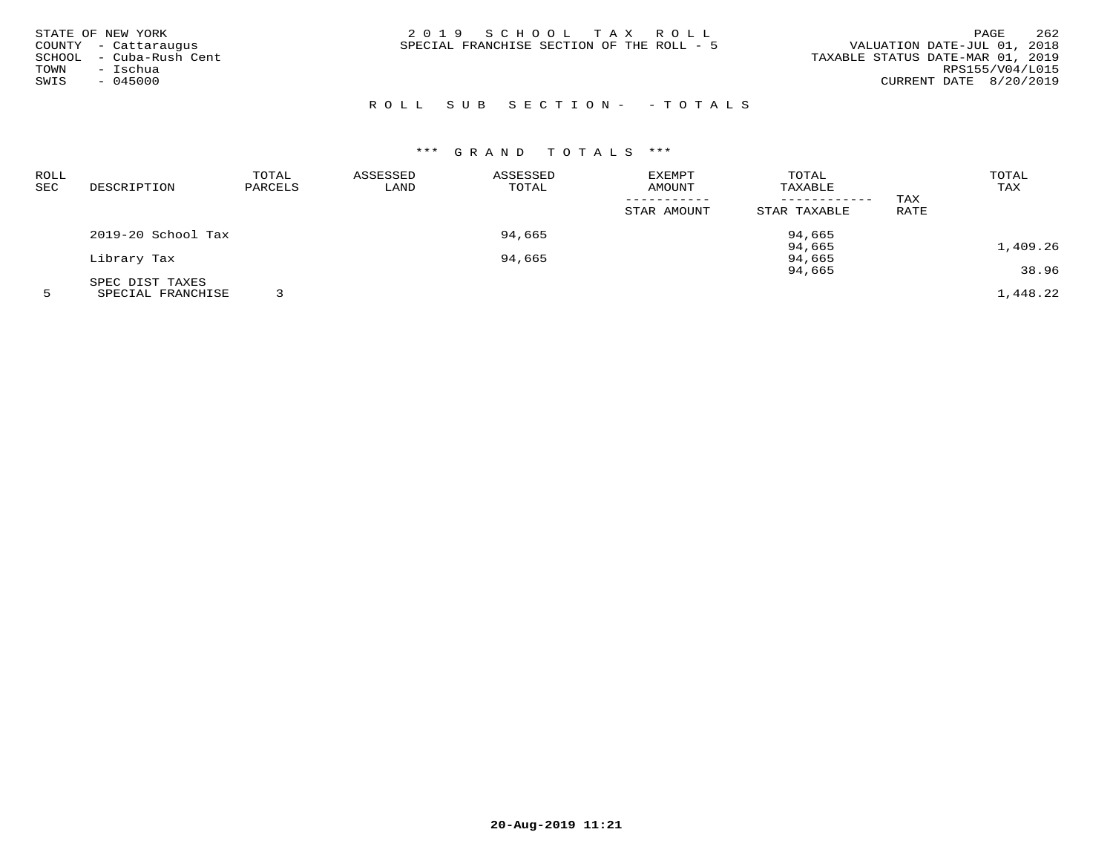| STATE OF NEW YORK       | 2019 SCHOOL TAX ROLL                      | 262<br>PAGE                      |
|-------------------------|-------------------------------------------|----------------------------------|
| COUNTY - Cattaraugus    | SPECIAL FRANCHISE SECTION OF THE ROLL - 5 | VALUATION DATE-JUL 01, 2018      |
| SCHOOL - Cuba-Rush Cent |                                           | TAXABLE STATUS DATE-MAR 01, 2019 |
| - Ischua<br>TOWN        |                                           | RPS155/V04/L015                  |
| SWIS<br>$-045000$       |                                           | CURRENT DATE 8/20/2019           |
|                         |                                           |                                  |

# R O L L S U B S E C T I O N - - T O T A L S

| ROLL |                    | TOTAL   | ASSESSED | ASSESSED | EXEMPT      | TOTAL        |      | TOTAL    |
|------|--------------------|---------|----------|----------|-------------|--------------|------|----------|
| SEC  | DESCRIPTION        | PARCELS | LAND     | TOTAL    | AMOUNT      | TAXABLE      |      | TAX      |
|      |                    |         |          |          |             |              | TAX  |          |
|      |                    |         |          |          | STAR AMOUNT | STAR TAXABLE | RATE |          |
|      | 2019-20 School Tax |         |          | 94,665   |             | 94,665       |      |          |
|      |                    |         |          |          |             | 94,665       |      | 1,409.26 |
|      | Library Tax        |         |          | 94,665   |             | 94,665       |      |          |
|      |                    |         |          |          |             | 94,665       |      | 38.96    |
|      | SPEC DIST TAXES    |         |          |          |             |              |      |          |
|      | SPECIAL FRANCHISE  |         |          |          |             |              |      | 1,448.22 |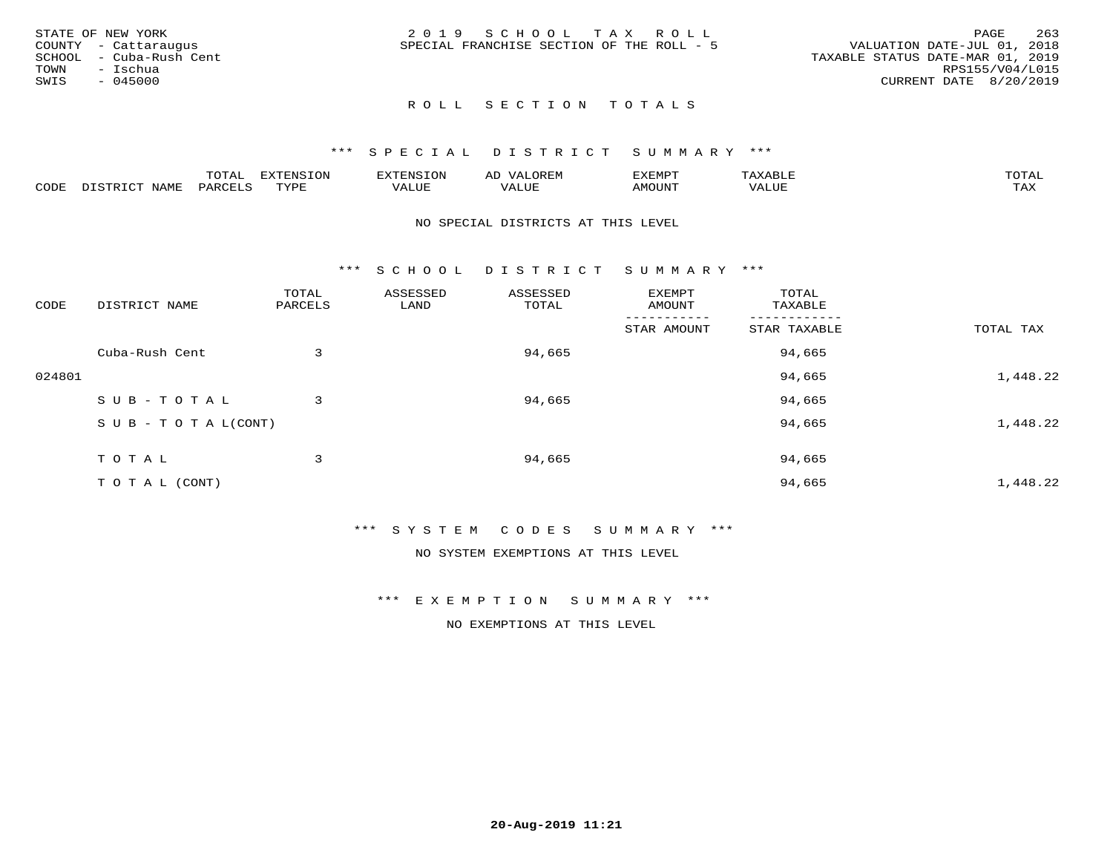| STATE OF NEW YORK       | 2019 SCHOOL TAX ROLL                      | 263<br>PAGE                      |
|-------------------------|-------------------------------------------|----------------------------------|
| COUNTY - Cattaraugus    | SPECIAL FRANCHISE SECTION OF THE ROLL - 5 | VALUATION DATE-JUL 01, 2018      |
| SCHOOL - Cuba-Rush Cent |                                           | TAXABLE STATUS DATE-MAR 01, 2019 |
| TOWN<br>– Ischua        |                                           | RPS155/V04/L015                  |
| SWIS<br>- 045000        |                                           | CURRENT DATE 8/20/2019           |
|                         |                                           |                                  |

#### \*\*\* S P E C I A L D I S T R I C T S U M M A R Y \*\*\*

|      |      | m^m*`<br>$-0.1$ | $\pi$ |                |                | <b>ת היה יה לצו</b><br>″ –<br>⊐ויוטנ∡נ |       |                     |
|------|------|-----------------|-------|----------------|----------------|----------------------------------------|-------|---------------------|
| CODE | NAME |                 | mvnt  | חדד דו<br>ALUF | T T T<br>'ALUI | TUUOMA                                 | 'ALUL | $m \times r$<br>∸∽∽ |

#### NO SPECIAL DISTRICTS AT THIS LEVEL

\*\*\* S C H O O L D I S T R I C T S U M M A R Y \*\*\*

| CODE   | DISTRICT NAME              | TOTAL<br>PARCELS | ASSESSED<br>LAND | ASSESSED<br>TOTAL | EXEMPT<br>AMOUNT | TOTAL<br>TAXABLE |           |
|--------|----------------------------|------------------|------------------|-------------------|------------------|------------------|-----------|
|        |                            |                  |                  |                   | STAR AMOUNT      | STAR TAXABLE     | TOTAL TAX |
|        | Cuba-Rush Cent             | 3                |                  | 94,665            |                  | 94,665           |           |
| 024801 |                            |                  |                  |                   |                  | 94,665           | 1,448.22  |
|        | SUB-TOTAL                  | 3                |                  | 94,665            |                  | 94,665           |           |
|        | S U B - T O T A $L$ (CONT) |                  |                  |                   |                  | 94,665           | 1,448.22  |
|        | TOTAL                      | 3                |                  | 94,665            |                  | 94,665           |           |
|        | T O T A L (CONT)           |                  |                  |                   |                  | 94,665           | 1,448.22  |

\*\*\* S Y S T E M C O D E S S U M M A R Y \*\*\*

NO SYSTEM EXEMPTIONS AT THIS LEVEL

\*\*\* E X E M P T I O N S U M M A R Y \*\*\*

NO EXEMPTIONS AT THIS LEVEL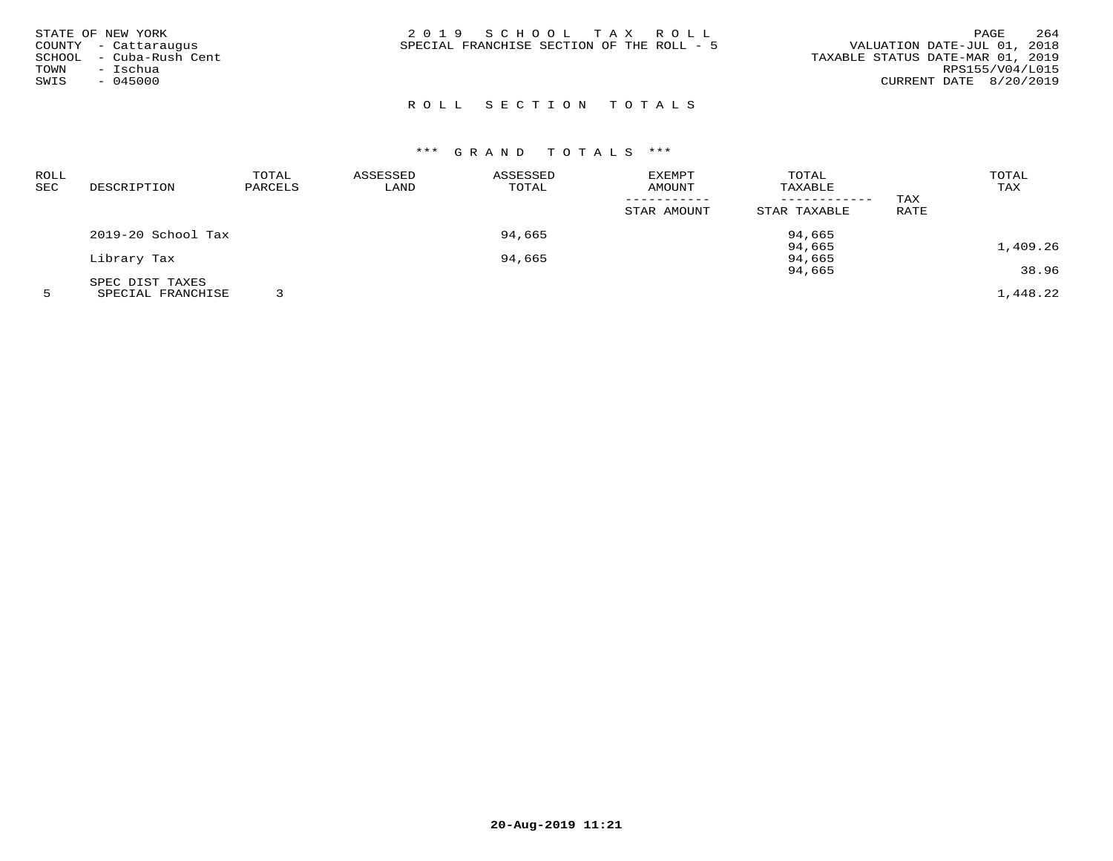| STATE OF NEW YORK<br>COUNTY - Cattaraugus<br>SCHOOL - Cuba-Rush Cent<br>- Ischua<br>TOWN<br>SWIS<br>$-045000$ | 2019 SCHOOL TAX ROLL<br>SPECIAL FRANCHISE SECTION OF THE ROLL - 5 | 264<br>PAGE<br>VALUATION DATE-JUL 01, 2018<br>TAXABLE STATUS DATE-MAR 01, 2019<br>RPS155/V04/L015<br>CURRENT DATE 8/20/2019 |
|---------------------------------------------------------------------------------------------------------------|-------------------------------------------------------------------|-----------------------------------------------------------------------------------------------------------------------------|
|---------------------------------------------------------------------------------------------------------------|-------------------------------------------------------------------|-----------------------------------------------------------------------------------------------------------------------------|

| ROLL |                    | TOTAL   | ASSESSED | ASSESSED | EXEMPT      | TOTAL        |      | TOTAL    |
|------|--------------------|---------|----------|----------|-------------|--------------|------|----------|
| SEC  | DESCRIPTION        | PARCELS | LAND     | TOTAL    | AMOUNT      | TAXABLE      |      | TAX      |
|      |                    |         |          |          |             |              | TAX  |          |
|      |                    |         |          |          | STAR AMOUNT | STAR TAXABLE | RATE |          |
|      | 2019-20 School Tax |         |          | 94,665   |             | 94,665       |      |          |
|      |                    |         |          |          |             | 94,665       |      | 1,409.26 |
|      | Library Tax        |         |          | 94,665   |             | 94,665       |      |          |
|      |                    |         |          |          |             | 94,665       |      | 38.96    |
|      | SPEC DIST TAXES    |         |          |          |             |              |      |          |
|      | SPECIAL FRANCHISE  |         |          |          |             |              |      | 1,448.22 |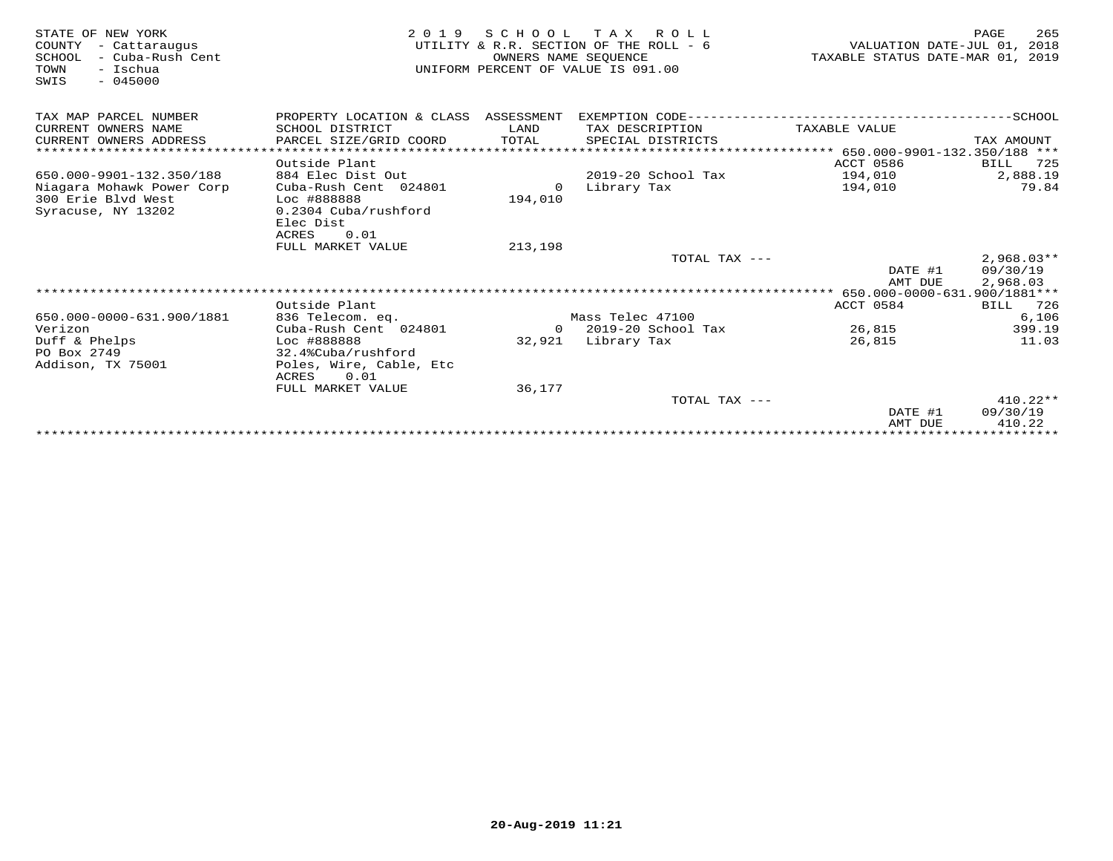| STATE OF NEW YORK<br>COUNTY<br>- Cattaraugus<br>- Cuba-Rush Cent<br>SCHOOL<br>TOWN<br>- Ischua<br>$-045000$<br>SWIS | 2 0 1 9                                  | SCHOOL<br>OWNERS NAME SEQUENCE | T A X<br>R O L L<br>UTILITY & R.R. SECTION OF THE ROLL - 6<br>UNIFORM PERCENT OF VALUE IS 091.00 | VALUATION DATE-JUL 01,<br>TAXABLE STATUS DATE-MAR 01, 2019 | 265<br>PAGE<br>2018 |
|---------------------------------------------------------------------------------------------------------------------|------------------------------------------|--------------------------------|--------------------------------------------------------------------------------------------------|------------------------------------------------------------|---------------------|
| TAX MAP PARCEL NUMBER                                                                                               | PROPERTY LOCATION & CLASS ASSESSMENT     |                                |                                                                                                  |                                                            |                     |
| CURRENT OWNERS NAME                                                                                                 | SCHOOL DISTRICT                          | LAND                           | TAX DESCRIPTION                                                                                  | TAXABLE VALUE                                              |                     |
| CURRENT OWNERS ADDRESS                                                                                              | PARCEL SIZE/GRID COORD                   | TOTAL                          | SPECIAL DISTRICTS                                                                                |                                                            | TAX AMOUNT          |
|                                                                                                                     |                                          |                                |                                                                                                  |                                                            |                     |
|                                                                                                                     | Outside Plant                            |                                |                                                                                                  | ACCT 0586                                                  | BILL<br>725         |
| 650.000-9901-132.350/188                                                                                            | 884 Elec Dist Out                        |                                | 2019-20 School Tax                                                                               | 194,010                                                    | 2,888.19            |
| Niagara Mohawk Power Corp                                                                                           | Cuba-Rush Cent 024801                    | $\circ$                        | Library Tax                                                                                      | 194,010                                                    | 79.84               |
| 300 Erie Blvd West                                                                                                  | Loc #888888                              | 194,010                        |                                                                                                  |                                                            |                     |
| Syracuse, NY 13202                                                                                                  | 0.2304 Cuba/rushford<br>Elec Dist        |                                |                                                                                                  |                                                            |                     |
|                                                                                                                     | <b>ACRES</b><br>0.01                     |                                |                                                                                                  |                                                            |                     |
|                                                                                                                     | FULL MARKET VALUE                        | 213,198                        |                                                                                                  |                                                            |                     |
|                                                                                                                     |                                          |                                | TOTAL TAX ---                                                                                    |                                                            | $2,968.03**$        |
|                                                                                                                     |                                          |                                |                                                                                                  | DATE #1                                                    | 09/30/19            |
|                                                                                                                     |                                          |                                |                                                                                                  | AMT DUE                                                    | 2,968.03            |
|                                                                                                                     |                                          |                                |                                                                                                  |                                                            |                     |
|                                                                                                                     | Outside Plant                            |                                |                                                                                                  | ACCT 0584                                                  | BILL<br>726         |
| 650.000-0000-631.900/1881                                                                                           | 836 Telecom. eq.                         |                                | Mass Telec 47100                                                                                 |                                                            | 6,106               |
| Verizon                                                                                                             | Cuba-Rush Cent 024801                    | $\Omega$                       | 2019-20 School Tax                                                                               | 26,815                                                     | 399.19              |
| Duff & Phelps                                                                                                       | Loc #888888                              | 32,921                         | Library Tax                                                                                      | 26,815                                                     | 11.03               |
| PO Box 2749                                                                                                         | 32.4%Cuba/rushford                       |                                |                                                                                                  |                                                            |                     |
| Addison, TX 75001                                                                                                   | Poles, Wire, Cable, Etc<br>0.01<br>ACRES |                                |                                                                                                  |                                                            |                     |
|                                                                                                                     | FULL MARKET VALUE                        | 36,177                         |                                                                                                  |                                                            |                     |
|                                                                                                                     |                                          |                                | TOTAL TAX ---                                                                                    |                                                            | $410.22**$          |
|                                                                                                                     |                                          |                                |                                                                                                  | DATE #1                                                    | 09/30/19            |
|                                                                                                                     |                                          |                                |                                                                                                  | AMT DUE                                                    | 410.22              |
|                                                                                                                     |                                          |                                |                                                                                                  |                                                            |                     |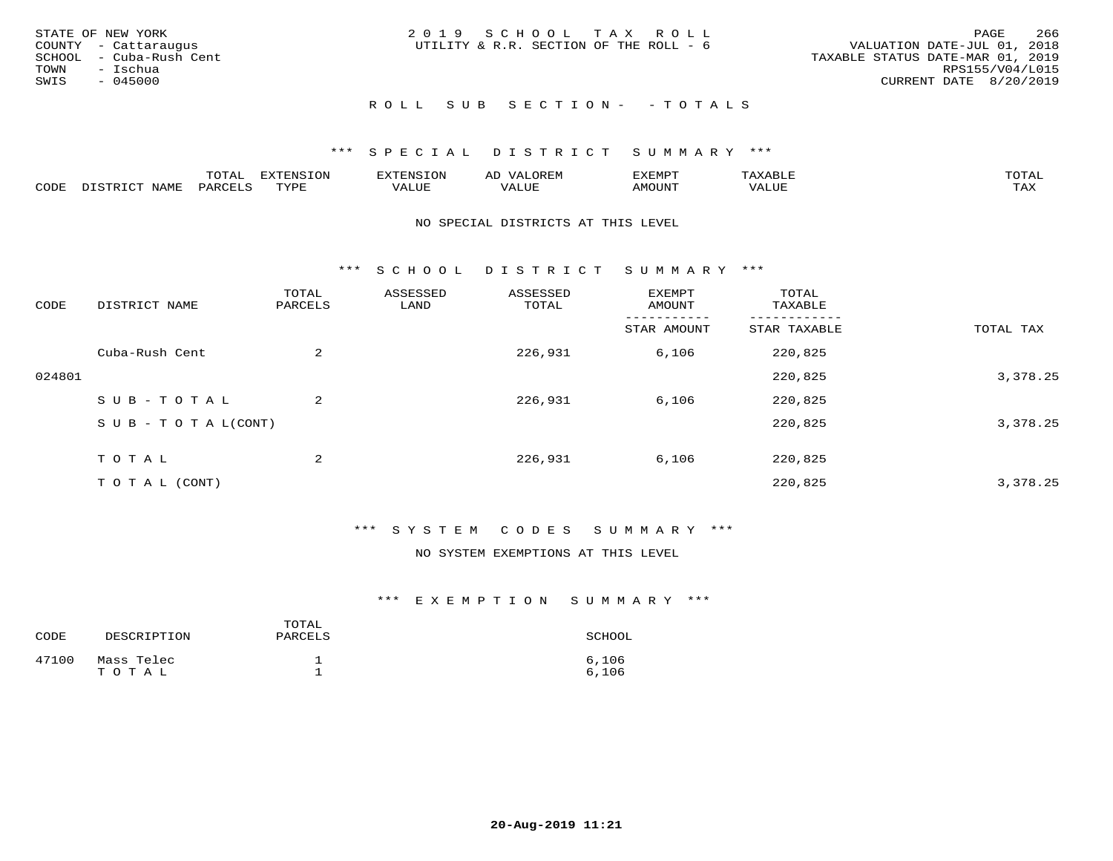| STATE OF NEW YORK<br>COUNTY - Cattaraugus<br>SCHOOL - Cuba-Rush Cent<br>TOWN - Ischua<br>SWIS<br>- 045000 | 2019 SCHOOL TAX ROLL<br>UTILITY & R.R. SECTION OF THE ROLL - 6 | -266<br>PAGE<br>VALUATION DATE-JUL 01, 2018<br>TAXABLE STATUS DATE-MAR 01, 2019<br>RPS155/V04/L015<br>CURRENT DATE 8/20/2019 |
|-----------------------------------------------------------------------------------------------------------|----------------------------------------------------------------|------------------------------------------------------------------------------------------------------------------------------|
|                                                                                                           | ROLL SUB SECTION- - TOTALS                                     |                                                                                                                              |

|      |      | mom n<br>-777 | pszmpato<br>$ \sim$ $\sim$<br>-UP | AL.         | ,,, <del>,</del> ,,, <del>,</del> ,<br>້ |                         | $m \wedge m \wedge n$ |
|------|------|---------------|-----------------------------------|-------------|------------------------------------------|-------------------------|-----------------------|
| CODE | ⊥'⊥⊥ | PARO          | TVDF                              | ۳۰ تا سند د | <b>MOTTNT</b>                            | - ---<br>$'$ $\Delta$ . | $m \times r$<br>- −-  |

#### NO SPECIAL DISTRICTS AT THIS LEVEL

\*\*\* S C H O O L D I S T R I C T S U M M A R Y \*\*\*

| CODE   | DISTRICT NAME                    | TOTAL<br>PARCELS | ASSESSED<br>LAND | ASSESSED<br>TOTAL | EXEMPT<br>AMOUNT | TOTAL<br>TAXABLE |           |
|--------|----------------------------------|------------------|------------------|-------------------|------------------|------------------|-----------|
|        |                                  |                  |                  |                   | STAR AMOUNT      | STAR TAXABLE     | TOTAL TAX |
|        | Cuba-Rush Cent                   | 2                |                  | 226,931           | 6,106            | 220,825          |           |
| 024801 |                                  |                  |                  |                   |                  | 220,825          | 3,378.25  |
|        | SUB-TOTAL                        | 2                |                  | 226,931           | 6,106            | 220,825          |           |
|        | $S \cup B - T \cup T A L (CONT)$ |                  |                  |                   |                  | 220,825          | 3,378.25  |
|        | T O T A L                        | 2                |                  | 226,931           | 6,106            | 220,825          |           |
|        |                                  |                  |                  |                   |                  |                  |           |
|        | T O T A L (CONT)                 |                  |                  |                   |                  | 220,825          | 3,378.25  |

## \*\*\* S Y S T E M C O D E S S U M M A R Y \*\*\*

#### NO SYSTEM EXEMPTIONS AT THIS LEVEL

| CODE  | DESCRIPTION         | TOTAL<br>PARCELS | SCHOOL         |
|-------|---------------------|------------------|----------------|
| 47100 | Mass Telec<br>TOTAL |                  | 6.106<br>6.106 |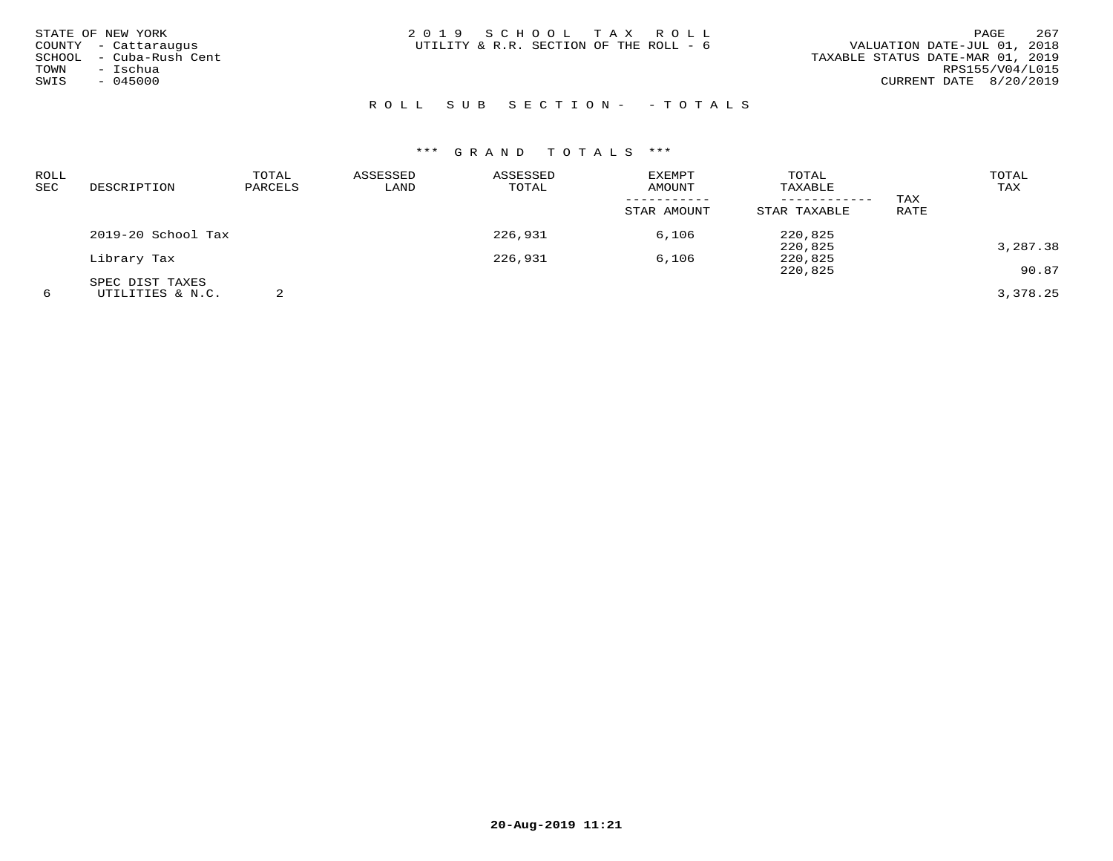| STATE OF NEW YORK<br>COUNTY - Cattaraugus<br>SCHOOL - Cuba-Rush Cent<br>- Ischua<br>TOWN<br>$-045000$<br>SWIS | 2019 SCHOOL TAX ROLL<br>UTILITY & R.R. SECTION OF THE ROLL - 6 | 267<br>PAGE<br>VALUATION DATE-JUL 01, 2018<br>TAXABLE STATUS DATE-MAR 01, 2019<br>RPS155/V04/L015<br>CURRENT DATE 8/20/2019 |
|---------------------------------------------------------------------------------------------------------------|----------------------------------------------------------------|-----------------------------------------------------------------------------------------------------------------------------|
|                                                                                                               | ROLL SUB SECTION- - TOTALS                                     |                                                                                                                             |

| ROLL<br>SEC | DESCRIPTION        | TOTAL<br>PARCELS | ASSESSED<br>LAND | ASSESSED<br>TOTAL | <b>EXEMPT</b><br>AMOUNT | TOTAL<br>TAXABLE |      | TOTAL<br>TAX |
|-------------|--------------------|------------------|------------------|-------------------|-------------------------|------------------|------|--------------|
|             |                    |                  |                  |                   |                         | ----------       | TAX  |              |
|             |                    |                  |                  |                   | STAR AMOUNT             | STAR TAXABLE     | RATE |              |
|             | 2019-20 School Tax |                  |                  | 226,931           | 6,106                   | 220,825          |      |              |
|             |                    |                  |                  |                   |                         | 220,825          |      | 3,287.38     |
|             | Library Tax        |                  |                  | 226,931           | 6,106                   | 220,825          |      |              |
|             |                    |                  |                  |                   |                         | 220,825          |      | 90.87        |
|             | SPEC DIST TAXES    |                  |                  |                   |                         |                  |      |              |
| 6           | UTILITIES & N.C.   |                  |                  |                   |                         |                  |      | 3,378.25     |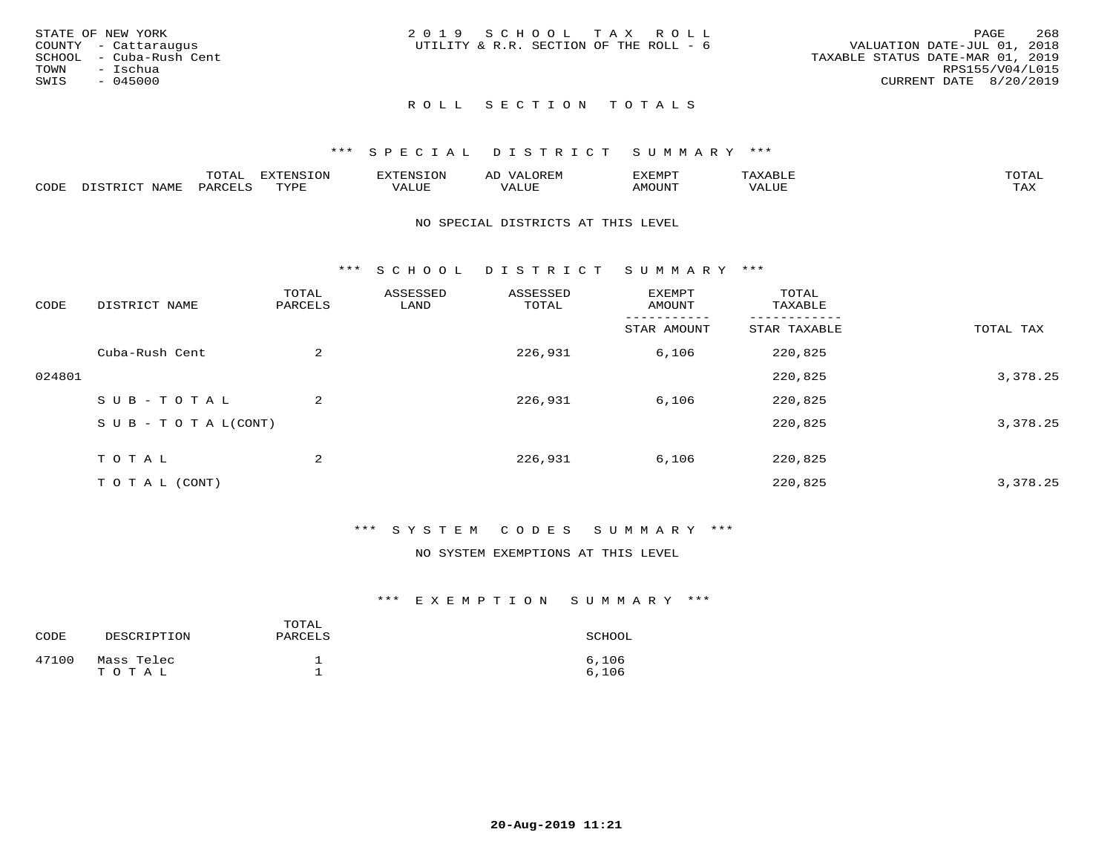|      | STATE OF NEW YORK       | 2019 SCHOOL TAX ROLL                   |  |  |                                  |                        | PAGE | 268 |
|------|-------------------------|----------------------------------------|--|--|----------------------------------|------------------------|------|-----|
|      | COUNTY - Cattaraugus    | UTILITY & R.R. SECTION OF THE ROLL - 6 |  |  | VALUATION DATE-JUL 01, 2018      |                        |      |     |
|      | SCHOOL - Cuba-Rush Cent |                                        |  |  | TAXABLE STATUS DATE-MAR 01, 2019 |                        |      |     |
| TOWN | – Ischua                |                                        |  |  |                                  | RPS155/V04/L015        |      |     |
| SWIS | - 045000                |                                        |  |  |                                  | CURRENT DATE 8/20/2019 |      |     |
|      |                         |                                        |  |  |                                  |                        |      |     |

## \*\*\* S P E C I A L D I S T R I C T S U M M A R Y \*\*\*

|      |                  | momm <sup>.</sup><br>TOTAT | <b>ELIMENT OF ONT</b><br>T OTA | 'ENS   | OREM                     | CXEMPT        | $max$ and $max$          | $m \wedge m \wedge n$ |
|------|------------------|----------------------------|--------------------------------|--------|--------------------------|---------------|--------------------------|-----------------------|
| CODE | NAME<br>DISTRICT | PARCELS                    | TVDF<br>.                      | 7ALUE. | . <del>.</del><br>. ALUF | <b>AMOUNT</b> | * * * * * * * *<br>'ALUL | <b>TAY</b><br>⊥⇔∆     |

#### NO SPECIAL DISTRICTS AT THIS LEVEL

\*\*\* S C H O O L D I S T R I C T S U M M A R Y \*\*\*

| CODE   | DISTRICT NAME                    | TOTAL<br>PARCELS | ASSESSED<br>LAND | ASSESSED<br>TOTAL | EXEMPT<br>AMOUNT | TOTAL<br>TAXABLE |           |
|--------|----------------------------------|------------------|------------------|-------------------|------------------|------------------|-----------|
|        |                                  |                  |                  |                   | STAR AMOUNT      | STAR TAXABLE     | TOTAL TAX |
|        | Cuba-Rush Cent                   | 2                |                  | 226,931           | 6,106            | 220,825          |           |
| 024801 |                                  |                  |                  |                   |                  | 220,825          | 3,378.25  |
|        | SUB-TOTAL                        | $\overline{a}$   |                  | 226,931           | 6,106            | 220,825          |           |
|        | $S \cup B - T \cup T A L (CONT)$ |                  |                  |                   |                  | 220,825          | 3,378.25  |
|        | T O T A L                        | 2                |                  | 226,931           | 6,106            | 220,825          |           |
|        | T O T A L (CONT)                 |                  |                  |                   |                  | 220,825          | 3,378.25  |

## \*\*\* S Y S T E M C O D E S S U M M A R Y \*\*\*

#### NO SYSTEM EXEMPTIONS AT THIS LEVEL

| CODE  | DESCRIPTION         | TOTAL<br>PARCELS | SCHOOL         |
|-------|---------------------|------------------|----------------|
| 47100 | Mass Telec<br>TOTAL |                  | 6,106<br>6,106 |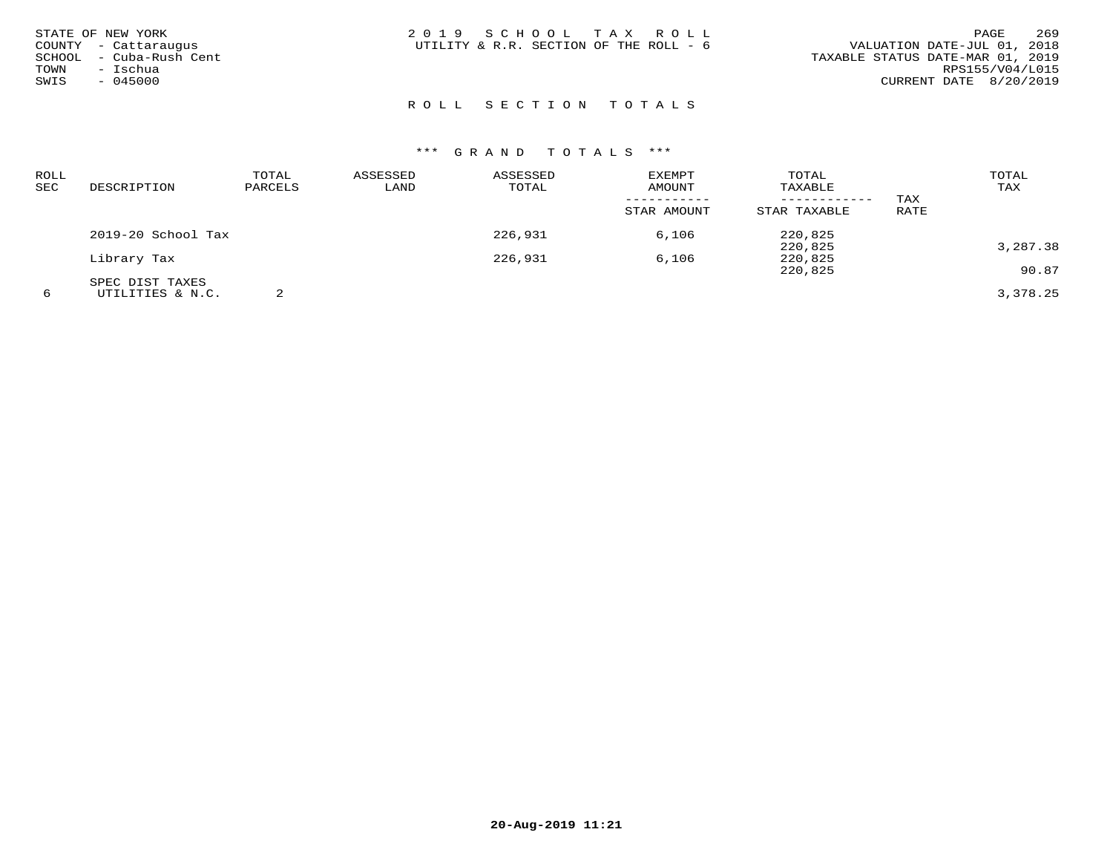| STATE OF NEW YORK<br>COUNTY - Cattaraugus<br>SCHOOL - Cuba-Rush Cent<br>– Ischua<br>TOWN<br>SWIS<br>$-045000$ | 2019 SCHOOL TAX ROLL<br>UTILITY & R.R. SECTION OF THE ROLL - 6 | 269<br>PAGE<br>VALUATION DATE-JUL 01, 2018<br>TAXABLE STATUS DATE-MAR 01, 2019<br>RPS155/V04/L015<br>CURRENT DATE 8/20/2019 |
|---------------------------------------------------------------------------------------------------------------|----------------------------------------------------------------|-----------------------------------------------------------------------------------------------------------------------------|
|                                                                                                               | ROLL SECTION TOTALS                                            |                                                                                                                             |

| ROLL |                    | TOTAL   | ASSESSED | ASSESSED | <b>EXEMPT</b> | TOTAL        |      | TOTAL    |
|------|--------------------|---------|----------|----------|---------------|--------------|------|----------|
| SEC  | DESCRIPTION        | PARCELS | LAND     | TOTAL    | AMOUNT        | TAXABLE      |      | TAX      |
|      |                    |         |          |          |               |              | TAX  |          |
|      |                    |         |          |          | STAR AMOUNT   | STAR TAXABLE | RATE |          |
|      | 2019-20 School Tax |         |          | 226,931  | 6,106         | 220,825      |      |          |
|      |                    |         |          |          |               | 220,825      |      | 3,287.38 |
|      | Library Tax        |         |          | 226,931  | 6,106         | 220,825      |      |          |
|      |                    |         |          |          |               | 220,825      |      | 90.87    |
|      | SPEC DIST TAXES    |         |          |          |               |              |      |          |
| 6    | UTILITIES & N.C.   |         |          |          |               |              |      | 3,378.25 |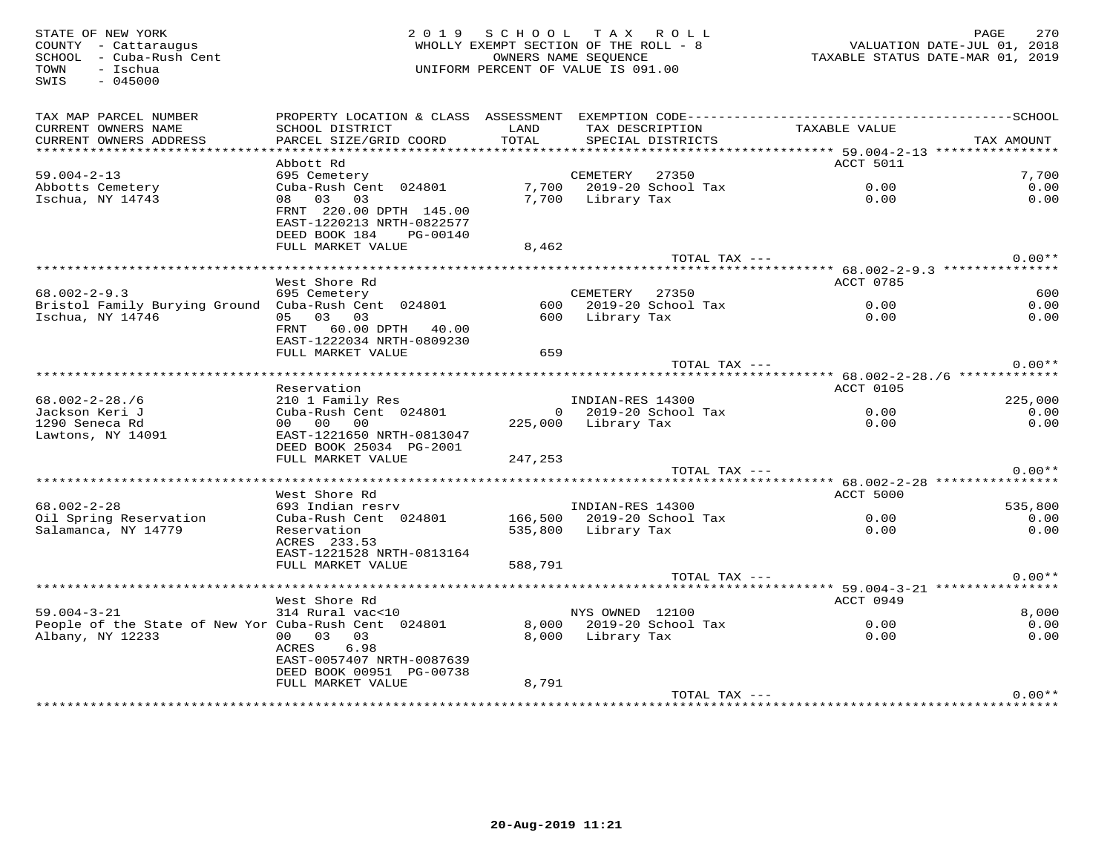| STATE OF NEW YORK<br>COUNTY - Cattaraugus<br>SCHOOL - Cuba-Rush Cent<br>- Ischua<br>TOWN<br>$-045000$<br>SWIS |                                                                                       | 2019 SCHOOL TAX ROLL<br>WHOLLY EXEMPT SECTION OF THE ROLL - 8<br>UNIFORM PERCENT OF VALUE IS 091.00 | OWNERS NAME SEQUENCE |                                      | VALUATION DATE-JUL 01, 2018<br>TAXABLE STATUS DATE-MAR 01, 2019 | PAGE<br>270  |
|---------------------------------------------------------------------------------------------------------------|---------------------------------------------------------------------------------------|-----------------------------------------------------------------------------------------------------|----------------------|--------------------------------------|-----------------------------------------------------------------|--------------|
| TAX MAP PARCEL NUMBER<br>CURRENT OWNERS NAME<br>CURRENT OWNERS ADDRESS                                        | SCHOOL DISTRICT<br>PARCEL SIZE/GRID COORD                                             | LAND<br>TOTAL                                                                                       |                      | TAX DESCRIPTION<br>SPECIAL DISTRICTS | TAXABLE VALUE                                                   | TAX AMOUNT   |
|                                                                                                               |                                                                                       |                                                                                                     |                      |                                      |                                                                 |              |
|                                                                                                               | Abbott Rd                                                                             |                                                                                                     |                      |                                      | ACCT 5011                                                       |              |
| $59.004 - 2 - 13$                                                                                             | 695 Cemetery                                                                          |                                                                                                     | CEMETERY 27350       |                                      |                                                                 | 7,700        |
| Abbotts Cemetery<br>Ischua, NY 14743                                                                          | Cuba-Rush Cent 024801<br>08 03 03                                                     |                                                                                                     | 7,700 Library Tax    | 7,700 2019-20 School Tax             | 0.00<br>0.00                                                    | 0.00<br>0.00 |
|                                                                                                               | FRNT 220.00 DPTH 145.00<br>EAST-1220213 NRTH-0822577<br>DEED BOOK 184<br>PG-00140     |                                                                                                     |                      |                                      |                                                                 |              |
|                                                                                                               | FULL MARKET VALUE                                                                     | 8,462                                                                                               |                      |                                      |                                                                 |              |
|                                                                                                               |                                                                                       |                                                                                                     |                      | TOTAL TAX ---                        |                                                                 | $0.00**$     |
|                                                                                                               | West Shore Rd                                                                         |                                                                                                     |                      |                                      | ACCT 0785                                                       |              |
| $68.002 - 2 - 9.3$                                                                                            | 695 Cemetery                                                                          |                                                                                                     | CEMETERY 27350       |                                      |                                                                 | 600          |
| Bristol Family Burying Ground Cuba-Rush Cent 024801                                                           |                                                                                       |                                                                                                     |                      | 600 2019-20 School Tax               | 0.00                                                            | 0.00         |
| Ischua, NY 14746                                                                                              | 05 03 03<br>FRNT 60.00 DPTH 40.00<br>EAST-1222034 NRTH-0809230<br>FULL MARKET VALUE   | 659                                                                                                 | 600 Library Tax      |                                      | 0.00                                                            | 0.00         |
|                                                                                                               |                                                                                       |                                                                                                     |                      | TOTAL TAX ---                        |                                                                 | $0.00**$     |
|                                                                                                               |                                                                                       |                                                                                                     |                      |                                      | ·********************* 68.002-2-28./6 *************             |              |
|                                                                                                               | Reservation                                                                           |                                                                                                     |                      |                                      | ACCT 0105                                                       |              |
| $68.002 - 2 - 28.76$                                                                                          | 210 1 Family Res<br>Cuba-Rush Cent 024801                                             |                                                                                                     | INDIAN-RES 14300     |                                      |                                                                 | 225,000      |
| Jackson Keri J                                                                                                |                                                                                       |                                                                                                     |                      | 0 2019-20 School Tax                 | 0.00                                                            | 0.00         |
| 1290 Seneca Rd<br>Lawtons, NY 14091                                                                           | 00 00 00<br>EAST-1221650 NRTH-0813047<br>DEED BOOK 25034 PG-2001<br>FULL MARKET VALUE | 247,253                                                                                             | 225,000 Library Tax  |                                      | 0.00                                                            | 0.00         |
|                                                                                                               |                                                                                       |                                                                                                     |                      | TOTAL TAX ---                        |                                                                 | $0.00**$     |
|                                                                                                               |                                                                                       |                                                                                                     |                      |                                      |                                                                 |              |
|                                                                                                               | West Shore Rd                                                                         |                                                                                                     |                      |                                      | ACCT 5000                                                       |              |
| $68.002 - 2 - 28$                                                                                             | 693 Indian resrv                                                                      |                                                                                                     | INDIAN-RES 14300     |                                      |                                                                 | 535,800      |
| Oil Spring Reservation                                                                                        | Cuba-Rush Cent 024801 166,500 2019-20 School Tax                                      |                                                                                                     |                      |                                      | $0.00$<br>$0.00$                                                | 0.00         |
| Salamanca, NY 14779                                                                                           | Reservation<br>ACRES 233.53<br>EAST-1221528 NRTH-0813164                              |                                                                                                     | 535,800 Library Tax  |                                      |                                                                 | 0.00         |
|                                                                                                               | FULL MARKET VALUE                                                                     | 588,791                                                                                             |                      |                                      |                                                                 |              |
|                                                                                                               |                                                                                       |                                                                                                     |                      | TOTAL TAX ---                        |                                                                 | $0.00**$     |
|                                                                                                               |                                                                                       |                                                                                                     |                      |                                      |                                                                 |              |
| $59.004 - 3 - 21$                                                                                             | West Shore Rd<br>314 Rural vac<10                                                     |                                                                                                     | NYS OWNED 12100      |                                      | ACCT 0949                                                       | 8,000        |
| People of the State of New Yor Cuba-Rush Cent 024801                                                          |                                                                                       |                                                                                                     |                      | 8,000 2019-20 School Tax             | 0.00                                                            | 0.00         |
| Albany, NY 12233                                                                                              | 00 03 03<br>6.98<br>ACRES<br>EAST-0057407 NRTH-0087639<br>DEED BOOK 00951 PG-00738    |                                                                                                     | 8,000 Library Tax    |                                      | 0.00                                                            | 0.00         |
|                                                                                                               | FULL MARKET VALUE                                                                     | 8,791                                                                                               |                      |                                      |                                                                 |              |
|                                                                                                               |                                                                                       |                                                                                                     |                      | TOTAL TAX ---                        |                                                                 | $0.00**$     |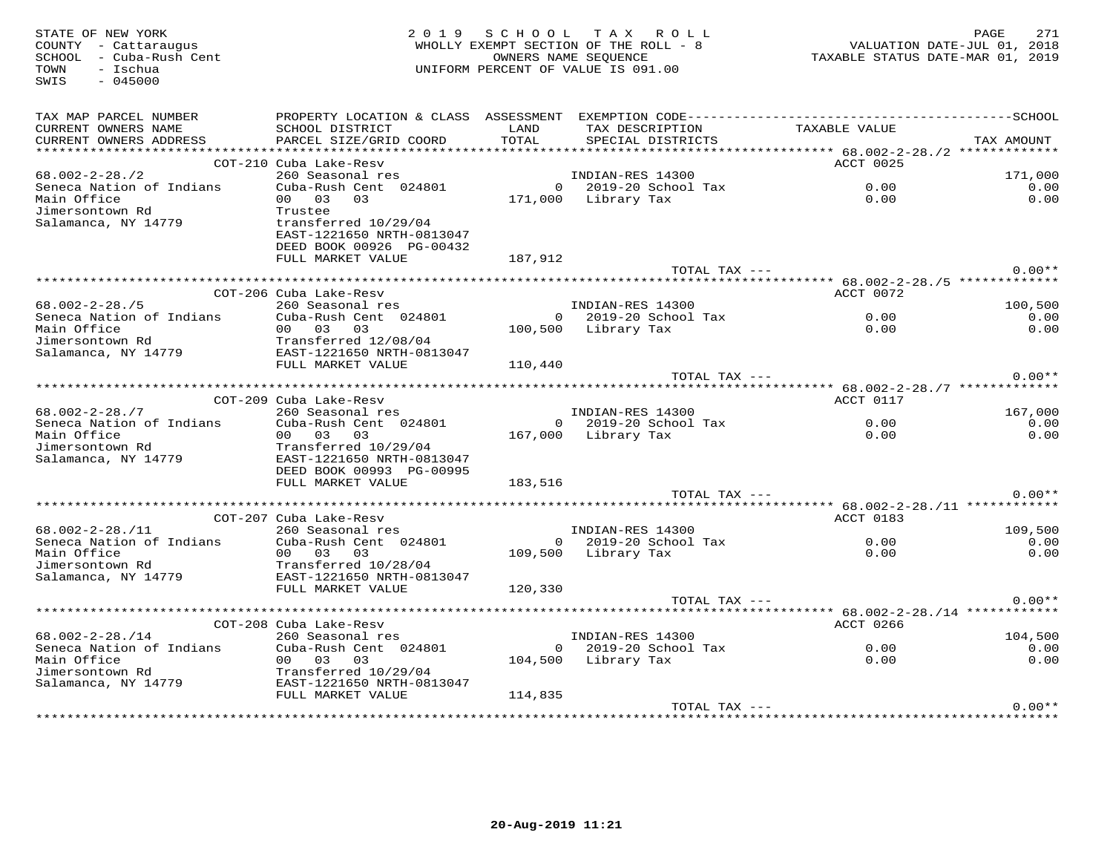| STATE OF NEW YORK<br>COUNTY - Cattaraugus<br>SCHOOL - Cuba-Rush Cent<br>TOWN<br>$-$ Ischua<br>SWIS<br>$-045000$ |                                                                                              |               | 2019 SCHOOL TAX ROLL<br>WHOLLY EXEMPT SECTION OF THE ROLL - 8<br>OWNERS NAME SEQUENCE<br>UNIFORM PERCENT OF VALUE IS 091.00 |                                                              | 271<br>PAGE<br>VALUATION DATE-JUL 01, 2018<br>TAXABLE STATUS DATE-MAR 01, 2019 |
|-----------------------------------------------------------------------------------------------------------------|----------------------------------------------------------------------------------------------|---------------|-----------------------------------------------------------------------------------------------------------------------------|--------------------------------------------------------------|--------------------------------------------------------------------------------|
| TAX MAP PARCEL NUMBER                                                                                           | PROPERTY LOCATION & CLASS ASSESSMENT EXEMPTION CODE-----------------------------------SCHOOL |               |                                                                                                                             |                                                              |                                                                                |
| CURRENT OWNERS NAME<br>CURRENT OWNERS ADDRESS                                                                   | SCHOOL DISTRICT<br>PARCEL SIZE/GRID COORD                                                    | LAND<br>TOTAL | TAX DESCRIPTION<br>SPECIAL DISTRICTS                                                                                        | TAXABLE VALUE                                                | TAX AMOUNT                                                                     |
|                                                                                                                 |                                                                                              |               |                                                                                                                             |                                                              |                                                                                |
|                                                                                                                 | COT-210 Cuba Lake-Resv                                                                       |               |                                                                                                                             | ACCT 0025                                                    |                                                                                |
| $68.002 - 2 - 28.72$                                                                                            | 260 Seasonal res                                                                             |               | INDIAN-RES 14300                                                                                                            |                                                              | 171,000                                                                        |
| Seneca Nation of Indians                                                                                        | Cuba-Rush Cent 024801                                                                        |               | $0$ 2019-20 School Tax                                                                                                      | 0.00                                                         | 0.00                                                                           |
| Main Office                                                                                                     | 00 03<br>0.3                                                                                 |               | 171,000 Library Tax                                                                                                         | 0.00                                                         | 0.00                                                                           |
| Jimersontown Rd<br>Salamanca, NY 14779                                                                          | Trustee<br>transferred 10/29/04                                                              |               |                                                                                                                             |                                                              |                                                                                |
|                                                                                                                 | EAST-1221650 NRTH-0813047                                                                    |               |                                                                                                                             |                                                              |                                                                                |
|                                                                                                                 | DEED BOOK 00926 PG-00432                                                                     |               |                                                                                                                             |                                                              |                                                                                |
|                                                                                                                 | FULL MARKET VALUE                                                                            | 187,912       |                                                                                                                             |                                                              |                                                                                |
|                                                                                                                 |                                                                                              |               | TOTAL TAX ---                                                                                                               |                                                              | $0.00**$                                                                       |
|                                                                                                                 |                                                                                              |               |                                                                                                                             |                                                              |                                                                                |
|                                                                                                                 | COT-206 Cuba Lake-Resy                                                                       |               |                                                                                                                             | ACCT 0072                                                    |                                                                                |
| $68.002 - 2 - 28.75$                                                                                            | 260 Seasonal res                                                                             |               | INDIAN-RES 14300                                                                                                            |                                                              | 100,500                                                                        |
| Seneca Nation of Indians                                                                                        | Cuba-Rush Cent 024801                                                                        |               | 0 2019-20 School Tax                                                                                                        | 0.00                                                         | 0.00                                                                           |
| Main Office<br>Jimersontown Rd                                                                                  | 00 03 03<br>Transferred 12/08/04                                                             |               | 100,500 Library Tax                                                                                                         | 0.00                                                         | 0.00                                                                           |
| Salamanca, NY 14779                                                                                             | EAST-1221650 NRTH-0813047                                                                    |               |                                                                                                                             |                                                              |                                                                                |
|                                                                                                                 | FULL MARKET VALUE                                                                            | 110,440       |                                                                                                                             |                                                              |                                                                                |
|                                                                                                                 |                                                                                              |               | TOTAL TAX ---                                                                                                               |                                                              | $0.00**$                                                                       |
|                                                                                                                 |                                                                                              |               |                                                                                                                             |                                                              |                                                                                |
|                                                                                                                 | COT-209 Cuba Lake-Resv                                                                       |               |                                                                                                                             | ACCT 0117                                                    |                                                                                |
| $68.002 - 2 - 28.77$                                                                                            | 260 Seasonal res                                                                             |               | INDIAN-RES 14300                                                                                                            |                                                              | 167,000                                                                        |
| Seneca Nation of Indians                                                                                        | Cuba-Rush Cent 024801                                                                        |               | 0 2019-20 School Tax                                                                                                        | 0.00                                                         | 0.00                                                                           |
| Main Office                                                                                                     | 00 03 03                                                                                     |               | 167,000 Library Tax                                                                                                         | 0.00                                                         | 0.00                                                                           |
| Jimersontown Rd<br>Salamanca, NY 14779                                                                          | Transferred 10/29/04<br>EAST-1221650 NRTH-0813047                                            |               |                                                                                                                             |                                                              |                                                                                |
|                                                                                                                 | DEED BOOK 00993 PG-00995                                                                     |               |                                                                                                                             |                                                              |                                                                                |
|                                                                                                                 | FULL MARKET VALUE                                                                            | 183,516       |                                                                                                                             |                                                              |                                                                                |
|                                                                                                                 |                                                                                              |               | TOTAL TAX ---                                                                                                               |                                                              | $0.00**$                                                                       |
|                                                                                                                 |                                                                                              |               |                                                                                                                             |                                                              |                                                                                |
|                                                                                                                 | COT-207 Cuba Lake-Resv                                                                       |               |                                                                                                                             | ACCT 0183                                                    |                                                                                |
| $68.002 - 2 - 28.711$                                                                                           | 260 Seasonal res                                                                             |               | INDIAN-RES 14300                                                                                                            |                                                              | 109,500                                                                        |
| Seneca Nation of Indians                                                                                        | Cuba-Rush Cent 024801                                                                        |               | $0$ 2019-20 School Tax                                                                                                      | 0.00                                                         | 0.00                                                                           |
| Main Office                                                                                                     | 00 03 03                                                                                     |               | 109,500 Library Tax                                                                                                         | 0.00                                                         | 0.00                                                                           |
| Jimersontown Rd                                                                                                 | Transferred 10/28/04                                                                         |               |                                                                                                                             |                                                              |                                                                                |
| Salamanca, NY 14779                                                                                             | EAST-1221650 NRTH-0813047<br>FULL MARKET VALUE                                               | 120,330       |                                                                                                                             |                                                              |                                                                                |
|                                                                                                                 |                                                                                              |               | TOTAL TAX ---                                                                                                               |                                                              | $0.00**$                                                                       |
|                                                                                                                 |                                                                                              |               |                                                                                                                             | ******************************* 68.002-2-28./14 ************ |                                                                                |
|                                                                                                                 | COT-208 Cuba Lake-Resv                                                                       |               |                                                                                                                             | ACCT 0266                                                    |                                                                                |
| $68.002 - 2 - 28.714$                                                                                           | 260 Seasonal res                                                                             |               | INDIAN-RES 14300                                                                                                            |                                                              | 104,500                                                                        |
| Seneca Nation of Indians                                                                                        | Cuba-Rush Cent 024801                                                                        |               | $0$ 2019-20 School Tax                                                                                                      | 0.00                                                         | 0.00                                                                           |
| Main Office                                                                                                     | 0.00 0.3 0.3                                                                                 |               | 104,500 Library Tax                                                                                                         | 0.00                                                         | 0.00                                                                           |
| Jimersontown Rd                                                                                                 | Transferred 10/29/04                                                                         |               |                                                                                                                             |                                                              |                                                                                |
| Salamanca, NY 14779                                                                                             | EAST-1221650 NRTH-0813047                                                                    |               |                                                                                                                             |                                                              |                                                                                |
|                                                                                                                 | FULL MARKET VALUE                                                                            | 114,835       |                                                                                                                             |                                                              | $0.00**$                                                                       |
|                                                                                                                 |                                                                                              |               | TOTAL TAX ---                                                                                                               |                                                              |                                                                                |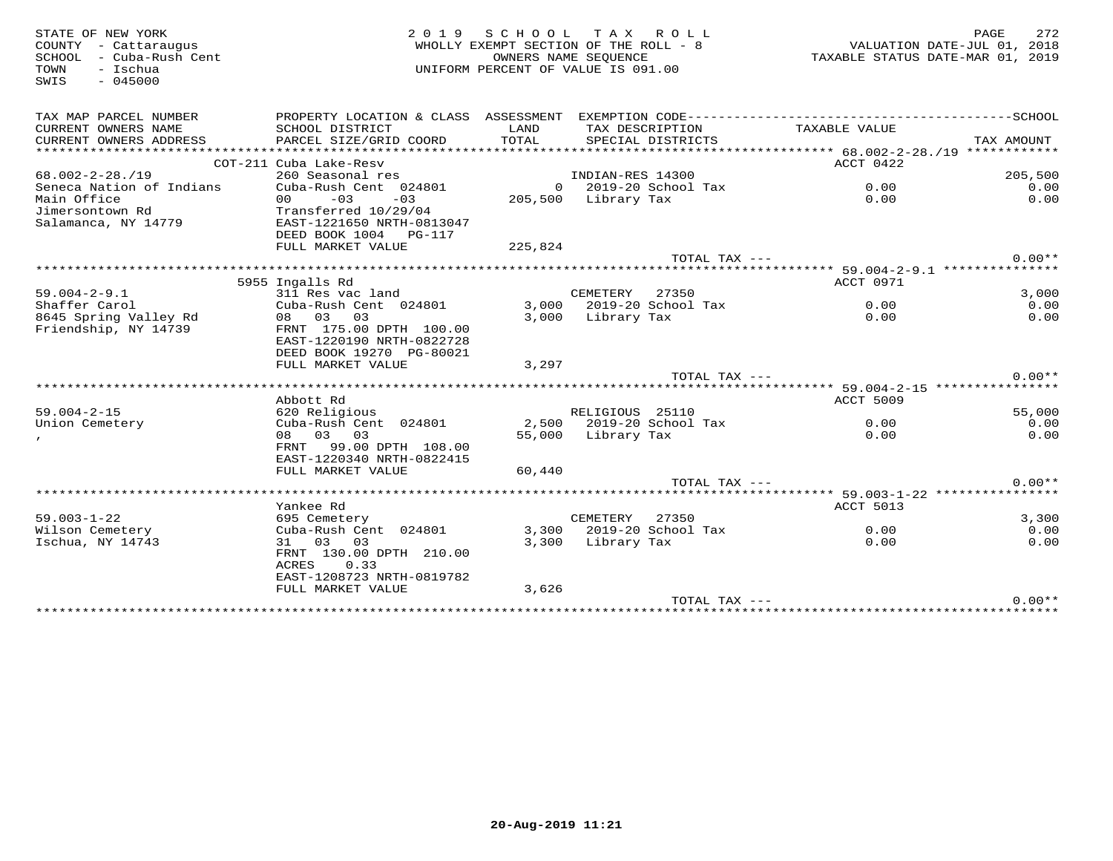| STATE OF NEW YORK<br>COUNTY - Cattaraugus<br>SCHOOL - Cuba-Rush Cent | 2 0 1 9                                                                                      | SCHOOL TAX ROLL<br>WHOLLY EXEMPT SECTION OF THE ROLL - 8<br>OWNERS NAME SEOUENCE |                     |                          | TAXABLE STATUS DATE-MAR 01, 2019 | PAGE<br>VALUATION DATE-JUL 01, 2018 | 272      |
|----------------------------------------------------------------------|----------------------------------------------------------------------------------------------|----------------------------------------------------------------------------------|---------------------|--------------------------|----------------------------------|-------------------------------------|----------|
| - Ischua<br>TOWN<br>$-045000$<br>SWIS                                |                                                                                              | UNIFORM PERCENT OF VALUE IS 091.00                                               |                     |                          |                                  |                                     |          |
| TAX MAP PARCEL NUMBER                                                | PROPERTY LOCATION & CLASS ASSESSMENT EXEMPTION CODE-----------------------------------SCHOOL |                                                                                  |                     |                          |                                  |                                     |          |
| CURRENT OWNERS NAME<br>CURRENT OWNERS ADDRESS                        | SCHOOL DISTRICT<br>PARCEL SIZE/GRID COORD                                                    | LAND<br>TOTAL                                                                    | TAX DESCRIPTION     | SPECIAL DISTRICTS        | TAXABLE VALUE                    | TAX AMOUNT                          |          |
|                                                                      |                                                                                              |                                                                                  |                     |                          |                                  |                                     |          |
|                                                                      | COT-211 Cuba Lake-Resv                                                                       |                                                                                  |                     |                          | ACCT 0422                        |                                     |          |
| $68.002 - 2 - 28.19$                                                 | 260 Seasonal res                                                                             |                                                                                  | INDIAN-RES 14300    |                          |                                  |                                     | 205,500  |
| Seneca Nation of Indians                                             | Cuba-Rush Cent 024801                                                                        |                                                                                  |                     | $0$ 2019-20 School Tax   | 0.00                             |                                     | 0.00     |
| Main Office                                                          | $-03$<br>$-03$<br>00                                                                         |                                                                                  | 205,500 Library Tax |                          | 0.00                             |                                     | 0.00     |
| Jimersontown Rd<br>Salamanca, NY 14779                               | Transferred 10/29/04<br>EAST-1221650 NRTH-0813047                                            |                                                                                  |                     |                          |                                  |                                     |          |
|                                                                      | DEED BOOK 1004 PG-117                                                                        |                                                                                  |                     |                          |                                  |                                     |          |
|                                                                      | FULL MARKET VALUE                                                                            | 225,824                                                                          |                     | TOTAL TAX ---            |                                  |                                     | $0.00**$ |
|                                                                      |                                                                                              |                                                                                  |                     |                          |                                  |                                     |          |
|                                                                      | 5955 Ingalls Rd                                                                              |                                                                                  |                     |                          | ACCT 0971                        |                                     |          |
| $59.004 - 2 - 9.1$                                                   | 311 Res vac land                                                                             |                                                                                  | CEMETERY            | 27350                    |                                  |                                     | 3,000    |
| Shaffer Carol                                                        | Cuba-Rush Cent 024801                                                                        |                                                                                  |                     | 3,000 2019-20 School Tax | 0.00                             |                                     | 0.00     |
| 8645 Spring Valley Rd                                                | 08 03<br>03                                                                                  | 3,000                                                                            | Library Tax         |                          | 0.00                             |                                     | 0.00     |
| Friendship, NY 14739                                                 | FRNT 175.00 DPTH 100.00<br>EAST-1220190 NRTH-0822728                                         |                                                                                  |                     |                          |                                  |                                     |          |
|                                                                      | DEED BOOK 19270 PG-80021                                                                     |                                                                                  |                     |                          |                                  |                                     |          |
|                                                                      | FULL MARKET VALUE                                                                            | 3,297                                                                            |                     |                          |                                  |                                     |          |
|                                                                      |                                                                                              |                                                                                  |                     | TOTAL TAX ---            |                                  |                                     | $0.00**$ |
|                                                                      | Abbott Rd                                                                                    |                                                                                  |                     |                          | ACCT 5009                        |                                     |          |
| $59.004 - 2 - 15$                                                    | 620 Religious                                                                                |                                                                                  | RELIGIOUS 25110     |                          |                                  |                                     | 55,000   |
| Union Cemetery                                                       | Cuba-Rush Cent 024801                                                                        |                                                                                  |                     | 2,500 2019-20 School Tax | 0.00                             |                                     | 0.00     |
|                                                                      | 08 03 03                                                                                     |                                                                                  | 55,000 Library Tax  |                          | 0.00                             |                                     | 0.00     |
|                                                                      | FRNT 99.00 DPTH 108.00                                                                       |                                                                                  |                     |                          |                                  |                                     |          |
|                                                                      | EAST-1220340 NRTH-0822415                                                                    |                                                                                  |                     |                          |                                  |                                     |          |
|                                                                      | FULL MARKET VALUE                                                                            | 60,440                                                                           |                     |                          |                                  |                                     |          |
|                                                                      |                                                                                              |                                                                                  |                     | TOTAL TAX ---            |                                  |                                     | $0.00**$ |
|                                                                      |                                                                                              |                                                                                  |                     |                          |                                  |                                     |          |
| $59.003 - 1 - 22$                                                    | Yankee Rd<br>695 Cemetery                                                                    |                                                                                  | CEMETERY            | 27350                    | <b>ACCT 5013</b>                 |                                     | 3,300    |
| Wilson Cemetery                                                      | Cuba-Rush Cent 024801                                                                        | 3,300                                                                            |                     | 2019-20 School Tax       | 0.00                             |                                     | 0.00     |
| Ischua, NY 14743                                                     | 31 03 03                                                                                     |                                                                                  | 3,300 Library Tax   |                          | 0.00                             |                                     | 0.00     |
|                                                                      | FRNT 130.00 DPTH 210.00                                                                      |                                                                                  |                     |                          |                                  |                                     |          |
|                                                                      | ACRES<br>0.33                                                                                |                                                                                  |                     |                          |                                  |                                     |          |
|                                                                      | EAST-1208723 NRTH-0819782                                                                    |                                                                                  |                     |                          |                                  |                                     |          |
|                                                                      | FULL MARKET VALUE                                                                            | 3,626                                                                            |                     |                          |                                  |                                     |          |
|                                                                      |                                                                                              |                                                                                  |                     | TOTAL TAX ---            |                                  |                                     | $0.00**$ |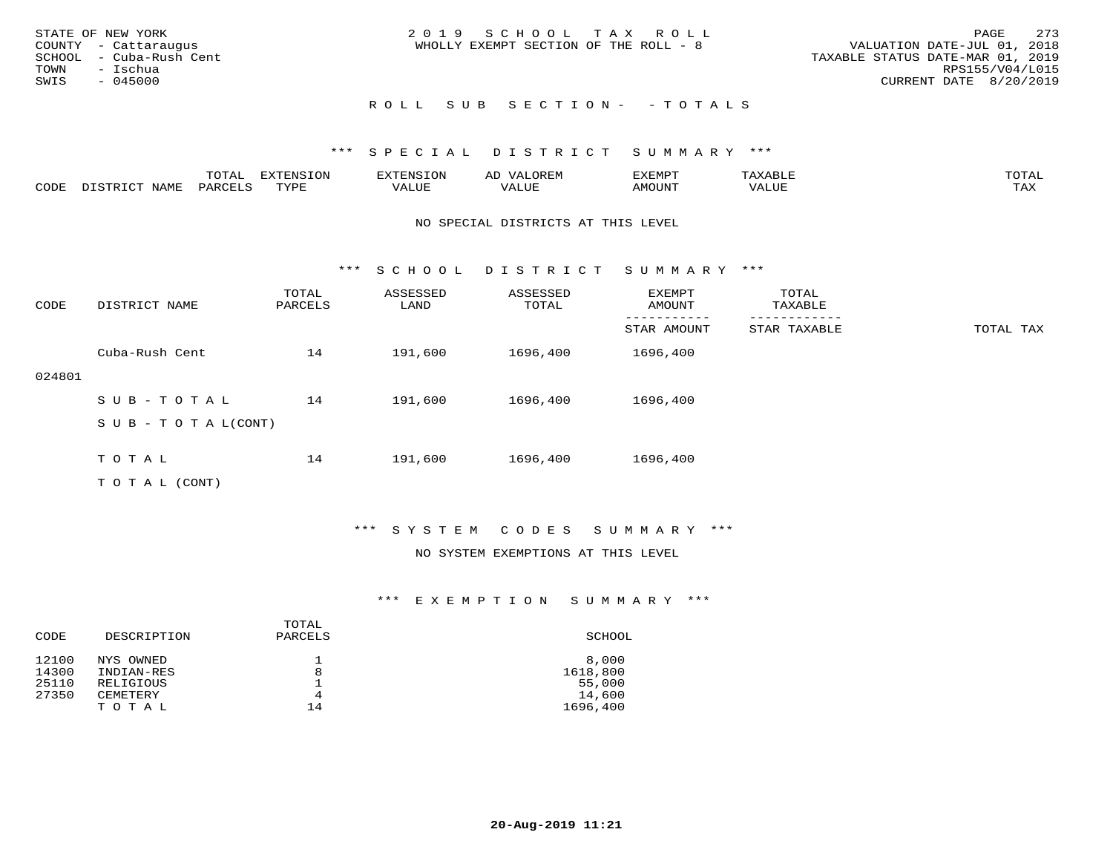| STATE OF NEW YORK<br>COUNTY - Cattaraugus<br>SCHOOL - Cuba-Rush Cent<br>TOWN<br>- Ischua<br>SWIS<br>- 045000 | 2019 SCHOOL TAX ROLL<br>WHOLLY EXEMPT SECTION OF THE ROLL - 8 | 2.73<br>PAGE<br>VALUATION DATE-JUL 01, 2018<br>TAXABLE STATUS DATE-MAR 01, 2019<br>RPS155/V04/L015<br>CURRENT DATE 8/20/2019 |
|--------------------------------------------------------------------------------------------------------------|---------------------------------------------------------------|------------------------------------------------------------------------------------------------------------------------------|
|                                                                                                              | ROLL SUB SECTION- - TOTALS                                    |                                                                                                                              |

|      |                  | $m \wedge m \wedge n$<br>T O T UT | $\mathbf{m}$ $\mathbf{r}$ $\alpha$ $\mathbf{r}$ $\alpha$ $\mathbf{r}$<br>mazma<br>∸∪ | CNS            | UREN              | 337738577<br>י שו<br>חיום בע | $max$ $\tau$ $\tau$ $\tau$ | $m \wedge m \wedge n$ |
|------|------------------|-----------------------------------|--------------------------------------------------------------------------------------|----------------|-------------------|------------------------------|----------------------------|-----------------------|
| CODE | NAME<br>י נפחים. | PART                              | TVDI<br>۲۰ - سار سال                                                                 | חדד דו<br>ALUE | $- - - -$<br>ALUr | <b>AMOUNT</b>                | 'ALUL                      | TA Y<br>- ∠∡∡         |

#### NO SPECIAL DISTRICTS AT THIS LEVEL

\*\*\* S C H O O L D I S T R I C T S U M M A R Y \*\*\*

| CODE   | DISTRICT NAME              | TOTAL<br>PARCELS | ASSESSED<br>LAND | ASSESSED<br>TOTAL | EXEMPT<br>AMOUNT | TOTAL<br>TAXABLE |           |
|--------|----------------------------|------------------|------------------|-------------------|------------------|------------------|-----------|
|        |                            |                  |                  |                   | STAR AMOUNT      | STAR TAXABLE     | TOTAL TAX |
|        | Cuba-Rush Cent             | 14               | 191,600          | 1696,400          | 1696,400         |                  |           |
| 024801 |                            |                  |                  |                   |                  |                  |           |
|        | SUB-TOTAL                  | 14               | 191,600          | 1696,400          | 1696,400         |                  |           |
|        | S U B - T O T A $L$ (CONT) |                  |                  |                   |                  |                  |           |
|        |                            |                  |                  |                   |                  |                  |           |
|        | TOTAL                      | 14               | 191,600          | 1696,400          | 1696,400         |                  |           |
|        | T O T A L (CONT)           |                  |                  |                   |                  |                  |           |

## \*\*\* S Y S T E M C O D E S S U M M A R Y \*\*\*

#### NO SYSTEM EXEMPTIONS AT THIS LEVEL

| CODE  | DESCRIPTION | TOTAL<br>PARCELS | SCHOOL   |
|-------|-------------|------------------|----------|
| 12100 | NYS OWNED   |                  | 8,000    |
| 14300 | INDIAN-RES  | 8                | 1618,800 |
| 25110 | RELIGIOUS   |                  | 55,000   |
| 27350 | CEMETERY    | 4                | 14,600   |
|       | TOTAL       | 14               | 1696,400 |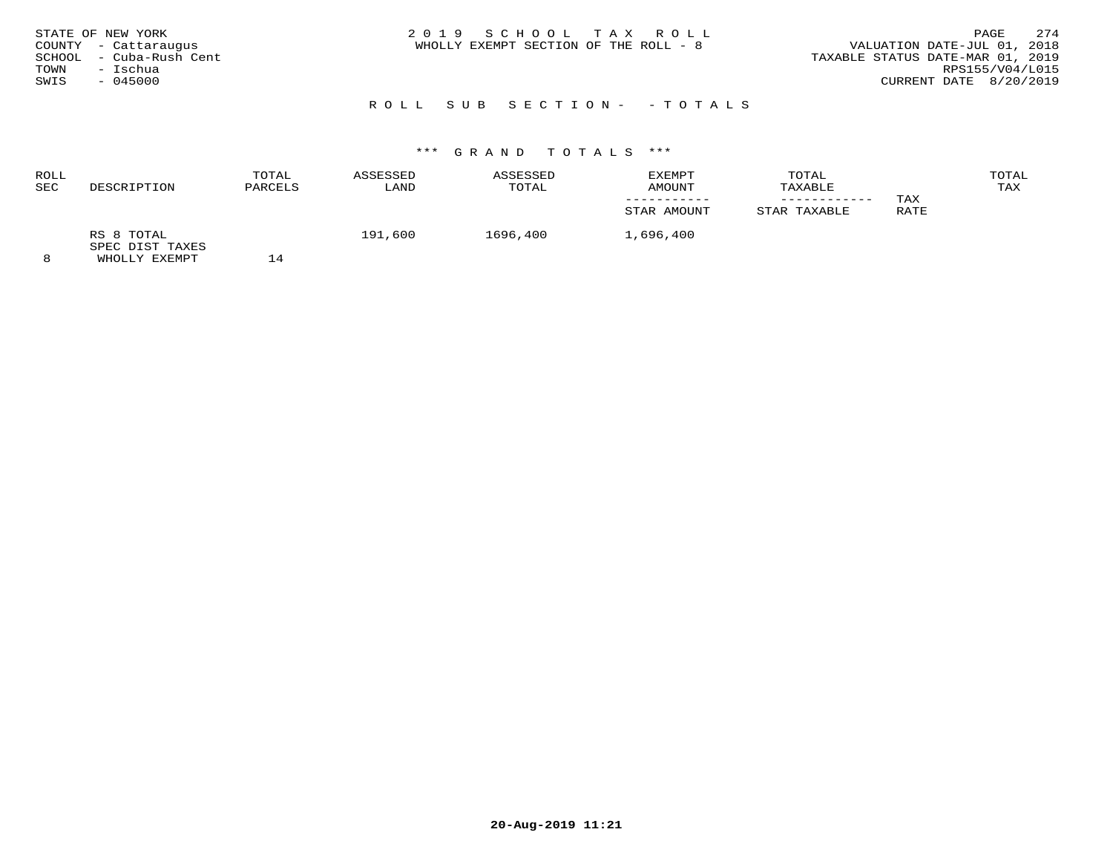| STATE OF NEW YORK<br>COUNTY - Cattaraugus<br>SCHOOL - Cuba-Rush Cent<br>TOWN<br>- Ischua<br>$-045000$<br>SWIS | 2019 SCHOOL TAX ROLL<br>WHOLLY EXEMPT SECTION OF THE ROLL - 8 | 2.74<br>PAGE<br>VALUATION DATE-JUL 01, 2018<br>TAXABLE STATUS DATE-MAR 01, 2019<br>RPS155/V04/L015<br>CURRENT DATE 8/20/2019 |
|---------------------------------------------------------------------------------------------------------------|---------------------------------------------------------------|------------------------------------------------------------------------------------------------------------------------------|
|                                                                                                               |                                                               |                                                                                                                              |

# ROLL SUB SECTION- - TOTALS

# \*\*\* G R A N D T O T A L S \*\*\*

| ROLL       |                               | TOTAL         | ASSESSED | ASSESSED | EXEMPT      | TOTAL        |      | TOTAL |
|------------|-------------------------------|---------------|----------|----------|-------------|--------------|------|-------|
| <b>SEC</b> | DESCRIPTION                   | PARCELS       | LAND     | TOTAL    | AMOUNT      | TAXABLE      |      | TAX   |
|            |                               |               |          |          |             |              | TAX  |       |
|            |                               |               |          |          | STAR AMOUNT | STAR TAXABLE | RATE |       |
|            | RS 8 TOTAL<br>SPEC DIST TAXES |               | 191,600  | 1696,400 | 1,696,400   |              |      |       |
|            | LUICITY THE STREET            | $\mathcal{I}$ |          |          |             |              |      |       |

8 WHOLLY EXEMPT 14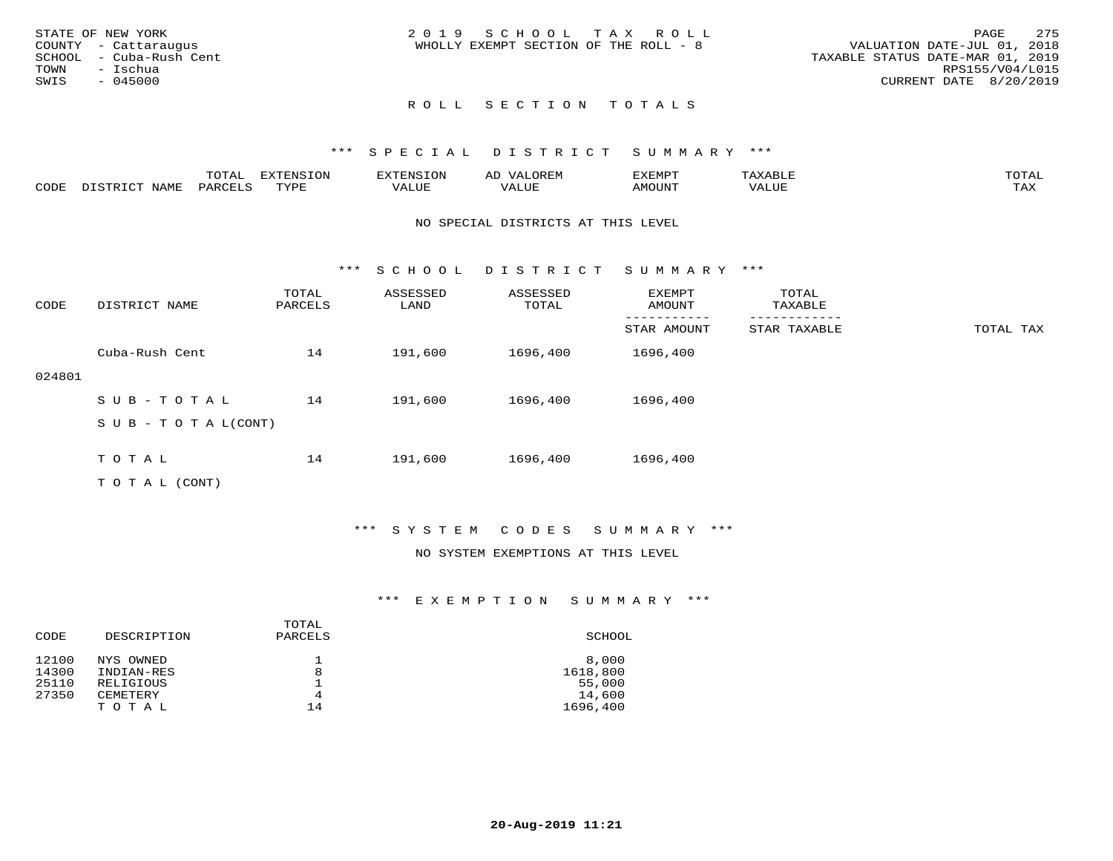| STATE OF NEW YORK<br>COUNTY - Cattaraugus<br>SCHOOL - Cuba-Rush Cent<br>TOWN<br>– Ischua<br>SWIS<br>$-045000$ | 2019 SCHOOL TAX ROLL<br>WHOLLY EXEMPT SECTION OF THE ROLL - 8 | 275<br>PAGE<br>VALUATION DATE-JUL 01, 2018<br>TAXABLE STATUS DATE-MAR 01, 2019<br>RPS155/V04/L015<br>CURRENT DATE 8/20/2019 |
|---------------------------------------------------------------------------------------------------------------|---------------------------------------------------------------|-----------------------------------------------------------------------------------------------------------------------------|
|                                                                                                               | ROLL SECTION TOTALS                                           |                                                                                                                             |

|      |      | ----<br>---- | <b>EXTENSION</b> | :NS      |            | ∠XEMP™       |       | $m \wedge m \wedge n$      |
|------|------|--------------|------------------|----------|------------|--------------|-------|----------------------------|
| CODE | - 11 |              | $m \tau \tau n$  | $\Delta$ | <b>TTT</b> | <b>MOUNT</b> | VALUE | $m \times r$<br>. <i>.</i> |

#### NO SPECIAL DISTRICTS AT THIS LEVEL

\*\*\* S C H O O L D I S T R I C T S U M M A R Y \*\*\*

| CODE   | DISTRICT NAME              | TOTAL<br>PARCELS | ASSESSED<br>LAND | ASSESSED<br>TOTAL | EXEMPT<br>AMOUNT | TOTAL<br>TAXABLE |           |
|--------|----------------------------|------------------|------------------|-------------------|------------------|------------------|-----------|
|        |                            |                  |                  |                   | STAR AMOUNT      | STAR TAXABLE     | TOTAL TAX |
|        | Cuba-Rush Cent             | 14               | 191,600          | 1696,400          | 1696,400         |                  |           |
| 024801 |                            |                  |                  |                   |                  |                  |           |
|        | $SUB - TO TAL$             | 14               | 191,600          | 1696,400          | 1696,400         |                  |           |
|        | S U B - T O T A $L$ (CONT) |                  |                  |                   |                  |                  |           |
|        |                            |                  |                  |                   |                  |                  |           |
|        | TOTAL                      | 14               | 191,600          | 1696,400          | 1696,400         |                  |           |
|        | TO TAL (CONT)              |                  |                  |                   |                  |                  |           |

\*\*\* S Y S T E M C O D E S S U M M A R Y \*\*\*

## NO SYSTEM EXEMPTIONS AT THIS LEVEL

| CODE  | DESCRIPTION | TOTAL<br>PARCELS | SCHOOL   |
|-------|-------------|------------------|----------|
| 12100 | NYS OWNED   |                  | 8,000    |
| 14300 | INDIAN-RES  | 8                | 1618,800 |
| 25110 | RELIGIOUS   |                  | 55,000   |
| 27350 | CEMETERY    | 4                | 14,600   |
|       | TOTAL       | 14               | 1696,400 |
|       |             |                  |          |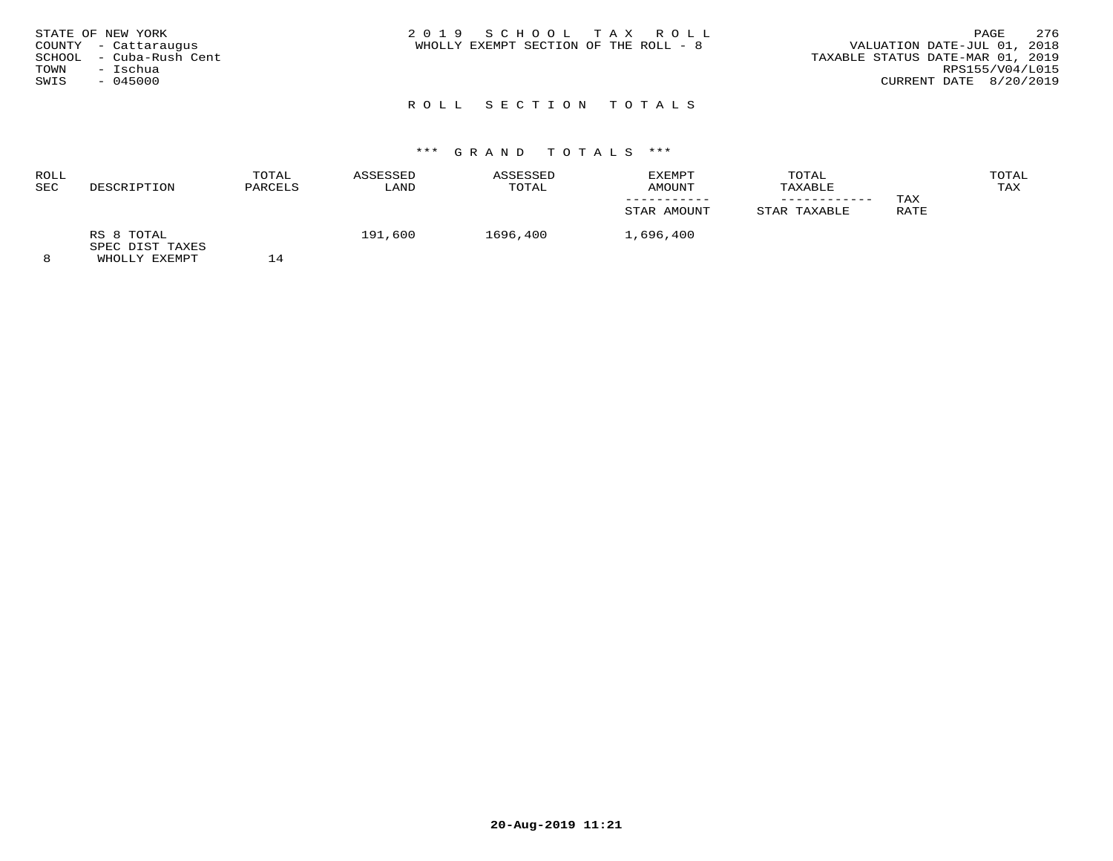| STATE OF NEW YORK       | 2019 SCHOOL TAX ROLL                  | PAGE                             | 276 |
|-------------------------|---------------------------------------|----------------------------------|-----|
| COUNTY - Cattaraugus    | WHOLLY EXEMPT SECTION OF THE ROLL - 8 | VALUATION DATE-JUL 01, 2018      |     |
| SCHOOL - Cuba-Rush Cent |                                       | TAXABLE STATUS DATE-MAR 01, 2019 |     |
| – Ischua<br>TOWN        |                                       | RPS155/V04/L015                  |     |
| SWIS<br>$-045000$       |                                       | CURRENT DATE 8/20/2019           |     |
|                         |                                       |                                  |     |

# \*\*\* G R A N D T O T A L S \*\*\*

| ROLL       |                               | TOTAL          | ASSESSED | ASSESSED | EXEMPT      | TOTAL        |      | TOTAL |
|------------|-------------------------------|----------------|----------|----------|-------------|--------------|------|-------|
| <b>SEC</b> | DESCRIPTION                   | PARCELS        | LAND     | TOTAL    | AMOUNT      | TAXABLE      |      | TAX   |
|            |                               |                |          |          |             |              | TAX  |       |
|            |                               |                |          |          | STAR AMOUNT | STAR TAXABLE | RATE |       |
|            | RS 8 TOTAL<br>SPEC DIST TAXES |                | 191,600  | 1696,400 | 1,696,400   |              |      |       |
|            | <b>WILOT IV RYBMDT</b>        | $\overline{A}$ |          |          |             |              |      |       |

8 WHOLLY EXEMPT 14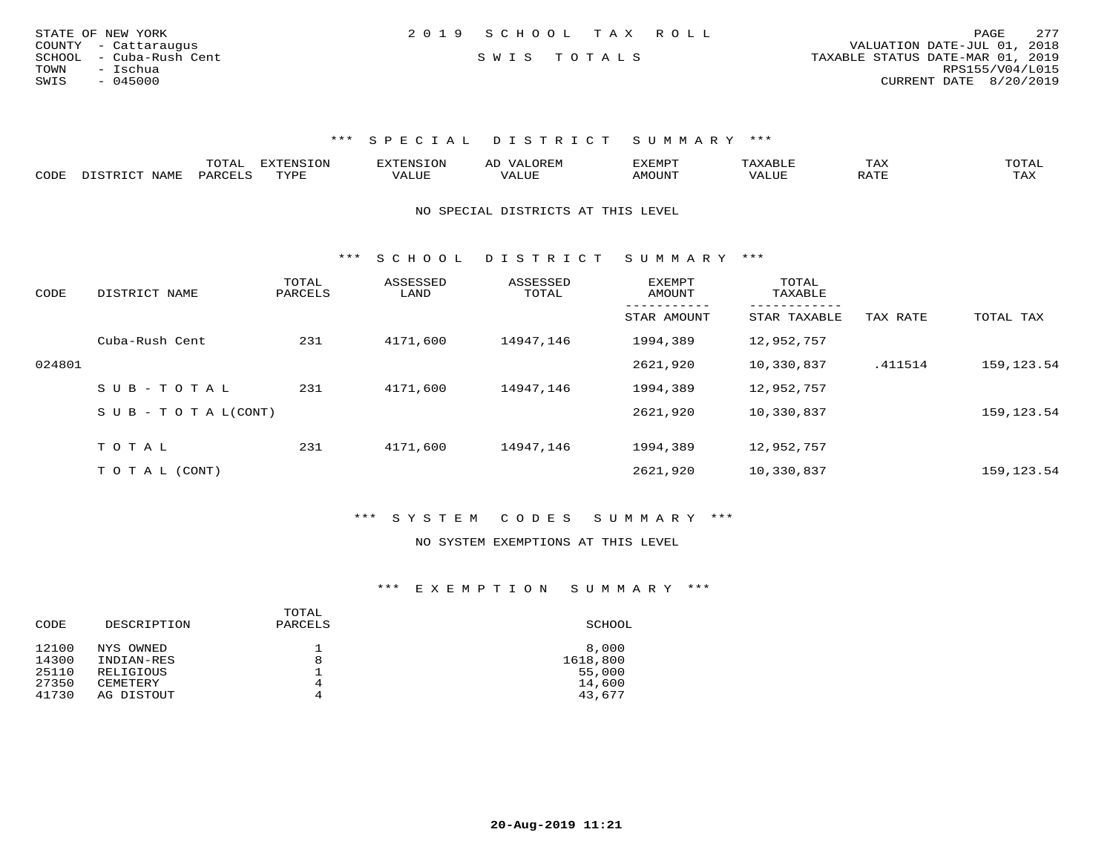| STATE OF NEW YORK       | 2019 SCHOOL TAX ROLL |             |                                  | PAGE            | 277 |
|-------------------------|----------------------|-------------|----------------------------------|-----------------|-----|
| COUNTY - Cattaraugus    |                      |             | VALUATION DATE-JUL 01, 2018      |                 |     |
| SCHOOL - Cuba-Rush Cent |                      | SWIS TOTALS | TAXABLE STATUS DATE-MAR 01, 2019 |                 |     |
| TOWN<br>- Ischua        |                      |             |                                  | RPS155/V04/L015 |     |
| - 045000<br>SWIS        |                      |             | CURRENT DATE 8/20/2019           |                 |     |
|                         |                      |             |                                  |                 |     |

|      | ----<br>- 777 | ,,,,,,,,,,<br>$-0.213$ |  | -XEMP"    | ⊥ A∆ | $\sim$ m $\sim$ $\sim$<br>◡ <b>⊥</b>                                                                                                                                                                                                                                                                                                                                                                                                                     |
|------|---------------|------------------------|--|-----------|------|----------------------------------------------------------------------------------------------------------------------------------------------------------------------------------------------------------------------------------------------------------------------------------------------------------------------------------------------------------------------------------------------------------------------------------------------------------|
| CODE | ⊬∆د           | $- - - -$<br>.         |  | 5.7277777 |      | $\overline{ }$ $\overline{ }$ $\overline{ }$ $\overline{ }$ $\overline{ }$ $\overline{ }$ $\overline{ }$ $\overline{ }$ $\overline{ }$ $\overline{ }$ $\overline{ }$ $\overline{ }$ $\overline{ }$ $\overline{ }$ $\overline{ }$ $\overline{ }$ $\overline{ }$ $\overline{ }$ $\overline{ }$ $\overline{ }$ $\overline{ }$ $\overline{ }$ $\overline{ }$ $\overline{ }$ $\overline{ }$ $\overline{ }$ $\overline{ }$ $\overline{$<br>$\cdots$<br>- 53.43 |

NO SPECIAL DISTRICTS AT THIS LEVEL

\*\*\* S C H O O L D I S T R I C T S U M M A R Y \*\*\*

| CODE   | DISTRICT NAME                    | TOTAL<br>PARCELS | ASSESSED<br>LAND | ASSESSED<br>TOTAL | EXEMPT<br>AMOUNT | TOTAL<br>TAXABLE             |          |              |
|--------|----------------------------------|------------------|------------------|-------------------|------------------|------------------------------|----------|--------------|
|        |                                  |                  |                  |                   | STAR AMOUNT      | ------------<br>STAR TAXABLE | TAX RATE | TOTAL TAX    |
|        | Cuba-Rush Cent                   | 231              | 4171,600         | 14947,146         | 1994,389         | 12,952,757                   |          |              |
| 024801 |                                  |                  |                  |                   | 2621,920         | 10,330,837                   | .411514  | 159, 123. 54 |
|        | $SUB - TO TAL$                   | 231              | 4171,600         | 14947,146         | 1994,389         | 12,952,757                   |          |              |
|        | $S \cup B - T \cup T A L (CONT)$ |                  |                  |                   | 2621,920         | 10,330,837                   |          | 159, 123. 54 |
|        | TOTAL                            |                  |                  |                   |                  | 12,952,757                   |          |              |
|        |                                  | 231              | 4171,600         | 14947,146         | 1994,389         |                              |          |              |
|        | T O T A L (CONT)                 |                  |                  |                   | 2621,920         | 10,330,837                   |          | 159, 123. 54 |

\*\*\* S Y S T E M C O D E S S U M M A R Y \*\*\*

#### NO SYSTEM EXEMPTIONS AT THIS LEVEL

| CODE  | DESCRIPTION | TOTAL<br>PARCELS | SCHOOL   |
|-------|-------------|------------------|----------|
| 12100 | NYS OWNED   |                  | 8,000    |
| 14300 | INDIAN-RES  | 8                | 1618,800 |
| 25110 | RELIGIOUS   |                  | 55,000   |
| 27350 | CEMETERY    | 4                | 14,600   |
| 41730 | AG DISTOUT  | 4                | 43,677   |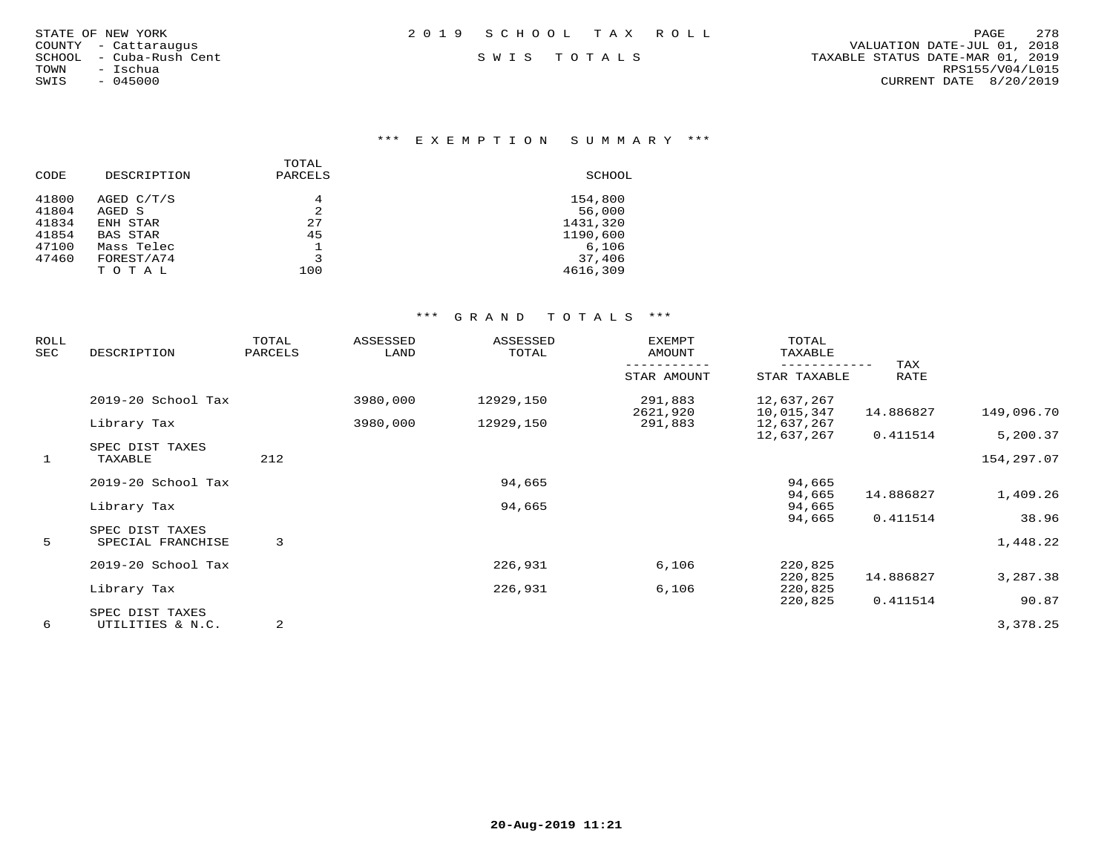| STATE OF NEW YORK |                      |  |
|-------------------|----------------------|--|
|                   | COUNTY - Cattaraugus |  |
| SCHOOL            | - Cuba-Rush Cent     |  |
| TOWN              | - Ischua             |  |
| SWIS              | $-045000$            |  |

\*\*\* E X E M P T I O N S U M M A R Y \*\*\*

|       |             | TOTAL   |          |
|-------|-------------|---------|----------|
| CODE  | DESCRIPTION | PARCELS | SCHOOL   |
| 41800 | AGED C/T/S  | 4       | 154,800  |
| 41804 | AGED S      | 2       | 56,000   |
| 41834 | ENH STAR    | 27      | 1431,320 |
| 41854 | BAS STAR    | 45      | 1190,600 |
| 47100 | Mass Telec  |         | 6,106    |
| 47460 | FOREST/A74  | 3       | 37,406   |
|       | TOTAL       | 100     | 4616,309 |
|       |             |         |          |

| <b>ROLL</b><br>SEC | DESCRIPTION                          | TOTAL<br>PARCELS | ASSESSED<br>LAND | ASSESSED<br>TOTAL | <b>EXEMPT</b><br>AMOUNT | TOTAL<br>TAXABLE         |             |            |
|--------------------|--------------------------------------|------------------|------------------|-------------------|-------------------------|--------------------------|-------------|------------|
|                    |                                      |                  |                  |                   | STAR AMOUNT             | STAR TAXABLE             | TAX<br>RATE |            |
|                    | 2019-20 School Tax                   |                  | 3980,000         | 12929,150         | 291,883<br>2621,920     | 12,637,267<br>10,015,347 | 14.886827   | 149,096.70 |
|                    | Library Tax                          |                  | 3980,000         | 12929,150         | 291,883                 | 12,637,267               |             |            |
|                    | SPEC DIST TAXES                      |                  |                  |                   |                         | 12,637,267               | 0.411514    | 5,200.37   |
| $\mathbf{1}$       | TAXABLE                              | 212              |                  |                   |                         |                          |             | 154,297.07 |
|                    | 2019-20 School Tax                   |                  |                  | 94,665            |                         | 94,665                   |             |            |
|                    | Library Tax                          |                  |                  | 94,665            |                         | 94,665<br>94,665         | 14.886827   | 1,409.26   |
|                    |                                      |                  |                  |                   |                         | 94,665                   | 0.411514    | 38.96      |
| 5                  | SPEC DIST TAXES<br>SPECIAL FRANCHISE | 3                |                  |                   |                         |                          |             | 1,448.22   |
|                    | 2019-20 School Tax                   |                  |                  | 226,931           | 6,106                   | 220,825<br>220,825       | 14.886827   | 3,287.38   |
|                    | Library Tax                          |                  |                  | 226,931           | 6,106                   | 220,825                  |             |            |
|                    |                                      |                  |                  |                   |                         | 220,825                  | 0.411514    | 90.87      |
| 6                  | SPEC DIST TAXES<br>UTILITIES & N.C.  | 2                |                  |                   |                         |                          |             | 3,378.25   |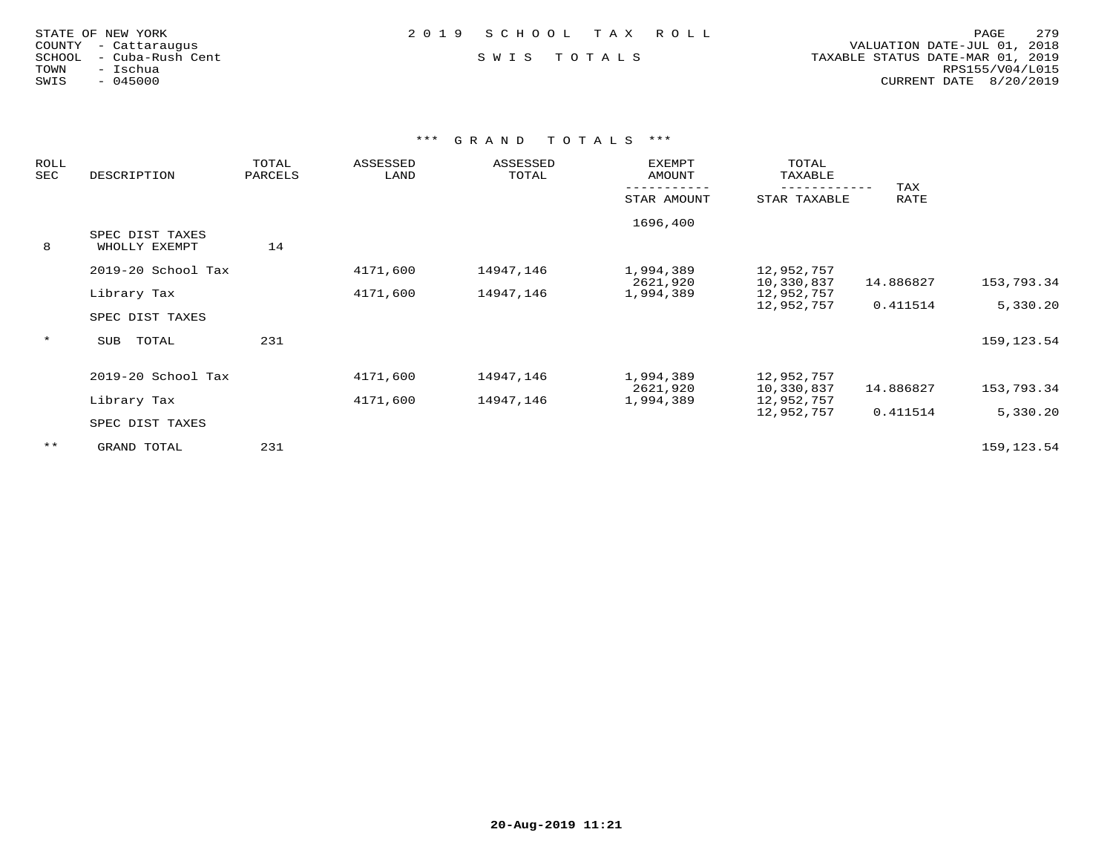| STATE OF NEW YORK    |  |                  |  |
|----------------------|--|------------------|--|
| COUNTY - Cattaraugus |  |                  |  |
| SCHOOL               |  | - Cuba-Rush Cent |  |
| TOWN                 |  | - Ischua         |  |
| SWIS                 |  | $-045000$        |  |

## SWIS TOTALS

 COUNTY - Cattaraugus VALUATION DATE-JUL 01, 2018 TOWN - Ischua RPS155/V04/L015SWIS - 045000 CURRENT DATE 8/20/2019

| DESCRIPTION        | TOTAL<br>PARCELS                                                 | ASSESSED<br>LAND | ASSESSED<br>TOTAL    | EXEMPT<br>AMOUNT       | TOTAL<br>TAXABLE                   |                                                                    |                              |
|--------------------|------------------------------------------------------------------|------------------|----------------------|------------------------|------------------------------------|--------------------------------------------------------------------|------------------------------|
|                    |                                                                  |                  |                      |                        |                                    |                                                                    |                              |
|                    |                                                                  |                  |                      | STAR AMOUNT            | STAR TAXABLE                       | RATE                                                               |                              |
|                    |                                                                  |                  |                      | 1696,400               |                                    |                                                                    |                              |
| SPEC DIST TAXES    |                                                                  |                  |                      |                        |                                    |                                                                    |                              |
| WHOLLY EXEMPT      | 14                                                               |                  |                      |                        |                                    |                                                                    |                              |
| 2019-20 School Tax |                                                                  | 4171,600         | 14947,146            | 1,994,389              | 12,952,757                         |                                                                    |                              |
|                    |                                                                  |                  |                      | 2621,920               | 10,330,837                         | 14.886827                                                          | 153,793.34                   |
| Library Tax        |                                                                  | 4171,600         | 14947,146            | 1,994,389              | 12,952,757                         |                                                                    |                              |
|                    |                                                                  |                  |                      |                        |                                    | 0.411514                                                           | 5,330.20                     |
| SPEC DIST TAXES    |                                                                  |                  |                      |                        |                                    |                                                                    |                              |
|                    |                                                                  |                  |                      |                        |                                    |                                                                    | 159, 123.54                  |
|                    |                                                                  |                  |                      |                        |                                    |                                                                    |                              |
|                    |                                                                  |                  |                      |                        |                                    |                                                                    |                              |
|                    |                                                                  |                  |                      |                        |                                    |                                                                    | 153,793.34                   |
|                    |                                                                  |                  |                      |                        |                                    |                                                                    |                              |
|                    |                                                                  |                  |                      |                        |                                    |                                                                    | 5,330.20                     |
| SPEC DIST TAXES    |                                                                  |                  |                      |                        |                                    |                                                                    |                              |
|                    |                                                                  |                  |                      |                        |                                    |                                                                    | 159, 123.54                  |
|                    | TOTAL<br>SUB<br>2019-20 School Tax<br>Library Tax<br>GRAND TOTAL | 231<br>231       | 4171,600<br>4171,600 | 14947,146<br>14947,146 | 1,994,389<br>2621,920<br>1,994,389 | 12,952,757<br>12,952,757<br>10,330,837<br>12,952,757<br>12,952,757 | TAX<br>14.886827<br>0.411514 |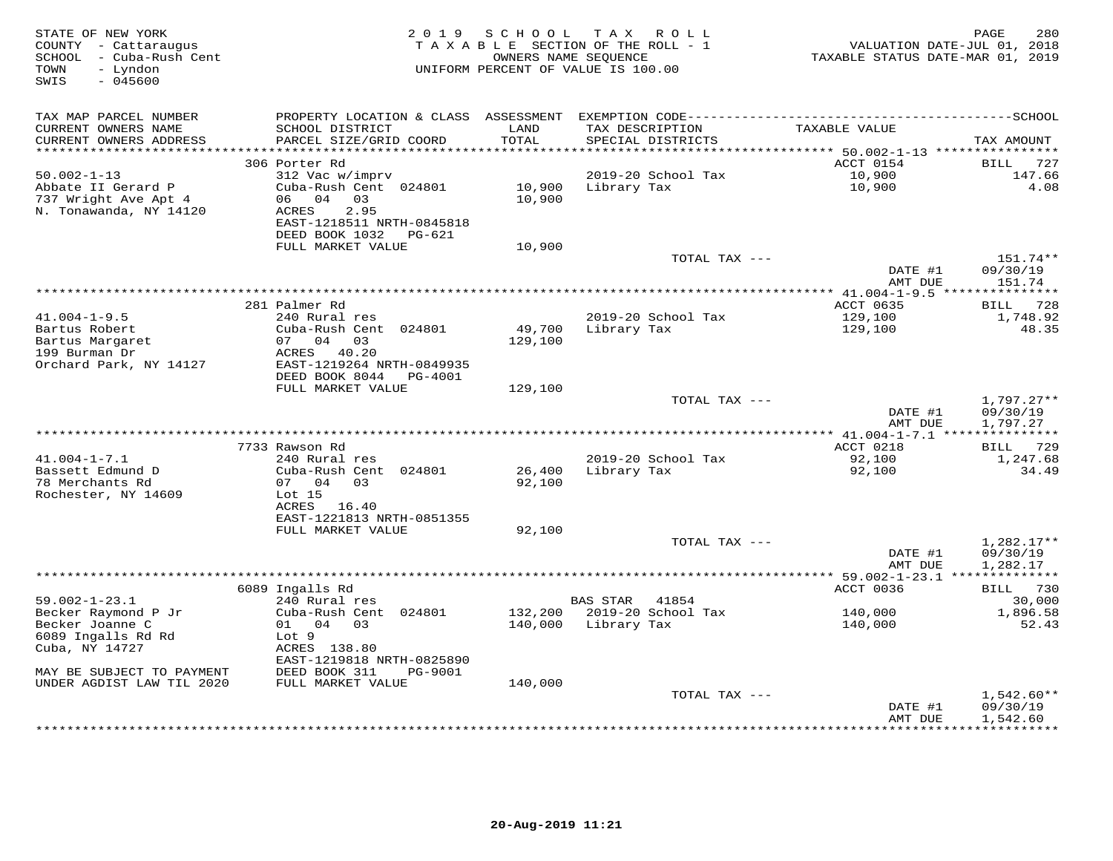| STATE OF NEW YORK<br>COUNTY - Cattaraugus<br>SCHOOL - Cuba-Rush Cent<br>- Lyndon<br>TOWN<br>$-045600$<br>SWIS |                                                | 2019 SCHOOL   | TAX ROLL<br>TAXABLE SECTION OF THE ROLL - 1<br>OWNERS NAME SEQUENCE<br>UNIFORM PERCENT OF VALUE IS 100.00 | TAXABLE STATUS DATE-MAR 01, 2019                  | PAGE<br>280<br>VALUATION DATE-JUL 01, 2018 |
|---------------------------------------------------------------------------------------------------------------|------------------------------------------------|---------------|-----------------------------------------------------------------------------------------------------------|---------------------------------------------------|--------------------------------------------|
| TAX MAP PARCEL NUMBER                                                                                         |                                                |               |                                                                                                           |                                                   |                                            |
| CURRENT OWNERS NAME<br>CURRENT OWNERS ADDRESS                                                                 | SCHOOL DISTRICT<br>PARCEL SIZE/GRID COORD      | LAND<br>TOTAL | TAX DESCRIPTION<br>SPECIAL DISTRICTS                                                                      | TAXABLE VALUE                                     | TAX AMOUNT                                 |
| ********************                                                                                          |                                                | *********     |                                                                                                           | *********** 50.002-1-13 ***********               |                                            |
|                                                                                                               | 306 Porter Rd                                  |               |                                                                                                           | ACCT 0154                                         | <b>BILL</b><br>727                         |
| $50.002 - 1 - 13$                                                                                             | 312 Vac w/imprv                                |               | 2019-20 School Tax                                                                                        | 10,900                                            | 147.66                                     |
| Abbate II Gerard P                                                                                            | Cuba-Rush Cent 024801                          | 10,900        | Library Tax                                                                                               | 10,900                                            | 4.08                                       |
| 737 Wright Ave Apt 4                                                                                          | 06 04<br>03                                    | 10,900        |                                                                                                           |                                                   |                                            |
| N. Tonawanda, NY 14120                                                                                        | 2.95<br>ACRES<br>EAST-1218511 NRTH-0845818     |               |                                                                                                           |                                                   |                                            |
|                                                                                                               | DEED BOOK 1032<br>PG-621                       |               |                                                                                                           |                                                   |                                            |
|                                                                                                               | FULL MARKET VALUE                              | 10,900        |                                                                                                           |                                                   |                                            |
|                                                                                                               |                                                |               | TOTAL TAX ---                                                                                             |                                                   | 151.74**                                   |
|                                                                                                               |                                                |               |                                                                                                           | DATE #1                                           | 09/30/19                                   |
|                                                                                                               |                                                |               |                                                                                                           | AMT DUE<br>*** $41.004 - 1 - 9.5$ *************** | 151.74                                     |
|                                                                                                               | 281 Palmer Rd                                  |               |                                                                                                           | ACCT 0635                                         | 728<br>BILL                                |
| $41.004 - 1 - 9.5$                                                                                            | 240 Rural res                                  |               | 2019-20 School Tax                                                                                        | 129,100                                           | 1,748.92                                   |
| Bartus Robert                                                                                                 | Cuba-Rush Cent 024801                          | 49,700        | Library Tax                                                                                               | 129,100                                           | 48.35                                      |
| Bartus Margaret                                                                                               | 07 04 03                                       | 129,100       |                                                                                                           |                                                   |                                            |
| 199 Burman Dr                                                                                                 | ACRES 40.20                                    |               |                                                                                                           |                                                   |                                            |
| Orchard Park, NY 14127                                                                                        | EAST-1219264 NRTH-0849935                      |               |                                                                                                           |                                                   |                                            |
|                                                                                                               | DEED BOOK 8044<br>PG-4001<br>FULL MARKET VALUE | 129,100       |                                                                                                           |                                                   |                                            |
|                                                                                                               |                                                |               | TOTAL TAX ---                                                                                             |                                                   | $1,797.27**$                               |
|                                                                                                               |                                                |               |                                                                                                           | DATE #1                                           | 09/30/19                                   |
|                                                                                                               |                                                |               |                                                                                                           | AMT DUE                                           | 1,797.27                                   |
|                                                                                                               |                                                |               |                                                                                                           |                                                   |                                            |
| $41.004 - 1 - 7.1$                                                                                            | 7733 Rawson Rd<br>240 Rural res                |               | 2019-20 School Tax                                                                                        | ACCT 0218<br>92,100                               | 729<br>BILL<br>1,247.68                    |
| Bassett Edmund D                                                                                              | Cuba-Rush Cent 024801                          | 26,400        | Library Tax                                                                                               | 92,100                                            | 34.49                                      |
| 78 Merchants Rd                                                                                               | 07 04 03                                       | 92,100        |                                                                                                           |                                                   |                                            |
| Rochester, NY 14609                                                                                           | Lot 15                                         |               |                                                                                                           |                                                   |                                            |
|                                                                                                               | ACRES 16.40                                    |               |                                                                                                           |                                                   |                                            |
|                                                                                                               | EAST-1221813 NRTH-0851355<br>FULL MARKET VALUE |               |                                                                                                           |                                                   |                                            |
|                                                                                                               |                                                | 92,100        | TOTAL TAX ---                                                                                             |                                                   | $1,282.17**$                               |
|                                                                                                               |                                                |               |                                                                                                           | DATE #1                                           | 09/30/19                                   |
|                                                                                                               |                                                |               |                                                                                                           | AMT DUE                                           | 1,282.17                                   |
|                                                                                                               |                                                |               |                                                                                                           |                                                   |                                            |
|                                                                                                               | 6089 Ingalls Rd                                |               |                                                                                                           | ACCT 0036                                         | BILL 730                                   |
| $59.002 - 1 - 23.1$<br>Becker Raymond P Jr                                                                    | 240 Rural res<br>Cuba-Rush Cent 024801         | 132,200       | BAS STAR<br>41854<br>2019-20 School Tax                                                                   | 140,000                                           | 30,000<br>1,896.58                         |
| Becker Joanne C                                                                                               | 01 04 03                                       |               | 140,000 Library Tax                                                                                       | 140,000                                           | 52.43                                      |
| 6089 Ingalls Rd Rd                                                                                            | Lot 9                                          |               |                                                                                                           |                                                   |                                            |
| Cuba, NY 14727                                                                                                | ACRES 138.80                                   |               |                                                                                                           |                                                   |                                            |
|                                                                                                               | EAST-1219818 NRTH-0825890                      |               |                                                                                                           |                                                   |                                            |
| MAY BE SUBJECT TO PAYMENT                                                                                     | DEED BOOK 311<br>PG-9001                       |               |                                                                                                           |                                                   |                                            |
| UNDER AGDIST LAW TIL 2020                                                                                     | FULL MARKET VALUE                              | 140,000       | TOTAL TAX ---                                                                                             |                                                   | 1,542.60**                                 |
|                                                                                                               |                                                |               |                                                                                                           | DATE #1                                           | 09/30/19                                   |
|                                                                                                               |                                                |               |                                                                                                           | AMT DUE                                           | 1,542.60                                   |
|                                                                                                               |                                                |               |                                                                                                           |                                                   | ***********                                |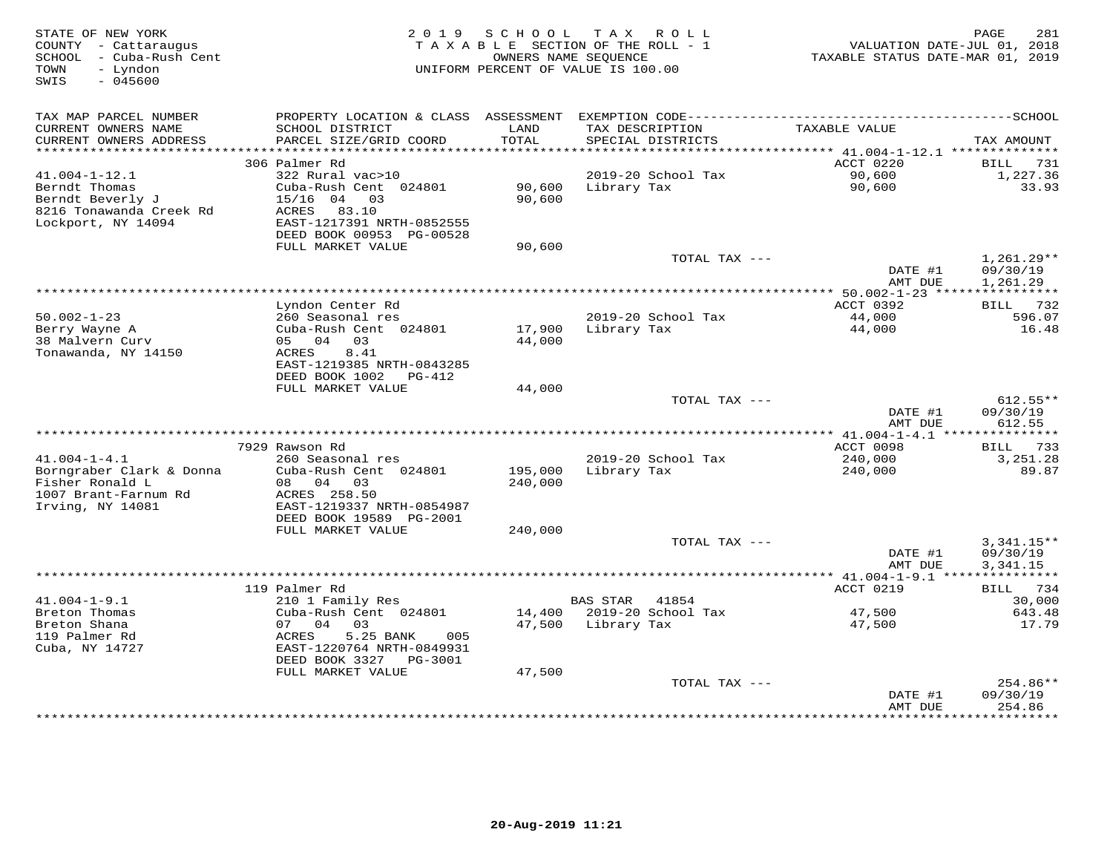| STATE OF NEW YORK<br>COUNTY - Cattaraugus<br>SCHOOL - Cuba-Rush Cent<br>- Lyndon<br>TOWN<br>SWIS<br>$-045600$ | 2 0 1 9                                                                                                              | SCHOOL           | T A X<br>ROLL<br>TAXABLE SECTION OF THE ROLL - 1<br>OWNERS NAME SEQUENCE<br>UNIFORM PERCENT OF VALUE IS 100.00 | VALUATION DATE-JUL 01, 2018<br>TAXABLE STATUS DATE-MAR 01, 2019 | 281<br>PAGE                      |
|---------------------------------------------------------------------------------------------------------------|----------------------------------------------------------------------------------------------------------------------|------------------|----------------------------------------------------------------------------------------------------------------|-----------------------------------------------------------------|----------------------------------|
| TAX MAP PARCEL NUMBER                                                                                         | PROPERTY LOCATION & CLASS                                                                                            |                  |                                                                                                                |                                                                 |                                  |
| CURRENT OWNERS NAME<br>CURRENT OWNERS ADDRESS<br>***********************                                      | SCHOOL DISTRICT<br>PARCEL SIZE/GRID COORD<br>************************                                                | LAND<br>TOTAL    | TAX DESCRIPTION<br>SPECIAL DISTRICTS<br>*********************************                                      | TAXABLE VALUE                                                   | TAX AMOUNT                       |
|                                                                                                               | 306 Palmer Rd                                                                                                        |                  |                                                                                                                | ********** 41.004-1-12.1 **************<br>ACCT 0220            | 731<br>BILL                      |
| $41.004 - 1 - 12.1$                                                                                           | 322 Rural vac>10                                                                                                     |                  | 2019-20 School Tax                                                                                             | 90,600                                                          | 1,227.36                         |
| Berndt Thomas<br>Berndt Beverly J<br>8216 Tonawanda Creek Rd<br>Lockport, NY 14094                            | Cuba-Rush Cent 024801<br>$15/16$ 04<br>03<br>ACRES<br>83.10<br>EAST-1217391 NRTH-0852555<br>DEED BOOK 00953 PG-00528 | 90,600<br>90,600 | Library Tax                                                                                                    | 90,600                                                          | 33.93                            |
|                                                                                                               | FULL MARKET VALUE                                                                                                    | 90,600           |                                                                                                                |                                                                 |                                  |
|                                                                                                               |                                                                                                                      |                  | TOTAL TAX ---                                                                                                  | DATE #1                                                         | $1,261.29**$<br>09/30/19         |
|                                                                                                               |                                                                                                                      |                  |                                                                                                                | AMT DUE<br>$* 50.002 - 1 - 23$ ****                             | 1,261.29                         |
|                                                                                                               | Lyndon Center Rd                                                                                                     |                  |                                                                                                                | ACCT 0392                                                       | 732<br>BILL                      |
| $50.002 - 1 - 23$<br>Berry Wayne A                                                                            | 260 Seasonal res<br>Cuba-Rush Cent 024801                                                                            | 17,900           | 2019-20 School Tax<br>Library Tax                                                                              | 44,000<br>44,000                                                | 596.07<br>16.48                  |
| 38 Malvern Curv<br>Tonawanda, NY 14150                                                                        | 05 04<br>03<br>8.41<br>ACRES<br>EAST-1219385 NRTH-0843285<br>DEED BOOK 1002<br>PG-412                                | 44,000           |                                                                                                                |                                                                 |                                  |
|                                                                                                               | FULL MARKET VALUE                                                                                                    | 44,000           |                                                                                                                |                                                                 |                                  |
|                                                                                                               |                                                                                                                      |                  | TOTAL TAX ---                                                                                                  | DATE #1<br>AMT DUE                                              | $612.55**$<br>09/30/19<br>612.55 |
|                                                                                                               |                                                                                                                      |                  |                                                                                                                |                                                                 |                                  |
|                                                                                                               | 7929 Rawson Rd                                                                                                       |                  |                                                                                                                | ACCT 0098                                                       | 733<br>BILL                      |
| $41.004 - 1 - 4.1$<br>Borngraber Clark & Donna                                                                | 260 Seasonal res<br>Cuba-Rush Cent 024801                                                                            | 195,000          | 2019-20 School Tax<br>Library Tax                                                                              | 240,000<br>240,000                                              | 3, 251.28<br>89.87               |
| Fisher Ronald L                                                                                               | 08<br>04<br>03                                                                                                       | 240,000          |                                                                                                                |                                                                 |                                  |
| 1007 Brant-Farnum Rd<br>Irving, NY 14081                                                                      | ACRES 258.50<br>EAST-1219337 NRTH-0854987                                                                            |                  |                                                                                                                |                                                                 |                                  |
|                                                                                                               | DEED BOOK 19589 PG-2001                                                                                              |                  |                                                                                                                |                                                                 |                                  |
|                                                                                                               | FULL MARKET VALUE                                                                                                    | 240,000          | TOTAL TAX ---                                                                                                  |                                                                 | $3,341.15**$                     |
|                                                                                                               |                                                                                                                      |                  |                                                                                                                | DATE #1<br>AMT DUE                                              | 09/30/19<br>3,341.15             |
|                                                                                                               |                                                                                                                      |                  |                                                                                                                |                                                                 | ***********                      |
|                                                                                                               | 119 Palmer Rd                                                                                                        |                  |                                                                                                                | ACCT 0219                                                       | 734<br>BILL                      |
| $41.004 - 1 - 9.1$<br>Breton Thomas                                                                           | 210 1 Family Res<br>Cuba-Rush Cent 024801                                                                            | 14,400           | <b>BAS STAR</b><br>41854<br>2019-20 School Tax                                                                 | 47,500                                                          | 30,000<br>643.48                 |
| Breton Shana                                                                                                  | 07<br>04<br>03                                                                                                       | 47,500           | Library Tax                                                                                                    | 47,500                                                          | 17.79                            |
| 119 Palmer Rd<br>Cuba, NY 14727                                                                               | ACRES<br>5.25 BANK<br>005<br>EAST-1220764 NRTH-0849931<br>DEED BOOK 3327<br>PG-3001                                  |                  |                                                                                                                |                                                                 |                                  |
|                                                                                                               | FULL MARKET VALUE                                                                                                    | 47,500           |                                                                                                                |                                                                 |                                  |
|                                                                                                               |                                                                                                                      |                  | TOTAL TAX ---                                                                                                  | DATE #1<br>AMT DUE                                              | 254.86**<br>09/30/19<br>254.86   |
|                                                                                                               |                                                                                                                      |                  |                                                                                                                |                                                                 | *********                        |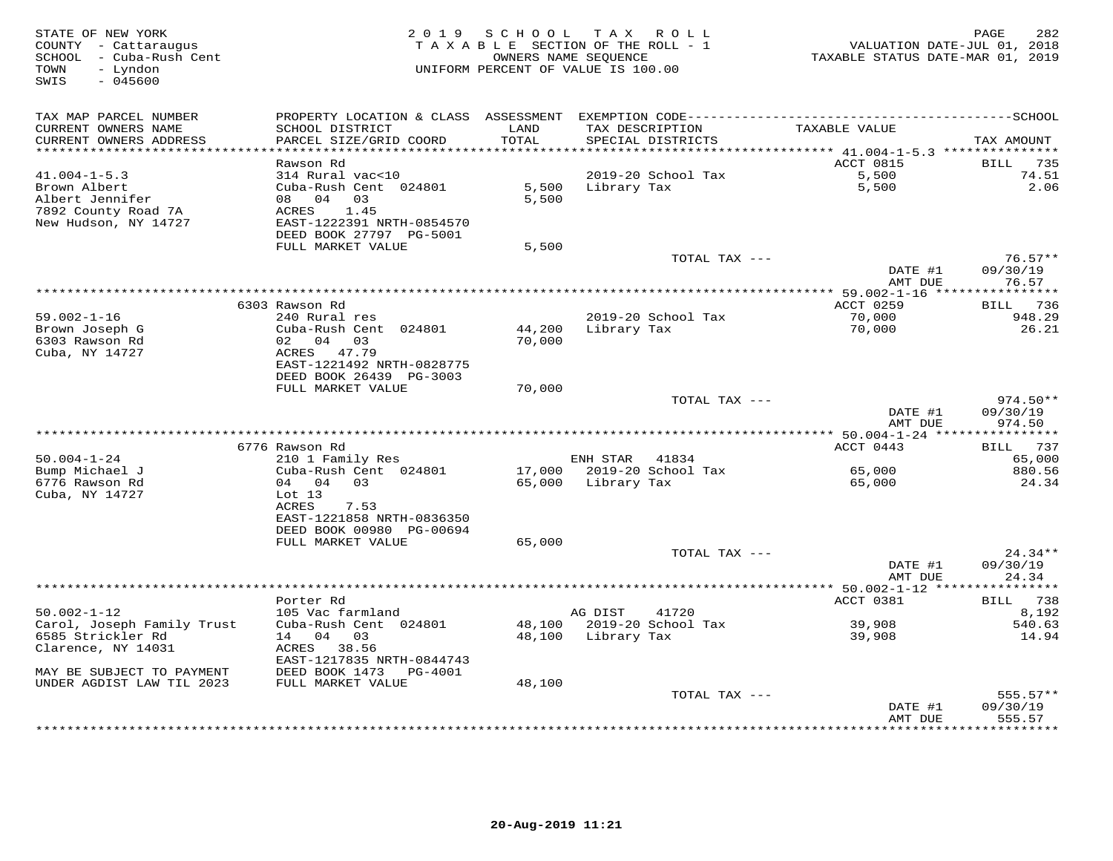| STATE OF NEW YORK<br>COUNTY - Cattaraugus<br>SCHOOL - Cuba-Rush Cent<br>- Lyndon<br>TOWN<br>SWIS<br>$-045600$ | 2 0 1 9                                      | SCHOOL        | T A X<br>ROLL<br>TAXABLE SECTION OF THE ROLL - 1<br>OWNERS NAME SEOUENCE<br>UNIFORM PERCENT OF VALUE IS 100.00 | VALUATION DATE-JUL 01, 2018<br>TAXABLE STATUS DATE-MAR 01, 2019 | PAGE<br>282                 |
|---------------------------------------------------------------------------------------------------------------|----------------------------------------------|---------------|----------------------------------------------------------------------------------------------------------------|-----------------------------------------------------------------|-----------------------------|
| TAX MAP PARCEL NUMBER                                                                                         |                                              |               |                                                                                                                |                                                                 |                             |
| CURRENT OWNERS NAME<br>CURRENT OWNERS ADDRESS                                                                 | SCHOOL DISTRICT<br>PARCEL SIZE/GRID COORD    | LAND<br>TOTAL | TAX DESCRIPTION<br>SPECIAL DISTRICTS                                                                           | TAXABLE VALUE                                                   | TAX AMOUNT                  |
| ***********************                                                                                       | *************************<br>Rawson Rd       |               |                                                                                                                | ACCT 0815                                                       |                             |
| $41.004 - 1 - 5.3$                                                                                            | 314 Rural vac<10                             |               | 2019-20 School Tax                                                                                             | 5,500                                                           | BILL<br>735<br>74.51        |
| Brown Albert                                                                                                  | Cuba-Rush Cent 024801                        | 5,500         | Library Tax                                                                                                    | 5,500                                                           | 2.06                        |
| Albert Jennifer                                                                                               | 08 04<br>0.3                                 | 5,500         |                                                                                                                |                                                                 |                             |
| 7892 County Road 7A                                                                                           | ACRES<br>1.45                                |               |                                                                                                                |                                                                 |                             |
| New Hudson, NY 14727                                                                                          | EAST-1222391 NRTH-0854570                    |               |                                                                                                                |                                                                 |                             |
|                                                                                                               | DEED BOOK 27797 PG-5001                      |               |                                                                                                                |                                                                 |                             |
|                                                                                                               | FULL MARKET VALUE                            | 5,500         |                                                                                                                |                                                                 |                             |
|                                                                                                               |                                              |               | TOTAL TAX ---                                                                                                  |                                                                 | $76.57**$                   |
|                                                                                                               |                                              |               |                                                                                                                | DATE #1<br>AMT DUE                                              | 09/30/19<br>76.57           |
|                                                                                                               |                                              |               | ************************                                                                                       | ** 59.002-1-16 *****************                                |                             |
|                                                                                                               | 6303 Rawson Rd                               |               |                                                                                                                | ACCT 0259                                                       | 736<br><b>BILL</b>          |
| $59.002 - 1 - 16$                                                                                             | 240 Rural res                                |               | 2019-20 School Tax                                                                                             | 70,000                                                          | 948.29                      |
| Brown Joseph G                                                                                                | Cuba-Rush Cent 024801                        | 44,200        | Library Tax                                                                                                    | 70,000                                                          | 26.21                       |
| 6303 Rawson Rd                                                                                                | 02 04 03                                     | 70,000        |                                                                                                                |                                                                 |                             |
| Cuba, NY 14727                                                                                                | ACRES<br>47.79                               |               |                                                                                                                |                                                                 |                             |
|                                                                                                               | EAST-1221492 NRTH-0828775                    |               |                                                                                                                |                                                                 |                             |
|                                                                                                               | DEED BOOK 26439 PG-3003<br>FULL MARKET VALUE |               |                                                                                                                |                                                                 |                             |
|                                                                                                               |                                              | 70,000        | TOTAL TAX ---                                                                                                  |                                                                 | $974.50**$                  |
|                                                                                                               |                                              |               |                                                                                                                | DATE #1                                                         | 09/30/19                    |
|                                                                                                               |                                              |               |                                                                                                                | AMT DUE                                                         | 974.50                      |
|                                                                                                               |                                              |               |                                                                                                                |                                                                 |                             |
|                                                                                                               | 6776 Rawson Rd                               |               |                                                                                                                | ACCT 0443                                                       | 737<br>BILL                 |
| $50.004 - 1 - 24$                                                                                             | 210 1 Family Res                             |               | ENH STAR<br>41834                                                                                              |                                                                 | 65,000                      |
| Bump Michael J                                                                                                | Cuba-Rush Cent 024801                        | 17,000        | 2019-20 School Tax                                                                                             | 65,000                                                          | 880.56                      |
| 6776 Rawson Rd                                                                                                | 04 03<br>04                                  | 65,000        | Library Tax                                                                                                    | 65,000                                                          | 24.34                       |
| Cuba, NY 14727                                                                                                | $Lot$ 13<br>ACRES<br>7.53                    |               |                                                                                                                |                                                                 |                             |
|                                                                                                               | EAST-1221858 NRTH-0836350                    |               |                                                                                                                |                                                                 |                             |
|                                                                                                               | DEED BOOK 00980 PG-00694                     |               |                                                                                                                |                                                                 |                             |
|                                                                                                               | FULL MARKET VALUE                            | 65,000        |                                                                                                                |                                                                 |                             |
|                                                                                                               |                                              |               | TOTAL TAX ---                                                                                                  |                                                                 | $24.34**$                   |
|                                                                                                               |                                              |               |                                                                                                                | DATE #1                                                         | 09/30/19                    |
|                                                                                                               |                                              |               |                                                                                                                | AMT DUE                                                         | 24.34                       |
|                                                                                                               |                                              |               |                                                                                                                |                                                                 | * * * * * * * * * * *       |
| $50.002 - 1 - 12$                                                                                             | Porter Rd<br>105 Vac farmland                |               | AG DIST<br>41720                                                                                               | ACCT 0381                                                       | 738<br>BILL<br>8,192        |
| Carol, Joseph Family Trust                                                                                    | Cuba-Rush Cent 024801                        | 48,100        | 2019-20 School Tax                                                                                             | 39,908                                                          | 540.63                      |
| 6585 Strickler Rd                                                                                             | 14<br>04<br>03                               | 48,100        | Library Tax                                                                                                    | 39,908                                                          | 14.94                       |
| Clarence, NY 14031                                                                                            | ACRES 38.56                                  |               |                                                                                                                |                                                                 |                             |
|                                                                                                               | EAST-1217835 NRTH-0844743                    |               |                                                                                                                |                                                                 |                             |
| MAY BE SUBJECT TO PAYMENT                                                                                     | DEED BOOK 1473<br>PG-4001                    |               |                                                                                                                |                                                                 |                             |
| UNDER AGDIST LAW TIL 2023                                                                                     | FULL MARKET VALUE                            | 48,100        |                                                                                                                |                                                                 |                             |
|                                                                                                               |                                              |               | TOTAL TAX ---                                                                                                  |                                                                 | 555.57**                    |
|                                                                                                               |                                              |               |                                                                                                                | DATE #1                                                         | 09/30/19                    |
|                                                                                                               |                                              |               |                                                                                                                | AMT DUE                                                         | 555.57<br>* * * * * * * * * |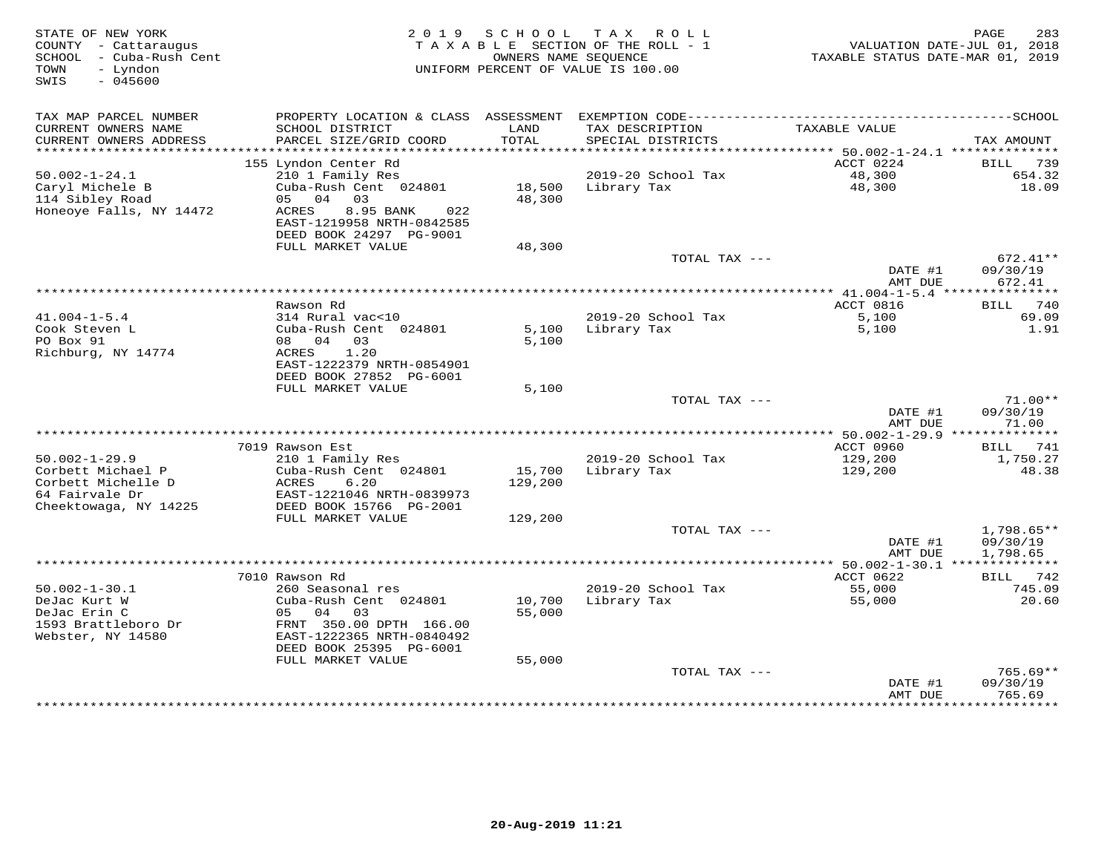| STATE OF NEW YORK<br>COUNTY - Cattaraugus<br>SCHOOL - Cuba-Rush Cent<br>- Lyndon<br>TOWN<br>$-045600$<br>SWIS | 2019                                                                              | S C H O O L       | T A X<br>R O L L<br>TAXABLE SECTION OF THE ROLL - 1<br>OWNERS NAME SEOUENCE<br>UNIFORM PERCENT OF VALUE IS 100.00 | TAXABLE STATUS DATE-MAR 01, 2019 | 283<br>PAGE<br>VALUATION DATE-JUL 01, 2018 |
|---------------------------------------------------------------------------------------------------------------|-----------------------------------------------------------------------------------|-------------------|-------------------------------------------------------------------------------------------------------------------|----------------------------------|--------------------------------------------|
| TAX MAP PARCEL NUMBER                                                                                         |                                                                                   |                   |                                                                                                                   |                                  |                                            |
| CURRENT OWNERS NAME<br>CURRENT OWNERS ADDRESS                                                                 | SCHOOL DISTRICT<br>PARCEL SIZE/GRID COORD                                         | LAND<br>TOTAL     | TAX DESCRIPTION<br>SPECIAL DISTRICTS                                                                              | TAXABLE VALUE                    | TAX AMOUNT                                 |
| ***********************                                                                                       |                                                                                   |                   |                                                                                                                   |                                  |                                            |
|                                                                                                               | 155 Lyndon Center Rd                                                              |                   |                                                                                                                   | ACCT 0224                        | 739<br>BILL                                |
| $50.002 - 1 - 24.1$<br>Caryl Michele B                                                                        | 210 1 Family Res<br>Cuba-Rush Cent 024801                                         |                   | 2019-20 School Tax<br>18,500 Library Tax                                                                          | 48,300<br>48,300                 | 654.32<br>18.09                            |
| 114 Sibley Road                                                                                               | 05 04 03                                                                          | 48,300            |                                                                                                                   |                                  |                                            |
| Honeoye Falls, NY 14472                                                                                       | ACRES<br>8.95 BANK<br>022<br>EAST-1219958 NRTH-0842585<br>DEED BOOK 24297 PG-9001 |                   |                                                                                                                   |                                  |                                            |
|                                                                                                               | FULL MARKET VALUE                                                                 | 48,300            |                                                                                                                   |                                  |                                            |
|                                                                                                               |                                                                                   |                   | TOTAL TAX ---                                                                                                     | DATE #1                          | $672.41**$<br>09/30/19                     |
|                                                                                                               |                                                                                   |                   |                                                                                                                   | AMT DUE                          | 672.41                                     |
|                                                                                                               |                                                                                   |                   |                                                                                                                   | ************* 41.004-1-5.4 ***   | ***********                                |
| $41.004 - 1 - 5.4$                                                                                            | Rawson Rd<br>314 Rural vac<10                                                     |                   | 2019-20 School Tax                                                                                                | ACCT 0816<br>5,100               | 740<br><b>BILL</b><br>69.09                |
| Cook Steven L                                                                                                 | Cuba-Rush Cent 024801                                                             | 5,100             | Library Tax                                                                                                       | 5,100                            | 1.91                                       |
| PO Box 91<br>Richburg, NY 14774                                                                               | 08 04<br>03<br>ACRES<br>1.20<br>EAST-1222379 NRTH-0854901                         | 5,100             |                                                                                                                   |                                  |                                            |
|                                                                                                               | DEED BOOK 27852 PG-6001                                                           |                   |                                                                                                                   |                                  |                                            |
|                                                                                                               | FULL MARKET VALUE                                                                 | 5,100             |                                                                                                                   |                                  |                                            |
|                                                                                                               |                                                                                   |                   | TOTAL TAX ---                                                                                                     | DATE #1<br>AMT DUE               | $71.00**$<br>09/30/19<br>71.00             |
|                                                                                                               |                                                                                   |                   |                                                                                                                   |                                  |                                            |
|                                                                                                               | 7019 Rawson Est                                                                   |                   |                                                                                                                   | ACCT 0960                        | BILL 741                                   |
| $50.002 - 1 - 29.9$                                                                                           | 210 1 Family Res                                                                  |                   | 2019-20 School Tax                                                                                                | 129,200                          | 1,750.27                                   |
| Corbett Michael P<br>Corbett Michelle D<br>64 Fairvale Dr                                                     | Cuba-Rush Cent 024801<br>ACRES<br>6.20<br>EAST-1221046 NRTH-0839973               | 15,700<br>129,200 | Library Tax                                                                                                       | 129,200                          | 48.38                                      |
| Cheektowaga, NY 14225                                                                                         | DEED BOOK 15766 PG-2001                                                           |                   |                                                                                                                   |                                  |                                            |
|                                                                                                               | FULL MARKET VALUE                                                                 | 129,200           |                                                                                                                   |                                  |                                            |
|                                                                                                               |                                                                                   |                   | TOTAL TAX ---                                                                                                     |                                  | 1,798.65**                                 |
|                                                                                                               |                                                                                   |                   |                                                                                                                   | DATE #1<br>AMT DUE               | 09/30/19<br>1,798.65                       |
|                                                                                                               |                                                                                   |                   |                                                                                                                   |                                  |                                            |
| $50.002 - 1 - 30.1$                                                                                           | 7010 Rawson Rd<br>260 Seasonal res                                                |                   | 2019-20 School Tax                                                                                                | ACCT 0622                        | BILL 742<br>745.09                         |
| DeJac Kurt W<br>DeJac Erin C                                                                                  | Cuba-Rush Cent 024801<br>04<br>03<br>05                                           | 10,700<br>55,000  | Library Tax                                                                                                       | 55,000<br>55,000                 | 20.60                                      |
| 1593 Brattleboro Dr<br>Webster, NY 14580                                                                      | FRNT 350.00 DPTH 166.00<br>EAST-1222365 NRTH-0840492<br>DEED BOOK 25395 PG-6001   |                   |                                                                                                                   |                                  |                                            |
|                                                                                                               | FULL MARKET VALUE                                                                 | 55,000            |                                                                                                                   |                                  |                                            |
|                                                                                                               |                                                                                   |                   | TOTAL TAX ---                                                                                                     | DATE #1<br>AMT DUE               | $765.69**$<br>09/30/19<br>765.69           |
|                                                                                                               |                                                                                   |                   |                                                                                                                   |                                  | ***********                                |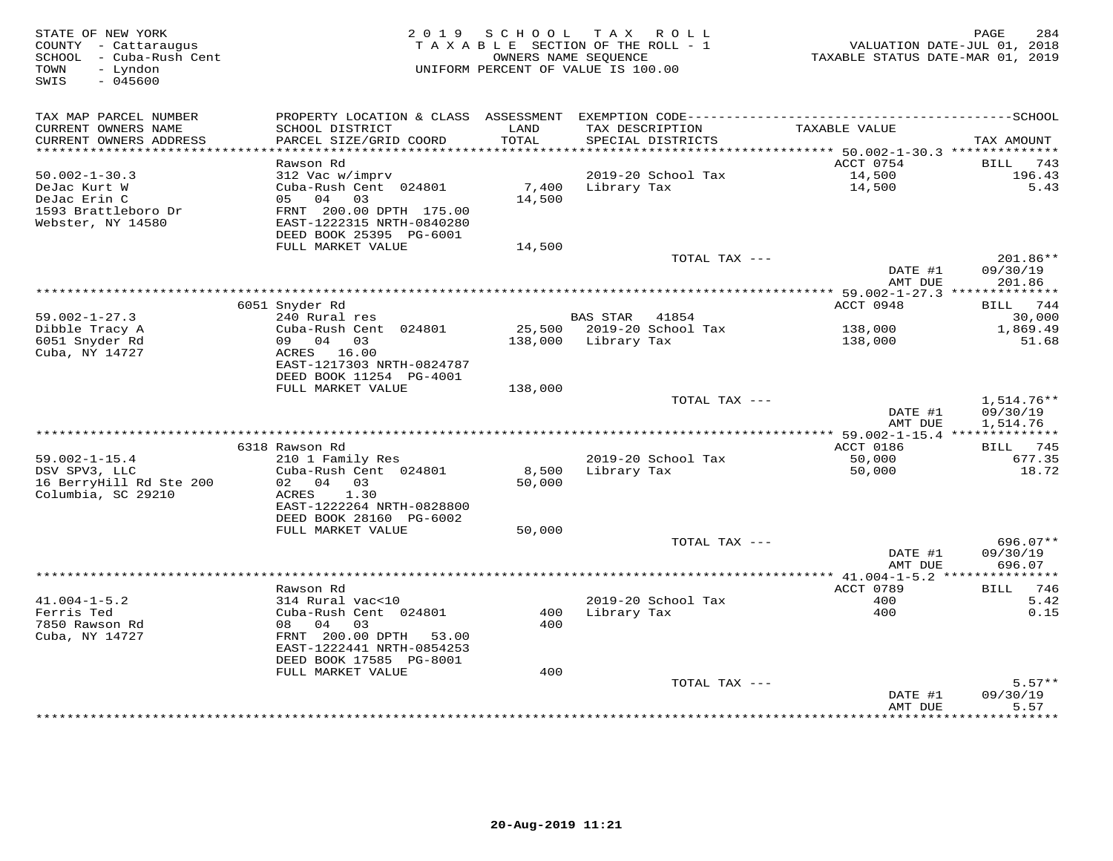| STATE OF NEW YORK<br>COUNTY - Cattaraugus<br>- Cuba-Rush Cent<br>SCHOOL<br>TOWN<br>- Lyndon<br>$-045600$<br>SWIS |                                                                 | 2019 SCHOOL<br>TAXABLE SECTION OF THE ROLL - 1<br>UNIFORM PERCENT OF VALUE IS 100.00 | OWNERS NAME SEQUENCE | TAX ROLL                  | VALUATION DATE-JUL 01, 2018<br>TAXABLE STATUS DATE-MAR 01, 2019 | 284<br>PAGE                    |
|------------------------------------------------------------------------------------------------------------------|-----------------------------------------------------------------|--------------------------------------------------------------------------------------|----------------------|---------------------------|-----------------------------------------------------------------|--------------------------------|
| TAX MAP PARCEL NUMBER                                                                                            |                                                                 |                                                                                      |                      |                           |                                                                 |                                |
| CURRENT OWNERS NAME<br>CURRENT OWNERS ADDRESS                                                                    | SCHOOL DISTRICT<br>PARCEL SIZE/GRID COORD                       | LAND<br>TOTAL                                                                        | TAX DESCRIPTION      | SPECIAL DISTRICTS         | TAXABLE VALUE                                                   | TAX AMOUNT                     |
|                                                                                                                  |                                                                 |                                                                                      |                      |                           |                                                                 |                                |
|                                                                                                                  | Rawson Rd                                                       |                                                                                      |                      |                           | ACCT 0754                                                       | BILL<br>743                    |
| $50.002 - 1 - 30.3$                                                                                              | 312 Vac w/imprv                                                 |                                                                                      |                      | 2019-20 School Tax        | 14,500                                                          | 196.43                         |
| DeJac Kurt W<br>DeJac Erin C<br>1593 Brattleboro Dr                                                              | Cuba-Rush Cent 024801<br>05 04<br>03<br>FRNT 200.00 DPTH 175.00 | 7,400<br>14,500                                                                      | Library Tax          |                           | 14,500                                                          | 5.43                           |
| Webster, NY 14580                                                                                                | EAST-1222315 NRTH-0840280<br>DEED BOOK 25395 PG-6001            |                                                                                      |                      |                           |                                                                 |                                |
|                                                                                                                  | FULL MARKET VALUE                                               | 14,500                                                                               |                      |                           |                                                                 |                                |
|                                                                                                                  |                                                                 |                                                                                      |                      | TOTAL TAX ---             | DATE #1<br>AMT DUE                                              | 201.86**<br>09/30/19<br>201.86 |
|                                                                                                                  |                                                                 |                                                                                      |                      |                           |                                                                 |                                |
|                                                                                                                  | 6051 Snyder Rd                                                  |                                                                                      |                      |                           | ACCT 0948                                                       | 744<br>BILL                    |
| $59.002 - 1 - 27.3$                                                                                              | 240 Rural res                                                   |                                                                                      | <b>BAS STAR</b>      | 41854                     |                                                                 | 30,000                         |
| Dibble Tracy A                                                                                                   | Cuba-Rush Cent 024801                                           | 25,500                                                                               |                      | 2019-20 School Tax        | 138,000                                                         | 1,869.49                       |
| 6051 Snyder Rd<br>Cuba, NY 14727                                                                                 | 09 04 03<br>ACRES 16.00<br>EAST-1217303 NRTH-0824787            | 138,000                                                                              | Library Tax          |                           | 138,000                                                         | 51.68                          |
|                                                                                                                  | DEED BOOK 11254 PG-4001                                         |                                                                                      |                      |                           |                                                                 |                                |
|                                                                                                                  | FULL MARKET VALUE                                               | 138,000                                                                              |                      | TOTAL TAX ---             |                                                                 | $1.514.76**$                   |
|                                                                                                                  |                                                                 |                                                                                      |                      |                           | DATE #1                                                         | 09/30/19                       |
|                                                                                                                  |                                                                 |                                                                                      |                      |                           | AMT DUE                                                         | 1,514.76                       |
|                                                                                                                  |                                                                 |                                                                                      |                      |                           | *** 59.002-1-15.4 **************                                |                                |
|                                                                                                                  | 6318 Rawson Rd                                                  |                                                                                      |                      |                           | ACCT 0186                                                       | BILL 745                       |
| $59.002 - 1 - 15.4$<br>DSV SPV3, LLC                                                                             | 210 1 Family Res<br>Cuba-Rush Cent 024801                       | 8,500                                                                                | Library Tax          | 2019-20 School Tax        | 50,000<br>50,000                                                | 677.35<br>18.72                |
| 16 BerryHill Rd Ste 200                                                                                          | 02 04 03                                                        | 50,000                                                                               |                      |                           |                                                                 |                                |
| Columbia, SC 29210                                                                                               | 1.30<br>ACRES                                                   |                                                                                      |                      |                           |                                                                 |                                |
|                                                                                                                  | EAST-1222264 NRTH-0828800                                       |                                                                                      |                      |                           |                                                                 |                                |
|                                                                                                                  | DEED BOOK 28160 PG-6002                                         |                                                                                      |                      |                           |                                                                 |                                |
|                                                                                                                  | FULL MARKET VALUE                                               | 50,000                                                                               |                      |                           |                                                                 |                                |
|                                                                                                                  |                                                                 |                                                                                      |                      | TOTAL TAX ---             | DATE #1                                                         | 696.07**<br>09/30/19           |
|                                                                                                                  |                                                                 |                                                                                      |                      |                           | AMT DUE                                                         | 696.07                         |
|                                                                                                                  |                                                                 |                                                                                      |                      |                           |                                                                 |                                |
|                                                                                                                  | Rawson Rd                                                       |                                                                                      |                      |                           | ACCT 0789                                                       | <b>BILL</b><br>746             |
| $41.004 - 1 - 5.2$                                                                                               | 314 Rural vac<10                                                |                                                                                      |                      | 2019-20 School Tax        | 400                                                             | 5.42                           |
| Ferris Ted<br>7850 Rawson Rd                                                                                     | Cuba-Rush Cent 024801<br>08<br>04                               | 400<br>400                                                                           | Library Tax          |                           | 400                                                             | 0.15                           |
| Cuba, NY 14727                                                                                                   | 03<br>FRNT 200.00 DPTH<br>53.00                                 |                                                                                      |                      |                           |                                                                 |                                |
|                                                                                                                  | EAST-1222441 NRTH-0854253                                       |                                                                                      |                      |                           |                                                                 |                                |
|                                                                                                                  | DEED BOOK 17585 PG-8001                                         |                                                                                      |                      |                           |                                                                 |                                |
|                                                                                                                  | FULL MARKET VALUE                                               | 400                                                                                  |                      |                           |                                                                 |                                |
|                                                                                                                  |                                                                 |                                                                                      |                      | TOTAL TAX ---             |                                                                 | $5.57**$                       |
|                                                                                                                  |                                                                 |                                                                                      |                      |                           | DATE #1<br>AMT DUE                                              | 09/30/19<br>5.57               |
|                                                                                                                  |                                                                 |                                                                                      |                      | ************************* | ***********                                                     | * * * * * * * *                |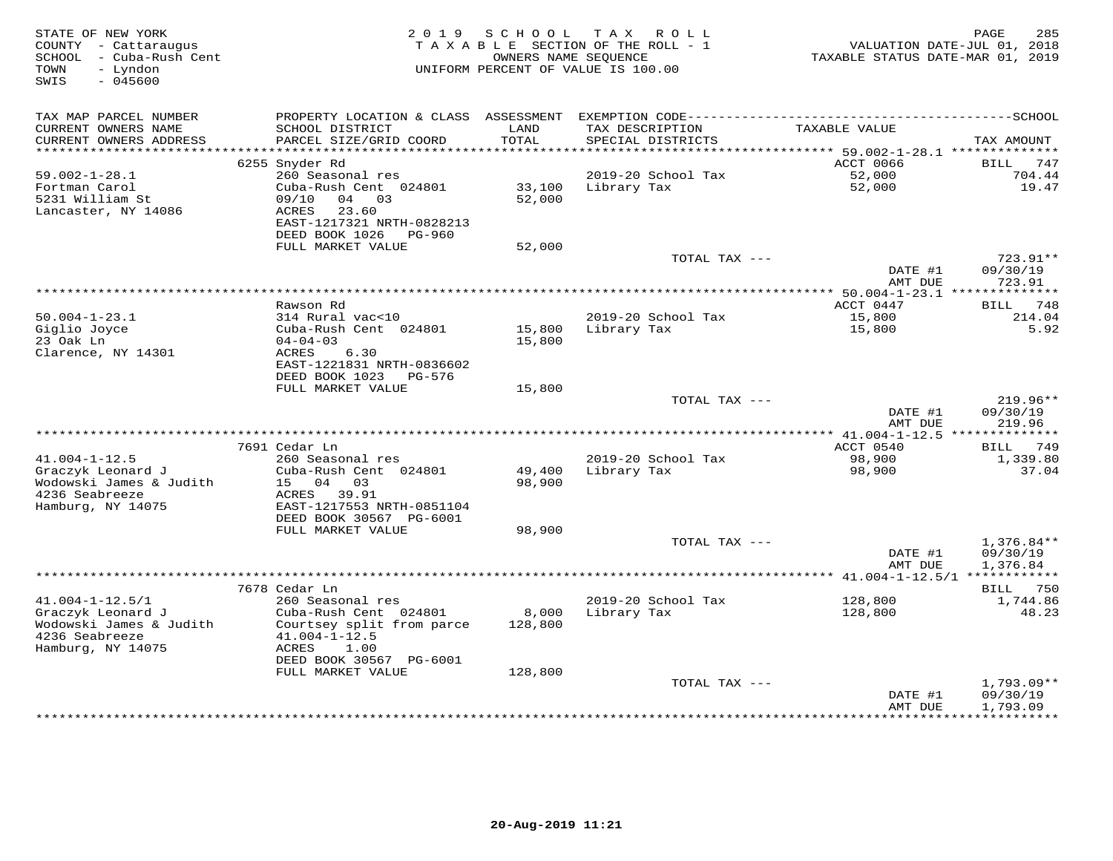| STATE OF NEW YORK<br>COUNTY - Cattaraugus<br>SCHOOL - Cuba-Rush Cent<br>- Lyndon<br>TOWN<br>SWIS<br>$-045600$ |                                                                                        | 2019 SCHOOL      | TAX ROLL<br>TAXABLE SECTION OF THE ROLL - 1<br>OWNERS NAME SEQUENCE<br>UNIFORM PERCENT OF VALUE IS 100.00 | VALUATION DATE-JUL 01, 2018<br>TAXABLE STATUS DATE-MAR 01, 2019 | 285<br>PAGE          |
|---------------------------------------------------------------------------------------------------------------|----------------------------------------------------------------------------------------|------------------|-----------------------------------------------------------------------------------------------------------|-----------------------------------------------------------------|----------------------|
| TAX MAP PARCEL NUMBER                                                                                         |                                                                                        |                  |                                                                                                           |                                                                 |                      |
| CURRENT OWNERS NAME<br>CURRENT OWNERS ADDRESS                                                                 | SCHOOL DISTRICT<br>PARCEL SIZE/GRID COORD                                              | LAND<br>TOTAL    | TAX DESCRIPTION<br>SPECIAL DISTRICTS                                                                      | TAXABLE VALUE                                                   | TAX AMOUNT           |
| ***********************                                                                                       | 6255 Snyder Rd                                                                         |                  |                                                                                                           | ACCT 0066                                                       | <b>BILL</b><br>747   |
| $59.002 - 1 - 28.1$                                                                                           | 260 Seasonal res                                                                       |                  | 2019-20 School Tax                                                                                        | 52,000                                                          | 704.44               |
| Fortman Carol<br>5231 William St<br>Lancaster, NY 14086                                                       | Cuba-Rush Cent 024801<br>09/10<br>04 03<br>ACRES<br>23.60<br>EAST-1217321 NRTH-0828213 | 33,100<br>52,000 | Library Tax                                                                                               | 52,000                                                          | 19.47                |
|                                                                                                               | DEED BOOK 1026 PG-960                                                                  |                  |                                                                                                           |                                                                 |                      |
|                                                                                                               | FULL MARKET VALUE                                                                      | 52,000           | TOTAL TAX ---                                                                                             |                                                                 | 723.91**             |
|                                                                                                               |                                                                                        |                  |                                                                                                           | DATE #1                                                         | 09/30/19             |
|                                                                                                               |                                                                                        |                  |                                                                                                           | AMT DUE<br>************ 50.004-1-23.1 **************            | 723.91               |
|                                                                                                               | Rawson Rd                                                                              |                  |                                                                                                           | ACCT 0447                                                       | BILL 748             |
| $50.004 - 1 - 23.1$                                                                                           | 314 Rural vac<10                                                                       |                  | 2019-20 School Tax                                                                                        | 15,800                                                          | 214.04               |
| Giglio Joyce                                                                                                  | Cuba-Rush Cent 024801                                                                  |                  | 15,800 Library Tax                                                                                        | 15,800                                                          | 5.92                 |
| 23 Oak Ln<br>Clarence, NY 14301                                                                               | $04 - 04 - 03$<br>ACRES<br>6.30                                                        | 15,800           |                                                                                                           |                                                                 |                      |
|                                                                                                               | EAST-1221831 NRTH-0836602                                                              |                  |                                                                                                           |                                                                 |                      |
|                                                                                                               | DEED BOOK 1023 PG-576                                                                  |                  |                                                                                                           |                                                                 |                      |
|                                                                                                               | FULL MARKET VALUE                                                                      | 15,800           |                                                                                                           |                                                                 |                      |
|                                                                                                               |                                                                                        |                  | TOTAL TAX ---                                                                                             | DATE #1                                                         | 219.96**<br>09/30/19 |
|                                                                                                               |                                                                                        |                  |                                                                                                           | AMT DUE                                                         | 219.96               |
|                                                                                                               |                                                                                        |                  |                                                                                                           |                                                                 |                      |
| $41.004 - 1 - 12.5$                                                                                           | 7691 Cedar Ln<br>260 Seasonal res                                                      |                  | 2019-20 School Tax                                                                                        | ACCT 0540<br>98,900                                             | BILL 749<br>1,339.80 |
| Graczyk Leonard J                                                                                             | Cuba-Rush Cent 024801                                                                  | 49,400           | Library Tax                                                                                               | 98,900                                                          | 37.04                |
| Wodowski James & Judith                                                                                       | 15 04 03                                                                               | 98,900           |                                                                                                           |                                                                 |                      |
| 4236 Seabreeze                                                                                                | ACRES 39.91                                                                            |                  |                                                                                                           |                                                                 |                      |
| Hamburg, NY 14075                                                                                             | EAST-1217553 NRTH-0851104                                                              |                  |                                                                                                           |                                                                 |                      |
|                                                                                                               | DEED BOOK 30567 PG-6001                                                                |                  |                                                                                                           |                                                                 |                      |
|                                                                                                               | FULL MARKET VALUE                                                                      | 98,900           | TOTAL TAX ---                                                                                             |                                                                 | $1,376.84**$         |
|                                                                                                               |                                                                                        |                  |                                                                                                           | DATE #1                                                         | 09/30/19             |
|                                                                                                               |                                                                                        |                  |                                                                                                           | AMT DUE                                                         | 1,376.84             |
|                                                                                                               |                                                                                        |                  |                                                                                                           |                                                                 |                      |
|                                                                                                               | 7678 Cedar Ln                                                                          |                  |                                                                                                           |                                                                 | <b>BILL</b> 750      |
| $41.004 - 1 - 12.5/1$                                                                                         | 260 Seasonal res                                                                       |                  | 2019-20 School Tax                                                                                        | 128,800                                                         | 1,744.86             |
| Graczyk Leonard J<br>Wodowski James & Judith                                                                  | Cuba-Rush Cent 024801<br>Courtsey split from parce                                     | 8,000<br>128,800 | Library Tax                                                                                               | 128,800                                                         | 48.23                |
| 4236 Seabreeze                                                                                                | $41.004 - 1 - 12.5$                                                                    |                  |                                                                                                           |                                                                 |                      |
| Hamburg, NY 14075                                                                                             | ACRES<br>1.00<br>DEED BOOK 30567 PG-6001                                               |                  |                                                                                                           |                                                                 |                      |
|                                                                                                               | FULL MARKET VALUE                                                                      | 128,800          |                                                                                                           |                                                                 |                      |
|                                                                                                               |                                                                                        |                  | TOTAL TAX ---                                                                                             |                                                                 | $1,793.09**$         |
|                                                                                                               |                                                                                        |                  |                                                                                                           | DATE #1<br>AMT DUE                                              | 09/30/19<br>1,793.09 |
|                                                                                                               |                                                                                        |                  |                                                                                                           |                                                                 |                      |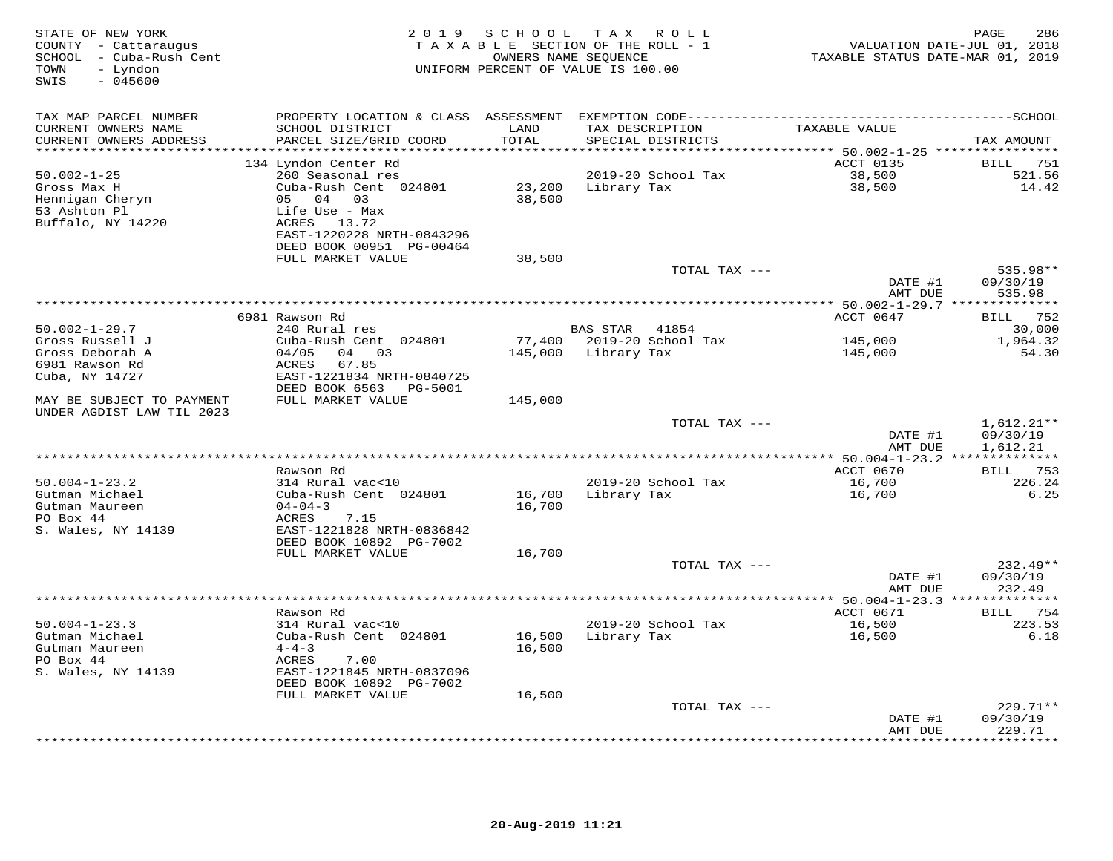| STATE OF NEW YORK<br>COUNTY - Cattaraugus<br>SCHOOL - Cuba-Rush Cent<br>- Lyndon<br>TOWN<br>SWIS<br>$-045600$ | 2 0 1 9                                                                                                                                     | SCHOOL                    | T A X<br>R O L L<br>TAXABLE SECTION OF THE ROLL - 1<br>OWNERS NAME SEQUENCE<br>UNIFORM PERCENT OF VALUE IS 100.00 | TAXABLE STATUS DATE-MAR 01, 2019            | 286<br>PAGE<br>VALUATION DATE-JUL 01, 2018 |
|---------------------------------------------------------------------------------------------------------------|---------------------------------------------------------------------------------------------------------------------------------------------|---------------------------|-------------------------------------------------------------------------------------------------------------------|---------------------------------------------|--------------------------------------------|
| TAX MAP PARCEL NUMBER                                                                                         | PROPERTY LOCATION & CLASS ASSESSMENT EXEMPTION CODE-----------------------------------SCHOOL                                                |                           |                                                                                                                   |                                             |                                            |
| CURRENT OWNERS NAME<br>CURRENT OWNERS ADDRESS<br>*********************                                        | SCHOOL DISTRICT<br>PARCEL SIZE/GRID COORD                                                                                                   | LAND<br>TOTAL<br>******** | TAX DESCRIPTION<br>SPECIAL DISTRICTS                                                                              | TAXABLE VALUE                               | TAX AMOUNT                                 |
|                                                                                                               | **********************                                                                                                                      |                           |                                                                                                                   | ************* 50.002-1-25 ***************** |                                            |
| $50.002 - 1 - 25$<br>Gross Max H<br>Hennigan Cheryn<br>53 Ashton Pl<br>Buffalo, NY 14220                      | 134 Lyndon Center Rd<br>260 Seasonal res<br>Cuba-Rush Cent 024801<br>05 04 03<br>Life Use - Max<br>ACRES 13.72<br>EAST-1220228 NRTH-0843296 | 23,200<br>38,500          | 2019-20 School Tax<br>Library Tax                                                                                 | ACCT 0135<br>38,500<br>38,500               | BILL 751<br>521.56<br>14.42                |
|                                                                                                               | DEED BOOK 00951 PG-00464                                                                                                                    |                           |                                                                                                                   |                                             |                                            |
|                                                                                                               | FULL MARKET VALUE                                                                                                                           | 38,500                    |                                                                                                                   |                                             |                                            |
|                                                                                                               |                                                                                                                                             |                           | TOTAL TAX ---                                                                                                     | DATE #1<br>AMT DUE                          | 535.98**<br>09/30/19<br>535.98             |
|                                                                                                               |                                                                                                                                             |                           |                                                                                                                   | ********** 50.002-1-29.7 **************     |                                            |
|                                                                                                               | 6981 Rawson Rd                                                                                                                              |                           |                                                                                                                   | ACCT 0647                                   | BILL 752                                   |
| $50.002 - 1 - 29.7$<br>Gross Russell J                                                                        | 240 Rural res<br>Cuba-Rush Cent 024801                                                                                                      |                           | <b>BAS STAR</b><br>41854<br>77,400 2019-20 School Tax                                                             |                                             | 30,000<br>1,964.32                         |
| Gross Deborah A                                                                                               | 04/05<br>04 03                                                                                                                              | 145,000                   | Library Tax                                                                                                       | 145,000<br>145,000                          | 54.30                                      |
| 6981 Rawson Rd                                                                                                | 67.85<br>ACRES                                                                                                                              |                           |                                                                                                                   |                                             |                                            |
| Cuba, NY 14727                                                                                                | EAST-1221834 NRTH-0840725<br>DEED BOOK 6563<br>PG-5001                                                                                      |                           |                                                                                                                   |                                             |                                            |
| MAY BE SUBJECT TO PAYMENT<br>UNDER AGDIST LAW TIL 2023                                                        | FULL MARKET VALUE                                                                                                                           | 145,000                   |                                                                                                                   |                                             |                                            |
|                                                                                                               |                                                                                                                                             |                           | TOTAL TAX ---                                                                                                     |                                             | $1,612.21**$                               |
|                                                                                                               |                                                                                                                                             |                           |                                                                                                                   | DATE #1<br>AMT DUE                          | 09/30/19<br>1,612.21                       |
|                                                                                                               |                                                                                                                                             |                           |                                                                                                                   | ******** 50.004-1-23.2 **************       |                                            |
| $50.004 - 1 - 23.2$                                                                                           | Rawson Rd<br>314 Rural vac<10                                                                                                               |                           | 2019-20 School Tax                                                                                                | ACCT 0670<br>16,700                         | BILL 753<br>226.24                         |
| Gutman Michael                                                                                                | Cuba-Rush Cent 024801                                                                                                                       | 16,700                    | Library Tax                                                                                                       | 16,700                                      | 6.25                                       |
| Gutman Maureen<br>PO Box 44                                                                                   | $04 - 04 - 3$<br>ACRES<br>7.15                                                                                                              | 16,700                    |                                                                                                                   |                                             |                                            |
| S. Wales, NY 14139                                                                                            | EAST-1221828 NRTH-0836842<br>DEED BOOK 10892 PG-7002                                                                                        |                           |                                                                                                                   |                                             |                                            |
|                                                                                                               | FULL MARKET VALUE                                                                                                                           | 16,700                    |                                                                                                                   |                                             |                                            |
|                                                                                                               |                                                                                                                                             |                           | TOTAL TAX ---                                                                                                     | DATE #1<br>AMT DUE                          | $232.49**$<br>09/30/19<br>232.49           |
|                                                                                                               |                                                                                                                                             |                           |                                                                                                                   | **** 50.004-1-23.3 ***************          |                                            |
|                                                                                                               | Rawson Rd                                                                                                                                   |                           |                                                                                                                   | ACCT 0671                                   | 754<br>BILL                                |
| $50.004 - 1 - 23.3$<br>Gutman Michael<br>Gutman Maureen<br>PO Box 44<br>S. Wales, NY 14139                    | 314 Rural vac<10<br>Cuba-Rush Cent 024801<br>$4 - 4 - 3$<br>ACRES<br>7.00<br>EAST-1221845 NRTH-0837096<br>DEED BOOK 10892 PG-7002           | 16,500<br>16,500          | 2019-20 School Tax<br>Library Tax                                                                                 | 16,500<br>16,500                            | 223.53<br>6.18                             |
|                                                                                                               | FULL MARKET VALUE                                                                                                                           | 16,500                    |                                                                                                                   |                                             |                                            |
|                                                                                                               |                                                                                                                                             |                           | TOTAL TAX ---                                                                                                     |                                             | $229.71**$                                 |
|                                                                                                               |                                                                                                                                             |                           |                                                                                                                   | DATE #1<br>AMT DUE                          | 09/30/19<br>229.71                         |
|                                                                                                               |                                                                                                                                             |                           |                                                                                                                   |                                             | .                                          |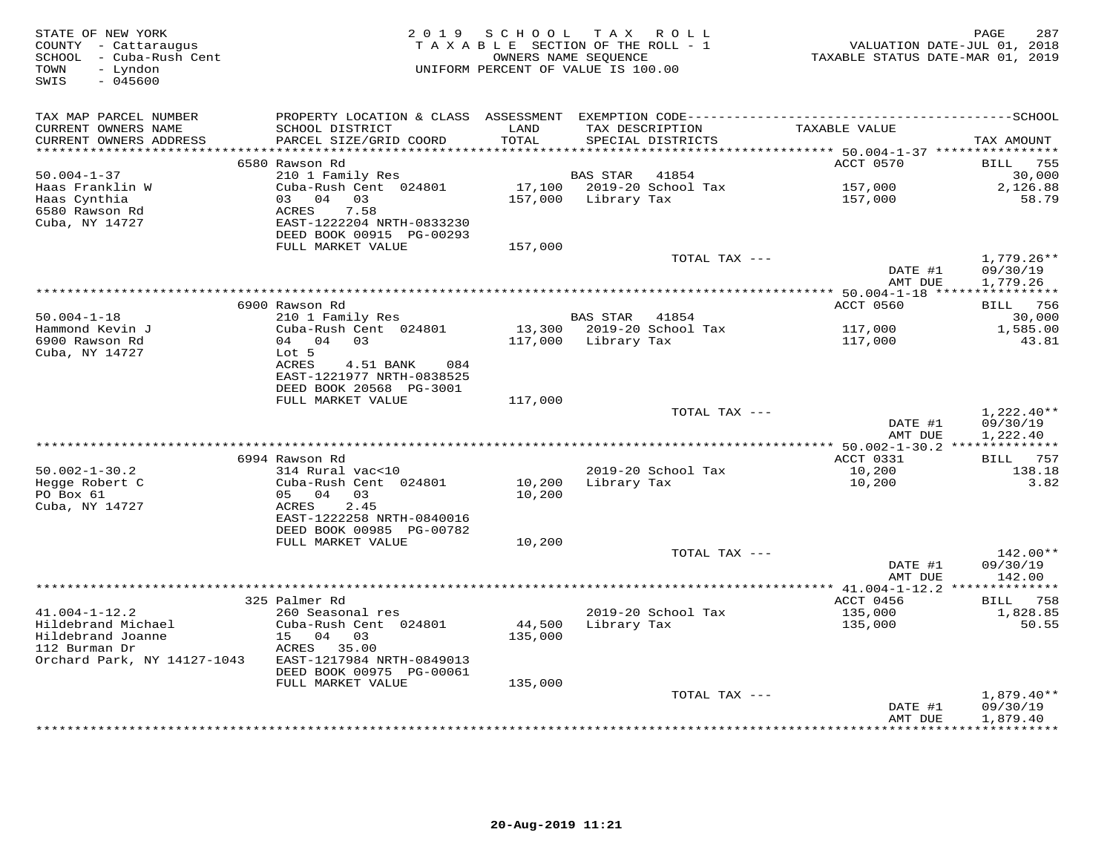| STATE OF NEW YORK<br>COUNTY - Cattaraugus<br>SCHOOL - Cuba-Rush Cent<br>- Lyndon<br>TOWN<br>SWIS<br>$-045600$ | 2019 SCHOOL TAX ROLL<br>TAXABLE SECTION OF THE ROLL - 1<br>UNIFORM PERCENT OF VALUE IS 100.00 | PAGE<br>287<br>VALUATION DATE-JUL 01, 2018<br>TAXABLE STATUS DATE-MAR 01, 2019 |                     |                                      |                                     |                      |
|---------------------------------------------------------------------------------------------------------------|-----------------------------------------------------------------------------------------------|--------------------------------------------------------------------------------|---------------------|--------------------------------------|-------------------------------------|----------------------|
| TAX MAP PARCEL NUMBER                                                                                         | PROPERTY LOCATION & CLASS ASSESSMENT EXEMPTION CODE-----------------------------------SCHOOL  |                                                                                |                     |                                      |                                     |                      |
| CURRENT OWNERS NAME<br>CURRENT OWNERS ADDRESS<br>**********************                                       | SCHOOL DISTRICT<br>PARCEL SIZE/GRID COORD                                                     | LAND<br>TOTAL                                                                  |                     | TAX DESCRIPTION<br>SPECIAL DISTRICTS | TAXABLE VALUE                       | TAX AMOUNT           |
|                                                                                                               | 6580 Rawson Rd                                                                                |                                                                                |                     |                                      | ACCT 0570                           | BILL 755             |
| $50.004 - 1 - 37$                                                                                             | 210 1 Family Res                                                                              |                                                                                | BAS STAR            | 41854                                |                                     | 30,000               |
| Haas Franklin W                                                                                               | Cuba-Rush Cent 024801                                                                         |                                                                                |                     | 17,100 2019-20 School Tax            | 157,000                             | 2,126.88             |
| Haas Cynthia                                                                                                  | 03 04 03                                                                                      | 157,000                                                                        | Library Tax         |                                      | 157,000                             | 58.79                |
| 6580 Rawson Rd                                                                                                | 7.58<br>ACRES                                                                                 |                                                                                |                     |                                      |                                     |                      |
| Cuba, NY 14727                                                                                                | EAST-1222204 NRTH-0833230                                                                     |                                                                                |                     |                                      |                                     |                      |
|                                                                                                               | DEED BOOK 00915 PG-00293                                                                      |                                                                                |                     |                                      |                                     |                      |
|                                                                                                               | FULL MARKET VALUE                                                                             | 157,000                                                                        |                     |                                      |                                     |                      |
|                                                                                                               |                                                                                               |                                                                                |                     | TOTAL TAX ---                        |                                     | $1,779.26**$         |
|                                                                                                               |                                                                                               |                                                                                |                     |                                      | DATE #1                             | 09/30/19             |
|                                                                                                               |                                                                                               |                                                                                |                     |                                      | AMT DUE                             | 1,779.26             |
|                                                                                                               | 6900 Rawson Rd                                                                                |                                                                                |                     |                                      | ACCT 0560                           | BILL 756             |
| $50.004 - 1 - 18$                                                                                             | 210 1 Family Res                                                                              |                                                                                | BAS STAR 41854      |                                      |                                     | 30,000               |
| Hammond Kevin J                                                                                               | Cuba-Rush Cent 024801                                                                         |                                                                                |                     | 13,300 2019-20 School Tax            | 117,000                             | 1,585.00             |
| 6900 Rawson Rd                                                                                                | 04 04 03                                                                                      |                                                                                | 117,000 Library Tax |                                      | 117,000                             | 43.81                |
| Cuba, NY 14727                                                                                                | Lot 5                                                                                         |                                                                                |                     |                                      |                                     |                      |
|                                                                                                               | ACRES<br>4.51 BANK<br>084                                                                     |                                                                                |                     |                                      |                                     |                      |
|                                                                                                               | EAST-1221977 NRTH-0838525                                                                     |                                                                                |                     |                                      |                                     |                      |
|                                                                                                               | DEED BOOK 20568 PG-3001                                                                       |                                                                                |                     |                                      |                                     |                      |
|                                                                                                               | FULL MARKET VALUE                                                                             | 117,000                                                                        |                     |                                      |                                     |                      |
|                                                                                                               |                                                                                               |                                                                                |                     | TOTAL TAX ---                        |                                     | $1,222.40**$         |
|                                                                                                               |                                                                                               |                                                                                |                     |                                      | DATE #1<br>AMT DUE                  | 09/30/19<br>1,222.40 |
|                                                                                                               |                                                                                               |                                                                                |                     |                                      | ****** 50.002-1-30.2 ************** |                      |
|                                                                                                               | 6994 Rawson Rd                                                                                |                                                                                |                     |                                      | ACCT 0331                           | BILL 757             |
| $50.002 - 1 - 30.2$                                                                                           | 314 Rural vac<10                                                                              |                                                                                |                     | 2019-20 School Tax                   | 10,200                              | 138.18               |
| Hegge Robert C                                                                                                | Cuba-Rush Cent 024801                                                                         | 10,200                                                                         | Library Tax         |                                      | 10,200                              | 3.82                 |
| PO Box 61                                                                                                     | 05 04 03                                                                                      | 10,200                                                                         |                     |                                      |                                     |                      |
| Cuba, NY 14727                                                                                                | 2.45<br>ACRES                                                                                 |                                                                                |                     |                                      |                                     |                      |
|                                                                                                               | EAST-1222258 NRTH-0840016                                                                     |                                                                                |                     |                                      |                                     |                      |
|                                                                                                               | DEED BOOK 00985 PG-00782                                                                      |                                                                                |                     |                                      |                                     |                      |
|                                                                                                               | FULL MARKET VALUE                                                                             | 10,200                                                                         |                     | TOTAL TAX ---                        |                                     | 142.00**             |
|                                                                                                               |                                                                                               |                                                                                |                     |                                      | DATE #1                             | 09/30/19             |
|                                                                                                               |                                                                                               |                                                                                |                     |                                      | AMT DUE                             | 142.00               |
|                                                                                                               |                                                                                               |                                                                                |                     |                                      | ** $41.004 - 1 - 12.2$ **           | ***********          |
|                                                                                                               | 325 Palmer Rd                                                                                 |                                                                                |                     |                                      | ACCT 0456                           | <b>BILL</b> 758      |
| $41.004 - 1 - 12.2$                                                                                           | 260 Seasonal res                                                                              |                                                                                |                     | 2019-20 School Tax                   | 135,000                             | 1,828.85             |
| Hildebrand Michael                                                                                            | Cuba-Rush Cent 024801                                                                         | 44,500                                                                         | Library Tax         |                                      | 135,000                             | 50.55                |
| Hildebrand Joanne                                                                                             | 15 04 03                                                                                      | 135,000                                                                        |                     |                                      |                                     |                      |
| 112 Burman Dr                                                                                                 | ACRES 35.00                                                                                   |                                                                                |                     |                                      |                                     |                      |
| Orchard Park, NY 14127-1043                                                                                   | EAST-1217984 NRTH-0849013                                                                     |                                                                                |                     |                                      |                                     |                      |
|                                                                                                               | DEED BOOK 00975 PG-00061                                                                      |                                                                                |                     |                                      |                                     |                      |
|                                                                                                               | FULL MARKET VALUE                                                                             | 135,000                                                                        |                     | TOTAL TAX ---                        |                                     | $1,879.40**$         |
|                                                                                                               |                                                                                               |                                                                                |                     |                                      | DATE #1                             | 09/30/19             |
|                                                                                                               |                                                                                               |                                                                                |                     |                                      | AMT DUE                             | 1,879.40             |
|                                                                                                               |                                                                                               |                                                                                |                     |                                      |                                     | ***********          |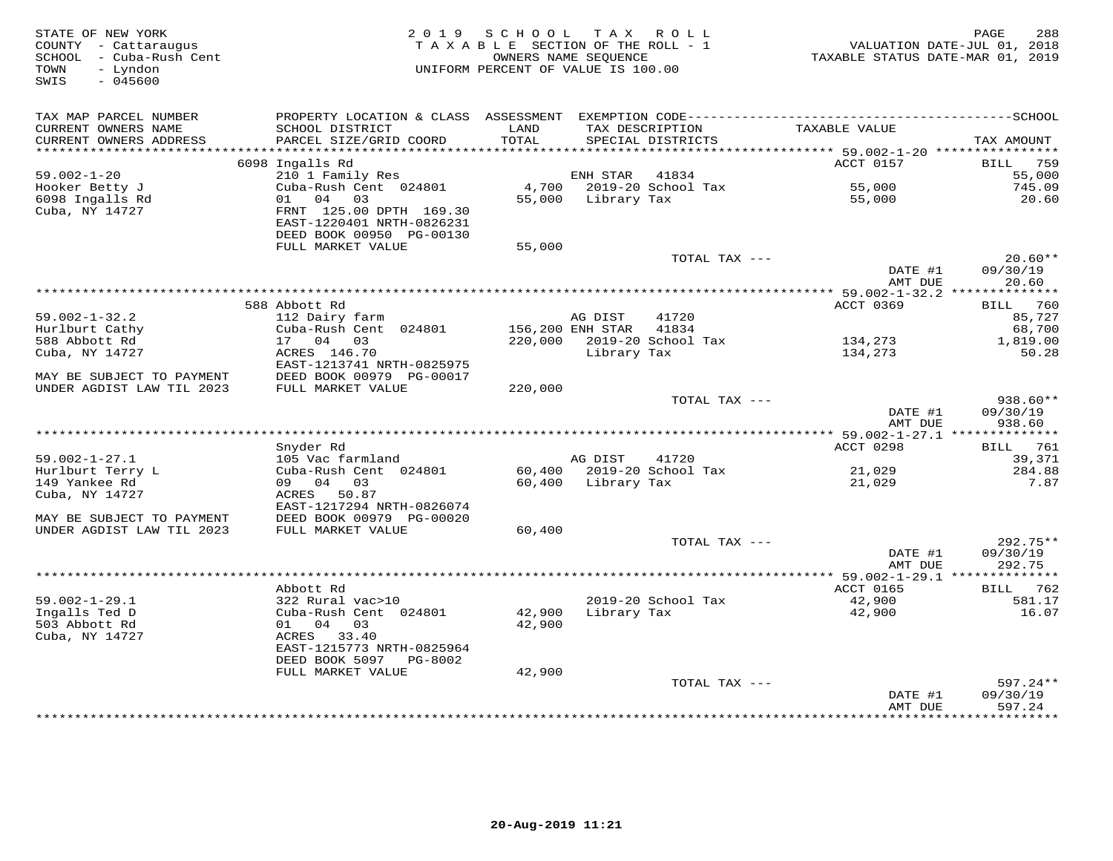| STATE OF NEW YORK<br>COUNTY - Cattaraugus<br>SCHOOL - Cuba-Rush Cent<br>TOWN<br>- Lyndon<br>$-045600$<br>SWIS | 2019 SCHOOL<br>TAXABLE SECTION OF THE ROLL - 1<br>UNIFORM PERCENT OF VALUE IS 100.00 | PAGE<br>288<br>VALUATION DATE-JUL 01, 2018<br>TAXABLE STATUS DATE-MAR 01, 2019 |                    |                                      |                                            |                                      |
|---------------------------------------------------------------------------------------------------------------|--------------------------------------------------------------------------------------|--------------------------------------------------------------------------------|--------------------|--------------------------------------|--------------------------------------------|--------------------------------------|
| TAX MAP PARCEL NUMBER                                                                                         |                                                                                      |                                                                                |                    |                                      |                                            |                                      |
| CURRENT OWNERS NAME<br>CURRENT OWNERS ADDRESS                                                                 | SCHOOL DISTRICT<br>PARCEL SIZE/GRID COORD                                            | LAND<br>TOTAL                                                                  |                    | TAX DESCRIPTION<br>SPECIAL DISTRICTS | TAXABLE VALUE                              | TAX AMOUNT                           |
| ***********************                                                                                       |                                                                                      |                                                                                |                    |                                      |                                            |                                      |
|                                                                                                               | 6098 Ingalls Rd                                                                      |                                                                                |                    |                                      | ACCT 0157                                  | 759<br>BILL                          |
| $59.002 - 1 - 20$                                                                                             | 210 1 Family Res                                                                     |                                                                                | ENH STAR           | 41834                                |                                            | 55,000                               |
| Hooker Betty J<br>6098 Ingalls Rd                                                                             | Cuba-Rush Cent 024801<br>01 04 03                                                    | 4,700<br>55,000                                                                | Library Tax        | 2019-20 School Tax                   | 55,000<br>55,000                           | 745.09<br>20.60                      |
| Cuba, NY 14727                                                                                                | FRNT 125.00 DPTH 169.30                                                              |                                                                                |                    |                                      |                                            |                                      |
|                                                                                                               | EAST-1220401 NRTH-0826231                                                            |                                                                                |                    |                                      |                                            |                                      |
|                                                                                                               | DEED BOOK 00950 PG-00130                                                             |                                                                                |                    |                                      |                                            |                                      |
|                                                                                                               | FULL MARKET VALUE                                                                    | 55,000                                                                         |                    |                                      |                                            |                                      |
|                                                                                                               |                                                                                      |                                                                                |                    | TOTAL TAX ---                        |                                            | $20.60**$                            |
|                                                                                                               |                                                                                      |                                                                                |                    |                                      | DATE #1                                    | 09/30/19                             |
|                                                                                                               |                                                                                      |                                                                                |                    |                                      | AMT DUE                                    | 20.60                                |
|                                                                                                               |                                                                                      |                                                                                |                    |                                      | ************* 59.002-1-32.2 ************** |                                      |
| $59.002 - 1 - 32.2$                                                                                           | 588 Abbott Rd<br>112 Dairy farm                                                      |                                                                                | AG DIST            | 41720                                | ACCT 0369                                  | <b>BILL</b> 760<br>85,727            |
| Hurlburt Cathy                                                                                                | Cuba-Rush Cent 024801                                                                | 156,200 ENH STAR                                                               |                    | 41834                                |                                            | 68,700                               |
| 588 Abbott Rd                                                                                                 | 17 04 03                                                                             |                                                                                |                    | 220,000 2019-20 School Tax           | 134,273                                    | 1,819.00                             |
| Cuba, NY 14727                                                                                                | ACRES 146.70                                                                         |                                                                                | Library Tax        |                                      | 134,273                                    | 50.28                                |
|                                                                                                               | EAST-1213741 NRTH-0825975                                                            |                                                                                |                    |                                      |                                            |                                      |
| MAY BE SUBJECT TO PAYMENT                                                                                     | DEED BOOK 00979 PG-00017                                                             |                                                                                |                    |                                      |                                            |                                      |
| UNDER AGDIST LAW TIL 2023                                                                                     | FULL MARKET VALUE                                                                    | 220,000                                                                        |                    |                                      |                                            |                                      |
|                                                                                                               |                                                                                      |                                                                                |                    | TOTAL TAX ---                        |                                            | 938.60**                             |
|                                                                                                               |                                                                                      |                                                                                |                    |                                      | DATE #1                                    | 09/30/19                             |
|                                                                                                               |                                                                                      |                                                                                |                    |                                      | AMT DUE                                    | 938.60                               |
|                                                                                                               |                                                                                      |                                                                                |                    |                                      |                                            | <b>BILL</b> 761                      |
| $59.002 - 1 - 27.1$                                                                                           | Snyder Rd<br>105 Vac farmland                                                        |                                                                                | AG DIST            | 41720                                | ACCT 0298                                  | 39,371                               |
| Hurlburt Terry L                                                                                              | Cuba-Rush Cent 024801                                                                |                                                                                |                    | 60,400 2019-20 School Tax            | 21,029                                     | 284.88                               |
| 149 Yankee Rd                                                                                                 | 09 04 03                                                                             |                                                                                | 60,400 Library Tax |                                      | 21,029                                     | 7.87                                 |
| Cuba, NY 14727                                                                                                | ACRES 50.87                                                                          |                                                                                |                    |                                      |                                            |                                      |
|                                                                                                               | EAST-1217294 NRTH-0826074                                                            |                                                                                |                    |                                      |                                            |                                      |
| MAY BE SUBJECT TO PAYMENT                                                                                     | DEED BOOK 00979 PG-00020                                                             |                                                                                |                    |                                      |                                            |                                      |
| UNDER AGDIST LAW TIL 2023                                                                                     | FULL MARKET VALUE                                                                    | 60,400                                                                         |                    |                                      |                                            |                                      |
|                                                                                                               |                                                                                      |                                                                                |                    | TOTAL TAX ---                        |                                            | 292.75**                             |
|                                                                                                               |                                                                                      |                                                                                |                    |                                      | DATE #1                                    | 09/30/19                             |
|                                                                                                               |                                                                                      |                                                                                |                    |                                      | AMT DUE                                    | 292.75                               |
|                                                                                                               | Abbott Rd                                                                            |                                                                                |                    |                                      | ACCT 0165                                  | BILL 762                             |
| $59.002 - 1 - 29.1$                                                                                           | 322 Rural vac>10                                                                     |                                                                                |                    | 2019-20 School Tax                   | 42,900                                     | 581.17                               |
| Ingalls Ted D                                                                                                 | Cuba-Rush Cent 024801                                                                | 42,900                                                                         | Library Tax        |                                      | 42,900                                     | 16.07                                |
| 503 Abbott Rd                                                                                                 | 01 04 03                                                                             | 42,900                                                                         |                    |                                      |                                            |                                      |
| Cuba, NY 14727                                                                                                | ACRES 33.40                                                                          |                                                                                |                    |                                      |                                            |                                      |
|                                                                                                               | EAST-1215773 NRTH-0825964                                                            |                                                                                |                    |                                      |                                            |                                      |
|                                                                                                               | DEED BOOK 5097 PG-8002                                                               |                                                                                |                    |                                      |                                            |                                      |
|                                                                                                               | FULL MARKET VALUE                                                                    | 42,900                                                                         |                    |                                      |                                            |                                      |
|                                                                                                               |                                                                                      |                                                                                |                    | TOTAL TAX ---                        |                                            | $597.24**$                           |
|                                                                                                               |                                                                                      |                                                                                |                    |                                      | DATE #1                                    | 09/30/19                             |
|                                                                                                               |                                                                                      |                                                                                |                    |                                      | AMT DUE                                    | 597.24<br><b>. + + + + + + + + +</b> |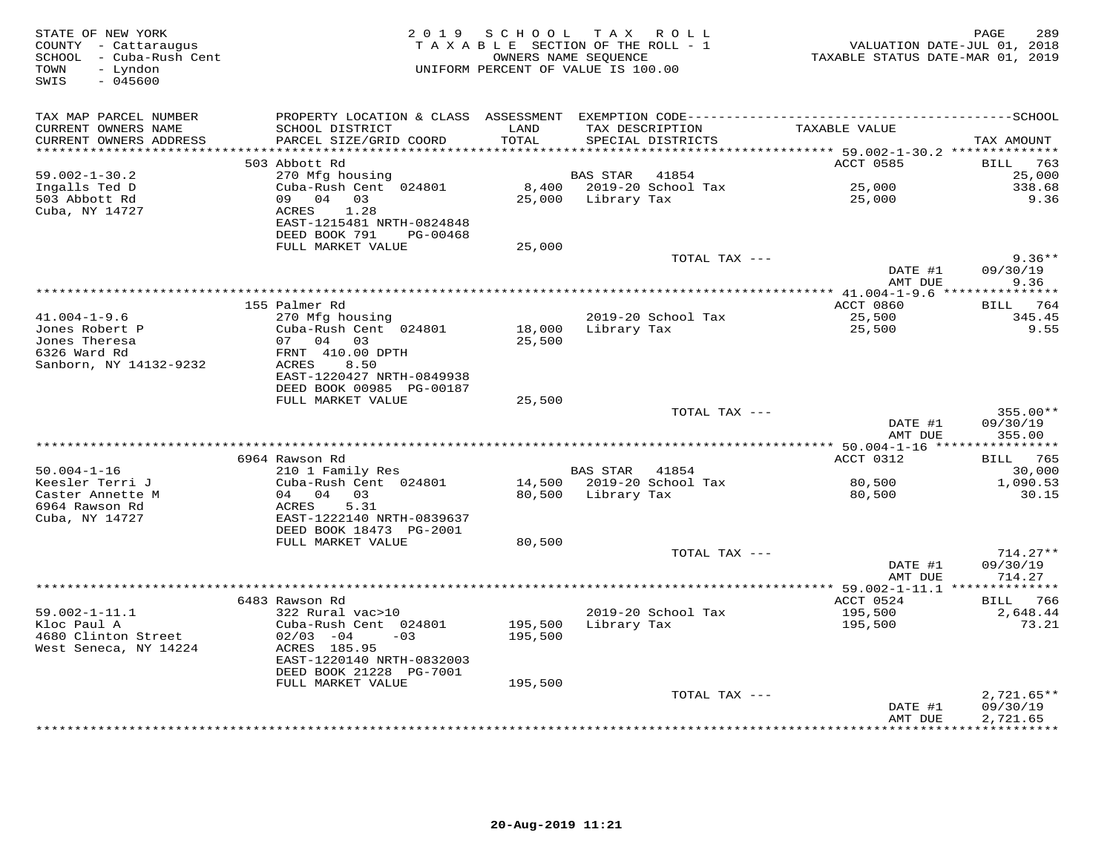| STATE OF NEW YORK<br>COUNTY - Cattaraugus<br>SCHOOL - Cuba-Rush Cent<br>- Lyndon<br>TOWN<br>SWIS<br>$-045600$ |                                                       |               | 2019 SCHOOL TAX ROLL<br>TAXABLE SECTION OF THE ROLL - 1<br>OWNERS NAME SEQUENCE<br>UNIFORM PERCENT OF VALUE IS 100.00 | TAXABLE STATUS DATE-MAR 01, 2019                | PAGE<br>289<br>VALUATION DATE-JUL 01, 2018 |
|---------------------------------------------------------------------------------------------------------------|-------------------------------------------------------|---------------|-----------------------------------------------------------------------------------------------------------------------|-------------------------------------------------|--------------------------------------------|
| TAX MAP PARCEL NUMBER                                                                                         |                                                       |               |                                                                                                                       |                                                 |                                            |
| CURRENT OWNERS NAME<br>CURRENT OWNERS ADDRESS<br>***********************                                      | SCHOOL DISTRICT<br>PARCEL SIZE/GRID COORD             | LAND<br>TOTAL | TAX DESCRIPTION<br>SPECIAL DISTRICTS                                                                                  | TAXABLE VALUE                                   | TAX AMOUNT                                 |
|                                                                                                               | 503 Abbott Rd                                         |               |                                                                                                                       | ACCT 0585                                       | <b>BILL</b> 763                            |
| $59.002 - 1 - 30.2$                                                                                           | 270 Mfg housing                                       |               | BAS STAR 41854                                                                                                        |                                                 | 25,000                                     |
| Ingalls Ted D                                                                                                 | Cuba-Rush Cent 024801                                 |               | 8,400 2019-20 School Tax                                                                                              | 25,000<br>25.000                                | 338.68                                     |
| 503 Abbott Rd                                                                                                 | 09 04 03                                              |               | 25,000 Library Tax                                                                                                    | 25,000                                          | 9.36                                       |
| Cuba, NY 14727                                                                                                | 1.28<br>ACRES<br>EAST-1215481 NRTH-0824848            |               |                                                                                                                       |                                                 |                                            |
|                                                                                                               | DEED BOOK 791 PG-00468                                |               |                                                                                                                       |                                                 |                                            |
|                                                                                                               | FULL MARKET VALUE                                     | 25,000        | TOTAL TAX ---                                                                                                         |                                                 | $9.36**$                                   |
|                                                                                                               |                                                       |               |                                                                                                                       | DATE #1<br>AMT DUE                              | 09/30/19<br>9.36                           |
|                                                                                                               |                                                       |               |                                                                                                                       |                                                 |                                            |
|                                                                                                               | 155 Palmer Rd                                         |               |                                                                                                                       | ACCT 0860                                       | BILL 764                                   |
| $41.004 - 1 - 9.6$                                                                                            | 270 Mfg housing                                       |               | 2019-20 School Tax                                                                                                    | 25,500                                          | 345.45                                     |
| Jones Robert P                                                                                                | Cuba-Rush Cent 024801                                 | 18,000        | Library Tax                                                                                                           | 25,500                                          | 9.55                                       |
| Jones Theresa                                                                                                 | 07 04 03                                              | 25,500        |                                                                                                                       |                                                 |                                            |
| 6326 Ward Rd<br>Sanborn, NY 14132-9232                                                                        | FRNT 410.00 DPTH<br>ACRES<br>8.50                     |               |                                                                                                                       |                                                 |                                            |
|                                                                                                               | EAST-1220427 NRTH-0849938<br>DEED BOOK 00985 PG-00187 |               |                                                                                                                       |                                                 |                                            |
|                                                                                                               | FULL MARKET VALUE                                     | 25,500        |                                                                                                                       |                                                 |                                            |
|                                                                                                               |                                                       |               | TOTAL TAX ---                                                                                                         |                                                 | $355.00**$                                 |
|                                                                                                               |                                                       |               |                                                                                                                       | DATE #1<br>AMT DUE                              | 09/30/19<br>355.00                         |
|                                                                                                               |                                                       |               |                                                                                                                       | *************** 50.004-1-16 *****               | ***********                                |
|                                                                                                               | 6964 Rawson Rd                                        |               |                                                                                                                       | ACCT 0312                                       | <b>BILL</b> 765                            |
| $50.004 - 1 - 16$<br>Keesler Terri J                                                                          | 210 1 Family Res<br>Cuba-Rush Cent 024801             |               | BAS STAR 41854<br>14,500 2019-20 School Tax                                                                           | 80,500                                          | 30,000<br>1,090.53                         |
| Caster Annette M                                                                                              | 04 04 03                                              |               | 80,500 Library Tax                                                                                                    | 80,500                                          | 30.15                                      |
| 6964 Rawson Rd                                                                                                | 5.31<br>ACRES                                         |               |                                                                                                                       |                                                 |                                            |
| Cuba, NY 14727                                                                                                | EAST-1222140 NRTH-0839637                             |               |                                                                                                                       |                                                 |                                            |
|                                                                                                               | DEED BOOK 18473 PG-2001                               |               |                                                                                                                       |                                                 |                                            |
|                                                                                                               | FULL MARKET VALUE                                     | 80,500        |                                                                                                                       |                                                 |                                            |
|                                                                                                               |                                                       |               | TOTAL TAX ---                                                                                                         |                                                 | $714.27**$                                 |
|                                                                                                               |                                                       |               |                                                                                                                       | DATE #1                                         | 09/30/19                                   |
|                                                                                                               |                                                       |               |                                                                                                                       | AMT DUE<br>****************** 59.002-1-11.1 *** | 714.27<br>***********                      |
|                                                                                                               | 6483 Rawson Rd                                        |               |                                                                                                                       | ACCT 0524                                       | BILL 766                                   |
| $59.002 - 1 - 11.1$                                                                                           | 322 Rural vac>10                                      |               | 2019-20 School Tax                                                                                                    | 195,500                                         | 2,648.44                                   |
| Kloc Paul A                                                                                                   | Cuba-Rush Cent 024801                                 | 195,500       | Library Tax                                                                                                           | 195,500                                         | 73.21                                      |
| 4680 Clinton Street                                                                                           | $02/03 -04$<br>$-03$                                  | 195,500       |                                                                                                                       |                                                 |                                            |
| West Seneca, NY 14224                                                                                         | ACRES 185.95<br>EAST-1220140 NRTH-0832003             |               |                                                                                                                       |                                                 |                                            |
|                                                                                                               | DEED BOOK 21228 PG-7001                               |               |                                                                                                                       |                                                 |                                            |
|                                                                                                               | FULL MARKET VALUE                                     | 195,500       |                                                                                                                       |                                                 |                                            |
|                                                                                                               |                                                       |               | TOTAL TAX ---                                                                                                         |                                                 | $2,721.65**$                               |
|                                                                                                               |                                                       |               |                                                                                                                       | DATE #1<br>AMT DUE                              | 09/30/19<br>2,721.65                       |
|                                                                                                               |                                                       |               |                                                                                                                       | **************                                  | ***********                                |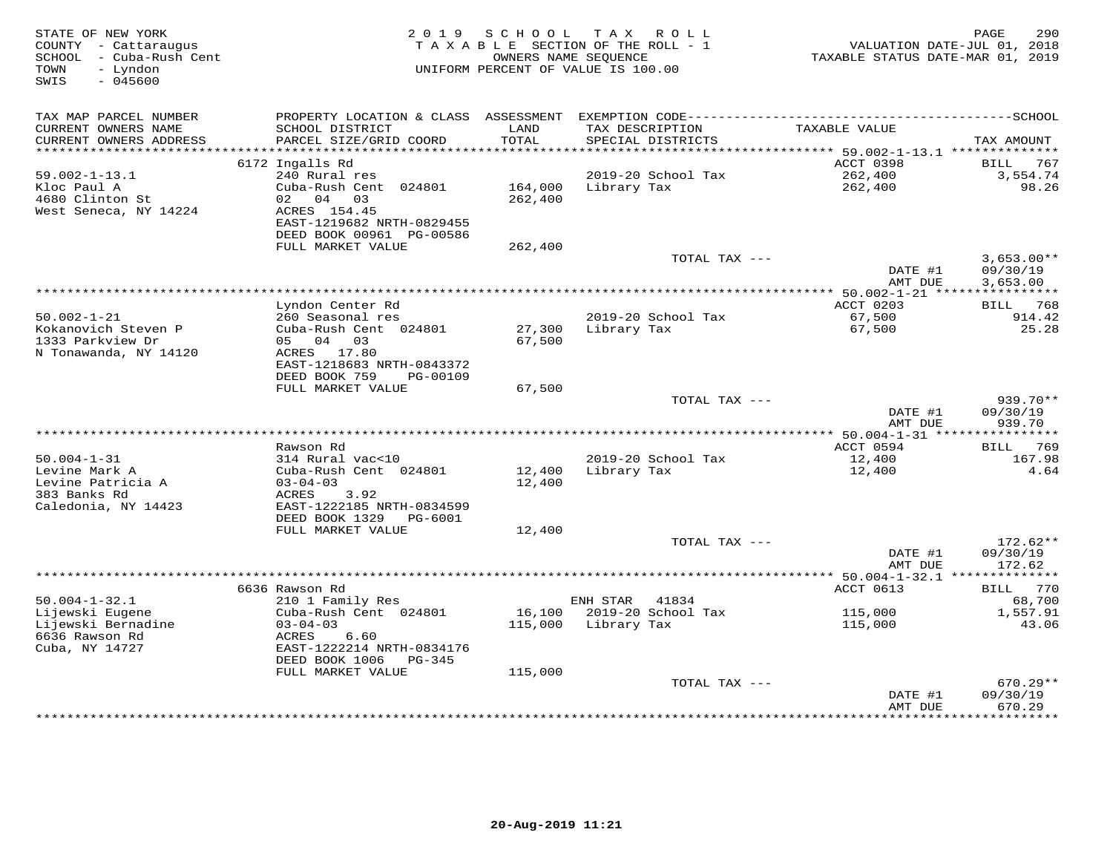| STATE OF NEW YORK<br>COUNTY - Cattaraugus<br>SCHOOL - Cuba-Rush Cent<br>- Lyndon<br>TOWN<br>SWIS<br>$-045600$ |                                                        | 2019 SCHOOL<br>OWNERS NAME SEQUENCE | TAX ROLL<br>TAXABLE SECTION OF THE ROLL - 1<br>UNIFORM PERCENT OF VALUE IS 100.00 | VALUATION DATE-JUL 01, 2018<br>TAXABLE STATUS DATE-MAR 01, 2019 | 290<br>PAGE             |
|---------------------------------------------------------------------------------------------------------------|--------------------------------------------------------|-------------------------------------|-----------------------------------------------------------------------------------|-----------------------------------------------------------------|-------------------------|
| TAX MAP PARCEL NUMBER                                                                                         |                                                        |                                     |                                                                                   |                                                                 |                         |
| CURRENT OWNERS NAME<br>CURRENT OWNERS ADDRESS                                                                 | SCHOOL DISTRICT<br>PARCEL SIZE/GRID COORD              | LAND<br>TOTAL                       | TAX DESCRIPTION<br>SPECIAL DISTRICTS                                              | TAXABLE VALUE                                                   | TAX AMOUNT              |
| ************************                                                                                      |                                                        |                                     |                                                                                   |                                                                 |                         |
| $59.002 - 1 - 13.1$                                                                                           | 6172 Ingalls Rd<br>240 Rural res                       |                                     | 2019-20 School Tax                                                                | ACCT 0398<br>262,400                                            | BILL<br>767<br>3,554.74 |
| Kloc Paul A                                                                                                   | Cuba-Rush Cent 024801                                  | 164,000                             | Library Tax                                                                       | 262,400                                                         | 98.26                   |
| 4680 Clinton St                                                                                               | 02 04 03                                               | 262,400                             |                                                                                   |                                                                 |                         |
| West Seneca, NY 14224                                                                                         | ACRES 154.45                                           |                                     |                                                                                   |                                                                 |                         |
|                                                                                                               | EAST-1219682 NRTH-0829455                              |                                     |                                                                                   |                                                                 |                         |
|                                                                                                               | DEED BOOK 00961 PG-00586                               |                                     |                                                                                   |                                                                 |                         |
|                                                                                                               | FULL MARKET VALUE                                      | 262,400                             |                                                                                   |                                                                 |                         |
|                                                                                                               |                                                        |                                     | TOTAL TAX ---                                                                     |                                                                 | $3,653.00**$            |
|                                                                                                               |                                                        |                                     |                                                                                   | DATE #1<br>AMT DUE                                              | 09/30/19<br>3,653.00    |
|                                                                                                               |                                                        |                                     |                                                                                   | ************ 50.002-1-21 *****                                  | ***********             |
|                                                                                                               | Lyndon Center Rd                                       |                                     |                                                                                   | ACCT 0203                                                       | BILL 768                |
| $50.002 - 1 - 21$                                                                                             | 260 Seasonal res                                       |                                     | 2019-20 School Tax                                                                | 67,500                                                          | 914.42                  |
| Kokanovich Steven P                                                                                           | Cuba-Rush Cent 024801                                  |                                     | 27,300 Library Tax                                                                | 67,500                                                          | 25.28                   |
| 1333 Parkview Dr                                                                                              | 05 04 03                                               | 67,500                              |                                                                                   |                                                                 |                         |
| N Tonawanda, NY 14120                                                                                         | ACRES 17.80                                            |                                     |                                                                                   |                                                                 |                         |
|                                                                                                               | EAST-1218683 NRTH-0843372<br>DEED BOOK 759<br>PG-00109 |                                     |                                                                                   |                                                                 |                         |
|                                                                                                               | FULL MARKET VALUE                                      | 67,500                              |                                                                                   |                                                                 |                         |
|                                                                                                               |                                                        |                                     | TOTAL TAX ---                                                                     |                                                                 | $939.70**$              |
|                                                                                                               |                                                        |                                     |                                                                                   | DATE #1                                                         | 09/30/19                |
|                                                                                                               |                                                        |                                     |                                                                                   | AMT DUE                                                         | 939.70                  |
|                                                                                                               |                                                        |                                     |                                                                                   |                                                                 |                         |
|                                                                                                               | Rawson Rd                                              |                                     |                                                                                   | ACCT 0594                                                       | 769<br>BILL             |
| $50.004 - 1 - 31$                                                                                             | 314 Rural vac<10                                       |                                     | 2019-20 School Tax                                                                | 12,400                                                          | 167.98                  |
| Levine Mark A<br>Levine Patricia A                                                                            | Cuba-Rush Cent 024801<br>$03 - 04 - 03$                | 12,400<br>12,400                    | Library Tax                                                                       | 12,400                                                          | 4.64                    |
| 383 Banks Rd                                                                                                  | ACRES<br>3.92                                          |                                     |                                                                                   |                                                                 |                         |
| Caledonia, NY 14423                                                                                           | EAST-1222185 NRTH-0834599                              |                                     |                                                                                   |                                                                 |                         |
|                                                                                                               | DEED BOOK 1329<br>PG-6001                              |                                     |                                                                                   |                                                                 |                         |
|                                                                                                               | FULL MARKET VALUE                                      | 12,400                              |                                                                                   |                                                                 |                         |
|                                                                                                               |                                                        |                                     | TOTAL TAX ---                                                                     |                                                                 | $172.62**$              |
|                                                                                                               |                                                        |                                     |                                                                                   | DATE #1                                                         | 09/30/19                |
|                                                                                                               |                                                        |                                     |                                                                                   | AMT DUE                                                         | 172.62                  |
|                                                                                                               | 6636 Rawson Rd                                         |                                     |                                                                                   | ACCT 0613                                                       | BILL<br>770             |
| $50.004 - 1 - 32.1$                                                                                           | 210 1 Family Res                                       |                                     | ENH STAR<br>41834                                                                 |                                                                 | 68,700                  |
| Lijewski Eugene                                                                                               | Cuba-Rush Cent 024801                                  | 16,100                              | 2019-20 School Tax                                                                | 115,000                                                         | 1,557.91                |
| Lijewski Bernadine                                                                                            | $03 - 04 - 03$                                         | 115,000                             | Library Tax                                                                       | 115,000                                                         | 43.06                   |
| 6636 Rawson Rd                                                                                                | ACRES<br>6.60                                          |                                     |                                                                                   |                                                                 |                         |
| Cuba, NY 14727                                                                                                | EAST-1222214 NRTH-0834176                              |                                     |                                                                                   |                                                                 |                         |
|                                                                                                               | DEED BOOK 1006 PG-345                                  |                                     |                                                                                   |                                                                 |                         |
|                                                                                                               | FULL MARKET VALUE                                      | 115,000                             | TOTAL TAX ---                                                                     |                                                                 | $670.29**$              |
|                                                                                                               |                                                        |                                     |                                                                                   | DATE #1                                                         | 09/30/19                |
|                                                                                                               |                                                        |                                     |                                                                                   | AMT DUE                                                         | 670.29                  |
|                                                                                                               |                                                        |                                     |                                                                                   | **************                                                  | *********               |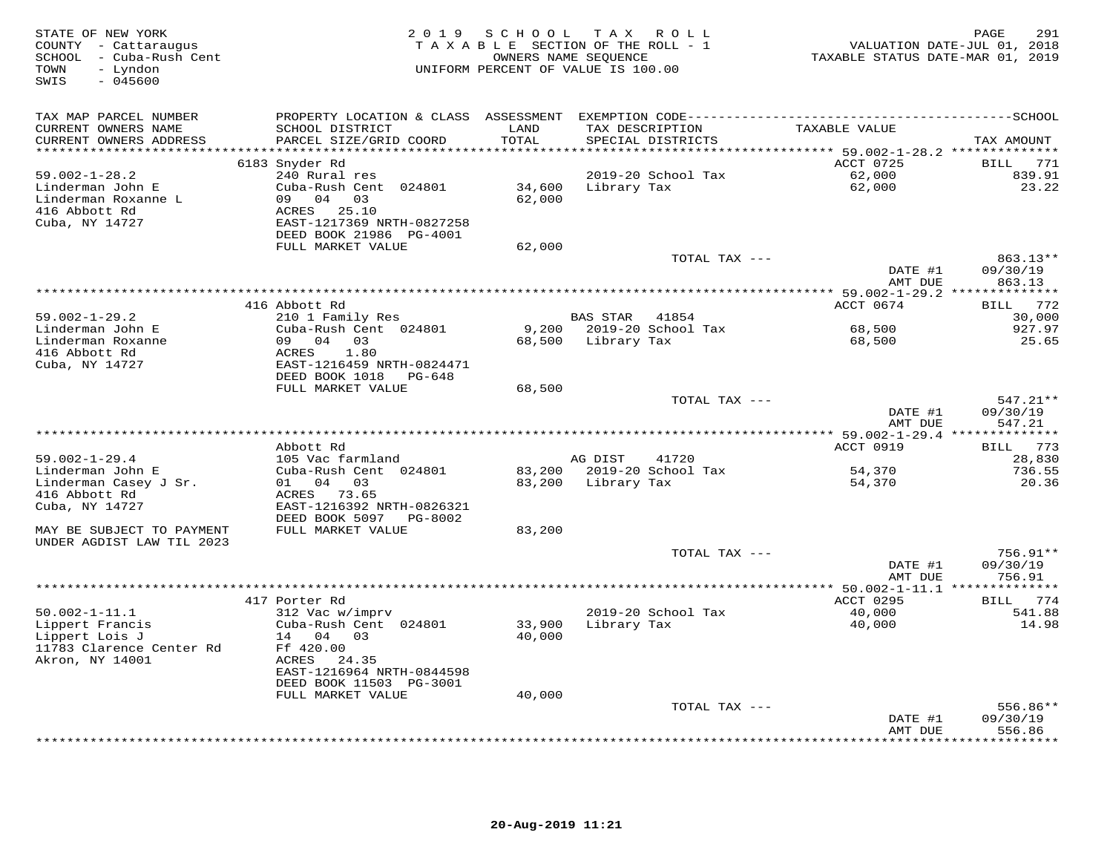| TAX MAP PARCEL NUMBER<br>CURRENT OWNERS NAME<br>SCHOOL DISTRICT<br>LAND<br>TAX DESCRIPTION<br>TAXABLE VALUE<br>PARCEL SIZE/GRID COORD<br>TOTAL<br>CURRENT OWNERS ADDRESS<br>SPECIAL DISTRICTS<br>TAX AMOUNT<br>**********************<br>*******************************<br>**************<br>********************************* 59.002-1-28.2 **************<br>ACCT 0725<br>BILL 771<br>6183 Snyder Rd<br>240 Rural res<br>$59.002 - 1 - 28.2$<br>2019-20 School Tax<br>62,000<br>839.91<br>62,000<br>23.22<br>Linderman John E<br>Cuba-Rush Cent 024801<br>34,600<br>Library Tax<br>09 04 03<br>62,000<br>Linderman Roxanne L<br>ACRES 25.10<br>416 Abbott Rd<br>Cuba, NY 14727<br>EAST-1217369 NRTH-0827258<br>DEED BOOK 21986 PG-4001<br>FULL MARKET VALUE<br>62,000<br>TOTAL TAX ---<br>863.13**<br>DATE #1<br>09/30/19<br>863.13<br>AMT DUE<br>416 Abbott Rd<br>ACCT 0674<br>772<br>BILL<br>$59.002 - 1 - 29.2$<br>210 1 Family Res<br><b>BAS STAR</b><br>41854<br>30,000<br>Cuba-Rush Cent 024801<br>9,200<br>2019-20 School Tax<br>68,500<br>927.97<br>Linderman John E<br>Linderman Roxanne<br>09 04 03<br>68,500<br>Library Tax<br>68,500<br>25.65<br>416 Abbott Rd<br>1.80<br>ACRES<br>Cuba, NY 14727<br>EAST-1216459 NRTH-0824471<br>DEED BOOK 1018 PG-648<br>FULL MARKET VALUE<br>68,500<br>$547.21**$<br>TOTAL TAX ---<br>DATE #1<br>09/30/19<br>547.21<br>AMT DUE<br>******** 59.002-1-29.4 **************<br>ACCT 0919<br>Abbott Rd<br>773<br>BILL<br>$59.002 - 1 - 29.4$<br>105 Vac farmland<br>AG DIST<br>41720<br>28,830<br>Cuba-Rush Cent 024801<br>2019-20 School Tax<br>Linderman John E<br>83,200<br>54,370<br>736.55<br>01 04 03<br>Linderman Casey J Sr.<br>83,200<br>Library Tax<br>54,370<br>20.36<br>ACRES 73.65<br>416 Abbott Rd<br>Cuba, NY 14727<br>EAST-1216392 NRTH-0826321<br>DEED BOOK 5097 PG-8002<br>FULL MARKET VALUE<br>83,200<br>MAY BE SUBJECT TO PAYMENT<br>UNDER AGDIST LAW TIL 2023<br>756.91**<br>TOTAL TAX ---<br>09/30/19<br>DATE #1<br>756.91<br>AMT DUE<br>***** 50.002-1-11.1 **************<br>417 Porter Rd<br>ACCT 0295<br>BILL 774<br>2019-20 School Tax<br>541.88<br>$50.002 - 1 - 11.1$<br>312 Vac w/imprv<br>40,000<br>Lippert Francis<br>Cuba-Rush Cent 024801<br>33,900<br>Library Tax<br>40,000<br>14.98<br>Lippert Lois J<br>40,000<br>14 04<br>03<br>11783 Clarence Center Rd<br>Ff 420.00<br>Akron, NY 14001<br>ACRES<br>24.35<br>EAST-1216964 NRTH-0844598<br>DEED BOOK 11503 PG-3001<br>FULL MARKET VALUE<br>40,000<br>TOTAL TAX ---<br>556.86**<br>09/30/19<br>DATE #1<br>556.86<br>AMT DUE | STATE OF NEW YORK<br>COUNTY - Cattaraugus<br>SCHOOL - Cuba-Rush Cent<br>- Lyndon<br>TOWN<br>SWIS<br>$-045600$ | 2 0 1 9 | SCHOOL TAX<br>TAXABLE SECTION OF THE ROLL - 1<br>OWNERS NAME SEQUENCE<br>UNIFORM PERCENT OF VALUE IS 100.00 | R O L L | TAXABLE STATUS DATE-MAR 01, 2019 | 291<br>PAGE<br>VALUATION DATE-JUL 01, 2018 |
|---------------------------------------------------------------------------------------------------------------------------------------------------------------------------------------------------------------------------------------------------------------------------------------------------------------------------------------------------------------------------------------------------------------------------------------------------------------------------------------------------------------------------------------------------------------------------------------------------------------------------------------------------------------------------------------------------------------------------------------------------------------------------------------------------------------------------------------------------------------------------------------------------------------------------------------------------------------------------------------------------------------------------------------------------------------------------------------------------------------------------------------------------------------------------------------------------------------------------------------------------------------------------------------------------------------------------------------------------------------------------------------------------------------------------------------------------------------------------------------------------------------------------------------------------------------------------------------------------------------------------------------------------------------------------------------------------------------------------------------------------------------------------------------------------------------------------------------------------------------------------------------------------------------------------------------------------------------------------------------------------------------------------------------------------------------------------------------------------------------------------------------------------------------------------------------------------------------------------------------------------------------------------------------------------------------------------------------------------------------------------------------------------------------------------------------------------------------------------------------------------------------------------------------------------------------|---------------------------------------------------------------------------------------------------------------|---------|-------------------------------------------------------------------------------------------------------------|---------|----------------------------------|--------------------------------------------|
|                                                                                                                                                                                                                                                                                                                                                                                                                                                                                                                                                                                                                                                                                                                                                                                                                                                                                                                                                                                                                                                                                                                                                                                                                                                                                                                                                                                                                                                                                                                                                                                                                                                                                                                                                                                                                                                                                                                                                                                                                                                                                                                                                                                                                                                                                                                                                                                                                                                                                                                                                               |                                                                                                               |         |                                                                                                             |         |                                  |                                            |
|                                                                                                                                                                                                                                                                                                                                                                                                                                                                                                                                                                                                                                                                                                                                                                                                                                                                                                                                                                                                                                                                                                                                                                                                                                                                                                                                                                                                                                                                                                                                                                                                                                                                                                                                                                                                                                                                                                                                                                                                                                                                                                                                                                                                                                                                                                                                                                                                                                                                                                                                                               |                                                                                                               |         |                                                                                                             |         |                                  |                                            |
|                                                                                                                                                                                                                                                                                                                                                                                                                                                                                                                                                                                                                                                                                                                                                                                                                                                                                                                                                                                                                                                                                                                                                                                                                                                                                                                                                                                                                                                                                                                                                                                                                                                                                                                                                                                                                                                                                                                                                                                                                                                                                                                                                                                                                                                                                                                                                                                                                                                                                                                                                               |                                                                                                               |         |                                                                                                             |         |                                  |                                            |
|                                                                                                                                                                                                                                                                                                                                                                                                                                                                                                                                                                                                                                                                                                                                                                                                                                                                                                                                                                                                                                                                                                                                                                                                                                                                                                                                                                                                                                                                                                                                                                                                                                                                                                                                                                                                                                                                                                                                                                                                                                                                                                                                                                                                                                                                                                                                                                                                                                                                                                                                                               |                                                                                                               |         |                                                                                                             |         |                                  |                                            |
|                                                                                                                                                                                                                                                                                                                                                                                                                                                                                                                                                                                                                                                                                                                                                                                                                                                                                                                                                                                                                                                                                                                                                                                                                                                                                                                                                                                                                                                                                                                                                                                                                                                                                                                                                                                                                                                                                                                                                                                                                                                                                                                                                                                                                                                                                                                                                                                                                                                                                                                                                               |                                                                                                               |         |                                                                                                             |         |                                  |                                            |
|                                                                                                                                                                                                                                                                                                                                                                                                                                                                                                                                                                                                                                                                                                                                                                                                                                                                                                                                                                                                                                                                                                                                                                                                                                                                                                                                                                                                                                                                                                                                                                                                                                                                                                                                                                                                                                                                                                                                                                                                                                                                                                                                                                                                                                                                                                                                                                                                                                                                                                                                                               |                                                                                                               |         |                                                                                                             |         |                                  |                                            |
|                                                                                                                                                                                                                                                                                                                                                                                                                                                                                                                                                                                                                                                                                                                                                                                                                                                                                                                                                                                                                                                                                                                                                                                                                                                                                                                                                                                                                                                                                                                                                                                                                                                                                                                                                                                                                                                                                                                                                                                                                                                                                                                                                                                                                                                                                                                                                                                                                                                                                                                                                               |                                                                                                               |         |                                                                                                             |         |                                  |                                            |
|                                                                                                                                                                                                                                                                                                                                                                                                                                                                                                                                                                                                                                                                                                                                                                                                                                                                                                                                                                                                                                                                                                                                                                                                                                                                                                                                                                                                                                                                                                                                                                                                                                                                                                                                                                                                                                                                                                                                                                                                                                                                                                                                                                                                                                                                                                                                                                                                                                                                                                                                                               |                                                                                                               |         |                                                                                                             |         |                                  |                                            |
|                                                                                                                                                                                                                                                                                                                                                                                                                                                                                                                                                                                                                                                                                                                                                                                                                                                                                                                                                                                                                                                                                                                                                                                                                                                                                                                                                                                                                                                                                                                                                                                                                                                                                                                                                                                                                                                                                                                                                                                                                                                                                                                                                                                                                                                                                                                                                                                                                                                                                                                                                               |                                                                                                               |         |                                                                                                             |         |                                  |                                            |
|                                                                                                                                                                                                                                                                                                                                                                                                                                                                                                                                                                                                                                                                                                                                                                                                                                                                                                                                                                                                                                                                                                                                                                                                                                                                                                                                                                                                                                                                                                                                                                                                                                                                                                                                                                                                                                                                                                                                                                                                                                                                                                                                                                                                                                                                                                                                                                                                                                                                                                                                                               |                                                                                                               |         |                                                                                                             |         |                                  |                                            |
|                                                                                                                                                                                                                                                                                                                                                                                                                                                                                                                                                                                                                                                                                                                                                                                                                                                                                                                                                                                                                                                                                                                                                                                                                                                                                                                                                                                                                                                                                                                                                                                                                                                                                                                                                                                                                                                                                                                                                                                                                                                                                                                                                                                                                                                                                                                                                                                                                                                                                                                                                               |                                                                                                               |         |                                                                                                             |         |                                  |                                            |
|                                                                                                                                                                                                                                                                                                                                                                                                                                                                                                                                                                                                                                                                                                                                                                                                                                                                                                                                                                                                                                                                                                                                                                                                                                                                                                                                                                                                                                                                                                                                                                                                                                                                                                                                                                                                                                                                                                                                                                                                                                                                                                                                                                                                                                                                                                                                                                                                                                                                                                                                                               |                                                                                                               |         |                                                                                                             |         |                                  |                                            |
|                                                                                                                                                                                                                                                                                                                                                                                                                                                                                                                                                                                                                                                                                                                                                                                                                                                                                                                                                                                                                                                                                                                                                                                                                                                                                                                                                                                                                                                                                                                                                                                                                                                                                                                                                                                                                                                                                                                                                                                                                                                                                                                                                                                                                                                                                                                                                                                                                                                                                                                                                               |                                                                                                               |         |                                                                                                             |         |                                  |                                            |
|                                                                                                                                                                                                                                                                                                                                                                                                                                                                                                                                                                                                                                                                                                                                                                                                                                                                                                                                                                                                                                                                                                                                                                                                                                                                                                                                                                                                                                                                                                                                                                                                                                                                                                                                                                                                                                                                                                                                                                                                                                                                                                                                                                                                                                                                                                                                                                                                                                                                                                                                                               |                                                                                                               |         |                                                                                                             |         |                                  |                                            |
|                                                                                                                                                                                                                                                                                                                                                                                                                                                                                                                                                                                                                                                                                                                                                                                                                                                                                                                                                                                                                                                                                                                                                                                                                                                                                                                                                                                                                                                                                                                                                                                                                                                                                                                                                                                                                                                                                                                                                                                                                                                                                                                                                                                                                                                                                                                                                                                                                                                                                                                                                               |                                                                                                               |         |                                                                                                             |         |                                  |                                            |
|                                                                                                                                                                                                                                                                                                                                                                                                                                                                                                                                                                                                                                                                                                                                                                                                                                                                                                                                                                                                                                                                                                                                                                                                                                                                                                                                                                                                                                                                                                                                                                                                                                                                                                                                                                                                                                                                                                                                                                                                                                                                                                                                                                                                                                                                                                                                                                                                                                                                                                                                                               |                                                                                                               |         |                                                                                                             |         |                                  |                                            |
|                                                                                                                                                                                                                                                                                                                                                                                                                                                                                                                                                                                                                                                                                                                                                                                                                                                                                                                                                                                                                                                                                                                                                                                                                                                                                                                                                                                                                                                                                                                                                                                                                                                                                                                                                                                                                                                                                                                                                                                                                                                                                                                                                                                                                                                                                                                                                                                                                                                                                                                                                               |                                                                                                               |         |                                                                                                             |         |                                  |                                            |
|                                                                                                                                                                                                                                                                                                                                                                                                                                                                                                                                                                                                                                                                                                                                                                                                                                                                                                                                                                                                                                                                                                                                                                                                                                                                                                                                                                                                                                                                                                                                                                                                                                                                                                                                                                                                                                                                                                                                                                                                                                                                                                                                                                                                                                                                                                                                                                                                                                                                                                                                                               |                                                                                                               |         |                                                                                                             |         |                                  |                                            |
|                                                                                                                                                                                                                                                                                                                                                                                                                                                                                                                                                                                                                                                                                                                                                                                                                                                                                                                                                                                                                                                                                                                                                                                                                                                                                                                                                                                                                                                                                                                                                                                                                                                                                                                                                                                                                                                                                                                                                                                                                                                                                                                                                                                                                                                                                                                                                                                                                                                                                                                                                               |                                                                                                               |         |                                                                                                             |         |                                  |                                            |
|                                                                                                                                                                                                                                                                                                                                                                                                                                                                                                                                                                                                                                                                                                                                                                                                                                                                                                                                                                                                                                                                                                                                                                                                                                                                                                                                                                                                                                                                                                                                                                                                                                                                                                                                                                                                                                                                                                                                                                                                                                                                                                                                                                                                                                                                                                                                                                                                                                                                                                                                                               |                                                                                                               |         |                                                                                                             |         |                                  |                                            |
|                                                                                                                                                                                                                                                                                                                                                                                                                                                                                                                                                                                                                                                                                                                                                                                                                                                                                                                                                                                                                                                                                                                                                                                                                                                                                                                                                                                                                                                                                                                                                                                                                                                                                                                                                                                                                                                                                                                                                                                                                                                                                                                                                                                                                                                                                                                                                                                                                                                                                                                                                               |                                                                                                               |         |                                                                                                             |         |                                  |                                            |
|                                                                                                                                                                                                                                                                                                                                                                                                                                                                                                                                                                                                                                                                                                                                                                                                                                                                                                                                                                                                                                                                                                                                                                                                                                                                                                                                                                                                                                                                                                                                                                                                                                                                                                                                                                                                                                                                                                                                                                                                                                                                                                                                                                                                                                                                                                                                                                                                                                                                                                                                                               |                                                                                                               |         |                                                                                                             |         |                                  |                                            |
|                                                                                                                                                                                                                                                                                                                                                                                                                                                                                                                                                                                                                                                                                                                                                                                                                                                                                                                                                                                                                                                                                                                                                                                                                                                                                                                                                                                                                                                                                                                                                                                                                                                                                                                                                                                                                                                                                                                                                                                                                                                                                                                                                                                                                                                                                                                                                                                                                                                                                                                                                               |                                                                                                               |         |                                                                                                             |         |                                  |                                            |
|                                                                                                                                                                                                                                                                                                                                                                                                                                                                                                                                                                                                                                                                                                                                                                                                                                                                                                                                                                                                                                                                                                                                                                                                                                                                                                                                                                                                                                                                                                                                                                                                                                                                                                                                                                                                                                                                                                                                                                                                                                                                                                                                                                                                                                                                                                                                                                                                                                                                                                                                                               |                                                                                                               |         |                                                                                                             |         |                                  |                                            |
|                                                                                                                                                                                                                                                                                                                                                                                                                                                                                                                                                                                                                                                                                                                                                                                                                                                                                                                                                                                                                                                                                                                                                                                                                                                                                                                                                                                                                                                                                                                                                                                                                                                                                                                                                                                                                                                                                                                                                                                                                                                                                                                                                                                                                                                                                                                                                                                                                                                                                                                                                               |                                                                                                               |         |                                                                                                             |         |                                  |                                            |
|                                                                                                                                                                                                                                                                                                                                                                                                                                                                                                                                                                                                                                                                                                                                                                                                                                                                                                                                                                                                                                                                                                                                                                                                                                                                                                                                                                                                                                                                                                                                                                                                                                                                                                                                                                                                                                                                                                                                                                                                                                                                                                                                                                                                                                                                                                                                                                                                                                                                                                                                                               |                                                                                                               |         |                                                                                                             |         |                                  |                                            |
|                                                                                                                                                                                                                                                                                                                                                                                                                                                                                                                                                                                                                                                                                                                                                                                                                                                                                                                                                                                                                                                                                                                                                                                                                                                                                                                                                                                                                                                                                                                                                                                                                                                                                                                                                                                                                                                                                                                                                                                                                                                                                                                                                                                                                                                                                                                                                                                                                                                                                                                                                               |                                                                                                               |         |                                                                                                             |         |                                  |                                            |
|                                                                                                                                                                                                                                                                                                                                                                                                                                                                                                                                                                                                                                                                                                                                                                                                                                                                                                                                                                                                                                                                                                                                                                                                                                                                                                                                                                                                                                                                                                                                                                                                                                                                                                                                                                                                                                                                                                                                                                                                                                                                                                                                                                                                                                                                                                                                                                                                                                                                                                                                                               |                                                                                                               |         |                                                                                                             |         |                                  |                                            |
|                                                                                                                                                                                                                                                                                                                                                                                                                                                                                                                                                                                                                                                                                                                                                                                                                                                                                                                                                                                                                                                                                                                                                                                                                                                                                                                                                                                                                                                                                                                                                                                                                                                                                                                                                                                                                                                                                                                                                                                                                                                                                                                                                                                                                                                                                                                                                                                                                                                                                                                                                               |                                                                                                               |         |                                                                                                             |         |                                  |                                            |
|                                                                                                                                                                                                                                                                                                                                                                                                                                                                                                                                                                                                                                                                                                                                                                                                                                                                                                                                                                                                                                                                                                                                                                                                                                                                                                                                                                                                                                                                                                                                                                                                                                                                                                                                                                                                                                                                                                                                                                                                                                                                                                                                                                                                                                                                                                                                                                                                                                                                                                                                                               |                                                                                                               |         |                                                                                                             |         |                                  |                                            |
|                                                                                                                                                                                                                                                                                                                                                                                                                                                                                                                                                                                                                                                                                                                                                                                                                                                                                                                                                                                                                                                                                                                                                                                                                                                                                                                                                                                                                                                                                                                                                                                                                                                                                                                                                                                                                                                                                                                                                                                                                                                                                                                                                                                                                                                                                                                                                                                                                                                                                                                                                               |                                                                                                               |         |                                                                                                             |         |                                  |                                            |
|                                                                                                                                                                                                                                                                                                                                                                                                                                                                                                                                                                                                                                                                                                                                                                                                                                                                                                                                                                                                                                                                                                                                                                                                                                                                                                                                                                                                                                                                                                                                                                                                                                                                                                                                                                                                                                                                                                                                                                                                                                                                                                                                                                                                                                                                                                                                                                                                                                                                                                                                                               |                                                                                                               |         |                                                                                                             |         |                                  |                                            |
|                                                                                                                                                                                                                                                                                                                                                                                                                                                                                                                                                                                                                                                                                                                                                                                                                                                                                                                                                                                                                                                                                                                                                                                                                                                                                                                                                                                                                                                                                                                                                                                                                                                                                                                                                                                                                                                                                                                                                                                                                                                                                                                                                                                                                                                                                                                                                                                                                                                                                                                                                               |                                                                                                               |         |                                                                                                             |         |                                  |                                            |
|                                                                                                                                                                                                                                                                                                                                                                                                                                                                                                                                                                                                                                                                                                                                                                                                                                                                                                                                                                                                                                                                                                                                                                                                                                                                                                                                                                                                                                                                                                                                                                                                                                                                                                                                                                                                                                                                                                                                                                                                                                                                                                                                                                                                                                                                                                                                                                                                                                                                                                                                                               |                                                                                                               |         |                                                                                                             |         |                                  |                                            |
|                                                                                                                                                                                                                                                                                                                                                                                                                                                                                                                                                                                                                                                                                                                                                                                                                                                                                                                                                                                                                                                                                                                                                                                                                                                                                                                                                                                                                                                                                                                                                                                                                                                                                                                                                                                                                                                                                                                                                                                                                                                                                                                                                                                                                                                                                                                                                                                                                                                                                                                                                               |                                                                                                               |         |                                                                                                             |         |                                  |                                            |
|                                                                                                                                                                                                                                                                                                                                                                                                                                                                                                                                                                                                                                                                                                                                                                                                                                                                                                                                                                                                                                                                                                                                                                                                                                                                                                                                                                                                                                                                                                                                                                                                                                                                                                                                                                                                                                                                                                                                                                                                                                                                                                                                                                                                                                                                                                                                                                                                                                                                                                                                                               |                                                                                                               |         |                                                                                                             |         |                                  |                                            |
|                                                                                                                                                                                                                                                                                                                                                                                                                                                                                                                                                                                                                                                                                                                                                                                                                                                                                                                                                                                                                                                                                                                                                                                                                                                                                                                                                                                                                                                                                                                                                                                                                                                                                                                                                                                                                                                                                                                                                                                                                                                                                                                                                                                                                                                                                                                                                                                                                                                                                                                                                               |                                                                                                               |         |                                                                                                             |         |                                  |                                            |
|                                                                                                                                                                                                                                                                                                                                                                                                                                                                                                                                                                                                                                                                                                                                                                                                                                                                                                                                                                                                                                                                                                                                                                                                                                                                                                                                                                                                                                                                                                                                                                                                                                                                                                                                                                                                                                                                                                                                                                                                                                                                                                                                                                                                                                                                                                                                                                                                                                                                                                                                                               |                                                                                                               |         |                                                                                                             |         |                                  |                                            |
|                                                                                                                                                                                                                                                                                                                                                                                                                                                                                                                                                                                                                                                                                                                                                                                                                                                                                                                                                                                                                                                                                                                                                                                                                                                                                                                                                                                                                                                                                                                                                                                                                                                                                                                                                                                                                                                                                                                                                                                                                                                                                                                                                                                                                                                                                                                                                                                                                                                                                                                                                               |                                                                                                               |         |                                                                                                             |         |                                  |                                            |
|                                                                                                                                                                                                                                                                                                                                                                                                                                                                                                                                                                                                                                                                                                                                                                                                                                                                                                                                                                                                                                                                                                                                                                                                                                                                                                                                                                                                                                                                                                                                                                                                                                                                                                                                                                                                                                                                                                                                                                                                                                                                                                                                                                                                                                                                                                                                                                                                                                                                                                                                                               |                                                                                                               |         |                                                                                                             |         |                                  |                                            |
|                                                                                                                                                                                                                                                                                                                                                                                                                                                                                                                                                                                                                                                                                                                                                                                                                                                                                                                                                                                                                                                                                                                                                                                                                                                                                                                                                                                                                                                                                                                                                                                                                                                                                                                                                                                                                                                                                                                                                                                                                                                                                                                                                                                                                                                                                                                                                                                                                                                                                                                                                               |                                                                                                               |         |                                                                                                             |         |                                  |                                            |
|                                                                                                                                                                                                                                                                                                                                                                                                                                                                                                                                                                                                                                                                                                                                                                                                                                                                                                                                                                                                                                                                                                                                                                                                                                                                                                                                                                                                                                                                                                                                                                                                                                                                                                                                                                                                                                                                                                                                                                                                                                                                                                                                                                                                                                                                                                                                                                                                                                                                                                                                                               |                                                                                                               |         |                                                                                                             |         |                                  |                                            |
|                                                                                                                                                                                                                                                                                                                                                                                                                                                                                                                                                                                                                                                                                                                                                                                                                                                                                                                                                                                                                                                                                                                                                                                                                                                                                                                                                                                                                                                                                                                                                                                                                                                                                                                                                                                                                                                                                                                                                                                                                                                                                                                                                                                                                                                                                                                                                                                                                                                                                                                                                               |                                                                                                               |         |                                                                                                             |         |                                  |                                            |
|                                                                                                                                                                                                                                                                                                                                                                                                                                                                                                                                                                                                                                                                                                                                                                                                                                                                                                                                                                                                                                                                                                                                                                                                                                                                                                                                                                                                                                                                                                                                                                                                                                                                                                                                                                                                                                                                                                                                                                                                                                                                                                                                                                                                                                                                                                                                                                                                                                                                                                                                                               |                                                                                                               |         |                                                                                                             |         |                                  | * * * * * * * *                            |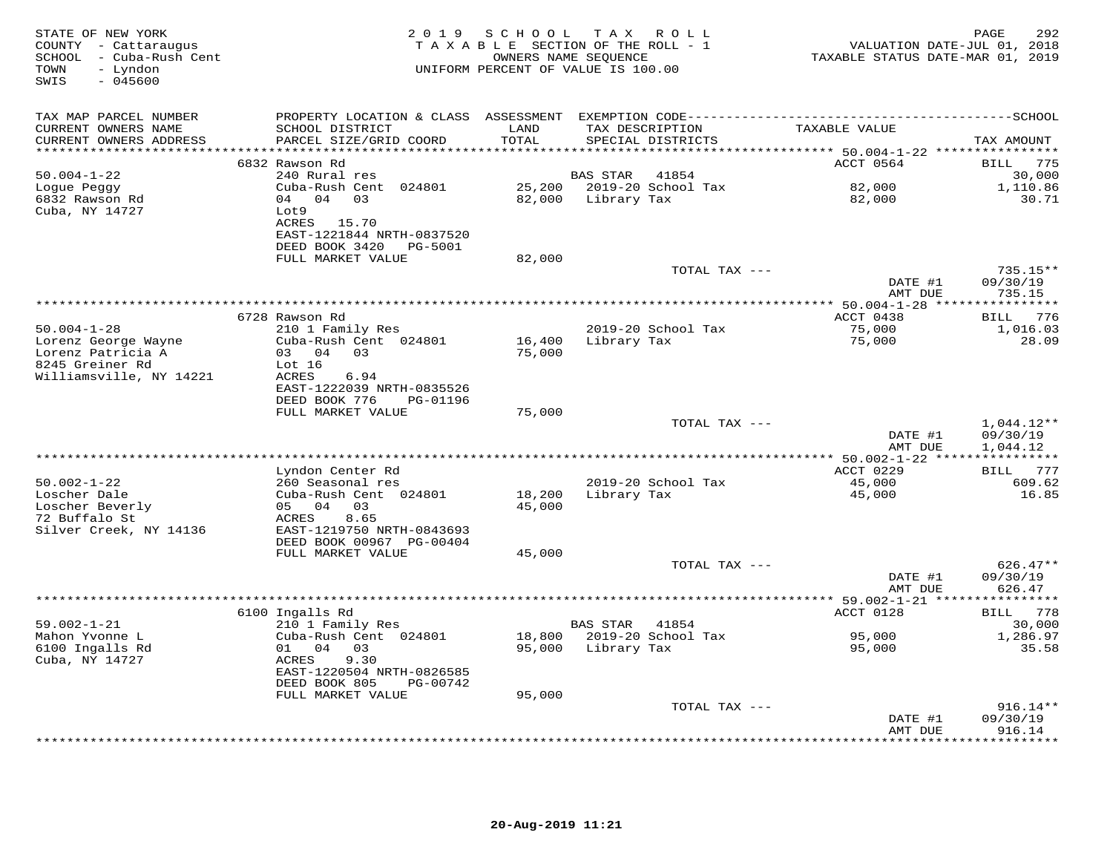| STATE OF NEW YORK<br>COUNTY - Cattaraugus<br>SCHOOL - Cuba-Rush Cent<br>- Lyndon<br>TOWN<br>$-045600$<br>SWIS | 2 0 1 9                                                               | SCHOOL                          | T A X<br>R O L L<br>TAXABLE SECTION OF THE ROLL - 1<br>OWNERS NAME SEQUENCE<br>UNIFORM PERCENT OF VALUE IS 100.00 | VALUATION DATE-JUL 01, 2018<br>TAXABLE STATUS DATE-MAR 01, 2019 | 292<br>PAGE               |
|---------------------------------------------------------------------------------------------------------------|-----------------------------------------------------------------------|---------------------------------|-------------------------------------------------------------------------------------------------------------------|-----------------------------------------------------------------|---------------------------|
| TAX MAP PARCEL NUMBER                                                                                         |                                                                       |                                 |                                                                                                                   |                                                                 |                           |
| CURRENT OWNERS NAME<br>CURRENT OWNERS ADDRESS<br>***********************                                      | SCHOOL DISTRICT<br>PARCEL SIZE/GRID COORD                             | LAND<br>TOTAL                   | TAX DESCRIPTION<br>SPECIAL DISTRICTS                                                                              | TAXABLE VALUE                                                   | TAX AMOUNT                |
|                                                                                                               | 6832 Rawson Rd                                                        |                                 |                                                                                                                   | ACCT 0564                                                       | BILL 775                  |
| $50.004 - 1 - 22$                                                                                             | 240 Rural res                                                         |                                 | BAS STAR<br>41854                                                                                                 |                                                                 | 30,000                    |
| Logue Peggy<br>6832 Rawson Rd<br>Cuba, NY 14727                                                               | Cuba-Rush Cent 024801<br>04 04 03<br>Lot9                             | 82,000                          | 25,200 2019-20 School Tax<br>Library Tax                                                                          | 82,000<br>82,000                                                | 1,110.86<br>30.71         |
|                                                                                                               | ACRES 15.70<br>EAST-1221844 NRTH-0837520<br>DEED BOOK 3420<br>PG-5001 |                                 |                                                                                                                   |                                                                 |                           |
|                                                                                                               | FULL MARKET VALUE                                                     | 82,000                          |                                                                                                                   |                                                                 |                           |
|                                                                                                               |                                                                       |                                 | TOTAL TAX ---                                                                                                     |                                                                 | $735.15**$                |
|                                                                                                               |                                                                       |                                 |                                                                                                                   | DATE #1<br>AMT DUE                                              | 09/30/19<br>735.15        |
|                                                                                                               | *****************                                                     | ******************************* |                                                                                                                   | *********** 50.004-1-28 ***                                     | ************              |
|                                                                                                               | 6728 Rawson Rd                                                        |                                 |                                                                                                                   | ACCT 0438                                                       | BILL<br>776               |
| $50.004 - 1 - 28$<br>Lorenz George Wayne                                                                      | 210 1 Family Res<br>Cuba-Rush Cent 024801                             | 16,400                          | 2019-20 School Tax<br>Library Tax                                                                                 | 75,000<br>75,000                                                | 1,016.03<br>28.09         |
| Lorenz Patricia A                                                                                             | 03 04 03                                                              | 75,000                          |                                                                                                                   |                                                                 |                           |
| 8245 Greiner Rd                                                                                               | Lot 16                                                                |                                 |                                                                                                                   |                                                                 |                           |
| Williamsville, NY 14221                                                                                       | ACRES<br>6.94<br>EAST-1222039 NRTH-0835526                            |                                 |                                                                                                                   |                                                                 |                           |
|                                                                                                               | DEED BOOK 776<br>PG-01196                                             |                                 |                                                                                                                   |                                                                 |                           |
|                                                                                                               | FULL MARKET VALUE                                                     | 75,000                          |                                                                                                                   |                                                                 |                           |
|                                                                                                               |                                                                       |                                 | TOTAL TAX ---                                                                                                     |                                                                 | $1,044.12**$              |
|                                                                                                               |                                                                       |                                 |                                                                                                                   | DATE #1<br>AMT DUE                                              | 09/30/19<br>1,044.12      |
|                                                                                                               |                                                                       | ****************************    |                                                                                                                   | ******** 50.002-1-22 ****                                       |                           |
|                                                                                                               | Lyndon Center Rd                                                      |                                 |                                                                                                                   | ACCT 0229                                                       | BILL 777                  |
| $50.002 - 1 - 22$<br>Loscher Dale                                                                             | 260 Seasonal res<br>Cuba-Rush Cent 024801                             | 18,200                          | 2019-20 School Tax<br>Library Tax                                                                                 | 45,000<br>45,000                                                | 609.62<br>16.85           |
| Loscher Beverly                                                                                               | 05 04 03                                                              | 45,000                          |                                                                                                                   |                                                                 |                           |
| 72 Buffalo St                                                                                                 | 8.65<br>ACRES                                                         |                                 |                                                                                                                   |                                                                 |                           |
| Silver Creek, NY 14136                                                                                        | EAST-1219750 NRTH-0843693<br>DEED BOOK 00967 PG-00404                 |                                 |                                                                                                                   |                                                                 |                           |
|                                                                                                               | FULL MARKET VALUE                                                     | 45,000                          |                                                                                                                   |                                                                 |                           |
|                                                                                                               |                                                                       |                                 | TOTAL TAX ---                                                                                                     |                                                                 | $626.47**$                |
|                                                                                                               |                                                                       |                                 |                                                                                                                   | DATE #1<br>AMT DUE                                              | 09/30/19<br>626.47        |
|                                                                                                               |                                                                       |                                 |                                                                                                                   |                                                                 |                           |
|                                                                                                               | 6100 Ingalls Rd                                                       |                                 |                                                                                                                   | ACCT 0128                                                       | BILL 778                  |
| $59.002 - 1 - 21$<br>Mahon Yvonne L                                                                           | 210 1 Family Res<br>Cuba-Rush Cent 024801                             | 18,800                          | BAS STAR<br>41854<br>2019-20 School Tax                                                                           | 95,000                                                          | 30,000<br>1,286.97        |
| 6100 Ingalls Rd                                                                                               | 01 04 03                                                              | 95,000                          | Library Tax                                                                                                       | 95,000                                                          | 35.58                     |
| Cuba, NY 14727                                                                                                | ACRES<br>9.30                                                         |                                 |                                                                                                                   |                                                                 |                           |
|                                                                                                               | EAST-1220504 NRTH-0826585                                             |                                 |                                                                                                                   |                                                                 |                           |
|                                                                                                               | DEED BOOK 805<br>PG-00742<br>FULL MARKET VALUE                        | 95,000                          |                                                                                                                   |                                                                 |                           |
|                                                                                                               |                                                                       |                                 | TOTAL TAX ---                                                                                                     |                                                                 | $916.14**$                |
|                                                                                                               |                                                                       |                                 |                                                                                                                   | DATE #1                                                         | 09/30/19                  |
|                                                                                                               |                                                                       |                                 |                                                                                                                   | AMT DUE                                                         | 916.14<br>* * * * * * * * |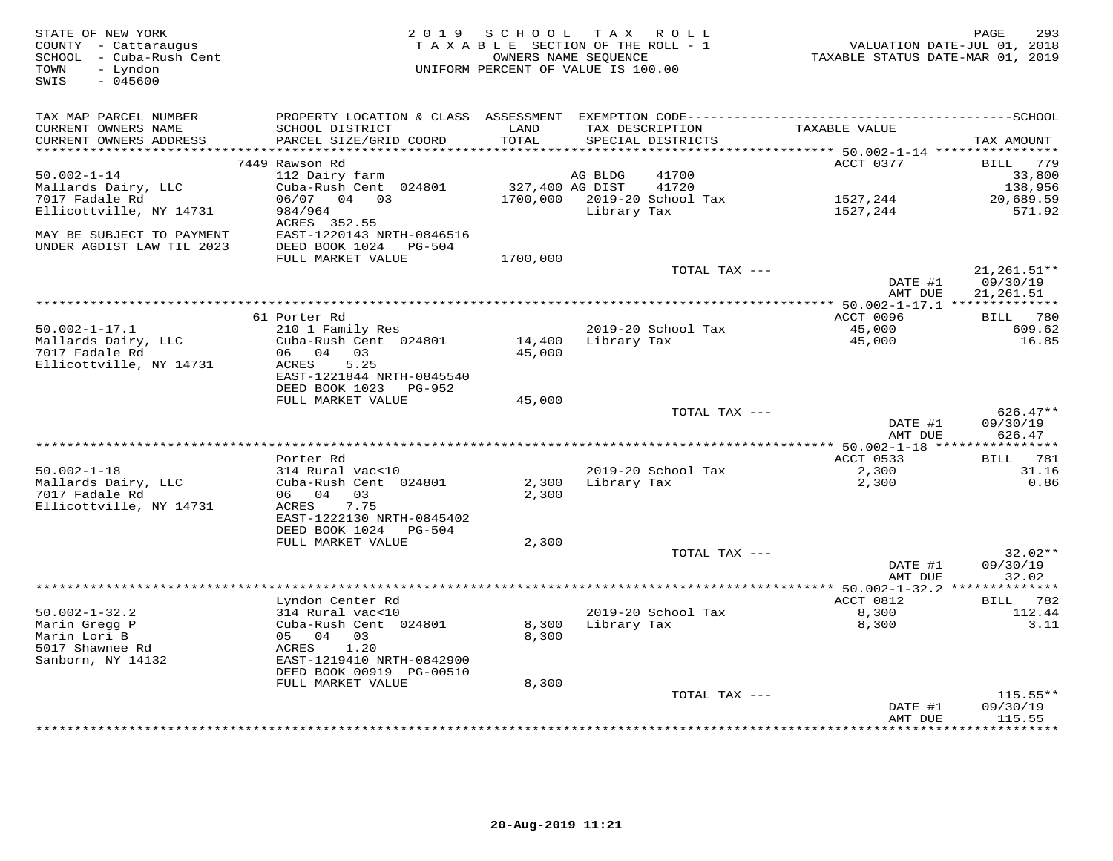| STATE OF NEW YORK<br>COUNTY - Cattaraugus<br>SCHOOL - Cuba-Rush Cent<br>TOWN<br>- Lyndon<br>$-045600$<br>SWIS |                                                    | 2019 SCHOOL TAX ROLL<br>TAXABLE SECTION OF THE ROLL - 1<br>UNIFORM PERCENT OF VALUE IS 100.00 | OWNERS NAME SEQUENCE                 |                    | VALUATION DATE-JUL 01, 2018<br>TAXABLE STATUS DATE-MAR 01, 2019 | 293<br>PAGE                |
|---------------------------------------------------------------------------------------------------------------|----------------------------------------------------|-----------------------------------------------------------------------------------------------|--------------------------------------|--------------------|-----------------------------------------------------------------|----------------------------|
| TAX MAP PARCEL NUMBER                                                                                         |                                                    |                                                                                               |                                      |                    |                                                                 |                            |
| CURRENT OWNERS NAME<br>CURRENT OWNERS ADDRESS                                                                 | SCHOOL DISTRICT<br>PARCEL SIZE/GRID COORD          | LAND<br>TOTAL                                                                                 | TAX DESCRIPTION<br>SPECIAL DISTRICTS |                    | TAXABLE VALUE                                                   | TAX AMOUNT                 |
| *******************                                                                                           |                                                    | ****************                                                                              |                                      |                    | ********* 50.002-1-14 *****************                         |                            |
| $50.002 - 1 - 14$                                                                                             | 7449 Rawson Rd<br>112 Dairy farm                   |                                                                                               | AG BLDG                              | 41700              | ACCT 0377                                                       | BILL 779<br>33,800         |
| Mallards Dairy, LLC                                                                                           | Cuba-Rush Cent 024801                              | 327,400 AG DIST                                                                               |                                      | 41720              |                                                                 | 138,956                    |
| 7017 Fadale Rd                                                                                                | 06/07 04 03                                        |                                                                                               | 1700,000 2019-20 School Tax          |                    | 1527,244                                                        | 20,689.59                  |
| Ellicottville, NY 14731                                                                                       | 984/964<br>ACRES 352.55                            |                                                                                               | Library Tax                          |                    | 1527,244                                                        | 571.92                     |
| MAY BE SUBJECT TO PAYMENT<br>UNDER AGDIST LAW TIL 2023                                                        | EAST-1220143 NRTH-0846516<br>DEED BOOK 1024 PG-504 |                                                                                               |                                      |                    |                                                                 |                            |
|                                                                                                               | FULL MARKET VALUE                                  | 1700,000                                                                                      |                                      |                    |                                                                 |                            |
|                                                                                                               |                                                    |                                                                                               |                                      | TOTAL TAX ---      | DATE #1                                                         | $21, 261.51**$<br>09/30/19 |
|                                                                                                               |                                                    |                                                                                               |                                      |                    | AMT DUE                                                         | 21,261.51                  |
|                                                                                                               | 61 Porter Rd                                       |                                                                                               |                                      |                    | ACCT 0096                                                       | BILL 780                   |
| $50.002 - 1 - 17.1$                                                                                           | 210 1 Family Res                                   |                                                                                               |                                      | 2019-20 School Tax | 45,000                                                          | 609.62                     |
| Mallards Dairy, LLC                                                                                           | Cuba-Rush Cent 024801                              | 14,400                                                                                        | Library Tax                          |                    | 45,000                                                          | 16.85                      |
| 7017 Fadale Rd                                                                                                | 06 04 03                                           | 45,000                                                                                        |                                      |                    |                                                                 |                            |
| Ellicottville, NY 14731                                                                                       | 5.25<br>ACRES                                      |                                                                                               |                                      |                    |                                                                 |                            |
|                                                                                                               | EAST-1221844 NRTH-0845540                          |                                                                                               |                                      |                    |                                                                 |                            |
|                                                                                                               | DEED BOOK 1023 PG-952                              |                                                                                               |                                      |                    |                                                                 |                            |
|                                                                                                               | FULL MARKET VALUE                                  | 45,000                                                                                        |                                      | TOTAL TAX ---      |                                                                 | $626.47**$                 |
|                                                                                                               |                                                    |                                                                                               |                                      |                    | DATE #1                                                         | 09/30/19                   |
|                                                                                                               |                                                    |                                                                                               |                                      |                    | AMT DUE                                                         | 626.47                     |
|                                                                                                               |                                                    |                                                                                               |                                      |                    |                                                                 |                            |
|                                                                                                               | Porter Rd                                          |                                                                                               |                                      |                    | ACCT 0533                                                       | BILL 781                   |
| $50.002 - 1 - 18$                                                                                             | 314 Rural vac<10                                   |                                                                                               | 2019-20 School Tax                   |                    | 2,300                                                           | 31.16                      |
| Mallards Dairy, LLC                                                                                           | Cuba-Rush Cent 024801                              | 2,300                                                                                         | Library Tax                          |                    | 2,300                                                           | 0.86                       |
| 7017 Fadale Rd                                                                                                | 06 04 03                                           | 2,300                                                                                         |                                      |                    |                                                                 |                            |
| Ellicottville, NY 14731                                                                                       | 7.75<br>ACRES<br>EAST-1222130 NRTH-0845402         |                                                                                               |                                      |                    |                                                                 |                            |
|                                                                                                               | DEED BOOK 1024<br>PG-504                           |                                                                                               |                                      |                    |                                                                 |                            |
|                                                                                                               | FULL MARKET VALUE                                  | 2,300                                                                                         |                                      |                    |                                                                 |                            |
|                                                                                                               |                                                    |                                                                                               |                                      | TOTAL TAX ---      |                                                                 | $32.02**$                  |
|                                                                                                               |                                                    |                                                                                               |                                      |                    | DATE #1                                                         | 09/30/19                   |
|                                                                                                               |                                                    |                                                                                               |                                      |                    | AMT DUE                                                         | 32.02                      |
|                                                                                                               |                                                    |                                                                                               |                                      |                    |                                                                 |                            |
|                                                                                                               | Lyndon Center Rd                                   |                                                                                               |                                      |                    | ACCT 0812                                                       | BILL 782                   |
| $50.002 - 1 - 32.2$                                                                                           | 314 Rural vac<10                                   |                                                                                               | 2019-20 School Tax                   |                    | 8,300                                                           | 112.44<br>3.11             |
| Marin Gregg P<br>Marin Lori B                                                                                 | Cuba-Rush Cent 024801<br>05 04 03                  | 8,300<br>8,300                                                                                | Library Tax                          |                    | 8,300                                                           |                            |
| 5017 Shawnee Rd                                                                                               | 1.20<br>ACRES                                      |                                                                                               |                                      |                    |                                                                 |                            |
| Sanborn, NY 14132                                                                                             | EAST-1219410 NRTH-0842900                          |                                                                                               |                                      |                    |                                                                 |                            |
|                                                                                                               | DEED BOOK 00919 PG-00510                           |                                                                                               |                                      |                    |                                                                 |                            |
|                                                                                                               | FULL MARKET VALUE                                  | 8,300                                                                                         |                                      |                    |                                                                 |                            |
|                                                                                                               |                                                    |                                                                                               |                                      | TOTAL TAX ---      |                                                                 | $115.55**$                 |
|                                                                                                               |                                                    |                                                                                               |                                      |                    | DATE #1                                                         | 09/30/19                   |
|                                                                                                               |                                                    |                                                                                               |                                      |                    | AMT DUE                                                         | 115.55<br>*********        |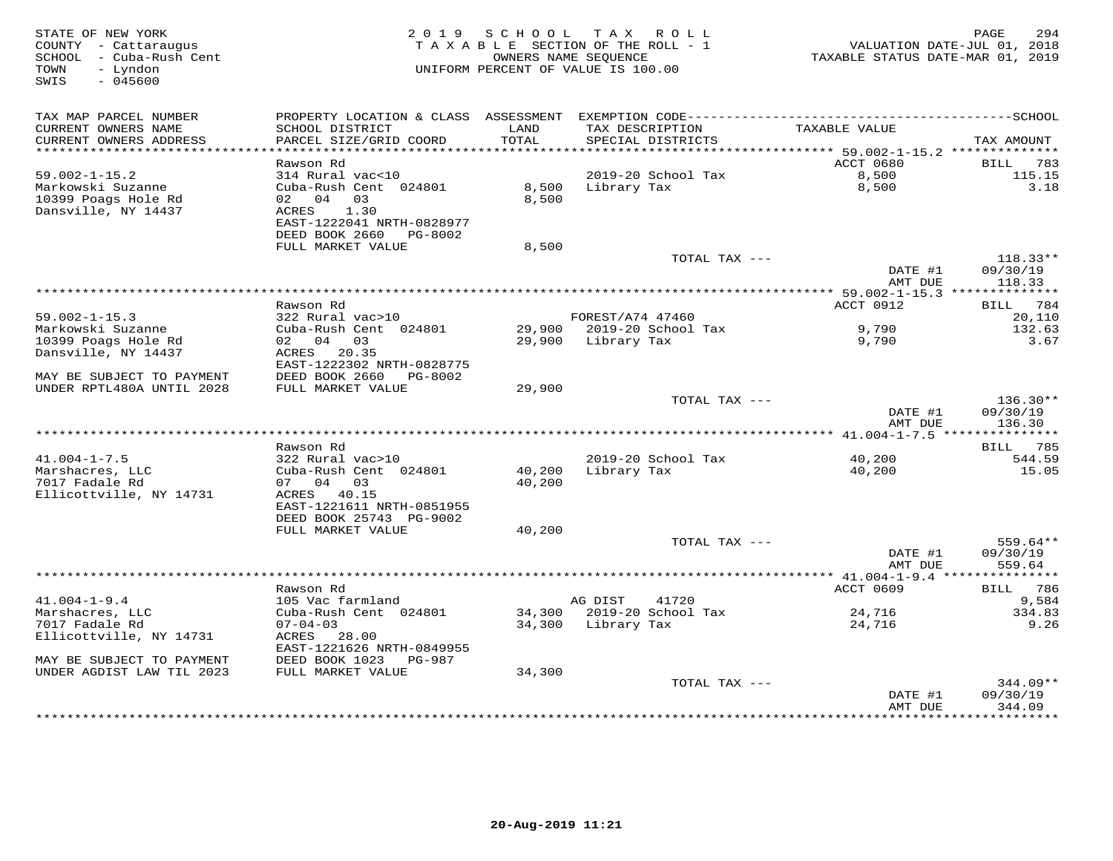| STATE OF NEW YORK<br>COUNTY - Cattaraugus<br>SCHOOL - Cuba-Rush Cent<br>- Lyndon<br>TOWN<br>SWIS<br>$-045600$ | 2 0 1 9                                                | SCHOOL TAX ROLL<br>TAXABLE SECTION OF THE ROLL - 1<br>OWNERS NAME SEQUENCE<br>UNIFORM PERCENT OF VALUE IS 100.00 |                  |                                      | VALUATION DATE-JUL 01, 2018<br>TAXABLE STATUS DATE-MAR 01, 2019 | 294<br>PAGE                      |
|---------------------------------------------------------------------------------------------------------------|--------------------------------------------------------|------------------------------------------------------------------------------------------------------------------|------------------|--------------------------------------|-----------------------------------------------------------------|----------------------------------|
|                                                                                                               |                                                        |                                                                                                                  |                  |                                      |                                                                 |                                  |
| TAX MAP PARCEL NUMBER<br>CURRENT OWNERS NAME<br>CURRENT OWNERS ADDRESS                                        | SCHOOL DISTRICT<br>PARCEL SIZE/GRID COORD              | LAND<br>TOTAL                                                                                                    |                  | TAX DESCRIPTION<br>SPECIAL DISTRICTS | TAXABLE VALUE                                                   | TAX AMOUNT                       |
| ***********************                                                                                       | ************************                               |                                                                                                                  |                  |                                      |                                                                 |                                  |
|                                                                                                               | Rawson Rd                                              |                                                                                                                  |                  |                                      | ACCT 0680                                                       | 783<br>BILL                      |
| $59.002 - 1 - 15.2$                                                                                           | 314 Rural vac<10                                       |                                                                                                                  |                  | 2019-20 School Tax                   | 8,500                                                           | 115.15                           |
| Markowski Suzanne<br>10399 Poags Hole Rd<br>Dansville, NY 14437                                               | Cuba-Rush Cent 024801<br>02 04<br>03<br>1.30<br>ACRES  | 8,500<br>8,500                                                                                                   | Library Tax      |                                      | 8,500                                                           | 3.18                             |
|                                                                                                               | EAST-1222041 NRTH-0828977<br>DEED BOOK 2660 PG-8002    |                                                                                                                  |                  |                                      |                                                                 |                                  |
|                                                                                                               | FULL MARKET VALUE                                      | 8,500                                                                                                            |                  |                                      |                                                                 |                                  |
|                                                                                                               |                                                        |                                                                                                                  |                  | TOTAL TAX ---                        | DATE #1<br>AMT DUE                                              | $118.33**$<br>09/30/19<br>118.33 |
|                                                                                                               |                                                        | *********************************                                                                                |                  |                                      | ******* 59.002-1-15.3 **************                            |                                  |
|                                                                                                               | Rawson Rd                                              |                                                                                                                  |                  |                                      | ACCT 0912                                                       | BILL 784                         |
| $59.002 - 1 - 15.3$                                                                                           | 322 Rural vac>10                                       |                                                                                                                  | FOREST/A74 47460 |                                      |                                                                 | 20,110                           |
| Markowski Suzanne                                                                                             | Cuba-Rush Cent 024801                                  |                                                                                                                  |                  | 29,900 2019-20 School Tax            | 9,790                                                           | 132.63                           |
| 10399 Poags Hole Rd<br>Dansville, NY 14437                                                                    | 02 04 03<br>ACRES 20.35                                | 29,900                                                                                                           | Library Tax      |                                      | 9,790                                                           | 3.67                             |
| MAY BE SUBJECT TO PAYMENT                                                                                     | EAST-1222302 NRTH-0828775<br>DEED BOOK 2660<br>PG-8002 |                                                                                                                  |                  |                                      |                                                                 |                                  |
| UNDER RPTL480A UNTIL 2028                                                                                     | FULL MARKET VALUE                                      | 29,900                                                                                                           |                  |                                      |                                                                 |                                  |
|                                                                                                               |                                                        |                                                                                                                  |                  | TOTAL TAX ---                        |                                                                 | $136.30**$                       |
|                                                                                                               |                                                        |                                                                                                                  |                  |                                      | DATE #1<br>AMT DUE                                              | 09/30/19<br>136.30               |
|                                                                                                               |                                                        |                                                                                                                  |                  |                                      |                                                                 |                                  |
|                                                                                                               | Rawson Rd                                              |                                                                                                                  |                  |                                      |                                                                 | BILL 785                         |
| $41.004 - 1 - 7.5$<br>Marshacres, LLC                                                                         | 322 Rural vac>10                                       |                                                                                                                  | Library Tax      | 2019-20 School Tax                   | 40,200                                                          | 544.59                           |
| 7017 Fadale Rd                                                                                                | Cuba-Rush Cent 024801<br>07 04 03                      | 40,200<br>40,200                                                                                                 |                  |                                      | 40,200                                                          | 15.05                            |
| Ellicottville, NY 14731                                                                                       | ACRES 40.15                                            |                                                                                                                  |                  |                                      |                                                                 |                                  |
|                                                                                                               | EAST-1221611 NRTH-0851955                              |                                                                                                                  |                  |                                      |                                                                 |                                  |
|                                                                                                               | DEED BOOK 25743 PG-9002                                |                                                                                                                  |                  |                                      |                                                                 |                                  |
|                                                                                                               | FULL MARKET VALUE                                      | 40,200                                                                                                           |                  |                                      |                                                                 |                                  |
|                                                                                                               |                                                        |                                                                                                                  |                  | TOTAL TAX ---                        |                                                                 | 559.64**                         |
|                                                                                                               |                                                        |                                                                                                                  |                  |                                      | DATE #1                                                         | 09/30/19                         |
|                                                                                                               |                                                        |                                                                                                                  |                  |                                      | AMT DUE<br>****************** 41.004-1-9.4 ****************     | 559.64                           |
|                                                                                                               | Rawson Rd                                              |                                                                                                                  |                  |                                      | ACCT 0609                                                       | BILL 786                         |
| $41.004 - 1 - 9.4$                                                                                            | 105 Vac farmland                                       |                                                                                                                  | AG DIST          | 41720                                |                                                                 | 9,584                            |
| Marshacres, LLC                                                                                               | Cuba-Rush Cent 024801                                  | 34,300                                                                                                           |                  | 2019-20 School Tax                   | 24,716                                                          | 334.83                           |
| 7017 Fadale Rd                                                                                                | $07 - 04 - 03$                                         | 34,300                                                                                                           | Library Tax      |                                      | 24,716                                                          | 9.26                             |
| Ellicottville, NY 14731                                                                                       | ACRES 28.00                                            |                                                                                                                  |                  |                                      |                                                                 |                                  |
|                                                                                                               | EAST-1221626 NRTH-0849955                              |                                                                                                                  |                  |                                      |                                                                 |                                  |
| MAY BE SUBJECT TO PAYMENT<br>UNDER AGDIST LAW TIL 2023                                                        | DEED BOOK 1023 PG-987<br>FULL MARKET VALUE             | 34,300                                                                                                           |                  |                                      |                                                                 |                                  |
|                                                                                                               |                                                        |                                                                                                                  |                  | TOTAL TAX ---                        |                                                                 | $344.09**$                       |
|                                                                                                               |                                                        |                                                                                                                  |                  |                                      | DATE #1                                                         | 09/30/19                         |
|                                                                                                               |                                                        |                                                                                                                  |                  |                                      | AMT DUE<br>* * * * * * * * * * *                                | 344.09<br>* * * * * * * * * *    |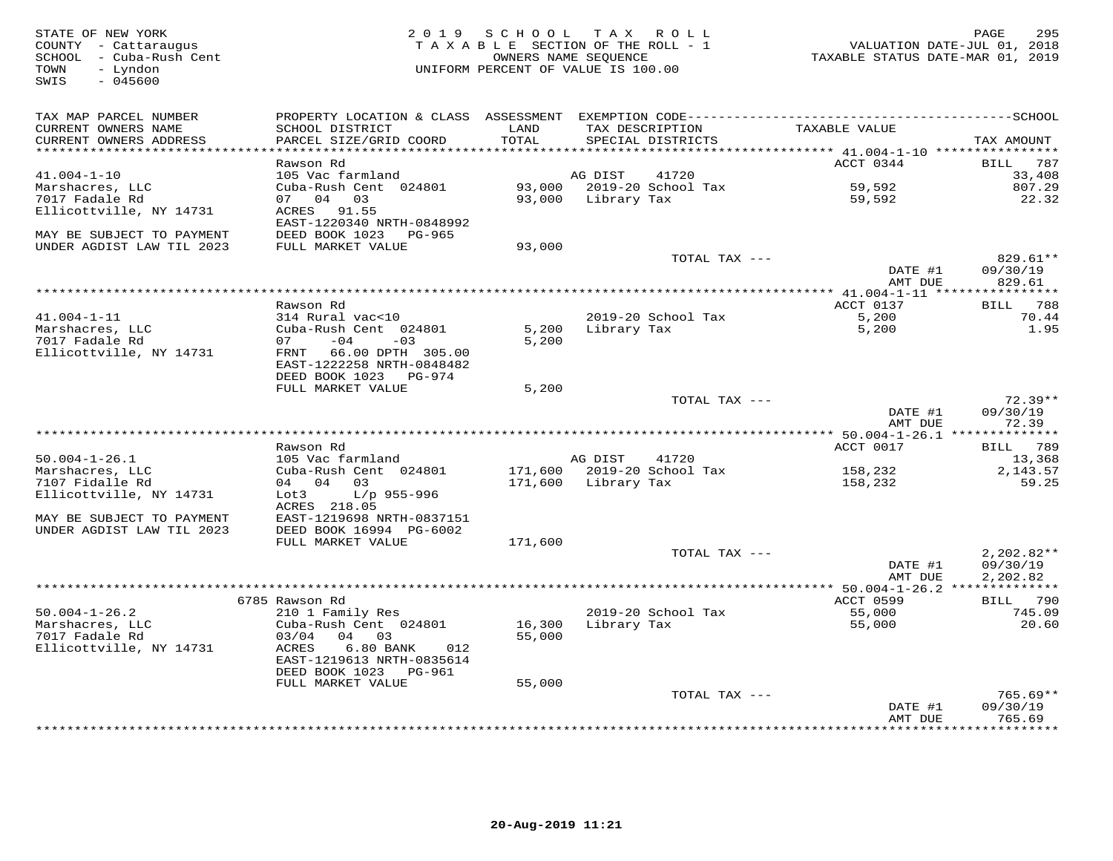| TAX MAP PARCEL NUMBER<br>CURRENT OWNERS NAME<br>LAND<br>TAX DESCRIPTION<br>TAXABLE VALUE<br>SCHOOL DISTRICT<br>CURRENT OWNERS ADDRESS<br>PARCEL SIZE/GRID COORD<br>TOTAL<br>SPECIAL DISTRICTS<br>TAX AMOUNT<br>**********************<br>*********<br>**************************** 41.004-1-10 ****************<br>ACCT 0344<br>787<br>Rawson Rd<br>BILL<br>105 Vac farmland<br>33,408<br>$41.004 - 1 - 10$<br>AG DIST<br>41720<br>Cuba-Rush Cent 024801<br>93,000<br>2019-20 School Tax<br>59,592<br>Marshacres, LLC<br>807.29<br>07 04 03<br>93,000<br>59,592<br>22.32<br>7017 Fadale Rd<br>Library Tax<br>Ellicottville, NY 14731<br>ACRES<br>91.55<br>EAST-1220340 NRTH-0848992<br>MAY BE SUBJECT TO PAYMENT<br>DEED BOOK 1023<br>PG-965<br>UNDER AGDIST LAW TIL 2023<br>FULL MARKET VALUE<br>93,000<br>TOTAL TAX ---<br>829.61**<br>DATE #1<br>09/30/19<br>AMT DUE<br>829.61<br>***********************<br>** 41.004-1-11 *****************<br>ACCT 0137<br>BILL 788<br>Rawson Rd<br>5,200<br>$41.004 - 1 - 11$<br>2019-20 School Tax<br>70.44<br>314 Rural vac<10<br>1.95<br>Marshacres, LLC<br>Cuba-Rush Cent 024801<br>5,200<br>Library Tax<br>5,200<br>7017 Fadale Rd<br>$-04$<br>5,200<br>07<br>$-03$<br>Ellicottville, NY 14731<br>FRNT 66.00 DPTH 305.00<br>EAST-1222258 NRTH-0848482<br>DEED BOOK 1023<br>PG-974<br>FULL MARKET VALUE<br>5,200<br>$72.39**$<br>TOTAL TAX ---<br>DATE #1<br>09/30/19<br>AMT DUE<br>72.39<br>****************** 50.004-1-26.1 ***************<br>ACCT 0017<br>Rawson Rd<br>789<br>BILL<br>$50.004 - 1 - 26.1$<br>105 Vac farmland<br>AG DIST<br>41720<br>13,368<br>Cuba-Rush Cent 024801<br>2019-20 School Tax<br>Marshacres, LLC<br>171,600<br>158,232<br>2,143.57<br>7107 Fidalle Rd<br>04 04 03<br>171,600<br>Library Tax<br>158,232<br>59.25<br>Ellicottville, NY 14731<br>Lot3<br>L/p 955-996<br>ACRES 218.05<br>MAY BE SUBJECT TO PAYMENT<br>EAST-1219698 NRTH-0837151<br>UNDER AGDIST LAW TIL 2023<br>DEED BOOK 16994 PG-6002<br>FULL MARKET VALUE<br>171,600<br>TOTAL TAX ---<br>$2,202.82**$<br>DATE #1<br>09/30/19<br>AMT DUE<br>2,202.82<br>**** 50.004-1-26.2 **************<br>ACCT 0599<br>6785 Rawson Rd<br>BILL 790<br>$50.004 - 1 - 26.2$<br>2019-20 School Tax<br>745.09<br>210 1 Family Res<br>55,000<br>Marshacres, LLC<br>Cuba-Rush Cent 024801<br>16,300<br>Library Tax<br>55,000<br>20.60<br>7017 Fadale Rd<br>03/04<br>04 03<br>55,000<br>Ellicottville, NY 14731<br>ACRES<br>6.80 BANK<br>012<br>EAST-1219613 NRTH-0835614<br>DEED BOOK 1023<br>PG-961<br>FULL MARKET VALUE<br>55,000<br>$765.69**$<br>TOTAL TAX ---<br>09/30/19<br>DATE #1<br>765.69<br>AMT DUE<br>*********<br>************* | STATE OF NEW YORK<br>COUNTY - Cattaraugus<br>SCHOOL - Cuba-Rush Cent<br>TOWN<br>- Lyndon<br>$-045600$<br>SWIS | 2019 SCHOOL<br>T A X A B L E SECTION OF THE ROLL - 1<br>UNIFORM PERCENT OF VALUE IS 100.00 | TAX ROLL<br>OWNERS NAME SEQUENCE | TAXABLE STATUS DATE-MAR 01, 2019 | PAGE<br>295<br>VALUATION DATE-JUL 01, 2018 |
|--------------------------------------------------------------------------------------------------------------------------------------------------------------------------------------------------------------------------------------------------------------------------------------------------------------------------------------------------------------------------------------------------------------------------------------------------------------------------------------------------------------------------------------------------------------------------------------------------------------------------------------------------------------------------------------------------------------------------------------------------------------------------------------------------------------------------------------------------------------------------------------------------------------------------------------------------------------------------------------------------------------------------------------------------------------------------------------------------------------------------------------------------------------------------------------------------------------------------------------------------------------------------------------------------------------------------------------------------------------------------------------------------------------------------------------------------------------------------------------------------------------------------------------------------------------------------------------------------------------------------------------------------------------------------------------------------------------------------------------------------------------------------------------------------------------------------------------------------------------------------------------------------------------------------------------------------------------------------------------------------------------------------------------------------------------------------------------------------------------------------------------------------------------------------------------------------------------------------------------------------------------------------------------------------------------------------------------------------------------------------------------------------------------------------------------------------------------------------------------------------------------------------------------------------------------------------------------------------------------------------------------------------------------------|---------------------------------------------------------------------------------------------------------------|--------------------------------------------------------------------------------------------|----------------------------------|----------------------------------|--------------------------------------------|
|                                                                                                                                                                                                                                                                                                                                                                                                                                                                                                                                                                                                                                                                                                                                                                                                                                                                                                                                                                                                                                                                                                                                                                                                                                                                                                                                                                                                                                                                                                                                                                                                                                                                                                                                                                                                                                                                                                                                                                                                                                                                                                                                                                                                                                                                                                                                                                                                                                                                                                                                                                                                                                                                    |                                                                                                               |                                                                                            |                                  |                                  |                                            |
|                                                                                                                                                                                                                                                                                                                                                                                                                                                                                                                                                                                                                                                                                                                                                                                                                                                                                                                                                                                                                                                                                                                                                                                                                                                                                                                                                                                                                                                                                                                                                                                                                                                                                                                                                                                                                                                                                                                                                                                                                                                                                                                                                                                                                                                                                                                                                                                                                                                                                                                                                                                                                                                                    |                                                                                                               |                                                                                            |                                  |                                  |                                            |
|                                                                                                                                                                                                                                                                                                                                                                                                                                                                                                                                                                                                                                                                                                                                                                                                                                                                                                                                                                                                                                                                                                                                                                                                                                                                                                                                                                                                                                                                                                                                                                                                                                                                                                                                                                                                                                                                                                                                                                                                                                                                                                                                                                                                                                                                                                                                                                                                                                                                                                                                                                                                                                                                    |                                                                                                               |                                                                                            |                                  |                                  |                                            |
|                                                                                                                                                                                                                                                                                                                                                                                                                                                                                                                                                                                                                                                                                                                                                                                                                                                                                                                                                                                                                                                                                                                                                                                                                                                                                                                                                                                                                                                                                                                                                                                                                                                                                                                                                                                                                                                                                                                                                                                                                                                                                                                                                                                                                                                                                                                                                                                                                                                                                                                                                                                                                                                                    |                                                                                                               |                                                                                            |                                  |                                  |                                            |
|                                                                                                                                                                                                                                                                                                                                                                                                                                                                                                                                                                                                                                                                                                                                                                                                                                                                                                                                                                                                                                                                                                                                                                                                                                                                                                                                                                                                                                                                                                                                                                                                                                                                                                                                                                                                                                                                                                                                                                                                                                                                                                                                                                                                                                                                                                                                                                                                                                                                                                                                                                                                                                                                    |                                                                                                               |                                                                                            |                                  |                                  |                                            |
|                                                                                                                                                                                                                                                                                                                                                                                                                                                                                                                                                                                                                                                                                                                                                                                                                                                                                                                                                                                                                                                                                                                                                                                                                                                                                                                                                                                                                                                                                                                                                                                                                                                                                                                                                                                                                                                                                                                                                                                                                                                                                                                                                                                                                                                                                                                                                                                                                                                                                                                                                                                                                                                                    |                                                                                                               |                                                                                            |                                  |                                  |                                            |
|                                                                                                                                                                                                                                                                                                                                                                                                                                                                                                                                                                                                                                                                                                                                                                                                                                                                                                                                                                                                                                                                                                                                                                                                                                                                                                                                                                                                                                                                                                                                                                                                                                                                                                                                                                                                                                                                                                                                                                                                                                                                                                                                                                                                                                                                                                                                                                                                                                                                                                                                                                                                                                                                    |                                                                                                               |                                                                                            |                                  |                                  |                                            |
|                                                                                                                                                                                                                                                                                                                                                                                                                                                                                                                                                                                                                                                                                                                                                                                                                                                                                                                                                                                                                                                                                                                                                                                                                                                                                                                                                                                                                                                                                                                                                                                                                                                                                                                                                                                                                                                                                                                                                                                                                                                                                                                                                                                                                                                                                                                                                                                                                                                                                                                                                                                                                                                                    |                                                                                                               |                                                                                            |                                  |                                  |                                            |
|                                                                                                                                                                                                                                                                                                                                                                                                                                                                                                                                                                                                                                                                                                                                                                                                                                                                                                                                                                                                                                                                                                                                                                                                                                                                                                                                                                                                                                                                                                                                                                                                                                                                                                                                                                                                                                                                                                                                                                                                                                                                                                                                                                                                                                                                                                                                                                                                                                                                                                                                                                                                                                                                    |                                                                                                               |                                                                                            |                                  |                                  |                                            |
|                                                                                                                                                                                                                                                                                                                                                                                                                                                                                                                                                                                                                                                                                                                                                                                                                                                                                                                                                                                                                                                                                                                                                                                                                                                                                                                                                                                                                                                                                                                                                                                                                                                                                                                                                                                                                                                                                                                                                                                                                                                                                                                                                                                                                                                                                                                                                                                                                                                                                                                                                                                                                                                                    |                                                                                                               |                                                                                            |                                  |                                  |                                            |
|                                                                                                                                                                                                                                                                                                                                                                                                                                                                                                                                                                                                                                                                                                                                                                                                                                                                                                                                                                                                                                                                                                                                                                                                                                                                                                                                                                                                                                                                                                                                                                                                                                                                                                                                                                                                                                                                                                                                                                                                                                                                                                                                                                                                                                                                                                                                                                                                                                                                                                                                                                                                                                                                    |                                                                                                               |                                                                                            |                                  |                                  |                                            |
|                                                                                                                                                                                                                                                                                                                                                                                                                                                                                                                                                                                                                                                                                                                                                                                                                                                                                                                                                                                                                                                                                                                                                                                                                                                                                                                                                                                                                                                                                                                                                                                                                                                                                                                                                                                                                                                                                                                                                                                                                                                                                                                                                                                                                                                                                                                                                                                                                                                                                                                                                                                                                                                                    |                                                                                                               |                                                                                            |                                  |                                  |                                            |
|                                                                                                                                                                                                                                                                                                                                                                                                                                                                                                                                                                                                                                                                                                                                                                                                                                                                                                                                                                                                                                                                                                                                                                                                                                                                                                                                                                                                                                                                                                                                                                                                                                                                                                                                                                                                                                                                                                                                                                                                                                                                                                                                                                                                                                                                                                                                                                                                                                                                                                                                                                                                                                                                    |                                                                                                               |                                                                                            |                                  |                                  |                                            |
|                                                                                                                                                                                                                                                                                                                                                                                                                                                                                                                                                                                                                                                                                                                                                                                                                                                                                                                                                                                                                                                                                                                                                                                                                                                                                                                                                                                                                                                                                                                                                                                                                                                                                                                                                                                                                                                                                                                                                                                                                                                                                                                                                                                                                                                                                                                                                                                                                                                                                                                                                                                                                                                                    |                                                                                                               |                                                                                            |                                  |                                  |                                            |
|                                                                                                                                                                                                                                                                                                                                                                                                                                                                                                                                                                                                                                                                                                                                                                                                                                                                                                                                                                                                                                                                                                                                                                                                                                                                                                                                                                                                                                                                                                                                                                                                                                                                                                                                                                                                                                                                                                                                                                                                                                                                                                                                                                                                                                                                                                                                                                                                                                                                                                                                                                                                                                                                    |                                                                                                               |                                                                                            |                                  |                                  |                                            |
|                                                                                                                                                                                                                                                                                                                                                                                                                                                                                                                                                                                                                                                                                                                                                                                                                                                                                                                                                                                                                                                                                                                                                                                                                                                                                                                                                                                                                                                                                                                                                                                                                                                                                                                                                                                                                                                                                                                                                                                                                                                                                                                                                                                                                                                                                                                                                                                                                                                                                                                                                                                                                                                                    |                                                                                                               |                                                                                            |                                  |                                  |                                            |
|                                                                                                                                                                                                                                                                                                                                                                                                                                                                                                                                                                                                                                                                                                                                                                                                                                                                                                                                                                                                                                                                                                                                                                                                                                                                                                                                                                                                                                                                                                                                                                                                                                                                                                                                                                                                                                                                                                                                                                                                                                                                                                                                                                                                                                                                                                                                                                                                                                                                                                                                                                                                                                                                    |                                                                                                               |                                                                                            |                                  |                                  |                                            |
|                                                                                                                                                                                                                                                                                                                                                                                                                                                                                                                                                                                                                                                                                                                                                                                                                                                                                                                                                                                                                                                                                                                                                                                                                                                                                                                                                                                                                                                                                                                                                                                                                                                                                                                                                                                                                                                                                                                                                                                                                                                                                                                                                                                                                                                                                                                                                                                                                                                                                                                                                                                                                                                                    |                                                                                                               |                                                                                            |                                  |                                  |                                            |
|                                                                                                                                                                                                                                                                                                                                                                                                                                                                                                                                                                                                                                                                                                                                                                                                                                                                                                                                                                                                                                                                                                                                                                                                                                                                                                                                                                                                                                                                                                                                                                                                                                                                                                                                                                                                                                                                                                                                                                                                                                                                                                                                                                                                                                                                                                                                                                                                                                                                                                                                                                                                                                                                    |                                                                                                               |                                                                                            |                                  |                                  |                                            |
|                                                                                                                                                                                                                                                                                                                                                                                                                                                                                                                                                                                                                                                                                                                                                                                                                                                                                                                                                                                                                                                                                                                                                                                                                                                                                                                                                                                                                                                                                                                                                                                                                                                                                                                                                                                                                                                                                                                                                                                                                                                                                                                                                                                                                                                                                                                                                                                                                                                                                                                                                                                                                                                                    |                                                                                                               |                                                                                            |                                  |                                  |                                            |
|                                                                                                                                                                                                                                                                                                                                                                                                                                                                                                                                                                                                                                                                                                                                                                                                                                                                                                                                                                                                                                                                                                                                                                                                                                                                                                                                                                                                                                                                                                                                                                                                                                                                                                                                                                                                                                                                                                                                                                                                                                                                                                                                                                                                                                                                                                                                                                                                                                                                                                                                                                                                                                                                    |                                                                                                               |                                                                                            |                                  |                                  |                                            |
|                                                                                                                                                                                                                                                                                                                                                                                                                                                                                                                                                                                                                                                                                                                                                                                                                                                                                                                                                                                                                                                                                                                                                                                                                                                                                                                                                                                                                                                                                                                                                                                                                                                                                                                                                                                                                                                                                                                                                                                                                                                                                                                                                                                                                                                                                                                                                                                                                                                                                                                                                                                                                                                                    |                                                                                                               |                                                                                            |                                  |                                  |                                            |
|                                                                                                                                                                                                                                                                                                                                                                                                                                                                                                                                                                                                                                                                                                                                                                                                                                                                                                                                                                                                                                                                                                                                                                                                                                                                                                                                                                                                                                                                                                                                                                                                                                                                                                                                                                                                                                                                                                                                                                                                                                                                                                                                                                                                                                                                                                                                                                                                                                                                                                                                                                                                                                                                    |                                                                                                               |                                                                                            |                                  |                                  |                                            |
|                                                                                                                                                                                                                                                                                                                                                                                                                                                                                                                                                                                                                                                                                                                                                                                                                                                                                                                                                                                                                                                                                                                                                                                                                                                                                                                                                                                                                                                                                                                                                                                                                                                                                                                                                                                                                                                                                                                                                                                                                                                                                                                                                                                                                                                                                                                                                                                                                                                                                                                                                                                                                                                                    |                                                                                                               |                                                                                            |                                  |                                  |                                            |
|                                                                                                                                                                                                                                                                                                                                                                                                                                                                                                                                                                                                                                                                                                                                                                                                                                                                                                                                                                                                                                                                                                                                                                                                                                                                                                                                                                                                                                                                                                                                                                                                                                                                                                                                                                                                                                                                                                                                                                                                                                                                                                                                                                                                                                                                                                                                                                                                                                                                                                                                                                                                                                                                    |                                                                                                               |                                                                                            |                                  |                                  |                                            |
|                                                                                                                                                                                                                                                                                                                                                                                                                                                                                                                                                                                                                                                                                                                                                                                                                                                                                                                                                                                                                                                                                                                                                                                                                                                                                                                                                                                                                                                                                                                                                                                                                                                                                                                                                                                                                                                                                                                                                                                                                                                                                                                                                                                                                                                                                                                                                                                                                                                                                                                                                                                                                                                                    |                                                                                                               |                                                                                            |                                  |                                  |                                            |
|                                                                                                                                                                                                                                                                                                                                                                                                                                                                                                                                                                                                                                                                                                                                                                                                                                                                                                                                                                                                                                                                                                                                                                                                                                                                                                                                                                                                                                                                                                                                                                                                                                                                                                                                                                                                                                                                                                                                                                                                                                                                                                                                                                                                                                                                                                                                                                                                                                                                                                                                                                                                                                                                    |                                                                                                               |                                                                                            |                                  |                                  |                                            |
|                                                                                                                                                                                                                                                                                                                                                                                                                                                                                                                                                                                                                                                                                                                                                                                                                                                                                                                                                                                                                                                                                                                                                                                                                                                                                                                                                                                                                                                                                                                                                                                                                                                                                                                                                                                                                                                                                                                                                                                                                                                                                                                                                                                                                                                                                                                                                                                                                                                                                                                                                                                                                                                                    |                                                                                                               |                                                                                            |                                  |                                  |                                            |
|                                                                                                                                                                                                                                                                                                                                                                                                                                                                                                                                                                                                                                                                                                                                                                                                                                                                                                                                                                                                                                                                                                                                                                                                                                                                                                                                                                                                                                                                                                                                                                                                                                                                                                                                                                                                                                                                                                                                                                                                                                                                                                                                                                                                                                                                                                                                                                                                                                                                                                                                                                                                                                                                    |                                                                                                               |                                                                                            |                                  |                                  |                                            |
|                                                                                                                                                                                                                                                                                                                                                                                                                                                                                                                                                                                                                                                                                                                                                                                                                                                                                                                                                                                                                                                                                                                                                                                                                                                                                                                                                                                                                                                                                                                                                                                                                                                                                                                                                                                                                                                                                                                                                                                                                                                                                                                                                                                                                                                                                                                                                                                                                                                                                                                                                                                                                                                                    |                                                                                                               |                                                                                            |                                  |                                  |                                            |
|                                                                                                                                                                                                                                                                                                                                                                                                                                                                                                                                                                                                                                                                                                                                                                                                                                                                                                                                                                                                                                                                                                                                                                                                                                                                                                                                                                                                                                                                                                                                                                                                                                                                                                                                                                                                                                                                                                                                                                                                                                                                                                                                                                                                                                                                                                                                                                                                                                                                                                                                                                                                                                                                    |                                                                                                               |                                                                                            |                                  |                                  |                                            |
|                                                                                                                                                                                                                                                                                                                                                                                                                                                                                                                                                                                                                                                                                                                                                                                                                                                                                                                                                                                                                                                                                                                                                                                                                                                                                                                                                                                                                                                                                                                                                                                                                                                                                                                                                                                                                                                                                                                                                                                                                                                                                                                                                                                                                                                                                                                                                                                                                                                                                                                                                                                                                                                                    |                                                                                                               |                                                                                            |                                  |                                  |                                            |
|                                                                                                                                                                                                                                                                                                                                                                                                                                                                                                                                                                                                                                                                                                                                                                                                                                                                                                                                                                                                                                                                                                                                                                                                                                                                                                                                                                                                                                                                                                                                                                                                                                                                                                                                                                                                                                                                                                                                                                                                                                                                                                                                                                                                                                                                                                                                                                                                                                                                                                                                                                                                                                                                    |                                                                                                               |                                                                                            |                                  |                                  |                                            |
|                                                                                                                                                                                                                                                                                                                                                                                                                                                                                                                                                                                                                                                                                                                                                                                                                                                                                                                                                                                                                                                                                                                                                                                                                                                                                                                                                                                                                                                                                                                                                                                                                                                                                                                                                                                                                                                                                                                                                                                                                                                                                                                                                                                                                                                                                                                                                                                                                                                                                                                                                                                                                                                                    |                                                                                                               |                                                                                            |                                  |                                  |                                            |
|                                                                                                                                                                                                                                                                                                                                                                                                                                                                                                                                                                                                                                                                                                                                                                                                                                                                                                                                                                                                                                                                                                                                                                                                                                                                                                                                                                                                                                                                                                                                                                                                                                                                                                                                                                                                                                                                                                                                                                                                                                                                                                                                                                                                                                                                                                                                                                                                                                                                                                                                                                                                                                                                    |                                                                                                               |                                                                                            |                                  |                                  |                                            |
|                                                                                                                                                                                                                                                                                                                                                                                                                                                                                                                                                                                                                                                                                                                                                                                                                                                                                                                                                                                                                                                                                                                                                                                                                                                                                                                                                                                                                                                                                                                                                                                                                                                                                                                                                                                                                                                                                                                                                                                                                                                                                                                                                                                                                                                                                                                                                                                                                                                                                                                                                                                                                                                                    |                                                                                                               |                                                                                            |                                  |                                  |                                            |
|                                                                                                                                                                                                                                                                                                                                                                                                                                                                                                                                                                                                                                                                                                                                                                                                                                                                                                                                                                                                                                                                                                                                                                                                                                                                                                                                                                                                                                                                                                                                                                                                                                                                                                                                                                                                                                                                                                                                                                                                                                                                                                                                                                                                                                                                                                                                                                                                                                                                                                                                                                                                                                                                    |                                                                                                               |                                                                                            |                                  |                                  |                                            |
|                                                                                                                                                                                                                                                                                                                                                                                                                                                                                                                                                                                                                                                                                                                                                                                                                                                                                                                                                                                                                                                                                                                                                                                                                                                                                                                                                                                                                                                                                                                                                                                                                                                                                                                                                                                                                                                                                                                                                                                                                                                                                                                                                                                                                                                                                                                                                                                                                                                                                                                                                                                                                                                                    |                                                                                                               |                                                                                            |                                  |                                  |                                            |
|                                                                                                                                                                                                                                                                                                                                                                                                                                                                                                                                                                                                                                                                                                                                                                                                                                                                                                                                                                                                                                                                                                                                                                                                                                                                                                                                                                                                                                                                                                                                                                                                                                                                                                                                                                                                                                                                                                                                                                                                                                                                                                                                                                                                                                                                                                                                                                                                                                                                                                                                                                                                                                                                    |                                                                                                               |                                                                                            |                                  |                                  |                                            |
|                                                                                                                                                                                                                                                                                                                                                                                                                                                                                                                                                                                                                                                                                                                                                                                                                                                                                                                                                                                                                                                                                                                                                                                                                                                                                                                                                                                                                                                                                                                                                                                                                                                                                                                                                                                                                                                                                                                                                                                                                                                                                                                                                                                                                                                                                                                                                                                                                                                                                                                                                                                                                                                                    |                                                                                                               |                                                                                            |                                  |                                  |                                            |
|                                                                                                                                                                                                                                                                                                                                                                                                                                                                                                                                                                                                                                                                                                                                                                                                                                                                                                                                                                                                                                                                                                                                                                                                                                                                                                                                                                                                                                                                                                                                                                                                                                                                                                                                                                                                                                                                                                                                                                                                                                                                                                                                                                                                                                                                                                                                                                                                                                                                                                                                                                                                                                                                    |                                                                                                               |                                                                                            |                                  |                                  |                                            |
|                                                                                                                                                                                                                                                                                                                                                                                                                                                                                                                                                                                                                                                                                                                                                                                                                                                                                                                                                                                                                                                                                                                                                                                                                                                                                                                                                                                                                                                                                                                                                                                                                                                                                                                                                                                                                                                                                                                                                                                                                                                                                                                                                                                                                                                                                                                                                                                                                                                                                                                                                                                                                                                                    |                                                                                                               |                                                                                            |                                  |                                  |                                            |
|                                                                                                                                                                                                                                                                                                                                                                                                                                                                                                                                                                                                                                                                                                                                                                                                                                                                                                                                                                                                                                                                                                                                                                                                                                                                                                                                                                                                                                                                                                                                                                                                                                                                                                                                                                                                                                                                                                                                                                                                                                                                                                                                                                                                                                                                                                                                                                                                                                                                                                                                                                                                                                                                    |                                                                                                               |                                                                                            |                                  |                                  |                                            |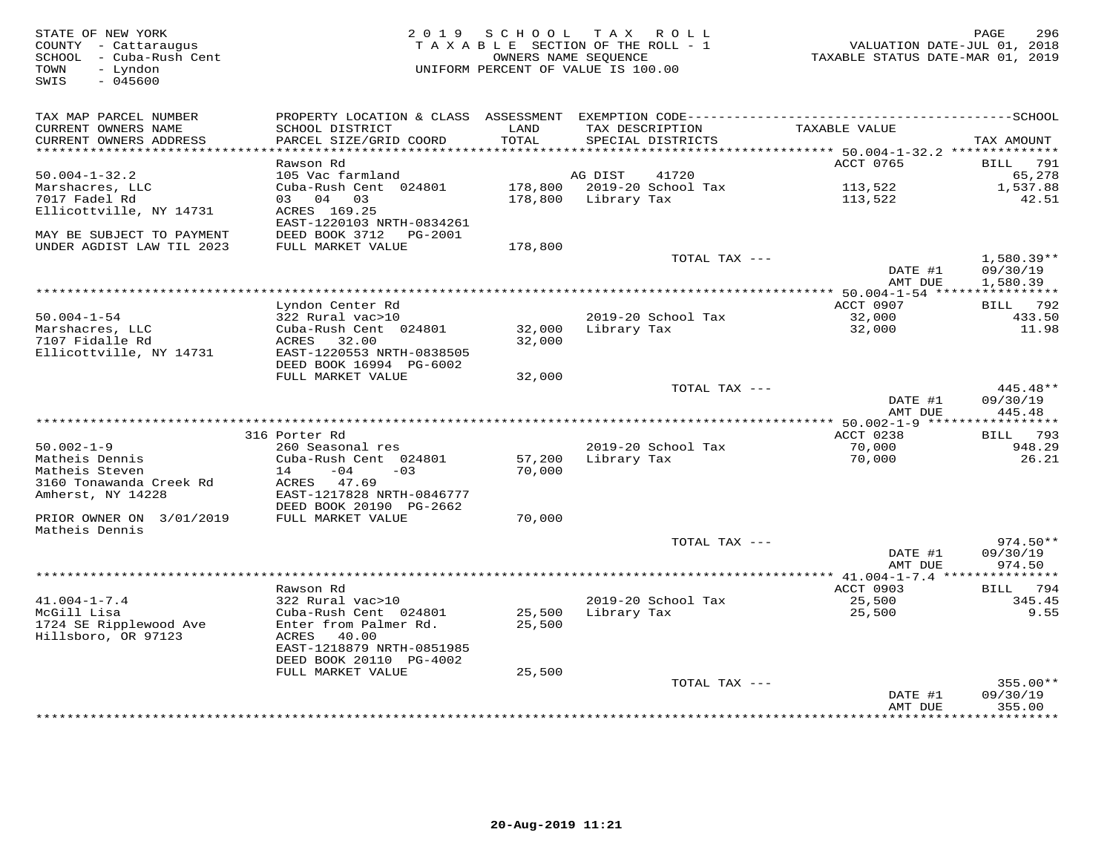| STATE OF NEW YORK<br>COUNTY - Cattaraugus<br>SCHOOL - Cuba-Rush Cent<br>- Lyndon<br>TOWN<br>$-045600$<br>SWIS | 2 0 1 9                                                                |               | SCHOOL TAX ROLL<br>TAXABLE SECTION OF THE ROLL - 1<br>OWNERS NAME SEQUENCE<br>UNIFORM PERCENT OF VALUE IS 100.00 | VALUATION DATE-JUL 01, 2018<br>TAXABLE STATUS DATE-MAR 01, 2019 | 296<br>PAGE              |
|---------------------------------------------------------------------------------------------------------------|------------------------------------------------------------------------|---------------|------------------------------------------------------------------------------------------------------------------|-----------------------------------------------------------------|--------------------------|
| TAX MAP PARCEL NUMBER<br>CURRENT OWNERS NAME<br>CURRENT OWNERS ADDRESS<br>***********************             | SCHOOL DISTRICT<br>PARCEL SIZE/GRID COORD<br>************************* | LAND<br>TOTAL | TAX DESCRIPTION<br>SPECIAL DISTRICTS                                                                             | TAXABLE VALUE                                                   | TAX AMOUNT               |
|                                                                                                               | Rawson Rd                                                              |               |                                                                                                                  | ACCT 0765                                                       | <b>BILL</b><br>791       |
| $50.004 - 1 - 32.2$                                                                                           | 105 Vac farmland                                                       |               | AG DIST<br>41720                                                                                                 |                                                                 | 65,278                   |
| Marshacres, LLC                                                                                               | Cuba-Rush Cent 024801                                                  | 178,800       | 2019-20 School Tax                                                                                               | 113,522                                                         | 1,537.88                 |
| 7017 Fadel Rd<br>Ellicottville, NY 14731                                                                      | 03 04 03<br>ACRES 169.25                                               | 178,800       | Library Tax                                                                                                      | 113,522                                                         | 42.51                    |
|                                                                                                               | EAST-1220103 NRTH-0834261                                              |               |                                                                                                                  |                                                                 |                          |
| MAY BE SUBJECT TO PAYMENT                                                                                     | DEED BOOK 3712 PG-2001                                                 |               |                                                                                                                  |                                                                 |                          |
| UNDER AGDIST LAW TIL 2023                                                                                     | FULL MARKET VALUE                                                      | 178,800       |                                                                                                                  |                                                                 |                          |
|                                                                                                               |                                                                        |               | TOTAL TAX ---                                                                                                    | DATE #1                                                         | $1,580.39**$<br>09/30/19 |
|                                                                                                               |                                                                        |               |                                                                                                                  | AMT DUE                                                         | 1,580.39                 |
|                                                                                                               |                                                                        |               |                                                                                                                  | ********** 50.004-1-54 *****                                    | ***********              |
|                                                                                                               | Lyndon Center Rd                                                       |               |                                                                                                                  | ACCT 0907                                                       | <b>BILL</b> 792          |
| $50.004 - 1 - 54$<br>Marshacres, LLC                                                                          | 322 Rural vac>10<br>Cuba-Rush Cent 024801                              | 32,000        | 2019-20 School Tax<br>Library Tax                                                                                | 32,000<br>32,000                                                | 433.50<br>11.98          |
| 7107 Fidalle Rd                                                                                               | ACRES<br>32.00                                                         | 32,000        |                                                                                                                  |                                                                 |                          |
| Ellicottville, NY 14731                                                                                       | EAST-1220553 NRTH-0838505                                              |               |                                                                                                                  |                                                                 |                          |
|                                                                                                               | DEED BOOK 16994 PG-6002                                                |               |                                                                                                                  |                                                                 |                          |
|                                                                                                               | FULL MARKET VALUE                                                      | 32,000        |                                                                                                                  |                                                                 | 445.48**                 |
|                                                                                                               |                                                                        |               | TOTAL TAX ---                                                                                                    | DATE #1                                                         | 09/30/19                 |
|                                                                                                               |                                                                        |               |                                                                                                                  | AMT DUE                                                         | 445.48                   |
|                                                                                                               |                                                                        |               |                                                                                                                  |                                                                 |                          |
|                                                                                                               | 316 Porter Rd                                                          |               |                                                                                                                  | ACCT 0238                                                       | BILL 793                 |
| $50.002 - 1 - 9$<br>Matheis Dennis                                                                            | 260 Seasonal res<br>Cuba-Rush Cent 024801                              | 57,200        | 2019-20 School Tax<br>Library Tax                                                                                | 70,000<br>70,000                                                | 948.29<br>26.21          |
| Matheis Steven                                                                                                | 14<br>$-04$<br>$-0.3$                                                  | 70,000        |                                                                                                                  |                                                                 |                          |
| 3160 Tonawanda Creek Rd                                                                                       | 47.69<br>ACRES                                                         |               |                                                                                                                  |                                                                 |                          |
| Amherst, NY 14228                                                                                             | EAST-1217828 NRTH-0846777                                              |               |                                                                                                                  |                                                                 |                          |
| PRIOR OWNER ON 3/01/2019                                                                                      | DEED BOOK 20190 PG-2662<br>FULL MARKET VALUE                           | 70,000        |                                                                                                                  |                                                                 |                          |
| Matheis Dennis                                                                                                |                                                                        |               |                                                                                                                  |                                                                 |                          |
|                                                                                                               |                                                                        |               | TOTAL TAX ---                                                                                                    |                                                                 | $974.50**$               |
|                                                                                                               |                                                                        |               |                                                                                                                  | DATE #1                                                         | 09/30/19                 |
|                                                                                                               |                                                                        |               |                                                                                                                  | AMT DUE                                                         | 974.50                   |
|                                                                                                               | Rawson Rd                                                              |               |                                                                                                                  | ****************** 41.004-1-7.4 ****************<br>ACCT 0903   | 794<br>BILL              |
| $41.004 - 1 - 7.4$                                                                                            | 322 Rural vac>10                                                       |               | 2019-20 School Tax                                                                                               | 25,500                                                          | 345.45                   |
| McGill Lisa                                                                                                   | Cuba-Rush Cent 024801                                                  | 25,500        | Library Tax                                                                                                      | 25,500                                                          | 9.55                     |
| 1724 SE Ripplewood Ave                                                                                        | Enter from Palmer Rd.                                                  | 25,500        |                                                                                                                  |                                                                 |                          |
| Hillsboro, OR 97123                                                                                           | ACRES<br>40.00<br>EAST-1218879 NRTH-0851985                            |               |                                                                                                                  |                                                                 |                          |
|                                                                                                               | DEED BOOK 20110 PG-4002                                                |               |                                                                                                                  |                                                                 |                          |
|                                                                                                               | FULL MARKET VALUE                                                      | 25,500        |                                                                                                                  |                                                                 |                          |
|                                                                                                               |                                                                        |               | TOTAL TAX ---                                                                                                    |                                                                 | $355.00**$               |
|                                                                                                               |                                                                        |               |                                                                                                                  | DATE #1<br>AMT DUE                                              | 09/30/19<br>355.00       |
|                                                                                                               |                                                                        |               |                                                                                                                  |                                                                 | ********                 |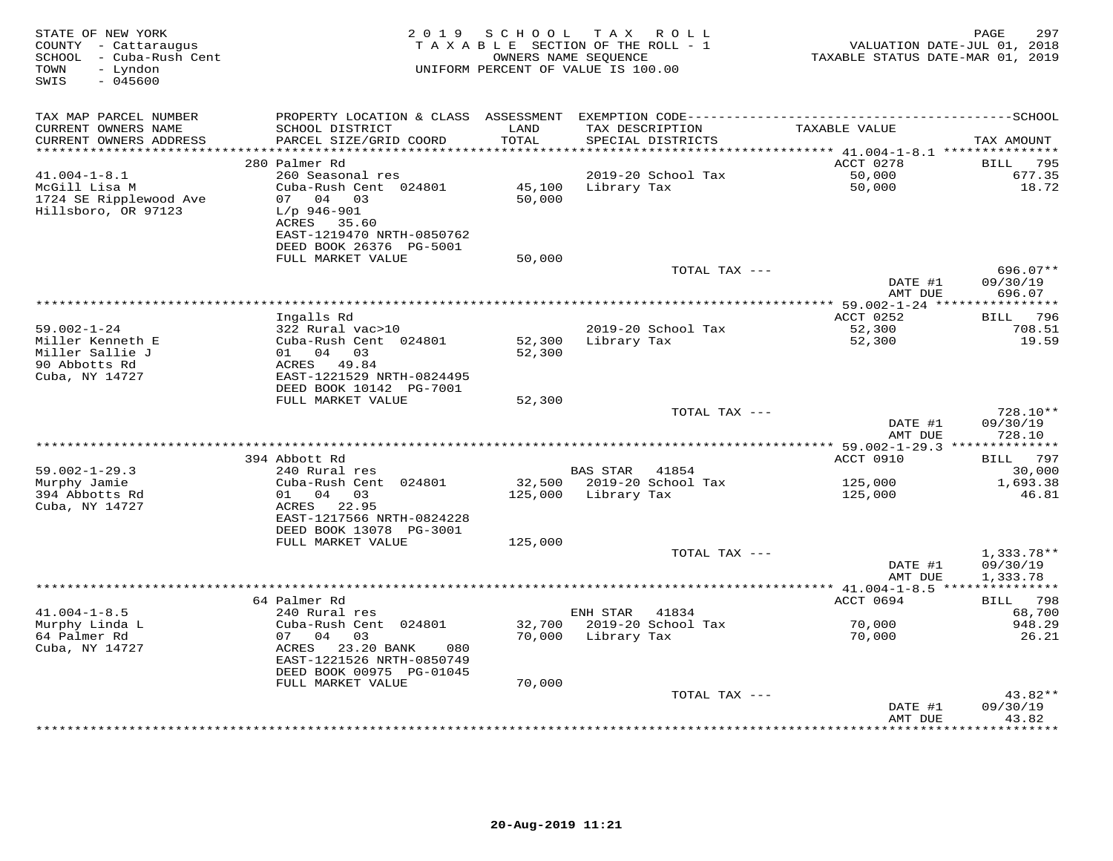| STATE OF NEW YORK<br>COUNTY - Cattaraugus<br>SCHOOL - Cuba-Rush Cent<br>TOWN<br>- Lyndon<br>$-045600$<br>SWIS |                                                                                                  | 2019 SCHOOL   | TAX ROLL<br>TAXABLE SECTION OF THE ROLL - 1<br>OWNERS NAME SEQUENCE<br>UNIFORM PERCENT OF VALUE IS 100.00 | VALUATION DATE-JUL 01, 2018<br>TAXABLE STATUS DATE-MAR 01, 2019 | 297<br>PAGE                      |
|---------------------------------------------------------------------------------------------------------------|--------------------------------------------------------------------------------------------------|---------------|-----------------------------------------------------------------------------------------------------------|-----------------------------------------------------------------|----------------------------------|
| TAX MAP PARCEL NUMBER                                                                                         |                                                                                                  |               |                                                                                                           |                                                                 |                                  |
| CURRENT OWNERS NAME<br>CURRENT OWNERS ADDRESS                                                                 | SCHOOL DISTRICT<br>PARCEL SIZE/GRID COORD                                                        | LAND<br>TOTAL | TAX DESCRIPTION<br>SPECIAL DISTRICTS                                                                      | TAXABLE VALUE                                                   | TAX AMOUNT                       |
| ************************                                                                                      |                                                                                                  |               |                                                                                                           |                                                                 |                                  |
|                                                                                                               | 280 Palmer Rd                                                                                    |               |                                                                                                           | ACCT 0278                                                       | 795<br>BILL                      |
| $41.004 - 1 - 8.1$                                                                                            | 260 Seasonal res<br>Cuba-Rush Cent 024801                                                        |               | 2019-20 School Tax                                                                                        | 50,000                                                          | 677.35                           |
| McGill Lisa M<br>1724 SE Ripplewood Ave<br>Hillsboro, OR 97123                                                | 07 04 03<br>$L/p$ 946-901<br>ACRES 35.60<br>EAST-1219470 NRTH-0850762<br>DEED BOOK 26376 PG-5001 | 50,000        | 45,100 Library Tax                                                                                        | 50,000                                                          | 18.72                            |
|                                                                                                               | FULL MARKET VALUE                                                                                | 50,000        |                                                                                                           |                                                                 |                                  |
|                                                                                                               |                                                                                                  |               | TOTAL TAX ---                                                                                             | DATE #1<br>AMT DUE                                              | $696.07**$<br>09/30/19<br>696.07 |
|                                                                                                               |                                                                                                  |               |                                                                                                           | *************** 59.002-1-24 ****                                | ***********                      |
|                                                                                                               | Ingalls Rd                                                                                       |               |                                                                                                           | ACCT 0252                                                       | BILL 796                         |
| $59.002 - 1 - 24$                                                                                             | 322 Rural vac>10                                                                                 |               | 2019-20 School Tax                                                                                        | $\frac{1}{52}$ , 300<br>52, 300                                 | 708.51                           |
| Miller Kenneth E<br>Miller Sallie J<br>90 Abbotts Rd<br>Cuba, NY 14727                                        | Cuba-Rush Cent 024801<br>01 04 03<br>ACRES 49.84<br>EAST-1221529 NRTH-0824495                    | 52,300        | 52,300 Library Tax                                                                                        |                                                                 | 19.59                            |
|                                                                                                               | DEED BOOK 10142 PG-7001                                                                          |               |                                                                                                           |                                                                 |                                  |
|                                                                                                               | FULL MARKET VALUE                                                                                | 52,300        |                                                                                                           |                                                                 |                                  |
|                                                                                                               |                                                                                                  |               | TOTAL TAX ---                                                                                             | DATE #1                                                         | 728.10**<br>09/30/19             |
|                                                                                                               |                                                                                                  |               |                                                                                                           | AMT DUE                                                         | 728.10                           |
|                                                                                                               | 394 Abbott Rd                                                                                    |               |                                                                                                           | ACCT 0910                                                       | BILL 797                         |
| $59.002 - 1 - 29.3$                                                                                           | 240 Rural res                                                                                    |               | BAS STAR<br>41854                                                                                         |                                                                 | 30,000                           |
| Murphy Jamie                                                                                                  | Cuba-Rush Cent 024801                                                                            |               | 32,500 2019-20 School Tax                                                                                 | 125,000                                                         | 1,693.38                         |
| 394 Abbotts Rd<br>Cuba, NY 14727                                                                              | 01 04 03<br>ACRES 22.95<br>EAST-1217566 NRTH-0824228<br>DEED BOOK 13078 PG-3001                  |               | 125,000 Library Tax                                                                                       | 125,000                                                         | 46.81                            |
|                                                                                                               | FULL MARKET VALUE                                                                                | 125,000       | TOTAL TAX ---                                                                                             |                                                                 | $1,333.78**$                     |
|                                                                                                               |                                                                                                  |               |                                                                                                           | DATE #1<br>AMT DUE                                              | 09/30/19<br>1,333.78             |
|                                                                                                               |                                                                                                  |               |                                                                                                           |                                                                 |                                  |
|                                                                                                               | 64 Palmer Rd                                                                                     |               |                                                                                                           | ACCT 0694                                                       | BILL 798                         |
| $41.004 - 1 - 8.5$                                                                                            | 240 Rural res                                                                                    |               | ENH STAR<br>41834                                                                                         |                                                                 | 68,700                           |
| Murphy Linda L                                                                                                | Cuba-Rush Cent 024801                                                                            |               | 32,700 2019-20 School Tax                                                                                 | 70,000                                                          | 948.29                           |
| 64 Palmer Rd<br>Cuba, NY 14727                                                                                | 07 04 03<br>ACRES 23.20 BANK<br>080<br>EAST-1221526 NRTH-0850749<br>DEED BOOK 00975 PG-01045     | 70,000        | Library Tax                                                                                               | 70,000                                                          | 26.21                            |
|                                                                                                               | FULL MARKET VALUE                                                                                | 70,000        |                                                                                                           |                                                                 |                                  |
|                                                                                                               |                                                                                                  |               | TOTAL TAX ---                                                                                             | DATE #1<br>AMT DUE                                              | 43.82**<br>09/30/19<br>43.82     |
|                                                                                                               |                                                                                                  |               |                                                                                                           |                                                                 | * * * * * * * * * *              |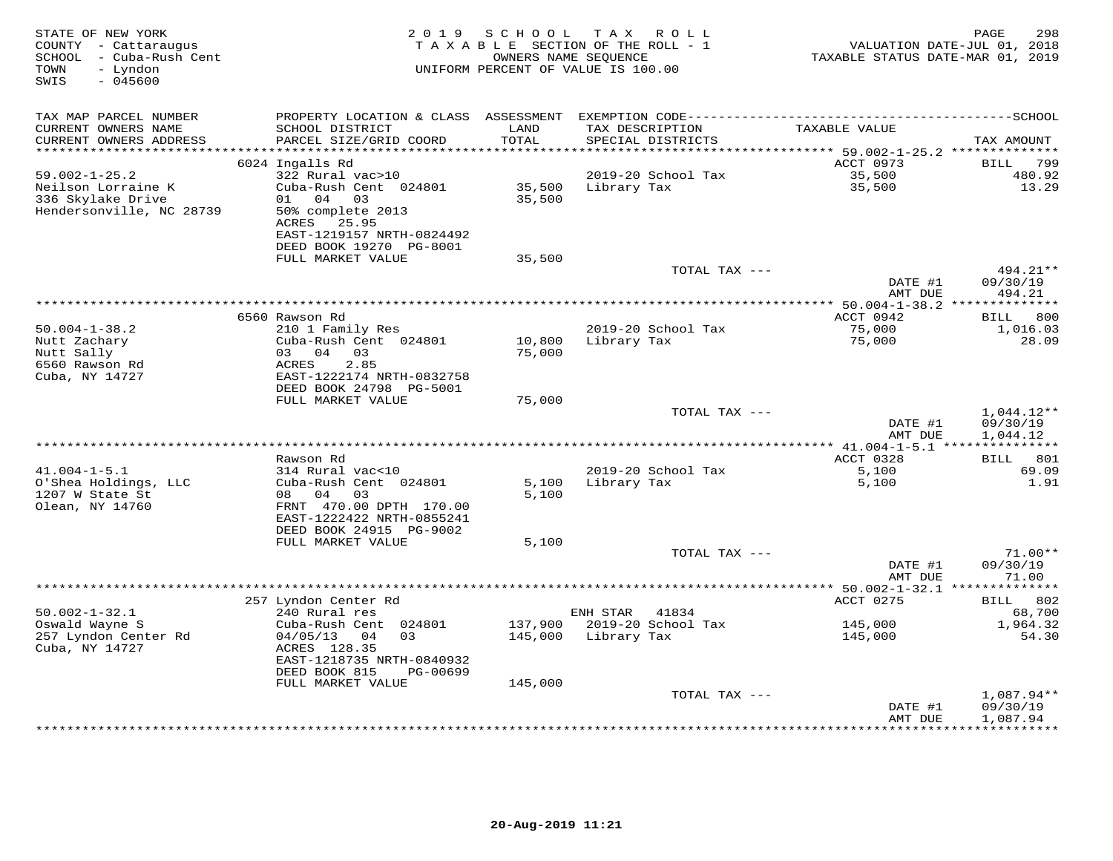| STATE OF NEW YORK<br>COUNTY - Cattaraugus<br>- Cuba-Rush Cent<br>SCHOOL<br>TOWN<br>- Lyndon<br>SWIS<br>$-045600$ | 2 0 1 9                                                          | SCHOOL<br>OWNERS NAME SEQUENCE | T A X<br>R O L L<br>TAXABLE SECTION OF THE ROLL - 1<br>UNIFORM PERCENT OF VALUE IS 100.00 | TAXABLE STATUS DATE-MAR 01, 2019 | 298<br>PAGE<br>VALUATION DATE-JUL 01, 2018 |
|------------------------------------------------------------------------------------------------------------------|------------------------------------------------------------------|--------------------------------|-------------------------------------------------------------------------------------------|----------------------------------|--------------------------------------------|
| TAX MAP PARCEL NUMBER                                                                                            |                                                                  |                                |                                                                                           |                                  |                                            |
| CURRENT OWNERS NAME<br>CURRENT OWNERS ADDRESS                                                                    | SCHOOL DISTRICT<br>PARCEL SIZE/GRID COORD                        | LAND<br>TOTAL                  | TAX DESCRIPTION<br>SPECIAL DISTRICTS                                                      | TAXABLE VALUE                    | TAX AMOUNT                                 |
| ***********************                                                                                          |                                                                  |                                |                                                                                           |                                  |                                            |
| $59.002 - 1 - 25.2$                                                                                              | 6024 Ingalls Rd<br>322 Rural vac>10                              |                                | 2019-20 School Tax                                                                        | ACCT 0973<br>35,500              | 799<br>BILL<br>480.92                      |
| Neilson Lorraine K<br>336 Skylake Drive                                                                          | Cuba-Rush Cent 024801<br>04<br>03<br>01                          | 35,500<br>35,500               | Library Tax                                                                               | 35,500                           | 13.29                                      |
| Hendersonville, NC 28739                                                                                         | 50% complete 2013<br>25.95<br>ACRES<br>EAST-1219157 NRTH-0824492 |                                |                                                                                           |                                  |                                            |
|                                                                                                                  | DEED BOOK 19270 PG-8001<br>FULL MARKET VALUE                     | 35,500                         |                                                                                           |                                  |                                            |
|                                                                                                                  |                                                                  |                                | TOTAL TAX ---                                                                             |                                  | 494.21**                                   |
|                                                                                                                  |                                                                  |                                |                                                                                           | DATE #1<br>AMT DUE               | 09/30/19<br>494.21                         |
|                                                                                                                  |                                                                  |                                |                                                                                           | *************** 50.004-1-38.2 *  |                                            |
| $50.004 - 1 - 38.2$                                                                                              | 6560 Rawson Rd<br>210 1 Family Res                               |                                | 2019-20 School Tax                                                                        | ACCT 0942<br>75,000              | 800<br>BILL<br>1,016.03                    |
| Nutt Zachary                                                                                                     | Cuba-Rush Cent 024801                                            | 10,800                         | Library Tax                                                                               | 75,000                           | 28.09                                      |
| Nutt Sally                                                                                                       | 03 04<br>03                                                      | 75,000                         |                                                                                           |                                  |                                            |
| 6560 Rawson Rd                                                                                                   | 2.85<br>ACRES                                                    |                                |                                                                                           |                                  |                                            |
| Cuba, NY 14727                                                                                                   | EAST-1222174 NRTH-0832758                                        |                                |                                                                                           |                                  |                                            |
|                                                                                                                  | DEED BOOK 24798 PG-5001<br>FULL MARKET VALUE                     | 75,000                         |                                                                                           |                                  |                                            |
|                                                                                                                  |                                                                  |                                | TOTAL TAX ---                                                                             |                                  | $1,044.12**$                               |
|                                                                                                                  |                                                                  |                                |                                                                                           | DATE #1<br>AMT DUE               | 09/30/19<br>1,044.12                       |
|                                                                                                                  | * * * * * * * * * * * *                                          |                                |                                                                                           | *********** 41.004-1-5.1         | ***************                            |
| $41.004 - 1 - 5.1$                                                                                               | Rawson Rd<br>314 Rural vac<10                                    |                                | 2019-20 School Tax                                                                        | ACCT 0328                        | BILL 801<br>69.09                          |
| O'Shea Holdings, LLC                                                                                             | Cuba-Rush Cent 024801                                            | 5,100                          | Library Tax                                                                               | 5,100<br>5,100                   | 1.91                                       |
| 1207 W State St                                                                                                  | 08 04<br>03                                                      | 5,100                          |                                                                                           |                                  |                                            |
| Olean, NY 14760                                                                                                  | FRNT 470.00 DPTH 170.00                                          |                                |                                                                                           |                                  |                                            |
|                                                                                                                  | EAST-1222422 NRTH-0855241                                        |                                |                                                                                           |                                  |                                            |
|                                                                                                                  | DEED BOOK 24915 PG-9002<br>FULL MARKET VALUE                     | 5,100                          |                                                                                           |                                  |                                            |
|                                                                                                                  |                                                                  |                                | TOTAL TAX ---                                                                             |                                  | $71.00**$                                  |
|                                                                                                                  |                                                                  |                                |                                                                                           | DATE #1                          | 09/30/19                                   |
|                                                                                                                  |                                                                  |                                |                                                                                           | AMT DUE                          | 71.00                                      |
|                                                                                                                  |                                                                  |                                |                                                                                           |                                  |                                            |
| $50.002 - 1 - 32.1$                                                                                              | 257 Lyndon Center Rd<br>240 Rural res                            |                                | ENH STAR<br>41834                                                                         | ACCT 0275                        | 802<br>BILL<br>68,700                      |
| Oswald Wayne S                                                                                                   | Cuba-Rush Cent 024801                                            | 137,900                        | 2019-20 School Tax                                                                        | 145,000                          | 1,964.32                                   |
| 257 Lyndon Center Rd                                                                                             | 04/05/13<br>04<br>0.3                                            | 145,000                        | Library Tax                                                                               | 145,000                          | 54.30                                      |
| Cuba, NY 14727                                                                                                   | ACRES 128.35                                                     |                                |                                                                                           |                                  |                                            |
|                                                                                                                  | EAST-1218735 NRTH-0840932                                        |                                |                                                                                           |                                  |                                            |
|                                                                                                                  | DEED BOOK 815<br>PG-00699<br>FULL MARKET VALUE                   |                                |                                                                                           |                                  |                                            |
|                                                                                                                  |                                                                  | 145,000                        | TOTAL TAX ---                                                                             |                                  | $1,087.94**$                               |
|                                                                                                                  |                                                                  |                                |                                                                                           | DATE #1                          | 09/30/19                                   |
|                                                                                                                  |                                                                  |                                |                                                                                           | AMT DUE                          | 1,087.94                                   |
|                                                                                                                  |                                                                  |                                |                                                                                           |                                  |                                            |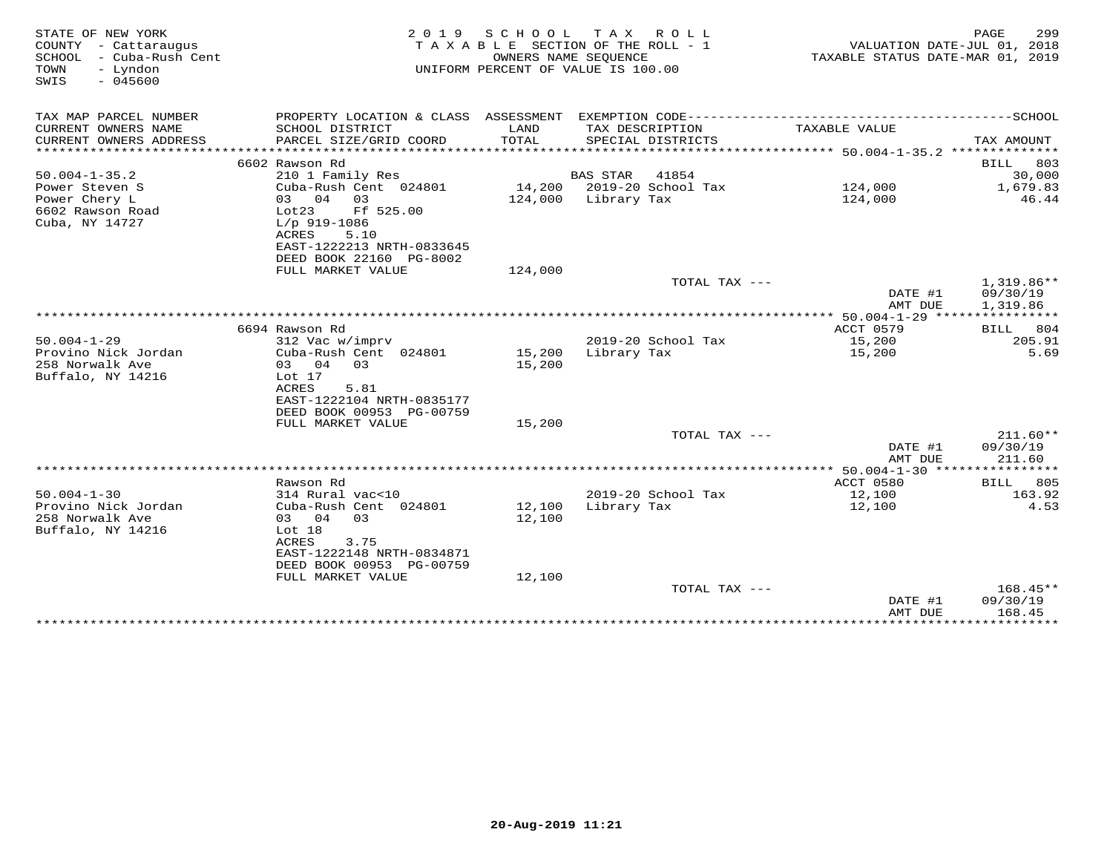| STATE OF NEW YORK<br>COUNTY - Cattaraugus<br>- Cuba-Rush Cent<br>SCHOOL<br>TOWN<br>- Lyndon<br>SWIS<br>$-045600$ | 2 0 1 9                                                                                      | SCHOOL TAX<br>OWNERS NAME SEQUENCE | ROLL ROLL<br>TAXABLE SECTION OF THE ROLL - 1<br>UNIFORM PERCENT OF VALUE IS 100.00 | VALUATION DATE-JUL 01, 2018<br>TAXABLE STATUS DATE-MAR 01, 2019 | PAGE<br>299           |
|------------------------------------------------------------------------------------------------------------------|----------------------------------------------------------------------------------------------|------------------------------------|------------------------------------------------------------------------------------|-----------------------------------------------------------------|-----------------------|
| TAX MAP PARCEL NUMBER                                                                                            | PROPERTY LOCATION & CLASS ASSESSMENT EXEMPTION CODE-----------------------------------SCHOOL |                                    |                                                                                    |                                                                 |                       |
| CURRENT OWNERS NAME<br>CURRENT OWNERS ADDRESS                                                                    | SCHOOL DISTRICT<br>PARCEL SIZE/GRID COORD                                                    | LAND<br>TOTAL                      | TAX DESCRIPTION<br>SPECIAL DISTRICTS                                               | TAXABLE VALUE                                                   | TAX AMOUNT            |
| *************************                                                                                        |                                                                                              |                                    |                                                                                    |                                                                 |                       |
|                                                                                                                  | 6602 Rawson Rd                                                                               |                                    |                                                                                    |                                                                 | 803<br>BILL           |
| $50.004 - 1 - 35.2$                                                                                              | 210 1 Family Res                                                                             |                                    | BAS STAR 41854                                                                     |                                                                 | 30,000                |
| Power Steven S                                                                                                   | Cuba-Rush Cent 024801                                                                        |                                    | 14,200 2019-20 School Tax                                                          | 124,000                                                         | 1,679.83              |
| Power Chery L                                                                                                    | 03 04 03                                                                                     |                                    | 124,000 Library Tax                                                                | 124,000                                                         | 46.44                 |
| 6602 Rawson Road<br>Cuba, NY 14727                                                                               | Lot23<br>Ff 525.00<br>$L/p$ 919-1086                                                         |                                    |                                                                                    |                                                                 |                       |
|                                                                                                                  | ACRES<br>5.10                                                                                |                                    |                                                                                    |                                                                 |                       |
|                                                                                                                  | EAST-1222213 NRTH-0833645                                                                    |                                    |                                                                                    |                                                                 |                       |
|                                                                                                                  | DEED BOOK 22160 PG-8002                                                                      |                                    |                                                                                    |                                                                 |                       |
|                                                                                                                  | FULL MARKET VALUE                                                                            | 124,000                            |                                                                                    |                                                                 |                       |
|                                                                                                                  |                                                                                              |                                    | TOTAL TAX ---                                                                      |                                                                 | $1,319.86**$          |
|                                                                                                                  |                                                                                              |                                    |                                                                                    | DATE #1                                                         | 09/30/19              |
|                                                                                                                  |                                                                                              |                                    |                                                                                    | AMT DUE                                                         | 1,319.86              |
|                                                                                                                  |                                                                                              |                                    |                                                                                    | ************* 50.004-1-29 *****************                     |                       |
| $50.004 - 1 - 29$                                                                                                | 6694 Rawson Rd<br>312 Vac w/imprv                                                            |                                    | 2019-20 School Tax                                                                 | ACCT 0579<br>15,200                                             | 804<br>BILL<br>205.91 |
| Provino Nick Jordan                                                                                              | Cuba-Rush Cent 024801                                                                        | 15,200                             | Library Tax                                                                        | 15,200                                                          | 5.69                  |
| 258 Norwalk Ave                                                                                                  | 03 04<br>0.3                                                                                 | 15,200                             |                                                                                    |                                                                 |                       |
| Buffalo, NY 14216                                                                                                | Lot 17                                                                                       |                                    |                                                                                    |                                                                 |                       |
|                                                                                                                  | <b>ACRES</b><br>5.81                                                                         |                                    |                                                                                    |                                                                 |                       |
|                                                                                                                  | EAST-1222104 NRTH-0835177                                                                    |                                    |                                                                                    |                                                                 |                       |
|                                                                                                                  | DEED BOOK 00953 PG-00759                                                                     |                                    |                                                                                    |                                                                 |                       |
|                                                                                                                  | FULL MARKET VALUE                                                                            | 15,200                             |                                                                                    |                                                                 |                       |
|                                                                                                                  |                                                                                              |                                    | TOTAL TAX ---                                                                      |                                                                 | $211.60**$            |
|                                                                                                                  |                                                                                              |                                    |                                                                                    | DATE #1<br>AMT DUE                                              | 09/30/19<br>211.60    |
|                                                                                                                  |                                                                                              |                                    |                                                                                    |                                                                 |                       |
|                                                                                                                  | Rawson Rd                                                                                    |                                    |                                                                                    | ACCT 0580                                                       | <b>BILL</b> 805       |
| $50.004 - 1 - 30$                                                                                                | 314 Rural vac<10                                                                             |                                    | 2019-20 School Tax                                                                 | 12,100                                                          | 163.92                |
| Provino Nick Jordan                                                                                              | Cuba-Rush Cent 024801                                                                        | 12,100                             | Library Tax                                                                        | 12,100                                                          | 4.53                  |
| 258 Norwalk Ave                                                                                                  | 03 04 03                                                                                     | 12,100                             |                                                                                    |                                                                 |                       |
| Buffalo, NY 14216                                                                                                | Lot 18                                                                                       |                                    |                                                                                    |                                                                 |                       |
|                                                                                                                  | <b>ACRES</b><br>3.75                                                                         |                                    |                                                                                    |                                                                 |                       |
|                                                                                                                  | EAST-1222148 NRTH-0834871                                                                    |                                    |                                                                                    |                                                                 |                       |
|                                                                                                                  | DEED BOOK 00953 PG-00759                                                                     |                                    |                                                                                    |                                                                 |                       |
|                                                                                                                  | FULL MARKET VALUE                                                                            | 12,100                             | TOTAL TAX ---                                                                      |                                                                 | $168.45**$            |
|                                                                                                                  |                                                                                              |                                    |                                                                                    | DATE #1                                                         | 09/30/19              |
|                                                                                                                  |                                                                                              |                                    |                                                                                    | AMT DUE                                                         | 168.45                |
|                                                                                                                  |                                                                                              |                                    | **************************                                                         | *****************************                                   |                       |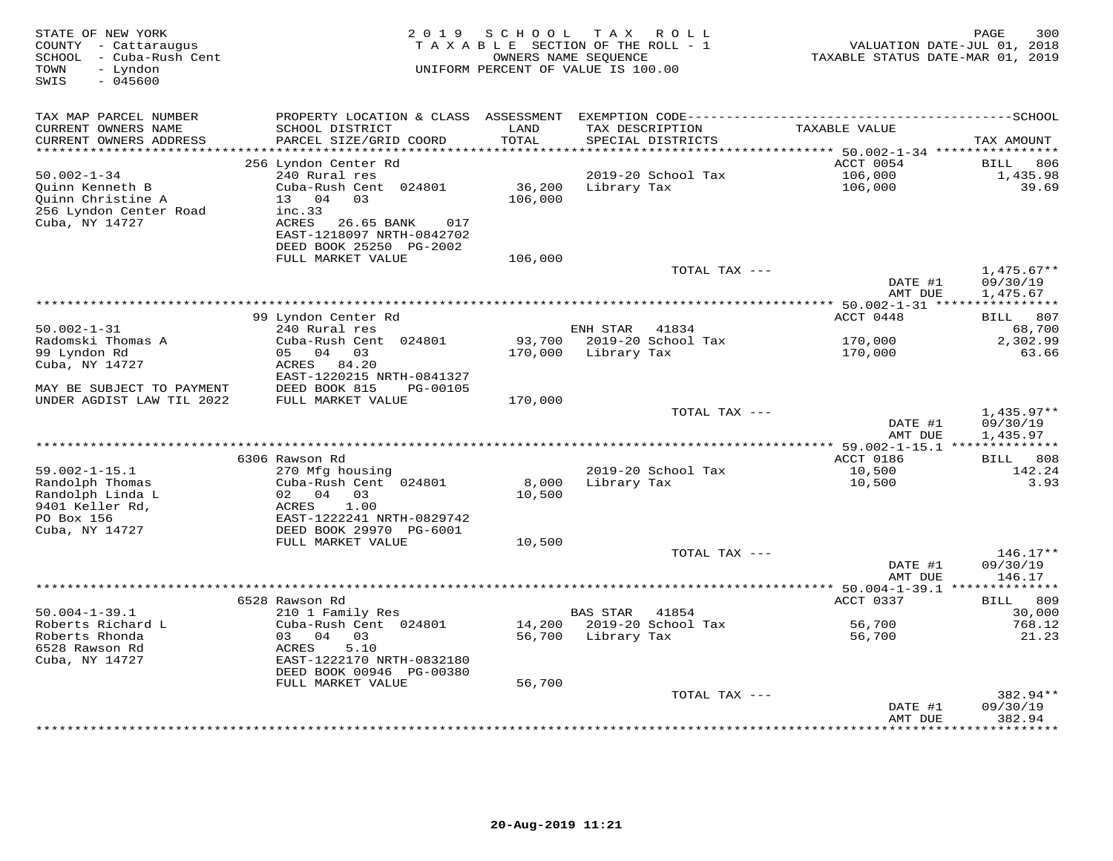| STATE OF NEW YORK<br>COUNTY - Cattaraugus<br>- Cuba-Rush Cent<br>SCHOOL<br>TOWN<br>- Lyndon<br>$-045600$<br>SWIS | 2 0 1 9                                                                                              | SCHOOL<br>OWNERS NAME SEQUENCE | T A X<br>R O L L<br>TAXABLE SECTION OF THE ROLL - 1<br>UNIFORM PERCENT OF VALUE IS 100.00 | VALUATION DATE-JUL 01, 2018<br>TAXABLE STATUS DATE-MAR 01, 2019 | 300<br>PAGE                          |
|------------------------------------------------------------------------------------------------------------------|------------------------------------------------------------------------------------------------------|--------------------------------|-------------------------------------------------------------------------------------------|-----------------------------------------------------------------|--------------------------------------|
| TAX MAP PARCEL NUMBER                                                                                            | PROPERTY LOCATION & CLASS ASSESSMENT EXEMPTION CODE-----------------------------------SCHOOL         |                                |                                                                                           |                                                                 |                                      |
| CURRENT OWNERS NAME<br>CURRENT OWNERS ADDRESS<br>************************                                        | SCHOOL DISTRICT<br>PARCEL SIZE/GRID COORD                                                            | LAND<br>TOTAL                  | TAX DESCRIPTION<br>SPECIAL DISTRICTS                                                      | TAXABLE VALUE                                                   | TAX AMOUNT                           |
|                                                                                                                  | 256 Lyndon Center Rd                                                                                 |                                |                                                                                           | ACCT 0054                                                       | 806<br>BILL                          |
| $50.002 - 1 - 34$<br>Quinn Kenneth B<br>Ouinn Christine A<br>256 Lyndon Center Road                              | 240 Rural res<br>Cuba-Rush Cent 024801<br>13 04 03<br>inc.33                                         | 36,200<br>106,000              | 2019-20 School Tax<br>Library Tax                                                         | 106,000<br>106,000                                              | 1,435.98<br>39.69                    |
| Cuba, NY 14727                                                                                                   | ACRES 26.65 BANK<br>017<br>EAST-1218097 NRTH-0842702<br>DEED BOOK 25250 PG-2002<br>FULL MARKET VALUE | 106,000                        |                                                                                           |                                                                 |                                      |
|                                                                                                                  |                                                                                                      |                                | TOTAL TAX ---                                                                             | DATE #1<br>AMT DUE                                              | $1,475.67**$<br>09/30/19<br>1,475.67 |
|                                                                                                                  |                                                                                                      |                                |                                                                                           | *********** 50.002-1-31 ****                                    |                                      |
|                                                                                                                  | 99 Lyndon Center Rd                                                                                  |                                |                                                                                           | ACCT 0448                                                       | 807<br>BILL                          |
| $50.002 - 1 - 31$                                                                                                | 240 Rural res                                                                                        |                                | ENH STAR<br>41834                                                                         |                                                                 | 68,700                               |
| Radomski Thomas A                                                                                                | Cuba-Rush Cent 024801                                                                                | 93,700                         | 2019-20 School Tax                                                                        | 170,000                                                         | 2,302.99                             |
| 99 Lyndon Rd<br>Cuba, NY 14727                                                                                   | 05 04 03<br>ACRES 84.20                                                                              | 170,000                        | Library Tax                                                                               | 170,000                                                         | 63.66                                |
|                                                                                                                  | EAST-1220215 NRTH-0841327                                                                            |                                |                                                                                           |                                                                 |                                      |
| MAY BE SUBJECT TO PAYMENT                                                                                        | DEED BOOK 815<br>PG-00105                                                                            |                                |                                                                                           |                                                                 |                                      |
| UNDER AGDIST LAW TIL 2022                                                                                        | FULL MARKET VALUE                                                                                    | 170,000                        |                                                                                           |                                                                 |                                      |
|                                                                                                                  |                                                                                                      |                                | TOTAL TAX ---                                                                             |                                                                 | $1,435.97**$                         |
|                                                                                                                  |                                                                                                      |                                |                                                                                           | DATE #1<br>AMT DUE                                              | 09/30/19<br>1,435.97                 |
|                                                                                                                  |                                                                                                      |                                |                                                                                           | ** 59.002-1-15.1 **************                                 |                                      |
| $59.002 - 1 - 15.1$                                                                                              | 6306 Rawson Rd<br>270 Mfg housing                                                                    |                                | 2019-20 School Tax                                                                        | ACCT 0186<br>10,500                                             | 808<br><b>BILL</b><br>142.24         |
| Randolph Thomas<br>Randolph Linda L                                                                              | Cuba-Rush Cent 024801<br>02 04<br>03                                                                 | 8,000<br>10,500                | Library Tax                                                                               | 10,500                                                          | 3.93                                 |
| 9401 Keller Rd,<br>PO Box 156<br>Cuba, NY 14727                                                                  | 1.00<br>ACRES<br>EAST-1222241 NRTH-0829742<br>DEED BOOK 29970 PG-6001                                |                                |                                                                                           |                                                                 |                                      |
|                                                                                                                  | FULL MARKET VALUE                                                                                    | 10,500                         |                                                                                           |                                                                 |                                      |
|                                                                                                                  |                                                                                                      |                                | TOTAL TAX ---                                                                             | DATE #1                                                         | $146.17**$<br>09/30/19               |
|                                                                                                                  |                                                                                                      |                                |                                                                                           | AMT DUE                                                         | 146.17<br>***********                |
|                                                                                                                  | 6528 Rawson Rd                                                                                       |                                |                                                                                           | ACCT 0337                                                       | 809<br>BILL                          |
| $50.004 - 1 - 39.1$                                                                                              | 210 1 Family Res                                                                                     |                                | <b>BAS STAR</b><br>41854                                                                  |                                                                 | 30,000                               |
| Roberts Richard L                                                                                                | Cuba-Rush Cent 024801                                                                                | 14,200                         | 2019-20 School Tax                                                                        | 56,700                                                          | 768.12                               |
| Roberts Rhonda                                                                                                   | 03 04<br>03                                                                                          | 56,700                         | Library Tax                                                                               | 56,700                                                          | 21.23                                |
| 6528 Rawson Rd<br>Cuba, NY 14727                                                                                 | ACRES<br>5.10<br>EAST-1222170 NRTH-0832180<br>DEED BOOK 00946 PG-00380                               |                                |                                                                                           |                                                                 |                                      |
|                                                                                                                  | FULL MARKET VALUE                                                                                    | 56,700                         |                                                                                           |                                                                 |                                      |
|                                                                                                                  |                                                                                                      |                                | TOTAL TAX ---                                                                             |                                                                 | 382.94**                             |
|                                                                                                                  |                                                                                                      |                                |                                                                                           | DATE #1<br>AMT DUE                                              | 09/30/19<br>382.94                   |
|                                                                                                                  |                                                                                                      |                                | **********************************                                                        |                                                                 | *********                            |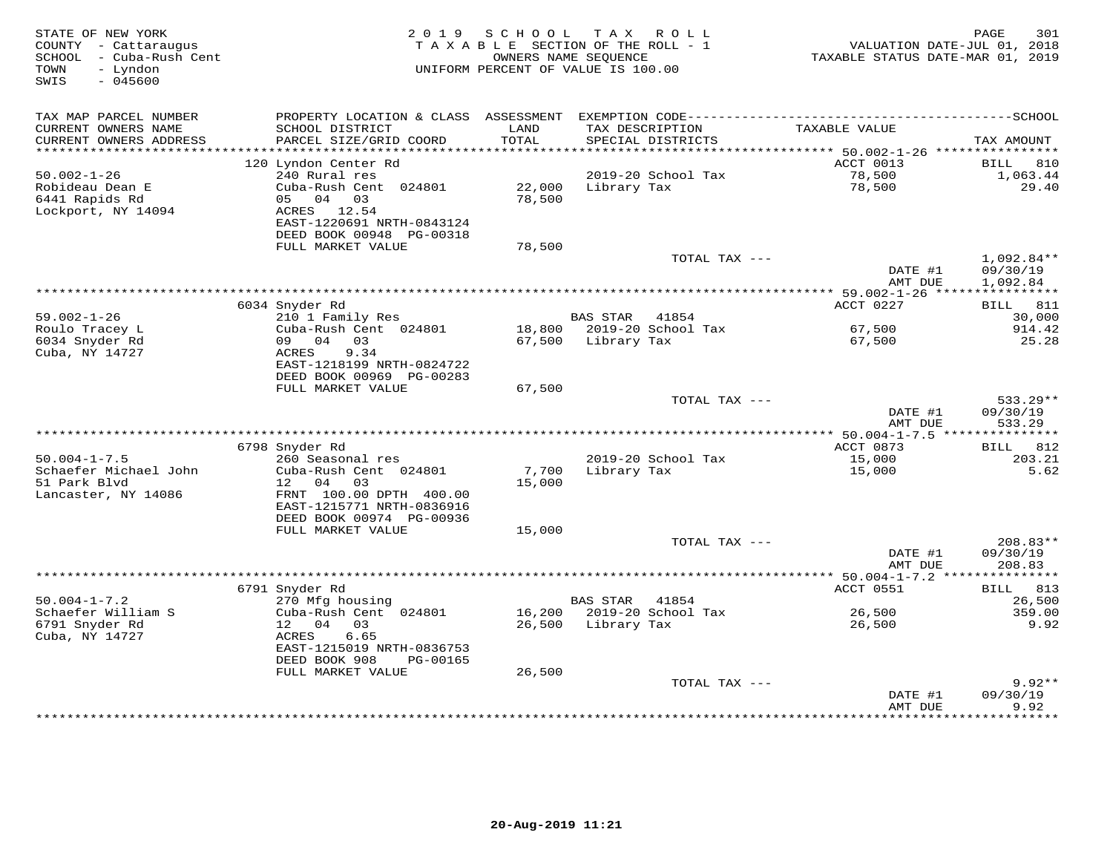| STATE OF NEW YORK<br>COUNTY - Cattaraugus<br>SCHOOL - Cuba-Rush Cent<br>- Lyndon<br>TOWN<br>$-045600$<br>SWIS | 2 0 1 9                                                                            | SCHOOL           | TAX ROLL<br>TAXABLE SECTION OF THE ROLL - 1<br>OWNERS NAME SEOUENCE<br>UNIFORM PERCENT OF VALUE IS 100.00 | VALUATION DATE-JUL 01, 2018<br>TAXABLE STATUS DATE-MAR 01, 2019 | 301<br>PAGE              |
|---------------------------------------------------------------------------------------------------------------|------------------------------------------------------------------------------------|------------------|-----------------------------------------------------------------------------------------------------------|-----------------------------------------------------------------|--------------------------|
| TAX MAP PARCEL NUMBER                                                                                         | PROPERTY LOCATION & CLASS ASSESSMENT                                               |                  |                                                                                                           |                                                                 |                          |
| CURRENT OWNERS NAME<br>CURRENT OWNERS ADDRESS<br>**********************                                       | SCHOOL DISTRICT<br>PARCEL SIZE/GRID COORD                                          | LAND<br>TOTAL    | TAX DESCRIPTION<br>SPECIAL DISTRICTS                                                                      | TAXABLE VALUE                                                   | TAX AMOUNT               |
|                                                                                                               | 120 Lyndon Center Rd                                                               |                  |                                                                                                           | ACCT 0013                                                       | <b>BILL</b><br>810       |
| $50.002 - 1 - 26$                                                                                             | 240 Rural res                                                                      |                  | 2019-20 School Tax                                                                                        | 78,500                                                          | 1,063.44                 |
| Robideau Dean E<br>6441 Rapids Rd                                                                             | Cuba-Rush Cent 024801<br>05 04 03                                                  | 22,000<br>78,500 | Library Tax                                                                                               | 78,500                                                          | 29.40                    |
| Lockport, NY 14094                                                                                            | ACRES 12.54<br>EAST-1220691 NRTH-0843124                                           |                  |                                                                                                           |                                                                 |                          |
|                                                                                                               | DEED BOOK 00948 PG-00318<br>FULL MARKET VALUE                                      | 78,500           |                                                                                                           |                                                                 |                          |
|                                                                                                               |                                                                                    |                  | TOTAL TAX ---                                                                                             | DATE #1                                                         | $1,092.84**$<br>09/30/19 |
|                                                                                                               |                                                                                    |                  | ********************************                                                                          | AMT DUE<br>*** 59.002-1-26 *****                                | 1,092.84<br>***********  |
|                                                                                                               | 6034 Snyder Rd                                                                     |                  |                                                                                                           | ACCT 0227                                                       | <b>BILL</b> 811          |
| 59.002-1-26                                                                                                   | 210 1 Family Res                                                                   |                  | <b>BAS STAR</b><br>41854                                                                                  |                                                                 | 30,000                   |
| Roulo Tracey L                                                                                                | Cuba-Rush Cent 024801                                                              |                  | 18,800 2019-20 School Tax                                                                                 | 67,500                                                          | 914.42                   |
| 6034 Snyder Rd<br>Cuba, NY 14727                                                                              | 09 04 03<br>9.34<br>ACRES<br>EAST-1218199 NRTH-0824722<br>DEED BOOK 00969 PG-00283 | 67,500           | Library Tax                                                                                               | 67,500                                                          | 25.28                    |
|                                                                                                               | FULL MARKET VALUE                                                                  | 67,500           |                                                                                                           |                                                                 |                          |
|                                                                                                               |                                                                                    |                  | TOTAL TAX ---                                                                                             | DATE #1                                                         | $533.29**$<br>09/30/19   |
|                                                                                                               |                                                                                    |                  |                                                                                                           | AMT DUE                                                         | 533.29                   |
|                                                                                                               | 6798 Snyder Rd                                                                     |                  |                                                                                                           | ACCT 0873                                                       | <b>BILL</b><br>812       |
| $50.004 - 1 - 7.5$                                                                                            | 260 Seasonal res                                                                   |                  | 2019-20 School Tax                                                                                        | 15,000                                                          | 203.21                   |
| Schaefer Michael John<br>51 Park Blvd                                                                         | Cuba-Rush Cent 024801<br>04<br>12<br>03                                            | 7,700<br>15,000  | Library Tax                                                                                               | 15,000                                                          | 5.62                     |
| Lancaster, NY 14086                                                                                           | FRNT 100.00 DPTH 400.00<br>EAST-1215771 NRTH-0836916                               |                  |                                                                                                           |                                                                 |                          |
|                                                                                                               | DEED BOOK 00974 PG-00936<br>FULL MARKET VALUE                                      | 15,000           |                                                                                                           |                                                                 |                          |
|                                                                                                               |                                                                                    |                  | TOTAL TAX ---                                                                                             | DATE #1                                                         | $208.83**$<br>09/30/19   |
|                                                                                                               |                                                                                    |                  |                                                                                                           | AMT DUE                                                         | 208.83<br>***********    |
|                                                                                                               | 6791 Snyder Rd                                                                     |                  |                                                                                                           | ACCT 0551                                                       | 813<br>BILL              |
| $50.004 - 1 - 7.2$                                                                                            | 270 Mfg housing                                                                    |                  | <b>BAS STAR</b><br>41854                                                                                  |                                                                 | 26,500                   |
| Schaefer William S                                                                                            | Cuba-Rush Cent 024801                                                              | 16,200           | 2019-20 School Tax                                                                                        | 26,500                                                          | 359.00                   |
| 6791 Snyder Rd<br>Cuba, NY 14727                                                                              | 12 04<br>03<br>6.65<br>ACRES<br>EAST-1215019 NRTH-0836753                          | 26,500           | Library Tax                                                                                               | 26,500                                                          | 9.92                     |
|                                                                                                               | DEED BOOK 908<br>PG-00165                                                          |                  |                                                                                                           |                                                                 |                          |
|                                                                                                               | FULL MARKET VALUE                                                                  | 26,500           |                                                                                                           |                                                                 |                          |
|                                                                                                               |                                                                                    |                  | TOTAL TAX ---                                                                                             | DATE #1                                                         | $9.92**$<br>09/30/19     |
|                                                                                                               |                                                                                    |                  |                                                                                                           | AMT DUE                                                         | 9.92<br>.                |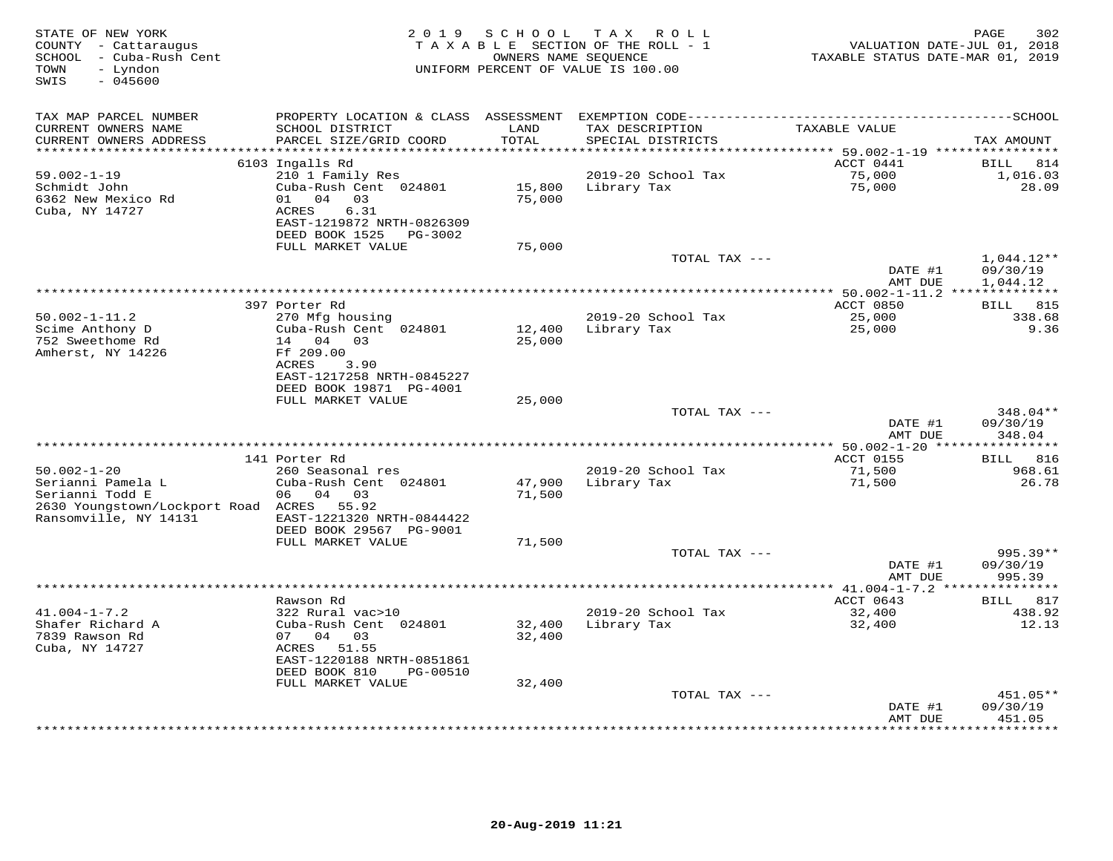| STATE OF NEW YORK<br>COUNTY - Cattaraugus<br>- Cuba-Rush Cent<br>SCHOOL<br>TOWN<br>- Lyndon<br>SWIS<br>$-045600$ |                                           | 2019 SCHOOL   | TAX ROLL<br>TAXABLE SECTION OF THE ROLL - 1<br>OWNERS NAME SEQUENCE<br>UNIFORM PERCENT OF VALUE IS 100.00 | VALUATION DATE-JUL 01, 2018<br>TAXABLE STATUS DATE-MAR 01, 2019 | PAGE<br>302        |
|------------------------------------------------------------------------------------------------------------------|-------------------------------------------|---------------|-----------------------------------------------------------------------------------------------------------|-----------------------------------------------------------------|--------------------|
| TAX MAP PARCEL NUMBER                                                                                            |                                           |               |                                                                                                           |                                                                 |                    |
| CURRENT OWNERS NAME<br>CURRENT OWNERS ADDRESS<br>**********************                                          | SCHOOL DISTRICT<br>PARCEL SIZE/GRID COORD | LAND<br>TOTAL | TAX DESCRIPTION<br>SPECIAL DISTRICTS                                                                      | TAXABLE VALUE                                                   | TAX AMOUNT         |
|                                                                                                                  | 6103 Ingalls Rd                           |               |                                                                                                           | ACCT 0441                                                       | <b>BILL</b><br>814 |
| $59.002 - 1 - 19$                                                                                                | 210 1 Family Res                          |               | 2019-20 School Tax                                                                                        | 75,000                                                          | 1,016.03           |
| Schmidt John                                                                                                     | Cuba-Rush Cent 024801                     | 15,800        | Library Tax                                                                                               | 75,000                                                          | 28.09              |
| 6362 New Mexico Rd                                                                                               | 01 04 03                                  | 75,000        |                                                                                                           |                                                                 |                    |
| Cuba, NY 14727                                                                                                   | ACRES<br>6.31                             |               |                                                                                                           |                                                                 |                    |
|                                                                                                                  | EAST-1219872 NRTH-0826309                 |               |                                                                                                           |                                                                 |                    |
|                                                                                                                  | DEED BOOK 1525 PG-3002                    |               |                                                                                                           |                                                                 |                    |
|                                                                                                                  | FULL MARKET VALUE                         | 75,000        |                                                                                                           |                                                                 |                    |
|                                                                                                                  |                                           |               | TOTAL TAX ---                                                                                             |                                                                 | $1,044.12**$       |
|                                                                                                                  |                                           |               |                                                                                                           | DATE #1                                                         | 09/30/19           |
|                                                                                                                  |                                           |               |                                                                                                           | AMT DUE                                                         | 1,044.12           |
|                                                                                                                  |                                           |               |                                                                                                           |                                                                 |                    |
|                                                                                                                  | 397 Porter Rd                             |               |                                                                                                           | ACCT 0850                                                       | <b>BILL</b> 815    |
| $50.002 - 1 - 11.2$<br>Scime Anthony D                                                                           | 270 Mfg housing<br>Cuba-Rush Cent 024801  | 12,400        | 2019-20 School Tax<br>Library Tax                                                                         | 25,000<br>25,000                                                | 338.68             |
| 752 Sweethome Rd                                                                                                 | 14 04 03                                  | 25,000        |                                                                                                           |                                                                 | 9.36               |
| Amherst, NY 14226                                                                                                | Ff 209.00                                 |               |                                                                                                           |                                                                 |                    |
|                                                                                                                  | ACRES<br>3.90                             |               |                                                                                                           |                                                                 |                    |
|                                                                                                                  | EAST-1217258 NRTH-0845227                 |               |                                                                                                           |                                                                 |                    |
|                                                                                                                  | DEED BOOK 19871 PG-4001                   |               |                                                                                                           |                                                                 |                    |
|                                                                                                                  | FULL MARKET VALUE                         | 25,000        |                                                                                                           |                                                                 |                    |
|                                                                                                                  |                                           |               | TOTAL TAX ---                                                                                             |                                                                 | 348.04**           |
|                                                                                                                  |                                           |               |                                                                                                           | DATE #1<br>AMT DUE                                              | 09/30/19<br>348.04 |
|                                                                                                                  |                                           |               | **********************************                                                                        | *** 50.002-1-20 ***                                             | ***********        |
|                                                                                                                  | 141 Porter Rd                             |               |                                                                                                           | <b>ACCT 0155</b>                                                | BILL 816           |
| $50.002 - 1 - 20$                                                                                                | 260 Seasonal res                          |               | 2019-20 School Tax                                                                                        | 71,500                                                          | 968.61             |
| Serianni Pamela L                                                                                                | Cuba-Rush Cent 024801                     | 47,900        | Library Tax                                                                                               | 71,500                                                          | 26.78              |
| Serianni Todd E                                                                                                  | 06 04 03                                  | 71,500        |                                                                                                           |                                                                 |                    |
| 2630 Youngstown/Lockport Road ACRES 55.92<br>Ransomville, NY 14131                                               | EAST-1221320 NRTH-0844422                 |               |                                                                                                           |                                                                 |                    |
|                                                                                                                  | DEED BOOK 29567 PG-9001                   |               |                                                                                                           |                                                                 |                    |
|                                                                                                                  | FULL MARKET VALUE                         | 71,500        |                                                                                                           |                                                                 |                    |
|                                                                                                                  |                                           |               | TOTAL TAX ---                                                                                             |                                                                 | 995.39**           |
|                                                                                                                  |                                           |               |                                                                                                           | DATE #1                                                         | 09/30/19           |
|                                                                                                                  |                                           |               |                                                                                                           | AMT DUE                                                         | 995.39             |
|                                                                                                                  |                                           |               | ***********************                                                                                   | ** $41.004 - 1 - 7.2$ **                                        |                    |
|                                                                                                                  | Rawson Rd                                 |               |                                                                                                           | ACCT 0643                                                       | BILL 817           |
| $41.004 - 1 - 7.2$                                                                                               | 322 Rural vac>10                          |               | 2019-20 School Tax                                                                                        | 32,400                                                          | 438.92             |
| Shafer Richard A                                                                                                 | Cuba-Rush Cent 024801                     | 32,400        | Library Tax                                                                                               | 32,400                                                          | 12.13              |
| 7839 Rawson Rd                                                                                                   | 07 04<br>03                               | 32,400        |                                                                                                           |                                                                 |                    |
| Cuba, NY 14727                                                                                                   | ACRES 51.55<br>EAST-1220188 NRTH-0851861  |               |                                                                                                           |                                                                 |                    |
|                                                                                                                  | DEED BOOK 810<br>PG-00510                 |               |                                                                                                           |                                                                 |                    |
|                                                                                                                  | FULL MARKET VALUE                         | 32,400        |                                                                                                           |                                                                 |                    |
|                                                                                                                  |                                           |               | TOTAL TAX ---                                                                                             |                                                                 | 451.05**           |
|                                                                                                                  |                                           |               |                                                                                                           | DATE #1                                                         | 09/30/19           |
|                                                                                                                  |                                           |               |                                                                                                           | AMT DUE                                                         | 451.05             |
|                                                                                                                  |                                           |               | *************************                                                                                 |                                                                 | ********           |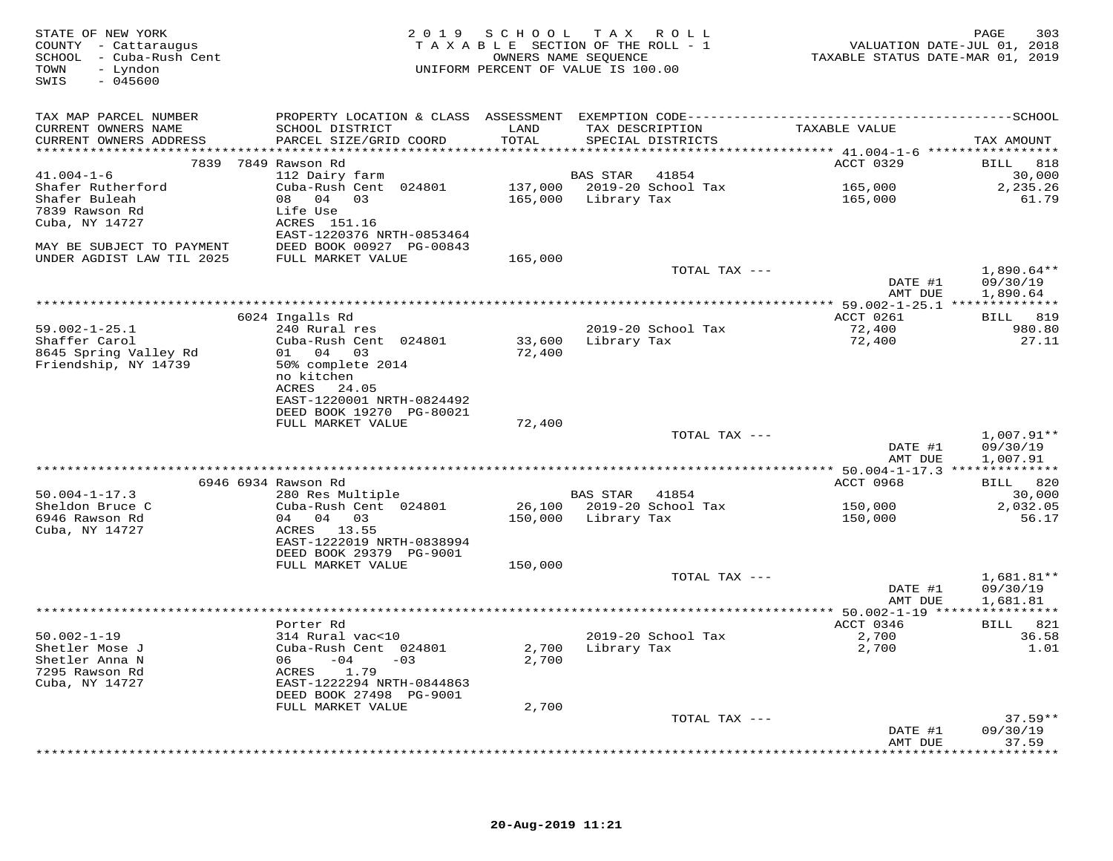| STATE OF NEW YORK<br>COUNTY - Cattaraugus<br>SCHOOL - Cuba-Rush Cent<br>TOWN<br>- Lyndon<br>$-045600$<br>SWIS |                                            | 2019 SCHOOL   | TAX ROLL<br>TAXABLE SECTION OF THE ROLL - 1<br>OWNERS NAME SEOUENCE<br>UNIFORM PERCENT OF VALUE IS 100.00 | VALUATION DATE-JUL 01, 2018<br>TAXABLE STATUS DATE-MAR 01, 2019 | 303<br>PAGE              |
|---------------------------------------------------------------------------------------------------------------|--------------------------------------------|---------------|-----------------------------------------------------------------------------------------------------------|-----------------------------------------------------------------|--------------------------|
| TAX MAP PARCEL NUMBER                                                                                         |                                            |               |                                                                                                           |                                                                 |                          |
| CURRENT OWNERS NAME<br>CURRENT OWNERS ADDRESS                                                                 | SCHOOL DISTRICT<br>PARCEL SIZE/GRID COORD  | LAND<br>TOTAL | TAX DESCRIPTION<br>SPECIAL DISTRICTS                                                                      | TAXABLE VALUE                                                   | TAX AMOUNT               |
|                                                                                                               |                                            |               |                                                                                                           |                                                                 |                          |
|                                                                                                               | 7839 7849 Rawson Rd                        |               |                                                                                                           | ACCT 0329                                                       | <b>BILL</b> 818          |
| $41.004 - 1 - 6$                                                                                              | 112 Dairy farm<br>Cuba-Rush Cent 024801    |               | BAS STAR 41854                                                                                            |                                                                 | 30,000                   |
| Shafer Rutherford<br>Shafer Buleah                                                                            | 08 04 03                                   |               | 165,000 Library Tax                                                                                       | 165,000<br>165,000                                              | 2,235.26<br>61.79        |
| 7839 Rawson Rd                                                                                                | Life Use                                   |               |                                                                                                           |                                                                 |                          |
| Cuba, NY 14727                                                                                                | ACRES 151.16<br>EAST-1220376 NRTH-0853464  |               |                                                                                                           |                                                                 |                          |
| MAY BE SUBJECT TO PAYMENT                                                                                     | DEED BOOK 00927 PG-00843                   |               |                                                                                                           |                                                                 |                          |
| UNDER AGDIST LAW TIL 2025                                                                                     | FULL MARKET VALUE                          | 165,000       |                                                                                                           |                                                                 |                          |
|                                                                                                               |                                            |               | TOTAL TAX ---                                                                                             |                                                                 | $1,890.64**$             |
|                                                                                                               |                                            |               |                                                                                                           | DATE #1                                                         | 09/30/19                 |
|                                                                                                               |                                            |               |                                                                                                           | AMT DUE                                                         | 1,890.64                 |
|                                                                                                               |                                            |               |                                                                                                           |                                                                 |                          |
|                                                                                                               | 6024 Ingalls Rd                            |               |                                                                                                           | ACCT 0261                                                       | BILL 819                 |
| $59.002 - 1 - 25.1$<br>Shaffer Carol                                                                          | 240 Rural res<br>Cuba-Rush Cent 024801     | 33,600        | 2019-20 School Tax<br>Library Tax                                                                         | 72,400<br>72,400                                                | 980.80<br>27.11          |
| 8645 Spring Valley Rd                                                                                         | 01 04 03                                   | 72,400        |                                                                                                           |                                                                 |                          |
| Friendship, NY 14739                                                                                          | 50% complete 2014                          |               |                                                                                                           |                                                                 |                          |
|                                                                                                               | no kitchen                                 |               |                                                                                                           |                                                                 |                          |
|                                                                                                               | ACRES 24.05                                |               |                                                                                                           |                                                                 |                          |
|                                                                                                               | EAST-1220001 NRTH-0824492                  |               |                                                                                                           |                                                                 |                          |
|                                                                                                               | DEED BOOK 19270 PG-80021                   |               |                                                                                                           |                                                                 |                          |
|                                                                                                               | FULL MARKET VALUE                          | 72,400        | TOTAL TAX ---                                                                                             |                                                                 |                          |
|                                                                                                               |                                            |               |                                                                                                           | DATE #1                                                         | $1,007.91**$<br>09/30/19 |
|                                                                                                               |                                            |               |                                                                                                           | AMT DUE                                                         | 1,007.91                 |
|                                                                                                               | 6946 6934 Rawson Rd                        |               |                                                                                                           | ACCT 0968                                                       | BILL 820                 |
| $50.004 - 1 - 17.3$                                                                                           | 280 Res Multiple                           |               | BAS STAR 41854                                                                                            |                                                                 | 30,000                   |
| Sheldon Bruce C                                                                                               | Cuba-Rush Cent 024801                      |               | 26,100 2019-20 School Tax                                                                                 | 150,000                                                         | 2,032.05                 |
| 6946 Rawson Rd                                                                                                | 04 04 03                                   | 150,000       | Library Tax                                                                                               | 150,000                                                         | 56.17                    |
| Cuba, NY 14727                                                                                                | ACRES 13.55                                |               |                                                                                                           |                                                                 |                          |
|                                                                                                               | EAST-1222019 NRTH-0838994                  |               |                                                                                                           |                                                                 |                          |
|                                                                                                               | DEED BOOK 29379 PG-9001                    |               |                                                                                                           |                                                                 |                          |
|                                                                                                               | FULL MARKET VALUE                          | 150,000       | TOTAL TAX ---                                                                                             |                                                                 | $1,681.81**$             |
|                                                                                                               |                                            |               |                                                                                                           | DATE #1                                                         | 09/30/19                 |
|                                                                                                               |                                            |               |                                                                                                           | AMT DUE                                                         | 1,681.81                 |
|                                                                                                               |                                            |               |                                                                                                           |                                                                 |                          |
|                                                                                                               | Porter Rd                                  |               |                                                                                                           | ACCT 0346                                                       | BILL 821                 |
| $50.002 - 1 - 19$                                                                                             | 314 Rural vac<10                           |               | 2019-20 School Tax                                                                                        | 2,700                                                           | 36.58                    |
| Shetler Mose J                                                                                                | Cuba-Rush Cent 024801                      | 2,700         | Library Tax                                                                                               | 2,700                                                           | 1.01                     |
| Shetler Anna N                                                                                                | $06 -04 -03$                               | 2,700         |                                                                                                           |                                                                 |                          |
| 7295 Rawson Rd<br>Cuba, NY 14727                                                                              | ACRES<br>1.79<br>EAST-1222294 NRTH-0844863 |               |                                                                                                           |                                                                 |                          |
|                                                                                                               | DEED BOOK 27498 PG-9001                    |               |                                                                                                           |                                                                 |                          |
|                                                                                                               | FULL MARKET VALUE                          | 2,700         |                                                                                                           |                                                                 |                          |
|                                                                                                               |                                            |               | TOTAL TAX ---                                                                                             |                                                                 | $37.59**$                |
|                                                                                                               |                                            |               |                                                                                                           | DATE #1                                                         | 09/30/19                 |
|                                                                                                               |                                            |               |                                                                                                           | AMT DUE                                                         | 37.59                    |
|                                                                                                               |                                            |               |                                                                                                           |                                                                 | * * * * * * * * * *      |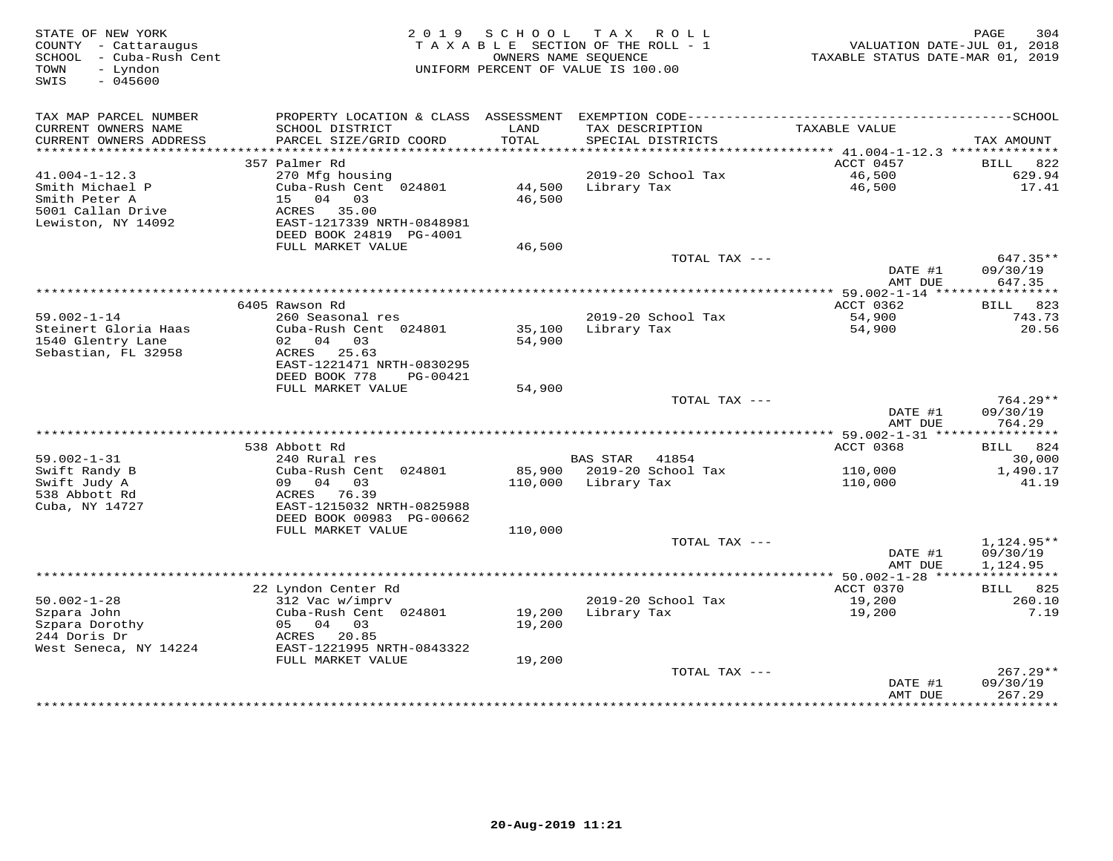| STATE OF NEW YORK<br>COUNTY - Cattaraugus<br>SCHOOL - Cuba-Rush Cent<br>- Lyndon<br>TOWN<br>$-045600$<br>SWIS |                                                                                                                       | 2019 SCHOOL                | TAX ROLL<br>TAXABLE SECTION OF THE ROLL - 1<br>OWNERS NAME SEQUENCE<br>UNIFORM PERCENT OF VALUE IS 100.00 | VALUATION DATE-JUL 01, 2018<br>TAXABLE STATUS DATE-MAR 01, 2019 | PAGE<br>304                                 |
|---------------------------------------------------------------------------------------------------------------|-----------------------------------------------------------------------------------------------------------------------|----------------------------|-----------------------------------------------------------------------------------------------------------|-----------------------------------------------------------------|---------------------------------------------|
| TAX MAP PARCEL NUMBER<br>CURRENT OWNERS NAME<br>CURRENT OWNERS ADDRESS                                        | SCHOOL DISTRICT<br>PARCEL SIZE/GRID COORD                                                                             | LAND<br>TOTAL              | TAX DESCRIPTION<br>SPECIAL DISTRICTS                                                                      | TAXABLE VALUE                                                   | TAX AMOUNT                                  |
|                                                                                                               |                                                                                                                       |                            |                                                                                                           |                                                                 |                                             |
|                                                                                                               | 357 Palmer Rd                                                                                                         |                            |                                                                                                           | ACCT 0457                                                       | BILL 822                                    |
| $41.004 - 1 - 12.3$<br>Smith Michael P<br>Smith Peter A<br>5001 Callan Drive<br>Lewiston, NY 14092            | 270 Mfg housing<br>Cuba-Rush Cent 024801<br>15 04 03<br>ACRES 35.00<br>EAST-1217339 NRTH-0848981                      | 46,500                     | 2019-20 School Tax<br>44,500 Library Tax                                                                  | 46,500<br>46,500                                                | 629.94<br>17.41                             |
|                                                                                                               | DEED BOOK 24819 PG-4001                                                                                               |                            |                                                                                                           |                                                                 |                                             |
|                                                                                                               | FULL MARKET VALUE                                                                                                     | 46,500                     | TOTAL TAX ---                                                                                             | DATE #1                                                         | 647.35**<br>09/30/19                        |
|                                                                                                               |                                                                                                                       |                            |                                                                                                           | AMT DUE                                                         | 647.35                                      |
|                                                                                                               | 6405 Rawson Rd                                                                                                        |                            |                                                                                                           | ACCT 0362                                                       | BILL<br>823                                 |
| $59.002 - 1 - 14$                                                                                             | 260 Seasonal res                                                                                                      |                            | 2019-20 School Tax                                                                                        | 54,900                                                          | 743.73                                      |
| Steinert Gloria Haas<br>1540 Glentry Lane<br>Sebastian, FL 32958                                              | Cuba-Rush Cent 024801<br>02 04 03<br>ACRES 25.63<br>EAST-1221471 NRTH-0830295<br>DEED BOOK 778<br>PG-00421            | 54,900                     | 35,100 Library Tax                                                                                        | 54,900                                                          | 20.56                                       |
|                                                                                                               | FULL MARKET VALUE                                                                                                     | 54,900                     |                                                                                                           |                                                                 |                                             |
|                                                                                                               |                                                                                                                       |                            | TOTAL TAX ---                                                                                             | DATE #1<br>AMT DUE                                              | $764.29**$<br>09/30/19<br>764.29            |
|                                                                                                               |                                                                                                                       |                            |                                                                                                           |                                                                 |                                             |
| $59.002 - 1 - 31$                                                                                             | 538 Abbott Rd<br>240 Rural res                                                                                        |                            | <b>BAS STAR</b><br>41854                                                                                  | ACCT 0368                                                       | BILL 824<br>30,000                          |
| Swift Randy B                                                                                                 | Cuba-Rush Cent 024801                                                                                                 |                            | 85,900 2019-20 School Tax                                                                                 | 110,000                                                         | 1,490.17                                    |
| Swift Judy A<br>538 Abbott Rd<br>Cuba, NY 14727                                                               | 09 04 03<br>ACRES 76.39<br>EAST-1215032 NRTH-0825988<br>DEED BOOK 00983 PG-00662                                      |                            | 110,000 Library Tax                                                                                       | 110,000                                                         | 41.19                                       |
|                                                                                                               | FULL MARKET VALUE                                                                                                     | 110,000                    |                                                                                                           |                                                                 |                                             |
|                                                                                                               |                                                                                                                       |                            | TOTAL TAX ---                                                                                             | DATE #1<br>AMT DUE                                              | $1,124.95**$<br>09/30/19<br>1,124.95        |
|                                                                                                               |                                                                                                                       |                            |                                                                                                           |                                                                 |                                             |
|                                                                                                               | 22 Lyndon Center Rd                                                                                                   |                            |                                                                                                           | ACCT 0370                                                       | <b>BILL</b> 825                             |
| $50.002 - 1 - 28$<br>Szpara John<br>Szpara Dorothy<br>244 Doris Dr<br>West Seneca, NY 14224                   | 312 Vac w/imprv<br>Cuba-Rush Cent 024801<br>05 04 03<br>ACRES 20.85<br>EAST-1221995 NRTH-0843322<br>FULL MARKET VALUE | 19,200<br>19,200<br>19,200 | 2019-20 School Tax<br>Library Tax                                                                         | 19,200<br>19,200                                                | 260.10<br>7.19                              |
|                                                                                                               |                                                                                                                       |                            | TOTAL TAX ---                                                                                             |                                                                 | $267.29**$                                  |
|                                                                                                               |                                                                                                                       |                            |                                                                                                           | DATE #1<br>AMT DUE<br>* * * * * * * * * * * * * * * * *         | 09/30/19<br>267.29<br>* * * * * * * * * * * |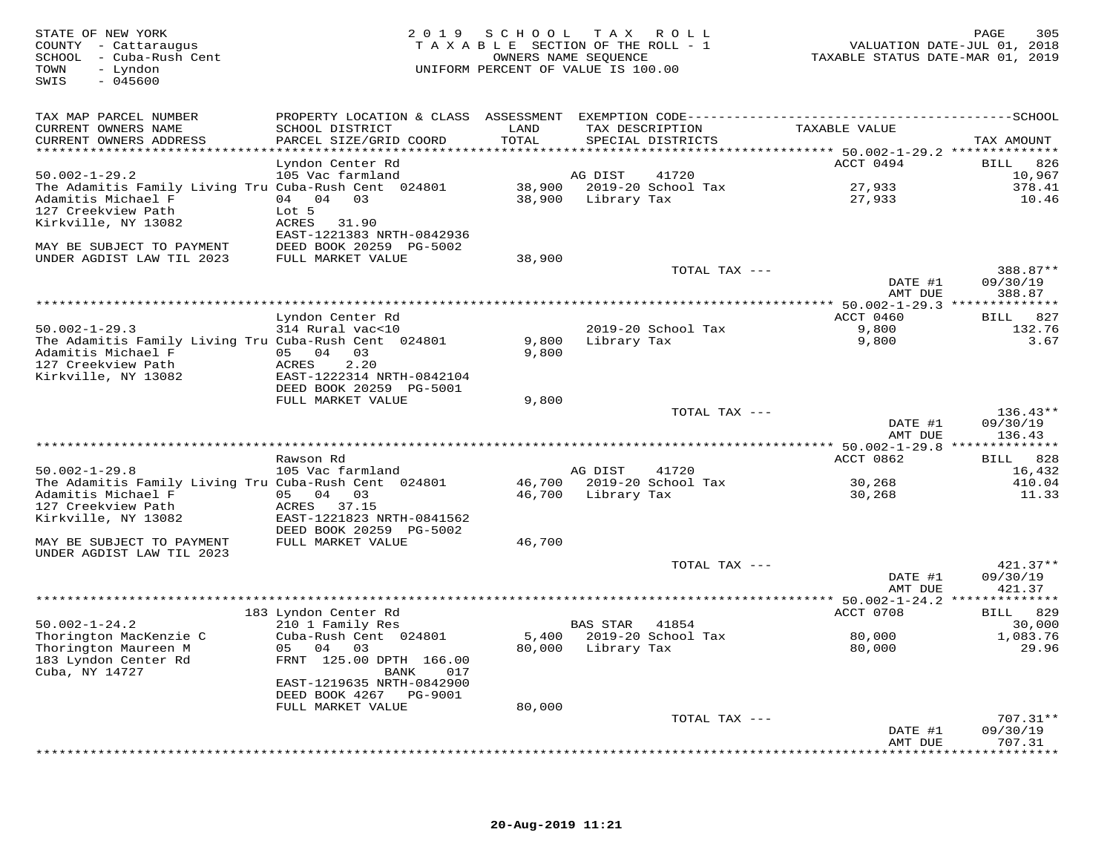| STATE OF NEW YORK<br>COUNTY - Cattaraugus<br>SCHOOL - Cuba-Rush Cent<br>- Lyndon<br>TOWN<br>SWIS<br>$-045600$ | 2 0 1 9                                                                                              | SCHOOL | T A X<br>ROLL<br>TAXABLE SECTION OF THE ROLL - 1<br>OWNERS NAME SEOUENCE<br>UNIFORM PERCENT OF VALUE IS 100.00 | TAXABLE STATUS DATE-MAR 01, 2019                    | 305<br>PAGE<br>VALUATION DATE-JUL 01, 2018 |
|---------------------------------------------------------------------------------------------------------------|------------------------------------------------------------------------------------------------------|--------|----------------------------------------------------------------------------------------------------------------|-----------------------------------------------------|--------------------------------------------|
| TAX MAP PARCEL NUMBER<br>CURRENT OWNERS NAME                                                                  | PROPERTY LOCATION & CLASS ASSESSMENT EXEMPTION CODE------------------------------<br>SCHOOL DISTRICT | LAND   | TAX DESCRIPTION                                                                                                | TAXABLE VALUE                                       | ---------SCHOOL                            |
| CURRENT OWNERS ADDRESS                                                                                        | PARCEL SIZE/GRID COORD                                                                               | TOTAL  | SPECIAL DISTRICTS                                                                                              |                                                     | TAX AMOUNT                                 |
|                                                                                                               | Lyndon Center Rd                                                                                     |        |                                                                                                                | ACCT 0494                                           | 826<br>BILL                                |
| $50.002 - 1 - 29.2$                                                                                           | 105 Vac farmland                                                                                     |        | AG DIST<br>41720                                                                                               |                                                     | 10,967                                     |
| The Adamitis Family Living Tru Cuba-Rush Cent 024801                                                          |                                                                                                      | 38,900 | 2019-20 School Tax                                                                                             | 27,933                                              | 378.41                                     |
| Adamitis Michael F                                                                                            | 04 04 03                                                                                             | 38,900 | Library Tax                                                                                                    | 27,933                                              | 10.46                                      |
| 127 Creekview Path                                                                                            | Lot 5                                                                                                |        |                                                                                                                |                                                     |                                            |
| Kirkville, NY 13082                                                                                           | ACRES<br>31.90<br>EAST-1221383 NRTH-0842936                                                          |        |                                                                                                                |                                                     |                                            |
| MAY BE SUBJECT TO PAYMENT                                                                                     | DEED BOOK 20259 PG-5002                                                                              |        |                                                                                                                |                                                     |                                            |
| UNDER AGDIST LAW TIL 2023                                                                                     | FULL MARKET VALUE                                                                                    | 38,900 | TOTAL TAX ---                                                                                                  |                                                     | 388.87**                                   |
|                                                                                                               |                                                                                                      |        |                                                                                                                | DATE #1<br>AMT DUE                                  | 09/30/19<br>388.87                         |
|                                                                                                               |                                                                                                      |        |                                                                                                                |                                                     |                                            |
|                                                                                                               | Lyndon Center Rd                                                                                     |        |                                                                                                                | ACCT 0460                                           | BILL 827                                   |
| $50.002 - 1 - 29.3$                                                                                           | 314 Rural vac<10                                                                                     |        | 2019-20 School Tax                                                                                             | 9,800                                               | 132.76                                     |
| The Adamitis Family Living Tru Cuba-Rush Cent 024801                                                          |                                                                                                      | 9,800  | Library Tax                                                                                                    | 9,800                                               | 3.67                                       |
| Adamitis Michael F                                                                                            | 05 04 03                                                                                             | 9,800  |                                                                                                                |                                                     |                                            |
| 127 Creekview Path<br>Kirkville, NY 13082                                                                     | ACRES<br>2.20<br>EAST-1222314 NRTH-0842104                                                           |        |                                                                                                                |                                                     |                                            |
|                                                                                                               | DEED BOOK 20259 PG-5001                                                                              |        |                                                                                                                |                                                     |                                            |
|                                                                                                               | FULL MARKET VALUE                                                                                    | 9,800  |                                                                                                                |                                                     |                                            |
|                                                                                                               |                                                                                                      |        | TOTAL TAX ---                                                                                                  |                                                     | $136.43**$                                 |
|                                                                                                               |                                                                                                      |        |                                                                                                                | DATE #1                                             | 09/30/19                                   |
|                                                                                                               | *************<br>***********************************                                                 |        |                                                                                                                | AMT DUE<br>*********** 50.002-1-29.8 ************** | 136.43                                     |
|                                                                                                               | Rawson Rd                                                                                            |        |                                                                                                                | ACCT 0862                                           | 828<br><b>BILL</b>                         |
| $50.002 - 1 - 29.8$                                                                                           | 105 Vac farmland                                                                                     |        | AG DIST<br>41720                                                                                               |                                                     | 16,432                                     |
| The Adamitis Family Living Tru Cuba-Rush Cent 024801                                                          |                                                                                                      |        | 46,700 2019-20 School Tax                                                                                      | 30,268                                              | 410.04                                     |
| Adamitis Michael F                                                                                            | 05 04 03                                                                                             | 46,700 | Library Tax                                                                                                    | 30,268                                              | 11.33                                      |
| 127 Creekview Path                                                                                            | ACRES 37.15<br>EAST-1221823 NRTH-0841562                                                             |        |                                                                                                                |                                                     |                                            |
| Kirkville, NY 13082                                                                                           | DEED BOOK 20259 PG-5002                                                                              |        |                                                                                                                |                                                     |                                            |
| MAY BE SUBJECT TO PAYMENT                                                                                     | FULL MARKET VALUE                                                                                    | 46,700 |                                                                                                                |                                                     |                                            |
| UNDER AGDIST LAW TIL 2023                                                                                     |                                                                                                      |        |                                                                                                                |                                                     |                                            |
|                                                                                                               |                                                                                                      |        | TOTAL TAX ---                                                                                                  |                                                     | $421.37**$                                 |
|                                                                                                               |                                                                                                      |        |                                                                                                                | DATE #1                                             | 09/30/19                                   |
|                                                                                                               |                                                                                                      |        |                                                                                                                | AMT DUE                                             | 421.37                                     |
|                                                                                                               | 183 Lyndon Center Rd                                                                                 |        |                                                                                                                | ACCT 0708                                           | BILL 829                                   |
| $50.002 - 1 - 24.2$                                                                                           | 210 1 Family Res                                                                                     |        | BAS STAR<br>41854                                                                                              |                                                     | 30,000                                     |
| Thorington MacKenzie C                                                                                        | Cuba-Rush Cent 024801                                                                                | 5,400  | 2019-20 School Tax                                                                                             | 80,000                                              | 1,083.76                                   |
| Thorington Maureen M                                                                                          | 05 04<br>03                                                                                          |        | 80,000 Library Tax                                                                                             | 80,000                                              | 29.96                                      |
| 183 Lyndon Center Rd                                                                                          | FRNT 125.00 DPTH 166.00<br>017                                                                       |        |                                                                                                                |                                                     |                                            |
| Cuba, NY 14727                                                                                                | BANK<br>EAST-1219635 NRTH-0842900                                                                    |        |                                                                                                                |                                                     |                                            |
|                                                                                                               | DEED BOOK 4267<br>PG-9001                                                                            |        |                                                                                                                |                                                     |                                            |
|                                                                                                               | FULL MARKET VALUE                                                                                    | 80,000 |                                                                                                                |                                                     |                                            |
|                                                                                                               |                                                                                                      |        | TOTAL TAX ---                                                                                                  |                                                     | $707.31**$                                 |
|                                                                                                               |                                                                                                      |        |                                                                                                                | DATE #1                                             | 09/30/19                                   |
|                                                                                                               |                                                                                                      |        |                                                                                                                | AMT DUE                                             | 707.31<br>*********                        |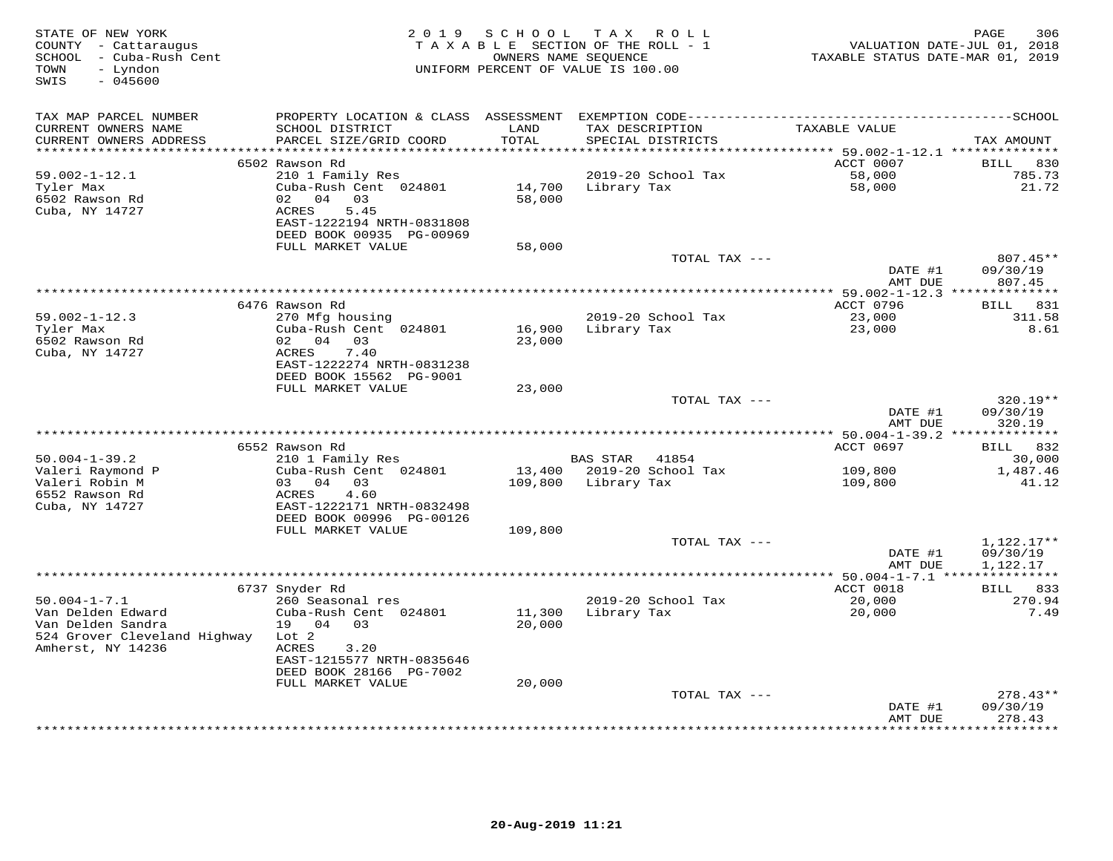| STATE OF NEW YORK<br>COUNTY - Cattaraugus<br>- Cuba-Rush Cent<br>SCHOOL<br>- Lyndon<br>TOWN<br>SWIS<br>$-045600$ |                                           | 2019 SCHOOL<br>TAXABLE SECTION OF THE ROLL - 1<br>OWNERS NAME SEQUENCE<br>UNIFORM PERCENT OF VALUE IS 100.00 |                 | TAX ROLL                             | TAXABLE STATUS DATE-MAR 01, 2019                | PAGE<br>306<br>VALUATION DATE-JUL 01, 2018 |
|------------------------------------------------------------------------------------------------------------------|-------------------------------------------|--------------------------------------------------------------------------------------------------------------|-----------------|--------------------------------------|-------------------------------------------------|--------------------------------------------|
| TAX MAP PARCEL NUMBER                                                                                            |                                           |                                                                                                              |                 |                                      |                                                 |                                            |
| CURRENT OWNERS NAME<br>CURRENT OWNERS ADDRESS                                                                    | SCHOOL DISTRICT<br>PARCEL SIZE/GRID COORD | LAND<br>TOTAL                                                                                                |                 | TAX DESCRIPTION<br>SPECIAL DISTRICTS | TAXABLE VALUE                                   | TAX AMOUNT                                 |
| **********************                                                                                           |                                           |                                                                                                              |                 |                                      |                                                 |                                            |
| 59.002-1-12.1                                                                                                    | 6502 Rawson Rd                            |                                                                                                              |                 | 2019-20 School Tax                   | ACCT 0007<br>58,000                             | BILL<br>830<br>785.73                      |
| Tyler Max                                                                                                        | 210 1 Family Res<br>Cuba-Rush Cent 024801 | 14,700                                                                                                       | Library Tax     |                                      | 58,000                                          | 21.72                                      |
| 6502 Rawson Rd                                                                                                   | 02 04 03                                  | 58,000                                                                                                       |                 |                                      |                                                 |                                            |
| Cuba, NY 14727                                                                                                   | ACRES<br>5.45                             |                                                                                                              |                 |                                      |                                                 |                                            |
|                                                                                                                  | EAST-1222194 NRTH-0831808                 |                                                                                                              |                 |                                      |                                                 |                                            |
|                                                                                                                  | DEED BOOK 00935 PG-00969                  |                                                                                                              |                 |                                      |                                                 |                                            |
|                                                                                                                  | FULL MARKET VALUE                         | 58,000                                                                                                       |                 |                                      |                                                 |                                            |
|                                                                                                                  |                                           |                                                                                                              |                 | TOTAL TAX ---                        |                                                 | 807.45**                                   |
|                                                                                                                  |                                           |                                                                                                              |                 |                                      | DATE #1                                         | 09/30/19                                   |
|                                                                                                                  |                                           |                                                                                                              |                 |                                      | AMT DUE                                         | 807.45                                     |
|                                                                                                                  |                                           | **************************************                                                                       |                 |                                      | ******* 59.002-1-12.3 **************            |                                            |
|                                                                                                                  | 6476 Rawson Rd                            |                                                                                                              |                 |                                      | ACCT 0796                                       | BILL 831                                   |
| $59.002 - 1 - 12.3$<br>Tyler Max                                                                                 | 270 Mfg housing<br>Cuba-Rush Cent 024801  | 16,900                                                                                                       | Library Tax     | 2019-20 School Tax                   | 23,000<br>23,000                                | 311.58<br>8.61                             |
| 6502 Rawson Rd                                                                                                   | 02 04<br>03                               | 23,000                                                                                                       |                 |                                      |                                                 |                                            |
| Cuba, NY 14727                                                                                                   | ACRES<br>7.40                             |                                                                                                              |                 |                                      |                                                 |                                            |
|                                                                                                                  | EAST-1222274 NRTH-0831238                 |                                                                                                              |                 |                                      |                                                 |                                            |
|                                                                                                                  | DEED BOOK 15562 PG-9001                   |                                                                                                              |                 |                                      |                                                 |                                            |
|                                                                                                                  | FULL MARKET VALUE                         | 23,000                                                                                                       |                 |                                      |                                                 |                                            |
|                                                                                                                  |                                           |                                                                                                              |                 | TOTAL TAX ---                        |                                                 | 320.19**                                   |
|                                                                                                                  |                                           |                                                                                                              |                 |                                      | DATE #1                                         | 09/30/19                                   |
|                                                                                                                  |                                           |                                                                                                              |                 |                                      | AMT DUE                                         | 320.19                                     |
|                                                                                                                  |                                           |                                                                                                              |                 |                                      | ****************** 50.004-1-39.2 ************** |                                            |
| $50.004 - 1 - 39.2$                                                                                              | 6552 Rawson Rd                            |                                                                                                              | <b>BAS STAR</b> | 41854                                | ACCT 0697                                       | BILL 832                                   |
| Valeri Raymond P                                                                                                 | 210 1 Family Res<br>Cuba-Rush Cent 024801 | 13,400                                                                                                       |                 | 2019-20 School Tax                   | 109,800                                         | 30,000<br>1,487.46                         |
| Valeri Robin M                                                                                                   | 04 03<br>03                               | 109,800                                                                                                      | Library Tax     |                                      | 109,800                                         | 41.12                                      |
| 6552 Rawson Rd                                                                                                   | 4.60<br>ACRES                             |                                                                                                              |                 |                                      |                                                 |                                            |
| Cuba, NY 14727                                                                                                   | EAST-1222171 NRTH-0832498                 |                                                                                                              |                 |                                      |                                                 |                                            |
|                                                                                                                  | DEED BOOK 00996 PG-00126                  |                                                                                                              |                 |                                      |                                                 |                                            |
|                                                                                                                  | FULL MARKET VALUE                         | 109,800                                                                                                      |                 |                                      |                                                 |                                            |
|                                                                                                                  |                                           |                                                                                                              |                 | TOTAL TAX $---$                      |                                                 | 1,122.17**                                 |
|                                                                                                                  |                                           |                                                                                                              |                 |                                      | DATE #1                                         | 09/30/19                                   |
|                                                                                                                  |                                           |                                                                                                              |                 |                                      | AMT DUE                                         | 1,122.17                                   |
|                                                                                                                  |                                           |                                                                                                              |                 |                                      | **** 50.004-1-7.1 ***************               |                                            |
|                                                                                                                  | 6737 Snyder Rd                            |                                                                                                              |                 |                                      | ACCT 0018                                       | BILL 833                                   |
| $50.004 - 1 - 7.1$<br>Van Delden Edward                                                                          | 260 Seasonal res<br>Cuba-Rush Cent 024801 | 11,300                                                                                                       | Library Tax     | 2019-20 School Tax                   | 20,000<br>20,000                                | 270.94<br>7.49                             |
| Van Delden Sandra                                                                                                | 19 04 03                                  | 20,000                                                                                                       |                 |                                      |                                                 |                                            |
| 524 Grover Cleveland Highway                                                                                     | Lot <sub>2</sub>                          |                                                                                                              |                 |                                      |                                                 |                                            |
| Amherst, NY 14236                                                                                                | ACRES<br>3.20                             |                                                                                                              |                 |                                      |                                                 |                                            |
|                                                                                                                  | EAST-1215577 NRTH-0835646                 |                                                                                                              |                 |                                      |                                                 |                                            |
|                                                                                                                  | DEED BOOK 28166 PG-7002                   |                                                                                                              |                 |                                      |                                                 |                                            |
|                                                                                                                  | FULL MARKET VALUE                         | 20,000                                                                                                       |                 |                                      |                                                 |                                            |
|                                                                                                                  |                                           |                                                                                                              |                 | TOTAL TAX ---                        |                                                 | $278.43**$                                 |
|                                                                                                                  |                                           |                                                                                                              |                 |                                      | DATE #1                                         | 09/30/19                                   |
|                                                                                                                  |                                           |                                                                                                              |                 |                                      | AMT DUE                                         | 278.43<br>* * * * * * * *                  |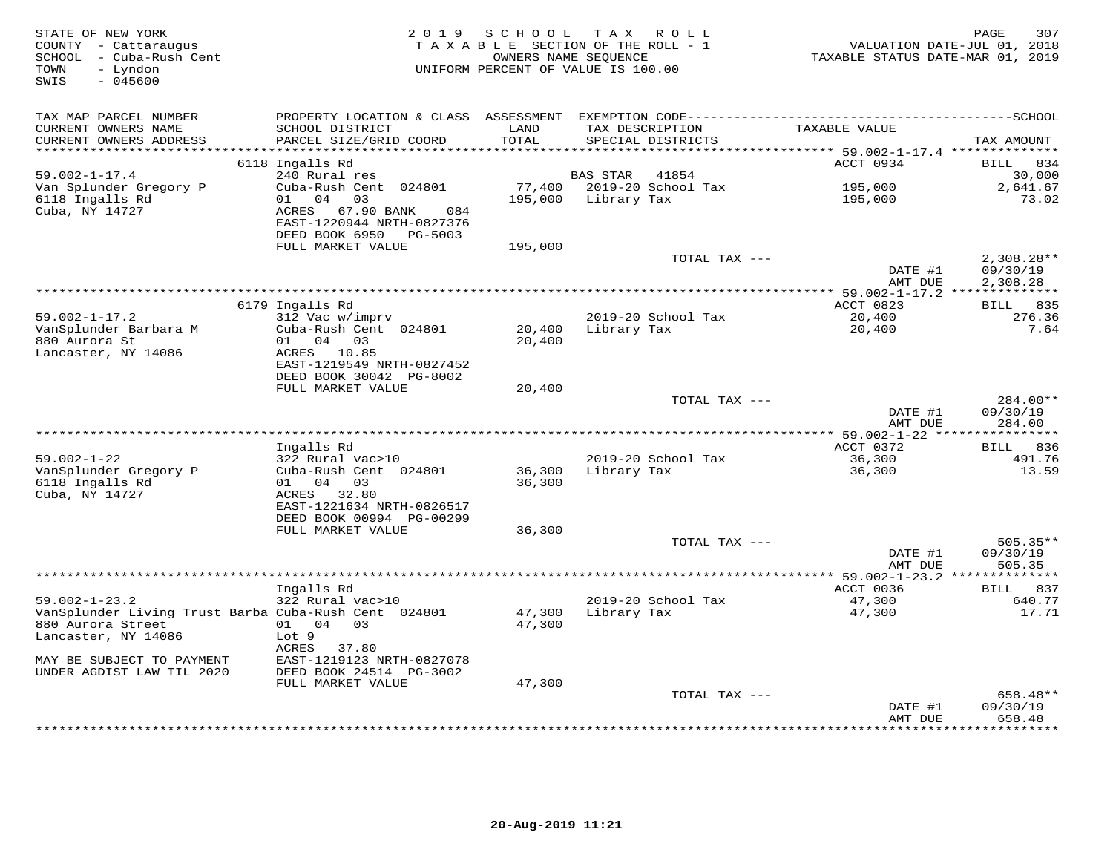| STATE OF NEW YORK<br>COUNTY - Cattaraugus<br>SCHOOL - Cuba-Rush Cent<br>TOWN<br>- Lyndon<br>$-045600$<br>SWIS |                                                                                               | 2019 SCHOOL<br>TAXABLE SECTION OF THE ROLL - 1<br>OWNERS NAME SEQUENCE<br>UNIFORM PERCENT OF VALUE IS 100.00 |             | TAX ROLL                             | TAXABLE STATUS DATE-MAR 01, 2019                                | PAGE<br>307<br>VALUATION DATE-JUL 01, 2018 |
|---------------------------------------------------------------------------------------------------------------|-----------------------------------------------------------------------------------------------|--------------------------------------------------------------------------------------------------------------|-------------|--------------------------------------|-----------------------------------------------------------------|--------------------------------------------|
| TAX MAP PARCEL NUMBER<br>CURRENT OWNERS NAME<br>CURRENT OWNERS ADDRESS                                        | SCHOOL DISTRICT<br>PARCEL SIZE/GRID COORD                                                     | LAND<br>TOTAL                                                                                                |             | TAX DESCRIPTION<br>SPECIAL DISTRICTS | TAXABLE VALUE                                                   | TAX AMOUNT                                 |
| **********************                                                                                        | ****************************                                                                  | ***************                                                                                              |             |                                      | ********************************** 59.002-1-17.4 ************** |                                            |
| $59.002 - 1 - 17.4$<br>Van Splunder Gregory P                                                                 | 6118 Ingalls Rd<br>240 Rural res<br>Cuba-Rush Cent 024801                                     |                                                                                                              | BAS STAR    | 41854<br>77,400 2019-20 School Tax   | ACCT 0934<br>195,000                                            | BILL 834<br>30,000<br>2,641.67             |
| 6118 Ingalls Rd<br>Cuba, NY 14727                                                                             | 01 04 03<br>ACRES<br>67.90 BANK<br>084<br>EAST-1220944 NRTH-0827376<br>DEED BOOK 6950 PG-5003 | 195,000                                                                                                      | Library Tax |                                      | 195,000                                                         | 73.02                                      |
|                                                                                                               | FULL MARKET VALUE                                                                             | 195,000                                                                                                      |             | TOTAL TAX ---                        |                                                                 |                                            |
|                                                                                                               |                                                                                               |                                                                                                              |             |                                      | DATE #1<br>AMT DUE                                              | $2,308.28**$<br>09/30/19<br>2,308.28       |
|                                                                                                               |                                                                                               |                                                                                                              |             |                                      |                                                                 |                                            |
|                                                                                                               | 6179 Ingalls Rd                                                                               |                                                                                                              |             |                                      | ACCT 0823                                                       | <b>BILL</b> 835                            |
| $59.002 - 1 - 17.2$<br>VanSplunder Barbara M                                                                  | 312 Vac w/imprv<br>Cuba-Rush Cent 024801                                                      | 20,400                                                                                                       | Library Tax | 2019-20 School Tax                   | 20,400<br>20,400                                                | 276.36<br>7.64                             |
| 880 Aurora St                                                                                                 | 01 04 03                                                                                      | 20,400                                                                                                       |             |                                      |                                                                 |                                            |
| Lancaster, NY 14086                                                                                           | ACRES 10.85                                                                                   |                                                                                                              |             |                                      |                                                                 |                                            |
|                                                                                                               | EAST-1219549 NRTH-0827452                                                                     |                                                                                                              |             |                                      |                                                                 |                                            |
|                                                                                                               | DEED BOOK 30042 PG-8002<br>FULL MARKET VALUE                                                  |                                                                                                              |             |                                      |                                                                 |                                            |
|                                                                                                               |                                                                                               | 20,400                                                                                                       |             | TOTAL TAX ---                        |                                                                 | $284.00**$                                 |
|                                                                                                               |                                                                                               |                                                                                                              |             |                                      | DATE #1<br>AMT DUE                                              | 09/30/19<br>284.00                         |
|                                                                                                               |                                                                                               |                                                                                                              |             |                                      |                                                                 |                                            |
|                                                                                                               | Ingalls Rd                                                                                    |                                                                                                              |             |                                      | ACCT 0372                                                       | 836<br>BILL                                |
| $59.002 - 1 - 22$<br>VanSplunder Gregory P                                                                    | 322 Rural vac>10<br>Cuba-Rush Cent 024801                                                     | 36,300                                                                                                       | Library Tax | 2019-20 School Tax                   | 36,300<br>36,300                                                | 491.76<br>13.59                            |
| 6118 Ingalls Rd                                                                                               | 01 04 03                                                                                      | 36,300                                                                                                       |             |                                      |                                                                 |                                            |
| Cuba, NY 14727                                                                                                | ACRES<br>32.80                                                                                |                                                                                                              |             |                                      |                                                                 |                                            |
|                                                                                                               | EAST-1221634 NRTH-0826517                                                                     |                                                                                                              |             |                                      |                                                                 |                                            |
|                                                                                                               | DEED BOOK 00994 PG-00299<br>FULL MARKET VALUE                                                 | 36,300                                                                                                       |             |                                      |                                                                 |                                            |
|                                                                                                               |                                                                                               |                                                                                                              |             | TOTAL TAX ---                        |                                                                 | $505.35**$                                 |
|                                                                                                               |                                                                                               |                                                                                                              |             |                                      | DATE #1<br>AMT DUE                                              | 09/30/19<br>505.35                         |
|                                                                                                               |                                                                                               |                                                                                                              |             |                                      |                                                                 |                                            |
| $59.002 - 1 - 23.2$                                                                                           | Ingalls Rd<br>322 Rural vac>10                                                                |                                                                                                              |             |                                      | ACCT 0036                                                       | BILL 837<br>640.77                         |
| VanSplunder Living Trust Barba Cuba-Rush Cent 024801                                                          |                                                                                               | 47,300                                                                                                       | Library Tax | 2019-20 School Tax                   | 47,300<br>47,300                                                | 17.71                                      |
| 880 Aurora Street                                                                                             | 01 04 03                                                                                      | 47,300                                                                                                       |             |                                      |                                                                 |                                            |
| Lancaster, NY 14086                                                                                           | Lot 9                                                                                         |                                                                                                              |             |                                      |                                                                 |                                            |
|                                                                                                               | ACRES<br>37.80<br>EAST-1219123 NRTH-0827078                                                   |                                                                                                              |             |                                      |                                                                 |                                            |
| MAY BE SUBJECT TO PAYMENT<br>UNDER AGDIST LAW TIL 2020                                                        | DEED BOOK 24514 PG-3002                                                                       |                                                                                                              |             |                                      |                                                                 |                                            |
|                                                                                                               | FULL MARKET VALUE                                                                             | 47,300                                                                                                       |             |                                      |                                                                 |                                            |
|                                                                                                               |                                                                                               |                                                                                                              |             | TOTAL TAX ---                        |                                                                 | 658.48**                                   |
|                                                                                                               |                                                                                               |                                                                                                              |             |                                      | DATE #1                                                         | 09/30/19                                   |
|                                                                                                               |                                                                                               |                                                                                                              |             |                                      | AMT DUE                                                         | 658.48<br>* * * * * * * * *                |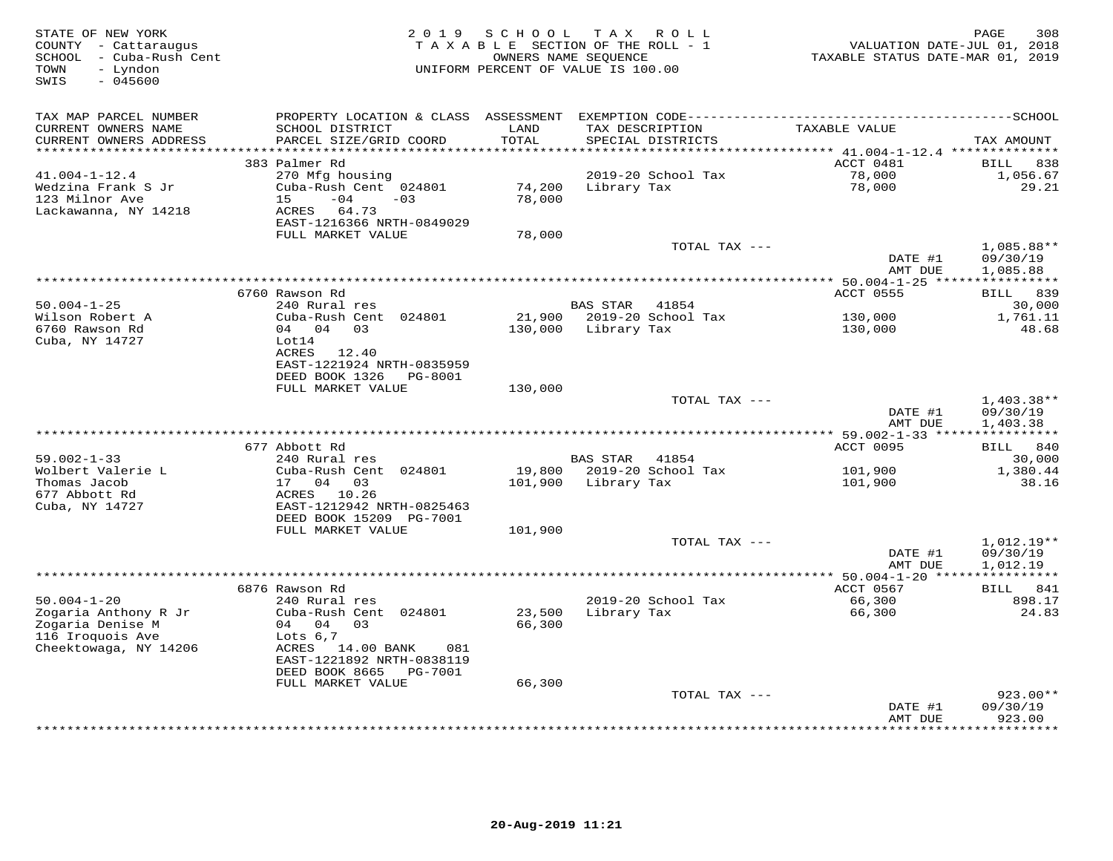| STATE OF NEW YORK<br>COUNTY - Cattaraugus<br>SCHOOL - Cuba-Rush Cent<br>- Lyndon<br>TOWN<br>SWIS<br>$-045600$ | 2 0 1 9                                        | SCHOOL            | TAX ROLL<br>TAXABLE SECTION OF THE ROLL - 1<br>OWNERS NAME SEQUENCE<br>UNIFORM PERCENT OF VALUE IS 100.00 | VALUATION DATE-JUL 01, 2018<br>TAXABLE STATUS DATE-MAR 01, 2019 | 308<br>PAGE              |
|---------------------------------------------------------------------------------------------------------------|------------------------------------------------|-------------------|-----------------------------------------------------------------------------------------------------------|-----------------------------------------------------------------|--------------------------|
| TAX MAP PARCEL NUMBER                                                                                         |                                                |                   |                                                                                                           |                                                                 |                          |
| CURRENT OWNERS NAME                                                                                           | SCHOOL DISTRICT                                | LAND              | TAX DESCRIPTION                                                                                           | TAXABLE VALUE                                                   |                          |
| CURRENT OWNERS ADDRESS<br>*******************                                                                 | PARCEL SIZE/GRID COORD                         | TOTAL<br>******** | SPECIAL DISTRICTS                                                                                         |                                                                 | TAX AMOUNT               |
|                                                                                                               | 383 Palmer Rd                                  |                   |                                                                                                           | ********** 41.004-1-12.4 **************<br>ACCT 0481            | <b>BILL</b><br>838       |
| $41.004 - 1 - 12.4$                                                                                           | 270 Mfg housing                                |                   | 2019-20 School Tax                                                                                        | 78,000                                                          | 1,056.67                 |
| Wedzina Frank S Jr                                                                                            | Cuba-Rush Cent 024801                          | 74,200            | Library Tax                                                                                               | 78,000                                                          | 29.21                    |
| 123 Milnor Ave                                                                                                | $-04$<br>15<br>$-03$                           | 78,000            |                                                                                                           |                                                                 |                          |
| Lackawanna, NY 14218                                                                                          | ACRES 64.73                                    |                   |                                                                                                           |                                                                 |                          |
|                                                                                                               | EAST-1216366 NRTH-0849029                      |                   |                                                                                                           |                                                                 |                          |
|                                                                                                               | FULL MARKET VALUE                              | 78,000            |                                                                                                           |                                                                 |                          |
|                                                                                                               |                                                |                   | TOTAL TAX ---                                                                                             | DATE #1                                                         | $1,085.88**$<br>09/30/19 |
|                                                                                                               |                                                |                   |                                                                                                           | AMT DUE                                                         | 1,085.88                 |
|                                                                                                               |                                                |                   |                                                                                                           |                                                                 |                          |
|                                                                                                               | 6760 Rawson Rd                                 |                   |                                                                                                           | ACCT 0555                                                       | <b>BILL 839</b>          |
| $50.004 - 1 - 25$                                                                                             | 240 Rural res                                  |                   | <b>BAS STAR</b><br>41854                                                                                  |                                                                 | 30,000                   |
| Wilson Robert A<br>6760 Rawson Rd                                                                             | Cuba-Rush Cent 024801<br>04 04 03              |                   | 21,900 2019-20 School Tax                                                                                 | 130,000                                                         | 1,761.11<br>48.68        |
| Cuba, NY 14727                                                                                                | Lot14                                          | 130,000           | Library Tax                                                                                               | 130,000                                                         |                          |
|                                                                                                               | ACRES 12.40                                    |                   |                                                                                                           |                                                                 |                          |
|                                                                                                               | EAST-1221924 NRTH-0835959                      |                   |                                                                                                           |                                                                 |                          |
|                                                                                                               | DEED BOOK 1326<br>PG-8001                      |                   |                                                                                                           |                                                                 |                          |
|                                                                                                               | FULL MARKET VALUE                              | 130,000           |                                                                                                           |                                                                 |                          |
|                                                                                                               |                                                |                   | TOTAL TAX ---                                                                                             |                                                                 | 1,403.38**               |
|                                                                                                               |                                                |                   |                                                                                                           | DATE #1<br>AMT DUE                                              | 09/30/19<br>1,403.38     |
|                                                                                                               |                                                |                   |                                                                                                           |                                                                 |                          |
|                                                                                                               | 677 Abbott Rd                                  |                   |                                                                                                           | ACCT 0095                                                       | BILL 840                 |
| $59.002 - 1 - 33$                                                                                             | 240 Rural res                                  |                   | <b>BAS STAR</b><br>41854                                                                                  |                                                                 | 30,000                   |
| Wolbert Valerie L                                                                                             | Cuba-Rush Cent 024801                          | 19,800            | 2019-20 School Tax                                                                                        | 101,900                                                         | 1,380.44                 |
| Thomas Jacob                                                                                                  | 17<br>04 03                                    | 101,900           | Library Tax                                                                                               | 101,900                                                         | 38.16                    |
| 677 Abbott Rd<br>Cuba, NY 14727                                                                               | ACRES<br>10.26<br>EAST-1212942 NRTH-0825463    |                   |                                                                                                           |                                                                 |                          |
|                                                                                                               | DEED BOOK 15209 PG-7001                        |                   |                                                                                                           |                                                                 |                          |
|                                                                                                               | FULL MARKET VALUE                              | 101,900           |                                                                                                           |                                                                 |                          |
|                                                                                                               |                                                |                   | TOTAL TAX ---                                                                                             |                                                                 | 1,012.19**               |
|                                                                                                               |                                                |                   |                                                                                                           | DATE #1                                                         | 09/30/19                 |
|                                                                                                               |                                                |                   |                                                                                                           | AMT DUE                                                         | 1,012.19                 |
|                                                                                                               |                                                |                   |                                                                                                           |                                                                 |                          |
| $50.004 - 1 - 20$                                                                                             | 6876 Rawson Rd<br>240 Rural res                |                   | 2019-20 School Tax                                                                                        | ACCT 0567<br>66,300                                             | BILL 841<br>898.17       |
| Zogaria Anthony R Jr                                                                                          | Cuba-Rush Cent 024801                          | 23,500            | Library Tax                                                                                               | 66,300                                                          | 24.83                    |
| Zogaria Denise M                                                                                              | 04 04 03                                       | 66,300            |                                                                                                           |                                                                 |                          |
| 116 Iroquois Ave                                                                                              | Lots $6,7$                                     |                   |                                                                                                           |                                                                 |                          |
| Cheektowaga, NY 14206                                                                                         | ACRES 14.00 BANK<br>081                        |                   |                                                                                                           |                                                                 |                          |
|                                                                                                               | EAST-1221892 NRTH-0838119                      |                   |                                                                                                           |                                                                 |                          |
|                                                                                                               | DEED BOOK 8665<br>PG-7001<br>FULL MARKET VALUE | 66,300            |                                                                                                           |                                                                 |                          |
|                                                                                                               |                                                |                   | TOTAL TAX ---                                                                                             |                                                                 | 923.00**                 |
|                                                                                                               |                                                |                   |                                                                                                           | DATE #1                                                         | 09/30/19                 |
|                                                                                                               |                                                |                   |                                                                                                           | AMT DUE                                                         | 923.00                   |
|                                                                                                               |                                                |                   |                                                                                                           |                                                                 | * * * * * * * *          |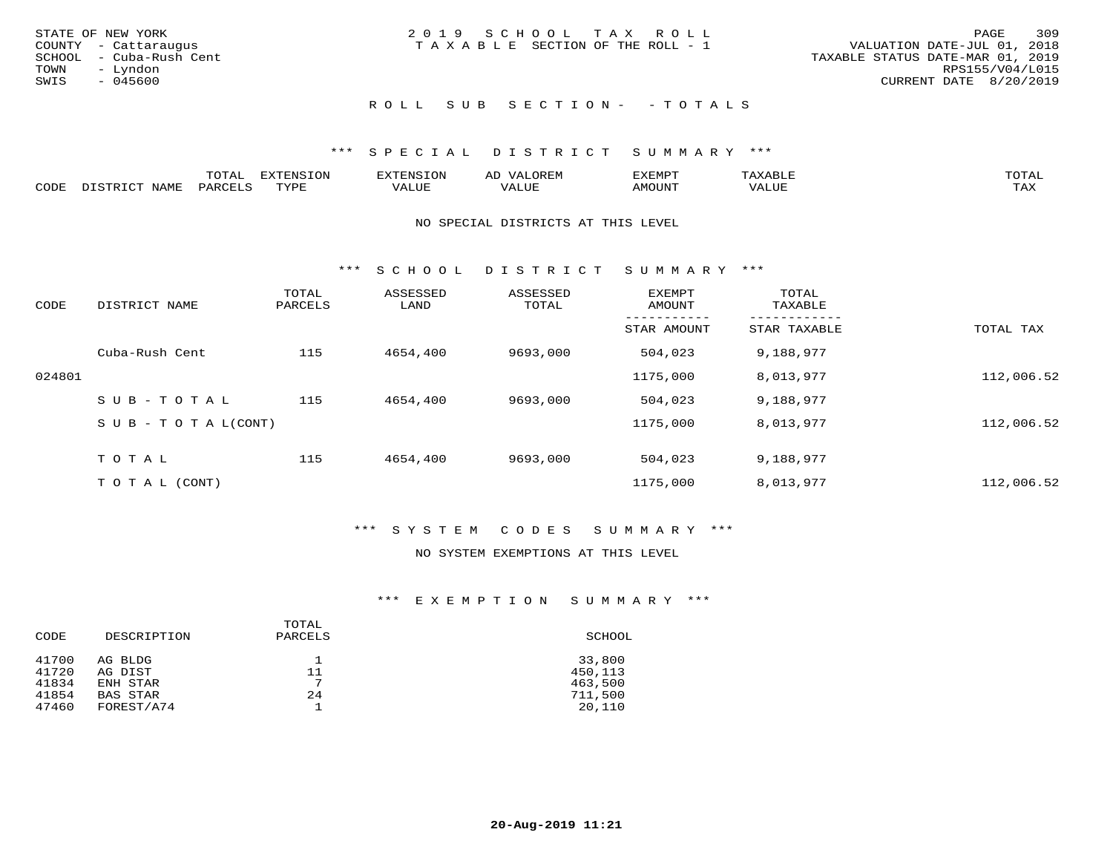| STATE OF NEW YORK<br>COUNTY - Cattaraugus<br>SCHOOL - Cuba-Rush Cent<br>TOWN<br>– Lyndon<br>SWIS<br>- 045600 | 2019 SCHOOL TAX ROLL<br>T A X A B L E SECTION OF THE ROLL - 1 | 309<br>PAGE<br>VALUATION DATE-JUL 01, 2018<br>TAXABLE STATUS DATE-MAR 01, 2019<br>RPS155/V04/L015<br>CURRENT DATE 8/20/2019 |
|--------------------------------------------------------------------------------------------------------------|---------------------------------------------------------------|-----------------------------------------------------------------------------------------------------------------------------|
|                                                                                                              | ROLL SUB SECTION- - TOTALS                                    |                                                                                                                             |

|      |      | momn.<br>.UIAL | <b>DIZODALO TOM</b><br><b>1115</b><br>LUP | ר את דר            | ΑL<br>$\cdots$      | EXEMPT        | 'ΔΧΔ<br>AAABLE | momn. |
|------|------|----------------|-------------------------------------------|--------------------|---------------------|---------------|----------------|-------|
| CODE | NAME | 'ARC           | TVDF<br>د د د                             | <b>TTT</b><br>ALUM | <b>TTT</b><br>7ALUE | <b>TNUOMA</b> | . ALUE         | TAX   |

### NO SPECIAL DISTRICTS AT THIS LEVEL

\*\*\* S C H O O L D I S T R I C T S U M M A R Y \*\*\*

| CODE   | DISTRICT NAME                    | TOTAL<br>PARCELS | ASSESSED<br>LAND | ASSESSED<br>TOTAL | <b>EXEMPT</b><br>AMOUNT | TOTAL<br>TAXABLE |            |
|--------|----------------------------------|------------------|------------------|-------------------|-------------------------|------------------|------------|
|        |                                  |                  |                  |                   | STAR AMOUNT             | STAR TAXABLE     | TOTAL TAX  |
|        | Cuba-Rush Cent                   | 115              | 4654,400         | 9693,000          | 504,023                 | 9,188,977        |            |
| 024801 |                                  |                  |                  |                   | 1175,000                | 8,013,977        | 112,006.52 |
|        | SUB-TOTAL                        | 115              | 4654,400         | 9693,000          | 504,023                 | 9,188,977        |            |
|        | $S \cup B - T \cup T A L (CONT)$ |                  |                  |                   | 1175,000                | 8,013,977        | 112,006.52 |
|        | TOTAL                            | 115              | 4654,400         | 9693,000          | 504,023                 | 9,188,977        |            |
|        | T O T A L (CONT)                 |                  |                  |                   | 1175,000                | 8,013,977        | 112,006.52 |

## \*\*\* S Y S T E M C O D E S S U M M A R Y \*\*\*

### NO SYSTEM EXEMPTIONS AT THIS LEVEL

### \*\*\* E X E M P T I O N S U M M A R Y \*\*\*

| CODE           | DESCRIPTION        | TOTAL<br>PARCELS | SCHOOL            |
|----------------|--------------------|------------------|-------------------|
| 41700<br>41720 | AG BLDG<br>AG DIST | 11               | 33,800<br>450,113 |
| 41834          | ENH STAR           | $\overline{ }$   | 463,500           |
| 41854          | <b>BAS STAR</b>    | 24               | 711,500           |
| 47460          | FOREST/A74         |                  | 20,110            |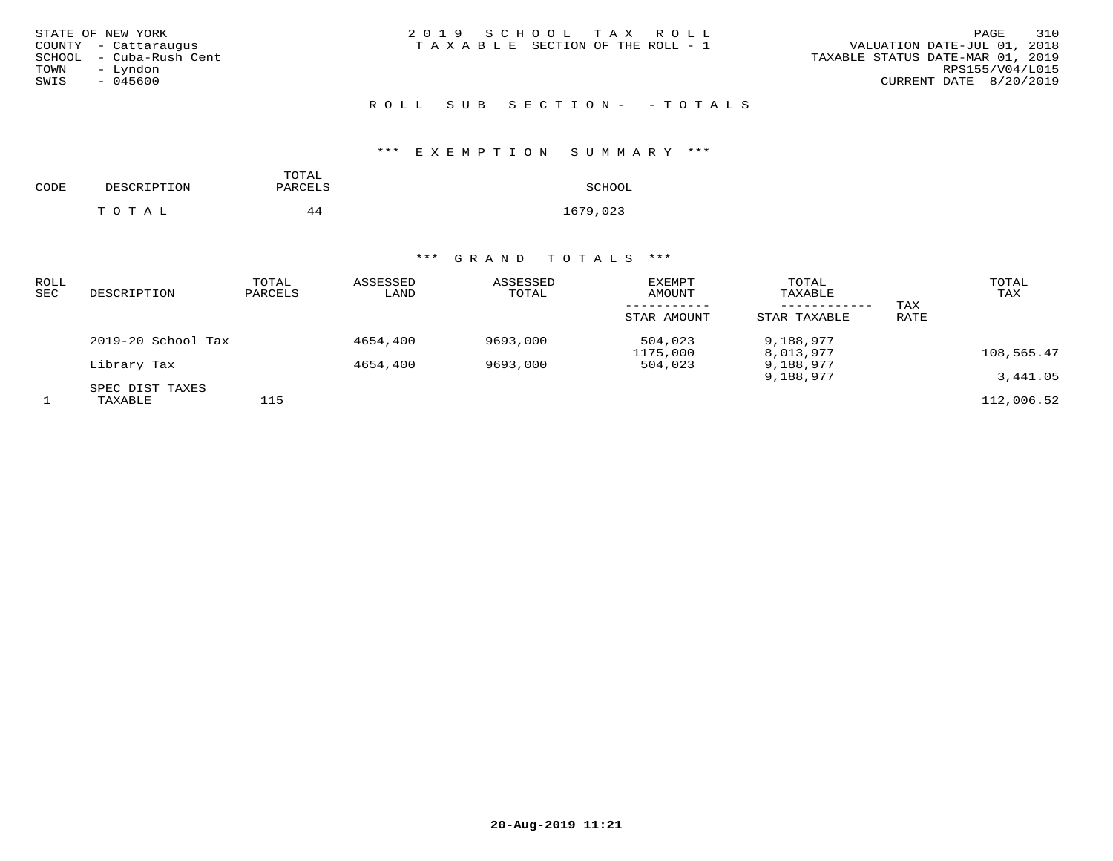| STATE OF NEW YORK |  |                  |  |
|-------------------|--|------------------|--|
| COUNTY            |  | - Cattaraugus    |  |
| SCHOOL            |  | - Cuba-Rush Cent |  |
| TOWN              |  | - Lyndon         |  |
| SWIS              |  | $-045600$        |  |

ROLL SUB SECTION - - TOTALS

### \*\*\* E X E M P T I O N S U M M A R Y \*\*\*

| CODE | DESCRIPTION | TOTAL<br>PARCELS | SCHOOL   |
|------|-------------|------------------|----------|
|      | TOTAL       | 44               | 1679,023 |

### \*\*\* G R A N D T O T A L S \*\*\*

| ROLL<br><b>SEC</b> | DESCRIPTION                | TOTAL<br>PARCELS | ASSESSED<br>LAND | ASSESSED<br>TOTAL | <b>EXEMPT</b><br>AMOUNT<br>STAR AMOUNT | TOTAL<br>TAXABLE<br>------------<br>STAR TAXABLE | TAX<br>RATE | TOTAL<br>TAX |
|--------------------|----------------------------|------------------|------------------|-------------------|----------------------------------------|--------------------------------------------------|-------------|--------------|
|                    | 2019-20 School Tax         |                  | 4654,400         | 9693,000          | 504,023<br>1175,000                    | 9,188,977<br>8,013,977                           |             | 108,565.47   |
|                    | Library Tax                |                  | 4654,400         | 9693,000          | 504,023                                | 9,188,977<br>9,188,977                           |             | 3,441.05     |
|                    | SPEC DIST TAXES<br>TAXABLE | 115              |                  |                   |                                        |                                                  |             | 112,006.52   |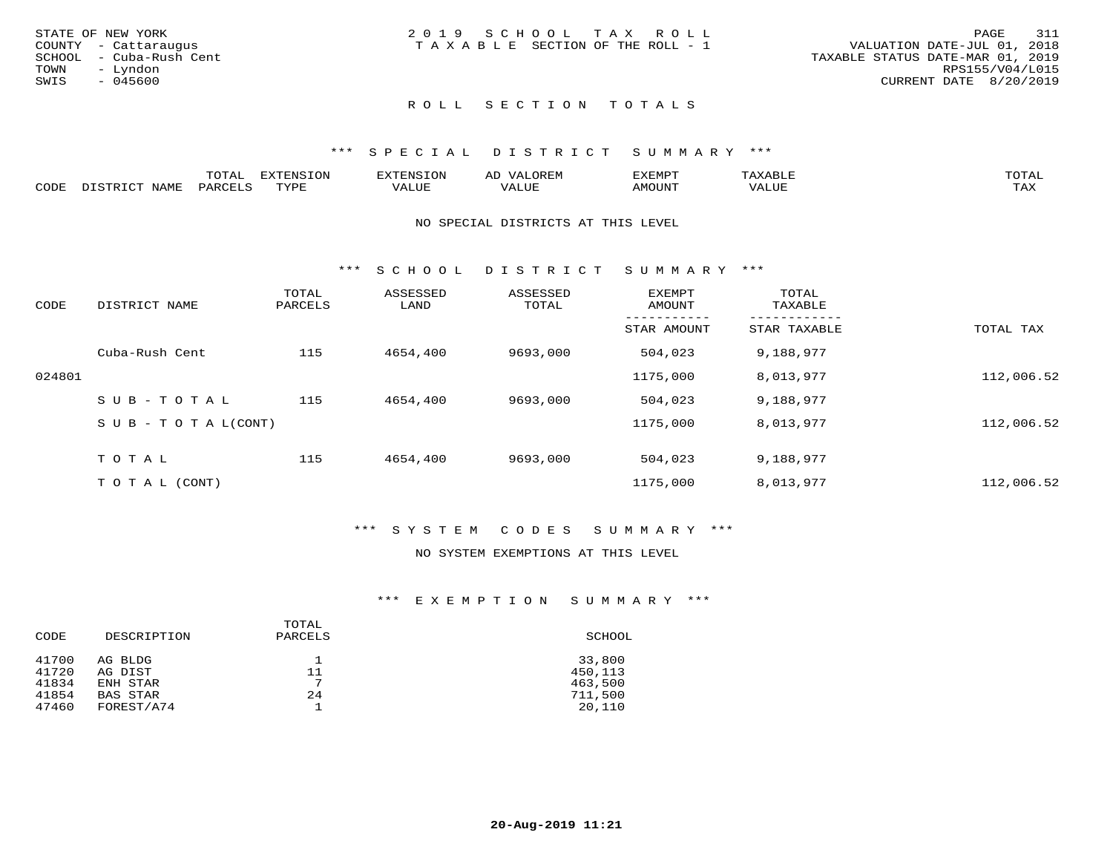| STATE OF NEW YORK       | 2019 SCHOOL TAX ROLL                  |                                  | 311<br>PAGE     |
|-------------------------|---------------------------------------|----------------------------------|-----------------|
| COUNTY - Cattaraugus    | T A X A B L E SECTION OF THE ROLL - 1 | VALUATION DATE-JUL 01, 2018      |                 |
| SCHOOL - Cuba-Rush Cent |                                       | TAXABLE STATUS DATE-MAR 01, 2019 |                 |
| TOWN<br>– Lyndon        |                                       |                                  | RPS155/V04/L015 |
| SWIS<br>- 045600        |                                       | CURRENT DATE 8/20/2019           |                 |
|                         |                                       |                                  |                 |

# ROLL SECTION TOTALS

### \*\*\* S P E C I A L D I S T R I C T S U M M A R Y \*\*\*

|      | ----<br>$\overline{ }$                         | <b>ERNSION</b><br>--- |                          | ΑL | ם כדי ארד לצו |           |                        |
|------|------------------------------------------------|-----------------------|--------------------------|----|---------------|-----------|------------------------|
| CODE | $\Box \wedge D \wedge \Box \wedge \neg \wedge$ | $m \tau \tau n$       | * * * * * * <del>*</del> |    | AMOUNT        | $+ + + +$ | $m \times r$<br>- ⊥777 |

### NO SPECIAL DISTRICTS AT THIS LEVEL

\*\*\* S C H O O L D I S T R I C T S U M M A R Y \*\*\*

| CODE   | DISTRICT NAME                    | TOTAL<br>PARCELS | ASSESSED<br>LAND | ASSESSED<br>TOTAL | <b>EXEMPT</b><br>AMOUNT | TOTAL<br>TAXABLE |            |
|--------|----------------------------------|------------------|------------------|-------------------|-------------------------|------------------|------------|
|        |                                  |                  |                  |                   | STAR AMOUNT             | STAR TAXABLE     | TOTAL TAX  |
|        | Cuba-Rush Cent                   | 115              | 4654,400         | 9693,000          | 504,023                 | 9,188,977        |            |
| 024801 |                                  |                  |                  |                   | 1175,000                | 8,013,977        | 112,006.52 |
|        | SUB-TOTAL                        | 115              | 4654,400         | 9693,000          | 504,023                 | 9,188,977        |            |
|        | $S \cup B - T \cup T A L (CONT)$ |                  |                  |                   | 1175,000                | 8,013,977        | 112,006.52 |
|        | TOTAL                            | 115              | 4654,400         | 9693,000          | 504,023                 | 9,188,977        |            |
|        |                                  |                  |                  |                   |                         |                  |            |
|        | T O T A L (CONT)                 |                  |                  |                   | 1175,000                | 8,013,977        | 112,006.52 |

### \*\*\* S Y S T E M C O D E S S U M M A R Y \*\*\*

### NO SYSTEM EXEMPTIONS AT THIS LEVEL

### \*\*\* E X E M P T I O N S U M M A R Y \*\*\*

| CODE           | DESCRIPTION        | TOTAL<br>PARCELS | SCHOOL            |
|----------------|--------------------|------------------|-------------------|
| 41700<br>41720 | AG BLDG<br>AG DIST | 11               | 33,800<br>450,113 |
| 41834          | ENH STAR           | $\overline{ }$   | 463,500           |
| 41854          | <b>BAS STAR</b>    | 24               | 711,500           |
| 47460          | FOREST/A74         |                  | 20,110            |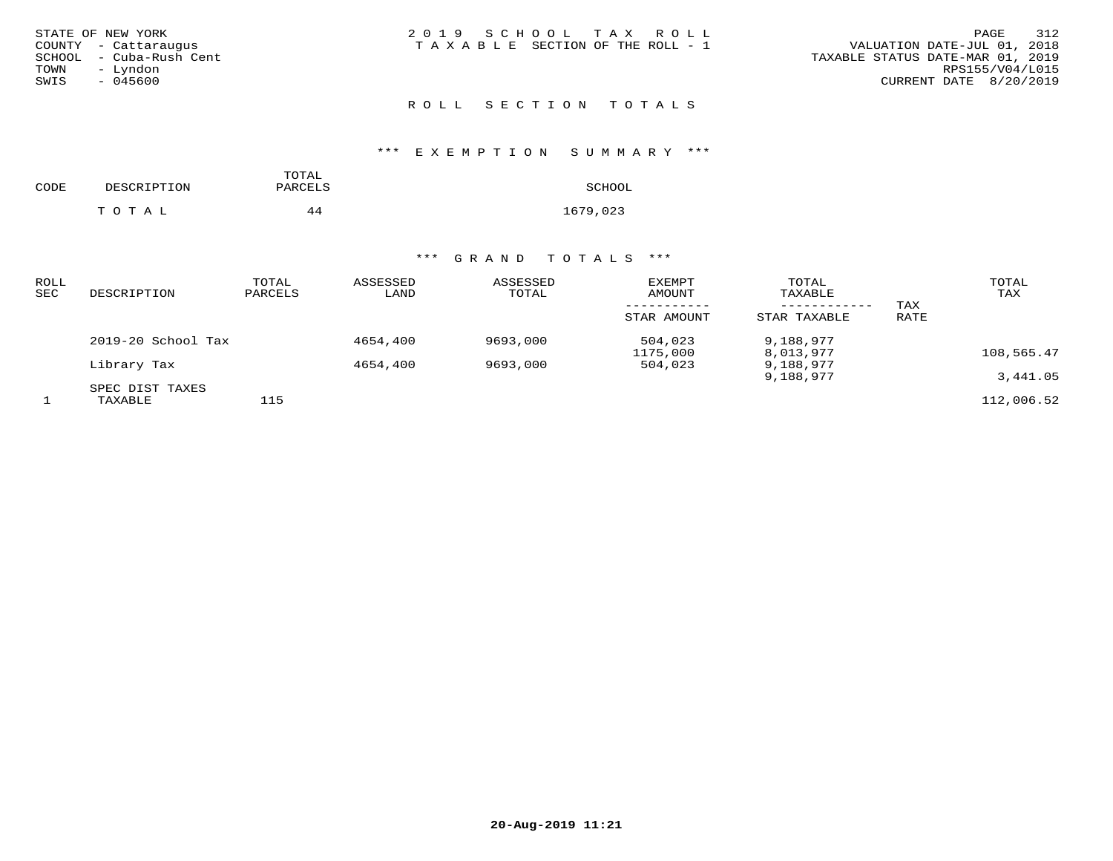| STATE OF NEW YORK        | 2019 SCHOOL TAX ROLL            |  |  |
|--------------------------|---------------------------------|--|--|
| COUNTY - Cattaraugus     | TAXABLE SECTION OF THE ROLL - 1 |  |  |
| SCHOOL  – Cuba-Rush Cent |                                 |  |  |
| TOWN - Lyndon            |                                 |  |  |
| SWIS<br>- 045600         |                                 |  |  |

# ROLL SECTION TOTALS

### \*\*\* E X E M P T I O N S U M M A R Y \*\*\*

| CODE | DESCRIPTION | TOTAL<br>PARCELS | SCHOOL   |
|------|-------------|------------------|----------|
|      | TOTAL       | 44               | 1679,023 |

### \*\*\* G R A N D T O T A L S \*\*\*

| <b>ROLL</b><br><b>SEC</b> | DESCRIPTION                | TOTAL<br>PARCELS | ASSESSED<br>LAND | ASSESSED<br>TOTAL | EXEMPT<br>AMOUNT<br>STAR AMOUNT | TOTAL<br>TAXABLE<br>----------<br>STAR TAXABLE | TAX<br>RATE | TOTAL<br>TAX |
|---------------------------|----------------------------|------------------|------------------|-------------------|---------------------------------|------------------------------------------------|-------------|--------------|
|                           | 2019-20 School Tax         |                  | 4654,400         | 9693,000          | 504,023<br>1175,000             | 9,188,977<br>8,013,977                         |             | 108,565.47   |
|                           | Library Tax                |                  | 4654,400         | 9693,000          | 504,023                         | 9,188,977<br>9,188,977                         |             | 3,441.05     |
|                           | SPEC DIST TAXES<br>TAXABLE | 115              |                  |                   |                                 |                                                |             | 112,006.52   |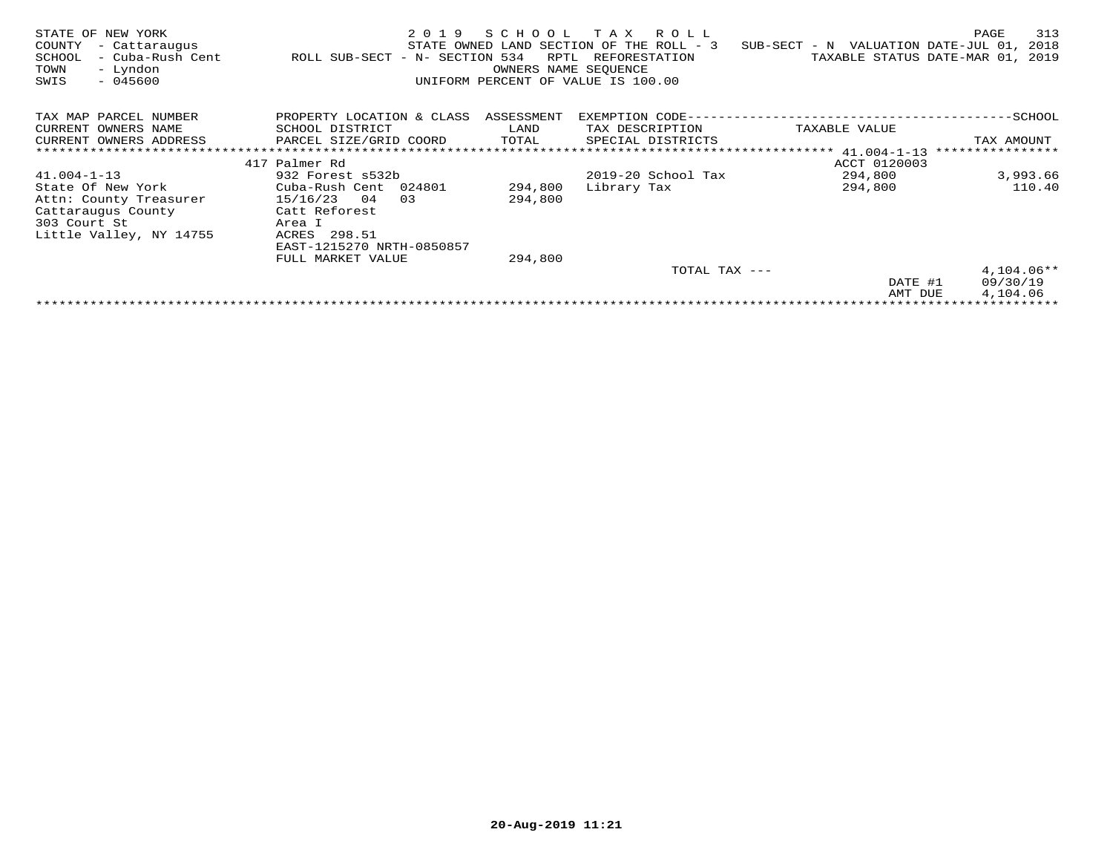| STATE OF NEW YORK<br>COUNTY<br>- Cattaraugus<br>SCHOOL<br>- Cuba-Rush Cent<br>- Lyndon<br>TOWN<br>SWIS<br>$-045600$ | 2 0 1 9<br>ROLL SUB-SECT - N- SECTION 534 | SCHOOL<br>RPTL<br>OWNERS NAME SEOUENCE | T A X<br>R O L L<br>STATE OWNED LAND SECTION OF THE ROLL - 3<br>REFORESTATION<br>UNIFORM PERCENT OF VALUE IS 100.00 | SUB-SECT - N VALUATION DATE-JUL 01,<br>TAXABLE STATUS DATE-MAR 01, | 313<br>PAGE<br>2018<br>2019 |
|---------------------------------------------------------------------------------------------------------------------|-------------------------------------------|----------------------------------------|---------------------------------------------------------------------------------------------------------------------|--------------------------------------------------------------------|-----------------------------|
| TAX MAP PARCEL NUMBER                                                                                               | PROPERTY LOCATION & CLASS                 | ASSESSMENT                             |                                                                                                                     |                                                                    |                             |
| CURRENT OWNERS NAME                                                                                                 | SCHOOL DISTRICT                           | LAND                                   | TAX DESCRIPTION                                                                                                     | TAXABLE VALUE                                                      |                             |
| CURRENT OWNERS ADDRESS                                                                                              | PARCEL SIZE/GRID COORD                    | TOTAL                                  | SPECIAL DISTRICTS                                                                                                   |                                                                    | TAX AMOUNT                  |
|                                                                                                                     |                                           |                                        |                                                                                                                     |                                                                    | ****************            |
|                                                                                                                     | 417 Palmer Rd                             |                                        |                                                                                                                     | ACCT 0120003                                                       |                             |
| $41.004 - 1 - 13$                                                                                                   | 932 Forest s532b                          |                                        | $2019-20$ School Tax                                                                                                | 294,800                                                            | 3,993.66                    |
| State Of New York                                                                                                   | Cuba-Rush Cent 024801                     | 294,800                                | Library Tax                                                                                                         | 294,800                                                            | 110.40                      |
| Attn: County Treasurer                                                                                              | 15/16/23<br>04<br>03                      | 294,800                                |                                                                                                                     |                                                                    |                             |
| Cattaraugus County                                                                                                  | Catt Reforest                             |                                        |                                                                                                                     |                                                                    |                             |
| 303 Court St                                                                                                        | Area I                                    |                                        |                                                                                                                     |                                                                    |                             |
| Little Valley, NY 14755                                                                                             | ACRES 298.51                              |                                        |                                                                                                                     |                                                                    |                             |
|                                                                                                                     | EAST-1215270 NRTH-0850857                 |                                        |                                                                                                                     |                                                                    |                             |
|                                                                                                                     | FULL MARKET VALUE                         | 294,800                                |                                                                                                                     |                                                                    |                             |
|                                                                                                                     |                                           |                                        | TOTAL TAX ---                                                                                                       |                                                                    | $4,104.06**$                |
|                                                                                                                     |                                           |                                        |                                                                                                                     | DATE #1                                                            | 09/30/19                    |
|                                                                                                                     |                                           |                                        |                                                                                                                     | AMT DUE                                                            | 4,104.06                    |
|                                                                                                                     |                                           |                                        |                                                                                                                     |                                                                    |                             |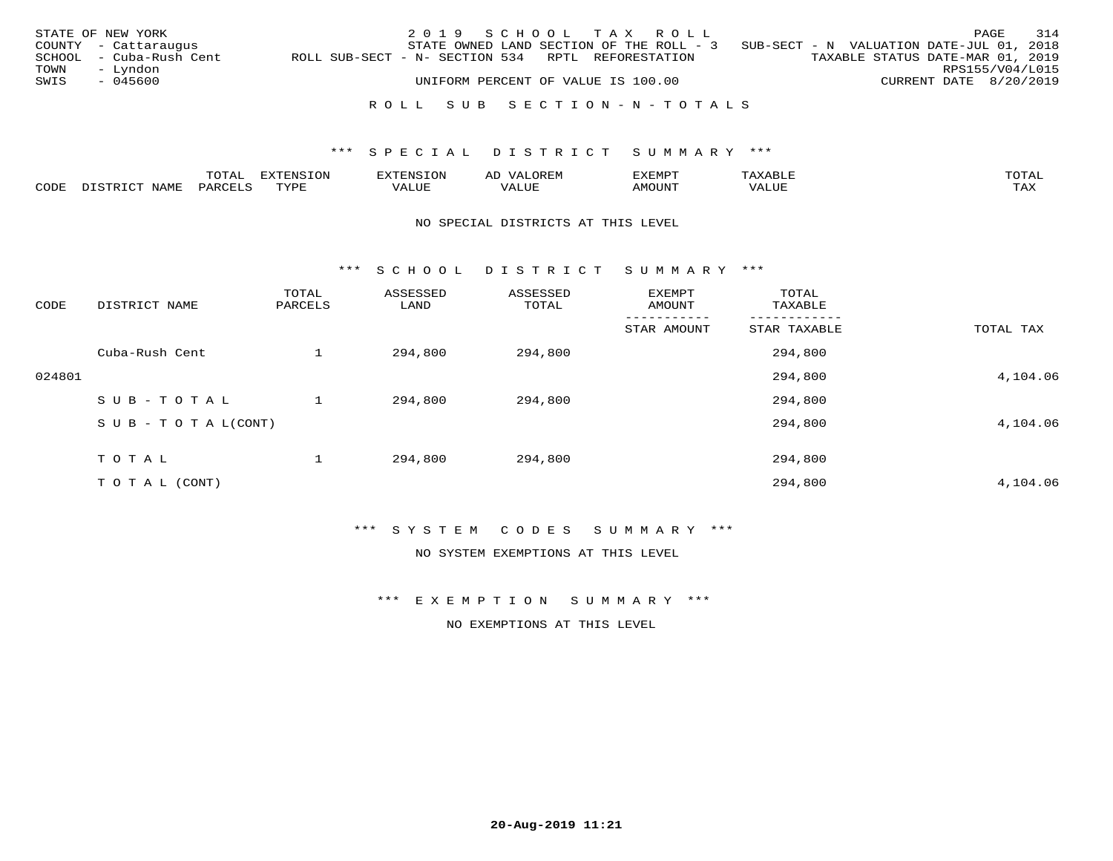|              | STATE OF NEW YORK<br>COUNTY - Cattaraugus |                                                   | 2019 SCHOOL TAX ROLL |                                    | STATE OWNED LAND SECTION OF THE ROLL - 3 | SUB-SECT - N VALUATION DATE-JUL 01, 2018 |                                           | PAGE | 314 |
|--------------|-------------------------------------------|---------------------------------------------------|----------------------|------------------------------------|------------------------------------------|------------------------------------------|-------------------------------------------|------|-----|
|              | SCHOOL - Cuba-Rush Cent                   | ROLL SUB-SECT - N- SECTION 534 RPTL REFORESTATION |                      |                                    |                                          | TAXABLE STATUS DATE-MAR 01, 2019         |                                           |      |     |
| TOWN<br>SWIS | – Lyndon<br>- 045600                      |                                                   |                      | UNIFORM PERCENT OF VALUE IS 100.00 |                                          |                                          | RPS155/V04/L015<br>CURRENT DATE 8/20/2019 |      |     |
|              |                                           |                                                   |                      |                                    | ROLL SUB SECTION-N-TOTALS                |                                          |                                           |      |     |

|              |      | ----<br>⊥∪⊥⊓⊥ | <del>.</del><br>$-7070$ |        |                         | ,,, <del>,</del> ,,, <del>,</del> ,<br>ັ<br>⊐∆∟⊔⊔⊏ | $m \wedge m$       |
|--------------|------|---------------|-------------------------|--------|-------------------------|----------------------------------------------------|--------------------|
| <b>AUDE:</b> | NAME |               | TUTT                    | חדד דו | $- - - -$<br>۳۰ تابلد ک | MOUN.                                              | $- - - -$<br>. ris |

### NO SPECIAL DISTRICTS AT THIS LEVEL

\*\*\* S C H O O L D I S T R I C T S U M M A R Y \*\*\*

| CODE   | DISTRICT NAME                    | TOTAL<br>PARCELS | ASSESSED<br>LAND | ASSESSED<br>TOTAL | EXEMPT<br>AMOUNT | TOTAL<br>TAXABLE |           |
|--------|----------------------------------|------------------|------------------|-------------------|------------------|------------------|-----------|
|        |                                  |                  |                  |                   | STAR AMOUNT      | STAR TAXABLE     | TOTAL TAX |
|        | Cuba-Rush Cent                   |                  | 294,800          | 294,800           |                  | 294,800          |           |
| 024801 |                                  |                  |                  |                   |                  | 294,800          | 4,104.06  |
|        | SUB-TOTAL                        |                  | 294,800          | 294,800           |                  | 294,800          |           |
|        | $S \cup B - T \cup T A L (CONT)$ |                  |                  |                   |                  | 294,800          | 4,104.06  |
|        | TOTAL                            |                  | 294,800          | 294,800           |                  | 294,800          |           |
|        | T O T A L (CONT)                 |                  |                  |                   |                  | 294,800          | 4,104.06  |

\*\*\* S Y S T E M C O D E S S U M M A R Y \*\*\*

NO SYSTEM EXEMPTIONS AT THIS LEVEL

\*\*\* E X E M P T I O N S U M M A R Y \*\*\*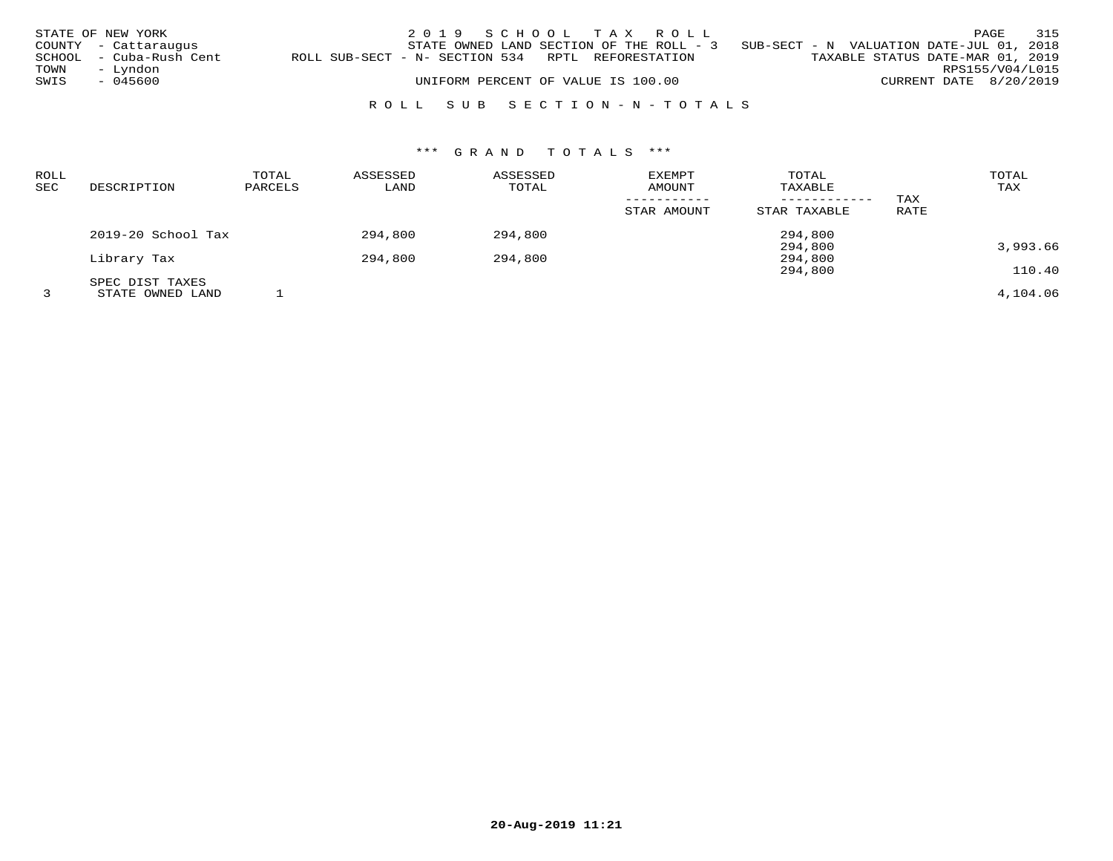|      | STATE OF NEW YORK<br>COUNTY - Cattaraugus |                                                   | 2019 SCHOOL TAX ROLL               |  |  | STATE OWNED LAND SECTION OF THE ROLL - 3 SUB-SECT - N VALUATION DATE-JUL 01, 2018 |                        | PAGE | 315 |
|------|-------------------------------------------|---------------------------------------------------|------------------------------------|--|--|-----------------------------------------------------------------------------------|------------------------|------|-----|
| TOWN | SCHOOL - Cuba-Rush Cent<br>– Lyndon       | ROLL SUB-SECT - N- SECTION 534 RPTL REFORESTATION |                                    |  |  | TAXABLE STATUS DATE-MAR 01, 2019                                                  | RPS155/V04/L015        |      |     |
| SWIS | - 045600                                  |                                                   | UNIFORM PERCENT OF VALUE IS 100.00 |  |  |                                                                                   | CURRENT DATE 8/20/2019 |      |     |
|      |                                           |                                                   | ROLL SUB SECTION-N-TOTALS          |  |  |                                                                                   |                        |      |     |

# \*\*\* G R A N D T O T A L S \*\*\*

| <b>ROLL</b><br>SEC | DESCRIPTION                         | TOTAL<br>PARCELS | ASSESSED<br>LAND | ASSESSED<br>TOTAL | <b>EXEMPT</b><br>AMOUNT<br>-----------<br>STAR AMOUNT | TOTAL<br>TAXABLE<br>STAR TAXABLE | TAX<br>RATE | TOTAL<br>TAX |
|--------------------|-------------------------------------|------------------|------------------|-------------------|-------------------------------------------------------|----------------------------------|-------------|--------------|
|                    | 2019-20 School Tax                  |                  | 294,800          | 294,800           |                                                       | 294,800                          |             |              |
|                    | Library Tax                         |                  | 294,800          | 294,800           |                                                       | 294,800<br>294,800               |             | 3,993.66     |
|                    |                                     |                  |                  |                   |                                                       | 294,800                          |             | 110.40       |
|                    | SPEC DIST TAXES<br>STATE OWNED LAND |                  |                  |                   |                                                       |                                  |             | 4,104.06     |

**20-Aug-2019 11:21**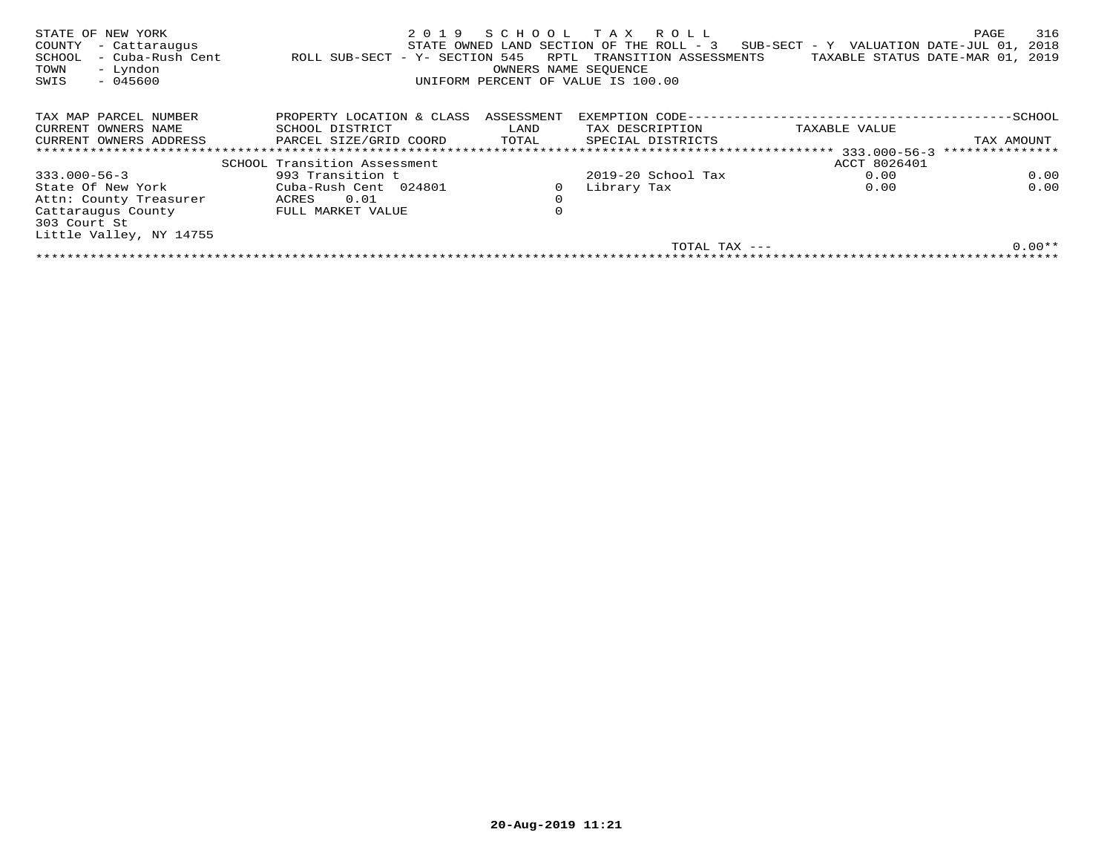| STATE OF NEW YORK<br>COUNTY<br>- Cattaraugus<br>- Cuba-Rush Cent<br>SCHOOL<br>- Lyndon<br>TOWN<br>$-045600$<br>SWIS | 2019<br>ROLL SUB-SECT - Y- SECTION 545 | SCHOOL<br>RPTL<br>OWNERS NAME SEQUENCE | T A X<br>R O L L<br>STATE OWNED LAND SECTION OF THE ROLL - 3<br>TRANSITION ASSESSMENTS<br>UNIFORM PERCENT OF VALUE IS 100.00 | SUB-SECT - Y VALUATION DATE-JUL 01,<br>TAXABLE STATUS DATE-MAR 01, | 316<br>PAGE<br>2018<br>2019 |
|---------------------------------------------------------------------------------------------------------------------|----------------------------------------|----------------------------------------|------------------------------------------------------------------------------------------------------------------------------|--------------------------------------------------------------------|-----------------------------|
| TAX MAP PARCEL NUMBER                                                                                               | PROPERTY LOCATION & CLASS              | ASSESSMENT                             | EXEMPTION CODE--                                                                                                             |                                                                    | -SCHOOL                     |
| CURRENT OWNERS NAME                                                                                                 | SCHOOL DISTRICT                        | LAND                                   | TAX DESCRIPTION                                                                                                              | TAXABLE VALUE                                                      |                             |
| CURRENT OWNERS ADDRESS                                                                                              | PARCEL SIZE/GRID COORD                 | TOTAL                                  | SPECIAL DISTRICTS                                                                                                            |                                                                    | TAX AMOUNT                  |
|                                                                                                                     | *************************************  |                                        | ********************************                                                                                             | $333.000 - 56 - 3$                                                 | ***************             |
|                                                                                                                     | SCHOOL Transition Assessment           |                                        |                                                                                                                              | ACCT 8026401                                                       |                             |
| $333.000 - 56 - 3$                                                                                                  | 993 Transition t                       |                                        | $2019-20$ School Tax                                                                                                         | 0.00                                                               | 0.00                        |
| State Of New York                                                                                                   | Cuba-Rush Cent 024801                  | 0                                      | Library Tax                                                                                                                  | 0.00                                                               | 0.00                        |
| Attn: County Treasurer                                                                                              | 0.01<br>ACRES                          | $\mathbf 0$                            |                                                                                                                              |                                                                    |                             |
| Cattaraugus County<br>303 Court St                                                                                  | FULL MARKET VALUE                      | 0                                      |                                                                                                                              |                                                                    |                             |
| Little Valley, NY 14755                                                                                             |                                        |                                        |                                                                                                                              |                                                                    |                             |
|                                                                                                                     |                                        |                                        | TOTAL TAX ---                                                                                                                |                                                                    | $0.00**$                    |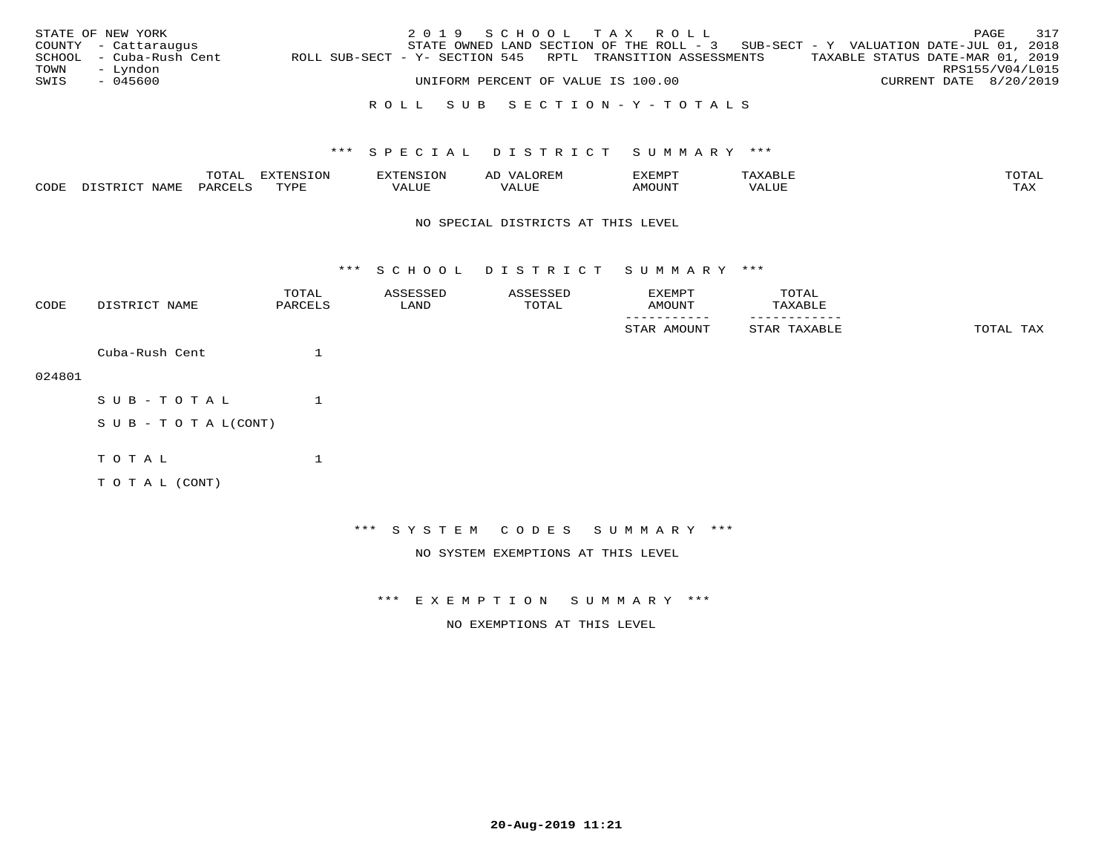|              | STATE OF NEW YORK<br>COUNTY - Cattaraugus<br>SCHOOL - Cuba-Rush Cent | ROLL SUB-SECT - Y- SECTION 545 RPTL TRANSITION ASSESSMENTS | 2019 SCHOOL TAX ROLL<br>STATE OWNED LAND SECTION OF THE ROLL - 3 SUB-SECT - Y VALUATION DATE-JUL 01, 2018 |  |  |  | TAXABLE STATUS DATE-MAR 01, 2019 | PAGE | 317                                       |
|--------------|----------------------------------------------------------------------|------------------------------------------------------------|-----------------------------------------------------------------------------------------------------------|--|--|--|----------------------------------|------|-------------------------------------------|
| TOWN<br>SWIS | – Lyndon<br>- 045600                                                 |                                                            | UNIFORM PERCENT OF VALUE IS 100.00                                                                        |  |  |  |                                  |      | RPS155/V04/L015<br>CURRENT DATE 8/20/2019 |
|              |                                                                      |                                                            | ROLL SUB SECTION-Y-TOTALS                                                                                 |  |  |  |                                  |      |                                           |

### TOTAL EXTENSION EXTENSION AD VALOREM EXEMPT TAXABLE TOTALTAX CODE DISTRICT NAME PARCELS TYPE VALUE VALUE AMOUNT VALUE TAX

### NO SPECIAL DISTRICTS AT THIS LEVEL

\*\*\* S C H O O L D I S T R I C T S U M M A R Y \*\*\*

| CODE   | DISTRICT NAME              | TOTAL<br>PARCELS | ASSESSED<br>LAND | ASSESSED<br>TOTAL                  | EXEMPT<br>AMOUNT             | TOTAL<br>TAXABLE |           |
|--------|----------------------------|------------------|------------------|------------------------------------|------------------------------|------------------|-----------|
|        |                            |                  |                  |                                    | STAR AMOUNT                  | STAR TAXABLE     | TOTAL TAX |
|        | Cuba-Rush Cent             | 1                |                  |                                    |                              |                  |           |
| 024801 |                            |                  |                  |                                    |                              |                  |           |
|        | SUB-TOTAL                  |                  |                  |                                    |                              |                  |           |
|        | S U B - T O T A $L$ (CONT) |                  |                  |                                    |                              |                  |           |
|        | TOTAL                      | $\mathbf{1}$     |                  |                                    |                              |                  |           |
|        | TO TAL (CONT)              |                  |                  |                                    |                              |                  |           |
|        |                            |                  |                  |                                    |                              |                  |           |
|        |                            |                  |                  |                                    | *** SYSTEM CODES SUMMARY *** |                  |           |
|        |                            |                  |                  | NO SYSTEM EXEMPTIONS AT THIS LEVEL |                              |                  |           |

\*\*\* E X E M P T I O N S U M M A R Y \*\*\*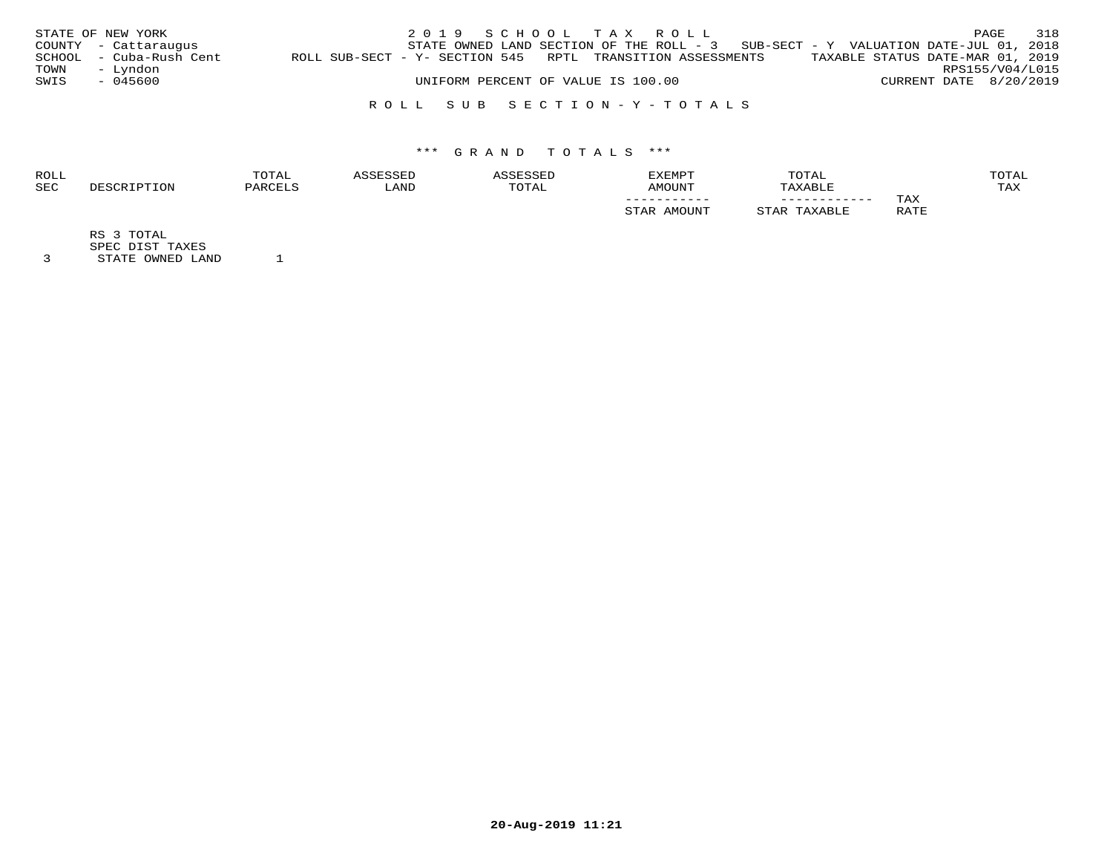|      | STATE OF NEW YORK       |                                                            | 2019 SCHOOL TAX ROLL                                                                |                                    |  |                                  |                        | PAGE            | 318 |
|------|-------------------------|------------------------------------------------------------|-------------------------------------------------------------------------------------|------------------------------------|--|----------------------------------|------------------------|-----------------|-----|
|      | COUNTY - Cattaraugus    |                                                            | STATE OWNED LAND SECTION OF THE ROLL - $3$ SUB-SECT - Y VALUATION DATE-JUL 01, 2018 |                                    |  |                                  |                        |                 |     |
|      | SCHOOL - Cuba-Rush Cent | ROLL SUB-SECT - Y- SECTION 545 RPTL TRANSITION ASSESSMENTS |                                                                                     |                                    |  | TAXABLE STATUS DATE-MAR 01, 2019 |                        |                 |     |
| TOWN | - Lyndon                |                                                            |                                                                                     |                                    |  |                                  |                        | RPS155/V04/L015 |     |
| SWIS | - 045600                |                                                            |                                                                                     | UNIFORM PERCENT OF VALUE IS 100.00 |  |                                  | CURRENT DATE 8/20/2019 |                 |     |
|      |                         |                                                            |                                                                                     |                                    |  |                                  |                        |                 |     |

# R O L L S U B S E C T I O N - Y - T O T A L S

# \*\*\* G R A N D T O T A L S \*\*\*

| <b>ROLL</b> | TOTAL |           |       | <b>EXEMPT</b> | TOTAL        |                    | OTAL       |
|-------------|-------|-----------|-------|---------------|--------------|--------------------|------------|
| <b>SEC</b>  |       | $T^{\pi}$ | TOTAL | AMOUNT        |              |                    | <b>TAX</b> |
|             |       |           |       | ___________   | ____________ | TAX                |            |
|             |       |           |       |               |              | R ∆ TR<br>⊥∟∠⊤⊥ ⊥⊐ |            |

RS 3 TOTAL

SPEC DIST TAXES

3 STATE OWNED LAND 1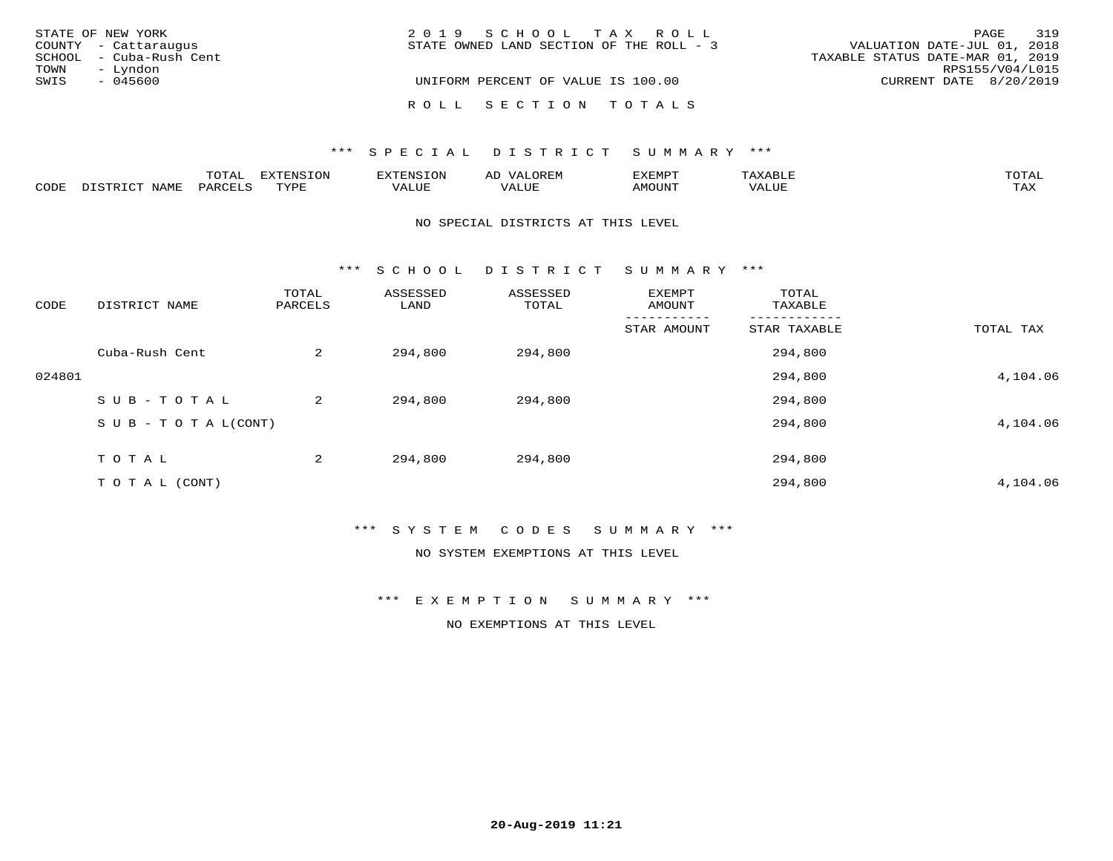| STATE OF NEW YORK       | 2019 SCHOOL TAX ROLL                     | 319<br>PAGE                      |
|-------------------------|------------------------------------------|----------------------------------|
| COUNTY - Cattaraugus    | STATE OWNED LAND SECTION OF THE ROLL - 3 | VALUATION DATE-JUL 01, 2018      |
| SCHOOL - Cuba-Rush Cent |                                          | TAXABLE STATUS DATE-MAR 01, 2019 |
| - Lyndon<br>TOWN        |                                          | RPS155/V04/L015                  |
| SWIS<br>- 045600        | UNIFORM PERCENT OF VALUE IS 100.00       | CURRENT DATE 8/20/2019           |
|                         | ROLL SECTION TOTALS                      |                                  |

### \*\*\* SPECIAL DISTRICT SUMMARY \*\*\*

|      |                          | momn.<br>LUIAL     | <b>EXTENSION</b> | $117$ mm $1707070$<br>אי | ΑD<br>.JREN      | 33773850<br>ivi D'<br>ניומיום בי | $max$ and $max$ | $m \wedge m \wedge n$ |
|------|--------------------------|--------------------|------------------|--------------------------|------------------|----------------------------------|-----------------|-----------------------|
| CODE | <b>NAME</b><br>DISTO TOT | PARCE <sup>T</sup> | TVDF             | VALUE                    | -- - ---<br>ALUE | TUUOM4                           | VALUE           | <b>TAY</b><br>⊥⇔∆     |

### NO SPECIAL DISTRICTS AT THIS LEVEL

\*\*\* S C H O O L D I S T R I C T S U M M A R Y \*\*\*

| CODE   | DISTRICT NAME                    | TOTAL<br>PARCELS | ASSESSED<br>LAND | ASSESSED<br>TOTAL | EXEMPT<br>AMOUNT | TOTAL<br>TAXABLE |           |
|--------|----------------------------------|------------------|------------------|-------------------|------------------|------------------|-----------|
|        |                                  |                  |                  |                   | STAR AMOUNT      | STAR TAXABLE     | TOTAL TAX |
|        | Cuba-Rush Cent                   | 2                | 294,800          | 294,800           |                  | 294,800          |           |
| 024801 |                                  |                  |                  |                   |                  | 294,800          | 4,104.06  |
|        | SUB-TOTAL                        | 2                | 294,800          | 294,800           |                  | 294,800          |           |
|        | $S \cup B - T \cup T A L (CONT)$ |                  |                  |                   |                  | 294,800          | 4,104.06  |
|        | TOTAL                            | 2                | 294,800          | 294,800           |                  | 294,800          |           |
|        | T O T A L (CONT)                 |                  |                  |                   |                  | 294,800          | 4,104.06  |

\*\*\* S Y S T E M C O D E S S U M M A R Y \*\*\*

NO SYSTEM EXEMPTIONS AT THIS LEVEL

\*\*\* E X E M P T I O N S U M M A R Y \*\*\*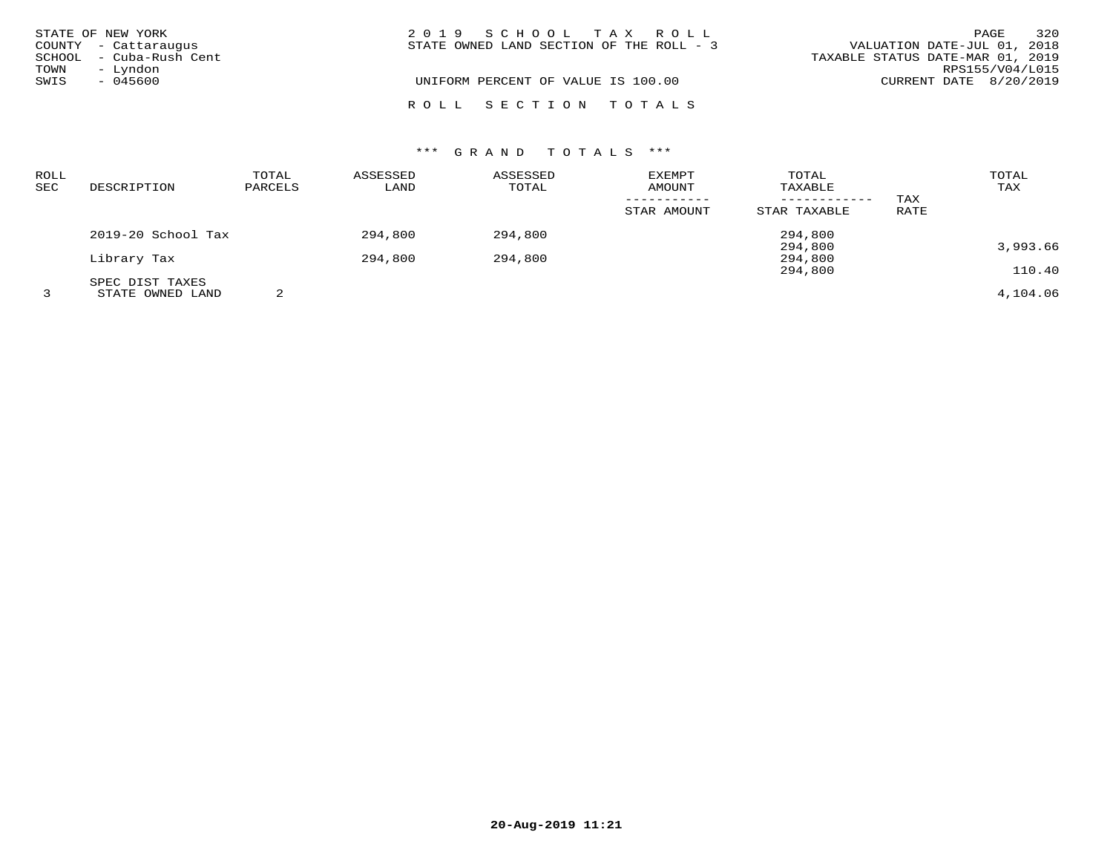|              | STATE OF NEW YORK<br>COUNTY - Cattaraugus<br>SCHOOL - Cuba-Rush Cent | 2019 SCHOOL TAX ROLL<br>STATE OWNED LAND SECTION OF THE ROLL - 3 | VALUATION DATE-JUL 01, 2018<br>TAXABLE STATUS DATE-MAR 01, 2019 | 320<br>PAGE     |
|--------------|----------------------------------------------------------------------|------------------------------------------------------------------|-----------------------------------------------------------------|-----------------|
| TOWN<br>SWIS | - Lyndon<br>- 045600                                                 | UNIFORM PERCENT OF VALUE IS 100.00                               | CURRENT DATE 8/20/2019                                          | RPS155/V04/L015 |
|              |                                                                      | ROLL SECTION TOTALS                                              |                                                                 |                 |

# \*\*\* G R A N D T O T A L S \*\*\*

| ROLL<br>SEC | DESCRIPTION                         | TOTAL<br>PARCELS | ASSESSED<br>LAND | ASSESSED<br>TOTAL | <b>EXEMPT</b><br>AMOUNT | TOTAL<br>TAXABLE<br>------------ | TAX  | TOTAL<br>TAX |
|-------------|-------------------------------------|------------------|------------------|-------------------|-------------------------|----------------------------------|------|--------------|
|             |                                     |                  |                  |                   | STAR AMOUNT             | STAR TAXABLE                     | RATE |              |
|             | 2019-20 School Tax                  |                  | 294,800          | 294,800           |                         | 294,800                          |      |              |
|             | Library Tax                         |                  | 294,800          | 294,800           |                         | 294,800<br>294,800               |      | 3,993.66     |
|             |                                     |                  |                  |                   |                         | 294,800                          |      | 110.40       |
|             | SPEC DIST TAXES<br>STATE OWNED LAND | 2                |                  |                   |                         |                                  |      | 4,104.06     |

**20-Aug-2019 11:21**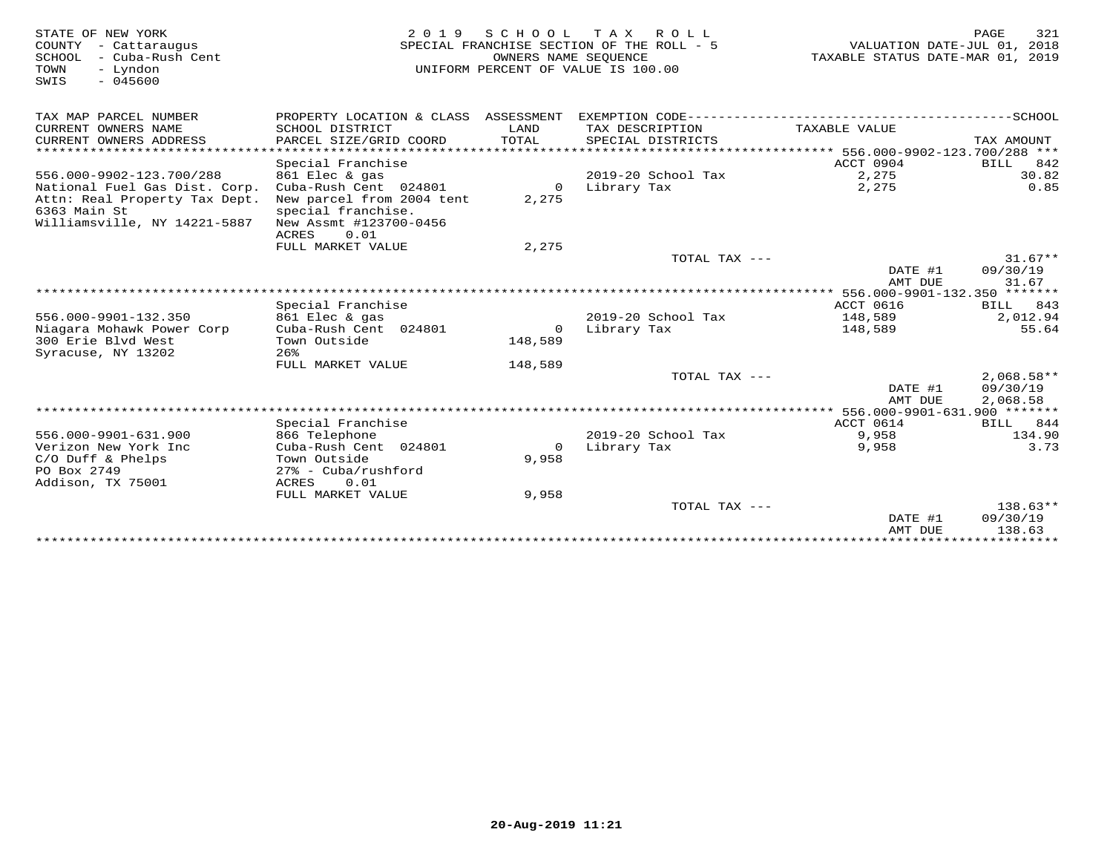| STATE OF NEW YORK<br>COUNTY - Cattaraugus<br>SCHOOL<br>- Cuba-Rush Cent<br>TOWN<br>- Lyndon<br>$-045600$<br>SWIS | 2 0 1 9                                                                                                             |                      | SCHOOL TAX ROLL<br>SPECIAL FRANCHISE SECTION OF THE ROLL - 5<br>OWNERS NAME SEOUENCE<br>UNIFORM PERCENT OF VALUE IS 100.00 | VALUATION DATE-JUL 01, 2018<br>TAXABLE STATUS DATE-MAR 01, 2019 | PAGE<br>321                      |
|------------------------------------------------------------------------------------------------------------------|---------------------------------------------------------------------------------------------------------------------|----------------------|----------------------------------------------------------------------------------------------------------------------------|-----------------------------------------------------------------|----------------------------------|
| TAX MAP PARCEL NUMBER                                                                                            | PROPERTY LOCATION & CLASS ASSESSMENT                                                                                |                      |                                                                                                                            |                                                                 |                                  |
| CURRENT OWNERS NAME<br>CURRENT OWNERS ADDRESS                                                                    | SCHOOL DISTRICT<br>PARCEL SIZE/GRID COORD                                                                           | LAND<br><b>TOTAL</b> | TAX DESCRIPTION<br>SPECIAL DISTRICTS                                                                                       | TAXABLE VALUE                                                   | TAX AMOUNT                       |
| *************************                                                                                        |                                                                                                                     |                      |                                                                                                                            |                                                                 |                                  |
|                                                                                                                  | Special Franchise                                                                                                   |                      |                                                                                                                            | ACCT 0904                                                       | BILL<br>842                      |
| 556.000-9902-123.700/288                                                                                         | 861 Elec & gas                                                                                                      |                      | 2019-20 School Tax                                                                                                         | 2,275                                                           | 30.82                            |
| National Fuel Gas Dist. Corp.<br>Attn: Real Property Tax Dept.<br>6363 Main St<br>Williamsville, NY 14221-5887   | Cuba-Rush Cent 024801<br>New parcel from 2004 tent<br>special franchise.<br>New Assmt #123700-0456<br>ACRES<br>0.01 | $\Omega$<br>2,275    | Library Tax                                                                                                                | 2,275                                                           | 0.85                             |
|                                                                                                                  | FULL MARKET VALUE                                                                                                   | 2,275                |                                                                                                                            |                                                                 |                                  |
|                                                                                                                  |                                                                                                                     |                      | TOTAL TAX ---                                                                                                              |                                                                 | $31.67**$                        |
|                                                                                                                  |                                                                                                                     |                      |                                                                                                                            | DATE #1<br>AMT DUE                                              | 09/30/19<br>31.67                |
|                                                                                                                  |                                                                                                                     |                      |                                                                                                                            | ************** 556.000-9901-132.350 *******                     |                                  |
|                                                                                                                  | Special Franchise                                                                                                   |                      |                                                                                                                            | <b>ACCT 0616</b>                                                | BILL 843                         |
| 556.000-9901-132.350                                                                                             | 861 Elec & gas                                                                                                      |                      | 2019-20 School Tax                                                                                                         | 148,589                                                         | 2,012.94                         |
| Niagara Mohawk Power Corp<br>300 Erie Blyd West<br>Syracuse, NY 13202                                            | Cuba-Rush Cent 024801<br>Town Outside<br>26%                                                                        | $\circ$<br>148,589   | Library Tax                                                                                                                | 148,589                                                         | 55.64                            |
|                                                                                                                  | FULL MARKET VALUE                                                                                                   | 148,589              |                                                                                                                            |                                                                 |                                  |
|                                                                                                                  |                                                                                                                     |                      | TOTAL TAX ---                                                                                                              | DATE #1                                                         | $2,068.58**$<br>09/30/19         |
|                                                                                                                  |                                                                                                                     |                      |                                                                                                                            | AMT DUE                                                         | 2,068.58                         |
|                                                                                                                  | Special Franchise                                                                                                   |                      |                                                                                                                            | ACCT 0614                                                       | BILL 844                         |
| 556.000-9901-631.900                                                                                             | 866 Telephone                                                                                                       |                      | 2019-20 School Tax                                                                                                         | 9,958                                                           | 134.90                           |
| Verizon New York Inc                                                                                             | Cuba-Rush Cent 024801                                                                                               | $\Omega$             | Library Tax                                                                                                                | 9,958                                                           | 3.73                             |
| $C/O$ Duff & Phelps<br>PO Box 2749<br>Addison, TX 75001                                                          | Town Outside<br>$27$ % - Cuba/rushford<br>0.01<br>ACRES                                                             | 9,958                |                                                                                                                            |                                                                 |                                  |
|                                                                                                                  | FULL MARKET VALUE                                                                                                   | 9,958                |                                                                                                                            |                                                                 |                                  |
|                                                                                                                  |                                                                                                                     |                      | TOTAL TAX ---                                                                                                              | DATE #1<br>AMT DUE                                              | $138.63**$<br>09/30/19<br>138.63 |
|                                                                                                                  |                                                                                                                     |                      |                                                                                                                            |                                                                 |                                  |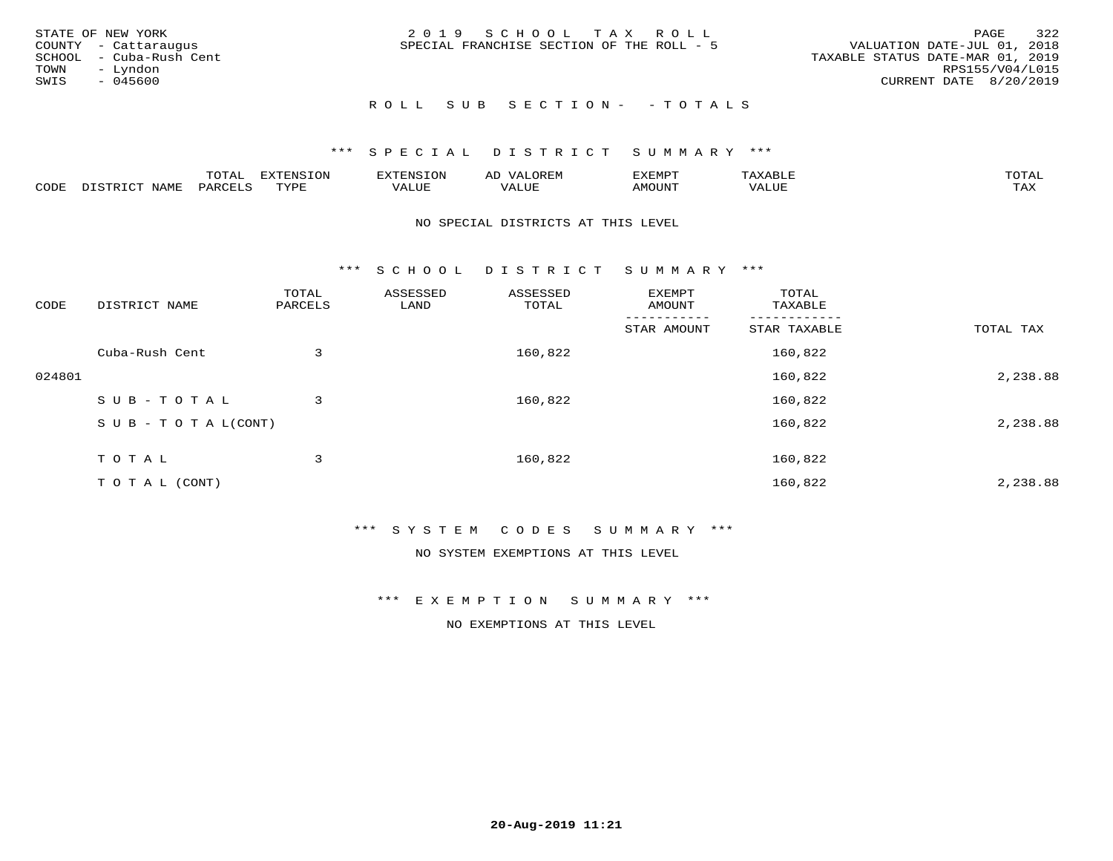| STATE OF NEW YORK<br>COUNTY - Cattaraugus<br>SCHOOL - Cuba-Rush Cent<br>TOWN<br>– Lyndon<br>SWIS<br>- 045600 | 2019 SCHOOL TAX ROLL<br>SPECIAL FRANCHISE SECTION OF THE ROLL - 5 | 322<br>PAGE<br>VALUATION DATE-JUL 01, 2018<br>TAXABLE STATUS DATE-MAR 01, 2019<br>RPS155/V04/L015<br>CURRENT DATE 8/20/2019 |
|--------------------------------------------------------------------------------------------------------------|-------------------------------------------------------------------|-----------------------------------------------------------------------------------------------------------------------------|
|                                                                                                              | ROLL SUB SECTION- - TOTALS                                        |                                                                                                                             |

|      |                     | m∧m⊼<br>TATAT | <b>DIZPOIATO TOMT</b><br>בי הי<br>LUP | mmata <del>t</del> aat<br>או א | $\sim$ $\sim$ $\sim$ $\sim$<br>ΑD<br>JREIY | <b>EXEMPT</b> | 'ΔΧΔ  | TOTAL |
|------|---------------------|---------------|---------------------------------------|--------------------------------|--------------------------------------------|---------------|-------|-------|
| CODE | NAME<br>$ \sim$ $-$ | $PAR$ .       | TVDE                                  | $- - - -$<br>$A \cup I$        | '/ALUE                                     | MOUN'.        | VALUE | TAX   |

### NO SPECIAL DISTRICTS AT THIS LEVEL

\*\*\* S C H O O L D I S T R I C T S U M M A R Y \*\*\*

| CODE   | DISTRICT NAME                    | TOTAL<br>PARCELS | ASSESSED<br>LAND | ASSESSED<br>TOTAL | EXEMPT<br>AMOUNT | TOTAL<br>TAXABLE |           |
|--------|----------------------------------|------------------|------------------|-------------------|------------------|------------------|-----------|
|        |                                  |                  |                  |                   | STAR AMOUNT      | STAR TAXABLE     | TOTAL TAX |
|        | Cuba-Rush Cent                   | 3                |                  | 160,822           |                  | 160,822          |           |
| 024801 |                                  |                  |                  |                   |                  | 160,822          | 2,238.88  |
|        | SUB-TOTAL                        | 3                |                  | 160,822           |                  | 160,822          |           |
|        | $S \cup B - T \cup T A L (CONT)$ |                  |                  |                   |                  | 160,822          | 2,238.88  |
|        | T O T A L                        | 3                |                  | 160,822           |                  | 160,822          |           |
|        | T O T A L (CONT)                 |                  |                  |                   |                  | 160,822          | 2,238.88  |

### \*\*\* S Y S T E M C O D E S S U M M A R Y \*\*\*

NO SYSTEM EXEMPTIONS AT THIS LEVEL

\*\*\* E X E M P T I O N S U M M A R Y \*\*\*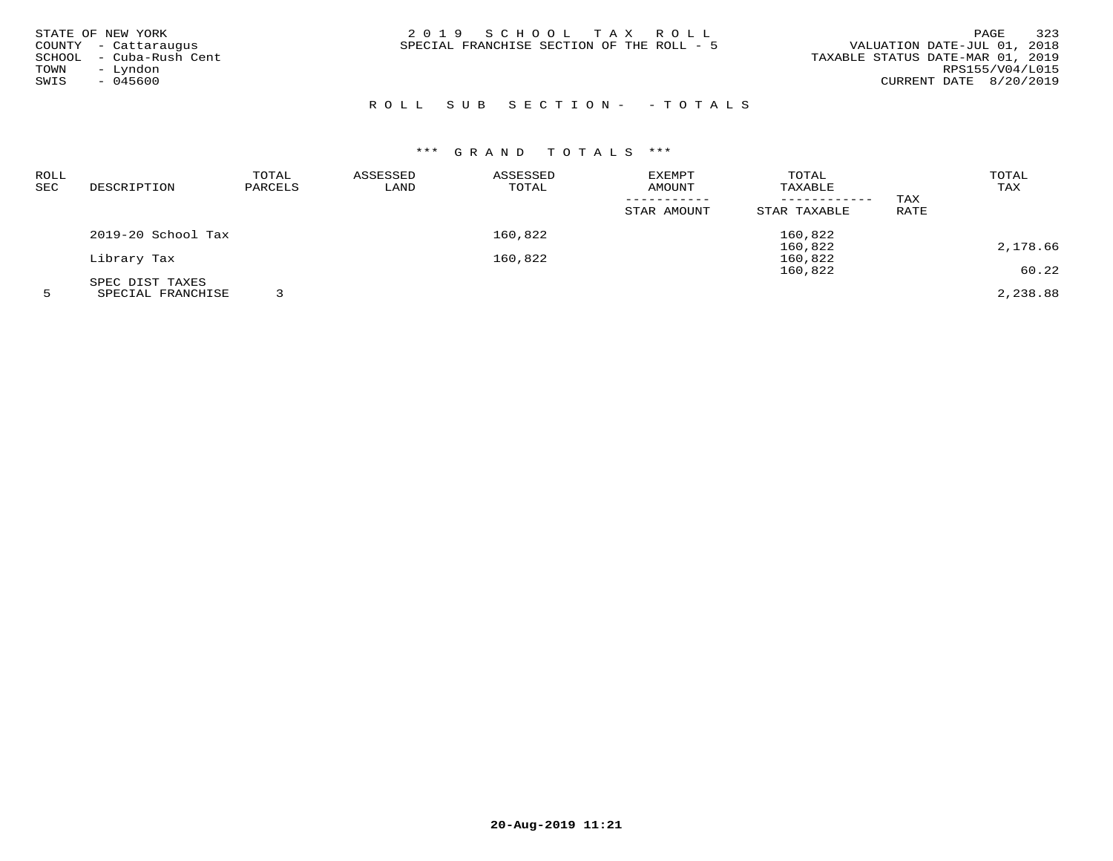| STATE OF NEW YORK<br>COUNTY - Cattaraugus<br>SCHOOL - Cuba-Rush Cent<br>- Lyndon<br>TOWN | 2019 SCHOOL TAX ROLL<br>SPECIAL FRANCHISE SECTION OF THE ROLL - 5 | 323<br>PAGE<br>VALUATION DATE-JUL 01, 2018<br>TAXABLE STATUS DATE-MAR 01, 2019<br>RPS155/V04/L015 |
|------------------------------------------------------------------------------------------|-------------------------------------------------------------------|---------------------------------------------------------------------------------------------------|
| $-045600$<br>SWIS                                                                        |                                                                   | CURRENT DATE 8/20/2019                                                                            |

# R O L L S U B S E C T I O N - - T O T A L S

# \*\*\* G R A N D T O T A L S \*\*\*

| ROLL |                    | TOTAL   | ASSESSED | ASSESSED | EXEMPT      | TOTAL        |      | TOTAL    |
|------|--------------------|---------|----------|----------|-------------|--------------|------|----------|
| SEC  | DESCRIPTION        | PARCELS | LAND     | TOTAL    | AMOUNT      | TAXABLE      |      | TAX      |
|      |                    |         |          |          |             |              | TAX  |          |
|      |                    |         |          |          | STAR AMOUNT | STAR TAXABLE | RATE |          |
|      | 2019-20 School Tax |         |          | 160,822  |             | 160,822      |      |          |
|      |                    |         |          |          |             | 160,822      |      | 2,178.66 |
|      | Library Tax        |         |          | 160,822  |             | 160,822      |      |          |
|      |                    |         |          |          |             | 160,822      |      | 60.22    |
|      | SPEC DIST TAXES    |         |          |          |             |              |      |          |
|      | SPECIAL FRANCHISE  |         |          |          |             |              |      | 2,238.88 |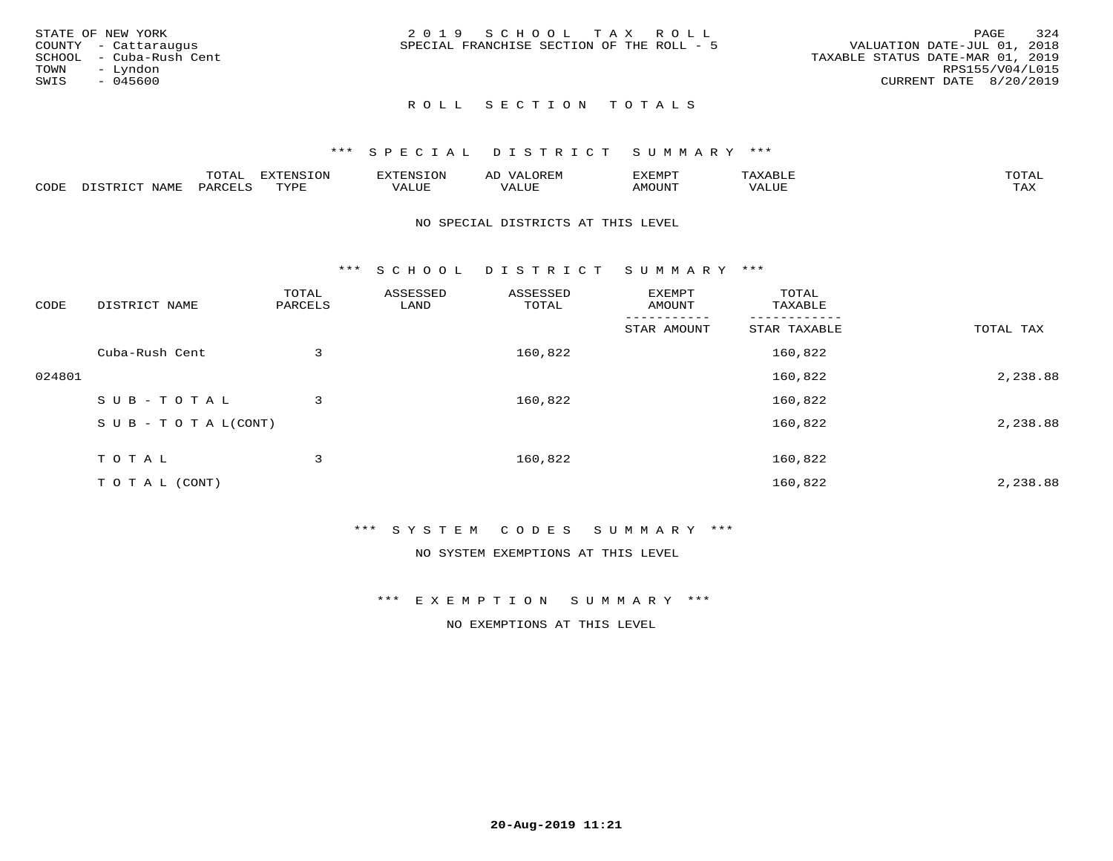|      | STATE OF NEW YORK       | 2019 SCHOOL TAX ROLL                      | 324<br>PAGE                      |
|------|-------------------------|-------------------------------------------|----------------------------------|
|      | COUNTY - Cattaraugus    | SPECIAL FRANCHISE SECTION OF THE ROLL - 5 | VALUATION DATE-JUL 01, 2018      |
|      | SCHOOL - Cuba-Rush Cent |                                           | TAXABLE STATUS DATE-MAR 01, 2019 |
| TOWN | – Lyndon                |                                           | RPS155/V04/L015                  |
| SWIS | $-045600$               |                                           | CURRENT DATE 8/20/2019           |
|      |                         |                                           |                                  |

# ROLL SECTION TOTALS

### \*\*\* S P E C I A L D I S T R I C T S U M M A R Y \*\*\*

|      |                  | $m \wedge m \wedge n$<br>TOTAL | <b>DIZPOILIC TONT</b><br>- UIV | SN S             | OREN               | המארד 17<br>ֿישו⊿<br>∸∆≞™⊢ |                          | $m \wedge m \wedge n$ |
|------|------------------|--------------------------------|--------------------------------|------------------|--------------------|----------------------------|--------------------------|-----------------------|
| CODE | NAME<br>. ו חידי | PARCF <sup>+</sup>             | TUTT                           | 77\TTTT.<br>ALUE | $- - - -$<br>مى سە | AMOUNT                     | <b>TTTT</b><br>$\Delta'$ | $m \times r$<br>1.734 |

### NO SPECIAL DISTRICTS AT THIS LEVEL

\*\*\* S C H O O L D I S T R I C T S U M M A R Y \*\*\*

| CODE   | DISTRICT NAME                    | TOTAL<br>PARCELS | ASSESSED<br>LAND | ASSESSED<br>TOTAL | EXEMPT<br>AMOUNT | TOTAL<br>TAXABLE |           |
|--------|----------------------------------|------------------|------------------|-------------------|------------------|------------------|-----------|
|        |                                  |                  |                  |                   | STAR AMOUNT      | STAR TAXABLE     | TOTAL TAX |
|        | Cuba-Rush Cent                   | 3                |                  | 160,822           |                  | 160,822          |           |
| 024801 |                                  |                  |                  |                   |                  | 160,822          | 2,238.88  |
|        | SUB-TOTAL                        | 3                |                  | 160,822           |                  | 160,822          |           |
|        | $S \cup B - T \cup T A L (CONT)$ |                  |                  |                   |                  | 160,822          | 2,238.88  |
|        | TOTAL                            | 3                |                  | 160,822           |                  | 160,822          |           |
|        | T O T A L (CONT)                 |                  |                  |                   |                  | 160,822          | 2,238.88  |

### \*\*\* S Y S T E M C O D E S S U M M A R Y \*\*\*

NO SYSTEM EXEMPTIONS AT THIS LEVEL

\*\*\* E X E M P T I O N S U M M A R Y \*\*\*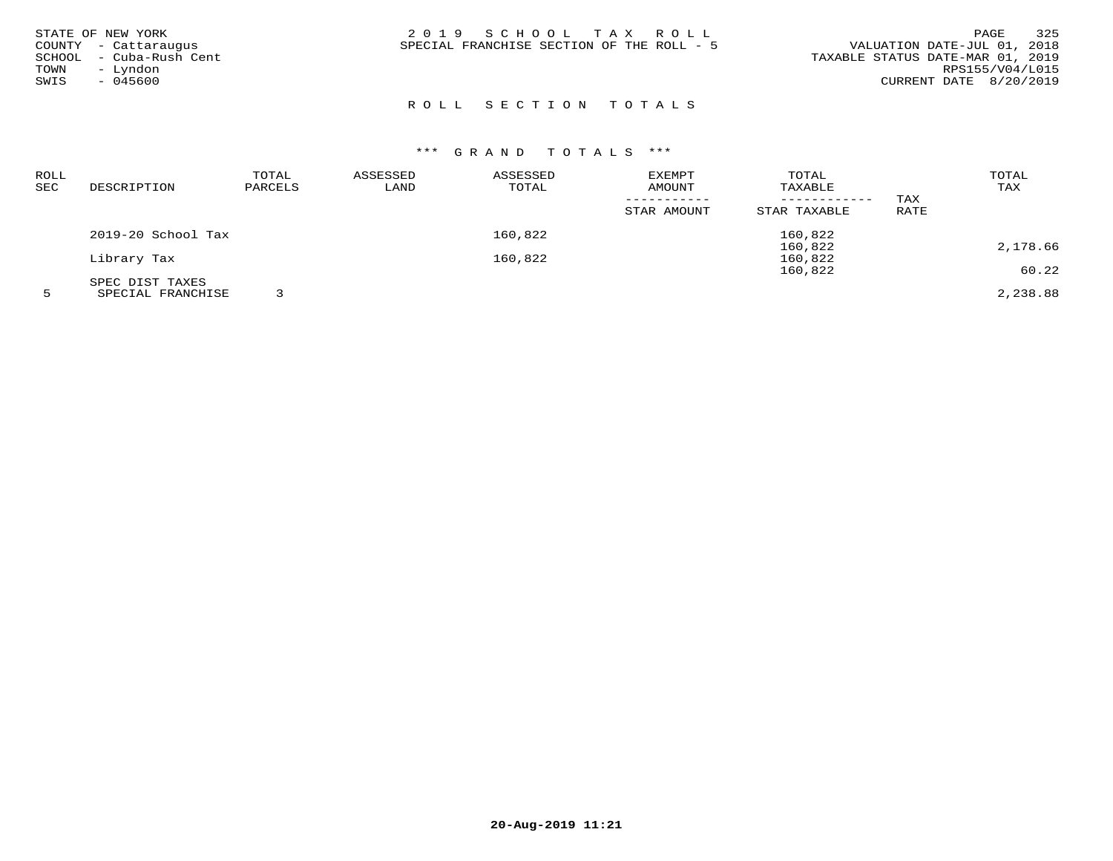| STATE OF NEW YORK<br>COUNTY - Cattaraugus<br>– Cuba-Rush Cent<br>SCHOOL<br>- Lyndon<br>TOWN<br>SWIS<br>$-045600$ | 2019 SCHOOL TAX ROLL<br>SPECIAL FRANCHISE SECTION OF THE ROLL - 5 | 325<br>PAGE<br>VALUATION DATE-JUL 01, 2018<br>TAXABLE STATUS DATE-MAR 01, 2019<br>RPS155/V04/L015<br>CURRENT DATE 8/20/2019 |
|------------------------------------------------------------------------------------------------------------------|-------------------------------------------------------------------|-----------------------------------------------------------------------------------------------------------------------------|
|                                                                                                                  |                                                                   |                                                                                                                             |

## ROLL SECTION TOTALS

| ROLL |                    | TOTAL   | ASSESSED | ASSESSED | EXEMPT      | TOTAL        |      | TOTAL    |
|------|--------------------|---------|----------|----------|-------------|--------------|------|----------|
| SEC  | DESCRIPTION        | PARCELS | LAND     | TOTAL    | AMOUNT      | TAXABLE      |      | TAX      |
|      |                    |         |          |          |             |              | TAX  |          |
|      |                    |         |          |          | STAR AMOUNT | STAR TAXABLE | RATE |          |
|      | 2019-20 School Tax |         |          | 160,822  |             | 160,822      |      |          |
|      |                    |         |          |          |             | 160,822      |      | 2,178.66 |
|      | Library Tax        |         |          | 160,822  |             | 160,822      |      |          |
|      |                    |         |          |          |             | 160,822      |      | 60.22    |
|      | SPEC DIST TAXES    |         |          |          |             |              |      |          |
|      | SPECIAL FRANCHISE  |         |          |          |             |              |      | 2,238.88 |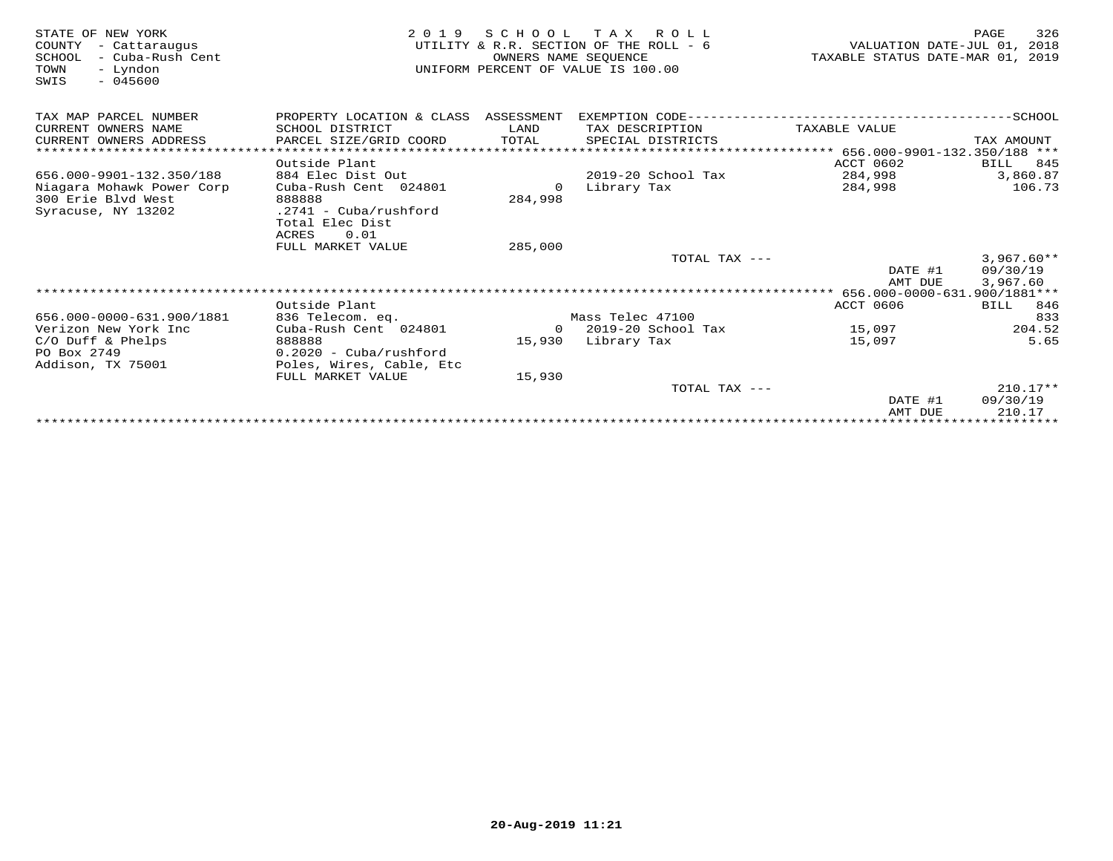| STATE OF NEW YORK<br>COUNTY<br>- Cattaraugus<br>SCHOOL<br>– Cuba-Rush Cent<br>TOWN<br>- Lyndon<br>$-045600$<br>SWIS | 2 0 1 9                              | OWNERS NAME SEOUENCE | SCHOOL TAX ROLL<br>UTILITY & R.R. SECTION OF THE ROLL - 6<br>UNIFORM PERCENT OF VALUE IS 100.00 | VALUATION DATE-JUL 01,<br>TAXABLE STATUS DATE-MAR 01, 2019 | 326<br>PAGE<br>2018     |
|---------------------------------------------------------------------------------------------------------------------|--------------------------------------|----------------------|-------------------------------------------------------------------------------------------------|------------------------------------------------------------|-------------------------|
| TAX MAP PARCEL NUMBER                                                                                               | PROPERTY LOCATION & CLASS ASSESSMENT |                      |                                                                                                 |                                                            |                         |
| CURRENT OWNERS NAME                                                                                                 | SCHOOL DISTRICT                      | LAND                 | TAX DESCRIPTION                                                                                 | TAXABLE VALUE                                              |                         |
| CURRENT OWNERS ADDRESS<br>*****************************                                                             | PARCEL SIZE/GRID COORD               | TOTAL                | SPECIAL DISTRICTS                                                                               |                                                            | TAX AMOUNT              |
|                                                                                                                     |                                      |                      |                                                                                                 |                                                            |                         |
| 656.000-9901-132.350/188                                                                                            | Outside Plant<br>884 Elec Dist Out   |                      | 2019-20 School Tax                                                                              | ACCT 0602<br>284,998                                       | BILL<br>845<br>3,860.87 |
| Niagara Mohawk Power Corp                                                                                           | Cuba-Rush Cent 024801                | $\Omega$             | Library Tax                                                                                     | 284,998                                                    | 106.73                  |
| 300 Erie Blyd West                                                                                                  | 888888                               | 284,998              |                                                                                                 |                                                            |                         |
| Syracuse, NY 13202                                                                                                  | $.2741 - Cuba/rushford$              |                      |                                                                                                 |                                                            |                         |
|                                                                                                                     | Total Elec Dist                      |                      |                                                                                                 |                                                            |                         |
|                                                                                                                     | 0.01<br>ACRES                        |                      |                                                                                                 |                                                            |                         |
|                                                                                                                     | FULL MARKET VALUE                    | 285,000              |                                                                                                 |                                                            |                         |
|                                                                                                                     |                                      |                      | TOTAL TAX ---                                                                                   |                                                            | $3,967.60**$            |
|                                                                                                                     |                                      |                      |                                                                                                 | DATE #1                                                    | 09/30/19                |
|                                                                                                                     |                                      |                      |                                                                                                 | AMT DUE                                                    | 3,967.60                |
|                                                                                                                     |                                      |                      |                                                                                                 |                                                            |                         |
| 656.000-0000-631.900/1881                                                                                           | Outside Plant<br>836 Telecom. eq.    |                      | Mass Telec 47100                                                                                | ACCT 0606                                                  | BILL 846<br>833         |
| Verizon New York Inc                                                                                                | Cuba-Rush Cent 024801                |                      | $0$ 2019-20 School Tax                                                                          | 15,097                                                     | 204.52                  |
| $C/O$ Duff & Phelps                                                                                                 | 888888                               |                      | 15,930 Library Tax                                                                              | 15,097                                                     | 5.65                    |
| PO Box 2749                                                                                                         | $0.2020 - Cuba/rushford$             |                      |                                                                                                 |                                                            |                         |
| Addison, TX 75001                                                                                                   | Poles, Wires, Cable, Etc             |                      |                                                                                                 |                                                            |                         |
|                                                                                                                     | FULL MARKET VALUE                    | 15,930               |                                                                                                 |                                                            |                         |
|                                                                                                                     |                                      |                      | TOTAL TAX ---                                                                                   |                                                            | $210.17**$              |
|                                                                                                                     |                                      |                      |                                                                                                 | DATE #1                                                    | 09/30/19                |
|                                                                                                                     |                                      |                      |                                                                                                 | AMT DUE                                                    | 210.17                  |
|                                                                                                                     |                                      |                      |                                                                                                 |                                                            |                         |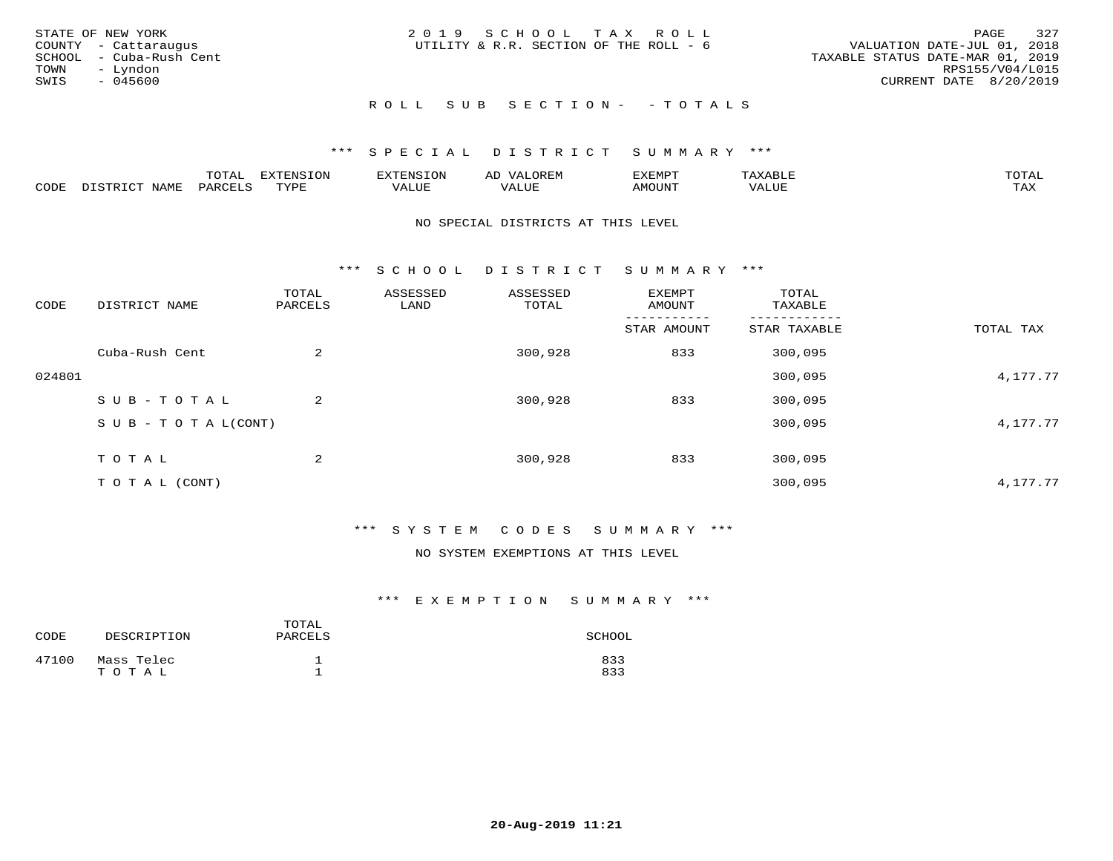| STATE OF NEW YORK<br>COUNTY - Cattaraugus<br>SCHOOL - Cuba-Rush Cent<br>TOWN<br>– Lyndon<br>SWIS<br>- 045600 | 2019 SCHOOL TAX ROLL<br>UTILITY & R.R. SECTION OF THE ROLL - 6 | 327<br>PAGE<br>VALUATION DATE-JUL 01, 2018<br>TAXABLE STATUS DATE-MAR 01, 2019<br>RPS155/V04/L015<br>CURRENT DATE 8/20/2019 |
|--------------------------------------------------------------------------------------------------------------|----------------------------------------------------------------|-----------------------------------------------------------------------------------------------------------------------------|
|                                                                                                              | ROLL SUB SECTION- - TOTALS                                     |                                                                                                                             |

|      |      | mom n<br>-777 | pszmpato<br>$ \sim$ $\sim$<br>-UP | AL.         | ,,, <del>,</del> ,,, <del>,</del> ,<br>້ |                         | $m \wedge m \wedge n$ |
|------|------|---------------|-----------------------------------|-------------|------------------------------------------|-------------------------|-----------------------|
| CODE | ⊥'⊥⊥ | PARO          | TVDF                              | ۳۰ تا سند د | <b>MOTTNT</b>                            | - ---<br>$'$ $\Delta$ . | $m \times r$<br>- −-  |

#### NO SPECIAL DISTRICTS AT THIS LEVEL

\*\*\* S C H O O L D I S T R I C T S U M M A R Y \*\*\*

| CODE   | DISTRICT NAME                    | TOTAL<br>PARCELS | ASSESSED<br>LAND | ASSESSED<br>TOTAL | EXEMPT<br>AMOUNT | TOTAL<br>TAXABLE |           |
|--------|----------------------------------|------------------|------------------|-------------------|------------------|------------------|-----------|
|        |                                  |                  |                  |                   | STAR AMOUNT      | STAR TAXABLE     | TOTAL TAX |
|        | Cuba-Rush Cent                   | 2                |                  | 300,928           | 833              | 300,095          |           |
| 024801 |                                  |                  |                  |                   |                  | 300,095          | 4,177.77  |
|        | SUB-TOTAL                        | 2                |                  | 300,928           | 833              | 300,095          |           |
|        | $S \cup B - T \cup T A L (CONT)$ |                  |                  |                   |                  | 300,095          | 4,177.77  |
|        | TOTAL                            | 2                |                  | 300,928           | 833              | 300,095          |           |
|        | T O T A L (CONT)                 |                  |                  |                   |                  | 300,095          | 4,177.77  |

#### \*\*\* S Y S T E M C O D E S S U M M A R Y \*\*\*

#### NO SYSTEM EXEMPTIONS AT THIS LEVEL

| CODE  | DESCRIPTION         | TOTAL<br>PARCELS | SCHOOL     |
|-------|---------------------|------------------|------------|
| 47100 | Mass Telec<br>TOTAL |                  | 833<br>833 |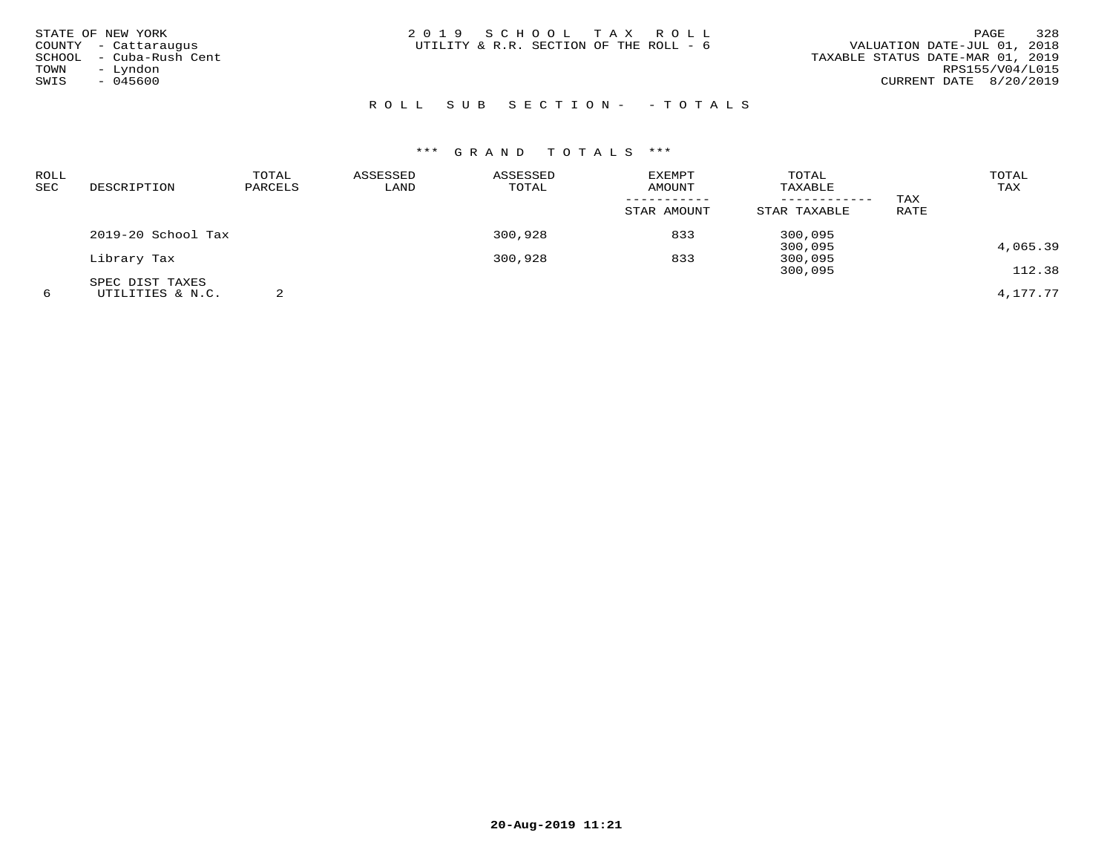| STATE OF NEW YORK<br>COUNTY - Cattaraugus<br>SCHOOL - Cuba-Rush Cent<br>- Lyndon<br>TOWN<br>SWIS<br>$-045600$ | 2019 SCHOOL TAX ROLL<br>UTILITY & R.R. SECTION OF THE ROLL - 6 | 328<br>PAGE<br>VALUATION DATE-JUL 01, 2018<br>TAXABLE STATUS DATE-MAR 01, 2019<br>RPS155/V04/L015<br>CURRENT DATE 8/20/2019 |
|---------------------------------------------------------------------------------------------------------------|----------------------------------------------------------------|-----------------------------------------------------------------------------------------------------------------------------|
|                                                                                                               | ROLL SUB SECTION- - TOTALS                                     |                                                                                                                             |

| ROLL<br>SEC | DESCRIPTION          | TOTAL<br>PARCELS | ASSESSED<br>LAND | ASSESSED<br>TOTAL | <b>EXEMPT</b><br><b>AMOUNT</b><br>-----------<br>STAR AMOUNT | TOTAL<br>TAXABLE<br>------------<br>STAR TAXABLE | TAX<br>RATE | TOTAL<br>TAX |
|-------------|----------------------|------------------|------------------|-------------------|--------------------------------------------------------------|--------------------------------------------------|-------------|--------------|
|             | $2019-20$ School Tax |                  |                  | 300,928           | 833                                                          | 300,095                                          |             |              |
|             |                      |                  |                  |                   |                                                              | 300,095                                          |             | 4,065.39     |
|             | Library Tax          |                  |                  | 300,928           | 833                                                          | 300,095                                          |             |              |
|             |                      |                  |                  |                   |                                                              | 300,095                                          |             | 112.38       |
|             | SPEC DIST TAXES      |                  |                  |                   |                                                              |                                                  |             |              |
| 6           | UTILITIES & N.C.     | っ                |                  |                   |                                                              |                                                  |             | 4,177.77     |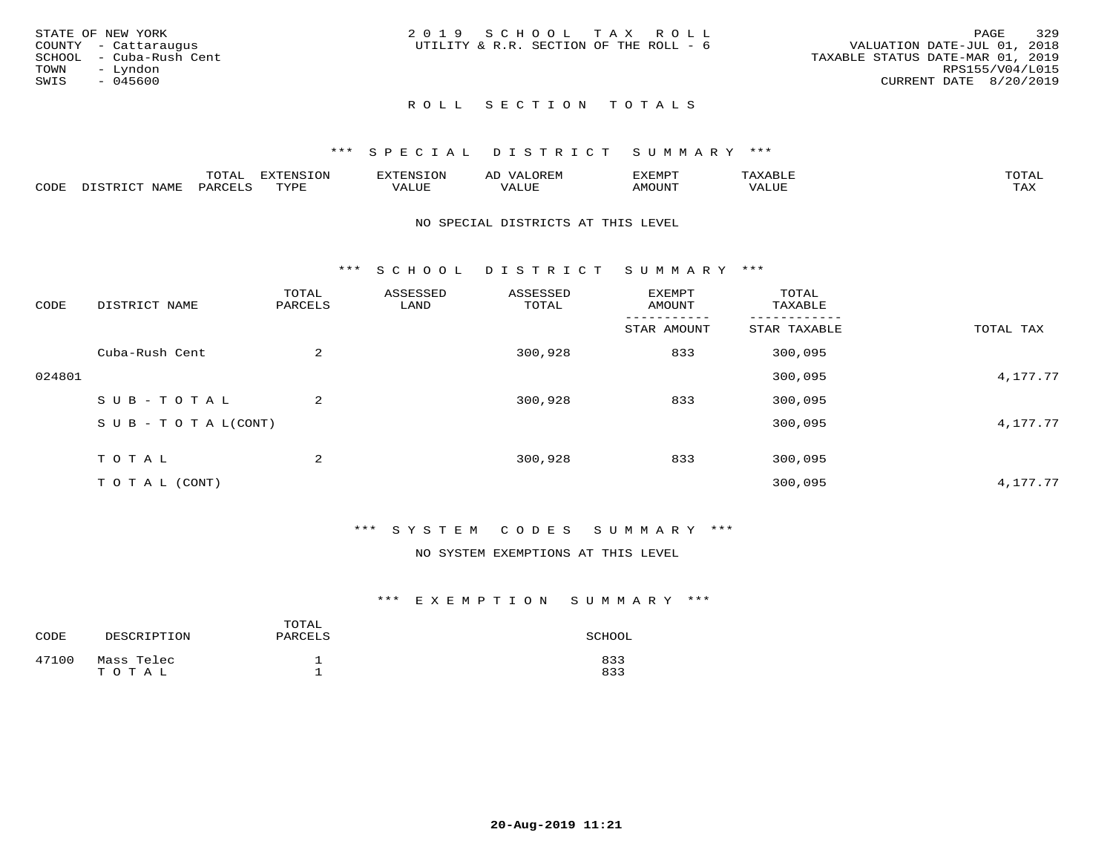|      | STATE OF NEW YORK       | 2019 SCHOOL TAX ROLL                   |  |  |                                  |                        | PAGE | 329 |
|------|-------------------------|----------------------------------------|--|--|----------------------------------|------------------------|------|-----|
|      | COUNTY - Cattaraugus    | UTILITY & R.R. SECTION OF THE ROLL - 6 |  |  | VALUATION DATE-JUL 01, 2018      |                        |      |     |
|      | SCHOOL - Cuba-Rush Cent |                                        |  |  | TAXABLE STATUS DATE-MAR 01, 2019 |                        |      |     |
| TOWN | – Lyndon                |                                        |  |  |                                  | RPS155/V04/L015        |      |     |
| SWIS | - 045600                |                                        |  |  |                                  | CURRENT DATE 8/20/2019 |      |     |
|      |                         |                                        |  |  |                                  |                        |      |     |

#### ROLL SECTION TOTALS

#### \*\*\* S P E C I A L D I S T R I C T S U M M A R Y \*\*\*

|      |                  | momm <sup>.</sup><br>TOTAT | <b>ELIMENT OF ONT</b><br>T OTA | 'ENS   | OREM                     | CXEMPT        | $max$ is $max$ $n$       | $m \wedge m \wedge n$ |
|------|------------------|----------------------------|--------------------------------|--------|--------------------------|---------------|--------------------------|-----------------------|
| CODE | NAME<br>DISTRICT | PARCELS                    | TVDF<br>.                      | 7ALUE. | . <del>.</del><br>. ALUF | <b>AMOUNT</b> | * * * * * * * *<br>'ALUL | <b>TAY</b><br>⊥⇔∆     |

#### NO SPECIAL DISTRICTS AT THIS LEVEL

\*\*\* S C H O O L D I S T R I C T S U M M A R Y \*\*\*

| CODE   | DISTRICT NAME                    | TOTAL<br>PARCELS | ASSESSED<br>LAND | ASSESSED<br>TOTAL | <b>EXEMPT</b><br>AMOUNT | TOTAL<br>TAXABLE |           |
|--------|----------------------------------|------------------|------------------|-------------------|-------------------------|------------------|-----------|
|        |                                  |                  |                  |                   | STAR AMOUNT             | STAR TAXABLE     | TOTAL TAX |
|        | Cuba-Rush Cent                   | $\overline{2}$   |                  | 300,928           | 833                     | 300,095          |           |
| 024801 |                                  |                  |                  |                   |                         | 300,095          | 4,177.77  |
|        | SUB-TOTAL                        | $\overline{2}$   |                  | 300,928           | 833                     | 300,095          |           |
|        | $S \cup B - T \cup T A L (CONT)$ |                  |                  |                   |                         | 300,095          | 4,177.77  |
|        | TOTAL                            | 2                |                  | 300,928           | 833                     | 300,095          |           |
|        | T O T A L (CONT)                 |                  |                  |                   |                         | 300,095          | 4,177.77  |

#### \*\*\* S Y S T E M C O D E S S U M M A R Y \*\*\*

#### NO SYSTEM EXEMPTIONS AT THIS LEVEL

| CODE  | DESCRIPTION         | TOTAL<br>PARCELS | SCHOOL     |
|-------|---------------------|------------------|------------|
| 47100 | Mass Telec<br>TOTAL |                  | 833<br>833 |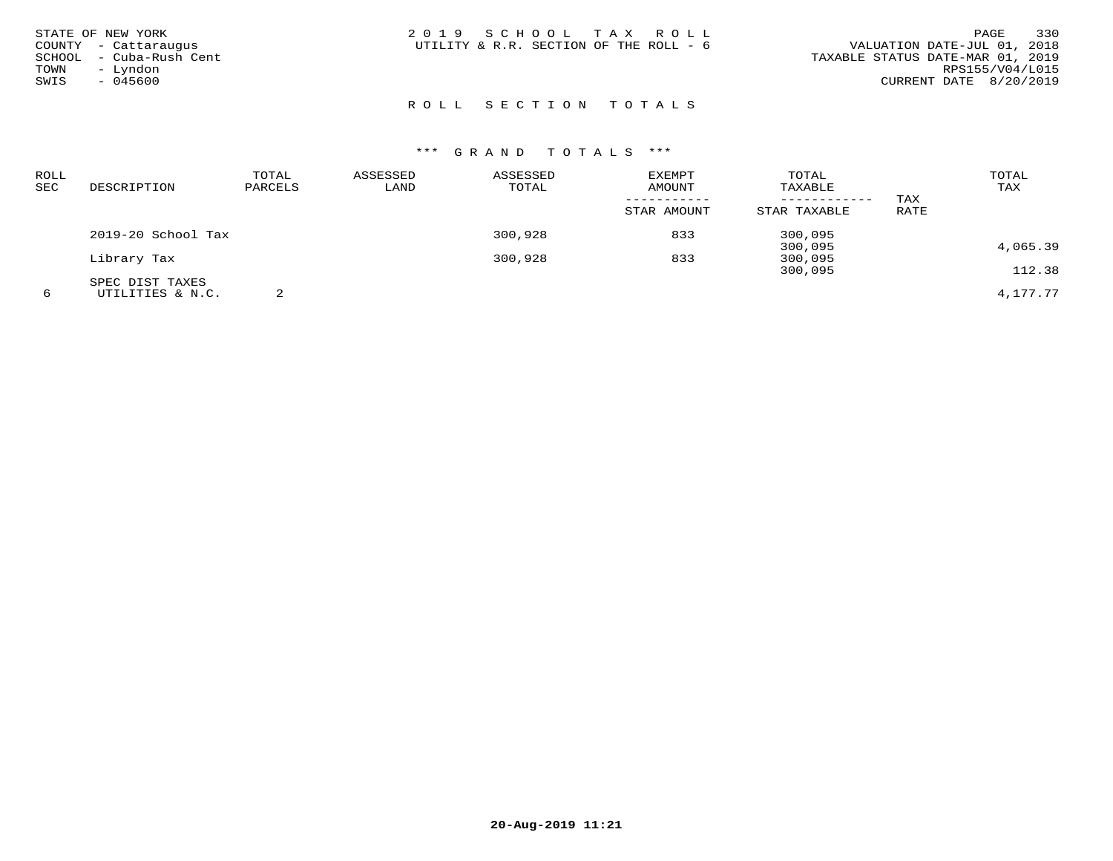| STATE OF NEW YORK<br>COUNTY - Cattaraugus<br>SCHOOL - Cuba-Rush Cent<br>- Lyndon<br>TOWN<br>SWIS<br>$-045600$ | 2019 SCHOOL TAX ROLL<br>UTILITY & R.R. SECTION OF THE ROLL - 6 | 330<br>PAGE<br>VALUATION DATE-JUL 01, 2018<br>TAXABLE STATUS DATE-MAR 01, 2019<br>RPS155/V04/L015<br>CURRENT DATE 8/20/2019 |
|---------------------------------------------------------------------------------------------------------------|----------------------------------------------------------------|-----------------------------------------------------------------------------------------------------------------------------|
|                                                                                                               | ROLL SECTION TOTALS                                            |                                                                                                                             |

| ROLL |                    | TOTAL   | ASSESSED | ASSESSED | EXEMPT      | TOTAL        |      | TOTAL    |
|------|--------------------|---------|----------|----------|-------------|--------------|------|----------|
| SEC  | DESCRIPTION        | PARCELS | LAND     | TOTAL    | AMOUNT      | TAXABLE      |      | TAX      |
|      |                    |         |          |          |             |              | TAX  |          |
|      |                    |         |          |          | STAR AMOUNT | STAR TAXABLE | RATE |          |
|      | 2019-20 School Tax |         |          | 300,928  | 833         | 300,095      |      |          |
|      |                    |         |          |          |             | 300,095      |      | 4,065.39 |
|      | Library Tax        |         |          | 300,928  | 833         | 300,095      |      |          |
|      |                    |         |          |          |             | 300,095      |      | 112.38   |
|      | SPEC DIST TAXES    |         |          |          |             |              |      |          |
| 6    | UTILITIES & N.C.   |         |          |          |             |              |      | 4,177.77 |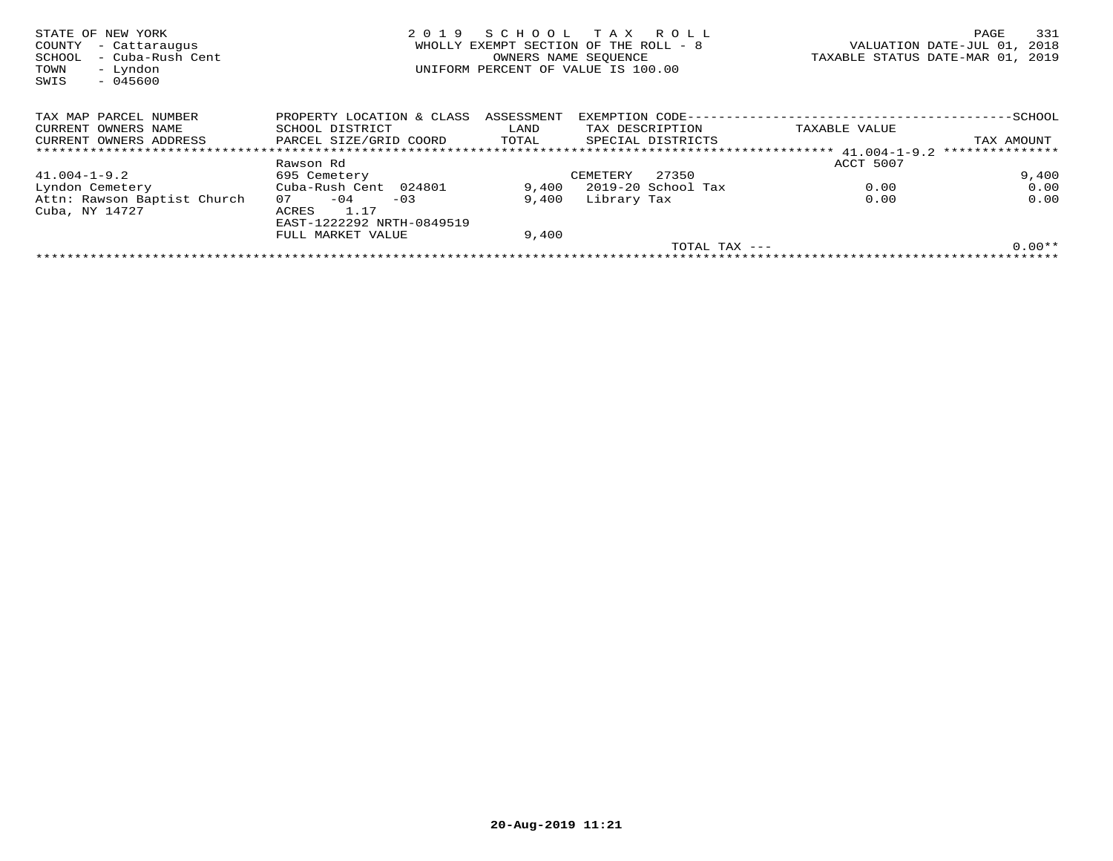| STATE OF NEW YORK<br>COUNTY<br>- Cattaraugus<br>- Cuba-Rush Cent<br>SCHOOL<br>- Lyndon<br>TOWN<br>$-045600$<br>SWIS | 2019                      | SCHOOL<br>OWNERS NAME SEOUENCE | T A X<br>R O L L<br>WHOLLY EXEMPT SECTION OF THE ROLL - 8<br>UNIFORM PERCENT OF VALUE IS 100.00 | VALUATION DATE-JUL 01,<br>TAXABLE STATUS DATE-MAR 01, 2019 | 331<br>PAGE<br>2018 |
|---------------------------------------------------------------------------------------------------------------------|---------------------------|--------------------------------|-------------------------------------------------------------------------------------------------|------------------------------------------------------------|---------------------|
| TAX MAP PARCEL NUMBER                                                                                               | PROPERTY LOCATION & CLASS | ASSESSMENT                     | EXEMPTION CODE--                                                                                |                                                            | $-$ SCHOOL          |
| CURRENT OWNERS NAME                                                                                                 | SCHOOL DISTRICT           | LAND                           | TAX DESCRIPTION                                                                                 | TAXABLE VALUE                                              |                     |
| CURRENT OWNERS ADDRESS                                                                                              | PARCEL SIZE/GRID COORD    | TOTAL                          | SPECIAL DISTRICTS                                                                               |                                                            | TAX AMOUNT          |
|                                                                                                                     |                           |                                |                                                                                                 |                                                            | ***************     |
|                                                                                                                     | Rawson Rd                 |                                |                                                                                                 | ACCT 5007                                                  |                     |
| $41.004 - 1 - 9.2$                                                                                                  | 695 Cemetery              |                                | 27350<br>CEMETERY                                                                               |                                                            | 9,400               |
| Lyndon Cemetery                                                                                                     | Cuba-Rush Cent 024801     | 9,400                          | 2019-20 School Tax                                                                              | 0.00                                                       | 0.00                |
| Attn: Rawson Baptist Church                                                                                         | $-04$<br>07<br>$-03$      | 9,400                          | Library Tax                                                                                     | 0.00                                                       | 0.00                |
| Cuba, NY 14727                                                                                                      | 1.17<br>ACRES             |                                |                                                                                                 |                                                            |                     |
|                                                                                                                     | EAST-1222292 NRTH-0849519 |                                |                                                                                                 |                                                            |                     |
|                                                                                                                     | FULL MARKET VALUE         | 9,400                          |                                                                                                 |                                                            |                     |
|                                                                                                                     |                           |                                | TOTAL TAX ---                                                                                   |                                                            | $0.00**$            |
|                                                                                                                     |                           |                                |                                                                                                 |                                                            |                     |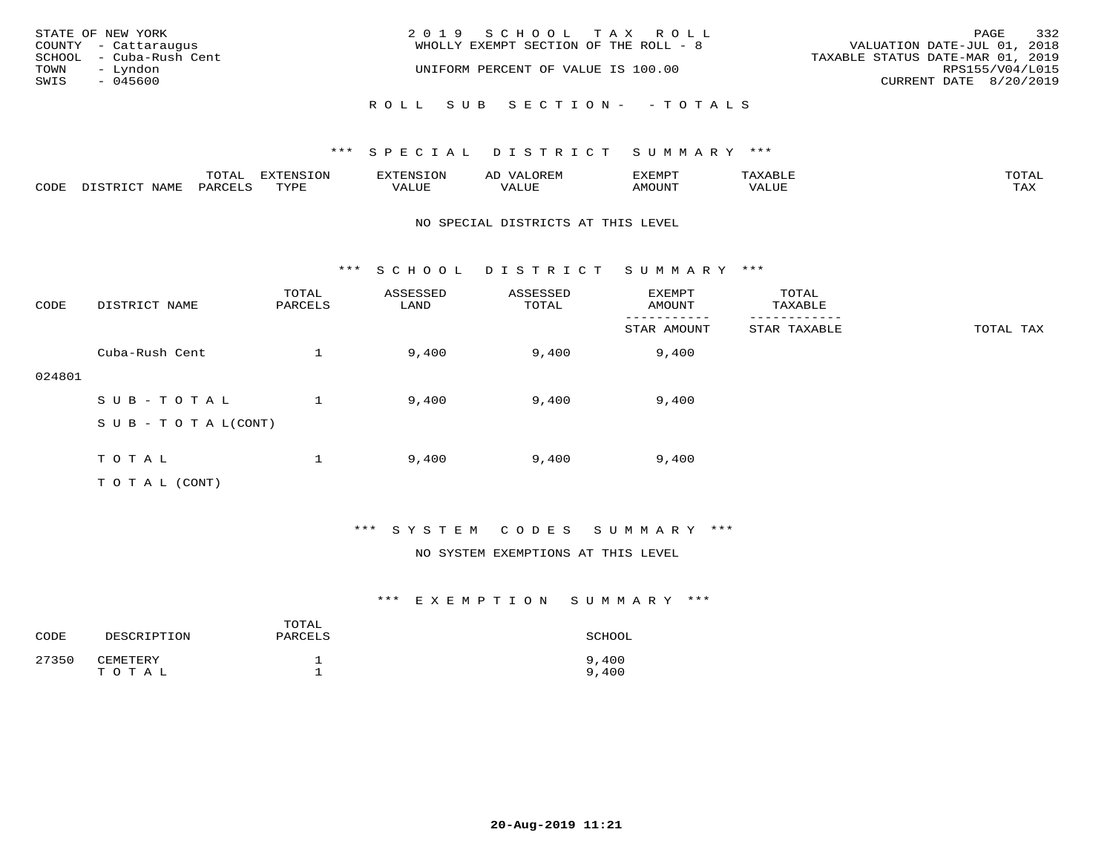| STATE OF NEW YORK       | 2019 SCHOOL TAX ROLL                  | 332<br>PAGE                      |
|-------------------------|---------------------------------------|----------------------------------|
| COUNTY - Cattaraugus    | WHOLLY EXEMPT SECTION OF THE ROLL - 8 | VALUATION DATE-JUL 01, 2018      |
| SCHOOL - Cuba-Rush Cent |                                       | TAXABLE STATUS DATE-MAR 01, 2019 |
| TOWN<br>– Lyndon        | UNIFORM PERCENT OF VALUE IS 100.00    | RPS155/V04/L015                  |
| SWIS<br>- 045600        |                                       | CURRENT DATE 8/20/2019           |
|                         |                                       |                                  |
|                         | ROLL SUB SECTION- - TOTALS            |                                  |

|      |      | $m \wedge m \wedge$<br>LUIAL | $\pi$                |      | - |        |       | -----<br>$\sim$  |
|------|------|------------------------------|----------------------|------|---|--------|-------|------------------|
| CODE | NAME | 'ARI                         | TVDL<br><u>ـ د د</u> | ALUE |   | LUITOM | 'ALUL | max 37<br>⊥ ∠~∡∡ |

#### NO SPECIAL DISTRICTS AT THIS LEVEL

\*\*\* S C H O O L D I S T R I C T S U M M A R Y \*\*\*

| CODE   | DISTRICT NAME                    | TOTAL<br>PARCELS | ASSESSED<br>LAND | ASSESSED<br>TOTAL | EXEMPT<br>AMOUNT | TOTAL<br>TAXABLE |           |
|--------|----------------------------------|------------------|------------------|-------------------|------------------|------------------|-----------|
|        |                                  |                  |                  |                   | STAR AMOUNT      | STAR TAXABLE     | TOTAL TAX |
|        | Cuba-Rush Cent                   |                  | 9,400            | 9,400             | 9,400            |                  |           |
| 024801 |                                  |                  |                  |                   |                  |                  |           |
|        | SUB-TOTAL                        |                  | 9,400            | 9,400             | 9,400            |                  |           |
|        | $S \cup B - T \cup T A L (CONT)$ |                  |                  |                   |                  |                  |           |
|        |                                  |                  |                  |                   |                  |                  |           |
|        | TOTAL                            |                  | 9,400            | 9,400             | 9,400            |                  |           |
|        | T O T A L (CONT)                 |                  |                  |                   |                  |                  |           |

#### \*\*\* S Y S T E M C O D E S S U M M A R Y \*\*\*

#### NO SYSTEM EXEMPTIONS AT THIS LEVEL

| CODE  | DESCRIPTION       | TOTAL<br>PARCELS | SCHOOL         |
|-------|-------------------|------------------|----------------|
| 27350 | CEMETERY<br>TOTAL | -                | 9,400<br>9,400 |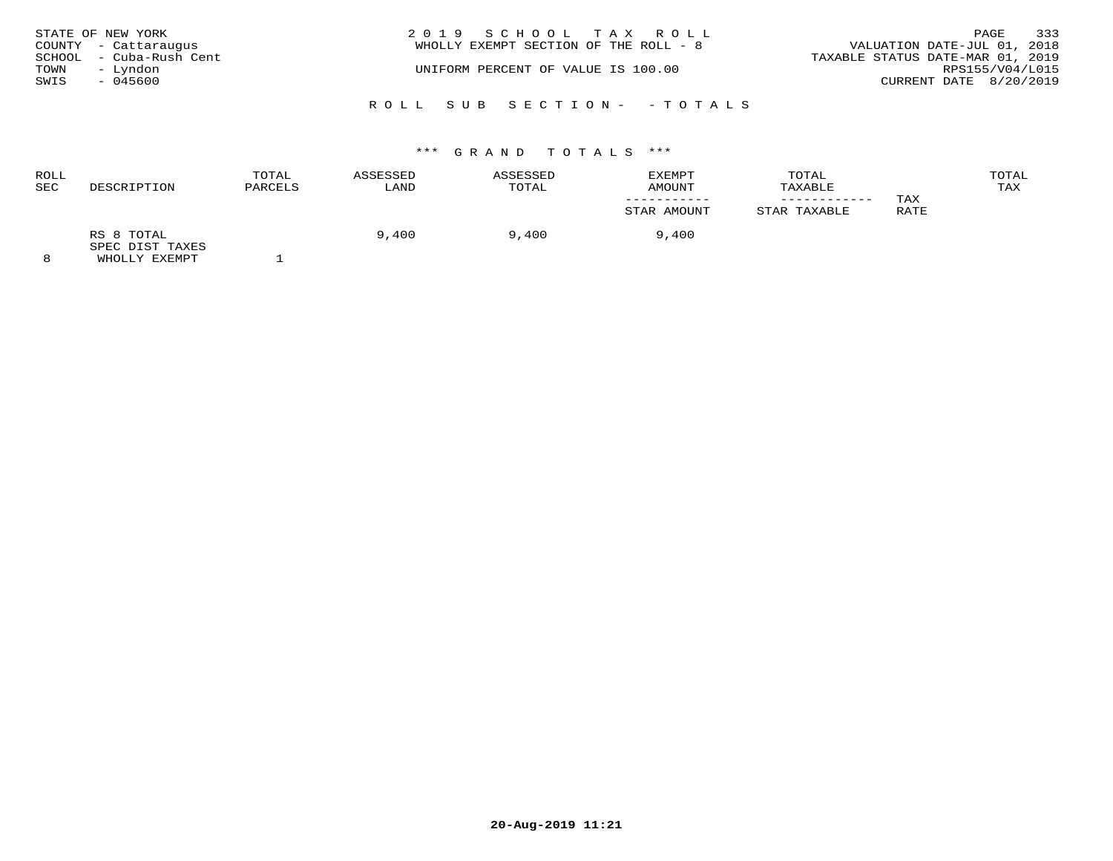| STATE OF NEW YORK       | 2019 SCHOOL TAX ROLL                  |                                  | 333<br>PAGE     |
|-------------------------|---------------------------------------|----------------------------------|-----------------|
| COUNTY - Cattaraugus    | WHOLLY EXEMPT SECTION OF THE ROLL - 8 | VALUATION DATE-JUL 01, 2018      |                 |
| SCHOOL - Cuba-Rush Cent |                                       | TAXABLE STATUS DATE-MAR 01, 2019 |                 |
| - Lyndon<br>TOWN        | UNIFORM PERCENT OF VALUE IS 100.00    |                                  | RPS155/V04/L015 |
| SWIS<br>- 045600        |                                       | CURRENT DATE 8/20/2019           |                 |
|                         |                                       |                                  |                 |
|                         | ROLL SUB SECTION- -TOTALS             |                                  |                 |

| <b>ROLL</b><br>SEC | DESCRIPTION                   | TOTAL<br>PARCELS | ASSESSED<br>LAND | ASSESSED<br>TOTAL | EXEMPT<br>AMOUNT | TOTAL<br>TAXABLE |      | TOTAL<br>TAX |
|--------------------|-------------------------------|------------------|------------------|-------------------|------------------|------------------|------|--------------|
|                    |                               |                  |                  |                   |                  |                  | TAX  |              |
|                    |                               |                  |                  |                   | STAR AMOUNT      | STAR TAXABLE     | RATE |              |
|                    | RS 8 TOTAL<br>SPEC DIST TAXES |                  | 9,400            | 9,400             | 9,400            |                  |      |              |
| $\Omega$           | EULAL IV DILLE                |                  |                  |                   |                  |                  |      |              |

8 WHOLLY EXEMPT 1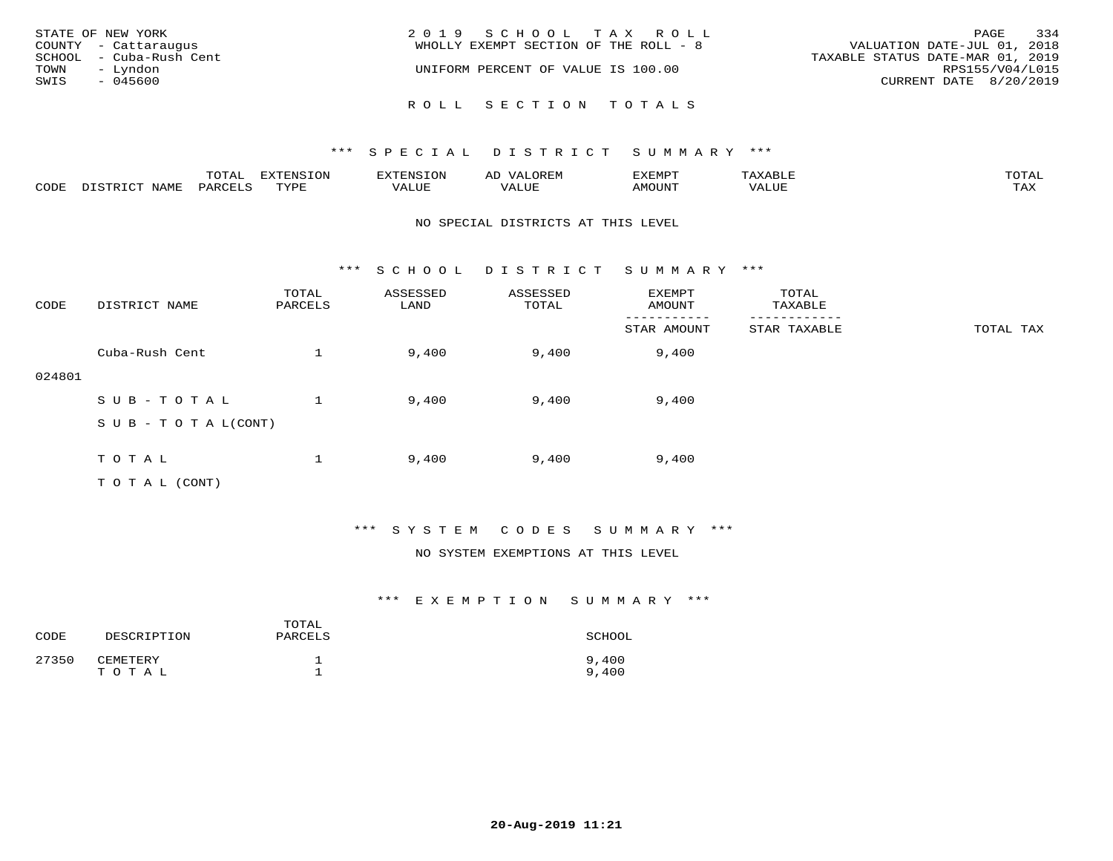| STATE OF NEW YORK<br>COUNTY - Cattaraugus<br>SCHOOL - Cuba-Rush Cent<br>TOWN<br>– Lyndon<br>SWIS<br>$-045600$ | 2019 SCHOOL TAX ROLL<br>WHOLLY EXEMPT SECTION OF THE ROLL - 8<br>UNIFORM PERCENT OF VALUE IS 100.00 | 334<br>PAGE<br>VALUATION DATE-JUL 01, 2018<br>TAXABLE STATUS DATE-MAR 01, 2019<br>RPS155/V04/L015<br>CURRENT DATE 8/20/2019 |
|---------------------------------------------------------------------------------------------------------------|-----------------------------------------------------------------------------------------------------|-----------------------------------------------------------------------------------------------------------------------------|
|                                                                                                               | ROLL SECTION TOTALS                                                                                 |                                                                                                                             |

|      |      | $m \wedge m \wedge n$<br>⊥∪⊥AL | <b>DIZPOILIC TONT</b><br>∸∪ | EN.  | .<br>AL'<br>٠، تن ١٠ | 5773570      |          | $m \wedge m \wedge n$<br>$\mathsf{L}^{\mathsf{L}}$ |
|------|------|--------------------------------|-----------------------------|------|----------------------|--------------|----------|----------------------------------------------------|
| CODE | NAMF | PARO                           | TVDF<br><u>ـ د د</u>        | ALUE |                      | <b>MOUNT</b> | 7 A LU B | may<br>- ∠∡∡                                       |

#### NO SPECIAL DISTRICTS AT THIS LEVEL

\*\*\* S C H O O L D I S T R I C T S U M M A R Y \*\*\*

| CODE   | DISTRICT NAME                    | TOTAL<br>PARCELS | ASSESSED<br>LAND | ASSESSED<br>TOTAL | EXEMPT<br>AMOUNT | TOTAL<br>TAXABLE |           |
|--------|----------------------------------|------------------|------------------|-------------------|------------------|------------------|-----------|
|        |                                  |                  |                  |                   | STAR AMOUNT      | STAR TAXABLE     | TOTAL TAX |
|        | Cuba-Rush Cent                   |                  | 9,400            | 9,400             | 9,400            |                  |           |
| 024801 |                                  |                  |                  |                   |                  |                  |           |
|        | SUB-TOTAL                        |                  | 9,400            | 9,400             | 9,400            |                  |           |
|        | $S \cup B - T \cup T A L (CONT)$ |                  |                  |                   |                  |                  |           |
|        |                                  |                  |                  |                   |                  |                  |           |
|        | TOTAL                            |                  | 9,400            | 9,400             | 9,400            |                  |           |
|        | T O T A L (CONT)                 |                  |                  |                   |                  |                  |           |

#### \*\*\* S Y S T E M C O D E S S U M M A R Y \*\*\*

#### NO SYSTEM EXEMPTIONS AT THIS LEVEL

| CODE  | DESCRIPTION       | TOTAL<br>PARCELS | SCHOOL         |
|-------|-------------------|------------------|----------------|
| 27350 | CEMETERY<br>TOTAL |                  | 9,400<br>9,400 |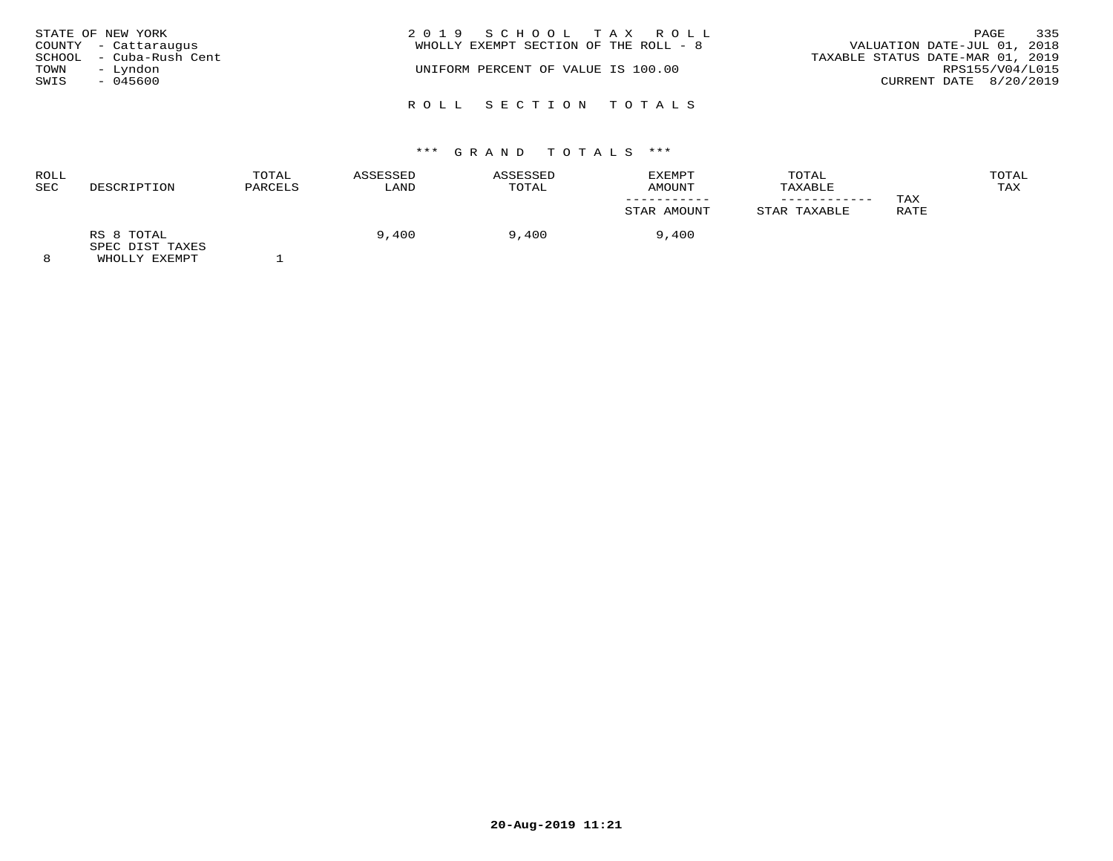| TOWN<br>SWIS | STATE OF NEW YORK<br>COUNTY - Cattaraugus<br>SCHOOL - Cuba-Rush Cent<br>– Lyndon<br>- 045600 | 2019 SCHOOL TAX ROLL<br>WHOLLY EXEMPT SECTION OF THE ROLL - 8<br>UNIFORM PERCENT OF VALUE IS 100.00 | 335<br>PAGE<br>VALUATION DATE-JUL 01, 2018<br>TAXABLE STATUS DATE-MAR 01, 2019<br>RPS155/V04/L015<br>CURRENT DATE 8/20/2019 |
|--------------|----------------------------------------------------------------------------------------------|-----------------------------------------------------------------------------------------------------|-----------------------------------------------------------------------------------------------------------------------------|
|              |                                                                                              | ROLL SECTION TOTALS                                                                                 |                                                                                                                             |

|                               | TOTAL<br>PARCELS | ASSESSED | <b>ASSESSED</b> | EXEMPT<br>AMOUNT | TOTAL<br>TAXABLE |      | TOTAL<br>TAX |
|-------------------------------|------------------|----------|-----------------|------------------|------------------|------|--------------|
|                               |                  |          |                 |                  | ----------       | TAX  |              |
|                               |                  |          |                 | STAR AMOUNT      | STAR TAXABLE     | RATE |              |
| RS 8 TOTAL<br>SPEC DIST TAXES |                  | 9,400    | 9,400           | 9,400            |                  |      |              |
|                               | DESCRIPTION      |          | LAND            | TOTAL            |                  |      |              |

8 WHOLLY EXEMPT 1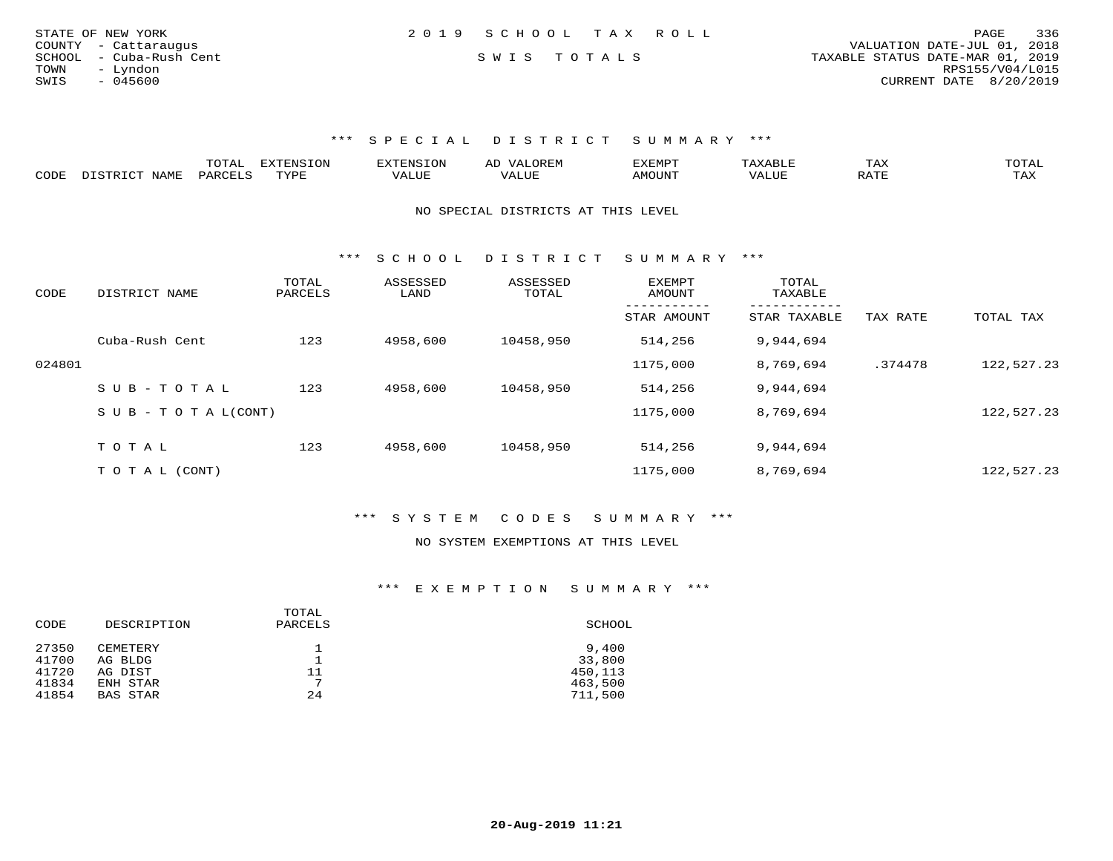| STATE OF NEW YORK       | 2019 SCHOOL TAX ROLL |  | 336<br>PAGE                      |
|-------------------------|----------------------|--|----------------------------------|
| COUNTY - Cattaraugus    |                      |  | VALUATION DATE-JUL 01, 2018      |
| SCHOOL - Cuba-Rush Cent | SWIS TOTALS          |  | TAXABLE STATUS DATE-MAR 01, 2019 |
| TOWN<br>- Lyndon        |                      |  | RPS155/V04/L015                  |
| SWIS<br>$-045600$       |                      |  | CURRENT DATE 8/20/2019           |
|                         |                      |  |                                  |

|      | m^m*<br>-777 | pumpun tout<br>יוני | $\cdots$ | EMP.              |            | 1 A A | ◡∸▱                     |
|------|--------------|---------------------|----------|-------------------|------------|-------|-------------------------|
| CODE | ∕ ہم دے ر    | <b>PVD'</b>         |          | $5.5 \wedge 7.75$ | $\sqrt{ }$ |       | $\cdot$ $\wedge$<br>FY. |

NO SPECIAL DISTRICTS AT THIS LEVEL

\*\*\* S C H O O L D I S T R I C T S U M M A R Y \*\*\*

| CODE   | DISTRICT NAME      | TOTAL<br>PARCELS | ASSESSED<br>LAND | ASSESSED<br>TOTAL | <b>EXEMPT</b><br>AMOUNT | TOTAL<br>TAXABLE        |          |            |
|--------|--------------------|------------------|------------------|-------------------|-------------------------|-------------------------|----------|------------|
|        |                    |                  |                  |                   | STAR AMOUNT             | -------<br>STAR TAXABLE | TAX RATE | TOTAL TAX  |
|        | Cuba-Rush Cent     | 123              | 4958,600         | 10458,950         | 514,256                 | 9,944,694               |          |            |
| 024801 |                    |                  |                  |                   | 1175,000                | 8,769,694               | .374478  | 122,527.23 |
|        | $SUB - TO TAL$     | 123              | 4958,600         | 10458,950         | 514,256                 | 9,944,694               |          |            |
|        | SUB - TO TAL(CONT) |                  |                  |                   | 1175,000                | 8,769,694               |          | 122,527.23 |
|        |                    |                  |                  |                   |                         |                         |          |            |
|        | TOTAL              | 123              | 4958,600         | 10458,950         | 514,256                 | 9,944,694               |          |            |
|        | T O T A L (CONT)   |                  |                  |                   | 1175,000                | 8,769,694               |          | 122,527.23 |

\*\*\* S Y S T E M C O D E S S U M M A R Y \*\*\*

#### NO SYSTEM EXEMPTIONS AT THIS LEVEL

| TOTAL<br>DESCRIPTION<br>PARCELS<br>CODE | SCHOOL  |
|-----------------------------------------|---------|
| 27350<br>CEMETERY                       | 9,400   |
| 41700<br>AG BLDG                        | 33,800  |
| 41720<br>11<br>AG DIST                  | 450,113 |
| ⇁<br>41834<br>ENH STAR                  | 463,500 |
| 41854<br>24<br><b>BAS STAR</b>          | 711,500 |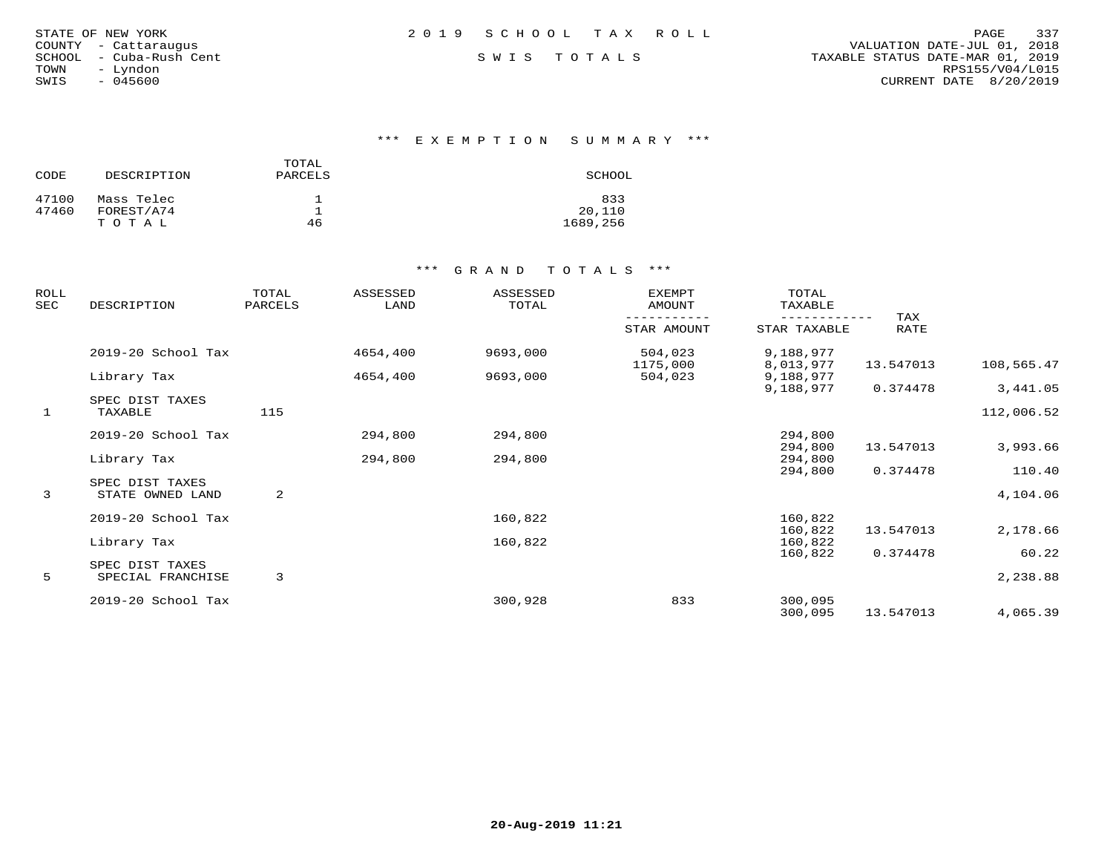| STATE OF NEW YORK |  |               |                  |
|-------------------|--|---------------|------------------|
| COUNTY            |  | - Cattaraugus |                  |
| SCHOOL            |  |               | - Cuba-Rush Cent |
| TOWN              |  | - Lyndon      |                  |
| SWIS              |  | $-045600$     |                  |

\*\*\* E X E M P T I O N S U M M A R Y \*\*\*

| CODE  | DESCRIPTION | TOTAL.<br>PARCELS | SCHOOL   |
|-------|-------------|-------------------|----------|
| 47100 | Mass Telec  |                   | 833      |
| 47460 | FOREST/A74  |                   | 20,110   |
|       | TOTAL       | 46                | 1689,256 |

| ROLL<br>SEC | DESCRIPTION                          | TOTAL<br>PARCELS | ASSESSED<br>LAND | <b>ASSESSED</b><br>TOTAL | <b>EXEMPT</b><br>AMOUNT | TOTAL<br>TAXABLE       |             |                    |
|-------------|--------------------------------------|------------------|------------------|--------------------------|-------------------------|------------------------|-------------|--------------------|
|             |                                      |                  |                  |                          | STAR AMOUNT             | STAR TAXABLE           | TAX<br>RATE |                    |
|             | 2019-20 School Tax                   |                  | 4654,400         | 9693,000                 | 504,023<br>1175,000     | 9,188,977<br>8,013,977 | 13.547013   | 108,565.47         |
|             | Library Tax                          |                  | 4654,400         | 9693,000                 | 504,023                 | 9,188,977<br>9,188,977 | 0.374478    | 3,441.05           |
| 1           | SPEC DIST TAXES<br>TAXABLE           | 115              |                  |                          |                         |                        |             | 112,006.52         |
|             | 2019-20 School Tax                   |                  | 294,800          | 294,800                  |                         | 294,800                |             |                    |
|             | Library Tax                          |                  | 294,800          | 294,800                  |                         | 294,800<br>294,800     | 13.547013   | 3,993.66           |
| 3           | SPEC DIST TAXES<br>STATE OWNED LAND  | 2                |                  |                          |                         | 294,800                | 0.374478    | 110.40<br>4,104.06 |
|             | 2019-20 School Tax                   |                  |                  | 160,822                  |                         | 160,822<br>160,822     | 13.547013   | 2,178.66           |
|             | Library Tax                          |                  |                  | 160,822                  |                         | 160,822<br>160,822     | 0.374478    | 60.22              |
| 5           | SPEC DIST TAXES<br>SPECIAL FRANCHISE | 3                |                  |                          |                         |                        |             | 2,238.88           |
|             | 2019-20 School Tax                   |                  |                  | 300,928                  | 833                     | 300,095<br>300,095     | 13.547013   | 4,065.39           |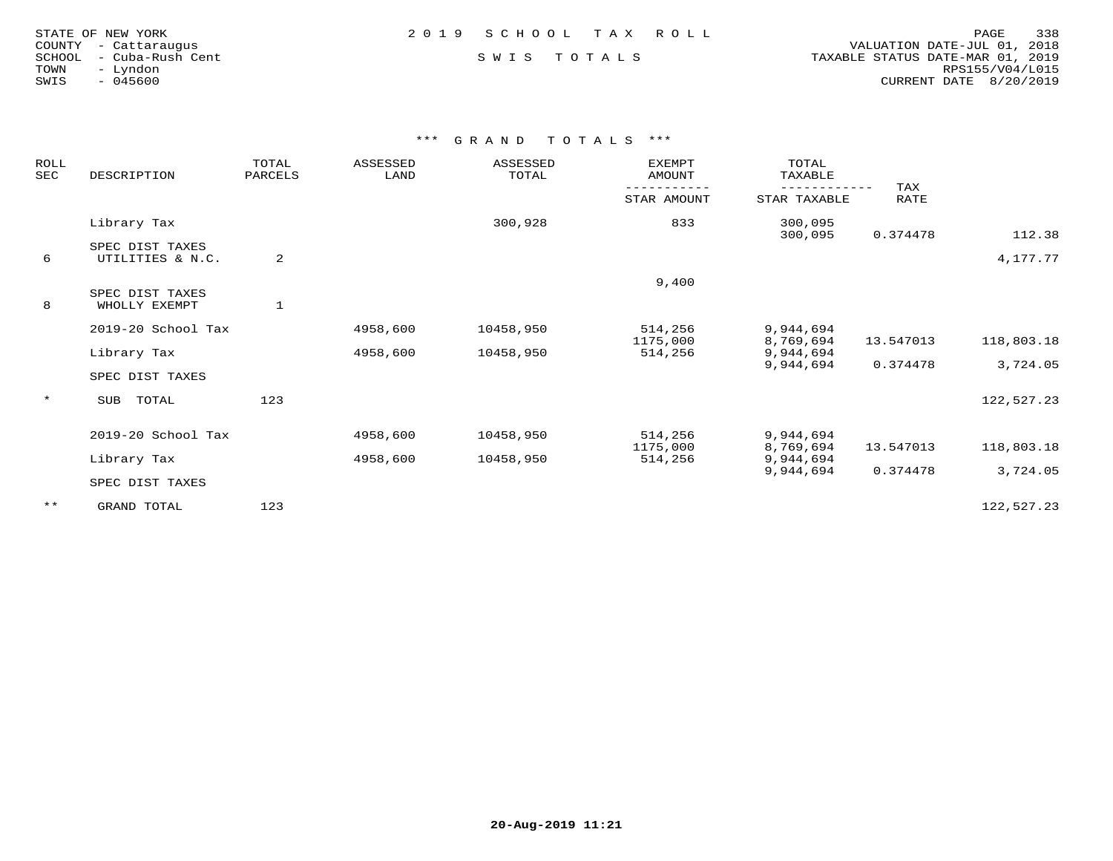| STATE OF NEW YORK |                      |
|-------------------|----------------------|
|                   | COUNTY - Cattarauqus |
| SCHOOL            | – Cuba-Rush Cent     |
| TOWN.             | - Lyndon             |
| SWIS              | $-045600$            |

STATE OF NEW YORK 2 0 1 9 S C H O O L T A X R O L L PAGE 338 COUNTY - Cattaraugus VALUATION DATE-JUL 01, 2018 SCHOOL - Cuba-Rush Cent S W I S T O T A L S TAXABLE STATUS DATE-MAR 01, 2019 TOWN - Lyndon RPS155/V04/L015SWIS - 045600 CURRENT DATE 8/20/2019

| ROLL<br>SEC | DESCRIPTION                         | TOTAL<br>PARCELS | <b>ASSESSED</b><br>LAND | ASSESSED<br>TOTAL | <b>EXEMPT</b><br>AMOUNT | TOTAL<br>TAXABLE<br>------------    | TAX                   |                        |
|-------------|-------------------------------------|------------------|-------------------------|-------------------|-------------------------|-------------------------------------|-----------------------|------------------------|
|             |                                     |                  |                         |                   | STAR AMOUNT             | STAR TAXABLE                        | RATE                  |                        |
|             | Library Tax                         |                  |                         | 300,928           | 833                     | 300,095<br>300,095                  | 0.374478              | 112.38                 |
| 6           | SPEC DIST TAXES<br>UTILITIES & N.C. | 2                |                         |                   |                         |                                     |                       | 4,177.77               |
|             |                                     |                  |                         |                   | 9,400                   |                                     |                       |                        |
| 8           | SPEC DIST TAXES<br>WHOLLY EXEMPT    | $\mathbf{1}$     |                         |                   |                         |                                     |                       |                        |
|             | 2019-20 School Tax                  |                  | 4958,600                | 10458,950         | 514,256                 | 9,944,694                           |                       |                        |
|             | Library Tax                         |                  | 4958,600                | 10458,950         | 1175,000<br>514,256     | 8,769,694<br>9,944,694<br>9,944,694 | 13.547013<br>0.374478 | 118,803.18<br>3,724.05 |
|             | SPEC DIST TAXES                     |                  |                         |                   |                         |                                     |                       |                        |
| $\star$     | TOTAL<br>SUB                        | 123              |                         |                   |                         |                                     |                       | 122,527.23             |
|             | 2019-20 School Tax                  |                  | 4958,600                | 10458,950         | 514,256                 | 9,944,694                           |                       |                        |
|             | Library Tax                         |                  | 4958,600                | 10458,950         | 1175,000<br>514,256     | 8,769,694<br>9,944,694              | 13.547013             | 118,803.18             |
|             | SPEC DIST TAXES                     |                  |                         |                   |                         | 9,944,694                           | 0.374478              | 3,724.05               |
| $***$       | GRAND TOTAL                         | 123              |                         |                   |                         |                                     |                       | 122,527.23             |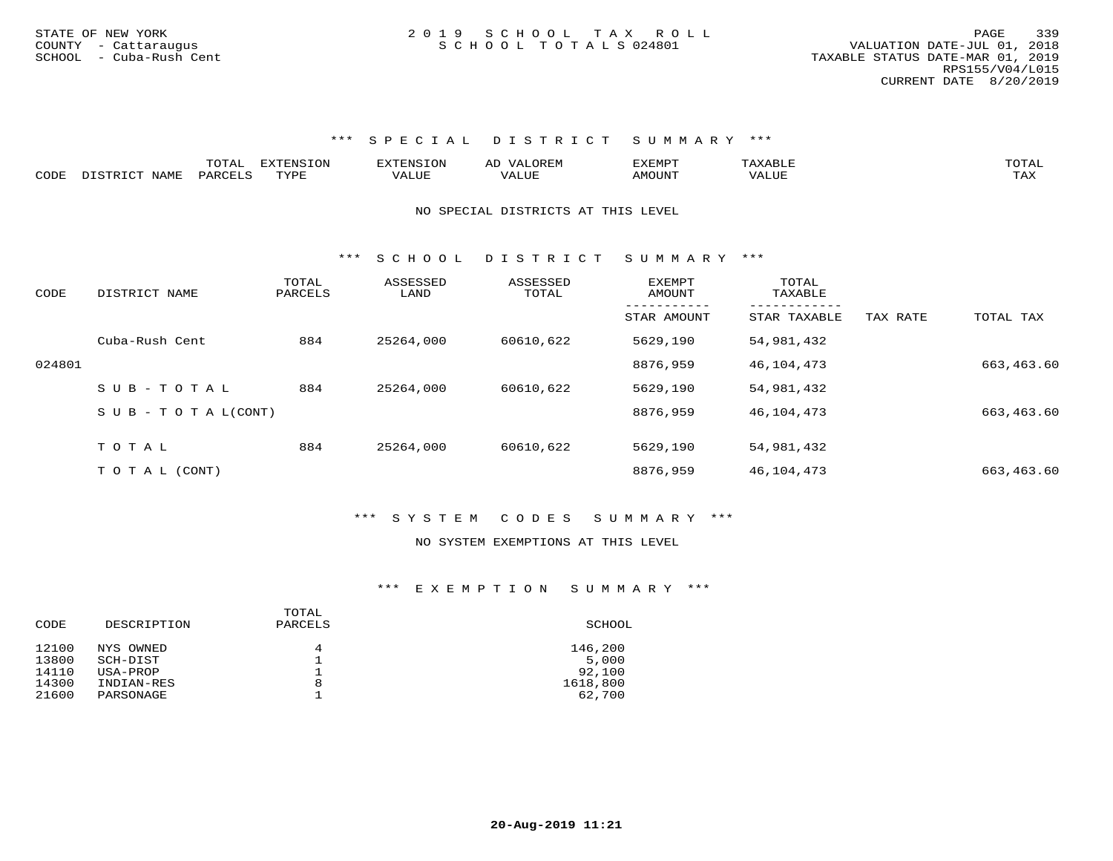|      |      | $m \wedge m \wedge n$<br>$\sim$ 1<br>. | <b>EXTENSION</b> | 'YTENSION |                      | ,,, <del>,</del> ,,,,<br>n л і |       | TOTA. |
|------|------|----------------------------------------|------------------|-----------|----------------------|--------------------------------|-------|-------|
| CODE | NAMF | LARCET C                               | TVDL             | ALUF      | $\cdot$ , $\wedge$ , | <b>MOTTNTO</b>                 | 'ALUE |       |

#### NO SPECIAL DISTRICTS AT THIS LEVEL

\*\*\* S C H O O L D I S T R I C T S U M M A R Y \*\*\*

| CODE   | DISTRICT NAME                    | TOTAL<br>PARCELS | ASSESSED<br>LAND | ASSESSED<br>TOTAL | EXEMPT<br>AMOUNT | TOTAL<br>TAXABLE |          |            |
|--------|----------------------------------|------------------|------------------|-------------------|------------------|------------------|----------|------------|
|        |                                  |                  |                  |                   | STAR AMOUNT      | STAR TAXABLE     | TAX RATE | TOTAL TAX  |
|        | Cuba-Rush Cent                   | 884              | 25264,000        | 60610,622         | 5629,190         | 54,981,432       |          |            |
| 024801 |                                  |                  |                  |                   | 8876,959         | 46,104,473       |          | 663,463.60 |
|        | $SUB - TO T AL$                  | 884              | 25264,000        | 60610,622         | 5629,190         | 54,981,432       |          |            |
|        | $S \cup B - T \cup T A L (CONT)$ |                  |                  |                   | 8876,959         | 46,104,473       |          | 663,463.60 |
|        |                                  |                  |                  |                   |                  |                  |          |            |
|        | TOTAL                            | 884              | 25264,000        | 60610,622         | 5629,190         | 54,981,432       |          |            |
|        | T O T A L (CONT)                 |                  |                  |                   | 8876,959         | 46,104,473       |          | 663,463.60 |

#### \*\*\* S Y S T E M C O D E S S U M M A R Y \*\*\*

#### NO SYSTEM EXEMPTIONS AT THIS LEVEL

| CODE  | DESCRIPTION | TOTAL<br>PARCELS | SCHOOL   |
|-------|-------------|------------------|----------|
| 12100 | NYS OWNED   | 4                | 146,200  |
| 13800 | SCH-DIST    |                  | 5,000    |
| 14110 | USA-PROP    |                  | 92,100   |
| 14300 | INDIAN-RES  | 8                | 1618,800 |
| 21600 | PARSONAGE   |                  | 62,700   |
|       |             |                  |          |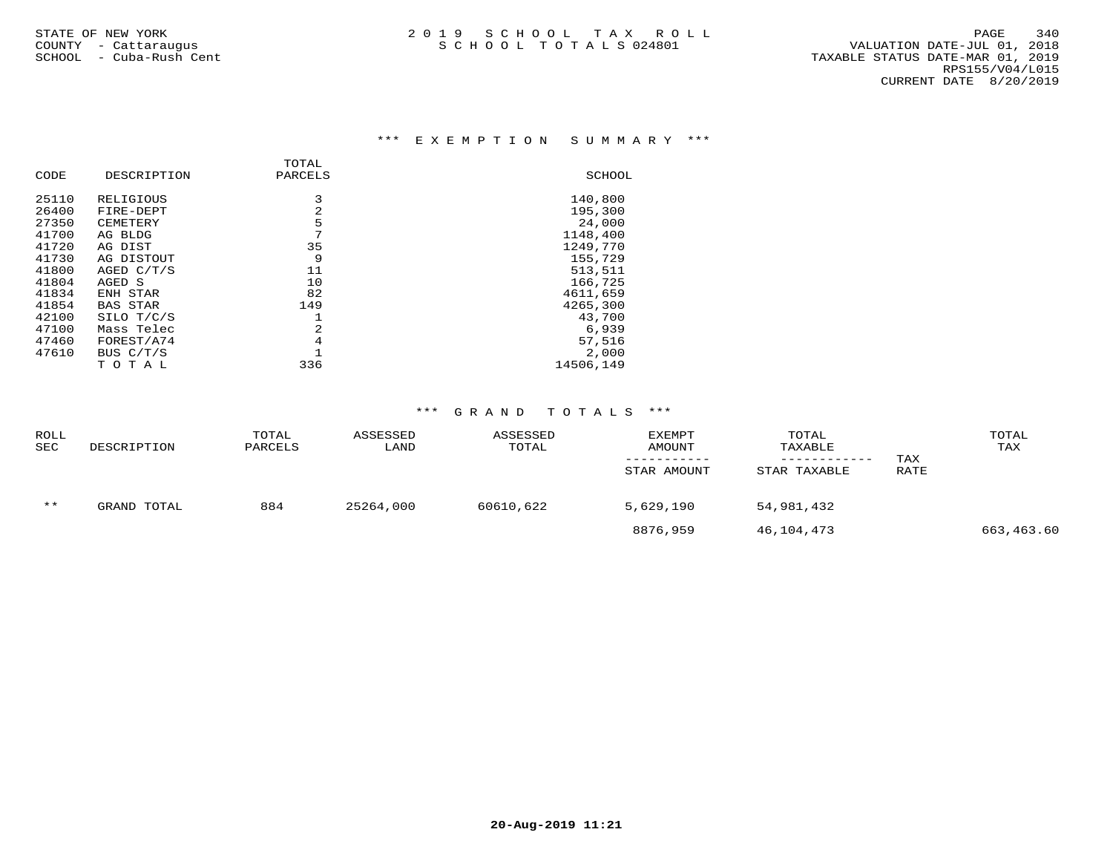#### \*\*\* E X E M P T I O N S U M M A R Y \*\*\*

| DESCRIPTION     | PARCELS | SCHOOL    |
|-----------------|---------|-----------|
| RELIGIOUS       | 3       | 140,800   |
| FIRE-DEPT       | 2       | 195,300   |
| CEMETERY        | 5       | 24,000    |
| AG BLDG         | 7       | 1148,400  |
| AG DIST         | 35      | 1249,770  |
| AG DISTOUT      | 9       | 155,729   |
| AGED C/T/S      | 11      | 513,511   |
| AGED S          | 10      | 166,725   |
| ENH STAR        | 82      | 4611,659  |
| <b>BAS STAR</b> | 149     | 4265,300  |
| SILO T/C/S      | 1       | 43,700    |
| Mass Telec      | 2       | 6,939     |
| FOREST/A74      | 4       | 57,516    |
| BUS $C/T/S$     |         | 2,000     |
| тотаь           | 336     | 14506,149 |
|                 |         | TOTAL     |

| <b>ROLL</b><br>SEC | DESCRIPTION | TOTAL<br>PARCELS | ASSESSED<br>LAND | ASSESSED<br>TOTAL | <b>EXEMPT</b><br>AMOUNT | TOTAL<br>TAXABLE             |             | TOTAL<br>TAX |
|--------------------|-------------|------------------|------------------|-------------------|-------------------------|------------------------------|-------------|--------------|
|                    |             |                  |                  |                   | STAR AMOUNT             | ------------<br>STAR TAXABLE | TAX<br>RATE |              |
| $***$              | GRAND TOTAL | 884              | 25264,000        | 60610,622         | 5,629,190               | 54,981,432                   |             |              |
|                    |             |                  |                  |                   | 8876,959                | 46,104,473                   |             | 663,463.60   |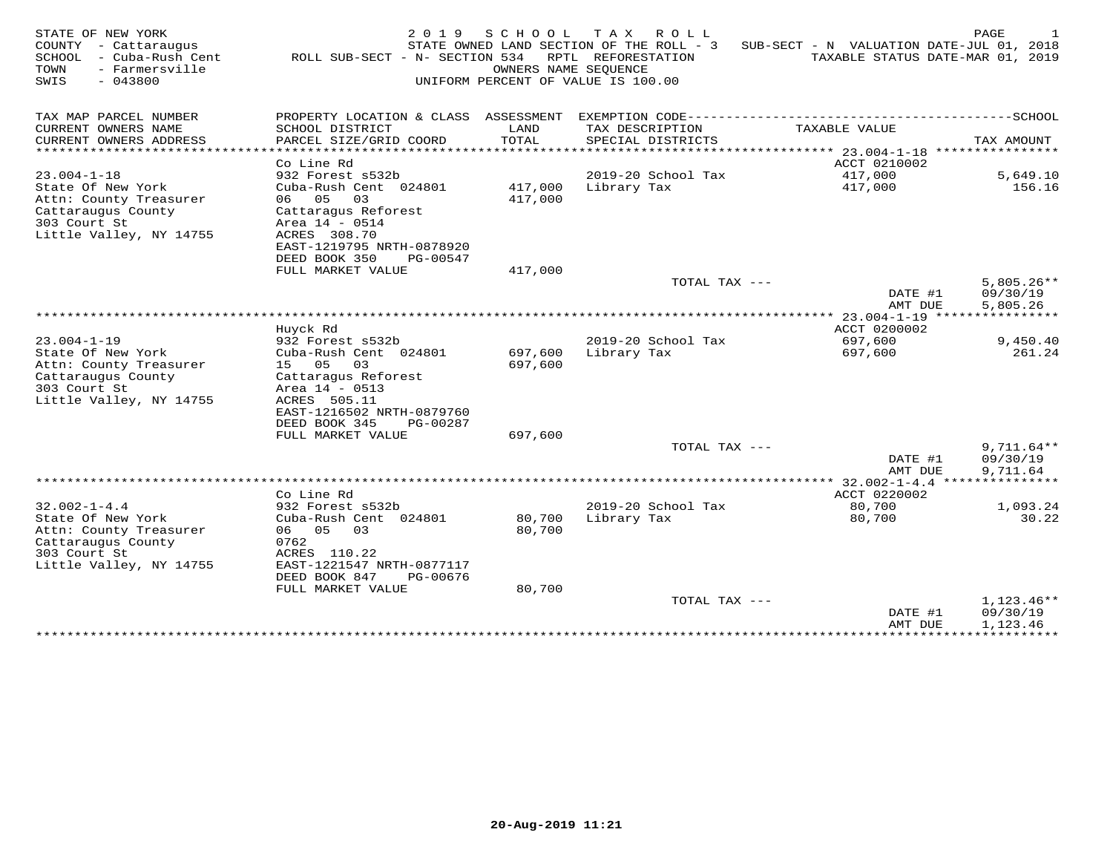| STATE OF NEW YORK<br>COUNTY<br>- Cattaraugus<br>SCHOOL<br>- Cuba-Rush Cent<br>TOWN<br>- Farmersville<br>$-043800$<br>SWIS | 2 0 1 9<br>ROLL SUB-SECT - N- SECTION 534         | SCHOOL<br>OWNERS NAME SEQUENCE | T A X<br>R O L L<br>STATE OWNED LAND SECTION OF THE ROLL - 3<br>RPTL REFORESTATION<br>UNIFORM PERCENT OF VALUE IS 100.00 | SUB-SECT - N VALUATION DATE-JUL 01, 2018    | PAGE<br>TAXABLE STATUS DATE-MAR 01, 2019 |
|---------------------------------------------------------------------------------------------------------------------------|---------------------------------------------------|--------------------------------|--------------------------------------------------------------------------------------------------------------------------|---------------------------------------------|------------------------------------------|
| TAX MAP PARCEL NUMBER                                                                                                     | PROPERTY LOCATION & CLASS ASSESSMENT              |                                | EXEMPTION CODE-------------                                                                                              |                                             | $------SCHOOL$                           |
| CURRENT OWNERS NAME                                                                                                       | SCHOOL DISTRICT                                   | LAND                           | TAX DESCRIPTION                                                                                                          | TAXABLE VALUE                               |                                          |
| CURRENT OWNERS ADDRESS<br>*******************                                                                             | PARCEL SIZE/GRID COORD<br>*********************** | TOTAL<br>********              | SPECIAL DISTRICTS                                                                                                        | ******************************* 23.004-1-18 | TAX AMOUNT<br>****************           |
|                                                                                                                           | Co Line Rd                                        |                                |                                                                                                                          | ACCT 0210002                                |                                          |
| $23.004 - 1 - 18$                                                                                                         | 932 Forest s532b                                  |                                | 2019-20 School Tax                                                                                                       | 417,000                                     | 5,649.10                                 |
| State Of New York<br>Attn: County Treasurer                                                                               | Cuba-Rush Cent 024801<br>05<br>03<br>06           | 417,000<br>417,000             | Library Tax                                                                                                              | 417,000                                     | 156.16                                   |
| Cattaraugus County                                                                                                        | Cattaragus Reforest                               |                                |                                                                                                                          |                                             |                                          |
| 303 Court St<br>Little Valley, NY 14755                                                                                   | Area 14 - 0514<br>ACRES 308.70                    |                                |                                                                                                                          |                                             |                                          |
|                                                                                                                           | EAST-1219795 NRTH-0878920                         |                                |                                                                                                                          |                                             |                                          |
|                                                                                                                           | DEED BOOK 350<br>PG-00547                         |                                |                                                                                                                          |                                             |                                          |
|                                                                                                                           | FULL MARKET VALUE                                 | 417,000                        |                                                                                                                          |                                             |                                          |
|                                                                                                                           |                                                   |                                | TOTAL TAX ---                                                                                                            | DATE #1                                     | $5,805.26**$<br>09/30/19                 |
|                                                                                                                           |                                                   |                                |                                                                                                                          | AMT DUE                                     | 5,805.26                                 |
|                                                                                                                           |                                                   |                                |                                                                                                                          | *** 23.004-1-19                             |                                          |
| $23.004 - 1 - 19$                                                                                                         | Huyck Rd<br>932 Forest s532b                      |                                | 2019-20 School Tax                                                                                                       | ACCT 0200002<br>697,600                     | 9,450.40                                 |
| State Of New York                                                                                                         | Cuba-Rush Cent 024801                             | 697,600                        | Library Tax                                                                                                              | 697,600                                     | 261.24                                   |
| Attn: County Treasurer                                                                                                    | 15 05<br>03                                       | 697,600                        |                                                                                                                          |                                             |                                          |
| Cattaraugus County                                                                                                        | Cattaragus Reforest                               |                                |                                                                                                                          |                                             |                                          |
| 303 Court St<br>Little Valley, NY 14755                                                                                   | Area 14 - 0513<br>ACRES 505.11                    |                                |                                                                                                                          |                                             |                                          |
|                                                                                                                           | EAST-1216502 NRTH-0879760                         |                                |                                                                                                                          |                                             |                                          |
|                                                                                                                           | DEED BOOK 345<br>PG-00287                         |                                |                                                                                                                          |                                             |                                          |
|                                                                                                                           | FULL MARKET VALUE                                 | 697,600                        |                                                                                                                          |                                             |                                          |
|                                                                                                                           |                                                   |                                | TOTAL TAX ---                                                                                                            | DATE #1                                     | $9,711.64**$<br>09/30/19                 |
|                                                                                                                           |                                                   |                                |                                                                                                                          | AMT DUE                                     | 9,711.64                                 |
|                                                                                                                           |                                                   |                                |                                                                                                                          |                                             | ************                             |
| $32.002 - 1 - 4.4$                                                                                                        | Co Line Rd<br>932 Forest s532b                    |                                | 2019-20 School Tax                                                                                                       | ACCT 0220002<br>80,700                      | 1,093.24                                 |
| State Of New York                                                                                                         | Cuba-Rush Cent 024801                             | 80,700                         | Library Tax                                                                                                              | 80,700                                      | 30.22                                    |
| Attn: County Treasurer                                                                                                    | 06 05<br>03                                       | 80,700                         |                                                                                                                          |                                             |                                          |
| Cattaraugus County                                                                                                        | 0762                                              |                                |                                                                                                                          |                                             |                                          |
| 303 Court St<br>Little Valley, NY 14755                                                                                   | ACRES 110.22<br>EAST-1221547 NRTH-0877117         |                                |                                                                                                                          |                                             |                                          |
|                                                                                                                           | DEED BOOK 847<br>PG-00676                         |                                |                                                                                                                          |                                             |                                          |
|                                                                                                                           | FULL MARKET VALUE                                 | 80,700                         |                                                                                                                          |                                             |                                          |
|                                                                                                                           |                                                   |                                | TOTAL TAX ---                                                                                                            |                                             | $1,123.46**$                             |
|                                                                                                                           |                                                   |                                |                                                                                                                          | DATE #1<br>AMT DUE                          | 09/30/19<br>1,123.46                     |
|                                                                                                                           |                                                   |                                | ******************************                                                                                           |                                             |                                          |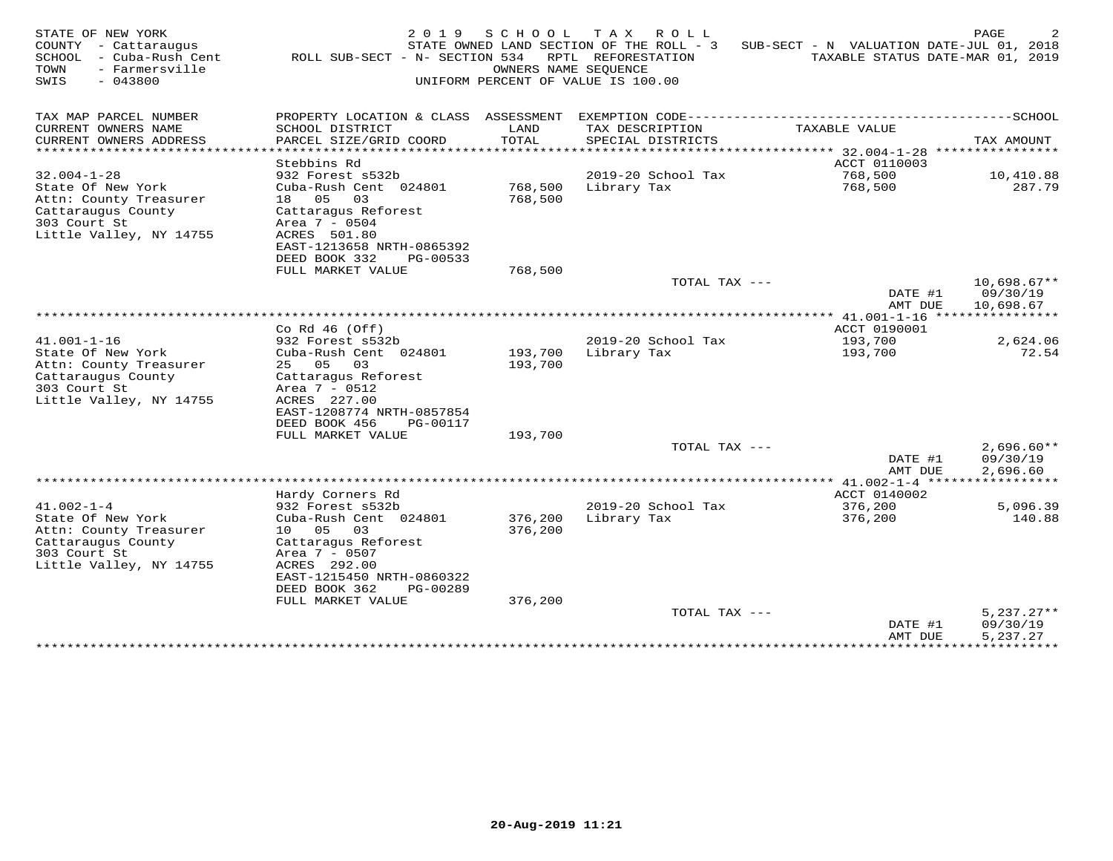| TAX MAP PARCEL NUMBER<br>PROPERTY LOCATION & CLASS ASSESSMENT<br>CURRENT OWNERS NAME<br>SCHOOL DISTRICT<br>TAX DESCRIPTION<br>TAXABLE VALUE<br>LAND<br>CURRENT OWNERS ADDRESS<br>PARCEL SIZE/GRID COORD<br>TOTAL<br>SPECIAL DISTRICTS<br>TAX AMOUNT<br>********************<br>*******<br>******* 32.004-1-28<br>Stebbins Rd<br>ACCT 0110003<br>$32.004 - 1 - 28$<br>932 Forest s532b<br>2019-20 School Tax<br>768,500<br>10,410.88<br>State Of New York<br>Cuba-Rush Cent 024801<br>768,500<br>Library Tax<br>768,500<br>287.79<br>18 05<br>768,500<br>Attn: County Treasurer<br>03<br>Cattaraugus County<br>Cattaragus Reforest<br>303 Court St<br>Area 7 - 0504<br>Little Valley, NY 14755<br>ACRES 501.80<br>EAST-1213658 NRTH-0865392<br>DEED BOOK 332<br>PG-00533<br>FULL MARKET VALUE<br>768,500<br>TOTAL TAX ---<br>DATE #1<br>09/30/19<br>AMT DUE<br>10,698.67<br>Co Rd $46$ (Off)<br>ACCT 0190001<br>$41.001 - 1 - 16$<br>932 Forest s532b<br>2019-20 School Tax<br>193,700<br>2,624.06<br>State Of New York<br>Cuba-Rush Cent 024801<br>193,700<br>Library Tax<br>193,700<br>Attn: County Treasurer<br>25 05<br>193,700<br>03<br>Cattaraugus County<br>Cattaragus Reforest<br>303 Court St<br>Area 7 - 0512<br>Little Valley, NY 14755<br>ACRES 227.00<br>EAST-1208774 NRTH-0857854<br>DEED BOOK 456<br>PG-00117<br>FULL MARKET VALUE<br>193,700<br>TOTAL TAX ---<br>09/30/19<br>DATE #1<br>2,696.60<br>AMT DUE<br>Hardy Corners Rd<br>ACCT 0140002<br>$41.002 - 1 - 4$<br>2019-20 School Tax<br>932 Forest s532b<br>376,200<br>5,096.39<br>State Of New York<br>376,200<br>Library Tax<br>Cuba-Rush Cent 024801<br>376,200<br>Attn: County Treasurer<br>10 05<br>376,200<br>03<br>Cattaraugus County<br>Cattaragus Reforest<br>303 Court St<br>Area 7 - 0507 | STATE OF NEW YORK<br>COUNTY<br>- Cattaraugus<br>SCHOOL<br>- Cuba-Rush Cent<br>TOWN<br>- Farmersville<br>SWIS<br>$-043800$ | 2019<br>ROLL SUB-SECT - N- SECTION 534 | SCHOOL<br>OWNERS NAME SEOUENCE | T A X<br>ROLL<br>STATE OWNED LAND SECTION OF THE ROLL - 3<br>RPTL REFORESTATION<br>UNIFORM PERCENT OF VALUE IS 100.00 | SUB-SECT - N VALUATION DATE-JUL 01, 2018 | PAGE<br>TAXABLE STATUS DATE-MAR 01, 2019 |
|--------------------------------------------------------------------------------------------------------------------------------------------------------------------------------------------------------------------------------------------------------------------------------------------------------------------------------------------------------------------------------------------------------------------------------------------------------------------------------------------------------------------------------------------------------------------------------------------------------------------------------------------------------------------------------------------------------------------------------------------------------------------------------------------------------------------------------------------------------------------------------------------------------------------------------------------------------------------------------------------------------------------------------------------------------------------------------------------------------------------------------------------------------------------------------------------------------------------------------------------------------------------------------------------------------------------------------------------------------------------------------------------------------------------------------------------------------------------------------------------------------------------------------------------------------------------------------------------------------------------------------------------------------------------------------------------------------------------------------------------------------------------------|---------------------------------------------------------------------------------------------------------------------------|----------------------------------------|--------------------------------|-----------------------------------------------------------------------------------------------------------------------|------------------------------------------|------------------------------------------|
|                                                                                                                                                                                                                                                                                                                                                                                                                                                                                                                                                                                                                                                                                                                                                                                                                                                                                                                                                                                                                                                                                                                                                                                                                                                                                                                                                                                                                                                                                                                                                                                                                                                                                                                                                                          |                                                                                                                           |                                        |                                |                                                                                                                       |                                          |                                          |
|                                                                                                                                                                                                                                                                                                                                                                                                                                                                                                                                                                                                                                                                                                                                                                                                                                                                                                                                                                                                                                                                                                                                                                                                                                                                                                                                                                                                                                                                                                                                                                                                                                                                                                                                                                          |                                                                                                                           |                                        |                                |                                                                                                                       |                                          |                                          |
|                                                                                                                                                                                                                                                                                                                                                                                                                                                                                                                                                                                                                                                                                                                                                                                                                                                                                                                                                                                                                                                                                                                                                                                                                                                                                                                                                                                                                                                                                                                                                                                                                                                                                                                                                                          |                                                                                                                           |                                        |                                |                                                                                                                       |                                          | ****************                         |
|                                                                                                                                                                                                                                                                                                                                                                                                                                                                                                                                                                                                                                                                                                                                                                                                                                                                                                                                                                                                                                                                                                                                                                                                                                                                                                                                                                                                                                                                                                                                                                                                                                                                                                                                                                          |                                                                                                                           |                                        |                                |                                                                                                                       |                                          |                                          |
|                                                                                                                                                                                                                                                                                                                                                                                                                                                                                                                                                                                                                                                                                                                                                                                                                                                                                                                                                                                                                                                                                                                                                                                                                                                                                                                                                                                                                                                                                                                                                                                                                                                                                                                                                                          |                                                                                                                           |                                        |                                |                                                                                                                       |                                          |                                          |
|                                                                                                                                                                                                                                                                                                                                                                                                                                                                                                                                                                                                                                                                                                                                                                                                                                                                                                                                                                                                                                                                                                                                                                                                                                                                                                                                                                                                                                                                                                                                                                                                                                                                                                                                                                          |                                                                                                                           |                                        |                                |                                                                                                                       |                                          |                                          |
|                                                                                                                                                                                                                                                                                                                                                                                                                                                                                                                                                                                                                                                                                                                                                                                                                                                                                                                                                                                                                                                                                                                                                                                                                                                                                                                                                                                                                                                                                                                                                                                                                                                                                                                                                                          |                                                                                                                           |                                        |                                |                                                                                                                       |                                          |                                          |
|                                                                                                                                                                                                                                                                                                                                                                                                                                                                                                                                                                                                                                                                                                                                                                                                                                                                                                                                                                                                                                                                                                                                                                                                                                                                                                                                                                                                                                                                                                                                                                                                                                                                                                                                                                          |                                                                                                                           |                                        |                                |                                                                                                                       |                                          |                                          |
|                                                                                                                                                                                                                                                                                                                                                                                                                                                                                                                                                                                                                                                                                                                                                                                                                                                                                                                                                                                                                                                                                                                                                                                                                                                                                                                                                                                                                                                                                                                                                                                                                                                                                                                                                                          |                                                                                                                           |                                        |                                |                                                                                                                       |                                          |                                          |
|                                                                                                                                                                                                                                                                                                                                                                                                                                                                                                                                                                                                                                                                                                                                                                                                                                                                                                                                                                                                                                                                                                                                                                                                                                                                                                                                                                                                                                                                                                                                                                                                                                                                                                                                                                          |                                                                                                                           |                                        |                                |                                                                                                                       |                                          |                                          |
|                                                                                                                                                                                                                                                                                                                                                                                                                                                                                                                                                                                                                                                                                                                                                                                                                                                                                                                                                                                                                                                                                                                                                                                                                                                                                                                                                                                                                                                                                                                                                                                                                                                                                                                                                                          |                                                                                                                           |                                        |                                |                                                                                                                       |                                          | $10,698.67**$                            |
|                                                                                                                                                                                                                                                                                                                                                                                                                                                                                                                                                                                                                                                                                                                                                                                                                                                                                                                                                                                                                                                                                                                                                                                                                                                                                                                                                                                                                                                                                                                                                                                                                                                                                                                                                                          |                                                                                                                           |                                        |                                |                                                                                                                       |                                          |                                          |
|                                                                                                                                                                                                                                                                                                                                                                                                                                                                                                                                                                                                                                                                                                                                                                                                                                                                                                                                                                                                                                                                                                                                                                                                                                                                                                                                                                                                                                                                                                                                                                                                                                                                                                                                                                          |                                                                                                                           |                                        |                                |                                                                                                                       |                                          |                                          |
|                                                                                                                                                                                                                                                                                                                                                                                                                                                                                                                                                                                                                                                                                                                                                                                                                                                                                                                                                                                                                                                                                                                                                                                                                                                                                                                                                                                                                                                                                                                                                                                                                                                                                                                                                                          |                                                                                                                           |                                        |                                |                                                                                                                       |                                          |                                          |
|                                                                                                                                                                                                                                                                                                                                                                                                                                                                                                                                                                                                                                                                                                                                                                                                                                                                                                                                                                                                                                                                                                                                                                                                                                                                                                                                                                                                                                                                                                                                                                                                                                                                                                                                                                          |                                                                                                                           |                                        |                                |                                                                                                                       |                                          | 72.54                                    |
|                                                                                                                                                                                                                                                                                                                                                                                                                                                                                                                                                                                                                                                                                                                                                                                                                                                                                                                                                                                                                                                                                                                                                                                                                                                                                                                                                                                                                                                                                                                                                                                                                                                                                                                                                                          |                                                                                                                           |                                        |                                |                                                                                                                       |                                          |                                          |
|                                                                                                                                                                                                                                                                                                                                                                                                                                                                                                                                                                                                                                                                                                                                                                                                                                                                                                                                                                                                                                                                                                                                                                                                                                                                                                                                                                                                                                                                                                                                                                                                                                                                                                                                                                          |                                                                                                                           |                                        |                                |                                                                                                                       |                                          |                                          |
|                                                                                                                                                                                                                                                                                                                                                                                                                                                                                                                                                                                                                                                                                                                                                                                                                                                                                                                                                                                                                                                                                                                                                                                                                                                                                                                                                                                                                                                                                                                                                                                                                                                                                                                                                                          |                                                                                                                           |                                        |                                |                                                                                                                       |                                          |                                          |
|                                                                                                                                                                                                                                                                                                                                                                                                                                                                                                                                                                                                                                                                                                                                                                                                                                                                                                                                                                                                                                                                                                                                                                                                                                                                                                                                                                                                                                                                                                                                                                                                                                                                                                                                                                          |                                                                                                                           |                                        |                                |                                                                                                                       |                                          |                                          |
|                                                                                                                                                                                                                                                                                                                                                                                                                                                                                                                                                                                                                                                                                                                                                                                                                                                                                                                                                                                                                                                                                                                                                                                                                                                                                                                                                                                                                                                                                                                                                                                                                                                                                                                                                                          |                                                                                                                           |                                        |                                |                                                                                                                       |                                          |                                          |
|                                                                                                                                                                                                                                                                                                                                                                                                                                                                                                                                                                                                                                                                                                                                                                                                                                                                                                                                                                                                                                                                                                                                                                                                                                                                                                                                                                                                                                                                                                                                                                                                                                                                                                                                                                          |                                                                                                                           |                                        |                                |                                                                                                                       |                                          | $2,696.60**$                             |
|                                                                                                                                                                                                                                                                                                                                                                                                                                                                                                                                                                                                                                                                                                                                                                                                                                                                                                                                                                                                                                                                                                                                                                                                                                                                                                                                                                                                                                                                                                                                                                                                                                                                                                                                                                          |                                                                                                                           |                                        |                                |                                                                                                                       |                                          |                                          |
|                                                                                                                                                                                                                                                                                                                                                                                                                                                                                                                                                                                                                                                                                                                                                                                                                                                                                                                                                                                                                                                                                                                                                                                                                                                                                                                                                                                                                                                                                                                                                                                                                                                                                                                                                                          |                                                                                                                           |                                        |                                |                                                                                                                       |                                          |                                          |
|                                                                                                                                                                                                                                                                                                                                                                                                                                                                                                                                                                                                                                                                                                                                                                                                                                                                                                                                                                                                                                                                                                                                                                                                                                                                                                                                                                                                                                                                                                                                                                                                                                                                                                                                                                          |                                                                                                                           |                                        |                                |                                                                                                                       |                                          |                                          |
|                                                                                                                                                                                                                                                                                                                                                                                                                                                                                                                                                                                                                                                                                                                                                                                                                                                                                                                                                                                                                                                                                                                                                                                                                                                                                                                                                                                                                                                                                                                                                                                                                                                                                                                                                                          |                                                                                                                           |                                        |                                |                                                                                                                       |                                          | 140.88                                   |
|                                                                                                                                                                                                                                                                                                                                                                                                                                                                                                                                                                                                                                                                                                                                                                                                                                                                                                                                                                                                                                                                                                                                                                                                                                                                                                                                                                                                                                                                                                                                                                                                                                                                                                                                                                          |                                                                                                                           |                                        |                                |                                                                                                                       |                                          |                                          |
|                                                                                                                                                                                                                                                                                                                                                                                                                                                                                                                                                                                                                                                                                                                                                                                                                                                                                                                                                                                                                                                                                                                                                                                                                                                                                                                                                                                                                                                                                                                                                                                                                                                                                                                                                                          |                                                                                                                           |                                        |                                |                                                                                                                       |                                          |                                          |
| EAST-1215450 NRTH-0860322                                                                                                                                                                                                                                                                                                                                                                                                                                                                                                                                                                                                                                                                                                                                                                                                                                                                                                                                                                                                                                                                                                                                                                                                                                                                                                                                                                                                                                                                                                                                                                                                                                                                                                                                                | Little Valley, NY 14755                                                                                                   | ACRES 292.00                           |                                |                                                                                                                       |                                          |                                          |
| DEED BOOK 362<br>PG-00289                                                                                                                                                                                                                                                                                                                                                                                                                                                                                                                                                                                                                                                                                                                                                                                                                                                                                                                                                                                                                                                                                                                                                                                                                                                                                                                                                                                                                                                                                                                                                                                                                                                                                                                                                |                                                                                                                           |                                        |                                |                                                                                                                       |                                          |                                          |
| FULL MARKET VALUE<br>376,200                                                                                                                                                                                                                                                                                                                                                                                                                                                                                                                                                                                                                                                                                                                                                                                                                                                                                                                                                                                                                                                                                                                                                                                                                                                                                                                                                                                                                                                                                                                                                                                                                                                                                                                                             |                                                                                                                           |                                        |                                |                                                                                                                       |                                          |                                          |
| TOTAL TAX ---<br>DATE #1<br>09/30/19                                                                                                                                                                                                                                                                                                                                                                                                                                                                                                                                                                                                                                                                                                                                                                                                                                                                                                                                                                                                                                                                                                                                                                                                                                                                                                                                                                                                                                                                                                                                                                                                                                                                                                                                     |                                                                                                                           |                                        |                                |                                                                                                                       |                                          | $5,237.27**$                             |
| 5,237.27<br>AMT DUE<br>*************                                                                                                                                                                                                                                                                                                                                                                                                                                                                                                                                                                                                                                                                                                                                                                                                                                                                                                                                                                                                                                                                                                                                                                                                                                                                                                                                                                                                                                                                                                                                                                                                                                                                                                                                     |                                                                                                                           |                                        |                                |                                                                                                                       |                                          | ***********                              |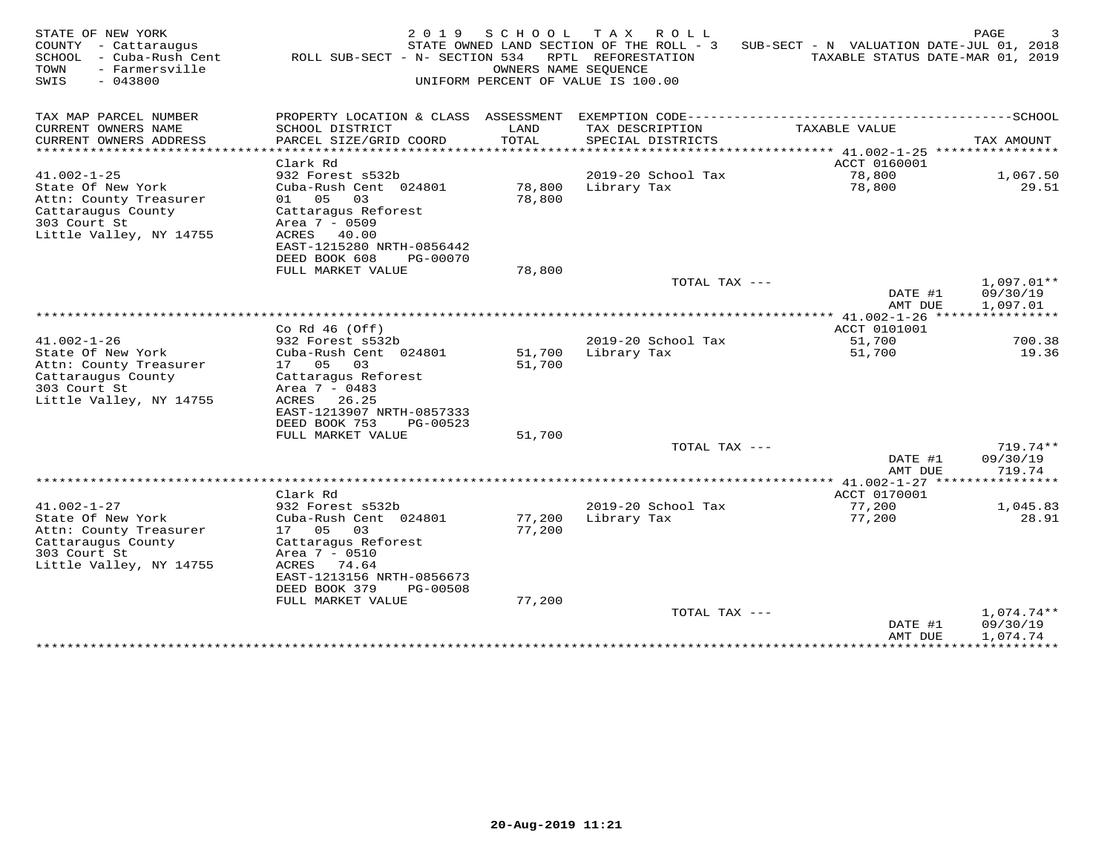| STATE OF NEW YORK<br>COUNTY - Cattaraugus<br>SCHOOL<br>- Cuba-Rush Cent<br>TOWN<br>- Farmersville<br>SWIS<br>$-043800$            | 2 0 1 9<br>ROLL SUB-SECT - N- SECTION 534                                                                                                                                                      | SCHOOL<br>OWNERS NAME SEOUENCE | TAX ROLL<br>STATE OWNED LAND SECTION OF THE ROLL - 3<br>RPTL REFORESTATION<br>UNIFORM PERCENT OF VALUE IS 100.00 | SUB-SECT - N VALUATION DATE-JUL 01, 2018<br>TAXABLE STATUS DATE-MAR 01, 2019 | PAGE                                 |
|-----------------------------------------------------------------------------------------------------------------------------------|------------------------------------------------------------------------------------------------------------------------------------------------------------------------------------------------|--------------------------------|------------------------------------------------------------------------------------------------------------------|------------------------------------------------------------------------------|--------------------------------------|
| TAX MAP PARCEL NUMBER<br>CURRENT OWNERS NAME                                                                                      | PROPERTY LOCATION & CLASS ASSESSMENT<br>SCHOOL DISTRICT                                                                                                                                        | LAND                           | TAX DESCRIPTION                                                                                                  | TAXABLE VALUE                                                                |                                      |
| CURRENT OWNERS ADDRESS<br>**********************                                                                                  | PARCEL SIZE/GRID COORD<br>***********************                                                                                                                                              | TOTAL                          | SPECIAL DISTRICTS                                                                                                |                                                                              | TAX AMOUNT                           |
|                                                                                                                                   | Clark Rd                                                                                                                                                                                       |                                |                                                                                                                  | ACCT 0160001                                                                 |                                      |
| $41.002 - 1 - 25$                                                                                                                 | 932 Forest s532b                                                                                                                                                                               |                                | 2019-20 School Tax                                                                                               | 78,800                                                                       | 1,067.50                             |
| State Of New York<br>Attn: County Treasurer<br>Cattaraugus County<br>303 Court St<br>Little Valley, NY 14755                      | Cuba-Rush Cent 024801<br>01 05<br>03<br>Cattaraqus Reforest<br>Area 7 - 0509<br>ACRES 40.00<br>EAST-1215280 NRTH-0856442                                                                       | 78,800<br>78,800               | Library Tax                                                                                                      | 78,800                                                                       | 29.51                                |
|                                                                                                                                   | DEED BOOK 608<br>PG-00070<br>FULL MARKET VALUE                                                                                                                                                 | 78,800                         |                                                                                                                  |                                                                              |                                      |
|                                                                                                                                   |                                                                                                                                                                                                |                                | TOTAL TAX ---                                                                                                    | DATE #1<br>AMT DUE                                                           | $1,097.01**$<br>09/30/19<br>1,097.01 |
|                                                                                                                                   |                                                                                                                                                                                                |                                |                                                                                                                  |                                                                              |                                      |
|                                                                                                                                   | Co Rd $46$ (Off)                                                                                                                                                                               |                                |                                                                                                                  | ACCT 0101001                                                                 |                                      |
| $41.002 - 1 - 26$                                                                                                                 | 932 Forest s532b                                                                                                                                                                               |                                | 2019-20 School Tax                                                                                               | 51,700                                                                       | 700.38                               |
| State Of New York<br>Attn: County Treasurer<br>Cattaraugus County<br>303 Court St<br>Little Valley, NY 14755                      | Cuba-Rush Cent 024801<br>17 05<br>03<br>Cattaragus Reforest<br>Area 7 - 0483<br>ACRES 26.25<br>EAST-1213907 NRTH-0857333<br>DEED BOOK 753<br>PG-00523                                          | 51,700<br>51,700               | Library Tax                                                                                                      | 51,700                                                                       | 19.36                                |
|                                                                                                                                   | FULL MARKET VALUE                                                                                                                                                                              | 51,700                         |                                                                                                                  |                                                                              |                                      |
|                                                                                                                                   |                                                                                                                                                                                                |                                | TOTAL TAX ---                                                                                                    | DATE #1<br>AMT DUE                                                           | 719.74**<br>09/30/19<br>719.74       |
|                                                                                                                                   |                                                                                                                                                                                                |                                |                                                                                                                  | ************* 41.002-1-27 ******                                             | *********                            |
|                                                                                                                                   | Clark Rd                                                                                                                                                                                       |                                |                                                                                                                  | ACCT 0170001                                                                 |                                      |
| $41.002 - 1 - 27$<br>State Of New York<br>Attn: County Treasurer<br>Cattaraugus County<br>303 Court St<br>Little Valley, NY 14755 | 932 Forest s532b<br>Cuba-Rush Cent 024801<br>17 05<br>03<br>Cattaragus Reforest<br>Area 7 - 0510<br>ACRES 74.64<br>EAST-1213156 NRTH-0856673<br>DEED BOOK 379<br>PG-00508<br>FULL MARKET VALUE | 77,200<br>77,200<br>77,200     | 2019-20 School Tax<br>Library Tax                                                                                | 77,200<br>77,200                                                             | 1,045.83<br>28.91                    |
|                                                                                                                                   |                                                                                                                                                                                                |                                | TOTAL TAX ---                                                                                                    |                                                                              | 1,074.74**                           |
|                                                                                                                                   |                                                                                                                                                                                                |                                |                                                                                                                  | DATE #1<br>AMT DUE<br>***************                                        | 09/30/19<br>1,074.74<br>***********  |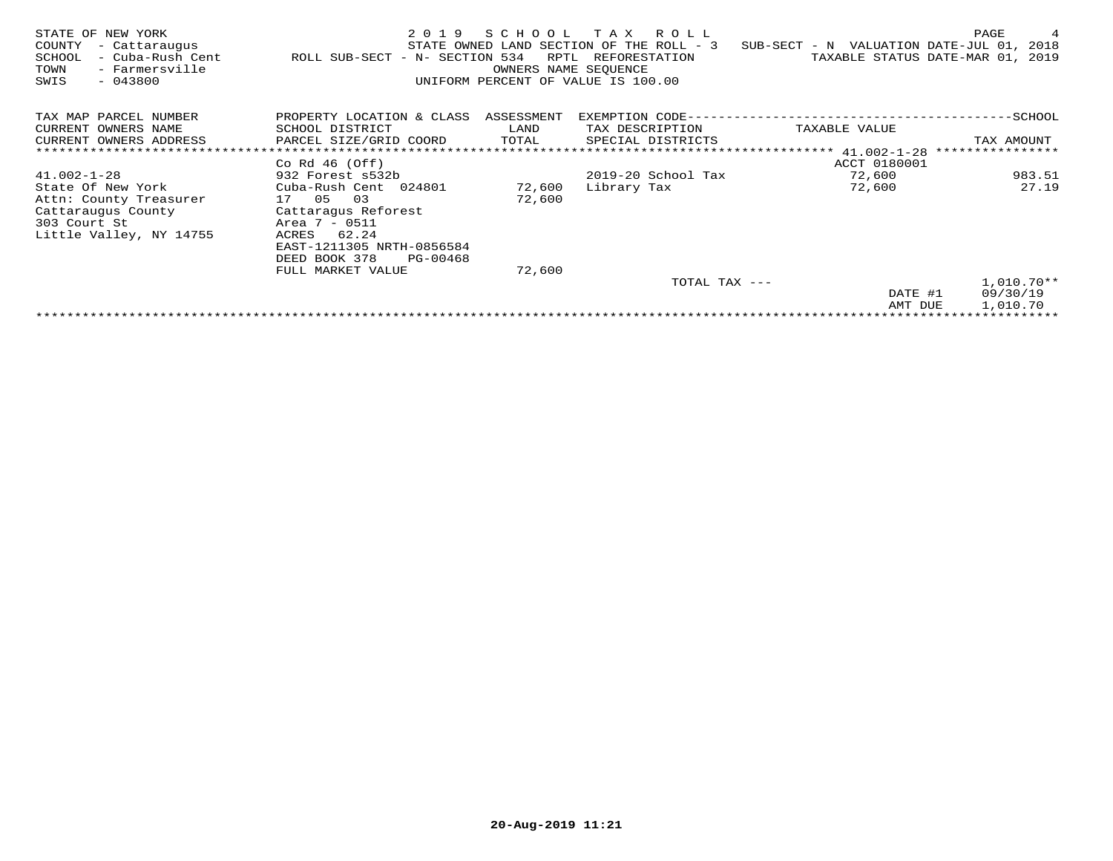| STATE OF NEW YORK<br>COUNTY<br>- Cattaraugus<br>- Cuba-Rush Cent<br>SCHOOL<br>TOWN<br>- Farmersville<br>$-043800$<br>SWIS | 2 0 1 9<br>ROLL SUB-SECT - N- SECTION 534 | SCHOOL<br>RPTL | T A X<br>R O L L<br>STATE OWNED LAND SECTION OF THE ROLL - 3<br>REFORESTATION<br>OWNERS NAME SEOUENCE<br>UNIFORM PERCENT OF VALUE IS 100.00 | SUB-SECT - N VALUATION DATE-JUL 01, 2018 | PAGE<br>4<br>TAXABLE STATUS DATE-MAR 01, 2019 |
|---------------------------------------------------------------------------------------------------------------------------|-------------------------------------------|----------------|---------------------------------------------------------------------------------------------------------------------------------------------|------------------------------------------|-----------------------------------------------|
| TAX MAP PARCEL NUMBER                                                                                                     | PROPERTY LOCATION & CLASS ASSESSMENT      |                | EXEMPTION CODE--                                                                                                                            |                                          | --SCHOOL                                      |
| CURRENT OWNERS NAME                                                                                                       | SCHOOL DISTRICT                           | LAND           | TAX DESCRIPTION                                                                                                                             | TAXABLE VALUE                            |                                               |
| CURRENT OWNERS ADDRESS                                                                                                    | PARCEL SIZE/GRID COORD                    | TOTAL          | SPECIAL DISTRICTS                                                                                                                           |                                          | TAX AMOUNT                                    |
|                                                                                                                           |                                           |                |                                                                                                                                             | ******** $41.002 - 1 - 28$               | ****************                              |
|                                                                                                                           | Co Rd $46$ (Off)                          |                |                                                                                                                                             | ACCT 0180001                             |                                               |
| $41.002 - 1 - 28$                                                                                                         | 932 Forest s532b                          |                | 2019-20 School Tax                                                                                                                          | 72,600                                   | 983.51                                        |
| State Of New York                                                                                                         | Cuba-Rush Cent 024801                     | 72,600         | Library Tax                                                                                                                                 | 72,600                                   | 27.19                                         |
| Attn: County Treasurer                                                                                                    | 03<br>17 05                               | 72,600         |                                                                                                                                             |                                          |                                               |
| Cattaraugus County                                                                                                        | Cattaragus Reforest                       |                |                                                                                                                                             |                                          |                                               |
| 303 Court St                                                                                                              | Area 7 - 0511                             |                |                                                                                                                                             |                                          |                                               |
| Little Valley, NY 14755                                                                                                   | 62.24<br>ACRES                            |                |                                                                                                                                             |                                          |                                               |
|                                                                                                                           | EAST-1211305 NRTH-0856584                 |                |                                                                                                                                             |                                          |                                               |
|                                                                                                                           | DEED BOOK 378<br>PG-00468                 |                |                                                                                                                                             |                                          |                                               |
|                                                                                                                           | FULL MARKET VALUE                         | 72,600         |                                                                                                                                             |                                          |                                               |
|                                                                                                                           |                                           |                | TOTAL TAX ---                                                                                                                               |                                          | $1,010.70**$                                  |
|                                                                                                                           |                                           |                |                                                                                                                                             | DATE #1                                  | 09/30/19                                      |
|                                                                                                                           |                                           |                |                                                                                                                                             | AMT DUE                                  | 1,010.70                                      |
|                                                                                                                           |                                           |                |                                                                                                                                             |                                          | **********************************            |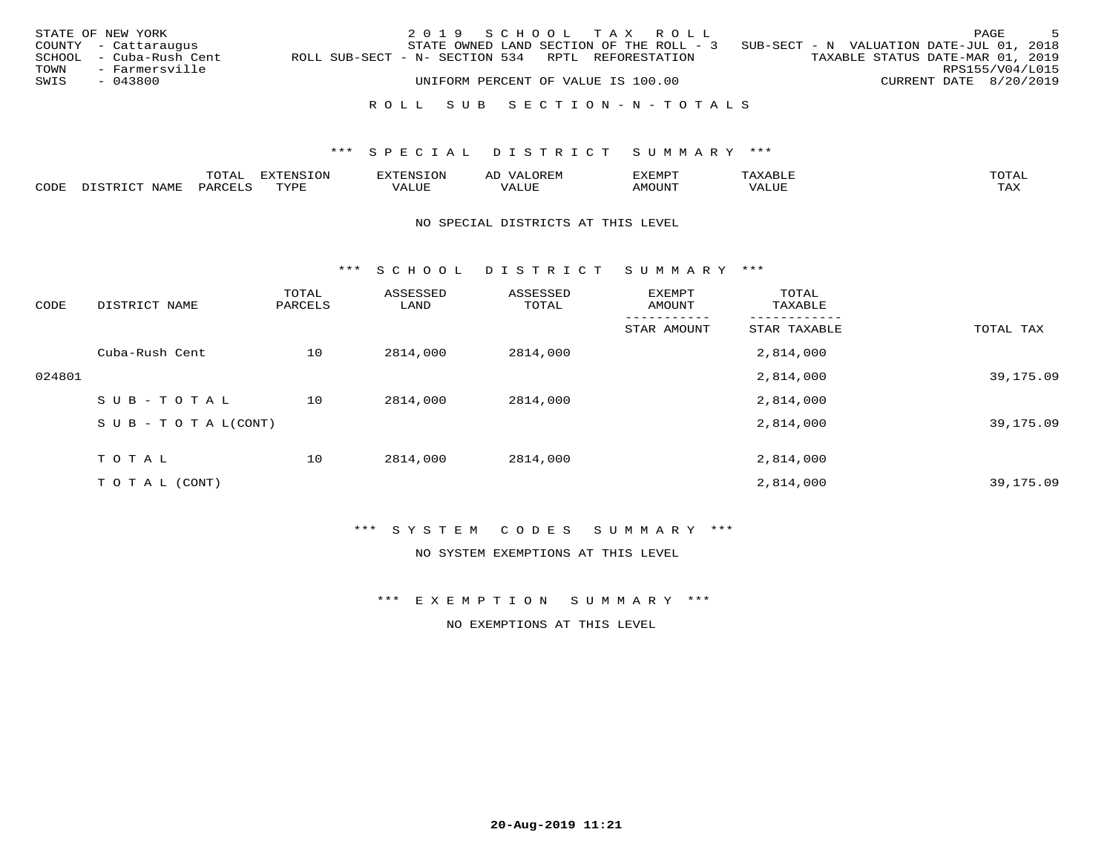|      | STATE OF NEW YORK       |                                                   | 2019 SCHOOL TAX ROLL               |  |                                          |                                          |                        | PAGE            | - 5 |
|------|-------------------------|---------------------------------------------------|------------------------------------|--|------------------------------------------|------------------------------------------|------------------------|-----------------|-----|
|      | COUNTY - Cattaraugus    |                                                   |                                    |  | STATE OWNED LAND SECTION OF THE ROLL - 3 | SUB-SECT - N VALUATION DATE-JUL 01, 2018 |                        |                 |     |
|      | SCHOOL - Cuba-Rush Cent | ROLL SUB-SECT - N- SECTION 534 RPTL REFORESTATION |                                    |  |                                          | TAXABLE STATUS DATE-MAR 01, 2019         |                        |                 |     |
| TOWN | - Farmersville          |                                                   |                                    |  |                                          |                                          |                        | RPS155/V04/L015 |     |
| SWIS | - 043800                |                                                   | UNIFORM PERCENT OF VALUE IS 100.00 |  |                                          |                                          | CURRENT DATE 8/20/2019 |                 |     |
|      |                         |                                                   |                                    |  |                                          |                                          |                        |                 |     |
|      |                         |                                                   |                                    |  | ROLL SUB SECTION-N-TOTALS                |                                          |                        |                 |     |

|      | $m \wedge m \wedge n$<br>Al | $1 + 0.5 +$ | 117777777727<br>EN.<br>∟∪⊥ | OREM<br>$\frac{1}{2}$<br>ΑL |      |      | $\blacksquare$          |
|------|-----------------------------|-------------|----------------------------|-----------------------------|------|------|-------------------------|
| CODE |                             | <b>TVD</b>  | ALUE                       |                             | יו ב | 17 L | $m \times r$<br>- - - - |

#### NO SPECIAL DISTRICTS AT THIS LEVEL

\*\*\* S C H O O L D I S T R I C T S U M M A R Y \*\*\*

| CODE   | DISTRICT NAME                    | TOTAL<br>PARCELS | ASSESSED<br>LAND | ASSESSED<br>TOTAL | EXEMPT<br>AMOUNT | TOTAL<br>TAXABLE |           |
|--------|----------------------------------|------------------|------------------|-------------------|------------------|------------------|-----------|
|        |                                  |                  |                  |                   | STAR AMOUNT      | STAR TAXABLE     | TOTAL TAX |
|        | Cuba-Rush Cent                   | 10               | 2814,000         | 2814,000          |                  | 2,814,000        |           |
| 024801 |                                  |                  |                  |                   |                  | 2,814,000        | 39,175.09 |
|        | SUB-TOTAL                        | 10               | 2814,000         | 2814,000          |                  | 2,814,000        |           |
|        | $S \cup B - T \cup T A L (CONT)$ |                  |                  |                   |                  | 2,814,000        | 39,175.09 |
|        | TOTAL                            | 10               | 2814,000         | 2814,000          |                  | 2,814,000        |           |
|        | T O T A L (CONT)                 |                  |                  |                   |                  | 2,814,000        | 39,175.09 |

\*\*\* S Y S T E M C O D E S S U M M A R Y \*\*\*

NO SYSTEM EXEMPTIONS AT THIS LEVEL

\*\*\* E X E M P T I O N S U M M A R Y \*\*\*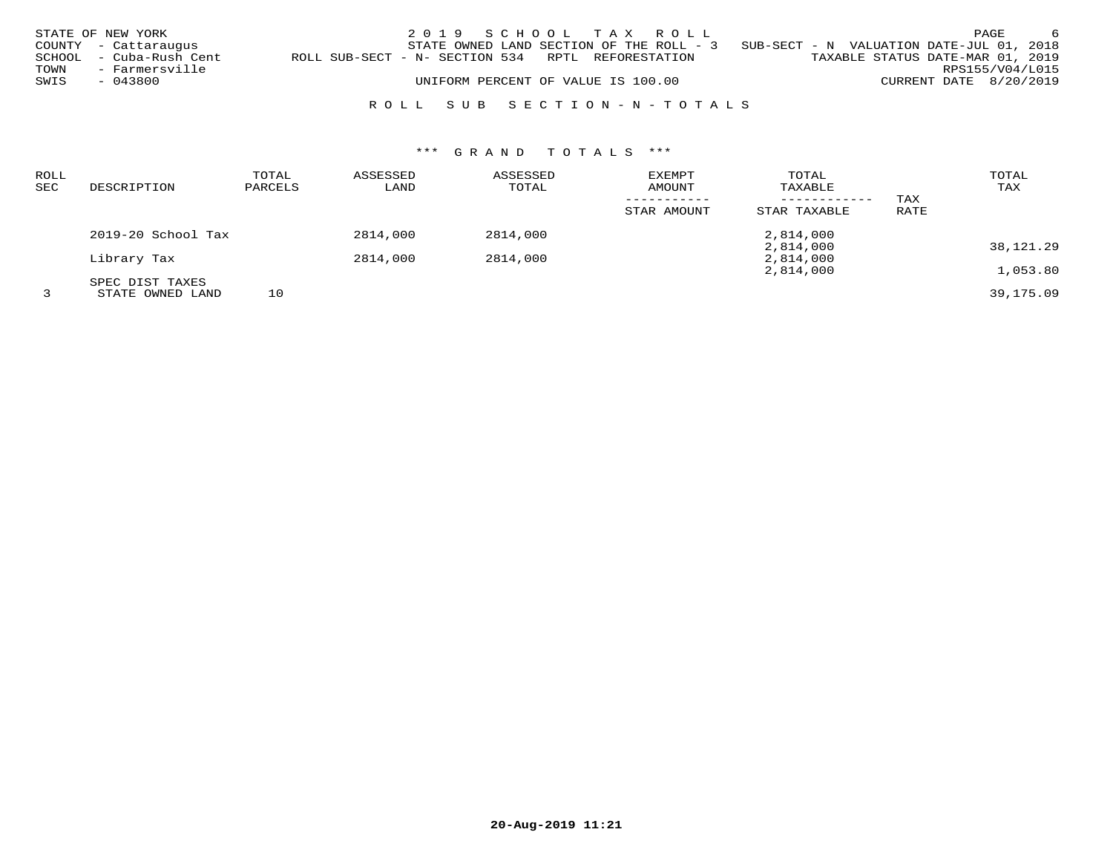|      | STATE OF NEW YORK       |                                                   | 2019 SCHOOL TAX ROLL                     |  |  |                                          | PAGE            | - 6 |
|------|-------------------------|---------------------------------------------------|------------------------------------------|--|--|------------------------------------------|-----------------|-----|
|      | COUNTY - Cattaraugus    |                                                   | STATE OWNED LAND SECTION OF THE ROLL - 3 |  |  | SUB-SECT - N VALUATION DATE-JUL 01, 2018 |                 |     |
|      | SCHOOL - Cuba-Rush Cent | ROLL SUB-SECT - N- SECTION 534 RPTL REFORESTATION |                                          |  |  | TAXABLE STATUS DATE-MAR 01, 2019         |                 |     |
| TOWN | - Farmersville          |                                                   |                                          |  |  |                                          | RPS155/V04/L015 |     |
| SWIS | - 043800                |                                                   | UNIFORM PERCENT OF VALUE IS 100.00       |  |  | CURRENT DATE 8/20/2019                   |                 |     |
|      |                         |                                                   |                                          |  |  |                                          |                 |     |

## R O L L S U B S E C T I O N - N - T O T A L S

| ROLL |                    | TOTAL   | ASSESSED | ASSESSED | <b>EXEMPT</b> | TOTAL        |      | TOTAL     |
|------|--------------------|---------|----------|----------|---------------|--------------|------|-----------|
| SEC  | DESCRIPTION        | PARCELS | LAND     | TOTAL    | AMOUNT        | TAXABLE      |      | TAX       |
|      |                    |         |          |          |               |              | TAX  |           |
|      |                    |         |          |          | STAR AMOUNT   | STAR TAXABLE | RATE |           |
|      | 2019-20 School Tax |         | 2814,000 | 2814,000 |               | 2,814,000    |      |           |
|      |                    |         |          |          |               | 2,814,000    |      | 38,121.29 |
|      | Library Tax        |         | 2814,000 | 2814,000 |               | 2,814,000    |      |           |
|      |                    |         |          |          |               | 2,814,000    |      | 1,053.80  |
|      | SPEC DIST TAXES    |         |          |          |               |              |      |           |
|      | STATE OWNED LAND   | 10      |          |          |               |              |      | 39,175.09 |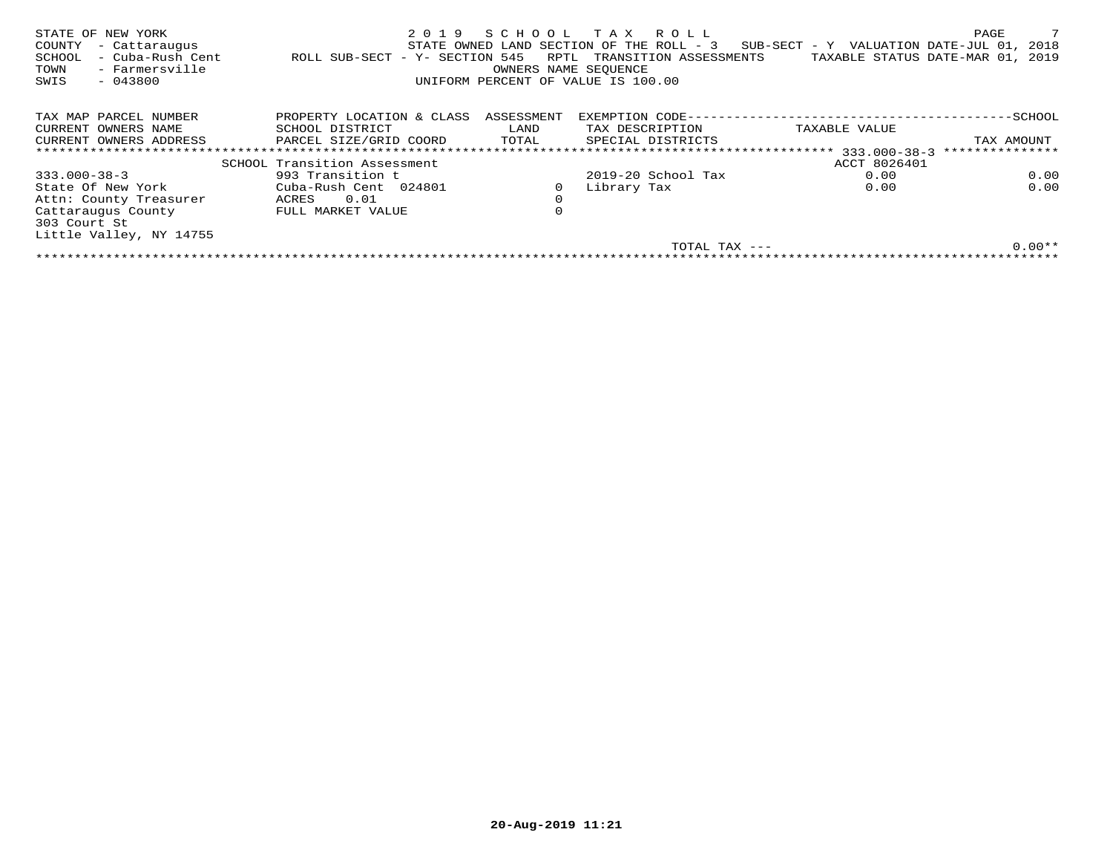| STATE OF NEW YORK<br>COUNTY<br>- Cattaraugus<br>- Cuba-Rush Cent<br>SCHOOL<br>- Farmersville<br>TOWN<br>$-043800$<br>SWIS | 2019<br>- Y- SECTION 545<br>ROLL SUB-SECT | RPTL<br>OWNERS NAME SEOUENCE | SCHOOL TAX ROLL<br>STATE OWNED LAND SECTION OF THE ROLL - 3<br>TRANSITION ASSESSMENTS<br>UNIFORM PERCENT OF VALUE IS 100.00 | $SUB-SECTION - Y$ VALUATION DATE-JUL 01,<br>TAXABLE STATUS DATE-MAR 01, 2019 | 7<br>PAGE<br>2018 |
|---------------------------------------------------------------------------------------------------------------------------|-------------------------------------------|------------------------------|-----------------------------------------------------------------------------------------------------------------------------|------------------------------------------------------------------------------|-------------------|
| TAX MAP PARCEL NUMBER                                                                                                     | PROPERTY LOCATION & CLASS                 | ASSESSMENT                   | EXEMPTION CODE---                                                                                                           |                                                                              | -SCHOOL           |
| CURRENT OWNERS NAME                                                                                                       | SCHOOL DISTRICT                           | LAND                         | TAX DESCRIPTION                                                                                                             | TAXABLE VALUE                                                                |                   |
| CURRENT OWNERS ADDRESS                                                                                                    | PARCEL SIZE/GRID COORD                    | TOTAL                        | SPECIAL DISTRICTS                                                                                                           |                                                                              | TAX AMOUNT        |
|                                                                                                                           |                                           |                              | * * * * * * * * * * * * * * * *                                                                                             | 333.000-38-3                                                                 | ***************   |
|                                                                                                                           | SCHOOL Transition Assessment              |                              |                                                                                                                             | ACCT 8026401                                                                 |                   |
| $333.000 - 38 - 3$                                                                                                        | 993 Transition t                          |                              | $2019-20$ School Tax                                                                                                        | 0.00                                                                         | 0.00              |
| State Of New York                                                                                                         | Cuba-Rush Cent 024801                     |                              | Library Tax                                                                                                                 | 0.00                                                                         | 0.00              |
| Attn: County Treasurer                                                                                                    | 0.01<br>ACRES                             | $\mathbf 0$                  |                                                                                                                             |                                                                              |                   |
| Cattaraugus County<br>303 Court St                                                                                        | FULL MARKET VALUE                         | $\mathbf 0$                  |                                                                                                                             |                                                                              |                   |
| Little Valley, NY 14755                                                                                                   |                                           |                              |                                                                                                                             |                                                                              |                   |
|                                                                                                                           |                                           |                              | TOTAL TAX ---                                                                                                               |                                                                              | $0.00**$          |
|                                                                                                                           |                                           |                              |                                                                                                                             |                                                                              |                   |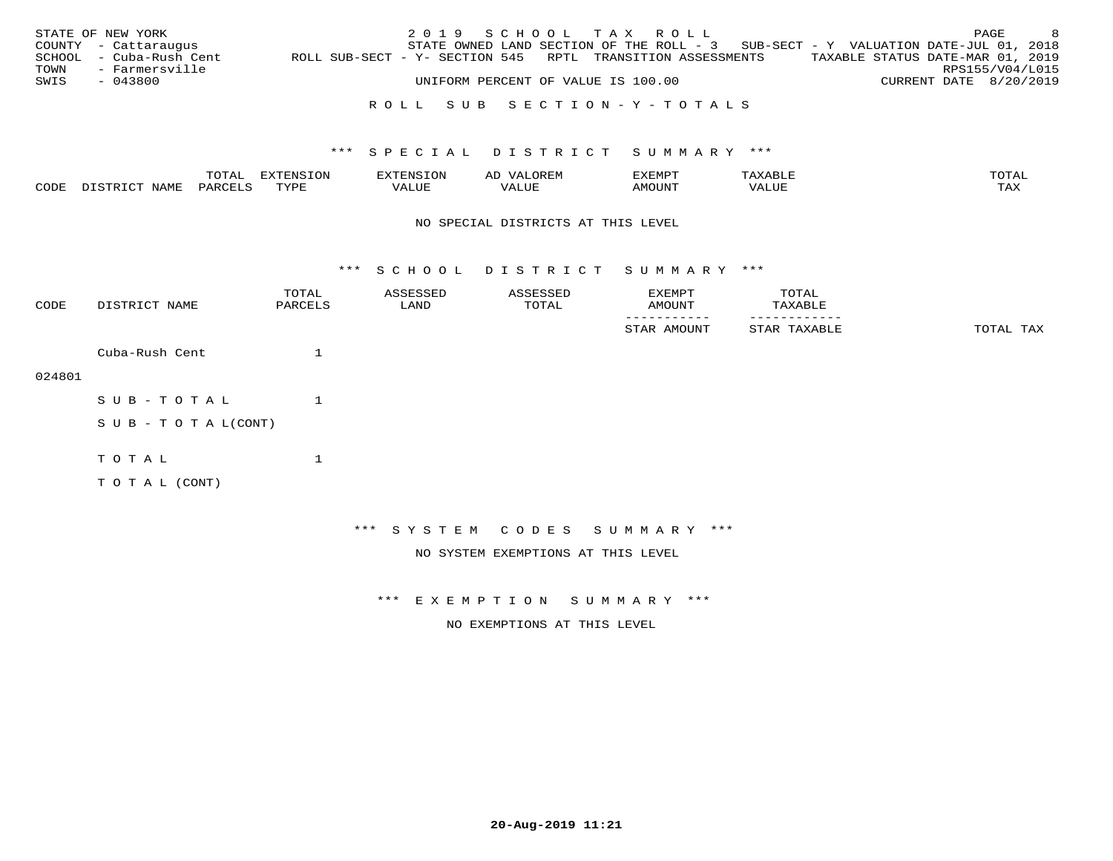|      | STATE OF NEW YORK       |                                                            | 2019 SCHOOL TAX ROLL               |  |  |                                                                                     |  |                                  | PAGE | - 8 |
|------|-------------------------|------------------------------------------------------------|------------------------------------|--|--|-------------------------------------------------------------------------------------|--|----------------------------------|------|-----|
|      | COUNTY - Cattaraugus    |                                                            |                                    |  |  | STATE OWNED LAND SECTION OF THE ROLL - $3$ SUB-SECT - Y VALUATION DATE-JUL 01, 2018 |  |                                  |      |     |
|      | SCHOOL - Cuba-Rush Cent | ROLL SUB-SECT - Y- SECTION 545 RPTL TRANSITION ASSESSMENTS |                                    |  |  |                                                                                     |  | TAXABLE STATUS DATE-MAR 01, 2019 |      |     |
| TOWN | - Farmersville          |                                                            |                                    |  |  |                                                                                     |  | RPS155/V04/L015                  |      |     |
| SWIS | - 043800                |                                                            | UNIFORM PERCENT OF VALUE IS 100.00 |  |  |                                                                                     |  | CURRENT DATE 8/20/2019           |      |     |
|      |                         |                                                            |                                    |  |  |                                                                                     |  |                                  |      |     |

### R O L L S U B S E C T I O N - Y - T O T A L S

#### \*\*\* S P E C I A L D I S T R I C T S U M M A R Y \*\*\*

|      |                        | $m \wedge m \wedge$<br>TA. | <b>FYTFNSTON</b> | <b>EXTENSION</b>           | ΑL  | EXEMPT |       | TOTAI |
|------|------------------------|----------------------------|------------------|----------------------------|-----|--------|-------|-------|
| CODE | ידי מידי פידר<br>NAME. | $\ldots$ DARCET $\sim$     | $\pi$<br>تد ہے۔  | T T T T T T T T T<br>'ALUL | LUF |        | VALUE | ᠂     |

#### NO SPECIAL DISTRICTS AT THIS LEVEL

\*\*\* S C H O O L D I S T R I C T S U M M A R Y \*\*\*

| CODE   | DISTRICT NAME              | TOTAL<br>PARCELS | ASSESSED<br>LAND | ASSESSED<br>TOTAL                  | EXEMPT<br>AMOUNT             | TOTAL<br>TAXABLE |           |
|--------|----------------------------|------------------|------------------|------------------------------------|------------------------------|------------------|-----------|
|        |                            |                  |                  |                                    | STAR AMOUNT                  | STAR TAXABLE     | TOTAL TAX |
|        | Cuba-Rush Cent             |                  |                  |                                    |                              |                  |           |
| 024801 |                            |                  |                  |                                    |                              |                  |           |
|        | SUB-TOTAL                  |                  |                  |                                    |                              |                  |           |
|        | S U B - T O T A $L$ (CONT) |                  |                  |                                    |                              |                  |           |
|        | TOTAL                      |                  |                  |                                    |                              |                  |           |
|        | TO TAL (CONT)              |                  |                  |                                    |                              |                  |           |
|        |                            |                  |                  |                                    |                              |                  |           |
|        |                            |                  |                  |                                    | *** SYSTEM CODES SUMMARY *** |                  |           |
|        |                            |                  |                  | NO SYSTEM EXEMPTIONS AT THIS LEVEL |                              |                  |           |

\*\*\* E X E M P T I O N S U M M A R Y \*\*\*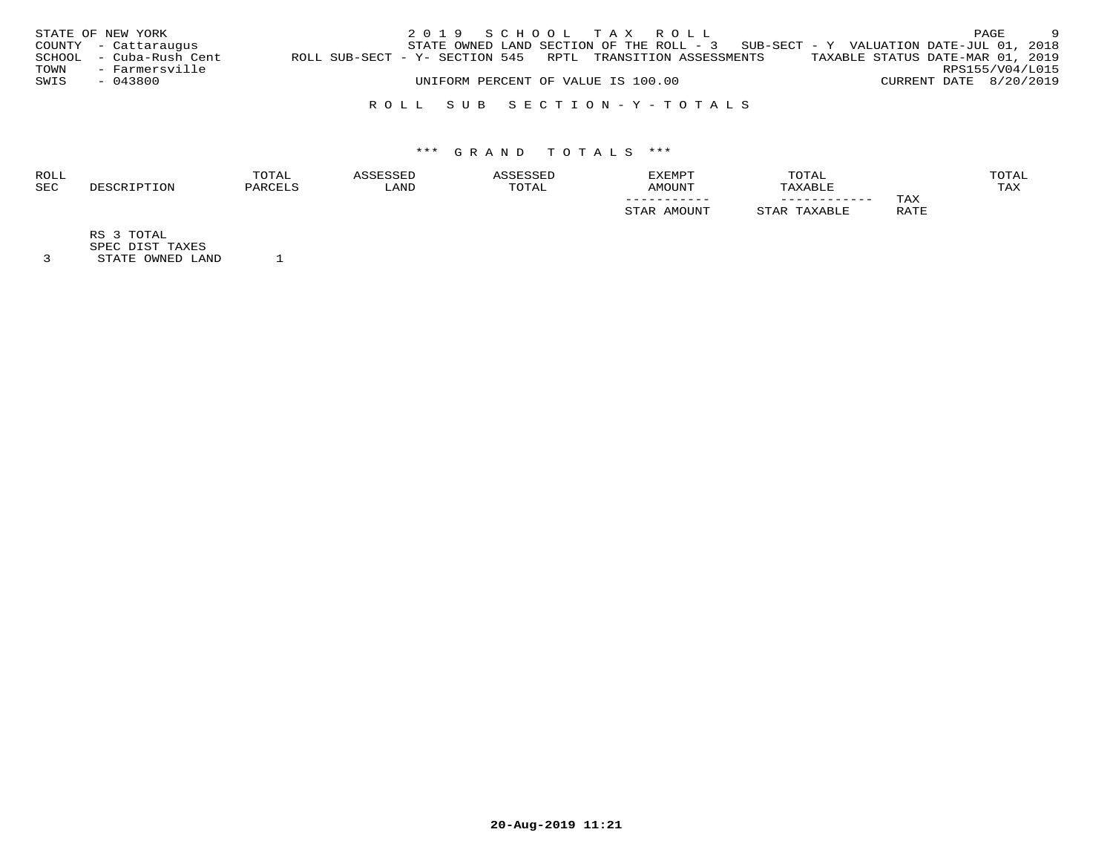|      | STATE OF NEW YORK       |                                                            |  |  | 2019 SCHOOL TAX ROLL               |  |                                                                                     |  |                                  | PAGE | - 9 |
|------|-------------------------|------------------------------------------------------------|--|--|------------------------------------|--|-------------------------------------------------------------------------------------|--|----------------------------------|------|-----|
|      | COUNTY - Cattaraugus    |                                                            |  |  |                                    |  | STATE OWNED LAND SECTION OF THE ROLL - $3$ SUB-SECT - Y VALUATION DATE-JUL 01, 2018 |  |                                  |      |     |
|      | SCHOOL - Cuba-Rush Cent | ROLL SUB-SECT - Y- SECTION 545 RPTL TRANSITION ASSESSMENTS |  |  |                                    |  |                                                                                     |  | TAXABLE STATUS DATE-MAR 01, 2019 |      |     |
| TOWN | - Farmersville          |                                                            |  |  |                                    |  |                                                                                     |  | RPS155/V04/L015                  |      |     |
| SWIS | $-043800$               |                                                            |  |  | UNIFORM PERCENT OF VALUE IS 100.00 |  |                                                                                     |  | CURRENT DATE 8/20/2019           |      |     |
|      |                         |                                                            |  |  |                                    |  |                                                                                     |  |                                  |      |     |

### R O L L S U B S E C T I O N - Y - T O T A L S

## \*\*\* G R A N D T O T A L S \*\*\*

| <b>ROLL</b> | TOTAL     |      |       | <b>EXEMPT</b> | TOTAL   |      | TOTAL |
|-------------|-----------|------|-------|---------------|---------|------|-------|
| <b>SEC</b>  | ז החים מר | LAND | TOTAL | AMOUNT        | TAXABLE |      | TAX   |
|             |           |      |       | -----------   |         | TAX  |       |
|             |           |      |       | A MACTENTE    |         | RATE |       |

RS 3 TOTAL

SPEC DIST TAXES

3 STATE OWNED LAND 1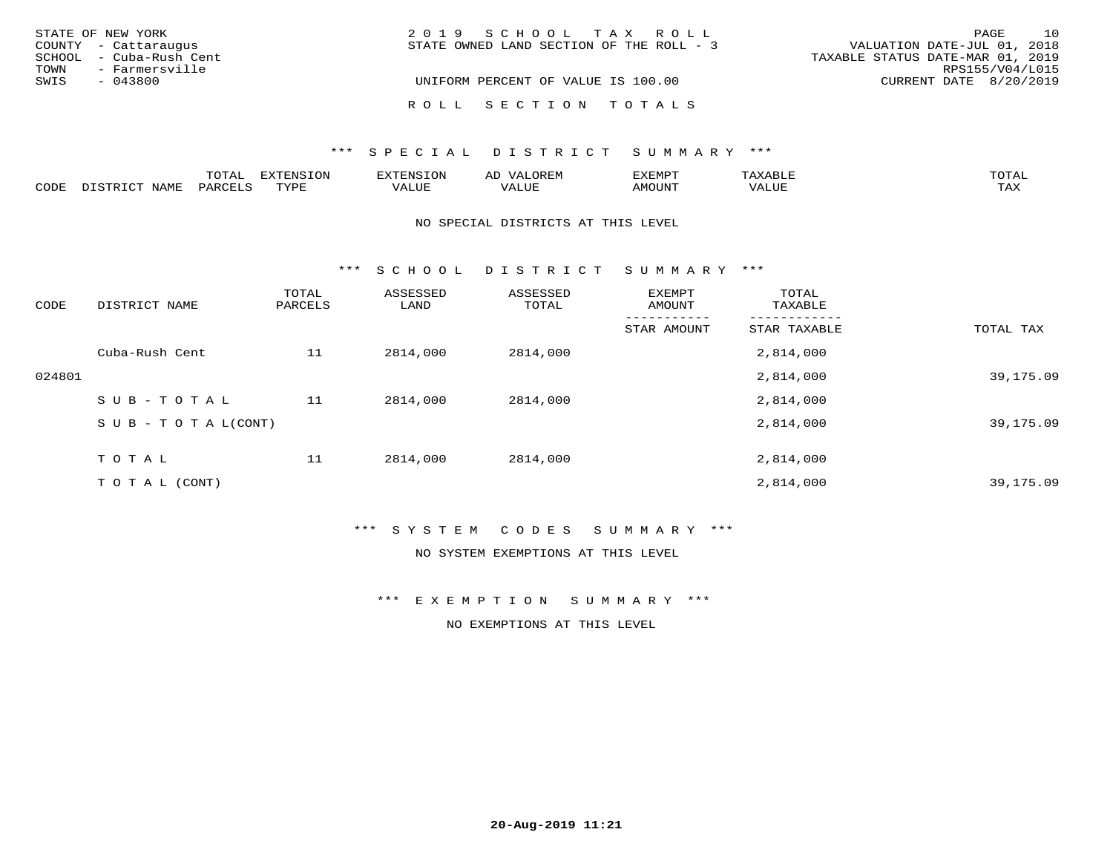| STATE OF NEW YORK       | 2019 SCHOOL TAX ROLL                     |                                  | PAGE            | 10 |
|-------------------------|------------------------------------------|----------------------------------|-----------------|----|
| COUNTY - Cattaraugus    | STATE OWNED LAND SECTION OF THE ROLL - 3 | VALUATION DATE-JUL 01, 2018      |                 |    |
| SCHOOL - Cuba-Rush Cent |                                          | TAXABLE STATUS DATE-MAR 01, 2019 |                 |    |
| TOWN<br>- Farmersville  |                                          |                                  | RPS155/V04/L015 |    |
| SWIS<br>$-043800$       | UNIFORM PERCENT OF VALUE IS 100.00       | CURRENT DATE 8/20/2019           |                 |    |
|                         | ROLL SECTION TOTALS                      |                                  |                 |    |

|      |              | $m \wedge m \wedge n$<br>UIAL |                  |       | ΑL  | EXEMPT |                         | ™∩ጥ⊼⊺               |
|------|--------------|-------------------------------|------------------|-------|-----|--------|-------------------------|---------------------|
| CODE | . . <i>.</i> |                               | <b>TVDL</b><br>. | VALUE | LUF | ™UNU^  | $T$ , $T$ , $T$<br>ALUE | $m \times r$<br>⊥⇔∆ |

#### NO SPECIAL DISTRICTS AT THIS LEVEL

\*\*\* S C H O O L D I S T R I C T S U M M A R Y \*\*\*

| CODE   | DISTRICT NAME                    | TOTAL<br>PARCELS | ASSESSED<br>LAND | ASSESSED<br>TOTAL | EXEMPT<br>AMOUNT | TOTAL<br>TAXABLE |           |
|--------|----------------------------------|------------------|------------------|-------------------|------------------|------------------|-----------|
|        |                                  |                  |                  |                   | STAR AMOUNT      | STAR TAXABLE     | TOTAL TAX |
|        | Cuba-Rush Cent                   | 11               | 2814,000         | 2814,000          |                  | 2,814,000        |           |
| 024801 |                                  |                  |                  |                   |                  | 2,814,000        | 39,175.09 |
|        | SUB-TOTAL                        | 11               | 2814,000         | 2814,000          |                  | 2,814,000        |           |
|        | $S \cup B - T \cup T A L (CONT)$ |                  |                  |                   |                  | 2,814,000        | 39,175.09 |
|        | TOTAL                            | 11               | 2814,000         | 2814,000          |                  | 2,814,000        |           |
|        | T O T A L (CONT)                 |                  |                  |                   |                  | 2,814,000        | 39,175.09 |

\*\*\* S Y S T E M C O D E S S U M M A R Y \*\*\*

NO SYSTEM EXEMPTIONS AT THIS LEVEL

\*\*\* E X E M P T I O N S U M M A R Y \*\*\*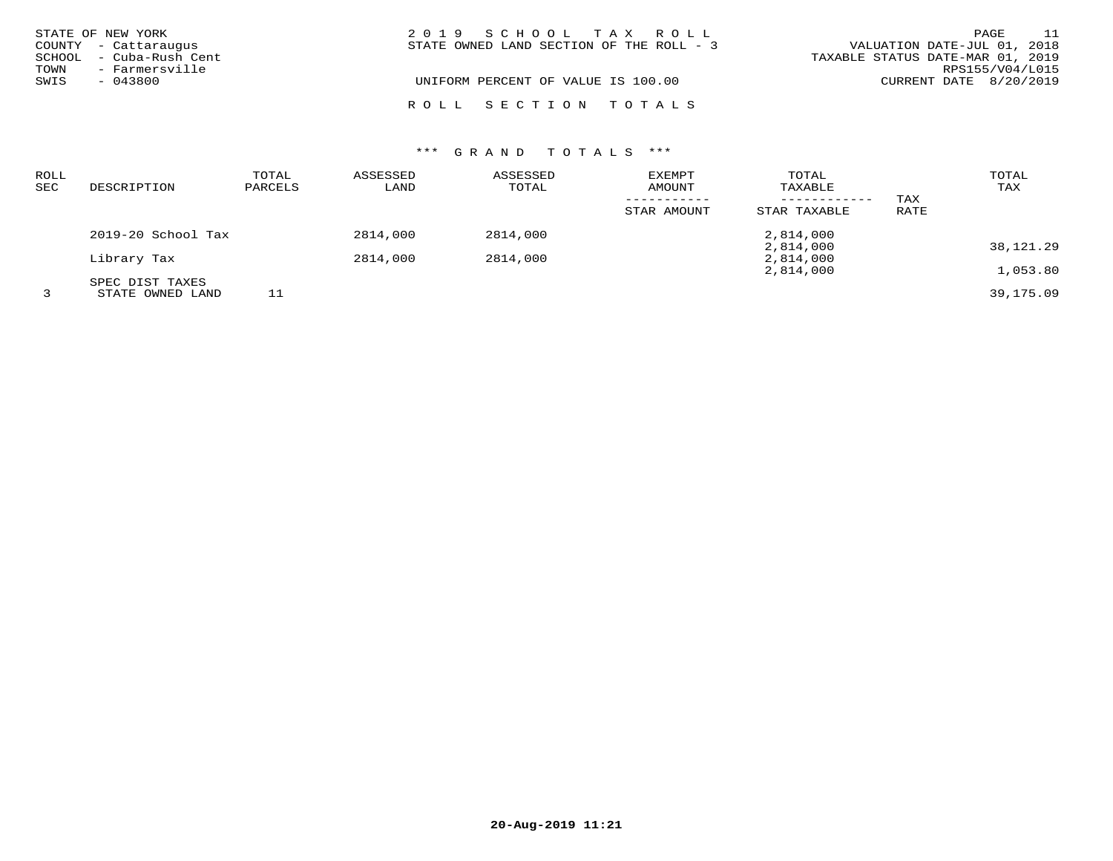| STATE OF NEW YORK |                         | 2019 SCHOOL TAX ROLL                                                    | PAGE            | 11 |
|-------------------|-------------------------|-------------------------------------------------------------------------|-----------------|----|
|                   | COUNTY - Cattaraugus    | VALUATION DATE-JUL 01, 2018<br>STATE OWNED LAND SECTION OF THE ROLL - 3 |                 |    |
|                   | SCHOOL - Cuba-Rush Cent | TAXABLE STATUS DATE-MAR 01, 2019                                        |                 |    |
| TOWN              | - Farmersville          |                                                                         | RPS155/V04/L015 |    |
| SWIS              | $-043800$               | UNIFORM PERCENT OF VALUE IS 100.00<br>CURRENT DATE 8/20/2019            |                 |    |
|                   |                         | ROLL SECTION TOTALS                                                     |                 |    |

| ROLL<br>SEC | DESCRIPTION                         | TOTAL<br>PARCELS | ASSESSED<br>LAND | ASSESSED<br>TOTAL | <b>EXEMPT</b><br>AMOUNT | TOTAL<br>TAXABLE             |             | TOTAL<br>TAX |
|-------------|-------------------------------------|------------------|------------------|-------------------|-------------------------|------------------------------|-------------|--------------|
|             |                                     |                  |                  |                   | STAR AMOUNT             | ------------<br>STAR TAXABLE | TAX<br>RATE |              |
|             | 2019-20 School Tax                  |                  | 2814,000         | 2814,000          |                         | 2,814,000                    |             |              |
|             | Library Tax                         |                  | 2814,000         | 2814,000          |                         | 2,814,000<br>2,814,000       |             | 38,121.29    |
|             |                                     |                  |                  |                   |                         | 2,814,000                    |             | 1,053.80     |
|             | SPEC DIST TAXES<br>STATE OWNED LAND |                  |                  |                   |                         |                              |             | 39, 175, 09  |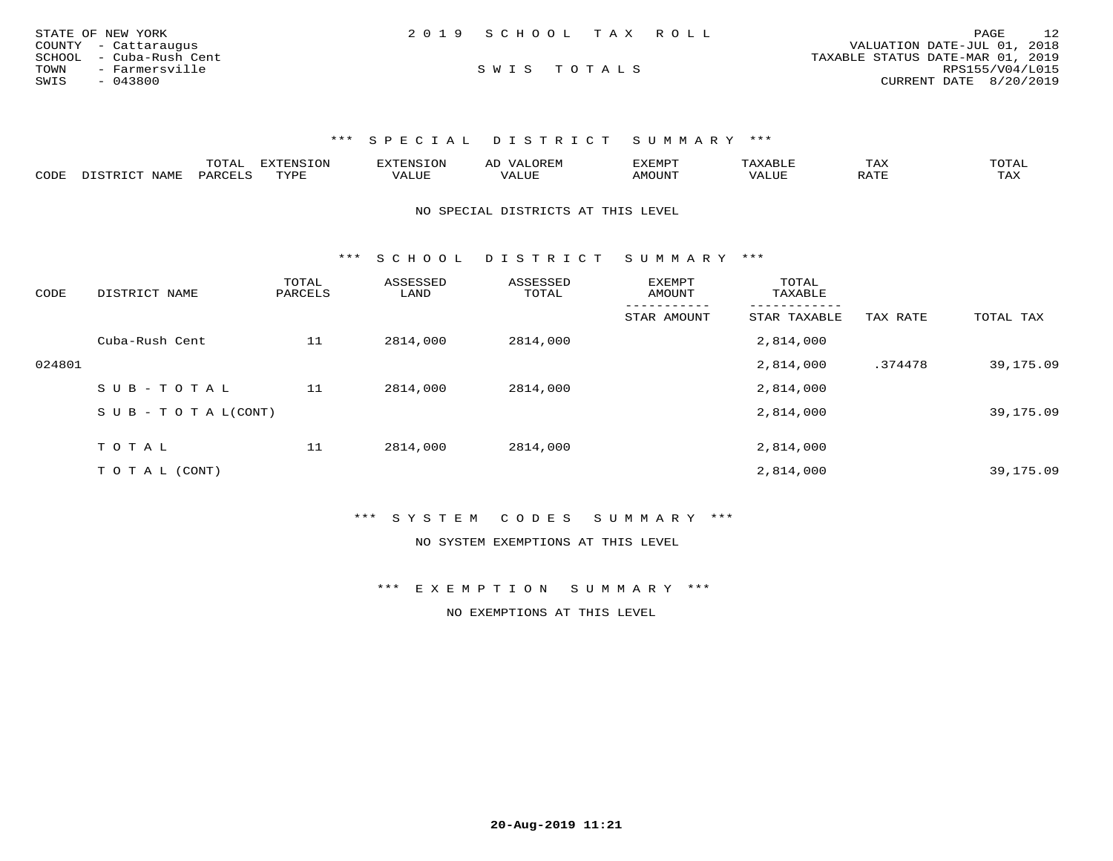| STATE OF NEW YORK       | 2019 SCHOOL TAX ROLL | 12<br>PAGE                       |
|-------------------------|----------------------|----------------------------------|
| COUNTY - Cattaraugus    |                      | VALUATION DATE-JUL 01, 2018      |
| SCHOOL - Cuba-Rush Cent |                      | TAXABLE STATUS DATE-MAR 01, 2019 |
| TOWN<br>- Farmersville  | SWIS TOTALS          | RPS155/V04/L015                  |
| SWIS<br>$-043800$       |                      | CURRENT DATE 8/20/2019           |

|      |       | m^m7<br>.UIAL | GNTC  | טאים י             | AL |      | $m \times r$<br>1 AZ | ⊓∧m ⊼ ⊤<br>$\cdot$ $\Delta$ |
|------|-------|---------------|-------|--------------------|----|------|----------------------|-----------------------------|
| CODE | 'VAME | <b>DAP</b>    | JVDD. | --- - ---<br>VALUL |    | אזחר |                      | may<br>1 A.A                |

NO SPECIAL DISTRICTS AT THIS LEVEL

\*\*\* S C H O O L D I S T R I C T S U M M A R Y \*\*\*

| CODE   | DISTRICT NAME              | TOTAL<br>PARCELS | ASSESSED<br>LAND | ASSESSED<br>TOTAL | <b>EXEMPT</b><br>AMOUNT | TOTAL<br>TAXABLE |          |           |
|--------|----------------------------|------------------|------------------|-------------------|-------------------------|------------------|----------|-----------|
|        |                            |                  |                  |                   | STAR AMOUNT             | STAR TAXABLE     | TAX RATE | TOTAL TAX |
|        | Cuba-Rush Cent             | 11               | 2814,000         | 2814,000          |                         | 2,814,000        |          |           |
| 024801 |                            |                  |                  |                   |                         | 2,814,000        | .374478  | 39,175.09 |
|        | SUB-TOTAL                  | 11               | 2814,000         | 2814,000          |                         | 2,814,000        |          |           |
|        | S U B - T O T A $L$ (CONT) |                  |                  |                   |                         | 2,814,000        |          | 39,175.09 |
|        | TOTAL                      |                  |                  |                   |                         |                  |          |           |
|        |                            | 11               | 2814,000         | 2814,000          |                         | 2,814,000        |          |           |
|        | T O T A L (CONT)           |                  |                  |                   |                         | 2,814,000        |          | 39,175.09 |

\*\*\* S Y S T E M C O D E S S U M M A R Y \*\*\*

NO SYSTEM EXEMPTIONS AT THIS LEVEL

\*\*\* E X E M P T I O N S U M M A R Y \*\*\*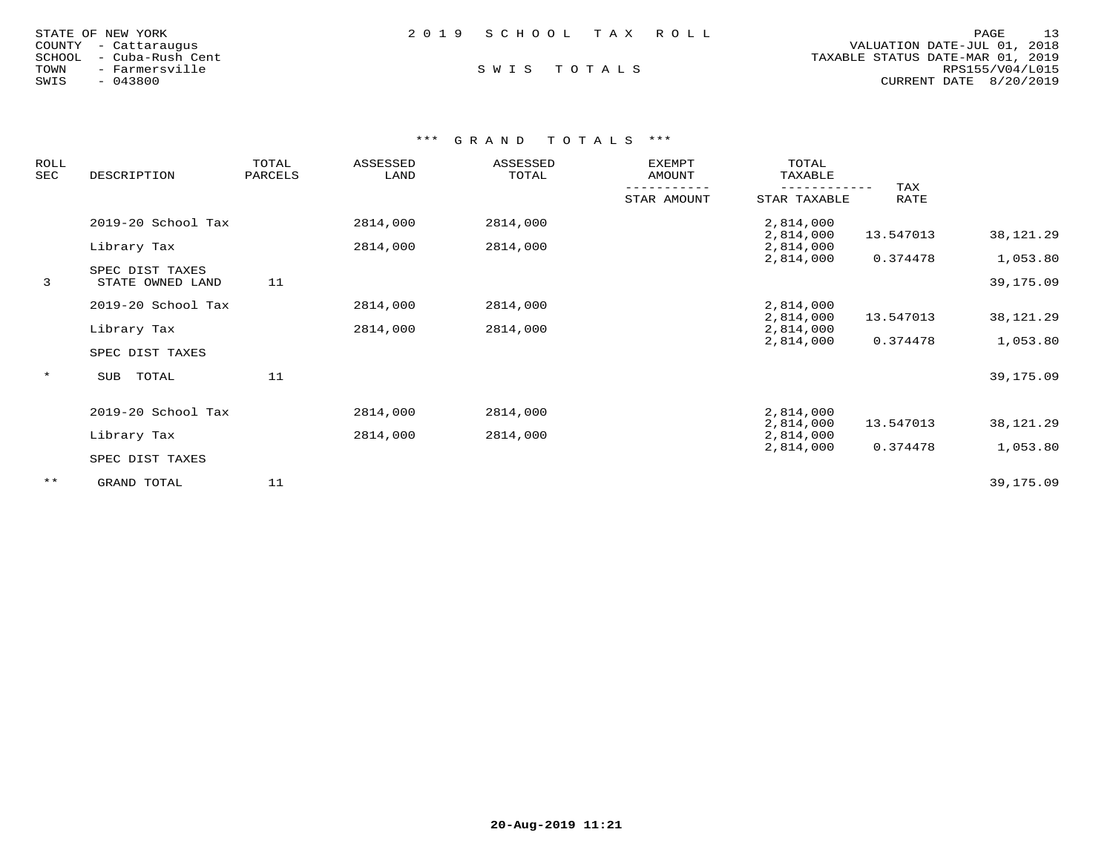| 2019 SCHOOL TAX ROLL<br>STATE OF NEW YORK                   | 13<br>PAGE             |
|-------------------------------------------------------------|------------------------|
| VALUATION DATE-JUL 01, 2018<br>COUNTY - Cattaraugus         |                        |
| TAXABLE STATUS DATE-MAR 01, 2019<br>SCHOOL - Cuba-Rush Cent |                        |
| SWIS TOTALS<br>TOWN<br>- Farmersville                       | RPS155/V04/L015        |
| SWIS<br>$-043800$                                           | CURRENT DATE 8/20/2019 |

| <b>ROLL</b><br>SEC | DESCRIPTION                         | TOTAL<br>PARCELS | ASSESSED<br>LAND | ASSESSED<br>TOTAL | <b>EXEMPT</b><br>AMOUNT | TOTAL<br>TAXABLE       |             |             |
|--------------------|-------------------------------------|------------------|------------------|-------------------|-------------------------|------------------------|-------------|-------------|
|                    |                                     |                  |                  |                   | STAR AMOUNT             | STAR TAXABLE           | TAX<br>RATE |             |
|                    | 2019-20 School Tax                  |                  | 2814,000         | 2814,000          |                         | 2,814,000<br>2,814,000 | 13.547013   | 38,121.29   |
|                    | Library Tax                         |                  | 2814,000         | 2814,000          |                         | 2,814,000<br>2,814,000 | 0.374478    | 1,053.80    |
| 3                  | SPEC DIST TAXES<br>STATE OWNED LAND | 11               |                  |                   |                         |                        |             | 39,175.09   |
|                    | 2019-20 School Tax                  |                  | 2814,000         | 2814,000          |                         | 2,814,000<br>2,814,000 | 13.547013   | 38, 121. 29 |
|                    | Library Tax                         |                  | 2814,000         | 2814,000          |                         | 2,814,000<br>2,814,000 | 0.374478    | 1,053.80    |
|                    | SPEC DIST TAXES                     |                  |                  |                   |                         |                        |             |             |
| $\star$            | TOTAL<br>SUB                        | 11               |                  |                   |                         |                        |             | 39,175.09   |
|                    | 2019-20 School Tax                  |                  | 2814,000         | 2814,000          |                         | 2,814,000              |             |             |
|                    | Library Tax                         |                  | 2814,000         | 2814,000          |                         | 2,814,000<br>2,814,000 | 13.547013   | 38,121.29   |
|                    | SPEC DIST TAXES                     |                  |                  |                   |                         | 2,814,000              | 0.374478    | 1,053.80    |
| $***$              | GRAND TOTAL                         | 11               |                  |                   |                         |                        |             | 39,175.09   |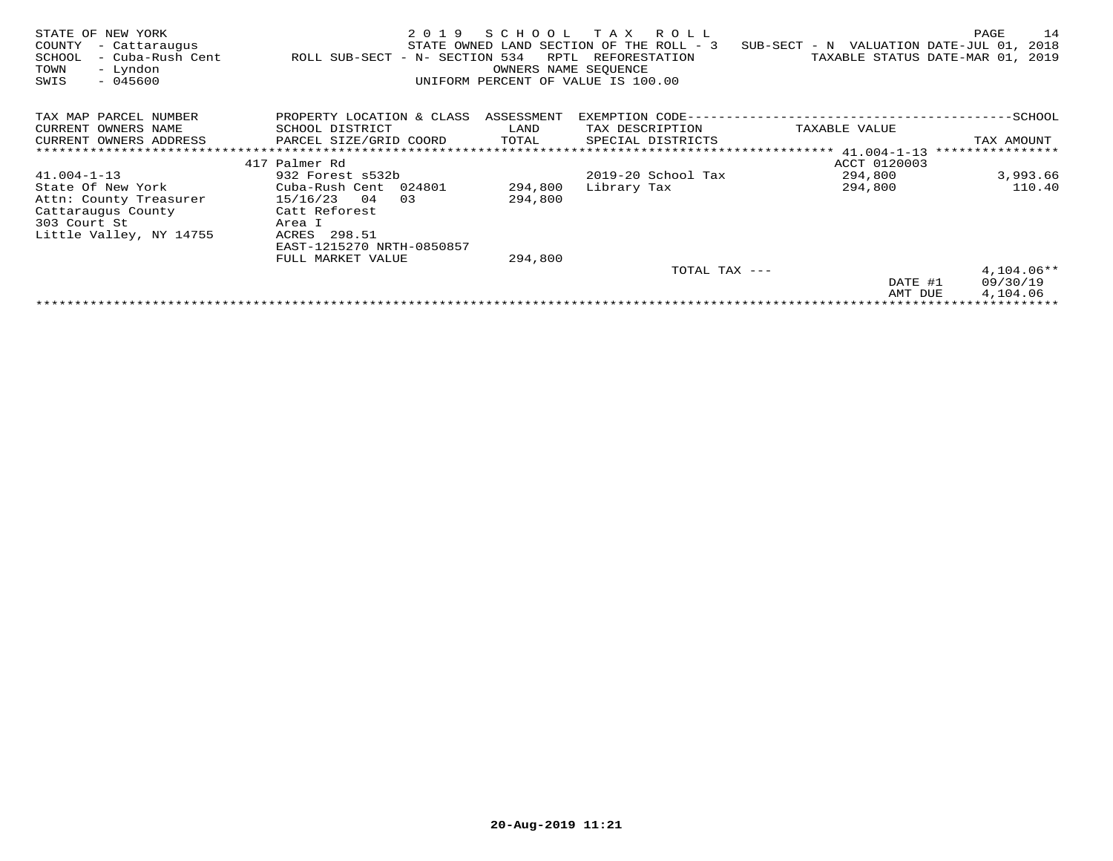| STATE OF NEW YORK<br>COUNTY<br>- Cattaraugus<br>SCHOOL<br>- Cuba-Rush Cent<br>- Lyndon<br>TOWN<br>SWIS<br>$-045600$ | 2 0 1 9<br>ROLL SUB-SECT - N- SECTION 534 | SCHOOL<br>RPTL<br>OWNERS NAME SEOUENCE | T A X<br>R O L L<br>STATE OWNED LAND SECTION OF THE ROLL - 3<br>REFORESTATION<br>UNIFORM PERCENT OF VALUE IS 100.00 | SUB-SECT - N VALUATION DATE-JUL 01,<br>TAXABLE STATUS DATE-MAR 01, | PAGE<br>14<br>2018<br>2019 |
|---------------------------------------------------------------------------------------------------------------------|-------------------------------------------|----------------------------------------|---------------------------------------------------------------------------------------------------------------------|--------------------------------------------------------------------|----------------------------|
| TAX MAP PARCEL NUMBER                                                                                               | PROPERTY LOCATION & CLASS                 | ASSESSMENT                             |                                                                                                                     |                                                                    |                            |
| CURRENT OWNERS NAME                                                                                                 | SCHOOL DISTRICT                           | LAND                                   | TAX DESCRIPTION                                                                                                     | TAXABLE VALUE                                                      |                            |
| CURRENT OWNERS ADDRESS                                                                                              | PARCEL SIZE/GRID COORD                    | TOTAL                                  | SPECIAL DISTRICTS                                                                                                   |                                                                    | TAX AMOUNT                 |
|                                                                                                                     |                                           |                                        |                                                                                                                     |                                                                    | ****************           |
|                                                                                                                     | 417 Palmer Rd                             |                                        |                                                                                                                     | ACCT 0120003                                                       |                            |
| $41.004 - 1 - 13$                                                                                                   | 932 Forest s532b                          |                                        | $2019-20$ School Tax                                                                                                | 294,800                                                            | 3,993.66                   |
| State Of New York                                                                                                   | Cuba-Rush Cent 024801                     | 294,800                                | Library Tax                                                                                                         | 294,800                                                            | 110.40                     |
| Attn: County Treasurer                                                                                              | 15/16/23<br>04<br>03                      | 294,800                                |                                                                                                                     |                                                                    |                            |
| Cattaraugus County                                                                                                  | Catt Reforest                             |                                        |                                                                                                                     |                                                                    |                            |
| 303 Court St                                                                                                        | Area I                                    |                                        |                                                                                                                     |                                                                    |                            |
| Little Valley, NY 14755                                                                                             | ACRES 298.51                              |                                        |                                                                                                                     |                                                                    |                            |
|                                                                                                                     | EAST-1215270 NRTH-0850857                 |                                        |                                                                                                                     |                                                                    |                            |
|                                                                                                                     | FULL MARKET VALUE                         | 294,800                                |                                                                                                                     |                                                                    |                            |
|                                                                                                                     |                                           |                                        | TOTAL TAX ---                                                                                                       |                                                                    | $4,104.06**$               |
|                                                                                                                     |                                           |                                        |                                                                                                                     | DATE #1                                                            | 09/30/19                   |
|                                                                                                                     |                                           |                                        |                                                                                                                     | AMT DUE                                                            | 4,104.06                   |
|                                                                                                                     |                                           |                                        |                                                                                                                     |                                                                    |                            |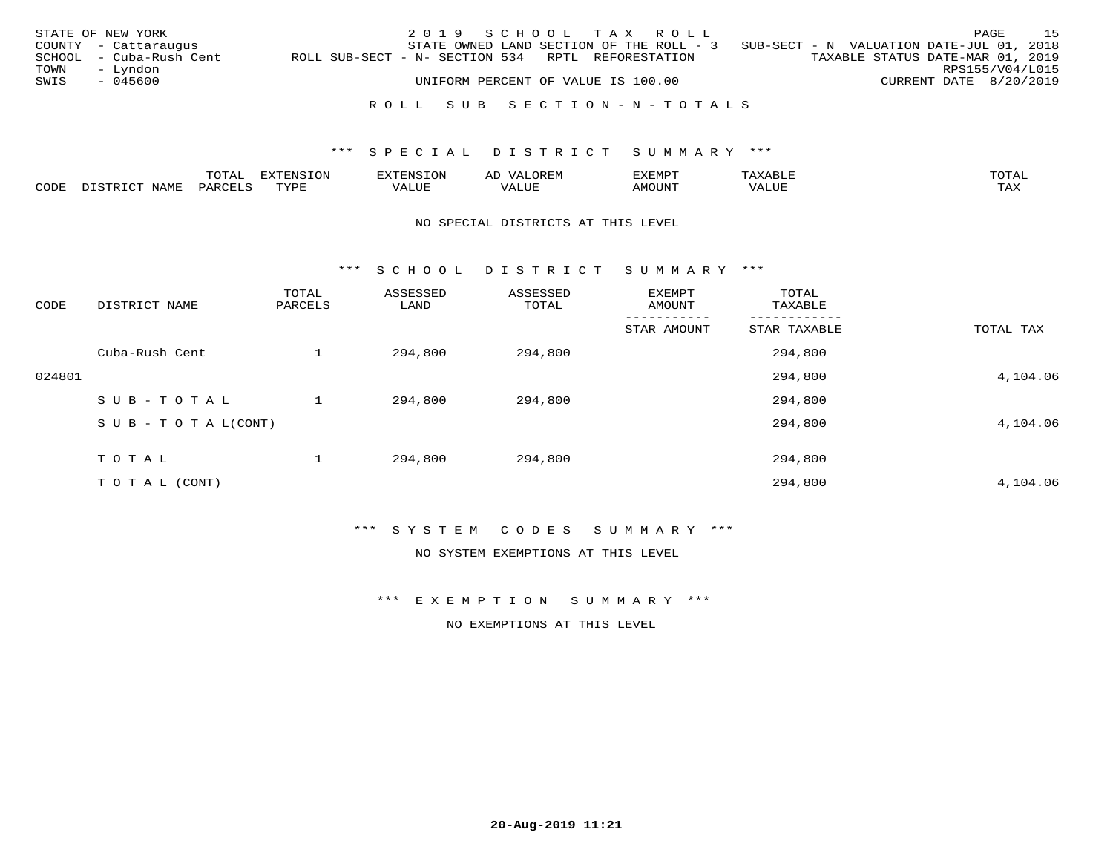|      | STATE OF NEW YORK       |                                                   | 2019 SCHOOL TAX ROLL                                                              |  |  |  |                                  | PAGE            | 15 |
|------|-------------------------|---------------------------------------------------|-----------------------------------------------------------------------------------|--|--|--|----------------------------------|-----------------|----|
|      | COUNTY - Cattaraugus    |                                                   | STATE OWNED LAND SECTION OF THE ROLL - 3 SUB-SECT - N VALUATION DATE-JUL 01, 2018 |  |  |  |                                  |                 |    |
|      | SCHOOL - Cuba-Rush Cent | ROLL SUB-SECT - N- SECTION 534 RPTL REFORESTATION |                                                                                   |  |  |  | TAXABLE STATUS DATE-MAR 01, 2019 |                 |    |
| TOWN | – Lyndon                |                                                   |                                                                                   |  |  |  |                                  | RPS155/V04/L015 |    |
| SWIS | - 045600                |                                                   | UNIFORM PERCENT OF VALUE IS 100.00                                                |  |  |  | CURRENT DATE 8/20/2019           |                 |    |
|      |                         |                                                   |                                                                                   |  |  |  |                                  |                 |    |
|      |                         |                                                   | ROLL SUB SECTION-N-TOTALS                                                         |  |  |  |                                  |                 |    |

|      |             | $m \wedge n$          |             | AL  | "YEMPT | $m \wedge m \wedge n$ |
|------|-------------|-----------------------|-------------|-----|--------|-----------------------|
| CODE | ـ ب<br>---- | $U \wedge D \wedge T$ | ′ △<br>JU P | TTT | JN     | $m \times r$          |

#### NO SPECIAL DISTRICTS AT THIS LEVEL

\*\*\* S C H O O L D I S T R I C T S U M M A R Y \*\*\*

| CODE   | DISTRICT NAME                    | TOTAL<br>PARCELS | ASSESSED<br>LAND | ASSESSED<br>TOTAL | EXEMPT<br>AMOUNT | TOTAL<br>TAXABLE |           |
|--------|----------------------------------|------------------|------------------|-------------------|------------------|------------------|-----------|
|        |                                  |                  |                  |                   | STAR AMOUNT      | STAR TAXABLE     | TOTAL TAX |
|        | Cuba-Rush Cent                   |                  | 294,800          | 294,800           |                  | 294,800          |           |
| 024801 |                                  |                  |                  |                   |                  | 294,800          | 4,104.06  |
|        | SUB-TOTAL                        |                  | 294,800          | 294,800           |                  | 294,800          |           |
|        | $S \cup B - T \cup T A L (CONT)$ |                  |                  |                   |                  | 294,800          | 4,104.06  |
|        | T O T A L                        |                  | 294,800          | 294,800           |                  | 294,800          |           |
|        | T O T A L (CONT)                 |                  |                  |                   |                  | 294,800          | 4,104.06  |

\*\*\* S Y S T E M C O D E S S U M M A R Y \*\*\*

NO SYSTEM EXEMPTIONS AT THIS LEVEL

\*\*\* E X E M P T I O N S U M M A R Y \*\*\*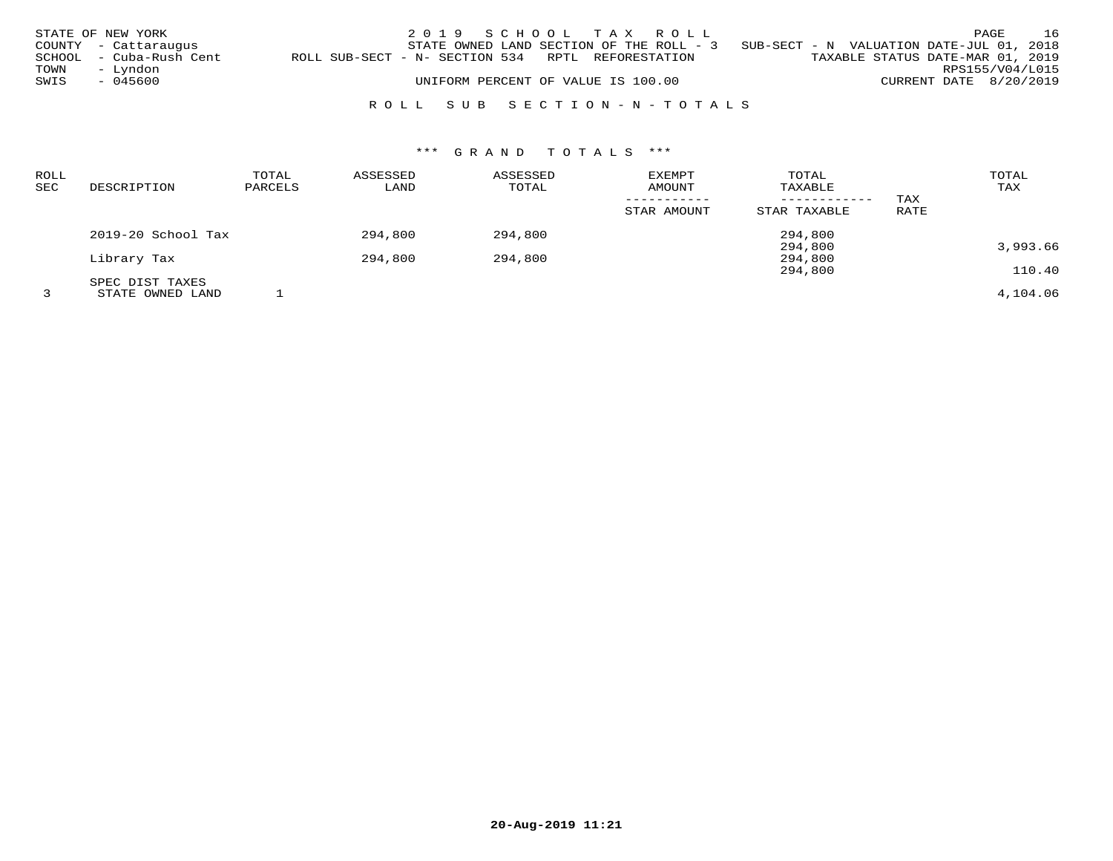| TOWN | STATE OF NEW YORK<br>COUNTY - Cattaraugus<br>SCHOOL - Cuba-Rush Cent<br>– Lyndon | ROLL SUB-SECT - N- SECTION 534 RPTL REFORESTATION | 2019 SCHOOL TAX ROLL               |  | STATE OWNED LAND SECTION OF THE ROLL - $3$ SUB-SECT - N VALUATION DATE-JUL 01, 2018 |  | TAXABLE STATUS DATE-MAR 01, 2019 |                        | PAGE<br>RPS155/V04/L015 | 16 |
|------|----------------------------------------------------------------------------------|---------------------------------------------------|------------------------------------|--|-------------------------------------------------------------------------------------|--|----------------------------------|------------------------|-------------------------|----|
| SWIS | - 045600                                                                         |                                                   | UNIFORM PERCENT OF VALUE IS 100.00 |  |                                                                                     |  |                                  | CURRENT DATE 8/20/2019 |                         |    |
|      |                                                                                  |                                                   |                                    |  | ROLL SUB SECTION-N-TOTALS                                                           |  |                                  |                        |                         |    |

| <b>ROLL</b><br>SEC | DESCRIPTION                         | TOTAL<br>PARCELS | ASSESSED<br>LAND | ASSESSED<br>TOTAL | <b>EXEMPT</b><br>AMOUNT<br>-----------<br>STAR AMOUNT | TOTAL<br>TAXABLE<br>STAR TAXABLE | TAX<br>RATE | TOTAL<br>TAX |
|--------------------|-------------------------------------|------------------|------------------|-------------------|-------------------------------------------------------|----------------------------------|-------------|--------------|
|                    | 2019-20 School Tax                  |                  | 294,800          | 294,800           |                                                       | 294,800                          |             |              |
|                    | Library Tax                         |                  | 294,800          | 294,800           |                                                       | 294,800<br>294,800               |             | 3,993.66     |
|                    |                                     |                  |                  |                   |                                                       | 294,800                          |             | 110.40       |
|                    | SPEC DIST TAXES<br>STATE OWNED LAND |                  |                  |                   |                                                       |                                  |             | 4,104.06     |

**20-Aug-2019 11:21**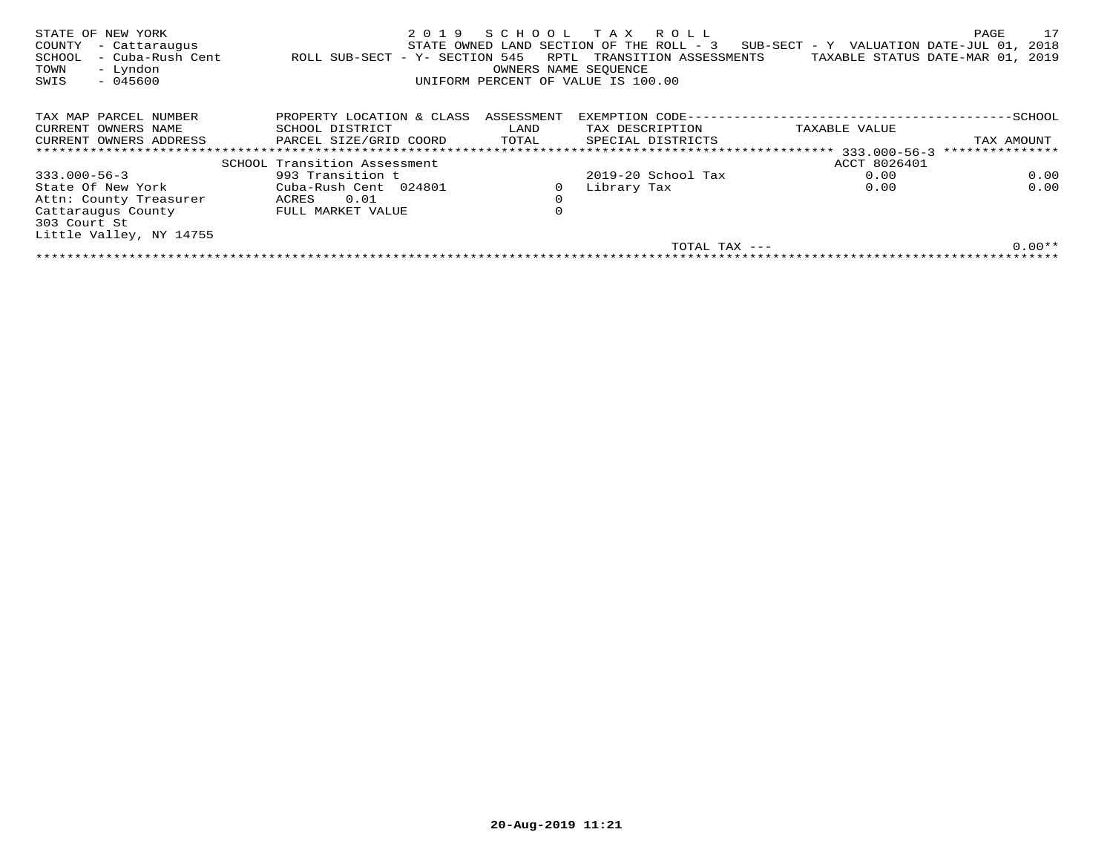| STATE OF NEW YORK<br>COUNTY<br>- Cattaraugus<br>- Cuba-Rush Cent<br>SCHOOL<br>- Lyndon<br>TOWN<br>$-045600$<br>SWIS | 2019<br>ROLL SUB-SECT - Y- SECTION 545 | RPTL<br>OWNERS NAME SEOUENCE | SCHOOL TAX ROLL<br>STATE OWNED LAND SECTION OF THE ROLL - 3<br>TRANSITION ASSESSMENTS<br>UNIFORM PERCENT OF VALUE IS 100.00 | $SUB-SECTION - Y$ VALUATION DATE-JUL 01,<br>TAXABLE STATUS DATE-MAR 01, | 17<br>PAGE<br>2018<br>2019 |
|---------------------------------------------------------------------------------------------------------------------|----------------------------------------|------------------------------|-----------------------------------------------------------------------------------------------------------------------------|-------------------------------------------------------------------------|----------------------------|
| TAX MAP PARCEL NUMBER                                                                                               | PROPERTY LOCATION & CLASS              | ASSESSMENT                   | EXEMPTION CODE--                                                                                                            |                                                                         | -SCHOOL                    |
| CURRENT OWNERS NAME                                                                                                 | SCHOOL DISTRICT                        | LAND                         | TAX DESCRIPTION                                                                                                             | TAXABLE VALUE                                                           |                            |
| CURRENT OWNERS ADDRESS                                                                                              | PARCEL SIZE/GRID COORD                 | TOTAL                        | SPECIAL DISTRICTS                                                                                                           |                                                                         | TAX AMOUNT                 |
|                                                                                                                     |                                        |                              |                                                                                                                             | $333.000 - 56 - 3$                                                      | ***************            |
|                                                                                                                     | SCHOOL Transition Assessment           |                              |                                                                                                                             | ACCT 8026401                                                            |                            |
| $333.000 - 56 - 3$                                                                                                  | 993 Transition t                       |                              | $2019-20$ School Tax                                                                                                        | 0.00                                                                    | 0.00                       |
| State Of New York                                                                                                   | Cuba-Rush Cent 024801                  |                              | Library Tax                                                                                                                 | 0.00                                                                    | 0.00                       |
| Attn: County Treasurer                                                                                              | 0.01<br>ACRES                          | $\mathbf 0$                  |                                                                                                                             |                                                                         |                            |
| Cattaraugus County<br>303 Court St                                                                                  | FULL MARKET VALUE                      | $\mathbf 0$                  |                                                                                                                             |                                                                         |                            |
| Little Valley, NY 14755                                                                                             |                                        |                              |                                                                                                                             |                                                                         |                            |
|                                                                                                                     |                                        |                              | TOTAL TAX ---                                                                                                               |                                                                         | $0.00**$                   |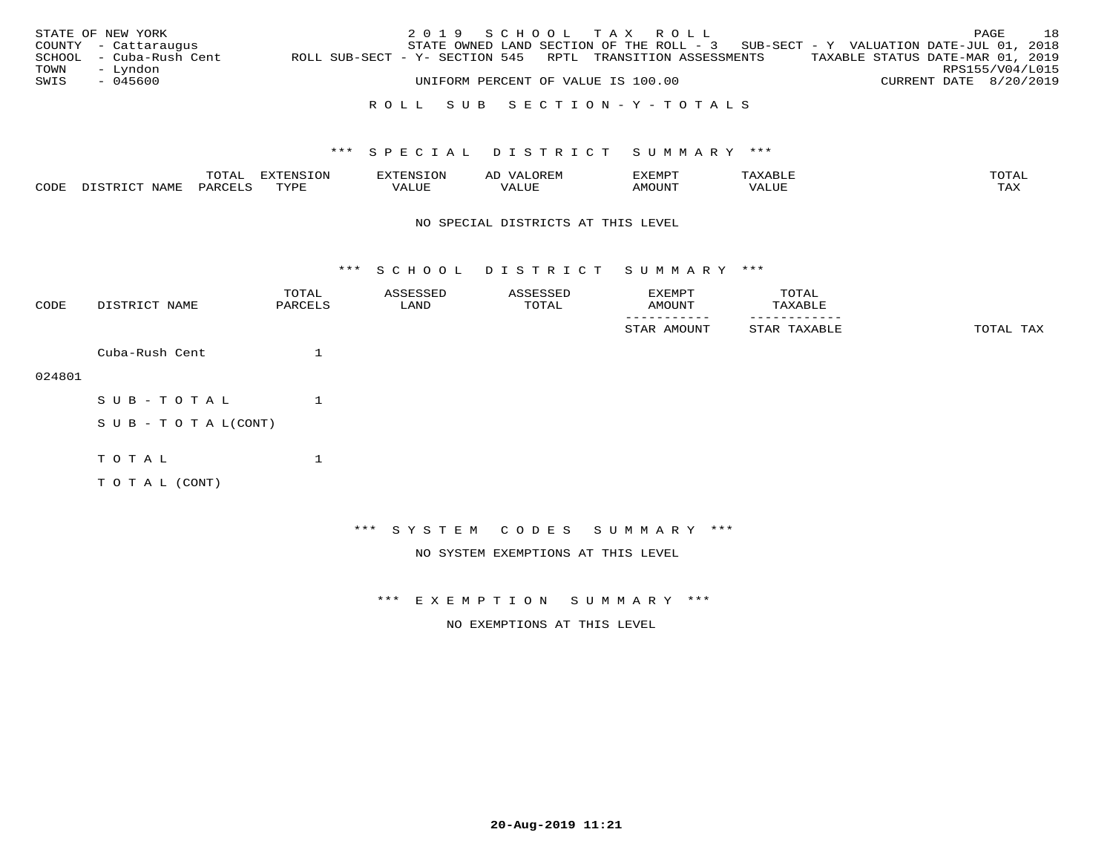|      | STATE OF NEW YORK       |                                                            | 2019 SCHOOL TAX ROLL                                                              |                                    |  |  |                                  | PAGE | 18 |
|------|-------------------------|------------------------------------------------------------|-----------------------------------------------------------------------------------|------------------------------------|--|--|----------------------------------|------|----|
|      | COUNTY - Cattaraugus    |                                                            | STATE OWNED LAND SECTION OF THE ROLL - 3 SUB-SECT - Y VALUATION DATE-JUL 01, 2018 |                                    |  |  |                                  |      |    |
|      | SCHOOL - Cuba-Rush Cent | ROLL SUB-SECT - Y- SECTION 545 RPTL TRANSITION ASSESSMENTS |                                                                                   |                                    |  |  | TAXABLE STATUS DATE-MAR 01, 2019 |      |    |
| TOWN | – Lyndon                |                                                            |                                                                                   |                                    |  |  | RPS155/V04/L015                  |      |    |
| SWIS | - 045600                |                                                            |                                                                                   | UNIFORM PERCENT OF VALUE IS 100.00 |  |  | CURRENT DATE 8/20/2019           |      |    |
|      |                         |                                                            |                                                                                   |                                    |  |  |                                  |      |    |

### R O L L S U B S E C T I O N - Y - T O T A L S

#### \*\*\* S P E C I A L D I S T R I C T S U M M A R Y \*\*\*

|      |                    | $m \wedge m \wedge$ |   | Al    | EXEMPT       |                                          | TOTAT             |
|------|--------------------|---------------------|---|-------|--------------|------------------------------------------|-------------------|
| CODE | $\tau \sim$<br>. ب |                     | . | - --- | <b>10TTN</b> | $\tau$ remove<br>$^{\prime}$ $\Lambda$ . | $m \times r$<br>. |

#### NO SPECIAL DISTRICTS AT THIS LEVEL

\*\*\* S C H O O L D I S T R I C T S U M M A R Y \*\*\*

| CODE   | DISTRICT NAME              | TOTAL<br>PARCELS | ASSESSED<br>LAND | ASSESSED<br>TOTAL                  | EXEMPT<br>AMOUNT             | TOTAL<br>TAXABLE |           |
|--------|----------------------------|------------------|------------------|------------------------------------|------------------------------|------------------|-----------|
|        |                            |                  |                  |                                    | STAR AMOUNT                  | STAR TAXABLE     | TOTAL TAX |
|        | Cuba-Rush Cent             | 1                |                  |                                    |                              |                  |           |
| 024801 |                            |                  |                  |                                    |                              |                  |           |
|        | SUB-TOTAL                  | 1                |                  |                                    |                              |                  |           |
|        | S U B - T O T A $L$ (CONT) |                  |                  |                                    |                              |                  |           |
|        | TOTAL                      | $\mathbf 1$      |                  |                                    |                              |                  |           |
|        | TO TAL (CONT)              |                  |                  |                                    |                              |                  |           |
|        |                            |                  |                  |                                    |                              |                  |           |
|        |                            |                  |                  |                                    | *** SYSTEM CODES SUMMARY *** |                  |           |
|        |                            |                  |                  | NO SYSTEM EXEMPTIONS AT THIS LEVEL |                              |                  |           |

\*\*\* E X E M P T I O N S U M M A R Y \*\*\*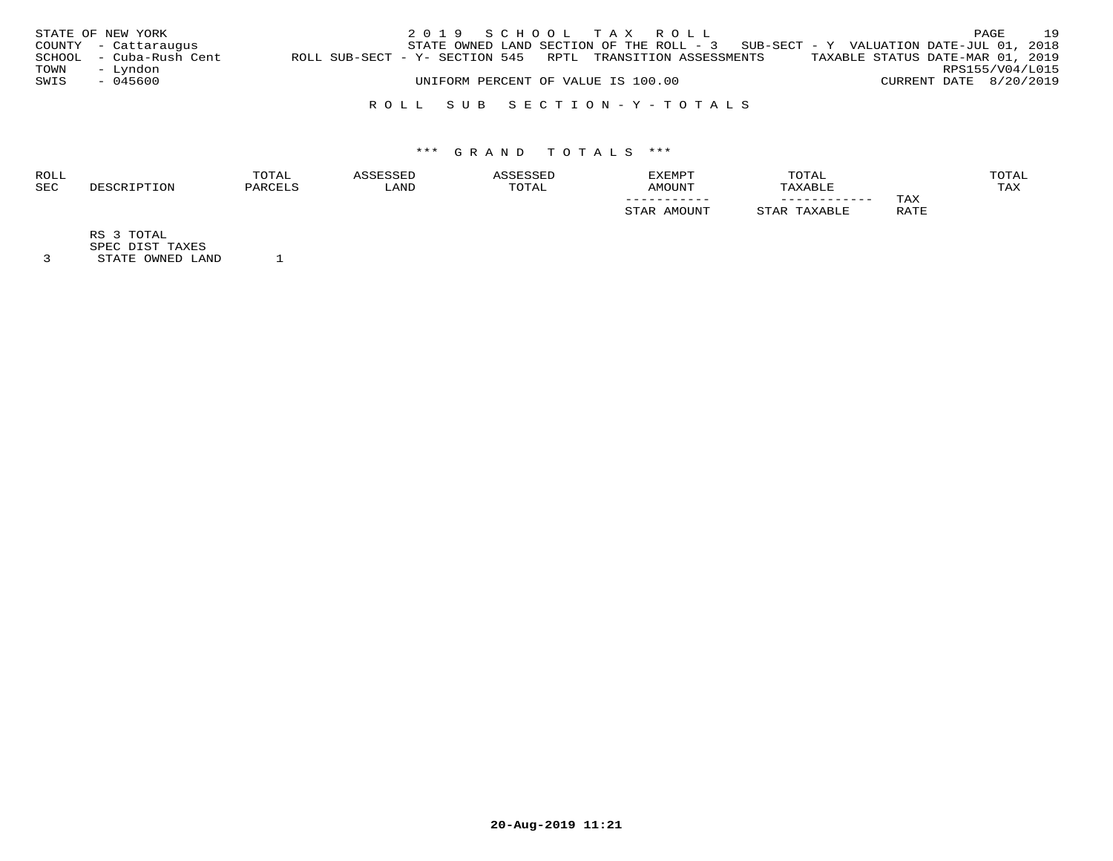|      | STATE OF NEW YORK       |                                                            | 2019 SCHOOL TAX ROLL               |  |  |                                                                                     |                        | PAGE | 19 |
|------|-------------------------|------------------------------------------------------------|------------------------------------|--|--|-------------------------------------------------------------------------------------|------------------------|------|----|
|      | COUNTY - Cattaraugus    |                                                            |                                    |  |  | STATE OWNED LAND SECTION OF THE ROLL - $3$ SUB-SECT - Y VALUATION DATE-JUL 01, 2018 |                        |      |    |
|      | SCHOOL - Cuba-Rush Cent | ROLL SUB-SECT - Y- SECTION 545 RPTL TRANSITION ASSESSMENTS |                                    |  |  | TAXABLE STATUS DATE-MAR 01, 2019                                                    |                        |      |    |
| TOWN | - Lyndon                |                                                            |                                    |  |  |                                                                                     | RPS155/V04/L015        |      |    |
| SWIS | - 045600                |                                                            | UNIFORM PERCENT OF VALUE IS 100.00 |  |  |                                                                                     | CURRENT DATE 8/20/2019 |      |    |
|      |                         |                                                            |                                    |  |  |                                                                                     |                        |      |    |

### R O L L S U B S E C T I O N - Y - T O T A L S

## \*\*\* G R A N D T O T A L S \*\*\*

| <b>ROLL</b> | TOTAL    |       |             | <b>EXEMPT</b>     | TOTAL        |             | <b>OTAL</b> |
|-------------|----------|-------|-------------|-------------------|--------------|-------------|-------------|
| <b>SEC</b>  | יהור חיי | 'JAND | <b>OTAL</b> | LINIOMA           | XABLE        |             | TAX         |
|             |          |       |             | ___________       | ____________ | TAX         |             |
|             |          |       |             | $M$ $\cap$ TTNTTT |              | RATE<br>ᅭᅭᅭ |             |

RS 3 TOTAL

SPEC DIST TAXES

3 STATE OWNED LAND 1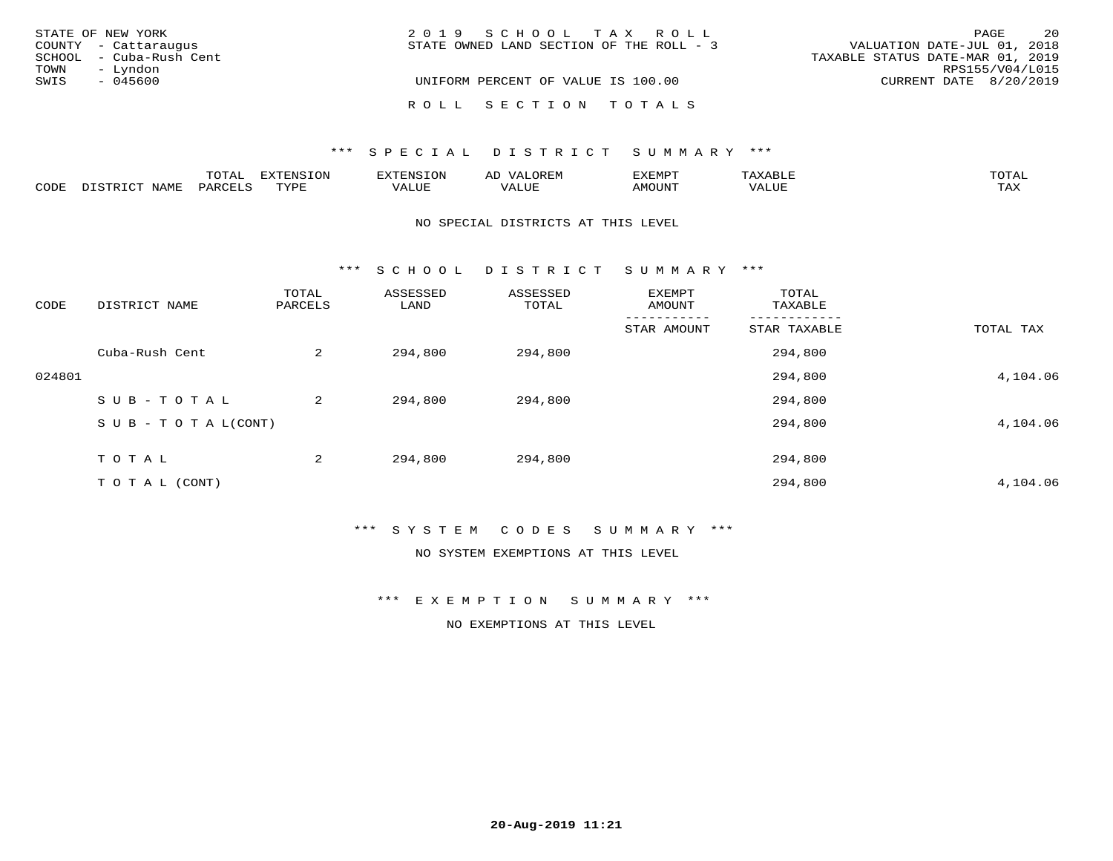| STATE OF NEW YORK       | 2019 SCHOOL TAX ROLL                     | 2.0<br>PAGE                      |
|-------------------------|------------------------------------------|----------------------------------|
| COUNTY - Cattaraugus    | STATE OWNED LAND SECTION OF THE ROLL - 3 | VALUATION DATE-JUL 01, 2018      |
| SCHOOL - Cuba-Rush Cent |                                          | TAXABLE STATUS DATE-MAR 01, 2019 |
| - Lyndon<br>TOWN        |                                          | RPS155/V04/L015                  |
| SWIS<br>- 045600        | UNIFORM PERCENT OF VALUE IS 100.00       | CURRENT DATE 8/20/2019           |
|                         | ROLL SECTION TOTALS                      |                                  |

#### \*\*\* SPECIAL DISTRICT SUMMARY \*\*\*

|      |                      | m^m3   | --------           | .OP | ΑL           | EXEMPT             |                                      | <b>TOTAT</b>        |
|------|----------------------|--------|--------------------|-----|--------------|--------------------|--------------------------------------|---------------------|
| CODE | $T \cap T$<br>- 9 TP | UARCET | $\pi$<br>- - - - - |     | T T T<br>പ∪⊧ | ראנזר <sup>.</sup> | 77<br>$\tau$ $\tau \tau \tau$<br>コリア | $m \times r$<br>⊥⇔∆ |

#### NO SPECIAL DISTRICTS AT THIS LEVEL

\*\*\* S C H O O L D I S T R I C T S U M M A R Y \*\*\*

| CODE   | DISTRICT NAME                    | TOTAL<br>PARCELS | ASSESSED<br>LAND | ASSESSED<br>TOTAL | EXEMPT<br>AMOUNT | TOTAL<br>TAXABLE |           |
|--------|----------------------------------|------------------|------------------|-------------------|------------------|------------------|-----------|
|        |                                  |                  |                  |                   | STAR AMOUNT      | STAR TAXABLE     | TOTAL TAX |
|        | Cuba-Rush Cent                   | 2                | 294,800          | 294,800           |                  | 294,800          |           |
| 024801 |                                  |                  |                  |                   |                  | 294,800          | 4,104.06  |
|        | SUB-TOTAL                        | 2                | 294,800          | 294,800           |                  | 294,800          |           |
|        | $S \cup B - T \cup T A L (CONT)$ |                  |                  |                   |                  | 294,800          | 4,104.06  |
|        | TOTAL                            | 2                | 294,800          | 294,800           |                  | 294,800          |           |
|        | T O T A L (CONT)                 |                  |                  |                   |                  | 294,800          | 4,104.06  |

\*\*\* S Y S T E M C O D E S S U M M A R Y \*\*\*

NO SYSTEM EXEMPTIONS AT THIS LEVEL

\*\*\* E X E M P T I O N S U M M A R Y \*\*\*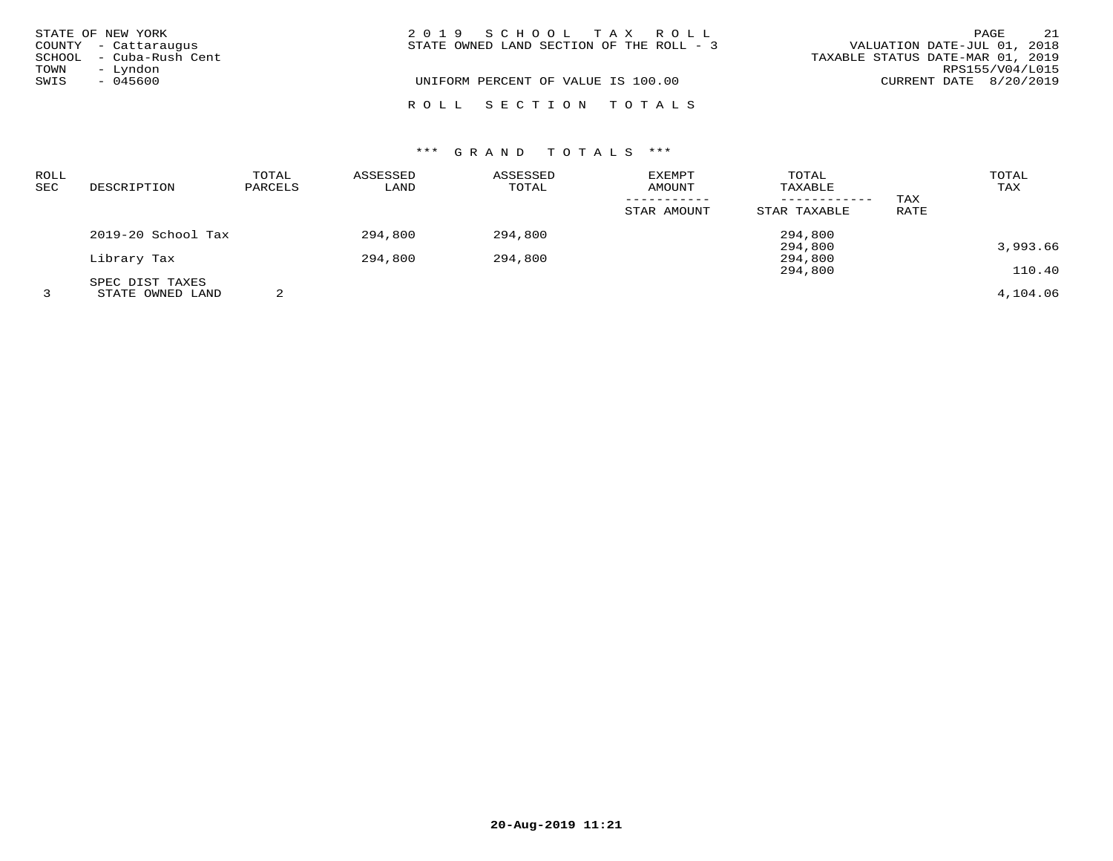|              | STATE OF NEW YORK<br>COUNTY - Cattaraugus       | 2019 SCHOOL TAX ROLL<br>VALUATION DATE-JUL 01, 2018<br>STATE OWNED LAND SECTION OF THE ROLL - 3 | PAGE                   | 21              |
|--------------|-------------------------------------------------|-------------------------------------------------------------------------------------------------|------------------------|-----------------|
| TOWN<br>SWIS | SCHOOL - Cuba-Rush Cent<br>- Lyndon<br>- 045600 | TAXABLE STATUS DATE-MAR 01, 2019<br>UNIFORM PERCENT OF VALUE IS 100.00                          | CURRENT DATE 8/20/2019 | RPS155/V04/L015 |
|              |                                                 | ROLL SECTION TOTALS                                                                             |                        |                 |

## \*\*\* G R A N D T O T A L S \*\*\*

| ROLL<br>SEC | DESCRIPTION        | TOTAL<br>PARCELS | ASSESSED<br>LAND | ASSESSED<br>TOTAL | <b>EXEMPT</b><br>AMOUNT | TOTAL<br>TAXABLE | TAX  | TOTAL<br>TAX |
|-------------|--------------------|------------------|------------------|-------------------|-------------------------|------------------|------|--------------|
|             |                    |                  |                  |                   | STAR AMOUNT             | STAR TAXABLE     | RATE |              |
|             | 2019-20 School Tax |                  | 294,800          | 294,800           |                         | 294,800          |      |              |
|             |                    |                  |                  |                   |                         | 294,800          |      | 3,993.66     |
|             | Library Tax        |                  | 294,800          | 294,800           |                         | 294,800          |      |              |
|             |                    |                  |                  |                   |                         | 294,800          |      | 110.40       |
|             | SPEC DIST TAXES    |                  |                  |                   |                         |                  |      |              |
|             | STATE OWNED LAND   |                  |                  |                   |                         |                  |      | 4,104.06     |

**20-Aug-2019 11:21**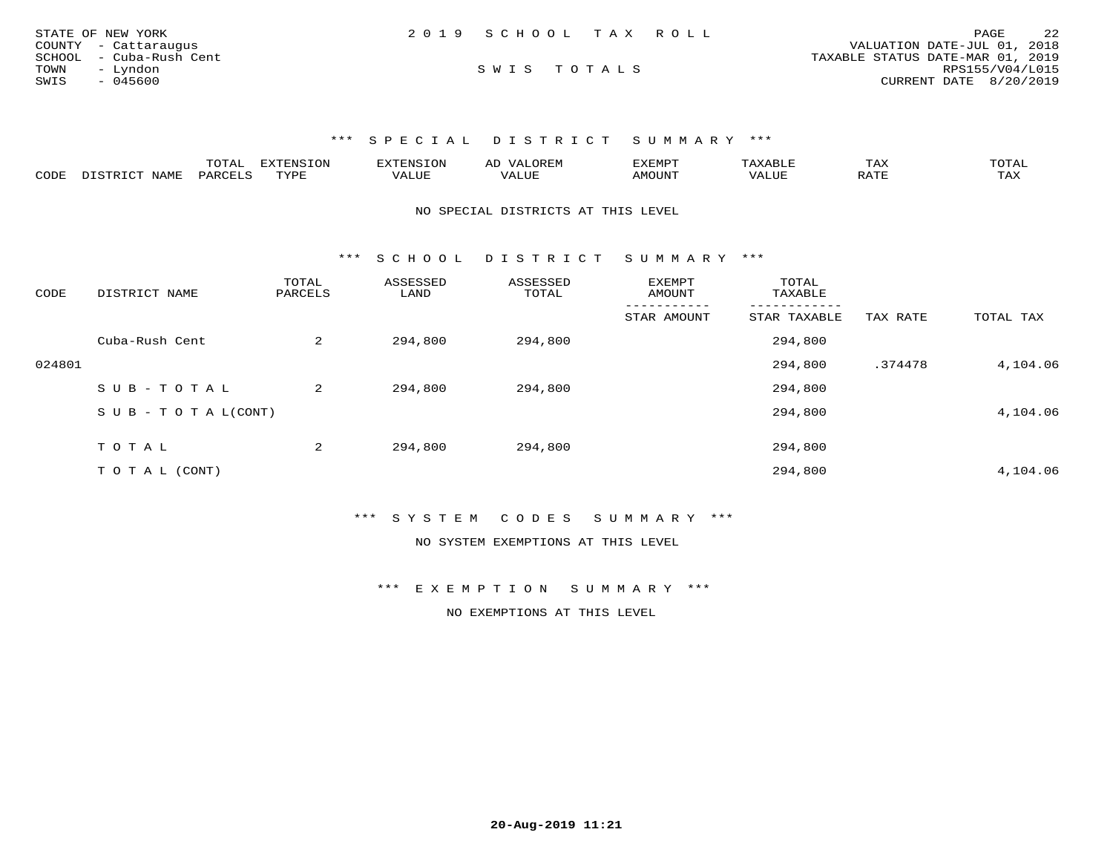| STATE OF NEW YORK       | 2019 SCHOOL TAX ROLL | 2.2<br>PAGE                      |
|-------------------------|----------------------|----------------------------------|
| COUNTY - Cattaraugus    |                      | VALUATION DATE-JUL 01, 2018      |
| SCHOOL - Cuba-Rush Cent |                      | TAXABLE STATUS DATE-MAR 01, 2019 |
| TOWN<br>- Lyndon        | SWIS TOTALS          | RPS155/V04/L015                  |
| SWIS<br>- 045600        |                      | CURRENT DATE 8/20/2019           |

\*\*\* S P E C I A L D I S T R I C T S U M M A R Y \*\*\*

|      |                                             | $  -$ | N I S   |  | ∸∽∸ | $\sim$ $\sim$ $\sim$ $\sim$<br>$\Delta$ |
|------|---------------------------------------------|-------|---------|--|-----|-----------------------------------------|
| CODE | $M$ $\leftrightarrow$ $N$ $\leftrightarrow$ | ∵⊾ ⊿  | $V_{A}$ |  |     | $m \times r$<br>⊥ ⊶∧                    |

NO SPECIAL DISTRICTS AT THIS LEVEL

\*\*\* S C H O O L D I S T R I C T S U M M A R Y \*\*\*

| CODE   | DISTRICT NAME                    | TOTAL<br>PARCELS | ASSESSED<br>LAND | ASSESSED<br>TOTAL | <b>EXEMPT</b><br>AMOUNT | TOTAL<br>TAXABLE |          |           |
|--------|----------------------------------|------------------|------------------|-------------------|-------------------------|------------------|----------|-----------|
|        |                                  |                  |                  |                   | STAR AMOUNT             | STAR TAXABLE     | TAX RATE | TOTAL TAX |
|        | Cuba-Rush Cent                   | 2                | 294,800          | 294,800           |                         | 294,800          |          |           |
| 024801 |                                  |                  |                  |                   |                         | 294,800          | .374478  | 4,104.06  |
|        | SUB-TOTAL                        | 2                | 294,800          | 294,800           |                         | 294,800          |          |           |
|        | $S \cup B - T \cup T A L (CONT)$ |                  |                  |                   |                         | 294,800          |          | 4,104.06  |
|        |                                  |                  |                  |                   |                         |                  |          |           |
|        | TOTAL                            | 2                | 294,800          | 294,800           |                         | 294,800          |          |           |
|        | T O T A L (CONT)                 |                  |                  |                   |                         | 294,800          |          | 4,104.06  |

\*\*\* S Y S T E M C O D E S S U M M A R Y \*\*\*

NO SYSTEM EXEMPTIONS AT THIS LEVEL

\*\*\* E X E M P T I O N S U M M A R Y \*\*\*

NO EXEMPTIONS AT THIS LEVEL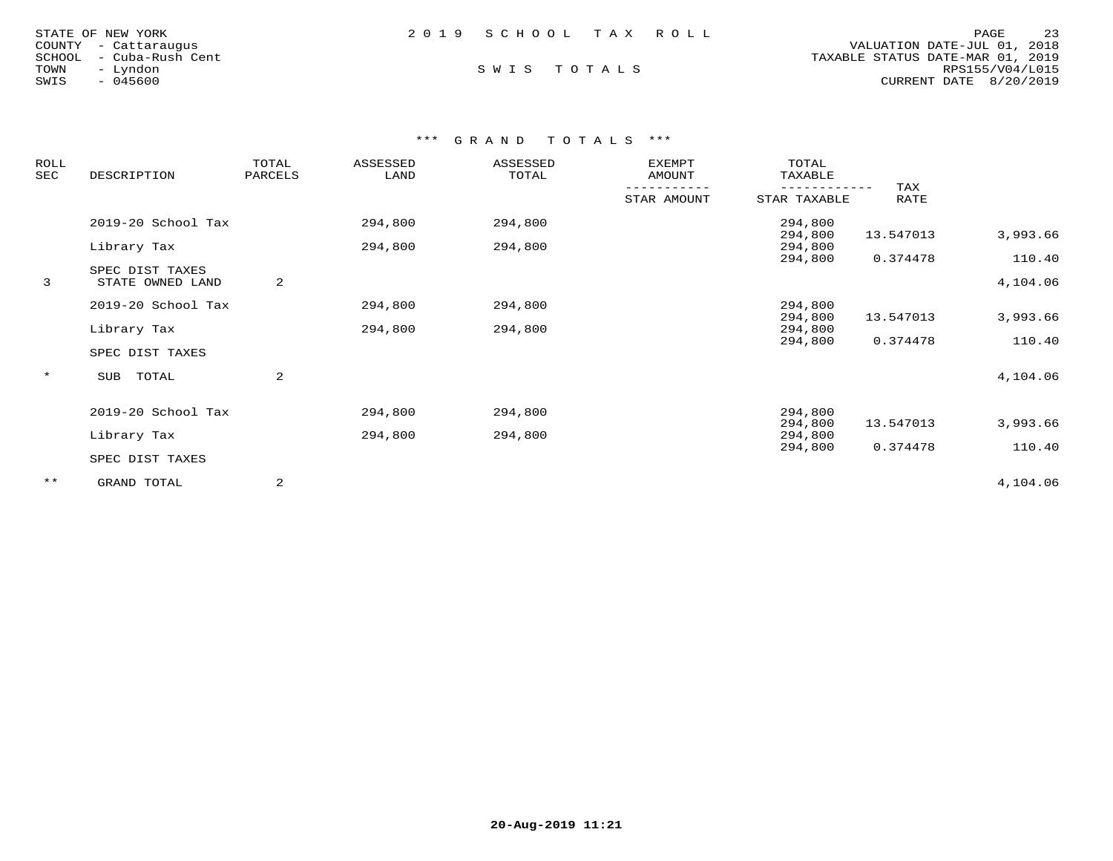| STATE OF NEW YORK       | 2019 SCHOOL TAX ROLL |  | PAGE                             | 23              |
|-------------------------|----------------------|--|----------------------------------|-----------------|
| COUNTY - Cattaraugus    |                      |  | VALUATION DATE-JUL 01, 2018      |                 |
| SCHOOL - Cuba-Rush Cent |                      |  | TAXABLE STATUS DATE-MAR 01, 2019 |                 |
| TOWN<br>– Lyndon        | SWIS TOTALS          |  |                                  | RPS155/V04/L015 |
| - 045600<br>SWIS        |                      |  | CURRENT DATE 8/20/2019           |                 |
|                         |                      |  |                                  |                 |

## \*\*\* G R A N D T O T A L S \*\*\*

| ROLL<br>SEC | DESCRIPTION        |   |         |         | TOTAL<br>PARCELS | ASSESSED<br>LAND   | ASSESSED<br>TOTAL | <b>EXEMPT</b><br>AMOUNT | TOTAL<br>TAXABLE |  |  |
|-------------|--------------------|---|---------|---------|------------------|--------------------|-------------------|-------------------------|------------------|--|--|
|             |                    |   |         |         | STAR AMOUNT      | STAR TAXABLE       | TAX<br>RATE       |                         |                  |  |  |
|             | 2019-20 School Tax |   | 294,800 | 294,800 |                  | 294,800            |                   |                         |                  |  |  |
|             | Library Tax        |   | 294,800 | 294,800 |                  | 294,800<br>294,800 | 13.547013         | 3,993.66                |                  |  |  |
|             | SPEC DIST TAXES    |   |         |         |                  | 294,800            | 0.374478          | 110.40                  |                  |  |  |
| 3           | STATE OWNED LAND   | 2 |         |         |                  |                    |                   | 4,104.06                |                  |  |  |
|             | 2019-20 School Tax |   | 294,800 | 294,800 |                  | 294,800            |                   |                         |                  |  |  |
|             | Library Tax        |   | 294,800 | 294,800 |                  | 294,800<br>294,800 | 13.547013         | 3,993.66                |                  |  |  |
|             | SPEC DIST TAXES    |   |         |         |                  | 294,800            | 0.374478          | 110.40                  |                  |  |  |
| $\star$     |                    |   |         |         |                  |                    |                   |                         |                  |  |  |
|             | SUB<br>TOTAL       | 2 |         |         |                  |                    |                   | 4,104.06                |                  |  |  |
|             | 2019-20 School Tax |   | 294,800 | 294,800 |                  | 294,800            |                   |                         |                  |  |  |
|             | Library Tax        |   | 294,800 | 294,800 |                  | 294,800<br>294,800 | 13.547013         | 3,993.66                |                  |  |  |
|             |                    |   |         |         |                  | 294,800            | 0.374478          | 110.40                  |                  |  |  |
|             | SPEC DIST TAXES    |   |         |         |                  |                    |                   |                         |                  |  |  |
| $***$       | GRAND TOTAL        | 2 |         |         |                  |                    |                   | 4,104.06                |                  |  |  |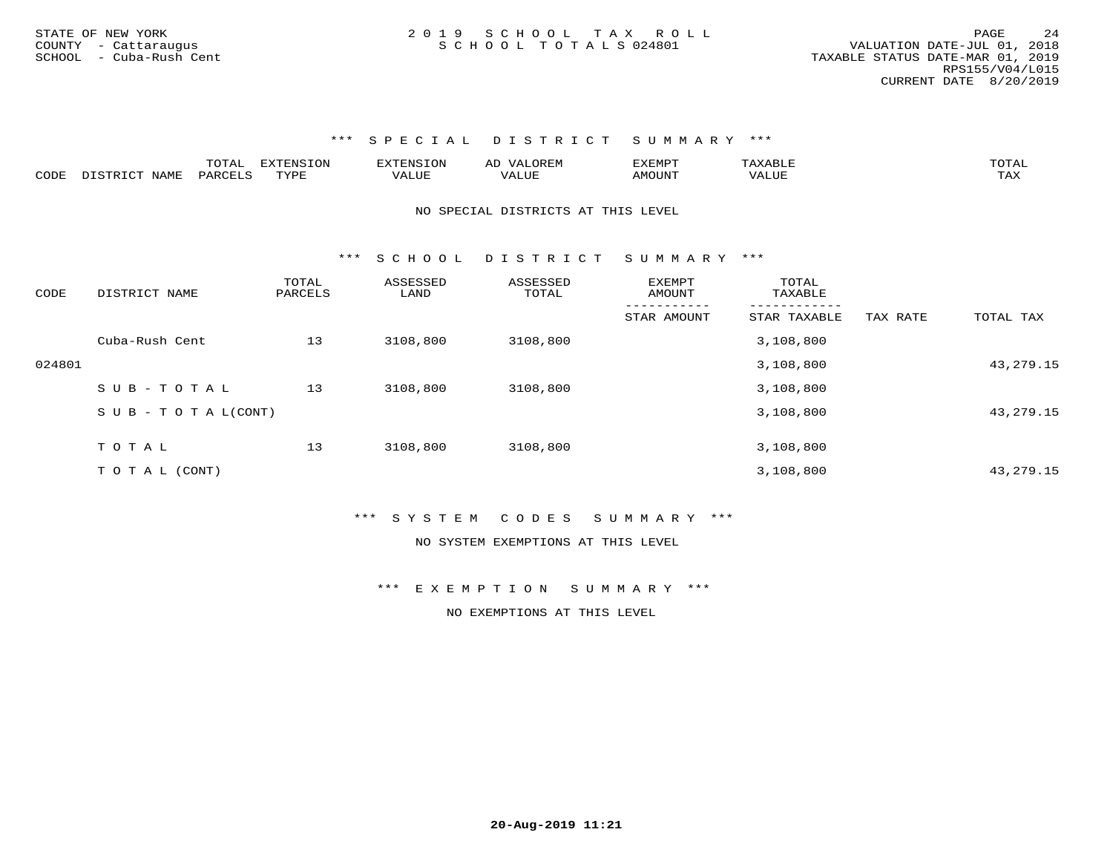\*\*\* S P E C I A L D I S T R I C T S U M M A R Y \*\*\*

|                                      |                      | $m \wedge r$<br>. | ---<br>$T$ $\cap$ | $T^{\sim}$ | ີ<br>ᅭ     | 17557<br>+. IVI ⊢ |                         |
|--------------------------------------|----------------------|-------------------|-------------------|------------|------------|-------------------|-------------------------|
| $\sim$ $\sim$ $\sim$ $\sim$<br>ື່ດ⊓⊾ | $H$ $A$ $M$ $\ldots$ | ⊃R∆D              | ັບ ⊬              | 'ALUE      | <b>TTT</b> | √ N∵              | $m \times r$<br>+ + + + |

NO SPECIAL DISTRICTS AT THIS LEVEL

\*\*\* S C H O O L D I S T R I C T S U M M A R Y \*\*\*

| CODE   | DISTRICT NAME                    | TOTAL<br>PARCELS | ASSESSED<br>LAND | ASSESSED<br>TOTAL | <b>EXEMPT</b><br>AMOUNT | TOTAL<br>TAXABLE |          |             |
|--------|----------------------------------|------------------|------------------|-------------------|-------------------------|------------------|----------|-------------|
|        |                                  |                  |                  |                   | STAR AMOUNT             | STAR TAXABLE     | TAX RATE | TOTAL TAX   |
|        | Cuba-Rush Cent                   | 13               | 3108,800         | 3108,800          |                         | 3,108,800        |          |             |
| 024801 |                                  |                  |                  |                   |                         | 3,108,800        |          | 43, 279. 15 |
|        | SUB-TOTAL                        | 13               | 3108,800         | 3108,800          |                         | 3,108,800        |          |             |
|        | $S \cup B - T \cup T A L (CONT)$ |                  |                  |                   |                         | 3,108,800        |          | 43, 279. 15 |
|        |                                  |                  |                  |                   |                         |                  |          |             |
|        | TOTAL                            | 13               | 3108,800         | 3108,800          |                         | 3,108,800        |          |             |
|        | T O T A L (CONT)                 |                  |                  |                   |                         | 3,108,800        |          | 43, 279. 15 |

\*\*\* S Y S T E M C O D E S S U M M A R Y \*\*\*

NO SYSTEM EXEMPTIONS AT THIS LEVEL

\*\*\* E X E M P T I O N S U M M A R Y \*\*\*

NO EXEMPTIONS AT THIS LEVEL